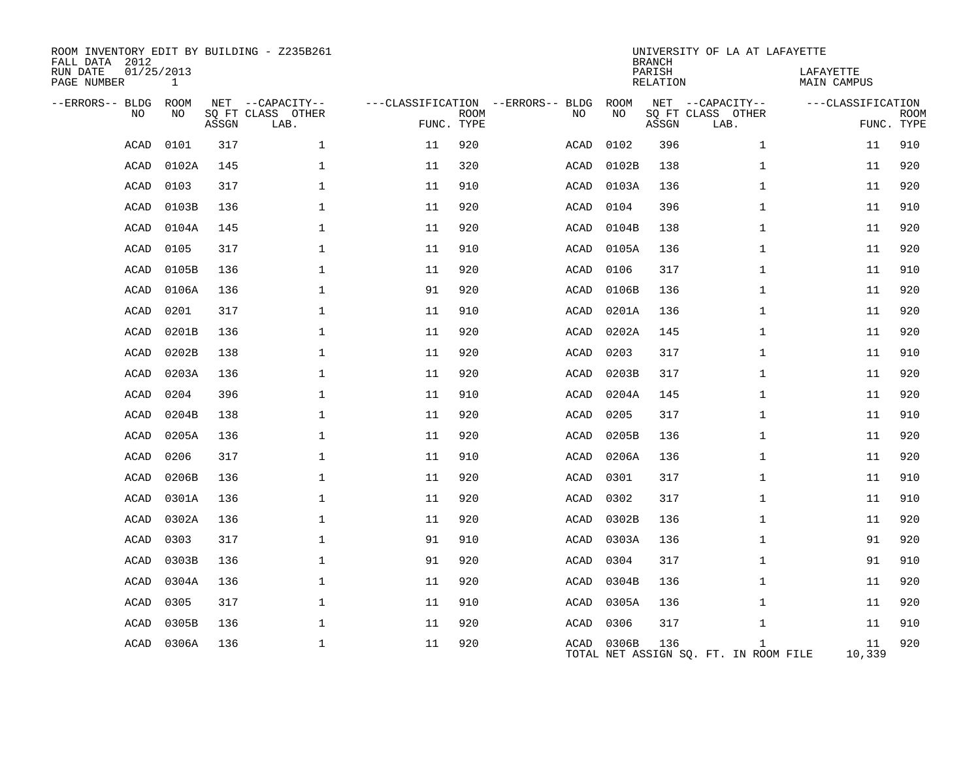| ROOM INVENTORY EDIT BY BUILDING - Z235B261<br>FALL DATA 2012<br>RUN DATE<br>PAGE NUMBER | 01/25/2013<br>$\mathbf{1}$ |       |                           |                                   |             |      |            | <b>BRANCH</b><br>PARISH<br>RELATION | UNIVERSITY OF LA AT LAFAYETTE                         | LAFAYETTE<br><b>MAIN CAMPUS</b> |                           |
|-----------------------------------------------------------------------------------------|----------------------------|-------|---------------------------|-----------------------------------|-------------|------|------------|-------------------------------------|-------------------------------------------------------|---------------------------------|---------------------------|
| --ERRORS-- BLDG                                                                         | ROOM                       |       | NET --CAPACITY--          | ---CLASSIFICATION --ERRORS-- BLDG |             |      | ROOM       |                                     | NET --CAPACITY--                                      | ---CLASSIFICATION               |                           |
| <b>NO</b>                                                                               | NO.                        | ASSGN | SQ FT CLASS OTHER<br>LAB. | FUNC. TYPE                        | <b>ROOM</b> | NO.  | NO         | ASSGN                               | SQ FT CLASS OTHER<br>LAB.                             |                                 | <b>ROOM</b><br>FUNC. TYPE |
| ACAD                                                                                    | 0101                       | 317   | $\mathbf 1$               | 11                                | 920         | ACAD | 0102       | 396                                 | $\mathbf{1}$                                          | 11                              | 910                       |
| ACAD                                                                                    | 0102A                      | 145   | $\mathbf 1$               | 11                                | 320         | ACAD | 0102B      | 138                                 | $\mathbf{1}$                                          | 11                              | 920                       |
| ACAD                                                                                    | 0103                       | 317   | 1                         | 11                                | 910         | ACAD | 0103A      | 136                                 | $\mathbf{1}$                                          | 11                              | 920                       |
| ACAD                                                                                    | 0103B                      | 136   | $\mathbf 1$               | 11                                | 920         | ACAD | 0104       | 396                                 | $\mathbf{1}$                                          | 11                              | 910                       |
| <b>ACAD</b>                                                                             | 0104A                      | 145   | $\mathbf{1}$              | 11                                | 920         | ACAD | 0104B      | 138                                 | $\mathbf{1}$                                          | 11                              | 920                       |
| <b>ACAD</b>                                                                             | 0105                       | 317   | $\mathbf{1}$              | 11                                | 910         | ACAD | 0105A      | 136                                 | $\mathbf{1}$                                          | 11                              | 920                       |
| ACAD                                                                                    | 0105B                      | 136   | 1                         | 11                                | 920         | ACAD | 0106       | 317                                 | $\mathbf{1}$                                          | 11                              | 910                       |
| <b>ACAD</b>                                                                             | 0106A                      | 136   | $\mathbf 1$               | 91                                | 920         | ACAD | 0106B      | 136                                 | $\mathbf{1}$                                          | 11                              | 920                       |
| ACAD                                                                                    | 0201                       | 317   | 1                         | 11                                | 910         | ACAD | 0201A      | 136                                 | $\mathbf{1}$                                          | 11                              | 920                       |
| ACAD                                                                                    | 0201B                      | 136   | $\mathbf 1$               | 11                                | 920         | ACAD | 0202A      | 145                                 | $\mathbf{1}$                                          | 11                              | 920                       |
| <b>ACAD</b>                                                                             | 0202B                      | 138   | $\mathbf 1$               | 11                                | 920         | ACAD | 0203       | 317                                 | $\mathbf{1}$                                          | 11                              | 910                       |
| <b>ACAD</b>                                                                             | 0203A                      | 136   | $\mathbf 1$               | 11                                | 920         | ACAD | 0203B      | 317                                 | $\mathbf{1}$                                          | 11                              | 920                       |
| <b>ACAD</b>                                                                             | 0204                       | 396   | $\mathbf{1}$              | 11                                | 910         | ACAD | 0204A      | 145                                 | $\mathbf{1}$                                          | 11                              | 920                       |
| <b>ACAD</b>                                                                             | 0204B                      | 138   | $\mathbf 1$               | 11                                | 920         | ACAD | 0205       | 317                                 | $\mathbf{1}$                                          | 11                              | 910                       |
| ACAD                                                                                    | 0205A                      | 136   | $\mathbf 1$               | 11                                | 920         | ACAD | 0205B      | 136                                 | $\mathbf{1}$                                          | 11                              | 920                       |
| <b>ACAD</b>                                                                             | 0206                       | 317   | $\mathbf 1$               | 11                                | 910         | ACAD | 0206A      | 136                                 | $\mathbf{1}$                                          | 11                              | 920                       |
| ACAD                                                                                    | 0206B                      | 136   | $\mathbf 1$               | 11                                | 920         | ACAD | 0301       | 317                                 | $\mathbf{1}$                                          | 11                              | 910                       |
| <b>ACAD</b>                                                                             | 0301A                      | 136   | $\mathbf 1$               | 11                                | 920         | ACAD | 0302       | 317                                 | $\mathbf{1}$                                          | 11                              | 910                       |
| <b>ACAD</b>                                                                             | 0302A                      | 136   | $\mathbf{1}$              | 11                                | 920         | ACAD | 0302B      | 136                                 | $\mathbf{1}$                                          | 11                              | 920                       |
| <b>ACAD</b>                                                                             | 0303                       | 317   | $\mathbf{1}$              | 91                                | 910         | ACAD | 0303A      | 136                                 | $\mathbf{1}$                                          | 91                              | 920                       |
| ACAD                                                                                    | 0303B                      | 136   | $\mathbf 1$               | 91                                | 920         | ACAD | 0304       | 317                                 | $\mathbf{1}$                                          | 91                              | 910                       |
| ACAD                                                                                    | 0304A                      | 136   | $\mathbf 1$               | 11                                | 920         | ACAD | 0304B      | 136                                 | $\mathbf{1}$                                          | 11                              | 920                       |
| <b>ACAD</b>                                                                             | 0305                       | 317   | $\mathbf 1$               | 11                                | 910         | ACAD | 0305A      | 136                                 | $\mathbf{1}$                                          | 11                              | 920                       |
| <b>ACAD</b>                                                                             | 0305B                      | 136   | $\mathbf 1$               | 11                                | 920         | ACAD | 0306       | 317                                 | $\mathbf{1}$                                          | 11                              | 910                       |
| ACAD                                                                                    | 0306A                      | 136   | $\mathbf 1$               | 11                                | 920         |      | ACAD 0306B | 136                                 | $\mathbf{1}$<br>TOTAL NET ASSIGN SO. FT. IN ROOM FILE | 11<br>10,339                    | 920                       |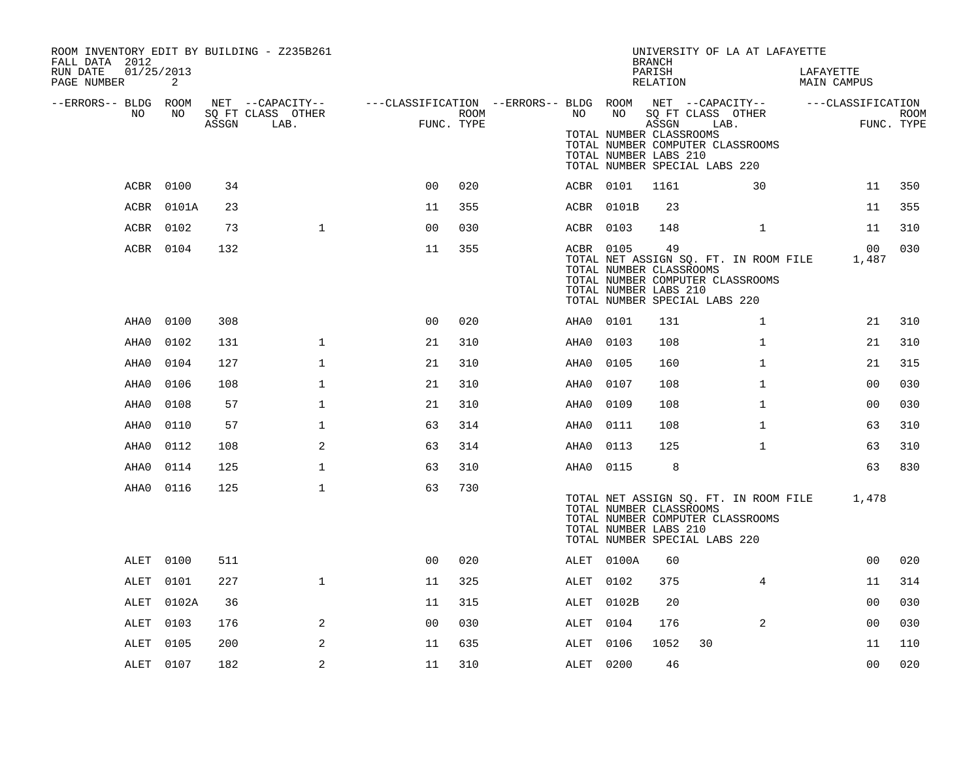| ROOM INVENTORY EDIT BY BUILDING - Z235B261<br>FALL DATA 2012 |                 |       |                           |                                                         |      |           |                                                               | <b>BRANCH</b>      | UNIVERSITY OF LA AT LAFAYETTE                                                                              |                                 |                           |
|--------------------------------------------------------------|-----------------|-------|---------------------------|---------------------------------------------------------|------|-----------|---------------------------------------------------------------|--------------------|------------------------------------------------------------------------------------------------------------|---------------------------------|---------------------------|
| RUN DATE<br>PAGE NUMBER                                      | 01/25/2013<br>2 |       |                           |                                                         |      |           |                                                               | PARISH<br>RELATION |                                                                                                            | LAFAYETTE<br><b>MAIN CAMPUS</b> |                           |
| --ERRORS-- BLDG ROOM                                         |                 |       | NET --CAPACITY--          | ---CLASSIFICATION --ERRORS-- BLDG ROOM NET --CAPACITY-- |      |           |                                                               |                    |                                                                                                            | ---CLASSIFICATION               |                           |
| NO.                                                          | NO              | ASSGN | SQ FT CLASS OTHER<br>LAB. | FUNC. TYPE                                              | ROOM | NO        | NO<br>TOTAL NUMBER CLASSROOMS<br>TOTAL NUMBER LABS 210        | ASSGN              | SQ FT CLASS OTHER<br>LAB.<br>TOTAL NUMBER COMPUTER CLASSROOMS<br>TOTAL NUMBER SPECIAL LABS 220             |                                 | <b>ROOM</b><br>FUNC. TYPE |
|                                                              | ACBR 0100       | 34    |                           | 0 <sub>0</sub>                                          | 020  |           | ACBR 0101                                                     | 1161               | 30                                                                                                         | 11                              | 350                       |
|                                                              | ACBR 0101A      | 23    |                           | 11                                                      | 355  |           | ACBR 0101B                                                    | 23                 |                                                                                                            | 11                              | 355                       |
|                                                              | ACBR 0102       | 73    | $\mathbf{1}$              | 0 <sub>0</sub>                                          | 030  | ACBR 0103 |                                                               | 148                | $\mathbf{1}$                                                                                               | 11                              | 310                       |
|                                                              | ACBR 0104       | 132   |                           | 11                                                      | 355  |           | ACBR 0105<br>TOTAL NUMBER CLASSROOMS<br>TOTAL NUMBER LABS 210 | 49                 | TOTAL NET ASSIGN SQ. FT. IN ROOM FILE<br>TOTAL NUMBER COMPUTER CLASSROOMS<br>TOTAL NUMBER SPECIAL LABS 220 | 00<br>1,487                     | 030                       |
| AHA0                                                         | 0100            | 308   |                           | 0 <sub>0</sub>                                          | 020  | AHA0 0101 |                                                               | 131                | $\mathbf{1}$                                                                                               | 21                              | 310                       |
| AHA0                                                         | 0102            | 131   | $\mathbf{1}$              | 21                                                      | 310  | AHA0      | 0103                                                          | 108                | $\mathbf{1}$                                                                                               | 21                              | 310                       |
| AHA0                                                         | 0104            | 127   | $\mathbf{1}$              | 21                                                      | 310  | AHA0      | 0105                                                          | 160                | $\mathbf{1}$                                                                                               | 21                              | 315                       |
| AHA0                                                         | 0106            | 108   | $\mathbf{1}$              | 21                                                      | 310  | AHA0      | 0107                                                          | 108                | $\mathbf{1}$                                                                                               | 0 <sub>0</sub>                  | 030                       |
| AHA0                                                         | 0108            | 57    | $\mathbf{1}$              | 21                                                      | 310  | AHA0      | 0109                                                          | 108                | $\mathbf{1}$                                                                                               | 0 <sub>0</sub>                  | 030                       |
| AHA0                                                         | 0110            | 57    | $\mathbf 1$               | 63                                                      | 314  | AHA0      | 0111                                                          | 108                | $\mathbf{1}$                                                                                               | 63                              | 310                       |
| AHA0                                                         | 0112            | 108   | 2                         | 63                                                      | 314  | AHA0      | 0113                                                          | 125                | $\mathbf{1}$                                                                                               | 63                              | 310                       |
| AHA0                                                         | 0114            | 125   | $\mathbf 1$               | 63                                                      | 310  | AHA0 0115 |                                                               | 8                  |                                                                                                            | 63                              | 830                       |
| AHA0                                                         | 0116            | 125   | $\mathbf{1}$              | 63                                                      | 730  |           | TOTAL NUMBER CLASSROOMS<br>TOTAL NUMBER LABS 210              |                    | TOTAL NET ASSIGN SQ. FT. IN ROOM FILE<br>TOTAL NUMBER COMPUTER CLASSROOMS<br>TOTAL NUMBER SPECIAL LABS 220 | 1,478                           |                           |
| ALET                                                         | 0100            | 511   |                           | 0 <sub>0</sub>                                          | 020  |           | ALET 0100A                                                    | 60                 |                                                                                                            | 0 <sub>0</sub>                  | 020                       |
| ALET                                                         | 0101            | 227   | $\mathbf 1$               | 11                                                      | 325  | ALET      | 0102                                                          | 375                | 4                                                                                                          | 11                              | 314                       |
| ALET                                                         | 0102A           | 36    |                           | 11                                                      | 315  |           | ALET 0102B                                                    | 20                 |                                                                                                            | 0 <sub>0</sub>                  | 030                       |
| ALET                                                         | 0103            | 176   | 2                         | 0 <sub>0</sub>                                          | 030  | ALET      | 0104                                                          | 176                | 2                                                                                                          | 0 <sub>0</sub>                  | 030                       |
| ALET                                                         | 0105            | 200   | 2                         | 11                                                      | 635  | ALET      | 0106                                                          | 1052               | 30                                                                                                         | 11                              | 110                       |
|                                                              | ALET 0107       | 182   | 2                         | 11                                                      | 310  | ALET 0200 |                                                               | 46                 |                                                                                                            | 0 <sub>0</sub>                  | 020                       |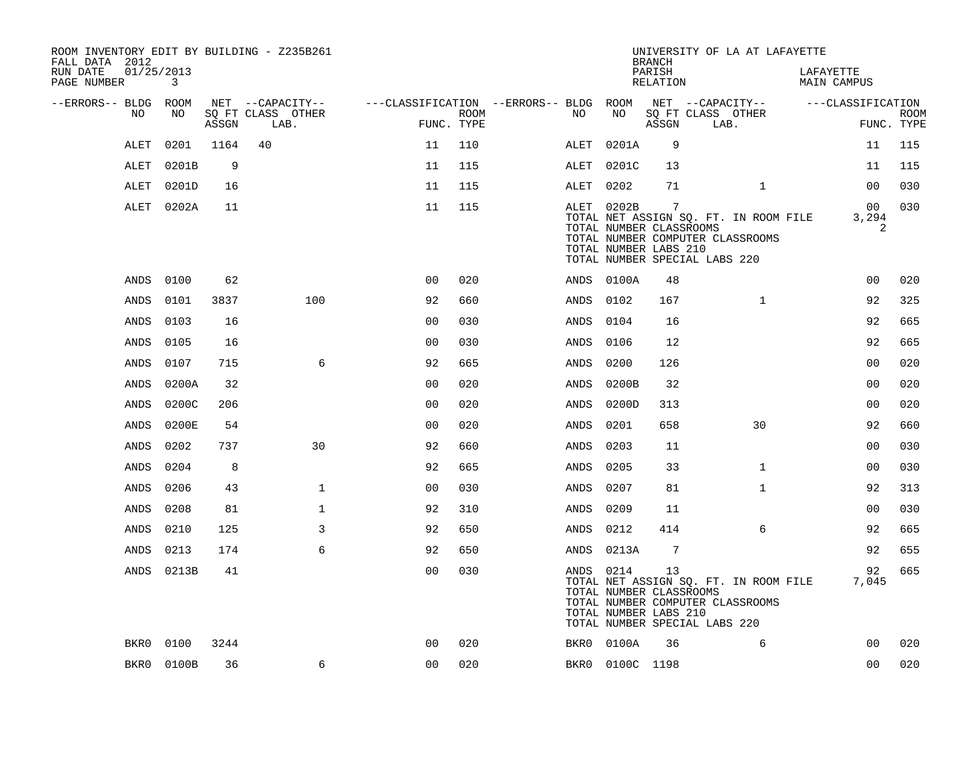| ROOM INVENTORY EDIT BY BUILDING - Z235B261<br>FALL DATA 2012 |                              |       |                           |                                        |                    |           |                                                                | <b>BRANCH</b>      | UNIVERSITY OF LA AT LAFAYETTE                                                                              |                          |                           |
|--------------------------------------------------------------|------------------------------|-------|---------------------------|----------------------------------------|--------------------|-----------|----------------------------------------------------------------|--------------------|------------------------------------------------------------------------------------------------------------|--------------------------|---------------------------|
| RUN DATE<br>PAGE NUMBER                                      | 01/25/2013<br>$\overline{3}$ |       |                           |                                        |                    |           |                                                                | PARISH<br>RELATION |                                                                                                            | LAFAYETTE<br>MAIN CAMPUS |                           |
| --ERRORS-- BLDG ROOM                                         |                              |       | NET --CAPACITY--          | ---CLASSIFICATION --ERRORS-- BLDG ROOM |                    |           |                                                                |                    | NET --CAPACITY--                                                                                           | ---CLASSIFICATION        |                           |
| NO                                                           | NO                           | ASSGN | SQ FT CLASS OTHER<br>LAB. |                                        | ROOM<br>FUNC. TYPE | NO        | NO                                                             | ASSGN              | SQ FT CLASS OTHER<br>LAB.                                                                                  |                          | <b>ROOM</b><br>FUNC. TYPE |
| ALET                                                         | 0201                         | 1164  | 40                        | 11                                     | 110                | ALET      | 0201A                                                          | 9                  |                                                                                                            | 11                       | 115                       |
| ALET                                                         | 0201B                        | 9     |                           | 11                                     | 115                | ALET      | 0201C                                                          | 13                 |                                                                                                            | 11                       | 115                       |
| ALET                                                         | 0201D                        | 16    |                           | 11                                     | 115                | ALET 0202 |                                                                | 71                 | $\mathbf{1}$                                                                                               | 0 <sub>0</sub>           | 030                       |
|                                                              | ALET 0202A                   | 11    |                           | 11                                     | 115                |           | ALET 0202B<br>TOTAL NUMBER CLASSROOMS<br>TOTAL NUMBER LABS 210 | 7                  | TOTAL NET ASSIGN SQ. FT. IN ROOM FILE<br>TOTAL NUMBER COMPUTER CLASSROOMS<br>TOTAL NUMBER SPECIAL LABS 220 | 00<br>3,294<br>2         | 030                       |
| ANDS                                                         | 0100                         | 62    |                           | 0 <sub>0</sub>                         | 020                |           | ANDS 0100A                                                     | 48                 |                                                                                                            | 0 <sub>0</sub>           | 020                       |
| ANDS                                                         | 0101                         | 3837  | 100                       | 92                                     | 660                | ANDS      | 0102                                                           | 167                | $\mathbf{1}$                                                                                               | 92                       | 325                       |
| ANDS                                                         | 0103                         | 16    |                           | 0 <sub>0</sub>                         | 030                | ANDS      | 0104                                                           | 16                 |                                                                                                            | 92                       | 665                       |
| ANDS                                                         | 0105                         | 16    |                           | 0 <sub>0</sub>                         | 030                | ANDS      | 0106                                                           | 12                 |                                                                                                            | 92                       | 665                       |
| ANDS                                                         | 0107                         | 715   | 6                         | 92                                     | 665                | ANDS      | 0200                                                           | 126                |                                                                                                            | 00                       | 020                       |
| ANDS                                                         | 0200A                        | 32    |                           | 0 <sub>0</sub>                         | 020                | ANDS      | 0200B                                                          | 32                 |                                                                                                            | 0 <sub>0</sub>           | 020                       |
| ANDS                                                         | 0200C                        | 206   |                           | 00                                     | 020                | ANDS      | 0200D                                                          | 313                |                                                                                                            | 00                       | 020                       |
| ANDS                                                         | 0200E                        | 54    |                           | 0 <sub>0</sub>                         | 020                | ANDS      | 0201                                                           | 658                | 30                                                                                                         | 92                       | 660                       |
| ANDS                                                         | 0202                         | 737   | 30                        | 92                                     | 660                | ANDS      | 0203                                                           | 11                 |                                                                                                            | 00                       | 030                       |
| ANDS                                                         | 0204                         | 8     |                           | 92                                     | 665                | ANDS      | 0205                                                           | 33                 | $\mathbf{1}$                                                                                               | 00                       | 030                       |
| ANDS                                                         | 0206                         | 43    | $\mathbf{1}$              | 0 <sub>0</sub>                         | 030                | ANDS      | 0207                                                           | 81                 | $\mathbf{1}$                                                                                               | 92                       | 313                       |
| ANDS                                                         | 0208                         | 81    | $\mathbf{1}$              | 92                                     | 310                | ANDS      | 0209                                                           | 11                 |                                                                                                            | 0 <sub>0</sub>           | 030                       |
| ANDS                                                         | 0210                         | 125   | 3                         | 92                                     | 650                | ANDS      | 0212                                                           | 414                | 6                                                                                                          | 92                       | 665                       |
| ANDS                                                         | 0213                         | 174   | 6                         | 92                                     | 650                |           | ANDS 0213A                                                     | $7\phantom{.0}$    |                                                                                                            | 92                       | 655                       |
|                                                              | ANDS 0213B                   | 41    |                           | 0 <sub>0</sub>                         | 030                |           | ANDS 0214<br>TOTAL NUMBER CLASSROOMS<br>TOTAL NUMBER LABS 210  | 13                 | TOTAL NET ASSIGN SQ. FT. IN ROOM FILE<br>TOTAL NUMBER COMPUTER CLASSROOMS<br>TOTAL NUMBER SPECIAL LABS 220 | 92<br>7,045              | 665                       |
| BKR0                                                         | 0100                         | 3244  |                           | 0 <sub>0</sub>                         | 020                |           | BKR0 0100A                                                     | 36                 | 6                                                                                                          | 0 <sub>0</sub>           | 020                       |
|                                                              | BKR0 0100B                   | 36    | 6                         | 0 <sub>0</sub>                         | 020                |           | BKR0 0100C 1198                                                |                    |                                                                                                            | 0 <sub>0</sub>           | 020                       |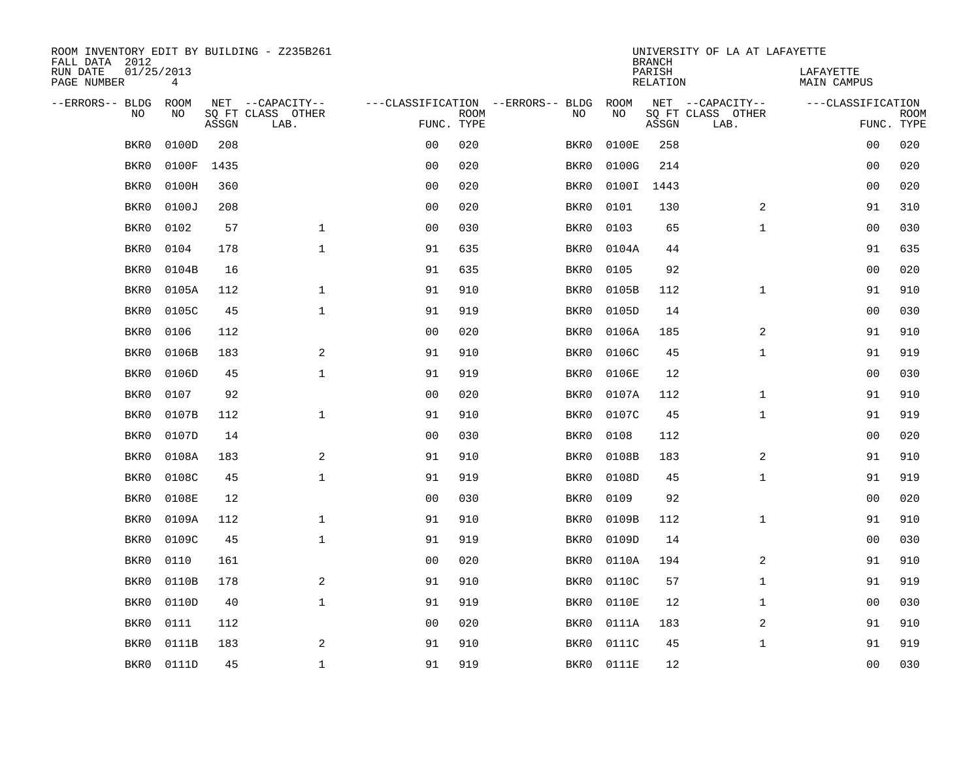| ROOM INVENTORY EDIT BY BUILDING - Z235B261<br>FALL DATA 2012 |                 |       |                           |                |             |                                   |            | <b>BRANCH</b>             | UNIVERSITY OF LA AT LAFAYETTE |                                 |                           |
|--------------------------------------------------------------|-----------------|-------|---------------------------|----------------|-------------|-----------------------------------|------------|---------------------------|-------------------------------|---------------------------------|---------------------------|
| RUN DATE<br>PAGE NUMBER                                      | 01/25/2013<br>4 |       |                           |                |             |                                   |            | PARISH<br><b>RELATION</b> |                               | LAFAYETTE<br><b>MAIN CAMPUS</b> |                           |
| --ERRORS-- BLDG                                              | ROOM            |       | NET --CAPACITY--          |                |             | ---CLASSIFICATION --ERRORS-- BLDG | ROOM       |                           | NET --CAPACITY--              | ---CLASSIFICATION               |                           |
| N <sub>O</sub>                                               | NO.             | ASSGN | SO FT CLASS OTHER<br>LAB. | FUNC. TYPE     | <b>ROOM</b> | NO.                               | NO         | ASSGN                     | SQ FT CLASS OTHER<br>LAB.     |                                 | <b>ROOM</b><br>FUNC. TYPE |
| BKR0                                                         | 0100D           | 208   |                           | 0 <sub>0</sub> | 020         | BKR0                              | 0100E      | 258                       |                               | 00                              | 020                       |
| BKR0                                                         | 0100F           | 1435  |                           | 0 <sub>0</sub> | 020         | BKR0                              | 0100G      | 214                       |                               | 00                              | 020                       |
| BKR0                                                         | 0100H           | 360   |                           | 0 <sub>0</sub> | 020         | BKR0                              | 0100I      | 1443                      |                               | 0 <sub>0</sub>                  | 020                       |
| BKR0                                                         | 0100J           | 208   |                           | 0 <sub>0</sub> | 020         | BKR0                              | 0101       | 130                       | 2                             | 91                              | 310                       |
| BKR0                                                         | 0102            | 57    | $\mathbf{1}$              | 00             | 030         | BKR0                              | 0103       | 65                        | $\mathbf{1}$                  | 0 <sub>0</sub>                  | 030                       |
| BKR0                                                         | 0104            | 178   | $\mathbf 1$               | 91             | 635         | BKR0                              | 0104A      | 44                        |                               | 91                              | 635                       |
| BKR0                                                         | 0104B           | 16    |                           | 91             | 635         | BKR0                              | 0105       | 92                        |                               | 00                              | 020                       |
| BKR0                                                         | 0105A           | 112   | $\mathbf{1}$              | 91             | 910         | BKR0                              | 0105B      | 112                       | $\mathbf{1}$                  | 91                              | 910                       |
| BKR0                                                         | 0105C           | 45    | $\mathbf{1}$              | 91             | 919         | BKR0                              | 0105D      | 14                        |                               | 0 <sub>0</sub>                  | 030                       |
| BKR0                                                         | 0106            | 112   |                           | 0 <sub>0</sub> | 020         | BKR0                              | 0106A      | 185                       | 2                             | 91                              | 910                       |
| BKR0                                                         | 0106B           | 183   | 2                         | 91             | 910         | BKR0                              | 0106C      | 45                        | $\mathbf{1}$                  | 91                              | 919                       |
| BKR0                                                         | 0106D           | 45    | $\mathbf{1}$              | 91             | 919         | BKR0                              | 0106E      | 12                        |                               | 0 <sub>0</sub>                  | 030                       |
| BKR0                                                         | 0107            | 92    |                           | 0 <sub>0</sub> | 020         | BKR0                              | 0107A      | 112                       | $\mathbf{1}$                  | 91                              | 910                       |
| BKR0                                                         | 0107B           | 112   | $\mathbf 1$               | 91             | 910         | BKR0                              | 0107C      | 45                        | $\mathbf{1}$                  | 91                              | 919                       |
| BKR0                                                         | 0107D           | 14    |                           | 0 <sub>0</sub> | 030         | BKR0                              | 0108       | 112                       |                               | 00                              | 020                       |
| BKR0                                                         | 0108A           | 183   | 2                         | 91             | 910         | BKR0                              | 0108B      | 183                       | 2                             | 91                              | 910                       |
| BKR0                                                         | 0108C           | 45    | $\mathbf{1}$              | 91             | 919         | BKR0                              | 0108D      | 45                        | $\mathbf{1}$                  | 91                              | 919                       |
| BKR0                                                         | 0108E           | 12    |                           | 00             | 030         | BKR0                              | 0109       | 92                        |                               | 00                              | 020                       |
| BKR0                                                         | 0109A           | 112   | $\mathbf{1}$              | 91             | 910         | BKR0                              | 0109B      | 112                       | $\mathbf{1}$                  | 91                              | 910                       |
| BKR0                                                         | 0109C           | 45    | $\mathbf 1$               | 91             | 919         | BKR0                              | 0109D      | 14                        |                               | 00                              | 030                       |
| BKR0                                                         | 0110            | 161   |                           | 0 <sub>0</sub> | 020         | BKR0                              | 0110A      | 194                       | 2                             | 91                              | 910                       |
| BKR0                                                         | 0110B           | 178   | 2                         | 91             | 910         | BKR0                              | 0110C      | 57                        | $\mathbf{1}$                  | 91                              | 919                       |
| BKR0                                                         | 0110D           | 40    | $\mathbf{1}$              | 91             | 919         | BKR0                              | 0110E      | 12                        | $\mathbf{1}$                  | 00                              | 030                       |
| BKR0                                                         | 0111            | 112   |                           | 0 <sub>0</sub> | 020         | BKR0                              | 0111A      | 183                       | 2                             | 91                              | 910                       |
| BKR0                                                         | 0111B           | 183   | 2                         | 91             | 910         | BKR0                              | 0111C      | 45                        | $\mathbf{1}$                  | 91                              | 919                       |
| BKR0                                                         | 0111D           | 45    | $\mathbf 1$               | 91             | 919         |                                   | BKR0 0111E | 12                        |                               | 0 <sub>0</sub>                  | 030                       |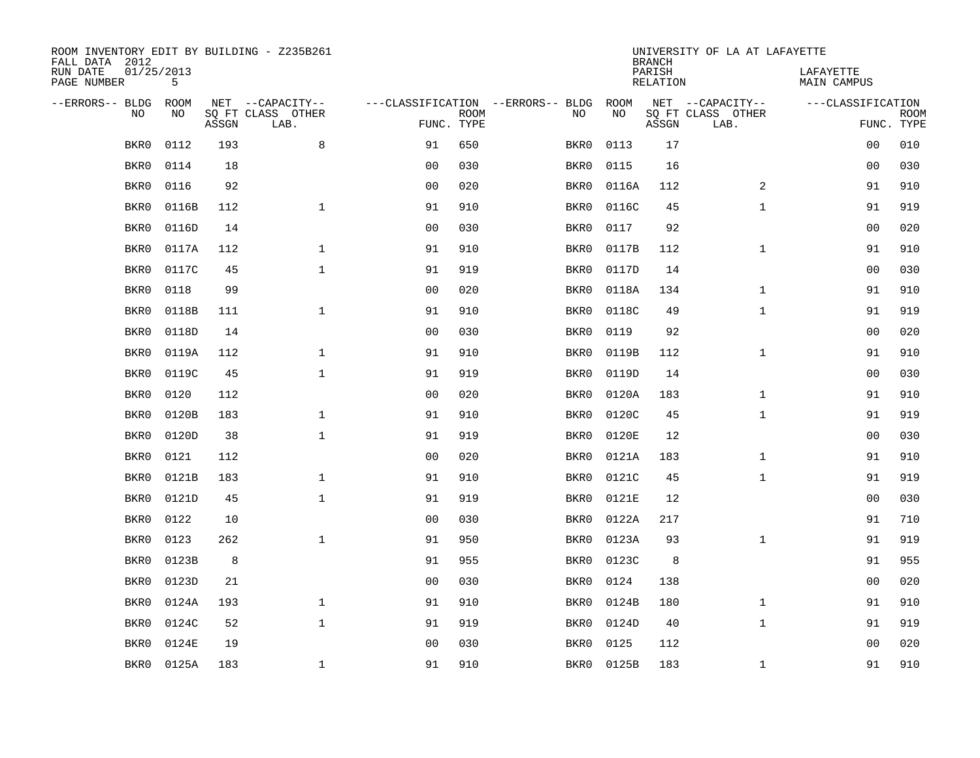| ROOM INVENTORY EDIT BY BUILDING - Z235B261<br>FALL DATA 2012 |                 |       |                           |                |             |                                   | <b>BRANCH</b> | UNIVERSITY OF LA AT LAFAYETTE |                           |                          |                           |
|--------------------------------------------------------------|-----------------|-------|---------------------------|----------------|-------------|-----------------------------------|---------------|-------------------------------|---------------------------|--------------------------|---------------------------|
| RUN DATE<br>PAGE NUMBER                                      | 01/25/2013<br>5 |       |                           |                |             |                                   |               | PARISH<br><b>RELATION</b>     |                           | LAFAYETTE<br>MAIN CAMPUS |                           |
| --ERRORS-- BLDG                                              | ROOM            |       | NET --CAPACITY--          |                |             | ---CLASSIFICATION --ERRORS-- BLDG | ROOM          |                               | NET --CAPACITY--          | ---CLASSIFICATION        |                           |
| NO                                                           | NO              | ASSGN | SQ FT CLASS OTHER<br>LAB. | FUNC. TYPE     | <b>ROOM</b> | NO                                | NO            | ASSGN                         | SQ FT CLASS OTHER<br>LAB. |                          | <b>ROOM</b><br>FUNC. TYPE |
| BKR0                                                         | 0112            | 193   | 8                         | 91             | 650         | BKR0                              | 0113          | 17                            |                           | 0 <sub>0</sub>           | 010                       |
| BKR0                                                         | 0114            | 18    |                           | 0 <sub>0</sub> | 030         | BKR0                              | 0115          | 16                            |                           | 0 <sub>0</sub>           | 030                       |
| BKR0                                                         | 0116            | 92    |                           | 0 <sub>0</sub> | 020         | BKR0                              | 0116A         | 112                           | 2                         | 91                       | 910                       |
| BKR0                                                         | 0116B           | 112   | $\mathbf 1$               | 91             | 910         | BKR0                              | 0116C         | 45                            | $\mathbf{1}$              | 91                       | 919                       |
| BKR0                                                         | 0116D           | 14    |                           | 00             | 030         | BKR0                              | 0117          | 92                            |                           | 00                       | 020                       |
| BKR0                                                         | 0117A           | 112   | $\mathbf{1}$              | 91             | 910         | BKR0                              | 0117B         | 112                           | $\mathbf{1}$              | 91                       | 910                       |
| BKR0                                                         | 0117C           | 45    | $\mathbf{1}$              | 91             | 919         | BKR0                              | 0117D         | 14                            |                           | 00                       | 030                       |
| BKR0                                                         | 0118            | 99    |                           | 0 <sub>0</sub> | 020         | BKR0                              | 0118A         | 134                           | $\mathbf{1}$              | 91                       | 910                       |
| BKR0                                                         | 0118B           | 111   | $\mathbf{1}$              | 91             | 910         | BKR0                              | 0118C         | 49                            | $\mathbf{1}$              | 91                       | 919                       |
| BKR0                                                         | 0118D           | 14    |                           | 0 <sub>0</sub> | 030         | BKR0                              | 0119          | 92                            |                           | 00                       | 020                       |
| BKR0                                                         | 0119A           | 112   | $\mathbf{1}$              | 91             | 910         | BKR0                              | 0119B         | 112                           | $\mathbf{1}$              | 91                       | 910                       |
| BKR0                                                         | 0119C           | 45    | $\mathbf 1$               | 91             | 919         | BKR0                              | 0119D         | 14                            |                           | 0 <sub>0</sub>           | 030                       |
| BKR0                                                         | 0120            | 112   |                           | 0 <sub>0</sub> | 020         | BKR0                              | 0120A         | 183                           | $\mathbf{1}$              | 91                       | 910                       |
| BKR0                                                         | 0120B           | 183   | $\mathbf 1$               | 91             | 910         | BKR0                              | 0120C         | 45                            | $\mathbf{1}$              | 91                       | 919                       |
| BKR0                                                         | 0120D           | 38    | $\mathbf 1$               | 91             | 919         | BKR0                              | 0120E         | 12                            |                           | 00                       | 030                       |
| BKR0                                                         | 0121            | 112   |                           | 0 <sub>0</sub> | 020         | BKR0                              | 0121A         | 183                           | $\mathbf{1}$              | 91                       | 910                       |
| BKR0                                                         | 0121B           | 183   | $\mathbf 1$               | 91             | 910         | BKR0                              | 0121C         | 45                            | $\mathbf{1}$              | 91                       | 919                       |
| BKR0                                                         | 0121D           | 45    | $\mathbf{1}$              | 91             | 919         | BKR0                              | 0121E         | 12                            |                           | 00                       | 030                       |
| BKR0                                                         | 0122            | 10    |                           | 0 <sub>0</sub> | 030         | BKR0                              | 0122A         | 217                           |                           | 91                       | 710                       |
| BKR0                                                         | 0123            | 262   | $\mathbf{1}$              | 91             | 950         | BKR0                              | 0123A         | 93                            | $\mathbf{1}$              | 91                       | 919                       |
| BKR0                                                         | 0123B           | 8     |                           | 91             | 955         | BKR0                              | 0123C         | 8                             |                           | 91                       | 955                       |
| BKR0                                                         | 0123D           | 21    |                           | 0 <sub>0</sub> | 030         | BKR0                              | 0124          | 138                           |                           | 0 <sub>0</sub>           | 020                       |
| BKR0                                                         | 0124A           | 193   | $\mathbf{1}$              | 91             | 910         | BKR0                              | 0124B         | 180                           | $\mathbf{1}$              | 91                       | 910                       |
| BKR0                                                         | 0124C           | 52    | $\mathbf 1$               | 91             | 919         | BKR0                              | 0124D         | 40                            | $\mathbf{1}$              | 91                       | 919                       |
| BKR0                                                         | 0124E           | 19    |                           | 0 <sub>0</sub> | 030         | BKR0                              | 0125          | 112                           |                           | 0 <sub>0</sub>           | 020                       |
| BKR0                                                         | 0125A           | 183   | $\mathbf 1$               | 91             | 910         | BKR0                              | 0125B         | 183                           | $\mathbf{1}$              | 91                       | 910                       |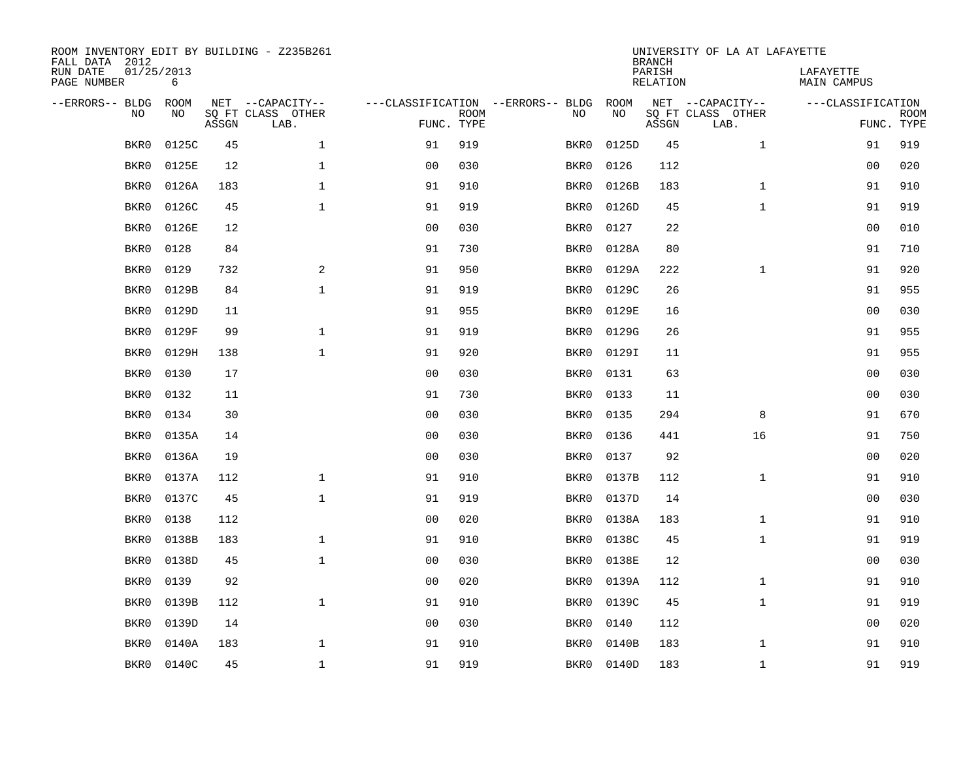| ROOM INVENTORY EDIT BY BUILDING - Z235B261<br>FALL DATA 2012 |                 |       |                           |                |             |                                   | <b>BRANCH</b> | UNIVERSITY OF LA AT LAFAYETTE |                           |                                 |                           |
|--------------------------------------------------------------|-----------------|-------|---------------------------|----------------|-------------|-----------------------------------|---------------|-------------------------------|---------------------------|---------------------------------|---------------------------|
| RUN DATE<br>PAGE NUMBER                                      | 01/25/2013<br>6 |       |                           |                |             |                                   |               | PARISH<br><b>RELATION</b>     |                           | LAFAYETTE<br><b>MAIN CAMPUS</b> |                           |
| --ERRORS-- BLDG                                              | ROOM            |       | NET --CAPACITY--          |                |             | ---CLASSIFICATION --ERRORS-- BLDG | ROOM          |                               | NET --CAPACITY--          | ---CLASSIFICATION               |                           |
| NO                                                           | NO              | ASSGN | SQ FT CLASS OTHER<br>LAB. | FUNC. TYPE     | <b>ROOM</b> | NO                                | NO            | ASSGN                         | SQ FT CLASS OTHER<br>LAB. |                                 | <b>ROOM</b><br>FUNC. TYPE |
| BKR0                                                         | 0125C           | 45    | $\mathbf 1$               | 91             | 919         | BKR0                              | 0125D         | 45                            | $\mathbf{1}$              | 91                              | 919                       |
| BKR0                                                         | 0125E           | 12    | $\mathbf 1$               | 0 <sub>0</sub> | 030         | BKR0                              | 0126          | 112                           |                           | 00                              | 020                       |
| BKR0                                                         | 0126A           | 183   | $\mathbf 1$               | 91             | 910         | BKR0                              | 0126B         | 183                           | $\mathbf{1}$              | 91                              | 910                       |
| BKR0                                                         | 0126C           | 45    | $\mathbf 1$               | 91             | 919         | BKR0                              | 0126D         | 45                            | $\mathbf{1}$              | 91                              | 919                       |
| BKR0                                                         | 0126E           | 12    |                           | 0 <sub>0</sub> | 030         | BKR0                              | 0127          | 22                            |                           | 0 <sub>0</sub>                  | 010                       |
| BKR0                                                         | 0128            | 84    |                           | 91             | 730         | BKR0                              | 0128A         | 80                            |                           | 91                              | 710                       |
| BKR0                                                         | 0129            | 732   | $\overline{a}$            | 91             | 950         | BKR0                              | 0129A         | 222                           | $\mathbf{1}$              | 91                              | 920                       |
| BKR0                                                         | 0129B           | 84    | $\mathbf 1$               | 91             | 919         | BKR0                              | 0129C         | 26                            |                           | 91                              | 955                       |
| BKR0                                                         | 0129D           | 11    |                           | 91             | 955         | BKR0                              | 0129E         | 16                            |                           | 0 <sub>0</sub>                  | 030                       |
| BKR0                                                         | 0129F           | 99    | $\mathbf{1}$              | 91             | 919         | BKR0                              | 0129G         | 26                            |                           | 91                              | 955                       |
| BKR0                                                         | 0129H           | 138   | $\mathbf{1}$              | 91             | 920         | BKR0                              | 0129I         | 11                            |                           | 91                              | 955                       |
| BKR0                                                         | 0130            | 17    |                           | 0 <sub>0</sub> | 030         | BKR0                              | 0131          | 63                            |                           | 0 <sub>0</sub>                  | 030                       |
| BKR0                                                         | 0132            | 11    |                           | 91             | 730         | BKR0                              | 0133          | 11                            |                           | 00                              | 030                       |
| BKR0                                                         | 0134            | 30    |                           | 0 <sub>0</sub> | 030         | BKR0                              | 0135          | 294                           | 8                         | 91                              | 670                       |
| BKR0                                                         | 0135A           | 14    |                           | 0 <sub>0</sub> | 030         | BKR0                              | 0136          | 441                           | 16                        | 91                              | 750                       |
| BKR0                                                         | 0136A           | 19    |                           | 0 <sub>0</sub> | 030         | BKR0                              | 0137          | 92                            |                           | 00                              | 020                       |
| BKR0                                                         | 0137A           | 112   | $\mathbf{1}$              | 91             | 910         | BKR0                              | 0137B         | 112                           | $\mathbf{1}$              | 91                              | 910                       |
| BKR0                                                         | 0137C           | 45    | $\mathbf{1}$              | 91             | 919         | BKR0                              | 0137D         | 14                            |                           | 0 <sub>0</sub>                  | 030                       |
| BKR0                                                         | 0138            | 112   |                           | 0 <sub>0</sub> | 020         | BKR0                              | 0138A         | 183                           | $\mathbf{1}$              | 91                              | 910                       |
| BKR0                                                         | 0138B           | 183   | $\mathbf 1$               | 91             | 910         | BKR0                              | 0138C         | 45                            | $\mathbf{1}$              | 91                              | 919                       |
| BKR0                                                         | 0138D           | 45    | $\mathbf 1$               | 0 <sub>0</sub> | 030         | BKR0                              | 0138E         | 12                            |                           | 00                              | 030                       |
| BKR0                                                         | 0139            | 92    |                           | 0 <sub>0</sub> | 020         | BKR0                              | 0139A         | 112                           | $\mathbf{1}$              | 91                              | 910                       |
| BKR0                                                         | 0139B           | 112   | $\mathbf{1}$              | 91             | 910         | BKR0                              | 0139C         | 45                            | $\mathbf{1}$              | 91                              | 919                       |
| BKR0                                                         | 0139D           | 14    |                           | 0 <sub>0</sub> | 030         | BKR0                              | 0140          | 112                           |                           | 0 <sub>0</sub>                  | 020                       |
| BKR0                                                         | 0140A           | 183   | $\mathbf 1$               | 91             | 910         | BKR0                              | 0140B         | 183                           | $\mathbf{1}$              | 91                              | 910                       |
| BKR0                                                         | 0140C           | 45    | $\mathbf{1}$              | 91             | 919         | BKR0                              | 0140D         | 183                           | $\mathbf{1}$              | 91                              | 919                       |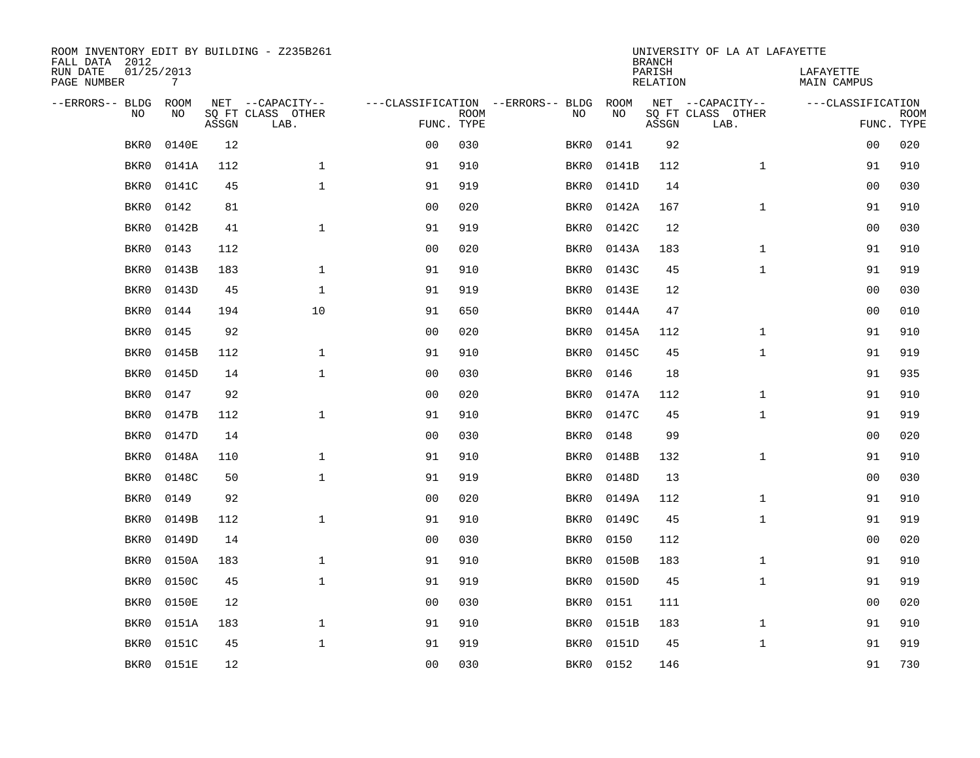| ROOM INVENTORY EDIT BY BUILDING - Z235B261<br>FALL DATA 2012 |                               |       |                           |                |             |                                   | <b>BRANCH</b> | UNIVERSITY OF LA AT LAFAYETTE |                           |                                 |             |
|--------------------------------------------------------------|-------------------------------|-------|---------------------------|----------------|-------------|-----------------------------------|---------------|-------------------------------|---------------------------|---------------------------------|-------------|
| RUN DATE<br>PAGE NUMBER                                      | 01/25/2013<br>$7\overline{ }$ |       |                           |                |             |                                   |               | PARISH<br><b>RELATION</b>     |                           | LAFAYETTE<br><b>MAIN CAMPUS</b> |             |
| --ERRORS-- BLDG                                              | ROOM                          |       | NET --CAPACITY--          |                |             | ---CLASSIFICATION --ERRORS-- BLDG | ROOM          |                               | NET --CAPACITY--          | ---CLASSIFICATION               |             |
| NO                                                           | NO                            | ASSGN | SQ FT CLASS OTHER<br>LAB. | FUNC. TYPE     | <b>ROOM</b> | NO                                | NO            | ASSGN                         | SQ FT CLASS OTHER<br>LAB. | FUNC. TYPE                      | <b>ROOM</b> |
| BKR0                                                         | 0140E                         | 12    |                           | 0 <sub>0</sub> | 030         | BKR0                              | 0141          | 92                            |                           | 0 <sub>0</sub>                  | 020         |
| BKR0                                                         | 0141A                         | 112   | $\mathbf 1$               | 91             | 910         | BKR0                              | 0141B         | 112                           | $\mathbf{1}$              | 91                              | 910         |
| BKR0                                                         | 0141C                         | 45    | $\mathbf 1$               | 91             | 919         | BKR0                              | 0141D         | 14                            |                           | 00                              | 030         |
| BKR0                                                         | 0142                          | 81    |                           | 0 <sub>0</sub> | 020         | BKR0                              | 0142A         | 167                           | $\mathbf{1}$              | 91                              | 910         |
| BKR0                                                         | 0142B                         | 41    | $\mathbf{1}$              | 91             | 919         | BKR0                              | 0142C         | 12                            |                           | 00                              | 030         |
| BKR0                                                         | 0143                          | 112   |                           | 0 <sub>0</sub> | 020         | BKR0                              | 0143A         | 183                           | $\mathbf{1}$              | 91                              | 910         |
| BKR0                                                         | 0143B                         | 183   | $\mathbf{1}$              | 91             | 910         | BKR0                              | 0143C         | 45                            | $\mathbf{1}$              | 91                              | 919         |
| BKR0                                                         | 0143D                         | 45    | $\mathbf{1}$              | 91             | 919         | BKR0                              | 0143E         | 12                            |                           | 0 <sub>0</sub>                  | 030         |
| BKR0                                                         | 0144                          | 194   | 10                        | 91             | 650         | BKR0                              | 0144A         | 47                            |                           | 0 <sub>0</sub>                  | 010         |
| BKR0                                                         | 0145                          | 92    |                           | 0 <sub>0</sub> | 020         | BKR0                              | 0145A         | 112                           | $\mathbf{1}$              | 91                              | 910         |
| BKR0                                                         | 0145B                         | 112   | $\mathbf{1}$              | 91             | 910         | BKR0                              | 0145C         | 45                            | $\mathbf{1}$              | 91                              | 919         |
| BKR0                                                         | 0145D                         | 14    | $\mathbf{1}$              | 0 <sub>0</sub> | 030         | BKR0                              | 0146          | 18                            |                           | 91                              | 935         |
| BKR0                                                         | 0147                          | 92    |                           | 0 <sub>0</sub> | 020         | BKR0                              | 0147A         | 112                           | $\mathbf{1}$              | 91                              | 910         |
| BKR0                                                         | 0147B                         | 112   | $\mathbf 1$               | 91             | 910         | BKR0                              | 0147C         | 45                            | $\mathbf{1}$              | 91                              | 919         |
| BKR0                                                         | 0147D                         | 14    |                           | 0 <sub>0</sub> | 030         | BKR0                              | 0148          | 99                            |                           | 00                              | 020         |
| BKR0                                                         | 0148A                         | 110   | $\mathbf 1$               | 91             | 910         | BKR0                              | 0148B         | 132                           | $\mathbf{1}$              | 91                              | 910         |
| BKR0                                                         | 0148C                         | 50    | $\mathbf 1$               | 91             | 919         | BKR0                              | 0148D         | 13                            |                           | 00                              | 030         |
| BKR0                                                         | 0149                          | 92    |                           | 0 <sub>0</sub> | 020         | BKR0                              | 0149A         | 112                           | $\mathbf{1}$              | 91                              | 910         |
| BKR0                                                         | 0149B                         | 112   | $\mathbf{1}$              | 91             | 910         | BKR0                              | 0149C         | 45                            | $\mathbf{1}$              | 91                              | 919         |
| BKR0                                                         | 0149D                         | 14    |                           | 0 <sub>0</sub> | 030         | BKR0                              | 0150          | 112                           |                           | 0 <sub>0</sub>                  | 020         |
| BKR0                                                         | 0150A                         | 183   | $\mathbf{1}$              | 91             | 910         | BKR0                              | 0150B         | 183                           | $\mathbf{1}$              | 91                              | 910         |
| BKR0                                                         | 0150C                         | 45    | $\mathbf{1}$              | 91             | 919         | BKR0                              | 0150D         | 45                            | $\mathbf{1}$              | 91                              | 919         |
| BKR0                                                         | 0150E                         | 12    |                           | 0 <sub>0</sub> | 030         | BKR0                              | 0151          | 111                           |                           | 0 <sub>0</sub>                  | 020         |
| BKR0                                                         | 0151A                         | 183   | $\mathbf{1}$              | 91             | 910         | BKR0                              | 0151B         | 183                           | $\mathbf{1}$              | 91                              | 910         |
| BKR0                                                         | 0151C                         | 45    | $\mathbf 1$               | 91             | 919         | BKR0                              | 0151D         | 45                            | $\mathbf{1}$              | 91                              | 919         |
| BKR0                                                         | 0151E                         | 12    |                           | 0 <sub>0</sub> | 030         |                                   | BKR0 0152     | 146                           |                           | 91                              | 730         |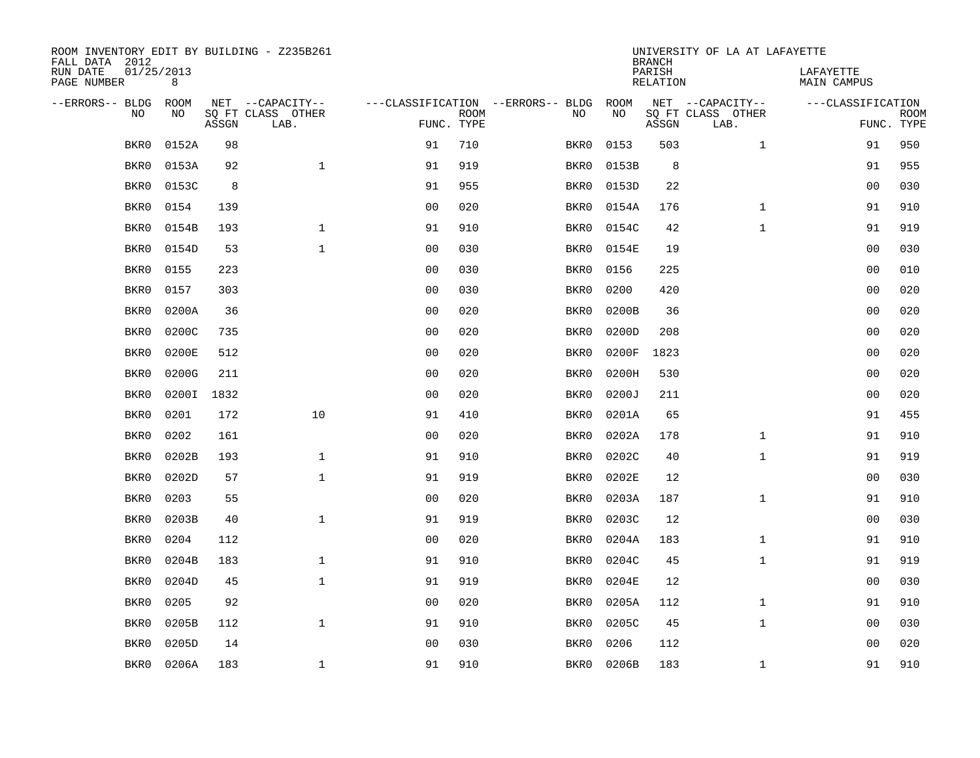| ROOM INVENTORY EDIT BY BUILDING - Z235B261<br>FALL DATA 2012 |                 |       |                           |                |             |                                   | <b>BRANCH</b> | UNIVERSITY OF LA AT LAFAYETTE |                           |                                 |                           |
|--------------------------------------------------------------|-----------------|-------|---------------------------|----------------|-------------|-----------------------------------|---------------|-------------------------------|---------------------------|---------------------------------|---------------------------|
| RUN DATE<br>PAGE NUMBER                                      | 01/25/2013<br>8 |       |                           |                |             |                                   |               | PARISH<br>RELATION            |                           | LAFAYETTE<br><b>MAIN CAMPUS</b> |                           |
| --ERRORS-- BLDG                                              | <b>ROOM</b>     |       | NET --CAPACITY--          |                |             | ---CLASSIFICATION --ERRORS-- BLDG | ROOM          |                               | NET --CAPACITY--          | ---CLASSIFICATION               |                           |
| N <sub>O</sub>                                               | NO.             | ASSGN | SO FT CLASS OTHER<br>LAB. | FUNC. TYPE     | <b>ROOM</b> | NO.                               | <b>NO</b>     | ASSGN                         | SQ FT CLASS OTHER<br>LAB. |                                 | <b>ROOM</b><br>FUNC. TYPE |
| BKR0                                                         | 0152A           | 98    |                           | 91             | 710         | BKR0                              | 0153          | 503                           | $\mathbf{1}$              | 91                              | 950                       |
| BKR0                                                         | 0153A           | 92    | $\mathbf{1}$              | 91             | 919         | BKR0                              | 0153B         | 8                             |                           | 91                              | 955                       |
| BKR0                                                         | 0153C           | 8     |                           | 91             | 955         | BKR0                              | 0153D         | 22                            |                           | 0 <sub>0</sub>                  | 030                       |
| BKR0                                                         | 0154            | 139   |                           | 0 <sub>0</sub> | 020         | BKR0                              | 0154A         | 176                           | $\mathbf{1}$              | 91                              | 910                       |
| BKR0                                                         | 0154B           | 193   | $\mathbf{1}$              | 91             | 910         | BKR0                              | 0154C         | 42                            | $\mathbf{1}$              | 91                              | 919                       |
| BKR0                                                         | 0154D           | 53    | $\mathbf 1$               | 0 <sub>0</sub> | 030         | BKR0                              | 0154E         | 19                            |                           | 00                              | 030                       |
| BKR0                                                         | 0155            | 223   |                           | 0 <sub>0</sub> | 030         | BKR0                              | 0156          | 225                           |                           | 0 <sub>0</sub>                  | 010                       |
| BKR0                                                         | 0157            | 303   |                           | 0 <sub>0</sub> | 030         | BKR0                              | 0200          | 420                           |                           | 0 <sub>0</sub>                  | 020                       |
| BKR0                                                         | 0200A           | 36    |                           | 0 <sub>0</sub> | 020         | BKR0                              | 0200B         | 36                            |                           | 0 <sub>0</sub>                  | 020                       |
| BKR0                                                         | 0200C           | 735   |                           | 0 <sub>0</sub> | 020         | BKR0                              | 0200D         | 208                           |                           | 00                              | 020                       |
| BKR0                                                         | 0200E           | 512   |                           | 0 <sub>0</sub> | 020         | BKR0                              | 0200F         | 1823                          |                           | 00                              | 020                       |
| BKR0                                                         | 0200G           | 211   |                           | 0 <sub>0</sub> | 020         | BKR0                              | 0200H         | 530                           |                           | 0 <sub>0</sub>                  | 020                       |
| BKR0                                                         | 0200I           | 1832  |                           | 0 <sub>0</sub> | 020         | BKR0                              | 0200J         | 211                           |                           | 0 <sub>0</sub>                  | 020                       |
| BKR0                                                         | 0201            | 172   | 10                        | 91             | 410         | BKR0                              | 0201A         | 65                            |                           | 91                              | 455                       |
| BKR0                                                         | 0202            | 161   |                           | 00             | 020         | BKR0                              | 0202A         | 178                           | $\mathbf{1}$              | 91                              | 910                       |
| BKR0                                                         | 0202B           | 193   | $\mathbf 1$               | 91             | 910         | BKR0                              | 0202C         | 40                            | $\mathbf{1}$              | 91                              | 919                       |
| BKR0                                                         | 0202D           | 57    | $\mathbf{1}$              | 91             | 919         | BKR0                              | 0202E         | 12                            |                           | 00                              | 030                       |
| BKR0                                                         | 0203            | 55    |                           | 0 <sub>0</sub> | 020         | BKR0                              | 0203A         | 187                           | $\mathbf{1}$              | 91                              | 910                       |
| BKR0                                                         | 0203B           | 40    | $\mathbf{1}$              | 91             | 919         | BKR0                              | 0203C         | 12                            |                           | 00                              | 030                       |
| BKR0                                                         | 0204            | 112   |                           | 0 <sub>0</sub> | 020         | BKR0                              | 0204A         | 183                           | $\mathbf{1}$              | 91                              | 910                       |
| BKR0                                                         | 0204B           | 183   | $\mathbf 1$               | 91             | 910         | BKR0                              | 0204C         | 45                            | $\mathbf{1}$              | 91                              | 919                       |
| BKR0                                                         | 0204D           | 45    | $\mathbf{1}$              | 91             | 919         | BKR0                              | 0204E         | 12                            |                           | 00                              | 030                       |
| BKR0                                                         | 0205            | 92    |                           | 0 <sub>0</sub> | 020         | BKR0                              | 0205A         | 112                           | $\mathbf{1}$              | 91                              | 910                       |
| BKR0                                                         | 0205B           | 112   | $\mathbf{1}$              | 91             | 910         | BKR0                              | 0205C         | 45                            | $\mathbf{1}$              | 00                              | 030                       |
| BKR0                                                         | 0205D           | 14    |                           | 0 <sub>0</sub> | 030         | BKR0                              | 0206          | 112                           |                           | 0 <sub>0</sub>                  | 020                       |
| BKR0                                                         | 0206A           | 183   | $\mathbf{1}$              | 91             | 910         | BKR0                              | 0206B         | 183                           | $\mathbf{1}$              | 91                              | 910                       |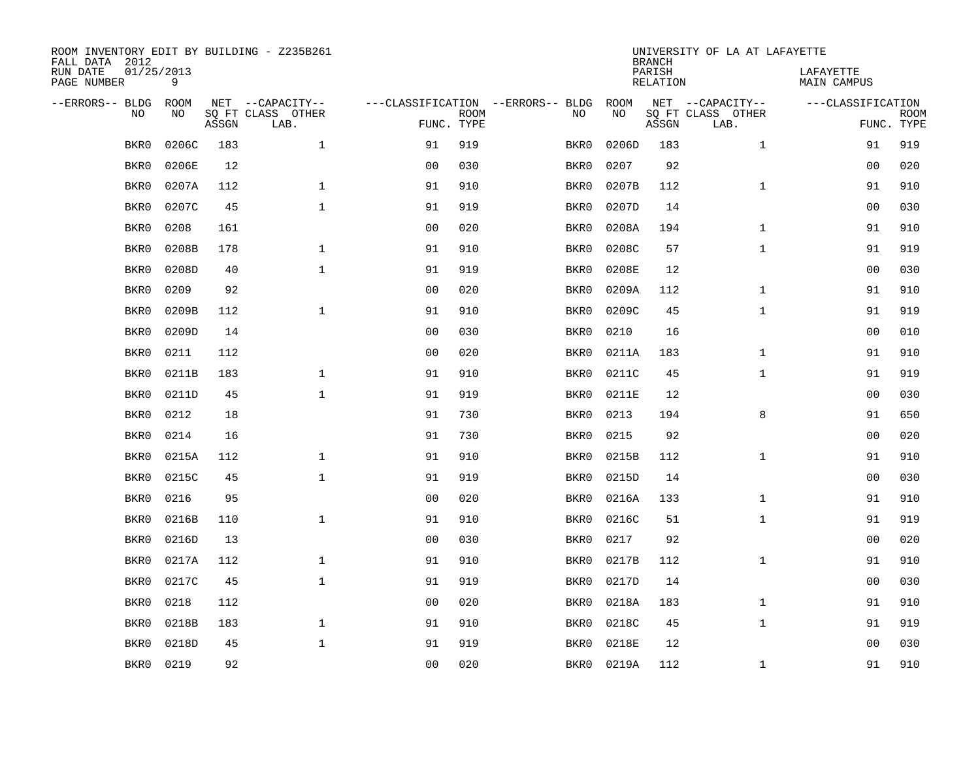| ROOM INVENTORY EDIT BY BUILDING - Z235B261<br>FALL DATA 2012 |                 |       |                           |                |             |                                   | <b>BRANCH</b> | UNIVERSITY OF LA AT LAFAYETTE |                           |                                 |                           |
|--------------------------------------------------------------|-----------------|-------|---------------------------|----------------|-------------|-----------------------------------|---------------|-------------------------------|---------------------------|---------------------------------|---------------------------|
| RUN DATE<br>PAGE NUMBER                                      | 01/25/2013<br>9 |       |                           |                |             |                                   |               | PARISH<br><b>RELATION</b>     |                           | LAFAYETTE<br><b>MAIN CAMPUS</b> |                           |
| --ERRORS-- BLDG                                              | ROOM            |       | NET --CAPACITY--          |                |             | ---CLASSIFICATION --ERRORS-- BLDG | ROOM          |                               | NET --CAPACITY--          | ---CLASSIFICATION               |                           |
| NO                                                           | NO              | ASSGN | SQ FT CLASS OTHER<br>LAB. | FUNC. TYPE     | <b>ROOM</b> | NO                                | NO            | ASSGN                         | SQ FT CLASS OTHER<br>LAB. |                                 | <b>ROOM</b><br>FUNC. TYPE |
| BKR0                                                         | 0206C           | 183   | $\mathbf 1$               | 91             | 919         | BKR0                              | 0206D         | 183                           | $\mathbf{1}$              | 91                              | 919                       |
| BKR0                                                         | 0206E           | 12    |                           | 0 <sub>0</sub> | 030         | BKR0                              | 0207          | 92                            |                           | 00                              | 020                       |
| BKR0                                                         | 0207A           | 112   | $\mathbf 1$               | 91             | 910         | BKR0                              | 0207B         | 112                           | $\mathbf{1}$              | 91                              | 910                       |
| BKR0                                                         | 0207C           | 45    | $\mathbf 1$               | 91             | 919         | BKR0                              | 0207D         | 14                            |                           | 00                              | 030                       |
| BKR0                                                         | 0208            | 161   |                           | 0 <sub>0</sub> | 020         | BKR0                              | 0208A         | 194                           | $\mathbf{1}$              | 91                              | 910                       |
| BKR0                                                         | 0208B           | 178   | $\mathbf 1$               | 91             | 910         | BKR0                              | 0208C         | 57                            | $\mathbf{1}$              | 91                              | 919                       |
| BKR0                                                         | 0208D           | 40    | $\mathbf{1}$              | 91             | 919         | BKR0                              | 0208E         | 12                            |                           | 0 <sub>0</sub>                  | 030                       |
| BKR0                                                         | 0209            | 92    |                           | 0 <sub>0</sub> | 020         | BKR0                              | 0209A         | 112                           | $\mathbf{1}$              | 91                              | 910                       |
| BKR0                                                         | 0209B           | 112   | $\mathbf{1}$              | 91             | 910         | BKR0                              | 0209C         | 45                            | $\mathbf{1}$              | 91                              | 919                       |
| BKR0                                                         | 0209D           | 14    |                           | 0 <sub>0</sub> | 030         | BKR0                              | 0210          | 16                            |                           | 00                              | 010                       |
| BKR0                                                         | 0211            | 112   |                           | 0 <sub>0</sub> | 020         | BKR0                              | 0211A         | 183                           | $\mathbf{1}$              | 91                              | 910                       |
| BKR0                                                         | 0211B           | 183   | $\mathbf 1$               | 91             | 910         | BKR0                              | 0211C         | 45                            | $\mathbf{1}$              | 91                              | 919                       |
| BKR0                                                         | 0211D           | 45    | $\mathbf{1}$              | 91             | 919         | BKR0                              | 0211E         | 12                            |                           | 0 <sub>0</sub>                  | 030                       |
| BKR0                                                         | 0212            | 18    |                           | 91             | 730         | BKR0                              | 0213          | 194                           | 8                         | 91                              | 650                       |
| BKR0                                                         | 0214            | 16    |                           | 91             | 730         | BKR0                              | 0215          | 92                            |                           | 0 <sub>0</sub>                  | 020                       |
| BKR0                                                         | 0215A           | 112   | 1                         | 91             | 910         | BKR0                              | 0215B         | 112                           | $\mathbf{1}$              | 91                              | 910                       |
| BKR0                                                         | 0215C           | 45    | $\mathbf{1}$              | 91             | 919         | BKR0                              | 0215D         | 14                            |                           | 0 <sub>0</sub>                  | 030                       |
| BKR0                                                         | 0216            | 95    |                           | 0 <sub>0</sub> | 020         | BKR0                              | 0216A         | 133                           | $\mathbf{1}$              | 91                              | 910                       |
| BKR0                                                         | 0216B           | 110   | $\mathbf{1}$              | 91             | 910         | BKR0                              | 0216C         | 51                            | $\mathbf{1}$              | 91                              | 919                       |
| BKR0                                                         | 0216D           | 13    |                           | 0 <sub>0</sub> | 030         | BKR0                              | 0217          | 92                            |                           | 00                              | 020                       |
| BKR0                                                         | 0217A           | 112   | $\mathbf{1}$              | 91             | 910         | BKR0                              | 0217B         | 112                           | $\mathbf{1}$              | 91                              | 910                       |
| BKR0                                                         | 0217C           | 45    | $\mathbf{1}$              | 91             | 919         | BKR0                              | 0217D         | 14                            |                           | 0 <sub>0</sub>                  | 030                       |
| BKR0                                                         | 0218            | 112   |                           | 0 <sub>0</sub> | 020         | BKR0                              | 0218A         | 183                           | $\mathbf{1}$              | 91                              | 910                       |
| BKR0                                                         | 0218B           | 183   | $\mathbf 1$               | 91             | 910         | BKR0                              | 0218C         | 45                            | $\mathbf{1}$              | 91                              | 919                       |
| BKR0                                                         | 0218D           | 45    | $\mathbf{1}$              | 91             | 919         | BKR0                              | 0218E         | 12                            |                           | 0 <sub>0</sub>                  | 030                       |
| BKR0                                                         | 0219            | 92    |                           | 00             | 020         |                                   | BKR0 0219A    | 112                           | $\mathbf{1}$              | 91                              | 910                       |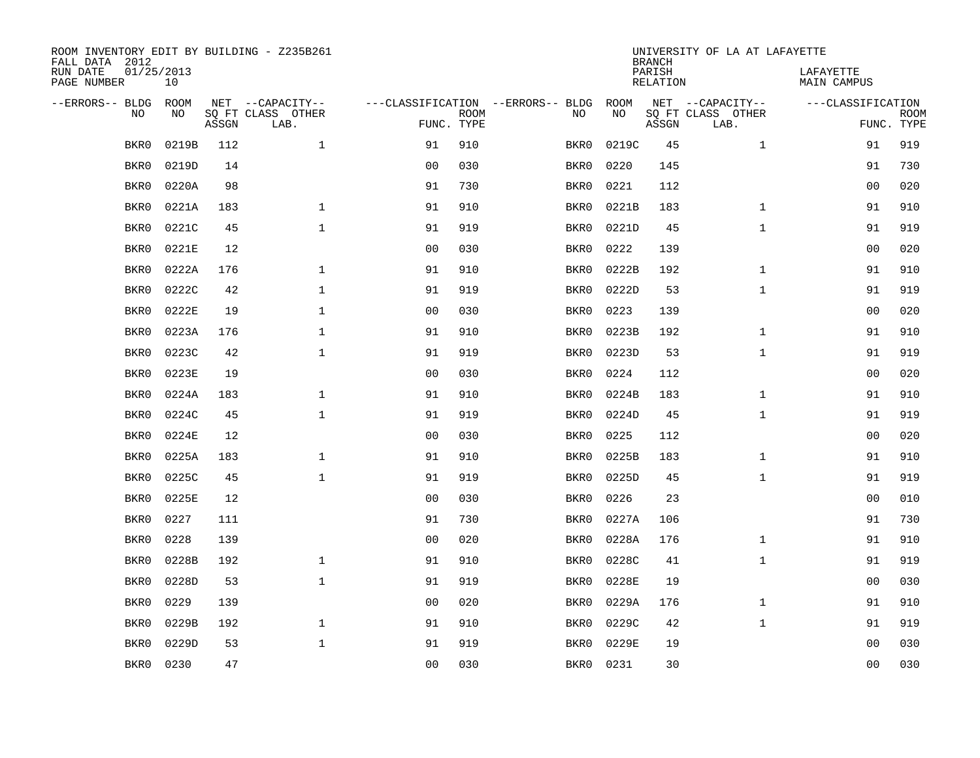| ROOM INVENTORY EDIT BY BUILDING - Z235B261<br>FALL DATA 2012 |                  |       |                           |                |             |                                   | <b>BRANCH</b> | UNIVERSITY OF LA AT LAFAYETTE |                           |                                 |             |
|--------------------------------------------------------------|------------------|-------|---------------------------|----------------|-------------|-----------------------------------|---------------|-------------------------------|---------------------------|---------------------------------|-------------|
| RUN DATE<br>PAGE NUMBER                                      | 01/25/2013<br>10 |       |                           |                |             |                                   |               | PARISH<br><b>RELATION</b>     |                           | LAFAYETTE<br><b>MAIN CAMPUS</b> |             |
| --ERRORS-- BLDG                                              | ROOM             |       | NET --CAPACITY--          |                |             | ---CLASSIFICATION --ERRORS-- BLDG | ROOM          |                               | NET --CAPACITY--          | ---CLASSIFICATION               |             |
| NO                                                           | NO               | ASSGN | SQ FT CLASS OTHER<br>LAB. | FUNC. TYPE     | <b>ROOM</b> | NO                                | NO            | ASSGN                         | SQ FT CLASS OTHER<br>LAB. | FUNC. TYPE                      | <b>ROOM</b> |
| BKR0                                                         | 0219B            | 112   | $\mathbf{1}$              | 91             | 910         | BKR0                              | 0219C         | 45                            | $\mathbf{1}$              | 91                              | 919         |
| BKR0                                                         | 0219D            | 14    |                           | 0 <sub>0</sub> | 030         | BKR0                              | 0220          | 145                           |                           | 91                              | 730         |
| BKR0                                                         | 0220A            | 98    |                           | 91             | 730         | BKR0                              | 0221          | 112                           |                           | 00                              | 020         |
| BKR0                                                         | 0221A            | 183   | $\mathbf{1}$              | 91             | 910         | BKR0                              | 0221B         | 183                           | $\mathbf{1}$              | 91                              | 910         |
| BKR0                                                         | 0221C            | 45    | $\mathbf{1}$              | 91             | 919         | BKR0                              | 0221D         | 45                            | $\mathbf{1}$              | 91                              | 919         |
| BKR0                                                         | 0221E            | 12    |                           | 0 <sub>0</sub> | 030         | BKR0                              | 0222          | 139                           |                           | 0 <sub>0</sub>                  | 020         |
| BKR0                                                         | 0222A            | 176   | $\mathbf{1}$              | 91             | 910         | BKR0                              | 0222B         | 192                           | $\mathbf{1}$              | 91                              | 910         |
| BKR0                                                         | 0222C            | 42    | $\mathbf{1}$              | 91             | 919         | BKR0                              | 0222D         | 53                            | $\mathbf{1}$              | 91                              | 919         |
| BKR0                                                         | 0222E            | 19    | $\mathbf{1}$              | 0 <sub>0</sub> | 030         | BKR0                              | 0223          | 139                           |                           | 0 <sub>0</sub>                  | 020         |
| BKR0                                                         | 0223A            | 176   | 1                         | 91             | 910         | BKR0                              | 0223B         | 192                           | $\mathbf{1}$              | 91                              | 910         |
| BKR0                                                         | 0223C            | 42    | $\mathbf{1}$              | 91             | 919         | BKR0                              | 0223D         | 53                            | $\mathbf{1}$              | 91                              | 919         |
| BKR0                                                         | 0223E            | 19    |                           | 0 <sub>0</sub> | 030         | BKR0                              | 0224          | 112                           |                           | 0 <sub>0</sub>                  | 020         |
| BKR0                                                         | 0224A            | 183   | $\mathbf{1}$              | 91             | 910         | BKR0                              | 0224B         | 183                           | $\mathbf{1}$              | 91                              | 910         |
| BKR0                                                         | 0224C            | 45    | $\mathbf{1}$              | 91             | 919         | BKR0                              | 0224D         | 45                            | $\mathbf{1}$              | 91                              | 919         |
| BKR0                                                         | 0224E            | 12    |                           | 0 <sub>0</sub> | 030         | BKR0                              | 0225          | 112                           |                           | 00                              | 020         |
| BKR0                                                         | 0225A            | 183   | 1                         | 91             | 910         | BKR0                              | 0225B         | 183                           | $\mathbf{1}$              | 91                              | 910         |
| BKR0                                                         | 0225C            | 45    | $\mathbf{1}$              | 91             | 919         | BKR0                              | 0225D         | 45                            | $\mathbf{1}$              | 91                              | 919         |
| BKR0                                                         | 0225E            | 12    |                           | 0 <sub>0</sub> | 030         | BKR0                              | 0226          | 23                            |                           | 00                              | 010         |
| BKR0                                                         | 0227             | 111   |                           | 91             | 730         | BKR0                              | 0227A         | 106                           |                           | 91                              | 730         |
| BKR0                                                         | 0228             | 139   |                           | 0 <sub>0</sub> | 020         | BKR0                              | 0228A         | 176                           | $\mathbf{1}$              | 91                              | 910         |
| BKR0                                                         | 0228B            | 192   | $\mathbf{1}$              | 91             | 910         | BKR0                              | 0228C         | 41                            | $\mathbf{1}$              | 91                              | 919         |
| BKR0                                                         | 0228D            | 53    | $\mathbf{1}$              | 91             | 919         | BKR0                              | 0228E         | 19                            |                           | 0 <sub>0</sub>                  | 030         |
| BKR0                                                         | 0229             | 139   |                           | 0 <sub>0</sub> | 020         | BKR0                              | 0229A         | 176                           | $\mathbf{1}$              | 91                              | 910         |
| BKR0                                                         | 0229B            | 192   | $\mathbf 1$               | 91             | 910         | BKR0                              | 0229C         | 42                            | $\mathbf{1}$              | 91                              | 919         |
| BKR0                                                         | 0229D            | 53    | $\mathbf{1}$              | 91             | 919         | BKR0                              | 0229E         | 19                            |                           | 0 <sub>0</sub>                  | 030         |
| BKR0                                                         | 0230             | 47    |                           | 00             | 030         | BKR0                              | 0231          | 30                            |                           | 0 <sub>0</sub>                  | 030         |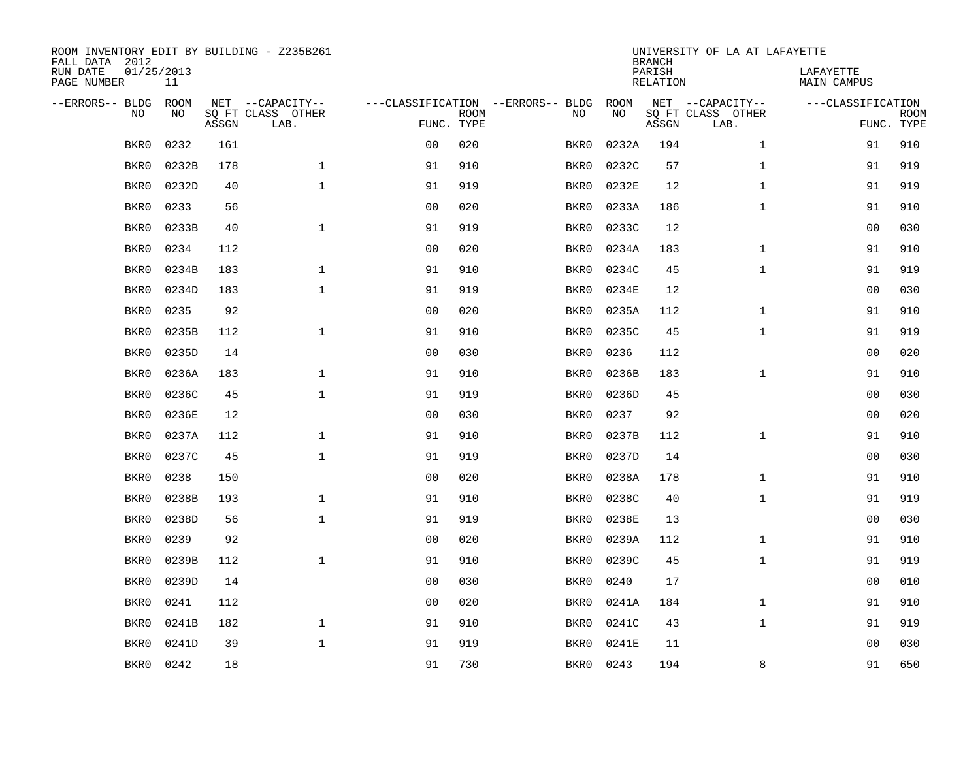| ROOM INVENTORY EDIT BY BUILDING - Z235B261<br>FALL DATA 2012<br>RUN DATE<br>01/25/2013 |                   |       |                                       |                |             |                                         | <b>BRANCH</b><br>PARISH | UNIVERSITY OF LA AT LAFAYETTE | LAFAYETTE                             |                    |             |
|----------------------------------------------------------------------------------------|-------------------|-------|---------------------------------------|----------------|-------------|-----------------------------------------|-------------------------|-------------------------------|---------------------------------------|--------------------|-------------|
| PAGE NUMBER                                                                            | 11                |       |                                       |                |             |                                         |                         | <b>RELATION</b>               |                                       | <b>MAIN CAMPUS</b> |             |
| --ERRORS-- BLDG<br>NO                                                                  | <b>ROOM</b><br>NO |       | NET --CAPACITY--<br>SQ FT CLASS OTHER |                | <b>ROOM</b> | ---CLASSIFICATION --ERRORS-- BLDG<br>NO | ROOM<br>NO              |                               | NET --CAPACITY--<br>SQ FT CLASS OTHER | ---CLASSIFICATION  | <b>ROOM</b> |
|                                                                                        |                   | ASSGN | LAB.                                  | FUNC. TYPE     |             |                                         |                         | ASSGN                         | LAB.                                  |                    | FUNC. TYPE  |
| BKR0                                                                                   | 0232              | 161   |                                       | 00             | 020         | BKR0                                    | 0232A                   | 194                           | $\mathbf{1}$                          | 91                 | 910         |
| BKR0                                                                                   | 0232B             | 178   | $\mathbf 1$                           | 91             | 910         | BKR0                                    | 0232C                   | 57                            | $\mathbf{1}$                          | 91                 | 919         |
| BKR0                                                                                   | 0232D             | 40    | $\mathbf{1}$                          | 91             | 919         | BKR0                                    | 0232E                   | 12                            | $\mathbf{1}$                          | 91                 | 919         |
| BKR0                                                                                   | 0233              | 56    |                                       | 0 <sub>0</sub> | 020         | BKR0                                    | 0233A                   | 186                           | $\mathbf{1}$                          | 91                 | 910         |
| BKR0                                                                                   | 0233B             | 40    | $\mathbf{1}$                          | 91             | 919         | BKR0                                    | 0233C                   | 12                            |                                       | 0 <sub>0</sub>     | 030         |
| BKR0                                                                                   | 0234              | 112   |                                       | 0 <sub>0</sub> | 020         | BKR0                                    | 0234A                   | 183                           | $\mathbf{1}$                          | 91                 | 910         |
| BKR0                                                                                   | 0234B             | 183   | $\mathbf{1}$                          | 91             | 910         | BKR0                                    | 0234C                   | 45                            | $\mathbf{1}$                          | 91                 | 919         |
| BKR0                                                                                   | 0234D             | 183   | $\mathbf{1}$                          | 91             | 919         | BKR0                                    | 0234E                   | 12                            |                                       | 0 <sub>0</sub>     | 030         |
| BKR0                                                                                   | 0235              | 92    |                                       | 0 <sub>0</sub> | 020         | BKR0                                    | 0235A                   | 112                           | $\mathbf{1}$                          | 91                 | 910         |
| BKR0                                                                                   | 0235B             | 112   | $\mathbf 1$                           | 91             | 910         | BKR0                                    | 0235C                   | 45                            | $\mathbf{1}$                          | 91                 | 919         |
| BKR0                                                                                   | 0235D             | 14    |                                       | 0 <sub>0</sub> | 030         | BKR0                                    | 0236                    | 112                           |                                       | 0 <sub>0</sub>     | 020         |
| BKR0                                                                                   | 0236A             | 183   | $\mathbf 1$                           | 91             | 910         | BKR0                                    | 0236B                   | 183                           | $\mathbf{1}$                          | 91                 | 910         |
| BKR0                                                                                   | 0236C             | 45    | $\mathbf{1}$                          | 91             | 919         | BKR0                                    | 0236D                   | 45                            |                                       | 00                 | 030         |
| BKR0                                                                                   | 0236E             | 12    |                                       | 0 <sub>0</sub> | 030         | BKR0                                    | 0237                    | 92                            |                                       | 00                 | 020         |
| BKR0                                                                                   | 0237A             | 112   | $\mathbf 1$                           | 91             | 910         | BKR0                                    | 0237B                   | 112                           | $\mathbf{1}$                          | 91                 | 910         |
| BKR0                                                                                   | 0237C             | 45    | $\mathbf{1}$                          | 91             | 919         | BKR0                                    | 0237D                   | 14                            |                                       | 0 <sub>0</sub>     | 030         |
| BKR0                                                                                   | 0238              | 150   |                                       | 0 <sub>0</sub> | 020         | BKR0                                    | 0238A                   | 178                           | $\mathbf{1}$                          | 91                 | 910         |
| BKR0                                                                                   | 0238B             | 193   | $\mathbf 1$                           | 91             | 910         | BKR0                                    | 0238C                   | 40                            | $\mathbf{1}$                          | 91                 | 919         |
| BKR0                                                                                   | 0238D             | 56    | $\mathbf 1$                           | 91             | 919         | BKR0                                    | 0238E                   | 13                            |                                       | 0 <sub>0</sub>     | 030         |
| BKR0                                                                                   | 0239              | 92    |                                       | 0 <sub>0</sub> | 020         | BKR0                                    | 0239A                   | 112                           | $\mathbf{1}$                          | 91                 | 910         |
| BKR0                                                                                   | 0239B             | 112   | $\mathbf 1$                           | 91             | 910         | BKR0                                    | 0239C                   | 45                            | $\mathbf{1}$                          | 91                 | 919         |
| BKR0                                                                                   | 0239D             | 14    |                                       | 0 <sub>0</sub> | 030         | BKR0                                    | 0240                    | 17                            |                                       | 00                 | 010         |
| BKR0                                                                                   | 0241              | 112   |                                       | 0 <sub>0</sub> | 020         | BKR0                                    | 0241A                   | 184                           | $\mathbf{1}$                          | 91                 | 910         |
| BKR0                                                                                   | 0241B             | 182   | $\mathbf{1}$                          | 91             | 910         | BKR0                                    | 0241C                   | 43                            | $\mathbf{1}$                          | 91                 | 919         |
| BKR0                                                                                   | 0241D             | 39    | $\mathbf 1$                           | 91             | 919         | BKR0                                    | 0241E                   | 11                            |                                       | 0 <sub>0</sub>     | 030         |
| BKR0                                                                                   | 0242              | 18    |                                       | 91             | 730         | BKR0                                    | 0243                    | 194                           | 8                                     | 91                 | 650         |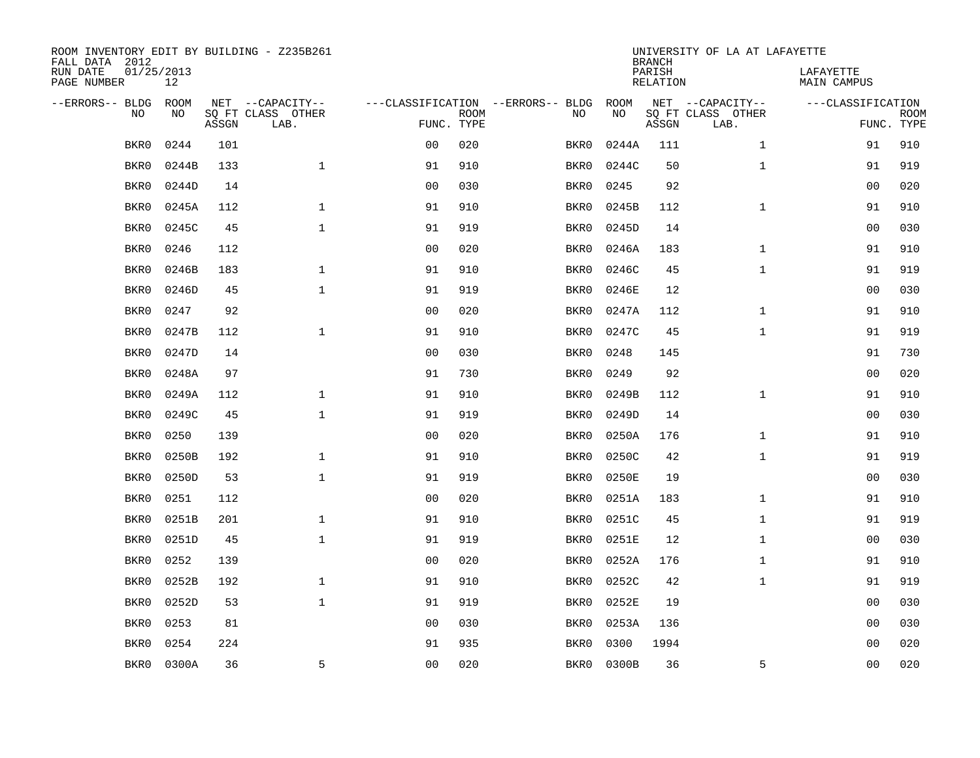| ROOM INVENTORY EDIT BY BUILDING - Z235B261<br>FALL DATA 2012 |                  |       |                           |                |             |                                   |           | <b>BRANCH</b>      | UNIVERSITY OF LA AT LAFAYETTE |                                 |                           |
|--------------------------------------------------------------|------------------|-------|---------------------------|----------------|-------------|-----------------------------------|-----------|--------------------|-------------------------------|---------------------------------|---------------------------|
| RUN DATE<br>PAGE NUMBER                                      | 01/25/2013<br>12 |       |                           |                |             |                                   |           | PARISH<br>RELATION |                               | LAFAYETTE<br><b>MAIN CAMPUS</b> |                           |
| --ERRORS-- BLDG                                              | <b>ROOM</b>      |       | NET --CAPACITY--          |                |             | ---CLASSIFICATION --ERRORS-- BLDG | ROOM      |                    | NET --CAPACITY--              | ---CLASSIFICATION               |                           |
| N <sub>O</sub>                                               | NO.              | ASSGN | SO FT CLASS OTHER<br>LAB. | FUNC. TYPE     | <b>ROOM</b> | NO.                               | <b>NO</b> | ASSGN              | SQ FT CLASS OTHER<br>LAB.     |                                 | <b>ROOM</b><br>FUNC. TYPE |
| BKR0                                                         | 0244             | 101   |                           | 0 <sub>0</sub> | 020         | BKR0                              | 0244A     | 111                | $\mathbf{1}$                  | 91                              | 910                       |
| BKR0                                                         | 0244B            | 133   | $\mathbf{1}$              | 91             | 910         | BKR0                              | 0244C     | 50                 | $\mathbf{1}$                  | 91                              | 919                       |
| BKR0                                                         | 0244D            | 14    |                           | 0 <sub>0</sub> | 030         | BKR0                              | 0245      | 92                 |                               | 0 <sub>0</sub>                  | 020                       |
| BKR0                                                         | 0245A            | 112   | $\mathbf{1}$              | 91             | 910         | BKR0                              | 0245B     | 112                | $\mathbf{1}$                  | 91                              | 910                       |
| BKR0                                                         | 0245C            | 45    | $\mathbf 1$               | 91             | 919         | BKR0                              | 0245D     | 14                 |                               | 00                              | 030                       |
| BKR0                                                         | 0246             | 112   |                           | 0 <sub>0</sub> | 020         | BKR0                              | 0246A     | 183                | $\mathbf{1}$                  | 91                              | 910                       |
| BKR0                                                         | 0246B            | 183   | $\mathbf{1}$              | 91             | 910         | BKR0                              | 0246C     | 45                 | $\mathbf{1}$                  | 91                              | 919                       |
| BKR0                                                         | 0246D            | 45    | $\mathbf{1}$              | 91             | 919         | BKR0                              | 0246E     | 12                 |                               | 0 <sub>0</sub>                  | 030                       |
| BKR0                                                         | 0247             | 92    |                           | 0 <sub>0</sub> | 020         | BKR0                              | 0247A     | 112                | $\mathbf{1}$                  | 91                              | 910                       |
| BKR0                                                         | 0247B            | 112   | $\mathbf{1}$              | 91             | 910         | BKR0                              | 0247C     | 45                 | $\mathbf{1}$                  | 91                              | 919                       |
| BKR0                                                         | 0247D            | 14    |                           | 0 <sub>0</sub> | 030         | BKR0                              | 0248      | 145                |                               | 91                              | 730                       |
| BKR0                                                         | 0248A            | 97    |                           | 91             | 730         | BKR0                              | 0249      | 92                 |                               | 0 <sub>0</sub>                  | 020                       |
| BKR0                                                         | 0249A            | 112   | $\mathbf{1}$              | 91             | 910         | BKR0                              | 0249B     | 112                | $\mathbf{1}$                  | 91                              | 910                       |
| BKR0                                                         | 0249C            | 45    | $\mathbf{1}$              | 91             | 919         | BKR0                              | 0249D     | 14                 |                               | 00                              | 030                       |
| BKR0                                                         | 0250             | 139   |                           | 00             | 020         | BKR0                              | 0250A     | 176                | $\mathbf{1}$                  | 91                              | 910                       |
| BKR0                                                         | 0250B            | 192   | $\mathbf 1$               | 91             | 910         | BKR0                              | 0250C     | 42                 | $\mathbf{1}$                  | 91                              | 919                       |
| BKR0                                                         | 0250D            | 53    | $\mathbf{1}$              | 91             | 919         | BKR0                              | 0250E     | 19                 |                               | 00                              | 030                       |
| BKR0                                                         | 0251             | 112   |                           | 0 <sub>0</sub> | 020         | BKR0                              | 0251A     | 183                | $\mathbf{1}$                  | 91                              | 910                       |
| BKR0                                                         | 0251B            | 201   | $\mathbf{1}$              | 91             | 910         | BKR0                              | 0251C     | 45                 | $\mathbf{1}$                  | 91                              | 919                       |
| BKR0                                                         | 0251D            | 45    | $\mathbf{1}$              | 91             | 919         | BKR0                              | 0251E     | 12                 | $\mathbf{1}$                  | 0 <sub>0</sub>                  | 030                       |
| BKR0                                                         | 0252             | 139   |                           | 0 <sub>0</sub> | 020         | BKR0                              | 0252A     | 176                | $\mathbf{1}$                  | 91                              | 910                       |
| BKR0                                                         | 0252B            | 192   | $\mathbf{1}$              | 91             | 910         | BKR0                              | 0252C     | 42                 | $\mathbf{1}$                  | 91                              | 919                       |
| BKR0                                                         | 0252D            | 53    | $\mathbf{1}$              | 91             | 919         | BKR0                              | 0252E     | 19                 |                               | 00                              | 030                       |
| BKR0                                                         | 0253             | 81    |                           | 0 <sub>0</sub> | 030         | BKR0                              | 0253A     | 136                |                               | 00                              | 030                       |
| BKR0                                                         | 0254             | 224   |                           | 91             | 935         | BKR0                              | 0300      | 1994               |                               | 0 <sub>0</sub>                  | 020                       |
| BKR0                                                         | 0300A            | 36    | 5                         | 0 <sub>0</sub> | 020         | BKR0                              | 0300B     | 36                 | 5                             | 0 <sub>0</sub>                  | 020                       |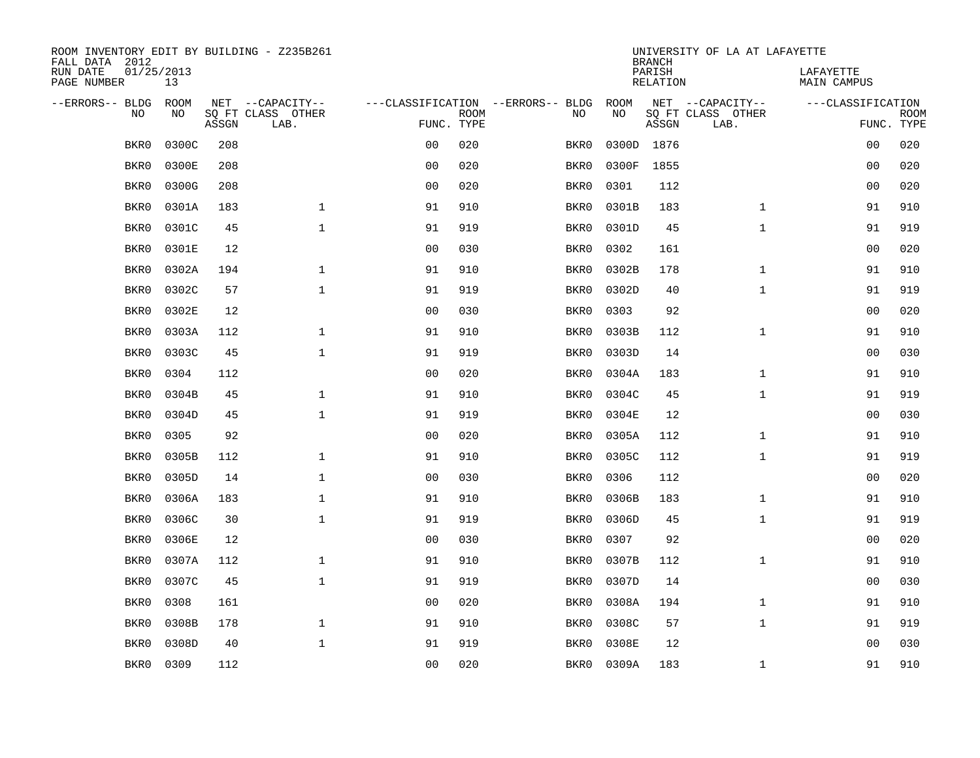| ROOM INVENTORY EDIT BY BUILDING - Z235B261<br>FALL DATA 2012 |                  |       |                           |                |             |                                   | <b>BRANCH</b> | UNIVERSITY OF LA AT LAFAYETTE |                           |                                 |             |
|--------------------------------------------------------------|------------------|-------|---------------------------|----------------|-------------|-----------------------------------|---------------|-------------------------------|---------------------------|---------------------------------|-------------|
| RUN DATE<br>PAGE NUMBER                                      | 01/25/2013<br>13 |       |                           |                |             |                                   |               | PARISH<br><b>RELATION</b>     |                           | LAFAYETTE<br><b>MAIN CAMPUS</b> |             |
| --ERRORS-- BLDG                                              | ROOM             |       | NET --CAPACITY--          |                |             | ---CLASSIFICATION --ERRORS-- BLDG | ROOM          |                               | NET --CAPACITY--          | ---CLASSIFICATION               |             |
| NO                                                           | NO               | ASSGN | SQ FT CLASS OTHER<br>LAB. | FUNC. TYPE     | <b>ROOM</b> | NO                                | NO            | ASSGN                         | SQ FT CLASS OTHER<br>LAB. | FUNC. TYPE                      | <b>ROOM</b> |
| BKR0                                                         | 0300C            | 208   |                           | 0 <sub>0</sub> | 020         | BKR0                              |               | 0300D 1876                    |                           | 0 <sub>0</sub>                  | 020         |
| BKR0                                                         | 0300E            | 208   |                           | 0 <sub>0</sub> | 020         | BKR0                              | 0300F         | 1855                          |                           | 00                              | 020         |
| BKR0                                                         | 0300G            | 208   |                           | 0 <sub>0</sub> | 020         | BKR0                              | 0301          | 112                           |                           | 00                              | 020         |
| BKR0                                                         | 0301A            | 183   | $\mathbf{1}$              | 91             | 910         | BKR0                              | 0301B         | 183                           | $\mathbf{1}$              | 91                              | 910         |
| BKR0                                                         | 0301C            | 45    | $\mathbf{1}$              | 91             | 919         | BKR0                              | 0301D         | 45                            | $\mathbf{1}$              | 91                              | 919         |
| BKR0                                                         | 0301E            | 12    |                           | 0 <sub>0</sub> | 030         | BKR0                              | 0302          | 161                           |                           | 0 <sub>0</sub>                  | 020         |
| BKR0                                                         | 0302A            | 194   | $\mathbf{1}$              | 91             | 910         | BKR0                              | 0302B         | 178                           | $\mathbf{1}$              | 91                              | 910         |
| BKR0                                                         | 0302C            | 57    | $\mathbf{1}$              | 91             | 919         | BKR0                              | 0302D         | 40                            | $\mathbf{1}$              | 91                              | 919         |
| BKR0                                                         | 0302E            | 12    |                           | 0 <sub>0</sub> | 030         | BKR0                              | 0303          | 92                            |                           | 0 <sub>0</sub>                  | 020         |
| BKR0                                                         | 0303A            | 112   | $\mathbf{1}$              | 91             | 910         | BKR0                              | 0303B         | 112                           | $\mathbf{1}$              | 91                              | 910         |
| BKR0                                                         | 0303C            | 45    | $\mathbf{1}$              | 91             | 919         | BKR0                              | 0303D         | 14                            |                           | 00                              | 030         |
| BKR0                                                         | 0304             | 112   |                           | 0 <sub>0</sub> | 020         | BKR0                              | 0304A         | 183                           | $\mathbf{1}$              | 91                              | 910         |
| BKR0                                                         | 0304B            | 45    | $\mathbf{1}$              | 91             | 910         | BKR0                              | 0304C         | 45                            | $\mathbf{1}$              | 91                              | 919         |
| BKR0                                                         | 0304D            | 45    | $\mathbf{1}$              | 91             | 919         | BKR0                              | 0304E         | 12                            |                           | 00                              | 030         |
| BKR0                                                         | 0305             | 92    |                           | 0 <sub>0</sub> | 020         | BKR0                              | 0305A         | 112                           | $\mathbf{1}$              | 91                              | 910         |
| BKR0                                                         | 0305B            | 112   | 1                         | 91             | 910         | BKR0                              | 0305C         | 112                           | $\mathbf{1}$              | 91                              | 919         |
| BKR0                                                         | 0305D            | 14    | $\mathbf{1}$              | 0 <sub>0</sub> | 030         | BKR0                              | 0306          | 112                           |                           | 0 <sub>0</sub>                  | 020         |
| BKR0                                                         | 0306A            | 183   | $\mathbf 1$               | 91             | 910         | BKR0                              | 0306B         | 183                           | $\mathbf{1}$              | 91                              | 910         |
| BKR0                                                         | 0306C            | 30    | $\mathbf{1}$              | 91             | 919         | BKR0                              | 0306D         | 45                            | $\mathbf{1}$              | 91                              | 919         |
| BKR0                                                         | 0306E            | 12    |                           | 0 <sub>0</sub> | 030         | BKR0                              | 0307          | 92                            |                           | 00                              | 020         |
| BKR0                                                         | 0307A            | 112   | $\mathbf{1}$              | 91             | 910         | BKR0                              | 0307B         | 112                           | $\mathbf{1}$              | 91                              | 910         |
| BKR0                                                         | 0307C            | 45    | $\mathbf{1}$              | 91             | 919         | BKR0                              | 0307D         | 14                            |                           | 0 <sub>0</sub>                  | 030         |
| BKR0                                                         | 0308             | 161   |                           | 0 <sub>0</sub> | 020         | BKR0                              | 0308A         | 194                           | $\mathbf{1}$              | 91                              | 910         |
| BKR0                                                         | 0308B            | 178   | $\mathbf 1$               | 91             | 910         | BKR0                              | 0308C         | 57                            | $\mathbf{1}$              | 91                              | 919         |
| BKR0                                                         | 0308D            | 40    | $\mathbf{1}$              | 91             | 919         | BKR0                              | 0308E         | 12                            |                           | 0 <sub>0</sub>                  | 030         |
| BKR0                                                         | 0309             | 112   |                           | 00             | 020         | BKR0                              | 0309A         | 183                           | $\mathbf{1}$              | 91                              | 910         |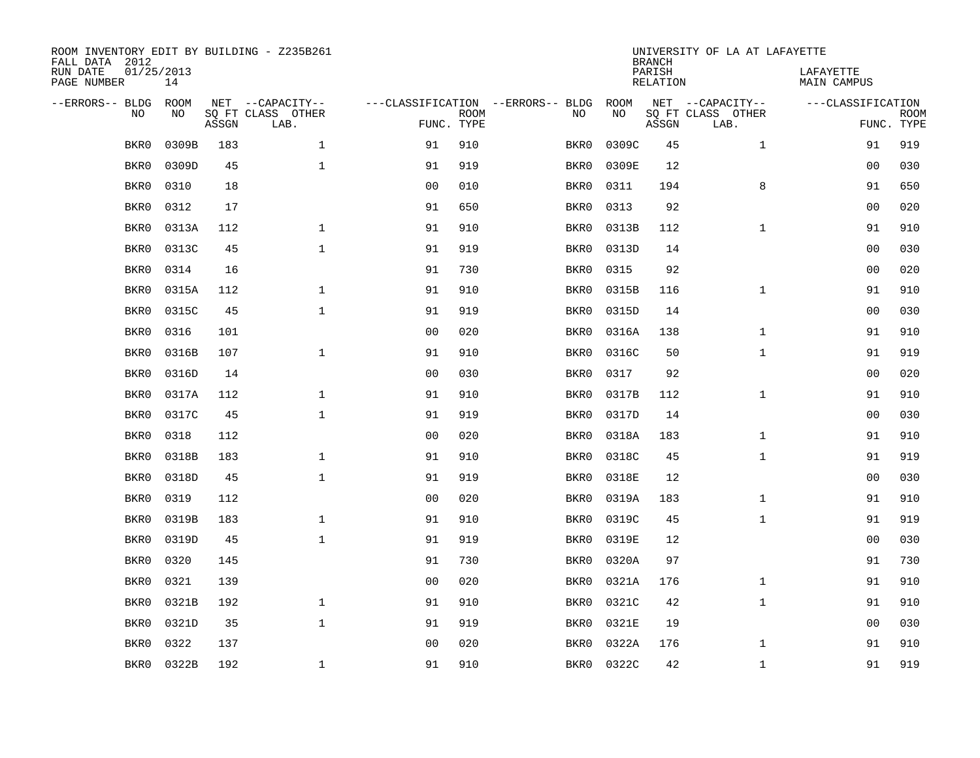| ROOM INVENTORY EDIT BY BUILDING - Z235B261<br>FALL DATA 2012 |                  |       |                           |                |             |                                   | <b>BRANCH</b> | UNIVERSITY OF LA AT LAFAYETTE |                           |                          |                           |
|--------------------------------------------------------------|------------------|-------|---------------------------|----------------|-------------|-----------------------------------|---------------|-------------------------------|---------------------------|--------------------------|---------------------------|
| RUN DATE<br>PAGE NUMBER                                      | 01/25/2013<br>14 |       |                           |                |             |                                   |               | PARISH<br><b>RELATION</b>     |                           | LAFAYETTE<br>MAIN CAMPUS |                           |
| --ERRORS-- BLDG                                              | ROOM             |       | NET --CAPACITY--          |                |             | ---CLASSIFICATION --ERRORS-- BLDG | ROOM          |                               | NET --CAPACITY--          | ---CLASSIFICATION        |                           |
| NO                                                           | NO               | ASSGN | SQ FT CLASS OTHER<br>LAB. | FUNC. TYPE     | <b>ROOM</b> | NO                                | NO            | ASSGN                         | SQ FT CLASS OTHER<br>LAB. |                          | <b>ROOM</b><br>FUNC. TYPE |
| BKR0                                                         | 0309B            | 183   | $\mathbf{1}$              | 91             | 910         | BKR0                              | 0309C         | 45                            | $\mathbf{1}$              | 91                       | 919                       |
| BKR0                                                         | 0309D            | 45    | $\mathbf{1}$              | 91             | 919         | BKR0                              | 0309E         | 12                            |                           | 0 <sub>0</sub>           | 030                       |
| BKR0                                                         | 0310             | 18    |                           | 0 <sub>0</sub> | 010         | BKR0                              | 0311          | 194                           | 8                         | 91                       | 650                       |
| BKR0                                                         | 0312             | 17    |                           | 91             | 650         | BKR0                              | 0313          | 92                            |                           | 0 <sub>0</sub>           | 020                       |
| BKR0                                                         | 0313A            | 112   | $\mathbf 1$               | 91             | 910         | BKR0                              | 0313B         | 112                           | $\mathbf{1}$              | 91                       | 910                       |
| BKR0                                                         | 0313C            | 45    | $\mathbf{1}$              | 91             | 919         | BKR0                              | 0313D         | 14                            |                           | 00                       | 030                       |
| BKR0                                                         | 0314             | 16    |                           | 91             | 730         | BKR0                              | 0315          | 92                            |                           | 0 <sub>0</sub>           | 020                       |
| BKR0                                                         | 0315A            | 112   | $\mathbf 1$               | 91             | 910         | BKR0                              | 0315B         | 116                           | $\mathbf{1}$              | 91                       | 910                       |
| BKR0                                                         | 0315C            | 45    | $\mathbf{1}$              | 91             | 919         | BKR0                              | 0315D         | 14                            |                           | 0 <sub>0</sub>           | 030                       |
| BKR0                                                         | 0316             | 101   |                           | 0 <sub>0</sub> | 020         | BKR0                              | 0316A         | 138                           | $\mathbf{1}$              | 91                       | 910                       |
| BKR0                                                         | 0316B            | 107   | $\mathbf{1}$              | 91             | 910         | BKR0                              | 0316C         | 50                            | $\mathbf{1}$              | 91                       | 919                       |
| BKR0                                                         | 0316D            | 14    |                           | 0 <sub>0</sub> | 030         | BKR0                              | 0317          | 92                            |                           | 0 <sub>0</sub>           | 020                       |
| BKR0                                                         | 0317A            | 112   | $\mathbf{1}$              | 91             | 910         | BKR0                              | 0317B         | 112                           | $\mathbf{1}$              | 91                       | 910                       |
| BKR0                                                         | 0317C            | 45    | $\mathbf{1}$              | 91             | 919         | BKR0                              | 0317D         | 14                            |                           | 0 <sub>0</sub>           | 030                       |
| BKR0                                                         | 0318             | 112   |                           | 0 <sub>0</sub> | 020         | BKR0                              | 0318A         | 183                           | $\mathbf{1}$              | 91                       | 910                       |
| BKR0                                                         | 0318B            | 183   | $\mathbf{1}$              | 91             | 910         | BKR0                              | 0318C         | 45                            | $\mathbf{1}$              | 91                       | 919                       |
| BKR0                                                         | 0318D            | 45    | $\mathbf{1}$              | 91             | 919         | BKR0                              | 0318E         | 12                            |                           | 00                       | 030                       |
| BKR0                                                         | 0319             | 112   |                           | 0 <sub>0</sub> | 020         | BKR0                              | 0319A         | 183                           | $\mathbf{1}$              | 91                       | 910                       |
| BKR0                                                         | 0319B            | 183   | $\mathbf{1}$              | 91             | 910         | BKR0                              | 0319C         | 45                            | $\mathbf{1}$              | 91                       | 919                       |
| BKR0                                                         | 0319D            | 45    | $\mathbf{1}$              | 91             | 919         | BKR0                              | 0319E         | 12                            |                           | 00                       | 030                       |
| BKR0                                                         | 0320             | 145   |                           | 91             | 730         | BKR0                              | 0320A         | 97                            |                           | 91                       | 730                       |
| BKR0                                                         | 0321             | 139   |                           | 0 <sub>0</sub> | 020         | BKR0                              | 0321A         | 176                           | $\mathbf{1}$              | 91                       | 910                       |
| BKR0                                                         | 0321B            | 192   | $\mathbf{1}$              | 91             | 910         | BKR0                              | 0321C         | 42                            | $\mathbf{1}$              | 91                       | 910                       |
| BKR0                                                         | 0321D            | 35    | $\mathbf{1}$              | 91             | 919         | BKR0                              | 0321E         | 19                            |                           | 0 <sub>0</sub>           | 030                       |
| BKR0                                                         | 0322             | 137   |                           | 0 <sub>0</sub> | 020         | BKR0                              | 0322A         | 176                           | $\mathbf{1}$              | 91                       | 910                       |
| BKR0                                                         | 0322B            | 192   | 1                         | 91             | 910         | BKR0                              | 0322C         | 42                            | $\mathbf{1}$              | 91                       | 919                       |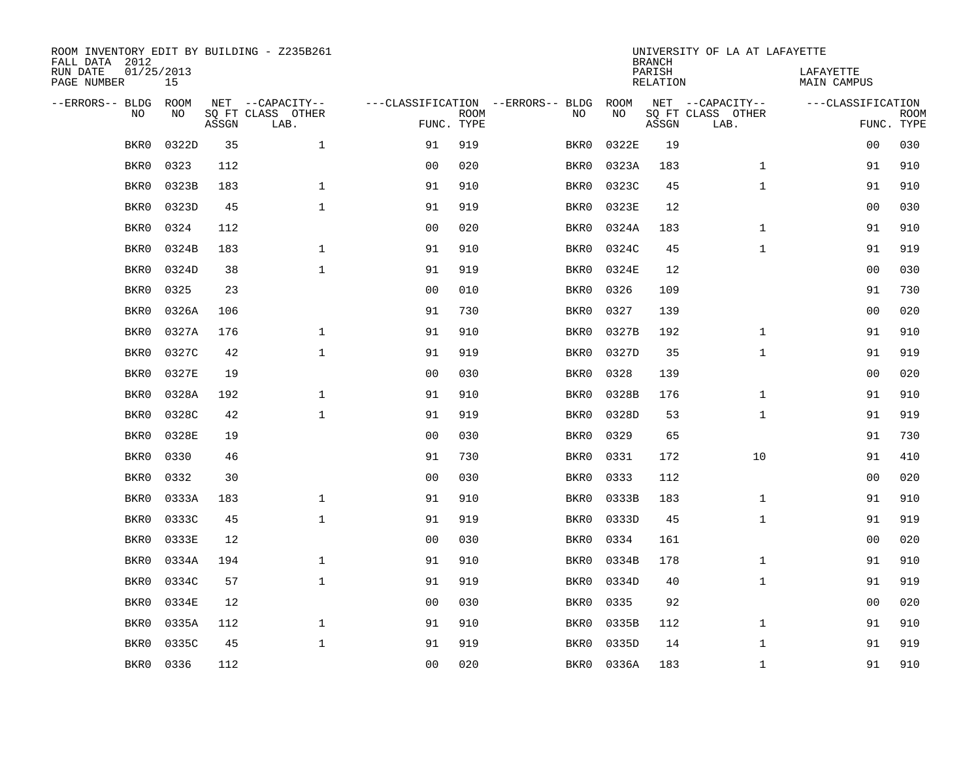| ROOM INVENTORY EDIT BY BUILDING - Z235B261<br>FALL DATA 2012 |                  |       |                           |                |             |                                   | <b>BRANCH</b> | UNIVERSITY OF LA AT LAFAYETTE |                           |                                 |                           |
|--------------------------------------------------------------|------------------|-------|---------------------------|----------------|-------------|-----------------------------------|---------------|-------------------------------|---------------------------|---------------------------------|---------------------------|
| RUN DATE<br>PAGE NUMBER                                      | 01/25/2013<br>15 |       |                           |                |             |                                   |               | PARISH<br><b>RELATION</b>     |                           | LAFAYETTE<br><b>MAIN CAMPUS</b> |                           |
| --ERRORS-- BLDG                                              | ROOM             |       | NET --CAPACITY--          |                |             | ---CLASSIFICATION --ERRORS-- BLDG | ROOM          |                               | NET --CAPACITY--          | ---CLASSIFICATION               |                           |
| NO                                                           | NO               | ASSGN | SQ FT CLASS OTHER<br>LAB. | FUNC. TYPE     | <b>ROOM</b> | NO                                | NO            | ASSGN                         | SQ FT CLASS OTHER<br>LAB. |                                 | <b>ROOM</b><br>FUNC. TYPE |
| BKR0                                                         | 0322D            | 35    | $\mathbf 1$               | 91             | 919         | BKR0                              | 0322E         | 19                            |                           | 0 <sub>0</sub>                  | 030                       |
| BKR0                                                         | 0323             | 112   |                           | 0 <sub>0</sub> | 020         | BKR0                              | 0323A         | 183                           | $\mathbf{1}$              | 91                              | 910                       |
| BKR0                                                         | 0323B            | 183   | $\mathbf 1$               | 91             | 910         | BKR0                              | 0323C         | 45                            | $\mathbf{1}$              | 91                              | 910                       |
| BKR0                                                         | 0323D            | 45    | $\mathbf 1$               | 91             | 919         | BKR0                              | 0323E         | 12                            |                           | 00                              | 030                       |
| BKR0                                                         | 0324             | 112   |                           | 0 <sub>0</sub> | 020         | BKR0                              | 0324A         | 183                           | $\mathbf{1}$              | 91                              | 910                       |
| BKR0                                                         | 0324B            | 183   | $\mathbf 1$               | 91             | 910         | BKR0                              | 0324C         | 45                            | $\mathbf{1}$              | 91                              | 919                       |
| BKR0                                                         | 0324D            | 38    | $\mathbf{1}$              | 91             | 919         | BKR0                              | 0324E         | 12                            |                           | 0 <sub>0</sub>                  | 030                       |
| BKR0                                                         | 0325             | 23    |                           | 0 <sub>0</sub> | 010         | BKR0                              | 0326          | 109                           |                           | 91                              | 730                       |
| BKR0                                                         | 0326A            | 106   |                           | 91             | 730         | BKR0                              | 0327          | 139                           |                           | 0 <sub>0</sub>                  | 020                       |
| BKR0                                                         | 0327A            | 176   | $\mathbf{1}$              | 91             | 910         | BKR0                              | 0327B         | 192                           | $\mathbf{1}$              | 91                              | 910                       |
| BKR0                                                         | 0327C            | 42    | $\mathbf{1}$              | 91             | 919         | BKR0                              | 0327D         | 35                            | $\mathbf{1}$              | 91                              | 919                       |
| BKR0                                                         | 0327E            | 19    |                           | 0 <sub>0</sub> | 030         | BKR0                              | 0328          | 139                           |                           | 0 <sub>0</sub>                  | 020                       |
| BKR0                                                         | 0328A            | 192   | $\mathbf{1}$              | 91             | 910         | BKR0                              | 0328B         | 176                           | $\mathbf{1}$              | 91                              | 910                       |
| BKR0                                                         | 0328C            | 42    | $\mathbf{1}$              | 91             | 919         | BKR0                              | 0328D         | 53                            | $\mathbf{1}$              | 91                              | 919                       |
| BKR0                                                         | 0328E            | 19    |                           | 0 <sub>0</sub> | 030         | BKR0                              | 0329          | 65                            |                           | 91                              | 730                       |
| BKR0                                                         | 0330             | 46    |                           | 91             | 730         | BKR0                              | 0331          | 172                           | 10                        | 91                              | 410                       |
| BKR0                                                         | 0332             | 30    |                           | 0 <sub>0</sub> | 030         | BKR0                              | 0333          | 112                           |                           | 0 <sub>0</sub>                  | 020                       |
| BKR0                                                         | 0333A            | 183   | $\mathbf 1$               | 91             | 910         | BKR0                              | 0333B         | 183                           | $\mathbf{1}$              | 91                              | 910                       |
| BKR0                                                         | 0333C            | 45    | $\mathbf{1}$              | 91             | 919         | BKR0                              | 0333D         | 45                            | $\mathbf{1}$              | 91                              | 919                       |
| BKR0                                                         | 0333E            | 12    |                           | 0 <sub>0</sub> | 030         | BKR0                              | 0334          | 161                           |                           | 00                              | 020                       |
| BKR0                                                         | 0334A            | 194   | $\mathbf{1}$              | 91             | 910         | BKR0                              | 0334B         | 178                           | $\mathbf{1}$              | 91                              | 910                       |
| BKR0                                                         | 0334C            | 57    | $\mathbf{1}$              | 91             | 919         | BKR0                              | 0334D         | 40                            | $\mathbf{1}$              | 91                              | 919                       |
| BKR0                                                         | 0334E            | 12    |                           | 0 <sub>0</sub> | 030         | BKR0                              | 0335          | 92                            |                           | 0 <sub>0</sub>                  | 020                       |
| BKR0                                                         | 0335A            | 112   | $\mathbf 1$               | 91             | 910         | BKR0                              | 0335B         | 112                           | $\mathbf{1}$              | 91                              | 910                       |
| BKR0                                                         | 0335C            | 45    | $\mathbf{1}$              | 91             | 919         | BKR0                              | 0335D         | 14                            | $\mathbf{1}$              | 91                              | 919                       |
| BKR0                                                         | 0336             | 112   |                           | 00             | 020         |                                   | BKR0 0336A    | 183                           | $\mathbf{1}$              | 91                              | 910                       |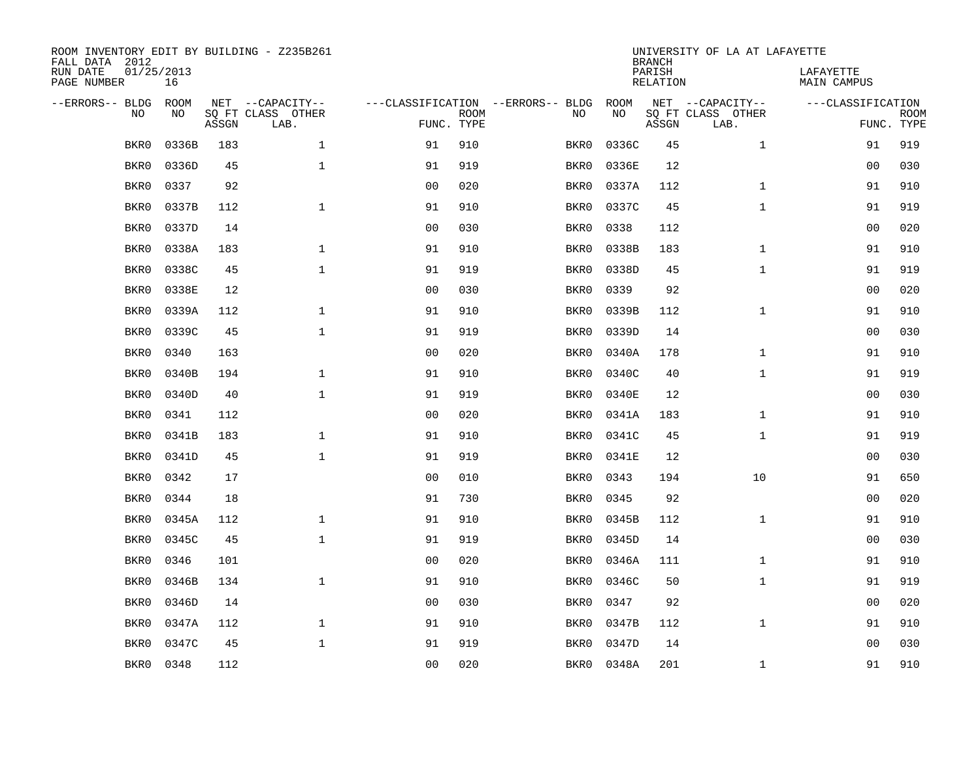| ROOM INVENTORY EDIT BY BUILDING - Z235B261<br>FALL DATA 2012 |                  |       |                           |                |                           |                                   | <b>BRANCH</b> | UNIVERSITY OF LA AT LAFAYETTE |                           |                          |                           |
|--------------------------------------------------------------|------------------|-------|---------------------------|----------------|---------------------------|-----------------------------------|---------------|-------------------------------|---------------------------|--------------------------|---------------------------|
| RUN DATE<br>PAGE NUMBER                                      | 01/25/2013<br>16 |       |                           |                |                           |                                   |               | PARISH<br><b>RELATION</b>     |                           | LAFAYETTE<br>MAIN CAMPUS |                           |
| --ERRORS-- BLDG                                              | ROOM             |       | NET --CAPACITY--          |                |                           | ---CLASSIFICATION --ERRORS-- BLDG | ROOM          |                               | NET --CAPACITY--          | ---CLASSIFICATION        |                           |
| NO                                                           | NO               | ASSGN | SQ FT CLASS OTHER<br>LAB. |                | <b>ROOM</b><br>FUNC. TYPE | NO                                | NO            | ASSGN                         | SQ FT CLASS OTHER<br>LAB. |                          | <b>ROOM</b><br>FUNC. TYPE |
| BKR0                                                         | 0336B            | 183   | $\mathbf{1}$              | 91             | 910                       | BKR0                              | 0336C         | 45                            | $\mathbf{1}$              | 91                       | 919                       |
| BKR0                                                         | 0336D            | 45    | $\mathbf{1}$              | 91             | 919                       | BKR0                              | 0336E         | 12                            |                           | 00                       | 030                       |
| BKR0                                                         | 0337             | 92    |                           | 0 <sub>0</sub> | 020                       | BKR0                              | 0337A         | 112                           | $\mathbf{1}$              | 91                       | 910                       |
| BKR0                                                         | 0337B            | 112   | $\mathbf 1$               | 91             | 910                       | BKR0                              | 0337C         | 45                            | $\mathbf{1}$              | 91                       | 919                       |
| BKR0                                                         | 0337D            | 14    |                           | 00             | 030                       | BKR0                              | 0338          | 112                           |                           | 00                       | 020                       |
| BKR0                                                         | 0338A            | 183   | $\mathbf{1}$              | 91             | 910                       | BKR0                              | 0338B         | 183                           | $\mathbf{1}$              | 91                       | 910                       |
| BKR0                                                         | 0338C            | 45    | $\mathbf{1}$              | 91             | 919                       | BKR0                              | 0338D         | 45                            | $\mathbf{1}$              | 91                       | 919                       |
| BKR0                                                         | 0338E            | 12    |                           | 0 <sub>0</sub> | 030                       | BKR0                              | 0339          | 92                            |                           | 0 <sub>0</sub>           | 020                       |
| BKR0                                                         | 0339A            | 112   | $\mathbf{1}$              | 91             | 910                       | BKR0                              | 0339B         | 112                           | $\mathbf{1}$              | 91                       | 910                       |
| BKR0                                                         | 0339C            | 45    | $\mathbf{1}$              | 91             | 919                       | BKR0                              | 0339D         | 14                            |                           | 00                       | 030                       |
| BKR0                                                         | 0340             | 163   |                           | 0 <sub>0</sub> | 020                       | BKR0                              | 0340A         | 178                           | $\mathbf{1}$              | 91                       | 910                       |
| BKR0                                                         | 0340B            | 194   | $\mathbf 1$               | 91             | 910                       | BKR0                              | 0340C         | 40                            | $\mathbf{1}$              | 91                       | 919                       |
| BKR0                                                         | 0340D            | 40    | $\mathbf{1}$              | 91             | 919                       | BKR0                              | 0340E         | 12                            |                           | 0 <sub>0</sub>           | 030                       |
| BKR0                                                         | 0341             | 112   |                           | 00             | 020                       | BKR0                              | 0341A         | 183                           | $\mathbf{1}$              | 91                       | 910                       |
| BKR0                                                         | 0341B            | 183   | $\mathbf 1$               | 91             | 910                       | BKR0                              | 0341C         | 45                            | $\mathbf{1}$              | 91                       | 919                       |
| BKR0                                                         | 0341D            | 45    | 1                         | 91             | 919                       | BKR0                              | 0341E         | 12                            |                           | 00                       | 030                       |
| BKR0                                                         | 0342             | 17    |                           | 0 <sub>0</sub> | 010                       | BKR0                              | 0343          | 194                           | 10                        | 91                       | 650                       |
| BKR0                                                         | 0344             | 18    |                           | 91             | 730                       | BKR0                              | 0345          | 92                            |                           | 00                       | 020                       |
| BKR0                                                         | 0345A            | 112   | $\mathbf{1}$              | 91             | 910                       | BKR0                              | 0345B         | 112                           | $\mathbf{1}$              | 91                       | 910                       |
| BKR0                                                         | 0345C            | 45    | $\mathbf{1}$              | 91             | 919                       | BKR0                              | 0345D         | 14                            |                           | 00                       | 030                       |
| BKR0                                                         | 0346             | 101   |                           | 0 <sub>0</sub> | 020                       | BKR0                              | 0346A         | 111                           | $\mathbf{1}$              | 91                       | 910                       |
| BKR0                                                         | 0346B            | 134   | $\mathbf{1}$              | 91             | 910                       | BKR0                              | 0346C         | 50                            | $\mathbf{1}$              | 91                       | 919                       |
| BKR0                                                         | 0346D            | 14    |                           | 0 <sub>0</sub> | 030                       | BKR0                              | 0347          | 92                            |                           | 0 <sub>0</sub>           | 020                       |
| BKR0                                                         | 0347A            | 112   | $\mathbf 1$               | 91             | 910                       | BKR0                              | 0347B         | 112                           | $\mathbf{1}$              | 91                       | 910                       |
| BKR0                                                         | 0347C            | 45    | $\mathbf 1$               | 91             | 919                       | BKR0                              | 0347D         | 14                            |                           | 0 <sub>0</sub>           | 030                       |
| BKR0                                                         | 0348             | 112   |                           | 00             | 020                       | BKR0                              | 0348A         | 201                           | $\mathbf{1}$              | 91                       | 910                       |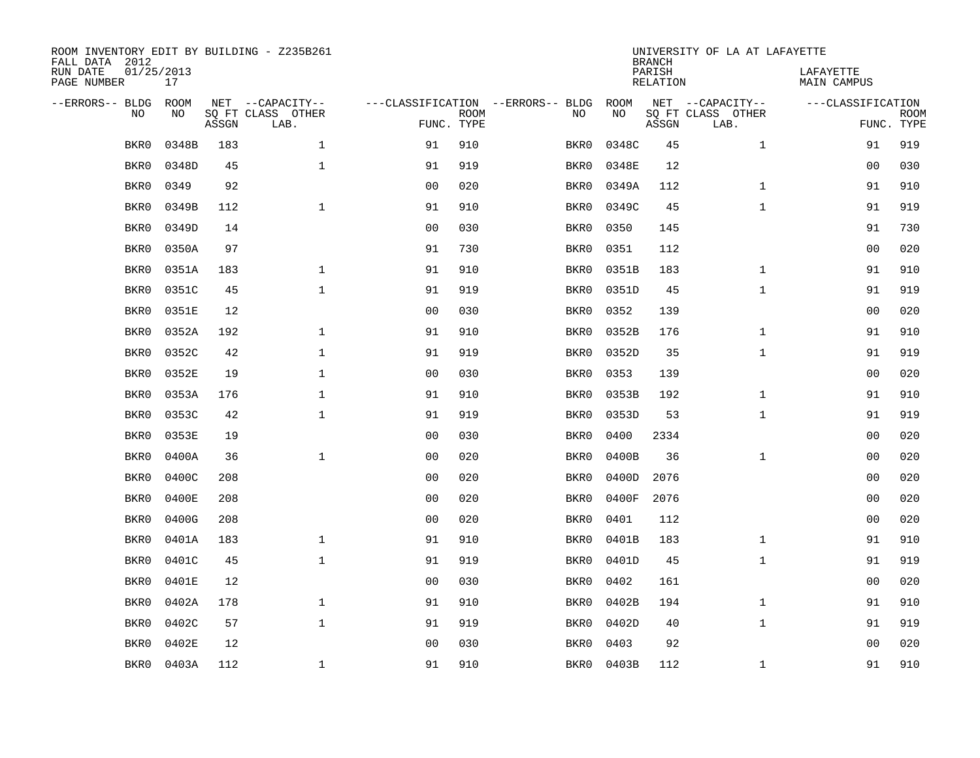| ROOM INVENTORY EDIT BY BUILDING - Z235B261<br>FALL DATA 2012 |                  |       | UNIVERSITY OF LA AT LAFAYETTE<br><b>BRANCH</b> |                |             |                                   |       |                           |                           |                          |                           |
|--------------------------------------------------------------|------------------|-------|------------------------------------------------|----------------|-------------|-----------------------------------|-------|---------------------------|---------------------------|--------------------------|---------------------------|
| RUN DATE<br>PAGE NUMBER                                      | 01/25/2013<br>17 |       |                                                |                |             |                                   |       | PARISH<br><b>RELATION</b> |                           | LAFAYETTE<br>MAIN CAMPUS |                           |
| --ERRORS-- BLDG                                              | ROOM             |       | NET --CAPACITY--                               |                |             | ---CLASSIFICATION --ERRORS-- BLDG | ROOM  |                           | NET --CAPACITY--          | ---CLASSIFICATION        |                           |
| NO                                                           | NO               | ASSGN | SQ FT CLASS OTHER<br>LAB.                      | FUNC. TYPE     | <b>ROOM</b> | NO                                | NO    | ASSGN                     | SQ FT CLASS OTHER<br>LAB. |                          | <b>ROOM</b><br>FUNC. TYPE |
| BKR0                                                         | 0348B            | 183   | $\mathbf{1}$                                   | 91             | 910         | BKR0                              | 0348C | 45                        | $\mathbf{1}$              | 91                       | 919                       |
| BKR0                                                         | 0348D            | 45    | $\mathbf 1$                                    | 91             | 919         | BKR0                              | 0348E | 12                        |                           | 00                       | 030                       |
| BKR0                                                         | 0349             | 92    |                                                | 0 <sub>0</sub> | 020         | BKR0                              | 0349A | 112                       | $\mathbf{1}$              | 91                       | 910                       |
| BKR0                                                         | 0349B            | 112   | $\mathbf{1}$                                   | 91             | 910         | BKR0                              | 0349C | 45                        | $\mathbf{1}$              | 91                       | 919                       |
| BKR0                                                         | 0349D            | 14    |                                                | 00             | 030         | BKR0                              | 0350  | 145                       |                           | 91                       | 730                       |
| BKR0                                                         | 0350A            | 97    |                                                | 91             | 730         | BKR0                              | 0351  | 112                       |                           | 0 <sub>0</sub>           | 020                       |
| BKR0                                                         | 0351A            | 183   | $\mathbf{1}$                                   | 91             | 910         | BKR0                              | 0351B | 183                       | $\mathbf{1}$              | 91                       | 910                       |
| BKR0                                                         | 0351C            | 45    | $\mathbf{1}$                                   | 91             | 919         | BKR0                              | 0351D | 45                        | $\mathbf{1}$              | 91                       | 919                       |
| BKR0                                                         | 0351E            | 12    |                                                | 0 <sub>0</sub> | 030         | BKR0                              | 0352  | 139                       |                           | 0 <sub>0</sub>           | 020                       |
| BKR0                                                         | 0352A            | 192   | $\mathbf 1$                                    | 91             | 910         | BKR0                              | 0352B | 176                       | $\mathbf{1}$              | 91                       | 910                       |
| BKR0                                                         | 0352C            | 42    | $\mathbf 1$                                    | 91             | 919         | BKR0                              | 0352D | 35                        | $\mathbf{1}$              | 91                       | 919                       |
| BKR0                                                         | 0352E            | 19    | $\mathbf 1$                                    | 0 <sub>0</sub> | 030         | BKR0                              | 0353  | 139                       |                           | 00                       | 020                       |
| BKR0                                                         | 0353A            | 176   | $\mathbf 1$                                    | 91             | 910         | BKR0                              | 0353B | 192                       | $\mathbf{1}$              | 91                       | 910                       |
| BKR0                                                         | 0353C            | 42    | $\mathbf 1$                                    | 91             | 919         | BKR0                              | 0353D | 53                        | $\mathbf{1}$              | 91                       | 919                       |
| BKR0                                                         | 0353E            | 19    |                                                | 0 <sub>0</sub> | 030         | BKR0                              | 0400  | 2334                      |                           | 00                       | 020                       |
| BKR0                                                         | 0400A            | 36    | $\mathbf 1$                                    | 0 <sub>0</sub> | 020         | BKR0                              | 0400B | 36                        | $\mathbf{1}$              | 00                       | 020                       |
| BKR0                                                         | 0400C            | 208   |                                                | 0 <sub>0</sub> | 020         | BKR0                              | 0400D | 2076                      |                           | 0 <sub>0</sub>           | 020                       |
| BKR0                                                         | 0400E            | 208   |                                                | 0 <sub>0</sub> | 020         | BKR0                              | 0400F | 2076                      |                           | 0 <sub>0</sub>           | 020                       |
| BKR0                                                         | 0400G            | 208   |                                                | 0 <sub>0</sub> | 020         | BKR0                              | 0401  | 112                       |                           | 0 <sub>0</sub>           | 020                       |
| BKR0                                                         | 0401A            | 183   | $\mathbf 1$                                    | 91             | 910         | BKR0                              | 0401B | 183                       | $\mathbf{1}$              | 91                       | 910                       |
| BKR0                                                         | 0401C            | 45    | $\mathbf 1$                                    | 91             | 919         | BKR0                              | 0401D | 45                        | $\mathbf{1}$              | 91                       | 919                       |
| BKR0                                                         | 0401E            | 12    |                                                | 0 <sub>0</sub> | 030         | BKR0                              | 0402  | 161                       |                           | 00                       | 020                       |
| BKR0                                                         | 0402A            | 178   | $\mathbf{1}$                                   | 91             | 910         | BKR0                              | 0402B | 194                       | $\mathbf{1}$              | 91                       | 910                       |
| BKR0                                                         | 0402C            | 57    | $\mathbf{1}$                                   | 91             | 919         | BKR0                              | 0402D | 40                        | $\mathbf{1}$              | 91                       | 919                       |
| BKR0                                                         | 0402E            | 12    |                                                | 0 <sub>0</sub> | 030         | BKR0                              | 0403  | 92                        |                           | 00                       | 020                       |
| BKR0                                                         | 0403A            | 112   | $\mathbf 1$                                    | 91             | 910         | BKR0                              | 0403B | 112                       | $\mathbf{1}$              | 91                       | 910                       |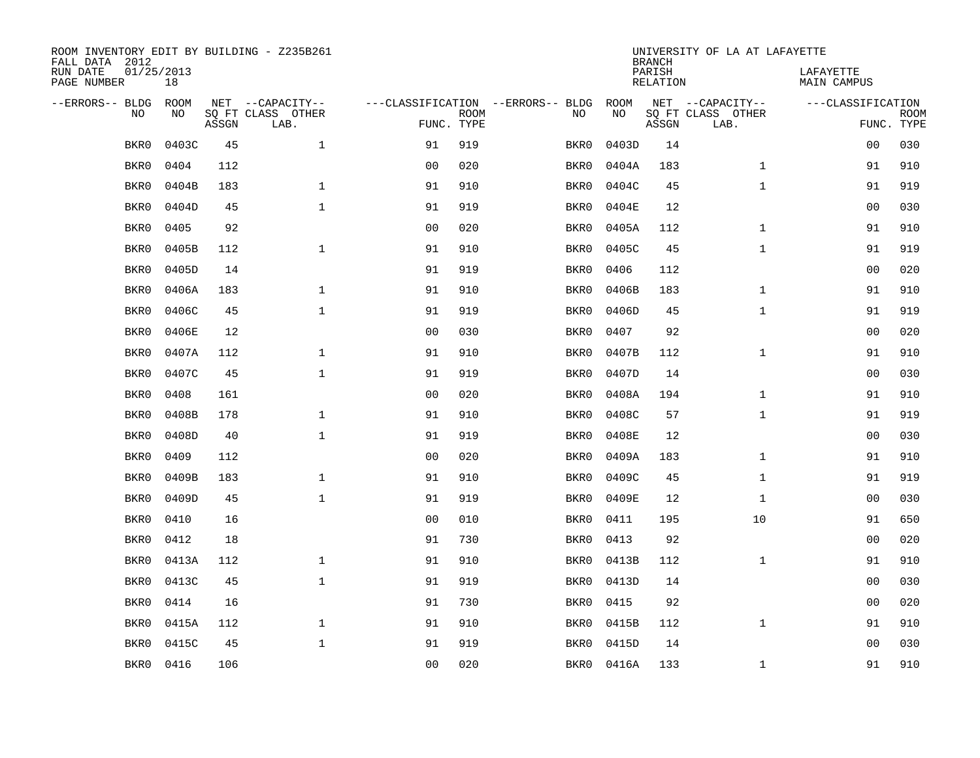| ROOM INVENTORY EDIT BY BUILDING - Z235B261<br>FALL DATA 2012 |                  |       |                           |                |             |                                   | <b>BRANCH</b> | UNIVERSITY OF LA AT LAFAYETTE |                           |                          |             |
|--------------------------------------------------------------|------------------|-------|---------------------------|----------------|-------------|-----------------------------------|---------------|-------------------------------|---------------------------|--------------------------|-------------|
| RUN DATE<br>PAGE NUMBER                                      | 01/25/2013<br>18 |       |                           |                |             |                                   |               | PARISH<br><b>RELATION</b>     |                           | LAFAYETTE<br>MAIN CAMPUS |             |
| --ERRORS-- BLDG                                              | ROOM             |       | NET --CAPACITY--          |                |             | ---CLASSIFICATION --ERRORS-- BLDG | ROOM          |                               | NET --CAPACITY--          | ---CLASSIFICATION        |             |
| NO                                                           | NO               | ASSGN | SQ FT CLASS OTHER<br>LAB. | FUNC. TYPE     | <b>ROOM</b> | NO                                | NO            | ASSGN                         | SQ FT CLASS OTHER<br>LAB. | FUNC. TYPE               | <b>ROOM</b> |
| BKR0                                                         | 0403C            | 45    | $\mathbf{1}$              | 91             | 919         | BKR0                              | 0403D         | 14                            |                           | 0 <sub>0</sub>           | 030         |
| BKR0                                                         | 0404             | 112   |                           | 0 <sub>0</sub> | 020         | BKR0                              | 0404A         | 183                           | $\mathbf{1}$              | 91                       | 910         |
| BKR0                                                         | 0404B            | 183   | $\mathbf{1}$              | 91             | 910         | BKR0                              | 0404C         | 45                            | $\mathbf{1}$              | 91                       | 919         |
| BKR0                                                         | 0404D            | 45    | $\mathbf{1}$              | 91             | 919         | BKR0                              | 0404E         | 12                            |                           | 0 <sub>0</sub>           | 030         |
| BKR0                                                         | 0405             | 92    |                           | 00             | 020         | BKR0                              | 0405A         | 112                           | $\mathbf{1}$              | 91                       | 910         |
| BKR0                                                         | 0405B            | 112   | $\mathbf{1}$              | 91             | 910         | BKR0                              | 0405C         | 45                            | $\mathbf{1}$              | 91                       | 919         |
| BKR0                                                         | 0405D            | 14    |                           | 91             | 919         | BKR0                              | 0406          | 112                           |                           | 00                       | 020         |
| BKR0                                                         | 0406A            | 183   | $\mathbf{1}$              | 91             | 910         | BKR0                              | 0406B         | 183                           | $\mathbf{1}$              | 91                       | 910         |
| BKR0                                                         | 0406C            | 45    | $\mathbf{1}$              | 91             | 919         | BKR0                              | 0406D         | 45                            | $\mathbf{1}$              | 91                       | 919         |
| BKR0                                                         | 0406E            | 12    |                           | 0 <sub>0</sub> | 030         | BKR0                              | 0407          | 92                            |                           | 00                       | 020         |
| BKR0                                                         | 0407A            | 112   | $\mathbf{1}$              | 91             | 910         | BKR0                              | 0407B         | 112                           | $\mathbf{1}$              | 91                       | 910         |
| BKR0                                                         | 0407C            | 45    | $\mathbf{1}$              | 91             | 919         | BKR0                              | 0407D         | 14                            |                           | 0 <sub>0</sub>           | 030         |
| BKR0                                                         | 0408             | 161   |                           | 00             | 020         | BKR0                              | 0408A         | 194                           | $\mathbf{1}$              | 91                       | 910         |
| BKR0                                                         | 0408B            | 178   | $\mathbf{1}$              | 91             | 910         | BKR0                              | 0408C         | 57                            | $\mathbf{1}$              | 91                       | 919         |
| BKR0                                                         | 0408D            | 40    | $\mathbf 1$               | 91             | 919         | BKR0                              | 0408E         | 12                            |                           | 00                       | 030         |
| BKR0                                                         | 0409             | 112   |                           | 0 <sub>0</sub> | 020         | BKR0                              | 0409A         | 183                           | $\mathbf{1}$              | 91                       | 910         |
| BKR0                                                         | 0409B            | 183   | $\mathbf 1$               | 91             | 910         | BKR0                              | 0409C         | 45                            | $\mathbf{1}$              | 91                       | 919         |
| BKR0                                                         | 0409D            | 45    | $\mathbf{1}$              | 91             | 919         | BKR0                              | 0409E         | 12                            | $\mathbf{1}$              | 00                       | 030         |
| BKR0                                                         | 0410             | 16    |                           | 0 <sub>0</sub> | 010         | BKR0                              | 0411          | 195                           | 10                        | 91                       | 650         |
| BKR0                                                         | 0412             | 18    |                           | 91             | 730         | BKR0                              | 0413          | 92                            |                           | 00                       | 020         |
| BKR0                                                         | 0413A            | 112   | $\mathbf{1}$              | 91             | 910         | BKR0                              | 0413B         | 112                           | $\mathbf{1}$              | 91                       | 910         |
| BKR0                                                         | 0413C            | 45    | $\mathbf{1}$              | 91             | 919         | BKR0                              | 0413D         | 14                            |                           | 0 <sub>0</sub>           | 030         |
| BKR0                                                         | 0414             | 16    |                           | 91             | 730         | BKR0                              | 0415          | 92                            |                           | 0 <sub>0</sub>           | 020         |
| BKR0                                                         | 0415A            | 112   | $\mathbf{1}$              | 91             | 910         | BKR0                              | 0415B         | 112                           | $\mathbf{1}$              | 91                       | 910         |
| BKR0                                                         | 0415C            | 45    | $\mathbf 1$               | 91             | 919         | BKR0                              | 0415D         | 14                            |                           | 0 <sub>0</sub>           | 030         |
| BKR0                                                         | 0416             | 106   |                           | 00             | 020         |                                   | BKR0 0416A    | 133                           | $\mathbf{1}$              | 91                       | 910         |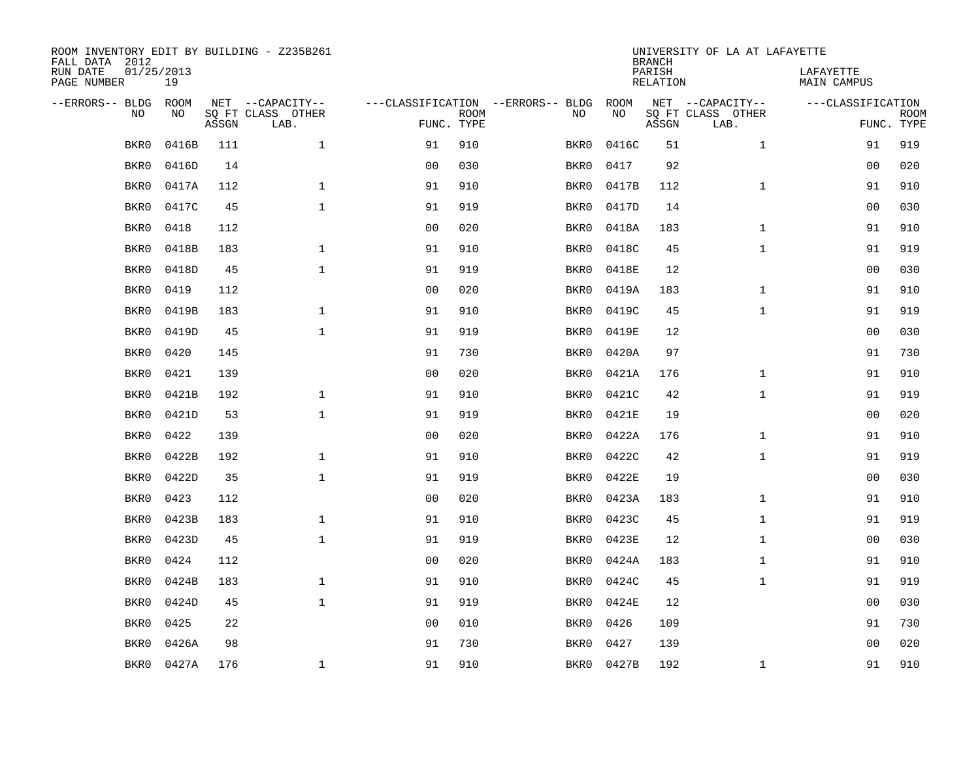| ROOM INVENTORY EDIT BY BUILDING - Z235B261<br>FALL DATA 2012 |                  |       |                           |                |             |                                   | <b>BRANCH</b> | UNIVERSITY OF LA AT LAFAYETTE |                           |                                 |                           |
|--------------------------------------------------------------|------------------|-------|---------------------------|----------------|-------------|-----------------------------------|---------------|-------------------------------|---------------------------|---------------------------------|---------------------------|
| RUN DATE<br>PAGE NUMBER                                      | 01/25/2013<br>19 |       |                           |                |             |                                   |               | PARISH<br><b>RELATION</b>     |                           | LAFAYETTE<br><b>MAIN CAMPUS</b> |                           |
| --ERRORS-- BLDG                                              | ROOM             |       | NET --CAPACITY--          |                |             | ---CLASSIFICATION --ERRORS-- BLDG | ROOM          |                               | NET --CAPACITY--          | ---CLASSIFICATION               |                           |
| NO                                                           | NO               | ASSGN | SQ FT CLASS OTHER<br>LAB. | FUNC. TYPE     | <b>ROOM</b> | NO                                | NO            | ASSGN                         | SQ FT CLASS OTHER<br>LAB. |                                 | <b>ROOM</b><br>FUNC. TYPE |
| BKR0                                                         | 0416B            | 111   | $\mathbf 1$               | 91             | 910         | BKR0                              | 0416C         | 51                            | $\mathbf{1}$              | 91                              | 919                       |
| BKR0                                                         | 0416D            | 14    |                           | 0 <sub>0</sub> | 030         | BKR0                              | 0417          | 92                            |                           | 00                              | 020                       |
| BKR0                                                         | 0417A            | 112   | $\mathbf 1$               | 91             | 910         | BKR0                              | 0417B         | 112                           | $\mathbf{1}$              | 91                              | 910                       |
| BKR0                                                         | 0417C            | 45    | $\mathbf 1$               | 91             | 919         | BKR0                              | 0417D         | 14                            |                           | 00                              | 030                       |
| BKR0                                                         | 0418             | 112   |                           | 0 <sub>0</sub> | 020         | BKR0                              | 0418A         | 183                           | $\mathbf{1}$              | 91                              | 910                       |
| BKR0                                                         | 0418B            | 183   | $\mathbf 1$               | 91             | 910         | BKR0                              | 0418C         | 45                            | $\mathbf{1}$              | 91                              | 919                       |
| BKR0                                                         | 0418D            | 45    | $\mathbf{1}$              | 91             | 919         | BKR0                              | 0418E         | 12                            |                           | 0 <sub>0</sub>                  | 030                       |
| BKR0                                                         | 0419             | 112   |                           | 0 <sub>0</sub> | 020         | BKR0                              | 0419A         | 183                           | $\mathbf{1}$              | 91                              | 910                       |
| BKR0                                                         | 0419B            | 183   | $\mathbf{1}$              | 91             | 910         | BKR0                              | 0419C         | 45                            | $\mathbf{1}$              | 91                              | 919                       |
| BKR0                                                         | 0419D            | 45    | $\mathbf{1}$              | 91             | 919         | BKR0                              | 0419E         | 12                            |                           | 00                              | 030                       |
| BKR0                                                         | 0420             | 145   |                           | 91             | 730         | BKR0                              | 0420A         | 97                            |                           | 91                              | 730                       |
| BKR0                                                         | 0421             | 139   |                           | 0 <sub>0</sub> | 020         | BKR0                              | 0421A         | 176                           | $\mathbf{1}$              | 91                              | 910                       |
| BKR0                                                         | 0421B            | 192   | $\mathbf{1}$              | 91             | 910         | BKR0                              | 0421C         | 42                            | $\mathbf{1}$              | 91                              | 919                       |
| BKR0                                                         | 0421D            | 53    | $\mathbf{1}$              | 91             | 919         | BKR0                              | 0421E         | 19                            |                           | 00                              | 020                       |
| BKR0                                                         | 0422             | 139   |                           | 0 <sub>0</sub> | 020         | BKR0                              | 0422A         | 176                           | $\mathbf{1}$              | 91                              | 910                       |
| BKR0                                                         | 0422B            | 192   | 1                         | 91             | 910         | BKR0                              | 0422C         | 42                            | $\mathbf{1}$              | 91                              | 919                       |
| BKR0                                                         | 0422D            | 35    | $\mathbf{1}$              | 91             | 919         | BKR0                              | 0422E         | 19                            |                           | 0 <sub>0</sub>                  | 030                       |
| BKR0                                                         | 0423             | 112   |                           | 0 <sub>0</sub> | 020         | BKR0                              | 0423A         | 183                           | $\mathbf{1}$              | 91                              | 910                       |
| BKR0                                                         | 0423B            | 183   | $\mathbf 1$               | 91             | 910         | BKR0                              | 0423C         | 45                            | $\mathbf{1}$              | 91                              | 919                       |
| BKR0                                                         | 0423D            | 45    | $\mathbf{1}$              | 91             | 919         | BKR0                              | 0423E         | 12                            | $\mathbf{1}$              | 00                              | 030                       |
| BKR0                                                         | 0424             | 112   |                           | 0 <sub>0</sub> | 020         | BKR0                              | 0424A         | 183                           | $\mathbf{1}$              | 91                              | 910                       |
| BKR0                                                         | 0424B            | 183   | $\mathbf{1}$              | 91             | 910         | BKR0                              | 0424C         | 45                            | $\mathbf{1}$              | 91                              | 919                       |
| BKR0                                                         | 0424D            | 45    | $\mathbf{1}$              | 91             | 919         | BKR0                              | 0424E         | 12                            |                           | 0 <sub>0</sub>                  | 030                       |
| BKR0                                                         | 0425             | 22    |                           | 0 <sub>0</sub> | 010         | BKR0                              | 0426          | 109                           |                           | 91                              | 730                       |
| BKR0                                                         | 0426A            | 98    |                           | 91             | 730         | BKR0                              | 0427          | 139                           |                           | 0 <sub>0</sub>                  | 020                       |
| BKR0                                                         | 0427A            | 176   | 1                         | 91             | 910         |                                   | BKR0 0427B    | 192                           | $\mathbf{1}$              | 91                              | 910                       |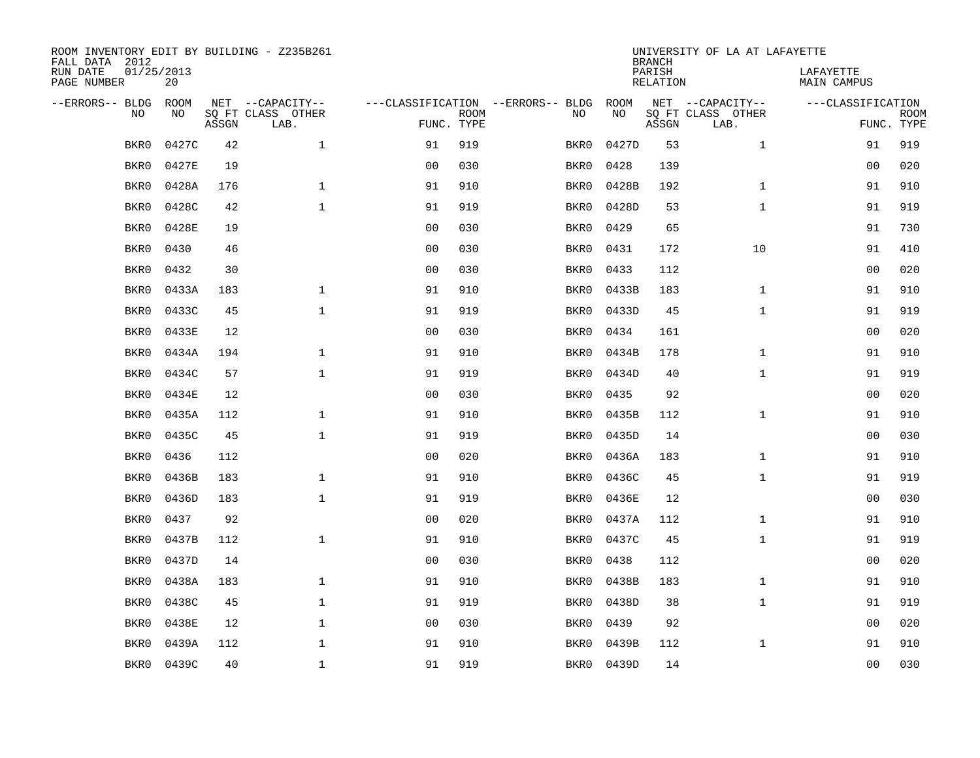| ROOM INVENTORY EDIT BY BUILDING - Z235B261<br>FALL DATA 2012 |                  |       |                           |                |             |                                   | <b>BRANCH</b> | UNIVERSITY OF LA AT LAFAYETTE |                           |                          |             |
|--------------------------------------------------------------|------------------|-------|---------------------------|----------------|-------------|-----------------------------------|---------------|-------------------------------|---------------------------|--------------------------|-------------|
| RUN DATE<br>PAGE NUMBER                                      | 01/25/2013<br>20 |       |                           |                |             |                                   |               | PARISH<br>RELATION            |                           | LAFAYETTE<br>MAIN CAMPUS |             |
| --ERRORS-- BLDG                                              | ROOM             |       | NET --CAPACITY--          |                |             | ---CLASSIFICATION --ERRORS-- BLDG | ROOM          |                               | NET --CAPACITY--          | ---CLASSIFICATION        |             |
| N <sub>O</sub>                                               | NO.              | ASSGN | SQ FT CLASS OTHER<br>LAB. | FUNC. TYPE     | <b>ROOM</b> | NO.                               | <b>NO</b>     | ASSGN                         | SQ FT CLASS OTHER<br>LAB. | FUNC. TYPE               | <b>ROOM</b> |
| BKR0                                                         | 0427C            | 42    | $\mathbf{1}$              | 91             | 919         | BKR0                              | 0427D         | 53                            | $\mathbf{1}$              | 91                       | 919         |
| BKR0                                                         | 0427E            | 19    |                           | 0 <sub>0</sub> | 030         | BKR0                              | 0428          | 139                           |                           | 0 <sub>0</sub>           | 020         |
| BKR0                                                         | 0428A            | 176   | $\mathbf 1$               | 91             | 910         | BKR0                              | 0428B         | 192                           | $\mathbf{1}$              | 91                       | 910         |
| BKR0                                                         | 0428C            | 42    | $\mathbf 1$               | 91             | 919         | BKR0                              | 0428D         | 53                            | $\mathbf{1}$              | 91                       | 919         |
| BKR0                                                         | 0428E            | 19    |                           | 00             | 030         | BKR0                              | 0429          | 65                            |                           | 91                       | 730         |
| BKR0                                                         | 0430             | 46    |                           | 0 <sub>0</sub> | 030         | BKR0                              | 0431          | 172                           | 10                        | 91                       | 410         |
| BKR0                                                         | 0432             | 30    |                           | 0 <sub>0</sub> | 030         | BKR0                              | 0433          | 112                           |                           | 0 <sub>0</sub>           | 020         |
| BKR0                                                         | 0433A            | 183   | $\mathbf{1}$              | 91             | 910         | BKR0                              | 0433B         | 183                           | $\mathbf{1}$              | 91                       | 910         |
| BKR0                                                         | 0433C            | 45    | $\mathbf{1}$              | 91             | 919         | BKR0                              | 0433D         | 45                            | $\mathbf{1}$              | 91                       | 919         |
| BKR0                                                         | 0433E            | 12    |                           | 0 <sub>0</sub> | 030         | BKR0                              | 0434          | 161                           |                           | 0 <sub>0</sub>           | 020         |
| BKR0                                                         | 0434A            | 194   | $\mathbf{1}$              | 91             | 910         | BKR0                              | 0434B         | 178                           | $\mathbf{1}$              | 91                       | 910         |
| BKR0                                                         | 0434C            | 57    | $\mathbf{1}$              | 91             | 919         | BKR0                              | 0434D         | 40                            | $\mathbf{1}$              | 91                       | 919         |
| BKR0                                                         | 0434E            | 12    |                           | 0 <sub>0</sub> | 030         | BKR0                              | 0435          | 92                            |                           | 00                       | 020         |
| BKR0                                                         | 0435A            | 112   | $\mathbf 1$               | 91             | 910         | BKR0                              | 0435B         | 112                           | $\mathbf{1}$              | 91                       | 910         |
| BKR0                                                         | 0435C            | 45    | $\mathbf{1}$              | 91             | 919         | BKR0                              | 0435D         | 14                            |                           | 00                       | 030         |
| BKR0                                                         | 0436             | 112   |                           | 0 <sub>0</sub> | 020         | BKR0                              | 0436A         | 183                           | $\mathbf{1}$              | 91                       | 910         |
| BKR0                                                         | 0436B            | 183   | $\mathbf 1$               | 91             | 910         | BKR0                              | 0436C         | 45                            | $\mathbf{1}$              | 91                       | 919         |
| BKR0                                                         | 0436D            | 183   | $\mathbf{1}$              | 91             | 919         | BKR0                              | 0436E         | 12                            |                           | 00                       | 030         |
| BKR0                                                         | 0437             | 92    |                           | 0 <sub>0</sub> | 020         | BKR0                              | 0437A         | 112                           | $\mathbf{1}$              | 91                       | 910         |
| BKR0                                                         | 0437B            | 112   | $\mathbf{1}$              | 91             | 910         | BKR0                              | 0437C         | 45                            | $\mathbf{1}$              | 91                       | 919         |
| BKR0                                                         | 0437D            | 14    |                           | 0 <sub>0</sub> | 030         | BKR0                              | 0438          | 112                           |                           | 0 <sub>0</sub>           | 020         |
| BKR0                                                         | 0438A            | 183   | $\mathbf 1$               | 91             | 910         | BKR0                              | 0438B         | 183                           | $\mathbf{1}$              | 91                       | 910         |
| BKR0                                                         | 0438C            | 45    | $\mathbf 1$               | 91             | 919         | BKR0                              | 0438D         | 38                            | $\mathbf{1}$              | 91                       | 919         |
| BKR0                                                         | 0438E            | 12    | $\mathbf 1$               | 0 <sub>0</sub> | 030         | BKR0                              | 0439          | 92                            |                           | 00                       | 020         |
| BKR0                                                         | 0439A            | 112   | $\mathbf 1$               | 91             | 910         | BKR0                              | 0439B         | 112                           | $\mathbf{1}$              | 91                       | 910         |
| BKR0                                                         | 0439C            | 40    | $\mathbf{1}$              | 91             | 919         | BKR0                              | 0439D         | 14                            |                           | 0 <sub>0</sub>           | 030         |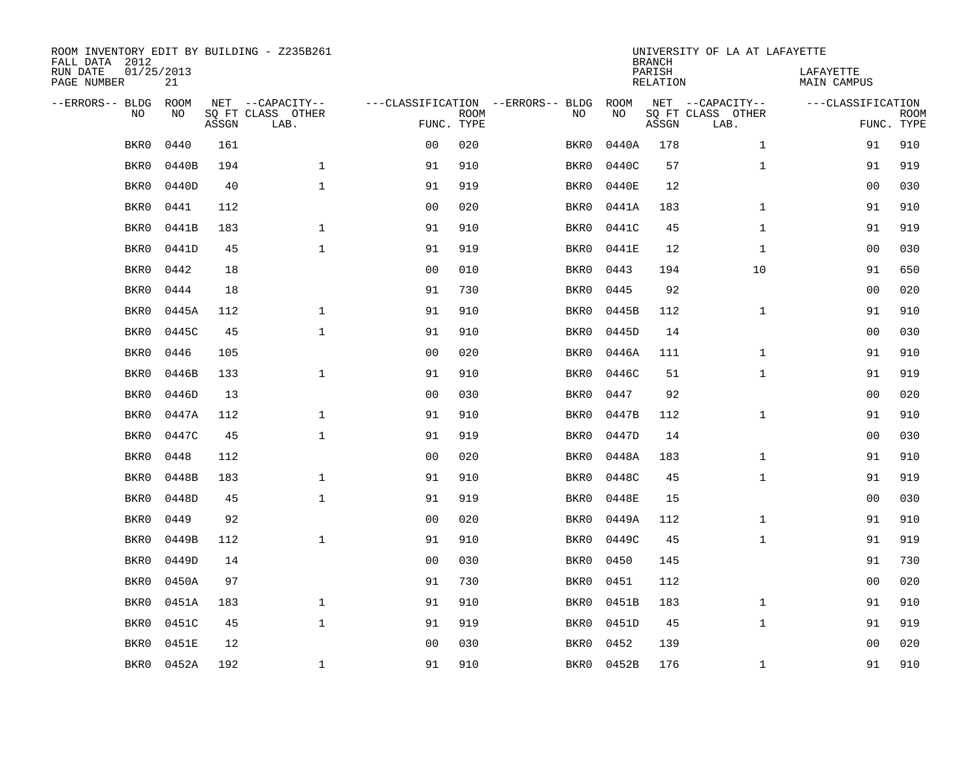| ROOM INVENTORY EDIT BY BUILDING - Z235B261<br>FALL DATA 2012 |                  |       |                           |                |             |                                   | <b>BRANCH</b> | UNIVERSITY OF LA AT LAFAYETTE |                           |                                 |                           |
|--------------------------------------------------------------|------------------|-------|---------------------------|----------------|-------------|-----------------------------------|---------------|-------------------------------|---------------------------|---------------------------------|---------------------------|
| RUN DATE<br>PAGE NUMBER                                      | 01/25/2013<br>21 |       |                           |                |             |                                   |               | PARISH<br><b>RELATION</b>     |                           | LAFAYETTE<br><b>MAIN CAMPUS</b> |                           |
| --ERRORS-- BLDG                                              | ROOM             |       | NET --CAPACITY--          |                |             | ---CLASSIFICATION --ERRORS-- BLDG | ROOM          |                               | NET --CAPACITY--          | ---CLASSIFICATION               |                           |
| NO                                                           | NO               | ASSGN | SQ FT CLASS OTHER<br>LAB. | FUNC. TYPE     | <b>ROOM</b> | NO                                | NO            | ASSGN                         | SQ FT CLASS OTHER<br>LAB. |                                 | <b>ROOM</b><br>FUNC. TYPE |
| BKR0                                                         | 0440             | 161   |                           | 0 <sub>0</sub> | 020         | BKR0                              | 0440A         | 178                           | $\mathbf{1}$              | 91                              | 910                       |
| BKR0                                                         | 0440B            | 194   | $\mathbf 1$               | 91             | 910         | BKR0                              | 0440C         | 57                            | $\mathbf{1}$              | 91                              | 919                       |
| BKR0                                                         | 0440D            | 40    | $\mathbf 1$               | 91             | 919         | BKR0                              | 0440E         | 12                            |                           | 00                              | 030                       |
| BKR0                                                         | 0441             | 112   |                           | 0 <sub>0</sub> | 020         | BKR0                              | 0441A         | 183                           | $\mathbf{1}$              | 91                              | 910                       |
| BKR0                                                         | 0441B            | 183   | $\mathbf{1}$              | 91             | 910         | BKR0                              | 0441C         | 45                            | $\mathbf{1}$              | 91                              | 919                       |
| BKR0                                                         | 0441D            | 45    | $\mathbf{1}$              | 91             | 919         | BKR0                              | 0441E         | 12                            | $\mathbf{1}$              | 00                              | 030                       |
| BKR0                                                         | 0442             | 18    |                           | 0 <sub>0</sub> | 010         | BKR0                              | 0443          | 194                           | 10                        | 91                              | 650                       |
| BKR0                                                         | 0444             | 18    |                           | 91             | 730         | BKR0                              | 0445          | 92                            |                           | 0 <sub>0</sub>                  | 020                       |
| BKR0                                                         | 0445A            | 112   | $\mathbf{1}$              | 91             | 910         | BKR0                              | 0445B         | 112                           | $\mathbf{1}$              | 91                              | 910                       |
| BKR0                                                         | 0445C            | 45    | $\mathbf{1}$              | 91             | 910         | BKR0                              | 0445D         | 14                            |                           | 00                              | 030                       |
| BKR0                                                         | 0446             | 105   |                           | 0 <sub>0</sub> | 020         | BKR0                              | 0446A         | 111                           | $\mathbf{1}$              | 91                              | 910                       |
| BKR0                                                         | 0446B            | 133   | $\mathbf{1}$              | 91             | 910         | BKR0                              | 0446C         | 51                            | $\mathbf{1}$              | 91                              | 919                       |
| BKR0                                                         | 0446D            | 13    |                           | 0 <sub>0</sub> | 030         | BKR0                              | 0447          | 92                            |                           | 0 <sub>0</sub>                  | 020                       |
| BKR0                                                         | 0447A            | 112   | $\mathbf 1$               | 91             | 910         | BKR0                              | 0447B         | 112                           | $\mathbf{1}$              | 91                              | 910                       |
| BKR0                                                         | 0447C            | 45    | $\mathbf{1}$              | 91             | 919         | BKR0                              | 0447D         | 14                            |                           | 0 <sub>0</sub>                  | 030                       |
| BKR0                                                         | 0448             | 112   |                           | 00             | 020         | BKR0                              | 0448A         | 183                           | $\mathbf{1}$              | 91                              | 910                       |
| BKR0                                                         | 0448B            | 183   | $\mathbf{1}$              | 91             | 910         | BKR0                              | 0448C         | 45                            | $\mathbf{1}$              | 91                              | 919                       |
| BKR0                                                         | 0448D            | 45    | $\mathbf{1}$              | 91             | 919         | BKR0                              | 0448E         | 15                            |                           | 00                              | 030                       |
| BKR0                                                         | 0449             | 92    |                           | 0 <sub>0</sub> | 020         | BKR0                              | 0449A         | 112                           | $\mathbf{1}$              | 91                              | 910                       |
| BKR0                                                         | 0449B            | 112   | $\mathbf{1}$              | 91             | 910         | BKR0                              | 0449C         | 45                            | $\mathbf{1}$              | 91                              | 919                       |
| BKR0                                                         | 0449D            | 14    |                           | 0 <sub>0</sub> | 030         | BKR0                              | 0450          | 145                           |                           | 91                              | 730                       |
| BKR0                                                         | 0450A            | 97    |                           | 91             | 730         | BKR0                              | 0451          | 112                           |                           | 0 <sub>0</sub>                  | 020                       |
| BKR0                                                         | 0451A            | 183   | $\mathbf{1}$              | 91             | 910         | BKR0                              | 0451B         | 183                           | $\mathbf{1}$              | 91                              | 910                       |
| BKR0                                                         | 0451C            | 45    | $\mathbf 1$               | 91             | 919         | BKR0                              | 0451D         | 45                            | $\mathbf{1}$              | 91                              | 919                       |
| BKR0                                                         | 0451E            | 12    |                           | 0 <sub>0</sub> | 030         | BKR0                              | 0452          | 139                           |                           | 0 <sub>0</sub>                  | 020                       |
| BKR0                                                         | 0452A            | 192   | 1                         | 91             | 910         |                                   | BKR0 0452B    | 176                           | $\mathbf{1}$              | 91                              | 910                       |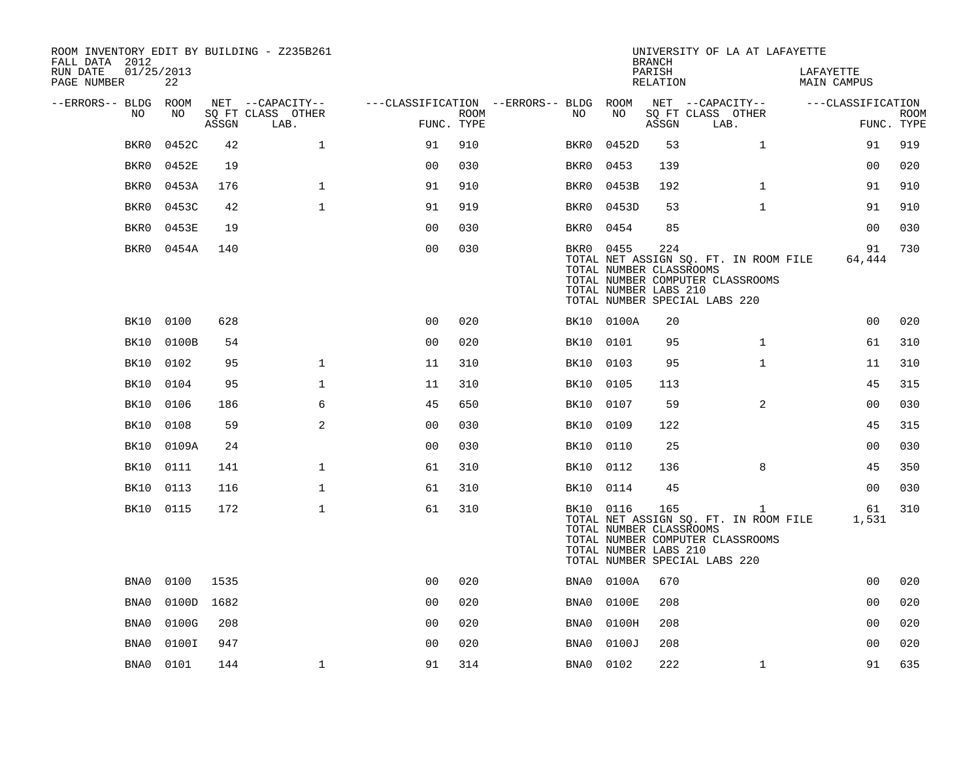| ROOM INVENTORY EDIT BY BUILDING - Z235B261<br>FALL DATA 2012 |            |       |                           |                                        |      |           | <b>BRANCH</b>                                    | UNIVERSITY OF LA AT LAFAYETTE |                                                                                                                            |                          |                           |
|--------------------------------------------------------------|------------|-------|---------------------------|----------------------------------------|------|-----------|--------------------------------------------------|-------------------------------|----------------------------------------------------------------------------------------------------------------------------|--------------------------|---------------------------|
| 01/25/2013<br>RUN DATE<br>PAGE NUMBER                        | 22         |       |                           |                                        |      |           |                                                  | PARISH<br>RELATION            |                                                                                                                            | LAFAYETTE<br>MAIN CAMPUS |                           |
| --ERRORS-- BLDG ROOM                                         |            |       | NET --CAPACITY--          | ---CLASSIFICATION --ERRORS-- BLDG ROOM |      |           |                                                  |                               | NET --CAPACITY--                                                                                                           | ---CLASSIFICATION        |                           |
| NO                                                           | NO         | ASSGN | SQ FT CLASS OTHER<br>LAB. | FUNC. TYPE                             | ROOM | NO.       | NO                                               | ASSGN                         | SQ FT CLASS OTHER<br>LAB.                                                                                                  |                          | <b>ROOM</b><br>FUNC. TYPE |
| BKR0                                                         | 0452C      | 42    | $\mathbf 1$               | 91                                     | 910  | BKR0      | 0452D                                            | 53                            | $\mathbf{1}$                                                                                                               | 91                       | 919                       |
| BKR0                                                         | 0452E      | 19    |                           | 0 <sub>0</sub>                         | 030  | BKR0      | 0453                                             | 139                           |                                                                                                                            | 00                       | 020                       |
| BKR0                                                         | 0453A      | 176   | $\mathbf{1}$              | 91                                     | 910  | BKR0      | 0453B                                            | 192                           | $\mathbf{1}$                                                                                                               | 91                       | 910                       |
| BKR0                                                         | 0453C      | 42    | $\mathbf{1}$              | 91                                     | 919  | BKR0      | 0453D                                            | 53                            | $\mathbf{1}$                                                                                                               | 91                       | 910                       |
| BKR0                                                         | 0453E      | 19    |                           | 00                                     | 030  | BKR0      | 0454                                             | 85                            |                                                                                                                            | 0 <sub>0</sub>           | 030                       |
| BKR0                                                         | 0454A      | 140   |                           | 0 <sub>0</sub>                         | 030  | BKR0 0455 | TOTAL NUMBER CLASSROOMS<br>TOTAL NUMBER LABS 210 | 224                           | TOTAL NET ASSIGN SQ. FT. IN ROOM FILE<br>TOTAL NUMBER COMPUTER CLASSROOMS<br>TOTAL NUMBER SPECIAL LABS 220                 | 91<br>64,444             | 730                       |
| BK10                                                         | 0100       | 628   |                           | 0 <sub>0</sub>                         | 020  |           | BK10 0100A                                       | 20                            |                                                                                                                            | 0 <sub>0</sub>           | 020                       |
| BK10                                                         | 0100B      | 54    |                           | 0 <sub>0</sub>                         | 020  | BK10      | 0101                                             | 95                            | $\mathbf{1}$                                                                                                               | 61                       | 310                       |
| BK10                                                         | 0102       | 95    | $\mathbf{1}$              | 11                                     | 310  | BK10      | 0103                                             | 95                            | $\mathbf{1}$                                                                                                               | 11                       | 310                       |
| BK10                                                         | 0104       | 95    | 1                         | 11                                     | 310  | BK10 0105 |                                                  | 113                           |                                                                                                                            | 45                       | 315                       |
| BK10                                                         | 0106       | 186   | 6                         | 45                                     | 650  | BK10      | 0107                                             | 59                            | 2                                                                                                                          | 0 <sub>0</sub>           | 030                       |
| BK10                                                         | 0108       | 59    | 2                         | 0 <sub>0</sub>                         | 030  | BK10      | 0109                                             | 122                           |                                                                                                                            | 45                       | 315                       |
| BK10                                                         | 0109A      | 24    |                           | 0 <sub>0</sub>                         | 030  | BK10      | 0110                                             | 25                            |                                                                                                                            | 0 <sub>0</sub>           | 030                       |
| BK10                                                         | 0111       | 141   | $\mathbf 1$               | 61                                     | 310  | BK10 0112 |                                                  | 136                           | 8                                                                                                                          | 45                       | 350                       |
| BK10                                                         | 0113       | 116   | $\mathbf{1}$              | 61                                     | 310  | BK10 0114 |                                                  | 45                            |                                                                                                                            | 0 <sub>0</sub>           | 030                       |
|                                                              | BK10 0115  | 172   | $\mathbf{1}$              | 61                                     | 310  | BK10 0116 | TOTAL NUMBER CLASSROOMS<br>TOTAL NUMBER LABS 210 | 165                           | $\mathbf{1}$<br>TOTAL NET ASSIGN SQ. FT. IN ROOM FILE<br>TOTAL NUMBER COMPUTER CLASSROOMS<br>TOTAL NUMBER SPECIAL LABS 220 | 61<br>1,531              | 310                       |
| BNA0                                                         | 0100       | 1535  |                           | 0 <sub>0</sub>                         | 020  | BNA0      | 0100A                                            | 670                           |                                                                                                                            | 0 <sub>0</sub>           | 020                       |
| BNA0                                                         | 0100D 1682 |       |                           | 0 <sub>0</sub>                         | 020  | BNA0      | 0100E                                            | 208                           |                                                                                                                            | 0 <sub>0</sub>           | 020                       |
| BNA0                                                         | 0100G      | 208   |                           | 0 <sub>0</sub>                         | 020  | BNA0      | 0100H                                            | 208                           |                                                                                                                            | 0 <sub>0</sub>           | 020                       |
| BNA0                                                         | 0100I      | 947   |                           | 0 <sub>0</sub>                         | 020  | BNA0      | 0100J                                            | 208                           |                                                                                                                            | 00                       | 020                       |
| BNA0                                                         | 0101       | 144   | $\mathbf{1}$              | 91                                     | 314  | BNA0      | 0102                                             | 222                           | $\mathbf{1}$                                                                                                               | 91                       | 635                       |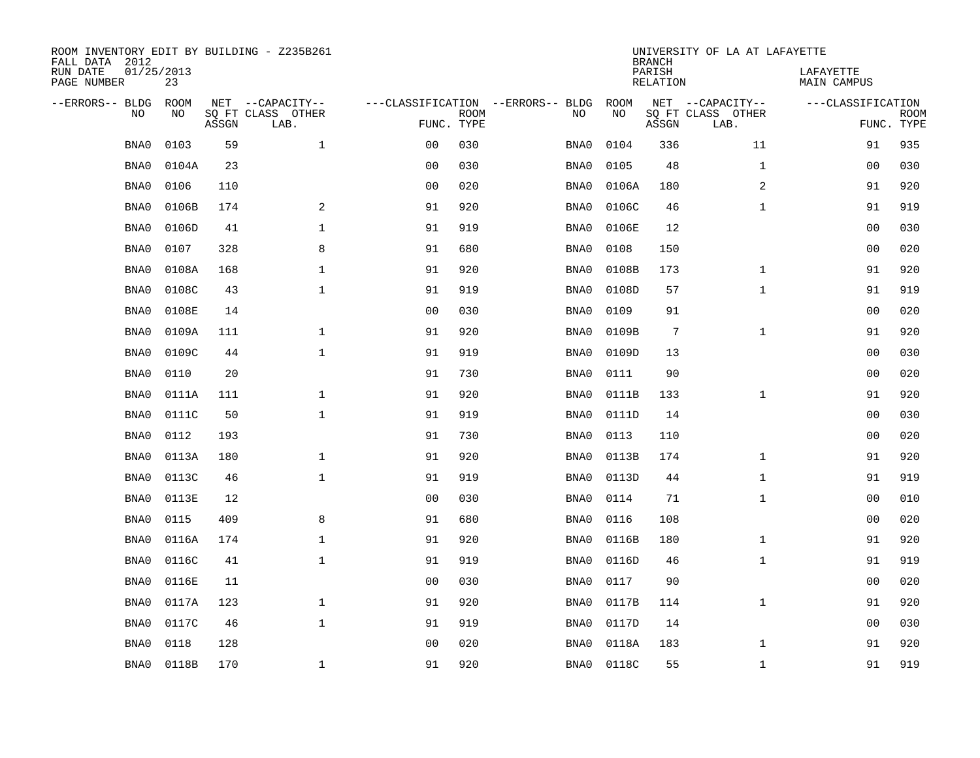| ROOM INVENTORY EDIT BY BUILDING - Z235B261<br>FALL DATA 2012 |                  |       |                           |                                   |             |      | <b>BRANCH</b> | UNIVERSITY OF LA AT LAFAYETTE |                           |                                 |                           |
|--------------------------------------------------------------|------------------|-------|---------------------------|-----------------------------------|-------------|------|---------------|-------------------------------|---------------------------|---------------------------------|---------------------------|
| RUN DATE<br>PAGE NUMBER                                      | 01/25/2013<br>23 |       |                           |                                   |             |      |               | PARISH<br>RELATION            |                           | LAFAYETTE<br><b>MAIN CAMPUS</b> |                           |
| --ERRORS-- BLDG                                              | <b>ROOM</b>      |       | NET --CAPACITY--          | ---CLASSIFICATION --ERRORS-- BLDG |             |      | <b>ROOM</b>   |                               | NET --CAPACITY--          | ---CLASSIFICATION               |                           |
| N <sub>O</sub>                                               | NO.              | ASSGN | SO FT CLASS OTHER<br>LAB. | FUNC. TYPE                        | <b>ROOM</b> | NO.  | <b>NO</b>     | ASSGN                         | SQ FT CLASS OTHER<br>LAB. |                                 | <b>ROOM</b><br>FUNC. TYPE |
| BNA0                                                         | 0103             | 59    | $\mathbf{1}$              | 0 <sub>0</sub>                    | 030         | BNA0 | 0104          | 336                           | 11                        | 91                              | 935                       |
| BNA0                                                         | 0104A            | 23    |                           | 0 <sub>0</sub>                    | 030         | BNA0 | 0105          | 48                            | $\mathbf{1}$              | 00                              | 030                       |
| BNA0                                                         | 0106             | 110   |                           | 0 <sub>0</sub>                    | 020         | BNA0 | 0106A         | 180                           | 2                         | 91                              | 920                       |
| BNA0                                                         | 0106B            | 174   | 2                         | 91                                | 920         | BNA0 | 0106C         | 46                            | $\mathbf{1}$              | 91                              | 919                       |
| BNA0                                                         | 0106D            | 41    | $\mathbf{1}$              | 91                                | 919         | BNA0 | 0106E         | 12                            |                           | 00                              | 030                       |
| BNA0                                                         | 0107             | 328   | 8                         | 91                                | 680         | BNA0 | 0108          | 150                           |                           | 0 <sub>0</sub>                  | 020                       |
| BNA0                                                         | 0108A            | 168   | $\mathbf 1$               | 91                                | 920         | BNA0 | 0108B         | 173                           | $\mathbf{1}$              | 91                              | 920                       |
| BNA0                                                         | 0108C            | 43    | $\mathbf{1}$              | 91                                | 919         | BNA0 | 0108D         | 57                            | $\mathbf{1}$              | 91                              | 919                       |
| BNA0                                                         | 0108E            | 14    |                           | 0 <sub>0</sub>                    | 030         | BNA0 | 0109          | 91                            |                           | 0 <sub>0</sub>                  | 020                       |
| BNA0                                                         | 0109A            | 111   | $\mathbf 1$               | 91                                | 920         | BNA0 | 0109B         | $7\phantom{.0}$               | $\mathbf{1}$              | 91                              | 920                       |
| BNA0                                                         | 0109C            | 44    | $\mathbf{1}$              | 91                                | 919         | BNA0 | 0109D         | 13                            |                           | 00                              | 030                       |
| BNA0                                                         | 0110             | 20    |                           | 91                                | 730         | BNA0 | 0111          | 90                            |                           | 0 <sub>0</sub>                  | 020                       |
| BNA0                                                         | 0111A            | 111   | $\mathbf{1}$              | 91                                | 920         | BNA0 | 0111B         | 133                           | $\mathbf{1}$              | 91                              | 920                       |
| BNA0                                                         | 0111C            | 50    | $\mathbf{1}$              | 91                                | 919         | BNA0 | 0111D         | 14                            |                           | 00                              | 030                       |
| BNA0                                                         | 0112             | 193   |                           | 91                                | 730         | BNA0 | 0113          | 110                           |                           | 00                              | 020                       |
| BNA0                                                         | 0113A            | 180   | $\mathbf 1$               | 91                                | 920         | BNA0 | 0113B         | 174                           | $\mathbf{1}$              | 91                              | 920                       |
| BNA0                                                         | 0113C            | 46    | $\mathbf{1}$              | 91                                | 919         | BNA0 | 0113D         | 44                            | $\mathbf{1}$              | 91                              | 919                       |
| BNA0                                                         | 0113E            | 12    |                           | 0 <sub>0</sub>                    | 030         | BNA0 | 0114          | 71                            | $\mathbf{1}$              | 0 <sub>0</sub>                  | 010                       |
| BNA0                                                         | 0115             | 409   | 8                         | 91                                | 680         | BNA0 | 0116          | 108                           |                           | 0 <sub>0</sub>                  | 020                       |
| BNA0                                                         | 0116A            | 174   | $\mathbf{1}$              | 91                                | 920         | BNA0 | 0116B         | 180                           | $\mathbf{1}$              | 91                              | 920                       |
| BNA0                                                         | 0116C            | 41    | $\mathbf 1$               | 91                                | 919         | BNA0 | 0116D         | 46                            | $\mathbf{1}$              | 91                              | 919                       |
| BNA0                                                         | 0116E            | 11    |                           | 0 <sub>0</sub>                    | 030         | BNA0 | 0117          | 90                            |                           | 00                              | 020                       |
| BNA0                                                         | 0117A            | 123   | $\mathbf 1$               | 91                                | 920         | BNA0 | 0117B         | 114                           | $\mathbf{1}$              | 91                              | 920                       |
| BNA0                                                         | 0117C            | 46    | $\mathbf{1}$              | 91                                | 919         | BNA0 | 0117D         | 14                            |                           | 00                              | 030                       |
| BNA0                                                         | 0118             | 128   |                           | 0 <sub>0</sub>                    | 020         | BNA0 | 0118A         | 183                           | $\mathbf{1}$              | 91                              | 920                       |
| BNA0                                                         | 0118B            | 170   | $\mathbf{1}$              | 91                                | 920         | BNA0 | 0118C         | 55                            | $\mathbf{1}$              | 91                              | 919                       |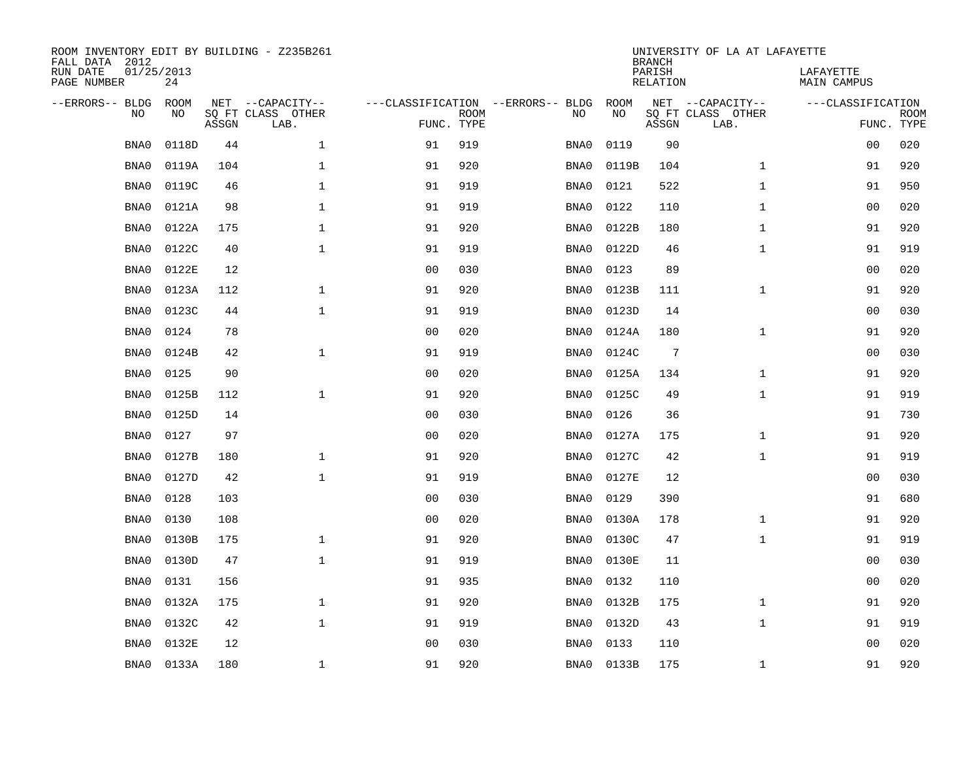| ROOM INVENTORY EDIT BY BUILDING - Z235B261<br>FALL DATA 2012 |                  |       |                           |                |             |                                   | <b>BRANCH</b> | UNIVERSITY OF LA AT LAFAYETTE |                           |                          |                           |
|--------------------------------------------------------------|------------------|-------|---------------------------|----------------|-------------|-----------------------------------|---------------|-------------------------------|---------------------------|--------------------------|---------------------------|
| RUN DATE<br>PAGE NUMBER                                      | 01/25/2013<br>24 |       |                           |                |             |                                   |               | PARISH<br><b>RELATION</b>     |                           | LAFAYETTE<br>MAIN CAMPUS |                           |
| --ERRORS-- BLDG                                              | <b>ROOM</b>      |       | NET --CAPACITY--          |                |             | ---CLASSIFICATION --ERRORS-- BLDG | ROOM          |                               | NET --CAPACITY--          | ---CLASSIFICATION        |                           |
| NO                                                           | NO               | ASSGN | SQ FT CLASS OTHER<br>LAB. | FUNC. TYPE     | <b>ROOM</b> | NO                                | NO            | ASSGN                         | SQ FT CLASS OTHER<br>LAB. |                          | <b>ROOM</b><br>FUNC. TYPE |
| BNA0                                                         | 0118D            | 44    | $\mathbf{1}$              | 91             | 919         | BNA0                              | 0119          | 90                            |                           | 0 <sub>0</sub>           | 020                       |
| BNA0                                                         | 0119A            | 104   | $\mathbf{1}$              | 91             | 920         | BNA0                              | 0119B         | 104                           | $\mathbf{1}$              | 91                       | 920                       |
| BNA0                                                         | 0119C            | 46    | 1                         | 91             | 919         | BNA0                              | 0121          | 522                           | $\mathbf{1}$              | 91                       | 950                       |
| BNA0                                                         | 0121A            | 98    | $\mathbf 1$               | 91             | 919         | BNA0                              | 0122          | 110                           | $\mathbf{1}$              | 00                       | 020                       |
| BNA0                                                         | 0122A            | 175   | $\mathbf{1}$              | 91             | 920         | BNA0                              | 0122B         | 180                           | $\mathbf{1}$              | 91                       | 920                       |
| BNA0                                                         | 0122C            | 40    | $\mathbf{1}$              | 91             | 919         | BNA0                              | 0122D         | 46                            | $\mathbf{1}$              | 91                       | 919                       |
| BNA0                                                         | 0122E            | 12    |                           | 0 <sub>0</sub> | 030         | BNA0                              | 0123          | 89                            |                           | 0 <sub>0</sub>           | 020                       |
| BNA0                                                         | 0123A            | 112   | $\mathbf 1$               | 91             | 920         | BNA0                              | 0123B         | 111                           | $\mathbf{1}$              | 91                       | 920                       |
| BNA0                                                         | 0123C            | 44    | $\mathbf{1}$              | 91             | 919         | BNA0                              | 0123D         | 14                            |                           | 0 <sub>0</sub>           | 030                       |
| BNA0                                                         | 0124             | 78    |                           | 0 <sub>0</sub> | 020         | BNA0                              | 0124A         | 180                           | $\mathbf{1}$              | 91                       | 920                       |
| BNA0                                                         | 0124B            | 42    | $\mathbf 1$               | 91             | 919         | BNA0                              | 0124C         | 7                             |                           | 0 <sub>0</sub>           | 030                       |
| BNA0                                                         | 0125             | 90    |                           | 0 <sub>0</sub> | 020         | BNA0                              | 0125A         | 134                           | $\mathbf{1}$              | 91                       | 920                       |
| BNA0                                                         | 0125B            | 112   | $\mathbf{1}$              | 91             | 920         | BNA0                              | 0125C         | 49                            | $\mathbf{1}$              | 91                       | 919                       |
| BNA0                                                         | 0125D            | 14    |                           | 0 <sub>0</sub> | 030         | BNA0                              | 0126          | 36                            |                           | 91                       | 730                       |
| BNA0                                                         | 0127             | 97    |                           | 0 <sub>0</sub> | 020         | BNA0                              | 0127A         | 175                           | $\mathbf{1}$              | 91                       | 920                       |
| BNA0                                                         | 0127B            | 180   | $\mathbf{1}$              | 91             | 920         | BNA0                              | 0127C         | 42                            | $\mathbf{1}$              | 91                       | 919                       |
| BNA0                                                         | 0127D            | 42    | $\mathbf{1}$              | 91             | 919         | BNA0                              | 0127E         | 12                            |                           | 0 <sub>0</sub>           | 030                       |
| BNA0                                                         | 0128             | 103   |                           | 0 <sub>0</sub> | 030         | BNA0                              | 0129          | 390                           |                           | 91                       | 680                       |
| BNA0                                                         | 0130             | 108   |                           | 0 <sub>0</sub> | 020         | BNA0                              | 0130A         | 178                           | $\mathbf{1}$              | 91                       | 920                       |
| BNA0                                                         | 0130B            | 175   | $\mathbf 1$               | 91             | 920         | BNA0                              | 0130C         | 47                            | $\mathbf{1}$              | 91                       | 919                       |
| BNA0                                                         | 0130D            | 47    | $\mathbf 1$               | 91             | 919         | BNA0                              | 0130E         | 11                            |                           | 00                       | 030                       |
| BNA0                                                         | 0131             | 156   |                           | 91             | 935         | BNA0                              | 0132          | 110                           |                           | 00                       | 020                       |
| BNA0                                                         | 0132A            | 175   | $\mathbf 1$               | 91             | 920         | BNA0                              | 0132B         | 175                           | $\mathbf{1}$              | 91                       | 920                       |
| BNA0                                                         | 0132C            | 42    | $\mathbf{1}$              | 91             | 919         | BNA0                              | 0132D         | 43                            | $\mathbf{1}$              | 91                       | 919                       |
| BNA0                                                         | 0132E            | 12    |                           | 0 <sub>0</sub> | 030         | BNA0                              | 0133          | 110                           |                           | 00                       | 020                       |
| BNA0                                                         | 0133A            | 180   | $\mathbf{1}$              | 91             | 920         | BNA0                              | 0133B         | 175                           | $\mathbf{1}$              | 91                       | 920                       |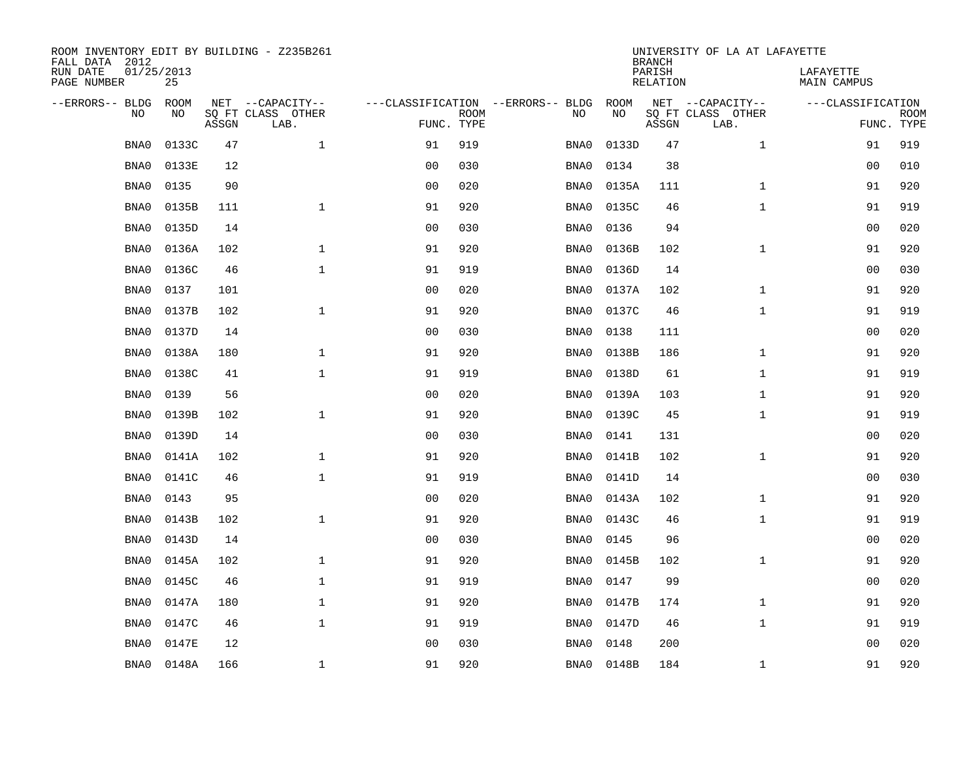| ROOM INVENTORY EDIT BY BUILDING - Z235B261<br>FALL DATA 2012 |                  |       |                           |                |             |                                   |       | <b>BRANCH</b>             | UNIVERSITY OF LA AT LAFAYETTE |                                 |                           |
|--------------------------------------------------------------|------------------|-------|---------------------------|----------------|-------------|-----------------------------------|-------|---------------------------|-------------------------------|---------------------------------|---------------------------|
| RUN DATE<br>PAGE NUMBER                                      | 01/25/2013<br>25 |       |                           |                |             |                                   |       | PARISH<br><b>RELATION</b> |                               | LAFAYETTE<br><b>MAIN CAMPUS</b> |                           |
| --ERRORS-- BLDG                                              | ROOM             |       | NET --CAPACITY--          |                |             | ---CLASSIFICATION --ERRORS-- BLDG | ROOM  |                           | NET --CAPACITY--              | ---CLASSIFICATION               |                           |
| NO                                                           | NO               | ASSGN | SQ FT CLASS OTHER<br>LAB. | FUNC. TYPE     | <b>ROOM</b> | NO                                | NO    | ASSGN                     | SQ FT CLASS OTHER<br>LAB.     |                                 | <b>ROOM</b><br>FUNC. TYPE |
| BNA0                                                         | 0133C            | 47    | $\mathbf 1$               | 91             | 919         | BNA0                              | 0133D | 47                        | $\mathbf{1}$                  | 91                              | 919                       |
| BNA0                                                         | 0133E            | 12    |                           | 0 <sub>0</sub> | 030         | BNA0                              | 0134  | 38                        |                               | 00                              | 010                       |
| BNA0                                                         | 0135             | 90    |                           | 0 <sub>0</sub> | 020         | BNA0                              | 0135A | 111                       | $\mathbf{1}$                  | 91                              | 920                       |
| BNA0                                                         | 0135B            | 111   | $\mathbf{1}$              | 91             | 920         | BNA0                              | 0135C | 46                        | $\mathbf{1}$                  | 91                              | 919                       |
| BNA0                                                         | 0135D            | 14    |                           | 00             | 030         | BNA0                              | 0136  | 94                        |                               | 0 <sub>0</sub>                  | 020                       |
| BNA0                                                         | 0136A            | 102   | $\mathbf 1$               | 91             | 920         | BNA0                              | 0136B | 102                       | $\mathbf{1}$                  | 91                              | 920                       |
| BNA0                                                         | 0136C            | 46    | $\mathbf{1}$              | 91             | 919         | BNA0                              | 0136D | 14                        |                               | 0 <sub>0</sub>                  | 030                       |
| BNA0                                                         | 0137             | 101   |                           | 0 <sub>0</sub> | 020         | BNA0                              | 0137A | 102                       | $\mathbf{1}$                  | 91                              | 920                       |
| BNA0                                                         | 0137B            | 102   | $\mathbf{1}$              | 91             | 920         | BNA0                              | 0137C | 46                        | $\mathbf{1}$                  | 91                              | 919                       |
| BNA0                                                         | 0137D            | 14    |                           | 0 <sub>0</sub> | 030         | BNA0                              | 0138  | 111                       |                               | 00                              | 020                       |
| BNA0                                                         | 0138A            | 180   | $\mathbf{1}$              | 91             | 920         | BNA0                              | 0138B | 186                       | $\mathbf{1}$                  | 91                              | 920                       |
| BNA0                                                         | 0138C            | 41    | $\mathbf 1$               | 91             | 919         | BNA0                              | 0138D | 61                        | $\mathbf{1}$                  | 91                              | 919                       |
| BNA0                                                         | 0139             | 56    |                           | 0 <sub>0</sub> | 020         | BNA0                              | 0139A | 103                       | $\mathbf{1}$                  | 91                              | 920                       |
| BNA0                                                         | 0139B            | 102   | $\mathbf{1}$              | 91             | 920         | BNA0                              | 0139C | 45                        | $\mathbf{1}$                  | 91                              | 919                       |
| BNA0                                                         | 0139D            | 14    |                           | 0 <sub>0</sub> | 030         | BNA0                              | 0141  | 131                       |                               | 00                              | 020                       |
| BNA0                                                         | 0141A            | 102   | 1                         | 91             | 920         | BNA0                              | 0141B | 102                       | $\mathbf{1}$                  | 91                              | 920                       |
| BNA0                                                         | 0141C            | 46    | $\mathbf 1$               | 91             | 919         | BNA0                              | 0141D | 14                        |                               | 0 <sub>0</sub>                  | 030                       |
| BNA0                                                         | 0143             | 95    |                           | 0 <sub>0</sub> | 020         | BNA0                              | 0143A | 102                       | $\mathbf{1}$                  | 91                              | 920                       |
| BNA0                                                         | 0143B            | 102   | $\mathbf{1}$              | 91             | 920         | BNA0                              | 0143C | 46                        | $\mathbf{1}$                  | 91                              | 919                       |
| BNA0                                                         | 0143D            | 14    |                           | 0 <sub>0</sub> | 030         | BNA0                              | 0145  | 96                        |                               | 00                              | 020                       |
| BNA0                                                         | 0145A            | 102   | $\mathbf{1}$              | 91             | 920         | BNA0                              | 0145B | 102                       | $\mathbf{1}$                  | 91                              | 920                       |
| BNA0                                                         | 0145C            | 46    | $\mathbf{1}$              | 91             | 919         | BNA0                              | 0147  | 99                        |                               | 0 <sub>0</sub>                  | 020                       |
| BNA0                                                         | 0147A            | 180   | $\mathbf{1}$              | 91             | 920         | BNA0                              | 0147B | 174                       | $\mathbf{1}$                  | 91                              | 920                       |
| BNA0                                                         | 0147C            | 46    | $\mathbf{1}$              | 91             | 919         | BNA0                              | 0147D | 46                        | $\mathbf{1}$                  | 91                              | 919                       |
| BNA0                                                         | 0147E            | 12    |                           | 0 <sub>0</sub> | 030         | BNA0                              | 0148  | 200                       |                               | 0 <sub>0</sub>                  | 020                       |
| BNA0                                                         | 0148A            | 166   | 1                         | 91             | 920         | BNA0                              | 0148B | 184                       | $\mathbf{1}$                  | 91                              | 920                       |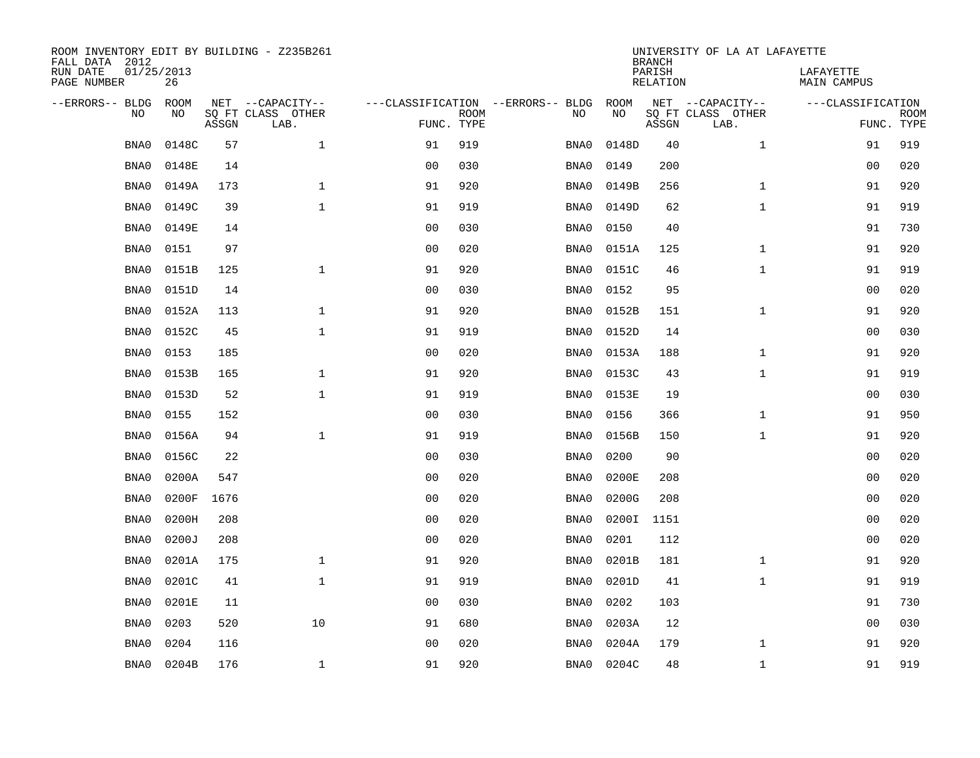| ROOM INVENTORY EDIT BY BUILDING - Z235B261<br>FALL DATA 2012 |                  |       |                           |                |             |                                   | <b>BRANCH</b> | UNIVERSITY OF LA AT LAFAYETTE |                           |                                 |             |
|--------------------------------------------------------------|------------------|-------|---------------------------|----------------|-------------|-----------------------------------|---------------|-------------------------------|---------------------------|---------------------------------|-------------|
| RUN DATE<br>PAGE NUMBER                                      | 01/25/2013<br>26 |       |                           |                |             |                                   |               | PARISH<br><b>RELATION</b>     |                           | LAFAYETTE<br><b>MAIN CAMPUS</b> |             |
| --ERRORS-- BLDG                                              | ROOM             |       | NET --CAPACITY--          |                |             | ---CLASSIFICATION --ERRORS-- BLDG | ROOM          |                               | NET --CAPACITY--          | ---CLASSIFICATION               |             |
| NO                                                           | NO               | ASSGN | SQ FT CLASS OTHER<br>LAB. | FUNC. TYPE     | <b>ROOM</b> | NO                                | NO            | ASSGN                         | SQ FT CLASS OTHER<br>LAB. | FUNC. TYPE                      | <b>ROOM</b> |
| BNA0                                                         | 0148C            | 57    | $\mathbf{1}$              | 91             | 919         | BNA0                              | 0148D         | 40                            | $\mathbf{1}$              | 91                              | 919         |
| BNA0                                                         | 0148E            | 14    |                           | 0 <sub>0</sub> | 030         | BNA0                              | 0149          | 200                           |                           | 00                              | 020         |
| BNA0                                                         | 0149A            | 173   | $\mathbf 1$               | 91             | 920         | BNA0                              | 0149B         | 256                           | $\mathbf{1}$              | 91                              | 920         |
| BNA0                                                         | 0149C            | 39    | $\mathbf 1$               | 91             | 919         | BNA0                              | 0149D         | 62                            | $\mathbf{1}$              | 91                              | 919         |
| BNA0                                                         | 0149E            | 14    |                           | 0 <sub>0</sub> | 030         | BNA0                              | 0150          | 40                            |                           | 91                              | 730         |
| BNA0                                                         | 0151             | 97    |                           | 0 <sub>0</sub> | 020         | BNA0                              | 0151A         | 125                           | $\mathbf{1}$              | 91                              | 920         |
| BNA0                                                         | 0151B            | 125   | $\mathbf{1}$              | 91             | 920         | BNA0                              | 0151C         | 46                            | $\mathbf{1}$              | 91                              | 919         |
| BNA0                                                         | 0151D            | 14    |                           | 0 <sub>0</sub> | 030         | BNA0                              | 0152          | 95                            |                           | 0 <sub>0</sub>                  | 020         |
| BNA0                                                         | 0152A            | 113   | $\mathbf{1}$              | 91             | 920         | BNA0                              | 0152B         | 151                           | $\mathbf{1}$              | 91                              | 920         |
| BNA0                                                         | 0152C            | 45    | $\mathbf{1}$              | 91             | 919         | BNA0                              | 0152D         | 14                            |                           | 0 <sub>0</sub>                  | 030         |
| BNA0                                                         | 0153             | 185   |                           | 0 <sub>0</sub> | 020         | BNA0                              | 0153A         | 188                           | $\mathbf{1}$              | 91                              | 920         |
| BNA0                                                         | 0153B            | 165   | $\mathbf{1}$              | 91             | 920         | BNA0                              | 0153C         | 43                            | $\mathbf{1}$              | 91                              | 919         |
| BNA0                                                         | 0153D            | 52    | $\mathbf 1$               | 91             | 919         | BNA0                              | 0153E         | 19                            |                           | 00                              | 030         |
| BNA0                                                         | 0155             | 152   |                           | 0 <sub>0</sub> | 030         | BNA0                              | 0156          | 366                           | $\mathbf{1}$              | 91                              | 950         |
| BNA0                                                         | 0156A            | 94    | $\mathbf{1}$              | 91             | 919         | BNA0                              | 0156B         | 150                           | $\mathbf{1}$              | 91                              | 920         |
| BNA0                                                         | 0156C            | 22    |                           | 0 <sub>0</sub> | 030         | BNA0                              | 0200          | 90                            |                           | 00                              | 020         |
| BNA0                                                         | 0200A            | 547   |                           | 0 <sub>0</sub> | 020         | BNA0                              | 0200E         | 208                           |                           | 0 <sub>0</sub>                  | 020         |
| BNA0                                                         | 0200F            | 1676  |                           | 0 <sub>0</sub> | 020         | BNA0                              | 0200G         | 208                           |                           | 0 <sub>0</sub>                  | 020         |
| BNA0                                                         | 0200H            | 208   |                           | 0 <sub>0</sub> | 020         | BNA0                              | 0200I         | 1151                          |                           | 0 <sub>0</sub>                  | 020         |
| BNA0                                                         | 0200J            | 208   |                           | 0 <sub>0</sub> | 020         | BNA0                              | 0201          | 112                           |                           | 00                              | 020         |
| BNA0                                                         | 0201A            | 175   | $\mathbf 1$               | 91             | 920         | BNA0                              | 0201B         | 181                           | $\mathbf{1}$              | 91                              | 920         |
| BNA0                                                         | 0201C            | 41    | $\mathbf 1$               | 91             | 919         | BNA0                              | 0201D         | 41                            | $\mathbf{1}$              | 91                              | 919         |
| BNA0                                                         | 0201E            | 11    |                           | 0 <sub>0</sub> | 030         | BNA0                              | 0202          | 103                           |                           | 91                              | 730         |
| BNA0                                                         | 0203             | 520   | 10                        | 91             | 680         | BNA0                              | 0203A         | 12                            |                           | 0 <sub>0</sub>                  | 030         |
| BNA0                                                         | 0204             | 116   |                           | 0 <sub>0</sub> | 020         | BNA0                              | 0204A         | 179                           | $\mathbf{1}$              | 91                              | 920         |
| BNA0                                                         | 0204B            | 176   | $\mathbf{1}$              | 91             | 920         | BNA0                              | 0204C         | 48                            | $\mathbf{1}$              | 91                              | 919         |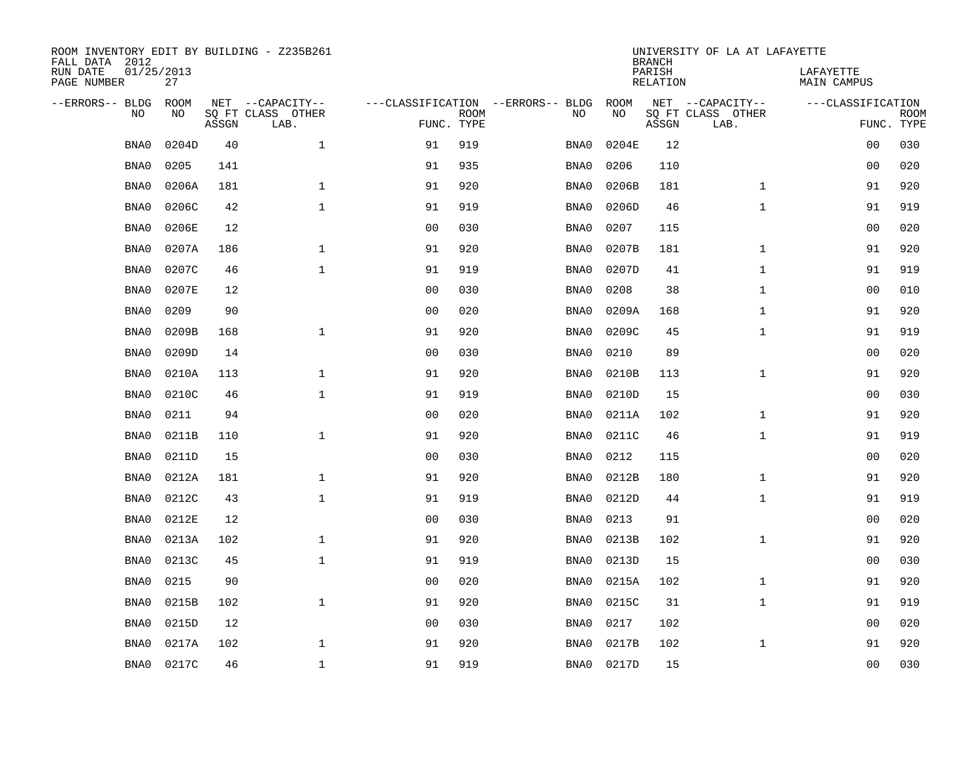| ROOM INVENTORY EDIT BY BUILDING - Z235B261<br>FALL DATA 2012 |                  |       |                           |                |             |                                   | <b>BRANCH</b> | UNIVERSITY OF LA AT LAFAYETTE |                           |                                 |                           |
|--------------------------------------------------------------|------------------|-------|---------------------------|----------------|-------------|-----------------------------------|---------------|-------------------------------|---------------------------|---------------------------------|---------------------------|
| RUN DATE<br>PAGE NUMBER                                      | 01/25/2013<br>27 |       |                           |                |             |                                   |               | PARISH<br><b>RELATION</b>     |                           | LAFAYETTE<br><b>MAIN CAMPUS</b> |                           |
| --ERRORS-- BLDG                                              | ROOM             |       | NET --CAPACITY--          |                |             | ---CLASSIFICATION --ERRORS-- BLDG | ROOM          |                               | NET --CAPACITY--          | ---CLASSIFICATION               |                           |
| NO                                                           | NO               | ASSGN | SQ FT CLASS OTHER<br>LAB. | FUNC. TYPE     | <b>ROOM</b> | NO                                | NO            | ASSGN                         | SQ FT CLASS OTHER<br>LAB. |                                 | <b>ROOM</b><br>FUNC. TYPE |
| BNA0                                                         | 0204D            | 40    | $\mathbf{1}$              | 91             | 919         | BNA0                              | 0204E         | 12                            |                           | 00                              | 030                       |
| BNA0                                                         | 0205             | 141   |                           | 91             | 935         | BNA0                              | 0206          | 110                           |                           | 00                              | 020                       |
| BNA0                                                         | 0206A            | 181   | $\mathbf 1$               | 91             | 920         | BNA0                              | 0206B         | 181                           | $\mathbf{1}$              | 91                              | 920                       |
| BNA0                                                         | 0206C            | 42    | $\mathbf 1$               | 91             | 919         | BNA0                              | 0206D         | 46                            | $\mathbf{1}$              | 91                              | 919                       |
| BNA0                                                         | 0206E            | 12    |                           | 0 <sub>0</sub> | 030         | BNA0                              | 0207          | 115                           |                           | 0 <sub>0</sub>                  | 020                       |
| BNA0                                                         | 0207A            | 186   | $\mathbf 1$               | 91             | 920         | BNA0                              | 0207B         | 181                           | $\mathbf{1}$              | 91                              | 920                       |
| BNA0                                                         | 0207C            | 46    | $\mathbf{1}$              | 91             | 919         | BNA0                              | 0207D         | 41                            | $\mathbf{1}$              | 91                              | 919                       |
| BNA0                                                         | 0207E            | 12    |                           | 0 <sub>0</sub> | 030         | BNA0                              | 0208          | 38                            | $\mathbf{1}$              | 0 <sub>0</sub>                  | 010                       |
| BNA0                                                         | 0209             | 90    |                           | 0 <sub>0</sub> | 020         | BNA0                              | 0209A         | 168                           | $\mathbf{1}$              | 91                              | 920                       |
| BNA0                                                         | 0209B            | 168   | $\mathbf{1}$              | 91             | 920         | BNA0                              | 0209C         | 45                            | $\mathbf{1}$              | 91                              | 919                       |
| BNA0                                                         | 0209D            | 14    |                           | 0 <sub>0</sub> | 030         | BNA0                              | 0210          | 89                            |                           | 00                              | 020                       |
| BNA0                                                         | 0210A            | 113   | $\mathbf{1}$              | 91             | 920         | BNA0                              | 0210B         | 113                           | $\mathbf{1}$              | 91                              | 920                       |
| BNA0                                                         | 0210C            | 46    | $\mathbf 1$               | 91             | 919         | BNA0                              | 0210D         | 15                            |                           | 00                              | 030                       |
| BNA0                                                         | 0211             | 94    |                           | 0 <sub>0</sub> | 020         | BNA0                              | 0211A         | 102                           | $\mathbf{1}$              | 91                              | 920                       |
| BNA0                                                         | 0211B            | 110   | $\mathbf{1}$              | 91             | 920         | BNA0                              | 0211C         | 46                            | $\mathbf{1}$              | 91                              | 919                       |
| BNA0                                                         | 0211D            | 15    |                           | 0 <sub>0</sub> | 030         | BNA0                              | 0212          | 115                           |                           | 00                              | 020                       |
| BNA0                                                         | 0212A            | 181   | $\mathbf{1}$              | 91             | 920         | BNA0                              | 0212B         | 180                           | $\mathbf{1}$              | 91                              | 920                       |
| BNA0                                                         | 0212C            | 43    | $\mathbf{1}$              | 91             | 919         | BNA0                              | 0212D         | 44                            | $\mathbf{1}$              | 91                              | 919                       |
| BNA0                                                         | 0212E            | 12    |                           | 0 <sub>0</sub> | 030         | BNA0                              | 0213          | 91                            |                           | 0 <sub>0</sub>                  | 020                       |
| BNA0                                                         | 0213A            | 102   | $\mathbf 1$               | 91             | 920         | BNA0                              | 0213B         | 102                           | $\mathbf{1}$              | 91                              | 920                       |
| BNA0                                                         | 0213C            | 45    | $\mathbf{1}$              | 91             | 919         | BNA0                              | 0213D         | 15                            |                           | 00                              | 030                       |
| BNA0                                                         | 0215             | 90    |                           | 0 <sub>0</sub> | 020         | BNA0                              | 0215A         | 102                           | $\mathbf{1}$              | 91                              | 920                       |
| BNA0                                                         | 0215B            | 102   | $\mathbf{1}$              | 91             | 920         | BNA0                              | 0215C         | 31                            | $\mathbf{1}$              | 91                              | 919                       |
| BNA0                                                         | 0215D            | 12    |                           | 0 <sub>0</sub> | 030         | BNA0                              | 0217          | 102                           |                           | 00                              | 020                       |
| BNA0                                                         | 0217A            | 102   | $\mathbf 1$               | 91             | 920         | BNA0                              | 0217B         | 102                           | $\mathbf{1}$              | 91                              | 920                       |
| BNA0                                                         | 0217C            | 46    | $\mathbf{1}$              | 91             | 919         | BNA0                              | 0217D         | 15                            |                           | 0 <sub>0</sub>                  | 030                       |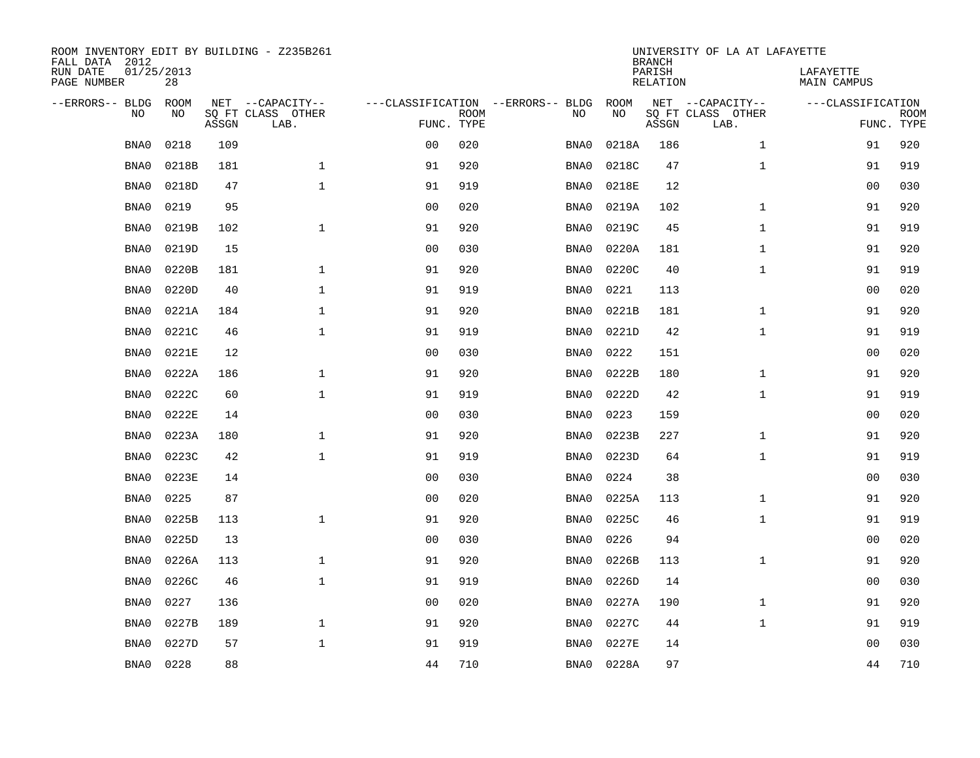| ROOM INVENTORY EDIT BY BUILDING - Z235B261<br>FALL DATA 2012 |                  |       |                           |                |             |                                   | <b>BRANCH</b> | UNIVERSITY OF LA AT LAFAYETTE |                           |                                 |             |
|--------------------------------------------------------------|------------------|-------|---------------------------|----------------|-------------|-----------------------------------|---------------|-------------------------------|---------------------------|---------------------------------|-------------|
| RUN DATE<br>PAGE NUMBER                                      | 01/25/2013<br>28 |       |                           |                |             |                                   |               | PARISH<br><b>RELATION</b>     |                           | LAFAYETTE<br><b>MAIN CAMPUS</b> |             |
| --ERRORS-- BLDG                                              | ROOM             |       | NET --CAPACITY--          |                |             | ---CLASSIFICATION --ERRORS-- BLDG | ROOM          |                               | NET --CAPACITY--          | ---CLASSIFICATION               |             |
| NO                                                           | NO               | ASSGN | SQ FT CLASS OTHER<br>LAB. | FUNC. TYPE     | <b>ROOM</b> | NO                                | NO            | ASSGN                         | SQ FT CLASS OTHER<br>LAB. | FUNC. TYPE                      | <b>ROOM</b> |
| BNA0                                                         | 0218             | 109   |                           | 0 <sub>0</sub> | 020         | BNA0                              | 0218A         | 186                           | $\mathbf{1}$              | 91                              | 920         |
| BNA0                                                         | 0218B            | 181   | $\mathbf 1$               | 91             | 920         | BNA0                              | 0218C         | 47                            | $\mathbf{1}$              | 91                              | 919         |
| BNA0                                                         | 0218D            | 47    | $\mathbf 1$               | 91             | 919         | BNA0                              | 0218E         | 12                            |                           | 00                              | 030         |
| BNA0                                                         | 0219             | 95    |                           | 0 <sub>0</sub> | 020         | BNA0                              | 0219A         | 102                           | $\mathbf{1}$              | 91                              | 920         |
| BNA0                                                         | 0219B            | 102   | $\mathbf{1}$              | 91             | 920         | BNA0                              | 0219C         | 45                            | $\mathbf{1}$              | 91                              | 919         |
| BNA0                                                         | 0219D            | 15    |                           | 0 <sub>0</sub> | 030         | BNA0                              | 0220A         | 181                           | $\mathbf{1}$              | 91                              | 920         |
| BNA0                                                         | 0220B            | 181   | $\mathbf{1}$              | 91             | 920         | BNA0                              | 0220C         | 40                            | $\mathbf{1}$              | 91                              | 919         |
| BNA0                                                         | 0220D            | 40    | $\mathbf 1$               | 91             | 919         | BNA0                              | 0221          | 113                           |                           | 0 <sub>0</sub>                  | 020         |
| BNA0                                                         | 0221A            | 184   | $\mathbf{1}$              | 91             | 920         | BNA0                              | 0221B         | 181                           | $\mathbf{1}$              | 91                              | 920         |
| BNA0                                                         | 0221C            | 46    | $\mathbf{1}$              | 91             | 919         | BNA0                              | 0221D         | 42                            | $\mathbf{1}$              | 91                              | 919         |
| BNA0                                                         | 0221E            | 12    |                           | 0 <sub>0</sub> | 030         | BNA0                              | 0222          | 151                           |                           | 00                              | 020         |
| BNA0                                                         | 0222A            | 186   | $\mathbf{1}$              | 91             | 920         | BNA0                              | 0222B         | 180                           | $\mathbf{1}$              | 91                              | 920         |
| BNA0                                                         | 0222C            | 60    | $\mathbf{1}$              | 91             | 919         | BNA0                              | 0222D         | 42                            | $\mathbf{1}$              | 91                              | 919         |
| BNA0                                                         | 0222E            | 14    |                           | 0 <sub>0</sub> | 030         | BNA0                              | 0223          | 159                           |                           | 00                              | 020         |
| BNA0                                                         | 0223A            | 180   | $\mathbf{1}$              | 91             | 920         | BNA0                              | 0223B         | 227                           | $\mathbf{1}$              | 91                              | 920         |
| BNA0                                                         | 0223C            | 42    | $\mathbf{1}$              | 91             | 919         | BNA0                              | 0223D         | 64                            | $\mathbf{1}$              | 91                              | 919         |
| BNA0                                                         | 0223E            | 14    |                           | 0 <sub>0</sub> | 030         | BNA0                              | 0224          | 38                            |                           | 00                              | 030         |
| BNA0                                                         | 0225             | 87    |                           | 0 <sub>0</sub> | 020         | BNA0                              | 0225A         | 113                           | $\mathbf{1}$              | 91                              | 920         |
| BNA0                                                         | 0225B            | 113   | $\mathbf{1}$              | 91             | 920         | BNA0                              | 0225C         | 46                            | $\mathbf{1}$              | 91                              | 919         |
| BNA0                                                         | 0225D            | 13    |                           | 0 <sub>0</sub> | 030         | BNA0                              | 0226          | 94                            |                           | 00                              | 020         |
| BNA0                                                         | 0226A            | 113   | $\mathbf 1$               | 91             | 920         | BNA0                              | 0226B         | 113                           | $\mathbf{1}$              | 91                              | 920         |
| BNA0                                                         | 0226C            | 46    | $\mathbf 1$               | 91             | 919         | BNA0                              | 0226D         | 14                            |                           | 00                              | 030         |
| BNA0                                                         | 0227             | 136   |                           | 0 <sub>0</sub> | 020         | BNA0                              | 0227A         | 190                           | $\mathbf{1}$              | 91                              | 920         |
| BNA0                                                         | 0227B            | 189   | $\mathbf{1}$              | 91             | 920         | BNA0                              | 0227C         | 44                            | $\mathbf{1}$              | 91                              | 919         |
| BNA0                                                         | 0227D            | 57    | $\mathbf 1$               | 91             | 919         | BNA0                              | 0227E         | 14                            |                           | 00                              | 030         |
| BNA0                                                         | 0228             | 88    |                           | 44             | 710         | BNA0                              | 0228A         | 97                            |                           | 44                              | 710         |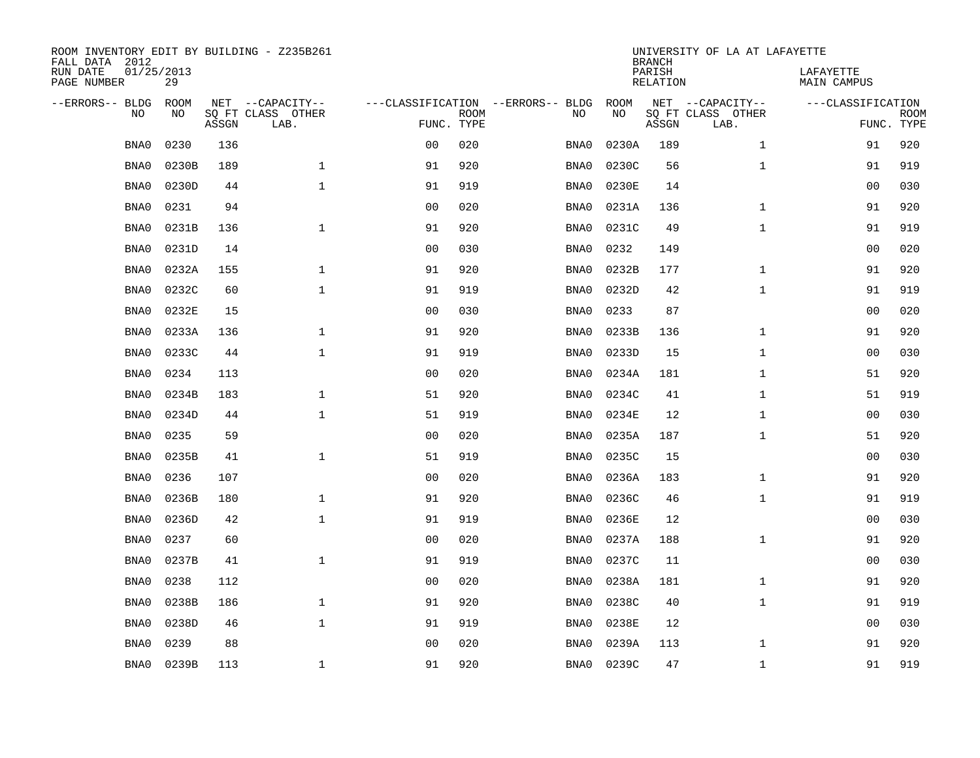| ROOM INVENTORY EDIT BY BUILDING - Z235B261<br>FALL DATA 2012 |                  |       |                           |                |             |                                   |       | <b>BRANCH</b>             | UNIVERSITY OF LA AT LAFAYETTE |                                 |                           |
|--------------------------------------------------------------|------------------|-------|---------------------------|----------------|-------------|-----------------------------------|-------|---------------------------|-------------------------------|---------------------------------|---------------------------|
| RUN DATE<br>PAGE NUMBER                                      | 01/25/2013<br>29 |       |                           |                |             |                                   |       | PARISH<br><b>RELATION</b> |                               | LAFAYETTE<br><b>MAIN CAMPUS</b> |                           |
| --ERRORS-- BLDG                                              | ROOM             |       | NET --CAPACITY--          |                |             | ---CLASSIFICATION --ERRORS-- BLDG | ROOM  |                           | NET --CAPACITY--              | ---CLASSIFICATION               |                           |
| NO                                                           | NO               | ASSGN | SQ FT CLASS OTHER<br>LAB. | FUNC. TYPE     | <b>ROOM</b> | NO                                | NO    | ASSGN                     | SQ FT CLASS OTHER<br>LAB.     |                                 | <b>ROOM</b><br>FUNC. TYPE |
| BNA0                                                         | 0230             | 136   |                           | 0 <sub>0</sub> | 020         | BNA0                              | 0230A | 189                       | $\mathbf{1}$                  | 91                              | 920                       |
| BNA0                                                         | 0230B            | 189   | $\mathbf 1$               | 91             | 920         | BNA0                              | 0230C | 56                        | $\mathbf{1}$                  | 91                              | 919                       |
| BNA0                                                         | 0230D            | 44    | $\mathbf 1$               | 91             | 919         | BNA0                              | 0230E | 14                        |                               | 00                              | 030                       |
| BNA0                                                         | 0231             | 94    |                           | 0 <sub>0</sub> | 020         | BNA0                              | 0231A | 136                       | $\mathbf{1}$                  | 91                              | 920                       |
| BNA0                                                         | 0231B            | 136   | $\mathbf{1}$              | 91             | 920         | BNA0                              | 0231C | 49                        | $\mathbf{1}$                  | 91                              | 919                       |
| BNA0                                                         | 0231D            | 14    |                           | 0 <sub>0</sub> | 030         | BNA0                              | 0232  | 149                       |                               | 0 <sub>0</sub>                  | 020                       |
| BNA0                                                         | 0232A            | 155   | $\mathbf{1}$              | 91             | 920         | BNA0                              | 0232B | 177                       | $\mathbf{1}$                  | 91                              | 920                       |
| BNA0                                                         | 0232C            | 60    | $\mathbf{1}$              | 91             | 919         | BNA0                              | 0232D | 42                        | $\mathbf{1}$                  | 91                              | 919                       |
| BNA0                                                         | 0232E            | 15    |                           | 0 <sub>0</sub> | 030         | BNA0                              | 0233  | 87                        |                               | 00                              | 020                       |
| BNA0                                                         | 0233A            | 136   | $\mathbf 1$               | 91             | 920         | BNA0                              | 0233B | 136                       | $\mathbf{1}$                  | 91                              | 920                       |
| BNA0                                                         | 0233C            | 44    | $\mathbf{1}$              | 91             | 919         | BNA0                              | 0233D | 15                        | $\mathbf{1}$                  | 00                              | 030                       |
| BNA0                                                         | 0234             | 113   |                           | 0 <sub>0</sub> | 020         | BNA0                              | 0234A | 181                       | $\mathbf{1}$                  | 51                              | 920                       |
| BNA0                                                         | 0234B            | 183   | $\mathbf 1$               | 51             | 920         | BNA0                              | 0234C | 41                        | $\mathbf{1}$                  | 51                              | 919                       |
| BNA0                                                         | 0234D            | 44    | $\mathbf{1}$              | 51             | 919         | BNA0                              | 0234E | 12                        | $\mathbf{1}$                  | 00                              | 030                       |
| BNA0                                                         | 0235             | 59    |                           | 0 <sub>0</sub> | 020         | BNA0                              | 0235A | 187                       | $\mathbf{1}$                  | 51                              | 920                       |
| BNA0                                                         | 0235B            | 41    | $\mathbf{1}$              | 51             | 919         | BNA0                              | 0235C | 15                        |                               | 00                              | 030                       |
| BNA0                                                         | 0236             | 107   |                           | 0 <sub>0</sub> | 020         | BNA0                              | 0236A | 183                       | $\mathbf{1}$                  | 91                              | 920                       |
| BNA0                                                         | 0236B            | 180   | $\mathbf{1}$              | 91             | 920         | BNA0                              | 0236C | 46                        | $\mathbf{1}$                  | 91                              | 919                       |
| BNA0                                                         | 0236D            | 42    | $\mathbf{1}$              | 91             | 919         | BNA0                              | 0236E | 12                        |                               | 0 <sub>0</sub>                  | 030                       |
| BNA0                                                         | 0237             | 60    |                           | 0 <sub>0</sub> | 020         | BNA0                              | 0237A | 188                       | $\mathbf{1}$                  | 91                              | 920                       |
| BNA0                                                         | 0237B            | 41    | $\mathbf 1$               | 91             | 919         | BNA0                              | 0237C | 11                        |                               | 00                              | 030                       |
| BNA0                                                         | 0238             | 112   |                           | 0 <sub>0</sub> | 020         | BNA0                              | 0238A | 181                       | $\mathbf{1}$                  | 91                              | 920                       |
| BNA0                                                         | 0238B            | 186   | $\mathbf{1}$              | 91             | 920         | BNA0                              | 0238C | 40                        | $\mathbf{1}$                  | 91                              | 919                       |
| BNA0                                                         | 0238D            | 46    | $\mathbf{1}$              | 91             | 919         | BNA0                              | 0238E | 12                        |                               | 00                              | 030                       |
| BNA0                                                         | 0239             | 88    |                           | 0 <sub>0</sub> | 020         | BNA0                              | 0239A | 113                       | $\mathbf{1}$                  | 91                              | 920                       |
| BNA0                                                         | 0239B            | 113   | $\mathbf{1}$              | 91             | 920         | BNA0                              | 0239C | 47                        | $\mathbf{1}$                  | 91                              | 919                       |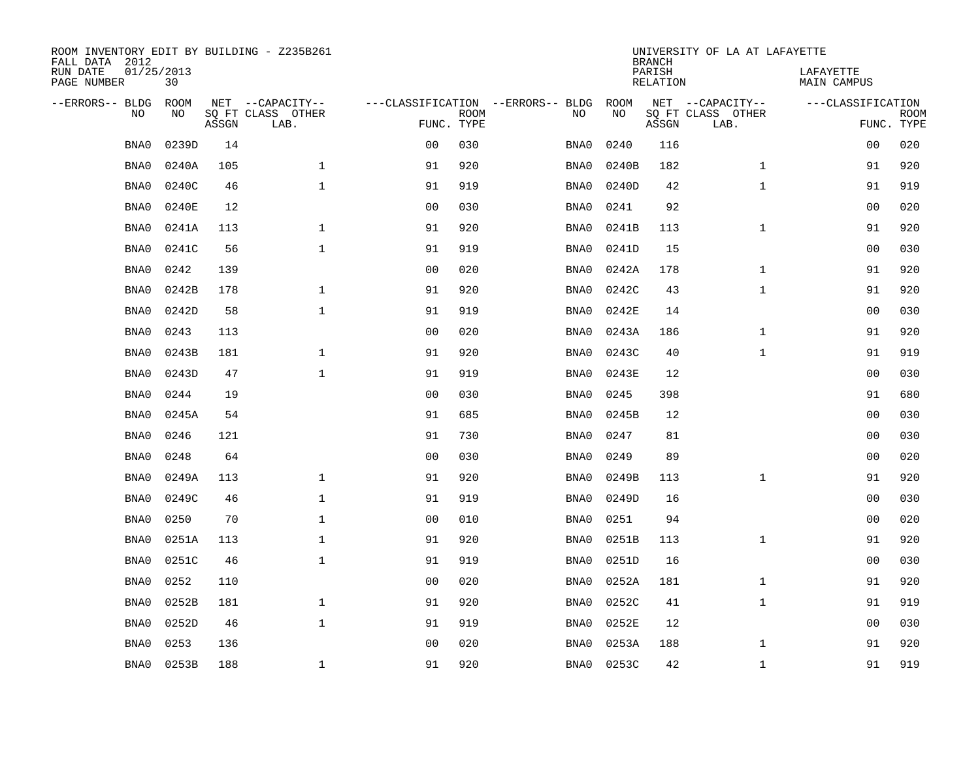| ROOM INVENTORY EDIT BY BUILDING - Z235B261<br>FALL DATA 2012 |                  |       |                           |                |             |                                   |           | <b>BRANCH</b>      | UNIVERSITY OF LA AT LAFAYETTE |                                 |                           |
|--------------------------------------------------------------|------------------|-------|---------------------------|----------------|-------------|-----------------------------------|-----------|--------------------|-------------------------------|---------------------------------|---------------------------|
| RUN DATE<br>PAGE NUMBER                                      | 01/25/2013<br>30 |       |                           |                |             |                                   |           | PARISH<br>RELATION |                               | LAFAYETTE<br><b>MAIN CAMPUS</b> |                           |
| --ERRORS-- BLDG                                              | <b>ROOM</b>      |       | NET --CAPACITY--          |                |             | ---CLASSIFICATION --ERRORS-- BLDG | ROOM      |                    | NET --CAPACITY--              | ---CLASSIFICATION               |                           |
| N <sub>O</sub>                                               | NO.              | ASSGN | SO FT CLASS OTHER<br>LAB. | FUNC. TYPE     | <b>ROOM</b> | NO.                               | <b>NO</b> | ASSGN              | SO FT CLASS OTHER<br>LAB.     |                                 | <b>ROOM</b><br>FUNC. TYPE |
| BNA0                                                         | 0239D            | 14    |                           | 0 <sub>0</sub> | 030         | BNA0                              | 0240      | 116                |                               | 00                              | 020                       |
| BNA0                                                         | 0240A            | 105   | $\mathbf{1}$              | 91             | 920         | BNA0                              | 0240B     | 182                | $\mathbf{1}$                  | 91                              | 920                       |
| BNA0                                                         | 0240C            | 46    | $\mathbf{1}$              | 91             | 919         | BNA0                              | 0240D     | 42                 | $\mathbf{1}$                  | 91                              | 919                       |
| BNA0                                                         | 0240E            | 12    |                           | 0 <sub>0</sub> | 030         | BNA0                              | 0241      | 92                 |                               | 0 <sub>0</sub>                  | 020                       |
| BNA0                                                         | 0241A            | 113   | $\mathbf{1}$              | 91             | 920         | BNA0                              | 0241B     | 113                | $\mathbf{1}$                  | 91                              | 920                       |
| BNA0                                                         | 0241C            | 56    | $\mathbf 1$               | 91             | 919         | BNA0                              | 0241D     | 15                 |                               | 0 <sub>0</sub>                  | 030                       |
| BNA0                                                         | 0242             | 139   |                           | 0 <sub>0</sub> | 020         | BNA0                              | 0242A     | 178                | $\mathbf{1}$                  | 91                              | 920                       |
| BNA0                                                         | 0242B            | 178   | $\mathbf 1$               | 91             | 920         | BNA0                              | 0242C     | 43                 | $\mathbf{1}$                  | 91                              | 920                       |
| BNA0                                                         | 0242D            | 58    | $\mathbf{1}$              | 91             | 919         | BNA0                              | 0242E     | 14                 |                               | 0 <sub>0</sub>                  | 030                       |
| BNA0                                                         | 0243             | 113   |                           | 0 <sub>0</sub> | 020         | BNA0                              | 0243A     | 186                | $\mathbf{1}$                  | 91                              | 920                       |
| BNA0                                                         | 0243B            | 181   | $\mathbf{1}$              | 91             | 920         | BNA0                              | 0243C     | 40                 | $\mathbf{1}$                  | 91                              | 919                       |
| BNA0                                                         | 0243D            | 47    | $\mathbf{1}$              | 91             | 919         | BNA0                              | 0243E     | 12                 |                               | 0 <sub>0</sub>                  | 030                       |
| BNA0                                                         | 0244             | 19    |                           | 0 <sub>0</sub> | 030         | BNA0                              | 0245      | 398                |                               | 91                              | 680                       |
| BNA0                                                         | 0245A            | 54    |                           | 91             | 685         | BNA0                              | 0245B     | 12                 |                               | 0 <sub>0</sub>                  | 030                       |
| BNA0                                                         | 0246             | 121   |                           | 91             | 730         | BNA0                              | 0247      | 81                 |                               | 00                              | 030                       |
| BNA0                                                         | 0248             | 64    |                           | 0 <sub>0</sub> | 030         | BNA0                              | 0249      | 89                 |                               | 00                              | 020                       |
| BNA0                                                         | 0249A            | 113   | $\mathbf 1$               | 91             | 920         | BNA0                              | 0249B     | 113                | $\mathbf{1}$                  | 91                              | 920                       |
| BNA0                                                         | 0249C            | 46    | $\mathbf 1$               | 91             | 919         | BNA0                              | 0249D     | 16                 |                               | 00                              | 030                       |
| BNA0                                                         | 0250             | 70    | $\mathbf{1}$              | 0 <sub>0</sub> | 010         | BNA0                              | 0251      | 94                 |                               | 0 <sub>0</sub>                  | 020                       |
| BNA0                                                         | 0251A            | 113   | $\mathbf{1}$              | 91             | 920         | BNA0                              | 0251B     | 113                | $\mathbf{1}$                  | 91                              | 920                       |
| BNA0                                                         | 0251C            | 46    | $\mathbf{1}$              | 91             | 919         | BNA0                              | 0251D     | 16                 |                               | 00                              | 030                       |
| BNA0                                                         | 0252             | 110   |                           | 0 <sub>0</sub> | 020         | BNA0                              | 0252A     | 181                | $\mathbf{1}$                  | 91                              | 920                       |
| BNA0                                                         | 0252B            | 181   | $\mathbf{1}$              | 91             | 920         | BNA0                              | 0252C     | 41                 | $\mathbf{1}$                  | 91                              | 919                       |
| BNA0                                                         | 0252D            | 46    | $\mathbf{1}$              | 91             | 919         | BNA0                              | 0252E     | 12                 |                               | 00                              | 030                       |
| BNA0                                                         | 0253             | 136   |                           | 0 <sub>0</sub> | 020         | BNA0                              | 0253A     | 188                | $\mathbf{1}$                  | 91                              | 920                       |
| BNA0                                                         | 0253B            | 188   | $\mathbf{1}$              | 91             | 920         | BNA0                              | 0253C     | 42                 | $\mathbf{1}$                  | 91                              | 919                       |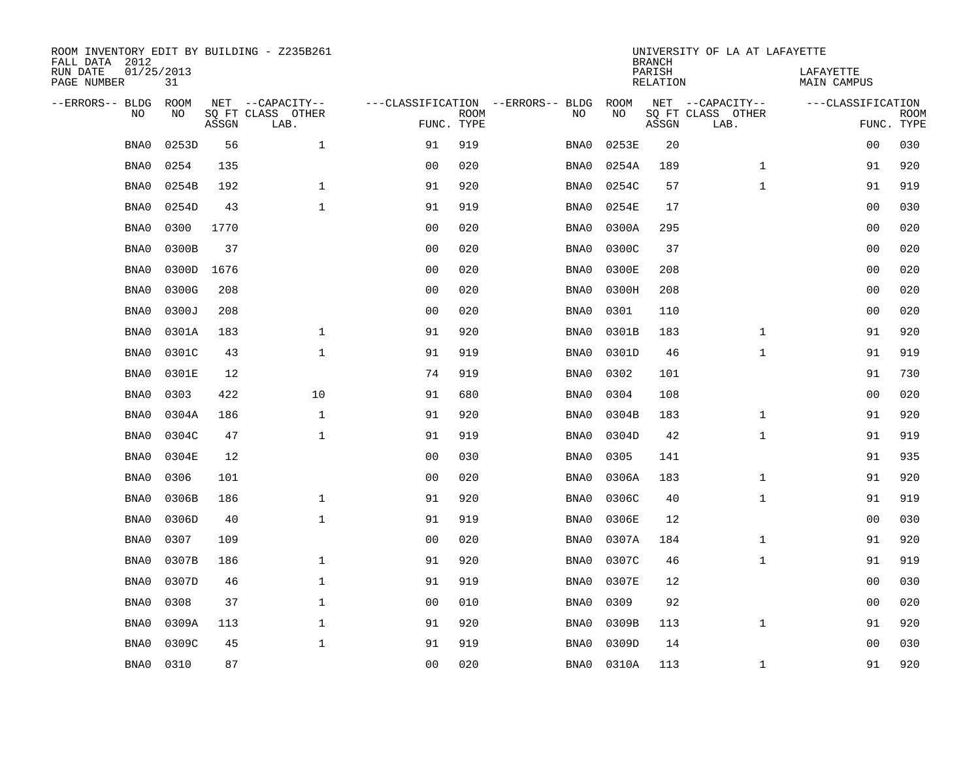| ROOM INVENTORY EDIT BY BUILDING - Z235B261<br>FALL DATA 2012 |                  |       |                           |                |             |                                   | <b>BRANCH</b> | UNIVERSITY OF LA AT LAFAYETTE |                           |                                 |                           |
|--------------------------------------------------------------|------------------|-------|---------------------------|----------------|-------------|-----------------------------------|---------------|-------------------------------|---------------------------|---------------------------------|---------------------------|
| RUN DATE<br>PAGE NUMBER                                      | 01/25/2013<br>31 |       |                           |                |             |                                   |               | PARISH<br><b>RELATION</b>     |                           | LAFAYETTE<br><b>MAIN CAMPUS</b> |                           |
| --ERRORS-- BLDG                                              | ROOM             |       | NET --CAPACITY--          |                |             | ---CLASSIFICATION --ERRORS-- BLDG | ROOM          |                               | NET --CAPACITY--          | ---CLASSIFICATION               |                           |
| NO                                                           | NO               | ASSGN | SQ FT CLASS OTHER<br>LAB. | FUNC. TYPE     | <b>ROOM</b> | NO                                | NO            | ASSGN                         | SQ FT CLASS OTHER<br>LAB. |                                 | <b>ROOM</b><br>FUNC. TYPE |
| BNA0                                                         | 0253D            | 56    | $\mathbf 1$               | 91             | 919         | BNA0                              | 0253E         | 20                            |                           | 00                              | 030                       |
| BNA0                                                         | 0254             | 135   |                           | 0 <sub>0</sub> | 020         | BNA0                              | 0254A         | 189                           | $\mathbf{1}$              | 91                              | 920                       |
| BNA0                                                         | 0254B            | 192   | $\mathbf 1$               | 91             | 920         | BNA0                              | 0254C         | 57                            | $\mathbf{1}$              | 91                              | 919                       |
| BNA0                                                         | 0254D            | 43    | $\mathbf 1$               | 91             | 919         | BNA0                              | 0254E         | 17                            |                           | 0 <sub>0</sub>                  | 030                       |
| BNA0                                                         | 0300             | 1770  |                           | 00             | 020         | BNA0                              | 0300A         | 295                           |                           | 0 <sub>0</sub>                  | 020                       |
| BNA0                                                         | 0300B            | 37    |                           | 0 <sub>0</sub> | 020         | BNA0                              | 0300C         | 37                            |                           | 0 <sub>0</sub>                  | 020                       |
| BNA0                                                         | 0300D            | 1676  |                           | 0 <sub>0</sub> | 020         | BNA0                              | 0300E         | 208                           |                           | 00                              | 020                       |
| BNA0                                                         | 0300G            | 208   |                           | 0 <sub>0</sub> | 020         | BNA0                              | 0300H         | 208                           |                           | 0 <sub>0</sub>                  | 020                       |
| BNA0                                                         | 0300J            | 208   |                           | 0 <sub>0</sub> | 020         | BNA0                              | 0301          | 110                           |                           | 0 <sub>0</sub>                  | 020                       |
| BNA0                                                         | 0301A            | 183   | $\mathbf{1}$              | 91             | 920         | BNA0                              | 0301B         | 183                           | $\mathbf{1}$              | 91                              | 920                       |
| BNA0                                                         | 0301C            | 43    | $\mathbf{1}$              | 91             | 919         | BNA0                              | 0301D         | 46                            | $\mathbf{1}$              | 91                              | 919                       |
| BNA0                                                         | 0301E            | 12    |                           | 74             | 919         | BNA0                              | 0302          | 101                           |                           | 91                              | 730                       |
| BNA0                                                         | 0303             | 422   | 10                        | 91             | 680         | BNA0                              | 0304          | 108                           |                           | 00                              | 020                       |
| BNA0                                                         | 0304A            | 186   | $\mathbf 1$               | 91             | 920         | BNA0                              | 0304B         | 183                           | $\mathbf{1}$              | 91                              | 920                       |
| BNA0                                                         | 0304C            | 47    | $\mathbf 1$               | 91             | 919         | BNA0                              | 0304D         | 42                            | $\mathbf{1}$              | 91                              | 919                       |
| BNA0                                                         | 0304E            | 12    |                           | 0 <sub>0</sub> | 030         | BNA0                              | 0305          | 141                           |                           | 91                              | 935                       |
| BNA0                                                         | 0306             | 101   |                           | 0 <sub>0</sub> | 020         | BNA0                              | 0306A         | 183                           | $\mathbf{1}$              | 91                              | 920                       |
| BNA0                                                         | 0306B            | 186   | $\mathbf{1}$              | 91             | 920         | BNA0                              | 0306C         | 40                            | $\mathbf{1}$              | 91                              | 919                       |
| BNA0                                                         | 0306D            | 40    | $\mathbf{1}$              | 91             | 919         | BNA0                              | 0306E         | 12                            |                           | 0 <sub>0</sub>                  | 030                       |
| BNA0                                                         | 0307             | 109   |                           | 0 <sub>0</sub> | 020         | BNA0                              | 0307A         | 184                           | $\mathbf{1}$              | 91                              | 920                       |
| BNA0                                                         | 0307B            | 186   | 1                         | 91             | 920         | BNA0                              | 0307C         | 46                            | $\mathbf{1}$              | 91                              | 919                       |
| BNA0                                                         | 0307D            | 46    | $\mathbf 1$               | 91             | 919         | BNA0                              | 0307E         | 12                            |                           | 00                              | 030                       |
| BNA0                                                         | 0308             | 37    | $\mathbf{1}$              | 0 <sub>0</sub> | 010         | BNA0                              | 0309          | 92                            |                           | 0 <sub>0</sub>                  | 020                       |
| BNA0                                                         | 0309A            | 113   | $\mathbf{1}$              | 91             | 920         | BNA0                              | 0309B         | 113                           | $\mathbf{1}$              | 91                              | 920                       |
| BNA0                                                         | 0309C            | 45    | $\mathbf{1}$              | 91             | 919         | BNA0                              | 0309D         | 14                            |                           | 00                              | 030                       |
| BNA0                                                         | 0310             | 87    |                           | 0 <sub>0</sub> | 020         | BNA0                              | 0310A         | 113                           | $\mathbf{1}$              | 91                              | 920                       |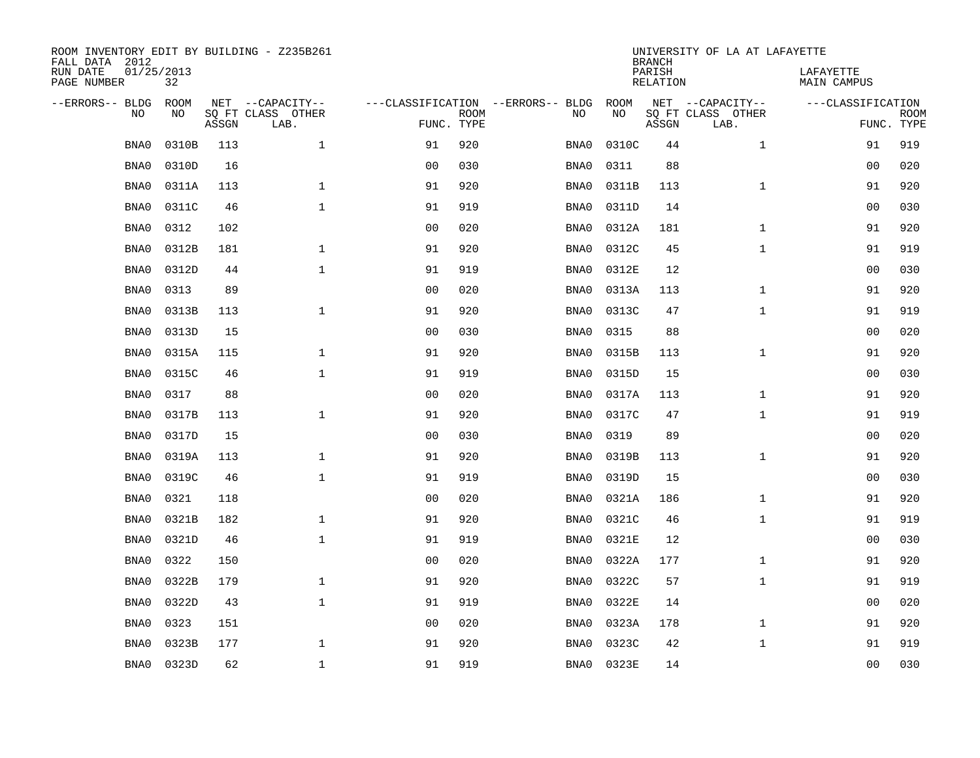| ROOM INVENTORY EDIT BY BUILDING - Z235B261<br>FALL DATA 2012 |                  |       |                           |                |             |                                   |            | <b>BRANCH</b>             | UNIVERSITY OF LA AT LAFAYETTE |                                 |                           |
|--------------------------------------------------------------|------------------|-------|---------------------------|----------------|-------------|-----------------------------------|------------|---------------------------|-------------------------------|---------------------------------|---------------------------|
| RUN DATE<br>PAGE NUMBER                                      | 01/25/2013<br>32 |       |                           |                |             |                                   |            | PARISH<br><b>RELATION</b> |                               | LAFAYETTE<br><b>MAIN CAMPUS</b> |                           |
| --ERRORS-- BLDG                                              | ROOM             |       | NET --CAPACITY--          |                |             | ---CLASSIFICATION --ERRORS-- BLDG | ROOM       |                           | NET --CAPACITY--              | ---CLASSIFICATION               |                           |
| NO                                                           | NO               | ASSGN | SQ FT CLASS OTHER<br>LAB. | FUNC. TYPE     | <b>ROOM</b> | NO                                | NO         | ASSGN                     | SQ FT CLASS OTHER<br>LAB.     |                                 | <b>ROOM</b><br>FUNC. TYPE |
| BNA0                                                         | 0310B            | 113   | $\mathbf 1$               | 91             | 920         | BNA0                              | 0310C      | 44                        | $\mathbf{1}$                  | 91                              | 919                       |
| BNA0                                                         | 0310D            | 16    |                           | 0 <sub>0</sub> | 030         | BNA0                              | 0311       | 88                        |                               | 00                              | 020                       |
| BNA0                                                         | 0311A            | 113   | $\mathbf 1$               | 91             | 920         | BNA0                              | 0311B      | 113                       | $\mathbf{1}$                  | 91                              | 920                       |
| BNA0                                                         | 0311C            | 46    | $\mathbf 1$               | 91             | 919         | BNA0                              | 0311D      | 14                        |                               | 00                              | 030                       |
| BNA0                                                         | 0312             | 102   |                           | 0 <sub>0</sub> | 020         | BNA0                              | 0312A      | 181                       | $\mathbf{1}$                  | 91                              | 920                       |
| BNA0                                                         | 0312B            | 181   | $\mathbf 1$               | 91             | 920         | BNA0                              | 0312C      | 45                        | $\mathbf{1}$                  | 91                              | 919                       |
| BNA0                                                         | 0312D            | 44    | $\mathbf{1}$              | 91             | 919         | BNA0                              | 0312E      | 12                        |                               | 0 <sub>0</sub>                  | 030                       |
| BNA0                                                         | 0313             | 89    |                           | 0 <sub>0</sub> | 020         | BNA0                              | 0313A      | 113                       | $\mathbf{1}$                  | 91                              | 920                       |
| BNA0                                                         | 0313B            | 113   | $\mathbf{1}$              | 91             | 920         | BNA0                              | 0313C      | 47                        | $\mathbf{1}$                  | 91                              | 919                       |
| BNA0                                                         | 0313D            | 15    |                           | 0 <sub>0</sub> | 030         | BNA0                              | 0315       | 88                        |                               | 00                              | 020                       |
| BNA0                                                         | 0315A            | 115   | $\mathbf{1}$              | 91             | 920         | BNA0                              | 0315B      | 113                       | $\mathbf{1}$                  | 91                              | 920                       |
| BNA0                                                         | 0315C            | 46    | $\mathbf 1$               | 91             | 919         | BNA0                              | 0315D      | 15                        |                               | 00                              | 030                       |
| BNA0                                                         | 0317             | 88    |                           | 0 <sub>0</sub> | 020         | BNA0                              | 0317A      | 113                       | $\mathbf{1}$                  | 91                              | 920                       |
| BNA0                                                         | 0317B            | 113   | $\mathbf{1}$              | 91             | 920         | BNA0                              | 0317C      | 47                        | $\mathbf{1}$                  | 91                              | 919                       |
| BNA0                                                         | 0317D            | 15    |                           | 0 <sub>0</sub> | 030         | BNA0                              | 0319       | 89                        |                               | 00                              | 020                       |
| BNA0                                                         | 0319A            | 113   | 1                         | 91             | 920         | BNA0                              | 0319B      | 113                       | $\mathbf{1}$                  | 91                              | 920                       |
| BNA0                                                         | 0319C            | 46    | $\mathbf{1}$              | 91             | 919         | BNA0                              | 0319D      | 15                        |                               | 0 <sub>0</sub>                  | 030                       |
| BNA0                                                         | 0321             | 118   |                           | 0 <sub>0</sub> | 020         | BNA0                              | 0321A      | 186                       | $\mathbf{1}$                  | 91                              | 920                       |
| BNA0                                                         | 0321B            | 182   | $\mathbf 1$               | 91             | 920         | BNA0                              | 0321C      | 46                        | $\mathbf{1}$                  | 91                              | 919                       |
| BNA0                                                         | 0321D            | 46    | $\mathbf{1}$              | 91             | 919         | BNA0                              | 0321E      | 12                        |                               | 00                              | 030                       |
| BNA0                                                         | 0322             | 150   |                           | 0 <sub>0</sub> | 020         | BNA0                              | 0322A      | 177                       | $\mathbf{1}$                  | 91                              | 920                       |
| BNA0                                                         | 0322B            | 179   | $\mathbf{1}$              | 91             | 920         | BNA0                              | 0322C      | 57                        | $\mathbf{1}$                  | 91                              | 919                       |
| BNA0                                                         | 0322D            | 43    | $\mathbf{1}$              | 91             | 919         | BNA0                              | 0322E      | 14                        |                               | 0 <sub>0</sub>                  | 020                       |
| BNA0                                                         | 0323             | 151   |                           | 0 <sub>0</sub> | 020         | BNA0                              | 0323A      | 178                       | $\mathbf{1}$                  | 91                              | 920                       |
| BNA0                                                         | 0323B            | 177   | $\mathbf{1}$              | 91             | 920         | BNA0                              | 0323C      | 42                        | $\mathbf{1}$                  | 91                              | 919                       |
| BNA0                                                         | 0323D            | 62    | $\mathbf 1$               | 91             | 919         |                                   | BNA0 0323E | 14                        |                               | 0 <sub>0</sub>                  | 030                       |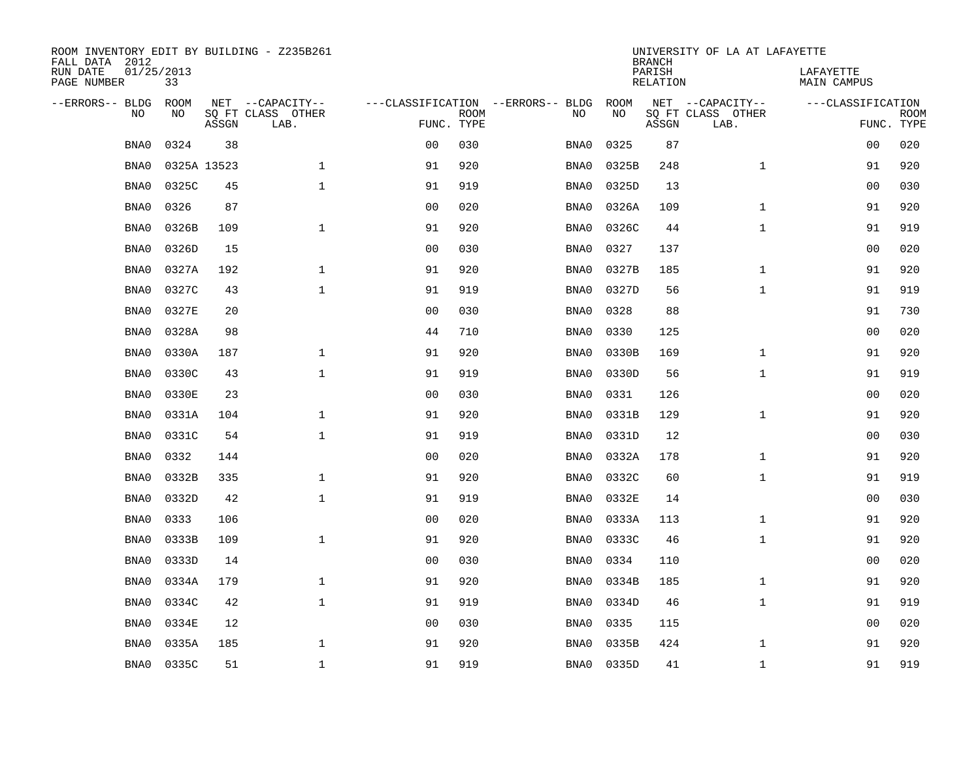| ROOM INVENTORY EDIT BY BUILDING - Z235B261<br>FALL DATA 2012 |                  |             |                           |                |             |                                   |       | <b>BRANCH</b>      | UNIVERSITY OF LA AT LAFAYETTE |                                 |             |
|--------------------------------------------------------------|------------------|-------------|---------------------------|----------------|-------------|-----------------------------------|-------|--------------------|-------------------------------|---------------------------------|-------------|
| RUN DATE<br>PAGE NUMBER                                      | 01/25/2013<br>33 |             |                           |                |             |                                   |       | PARISH<br>RELATION |                               | LAFAYETTE<br><b>MAIN CAMPUS</b> |             |
| --ERRORS-- BLDG                                              | <b>ROOM</b>      |             | NET --CAPACITY--          |                |             | ---CLASSIFICATION --ERRORS-- BLDG | ROOM  |                    | NET --CAPACITY--              | ---CLASSIFICATION               |             |
| N <sub>O</sub>                                               | NO.              | ASSGN       | SO FT CLASS OTHER<br>LAB. | FUNC. TYPE     | <b>ROOM</b> | NO.                               | NO    | ASSGN              | SO FT CLASS OTHER<br>LAB.     | FUNC. TYPE                      | <b>ROOM</b> |
| BNA0                                                         | 0324             | 38          |                           | 0 <sub>0</sub> | 030         | BNA0                              | 0325  | 87                 |                               | 00                              | 020         |
| BNA0                                                         |                  | 0325A 13523 | $\mathbf{1}$              | 91             | 920         | BNA0                              | 0325B | 248                | $\mathbf{1}$                  | 91                              | 920         |
| BNA0                                                         | 0325C            | 45          | $\mathbf{1}$              | 91             | 919         | BNA0                              | 0325D | 13                 |                               | 0 <sub>0</sub>                  | 030         |
| BNA0                                                         | 0326             | 87          |                           | 0 <sub>0</sub> | 020         | BNA0                              | 0326A | 109                | $\mathbf{1}$                  | 91                              | 920         |
| BNA0                                                         | 0326B            | 109         | $\mathbf{1}$              | 91             | 920         | BNA0                              | 0326C | 44                 | $\mathbf{1}$                  | 91                              | 919         |
| BNA0                                                         | 0326D            | 15          |                           | 0 <sub>0</sub> | 030         | BNA0                              | 0327  | 137                |                               | 0 <sub>0</sub>                  | 020         |
| BNA0                                                         | 0327A            | 192         | $\mathbf{1}$              | 91             | 920         | BNA0                              | 0327B | 185                | $\mathbf{1}$                  | 91                              | 920         |
| BNA0                                                         | 0327C            | 43          | $\mathbf{1}$              | 91             | 919         | BNA0                              | 0327D | 56                 | $\mathbf{1}$                  | 91                              | 919         |
| BNA0                                                         | 0327E            | 20          |                           | 0 <sub>0</sub> | 030         | BNA0                              | 0328  | 88                 |                               | 91                              | 730         |
| BNA0                                                         | 0328A            | 98          |                           | 44             | 710         | BNA0                              | 0330  | 125                |                               | 00                              | 020         |
| BNA0                                                         | 0330A            | 187         | $\mathbf{1}$              | 91             | 920         | BNA0                              | 0330B | 169                | $\mathbf{1}$                  | 91                              | 920         |
| BNA0                                                         | 0330C            | 43          | $\mathbf 1$               | 91             | 919         | BNA0                              | 0330D | 56                 | $\mathbf{1}$                  | 91                              | 919         |
| BNA0                                                         | 0330E            | 23          |                           | 0 <sub>0</sub> | 030         | BNA0                              | 0331  | 126                |                               | 0 <sub>0</sub>                  | 020         |
| BNA0                                                         | 0331A            | 104         | $\mathbf{1}$              | 91             | 920         | BNA0                              | 0331B | 129                | $\mathbf{1}$                  | 91                              | 920         |
| BNA0                                                         | 0331C            | 54          | $\mathbf{1}$              | 91             | 919         | BNA0                              | 0331D | 12                 |                               | 00                              | 030         |
| BNA0                                                         | 0332             | 144         |                           | 0 <sub>0</sub> | 020         | BNA0                              | 0332A | 178                | $\mathbf{1}$                  | 91                              | 920         |
| BNA0                                                         | 0332B            | 335         | $\mathbf 1$               | 91             | 920         | BNA0                              | 0332C | 60                 | $\mathbf{1}$                  | 91                              | 919         |
| BNA0                                                         | 0332D            | 42          | $\mathbf 1$               | 91             | 919         | BNA0                              | 0332E | 14                 |                               | 00                              | 030         |
| BNA0                                                         | 0333             | 106         |                           | 0 <sub>0</sub> | 020         | BNA0                              | 0333A | 113                | $\mathbf{1}$                  | 91                              | 920         |
| BNA0                                                         | 0333B            | 109         | $\mathbf{1}$              | 91             | 920         | BNA0                              | 0333C | 46                 | $\mathbf{1}$                  | 91                              | 920         |
| BNA0                                                         | 0333D            | 14          |                           | 0 <sub>0</sub> | 030         | BNA0                              | 0334  | 110                |                               | 00                              | 020         |
| BNA0                                                         | 0334A            | 179         | $\mathbf{1}$              | 91             | 920         | BNA0                              | 0334B | 185                | $\mathbf{1}$                  | 91                              | 920         |
| BNA0                                                         | 0334C            | 42          | $\mathbf{1}$              | 91             | 919         | BNA0                              | 0334D | 46                 | $\mathbf{1}$                  | 91                              | 919         |
| BNA0                                                         | 0334E            | 12          |                           | 0 <sub>0</sub> | 030         | BNA0                              | 0335  | 115                |                               | 00                              | 020         |
| BNA0                                                         | 0335A            | 185         | $\mathbf 1$               | 91             | 920         | BNA0                              | 0335B | 424                | $\mathbf{1}$                  | 91                              | 920         |
| BNA0                                                         | 0335C            | 51          | $\mathbf{1}$              | 91             | 919         | BNA0                              | 0335D | 41                 | $\mathbf{1}$                  | 91                              | 919         |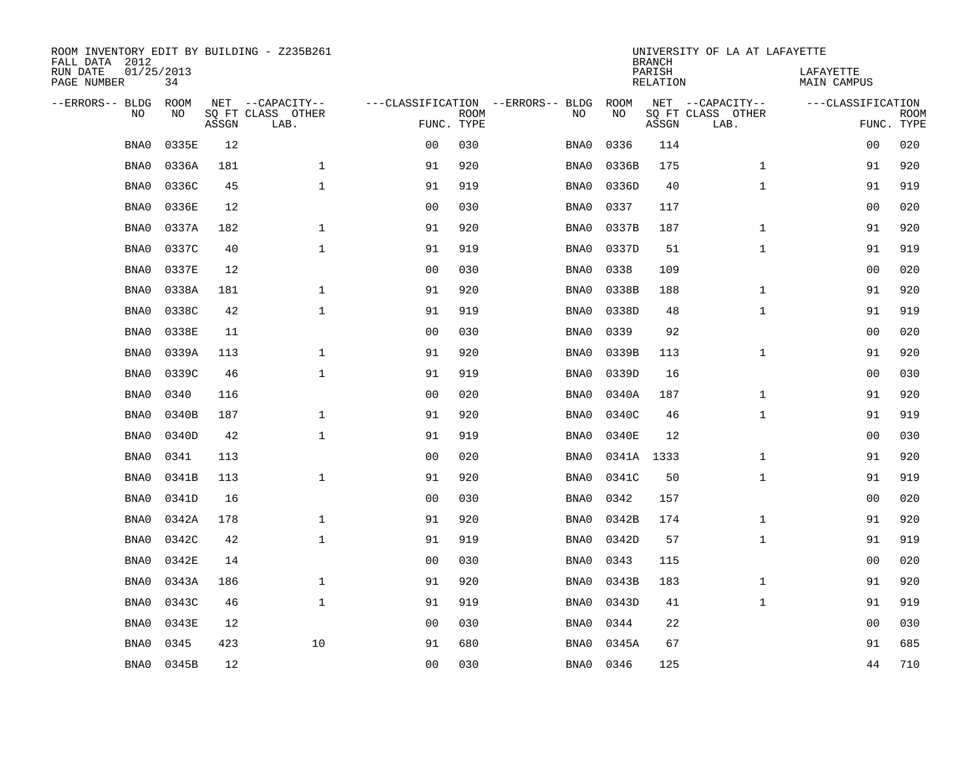| ROOM INVENTORY EDIT BY BUILDING - Z235B261<br>FALL DATA 2012 |                  |       |                           |                |             |                                   |            | <b>BRANCH</b>             | UNIVERSITY OF LA AT LAFAYETTE |                                 |             |
|--------------------------------------------------------------|------------------|-------|---------------------------|----------------|-------------|-----------------------------------|------------|---------------------------|-------------------------------|---------------------------------|-------------|
| RUN DATE<br>PAGE NUMBER                                      | 01/25/2013<br>34 |       |                           |                |             |                                   |            | PARISH<br><b>RELATION</b> |                               | LAFAYETTE<br><b>MAIN CAMPUS</b> |             |
| --ERRORS-- BLDG                                              | ROOM             |       | NET --CAPACITY--          |                |             | ---CLASSIFICATION --ERRORS-- BLDG | ROOM       |                           | NET --CAPACITY--              | ---CLASSIFICATION               |             |
| NO                                                           | NO               | ASSGN | SQ FT CLASS OTHER<br>LAB. | FUNC. TYPE     | <b>ROOM</b> | NO                                | NO         | ASSGN                     | SQ FT CLASS OTHER<br>LAB.     | FUNC. TYPE                      | <b>ROOM</b> |
| BNA0                                                         | 0335E            | 12    |                           | 0 <sub>0</sub> | 030         | BNA0                              | 0336       | 114                       |                               | 0 <sub>0</sub>                  | 020         |
| BNA0                                                         | 0336A            | 181   | $\mathbf 1$               | 91             | 920         | BNA0                              | 0336B      | 175                       | $\mathbf{1}$                  | 91                              | 920         |
| BNA0                                                         | 0336C            | 45    | $\mathbf{1}$              | 91             | 919         | BNA0                              | 0336D      | 40                        | $\mathbf{1}$                  | 91                              | 919         |
| BNA0                                                         | 0336E            | 12    |                           | 0 <sub>0</sub> | 030         | BNA0                              | 0337       | 117                       |                               | 00                              | 020         |
| BNA0                                                         | 0337A            | 182   | $\mathbf{1}$              | 91             | 920         | BNA0                              | 0337B      | 187                       | $\mathbf{1}$                  | 91                              | 920         |
| BNA0                                                         | 0337C            | 40    | $\mathbf{1}$              | 91             | 919         | BNA0                              | 0337D      | 51                        | $\mathbf{1}$                  | 91                              | 919         |
| BNA0                                                         | 0337E            | 12    |                           | 0 <sub>0</sub> | 030         | BNA0                              | 0338       | 109                       |                               | 0 <sub>0</sub>                  | 020         |
| BNA0                                                         | 0338A            | 181   | $\mathbf{1}$              | 91             | 920         | BNA0                              | 0338B      | 188                       | $\mathbf{1}$                  | 91                              | 920         |
| BNA0                                                         | 0338C            | 42    | $\mathbf{1}$              | 91             | 919         | BNA0                              | 0338D      | 48                        | $\mathbf{1}$                  | 91                              | 919         |
| BNA0                                                         | 0338E            | 11    |                           | 0 <sub>0</sub> | 030         | BNA0                              | 0339       | 92                        |                               | 00                              | 020         |
| BNA0                                                         | 0339A            | 113   | $\mathbf{1}$              | 91             | 920         | BNA0                              | 0339B      | 113                       | $\mathbf{1}$                  | 91                              | 920         |
| BNA0                                                         | 0339C            | 46    | $\mathbf{1}$              | 91             | 919         | BNA0                              | 0339D      | 16                        |                               | 00                              | 030         |
| BNA0                                                         | 0340             | 116   |                           | 0 <sub>0</sub> | 020         | BNA0                              | 0340A      | 187                       | $\mathbf{1}$                  | 91                              | 920         |
| BNA0                                                         | 0340B            | 187   | $\mathbf 1$               | 91             | 920         | BNA0                              | 0340C      | 46                        | $\mathbf{1}$                  | 91                              | 919         |
| BNA0                                                         | 0340D            | 42    | $\mathbf{1}$              | 91             | 919         | BNA0                              | 0340E      | 12                        |                               | 0 <sub>0</sub>                  | 030         |
| BNA0                                                         | 0341             | 113   |                           | 00             | 020         | BNA0                              | 0341A 1333 |                           | $\mathbf{1}$                  | 91                              | 920         |
| BNA0                                                         | 0341B            | 113   | $\mathbf{1}$              | 91             | 920         | BNA0                              | 0341C      | 50                        | $\mathbf{1}$                  | 91                              | 919         |
| BNA0                                                         | 0341D            | 16    |                           | 0 <sub>0</sub> | 030         | BNA0                              | 0342       | 157                       |                               | 00                              | 020         |
| BNA0                                                         | 0342A            | 178   | $\mathbf{1}$              | 91             | 920         | BNA0                              | 0342B      | 174                       | $\mathbf{1}$                  | 91                              | 920         |
| BNA0                                                         | 0342C            | 42    | $\mathbf{1}$              | 91             | 919         | BNA0                              | 0342D      | 57                        | $\mathbf{1}$                  | 91                              | 919         |
| BNA0                                                         | 0342E            | 14    |                           | 0 <sub>0</sub> | 030         | BNA0                              | 0343       | 115                       |                               | 0 <sub>0</sub>                  | 020         |
| BNA0                                                         | 0343A            | 186   | $\mathbf{1}$              | 91             | 920         | BNA0                              | 0343B      | 183                       | $\mathbf{1}$                  | 91                              | 920         |
| BNA0                                                         | 0343C            | 46    | $\mathbf{1}$              | 91             | 919         | BNA0                              | 0343D      | 41                        | $\mathbf{1}$                  | 91                              | 919         |
| BNA0                                                         | 0343E            | 12    |                           | 0 <sub>0</sub> | 030         | BNA0                              | 0344       | 22                        |                               | 0 <sub>0</sub>                  | 030         |
| BNA0                                                         | 0345             | 423   | 10                        | 91             | 680         | BNA0                              | 0345A      | 67                        |                               | 91                              | 685         |
| BNA0                                                         | 0345B            | 12    |                           | 00             | 030         | BNA0                              | 0346       | 125                       |                               | 44                              | 710         |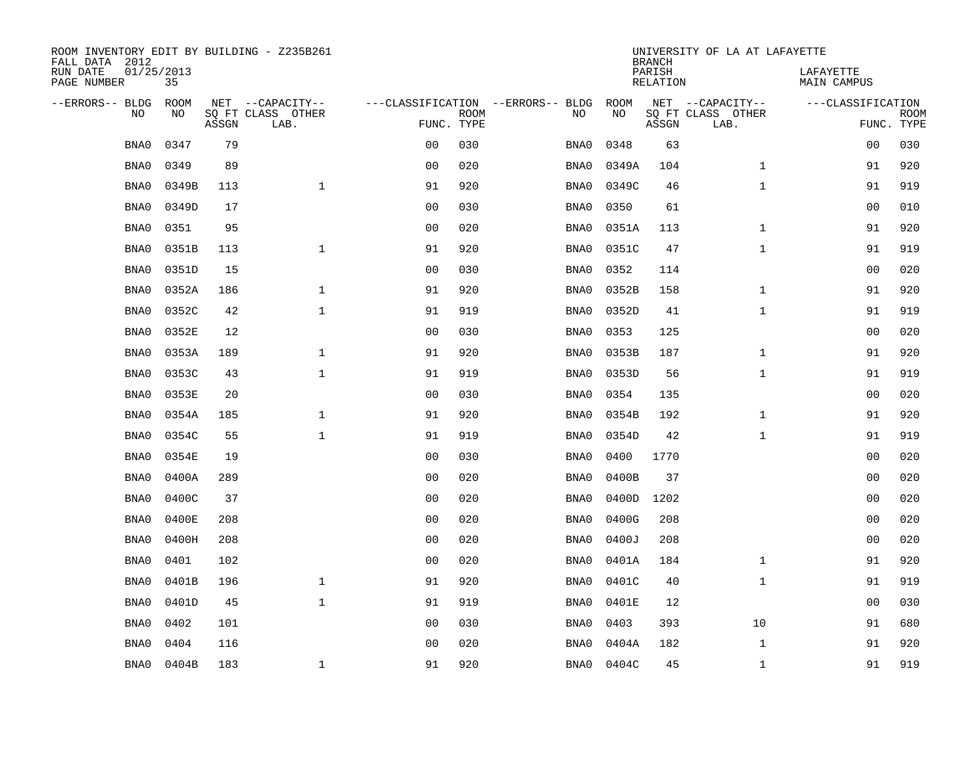| ROOM INVENTORY EDIT BY BUILDING - Z235B261<br>FALL DATA 2012 |                  |       |                           |                |             |                                   |       | <b>BRANCH</b>             | UNIVERSITY OF LA AT LAFAYETTE |                                 |             |
|--------------------------------------------------------------|------------------|-------|---------------------------|----------------|-------------|-----------------------------------|-------|---------------------------|-------------------------------|---------------------------------|-------------|
| RUN DATE<br>PAGE NUMBER                                      | 01/25/2013<br>35 |       |                           |                |             |                                   |       | PARISH<br><b>RELATION</b> |                               | LAFAYETTE<br><b>MAIN CAMPUS</b> |             |
| --ERRORS-- BLDG                                              | ROOM             |       | NET --CAPACITY--          |                |             | ---CLASSIFICATION --ERRORS-- BLDG | ROOM  |                           | NET --CAPACITY--              | ---CLASSIFICATION               |             |
| NO                                                           | NO               | ASSGN | SQ FT CLASS OTHER<br>LAB. | FUNC. TYPE     | <b>ROOM</b> | NO                                | NO    | ASSGN                     | SQ FT CLASS OTHER<br>LAB.     | FUNC. TYPE                      | <b>ROOM</b> |
| BNA0                                                         | 0347             | 79    |                           | 0 <sub>0</sub> | 030         | BNA0                              | 0348  | 63                        |                               | 00                              | 030         |
| BNA0                                                         | 0349             | 89    |                           | 0 <sub>0</sub> | 020         | BNA0                              | 0349A | 104                       | $\mathbf{1}$                  | 91                              | 920         |
| BNA0                                                         | 0349B            | 113   | $\mathbf{1}$              | 91             | 920         | BNA0                              | 0349C | 46                        | $\mathbf{1}$                  | 91                              | 919         |
| BNA0                                                         | 0349D            | 17    |                           | 0 <sub>0</sub> | 030         | BNA0                              | 0350  | 61                        |                               | 00                              | 010         |
| BNA0                                                         | 0351             | 95    |                           | 0 <sub>0</sub> | 020         | BNA0                              | 0351A | 113                       | $\mathbf{1}$                  | 91                              | 920         |
| BNA0                                                         | 0351B            | 113   | $\mathbf{1}$              | 91             | 920         | BNA0                              | 0351C | 47                        | $\mathbf{1}$                  | 91                              | 919         |
| BNA0                                                         | 0351D            | 15    |                           | 0 <sub>0</sub> | 030         | BNA0                              | 0352  | 114                       |                               | 00                              | 020         |
| BNA0                                                         | 0352A            | 186   | $\mathbf{1}$              | 91             | 920         | BNA0                              | 0352B | 158                       | $\mathbf{1}$                  | 91                              | 920         |
| BNA0                                                         | 0352C            | 42    | $\mathbf{1}$              | 91             | 919         | BNA0                              | 0352D | 41                        | $\mathbf{1}$                  | 91                              | 919         |
| BNA0                                                         | 0352E            | 12    |                           | 0 <sub>0</sub> | 030         | BNA0                              | 0353  | 125                       |                               | 0 <sub>0</sub>                  | 020         |
| BNA0                                                         | 0353A            | 189   | $\mathbf{1}$              | 91             | 920         | BNA0                              | 0353B | 187                       | $\mathbf{1}$                  | 91                              | 920         |
| BNA0                                                         | 0353C            | 43    | $\mathbf{1}$              | 91             | 919         | BNA0                              | 0353D | 56                        | $\mathbf{1}$                  | 91                              | 919         |
| BNA0                                                         | 0353E            | 20    |                           | 0 <sub>0</sub> | 030         | BNA0                              | 0354  | 135                       |                               | 00                              | 020         |
| BNA0                                                         | 0354A            | 185   | $\mathbf 1$               | 91             | 920         | BNA0                              | 0354B | 192                       | $\mathbf{1}$                  | 91                              | 920         |
| BNA0                                                         | 0354C            | 55    | $\mathbf 1$               | 91             | 919         | BNA0                              | 0354D | 42                        | $\mathbf{1}$                  | 91                              | 919         |
| BNA0                                                         | 0354E            | 19    |                           | 0 <sub>0</sub> | 030         | BNA0                              | 0400  | 1770                      |                               | 00                              | 020         |
| BNA0                                                         | 0400A            | 289   |                           | 0 <sub>0</sub> | 020         | BNA0                              | 0400B | 37                        |                               | 0 <sub>0</sub>                  | 020         |
| BNA0                                                         | 0400C            | 37    |                           | 0 <sub>0</sub> | 020         | BNA0                              | 0400D | 1202                      |                               | 0 <sub>0</sub>                  | 020         |
| BNA0                                                         | 0400E            | 208   |                           | 0 <sub>0</sub> | 020         | BNA0                              | 0400G | 208                       |                               | 0 <sub>0</sub>                  | 020         |
| BNA0                                                         | 0400H            | 208   |                           | 0 <sub>0</sub> | 020         | BNA0                              | 0400J | 208                       |                               | 00                              | 020         |
| BNA0                                                         | 0401             | 102   |                           | 0 <sub>0</sub> | 020         | BNA0                              | 0401A | 184                       | $\mathbf{1}$                  | 91                              | 920         |
| BNA0                                                         | 0401B            | 196   | $\mathbf{1}$              | 91             | 920         | BNA0                              | 0401C | 40                        | $\mathbf{1}$                  | 91                              | 919         |
| BNA0                                                         | 0401D            | 45    | $\mathbf{1}$              | 91             | 919         | BNA0                              | 0401E | 12                        |                               | 0 <sub>0</sub>                  | 030         |
| BNA0                                                         | 0402             | 101   |                           | 00             | 030         | BNA0                              | 0403  | 393                       | 10                            | 91                              | 680         |
| BNA0                                                         | 0404             | 116   |                           | 0 <sub>0</sub> | 020         | BNA0                              | 0404A | 182                       | $\mathbf{1}$                  | 91                              | 920         |
| BNA0                                                         | 0404B            | 183   | $\mathbf{1}$              | 91             | 920         | BNA0                              | 0404C | 45                        | $\mathbf{1}$                  | 91                              | 919         |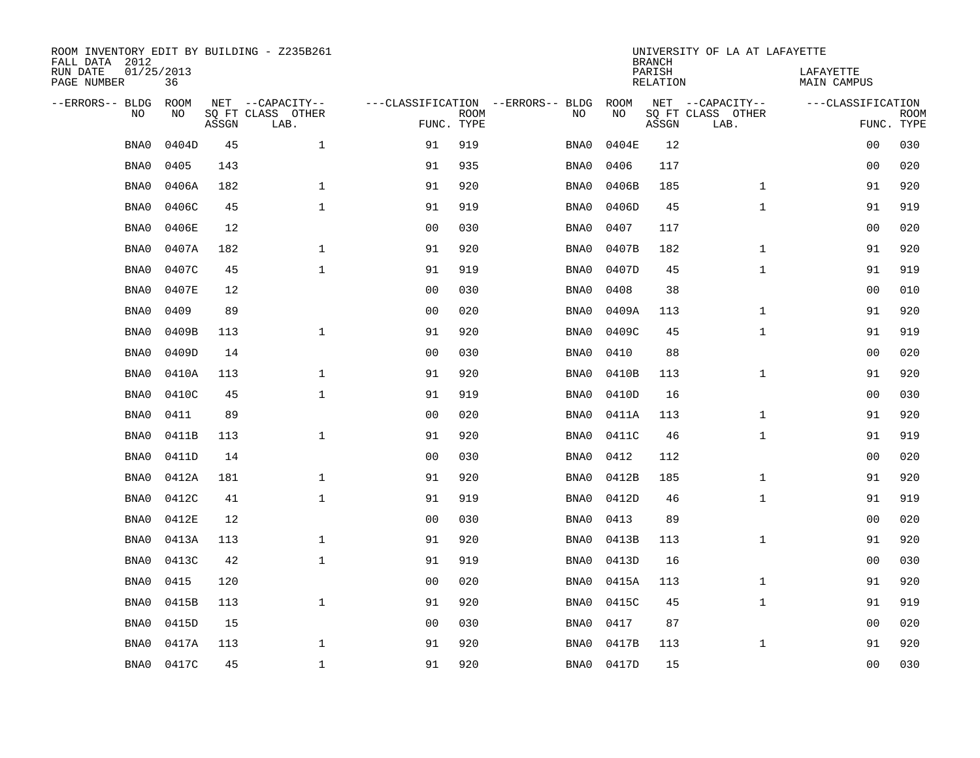| ROOM INVENTORY EDIT BY BUILDING - Z235B261<br>FALL DATA 2012 |                  |       |                           |                |             |                                   | <b>BRANCH</b> | UNIVERSITY OF LA AT LAFAYETTE |                           |                                 |                           |
|--------------------------------------------------------------|------------------|-------|---------------------------|----------------|-------------|-----------------------------------|---------------|-------------------------------|---------------------------|---------------------------------|---------------------------|
| RUN DATE<br>PAGE NUMBER                                      | 01/25/2013<br>36 |       |                           |                |             |                                   |               | PARISH<br><b>RELATION</b>     |                           | LAFAYETTE<br><b>MAIN CAMPUS</b> |                           |
| --ERRORS-- BLDG                                              | ROOM             |       | NET --CAPACITY--          |                |             | ---CLASSIFICATION --ERRORS-- BLDG | ROOM          |                               | NET --CAPACITY--          | ---CLASSIFICATION               |                           |
| NO                                                           | NO               | ASSGN | SQ FT CLASS OTHER<br>LAB. | FUNC. TYPE     | <b>ROOM</b> | NO                                | NO            | ASSGN                         | SQ FT CLASS OTHER<br>LAB. |                                 | <b>ROOM</b><br>FUNC. TYPE |
| BNA0                                                         | 0404D            | 45    | $\mathbf{1}$              | 91             | 919         | BNA0                              | 0404E         | 12                            |                           | 00                              | 030                       |
| BNA0                                                         | 0405             | 143   |                           | 91             | 935         | BNA0                              | 0406          | 117                           |                           | 00                              | 020                       |
| BNA0                                                         | 0406A            | 182   | $\mathbf 1$               | 91             | 920         | BNA0                              | 0406B         | 185                           | $\mathbf{1}$              | 91                              | 920                       |
| BNA0                                                         | 0406C            | 45    | $\mathbf 1$               | 91             | 919         | BNA0                              | 0406D         | 45                            | $\mathbf{1}$              | 91                              | 919                       |
| BNA0                                                         | 0406E            | 12    |                           | 0 <sub>0</sub> | 030         | BNA0                              | 0407          | 117                           |                           | 0 <sub>0</sub>                  | 020                       |
| BNA0                                                         | 0407A            | 182   | $\mathbf{1}$              | 91             | 920         | BNA0                              | 0407B         | 182                           | $\mathbf{1}$              | 91                              | 920                       |
| BNA0                                                         | 0407C            | 45    | $\mathbf{1}$              | 91             | 919         | BNA0                              | 0407D         | 45                            | $\mathbf{1}$              | 91                              | 919                       |
| BNA0                                                         | 0407E            | 12    |                           | 0 <sub>0</sub> | 030         | BNA0                              | 0408          | 38                            |                           | 0 <sub>0</sub>                  | 010                       |
| BNA0                                                         | 0409             | 89    |                           | 0 <sub>0</sub> | 020         | BNA0                              | 0409A         | 113                           | $\mathbf{1}$              | 91                              | 920                       |
| BNA0                                                         | 0409B            | 113   | $\mathbf{1}$              | 91             | 920         | BNA0                              | 0409C         | 45                            | $\mathbf{1}$              | 91                              | 919                       |
| BNA0                                                         | 0409D            | 14    |                           | 0 <sub>0</sub> | 030         | BNA0                              | 0410          | 88                            |                           | 00                              | 020                       |
| BNA0                                                         | 0410A            | 113   | $\mathbf{1}$              | 91             | 920         | BNA0                              | 0410B         | 113                           | $\mathbf{1}$              | 91                              | 920                       |
| BNA0                                                         | 0410C            | 45    | $\mathbf 1$               | 91             | 919         | BNA0                              | 0410D         | 16                            |                           | 00                              | 030                       |
| BNA0                                                         | 0411             | 89    |                           | 0 <sub>0</sub> | 020         | BNA0                              | 0411A         | 113                           | $\mathbf{1}$              | 91                              | 920                       |
| BNA0                                                         | 0411B            | 113   | $\mathbf{1}$              | 91             | 920         | BNA0                              | 0411C         | 46                            | $\mathbf{1}$              | 91                              | 919                       |
| BNA0                                                         | 0411D            | 14    |                           | 0 <sub>0</sub> | 030         | BNA0                              | 0412          | 112                           |                           | 00                              | 020                       |
| BNA0                                                         | 0412A            | 181   | $\mathbf{1}$              | 91             | 920         | BNA0                              | 0412B         | 185                           | $\mathbf{1}$              | 91                              | 920                       |
| BNA0                                                         | 0412C            | 41    | $\mathbf{1}$              | 91             | 919         | BNA0                              | 0412D         | 46                            | $\mathbf{1}$              | 91                              | 919                       |
| BNA0                                                         | 0412E            | 12    |                           | 0 <sub>0</sub> | 030         | BNA0                              | 0413          | 89                            |                           | 0 <sub>0</sub>                  | 020                       |
| BNA0                                                         | 0413A            | 113   | $\mathbf 1$               | 91             | 920         | BNA0                              | 0413B         | 113                           | $\mathbf{1}$              | 91                              | 920                       |
| BNA0                                                         | 0413C            | 42    | $\mathbf 1$               | 91             | 919         | BNA0                              | 0413D         | 16                            |                           | 00                              | 030                       |
| BNA0                                                         | 0415             | 120   |                           | 0 <sub>0</sub> | 020         | BNA0                              | 0415A         | 113                           | $\mathbf{1}$              | 91                              | 920                       |
| BNA0                                                         | 0415B            | 113   | $\mathbf{1}$              | 91             | 920         | BNA0                              | 0415C         | 45                            | $\mathbf{1}$              | 91                              | 919                       |
| BNA0                                                         | 0415D            | 15    |                           | 0 <sub>0</sub> | 030         | BNA0                              | 0417          | 87                            |                           | 0 <sub>0</sub>                  | 020                       |
| BNA0                                                         | 0417A            | 113   | $\mathbf 1$               | 91             | 920         | BNA0                              | 0417B         | 113                           | $\mathbf{1}$              | 91                              | 920                       |
| BNA0                                                         | 0417C            | 45    | $\mathbf{1}$              | 91             | 920         |                                   | BNA0 0417D    | 15                            |                           | 0 <sub>0</sub>                  | 030                       |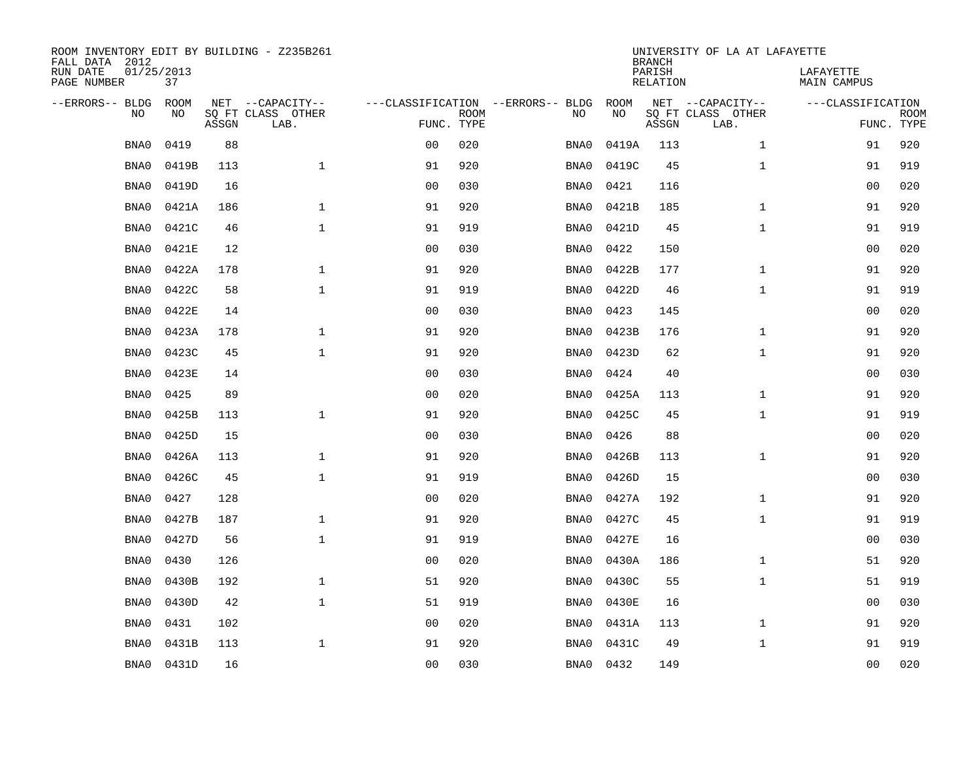| ROOM INVENTORY EDIT BY BUILDING - Z235B261<br>FALL DATA 2012 |                  |       |                           |                                   |             |      |           | <b>BRANCH</b>             | UNIVERSITY OF LA AT LAFAYETTE |                                 |             |
|--------------------------------------------------------------|------------------|-------|---------------------------|-----------------------------------|-------------|------|-----------|---------------------------|-------------------------------|---------------------------------|-------------|
| RUN DATE<br>PAGE NUMBER                                      | 01/25/2013<br>37 |       |                           |                                   |             |      |           | PARISH<br><b>RELATION</b> |                               | LAFAYETTE<br><b>MAIN CAMPUS</b> |             |
| --ERRORS-- BLDG                                              | ROOM             |       | NET --CAPACITY--          | ---CLASSIFICATION --ERRORS-- BLDG |             |      | ROOM      |                           | NET --CAPACITY--              | ---CLASSIFICATION               |             |
| NO                                                           | NO               | ASSGN | SQ FT CLASS OTHER<br>LAB. | FUNC. TYPE                        | <b>ROOM</b> | NO   | NO        | ASSGN                     | SQ FT CLASS OTHER<br>LAB.     | FUNC. TYPE                      | <b>ROOM</b> |
| BNA0                                                         | 0419             | 88    |                           | 0 <sub>0</sub>                    | 020         | BNA0 | 0419A     | 113                       | $\mathbf{1}$                  | 91                              | 920         |
| BNA0                                                         | 0419B            | 113   | $\mathbf{1}$              | 91                                | 920         | BNA0 | 0419C     | 45                        | $\mathbf{1}$                  | 91                              | 919         |
| BNA0                                                         | 0419D            | 16    |                           | 0 <sub>0</sub>                    | 030         | BNA0 | 0421      | 116                       |                               | 00                              | 020         |
| BNA0                                                         | 0421A            | 186   | $\mathbf 1$               | 91                                | 920         | BNA0 | 0421B     | 185                       | $\mathbf{1}$                  | 91                              | 920         |
| BNA0                                                         | 0421C            | 46    | $\mathbf{1}$              | 91                                | 919         | BNA0 | 0421D     | 45                        | $\mathbf{1}$                  | 91                              | 919         |
| BNA0                                                         | 0421E            | 12    |                           | 0 <sub>0</sub>                    | 030         | BNA0 | 0422      | 150                       |                               | 0 <sub>0</sub>                  | 020         |
| BNA0                                                         | 0422A            | 178   | $\mathbf{1}$              | 91                                | 920         | BNA0 | 0422B     | 177                       | $\mathbf{1}$                  | 91                              | 920         |
| BNA0                                                         | 0422C            | 58    | $\mathbf{1}$              | 91                                | 919         | BNA0 | 0422D     | 46                        | $\mathbf{1}$                  | 91                              | 919         |
| BNA0                                                         | 0422E            | 14    |                           | 0 <sub>0</sub>                    | 030         | BNA0 | 0423      | 145                       |                               | 0 <sub>0</sub>                  | 020         |
| BNA0                                                         | 0423A            | 178   | $\mathbf{1}$              | 91                                | 920         | BNA0 | 0423B     | 176                       | $\mathbf{1}$                  | 91                              | 920         |
| BNA0                                                         | 0423C            | 45    | $\mathbf{1}$              | 91                                | 920         | BNA0 | 0423D     | 62                        | $\mathbf{1}$                  | 91                              | 920         |
| BNA0                                                         | 0423E            | 14    |                           | 0 <sub>0</sub>                    | 030         | BNA0 | 0424      | 40                        |                               | 00                              | 030         |
| BNA0                                                         | 0425             | 89    |                           | 0 <sub>0</sub>                    | 020         | BNA0 | 0425A     | 113                       | $\mathbf{1}$                  | 91                              | 920         |
| BNA0                                                         | 0425B            | 113   | $\mathbf{1}$              | 91                                | 920         | BNA0 | 0425C     | 45                        | $\mathbf{1}$                  | 91                              | 919         |
| BNA0                                                         | 0425D            | 15    |                           | 0 <sub>0</sub>                    | 030         | BNA0 | 0426      | 88                        |                               | 00                              | 020         |
| BNA0                                                         | 0426A            | 113   | 1                         | 91                                | 920         | BNA0 | 0426B     | 113                       | $\mathbf{1}$                  | 91                              | 920         |
| BNA0                                                         | 0426C            | 45    | $\mathbf{1}$              | 91                                | 919         | BNA0 | 0426D     | 15                        |                               | 0 <sub>0</sub>                  | 030         |
| BNA0                                                         | 0427             | 128   |                           | 0 <sub>0</sub>                    | 020         | BNA0 | 0427A     | 192                       | $\mathbf{1}$                  | 91                              | 920         |
| BNA0                                                         | 0427B            | 187   | $\mathbf{1}$              | 91                                | 920         | BNA0 | 0427C     | 45                        | $\mathbf{1}$                  | 91                              | 919         |
| BNA0                                                         | 0427D            | 56    | $\mathbf{1}$              | 91                                | 919         | BNA0 | 0427E     | 16                        |                               | 00                              | 030         |
| BNA0                                                         | 0430             | 126   |                           | 0 <sub>0</sub>                    | 020         | BNA0 | 0430A     | 186                       | $\mathbf{1}$                  | 51                              | 920         |
| BNA0                                                         | 0430B            | 192   | $\mathbf{1}$              | 51                                | 920         | BNA0 | 0430C     | 55                        | $\mathbf{1}$                  | 51                              | 919         |
| BNA0                                                         | 0430D            | 42    | $\mathbf{1}$              | 51                                | 919         | BNA0 | 0430E     | 16                        |                               | 0 <sub>0</sub>                  | 030         |
| BNA0                                                         | 0431             | 102   |                           | 0 <sub>0</sub>                    | 020         | BNA0 | 0431A     | 113                       | $\mathbf{1}$                  | 91                              | 920         |
| BNA0                                                         | 0431B            | 113   | $\mathbf{1}$              | 91                                | 920         | BNA0 | 0431C     | 49                        | $\mathbf{1}$                  | 91                              | 919         |
| BNA0                                                         | 0431D            | 16    |                           | 00                                | 030         |      | BNA0 0432 | 149                       |                               | 0 <sub>0</sub>                  | 020         |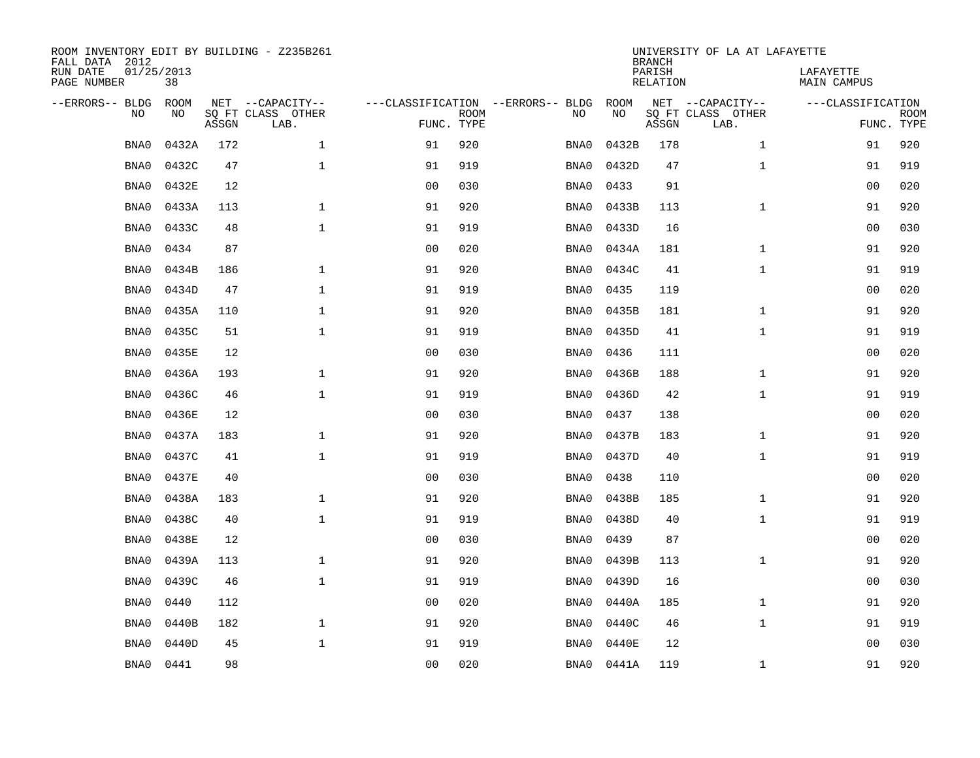| ROOM INVENTORY EDIT BY BUILDING - Z235B261<br>FALL DATA 2012 |                  |       |                           |                |             |                                   |            | <b>BRANCH</b>             | UNIVERSITY OF LA AT LAFAYETTE |                                 |             |
|--------------------------------------------------------------|------------------|-------|---------------------------|----------------|-------------|-----------------------------------|------------|---------------------------|-------------------------------|---------------------------------|-------------|
| RUN DATE<br>PAGE NUMBER                                      | 01/25/2013<br>38 |       |                           |                |             |                                   |            | PARISH<br><b>RELATION</b> |                               | LAFAYETTE<br><b>MAIN CAMPUS</b> |             |
| --ERRORS-- BLDG                                              | ROOM             |       | NET --CAPACITY--          |                |             | ---CLASSIFICATION --ERRORS-- BLDG | ROOM       |                           | NET --CAPACITY--              | ---CLASSIFICATION               |             |
| NO                                                           | NO               | ASSGN | SQ FT CLASS OTHER<br>LAB. | FUNC. TYPE     | <b>ROOM</b> | NO                                | NO         | ASSGN                     | SQ FT CLASS OTHER<br>LAB.     | FUNC. TYPE                      | <b>ROOM</b> |
| BNA0                                                         | 0432A            | 172   | $\mathbf{1}$              | 91             | 920         | BNA0                              | 0432B      | 178                       | $\mathbf{1}$                  | 91                              | 920         |
| BNA0                                                         | 0432C            | 47    | $\mathbf 1$               | 91             | 919         | BNA0                              | 0432D      | 47                        | $\mathbf{1}$                  | 91                              | 919         |
| BNA0                                                         | 0432E            | 12    |                           | 0 <sub>0</sub> | 030         | BNA0                              | 0433       | 91                        |                               | 00                              | 020         |
| BNA0                                                         | 0433A            | 113   | $\mathbf{1}$              | 91             | 920         | BNA0                              | 0433B      | 113                       | $\mathbf{1}$                  | 91                              | 920         |
| BNA0                                                         | 0433C            | 48    | $\mathbf{1}$              | 91             | 919         | BNA0                              | 0433D      | 16                        |                               | 0 <sub>0</sub>                  | 030         |
| BNA0                                                         | 0434             | 87    |                           | 0 <sub>0</sub> | 020         | BNA0                              | 0434A      | 181                       | $\mathbf{1}$                  | 91                              | 920         |
| BNA0                                                         | 0434B            | 186   | $\mathbf{1}$              | 91             | 920         | BNA0                              | 0434C      | 41                        | $\mathbf{1}$                  | 91                              | 919         |
| BNA0                                                         | 0434D            | 47    | $\mathbf{1}$              | 91             | 919         | BNA0                              | 0435       | 119                       |                               | 0 <sub>0</sub>                  | 020         |
| BNA0                                                         | 0435A            | 110   | $\mathbf{1}$              | 91             | 920         | BNA0                              | 0435B      | 181                       | $\mathbf{1}$                  | 91                              | 920         |
| BNA0                                                         | 0435C            | 51    | $\mathbf{1}$              | 91             | 919         | BNA0                              | 0435D      | 41                        | $\mathbf{1}$                  | 91                              | 919         |
| BNA0                                                         | 0435E            | 12    |                           | 0 <sub>0</sub> | 030         | BNA0                              | 0436       | 111                       |                               | 00                              | 020         |
| BNA0                                                         | 0436A            | 193   | $\mathbf{1}$              | 91             | 920         | BNA0                              | 0436B      | 188                       | $\mathbf{1}$                  | 91                              | 920         |
| BNA0                                                         | 0436C            | 46    | $\mathbf{1}$              | 91             | 919         | BNA0                              | 0436D      | 42                        | $\mathbf{1}$                  | 91                              | 919         |
| BNA0                                                         | 0436E            | 12    |                           | 0 <sub>0</sub> | 030         | BNA0                              | 0437       | 138                       |                               | 00                              | 020         |
| BNA0                                                         | 0437A            | 183   | $\mathbf{1}$              | 91             | 920         | BNA0                              | 0437B      | 183                       | $\mathbf{1}$                  | 91                              | 920         |
| BNA0                                                         | 0437C            | 41    | $\mathbf{1}$              | 91             | 919         | BNA0                              | 0437D      | 40                        | $\mathbf{1}$                  | 91                              | 919         |
| BNA0                                                         | 0437E            | 40    |                           | 0 <sub>0</sub> | 030         | BNA0                              | 0438       | 110                       |                               | 0 <sub>0</sub>                  | 020         |
| BNA0                                                         | 0438A            | 183   | $\mathbf 1$               | 91             | 920         | BNA0                              | 0438B      | 185                       | $\mathbf{1}$                  | 91                              | 920         |
| BNA0                                                         | 0438C            | 40    | $\mathbf{1}$              | 91             | 919         | BNA0                              | 0438D      | 40                        | $\mathbf{1}$                  | 91                              | 919         |
| BNA0                                                         | 0438E            | 12    |                           | 0 <sub>0</sub> | 030         | BNA0                              | 0439       | 87                        |                               | 00                              | 020         |
| BNA0                                                         | 0439A            | 113   | $\mathbf{1}$              | 91             | 920         | BNA0                              | 0439B      | 113                       | $\mathbf{1}$                  | 91                              | 920         |
| BNA0                                                         | 0439C            | 46    | $\mathbf{1}$              | 91             | 919         | BNA0                              | 0439D      | 16                        |                               | 0 <sub>0</sub>                  | 030         |
| BNA0                                                         | 0440             | 112   |                           | 0 <sub>0</sub> | 020         | BNA0                              | 0440A      | 185                       | $\mathbf{1}$                  | 91                              | 920         |
| BNA0                                                         | 0440B            | 182   | $\mathbf 1$               | 91             | 920         | BNA0                              | 0440C      | 46                        | $\mathbf{1}$                  | 91                              | 919         |
| BNA0                                                         | 0440D            | 45    | $\mathbf{1}$              | 91             | 919         | BNA0                              | 0440E      | 12                        |                               | 0 <sub>0</sub>                  | 030         |
| BNA0                                                         | 0441             | 98    |                           | 00             | 020         |                                   | BNA0 0441A | 119                       | $\mathbf{1}$                  | 91                              | 920         |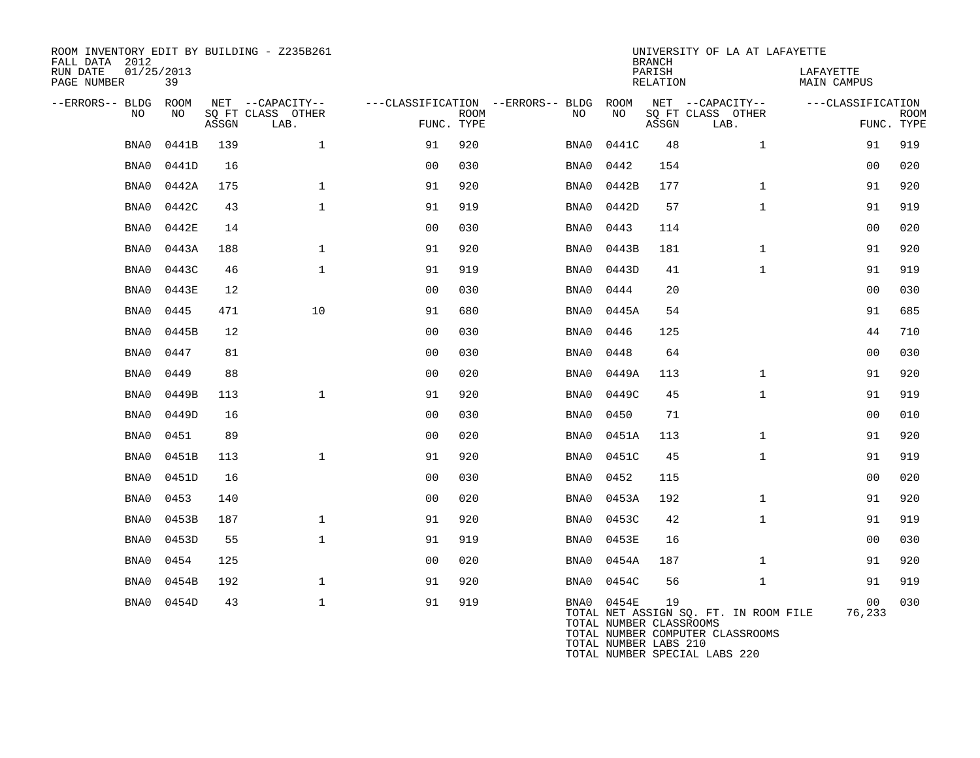| ROOM INVENTORY EDIT BY BUILDING - Z235B261<br>FALL DATA 2012 |                  |       |                           |                |             |                                        |                                                                   | <b>BRANCH</b>      | UNIVERSITY OF LA AT LAFAYETTE                                             |                          |                           |
|--------------------------------------------------------------|------------------|-------|---------------------------|----------------|-------------|----------------------------------------|-------------------------------------------------------------------|--------------------|---------------------------------------------------------------------------|--------------------------|---------------------------|
| RUN DATE<br>PAGE NUMBER                                      | 01/25/2013<br>39 |       |                           |                |             |                                        |                                                                   | PARISH<br>RELATION |                                                                           | LAFAYETTE<br>MAIN CAMPUS |                           |
| --ERRORS-- BLDG ROOM                                         |                  |       | NET --CAPACITY--          |                |             | ---CLASSIFICATION --ERRORS-- BLDG ROOM |                                                                   |                    | NET --CAPACITY--                                                          | ---CLASSIFICATION        |                           |
| NO                                                           | NO               | ASSGN | SQ FT CLASS OTHER<br>LAB. | FUNC. TYPE     | <b>ROOM</b> | NO.                                    | NO                                                                | ASSGN              | SQ FT CLASS OTHER<br>LAB.                                                 |                          | <b>ROOM</b><br>FUNC. TYPE |
| BNA0                                                         | 0441B            | 139   | $\mathbf{1}$              | 91             | 920         | BNA0                                   | 0441C                                                             | 48                 | $\mathbf{1}$                                                              | 91                       | 919                       |
| BNA0                                                         | 0441D            | 16    |                           | 0 <sub>0</sub> | 030         | BNA0                                   | 0442                                                              | 154                |                                                                           | 00                       | 020                       |
| BNA0                                                         | 0442A            | 175   | $\mathbf 1$               | 91             | 920         | BNA0                                   | 0442B                                                             | 177                | $\mathbf{1}$                                                              | 91                       | 920                       |
| BNA0                                                         | 0442C            | 43    | $\mathbf{1}$              | 91             | 919         | BNA0                                   | 0442D                                                             | 57                 | $\mathbf{1}$                                                              | 91                       | 919                       |
| BNA0                                                         | 0442E            | 14    |                           | 0 <sub>0</sub> | 030         | BNA0                                   | 0443                                                              | 114                |                                                                           | 00                       | 020                       |
| BNA0                                                         | 0443A            | 188   | $\mathbf{1}$              | 91             | 920         | BNA0                                   | 0443B                                                             | 181                | $\mathbf{1}$                                                              | 91                       | 920                       |
| BNA0                                                         | 0443C            | 46    | $\mathbf{1}$              | 91             | 919         | BNA0                                   | 0443D                                                             | 41                 | $\mathbf{1}$                                                              | 91                       | 919                       |
| BNA0                                                         | 0443E            | 12    |                           | 0 <sub>0</sub> | 030         | BNA0                                   | 0444                                                              | 20                 |                                                                           | 0 <sub>0</sub>           | 030                       |
| BNA0                                                         | 0445             | 471   | 10                        | 91             | 680         | BNA0                                   | 0445A                                                             | 54                 |                                                                           | 91                       | 685                       |
| BNA0                                                         | 0445B            | 12    |                           | 00             | 030         | BNA0                                   | 0446                                                              | 125                |                                                                           | 44                       | 710                       |
| BNA0                                                         | 0447             | 81    |                           | 0 <sub>0</sub> | 030         | BNA0                                   | 0448                                                              | 64                 |                                                                           | 00                       | 030                       |
| BNA0                                                         | 0449             | 88    |                           | 0 <sub>0</sub> | 020         | BNA0                                   | 0449A                                                             | 113                | $\mathbf{1}$                                                              | 91                       | 920                       |
| BNA0                                                         | 0449B            | 113   | $\mathbf{1}$              | 91             | 920         | BNA0                                   | 0449C                                                             | 45                 | $\mathbf{1}$                                                              | 91                       | 919                       |
| BNA0                                                         | 0449D            | 16    |                           | 0 <sub>0</sub> | 030         | BNA0                                   | 0450                                                              | 71                 |                                                                           | 0 <sub>0</sub>           | 010                       |
| BNA0                                                         | 0451             | 89    |                           | 0 <sub>0</sub> | 020         | BNA0                                   | 0451A                                                             | 113                | $\mathbf{1}$                                                              | 91                       | 920                       |
| BNA0                                                         | 0451B            | 113   | $\mathbf{1}$              | 91             | 920         | BNA0                                   | 0451C                                                             | 45                 | $\mathbf{1}$                                                              | 91                       | 919                       |
| BNA0                                                         | 0451D            | 16    |                           | 0 <sub>0</sub> | 030         | BNA0                                   | 0452                                                              | 115                |                                                                           | 00                       | 020                       |
| BNA0                                                         | 0453             | 140   |                           | 0 <sub>0</sub> | 020         | BNA0                                   | 0453A                                                             | 192                | $\mathbf{1}$                                                              | 91                       | 920                       |
| BNA0                                                         | 0453B            | 187   | $\mathbf 1$               | 91             | 920         | BNA0                                   | 0453C                                                             | 42                 | $\mathbf{1}$                                                              | 91                       | 919                       |
| BNA0                                                         | 0453D            | 55    | $\mathbf{1}$              | 91             | 919         | BNA0                                   | 0453E                                                             | 16                 |                                                                           | 0 <sub>0</sub>           | 030                       |
| BNA0                                                         | 0454             | 125   |                           | 0 <sub>0</sub> | 020         | BNA0                                   | 0454A                                                             | 187                | $\mathbf{1}$                                                              | 91                       | 920                       |
| BNA0                                                         | 0454B            | 192   | $\mathbf 1$               | 91             | 920         | BNA0                                   | 0454C                                                             | 56                 | $\mathbf{1}$                                                              | 91                       | 919                       |
| BNA0                                                         | 0454D            | 43    | $\mathbf 1$               | 91             | 919         |                                        | BNA0 0454E<br>TOTAL NUMBER CLASSROOMS<br>$MOMAT$ ATIMPED IADO 010 | 19                 | TOTAL NET ASSIGN SO. FT. IN ROOM FILE<br>TOTAL NUMBER COMPUTER CLASSROOMS | 00<br>76,233             | 030                       |

TOTAL NUMBER LABS 210 TOTAL NUMBER SPECIAL LABS 220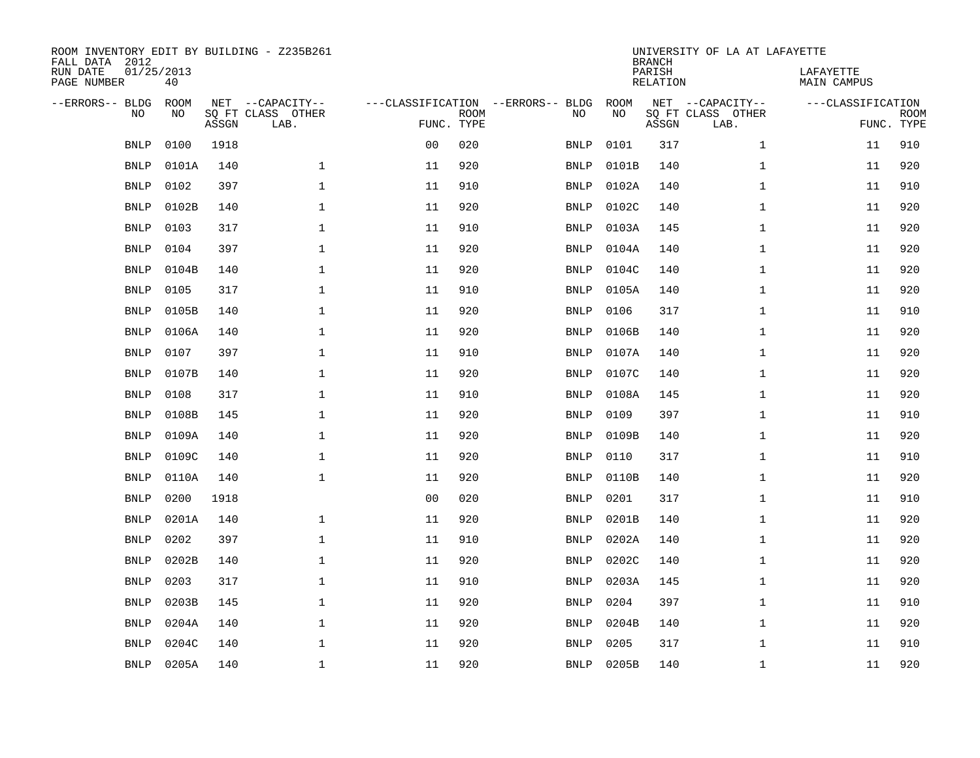| ROOM INVENTORY EDIT BY BUILDING - Z235B261<br>FALL DATA 2012<br>RUN DATE<br>PAGE NUMBER | 01/25/2013<br>40  |       |                                               |                |             |                                         |            | <b>BRANCH</b><br>PARISH<br><b>RELATION</b> | UNIVERSITY OF LA AT LAFAYETTE                 | LAFAYETTE<br>MAIN CAMPUS |                           |
|-----------------------------------------------------------------------------------------|-------------------|-------|-----------------------------------------------|----------------|-------------|-----------------------------------------|------------|--------------------------------------------|-----------------------------------------------|--------------------------|---------------------------|
| --ERRORS-- BLDG<br>NO                                                                   | <b>ROOM</b><br>NO | ASSGN | NET --CAPACITY--<br>SQ FT CLASS OTHER<br>LAB. | FUNC. TYPE     | <b>ROOM</b> | ---CLASSIFICATION --ERRORS-- BLDG<br>NO | ROOM<br>NO | ASSGN                                      | NET --CAPACITY--<br>SQ FT CLASS OTHER<br>LAB. | ---CLASSIFICATION        | <b>ROOM</b><br>FUNC. TYPE |
| <b>BNLP</b>                                                                             | 0100              | 1918  |                                               | 0 <sub>0</sub> | 020         | <b>BNLP</b>                             | 0101       | 317                                        | $\mathbf{1}$                                  | 11                       | 910                       |
| <b>BNLP</b>                                                                             | 0101A             | 140   | $\mathbf{1}$                                  | 11             | 920         | <b>BNLP</b>                             | 0101B      | 140                                        | $\mathbf{1}$                                  | 11                       | 920                       |
| <b>BNLP</b>                                                                             | 0102              | 397   | 1                                             | 11             | 910         | BNLP                                    | 0102A      | 140                                        | $\mathbf{1}$                                  | 11                       | 910                       |
| <b>BNLP</b>                                                                             | 0102B             | 140   | 1                                             | 11             | 920         | <b>BNLP</b>                             | 0102C      | 140                                        | $\mathbf{1}$                                  | 11                       | 920                       |
| <b>BNLP</b>                                                                             | 0103              | 317   | $\mathbf 1$                                   | 11             | 910         | <b>BNLP</b>                             | 0103A      | 145                                        | $\mathbf{1}$                                  | 11                       | 920                       |
| <b>BNLP</b>                                                                             | 0104              | 397   | $\mathbf 1$                                   | 11             | 920         | <b>BNLP</b>                             | 0104A      | 140                                        | $\mathbf{1}$                                  | 11                       | 920                       |
| <b>BNLP</b>                                                                             | 0104B             | 140   | $\mathbf{1}$                                  | 11             | 920         | <b>BNLP</b>                             | 0104C      | 140                                        | $\mathbf{1}$                                  | 11                       | 920                       |
| <b>BNLP</b>                                                                             | 0105              | 317   | $\mathbf 1$                                   | 11             | 910         | <b>BNLP</b>                             | 0105A      | 140                                        | $\mathbf{1}$                                  | 11                       | 920                       |
| <b>BNLP</b>                                                                             | 0105B             | 140   | $\mathbf 1$                                   | 11             | 920         | <b>BNLP</b>                             | 0106       | 317                                        | $\mathbf{1}$                                  | 11                       | 910                       |
| <b>BNLP</b>                                                                             | 0106A             | 140   | $\mathbf{1}$                                  | 11             | 920         | <b>BNLP</b>                             | 0106B      | 140                                        | $\mathbf{1}$                                  | 11                       | 920                       |
| <b>BNLP</b>                                                                             | 0107              | 397   | $\mathbf 1$                                   | 11             | 910         | BNLP                                    | 0107A      | 140                                        | $\mathbf{1}$                                  | 11                       | 920                       |
| <b>BNLP</b>                                                                             | 0107B             | 140   | 1                                             | 11             | 920         | BNLP                                    | 0107C      | 140                                        | $\mathbf{1}$                                  | 11                       | 920                       |
| <b>BNLP</b>                                                                             | 0108              | 317   | $\mathbf 1$                                   | 11             | 910         | <b>BNLP</b>                             | 0108A      | 145                                        | $\mathbf{1}$                                  | 11                       | 920                       |
| <b>BNLP</b>                                                                             | 0108B             | 145   | 1                                             | 11             | 920         | <b>BNLP</b>                             | 0109       | 397                                        | $\mathbf{1}$                                  | 11                       | 910                       |
| <b>BNLP</b>                                                                             | 0109A             | 140   | $\mathbf 1$                                   | 11             | 920         | <b>BNLP</b>                             | 0109B      | 140                                        | $\mathbf{1}$                                  | 11                       | 920                       |
| <b>BNLP</b>                                                                             | 0109C             | 140   | $\mathbf{1}$                                  | 11             | 920         | BNLP                                    | 0110       | 317                                        | $\mathbf{1}$                                  | 11                       | 910                       |
| <b>BNLP</b>                                                                             | 0110A             | 140   | $\mathbf{1}$                                  | 11             | 920         | <b>BNLP</b>                             | 0110B      | 140                                        | $\mathbf{1}$                                  | 11                       | 920                       |
| <b>BNLP</b>                                                                             | 0200              | 1918  |                                               | 0 <sub>0</sub> | 020         | <b>BNLP</b>                             | 0201       | 317                                        | $\mathbf{1}$                                  | 11                       | 910                       |
| <b>BNLP</b>                                                                             | 0201A             | 140   | $\mathbf{1}$                                  | 11             | 920         | BNLP                                    | 0201B      | 140                                        | $\mathbf{1}$                                  | 11                       | 920                       |
| <b>BNLP</b>                                                                             | 0202              | 397   | 1                                             | 11             | 910         | <b>BNLP</b>                             | 0202A      | 140                                        | $\mathbf{1}$                                  | 11                       | 920                       |
| <b>BNLP</b>                                                                             | 0202B             | 140   | 1                                             | 11             | 920         | <b>BNLP</b>                             | 0202C      | 140                                        | $\mathbf{1}$                                  | 11                       | 920                       |
| <b>BNLP</b>                                                                             | 0203              | 317   | $\mathbf 1$                                   | 11             | 910         | <b>BNLP</b>                             | 0203A      | 145                                        | $\mathbf{1}$                                  | 11                       | 920                       |
| <b>BNLP</b>                                                                             | 0203B             | 145   | 1                                             | 11             | 920         | <b>BNLP</b>                             | 0204       | 397                                        | $\mathbf{1}$                                  | 11                       | 910                       |
| <b>BNLP</b>                                                                             | 0204A             | 140   | $\mathbf 1$                                   | 11             | 920         | <b>BNLP</b>                             | 0204B      | 140                                        | $\mathbf{1}$                                  | 11                       | 920                       |
| <b>BNLP</b>                                                                             | 0204C             | 140   | $\mathbf 1$                                   | 11             | 920         | <b>BNLP</b>                             | 0205       | 317                                        | $\mathbf{1}$                                  | 11                       | 910                       |
| BNLP                                                                                    | 0205A             | 140   | $\mathbf{1}$                                  | 11             | 920         | BNLP                                    | 0205B      | 140                                        | $\mathbf{1}$                                  | 11                       | 920                       |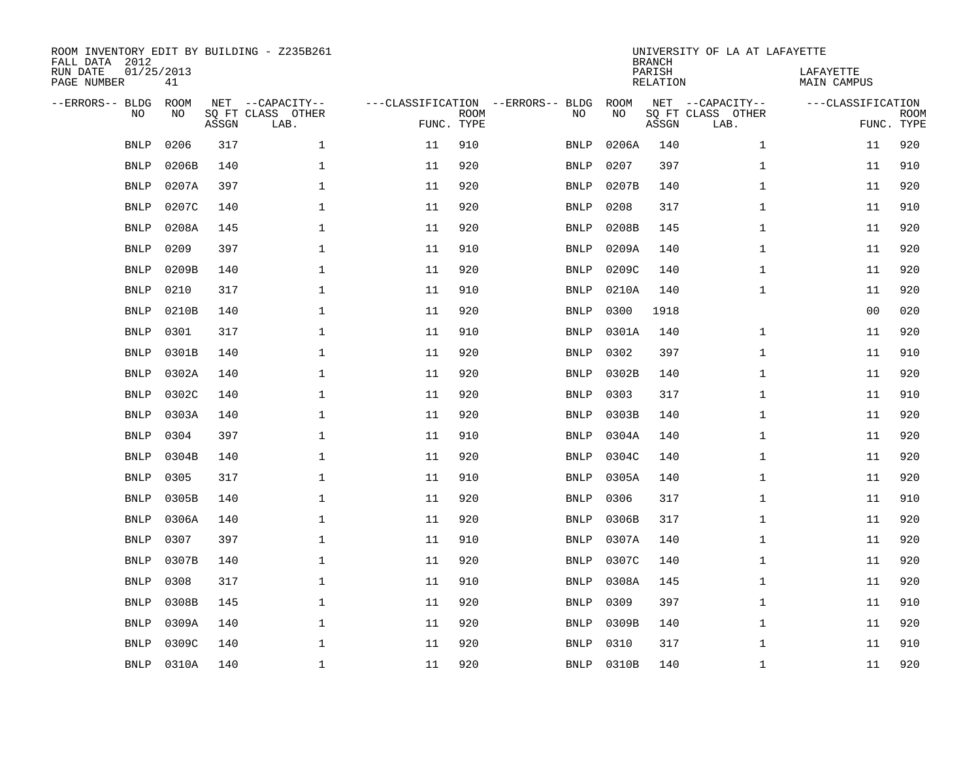| ROOM INVENTORY EDIT BY BUILDING - Z235B261<br>FALL DATA 2012<br>RUN DATE | 01/25/2013        |       |                                       |            |             |                                         |            | <b>BRANCH</b><br>PARISH | UNIVERSITY OF LA AT LAFAYETTE         | LAFAYETTE         |             |
|--------------------------------------------------------------------------|-------------------|-------|---------------------------------------|------------|-------------|-----------------------------------------|------------|-------------------------|---------------------------------------|-------------------|-------------|
| PAGE NUMBER                                                              | 41                |       |                                       |            |             |                                         |            | <b>RELATION</b>         |                                       | MAIN CAMPUS       |             |
| --ERRORS-- BLDG<br>NO                                                    | <b>ROOM</b><br>NO |       | NET --CAPACITY--<br>SQ FT CLASS OTHER |            | <b>ROOM</b> | ---CLASSIFICATION --ERRORS-- BLDG<br>NO | ROOM<br>NO |                         | NET --CAPACITY--<br>SQ FT CLASS OTHER | ---CLASSIFICATION | <b>ROOM</b> |
|                                                                          |                   | ASSGN | LAB.                                  | FUNC. TYPE |             |                                         |            | ASSGN                   | LAB.                                  | FUNC. TYPE        |             |
| <b>BNLP</b>                                                              | 0206              | 317   | $\mathbf{1}$                          | 11         | 910         | <b>BNLP</b>                             | 0206A      | 140                     | $\mathbf{1}$                          | 11                | 920         |
| <b>BNLP</b>                                                              | 0206B             | 140   | $\mathbf 1$                           | 11         | 920         | <b>BNLP</b>                             | 0207       | 397                     | $\mathbf{1}$                          | 11                | 910         |
| <b>BNLP</b>                                                              | 0207A             | 397   | $\mathbf 1$                           | 11         | 920         | BNLP                                    | 0207B      | 140                     | $\mathbf{1}$                          | 11                | 920         |
| <b>BNLP</b>                                                              | 0207C             | 140   | $\mathbf{1}$                          | 11         | 920         | <b>BNLP</b>                             | 0208       | 317                     | $\mathbf{1}$                          | 11                | 910         |
| <b>BNLP</b>                                                              | 0208A             | 145   | $\mathbf 1$                           | 11         | 920         | <b>BNLP</b>                             | 0208B      | 145                     | $\mathbf{1}$                          | 11                | 920         |
| <b>BNLP</b>                                                              | 0209              | 397   | $\mathbf{1}$                          | 11         | 910         | <b>BNLP</b>                             | 0209A      | 140                     | $\mathbf{1}$                          | 11                | 920         |
| <b>BNLP</b>                                                              | 0209B             | 140   | $\mathbf 1$                           | 11         | 920         | <b>BNLP</b>                             | 0209C      | 140                     | $\mathbf{1}$                          | 11                | 920         |
| <b>BNLP</b>                                                              | 0210              | 317   | $\mathbf 1$                           | 11         | 910         | <b>BNLP</b>                             | 0210A      | 140                     | $\mathbf{1}$                          | 11                | 920         |
| <b>BNLP</b>                                                              | 0210B             | 140   | $\mathbf{1}$                          | 11         | 920         | <b>BNLP</b>                             | 0300       | 1918                    |                                       | 0 <sub>0</sub>    | 020         |
| <b>BNLP</b>                                                              | 0301              | 317   | $\mathbf 1$                           | 11         | 910         | BNLP                                    | 0301A      | 140                     | $\mathbf{1}$                          | 11                | 920         |
| <b>BNLP</b>                                                              | 0301B             | 140   | $\mathbf{1}$                          | 11         | 920         | <b>BNLP</b>                             | 0302       | 397                     | $\mathbf{1}$                          | 11                | 910         |
| <b>BNLP</b>                                                              | 0302A             | 140   | $\mathbf 1$                           | 11         | 920         | <b>BNLP</b>                             | 0302B      | 140                     | $\mathbf{1}$                          | 11                | 920         |
| <b>BNLP</b>                                                              | 0302C             | 140   | $\mathbf{1}$                          | 11         | 920         | BNLP                                    | 0303       | 317                     | $\mathbf{1}$                          | 11                | 910         |
| <b>BNLP</b>                                                              | 0303A             | 140   | $\mathbf{1}$                          | 11         | 920         | BNLP                                    | 0303B      | 140                     | $\mathbf{1}$                          | 11                | 920         |
| <b>BNLP</b>                                                              | 0304              | 397   | 1                                     | 11         | 910         | BNLP                                    | 0304A      | 140                     | $\mathbf{1}$                          | 11                | 920         |
| <b>BNLP</b>                                                              | 0304B             | 140   | 1                                     | 11         | 920         | <b>BNLP</b>                             | 0304C      | 140                     | $\mathbf{1}$                          | 11                | 920         |
| <b>BNLP</b>                                                              | 0305              | 317   | $\mathbf 1$                           | 11         | 910         | <b>BNLP</b>                             | 0305A      | 140                     | $\mathbf{1}$                          | 11                | 920         |
| <b>BNLP</b>                                                              | 0305B             | 140   | 1                                     | 11         | 920         | <b>BNLP</b>                             | 0306       | 317                     | $\mathbf{1}$                          | 11                | 910         |
| <b>BNLP</b>                                                              | 0306A             | 140   | $\mathbf 1$                           | 11         | 920         | <b>BNLP</b>                             | 0306B      | 317                     | $\mathbf{1}$                          | 11                | 920         |
| <b>BNLP</b>                                                              | 0307              | 397   | $\mathbf{1}$                          | 11         | 910         | <b>BNLP</b>                             | 0307A      | 140                     | $\mathbf{1}$                          | 11                | 920         |
| <b>BNLP</b>                                                              | 0307B             | 140   | $\mathbf{1}$                          | 11         | 920         | <b>BNLP</b>                             | 0307C      | 140                     | $\mathbf{1}$                          | 11                | 920         |
| <b>BNLP</b>                                                              | 0308              | 317   | $\mathbf{1}$                          | 11         | 910         | <b>BNLP</b>                             | 0308A      | 145                     | $\mathbf{1}$                          | 11                | 920         |
| <b>BNLP</b>                                                              | 0308B             | 145   | $\mathbf{1}$                          | 11         | 920         | <b>BNLP</b>                             | 0309       | 397                     | $\mathbf{1}$                          | 11                | 910         |
| <b>BNLP</b>                                                              | 0309A             | 140   | $\mathbf 1$                           | 11         | 920         | <b>BNLP</b>                             | 0309B      | 140                     | $\mathbf{1}$                          | 11                | 920         |
| <b>BNLP</b>                                                              | 0309C             | 140   | $\mathbf 1$                           | 11         | 920         | BNLP                                    | 0310       | 317                     | $\mathbf{1}$                          | 11                | 910         |
|                                                                          | BNLP 0310A        | 140   | 1                                     | 11         | 920         | <b>BNLP</b>                             | 0310B      | 140                     | $\mathbf{1}$                          | 11                | 920         |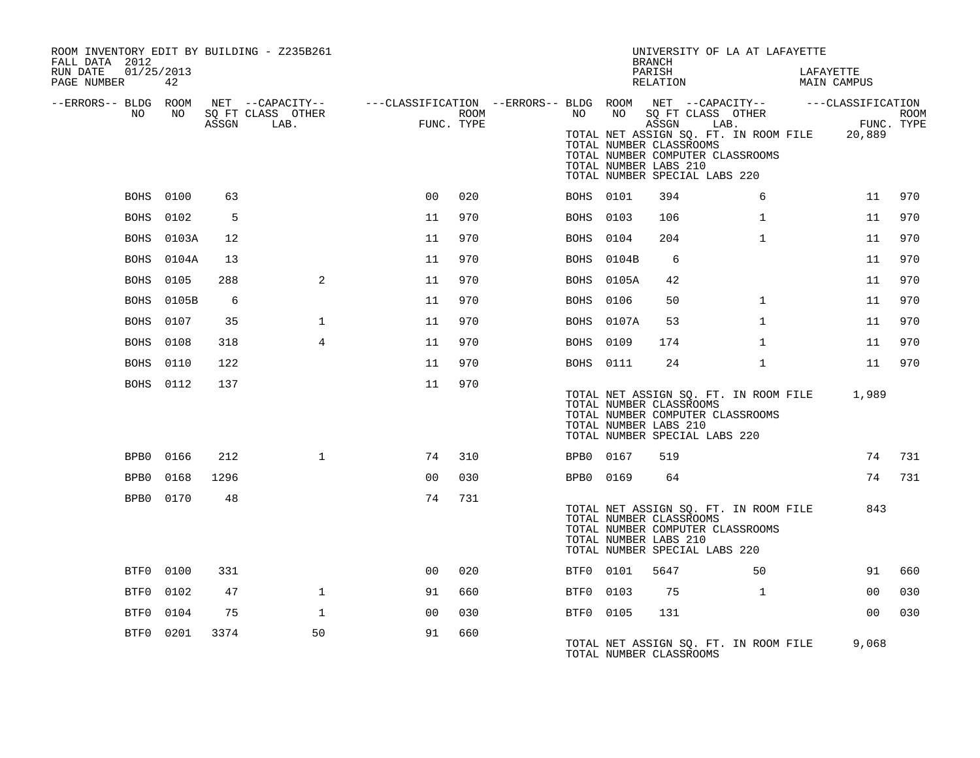| ROOM INVENTORY EDIT BY BUILDING - Z235B261<br>FALL DATA 2012 |                  |       |                                                                                                                             |                |      |      |                  | UNIVERSITY OF LA AT LAFAYETTE<br><b>BRANCH</b>                                                                                                                 |              |                                                            |      |
|--------------------------------------------------------------|------------------|-------|-----------------------------------------------------------------------------------------------------------------------------|----------------|------|------|------------------|----------------------------------------------------------------------------------------------------------------------------------------------------------------|--------------|------------------------------------------------------------|------|
| RUN DATE<br>01/25/2013<br>PAGE NUMBER                        | 42               |       |                                                                                                                             |                |      |      |                  | PARISH<br>RELATION                                                                                                                                             |              | LAFAYETTE<br><b>MAIN CAMPUS</b>                            |      |
| --ERRORS-- BLDG ROOM<br>NO                                   | NO               | ASSGN | NET --CAPACITY-- - ---CLASSIFICATION --ERRORS-- BLDG ROOM NET --CAPACITY-- - ---CLASSIFICATION<br>SQ FT CLASS OTHER<br>LAB. | FUNC. TYPE     | ROOM |      |                  | NO NO SQ FT CLASS OTHER<br>ASSGN                                                                                                                               | LAB.         | FUNC. TYPE<br>TOTAL NET ASSIGN SQ. FT. IN ROOM FILE 20,889 | ROOM |
|                                                              |                  |       |                                                                                                                             |                |      |      |                  | TOTAL NUMBER CLASSROOMS<br>TOTAL NUMBER COMPUTER CLASSROOMS<br>TOTAL NUMBER LABS 210<br>TOTAL NUMBER SPECIAL LABS 220                                          |              |                                                            |      |
|                                                              | <b>BOHS</b> 0100 | 63    |                                                                                                                             | 00             | 020  |      | BOHS 0101        | 394                                                                                                                                                            | 6            | 11                                                         | 970  |
|                                                              | BOHS 0102        | 5     |                                                                                                                             | 11             | 970  |      | BOHS 0103        | 106                                                                                                                                                            | $\mathbf{1}$ | 11                                                         | 970  |
| BOHS                                                         | 0103A            | 12    |                                                                                                                             | 11             | 970  | BOHS | 0104             | 204                                                                                                                                                            | $\mathbf{1}$ | 11                                                         | 970  |
| BOHS                                                         | 0104A            | 13    |                                                                                                                             | 11             | 970  |      | BOHS 0104B       | 6                                                                                                                                                              |              | 11                                                         | 970  |
|                                                              | <b>BOHS</b> 0105 | 288   | 2                                                                                                                           | 11             | 970  |      | BOHS 0105A       | 42                                                                                                                                                             |              | 11                                                         | 970  |
| BOHS                                                         | 0105B            | 6     |                                                                                                                             | 11             | 970  |      | <b>BOHS</b> 0106 | 50                                                                                                                                                             | $\mathbf{1}$ | 11                                                         | 970  |
| BOHS                                                         | 0107             | 35    | $\mathbf{1}$                                                                                                                | 11             | 970  |      | BOHS 0107A       | 53                                                                                                                                                             | $\mathbf{1}$ | 11                                                         | 970  |
| BOHS                                                         | 0108             | 318   | $\overline{4}$                                                                                                              | 11             | 970  |      | BOHS 0109        | 174                                                                                                                                                            | $\mathbf{1}$ | 11                                                         | 970  |
|                                                              | <b>BOHS</b> 0110 | 122   |                                                                                                                             | 11             | 970  |      | <b>BOHS</b> 0111 | 24                                                                                                                                                             | $\mathbf{1}$ | 11                                                         | 970  |
|                                                              | BOHS 0112        | 137   |                                                                                                                             | 11             | 970  |      |                  | TOTAL NUMBER CLASSROOMS<br>TOTAL NUMBER COMPUTER CLASSROOMS<br>TOTAL NUMBER LABS 210<br>TOTAL NUMBER SPECIAL LABS 220                                          |              | TOTAL NET ASSIGN SQ. FT. IN ROOM FILE 1,989                |      |
|                                                              | BPB0 0166        | 212   | $\mathbf{1}$                                                                                                                | 74             | 310  |      | BPB0 0167        | 519                                                                                                                                                            |              | 74                                                         | 731  |
|                                                              | BPB0 0168        | 1296  |                                                                                                                             | 0 <sub>0</sub> | 030  |      | BPB0 0169        | 64                                                                                                                                                             |              | 74                                                         | 731  |
|                                                              | BPB0 0170        | 48    |                                                                                                                             | 74             | 731  |      |                  | TOTAL NET ASSIGN SQ. FT. IN ROOM FILE<br>TOTAL NUMBER CLASSROOMS<br>TOTAL NUMBER COMPUTER CLASSROOMS<br>TOTAL NUMBER LABS 210<br>TOTAL NUMBER SPECIAL LABS 220 |              | 843                                                        |      |
|                                                              | BTF0 0100        | 331   |                                                                                                                             | 0 <sub>0</sub> | 020  |      | BTF0 0101        | 5647                                                                                                                                                           | 50           | 91                                                         | 660  |
| BTF0                                                         | 0102             | 47    | $\mathbf{1}$                                                                                                                | 91             | 660  |      | BTF0 0103        | 75                                                                                                                                                             | $\mathbf{1}$ | 0 <sub>0</sub>                                             | 030  |
| BTF0                                                         | 0104             | 75    | 1                                                                                                                           | 00             | 030  |      | BTF0 0105        | 131                                                                                                                                                            |              | 0 <sub>0</sub>                                             | 030  |
| BTF0                                                         | 0201             | 3374  | 50                                                                                                                          | 91             | 660  |      |                  | TOTAL NET ASSIGN SQ. FT. IN ROOM FILE<br>TOTAL NUMBER CLASSROOMS                                                                                               |              | 9,068                                                      |      |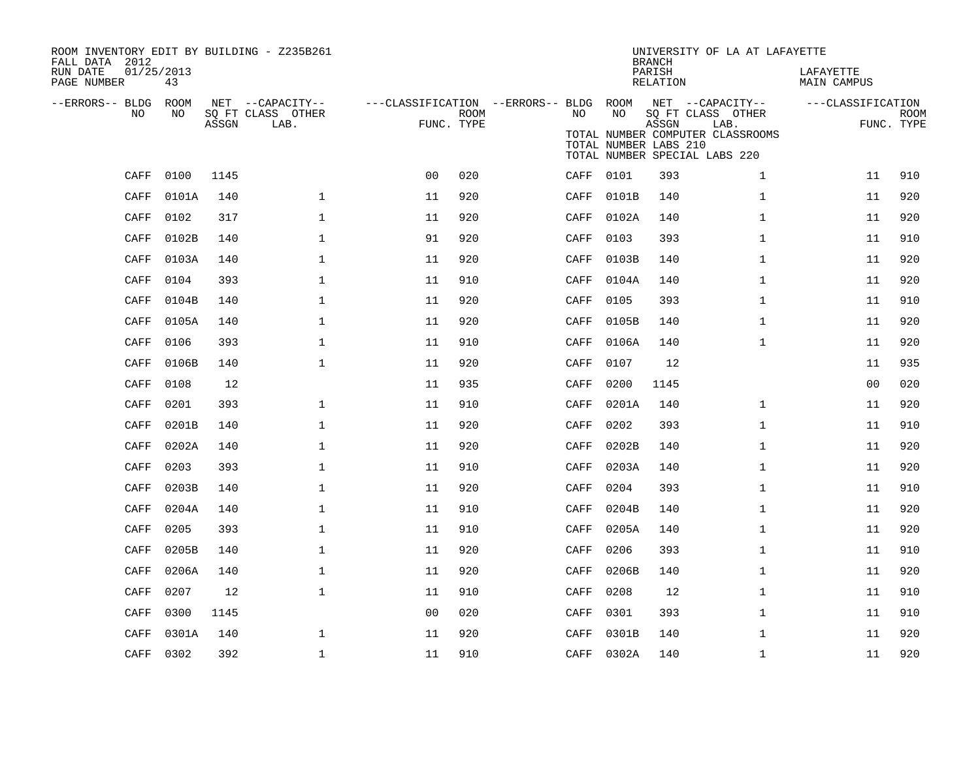| ROOM INVENTORY EDIT BY BUILDING - Z235B261<br>FALL DATA 2012 |           |       |                                       |                                                         |      |           |                       | <b>BRANCH</b>      | UNIVERSITY OF LA AT LAFAYETTE                                             |                          |             |
|--------------------------------------------------------------|-----------|-------|---------------------------------------|---------------------------------------------------------|------|-----------|-----------------------|--------------------|---------------------------------------------------------------------------|--------------------------|-------------|
| 01/25/2013<br>RUN DATE<br>PAGE NUMBER                        | 43        |       |                                       |                                                         |      |           |                       | PARISH<br>RELATION |                                                                           | LAFAYETTE<br>MAIN CAMPUS |             |
| --ERRORS-- BLDG ROOM<br>NO.                                  | NO.       |       | NET --CAPACITY--<br>SQ FT CLASS OTHER | ---CLASSIFICATION --ERRORS-- BLDG ROOM NET --CAPACITY-- | ROOM | NO.       | NO                    |                    | SQ FT CLASS OTHER                                                         | ---CLASSIFICATION        | <b>ROOM</b> |
|                                                              |           | ASSGN | LAB.                                  | FUNC. TYPE                                              |      |           | TOTAL NUMBER LABS 210 | ASSGN              | LAB.<br>TOTAL NUMBER COMPUTER CLASSROOMS<br>TOTAL NUMBER SPECIAL LABS 220 |                          | FUNC. TYPE  |
| CAFF                                                         | 0100      | 1145  |                                       | 0 <sub>0</sub>                                          | 020  | CAFF 0101 |                       | 393                | $\mathbf{1}$                                                              | 11                       | 910         |
| CAFF                                                         | 0101A     | 140   | $\mathbf 1$                           | 11                                                      | 920  |           | CAFF 0101B            | 140                | $\mathbf{1}$                                                              | 11                       | 920         |
| CAFF                                                         | 0102      | 317   | $\mathbf{1}$                          | 11                                                      | 920  | CAFF      | 0102A                 | 140                | $\mathbf{1}$                                                              | 11                       | 920         |
| CAFF                                                         | 0102B     | 140   | $\mathbf 1$                           | 91                                                      | 920  | CAFF      | 0103                  | 393                | $\mathbf{1}$                                                              | 11                       | 910         |
| CAFF                                                         | 0103A     | 140   | $\mathbf 1$                           | 11                                                      | 920  | CAFF      | 0103B                 | 140                | $\mathbf{1}$                                                              | 11                       | 920         |
| CAFF                                                         | 0104      | 393   | $\mathbf{1}$                          | 11                                                      | 910  |           | CAFF 0104A            | 140                | $\mathbf{1}$                                                              | 11                       | 920         |
| CAFF                                                         | 0104B     | 140   | $\mathbf{1}$                          | 11                                                      | 920  | CAFF      | 0105                  | 393                | $\mathbf{1}$                                                              | 11                       | 910         |
| CAFF                                                         | 0105A     | 140   | $\mathbf{1}$                          | 11                                                      | 920  | CAFF      | 0105B                 | 140                | $\mathbf{1}$                                                              | 11                       | 920         |
| CAFF                                                         | 0106      | 393   | $\mathbf 1$                           | 11                                                      | 910  | CAFF      | 0106A                 | 140                | $\mathbf{1}$                                                              | 11                       | 920         |
| CAFF                                                         | 0106B     | 140   | $\mathbf{1}$                          | 11                                                      | 920  | CAFF      | 0107                  | 12                 |                                                                           | 11                       | 935         |
| CAFF                                                         | 0108      | 12    |                                       | 11                                                      | 935  | CAFF      | 0200                  | 1145               |                                                                           | 00                       | 020         |
| CAFF                                                         | 0201      | 393   | $\mathbf 1$                           | 11                                                      | 910  | CAFF      | 0201A                 | 140                | $\mathbf{1}$                                                              | 11                       | 920         |
| CAFF                                                         | 0201B     | 140   | $\mathbf 1$                           | 11                                                      | 920  | CAFF      | 0202                  | 393                | $\mathbf{1}$                                                              | 11                       | 910         |
| CAFF                                                         | 0202A     | 140   | $\mathbf 1$                           | 11                                                      | 920  | CAFF      | 0202B                 | 140                | $\mathbf{1}$                                                              | 11                       | 920         |
| CAFF                                                         | 0203      | 393   | $\mathbf 1$                           | 11                                                      | 910  | CAFF      | 0203A                 | 140                | $\mathbf{1}$                                                              | 11                       | 920         |
| CAFF                                                         | 0203B     | 140   | $\mathbf 1$                           | 11                                                      | 920  | CAFF      | 0204                  | 393                | $\mathbf{1}$                                                              | 11                       | 910         |
| CAFF                                                         | 0204A     | 140   | $\mathbf 1$                           | 11                                                      | 910  | CAFF      | 0204B                 | 140                | $\mathbf{1}$                                                              | 11                       | 920         |
| CAFF                                                         | 0205      | 393   | $\mathbf{1}$                          | 11                                                      | 910  | CAFF      | 0205A                 | 140                | $\mathbf{1}$                                                              | 11                       | 920         |
| CAFF                                                         | 0205B     | 140   | $\mathbf{1}$                          | 11                                                      | 920  | CAFF      | 0206                  | 393                | $\mathbf{1}$                                                              | 11                       | 910         |
| CAFF                                                         | 0206A     | 140   | $\mathbf 1$                           | 11                                                      | 920  | CAFF      | 0206B                 | 140                | $\mathbf{1}$                                                              | 11                       | 920         |
| CAFF                                                         | 0207      | 12    | $\mathbf{1}$                          | 11                                                      | 910  | CAFF      | 0208                  | 12                 | $\mathbf{1}$                                                              | 11                       | 910         |
| CAFF                                                         | 0300      | 1145  |                                       | 0 <sub>0</sub>                                          | 020  | CAFF      | 0301                  | 393                | $\mathbf{1}$                                                              | 11                       | 910         |
| CAFF                                                         | 0301A     | 140   | $\mathbf 1$                           | 11                                                      | 920  | CAFF      | 0301B                 | 140                | $\mathbf{1}$                                                              | 11                       | 920         |
|                                                              | CAFF 0302 | 392   | $\mathbf 1$                           | 11                                                      | 910  |           | CAFF 0302A            | 140                | $\mathbf{1}$                                                              | 11                       | 920         |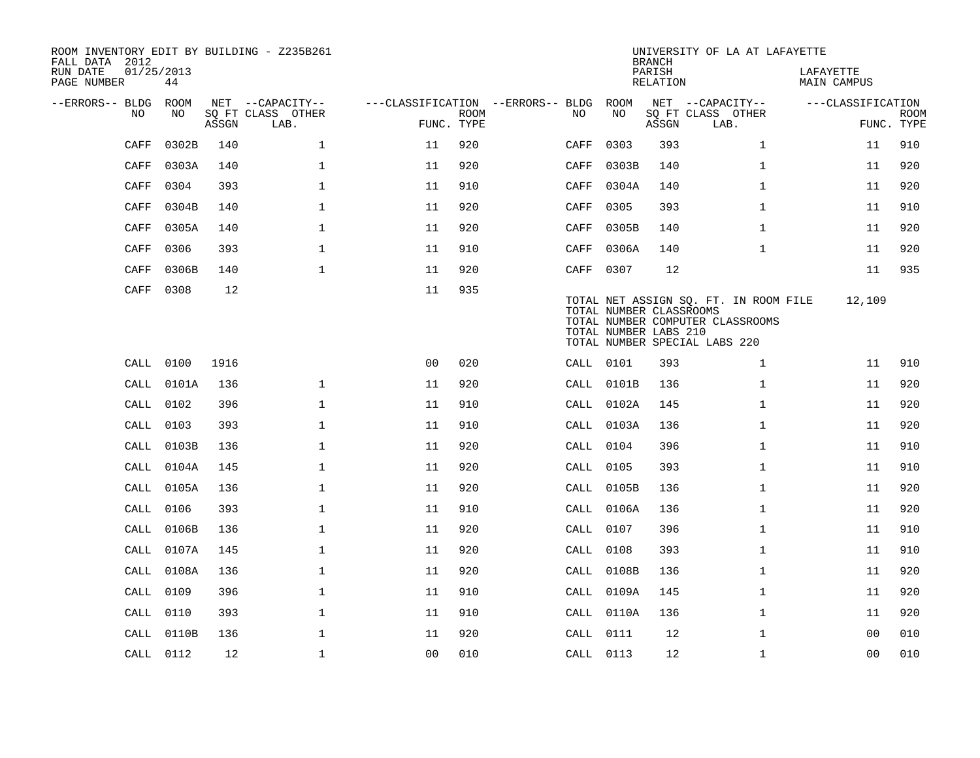| ROOM INVENTORY EDIT BY BUILDING - Z235B261<br>FALL DATA 2012 |                  |       |                           |                                   |             |           |            | <b>BRANCH</b>                                    | UNIVERSITY OF LA AT LAFAYETTE                                                                              |                                 |                           |
|--------------------------------------------------------------|------------------|-------|---------------------------|-----------------------------------|-------------|-----------|------------|--------------------------------------------------|------------------------------------------------------------------------------------------------------------|---------------------------------|---------------------------|
| RUN DATE<br>PAGE NUMBER                                      | 01/25/2013<br>44 |       |                           |                                   |             |           |            | PARISH<br><b>RELATION</b>                        |                                                                                                            | LAFAYETTE<br><b>MAIN CAMPUS</b> |                           |
| --ERRORS-- BLDG                                              | ROOM             |       | NET --CAPACITY--          | ---CLASSIFICATION --ERRORS-- BLDG |             |           | ROOM       |                                                  | NET --CAPACITY--                                                                                           | ---CLASSIFICATION               |                           |
| NO.                                                          | NO               | ASSGN | SQ FT CLASS OTHER<br>LAB. | FUNC. TYPE                        | <b>ROOM</b> | NO.       | NO         | ASSGN                                            | SQ FT CLASS OTHER<br>LAB.                                                                                  |                                 | <b>ROOM</b><br>FUNC. TYPE |
| CAFF                                                         | 0302B            | 140   | $\mathbf{1}$              | 11                                | 920         | CAFF      | 0303       | 393                                              | $\mathbf{1}$                                                                                               | 11                              | 910                       |
| CAFF                                                         | 0303A            | 140   | $\mathbf{1}$              | 11                                | 920         | CAFF      | 0303B      | 140                                              | $\mathbf{1}$                                                                                               | 11                              | 920                       |
| CAFF                                                         | 0304             | 393   | $\mathbf 1$               | 11                                | 910         | CAFF      | 0304A      | 140                                              | $\mathbf{1}$                                                                                               | 11                              | 920                       |
| CAFF                                                         | 0304B            | 140   | $\mathbf 1$               | 11                                | 920         | CAFF      | 0305       | 393                                              | $\mathbf{1}$                                                                                               | 11                              | 910                       |
| CAFF                                                         | 0305A            | 140   | $\mathbf 1$               | 11                                | 920         | CAFF      | 0305B      | 140                                              | $\mathbf{1}$                                                                                               | 11                              | 920                       |
| CAFF                                                         | 0306             | 393   | $\mathbf 1$               | 11                                | 910         | CAFF      | 0306A      | 140                                              | $\mathbf{1}$                                                                                               | 11                              | 920                       |
| CAFF                                                         | 0306B            | 140   | $\mathbf{1}$              | 11                                | 920         | CAFF      | 0307       | 12                                               |                                                                                                            | 11                              | 935                       |
| CAFF                                                         | 0308             | 12    |                           | 11                                | 935         |           |            | TOTAL NUMBER CLASSROOMS<br>TOTAL NUMBER LABS 210 | TOTAL NET ASSIGN SQ. FT. IN ROOM FILE<br>TOTAL NUMBER COMPUTER CLASSROOMS<br>TOTAL NUMBER SPECIAL LABS 220 | 12,109                          |                           |
| CALL                                                         | 0100             | 1916  |                           | 0 <sup>0</sup>                    | 020         | CALL 0101 |            | 393                                              | $\mathbf{1}$                                                                                               | 11                              | 910                       |
| CALL                                                         | 0101A            | 136   | $\mathbf{1}$              | 11                                | 920         |           | CALL 0101B | 136                                              | $\mathbf{1}$                                                                                               | 11                              | 920                       |
| CALL                                                         | 0102             | 396   | $\mathbf{1}$              | 11                                | 910         |           | CALL 0102A | 145                                              | $\mathbf{1}$                                                                                               | 11                              | 920                       |
| CALL                                                         | 0103             | 393   | $\mathbf{1}$              | 11                                | 910         |           | CALL 0103A | 136                                              | $\mathbf{1}$                                                                                               | 11                              | 920                       |
| CALL                                                         | 0103B            | 136   | $\mathbf{1}$              | 11                                | 920         | CALL 0104 |            | 396                                              | $\mathbf{1}$                                                                                               | 11                              | 910                       |
| CALL                                                         | 0104A            | 145   | $\mathbf{1}$              | 11                                | 920         | CALL 0105 |            | 393                                              | $\mathbf{1}$                                                                                               | 11                              | 910                       |
| CALL                                                         | 0105A            | 136   | $\mathbf{1}$              | 11                                | 920         |           | CALL 0105B | 136                                              | $\mathbf{1}$                                                                                               | 11                              | 920                       |
| CALL                                                         | 0106             | 393   | $\mathbf 1$               | 11                                | 910         |           | CALL 0106A | 136                                              | $\mathbf{1}$                                                                                               | 11                              | 920                       |
| CALL                                                         | 0106B            | 136   | $\mathbf{1}$              | 11                                | 920         | CALL 0107 |            | 396                                              | $\mathbf{1}$                                                                                               | 11                              | 910                       |
| CALL                                                         | 0107A            | 145   | $\mathbf 1$               | 11                                | 920         | CALL      | 0108       | 393                                              | $\mathbf{1}$                                                                                               | 11                              | 910                       |
| CALL                                                         | 0108A            | 136   | $\mathbf{1}$              | 11                                | 920         | CALL      | 0108B      | 136                                              | $\mathbf{1}$                                                                                               | 11                              | 920                       |
| CALL                                                         | 0109             | 396   | $\mathbf{1}$              | 11                                | 910         |           | CALL 0109A | 145                                              | $\mathbf{1}$                                                                                               | 11                              | 920                       |
| CALL                                                         | 0110             | 393   | $\mathbf 1$               | 11                                | 910         |           | CALL 0110A | 136                                              | $\mathbf{1}$                                                                                               | 11                              | 920                       |
| CALL                                                         | 0110B            | 136   | 1                         | 11                                | 920         | CALL 0111 |            | 12                                               | $\mathbf{1}$                                                                                               | 00                              | 010                       |
|                                                              | CALL 0112        | 12    | $\mathbf{1}$              | 0 <sub>0</sub>                    | 010         | CALL 0113 |            | 12                                               | $\mathbf{1}$                                                                                               | 0 <sub>0</sub>                  | 010                       |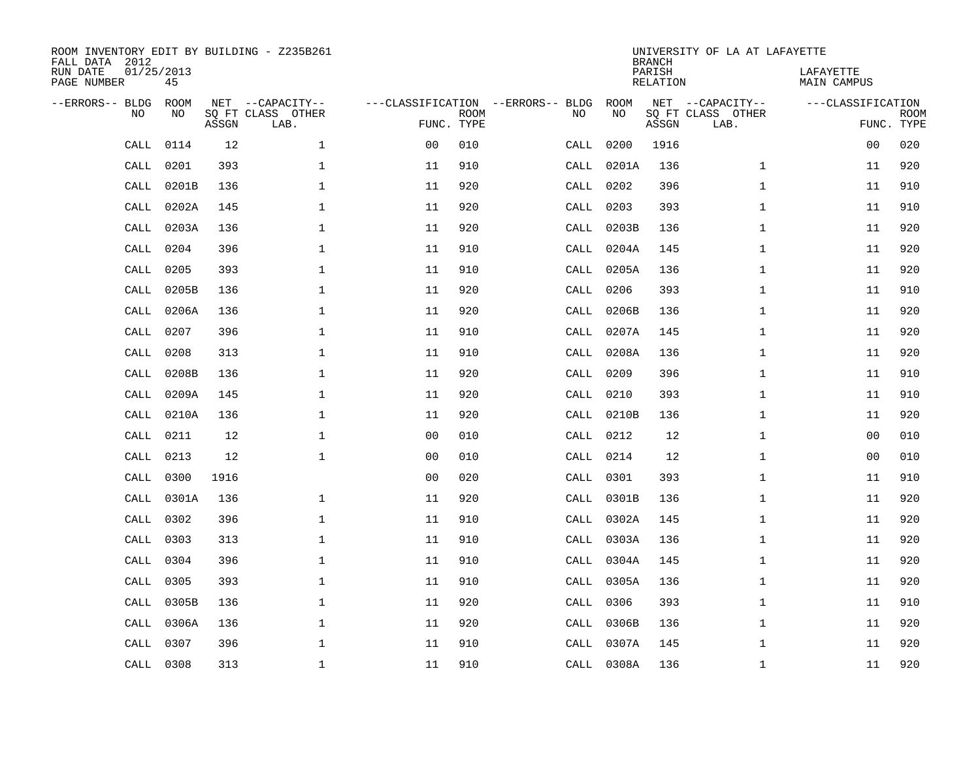| FALL DATA 2012<br>RUN DATE<br>PAGE NUMBER |           | 01/25/2013<br>45 |       | ROOM INVENTORY EDIT BY BUILDING - Z235B261    |                                                 |             |      |            | <b>BRANCH</b><br>PARISH<br>RELATION | UNIVERSITY OF LA AT LAFAYETTE                 | LAFAYETTE<br>MAIN CAMPUS        |             |
|-------------------------------------------|-----------|------------------|-------|-----------------------------------------------|-------------------------------------------------|-------------|------|------------|-------------------------------------|-----------------------------------------------|---------------------------------|-------------|
| --ERRORS-- BLDG                           | <b>NO</b> | ROOM<br>NO.      | ASSGN | NET --CAPACITY--<br>SO FT CLASS OTHER<br>LAB. | ---CLASSIFICATION --ERRORS-- BLDG<br>FUNC. TYPE | <b>ROOM</b> | NO   | ROOM<br>NO | ASSGN                               | NET --CAPACITY--<br>SQ FT CLASS OTHER<br>LAB. | ---CLASSIFICATION<br>FUNC. TYPE | <b>ROOM</b> |
|                                           | CALL      | 0114             | 12    | $\mathbf{1}$                                  | 0 <sub>0</sub>                                  | 010         | CALL | 0200       | 1916                                |                                               | 0 <sub>0</sub>                  | 020         |
|                                           | CALL      | 0201             | 393   | $\mathbf 1$                                   | 11                                              | 910         | CALL | 0201A      | 136                                 | $\mathbf{1}$                                  | 11                              | 920         |
|                                           | CALL      | 0201B            | 136   | $\mathbf 1$                                   | 11                                              | 920         | CALL | 0202       | 396                                 | $\mathbf{1}$                                  | 11                              | 910         |
|                                           | CALL      | 0202A            | 145   | $\mathbf 1$                                   | 11                                              | 920         | CALL | 0203       | 393                                 | $\mathbf{1}$                                  | 11                              | 910         |
|                                           | CALL      | 0203A            | 136   | $\mathbf{1}$                                  | 11                                              | 920         | CALL | 0203B      | 136                                 | $\mathbf{1}$                                  | 11                              | 920         |
|                                           | CALL      | 0204             | 396   | $\mathbf{1}$                                  | 11                                              | 910         | CALL | 0204A      | 145                                 | $\mathbf{1}$                                  | 11                              | 920         |
|                                           | CALL      | 0205             | 393   | $\mathbf{1}$                                  | 11                                              | 910         | CALL | 0205A      | 136                                 | $\mathbf{1}$                                  | 11                              | 920         |
|                                           | CALL      | 0205B            | 136   | $\mathbf 1$                                   | 11                                              | 920         | CALL | 0206       | 393                                 | $\mathbf{1}$                                  | 11                              | 910         |
|                                           | CALL      | 0206A            | 136   | $\mathbf{1}$                                  | 11                                              | 920         | CALL | 0206B      | 136                                 | $\mathbf{1}$                                  | 11                              | 920         |
|                                           | CALL      | 0207             | 396   | $\mathbf 1$                                   | 11                                              | 910         |      | CALL 0207A | 145                                 | $\mathbf{1}$                                  | 11                              | 920         |
|                                           | CALL      | 0208             | 313   | $\mathbf 1$                                   | 11                                              | 910         | CALL | 0208A      | 136                                 | $\mathbf{1}$                                  | 11                              | 920         |
|                                           | CALL      | 0208B            | 136   | $\mathbf 1$                                   | 11                                              | 920         |      | CALL 0209  | 396                                 | $\mathbf{1}$                                  | 11                              | 910         |
|                                           | CALL      | 0209A            | 145   | $\mathbf 1$                                   | 11                                              | 920         | CALL | 0210       | 393                                 | $\mathbf{1}$                                  | 11                              | 910         |
|                                           | CALL      | 0210A            | 136   | $\mathbf{1}$                                  | 11                                              | 920         | CALL | 0210B      | 136                                 | $\mathbf{1}$                                  | 11                              | 920         |
|                                           | CALL      | 0211             | 12    | $\mathbf 1$                                   | 0 <sub>0</sub>                                  | 010         | CALL | 0212       | 12                                  | $\mathbf{1}$                                  | 00                              | 010         |
|                                           | CALL      | 0213             | 12    | $\mathbf 1$                                   | 00                                              | 010         | CALL | 0214       | 12                                  | $\mathbf{1}$                                  | 00                              | 010         |
|                                           | CALL      | 0300             | 1916  |                                               | 0 <sub>0</sub>                                  | 020         | CALL | 0301       | 393                                 | $\mathbf{1}$                                  | 11                              | 910         |
|                                           | CALL      | 0301A            | 136   | $\mathbf 1$                                   | 11                                              | 920         | CALL | 0301B      | 136                                 | $\mathbf{1}$                                  | 11                              | 920         |
|                                           | CALL      | 0302             | 396   | $\mathbf{1}$                                  | 11                                              | 910         |      | CALL 0302A | 145                                 | $\mathbf{1}$                                  | 11                              | 920         |
|                                           | CALL      | 0303             | 313   | $\mathbf{1}$                                  | 11                                              | 910         | CALL | 0303A      | 136                                 | $\mathbf{1}$                                  | 11                              | 920         |
|                                           | CALL      | 0304             | 396   | $\mathbf{1}$                                  | 11                                              | 910         |      | CALL 0304A | 145                                 | $\mathbf{1}$                                  | 11                              | 920         |
|                                           | CALL      | 0305             | 393   | $\mathbf{1}$                                  | 11                                              | 910         | CALL | 0305A      | 136                                 | $\mathbf{1}$                                  | 11                              | 920         |
|                                           | CALL      | 0305B            | 136   | $\mathbf 1$                                   | 11                                              | 920         | CALL | 0306       | 393                                 | $\mathbf{1}$                                  | 11                              | 910         |
|                                           | CALL      | 0306A            | 136   | $\mathbf{1}$                                  | 11                                              | 920         | CALL | 0306B      | 136                                 | $\mathbf{1}$                                  | 11                              | 920         |
|                                           | CALL      | 0307             | 396   | $\mathbf 1$                                   | 11                                              | 910         | CALL | 0307A      | 145                                 | $\mathbf{1}$                                  | 11                              | 920         |
|                                           |           | CALL 0308        | 313   | $\mathbf 1$                                   | 11                                              | 910         |      | CALL 0308A | 136                                 | $\mathbf{1}$                                  | 11                              | 920         |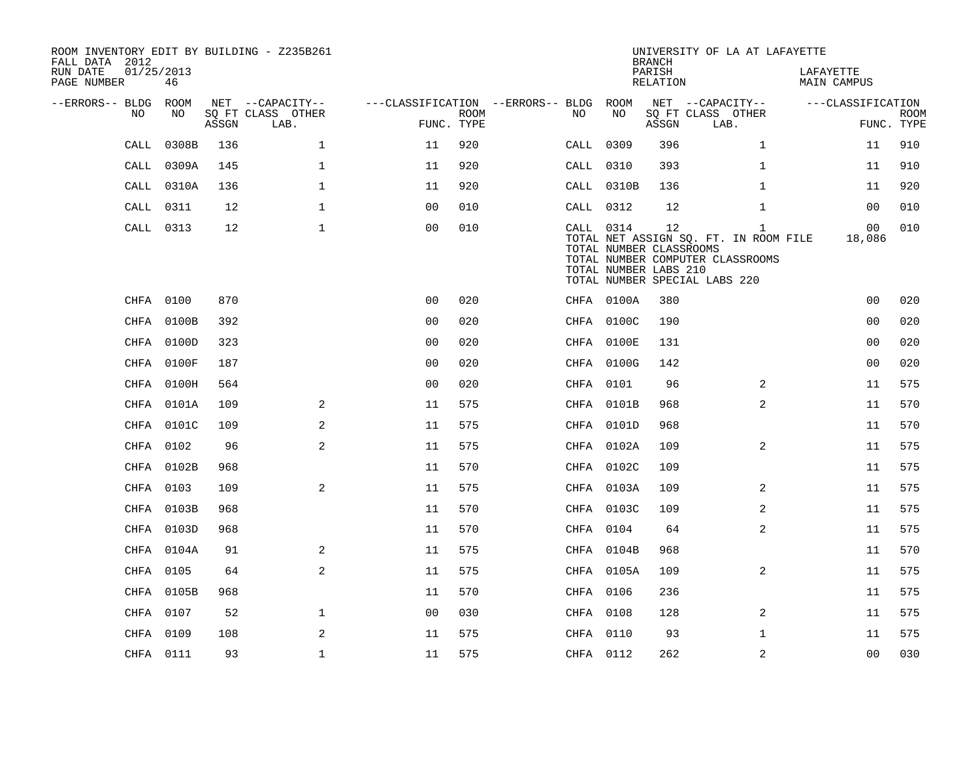| ROOM INVENTORY EDIT BY BUILDING - Z235B261<br>FALL DATA 2012<br>RUN DATE<br>PAGE NUMBER | 01/25/2013<br>46 |       |                                       |                                   |      |           |                                                  | <b>BRANCH</b><br>PARISH<br>RELATION | UNIVERSITY OF LA AT LAFAYETTE                                                                              |                | LAFAYETTE<br>MAIN CAMPUS |             |
|-----------------------------------------------------------------------------------------|------------------|-------|---------------------------------------|-----------------------------------|------|-----------|--------------------------------------------------|-------------------------------------|------------------------------------------------------------------------------------------------------------|----------------|--------------------------|-------------|
|                                                                                         |                  |       |                                       |                                   |      |           |                                                  |                                     |                                                                                                            |                |                          |             |
| --ERRORS-- BLDG ROOM<br>NO.                                                             | NO.              |       | NET --CAPACITY--<br>SO FT CLASS OTHER | ---CLASSIFICATION --ERRORS-- BLDG | ROOM | NO.       | ROOM<br>NO                                       |                                     | NET --CAPACITY--<br>SO FT CLASS OTHER                                                                      |                | ---CLASSIFICATION        | <b>ROOM</b> |
|                                                                                         |                  | ASSGN | LAB.                                  | FUNC. TYPE                        |      |           |                                                  | ASSGN                               | LAB.                                                                                                       |                |                          | FUNC. TYPE  |
| CALL                                                                                    | 0308B            | 136   | $\mathbf{1}$                          | 11                                | 920  | CALL 0309 |                                                  | 396                                 |                                                                                                            | $\mathbf{1}$   | 11                       | 910         |
| CALL                                                                                    | 0309A            | 145   | $\mathbf{1}$                          | 11                                | 920  | CALL 0310 |                                                  | 393                                 |                                                                                                            | $\mathbf{1}$   | 11                       | 910         |
|                                                                                         | CALL 0310A       | 136   | $\mathbf 1$                           | 11                                | 920  |           | CALL 0310B                                       | 136                                 |                                                                                                            | $\mathbf{1}$   | 11                       | 920         |
| CALL                                                                                    | 0311             | 12    | $\mathbf{1}$                          | 0 <sub>0</sub>                    | 010  | CALL 0312 |                                                  | 12                                  |                                                                                                            | $\mathbf{1}$   | 0 <sub>0</sub>           | 010         |
|                                                                                         | CALL 0313        | 12    | $\mathbf{1}$                          | 0 <sub>0</sub>                    | 010  | CALL 0314 | TOTAL NUMBER CLASSROOMS<br>TOTAL NUMBER LABS 210 | 12                                  | TOTAL NET ASSIGN SQ. FT. IN ROOM FILE<br>TOTAL NUMBER COMPUTER CLASSROOMS<br>TOTAL NUMBER SPECIAL LABS 220 | $\mathbf{1}$   | 00<br>18,086             | 010         |
|                                                                                         | CHFA 0100        | 870   |                                       | 0 <sub>0</sub>                    | 020  |           | CHFA 0100A                                       | 380                                 |                                                                                                            |                | 0 <sub>0</sub>           | 020         |
|                                                                                         | CHFA 0100B       | 392   |                                       | 0 <sub>0</sub>                    | 020  |           | CHFA 0100C                                       | 190                                 |                                                                                                            |                | 0 <sub>0</sub>           | 020         |
|                                                                                         | CHFA 0100D       | 323   |                                       | 0 <sub>0</sub>                    | 020  |           | CHFA 0100E                                       | 131                                 |                                                                                                            |                | 0 <sub>0</sub>           | 020         |
|                                                                                         | CHFA 0100F       | 187   |                                       | 0 <sub>0</sub>                    | 020  |           | CHFA 0100G                                       | 142                                 |                                                                                                            |                | 0 <sub>0</sub>           | 020         |
|                                                                                         | CHFA 0100H       | 564   |                                       | 0 <sub>0</sub>                    | 020  | CHFA 0101 |                                                  | 96                                  |                                                                                                            | 2              | 11                       | 575         |
| CHFA                                                                                    | 0101A            | 109   | 2                                     | 11                                | 575  |           | CHFA 0101B                                       | 968                                 |                                                                                                            | 2              | 11                       | 570         |
|                                                                                         | CHFA 0101C       | 109   | $\overline{a}$                        | 11                                | 575  |           | CHFA 0101D                                       | 968                                 |                                                                                                            |                | 11                       | 570         |
|                                                                                         | CHFA 0102        | 96    | 2                                     | 11                                | 575  |           | CHFA 0102A                                       | 109                                 |                                                                                                            | 2              | 11                       | 575         |
|                                                                                         | CHFA 0102B       | 968   |                                       | 11                                | 570  |           | CHFA 0102C                                       | 109                                 |                                                                                                            |                | 11                       | 575         |
|                                                                                         | CHFA 0103        | 109   | 2                                     | 11                                | 575  |           | CHFA 0103A                                       | 109                                 |                                                                                                            | 2              | 11                       | 575         |
|                                                                                         | CHFA 0103B       | 968   |                                       | 11                                | 570  |           | CHFA 0103C                                       | 109                                 |                                                                                                            | 2              | 11                       | 575         |
|                                                                                         | CHFA 0103D       | 968   |                                       | 11                                | 570  | CHFA 0104 |                                                  | 64                                  |                                                                                                            | $\overline{2}$ | 11                       | 575         |
|                                                                                         | CHFA 0104A       | 91    | 2                                     | 11                                | 575  |           | CHFA 0104B                                       | 968                                 |                                                                                                            |                | 11                       | 570         |
|                                                                                         | CHFA 0105        | 64    | 2                                     | 11                                | 575  |           | CHFA 0105A                                       | 109                                 |                                                                                                            | $\overline{2}$ | 11                       | 575         |
|                                                                                         | CHFA 0105B       | 968   |                                       | 11                                | 570  | CHFA 0106 |                                                  | 236                                 |                                                                                                            |                | 11                       | 575         |
|                                                                                         |                  |       |                                       |                                   |      |           |                                                  |                                     |                                                                                                            |                |                          |             |
|                                                                                         | CHFA 0107        | 52    | $\mathbf{1}$                          | 0 <sub>0</sub>                    | 030  | CHFA 0108 |                                                  | 128                                 |                                                                                                            | 2              | 11                       | 575         |
|                                                                                         | CHFA 0109        | 108   | 2                                     | 11                                | 575  | CHFA 0110 |                                                  | 93                                  |                                                                                                            | $\mathbf{1}$   | 11                       | 575         |
|                                                                                         | CHFA 0111        | 93    | $\mathbf{1}$                          | 11                                | 575  | CHFA 0112 |                                                  | 262                                 |                                                                                                            | 2              | 0 <sub>0</sub>           | 030         |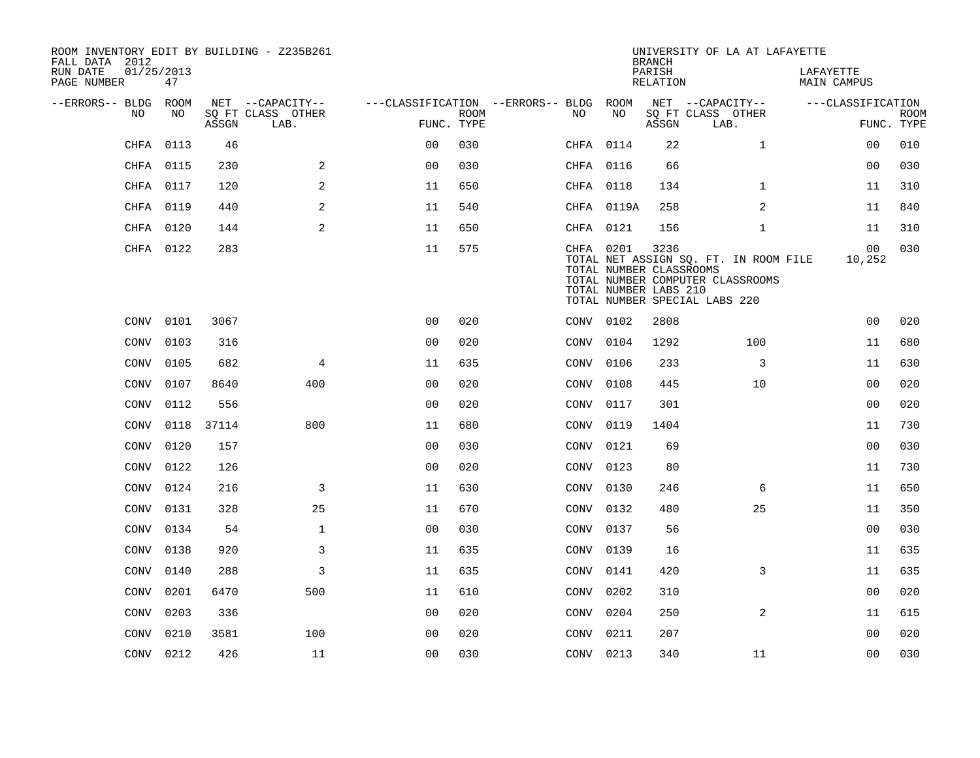| ROOM INVENTORY EDIT BY BUILDING - Z235B261<br>FALL DATA 2012 |                  |       |                           |                                        |             |           |                                                               | <b>BRANCH</b>      | UNIVERSITY OF LA AT LAFAYETTE                                                                              |                                 |             |
|--------------------------------------------------------------|------------------|-------|---------------------------|----------------------------------------|-------------|-----------|---------------------------------------------------------------|--------------------|------------------------------------------------------------------------------------------------------------|---------------------------------|-------------|
| RUN DATE<br>PAGE NUMBER                                      | 01/25/2013<br>47 |       |                           |                                        |             |           |                                                               | PARISH<br>RELATION |                                                                                                            | LAFAYETTE<br><b>MAIN CAMPUS</b> |             |
| --ERRORS-- BLDG ROOM                                         |                  |       | NET --CAPACITY--          | ---CLASSIFICATION --ERRORS-- BLDG ROOM |             |           |                                                               |                    | NET --CAPACITY--                                                                                           | ---CLASSIFICATION               |             |
| NO                                                           | NO               | ASSGN | SQ FT CLASS OTHER<br>LAB. | FUNC. TYPE                             | <b>ROOM</b> | NO        | NO                                                            | ASSGN              | SQ FT CLASS OTHER<br>LAB.                                                                                  | FUNC. TYPE                      | <b>ROOM</b> |
| CHFA                                                         | 0113             | 46    |                           | 0 <sub>0</sub>                         | 030         | CHFA 0114 |                                                               | 22                 | $\mathbf{1}$                                                                                               | 00                              | 010         |
| CHFA                                                         | 0115             | 230   | 2                         | 0 <sub>0</sub>                         | 030         | CHFA 0116 |                                                               | 66                 |                                                                                                            | 0 <sub>0</sub>                  | 030         |
|                                                              | CHFA 0117        | 120   | 2                         | 11                                     | 650         | CHFA 0118 |                                                               | 134                | $\mathbf{1}$                                                                                               | 11                              | 310         |
| CHFA                                                         | 0119             | 440   | $\overline{2}$            | 11                                     | 540         |           | CHFA 0119A                                                    | 258                | 2                                                                                                          | 11                              | 840         |
| CHFA                                                         | 0120             | 144   | 2                         | 11                                     | 650         | CHFA 0121 |                                                               | 156                | $\mathbf{1}$                                                                                               | 11                              | 310         |
|                                                              | CHFA 0122        | 283   |                           | 11                                     | 575         |           | CHFA 0201<br>TOTAL NUMBER CLASSROOMS<br>TOTAL NUMBER LABS 210 | 3236               | TOTAL NET ASSIGN SQ. FT. IN ROOM FILE<br>TOTAL NUMBER COMPUTER CLASSROOMS<br>TOTAL NUMBER SPECIAL LABS 220 | 00<br>10,252                    | 030         |
|                                                              | CONV 0101        | 3067  |                           | 0 <sub>0</sub>                         | 020         | CONV 0102 |                                                               | 2808               |                                                                                                            | 0 <sub>0</sub>                  | 020         |
| CONV                                                         | 0103             | 316   |                           | 0 <sub>0</sub>                         | 020         | CONV 0104 |                                                               | 1292               | 100                                                                                                        | 11                              | 680         |
| CONV                                                         | 0105             | 682   | 4                         | 11                                     | 635         | CONV 0106 |                                                               | 233                | 3                                                                                                          | 11                              | 630         |
| CONV                                                         | 0107             | 8640  | 400                       | 0 <sub>0</sub>                         | 020         | CONV 0108 |                                                               | 445                | 10                                                                                                         | 00                              | 020         |
| CONV                                                         | 0112             | 556   |                           | 0 <sub>0</sub>                         | 020         | CONV      | 0117                                                          | 301                |                                                                                                            | 0 <sub>0</sub>                  | 020         |
| <b>CONV</b>                                                  | 0118             | 37114 | 800                       | 11                                     | 680         | CONV      | 0119                                                          | 1404               |                                                                                                            | 11                              | 730         |
| CONV                                                         | 0120             | 157   |                           | 0 <sub>0</sub>                         | 030         | CONV      | 0121                                                          | 69                 |                                                                                                            | 0 <sub>0</sub>                  | 030         |
| <b>CONV</b>                                                  | 0122             | 126   |                           | 0 <sub>0</sub>                         | 020         | CONV 0123 |                                                               | 80                 |                                                                                                            | 11                              | 730         |
| CONV                                                         | 0124             | 216   | 3                         | 11                                     | 630         | CONV      | 0130                                                          | 246                | 6                                                                                                          | 11                              | 650         |
| CONV                                                         | 0131             | 328   | 25                        | 11                                     | 670         | CONV 0132 |                                                               | 480                | 25                                                                                                         | 11                              | 350         |
| CONV                                                         | 0134             | 54    | $\mathbf{1}$              | 0 <sub>0</sub>                         | 030         | CONV      | 0137                                                          | 56                 |                                                                                                            | 0 <sub>0</sub>                  | 030         |
| CONV                                                         | 0138             | 920   | 3                         | 11                                     | 635         | CONV 0139 |                                                               | 16                 |                                                                                                            | 11                              | 635         |
| CONV                                                         | 0140             | 288   | 3                         | 11                                     | 635         | CONV      | 0141                                                          | 420                | 3                                                                                                          | 11                              | 635         |
| CONV                                                         | 0201             | 6470  | 500                       | 11                                     | 610         | CONV      | 0202                                                          | 310                |                                                                                                            | 0 <sub>0</sub>                  | 020         |
| CONV                                                         | 0203             | 336   |                           | 00                                     | 020         | CONV      | 0204                                                          | 250                | 2                                                                                                          | 11                              | 615         |
| CONV                                                         | 0210             | 3581  | 100                       | 00                                     | 020         | CONV 0211 |                                                               | 207                |                                                                                                            | 0 <sub>0</sub>                  | 020         |
|                                                              | CONV 0212        | 426   | 11                        | 0 <sub>0</sub>                         | 030         | CONV 0213 |                                                               | 340                | 11                                                                                                         | 0 <sub>0</sub>                  | 030         |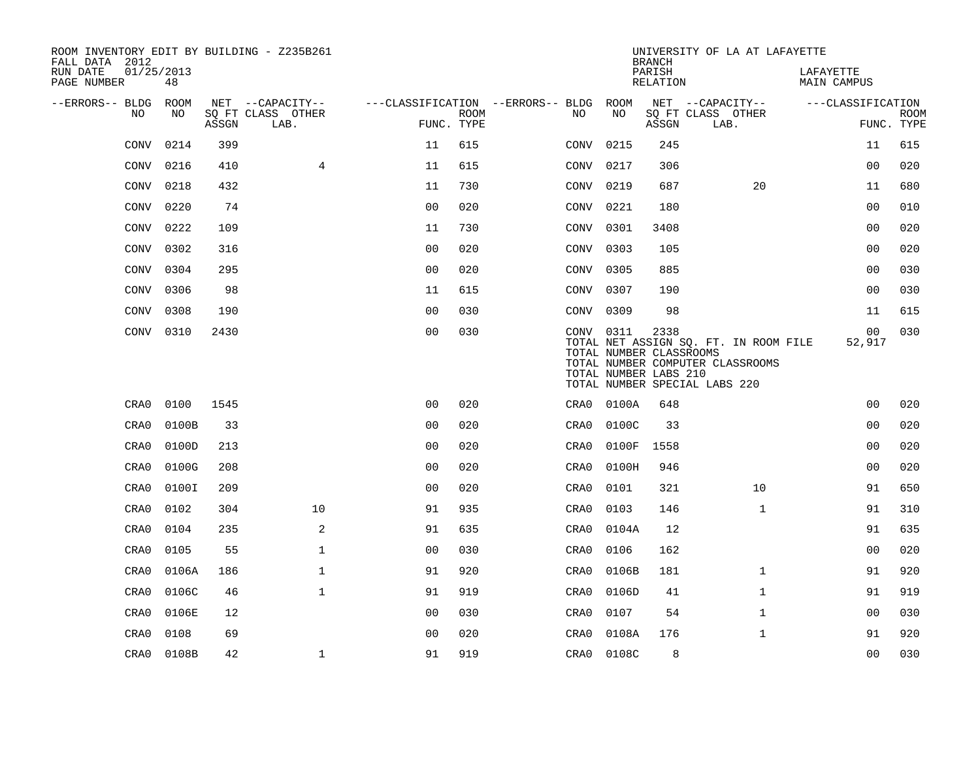| ROOM INVENTORY EDIT BY BUILDING - Z235B261<br>FALL DATA 2012 |                  |       |                           |                |             |                                        |                                                               | <b>BRANCH</b>      | UNIVERSITY OF LA AT LAFAYETTE                                                                              |                          |                           |
|--------------------------------------------------------------|------------------|-------|---------------------------|----------------|-------------|----------------------------------------|---------------------------------------------------------------|--------------------|------------------------------------------------------------------------------------------------------------|--------------------------|---------------------------|
| RUN DATE<br>PAGE NUMBER                                      | 01/25/2013<br>48 |       |                           |                |             |                                        |                                                               | PARISH<br>RELATION |                                                                                                            | LAFAYETTE<br>MAIN CAMPUS |                           |
| --ERRORS-- BLDG ROOM                                         |                  |       | NET --CAPACITY--          |                |             | ---CLASSIFICATION --ERRORS-- BLDG ROOM |                                                               |                    | NET --CAPACITY--                                                                                           | ---CLASSIFICATION        |                           |
| NO                                                           | NO               | ASSGN | SO FT CLASS OTHER<br>LAB. | FUNC. TYPE     | <b>ROOM</b> | NO                                     | NO                                                            | ASSGN              | SQ FT CLASS OTHER<br>LAB.                                                                                  |                          | <b>ROOM</b><br>FUNC. TYPE |
| CONV                                                         | 0214             | 399   |                           | 11             | 615         | CONV                                   | 0215                                                          | 245                |                                                                                                            | 11                       | 615                       |
| <b>CONV</b>                                                  | 0216             | 410   | $\overline{4}$            | 11             | 615         | CONV                                   | 0217                                                          | 306                |                                                                                                            | 0 <sub>0</sub>           | 020                       |
| CONV                                                         | 0218             | 432   |                           | 11             | 730         |                                        | CONV 0219                                                     | 687                | 20                                                                                                         | 11                       | 680                       |
| <b>CONV</b>                                                  | 0220             | 74    |                           | 0 <sub>0</sub> | 020         | CONV                                   | 0221                                                          | 180                |                                                                                                            | 0 <sub>0</sub>           | 010                       |
| CONV                                                         | 0222             | 109   |                           | 11             | 730         |                                        | CONV 0301                                                     | 3408               |                                                                                                            | 0 <sub>0</sub>           | 020                       |
| CONV                                                         | 0302             | 316   |                           | 0 <sub>0</sub> | 020         |                                        | CONV 0303                                                     | 105                |                                                                                                            | 0 <sub>0</sub>           | 020                       |
| <b>CONV</b>                                                  | 0304             | 295   |                           | 0 <sub>0</sub> | 020         |                                        | CONV 0305                                                     | 885                |                                                                                                            | 0 <sub>0</sub>           | 030                       |
| CONV                                                         | 0306             | 98    |                           | 11             | 615         |                                        | CONV 0307                                                     | 190                |                                                                                                            | 0 <sub>0</sub>           | 030                       |
| <b>CONV</b>                                                  | 0308             | 190   |                           | 0 <sub>0</sub> | 030         |                                        | CONV 0309                                                     | 98                 |                                                                                                            | 11                       | 615                       |
|                                                              | CONV 0310        | 2430  |                           | 0 <sub>0</sub> | 030         |                                        | CONV 0311<br>TOTAL NUMBER CLASSROOMS<br>TOTAL NUMBER LABS 210 | 2338               | TOTAL NET ASSIGN SQ. FT. IN ROOM FILE<br>TOTAL NUMBER COMPUTER CLASSROOMS<br>TOTAL NUMBER SPECIAL LABS 220 | 00<br>52,917             | 030                       |
| CRA0                                                         | 0100             | 1545  |                           | 0 <sub>0</sub> | 020         | CRA0                                   | 0100A                                                         | 648                |                                                                                                            | 0 <sub>0</sub>           | 020                       |
| CRA0                                                         | 0100B            | 33    |                           | 0 <sub>0</sub> | 020         | CRA0                                   | 0100C                                                         | 33                 |                                                                                                            | 0 <sub>0</sub>           | 020                       |
| CRA0                                                         | 0100D            | 213   |                           | 0 <sub>0</sub> | 020         | CRA0                                   | 0100F                                                         | 1558               |                                                                                                            | 0 <sub>0</sub>           | 020                       |
| CRA0                                                         | 0100G            | 208   |                           | 0 <sub>0</sub> | 020         | CRA0                                   | 0100H                                                         | 946                |                                                                                                            | 0 <sub>0</sub>           | 020                       |
| CRA0                                                         | 0100I            | 209   |                           | 0 <sub>0</sub> | 020         | CRA0                                   | 0101                                                          | 321                | 10                                                                                                         | 91                       | 650                       |
| CRA0                                                         | 0102             | 304   | 10                        | 91             | 935         | CRA0                                   | 0103                                                          | 146                | $\mathbf{1}$                                                                                               | 91                       | 310                       |
| CRA0                                                         | 0104             | 235   | 2                         | 91             | 635         | CRA0                                   | 0104A                                                         | 12                 |                                                                                                            | 91                       | 635                       |
| CRA0                                                         | 0105             | 55    | $\mathbf{1}$              | 0 <sub>0</sub> | 030         | CRA0                                   | 0106                                                          | 162                |                                                                                                            | 0 <sub>0</sub>           | 020                       |
| CRA0                                                         | 0106A            | 186   | $\mathbf{1}$              | 91             | 920         | CRA0                                   | 0106B                                                         | 181                | $\mathbf{1}$                                                                                               | 91                       | 920                       |
| CRA0                                                         | 0106C            | 46    | $\mathbf{1}$              | 91             | 919         | CRA0                                   | 0106D                                                         | 41                 | $\mathbf{1}$                                                                                               | 91                       | 919                       |
| CRA0                                                         | 0106E            | 12    |                           | 0 <sub>0</sub> | 030         | CRA0                                   | 0107                                                          | 54                 | $\mathbf{1}$                                                                                               | 0 <sub>0</sub>           | 030                       |
| CRA0                                                         | 0108             | 69    |                           | 0 <sub>0</sub> | 020         | CRA0                                   | 0108A                                                         | 176                | $\mathbf{1}$                                                                                               | 91                       | 920                       |
| CRA0                                                         | 0108B            | 42    | $\mathbf{1}$              | 91             | 919         |                                        | CRA0 0108C                                                    | 8                  |                                                                                                            | 0 <sub>0</sub>           | 030                       |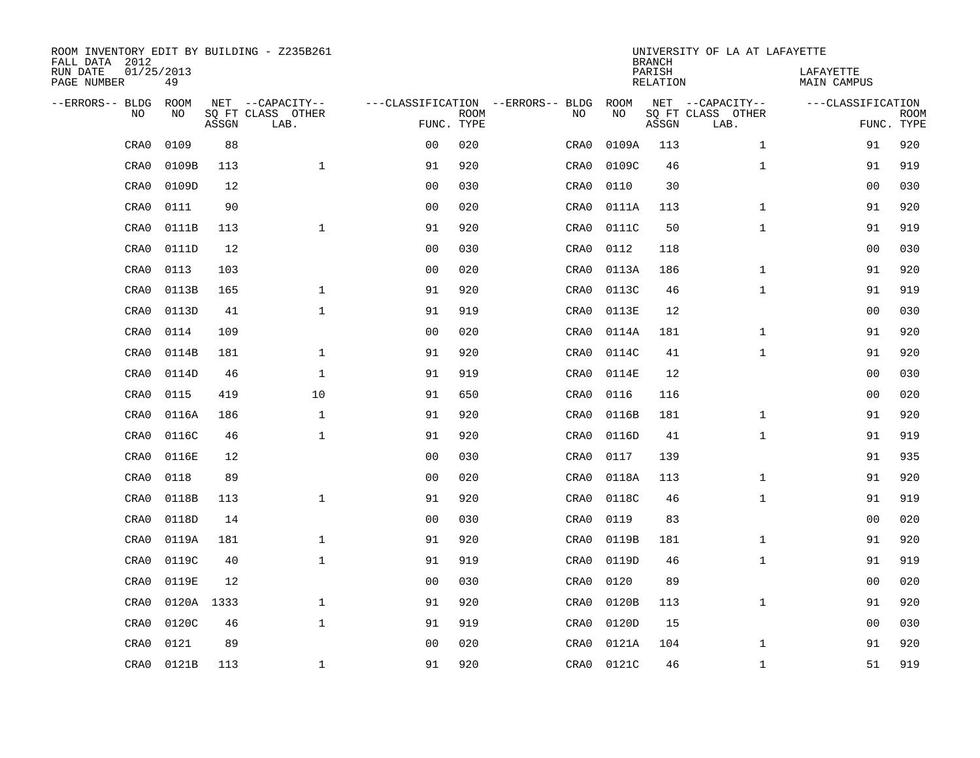| ROOM INVENTORY EDIT BY BUILDING - Z235B261<br>FALL DATA 2012 |                  |       |                           |                                   |             |      |       | <b>BRANCH</b>             | UNIVERSITY OF LA AT LAFAYETTE |                                 |             |
|--------------------------------------------------------------|------------------|-------|---------------------------|-----------------------------------|-------------|------|-------|---------------------------|-------------------------------|---------------------------------|-------------|
| RUN DATE<br>PAGE NUMBER                                      | 01/25/2013<br>49 |       |                           |                                   |             |      |       | PARISH<br><b>RELATION</b> |                               | LAFAYETTE<br><b>MAIN CAMPUS</b> |             |
| --ERRORS-- BLDG                                              | ROOM             |       | NET --CAPACITY--          | ---CLASSIFICATION --ERRORS-- BLDG |             |      | ROOM  |                           | NET --CAPACITY--              | ---CLASSIFICATION               |             |
| NO                                                           | NO               | ASSGN | SQ FT CLASS OTHER<br>LAB. | FUNC. TYPE                        | <b>ROOM</b> | NO   | NO    | ASSGN                     | SQ FT CLASS OTHER<br>LAB.     | FUNC. TYPE                      | <b>ROOM</b> |
| CRA0                                                         | 0109             | 88    |                           | 0 <sub>0</sub>                    | 020         | CRA0 | 0109A | 113                       | $\mathbf{1}$                  | 91                              | 920         |
| CRA0                                                         | 0109B            | 113   | $\mathbf{1}$              | 91                                | 920         | CRA0 | 0109C | 46                        | $\mathbf{1}$                  | 91                              | 919         |
| CRA0                                                         | 0109D            | 12    |                           | 0 <sub>0</sub>                    | 030         | CRA0 | 0110  | 30                        |                               | 00                              | 030         |
| CRA0                                                         | 0111             | 90    |                           | 0 <sub>0</sub>                    | 020         | CRA0 | 0111A | 113                       | $\mathbf{1}$                  | 91                              | 920         |
| CRA0                                                         | 0111B            | 113   | $\mathbf{1}$              | 91                                | 920         | CRA0 | 0111C | 50                        | $\mathbf{1}$                  | 91                              | 919         |
| CRA0                                                         | 0111D            | 12    |                           | 0 <sub>0</sub>                    | 030         | CRA0 | 0112  | 118                       |                               | 0 <sub>0</sub>                  | 030         |
| CRA0                                                         | 0113             | 103   |                           | 0 <sub>0</sub>                    | 020         | CRA0 | 0113A | 186                       | $\mathbf{1}$                  | 91                              | 920         |
| CRA0                                                         | 0113B            | 165   | $\mathbf{1}$              | 91                                | 920         | CRA0 | 0113C | 46                        | $\mathbf{1}$                  | 91                              | 919         |
| CRA0                                                         | 0113D            | 41    | $\mathbf{1}$              | 91                                | 919         | CRA0 | 0113E | 12                        |                               | 00                              | 030         |
| CRA0                                                         | 0114             | 109   |                           | 0 <sub>0</sub>                    | 020         | CRA0 | 0114A | 181                       | $\mathbf{1}$                  | 91                              | 920         |
| CRA0                                                         | 0114B            | 181   | $\mathbf{1}$              | 91                                | 920         | CRA0 | 0114C | 41                        | $\mathbf{1}$                  | 91                              | 920         |
| CRA0                                                         | 0114D            | 46    | $\mathbf{1}$              | 91                                | 919         | CRA0 | 0114E | 12                        |                               | 0 <sub>0</sub>                  | 030         |
| CRA0                                                         | 0115             | 419   | 10                        | 91                                | 650         | CRA0 | 0116  | 116                       |                               | 00                              | 020         |
| CRA0                                                         | 0116A            | 186   | $\mathbf 1$               | 91                                | 920         | CRA0 | 0116B | 181                       | $\mathbf{1}$                  | 91                              | 920         |
| CRA0                                                         | 0116C            | 46    | $\mathbf 1$               | 91                                | 920         | CRA0 | 0116D | 41                        | $\mathbf{1}$                  | 91                              | 919         |
| CRA0                                                         | 0116E            | 12    |                           | 0 <sub>0</sub>                    | 030         | CRA0 | 0117  | 139                       |                               | 91                              | 935         |
| CRA0                                                         | 0118             | 89    |                           | 0 <sub>0</sub>                    | 020         | CRA0 | 0118A | 113                       | $\mathbf{1}$                  | 91                              | 920         |
| CRA0                                                         | 0118B            | 113   | $\mathbf 1$               | 91                                | 920         | CRA0 | 0118C | 46                        | $\mathbf{1}$                  | 91                              | 919         |
| CRA0                                                         | 0118D            | 14    |                           | 0 <sub>0</sub>                    | 030         | CRA0 | 0119  | 83                        |                               | 0 <sub>0</sub>                  | 020         |
| CRA0                                                         | 0119A            | 181   | $\mathbf 1$               | 91                                | 920         | CRA0 | 0119B | 181                       | $\mathbf{1}$                  | 91                              | 920         |
| CRA0                                                         | 0119C            | 40    | $\mathbf 1$               | 91                                | 919         | CRA0 | 0119D | 46                        | $\mathbf{1}$                  | 91                              | 919         |
| CRA0                                                         | 0119E            | 12    |                           | 0 <sub>0</sub>                    | 030         | CRA0 | 0120  | 89                        |                               | 00                              | 020         |
| CRA0                                                         | 0120A 1333       |       | $\mathbf{1}$              | 91                                | 920         | CRA0 | 0120B | 113                       | $\mathbf{1}$                  | 91                              | 920         |
| CRA0                                                         | 0120C            | 46    | $\mathbf{1}$              | 91                                | 919         | CRA0 | 0120D | 15                        |                               | 00                              | 030         |
| CRA0                                                         | 0121             | 89    |                           | 0 <sub>0</sub>                    | 020         | CRA0 | 0121A | 104                       | $\mathbf{1}$                  | 91                              | 920         |
| CRA0                                                         | 0121B            | 113   | $\mathbf 1$               | 91                                | 920         | CRA0 | 0121C | 46                        | $\mathbf{1}$                  | 51                              | 919         |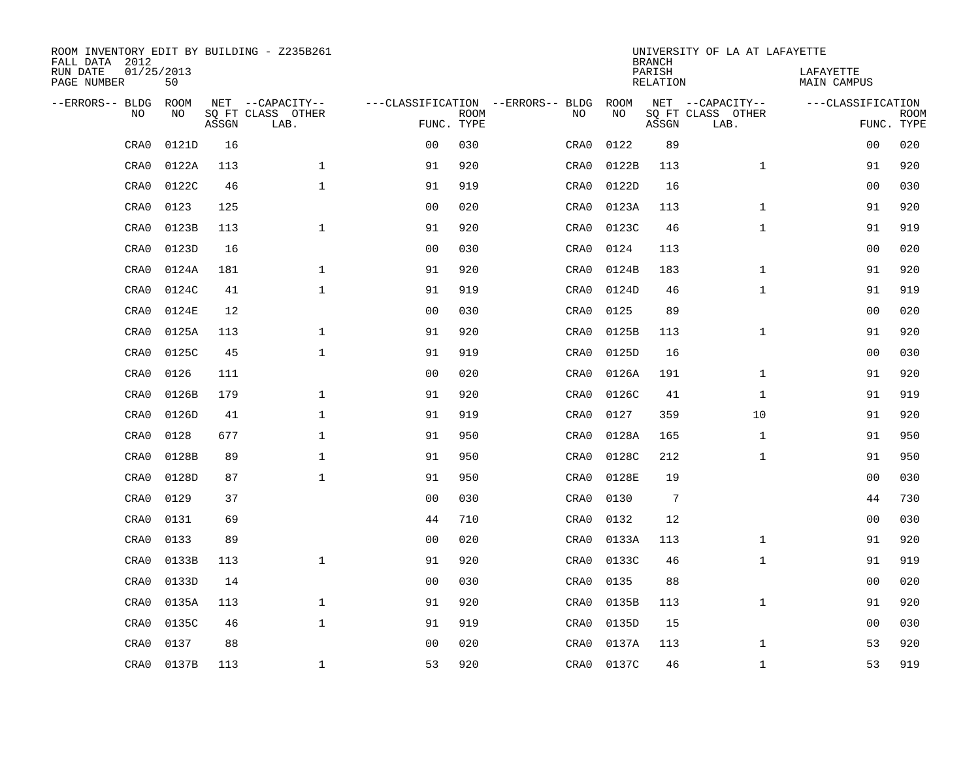| ROOM INVENTORY EDIT BY BUILDING - Z235B261<br>FALL DATA 2012 |                  |       |                           |                |             |                                   |            | <b>BRANCH</b>             | UNIVERSITY OF LA AT LAFAYETTE |                                 |             |
|--------------------------------------------------------------|------------------|-------|---------------------------|----------------|-------------|-----------------------------------|------------|---------------------------|-------------------------------|---------------------------------|-------------|
| RUN DATE<br>PAGE NUMBER                                      | 01/25/2013<br>50 |       |                           |                |             |                                   |            | PARISH<br><b>RELATION</b> |                               | LAFAYETTE<br><b>MAIN CAMPUS</b> |             |
| --ERRORS-- BLDG                                              | ROOM             |       | NET --CAPACITY--          |                |             | ---CLASSIFICATION --ERRORS-- BLDG | ROOM       |                           | NET --CAPACITY--              | ---CLASSIFICATION               |             |
| NO                                                           | NO               | ASSGN | SQ FT CLASS OTHER<br>LAB. | FUNC. TYPE     | <b>ROOM</b> | NO                                | NO         | ASSGN                     | SQ FT CLASS OTHER<br>LAB.     | FUNC. TYPE                      | <b>ROOM</b> |
| CRA0                                                         | 0121D            | 16    |                           | 0 <sub>0</sub> | 030         | CRA0                              | 0122       | 89                        |                               | 0 <sub>0</sub>                  | 020         |
| CRA0                                                         | 0122A            | 113   | $\mathbf 1$               | 91             | 920         | CRA0                              | 0122B      | 113                       | $\mathbf{1}$                  | 91                              | 920         |
| CRA0                                                         | 0122C            | 46    | $\mathbf 1$               | 91             | 919         | CRA0                              | 0122D      | 16                        |                               | 00                              | 030         |
| CRA0                                                         | 0123             | 125   |                           | 0 <sub>0</sub> | 020         | CRA0                              | 0123A      | 113                       | $\mathbf{1}$                  | 91                              | 920         |
| CRA0                                                         | 0123B            | 113   | $\mathbf{1}$              | 91             | 920         | CRA0                              | 0123C      | 46                        | $\mathbf{1}$                  | 91                              | 919         |
| CRA0                                                         | 0123D            | 16    |                           | 0 <sub>0</sub> | 030         | CRA0                              | 0124       | 113                       |                               | 0 <sub>0</sub>                  | 020         |
| CRA0                                                         | 0124A            | 181   | $\mathbf{1}$              | 91             | 920         | CRA0                              | 0124B      | 183                       | $\mathbf{1}$                  | 91                              | 920         |
| CRA0                                                         | 0124C            | 41    | $\mathbf{1}$              | 91             | 919         | CRA0                              | 0124D      | 46                        | $\mathbf{1}$                  | 91                              | 919         |
| CRA0                                                         | 0124E            | 12    |                           | 0 <sub>0</sub> | 030         | CRA0                              | 0125       | 89                        |                               | 0 <sub>0</sub>                  | 020         |
| CRA0                                                         | 0125A            | 113   | $\mathbf{1}$              | 91             | 920         | CRA0                              | 0125B      | 113                       | $\mathbf{1}$                  | 91                              | 920         |
| CRA0                                                         | 0125C            | 45    | $\mathbf{1}$              | 91             | 919         | CRA0                              | 0125D      | 16                        |                               | 00                              | 030         |
| CRA0                                                         | 0126             | 111   |                           | 0 <sub>0</sub> | 020         | CRA0                              | 0126A      | 191                       | $\mathbf{1}$                  | 91                              | 920         |
| CRA0                                                         | 0126B            | 179   | $\mathbf{1}$              | 91             | 920         | CRA0                              | 0126C      | 41                        | $\mathbf{1}$                  | 91                              | 919         |
| CRA0                                                         | 0126D            | 41    | $\mathbf{1}$              | 91             | 919         | CRA0                              | 0127       | 359                       | 10                            | 91                              | 920         |
| CRA0                                                         | 0128             | 677   | $\mathbf{1}$              | 91             | 950         | CRA0                              | 0128A      | 165                       | $\mathbf{1}$                  | 91                              | 950         |
| CRA0                                                         | 0128B            | 89    | $\mathbf{1}$              | 91             | 950         | CRA0                              | 0128C      | 212                       | $\mathbf{1}$                  | 91                              | 950         |
| CRA0                                                         | 0128D            | 87    | $\mathbf{1}$              | 91             | 950         | CRA0                              | 0128E      | 19                        |                               | 0 <sub>0</sub>                  | 030         |
| CRA0                                                         | 0129             | 37    |                           | 0 <sub>0</sub> | 030         | CRA0                              | 0130       | $7\phantom{.0}$           |                               | 44                              | 730         |
| CRA0                                                         | 0131             | 69    |                           | 44             | 710         | CRA0                              | 0132       | 12                        |                               | 00                              | 030         |
| CRA0                                                         | 0133             | 89    |                           | 0 <sub>0</sub> | 020         | CRA0                              | 0133A      | 113                       | $\mathbf{1}$                  | 91                              | 920         |
| CRA0                                                         | 0133B            | 113   | $\mathbf{1}$              | 91             | 920         | CRA0                              | 0133C      | 46                        | $\mathbf{1}$                  | 91                              | 919         |
| CRA0                                                         | 0133D            | 14    |                           | 0 <sub>0</sub> | 030         | CRA0                              | 0135       | 88                        |                               | 0 <sub>0</sub>                  | 020         |
| CRA0                                                         | 0135A            | 113   | $\mathbf{1}$              | 91             | 920         | CRA0                              | 0135B      | 113                       | $\mathbf{1}$                  | 91                              | 920         |
| CRA0                                                         | 0135C            | 46    | $\mathbf 1$               | 91             | 919         | CRA0                              | 0135D      | 15                        |                               | 0 <sub>0</sub>                  | 030         |
| CRA0                                                         | 0137             | 88    |                           | 0 <sub>0</sub> | 020         | CRA0                              | 0137A      | 113                       | $\mathbf{1}$                  | 53                              | 920         |
| CRA0                                                         | 0137B            | 113   | $\mathbf 1$               | 53             | 920         |                                   | CRA0 0137C | 46                        | $\mathbf{1}$                  | 53                              | 919         |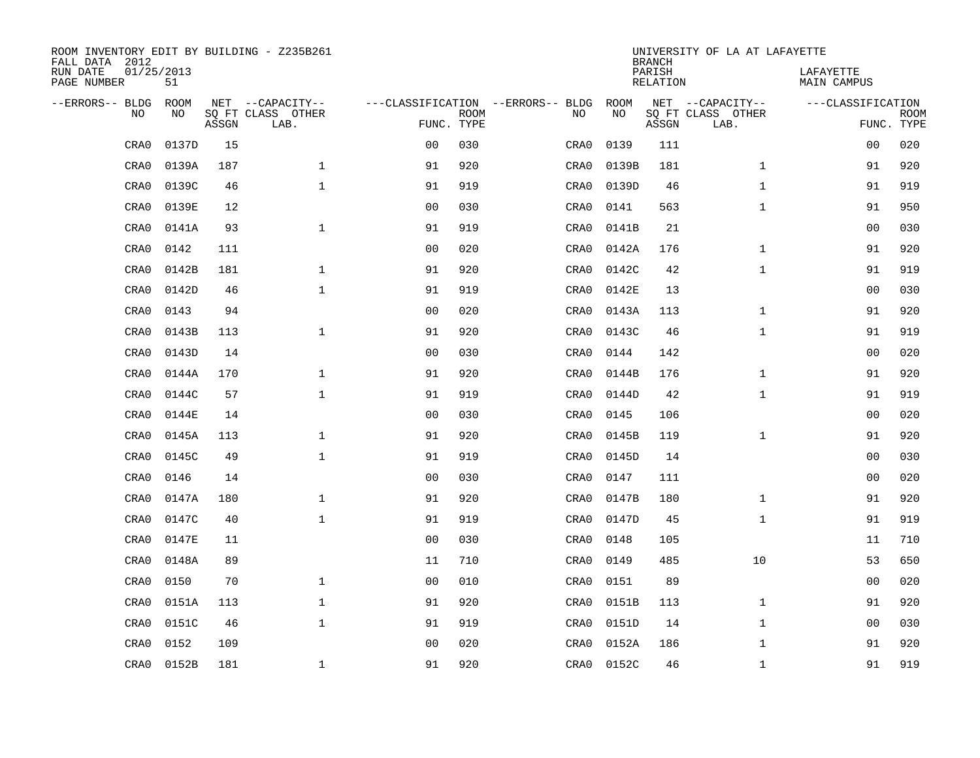| ROOM INVENTORY EDIT BY BUILDING - Z235B261<br>FALL DATA 2012 |                  |       |                           |                |             |                                   |            | <b>BRANCH</b>             | UNIVERSITY OF LA AT LAFAYETTE |                                 |             |
|--------------------------------------------------------------|------------------|-------|---------------------------|----------------|-------------|-----------------------------------|------------|---------------------------|-------------------------------|---------------------------------|-------------|
| RUN DATE<br>PAGE NUMBER                                      | 01/25/2013<br>51 |       |                           |                |             |                                   |            | PARISH<br><b>RELATION</b> |                               | LAFAYETTE<br><b>MAIN CAMPUS</b> |             |
| --ERRORS-- BLDG                                              | ROOM             |       | NET --CAPACITY--          |                |             | ---CLASSIFICATION --ERRORS-- BLDG | ROOM       |                           | NET --CAPACITY--              | ---CLASSIFICATION               |             |
| NO                                                           | NO               | ASSGN | SQ FT CLASS OTHER<br>LAB. | FUNC. TYPE     | <b>ROOM</b> | NO                                | NO         | ASSGN                     | SQ FT CLASS OTHER<br>LAB.     | FUNC. TYPE                      | <b>ROOM</b> |
| CRA0                                                         | 0137D            | 15    |                           | 0 <sub>0</sub> | 030         | CRA0                              | 0139       | 111                       |                               | 0 <sub>0</sub>                  | 020         |
| CRA0                                                         | 0139A            | 187   | $\mathbf 1$               | 91             | 920         | CRA0                              | 0139B      | 181                       | $\mathbf{1}$                  | 91                              | 920         |
| CRA0                                                         | 0139C            | 46    | $\mathbf{1}$              | 91             | 919         | CRA0                              | 0139D      | 46                        | $\mathbf{1}$                  | 91                              | 919         |
| CRA0                                                         | 0139E            | 12    |                           | 0 <sub>0</sub> | 030         | CRA0                              | 0141       | 563                       | $\mathbf{1}$                  | 91                              | 950         |
| CRA0                                                         | 0141A            | 93    | $\mathbf{1}$              | 91             | 919         | CRA0                              | 0141B      | 21                        |                               | 0 <sub>0</sub>                  | 030         |
| CRA0                                                         | 0142             | 111   |                           | 0 <sub>0</sub> | 020         | CRA0                              | 0142A      | 176                       | $\mathbf{1}$                  | 91                              | 920         |
| CRA0                                                         | 0142B            | 181   | $\mathbf{1}$              | 91             | 920         | CRA0                              | 0142C      | 42                        | $\mathbf{1}$                  | 91                              | 919         |
| CRA0                                                         | 0142D            | 46    | $\mathbf{1}$              | 91             | 919         | CRA0                              | 0142E      | 13                        |                               | 0 <sub>0</sub>                  | 030         |
| CRA0                                                         | 0143             | 94    |                           | 0 <sub>0</sub> | 020         | CRA0                              | 0143A      | 113                       | $\mathbf{1}$                  | 91                              | 920         |
| CRA0                                                         | 0143B            | 113   | $\mathbf{1}$              | 91             | 920         | CRA0                              | 0143C      | 46                        | $\mathbf{1}$                  | 91                              | 919         |
| CRA0                                                         | 0143D            | 14    |                           | 0 <sub>0</sub> | 030         | CRA0                              | 0144       | 142                       |                               | 00                              | 020         |
| CRA0                                                         | 0144A            | 170   | $\mathbf 1$               | 91             | 920         | CRA0                              | 0144B      | 176                       | $\mathbf{1}$                  | 91                              | 920         |
| CRA0                                                         | 0144C            | 57    | $\mathbf{1}$              | 91             | 919         | CRA0                              | 0144D      | 42                        | $\mathbf{1}$                  | 91                              | 919         |
| CRA0                                                         | 0144E            | 14    |                           | 0 <sub>0</sub> | 030         | CRA0                              | 0145       | 106                       |                               | 00                              | 020         |
| CRA0                                                         | 0145A            | 113   | $\mathbf{1}$              | 91             | 920         | CRA0                              | 0145B      | 119                       | $\mathbf{1}$                  | 91                              | 920         |
| CRA0                                                         | 0145C            | 49    | $\mathbf{1}$              | 91             | 919         | CRA0                              | 0145D      | 14                        |                               | 00                              | 030         |
| CRA0                                                         | 0146             | 14    |                           | 0 <sub>0</sub> | 030         | CRA0                              | 0147       | 111                       |                               | 0 <sub>0</sub>                  | 020         |
| CRA0                                                         | 0147A            | 180   | $\mathbf 1$               | 91             | 920         | CRA0                              | 0147B      | 180                       | $\mathbf{1}$                  | 91                              | 920         |
| CRA0                                                         | 0147C            | 40    | $\mathbf{1}$              | 91             | 919         | CRA0                              | 0147D      | 45                        | $\mathbf{1}$                  | 91                              | 919         |
| CRA0                                                         | 0147E            | 11    |                           | 0 <sub>0</sub> | 030         | CRA0                              | 0148       | 105                       |                               | 11                              | 710         |
| CRA0                                                         | 0148A            | 89    |                           | 11             | 710         | CRA0                              | 0149       | 485                       | 10                            | 53                              | 650         |
| CRA0                                                         | 0150             | 70    | $\mathbf{1}$              | 0 <sub>0</sub> | 010         | CRA0                              | 0151       | 89                        |                               | 0 <sub>0</sub>                  | 020         |
| CRA0                                                         | 0151A            | 113   | $\mathbf{1}$              | 91             | 920         | CRA0                              | 0151B      | 113                       | $\mathbf{1}$                  | 91                              | 920         |
| CRA0                                                         | 0151C            | 46    | $\mathbf{1}$              | 91             | 919         | CRA0                              | 0151D      | 14                        | $\mathbf{1}$                  | 00                              | 030         |
| CRA0                                                         | 0152             | 109   |                           | 0 <sub>0</sub> | 020         | CRA0                              | 0152A      | 186                       | $\mathbf{1}$                  | 91                              | 920         |
| CRA0                                                         | 0152B            | 181   | $\mathbf 1$               | 91             | 920         |                                   | CRA0 0152C | 46                        | $\mathbf{1}$                  | 91                              | 919         |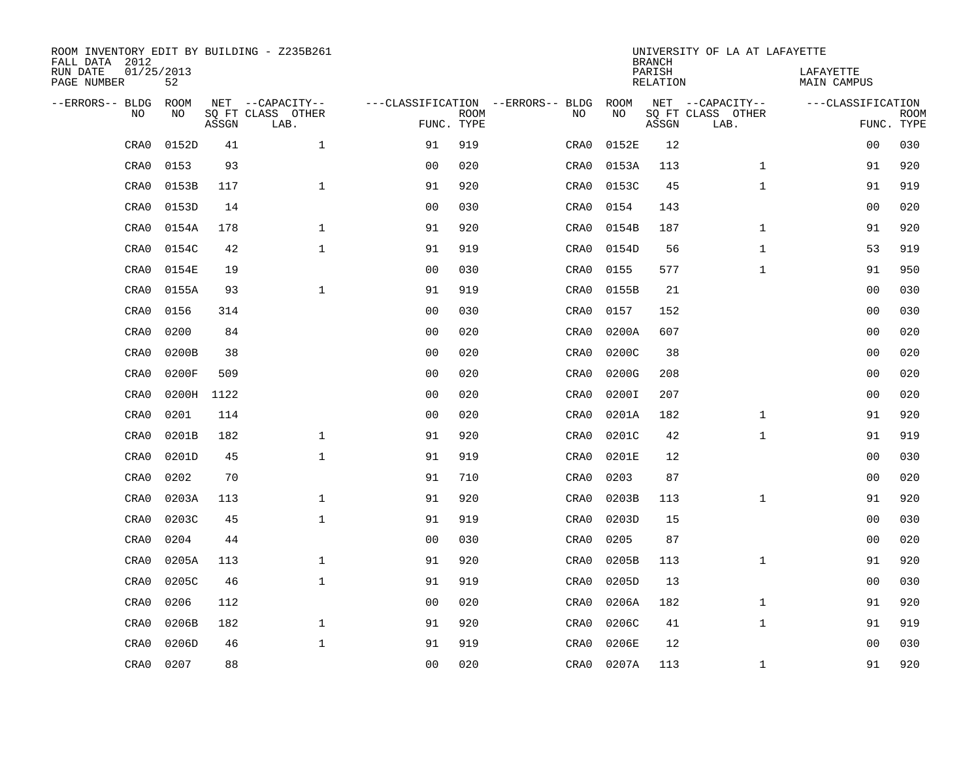| ROOM INVENTORY EDIT BY BUILDING - Z235B261<br>FALL DATA 2012 |                  |       |                           |                                   |             |      |       | <b>BRANCH</b>             | UNIVERSITY OF LA AT LAFAYETTE |                                 |             |
|--------------------------------------------------------------|------------------|-------|---------------------------|-----------------------------------|-------------|------|-------|---------------------------|-------------------------------|---------------------------------|-------------|
| RUN DATE<br>PAGE NUMBER                                      | 01/25/2013<br>52 |       |                           |                                   |             |      |       | PARISH<br><b>RELATION</b> |                               | LAFAYETTE<br><b>MAIN CAMPUS</b> |             |
| --ERRORS-- BLDG                                              | ROOM             |       | NET --CAPACITY--          | ---CLASSIFICATION --ERRORS-- BLDG |             |      | ROOM  |                           | NET --CAPACITY--              | ---CLASSIFICATION               |             |
| NO                                                           | NO               | ASSGN | SQ FT CLASS OTHER<br>LAB. | FUNC. TYPE                        | <b>ROOM</b> | NO   | NO    | ASSGN                     | SQ FT CLASS OTHER<br>LAB.     | FUNC. TYPE                      | <b>ROOM</b> |
| CRA0                                                         | 0152D            | 41    | $\mathbf 1$               | 91                                | 919         | CRA0 | 0152E | 12                        |                               | 00                              | 030         |
| CRA0                                                         | 0153             | 93    |                           | 0 <sub>0</sub>                    | 020         | CRA0 | 0153A | 113                       | $\mathbf{1}$                  | 91                              | 920         |
| CRA0                                                         | 0153B            | 117   | $\mathbf{1}$              | 91                                | 920         | CRA0 | 0153C | 45                        | $\mathbf{1}$                  | 91                              | 919         |
| CRA0                                                         | 0153D            | 14    |                           | 0 <sub>0</sub>                    | 030         | CRA0 | 0154  | 143                       |                               | 00                              | 020         |
| CRA0                                                         | 0154A            | 178   | $\mathbf{1}$              | 91                                | 920         | CRA0 | 0154B | 187                       | $\mathbf{1}$                  | 91                              | 920         |
| CRA0                                                         | 0154C            | 42    | $\mathbf{1}$              | 91                                | 919         | CRA0 | 0154D | 56                        | $\mathbf{1}$                  | 53                              | 919         |
| CRA0                                                         | 0154E            | 19    |                           | 0 <sub>0</sub>                    | 030         | CRA0 | 0155  | 577                       | $\mathbf{1}$                  | 91                              | 950         |
| CRA0                                                         | 0155A            | 93    | $\mathbf{1}$              | 91                                | 919         | CRA0 | 0155B | 21                        |                               | 0 <sub>0</sub>                  | 030         |
| CRA0                                                         | 0156             | 314   |                           | 0 <sub>0</sub>                    | 030         | CRA0 | 0157  | 152                       |                               | 0 <sub>0</sub>                  | 030         |
| CRA0                                                         | 0200             | 84    |                           | 0 <sub>0</sub>                    | 020         | CRA0 | 0200A | 607                       |                               | 0 <sub>0</sub>                  | 020         |
| CRA0                                                         | 0200B            | 38    |                           | 0 <sub>0</sub>                    | 020         | CRA0 | 0200C | 38                        |                               | 0 <sub>0</sub>                  | 020         |
| CRA0                                                         | 0200F            | 509   |                           | 0 <sub>0</sub>                    | 020         | CRA0 | 0200G | 208                       |                               | 0 <sub>0</sub>                  | 020         |
| CRA0                                                         | 0200H            | 1122  |                           | 0 <sub>0</sub>                    | 020         | CRA0 | 0200I | 207                       |                               | 00                              | 020         |
| CRA0                                                         | 0201             | 114   |                           | 0 <sub>0</sub>                    | 020         | CRA0 | 0201A | 182                       | $\mathbf{1}$                  | 91                              | 920         |
| CRA0                                                         | 0201B            | 182   | $\mathbf 1$               | 91                                | 920         | CRA0 | 0201C | 42                        | $\mathbf{1}$                  | 91                              | 919         |
| CRA0                                                         | 0201D            | 45    | $\mathbf{1}$              | 91                                | 919         | CRA0 | 0201E | 12                        |                               | 00                              | 030         |
| CRA0                                                         | 0202             | 70    |                           | 91                                | 710         | CRA0 | 0203  | 87                        |                               | 00                              | 020         |
| CRA0                                                         | 0203A            | 113   | $\mathbf{1}$              | 91                                | 920         | CRA0 | 0203B | 113                       | $\mathbf{1}$                  | 91                              | 920         |
| CRA0                                                         | 0203C            | 45    | $\mathbf{1}$              | 91                                | 919         | CRA0 | 0203D | 15                        |                               | 0 <sub>0</sub>                  | 030         |
| CRA0                                                         | 0204             | 44    |                           | 0 <sub>0</sub>                    | 030         | CRA0 | 0205  | 87                        |                               | 00                              | 020         |
| CRA0                                                         | 0205A            | 113   | $\mathbf 1$               | 91                                | 920         | CRA0 | 0205B | 113                       | $\mathbf{1}$                  | 91                              | 920         |
| CRA0                                                         | 0205C            | 46    | $\mathbf{1}$              | 91                                | 919         | CRA0 | 0205D | 13                        |                               | 00                              | 030         |
| CRA0                                                         | 0206             | 112   |                           | 0 <sub>0</sub>                    | 020         | CRA0 | 0206A | 182                       | $\mathbf{1}$                  | 91                              | 920         |
| CRA0                                                         | 0206B            | 182   | $\mathbf{1}$              | 91                                | 920         | CRA0 | 0206C | 41                        | $\mathbf{1}$                  | 91                              | 919         |
| CRA0                                                         | 0206D            | 46    | $\mathbf 1$               | 91                                | 919         | CRA0 | 0206E | 12                        |                               | 0 <sub>0</sub>                  | 030         |
| CRA0                                                         | 0207             | 88    |                           | 0 <sub>0</sub>                    | 020         | CRA0 | 0207A | 113                       | $\mathbf{1}$                  | 91                              | 920         |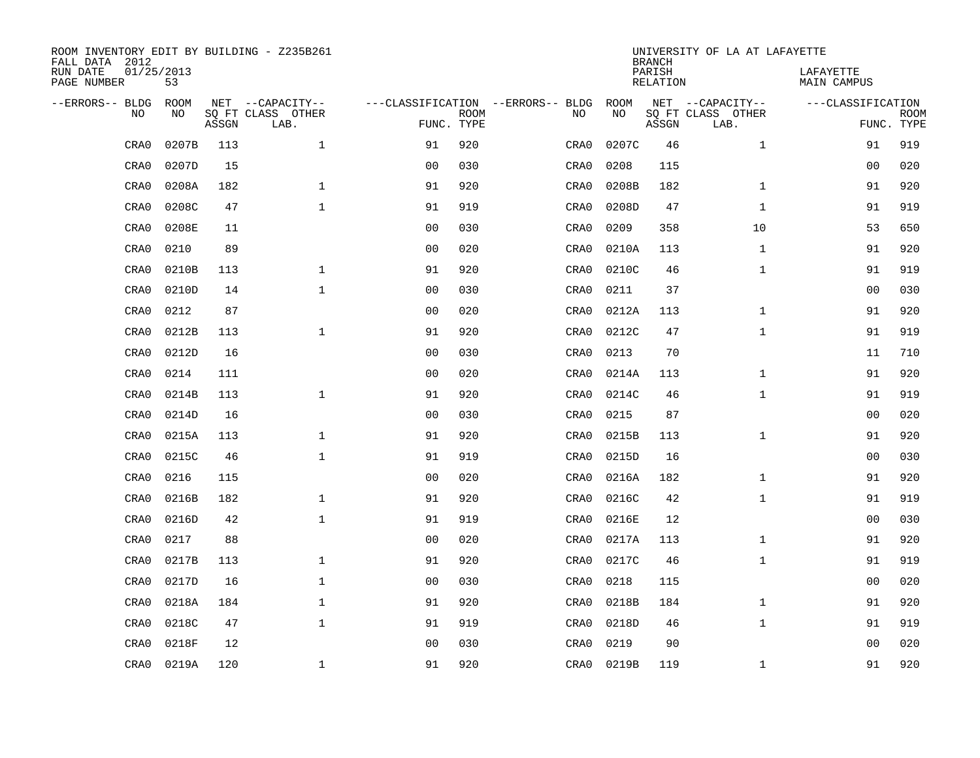| ROOM INVENTORY EDIT BY BUILDING - Z235B261<br>FALL DATA 2012 |                  |       |                           |                |             |                                   |       | <b>BRANCH</b>             | UNIVERSITY OF LA AT LAFAYETTE |                                 |                           |
|--------------------------------------------------------------|------------------|-------|---------------------------|----------------|-------------|-----------------------------------|-------|---------------------------|-------------------------------|---------------------------------|---------------------------|
| RUN DATE<br>PAGE NUMBER                                      | 01/25/2013<br>53 |       |                           |                |             |                                   |       | PARISH<br><b>RELATION</b> |                               | LAFAYETTE<br><b>MAIN CAMPUS</b> |                           |
| --ERRORS-- BLDG                                              | ROOM             |       | NET --CAPACITY--          |                |             | ---CLASSIFICATION --ERRORS-- BLDG | ROOM  |                           | NET --CAPACITY--              | ---CLASSIFICATION               |                           |
| NO                                                           | NO               | ASSGN | SQ FT CLASS OTHER<br>LAB. | FUNC. TYPE     | <b>ROOM</b> | NO                                | NO    | ASSGN                     | SQ FT CLASS OTHER<br>LAB.     |                                 | <b>ROOM</b><br>FUNC. TYPE |
| CRA0                                                         | 0207B            | 113   | $\mathbf 1$               | 91             | 920         | CRA0                              | 0207C | 46                        | $\mathbf{1}$                  | 91                              | 919                       |
| CRA0                                                         | 0207D            | 15    |                           | 0 <sub>0</sub> | 030         | CRA0                              | 0208  | 115                       |                               | 00                              | 020                       |
| CRA0                                                         | 0208A            | 182   | $\mathbf 1$               | 91             | 920         | CRA0                              | 0208B | 182                       | $\mathbf{1}$                  | 91                              | 920                       |
| CRA0                                                         | 0208C            | 47    | $\mathbf 1$               | 91             | 919         | CRA0                              | 0208D | 47                        | $\mathbf{1}$                  | 91                              | 919                       |
| CRA0                                                         | 0208E            | 11    |                           | 0 <sub>0</sub> | 030         | CRA0                              | 0209  | 358                       | 10                            | 53                              | 650                       |
| CRA0                                                         | 0210             | 89    |                           | 0 <sub>0</sub> | 020         | CRA0                              | 0210A | 113                       | $\mathbf{1}$                  | 91                              | 920                       |
| CRA0                                                         | 0210B            | 113   | $\mathbf{1}$              | 91             | 920         | CRA0                              | 0210C | 46                        | $\mathbf{1}$                  | 91                              | 919                       |
| CRA0                                                         | 0210D            | 14    | $\mathbf{1}$              | 0 <sub>0</sub> | 030         | CRA0                              | 0211  | 37                        |                               | 0 <sub>0</sub>                  | 030                       |
| CRA0                                                         | 0212             | 87    |                           | 0 <sub>0</sub> | 020         | CRA0                              | 0212A | 113                       | $\mathbf{1}$                  | 91                              | 920                       |
| CRA0                                                         | 0212B            | 113   | $\mathbf{1}$              | 91             | 920         | CRA0                              | 0212C | 47                        | $\mathbf{1}$                  | 91                              | 919                       |
| CRA0                                                         | 0212D            | 16    |                           | 0 <sub>0</sub> | 030         | CRA0                              | 0213  | 70                        |                               | 11                              | 710                       |
| CRA0                                                         | 0214             | 111   |                           | 0 <sub>0</sub> | 020         | CRA0                              | 0214A | 113                       | $\mathbf{1}$                  | 91                              | 920                       |
| CRA0                                                         | 0214B            | 113   | $\mathbf 1$               | 91             | 920         | CRA0                              | 0214C | 46                        | $\mathbf{1}$                  | 91                              | 919                       |
| CRA0                                                         | 0214D            | 16    |                           | 0 <sub>0</sub> | 030         | CRA0                              | 0215  | 87                        |                               | 00                              | 020                       |
| CRA0                                                         | 0215A            | 113   | $\mathbf{1}$              | 91             | 920         | CRA0                              | 0215B | 113                       | $\mathbf{1}$                  | 91                              | 920                       |
| CRA0                                                         | 0215C            | 46    | $\mathbf{1}$              | 91             | 919         | CRA0                              | 0215D | 16                        |                               | 00                              | 030                       |
| CRA0                                                         | 0216             | 115   |                           | 0 <sub>0</sub> | 020         | CRA0                              | 0216A | 182                       | $\mathbf{1}$                  | 91                              | 920                       |
| CRA0                                                         | 0216B            | 182   | $\mathbf 1$               | 91             | 920         | CRA0                              | 0216C | 42                        | $\mathbf{1}$                  | 91                              | 919                       |
| CRA0                                                         | 0216D            | 42    | $\mathbf{1}$              | 91             | 919         | CRA0                              | 0216E | 12                        |                               | 0 <sub>0</sub>                  | 030                       |
| CRA0                                                         | 0217             | 88    |                           | 0 <sub>0</sub> | 020         | CRA0                              | 0217A | 113                       | $\mathbf{1}$                  | 91                              | 920                       |
| CRA0                                                         | 0217B            | 113   | $\mathbf 1$               | 91             | 920         | CRA0                              | 0217C | 46                        | $\mathbf{1}$                  | 91                              | 919                       |
| CRA0                                                         | 0217D            | 16    | $\mathbf 1$               | 0 <sub>0</sub> | 030         | CRA0                              | 0218  | 115                       |                               | 00                              | 020                       |
| CRA0                                                         | 0218A            | 184   | $\mathbf 1$               | 91             | 920         | CRA0                              | 0218B | 184                       | $\mathbf{1}$                  | 91                              | 920                       |
| CRA0                                                         | 0218C            | 47    | $\mathbf{1}$              | 91             | 919         | CRA0                              | 0218D | 46                        | $\mathbf{1}$                  | 91                              | 919                       |
| CRA0                                                         | 0218F            | 12    |                           | 0 <sub>0</sub> | 030         | CRA0                              | 0219  | 90                        |                               | 00                              | 020                       |
| CRA0                                                         | 0219A            | 120   | $\mathbf{1}$              | 91             | 920         | CRA0                              | 0219B | 119                       | $\mathbf{1}$                  | 91                              | 920                       |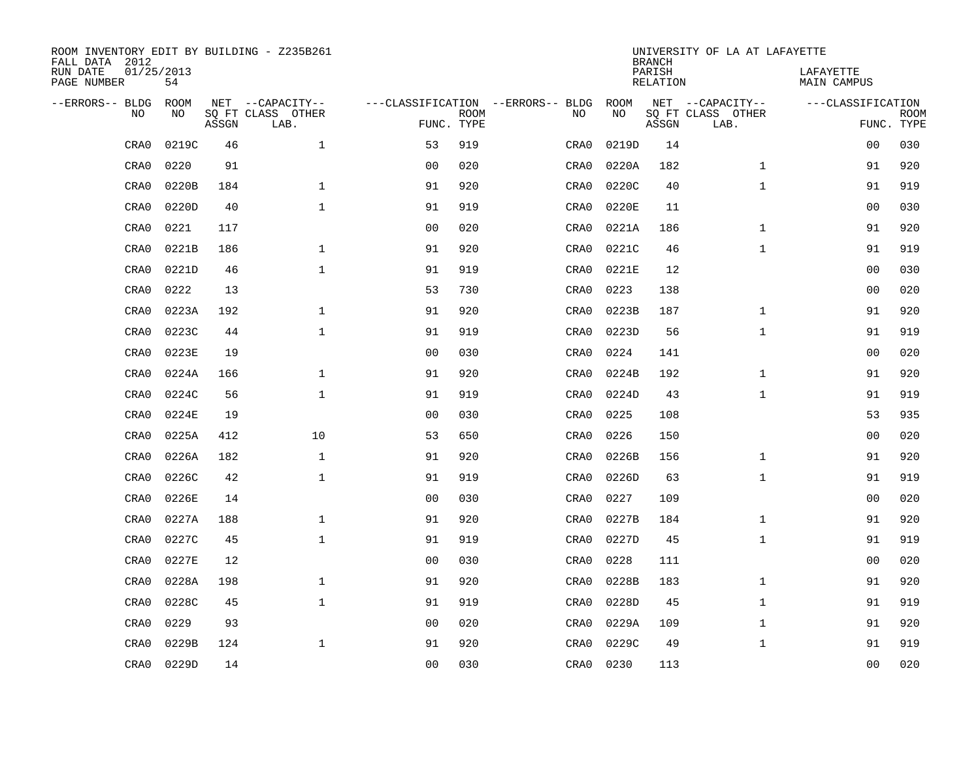| ROOM INVENTORY EDIT BY BUILDING - Z235B261<br>FALL DATA 2012 |                  |       |                           |                |             |                                   |           |       | <b>BRANCH</b>             | UNIVERSITY OF LA AT LAFAYETTE |                                 |             |
|--------------------------------------------------------------|------------------|-------|---------------------------|----------------|-------------|-----------------------------------|-----------|-------|---------------------------|-------------------------------|---------------------------------|-------------|
| RUN DATE<br>PAGE NUMBER                                      | 01/25/2013<br>54 |       |                           |                |             |                                   |           |       | PARISH<br><b>RELATION</b> |                               | LAFAYETTE<br><b>MAIN CAMPUS</b> |             |
| --ERRORS-- BLDG                                              | ROOM             |       | NET --CAPACITY--          |                |             | ---CLASSIFICATION --ERRORS-- BLDG |           | ROOM  |                           | NET --CAPACITY--              | ---CLASSIFICATION               |             |
| NO                                                           | NO               | ASSGN | SQ FT CLASS OTHER<br>LAB. | FUNC. TYPE     | <b>ROOM</b> | NO                                |           | NO    | ASSGN                     | SQ FT CLASS OTHER<br>LAB.     | FUNC. TYPE                      | <b>ROOM</b> |
| CRA0                                                         | 0219C            | 46    | $\mathbf{1}$              | 53             | 919         | CRA0                              |           | 0219D | 14                        |                               | 0 <sub>0</sub>                  | 030         |
| CRA0                                                         | 0220             | 91    |                           | 0 <sub>0</sub> | 020         | CRA0                              |           | 0220A | 182                       | $\mathbf{1}$                  | 91                              | 920         |
| CRA0                                                         | 0220B            | 184   | $\mathbf 1$               | 91             | 920         | CRA0                              |           | 0220C | 40                        | $\mathbf{1}$                  | 91                              | 919         |
| CRA0                                                         | 0220D            | 40    | $\mathbf 1$               | 91             | 919         | CRA0                              |           | 0220E | 11                        |                               | 00                              | 030         |
| CRA0                                                         | 0221             | 117   |                           | 00             | 020         | CRA0                              |           | 0221A | 186                       | $\mathbf{1}$                  | 91                              | 920         |
| CRA0                                                         | 0221B            | 186   | $\mathbf 1$               | 91             | 920         | CRA0                              |           | 0221C | 46                        | $\mathbf{1}$                  | 91                              | 919         |
| CRA0                                                         | 0221D            | 46    | $\mathbf 1$               | 91             | 919         | CRA0                              |           | 0221E | 12                        |                               | 00                              | 030         |
| CRA0                                                         | 0222             | 13    |                           | 53             | 730         | CRA0                              |           | 0223  | 138                       |                               | 0 <sub>0</sub>                  | 020         |
| CRA0                                                         | 0223A            | 192   | $\mathbf{1}$              | 91             | 920         | CRA0                              |           | 0223B | 187                       | $\mathbf{1}$                  | 91                              | 920         |
| CRA0                                                         | 0223C            | 44    | $\mathbf{1}$              | 91             | 919         | CRA0                              |           | 0223D | 56                        | $\mathbf{1}$                  | 91                              | 919         |
| CRA0                                                         | 0223E            | 19    |                           | 0 <sub>0</sub> | 030         | CRA0                              |           | 0224  | 141                       |                               | 0 <sub>0</sub>                  | 020         |
| CRA0                                                         | 0224A            | 166   | $\mathbf{1}$              | 91             | 920         | CRA0                              |           | 0224B | 192                       | $\mathbf{1}$                  | 91                              | 920         |
| CRA0                                                         | 0224C            | 56    | $\mathbf{1}$              | 91             | 919         | CRA0                              |           | 0224D | 43                        | $\mathbf{1}$                  | 91                              | 919         |
| CRA0                                                         | 0224E            | 19    |                           | 0 <sub>0</sub> | 030         | CRA0                              |           | 0225  | 108                       |                               | 53                              | 935         |
| CRA0                                                         | 0225A            | 412   | 10                        | 53             | 650         | CRA0                              |           | 0226  | 150                       |                               | 00                              | 020         |
| CRA0                                                         | 0226A            | 182   | $\mathbf 1$               | 91             | 920         | CRA0                              |           | 0226B | 156                       | $\mathbf{1}$                  | 91                              | 920         |
| CRA0                                                         | 0226C            | 42    | $\mathbf{1}$              | 91             | 919         | CRA0                              |           | 0226D | 63                        | $\mathbf{1}$                  | 91                              | 919         |
| CRA0                                                         | 0226E            | 14    |                           | 0 <sub>0</sub> | 030         | CRA0                              |           | 0227  | 109                       |                               | 00                              | 020         |
| CRA0                                                         | 0227A            | 188   | $\mathbf{1}$              | 91             | 920         | CRA0                              |           | 0227B | 184                       | $\mathbf{1}$                  | 91                              | 920         |
| CRA0                                                         | 0227C            | 45    | $\mathbf{1}$              | 91             | 919         | CRA0                              |           | 0227D | 45                        | $\mathbf{1}$                  | 91                              | 919         |
| CRA0                                                         | 0227E            | 12    |                           | 0 <sub>0</sub> | 030         | CRA0                              |           | 0228  | 111                       |                               | 0 <sub>0</sub>                  | 020         |
| CRA0                                                         | 0228A            | 198   | $\mathbf{1}$              | 91             | 920         | CRA0                              |           | 0228B | 183                       | $\mathbf{1}$                  | 91                              | 920         |
| CRA0                                                         | 0228C            | 45    | $\mathbf{1}$              | 91             | 919         | CRA0                              |           | 0228D | 45                        | $\mathbf{1}$                  | 91                              | 919         |
| CRA0                                                         | 0229             | 93    |                           | 0 <sub>0</sub> | 020         | CRA0                              |           | 0229A | 109                       | $\mathbf{1}$                  | 91                              | 920         |
| CRA0                                                         | 0229B            | 124   | $\mathbf 1$               | 91             | 920         | CRA0                              |           | 0229C | 49                        | $\mathbf{1}$                  | 91                              | 919         |
| CRA0                                                         | 0229D            | 14    |                           | 0 <sub>0</sub> | 030         |                                   | CRA0 0230 |       | 113                       |                               | 0 <sub>0</sub>                  | 020         |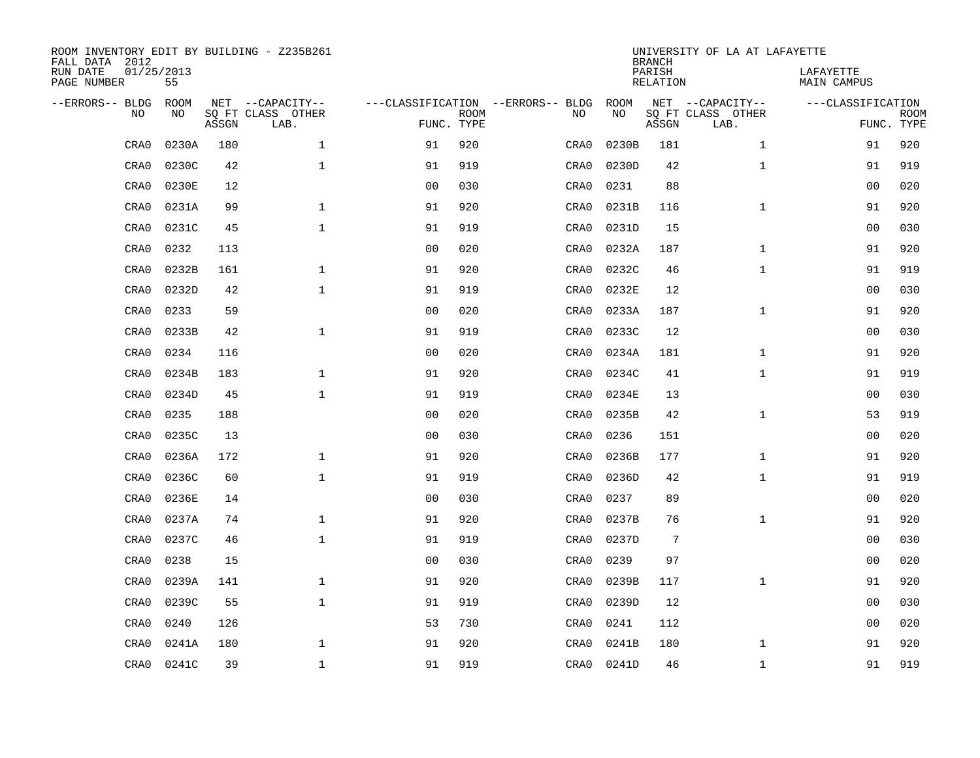| ROOM INVENTORY EDIT BY BUILDING - Z235B261<br>FALL DATA 2012 |                  |       |                           |                                   |             |      |       | <b>BRANCH</b>             | UNIVERSITY OF LA AT LAFAYETTE |                                 |             |
|--------------------------------------------------------------|------------------|-------|---------------------------|-----------------------------------|-------------|------|-------|---------------------------|-------------------------------|---------------------------------|-------------|
| RUN DATE<br>PAGE NUMBER                                      | 01/25/2013<br>55 |       |                           |                                   |             |      |       | PARISH<br><b>RELATION</b> |                               | LAFAYETTE<br><b>MAIN CAMPUS</b> |             |
| --ERRORS-- BLDG                                              | ROOM             |       | NET --CAPACITY--          | ---CLASSIFICATION --ERRORS-- BLDG |             |      | ROOM  |                           | NET --CAPACITY--              | ---CLASSIFICATION               |             |
| NO                                                           | NO               | ASSGN | SQ FT CLASS OTHER<br>LAB. | FUNC. TYPE                        | <b>ROOM</b> | NO   | NO    | ASSGN                     | SQ FT CLASS OTHER<br>LAB.     | FUNC. TYPE                      | <b>ROOM</b> |
| CRA0                                                         | 0230A            | 180   | $\mathbf 1$               | 91                                | 920         | CRA0 | 0230B | 181                       | $\mathbf{1}$                  | 91                              | 920         |
| CRA0                                                         | 0230C            | 42    | $\mathbf{1}$              | 91                                | 919         | CRA0 | 0230D | 42                        | $\mathbf{1}$                  | 91                              | 919         |
| CRA0                                                         | 0230E            | 12    |                           | 0 <sub>0</sub>                    | 030         | CRA0 | 0231  | 88                        |                               | 00                              | 020         |
| CRA0                                                         | 0231A            | 99    | $\mathbf 1$               | 91                                | 920         | CRA0 | 0231B | 116                       | $\mathbf{1}$                  | 91                              | 920         |
| CRA0                                                         | 0231C            | 45    | $\mathbf{1}$              | 91                                | 919         | CRA0 | 0231D | 15                        |                               | 0 <sub>0</sub>                  | 030         |
| CRA0                                                         | 0232             | 113   |                           | 0 <sub>0</sub>                    | 020         | CRA0 | 0232A | 187                       | $\mathbf{1}$                  | 91                              | 920         |
| CRA0                                                         | 0232B            | 161   | $\mathbf{1}$              | 91                                | 920         | CRA0 | 0232C | 46                        | $\mathbf{1}$                  | 91                              | 919         |
| CRA0                                                         | 0232D            | 42    | $\mathbf{1}$              | 91                                | 919         | CRA0 | 0232E | 12                        |                               | 0 <sub>0</sub>                  | 030         |
| CRA0                                                         | 0233             | 59    |                           | 0 <sub>0</sub>                    | 020         | CRA0 | 0233A | 187                       | $\mathbf{1}$                  | 91                              | 920         |
| CRA0                                                         | 0233B            | 42    | $\mathbf{1}$              | 91                                | 919         | CRA0 | 0233C | 12                        |                               | 0 <sub>0</sub>                  | 030         |
| CRA0                                                         | 0234             | 116   |                           | 0 <sub>0</sub>                    | 020         | CRA0 | 0234A | 181                       | $\mathbf{1}$                  | 91                              | 920         |
| CRA0                                                         | 0234B            | 183   | $\mathbf{1}$              | 91                                | 920         | CRA0 | 0234C | 41                        | $\mathbf{1}$                  | 91                              | 919         |
| CRA0                                                         | 0234D            | 45    | $\mathbf{1}$              | 91                                | 919         | CRA0 | 0234E | 13                        |                               | 00                              | 030         |
| CRA0                                                         | 0235             | 188   |                           | 0 <sub>0</sub>                    | 020         | CRA0 | 0235B | 42                        | $\mathbf{1}$                  | 53                              | 919         |
| CRA0                                                         | 0235C            | 13    |                           | 0 <sub>0</sub>                    | 030         | CRA0 | 0236  | 151                       |                               | 00                              | 020         |
| CRA0                                                         | 0236A            | 172   | $\mathbf 1$               | 91                                | 920         | CRA0 | 0236B | 177                       | $\mathbf{1}$                  | 91                              | 920         |
| CRA0                                                         | 0236C            | 60    | $\mathbf{1}$              | 91                                | 919         | CRA0 | 0236D | 42                        | $\mathbf{1}$                  | 91                              | 919         |
| CRA0                                                         | 0236E            | 14    |                           | 0 <sub>0</sub>                    | 030         | CRA0 | 0237  | 89                        |                               | 0 <sub>0</sub>                  | 020         |
| CRA0                                                         | 0237A            | 74    | $\mathbf{1}$              | 91                                | 920         | CRA0 | 0237B | 76                        | $\mathbf{1}$                  | 91                              | 920         |
| CRA0                                                         | 0237C            | 46    | $\mathbf 1$               | 91                                | 919         | CRA0 | 0237D | $7\phantom{.0}$           |                               | 00                              | 030         |
| CRA0                                                         | 0238             | 15    |                           | 0 <sub>0</sub>                    | 030         | CRA0 | 0239  | 97                        |                               | 00                              | 020         |
| CRA0                                                         | 0239A            | 141   | $\mathbf 1$               | 91                                | 920         | CRA0 | 0239B | 117                       | $\mathbf{1}$                  | 91                              | 920         |
| CRA0                                                         | 0239C            | 55    | $\mathbf 1$               | 91                                | 919         | CRA0 | 0239D | 12                        |                               | 00                              | 030         |
| CRA0                                                         | 0240             | 126   |                           | 53                                | 730         | CRA0 | 0241  | 112                       |                               | 00                              | 020         |
| CRA0                                                         | 0241A            | 180   | $\mathbf 1$               | 91                                | 920         | CRA0 | 0241B | 180                       | $\mathbf{1}$                  | 91                              | 920         |
| CRA0                                                         | 0241C            | 39    | $\mathbf{1}$              | 91                                | 919         | CRA0 | 0241D | 46                        | $\mathbf{1}$                  | 91                              | 919         |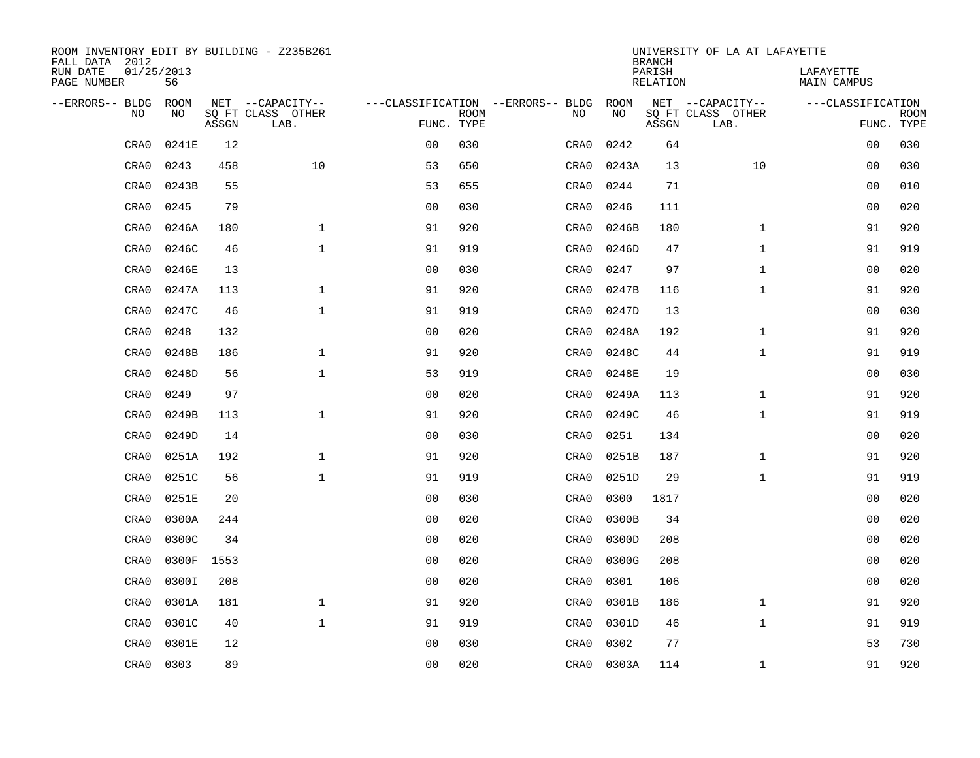| ROOM INVENTORY EDIT BY BUILDING - Z235B261<br>FALL DATA 2012 |                  |       |                           |                                   |             |      |       | <b>BRANCH</b>             | UNIVERSITY OF LA AT LAFAYETTE |                                 |             |
|--------------------------------------------------------------|------------------|-------|---------------------------|-----------------------------------|-------------|------|-------|---------------------------|-------------------------------|---------------------------------|-------------|
| RUN DATE<br>PAGE NUMBER                                      | 01/25/2013<br>56 |       |                           |                                   |             |      |       | PARISH<br><b>RELATION</b> |                               | LAFAYETTE<br><b>MAIN CAMPUS</b> |             |
| --ERRORS-- BLDG                                              | ROOM             |       | NET --CAPACITY--          | ---CLASSIFICATION --ERRORS-- BLDG |             |      | ROOM  |                           | NET --CAPACITY--              | ---CLASSIFICATION               |             |
| NO                                                           | NO               | ASSGN | SQ FT CLASS OTHER<br>LAB. | FUNC. TYPE                        | <b>ROOM</b> | NO   | NO    | ASSGN                     | SQ FT CLASS OTHER<br>LAB.     | FUNC. TYPE                      | <b>ROOM</b> |
| CRA0                                                         | 0241E            | 12    |                           | 0 <sub>0</sub>                    | 030         | CRA0 | 0242  | 64                        |                               | 00                              | 030         |
| CRA0                                                         | 0243             | 458   | 10                        | 53                                | 650         | CRA0 | 0243A | 13                        | 10                            | 00                              | 030         |
| CRA0                                                         | 0243B            | 55    |                           | 53                                | 655         | CRA0 | 0244  | 71                        |                               | 00                              | 010         |
| CRA0                                                         | 0245             | 79    |                           | 0 <sub>0</sub>                    | 030         | CRA0 | 0246  | 111                       |                               | 0 <sub>0</sub>                  | 020         |
| CRA0                                                         | 0246A            | 180   | $\mathbf{1}$              | 91                                | 920         | CRA0 | 0246B | 180                       | $\mathbf{1}$                  | 91                              | 920         |
| CRA0                                                         | 0246C            | 46    | $\mathbf{1}$              | 91                                | 919         | CRA0 | 0246D | 47                        | $\mathbf{1}$                  | 91                              | 919         |
| CRA0                                                         | 0246E            | 13    |                           | 0 <sub>0</sub>                    | 030         | CRA0 | 0247  | 97                        | $\mathbf{1}$                  | 00                              | 020         |
| CRA0                                                         | 0247A            | 113   | $\mathbf{1}$              | 91                                | 920         | CRA0 | 0247B | 116                       | $\mathbf{1}$                  | 91                              | 920         |
| CRA0                                                         | 0247C            | 46    | $\mathbf{1}$              | 91                                | 919         | CRA0 | 0247D | 13                        |                               | 0 <sub>0</sub>                  | 030         |
| CRA0                                                         | 0248             | 132   |                           | 0 <sub>0</sub>                    | 020         | CRA0 | 0248A | 192                       | $\mathbf{1}$                  | 91                              | 920         |
| CRA0                                                         | 0248B            | 186   | $\mathbf{1}$              | 91                                | 920         | CRA0 | 0248C | 44                        | $\mathbf{1}$                  | 91                              | 919         |
| CRA0                                                         | 0248D            | 56    | $\mathbf{1}$              | 53                                | 919         | CRA0 | 0248E | 19                        |                               | 0 <sub>0</sub>                  | 030         |
| CRA0                                                         | 0249             | 97    |                           | 0 <sub>0</sub>                    | 020         | CRA0 | 0249A | 113                       | $\mathbf{1}$                  | 91                              | 920         |
| CRA0                                                         | 0249B            | 113   | $\mathbf 1$               | 91                                | 920         | CRA0 | 0249C | 46                        | $\mathbf{1}$                  | 91                              | 919         |
| CRA0                                                         | 0249D            | 14    |                           | 0 <sub>0</sub>                    | 030         | CRA0 | 0251  | 134                       |                               | 00                              | 020         |
| CRA0                                                         | 0251A            | 192   | $\mathbf{1}$              | 91                                | 920         | CRA0 | 0251B | 187                       | $\mathbf{1}$                  | 91                              | 920         |
| CRA0                                                         | 0251C            | 56    | $\mathbf 1$               | 91                                | 919         | CRA0 | 0251D | 29                        | $\mathbf{1}$                  | 91                              | 919         |
| CRA0                                                         | 0251E            | 20    |                           | 0 <sub>0</sub>                    | 030         | CRA0 | 0300  | 1817                      |                               | 0 <sub>0</sub>                  | 020         |
| CRA0                                                         | 0300A            | 244   |                           | 0 <sub>0</sub>                    | 020         | CRA0 | 0300B | 34                        |                               | 0 <sub>0</sub>                  | 020         |
| CRA0                                                         | 0300C            | 34    |                           | 0 <sub>0</sub>                    | 020         | CRA0 | 0300D | 208                       |                               | 00                              | 020         |
| CRA0                                                         | 0300F            | 1553  |                           | 0 <sub>0</sub>                    | 020         | CRA0 | 0300G | 208                       |                               | 00                              | 020         |
| CRA0                                                         | 0300I            | 208   |                           | 00                                | 020         | CRA0 | 0301  | 106                       |                               | 00                              | 020         |
| CRA0                                                         | 0301A            | 181   | $\mathbf{1}$              | 91                                | 920         | CRA0 | 0301B | 186                       | $\mathbf{1}$                  | 91                              | 920         |
| CRA0                                                         | 0301C            | 40    | $\mathbf{1}$              | 91                                | 919         | CRA0 | 0301D | 46                        | $\mathbf{1}$                  | 91                              | 919         |
| CRA0                                                         | 0301E            | 12    |                           | 0 <sub>0</sub>                    | 030         | CRA0 | 0302  | 77                        |                               | 53                              | 730         |
| CRA0                                                         | 0303             | 89    |                           | 0 <sub>0</sub>                    | 020         | CRA0 | 0303A | 114                       | $\mathbf{1}$                  | 91                              | 920         |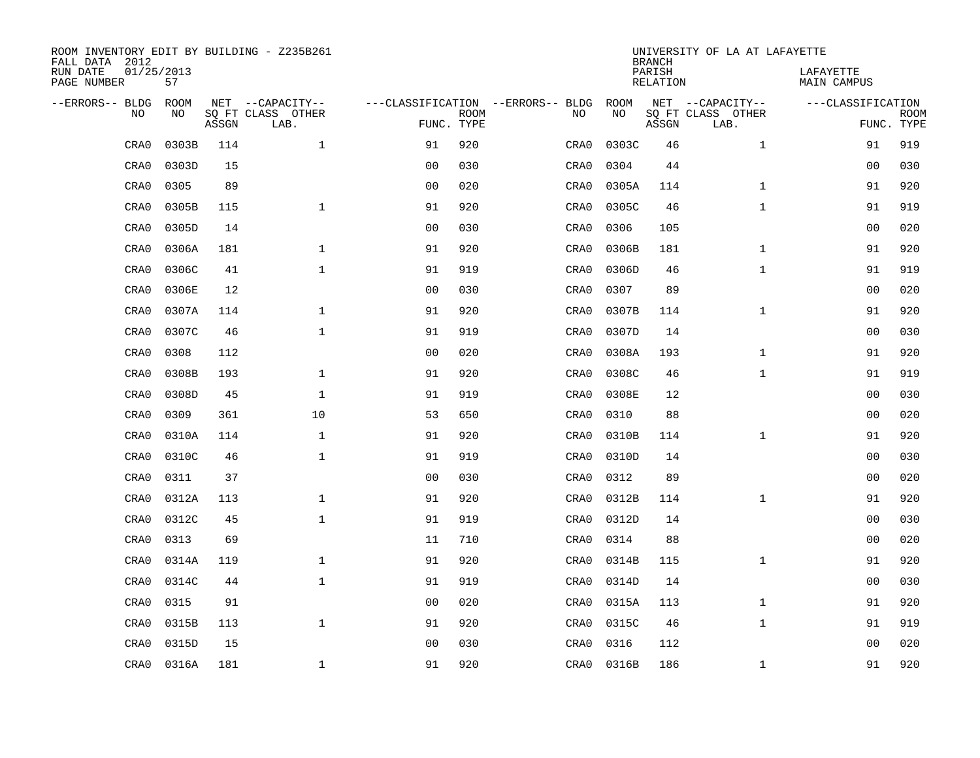| ROOM INVENTORY EDIT BY BUILDING - Z235B261<br>FALL DATA 2012 |                  |       |                           |                                   |             |      |       | <b>BRANCH</b>             | UNIVERSITY OF LA AT LAFAYETTE |                                 |             |
|--------------------------------------------------------------|------------------|-------|---------------------------|-----------------------------------|-------------|------|-------|---------------------------|-------------------------------|---------------------------------|-------------|
| RUN DATE<br>PAGE NUMBER                                      | 01/25/2013<br>57 |       |                           |                                   |             |      |       | PARISH<br><b>RELATION</b> |                               | LAFAYETTE<br><b>MAIN CAMPUS</b> |             |
| --ERRORS-- BLDG                                              | ROOM             |       | NET --CAPACITY--          | ---CLASSIFICATION --ERRORS-- BLDG |             |      | ROOM  |                           | NET --CAPACITY--              | ---CLASSIFICATION               |             |
| NO                                                           | NO               | ASSGN | SQ FT CLASS OTHER<br>LAB. | FUNC. TYPE                        | <b>ROOM</b> | NO   | NO    | ASSGN                     | SQ FT CLASS OTHER<br>LAB.     | FUNC. TYPE                      | <b>ROOM</b> |
| CRA0                                                         | 0303B            | 114   | $\mathbf 1$               | 91                                | 920         | CRA0 | 0303C | 46                        | $\mathbf{1}$                  | 91                              | 919         |
| CRA0                                                         | 0303D            | 15    |                           | 0 <sub>0</sub>                    | 030         | CRA0 | 0304  | 44                        |                               | 00                              | 030         |
| CRA0                                                         | 0305             | 89    |                           | 0 <sub>0</sub>                    | 020         | CRA0 | 0305A | 114                       | $\mathbf{1}$                  | 91                              | 920         |
| CRA0                                                         | 0305B            | 115   | $\mathbf 1$               | 91                                | 920         | CRA0 | 0305C | 46                        | $\mathbf{1}$                  | 91                              | 919         |
| CRA0                                                         | 0305D            | 14    |                           | 0 <sub>0</sub>                    | 030         | CRA0 | 0306  | 105                       |                               | 0 <sub>0</sub>                  | 020         |
| CRA0                                                         | 0306A            | 181   | $\mathbf{1}$              | 91                                | 920         | CRA0 | 0306B | 181                       | $\mathbf{1}$                  | 91                              | 920         |
| CRA0                                                         | 0306C            | 41    | $\mathbf{1}$              | 91                                | 919         | CRA0 | 0306D | 46                        | $\mathbf{1}$                  | 91                              | 919         |
| CRA0                                                         | 0306E            | 12    |                           | 0 <sub>0</sub>                    | 030         | CRA0 | 0307  | 89                        |                               | 0 <sub>0</sub>                  | 020         |
| CRA0                                                         | 0307A            | 114   | $\mathbf{1}$              | 91                                | 920         | CRA0 | 0307B | 114                       | $\mathbf{1}$                  | 91                              | 920         |
| CRA0                                                         | 0307C            | 46    | $\mathbf{1}$              | 91                                | 919         | CRA0 | 0307D | 14                        |                               | 0 <sub>0</sub>                  | 030         |
| CRA0                                                         | 0308             | 112   |                           | 0 <sub>0</sub>                    | 020         | CRA0 | 0308A | 193                       | $\mathbf{1}$                  | 91                              | 920         |
| CRA0                                                         | 0308B            | 193   | $\mathbf{1}$              | 91                                | 920         | CRA0 | 0308C | 46                        | $\mathbf{1}$                  | 91                              | 919         |
| CRA0                                                         | 0308D            | 45    | $\mathbf 1$               | 91                                | 919         | CRA0 | 0308E | 12                        |                               | 0 <sub>0</sub>                  | 030         |
| CRA0                                                         | 0309             | 361   | 10                        | 53                                | 650         | CRA0 | 0310  | 88                        |                               | 00                              | 020         |
| CRA0                                                         | 0310A            | 114   | $\mathbf 1$               | 91                                | 920         | CRA0 | 0310B | 114                       | $\mathbf{1}$                  | 91                              | 920         |
| CRA0                                                         | 0310C            | 46    | $\mathbf{1}$              | 91                                | 919         | CRA0 | 0310D | 14                        |                               | 00                              | 030         |
| CRA0                                                         | 0311             | 37    |                           | 0 <sub>0</sub>                    | 030         | CRA0 | 0312  | 89                        |                               | 00                              | 020         |
| CRA0                                                         | 0312A            | 113   | $\mathbf 1$               | 91                                | 920         | CRA0 | 0312B | 114                       | $\mathbf{1}$                  | 91                              | 920         |
| CRA0                                                         | 0312C            | 45    | $\mathbf{1}$              | 91                                | 919         | CRA0 | 0312D | 14                        |                               | 0 <sub>0</sub>                  | 030         |
| CRA0                                                         | 0313             | 69    |                           | 11                                | 710         | CRA0 | 0314  | 88                        |                               | 00                              | 020         |
| CRA0                                                         | 0314A            | 119   | 1                         | 91                                | 920         | CRA0 | 0314B | 115                       | $\mathbf{1}$                  | 91                              | 920         |
| CRA0                                                         | 0314C            | 44    | $\mathbf 1$               | 91                                | 919         | CRA0 | 0314D | 14                        |                               | 00                              | 030         |
| CRA0                                                         | 0315             | 91    |                           | 0 <sub>0</sub>                    | 020         | CRA0 | 0315A | 113                       | $\mathbf{1}$                  | 91                              | 920         |
| CRA0                                                         | 0315B            | 113   | $\mathbf{1}$              | 91                                | 920         | CRA0 | 0315C | 46                        | $\mathbf{1}$                  | 91                              | 919         |
| CRA0                                                         | 0315D            | 15    |                           | 0 <sub>0</sub>                    | 030         | CRA0 | 0316  | 112                       |                               | 00                              | 020         |
| CRA0                                                         | 0316A            | 181   | $\mathbf 1$               | 91                                | 920         | CRA0 | 0316B | 186                       | $\mathbf{1}$                  | 91                              | 920         |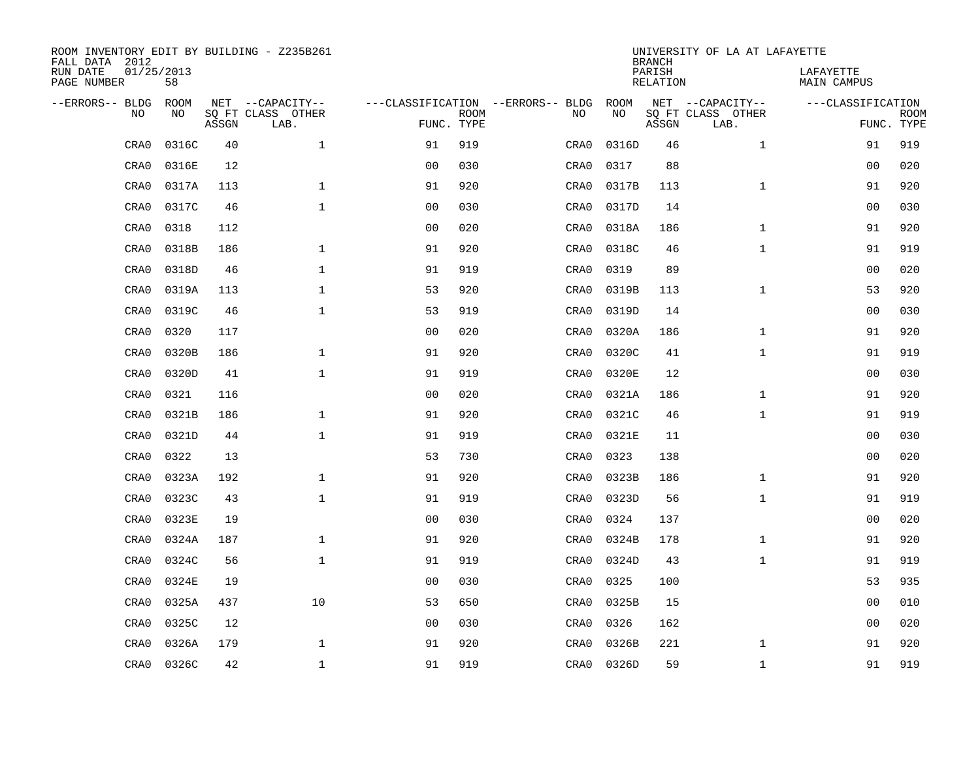| ROOM INVENTORY EDIT BY BUILDING - Z235B261<br>FALL DATA 2012 |                  |       |                           |                |             |                                   |      |       | <b>BRANCH</b>             | UNIVERSITY OF LA AT LAFAYETTE |                                 |             |
|--------------------------------------------------------------|------------------|-------|---------------------------|----------------|-------------|-----------------------------------|------|-------|---------------------------|-------------------------------|---------------------------------|-------------|
| RUN DATE<br>PAGE NUMBER                                      | 01/25/2013<br>58 |       |                           |                |             |                                   |      |       | PARISH<br><b>RELATION</b> |                               | LAFAYETTE<br><b>MAIN CAMPUS</b> |             |
| --ERRORS-- BLDG                                              | ROOM             |       | NET --CAPACITY--          |                |             | ---CLASSIFICATION --ERRORS-- BLDG |      | ROOM  |                           | NET --CAPACITY--              | ---CLASSIFICATION               |             |
| NO                                                           | NO               | ASSGN | SQ FT CLASS OTHER<br>LAB. | FUNC. TYPE     | <b>ROOM</b> |                                   | NO   | NO    | ASSGN                     | SQ FT CLASS OTHER<br>LAB.     | FUNC. TYPE                      | <b>ROOM</b> |
| CRA0                                                         | 0316C            | 40    | $\mathbf{1}$              | 91             | 919         |                                   | CRA0 | 0316D | 46                        | $\mathbf{1}$                  | 91                              | 919         |
| CRA0                                                         | 0316E            | 12    |                           | 0 <sub>0</sub> | 030         |                                   | CRA0 | 0317  | 88                        |                               | 00                              | 020         |
| CRA0                                                         | 0317A            | 113   | $\mathbf 1$               | 91             | 920         |                                   | CRA0 | 0317B | 113                       | $\mathbf{1}$                  | 91                              | 920         |
| CRA0                                                         | 0317C            | 46    | $\mathbf 1$               | 0 <sub>0</sub> | 030         |                                   | CRA0 | 0317D | 14                        |                               | 0 <sub>0</sub>                  | 030         |
| CRA0                                                         | 0318             | 112   |                           | 0 <sub>0</sub> | 020         |                                   | CRA0 | 0318A | 186                       | $\mathbf{1}$                  | 91                              | 920         |
| CRA0                                                         | 0318B            | 186   | $\mathbf{1}$              | 91             | 920         |                                   | CRA0 | 0318C | 46                        | $\mathbf{1}$                  | 91                              | 919         |
| CRA0                                                         | 0318D            | 46    | $\mathbf{1}$              | 91             | 919         |                                   | CRA0 | 0319  | 89                        |                               | 00                              | 020         |
| CRA0                                                         | 0319A            | 113   | $\mathbf 1$               | 53             | 920         |                                   | CRA0 | 0319B | 113                       | $\mathbf{1}$                  | 53                              | 920         |
| CRA0                                                         | 0319C            | 46    | $\mathbf{1}$              | 53             | 919         |                                   | CRA0 | 0319D | 14                        |                               | 0 <sub>0</sub>                  | 030         |
| CRA0                                                         | 0320             | 117   |                           | 0 <sub>0</sub> | 020         |                                   | CRA0 | 0320A | 186                       | $\mathbf{1}$                  | 91                              | 920         |
| CRA0                                                         | 0320B            | 186   | $\mathbf{1}$              | 91             | 920         |                                   | CRA0 | 0320C | 41                        | $\mathbf{1}$                  | 91                              | 919         |
| CRA0                                                         | 0320D            | 41    | $\mathbf{1}$              | 91             | 919         |                                   | CRA0 | 0320E | 12                        |                               | 0 <sub>0</sub>                  | 030         |
| CRA0                                                         | 0321             | 116   |                           | 0 <sub>0</sub> | 020         |                                   | CRA0 | 0321A | 186                       | $\mathbf{1}$                  | 91                              | 920         |
| CRA0                                                         | 0321B            | 186   | $\mathbf 1$               | 91             | 920         |                                   | CRA0 | 0321C | 46                        | $\mathbf{1}$                  | 91                              | 919         |
| CRA0                                                         | 0321D            | 44    | $\mathbf{1}$              | 91             | 919         |                                   | CRA0 | 0321E | 11                        |                               | 00                              | 030         |
| CRA0                                                         | 0322             | 13    |                           | 53             | 730         |                                   | CRA0 | 0323  | 138                       |                               | 00                              | 020         |
| CRA0                                                         | 0323A            | 192   | $\mathbf{1}$              | 91             | 920         |                                   | CRA0 | 0323B | 186                       | $\mathbf{1}$                  | 91                              | 920         |
| CRA0                                                         | 0323C            | 43    | $\mathbf{1}$              | 91             | 919         |                                   | CRA0 | 0323D | 56                        | $\mathbf{1}$                  | 91                              | 919         |
| CRA0                                                         | 0323E            | 19    |                           | 0 <sub>0</sub> | 030         |                                   | CRA0 | 0324  | 137                       |                               | 0 <sub>0</sub>                  | 020         |
| CRA0                                                         | 0324A            | 187   | $\mathbf 1$               | 91             | 920         |                                   | CRA0 | 0324B | 178                       | $\mathbf{1}$                  | 91                              | 920         |
| CRA0                                                         | 0324C            | 56    | $\mathbf{1}$              | 91             | 919         |                                   | CRA0 | 0324D | 43                        | $\mathbf{1}$                  | 91                              | 919         |
| CRA0                                                         | 0324E            | 19    |                           | 0 <sub>0</sub> | 030         |                                   | CRA0 | 0325  | 100                       |                               | 53                              | 935         |
| CRA0                                                         | 0325A            | 437   | 10                        | 53             | 650         |                                   | CRA0 | 0325B | 15                        |                               | 0 <sub>0</sub>                  | 010         |
| CRA0                                                         | 0325C            | 12    |                           | 0 <sub>0</sub> | 030         |                                   | CRA0 | 0326  | 162                       |                               | 00                              | 020         |
| CRA0                                                         | 0326A            | 179   | $\mathbf 1$               | 91             | 920         |                                   | CRA0 | 0326B | 221                       | $\mathbf{1}$                  | 91                              | 920         |
| CRA0                                                         | 0326C            | 42    | $\mathbf{1}$              | 91             | 919         |                                   | CRA0 | 0326D | 59                        | $\mathbf{1}$                  | 91                              | 919         |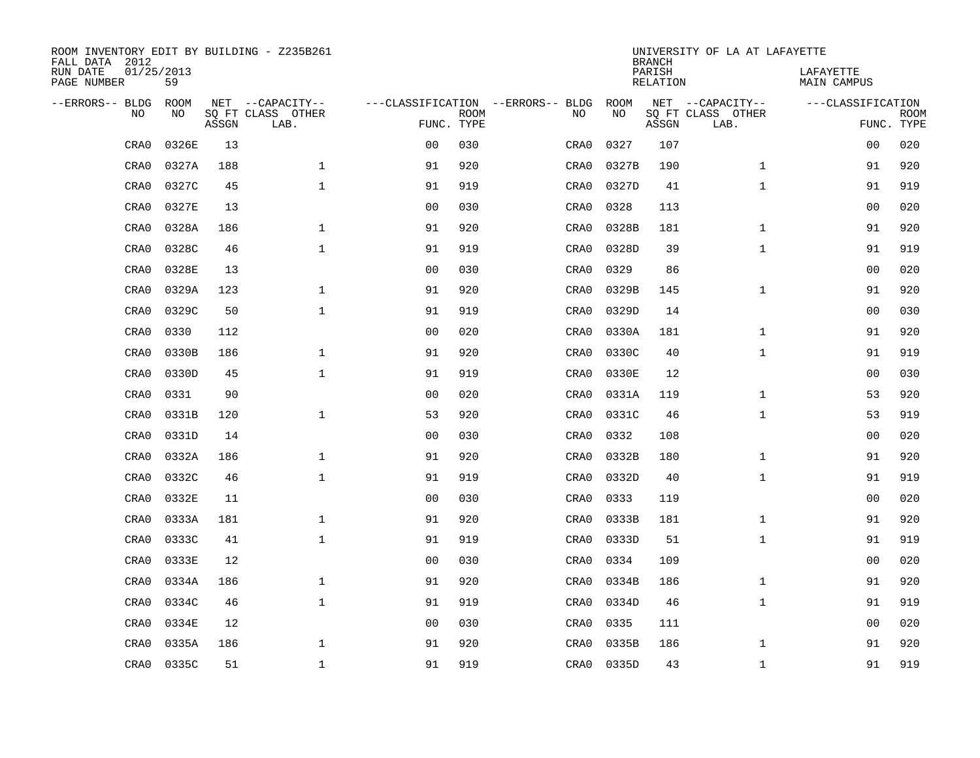| ROOM INVENTORY EDIT BY BUILDING - Z235B261<br>FALL DATA 2012 |                  |       |                           |                                   |             |      |       | <b>BRANCH</b>             | UNIVERSITY OF LA AT LAFAYETTE |                                 |             |
|--------------------------------------------------------------|------------------|-------|---------------------------|-----------------------------------|-------------|------|-------|---------------------------|-------------------------------|---------------------------------|-------------|
| RUN DATE<br>PAGE NUMBER                                      | 01/25/2013<br>59 |       |                           |                                   |             |      |       | PARISH<br><b>RELATION</b> |                               | LAFAYETTE<br><b>MAIN CAMPUS</b> |             |
| --ERRORS-- BLDG                                              | ROOM             |       | NET --CAPACITY--          | ---CLASSIFICATION --ERRORS-- BLDG |             |      | ROOM  |                           | NET --CAPACITY--              | ---CLASSIFICATION               |             |
| NO                                                           | NO               | ASSGN | SQ FT CLASS OTHER<br>LAB. | FUNC. TYPE                        | <b>ROOM</b> | NO   | NO    | ASSGN                     | SQ FT CLASS OTHER<br>LAB.     | FUNC. TYPE                      | <b>ROOM</b> |
| CRA0                                                         | 0326E            | 13    |                           | 0 <sub>0</sub>                    | 030         | CRA0 | 0327  | 107                       |                               | 00                              | 020         |
| CRA0                                                         | 0327A            | 188   | $\mathbf 1$               | 91                                | 920         | CRA0 | 0327B | 190                       | $\mathbf{1}$                  | 91                              | 920         |
| CRA0                                                         | 0327C            | 45    | $\mathbf{1}$              | 91                                | 919         | CRA0 | 0327D | 41                        | $\mathbf{1}$                  | 91                              | 919         |
| CRA0                                                         | 0327E            | 13    |                           | 0 <sub>0</sub>                    | 030         | CRA0 | 0328  | 113                       |                               | 00                              | 020         |
| CRA0                                                         | 0328A            | 186   | $\mathbf{1}$              | 91                                | 920         | CRA0 | 0328B | 181                       | $\mathbf{1}$                  | 91                              | 920         |
| CRA0                                                         | 0328C            | 46    | $\mathbf{1}$              | 91                                | 919         | CRA0 | 0328D | 39                        | $\mathbf{1}$                  | 91                              | 919         |
| CRA0                                                         | 0328E            | 13    |                           | 0 <sub>0</sub>                    | 030         | CRA0 | 0329  | 86                        |                               | 00                              | 020         |
| CRA0                                                         | 0329A            | 123   | $\mathbf{1}$              | 91                                | 920         | CRA0 | 0329B | 145                       | $\mathbf{1}$                  | 91                              | 920         |
| CRA0                                                         | 0329C            | 50    | $\mathbf{1}$              | 91                                | 919         | CRA0 | 0329D | 14                        |                               | 00                              | 030         |
| CRA0                                                         | 0330             | 112   |                           | 0 <sub>0</sub>                    | 020         | CRA0 | 0330A | 181                       | $\mathbf{1}$                  | 91                              | 920         |
| CRA0                                                         | 0330B            | 186   | $\mathbf{1}$              | 91                                | 920         | CRA0 | 0330C | 40                        | $\mathbf{1}$                  | 91                              | 919         |
| CRA0                                                         | 0330D            | 45    | $\mathbf{1}$              | 91                                | 919         | CRA0 | 0330E | 12                        |                               | 0 <sub>0</sub>                  | 030         |
| CRA0                                                         | 0331             | 90    |                           | 0 <sub>0</sub>                    | 020         | CRA0 | 0331A | 119                       | $\mathbf{1}$                  | 53                              | 920         |
| CRA0                                                         | 0331B            | 120   | $\mathbf{1}$              | 53                                | 920         | CRA0 | 0331C | 46                        | $\mathbf{1}$                  | 53                              | 919         |
| CRA0                                                         | 0331D            | 14    |                           | 0 <sub>0</sub>                    | 030         | CRA0 | 0332  | 108                       |                               | 00                              | 020         |
| CRA0                                                         | 0332A            | 186   | $\mathbf{1}$              | 91                                | 920         | CRA0 | 0332B | 180                       | $\mathbf{1}$                  | 91                              | 920         |
| CRA0                                                         | 0332C            | 46    | $\mathbf{1}$              | 91                                | 919         | CRA0 | 0332D | 40                        | $\mathbf{1}$                  | 91                              | 919         |
| CRA0                                                         | 0332E            | 11    |                           | 0 <sub>0</sub>                    | 030         | CRA0 | 0333  | 119                       |                               | 0 <sub>0</sub>                  | 020         |
| CRA0                                                         | 0333A            | 181   | $\mathbf 1$               | 91                                | 920         | CRA0 | 0333B | 181                       | $\mathbf{1}$                  | 91                              | 920         |
| CRA0                                                         | 0333C            | 41    | $\mathbf 1$               | 91                                | 919         | CRA0 | 0333D | 51                        | $\mathbf{1}$                  | 91                              | 919         |
| CRA0                                                         | 0333E            | 12    |                           | 0 <sub>0</sub>                    | 030         | CRA0 | 0334  | 109                       |                               | 00                              | 020         |
| CRA0                                                         | 0334A            | 186   | $\mathbf 1$               | 91                                | 920         | CRA0 | 0334B | 186                       | $\mathbf{1}$                  | 91                              | 920         |
| CRA0                                                         | 0334C            | 46    | $\mathbf 1$               | 91                                | 919         | CRA0 | 0334D | 46                        | $\mathbf{1}$                  | 91                              | 919         |
| CRA0                                                         | 0334E            | 12    |                           | 0 <sub>0</sub>                    | 030         | CRA0 | 0335  | 111                       |                               | 00                              | 020         |
| CRA0                                                         | 0335A            | 186   | $\mathbf 1$               | 91                                | 920         | CRA0 | 0335B | 186                       | $\mathbf{1}$                  | 91                              | 920         |
| CRA0                                                         | 0335C            | 51    | $\mathbf{1}$              | 91                                | 919         | CRA0 | 0335D | 43                        | $\mathbf{1}$                  | 91                              | 919         |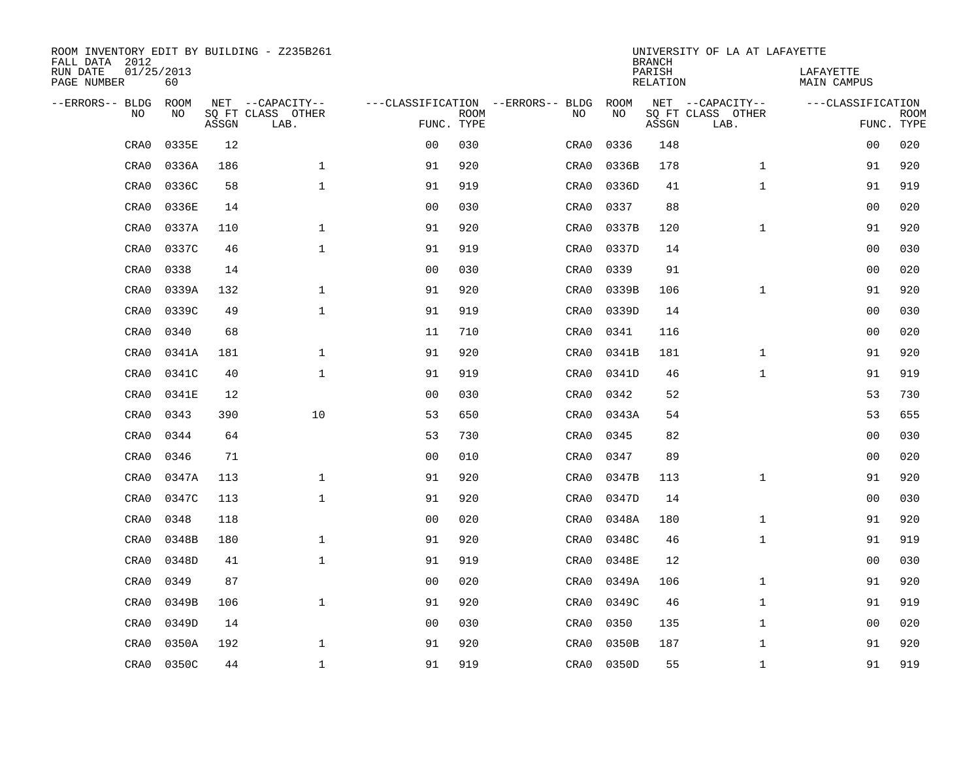| ROOM INVENTORY EDIT BY BUILDING - Z235B261<br>FALL DATA 2012 |                  |       |                           |                |             |                                   |      |       | <b>BRANCH</b>             | UNIVERSITY OF LA AT LAFAYETTE |                                 |             |
|--------------------------------------------------------------|------------------|-------|---------------------------|----------------|-------------|-----------------------------------|------|-------|---------------------------|-------------------------------|---------------------------------|-------------|
| RUN DATE<br>PAGE NUMBER                                      | 01/25/2013<br>60 |       |                           |                |             |                                   |      |       | PARISH<br><b>RELATION</b> |                               | LAFAYETTE<br><b>MAIN CAMPUS</b> |             |
| --ERRORS-- BLDG                                              | ROOM             |       | NET --CAPACITY--          |                |             | ---CLASSIFICATION --ERRORS-- BLDG |      | ROOM  |                           | NET --CAPACITY--              | ---CLASSIFICATION               |             |
| NO                                                           | NO               | ASSGN | SQ FT CLASS OTHER<br>LAB. | FUNC. TYPE     | <b>ROOM</b> | NO                                |      | NO    | ASSGN                     | SQ FT CLASS OTHER<br>LAB.     | FUNC. TYPE                      | <b>ROOM</b> |
| CRA0                                                         | 0335E            | 12    |                           | 0 <sub>0</sub> | 030         | CRA0                              |      | 0336  | 148                       |                               | 00                              | 020         |
| CRA0                                                         | 0336A            | 186   | $\mathbf 1$               | 91             | 920         | CRA0                              |      | 0336B | 178                       | $\mathbf{1}$                  | 91                              | 920         |
| CRA0                                                         | 0336C            | 58    | $\mathbf 1$               | 91             | 919         | CRA0                              |      | 0336D | 41                        | $\mathbf{1}$                  | 91                              | 919         |
| CRA0                                                         | 0336E            | 14    |                           | 0 <sub>0</sub> | 030         | CRA0                              |      | 0337  | 88                        |                               | 00                              | 020         |
| CRA0                                                         | 0337A            | 110   | $\mathbf{1}$              | 91             | 920         | CRA0                              |      | 0337B | 120                       | $\mathbf{1}$                  | 91                              | 920         |
| CRA0                                                         | 0337C            | 46    | $\mathbf{1}$              | 91             | 919         | CRA0                              |      | 0337D | 14                        |                               | 0 <sub>0</sub>                  | 030         |
| CRA0                                                         | 0338             | 14    |                           | 0 <sub>0</sub> | 030         | CRA0                              |      | 0339  | 91                        |                               | 00                              | 020         |
| CRA0                                                         | 0339A            | 132   | $\mathbf{1}$              | 91             | 920         | CRA0                              |      | 0339B | 106                       | $\mathbf{1}$                  | 91                              | 920         |
| CRA0                                                         | 0339C            | 49    | $\mathbf{1}$              | 91             | 919         | CRA0                              |      | 0339D | 14                        |                               | 00                              | 030         |
| CRA0                                                         | 0340             | 68    |                           | 11             | 710         | CRA0                              |      | 0341  | 116                       |                               | 0 <sub>0</sub>                  | 020         |
| CRA0                                                         | 0341A            | 181   | $\mathbf{1}$              | 91             | 920         | CRA0                              |      | 0341B | 181                       | $\mathbf{1}$                  | 91                              | 920         |
| CRA0                                                         | 0341C            | 40    | $\mathbf{1}$              | 91             | 919         | CRA0                              |      | 0341D | 46                        | $\mathbf{1}$                  | 91                              | 919         |
| CRA0                                                         | 0341E            | 12    |                           | 0 <sub>0</sub> | 030         | CRA0                              |      | 0342  | 52                        |                               | 53                              | 730         |
| CRA0                                                         | 0343             | 390   | 10                        | 53             | 650         | CRA0                              |      | 0343A | 54                        |                               | 53                              | 655         |
| CRA0                                                         | 0344             | 64    |                           | 53             | 730         | CRA0                              |      | 0345  | 82                        |                               | 00                              | 030         |
| CRA0                                                         | 0346             | 71    |                           | 0 <sub>0</sub> | 010         | CRA0                              |      | 0347  | 89                        |                               | 00                              | 020         |
| CRA0                                                         | 0347A            | 113   | $\mathbf{1}$              | 91             | 920         | CRA0                              |      | 0347B | 113                       | $\mathbf{1}$                  | 91                              | 920         |
| CRA0                                                         | 0347C            | 113   | $\mathbf{1}$              | 91             | 920         | CRA0                              |      | 0347D | 14                        |                               | 0 <sub>0</sub>                  | 030         |
| CRA0                                                         | 0348             | 118   |                           | 0 <sub>0</sub> | 020         | CRA0                              |      | 0348A | 180                       | $\mathbf{1}$                  | 91                              | 920         |
| CRA0                                                         | 0348B            | 180   | $\mathbf 1$               | 91             | 920         | CRA0                              |      | 0348C | 46                        | $\mathbf{1}$                  | 91                              | 919         |
| CRA0                                                         | 0348D            | 41    | $\mathbf 1$               | 91             | 919         | CRA0                              |      | 0348E | 12                        |                               | 00                              | 030         |
| CRA0                                                         | 0349             | 87    |                           | 0 <sub>0</sub> | 020         | CRA0                              |      | 0349A | 106                       | $\mathbf{1}$                  | 91                              | 920         |
| CRA0                                                         | 0349B            | 106   | $\mathbf{1}$              | 91             | 920         | CRA0                              |      | 0349C | 46                        | $\mathbf{1}$                  | 91                              | 919         |
| CRA0                                                         | 0349D            | 14    |                           | 0 <sub>0</sub> | 030         | CRA0                              |      | 0350  | 135                       | $\mathbf{1}$                  | 00                              | 020         |
| CRA0                                                         | 0350A            | 192   | $\mathbf 1$               | 91             | 920         | CRA0                              |      | 0350B | 187                       | $\mathbf{1}$                  | 91                              | 920         |
| CRA0                                                         | 0350C            | 44    | $\mathbf{1}$              | 91             | 919         |                                   | CRA0 | 0350D | 55                        | $\mathbf{1}$                  | 91                              | 919         |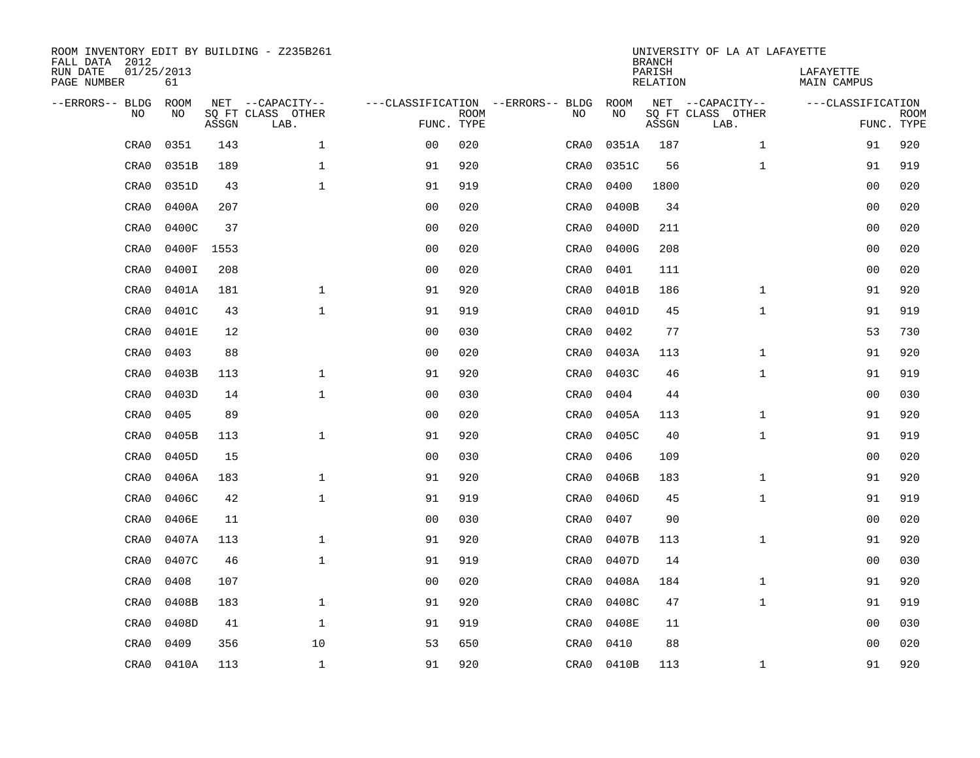| ROOM INVENTORY EDIT BY BUILDING - Z235B261<br>FALL DATA 2012 |                  |       |                           |                                   |             |      |            | <b>BRANCH</b>             | UNIVERSITY OF LA AT LAFAYETTE |                                 |             |
|--------------------------------------------------------------|------------------|-------|---------------------------|-----------------------------------|-------------|------|------------|---------------------------|-------------------------------|---------------------------------|-------------|
| RUN DATE<br>PAGE NUMBER                                      | 01/25/2013<br>61 |       |                           |                                   |             |      |            | PARISH<br><b>RELATION</b> |                               | LAFAYETTE<br><b>MAIN CAMPUS</b> |             |
| --ERRORS-- BLDG                                              | ROOM             |       | NET --CAPACITY--          | ---CLASSIFICATION --ERRORS-- BLDG |             |      | ROOM       |                           | NET --CAPACITY--              | ---CLASSIFICATION               |             |
| NO                                                           | NO               | ASSGN | SQ FT CLASS OTHER<br>LAB. | FUNC. TYPE                        | <b>ROOM</b> | NO   | NO         | ASSGN                     | SQ FT CLASS OTHER<br>LAB.     | FUNC. TYPE                      | <b>ROOM</b> |
| CRA0                                                         | 0351             | 143   | $\mathbf 1$               | 0 <sub>0</sub>                    | 020         | CRA0 | 0351A      | 187                       | $\mathbf{1}$                  | 91                              | 920         |
| CRA0                                                         | 0351B            | 189   | 1                         | 91                                | 920         | CRA0 | 0351C      | 56                        | $\mathbf{1}$                  | 91                              | 919         |
| CRA0                                                         | 0351D            | 43    | $\mathbf 1$               | 91                                | 919         | CRA0 | 0400       | 1800                      |                               | 00                              | 020         |
| CRA0                                                         | 0400A            | 207   |                           | 0 <sub>0</sub>                    | 020         | CRA0 | 0400B      | 34                        |                               | 0 <sub>0</sub>                  | 020         |
| CRA0                                                         | 0400C            | 37    |                           | 0 <sub>0</sub>                    | 020         | CRA0 | 0400D      | 211                       |                               | 0 <sub>0</sub>                  | 020         |
| CRA0                                                         | 0400F            | 1553  |                           | 0 <sub>0</sub>                    | 020         | CRA0 | 0400G      | 208                       |                               | 0 <sub>0</sub>                  | 020         |
| CRA0                                                         | 0400I            | 208   |                           | 0 <sub>0</sub>                    | 020         | CRA0 | 0401       | 111                       |                               | 00                              | 020         |
| CRA0                                                         | 0401A            | 181   | $\mathbf{1}$              | 91                                | 920         | CRA0 | 0401B      | 186                       | $\mathbf{1}$                  | 91                              | 920         |
| CRA0                                                         | 0401C            | 43    | $\mathbf{1}$              | 91                                | 919         | CRA0 | 0401D      | 45                        | $\mathbf{1}$                  | 91                              | 919         |
| CRA0                                                         | 0401E            | 12    |                           | 0 <sub>0</sub>                    | 030         | CRA0 | 0402       | 77                        |                               | 53                              | 730         |
| CRA0                                                         | 0403             | 88    |                           | 0 <sub>0</sub>                    | 020         | CRA0 | 0403A      | 113                       | $\mathbf{1}$                  | 91                              | 920         |
| CRA0                                                         | 0403B            | 113   | $\mathbf{1}$              | 91                                | 920         | CRA0 | 0403C      | 46                        | $\mathbf{1}$                  | 91                              | 919         |
| CRA0                                                         | 0403D            | 14    | $\mathbf{1}$              | 0 <sub>0</sub>                    | 030         | CRA0 | 0404       | 44                        |                               | 00                              | 030         |
| CRA0                                                         | 0405             | 89    |                           | 0 <sub>0</sub>                    | 020         | CRA0 | 0405A      | 113                       | $\mathbf{1}$                  | 91                              | 920         |
| CRA0                                                         | 0405B            | 113   | $\mathbf{1}$              | 91                                | 920         | CRA0 | 0405C      | 40                        | $\mathbf{1}$                  | 91                              | 919         |
| CRA0                                                         | 0405D            | 15    |                           | 0 <sub>0</sub>                    | 030         | CRA0 | 0406       | 109                       |                               | 0 <sub>0</sub>                  | 020         |
| CRA0                                                         | 0406A            | 183   | $\mathbf{1}$              | 91                                | 920         | CRA0 | 0406B      | 183                       | $\mathbf{1}$                  | 91                              | 920         |
| CRA0                                                         | 0406C            | 42    | $\mathbf{1}$              | 91                                | 919         | CRA0 | 0406D      | 45                        | $\mathbf{1}$                  | 91                              | 919         |
| CRA0                                                         | 0406E            | 11    |                           | 0 <sub>0</sub>                    | 030         | CRA0 | 0407       | 90                        |                               | 0 <sub>0</sub>                  | 020         |
| CRA0                                                         | 0407A            | 113   | $\mathbf 1$               | 91                                | 920         | CRA0 | 0407B      | 113                       | $\mathbf{1}$                  | 91                              | 920         |
| CRA0                                                         | 0407C            | 46    | $\mathbf 1$               | 91                                | 919         | CRA0 | 0407D      | 14                        |                               | 00                              | 030         |
| CRA0                                                         | 0408             | 107   |                           | 0 <sub>0</sub>                    | 020         | CRA0 | 0408A      | 184                       | $\mathbf{1}$                  | 91                              | 920         |
| CRA0                                                         | 0408B            | 183   | $\mathbf{1}$              | 91                                | 920         | CRA0 | 0408C      | 47                        | $\mathbf{1}$                  | 91                              | 919         |
| CRA0                                                         | 0408D            | 41    | $\mathbf{1}$              | 91                                | 919         | CRA0 | 0408E      | 11                        |                               | 0 <sub>0</sub>                  | 030         |
| CRA0                                                         | 0409             | 356   | 10                        | 53                                | 650         | CRA0 | 0410       | 88                        |                               | 0 <sub>0</sub>                  | 020         |
| CRA0                                                         | 0410A            | 113   | $\mathbf{1}$              | 91                                | 920         |      | CRA0 0410B | 113                       | $\mathbf{1}$                  | 91                              | 920         |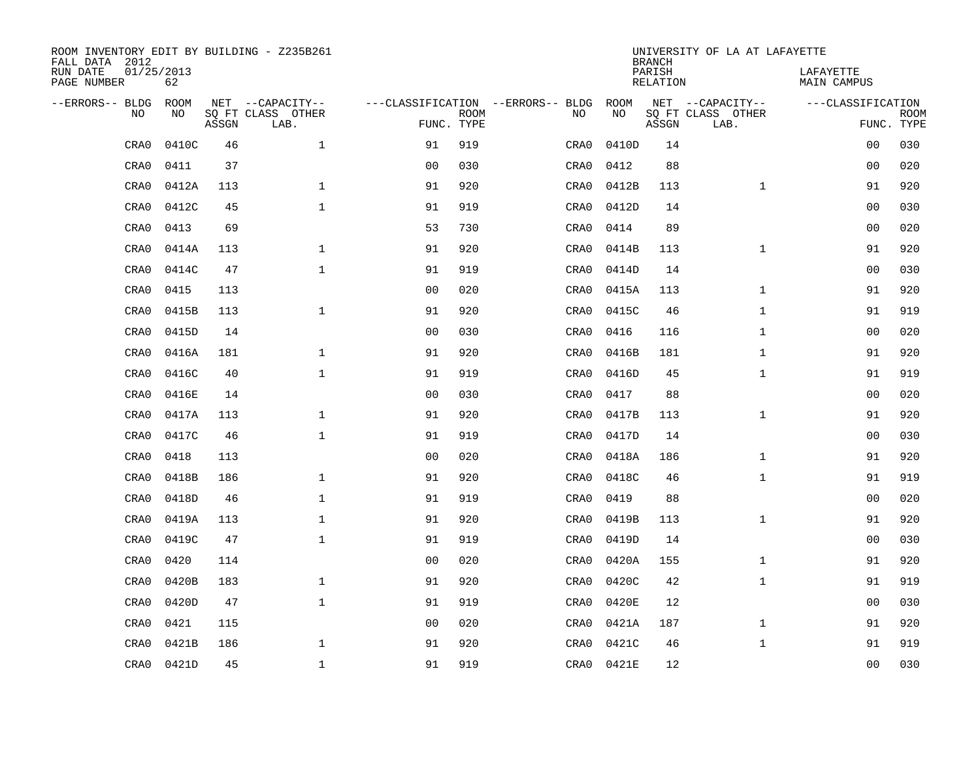| ROOM INVENTORY EDIT BY BUILDING - Z235B261<br>FALL DATA 2012 |                  |       |                           |                                   |             |      |            | <b>BRANCH</b>             | UNIVERSITY OF LA AT LAFAYETTE |                                 |             |
|--------------------------------------------------------------|------------------|-------|---------------------------|-----------------------------------|-------------|------|------------|---------------------------|-------------------------------|---------------------------------|-------------|
| RUN DATE<br>PAGE NUMBER                                      | 01/25/2013<br>62 |       |                           |                                   |             |      |            | PARISH<br><b>RELATION</b> |                               | LAFAYETTE<br><b>MAIN CAMPUS</b> |             |
| --ERRORS-- BLDG                                              | ROOM             |       | NET --CAPACITY--          | ---CLASSIFICATION --ERRORS-- BLDG |             |      | ROOM       |                           | NET --CAPACITY--              | ---CLASSIFICATION               |             |
| NO                                                           | NO               | ASSGN | SQ FT CLASS OTHER<br>LAB. | FUNC. TYPE                        | <b>ROOM</b> | NO   | NO         | ASSGN                     | SQ FT CLASS OTHER<br>LAB.     | FUNC. TYPE                      | <b>ROOM</b> |
| CRA0                                                         | 0410C            | 46    | $\mathbf 1$               | 91                                | 919         | CRA0 | 0410D      | 14                        |                               | 0 <sub>0</sub>                  | 030         |
| CRA0                                                         | 0411             | 37    |                           | 0 <sub>0</sub>                    | 030         | CRA0 | 0412       | 88                        |                               | 00                              | 020         |
| CRA0                                                         | 0412A            | 113   | $\mathbf 1$               | 91                                | 920         | CRA0 | 0412B      | 113                       | $\mathbf{1}$                  | 91                              | 920         |
| CRA0                                                         | 0412C            | 45    | $\mathbf 1$               | 91                                | 919         | CRA0 | 0412D      | 14                        |                               | 00                              | 030         |
| CRA0                                                         | 0413             | 69    |                           | 53                                | 730         | CRA0 | 0414       | 89                        |                               | 0 <sub>0</sub>                  | 020         |
| CRA0                                                         | 0414A            | 113   | $\mathbf 1$               | 91                                | 920         | CRA0 | 0414B      | 113                       | $\mathbf{1}$                  | 91                              | 920         |
| CRA0                                                         | 0414C            | 47    | $\mathbf{1}$              | 91                                | 919         | CRA0 | 0414D      | 14                        |                               | 0 <sub>0</sub>                  | 030         |
| CRA0                                                         | 0415             | 113   |                           | 0 <sub>0</sub>                    | 020         | CRA0 | 0415A      | 113                       | $\mathbf{1}$                  | 91                              | 920         |
| CRA0                                                         | 0415B            | 113   | $\mathbf{1}$              | 91                                | 920         | CRA0 | 0415C      | 46                        | $\mathbf{1}$                  | 91                              | 919         |
| CRA0                                                         | 0415D            | 14    |                           | 0 <sub>0</sub>                    | 030         | CRA0 | 0416       | 116                       | $\mathbf{1}$                  | 0 <sub>0</sub>                  | 020         |
| CRA0                                                         | 0416A            | 181   | $\mathbf{1}$              | 91                                | 920         | CRA0 | 0416B      | 181                       | $\mathbf{1}$                  | 91                              | 920         |
| CRA0                                                         | 0416C            | 40    | $\mathbf{1}$              | 91                                | 919         | CRA0 | 0416D      | 45                        | $\mathbf{1}$                  | 91                              | 919         |
| CRA0                                                         | 0416E            | 14    |                           | 0 <sub>0</sub>                    | 030         | CRA0 | 0417       | 88                        |                               | 0 <sub>0</sub>                  | 020         |
| CRA0                                                         | 0417A            | 113   | $\mathbf 1$               | 91                                | 920         | CRA0 | 0417B      | 113                       | $\mathbf{1}$                  | 91                              | 920         |
| CRA0                                                         | 0417C            | 46    | $\mathbf{1}$              | 91                                | 919         | CRA0 | 0417D      | 14                        |                               | 0 <sub>0</sub>                  | 030         |
| CRA0                                                         | 0418             | 113   |                           | 00                                | 020         | CRA0 | 0418A      | 186                       | $\mathbf{1}$                  | 91                              | 920         |
| CRA0                                                         | 0418B            | 186   | $\mathbf{1}$              | 91                                | 920         | CRA0 | 0418C      | 46                        | $\mathbf{1}$                  | 91                              | 919         |
| CRA0                                                         | 0418D            | 46    | $\mathbf 1$               | 91                                | 919         | CRA0 | 0419       | 88                        |                               | 00                              | 020         |
| CRA0                                                         | 0419A            | 113   | $\mathbf 1$               | 91                                | 920         | CRA0 | 0419B      | 113                       | $\mathbf{1}$                  | 91                              | 920         |
| CRA0                                                         | 0419C            | 47    | $\mathbf{1}$              | 91                                | 919         | CRA0 | 0419D      | 14                        |                               | 00                              | 030         |
| CRA0                                                         | 0420             | 114   |                           | 0 <sub>0</sub>                    | 020         | CRA0 | 0420A      | 155                       | $\mathbf{1}$                  | 91                              | 920         |
| CRA0                                                         | 0420B            | 183   | $\mathbf{1}$              | 91                                | 920         | CRA0 | 0420C      | 42                        | $\mathbf{1}$                  | 91                              | 919         |
| CRA0                                                         | 0420D            | 47    | $\mathbf{1}$              | 91                                | 919         | CRA0 | 0420E      | 12                        |                               | 0 <sub>0</sub>                  | 030         |
| CRA0                                                         | 0421             | 115   |                           | 0 <sub>0</sub>                    | 020         | CRA0 | 0421A      | 187                       | $\mathbf{1}$                  | 91                              | 920         |
| CRA0                                                         | 0421B            | 186   | $\mathbf{1}$              | 91                                | 920         | CRA0 | 0421C      | 46                        | $\mathbf{1}$                  | 91                              | 919         |
| CRA0                                                         | 0421D            | 45    | $\mathbf 1$               | 91                                | 919         |      | CRA0 0421E | 12                        |                               | 0 <sub>0</sub>                  | 030         |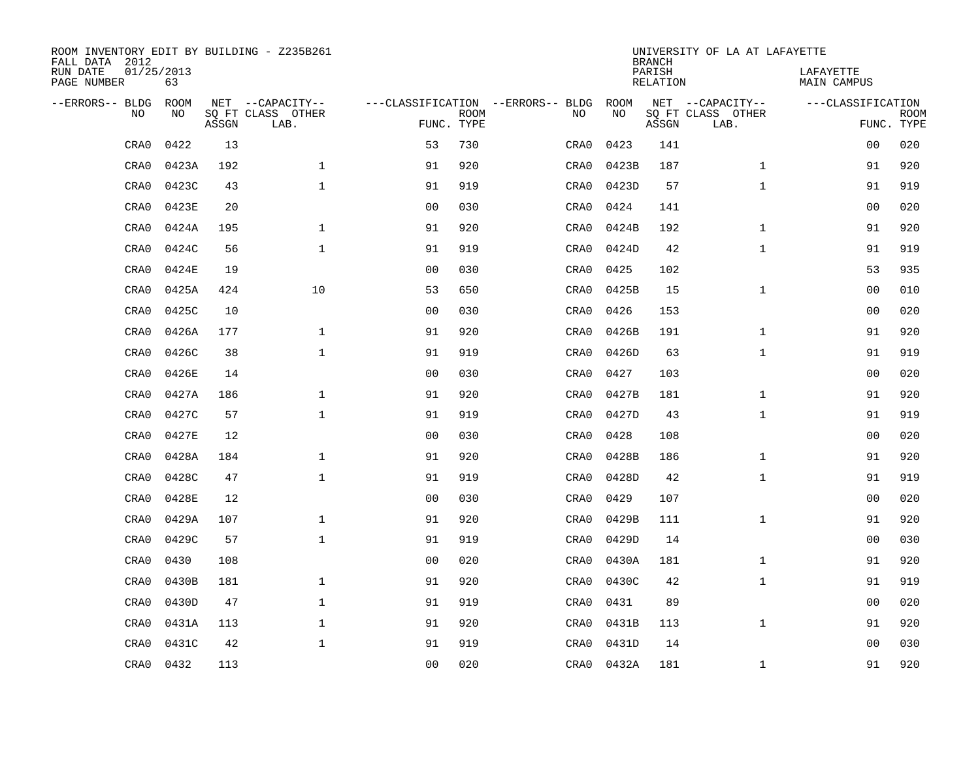| ROOM INVENTORY EDIT BY BUILDING - Z235B261<br>FALL DATA 2012 |                  |       |                           |                |             |                                   |            | <b>BRANCH</b>             |     | UNIVERSITY OF LA AT LAFAYETTE |                                 |                           |
|--------------------------------------------------------------|------------------|-------|---------------------------|----------------|-------------|-----------------------------------|------------|---------------------------|-----|-------------------------------|---------------------------------|---------------------------|
| RUN DATE<br>PAGE NUMBER                                      | 01/25/2013<br>63 |       |                           |                |             |                                   |            | PARISH<br><b>RELATION</b> |     |                               | LAFAYETTE<br><b>MAIN CAMPUS</b> |                           |
| --ERRORS-- BLDG                                              | <b>ROOM</b>      |       | NET --CAPACITY--          |                |             | ---CLASSIFICATION --ERRORS-- BLDG | ROOM       |                           |     | NET --CAPACITY--              | ---CLASSIFICATION               |                           |
| N <sub>O</sub>                                               | NO.              | ASSGN | SO FT CLASS OTHER<br>LAB. | FUNC. TYPE     | <b>ROOM</b> | NO.                               | NO         | ASSGN                     |     | SO FT CLASS OTHER<br>LAB.     |                                 | <b>ROOM</b><br>FUNC. TYPE |
| CRA0                                                         | 0422             | 13    |                           | 53             | 730         | CRA0                              | 0423       |                           | 141 |                               | 00                              | 020                       |
| CRA0                                                         | 0423A            | 192   | $\mathbf{1}$              | 91             | 920         | CRA0                              | 0423B      |                           | 187 | $\mathbf{1}$                  | 91                              | 920                       |
| CRA0                                                         | 0423C            | 43    | $\mathbf{1}$              | 91             | 919         | CRA0                              | 0423D      |                           | 57  | $\mathbf{1}$                  | 91                              | 919                       |
| CRA0                                                         | 0423E            | 20    |                           | 0 <sub>0</sub> | 030         | CRA0                              | 0424       |                           | 141 |                               | 0 <sub>0</sub>                  | 020                       |
| CRA0                                                         | 0424A            | 195   | $\mathbf{1}$              | 91             | 920         | CRA0                              | 0424B      |                           | 192 | $\mathbf{1}$                  | 91                              | 920                       |
| CRA0                                                         | 0424C            | 56    | $\mathbf{1}$              | 91             | 919         | CRA0                              | 0424D      |                           | 42  | $\mathbf{1}$                  | 91                              | 919                       |
| CRA0                                                         | 0424E            | 19    |                           | 0 <sub>0</sub> | 030         | CRA0                              | 0425       |                           | 102 |                               | 53                              | 935                       |
| CRA0                                                         | 0425A            | 424   | 10                        | 53             | 650         | CRA0                              | 0425B      |                           | 15  | $\mathbf{1}$                  | 00                              | 010                       |
| CRA0                                                         | 0425C            | 10    |                           | 0 <sub>0</sub> | 030         | CRA0                              | 0426       |                           | 153 |                               | 0 <sub>0</sub>                  | 020                       |
| CRA0                                                         | 0426A            | 177   | $\mathbf{1}$              | 91             | 920         | CRA0                              | 0426B      |                           | 191 | $\mathbf{1}$                  | 91                              | 920                       |
| CRA0                                                         | 0426C            | 38    | $\mathbf{1}$              | 91             | 919         | CRA0                              | 0426D      |                           | 63  | $\mathbf{1}$                  | 91                              | 919                       |
| CRA0                                                         | 0426E            | 14    |                           | 0 <sub>0</sub> | 030         | CRA0                              | 0427       |                           | 103 |                               | 0 <sub>0</sub>                  | 020                       |
| CRA0                                                         | 0427A            | 186   | $\mathbf{1}$              | 91             | 920         | CRA0                              | 0427B      |                           | 181 | $\mathbf{1}$                  | 91                              | 920                       |
| CRA0                                                         | 0427C            | 57    | $\mathbf{1}$              | 91             | 919         | CRA0                              | 0427D      |                           | 43  | $\mathbf{1}$                  | 91                              | 919                       |
| CRA0                                                         | 0427E            | 12    |                           | 0 <sub>0</sub> | 030         | CRA0                              | 0428       |                           | 108 |                               | 00                              | 020                       |
| CRA0                                                         | 0428A            | 184   | $\mathbf 1$               | 91             | 920         | CRA0                              | 0428B      |                           | 186 | $\mathbf{1}$                  | 91                              | 920                       |
| CRA0                                                         | 0428C            | 47    | $\mathbf{1}$              | 91             | 919         | CRA0                              | 0428D      |                           | 42  | $\mathbf{1}$                  | 91                              | 919                       |
| CRA0                                                         | 0428E            | 12    |                           | 00             | 030         | CRA0                              | 0429       |                           | 107 |                               | 0 <sub>0</sub>                  | 020                       |
| CRA0                                                         | 0429A            | 107   | $\mathbf{1}$              | 91             | 920         | CRA0                              | 0429B      |                           | 111 | $\mathbf{1}$                  | 91                              | 920                       |
| CRA0                                                         | 0429C            | 57    | $\mathbf 1$               | 91             | 919         | CRA0                              | 0429D      |                           | 14  |                               | 00                              | 030                       |
| CRA0                                                         | 0430             | 108   |                           | 0 <sub>0</sub> | 020         | CRA0                              | 0430A      |                           | 181 | $\mathbf{1}$                  | 91                              | 920                       |
| CRA0                                                         | 0430B            | 181   | $\mathbf{1}$              | 91             | 920         | CRA0                              | 0430C      |                           | 42  | $\mathbf{1}$                  | 91                              | 919                       |
| CRA0                                                         | 0430D            | 47    | $\mathbf{1}$              | 91             | 919         | CRA0                              | 0431       |                           | 89  |                               | 0 <sub>0</sub>                  | 020                       |
| CRA0                                                         | 0431A            | 113   | $\mathbf 1$               | 91             | 920         | CRA0                              | 0431B      |                           | 113 | $\mathbf{1}$                  | 91                              | 920                       |
| CRA0                                                         | 0431C            | 42    | $\mathbf{1}$              | 91             | 919         | CRA0                              | 0431D      |                           | 14  |                               | 0 <sub>0</sub>                  | 030                       |
| CRA0                                                         | 0432             | 113   |                           | 00             | 020         |                                   | CRA0 0432A |                           | 181 | $\mathbf{1}$                  | 91                              | 920                       |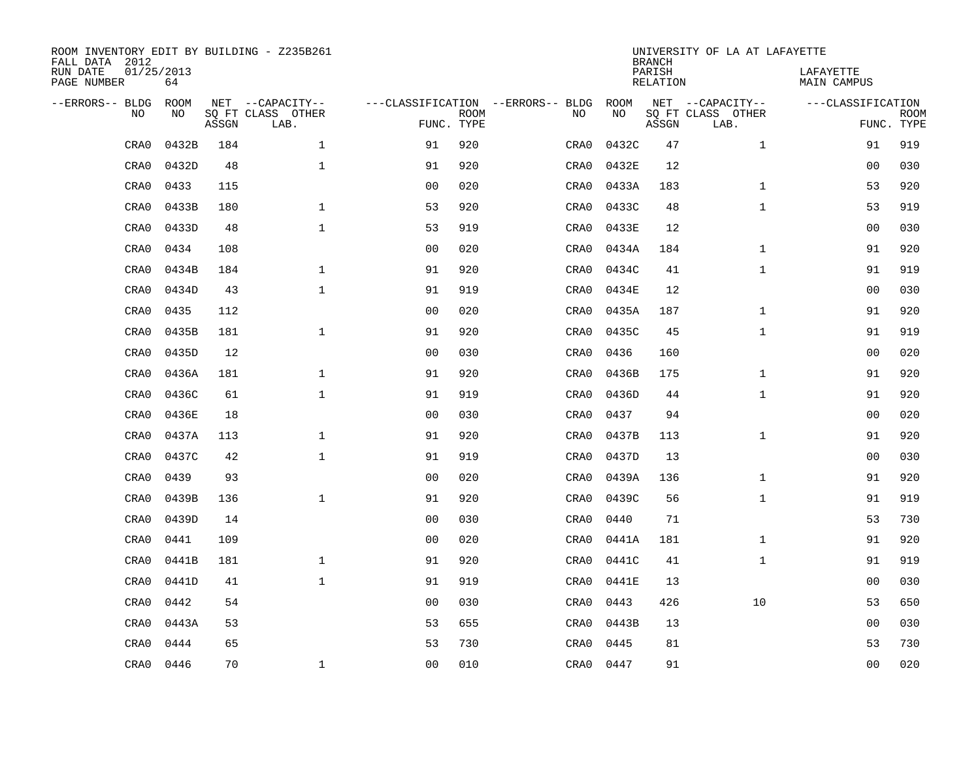| ROOM INVENTORY EDIT BY BUILDING - Z235B261<br>FALL DATA 2012 |                  |       |                           |                |                           |                                   |           | <b>BRANCH</b>             | UNIVERSITY OF LA AT LAFAYETTE |                          |                           |
|--------------------------------------------------------------|------------------|-------|---------------------------|----------------|---------------------------|-----------------------------------|-----------|---------------------------|-------------------------------|--------------------------|---------------------------|
| RUN DATE<br>PAGE NUMBER                                      | 01/25/2013<br>64 |       |                           |                |                           |                                   |           | PARISH<br><b>RELATION</b> |                               | LAFAYETTE<br>MAIN CAMPUS |                           |
| --ERRORS-- BLDG                                              | ROOM             |       | NET --CAPACITY--          |                |                           | ---CLASSIFICATION --ERRORS-- BLDG | ROOM      |                           | NET --CAPACITY--              | ---CLASSIFICATION        |                           |
| NO                                                           | NO               | ASSGN | SQ FT CLASS OTHER<br>LAB. |                | <b>ROOM</b><br>FUNC. TYPE | NO                                | NO        | ASSGN                     | SQ FT CLASS OTHER<br>LAB.     |                          | <b>ROOM</b><br>FUNC. TYPE |
| CRA0                                                         | 0432B            | 184   | $\mathbf{1}$              | 91             | 920                       | CRA0                              | 0432C     | 47                        | $\mathbf{1}$                  | 91                       | 919                       |
| CRA0                                                         | 0432D            | 48    | $\mathbf{1}$              | 91             | 920                       | CRA0                              | 0432E     | 12                        |                               | 0 <sub>0</sub>           | 030                       |
| CRA0                                                         | 0433             | 115   |                           | 0 <sub>0</sub> | 020                       | CRA0                              | 0433A     | 183                       | $\mathbf{1}$                  | 53                       | 920                       |
| CRA0                                                         | 0433B            | 180   | $\mathbf 1$               | 53             | 920                       | CRA0                              | 0433C     | 48                        | $\mathbf{1}$                  | 53                       | 919                       |
| CRA0                                                         | 0433D            | 48    | $\mathbf{1}$              | 53             | 919                       | CRA0                              | 0433E     | 12                        |                               | 00                       | 030                       |
| CRA0                                                         | 0434             | 108   |                           | 0 <sub>0</sub> | 020                       | CRA0                              | 0434A     | 184                       | $\mathbf{1}$                  | 91                       | 920                       |
| CRA0                                                         | 0434B            | 184   | $\mathbf{1}$              | 91             | 920                       | CRA0                              | 0434C     | 41                        | $\mathbf{1}$                  | 91                       | 919                       |
| CRA0                                                         | 0434D            | 43    | $\mathbf 1$               | 91             | 919                       | CRA0                              | 0434E     | 12                        |                               | 0 <sub>0</sub>           | 030                       |
| CRA0                                                         | 0435             | 112   |                           | 0 <sub>0</sub> | 020                       | CRA0                              | 0435A     | 187                       | $\mathbf{1}$                  | 91                       | 920                       |
| CRA0                                                         | 0435B            | 181   | $\mathbf{1}$              | 91             | 920                       | CRA0                              | 0435C     | 45                        | $\mathbf{1}$                  | 91                       | 919                       |
| CRA0                                                         | 0435D            | 12    |                           | 0 <sub>0</sub> | 030                       | CRA0                              | 0436      | 160                       |                               | 0 <sub>0</sub>           | 020                       |
| CRA0                                                         | 0436A            | 181   | $\mathbf 1$               | 91             | 920                       | CRA0                              | 0436B     | 175                       | $\mathbf{1}$                  | 91                       | 920                       |
| CRA0                                                         | 0436C            | 61    | $\mathbf{1}$              | 91             | 919                       | CRA0                              | 0436D     | 44                        | $\mathbf{1}$                  | 91                       | 920                       |
| CRA0                                                         | 0436E            | 18    |                           | 00             | 030                       | CRA0                              | 0437      | 94                        |                               | 0 <sub>0</sub>           | 020                       |
| CRA0                                                         | 0437A            | 113   | $\mathbf 1$               | 91             | 920                       | CRA0                              | 0437B     | 113                       | $\mathbf{1}$                  | 91                       | 920                       |
| CRA0                                                         | 0437C            | 42    | $\mathbf{1}$              | 91             | 919                       | CRA0                              | 0437D     | 13                        |                               | 00                       | 030                       |
| CRA0                                                         | 0439             | 93    |                           | 0 <sub>0</sub> | 020                       | CRA0                              | 0439A     | 136                       | $\mathbf{1}$                  | 91                       | 920                       |
| CRA0                                                         | 0439B            | 136   | $\mathbf 1$               | 91             | 920                       | CRA0                              | 0439C     | 56                        | $\mathbf{1}$                  | 91                       | 919                       |
| CRA0                                                         | 0439D            | 14    |                           | 0 <sub>0</sub> | 030                       | CRA0                              | 0440      | 71                        |                               | 53                       | 730                       |
| CRA0                                                         | 0441             | 109   |                           | 0 <sub>0</sub> | 020                       | CRA0                              | 0441A     | 181                       | $\mathbf{1}$                  | 91                       | 920                       |
| CRA0                                                         | 0441B            | 181   | $\mathbf{1}$              | 91             | 920                       | CRA0                              | 0441C     | 41                        | $\mathbf{1}$                  | 91                       | 919                       |
| CRA0                                                         | 0441D            | 41    | $\mathbf{1}$              | 91             | 919                       | CRA0                              | 0441E     | 13                        |                               | 0 <sub>0</sub>           | 030                       |
| CRA0                                                         | 0442             | 54    |                           | 0 <sub>0</sub> | 030                       | CRA0                              | 0443      | 426                       | 10                            | 53                       | 650                       |
| CRA0                                                         | 0443A            | 53    |                           | 53             | 655                       | CRA0                              | 0443B     | 13                        |                               | 0 <sub>0</sub>           | 030                       |
| CRA0                                                         | 0444             | 65    |                           | 53             | 730                       | CRA0                              | 0445      | 81                        |                               | 53                       | 730                       |
| CRA0                                                         | 0446             | 70    | $\mathbf 1$               | 00             | 010                       |                                   | CRA0 0447 | 91                        |                               | 0 <sub>0</sub>           | 020                       |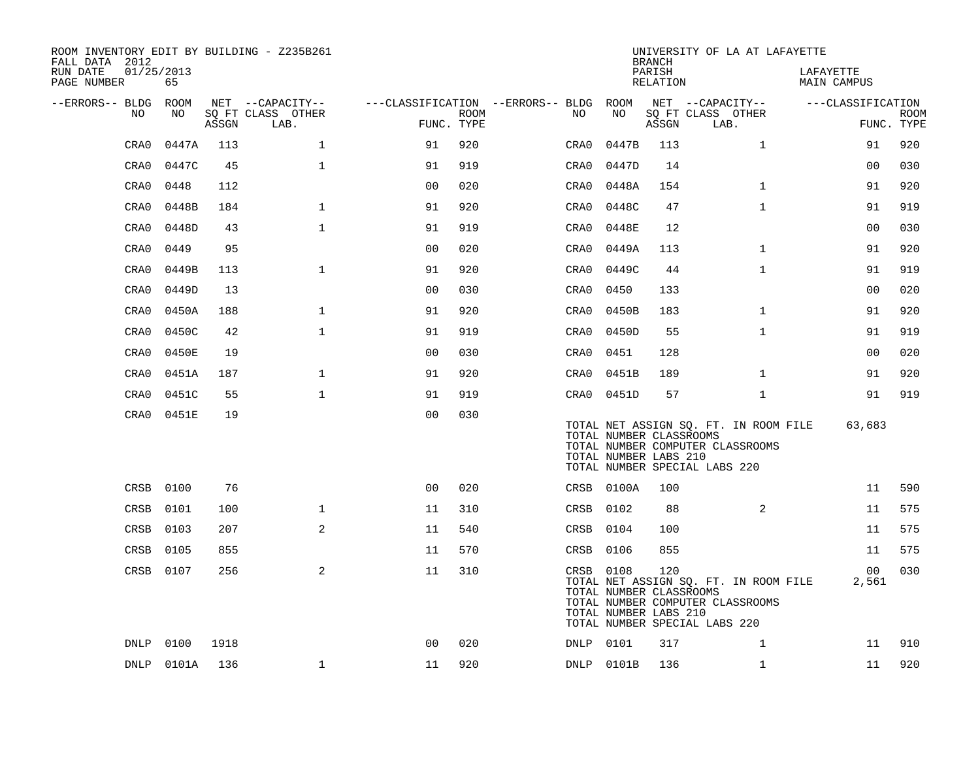| ROOM INVENTORY EDIT BY BUILDING - Z235B261<br>FALL DATA 2012 |                  |       |                           |                |      |                                        |                                                               | <b>BRANCH</b>      | UNIVERSITY OF LA AT LAFAYETTE                                                                              |                                 |                           |
|--------------------------------------------------------------|------------------|-------|---------------------------|----------------|------|----------------------------------------|---------------------------------------------------------------|--------------------|------------------------------------------------------------------------------------------------------------|---------------------------------|---------------------------|
| RUN DATE<br>PAGE NUMBER                                      | 01/25/2013<br>65 |       |                           |                |      |                                        |                                                               | PARISH<br>RELATION |                                                                                                            | LAFAYETTE<br><b>MAIN CAMPUS</b> |                           |
| --ERRORS-- BLDG ROOM                                         |                  |       | NET --CAPACITY--          |                |      | ---CLASSIFICATION --ERRORS-- BLDG ROOM |                                                               |                    | NET --CAPACITY--                                                                                           | ---CLASSIFICATION               |                           |
| NO.                                                          | NO               | ASSGN | SQ FT CLASS OTHER<br>LAB. | FUNC. TYPE     | ROOM | NO                                     | NO                                                            | ASSGN              | SQ FT CLASS OTHER<br>LAB.                                                                                  |                                 | <b>ROOM</b><br>FUNC. TYPE |
| CRA0                                                         | 0447A            | 113   | $\mathbf{1}$              | 91             | 920  | CRA0                                   | 0447B                                                         | 113                | $\mathbf{1}$                                                                                               | 91                              | 920                       |
| CRA0                                                         | 0447C            | 45    | $\mathbf{1}$              | 91             | 919  | CRA0                                   | 0447D                                                         | 14                 |                                                                                                            | 0 <sub>0</sub>                  | 030                       |
| CRA0                                                         | 0448             | 112   |                           | 0 <sub>0</sub> | 020  | CRA0                                   | 0448A                                                         | 154                | $\mathbf{1}$                                                                                               | 91                              | 920                       |
| CRA0                                                         | 0448B            | 184   | $\mathbf 1$               | 91             | 920  | CRA0                                   | 0448C                                                         | 47                 | $\mathbf{1}$                                                                                               | 91                              | 919                       |
| CRA0                                                         | 0448D            | 43    | $\mathbf{1}$              | 91             | 919  | CRA0                                   | 0448E                                                         | 12                 |                                                                                                            | 0 <sub>0</sub>                  | 030                       |
| CRA0                                                         | 0449             | 95    |                           | 0 <sub>0</sub> | 020  | CRA0                                   | 0449A                                                         | 113                | $\mathbf{1}$                                                                                               | 91                              | 920                       |
| CRA0                                                         | 0449B            | 113   | $\mathbf{1}$              | 91             | 920  | CRA0                                   | 0449C                                                         | 44                 | $\mathbf{1}$                                                                                               | 91                              | 919                       |
| CRA0                                                         | 0449D            | 13    |                           | 0 <sub>0</sub> | 030  | CRA0                                   | 0450                                                          | 133                |                                                                                                            | 00                              | 020                       |
| CRA0                                                         | 0450A            | 188   | $\mathbf{1}$              | 91             | 920  | CRA0                                   | 0450B                                                         | 183                | $\mathbf{1}$                                                                                               | 91                              | 920                       |
| CRA0                                                         | 0450C            | 42    | $\mathbf 1$               | 91             | 919  | CRA0                                   | 0450D                                                         | 55                 | $\mathbf{1}$                                                                                               | 91                              | 919                       |
| CRA0                                                         | 0450E            | 19    |                           | 0 <sub>0</sub> | 030  | CRA0                                   | 0451                                                          | 128                |                                                                                                            | 0 <sub>0</sub>                  | 020                       |
| CRA0                                                         | 0451A            | 187   | $\mathbf 1$               | 91             | 920  | CRA0                                   | 0451B                                                         | 189                | $\mathbf{1}$                                                                                               | 91                              | 920                       |
| CRA0                                                         | 0451C            | 55    | $\mathbf{1}$              | 91             | 919  |                                        | CRA0 0451D                                                    | 57                 | $\mathbf{1}$                                                                                               | 91                              | 919                       |
| CRA0                                                         | 0451E            | 19    |                           | 0 <sub>0</sub> | 030  |                                        | TOTAL NUMBER CLASSROOMS<br>TOTAL NUMBER LABS 210              |                    | TOTAL NET ASSIGN SQ. FT. IN ROOM FILE<br>TOTAL NUMBER COMPUTER CLASSROOMS<br>TOTAL NUMBER SPECIAL LABS 220 | 63,683                          |                           |
| CRSB                                                         | 0100             | 76    |                           | 0 <sub>0</sub> | 020  |                                        | CRSB 0100A                                                    | 100                |                                                                                                            | 11                              | 590                       |
| CRSB                                                         | 0101             | 100   | $\mathbf{1}$              | 11             | 310  |                                        | CRSB 0102                                                     | 88                 | 2                                                                                                          | 11                              | 575                       |
| CRSB                                                         | 0103             | 207   | 2                         | 11             | 540  |                                        | CRSB 0104                                                     | 100                |                                                                                                            | 11                              | 575                       |
| CRSB                                                         | 0105             | 855   |                           | 11             | 570  |                                        | CRSB 0106                                                     | 855                |                                                                                                            | 11                              | 575                       |
|                                                              | CRSB 0107        | 256   | 2                         | 11             | 310  |                                        | CRSB 0108<br>TOTAL NUMBER CLASSROOMS<br>TOTAL NUMBER LABS 210 | 120                | TOTAL NET ASSIGN SQ. FT. IN ROOM FILE<br>TOTAL NUMBER COMPUTER CLASSROOMS<br>TOTAL NUMBER SPECIAL LABS 220 | 00 <sub>0</sub><br>2,561        | 030                       |
|                                                              | DNLP 0100        | 1918  |                           | 0 <sub>0</sub> | 020  |                                        | DNLP 0101                                                     | 317                | 1                                                                                                          | 11                              | 910                       |
|                                                              | DNLP 0101A       | 136   | $\mathbf 1$               | 11             | 920  |                                        | DNLP 0101B                                                    | 136                | $\mathbf{1}$                                                                                               | 11                              | 920                       |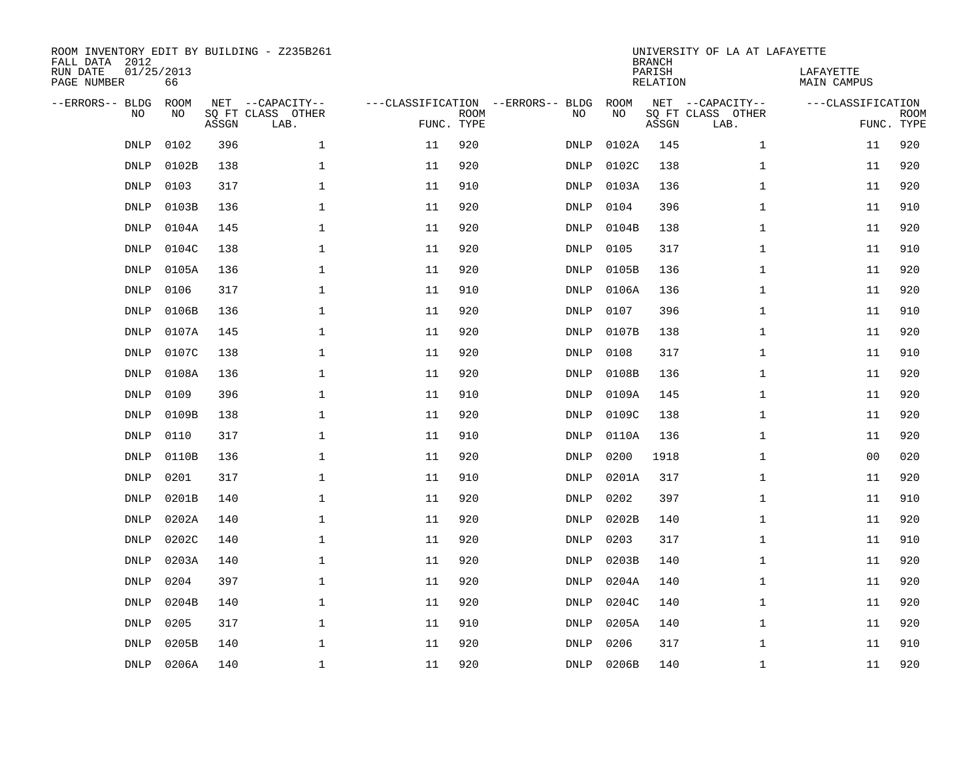| FALL DATA 2012<br>RUN DATE<br>PAGE NUMBER | 01/25/2013  | 66          |       | ROOM INVENTORY EDIT BY BUILDING - Z235B261    |                                                 |             |             |            | <b>BRANCH</b><br>PARISH<br>RELATION | UNIVERSITY OF LA AT LAFAYETTE                 | LAFAYETTE<br>MAIN CAMPUS        |             |
|-------------------------------------------|-------------|-------------|-------|-----------------------------------------------|-------------------------------------------------|-------------|-------------|------------|-------------------------------------|-----------------------------------------------|---------------------------------|-------------|
| --ERRORS-- BLDG                           | NO          | ROOM<br>NO. | ASSGN | NET --CAPACITY--<br>SO FT CLASS OTHER<br>LAB. | ---CLASSIFICATION --ERRORS-- BLDG<br>FUNC. TYPE | <b>ROOM</b> | NO          | ROOM<br>NO | ASSGN                               | NET --CAPACITY--<br>SQ FT CLASS OTHER<br>LAB. | ---CLASSIFICATION<br>FUNC. TYPE | <b>ROOM</b> |
|                                           | <b>DNLP</b> | 0102        | 396   | $\mathbf{1}$                                  | 11                                              | 920         | DNLP        | 0102A      | 145                                 | $\mathbf{1}$                                  | 11                              | 920         |
|                                           | <b>DNLP</b> | 0102B       | 138   | $\mathbf 1$                                   | 11                                              | 920         | <b>DNLP</b> | 0102C      | 138                                 | $\mathbf{1}$                                  | 11                              | 920         |
|                                           | <b>DNLP</b> | 0103        | 317   | $\mathbf 1$                                   | 11                                              | 910         | <b>DNLP</b> | 0103A      | 136                                 | $\mathbf{1}$                                  | 11                              | 920         |
|                                           | <b>DNLP</b> | 0103B       | 136   | $\mathbf 1$                                   | 11                                              | 920         | DNLP        | 0104       | 396                                 | $\mathbf{1}$                                  | 11                              | 910         |
|                                           | <b>DNLP</b> | 0104A       | 145   | $\mathbf{1}$                                  | 11                                              | 920         | DNLP        | 0104B      | 138                                 | $\mathbf{1}$                                  | 11                              | 920         |
|                                           | <b>DNLP</b> | 0104C       | 138   | $\mathbf{1}$                                  | 11                                              | 920         | DNLP        | 0105       | 317                                 | $\mathbf{1}$                                  | 11                              | 910         |
|                                           | <b>DNLP</b> | 0105A       | 136   | $\mathbf{1}$                                  | 11                                              | 920         | DNLP        | 0105B      | 136                                 | $\mathbf{1}$                                  | 11                              | 920         |
|                                           | <b>DNLP</b> | 0106        | 317   | $\mathbf 1$                                   | 11                                              | 910         | DNLP        | 0106A      | 136                                 | $\mathbf{1}$                                  | 11                              | 920         |
|                                           | DNLP        | 0106B       | 136   | $\mathbf 1$                                   | 11                                              | 920         | DNLP        | 0107       | 396                                 | $\mathbf{1}$                                  | 11                              | 910         |
|                                           | DNLP        | 0107A       | 145   | 1                                             | 11                                              | 920         | DNLP        | 0107B      | 138                                 | $\mathbf{1}$                                  | 11                              | 920         |
|                                           | DNLP        | 0107C       | 138   | 1                                             | 11                                              | 920         | DNLP        | 0108       | 317                                 | $\mathbf{1}$                                  | 11                              | 910         |
|                                           | <b>DNLP</b> | 0108A       | 136   | $\mathbf 1$                                   | 11                                              | 920         | DNLP        | 0108B      | 136                                 | $\mathbf{1}$                                  | 11                              | 920         |
|                                           | DNLP        | 0109        | 396   | 1                                             | 11                                              | 910         | DNLP        | 0109A      | 145                                 | $\mathbf{1}$                                  | 11                              | 920         |
|                                           | <b>DNLP</b> | 0109B       | 138   | $\mathbf{1}$                                  | 11                                              | 920         | DNLP        | 0109C      | 138                                 | $\mathbf{1}$                                  | 11                              | 920         |
|                                           | <b>DNLP</b> | 0110        | 317   | $\mathbf 1$                                   | 11                                              | 910         | DNLP        | 0110A      | 136                                 | $\mathbf{1}$                                  | 11                              | 920         |
|                                           | <b>DNLP</b> | 0110B       | 136   | 1                                             | 11                                              | 920         | <b>DNLP</b> | 0200       | 1918                                | $\mathbf{1}$                                  | 00                              | 020         |
|                                           | <b>DNLP</b> | 0201        | 317   | $\mathbf 1$                                   | 11                                              | 910         | DNLP        | 0201A      | 317                                 | $\mathbf{1}$                                  | 11                              | 920         |
|                                           | <b>DNLP</b> | 0201B       | 140   | $\mathbf 1$                                   | 11                                              | 920         | <b>DNLP</b> | 0202       | 397                                 | $\mathbf{1}$                                  | 11                              | 910         |
|                                           | <b>DNLP</b> | 0202A       | 140   | $\mathbf{1}$                                  | 11                                              | 920         | DNLP        | 0202B      | 140                                 | $\mathbf{1}$                                  | 11                              | 920         |
|                                           | <b>DNLP</b> | 0202C       | 140   | $\mathbf{1}$                                  | 11                                              | 920         | DNLP        | 0203       | 317                                 | $\mathbf{1}$                                  | 11                              | 910         |
|                                           | <b>DNLP</b> | 0203A       | 140   | $\mathbf{1}$                                  | 11                                              | 920         | DNLP        | 0203B      | 140                                 | $\mathbf{1}$                                  | 11                              | 920         |
|                                           | <b>DNLP</b> | 0204        | 397   | $\mathbf{1}$                                  | 11                                              | 920         | <b>DNLP</b> | 0204A      | 140                                 | $\mathbf{1}$                                  | 11                              | 920         |
|                                           | <b>DNLP</b> | 0204B       | 140   | $\mathbf 1$                                   | 11                                              | 920         | <b>DNLP</b> | 0204C      | 140                                 | $\mathbf{1}$                                  | 11                              | 920         |
|                                           | DNLP        | 0205        | 317   | $\mathbf{1}$                                  | 11                                              | 910         | DNLP        | 0205A      | 140                                 | $\mathbf{1}$                                  | 11                              | 920         |
|                                           | DNLP        | 0205B       | 140   | 1                                             | 11                                              | 920         | DNLP        | 0206       | 317                                 | $\mathbf{1}$                                  | 11                              | 910         |
|                                           |             | DNLP 0206A  | 140   | 1                                             | 11                                              | 920         | DNLP        | 0206B      | 140                                 | $\mathbf{1}$                                  | 11                              | 920         |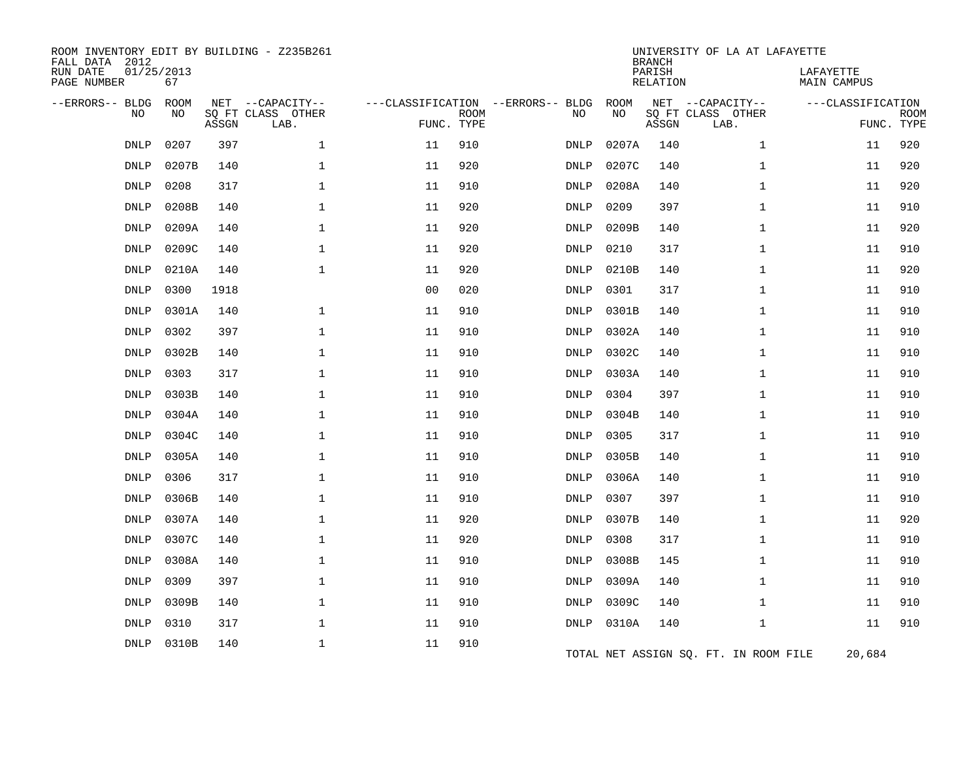| ROOM INVENTORY EDIT BY BUILDING - Z235B261<br>FALL DATA 2012 |                  |       |                           |                                   |             |             |            | <b>BRANCH</b>             | UNIVERSITY OF LA AT LAFAYETTE         |                                 |                           |
|--------------------------------------------------------------|------------------|-------|---------------------------|-----------------------------------|-------------|-------------|------------|---------------------------|---------------------------------------|---------------------------------|---------------------------|
| RUN DATE<br>PAGE NUMBER                                      | 01/25/2013<br>67 |       |                           |                                   |             |             |            | PARISH<br><b>RELATION</b> |                                       | LAFAYETTE<br><b>MAIN CAMPUS</b> |                           |
| --ERRORS-- BLDG                                              | <b>ROOM</b>      |       | NET --CAPACITY--          | ---CLASSIFICATION --ERRORS-- BLDG |             |             | ROOM<br>NO |                           | NET --CAPACITY--                      | ---CLASSIFICATION               |                           |
| NO                                                           | NO               | ASSGN | SQ FT CLASS OTHER<br>LAB. | FUNC. TYPE                        | <b>ROOM</b> | NO          |            | ASSGN                     | SQ FT CLASS OTHER<br>LAB.             |                                 | <b>ROOM</b><br>FUNC. TYPE |
| <b>DNLP</b>                                                  | 0207             | 397   | $\mathbf 1$               | 11                                | 910         | DNLP        | 0207A      | 140                       | $\mathbf{1}$                          | 11                              | 920                       |
| <b>DNLP</b>                                                  | 0207B            | 140   | $\mathbf 1$               | 11                                | 920         | DNLP        | 0207C      | 140                       | $\mathbf{1}$                          | 11                              | 920                       |
| <b>DNLP</b>                                                  | 0208             | 317   | $\mathbf 1$               | 11                                | 910         | DNLP        | 0208A      | 140                       | $\mathbf{1}$                          | 11                              | 920                       |
| <b>DNLP</b>                                                  | 0208B            | 140   | 1                         | 11                                | 920         | <b>DNLP</b> | 0209       | 397                       | $\mathbf{1}$                          | 11                              | 910                       |
| DNLP                                                         | 0209A            | 140   | $\mathbf{1}$              | 11                                | 920         | DNLP        | 0209B      | 140                       | $\mathbf{1}$                          | 11                              | 920                       |
| <b>DNLP</b>                                                  | 0209C            | 140   | $\mathbf 1$               | 11                                | 920         | DNLP        | 0210       | 317                       | $\mathbf{1}$                          | 11                              | 910                       |
| <b>DNLP</b>                                                  | 0210A            | 140   | $\mathbf 1$               | 11                                | 920         | DNLP        | 0210B      | 140                       | $\mathbf{1}$                          | 11                              | 920                       |
| <b>DNLP</b>                                                  | 0300             | 1918  |                           | 0 <sub>0</sub>                    | 020         | DNLP        | 0301       | 317                       | $\mathbf{1}$                          | 11                              | 910                       |
| <b>DNLP</b>                                                  | 0301A            | 140   | $\mathbf{1}$              | 11                                | 910         | DNLP        | 0301B      | 140                       | $\mathbf{1}$                          | 11                              | 910                       |
| <b>DNLP</b>                                                  | 0302             | 397   | $\mathbf 1$               | 11                                | 910         | DNLP        | 0302A      | 140                       | $\mathbf{1}$                          | 11                              | 910                       |
| DNLP                                                         | 0302B            | 140   | 1                         | 11                                | 910         | DNLP        | 0302C      | 140                       | $\mathbf{1}$                          | 11                              | 910                       |
| <b>DNLP</b>                                                  | 0303             | 317   | $\mathbf 1$               | 11                                | 910         | DNLP        | 0303A      | 140                       | $\mathbf{1}$                          | 11                              | 910                       |
| <b>DNLP</b>                                                  | 0303B            | 140   | $\mathbf 1$               | 11                                | 910         | DNLP        | 0304       | 397                       | 1                                     | 11                              | 910                       |
| DNLP                                                         | 0304A            | 140   | $\mathbf 1$               | 11                                | 910         | DNLP        | 0304B      | 140                       | $\mathbf{1}$                          | 11                              | 910                       |
| DNLP                                                         | 0304C            | 140   | 1                         | 11                                | 910         | DNLP        | 0305       | 317                       | $\mathbf{1}$                          | 11                              | 910                       |
| <b>DNLP</b>                                                  | 0305A            | 140   | $\mathbf{1}$              | 11                                | 910         | DNLP        | 0305B      | 140                       | $\mathbf{1}$                          | 11                              | 910                       |
| <b>DNLP</b>                                                  | 0306             | 317   | $\mathbf 1$               | 11                                | 910         | DNLP        | 0306A      | 140                       | $\mathbf{1}$                          | 11                              | 910                       |
| <b>DNLP</b>                                                  | 0306B            | 140   | 1                         | 11                                | 910         | DNLP        | 0307       | 397                       | $\mathbf{1}$                          | 11                              | 910                       |
| <b>DNLP</b>                                                  | 0307A            | 140   | $\mathbf 1$               | 11                                | 920         | DNLP        | 0307B      | 140                       | $\mathbf{1}$                          | 11                              | 920                       |
| <b>DNLP</b>                                                  | 0307C            | 140   | $\mathbf 1$               | 11                                | 920         | DNLP        | 0308       | 317                       | $\mathbf{1}$                          | 11                              | 910                       |
| DNLP                                                         | 0308A            | 140   | $\mathbf 1$               | 11                                | 910         | DNLP        | 0308B      | 145                       | $\mathbf{1}$                          | 11                              | 910                       |
| <b>DNLP</b>                                                  | 0309             | 397   | $\mathbf 1$               | 11                                | 910         | <b>DNLP</b> | 0309A      | 140                       | $\mathbf{1}$                          | 11                              | 910                       |
| <b>DNLP</b>                                                  | 0309B            | 140   | $\mathbf 1$               | 11                                | 910         | DNLP        | 0309C      | 140                       | $\mathbf{1}$                          | 11                              | 910                       |
| <b>DNLP</b>                                                  | 0310             | 317   | $\mathbf{1}$              | 11                                | 910         | DNLP        | 0310A      | 140                       | $\mathbf{1}$                          | 11                              | 910                       |
| DNLP                                                         | 0310B            | 140   | $\mathbf 1$               | 11                                | 910         |             |            |                           | TOTAL NET ASSIGN SQ. FT. IN ROOM FILE | 20,684                          |                           |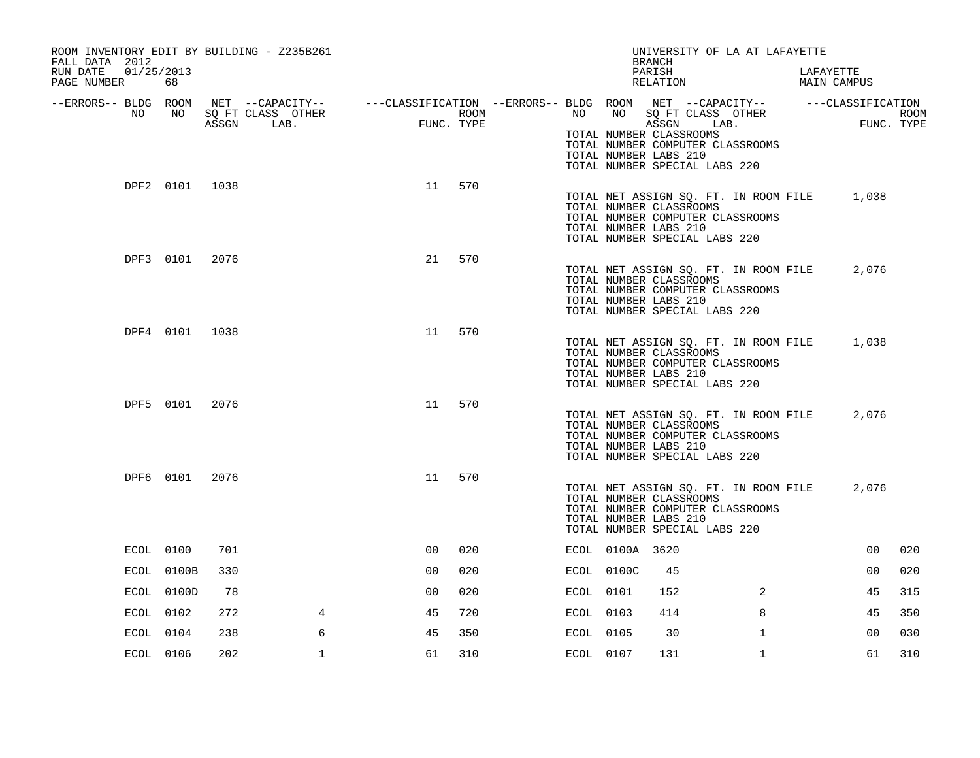| ROOM INVENTORY EDIT BY BUILDING - Z235B261<br>FALL DATA 2012 |                |      |                                                                                                |                |                    |           |                 | UNIVERSITY OF LA AT LAFAYETTE<br><b>BRANCH</b>                                                                                                                 |              |                          |                |             |
|--------------------------------------------------------------|----------------|------|------------------------------------------------------------------------------------------------|----------------|--------------------|-----------|-----------------|----------------------------------------------------------------------------------------------------------------------------------------------------------------|--------------|--------------------------|----------------|-------------|
| 01/25/2013<br>RUN DATE<br>PAGE NUMBER                        | 68             |      |                                                                                                |                |                    |           |                 | PARISH<br>RELATION                                                                                                                                             |              | LAFAYETTE<br>MAIN CAMPUS |                |             |
| --ERRORS-- BLDG ROOM                                         |                |      | NET --CAPACITY-- - ---CLASSIFICATION --ERRORS-- BLDG ROOM NET --CAPACITY-- - ---CLASSIFICATION |                |                    |           | NO              |                                                                                                                                                                |              |                          |                |             |
| NO                                                           | NO             |      | SQ FT CLASS OTHER<br>ASSGN LAB.                                                                | <b>FUNC</b>    | ROOM<br>FUNC. TYPE | NO        |                 | SQ FT CLASS OTHER<br>ASSGN LAB.<br>TOTAL NUMBER CLASSROOMS<br>TOTAL NUMBER COMPUTER CLASSROOMS<br>TOTAL NUMBER LABS 210<br>TOTAL NUMBER SPECIAL LABS 220       |              |                          | FUNC. TYPE     | <b>ROOM</b> |
|                                                              | DPF2 0101 1038 |      |                                                                                                | 11             | 570                |           |                 | TOTAL NET ASSIGN SQ. FT. IN ROOM FILE<br>TOTAL NUMBER CLASSROOMS<br>TOTAL NUMBER COMPUTER CLASSROOMS<br>TOTAL NUMBER LABS 210<br>TOTAL NUMBER SPECIAL LABS 220 |              |                          | 1,038          |             |
|                                                              | DPF3 0101 2076 |      |                                                                                                | 21             | 570                |           |                 | TOTAL NET ASSIGN SQ. FT. IN ROOM FILE<br>TOTAL NUMBER CLASSROOMS<br>TOTAL NUMBER COMPUTER CLASSROOMS<br>TOTAL NUMBER LABS 210<br>TOTAL NUMBER SPECIAL LABS 220 |              |                          | 2,076          |             |
|                                                              | DPF4 0101 1038 |      |                                                                                                |                | 11 570             |           |                 | TOTAL NET ASSIGN SQ. FT. IN ROOM FILE<br>TOTAL NUMBER CLASSROOMS<br>TOTAL NUMBER COMPUTER CLASSROOMS<br>TOTAL NUMBER LABS 210<br>TOTAL NUMBER SPECIAL LABS 220 |              |                          | 1,038          |             |
|                                                              | DPF5 0101 2076 |      |                                                                                                | 11             | 570                |           |                 | TOTAL NET ASSIGN SQ. FT. IN ROOM FILE<br>TOTAL NUMBER CLASSROOMS<br>TOTAL NUMBER COMPUTER CLASSROOMS<br>TOTAL NUMBER LABS 210<br>TOTAL NUMBER SPECIAL LABS 220 |              |                          | 2,076          |             |
|                                                              | DPF6 0101      | 2076 |                                                                                                | 11             | 570                |           |                 | TOTAL NET ASSIGN SQ. FT. IN ROOM FILE<br>TOTAL NUMBER CLASSROOMS<br>TOTAL NUMBER COMPUTER CLASSROOMS<br>TOTAL NUMBER LABS 210<br>TOTAL NUMBER SPECIAL LABS 220 |              |                          | 2,076          |             |
|                                                              | ECOL 0100      | 701  |                                                                                                | 0 <sup>0</sup> | 020                |           | ECOL 0100A 3620 |                                                                                                                                                                |              |                          | 00             | 020         |
|                                                              | ECOL 0100B     | 330  |                                                                                                | 0 <sub>0</sub> | 020                |           | ECOL 0100C      | 45                                                                                                                                                             |              |                          | 0 <sub>0</sub> | 020         |
|                                                              | ECOL 0100D     | 78   |                                                                                                | 00             | 020                | ECOL 0101 |                 | 152                                                                                                                                                            | 2            |                          | 45             | 315         |
|                                                              | ECOL 0102      | 272  | 4                                                                                              | 45             | 720                | ECOL 0103 |                 | 414                                                                                                                                                            | 8            |                          | 45             | 350         |
|                                                              | ECOL 0104      | 238  | 6                                                                                              | 45             | 350                | ECOL 0105 |                 | 30                                                                                                                                                             | $\mathbf{1}$ |                          | 0 <sub>0</sub> | 030         |
|                                                              | ECOL 0106      | 202  | $\mathbf{1}$                                                                                   | 61             | 310                | ECOL 0107 |                 | 131                                                                                                                                                            | $\mathbf{1}$ |                          | 61             | 310         |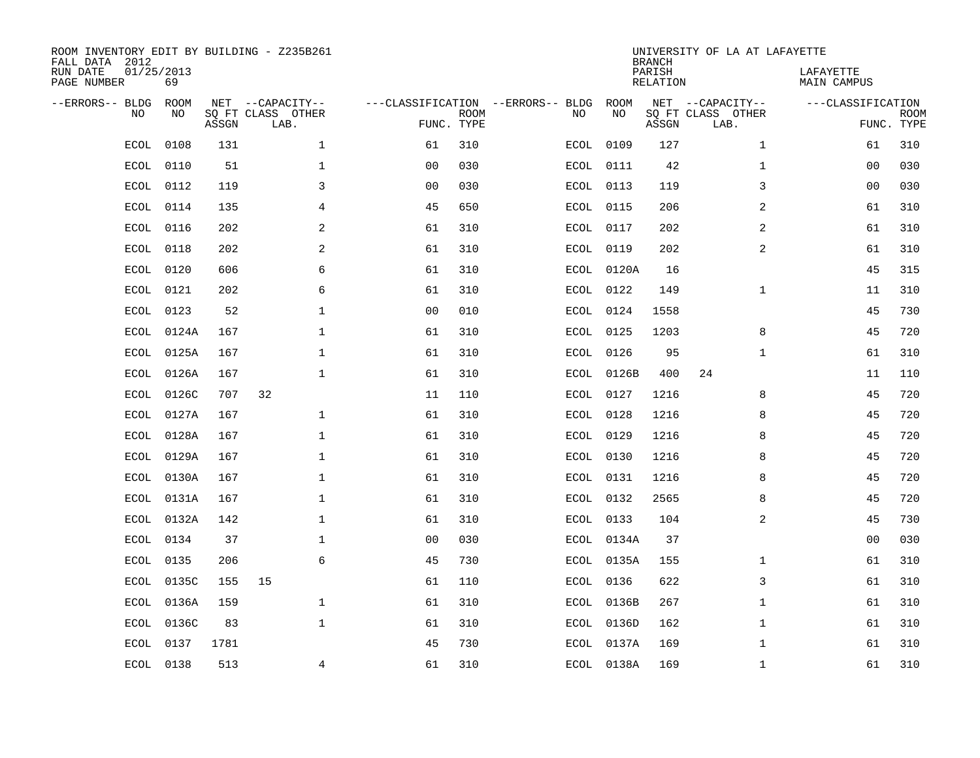| FALL DATA 2012<br>RUN DATE<br>PAGE NUMBER | 01/25/2013<br>69 |       | ROOM INVENTORY EDIT BY BUILDING - Z235B261    |                                                 |             |      |            | <b>BRANCH</b><br>PARISH<br>RELATION | UNIVERSITY OF LA AT LAFAYETTE                 | LAFAYETTE<br>MAIN CAMPUS |                           |
|-------------------------------------------|------------------|-------|-----------------------------------------------|-------------------------------------------------|-------------|------|------------|-------------------------------------|-----------------------------------------------|--------------------------|---------------------------|
| --ERRORS-- BLDG<br><b>NO</b>              | ROOM<br>NO.      | ASSGN | NET --CAPACITY--<br>SO FT CLASS OTHER<br>LAB. | ---CLASSIFICATION --ERRORS-- BLDG<br>FUNC. TYPE | <b>ROOM</b> | NO   | ROOM<br>NO | ASSGN                               | NET --CAPACITY--<br>SQ FT CLASS OTHER<br>LAB. | ---CLASSIFICATION        | <b>ROOM</b><br>FUNC. TYPE |
| <b>ECOL</b>                               | 0108             | 131   | $\mathbf{1}$                                  | 61                                              | 310         | ECOL | 0109       | 127                                 | $\mathbf{1}$                                  | 61                       | 310                       |
| <b>ECOL</b>                               | 0110             | 51    | $\mathbf 1$                                   | 0 <sub>0</sub>                                  | 030         | ECOL | 0111       | 42                                  | $\mathbf{1}$                                  | 00                       | 030                       |
| <b>ECOL</b>                               | 0112             | 119   | 3                                             | 0 <sub>0</sub>                                  | 030         | ECOL | 0113       | 119                                 | 3                                             | 0 <sub>0</sub>           | 030                       |
| ECOL                                      | 0114             | 135   | 4                                             | 45                                              | 650         |      | ECOL 0115  | 206                                 | $\overline{a}$                                | 61                       | 310                       |
| <b>ECOL</b>                               | 0116             | 202   | 2                                             | 61                                              | 310         |      | ECOL 0117  | 202                                 | $\overline{2}$                                | 61                       | 310                       |
| <b>ECOL</b>                               | 0118             | 202   | 2                                             | 61                                              | 310         |      | ECOL 0119  | 202                                 | 2                                             | 61                       | 310                       |
| ECOL                                      | 0120             | 606   | 6                                             | 61                                              | 310         |      | ECOL 0120A | 16                                  |                                               | 45                       | 315                       |
| ECOL                                      | 0121             | 202   | 6                                             | 61                                              | 310         |      | ECOL 0122  | 149                                 | $\mathbf{1}$                                  | 11                       | 310                       |
| ECOL                                      | 0123             | 52    | $\mathbf 1$                                   | 0 <sub>0</sub>                                  | 010         | ECOL | 0124       | 1558                                |                                               | 45                       | 730                       |
| ECOL                                      | 0124A            | 167   | 1                                             | 61                                              | 310         |      | ECOL 0125  | 1203                                | 8                                             | 45                       | 720                       |
| ECOL                                      | 0125A            | 167   | $\mathbf 1$                                   | 61                                              | 310         |      | ECOL 0126  | 95                                  | $\mathbf{1}$                                  | 61                       | 310                       |
| ECOL                                      | 0126A            | 167   | $\mathbf 1$                                   | 61                                              | 310         |      | ECOL 0126B | 400                                 | 24                                            | 11                       | 110                       |
| <b>ECOL</b>                               | 0126C            | 707   | 32                                            | 11                                              | 110         | ECOL | 0127       | 1216                                | 8                                             | 45                       | 720                       |
| ECOL                                      | 0127A            | 167   | $\mathbf{1}$                                  | 61                                              | 310         | ECOL | 0128       | 1216                                | 8                                             | 45                       | 720                       |
| ECOL                                      | 0128A            | 167   | $\mathbf 1$                                   | 61                                              | 310         | ECOL | 0129       | 1216                                | 8                                             | 45                       | 720                       |
| ECOL                                      | 0129A            | 167   | 1                                             | 61                                              | 310         | ECOL | 0130       | 1216                                | 8                                             | 45                       | 720                       |
| <b>ECOL</b>                               | 0130A            | 167   | $\mathbf 1$                                   | 61                                              | 310         | ECOL | 0131       | 1216                                | 8                                             | 45                       | 720                       |
| ECOL                                      | 0131A            | 167   | $\mathbf{1}$                                  | 61                                              | 310         |      | ECOL 0132  | 2565                                | 8                                             | 45                       | 720                       |
|                                           | ECOL 0132A       | 142   | $\mathbf{1}$                                  | 61                                              | 310         |      | ECOL 0133  | 104                                 | 2                                             | 45                       | 730                       |
| ECOL                                      | 0134             | 37    | $\mathbf 1$                                   | 0 <sub>0</sub>                                  | 030         |      | ECOL 0134A | 37                                  |                                               | 0 <sub>0</sub>           | 030                       |
| ECOL                                      | 0135             | 206   | 6                                             | 45                                              | 730         |      | ECOL 0135A | 155                                 | $\mathbf{1}$                                  | 61                       | 310                       |
| ECOL                                      | 0135C            | 155   | 15                                            | 61                                              | 110         |      | ECOL 0136  | 622                                 | 3                                             | 61                       | 310                       |
| ECOL                                      | 0136A            | 159   | $\mathbf{1}$                                  | 61                                              | 310         |      | ECOL 0136B | 267                                 | $\mathbf{1}$                                  | 61                       | 310                       |
| ECOL                                      | 0136C            | 83    | $\mathbf{1}$                                  | 61                                              | 310         |      | ECOL 0136D | 162                                 | $\mathbf{1}$                                  | 61                       | 310                       |
| ECOL                                      | 0137             | 1781  |                                               | 45                                              | 730         |      | ECOL 0137A | 169                                 | 1                                             | 61                       | 310                       |
|                                           | ECOL 0138        | 513   | 4                                             | 61                                              | 310         |      | ECOL 0138A | 169                                 | $\mathbf{1}$                                  | 61                       | 310                       |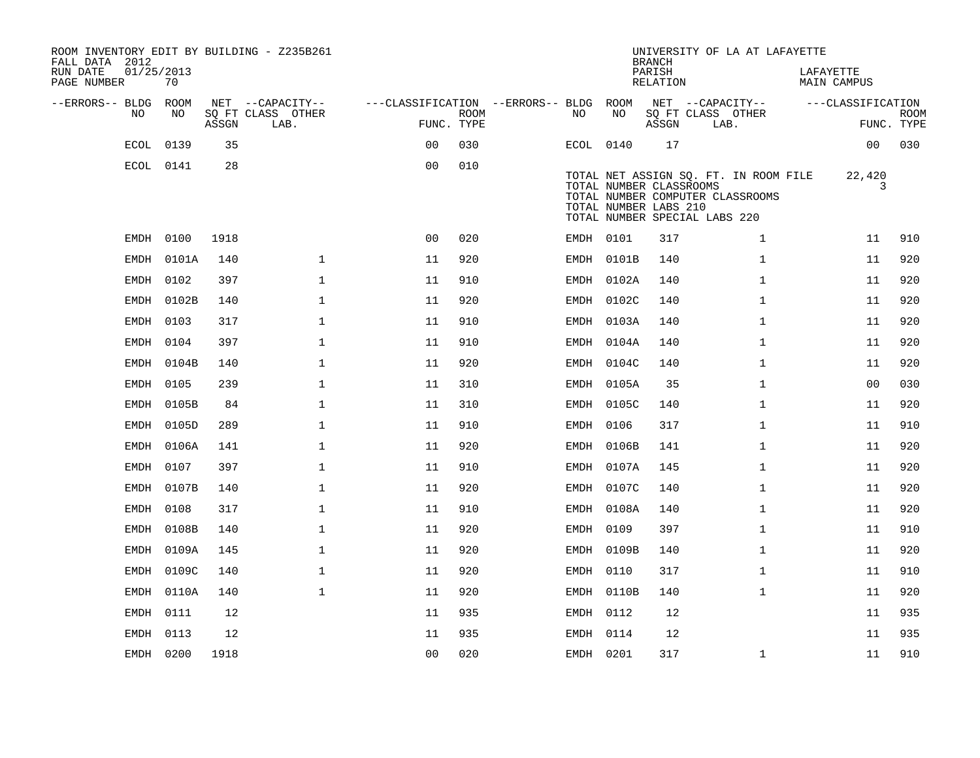| ROOM INVENTORY EDIT BY BUILDING - Z235B261<br>FALL DATA 2012 |                  |       |                           |                                        |                           |           |            | <b>BRANCH</b>                                    | UNIVERSITY OF LA AT LAFAYETTE                                                                              |                          |                           |
|--------------------------------------------------------------|------------------|-------|---------------------------|----------------------------------------|---------------------------|-----------|------------|--------------------------------------------------|------------------------------------------------------------------------------------------------------------|--------------------------|---------------------------|
| RUN DATE<br>PAGE NUMBER                                      | 01/25/2013<br>70 |       |                           |                                        |                           |           |            | PARISH<br>RELATION                               |                                                                                                            | LAFAYETTE<br>MAIN CAMPUS |                           |
| --ERRORS-- BLDG ROOM                                         |                  |       | NET --CAPACITY--          | ---CLASSIFICATION --ERRORS-- BLDG ROOM |                           |           |            |                                                  | NET --CAPACITY--                                                                                           | ---CLASSIFICATION        |                           |
| NO                                                           | NO               | ASSGN | SQ FT CLASS OTHER<br>LAB. |                                        | <b>ROOM</b><br>FUNC. TYPE | NO        | NO         | ASSGN                                            | SQ FT CLASS OTHER<br>LAB.                                                                                  |                          | <b>ROOM</b><br>FUNC. TYPE |
|                                                              | ECOL 0139        | 35    |                           | 0 <sup>0</sup>                         | 030                       | ECOL 0140 |            | 17                                               |                                                                                                            | 00                       | 030                       |
|                                                              | ECOL 0141        | 28    |                           | 0 <sub>0</sub>                         | 010                       |           |            | TOTAL NUMBER CLASSROOMS<br>TOTAL NUMBER LABS 210 | TOTAL NET ASSIGN SQ. FT. IN ROOM FILE<br>TOTAL NUMBER COMPUTER CLASSROOMS<br>TOTAL NUMBER SPECIAL LABS 220 | 22,420<br>3              |                           |
|                                                              | EMDH 0100        | 1918  |                           | 0 <sub>0</sub>                         | 020                       | EMDH 0101 |            | 317                                              | $\mathbf{1}$                                                                                               | 11                       | 910                       |
| EMDH                                                         | 0101A            | 140   | $\mathbf 1$               | 11                                     | 920                       |           | EMDH 0101B | 140                                              | $\mathbf{1}$                                                                                               | 11                       | 920                       |
| EMDH                                                         | 0102             | 397   | $\mathbf{1}$              | 11                                     | 910                       |           | EMDH 0102A | 140                                              | $\mathbf{1}$                                                                                               | 11                       | 920                       |
| EMDH                                                         | 0102B            | 140   | $\mathbf 1$               | 11                                     | 920                       |           | EMDH 0102C | 140                                              | $\mathbf{1}$                                                                                               | 11                       | 920                       |
| EMDH                                                         | 0103             | 317   | $\mathbf 1$               | 11                                     | 910                       |           | EMDH 0103A | 140                                              | $\mathbf{1}$                                                                                               | 11                       | 920                       |
| <b>EMDH</b>                                                  | 0104             | 397   | $\mathbf 1$               | 11                                     | 910                       |           | EMDH 0104A | 140                                              | $\mathbf{1}$                                                                                               | 11                       | 920                       |
|                                                              | EMDH 0104B       | 140   | $\mathbf{1}$              | 11                                     | 920                       |           | EMDH 0104C | 140                                              | $\mathbf{1}$                                                                                               | 11                       | 920                       |
| EMDH                                                         | 0105             | 239   | $\mathbf 1$               | 11                                     | 310                       |           | EMDH 0105A | 35                                               | $\mathbf{1}$                                                                                               | 0 <sub>0</sub>           | 030                       |
| EMDH                                                         | 0105B            | 84    | $\mathbf{1}$              | 11                                     | 310                       |           | EMDH 0105C | 140                                              | $\mathbf{1}$                                                                                               | 11                       | 920                       |
| EMDH                                                         | 0105D            | 289   | $\mathbf{1}$              | 11                                     | 910                       | EMDH 0106 |            | 317                                              | $\mathbf{1}$                                                                                               | 11                       | 910                       |
|                                                              | EMDH 0106A       | 141   | $\mathbf 1$               | 11                                     | 920                       |           | EMDH 0106B | 141                                              | $\mathbf{1}$                                                                                               | 11                       | 920                       |
| EMDH                                                         | 0107             | 397   | $\mathbf{1}$              | 11                                     | 910                       |           | EMDH 0107A | 145                                              | $\mathbf{1}$                                                                                               | 11                       | 920                       |
| EMDH                                                         | 0107B            | 140   | $\mathbf 1$               | 11                                     | 920                       |           | EMDH 0107C | 140                                              | $\mathbf{1}$                                                                                               | 11                       | 920                       |
| EMDH                                                         | 0108             | 317   | $\mathbf 1$               | 11                                     | 910                       |           | EMDH 0108A | 140                                              | $\mathbf{1}$                                                                                               | 11                       | 920                       |
| EMDH                                                         | 0108B            | 140   | $\mathbf 1$               | 11                                     | 920                       | EMDH 0109 |            | 397                                              | $\mathbf{1}$                                                                                               | 11                       | 910                       |
| EMDH                                                         | 0109A            | 145   | $\mathbf 1$               | 11                                     | 920                       |           | EMDH 0109B | 140                                              | $\mathbf{1}$                                                                                               | 11                       | 920                       |
| EMDH                                                         | 0109C            | 140   | $\mathbf{1}$              | 11                                     | 920                       | EMDH 0110 |            | 317                                              | $\mathbf{1}$                                                                                               | 11                       | 910                       |
|                                                              | EMDH 0110A       | 140   | $\mathbf 1$               | 11                                     | 920                       |           | EMDH 0110B | 140                                              | $\mathbf{1}$                                                                                               | 11                       | 920                       |
|                                                              | EMDH 0111        | 12    |                           | 11                                     | 935                       | EMDH 0112 |            | 12                                               |                                                                                                            | 11                       | 935                       |
| EMDH                                                         | 0113             | 12    |                           | 11                                     | 935                       | EMDH 0114 |            | 12                                               |                                                                                                            | 11                       | 935                       |
|                                                              | EMDH 0200        | 1918  |                           | 0 <sub>0</sub>                         | 020                       | EMDH 0201 |            | 317                                              | $\mathbf{1}$                                                                                               | 11                       | 910                       |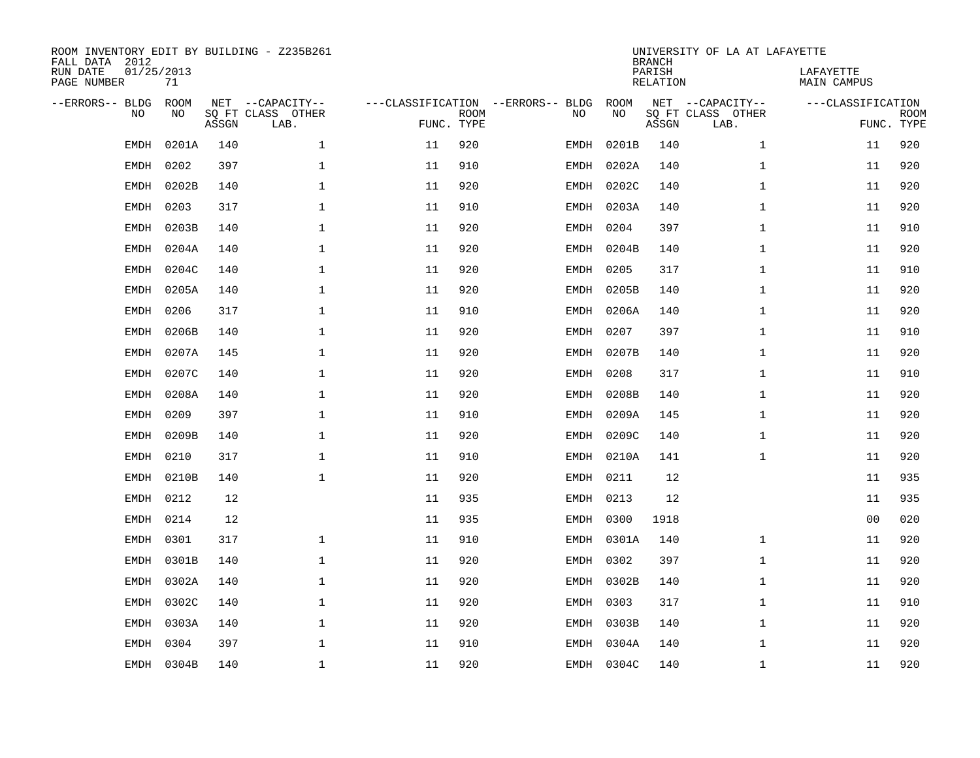| FALL DATA 2012<br>RUN DATE<br>PAGE NUMBER | 01/25/2013  | 71          |       | ROOM INVENTORY EDIT BY BUILDING - Z235B261    |                                                 |             |           |            | <b>BRANCH</b><br>PARISH<br>RELATION | UNIVERSITY OF LA AT LAFAYETTE                 | LAFAYETTE<br>MAIN CAMPUS        |             |
|-------------------------------------------|-------------|-------------|-------|-----------------------------------------------|-------------------------------------------------|-------------|-----------|------------|-------------------------------------|-----------------------------------------------|---------------------------------|-------------|
| --ERRORS-- BLDG                           | NO.         | ROOM<br>NO. | ASSGN | NET --CAPACITY--<br>SO FT CLASS OTHER<br>LAB. | ---CLASSIFICATION --ERRORS-- BLDG<br>FUNC. TYPE | <b>ROOM</b> | NO        | ROOM<br>NO | ASSGN                               | NET --CAPACITY--<br>SQ FT CLASS OTHER<br>LAB. | ---CLASSIFICATION<br>FUNC. TYPE | <b>ROOM</b> |
|                                           | <b>EMDH</b> | 0201A       | 140   | $\mathbf{1}$                                  | 11                                              | 920         | EMDH      | 0201B      | 140                                 | $\mathbf{1}$                                  | 11                              | 920         |
|                                           | <b>EMDH</b> | 0202        | 397   | $\mathbf 1$                                   | 11                                              | 910         | EMDH      | 0202A      | 140                                 | $\mathbf{1}$                                  | 11                              | 920         |
|                                           | EMDH        | 0202B       | 140   | $\mathbf 1$                                   | 11                                              | 920         | EMDH      | 0202C      | 140                                 | $\mathbf{1}$                                  | 11                              | 920         |
|                                           | <b>EMDH</b> | 0203        | 317   | $\mathbf{1}$                                  | 11                                              | 910         | EMDH      | 0203A      | 140                                 | $\mathbf{1}$                                  | 11                              | 920         |
|                                           | <b>EMDH</b> | 0203B       | 140   | $\mathbf{1}$                                  | 11                                              | 920         | EMDH      | 0204       | 397                                 | $\mathbf{1}$                                  | 11                              | 910         |
|                                           | <b>EMDH</b> | 0204A       | 140   | $\mathbf{1}$                                  | 11                                              | 920         | EMDH      | 0204B      | 140                                 | $\mathbf{1}$                                  | 11                              | 920         |
|                                           | EMDH        | 0204C       | 140   | $\mathbf{1}$                                  | 11                                              | 920         | EMDH      | 0205       | 317                                 | $\mathbf{1}$                                  | 11                              | 910         |
|                                           | EMDH        | 0205A       | 140   | $\mathbf 1$                                   | 11                                              | 920         |           | EMDH 0205B | 140                                 | $\mathbf{1}$                                  | 11                              | 920         |
|                                           | EMDH        | 0206        | 317   | $\mathbf 1$                                   | 11                                              | 910         | EMDH      | 0206A      | 140                                 | $\mathbf{1}$                                  | 11                              | 920         |
|                                           | EMDH        | 0206B       | 140   | 1                                             | 11                                              | 920         | EMDH      | 0207       | 397                                 | $\mathbf{1}$                                  | 11                              | 910         |
|                                           | EMDH        | 0207A       | 145   | 1                                             | 11                                              | 920         | EMDH      | 0207B      | 140                                 | $\mathbf{1}$                                  | 11                              | 920         |
|                                           | EMDH        | 0207C       | 140   | $\mathbf 1$                                   | 11                                              | 920         | EMDH      | 0208       | 317                                 | $\mathbf{1}$                                  | 11                              | 910         |
|                                           | <b>EMDH</b> | 0208A       | 140   | $\mathbf 1$                                   | 11                                              | 920         | EMDH      | 0208B      | 140                                 | $\mathbf{1}$                                  | 11                              | 920         |
|                                           | EMDH        | 0209        | 397   | 1                                             | 11                                              | 910         | EMDH      | 0209A      | 145                                 | $\mathbf{1}$                                  | 11                              | 920         |
|                                           | EMDH        | 0209B       | 140   | 1                                             | 11                                              | 920         | EMDH      | 0209C      | 140                                 | $\mathbf{1}$                                  | 11                              | 920         |
|                                           | EMDH        | 0210        | 317   | 1                                             | 11                                              | 910         |           | EMDH 0210A | 141                                 | $\mathbf{1}$                                  | 11                              | 920         |
|                                           | EMDH        | 0210B       | 140   | $\mathbf 1$                                   | 11                                              | 920         | EMDH      | 0211       | 12                                  |                                               | 11                              | 935         |
|                                           | <b>EMDH</b> | 0212        | 12    |                                               | 11                                              | 935         |           | EMDH 0213  | 12                                  |                                               | 11                              | 935         |
|                                           | <b>EMDH</b> | 0214        | 12    |                                               | 11                                              | 935         | EMDH 0300 |            | 1918                                |                                               | 0 <sub>0</sub>                  | 020         |
|                                           | <b>EMDH</b> | 0301        | 317   | $\mathbf{1}$                                  | 11                                              | 910         |           | EMDH 0301A | 140                                 | $\mathbf{1}$                                  | 11                              | 920         |
|                                           | <b>EMDH</b> | 0301B       | 140   | $\mathbf{1}$                                  | 11                                              | 920         |           | EMDH 0302  | 397                                 | $\mathbf{1}$                                  | 11                              | 920         |
|                                           | EMDH        | 0302A       | 140   | $\mathbf{1}$                                  | 11                                              | 920         | EMDH      | 0302B      | 140                                 | $\mathbf{1}$                                  | 11                              | 920         |
|                                           | EMDH        | 0302C       | 140   | $\mathbf 1$                                   | 11                                              | 920         | EMDH 0303 |            | 317                                 | $\mathbf{1}$                                  | 11                              | 910         |
|                                           | EMDH        | 0303A       | 140   | $\mathbf{1}$                                  | 11                                              | 920         | EMDH      | 0303B      | 140                                 | $\mathbf{1}$                                  | 11                              | 920         |
|                                           | EMDH        | 0304        | 397   | 1                                             | 11                                              | 910         | EMDH      | 0304A      | 140                                 | $\mathbf{1}$                                  | 11                              | 920         |
|                                           |             | EMDH 0304B  | 140   | 1                                             | 11                                              | 920         |           | EMDH 0304C | 140                                 | $\mathbf{1}$                                  | 11                              | 920         |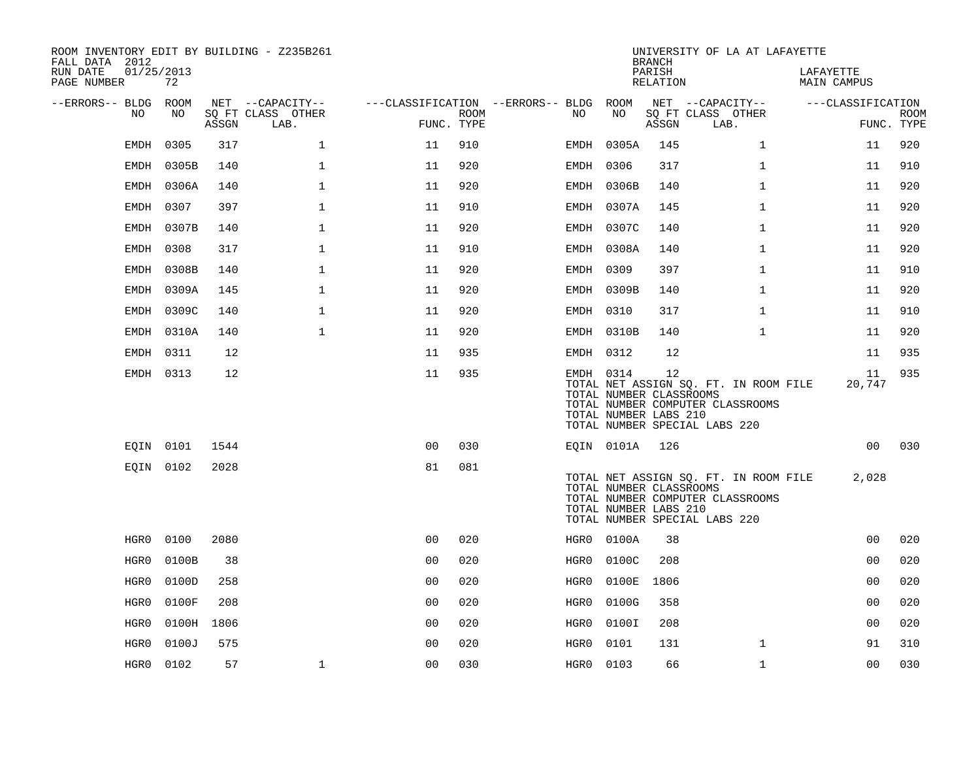| ROOM INVENTORY EDIT BY BUILDING - Z235B261<br>FALL DATA 2012 |                  |       |                           |                                        |                    |           |            | <b>BRANCH</b>                                          | UNIVERSITY OF LA AT LAFAYETTE                                                                              |                          |             |
|--------------------------------------------------------------|------------------|-------|---------------------------|----------------------------------------|--------------------|-----------|------------|--------------------------------------------------------|------------------------------------------------------------------------------------------------------------|--------------------------|-------------|
| RUN DATE<br>PAGE NUMBER                                      | 01/25/2013<br>72 |       |                           |                                        |                    |           |            | PARISH<br>RELATION                                     |                                                                                                            | LAFAYETTE<br>MAIN CAMPUS |             |
| --ERRORS-- BLDG ROOM                                         |                  |       | NET --CAPACITY--          | ---CLASSIFICATION --ERRORS-- BLDG ROOM |                    |           |            |                                                        | NET --CAPACITY--                                                                                           | ---CLASSIFICATION        |             |
| NO                                                           | NO               | ASSGN | SQ FT CLASS OTHER<br>LAB. |                                        | ROOM<br>FUNC. TYPE | NO.       | NO         | ASSGN                                                  | SQ FT CLASS OTHER<br>LAB.                                                                                  | FUNC. TYPE               | <b>ROOM</b> |
| EMDH                                                         | 0305             | 317   | $\mathbf 1$               | 11                                     | 910                |           | EMDH 0305A | 145                                                    | $\mathbf{1}$                                                                                               | 11                       | 920         |
| EMDH                                                         | 0305B            | 140   | $\mathbf 1$               | 11                                     | 920                | EMDH 0306 |            | 317                                                    | $\mathbf{1}$                                                                                               | 11                       | 910         |
| EMDH                                                         | 0306A            | 140   | $\mathbf{1}$              | 11                                     | 920                |           | EMDH 0306B | 140                                                    | $\mathbf{1}$                                                                                               | 11                       | 920         |
| EMDH                                                         | 0307             | 397   | 1                         | 11                                     | 910                |           | EMDH 0307A | 145                                                    | $\mathbf{1}$                                                                                               | 11                       | 920         |
| EMDH                                                         | 0307B            | 140   | $\mathbf{1}$              | 11                                     | 920                |           | EMDH 0307C | 140                                                    | $\mathbf{1}$                                                                                               | 11                       | 920         |
| <b>EMDH</b>                                                  | 0308             | 317   | $\mathbf{1}$              | 11                                     | 910                |           | EMDH 0308A | 140                                                    | $\mathbf{1}$                                                                                               | 11                       | 920         |
| EMDH                                                         | 0308B            | 140   | $\mathbf{1}$              | 11                                     | 920                | EMDH 0309 |            | 397                                                    | $\mathbf{1}$                                                                                               | 11                       | 910         |
| <b>EMDH</b>                                                  | 0309A            | 145   | $\mathbf{1}$              | 11                                     | 920                |           | EMDH 0309B | 140                                                    | $\mathbf{1}$                                                                                               | 11                       | 920         |
| EMDH                                                         | 0309C            | 140   | $\mathbf{1}$              | 11                                     | 920                | EMDH 0310 |            | 317                                                    | $\mathbf{1}$                                                                                               | 11                       | 910         |
| EMDH                                                         | 0310A            | 140   | $\mathbf 1$               | 11                                     | 920                |           | EMDH 0310B | 140                                                    | $\mathbf{1}$                                                                                               | 11                       | 920         |
|                                                              | EMDH 0311        | 12    |                           | 11                                     | 935                | EMDH 0312 |            | 12                                                     |                                                                                                            | 11                       | 935         |
|                                                              | EMDH 0313        | 12    |                           | 11                                     | 935                | EMDH 0314 |            | 12<br>TOTAL NUMBER CLASSROOMS<br>TOTAL NUMBER LABS 210 | TOTAL NET ASSIGN SQ. FT. IN ROOM FILE<br>TOTAL NUMBER COMPUTER CLASSROOMS<br>TOTAL NUMBER SPECIAL LABS 220 | 11<br>20,747             | 935         |
|                                                              | EQIN 0101        | 1544  |                           | 0 <sub>0</sub>                         | 030                |           | EQIN 0101A | 126                                                    |                                                                                                            | 0 <sub>0</sub>           | 030         |
|                                                              | EQIN 0102        | 2028  |                           | 81                                     | 081                |           |            | TOTAL NUMBER CLASSROOMS<br>TOTAL NUMBER LABS 210       | TOTAL NET ASSIGN SQ. FT. IN ROOM FILE<br>TOTAL NUMBER COMPUTER CLASSROOMS<br>TOTAL NUMBER SPECIAL LABS 220 | 2,028                    |             |
| HGR0                                                         | 0100             | 2080  |                           | 0 <sub>0</sub>                         | 020                |           | HGR0 0100A | 38                                                     |                                                                                                            | 0 <sub>0</sub>           | 020         |
| HGR0                                                         | 0100B            | 38    |                           | 0 <sub>0</sub>                         | 020                | HGR0      | 0100C      | 208                                                    |                                                                                                            | 0 <sub>0</sub>           | 020         |
| HGR0                                                         | 0100D            | 258   |                           | 0 <sub>0</sub>                         | 020                | HGR0      | 0100E      | 1806                                                   |                                                                                                            | 0 <sub>0</sub>           | 020         |
| HGR0                                                         | 0100F            | 208   |                           | 0 <sub>0</sub>                         | 020                | HGR0      | 0100G      | 358                                                    |                                                                                                            | 0 <sub>0</sub>           | 020         |
| HGR0                                                         | 0100H            | 1806  |                           | 0 <sub>0</sub>                         | 020                | HGR0      | 0100I      | 208                                                    |                                                                                                            | 00                       | 020         |
| HGR0                                                         | 0100J            | 575   |                           | 0 <sub>0</sub>                         | 020                | HGR0      | 0101       | 131                                                    | $\mathbf{1}$                                                                                               | 91                       | 310         |
| HGR0                                                         | 0102             | 57    | $\mathbf 1$               | 0 <sub>0</sub>                         | 030                | HGR0 0103 |            | 66                                                     | $\mathbf{1}$                                                                                               | 0 <sub>0</sub>           | 030         |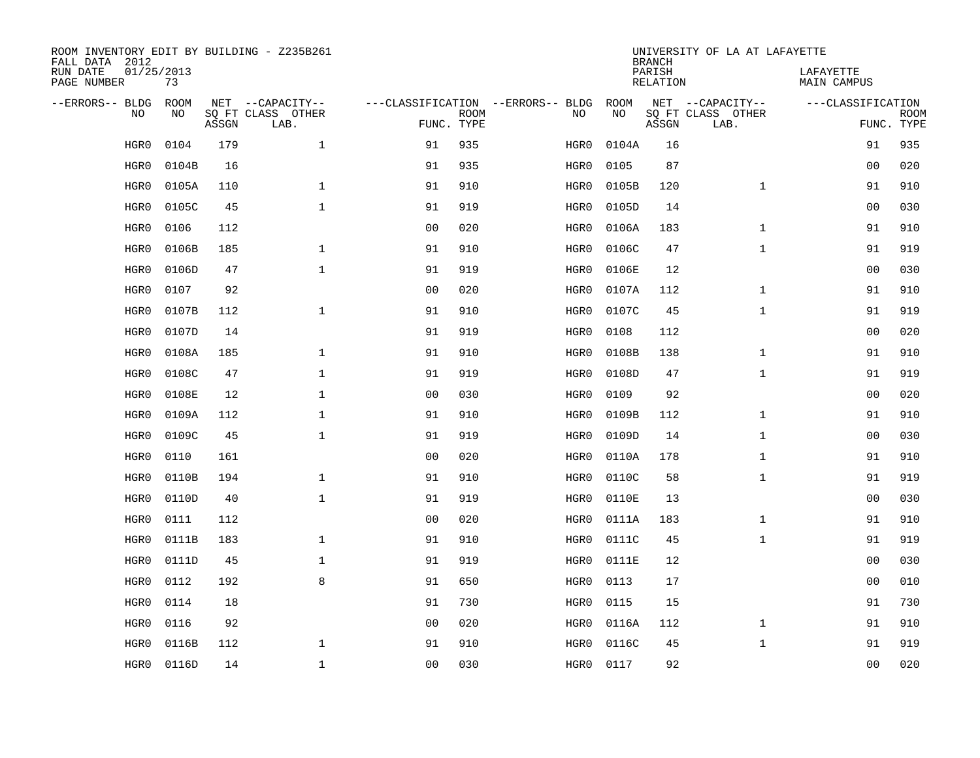| ROOM INVENTORY EDIT BY BUILDING - Z235B261<br>FALL DATA 2012 |                  |       | UNIVERSITY OF LA AT LAFAYETTE<br><b>BRANCH</b> |                |             |                                   |       |                           |                           |                          |                           |
|--------------------------------------------------------------|------------------|-------|------------------------------------------------|----------------|-------------|-----------------------------------|-------|---------------------------|---------------------------|--------------------------|---------------------------|
| RUN DATE<br>PAGE NUMBER                                      | 01/25/2013<br>73 |       |                                                |                |             |                                   |       | PARISH<br><b>RELATION</b> |                           | LAFAYETTE<br>MAIN CAMPUS |                           |
| --ERRORS-- BLDG                                              | <b>ROOM</b>      |       | NET --CAPACITY--                               |                |             | ---CLASSIFICATION --ERRORS-- BLDG | ROOM  |                           | NET --CAPACITY--          | ---CLASSIFICATION        |                           |
| NO                                                           | NO               | ASSGN | SQ FT CLASS OTHER<br>LAB.                      | FUNC. TYPE     | <b>ROOM</b> | NO                                | NO    | ASSGN                     | SQ FT CLASS OTHER<br>LAB. |                          | <b>ROOM</b><br>FUNC. TYPE |
| HGR0                                                         | 0104             | 179   | $\mathbf{1}$                                   | 91             | 935         | HGR0                              | 0104A | 16                        |                           | 91                       | 935                       |
| HGR0                                                         | 0104B            | 16    |                                                | 91             | 935         | HGR0                              | 0105  | 87                        |                           | 0 <sub>0</sub>           | 020                       |
| HGR0                                                         | 0105A            | 110   | $\mathbf{1}$                                   | 91             | 910         | HGR0                              | 0105B | 120                       | $\mathbf{1}$              | 91                       | 910                       |
| HGR0                                                         | 0105C            | 45    | $\mathbf 1$                                    | 91             | 919         | HGR0                              | 0105D | 14                        |                           | 0 <sub>0</sub>           | 030                       |
| HGR0                                                         | 0106             | 112   |                                                | 0 <sub>0</sub> | 020         | HGR0                              | 0106A | 183                       | $\mathbf{1}$              | 91                       | 910                       |
| HGR0                                                         | 0106B            | 185   | $\mathbf{1}$                                   | 91             | 910         | HGR0                              | 0106C | 47                        | $\mathbf{1}$              | 91                       | 919                       |
| HGR0                                                         | 0106D            | 47    | $\mathbf{1}$                                   | 91             | 919         | HGR0                              | 0106E | 12                        |                           | 00                       | 030                       |
| HGR0                                                         | 0107             | 92    |                                                | 0 <sub>0</sub> | 020         | HGR0                              | 0107A | 112                       | $\mathbf{1}$              | 91                       | 910                       |
| HGR0                                                         | 0107B            | 112   | $\mathbf{1}$                                   | 91             | 910         | HGR0                              | 0107C | 45                        | $\mathbf{1}$              | 91                       | 919                       |
| HGR0                                                         | 0107D            | 14    |                                                | 91             | 919         | HGR0                              | 0108  | 112                       |                           | 00                       | 020                       |
| HGR0                                                         | 0108A            | 185   | $\mathbf{1}$                                   | 91             | 910         | HGR0                              | 0108B | 138                       | $\mathbf{1}$              | 91                       | 910                       |
| HGR0                                                         | 0108C            | 47    | $\mathbf 1$                                    | 91             | 919         | HGR0                              | 0108D | 47                        | $\mathbf{1}$              | 91                       | 919                       |
| HGR0                                                         | 0108E            | 12    | $\mathbf{1}$                                   | 0 <sub>0</sub> | 030         | HGR0                              | 0109  | 92                        |                           | 0 <sub>0</sub>           | 020                       |
| HGR0                                                         | 0109A            | 112   | $\mathbf{1}$                                   | 91             | 910         | HGR0                              | 0109B | 112                       | $\mathbf{1}$              | 91                       | 910                       |
| HGR0                                                         | 0109C            | 45    | $\mathbf 1$                                    | 91             | 919         | HGR0                              | 0109D | 14                        | $\mathbf{1}$              | 00                       | 030                       |
| HGR0                                                         | 0110             | 161   |                                                | 0 <sub>0</sub> | 020         | HGR0                              | 0110A | 178                       | $\mathbf{1}$              | 91                       | 910                       |
| HGR0                                                         | 0110B            | 194   | $\mathbf 1$                                    | 91             | 910         | HGR0                              | 0110C | 58                        | $\mathbf{1}$              | 91                       | 919                       |
| HGR0                                                         | 0110D            | 40    | $\mathbf{1}$                                   | 91             | 919         | HGR0                              | 0110E | 13                        |                           | 00                       | 030                       |
| HGR0                                                         | 0111             | 112   |                                                | 0 <sub>0</sub> | 020         | HGR0                              | 0111A | 183                       | $\mathbf{1}$              | 91                       | 910                       |
| HGR0                                                         | 0111B            | 183   | $\mathbf{1}$                                   | 91             | 910         | HGR0                              | 0111C | 45                        | $\mathbf{1}$              | 91                       | 919                       |
| HGR0                                                         | 0111D            | 45    | $\mathbf{1}$                                   | 91             | 919         | HGR0                              | 0111E | 12                        |                           | 0 <sub>0</sub>           | 030                       |
| HGR0                                                         | 0112             | 192   | 8                                              | 91             | 650         | HGR0                              | 0113  | 17                        |                           | 0 <sub>0</sub>           | 010                       |
| HGR0                                                         | 0114             | 18    |                                                | 91             | 730         | HGR0                              | 0115  | 15                        |                           | 91                       | 730                       |
| HGR0                                                         | 0116             | 92    |                                                | 0 <sub>0</sub> | 020         | HGR0                              | 0116A | 112                       | $\mathbf{1}$              | 91                       | 910                       |
| HGR0                                                         | 0116B            | 112   | $\mathbf{1}$                                   | 91             | 910         | HGR0                              | 0116C | 45                        | $\mathbf{1}$              | 91                       | 919                       |
| HGR0                                                         | 0116D            | 14    | $\mathbf 1$                                    | 00             | 030         | HGR0                              | 0117  | 92                        |                           | 00                       | 020                       |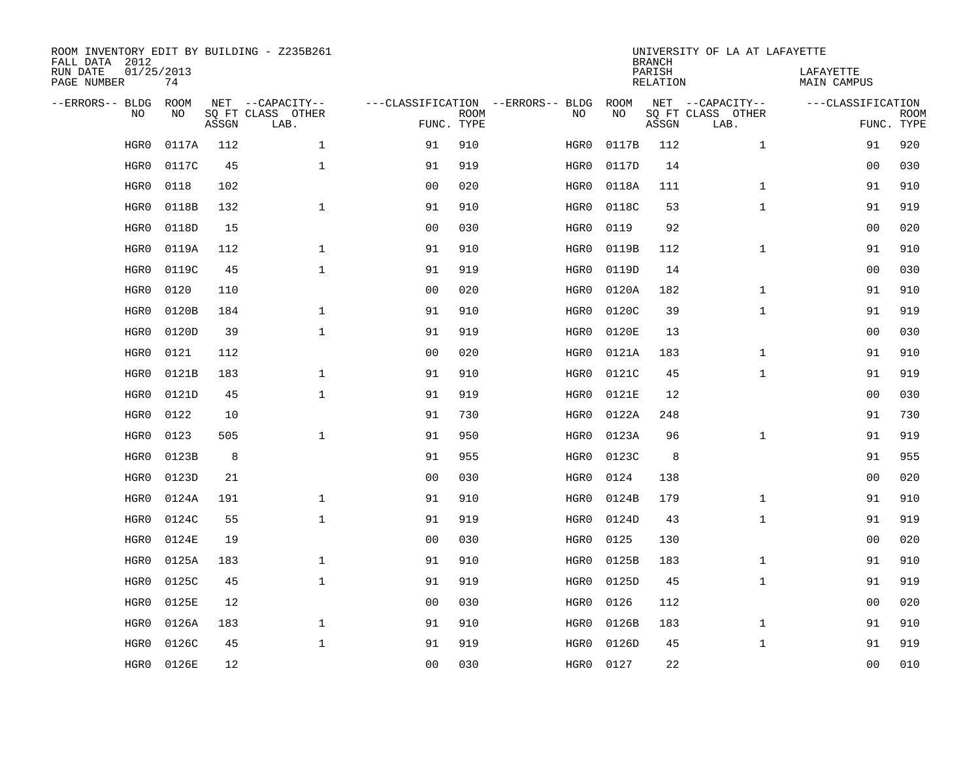| ROOM INVENTORY EDIT BY BUILDING - Z235B261<br>FALL DATA 2012 |                  |       |                           |                |             |                                   | <b>BRANCH</b> | UNIVERSITY OF LA AT LAFAYETTE |                           |                          |                           |
|--------------------------------------------------------------|------------------|-------|---------------------------|----------------|-------------|-----------------------------------|---------------|-------------------------------|---------------------------|--------------------------|---------------------------|
| RUN DATE<br>PAGE NUMBER                                      | 01/25/2013<br>74 |       |                           |                |             |                                   |               | PARISH<br><b>RELATION</b>     |                           | LAFAYETTE<br>MAIN CAMPUS |                           |
| --ERRORS-- BLDG                                              | <b>ROOM</b>      |       | NET --CAPACITY--          |                |             | ---CLASSIFICATION --ERRORS-- BLDG | ROOM          |                               | NET --CAPACITY--          | ---CLASSIFICATION        |                           |
| NO                                                           | NO               | ASSGN | SQ FT CLASS OTHER<br>LAB. | FUNC. TYPE     | <b>ROOM</b> | NO                                | NO            | ASSGN                         | SQ FT CLASS OTHER<br>LAB. |                          | <b>ROOM</b><br>FUNC. TYPE |
| HGR0                                                         | 0117A            | 112   | $\mathbf{1}$              | 91             | 910         | HGR0                              | 0117B         | 112                           | $\mathbf{1}$              | 91                       | 920                       |
| HGR0                                                         | 0117C            | 45    | $\mathbf 1$               | 91             | 919         | HGR0                              | 0117D         | 14                            |                           | 0 <sub>0</sub>           | 030                       |
| HGR0                                                         | 0118             | 102   |                           | 0 <sub>0</sub> | 020         | HGR0                              | 0118A         | 111                           | $\mathbf{1}$              | 91                       | 910                       |
| HGR0                                                         | 0118B            | 132   | $\mathbf 1$               | 91             | 910         | HGR0                              | 0118C         | 53                            | $\mathbf{1}$              | 91                       | 919                       |
| HGR0                                                         | 0118D            | 15    |                           | 0 <sub>0</sub> | 030         | HGR0                              | 0119          | 92                            |                           | 00                       | 020                       |
| HGR0                                                         | 0119A            | 112   | $\mathbf{1}$              | 91             | 910         | HGR0                              | 0119B         | 112                           | $\mathbf{1}$              | 91                       | 910                       |
| HGR0                                                         | 0119C            | 45    | $\mathbf{1}$              | 91             | 919         | HGR0                              | 0119D         | 14                            |                           | 00                       | 030                       |
| HGR0                                                         | 0120             | 110   |                           | 0 <sub>0</sub> | 020         | HGR0                              | 0120A         | 182                           | $\mathbf{1}$              | 91                       | 910                       |
| HGR0                                                         | 0120B            | 184   | $\mathbf{1}$              | 91             | 910         | HGR0                              | 0120C         | 39                            | $\mathbf{1}$              | 91                       | 919                       |
| HGR0                                                         | 0120D            | 39    | $\mathbf{1}$              | 91             | 919         | HGR0                              | 0120E         | 13                            |                           | 00                       | 030                       |
| HGR0                                                         | 0121             | 112   |                           | 0 <sub>0</sub> | 020         | HGR0                              | 0121A         | 183                           | $\mathbf{1}$              | 91                       | 910                       |
| HGR0                                                         | 0121B            | 183   | $\mathbf 1$               | 91             | 910         | HGR0                              | 0121C         | 45                            | $\mathbf{1}$              | 91                       | 919                       |
| HGR0                                                         | 0121D            | 45    | $\mathbf{1}$              | 91             | 919         | HGR0                              | 0121E         | 12                            |                           | 0 <sub>0</sub>           | 030                       |
| HGR0                                                         | 0122             | 10    |                           | 91             | 730         | HGR0                              | 0122A         | 248                           |                           | 91                       | 730                       |
| HGR0                                                         | 0123             | 505   | $\mathbf 1$               | 91             | 950         | HGR0                              | 0123A         | 96                            | $\mathbf{1}$              | 91                       | 919                       |
| HGR0                                                         | 0123B            | 8     |                           | 91             | 955         | HGR0                              | 0123C         | 8                             |                           | 91                       | 955                       |
| HGR0                                                         | 0123D            | 21    |                           | 0 <sub>0</sub> | 030         | HGR0                              | 0124          | 138                           |                           | 00                       | 020                       |
| HGR0                                                         | 0124A            | 191   | $\mathbf 1$               | 91             | 910         | HGR0                              | 0124B         | 179                           | $\mathbf{1}$              | 91                       | 910                       |
| HGR0                                                         | 0124C            | 55    | $\mathbf{1}$              | 91             | 919         | HGR0                              | 0124D         | 43                            | $\mathbf{1}$              | 91                       | 919                       |
| HGR0                                                         | 0124E            | 19    |                           | 0 <sub>0</sub> | 030         | HGR0                              | 0125          | 130                           |                           | 00                       | 020                       |
| HGR0                                                         | 0125A            | 183   | $\mathbf{1}$              | 91             | 910         | HGR0                              | 0125B         | 183                           | $\mathbf{1}$              | 91                       | 910                       |
| HGR0                                                         | 0125C            | 45    | $\mathbf{1}$              | 91             | 919         | HGR0                              | 0125D         | 45                            | $\mathbf{1}$              | 91                       | 919                       |
| HGR0                                                         | 0125E            | 12    |                           | 0 <sub>0</sub> | 030         | HGR0                              | 0126          | 112                           |                           | 0 <sub>0</sub>           | 020                       |
| HGR0                                                         | 0126A            | 183   | $\mathbf 1$               | 91             | 910         | HGR0                              | 0126B         | 183                           | $\mathbf{1}$              | 91                       | 910                       |
| HGR0                                                         | 0126C            | 45    | $\mathbf 1$               | 91             | 919         | HGR0                              | 0126D         | 45                            | $\mathbf{1}$              | 91                       | 919                       |
| HGR0                                                         | 0126E            | 12    |                           | 00             | 030         | HGR0                              | 0127          | 22                            |                           | 00                       | 010                       |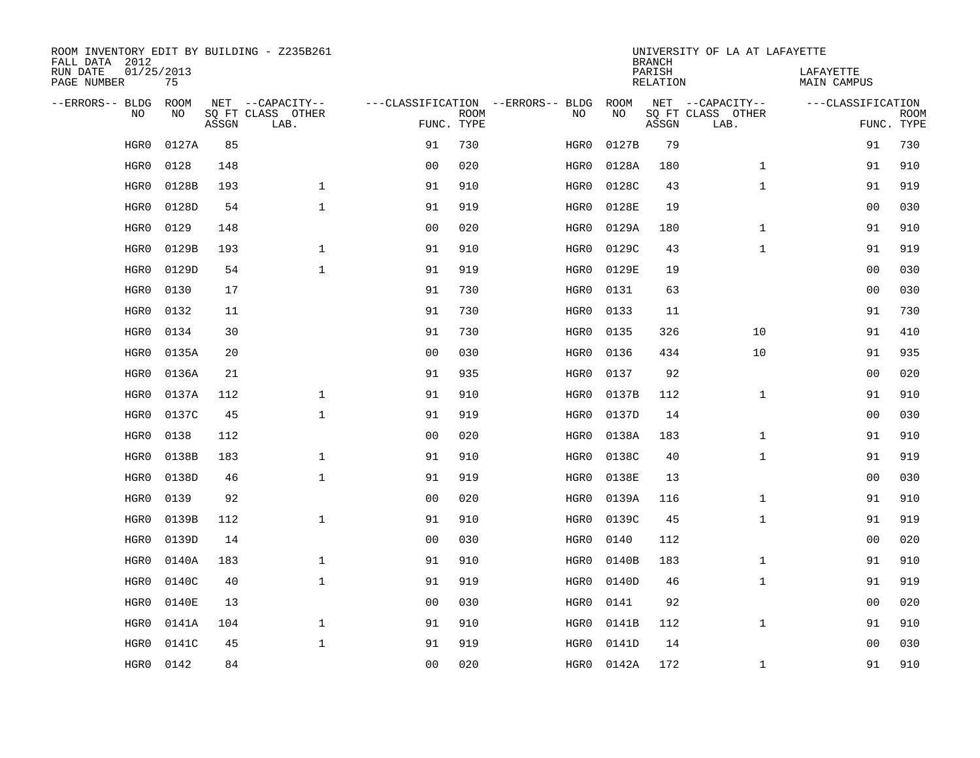| ROOM INVENTORY EDIT BY BUILDING - Z235B261<br>FALL DATA 2012 |                  |       |                           |                |             |                                   |       | <b>BRANCH</b>             | UNIVERSITY OF LA AT LAFAYETTE |                                 |                           |
|--------------------------------------------------------------|------------------|-------|---------------------------|----------------|-------------|-----------------------------------|-------|---------------------------|-------------------------------|---------------------------------|---------------------------|
| RUN DATE<br>PAGE NUMBER                                      | 01/25/2013<br>75 |       |                           |                |             |                                   |       | PARISH<br><b>RELATION</b> |                               | LAFAYETTE<br><b>MAIN CAMPUS</b> |                           |
| --ERRORS-- BLDG                                              | <b>ROOM</b>      |       | NET --CAPACITY--          |                |             | ---CLASSIFICATION --ERRORS-- BLDG | ROOM  |                           | NET --CAPACITY--              | ---CLASSIFICATION               |                           |
| N <sub>O</sub>                                               | NO.              | ASSGN | SO FT CLASS OTHER<br>LAB. | FUNC. TYPE     | <b>ROOM</b> | NO.                               | NO    | ASSGN                     | SQ FT CLASS OTHER<br>LAB.     |                                 | <b>ROOM</b><br>FUNC. TYPE |
| HGR0                                                         | 0127A            | 85    |                           | 91             | 730         | HGR0                              | 0127B | 79                        |                               | 91                              | 730                       |
| HGR0                                                         | 0128             | 148   |                           | 0 <sub>0</sub> | 020         | HGR0                              | 0128A | 180                       | $\mathbf{1}$                  | 91                              | 910                       |
| HGR0                                                         | 0128B            | 193   | $\mathbf{1}$              | 91             | 910         | HGR0                              | 0128C | 43                        | $\mathbf{1}$                  | 91                              | 919                       |
| HGR0                                                         | 0128D            | 54    | $\mathbf{1}$              | 91             | 919         | HGR0                              | 0128E | 19                        |                               | 00                              | 030                       |
| HGR0                                                         | 0129             | 148   |                           | 0 <sub>0</sub> | 020         | HGR0                              | 0129A | 180                       | $\mathbf{1}$                  | 91                              | 910                       |
| HGR0                                                         | 0129B            | 193   | $\mathbf 1$               | 91             | 910         | HGR0                              | 0129C | 43                        | $\mathbf{1}$                  | 91                              | 919                       |
| HGR0                                                         | 0129D            | 54    | $\mathbf{1}$              | 91             | 919         | HGR0                              | 0129E | 19                        |                               | 00                              | 030                       |
| HGR0                                                         | 0130             | 17    |                           | 91             | 730         | HGR0                              | 0131  | 63                        |                               | 0 <sub>0</sub>                  | 030                       |
| HGR0                                                         | 0132             | 11    |                           | 91             | 730         | HGR0                              | 0133  | 11                        |                               | 91                              | 730                       |
| HGR0                                                         | 0134             | 30    |                           | 91             | 730         | HGR0                              | 0135  | 326                       | 10                            | 91                              | 410                       |
| HGR0                                                         | 0135A            | 20    |                           | 0 <sub>0</sub> | 030         | HGR0                              | 0136  | 434                       | 10                            | 91                              | 935                       |
| HGR0                                                         | 0136A            | 21    |                           | 91             | 935         | HGR0                              | 0137  | 92                        |                               | 0 <sub>0</sub>                  | 020                       |
| HGR0                                                         | 0137A            | 112   | $\mathbf{1}$              | 91             | 910         | HGR0                              | 0137B | 112                       | $\mathbf{1}$                  | 91                              | 910                       |
| HGR0                                                         | 0137C            | 45    | $\mathbf{1}$              | 91             | 919         | HGR0                              | 0137D | 14                        |                               | 00                              | 030                       |
| HGR0                                                         | 0138             | 112   |                           | 0 <sub>0</sub> | 020         | HGR0                              | 0138A | 183                       | $\mathbf{1}$                  | 91                              | 910                       |
| HGR0                                                         | 0138B            | 183   | $\mathbf 1$               | 91             | 910         | HGR0                              | 0138C | 40                        | $\mathbf{1}$                  | 91                              | 919                       |
| HGR0                                                         | 0138D            | 46    | $\mathbf{1}$              | 91             | 919         | HGR0                              | 0138E | 13                        |                               | 00                              | 030                       |
| HGR0                                                         | 0139             | 92    |                           | 00             | 020         | HGR0                              | 0139A | 116                       | $\mathbf{1}$                  | 91                              | 910                       |
| HGR0                                                         | 0139B            | 112   | $\mathbf{1}$              | 91             | 910         | HGR0                              | 0139C | 45                        | $\mathbf{1}$                  | 91                              | 919                       |
| HGR0                                                         | 0139D            | 14    |                           | 0 <sub>0</sub> | 030         | HGR0                              | 0140  | 112                       |                               | 00                              | 020                       |
| HGR0                                                         | 0140A            | 183   | $\mathbf{1}$              | 91             | 910         | HGR0                              | 0140B | 183                       | $\mathbf{1}$                  | 91                              | 910                       |
| HGR0                                                         | 0140C            | 40    | $\mathbf{1}$              | 91             | 919         | HGR0                              | 0140D | 46                        | $\mathbf{1}$                  | 91                              | 919                       |
| HGR0                                                         | 0140E            | 13    |                           | 0 <sub>0</sub> | 030         | HGR0                              | 0141  | 92                        |                               | 0 <sub>0</sub>                  | 020                       |
| HGR0                                                         | 0141A            | 104   | $\mathbf 1$               | 91             | 910         | HGR0                              | 0141B | 112                       | $\mathbf{1}$                  | 91                              | 910                       |
| HGR0                                                         | 0141C            | 45    | $\mathbf{1}$              | 91             | 919         | HGR0                              | 0141D | 14                        |                               | 0 <sub>0</sub>                  | 030                       |
| HGR0                                                         | 0142             | 84    |                           | 00             | 020         | HGR0                              | 0142A | 172                       | $\mathbf{1}$                  | 91                              | 910                       |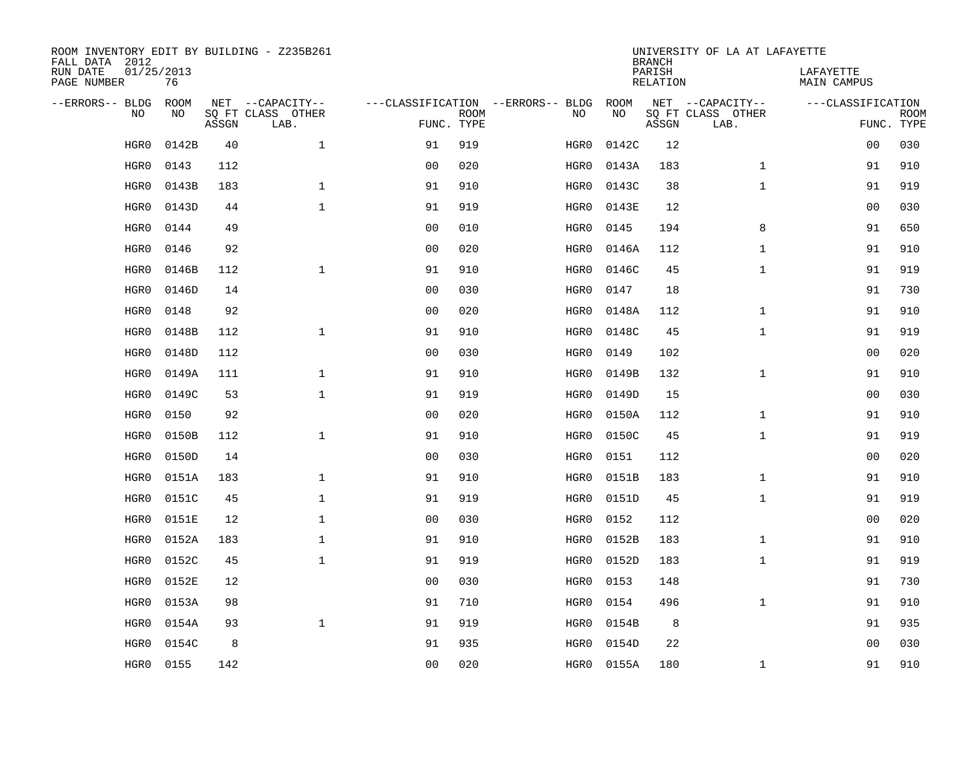| ROOM INVENTORY EDIT BY BUILDING - Z235B261<br>FALL DATA 2012 |                  |       |                           |                |                           |                                   | <b>BRANCH</b> | UNIVERSITY OF LA AT LAFAYETTE |                           |                          |                           |
|--------------------------------------------------------------|------------------|-------|---------------------------|----------------|---------------------------|-----------------------------------|---------------|-------------------------------|---------------------------|--------------------------|---------------------------|
| RUN DATE<br>PAGE NUMBER                                      | 01/25/2013<br>76 |       |                           |                |                           |                                   |               | PARISH<br><b>RELATION</b>     |                           | LAFAYETTE<br>MAIN CAMPUS |                           |
| --ERRORS-- BLDG                                              | ROOM             |       | NET --CAPACITY--          |                |                           | ---CLASSIFICATION --ERRORS-- BLDG | ROOM          |                               | NET --CAPACITY--          | ---CLASSIFICATION        |                           |
| NO                                                           | NO               | ASSGN | SQ FT CLASS OTHER<br>LAB. |                | <b>ROOM</b><br>FUNC. TYPE | NO                                | NO            | ASSGN                         | SQ FT CLASS OTHER<br>LAB. |                          | <b>ROOM</b><br>FUNC. TYPE |
| HGR0                                                         | 0142B            | 40    | $\mathbf{1}$              | 91             | 919                       | HGR0                              | 0142C         | 12                            |                           | 0 <sub>0</sub>           | 030                       |
| HGR0                                                         | 0143             | 112   |                           | 00             | 020                       | HGR0                              | 0143A         | 183                           | $\mathbf{1}$              | 91                       | 910                       |
| HGR0                                                         | 0143B            | 183   | $\mathbf{1}$              | 91             | 910                       | HGR0                              | 0143C         | 38                            | $\mathbf{1}$              | 91                       | 919                       |
| HGR0                                                         | 0143D            | 44    | $\mathbf{1}$              | 91             | 919                       | HGR0                              | 0143E         | 12                            |                           | 0 <sub>0</sub>           | 030                       |
| HGR0                                                         | 0144             | 49    |                           | 0 <sub>0</sub> | 010                       | HGR0                              | 0145          | 194                           | 8                         | 91                       | 650                       |
| HGR0                                                         | 0146             | 92    |                           | 0 <sub>0</sub> | 020                       | HGR0                              | 0146A         | 112                           | $\mathbf{1}$              | 91                       | 910                       |
| HGR0                                                         | 0146B            | 112   | $\mathbf{1}$              | 91             | 910                       | HGR0                              | 0146C         | 45                            | $\mathbf{1}$              | 91                       | 919                       |
| HGR0                                                         | 0146D            | 14    |                           | 0 <sub>0</sub> | 030                       | HGR0                              | 0147          | 18                            |                           | 91                       | 730                       |
| HGR0                                                         | 0148             | 92    |                           | 0 <sub>0</sub> | 020                       | HGR0                              | 0148A         | 112                           | $\mathbf{1}$              | 91                       | 910                       |
| HGR0                                                         | 0148B            | 112   | $\mathbf{1}$              | 91             | 910                       | HGR0                              | 0148C         | 45                            | $\mathbf{1}$              | 91                       | 919                       |
| HGR0                                                         | 0148D            | 112   |                           | 0 <sub>0</sub> | 030                       | HGR0                              | 0149          | 102                           |                           | 0 <sub>0</sub>           | 020                       |
| HGR0                                                         | 0149A            | 111   | $\mathbf 1$               | 91             | 910                       | HGR0                              | 0149B         | 132                           | $\mathbf{1}$              | 91                       | 910                       |
| HGR0                                                         | 0149C            | 53    | $\mathbf{1}$              | 91             | 919                       | HGR0                              | 0149D         | 15                            |                           | 0 <sub>0</sub>           | 030                       |
| HGR0                                                         | 0150             | 92    |                           | 00             | 020                       | HGR0                              | 0150A         | 112                           | $\mathbf{1}$              | 91                       | 910                       |
| HGR0                                                         | 0150B            | 112   | $\mathbf 1$               | 91             | 910                       | HGR0                              | 0150C         | 45                            | $\mathbf{1}$              | 91                       | 919                       |
| HGR0                                                         | 0150D            | 14    |                           | 0 <sub>0</sub> | 030                       | HGR0                              | 0151          | 112                           |                           | 00                       | 020                       |
| HGR0                                                         | 0151A            | 183   | $\mathbf 1$               | 91             | 910                       | HGR0                              | 0151B         | 183                           | $\mathbf{1}$              | 91                       | 910                       |
| HGR0                                                         | 0151C            | 45    | $\mathbf 1$               | 91             | 919                       | HGR0                              | 0151D         | 45                            | $\mathbf{1}$              | 91                       | 919                       |
| HGR0                                                         | 0151E            | 12    | $\mathbf{1}$              | 0 <sub>0</sub> | 030                       | HGR0                              | 0152          | 112                           |                           | 00                       | 020                       |
| HGR0                                                         | 0152A            | 183   | $\mathbf 1$               | 91             | 910                       | HGR0                              | 0152B         | 183                           | $\mathbf{1}$              | 91                       | 910                       |
| HGR0                                                         | 0152C            | 45    | $\mathbf{1}$              | 91             | 919                       | HGR0                              | 0152D         | 183                           | $\mathbf{1}$              | 91                       | 919                       |
| HGR0                                                         | 0152E            | 12    |                           | 0 <sub>0</sub> | 030                       | HGR0                              | 0153          | 148                           |                           | 91                       | 730                       |
| HGR0                                                         | 0153A            | 98    |                           | 91             | 710                       | HGR0                              | 0154          | 496                           | $\mathbf{1}$              | 91                       | 910                       |
| HGR0                                                         | 0154A            | 93    | $\mathbf 1$               | 91             | 919                       | HGR0                              | 0154B         | 8                             |                           | 91                       | 935                       |
| HGR0                                                         | 0154C            | 8     |                           | 91             | 935                       | HGR0                              | 0154D         | 22                            |                           | 0 <sub>0</sub>           | 030                       |
| HGR0                                                         | 0155             | 142   |                           | 00             | 020                       |                                   | HGR0 0155A    | 180                           | $\mathbf{1}$              | 91                       | 910                       |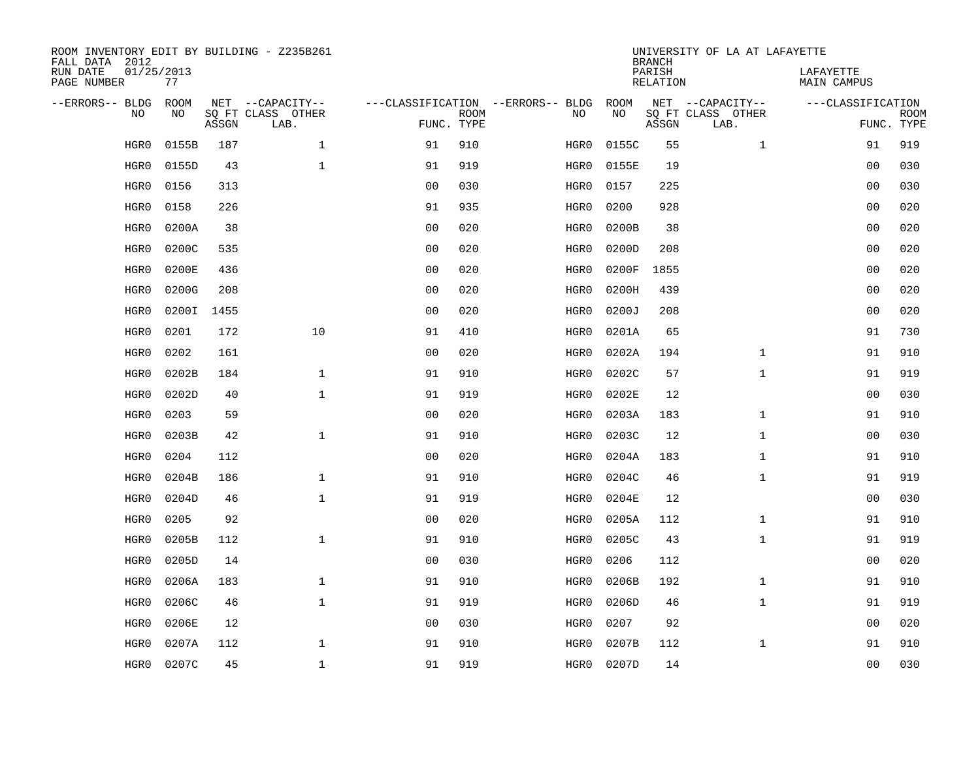| FALL DATA 2012               |                  |       | ROOM INVENTORY EDIT BY BUILDING - Z235B261 |                                   |             |      |            | <b>BRANCH</b>      | UNIVERSITY OF LA AT LAFAYETTE |                          |                           |
|------------------------------|------------------|-------|--------------------------------------------|-----------------------------------|-------------|------|------------|--------------------|-------------------------------|--------------------------|---------------------------|
| RUN DATE<br>PAGE NUMBER      | 01/25/2013<br>77 |       |                                            |                                   |             |      |            | PARISH<br>RELATION |                               | LAFAYETTE<br>MAIN CAMPUS |                           |
| --ERRORS-- BLDG<br><b>NO</b> | ROOM<br>NO.      |       | NET --CAPACITY--                           | ---CLASSIFICATION --ERRORS-- BLDG |             |      | ROOM<br>NO |                    | NET --CAPACITY--              | ---CLASSIFICATION        |                           |
|                              |                  | ASSGN | SQ FT CLASS OTHER<br>LAB.                  | FUNC. TYPE                        | <b>ROOM</b> | NO   |            | ASSGN              | SQ FT CLASS OTHER<br>LAB.     |                          | <b>ROOM</b><br>FUNC. TYPE |
| HGR0                         | 0155B            | 187   | $\mathbf{1}$                               | 91                                | 910         | HGR0 | 0155C      | 55                 | $\mathbf{1}$                  | 91                       | 919                       |
| HGR0                         | 0155D            | 43    | $\mathbf{1}$                               | 91                                | 919         | HGR0 | 0155E      | 19                 |                               | 0 <sub>0</sub>           | 030                       |
| HGR0                         | 0156             | 313   |                                            | 0 <sub>0</sub>                    | 030         | HGR0 | 0157       | 225                |                               | 0 <sub>0</sub>           | 030                       |
| HGR0                         | 0158             | 226   |                                            | 91                                | 935         | HGR0 | 0200       | 928                |                               | 0 <sub>0</sub>           | 020                       |
| HGR0                         | 0200A            | 38    |                                            | 0 <sub>0</sub>                    | 020         | HGR0 | 0200B      | 38                 |                               | 0 <sub>0</sub>           | 020                       |
| HGR0                         | 0200C            | 535   |                                            | 0 <sub>0</sub>                    | 020         | HGR0 | 0200D      | 208                |                               | 00                       | 020                       |
| HGR0                         | 0200E            | 436   |                                            | 0 <sub>0</sub>                    | 020         | HGR0 | 0200F      | 1855               |                               | 00                       | 020                       |
| HGR0                         | 0200G            | 208   |                                            | 0 <sub>0</sub>                    | 020         | HGR0 | 0200H      | 439                |                               | 0 <sub>0</sub>           | 020                       |
| HGR0                         | 0200I            | 1455  |                                            | 0 <sub>0</sub>                    | 020         | HGR0 | 0200J      | 208                |                               | 00                       | 020                       |
| HGR0                         | 0201             | 172   | 10                                         | 91                                | 410         | HGR0 | 0201A      | 65                 |                               | 91                       | 730                       |
| HGR0                         | 0202             | 161   |                                            | 0 <sub>0</sub>                    | 020         | HGR0 | 0202A      | 194                | $\mathbf{1}$                  | 91                       | 910                       |
| HGR0                         | 0202B            | 184   | $\mathbf 1$                                | 91                                | 910         | HGR0 | 0202C      | 57                 | $\mathbf{1}$                  | 91                       | 919                       |
| HGR0                         | 0202D            | 40    | $\mathbf{1}$                               | 91                                | 919         | HGR0 | 0202E      | 12                 |                               | 00                       | 030                       |
| HGR0                         | 0203             | 59    |                                            | 0 <sub>0</sub>                    | 020         | HGR0 | 0203A      | 183                | $\mathbf{1}$                  | 91                       | 910                       |
| HGR0                         | 0203B            | 42    | $\mathbf{1}$                               | 91                                | 910         | HGR0 | 0203C      | 12                 | $\mathbf{1}$                  | 00                       | 030                       |
| HGR0                         | 0204             | 112   |                                            | 0 <sub>0</sub>                    | 020         | HGR0 | 0204A      | 183                | $\mathbf{1}$                  | 91                       | 910                       |
| HGR0                         | 0204B            | 186   | $\mathbf{1}$                               | 91                                | 910         | HGR0 | 0204C      | 46                 | $\mathbf{1}$                  | 91                       | 919                       |
| HGR0                         | 0204D            | 46    | $\mathbf 1$                                | 91                                | 919         | HGR0 | 0204E      | 12                 |                               | 00                       | 030                       |
| HGR0                         | 0205             | 92    |                                            | 0 <sub>0</sub>                    | 020         | HGR0 | 0205A      | 112                | $\mathbf{1}$                  | 91                       | 910                       |
| HGR0                         | 0205B            | 112   | $\mathbf{1}$                               | 91                                | 910         | HGR0 | 0205C      | 43                 | $\mathbf{1}$                  | 91                       | 919                       |
| HGR0                         | 0205D            | 14    |                                            | 0 <sub>0</sub>                    | 030         | HGR0 | 0206       | 112                |                               | 00                       | 020                       |
| HGR0                         | 0206A            | 183   | $\mathbf 1$                                | 91                                | 910         | HGR0 | 0206B      | 192                | $\mathbf{1}$                  | 91                       | 910                       |
| HGR0                         | 0206C            | 46    | $\mathbf{1}$                               | 91                                | 919         | HGR0 | 0206D      | 46                 | $\mathbf{1}$                  | 91                       | 919                       |
| HGR0                         | 0206E            | 12    |                                            | 0 <sub>0</sub>                    | 030         | HGR0 | 0207       | 92                 |                               | 0 <sub>0</sub>           | 020                       |
| HGR0                         | 0207A            | 112   | $\mathbf 1$                                | 91                                | 910         | HGR0 | 0207B      | 112                | $\mathbf{1}$                  | 91                       | 910                       |
| HGR0                         | 0207C            | 45    | $\mathbf{1}$                               | 91                                | 919         | HGR0 | 0207D      | 14                 |                               | 0 <sub>0</sub>           | 030                       |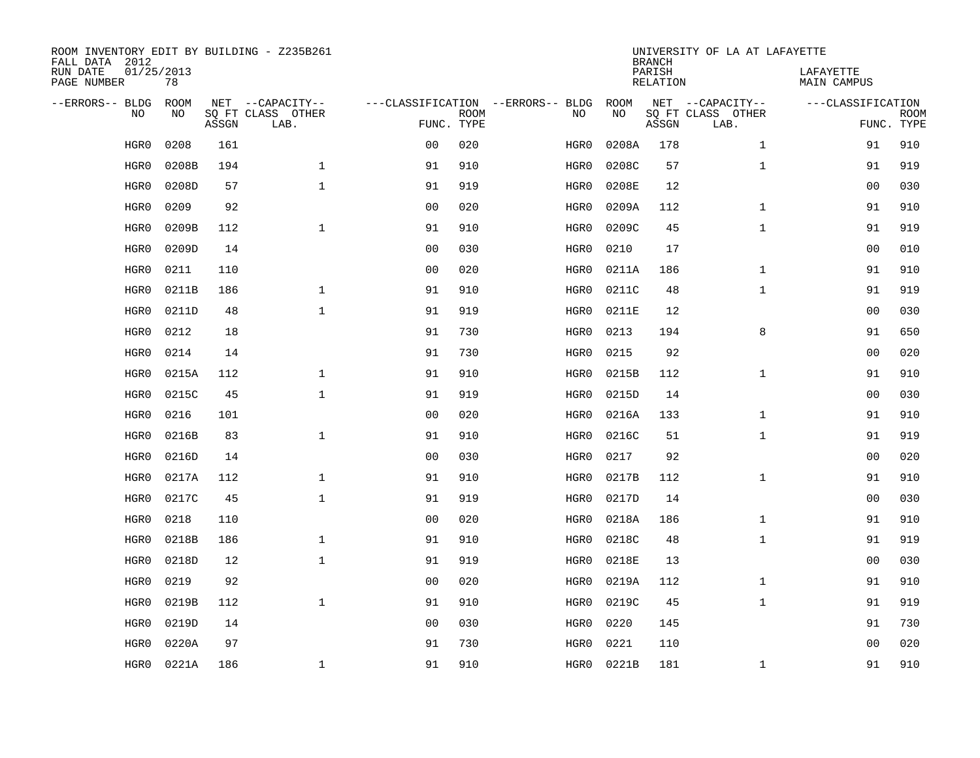| ROOM INVENTORY EDIT BY BUILDING - Z235B261<br>FALL DATA 2012 |                  |       |                           |                |             |                                   | <b>BRANCH</b> | UNIVERSITY OF LA AT LAFAYETTE |                           |                                 |             |
|--------------------------------------------------------------|------------------|-------|---------------------------|----------------|-------------|-----------------------------------|---------------|-------------------------------|---------------------------|---------------------------------|-------------|
| RUN DATE<br>PAGE NUMBER                                      | 01/25/2013<br>78 |       |                           |                |             |                                   |               | PARISH<br><b>RELATION</b>     |                           | LAFAYETTE<br><b>MAIN CAMPUS</b> |             |
| --ERRORS-- BLDG                                              | ROOM             |       | NET --CAPACITY--          |                |             | ---CLASSIFICATION --ERRORS-- BLDG | ROOM          |                               | NET --CAPACITY--          | ---CLASSIFICATION               |             |
| NO                                                           | NO               | ASSGN | SQ FT CLASS OTHER<br>LAB. | FUNC. TYPE     | <b>ROOM</b> | NO                                | NO            | ASSGN                         | SQ FT CLASS OTHER<br>LAB. | FUNC. TYPE                      | <b>ROOM</b> |
| HGR0                                                         | 0208             | 161   |                           | 0 <sub>0</sub> | 020         | HGR0                              | 0208A         | 178                           | $\mathbf{1}$              | 91                              | 910         |
| HGR0                                                         | 0208B            | 194   | $\mathbf 1$               | 91             | 910         | HGR0                              | 0208C         | 57                            | $\mathbf{1}$              | 91                              | 919         |
| HGR0                                                         | 0208D            | 57    | $\mathbf 1$               | 91             | 919         | HGR0                              | 0208E         | 12                            |                           | 00                              | 030         |
| HGR0                                                         | 0209             | 92    |                           | 0 <sub>0</sub> | 020         | HGR0                              | 0209A         | 112                           | $\mathbf{1}$              | 91                              | 910         |
| HGR0                                                         | 0209B            | 112   | $\mathbf{1}$              | 91             | 910         | HGR0                              | 0209C         | 45                            | $\mathbf{1}$              | 91                              | 919         |
| HGR0                                                         | 0209D            | 14    |                           | 0 <sub>0</sub> | 030         | HGR0                              | 0210          | 17                            |                           | 0 <sub>0</sub>                  | 010         |
| HGR0                                                         | 0211             | 110   |                           | 0 <sub>0</sub> | 020         | HGR0                              | 0211A         | 186                           | $\mathbf{1}$              | 91                              | 910         |
| HGR0                                                         | 0211B            | 186   | $\mathbf{1}$              | 91             | 910         | HGR0                              | 0211C         | 48                            | $\mathbf{1}$              | 91                              | 919         |
| HGR0                                                         | 0211D            | 48    | $\mathbf{1}$              | 91             | 919         | HGR0                              | 0211E         | 12                            |                           | 00                              | 030         |
| HGR0                                                         | 0212             | 18    |                           | 91             | 730         | HGR0                              | 0213          | 194                           | 8                         | 91                              | 650         |
| HGR0                                                         | 0214             | 14    |                           | 91             | 730         | HGR0                              | 0215          | 92                            |                           | 00                              | 020         |
| HGR0                                                         | 0215A            | 112   | $\mathbf{1}$              | 91             | 910         | HGR0                              | 0215B         | 112                           | $\mathbf{1}$              | 91                              | 910         |
| HGR0                                                         | 0215C            | 45    | $\mathbf{1}$              | 91             | 919         | HGR0                              | 0215D         | 14                            |                           | 00                              | 030         |
| HGR0                                                         | 0216             | 101   |                           | 0 <sub>0</sub> | 020         | HGR0                              | 0216A         | 133                           | $\mathbf{1}$              | 91                              | 910         |
| HGR0                                                         | 0216B            | 83    | $\mathbf{1}$              | 91             | 910         | HGR0                              | 0216C         | 51                            | $\mathbf{1}$              | 91                              | 919         |
| HGR0                                                         | 0216D            | 14    |                           | 0 <sub>0</sub> | 030         | HGR0                              | 0217          | 92                            |                           | 00                              | 020         |
| HGR0                                                         | 0217A            | 112   | $\mathbf{1}$              | 91             | 910         | HGR0                              | 0217B         | 112                           | $\mathbf{1}$              | 91                              | 910         |
| HGR0                                                         | 0217C            | 45    | $\mathbf{1}$              | 91             | 919         | HGR0                              | 0217D         | 14                            |                           | 0 <sub>0</sub>                  | 030         |
| HGR0                                                         | 0218             | 110   |                           | 0 <sub>0</sub> | 020         | HGR0                              | 0218A         | 186                           | $\mathbf{1}$              | 91                              | 910         |
| HGR0                                                         | 0218B            | 186   | $\mathbf 1$               | 91             | 910         | HGR0                              | 0218C         | 48                            | $\mathbf{1}$              | 91                              | 919         |
| HGR0                                                         | 0218D            | 12    | $\mathbf{1}$              | 91             | 919         | HGR0                              | 0218E         | 13                            |                           | 00                              | 030         |
| HGR0                                                         | 0219             | 92    |                           | 0 <sub>0</sub> | 020         | HGR0                              | 0219A         | 112                           | $\mathbf{1}$              | 91                              | 910         |
| HGR0                                                         | 0219B            | 112   | $\mathbf{1}$              | 91             | 910         | HGR0                              | 0219C         | 45                            | $\mathbf{1}$              | 91                              | 919         |
| HGR0                                                         | 0219D            | 14    |                           | 0 <sub>0</sub> | 030         | HGR0                              | 0220          | 145                           |                           | 91                              | 730         |
| HGR0                                                         | 0220A            | 97    |                           | 91             | 730         | HGR0                              | 0221          | 110                           |                           | 0 <sub>0</sub>                  | 020         |
| HGR0                                                         | 0221A            | 186   | $\mathbf{1}$              | 91             | 910         | HGR0                              | 0221B         | 181                           | $\mathbf{1}$              | 91                              | 910         |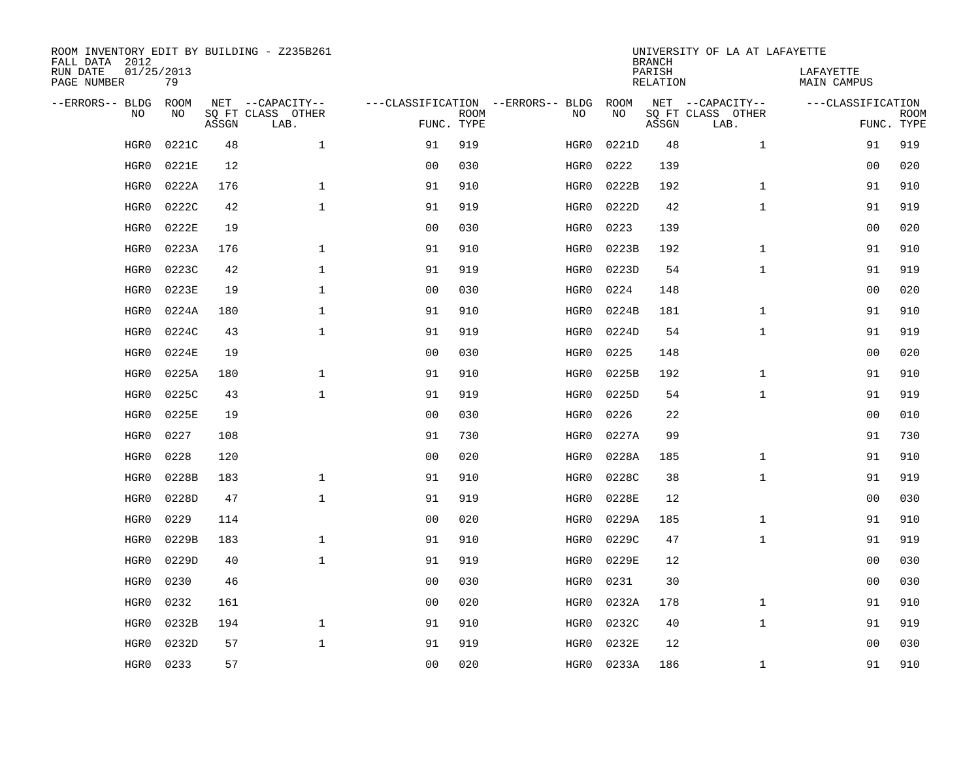| ROOM INVENTORY EDIT BY BUILDING - Z235B261<br>FALL DATA 2012 |                  |       |                           |                |             |                                   | <b>BRANCH</b> | UNIVERSITY OF LA AT LAFAYETTE |                           |                                 |                           |
|--------------------------------------------------------------|------------------|-------|---------------------------|----------------|-------------|-----------------------------------|---------------|-------------------------------|---------------------------|---------------------------------|---------------------------|
| RUN DATE<br>PAGE NUMBER                                      | 01/25/2013<br>79 |       |                           |                |             |                                   |               | PARISH<br><b>RELATION</b>     |                           | LAFAYETTE<br><b>MAIN CAMPUS</b> |                           |
| --ERRORS-- BLDG                                              | ROOM             |       | NET --CAPACITY--          |                |             | ---CLASSIFICATION --ERRORS-- BLDG | ROOM          |                               | NET --CAPACITY--          | ---CLASSIFICATION               |                           |
| NO                                                           | NO               | ASSGN | SQ FT CLASS OTHER<br>LAB. | FUNC. TYPE     | <b>ROOM</b> | NO                                | NO            | ASSGN                         | SQ FT CLASS OTHER<br>LAB. |                                 | <b>ROOM</b><br>FUNC. TYPE |
| HGR0                                                         | 0221C            | 48    | $\mathbf 1$               | 91             | 919         | HGR0                              | 0221D         | 48                            | $\mathbf{1}$              | 91                              | 919                       |
| HGR0                                                         | 0221E            | 12    |                           | 0 <sub>0</sub> | 030         | HGR0                              | 0222          | 139                           |                           | 00                              | 020                       |
| HGR0                                                         | 0222A            | 176   | $\mathbf 1$               | 91             | 910         | HGR0                              | 0222B         | 192                           | $\mathbf{1}$              | 91                              | 910                       |
| HGR0                                                         | 0222C            | 42    | $\mathbf 1$               | 91             | 919         | HGR0                              | 0222D         | 42                            | $\mathbf{1}$              | 91                              | 919                       |
| HGR0                                                         | 0222E            | 19    |                           | 0 <sub>0</sub> | 030         | HGR0                              | 0223          | 139                           |                           | 0 <sub>0</sub>                  | 020                       |
| HGR0                                                         | 0223A            | 176   | $\mathbf 1$               | 91             | 910         | HGR0                              | 0223B         | 192                           | $\mathbf{1}$              | 91                              | 910                       |
| HGR0                                                         | 0223C            | 42    | $\mathbf{1}$              | 91             | 919         | HGR0                              | 0223D         | 54                            | $\mathbf{1}$              | 91                              | 919                       |
| HGR0                                                         | 0223E            | 19    | $\mathbf{1}$              | 0 <sub>0</sub> | 030         | HGR0                              | 0224          | 148                           |                           | 0 <sub>0</sub>                  | 020                       |
| HGR0                                                         | 0224A            | 180   | $\mathbf{1}$              | 91             | 910         | HGR0                              | 0224B         | 181                           | $\mathbf{1}$              | 91                              | 910                       |
| HGR0                                                         | 0224C            | 43    | $\mathbf{1}$              | 91             | 919         | HGR0                              | 0224D         | 54                            | $\mathbf{1}$              | 91                              | 919                       |
| HGR0                                                         | 0224E            | 19    |                           | 0 <sub>0</sub> | 030         | HGR0                              | 0225          | 148                           |                           | 00                              | 020                       |
| HGR0                                                         | 0225A            | 180   | 1                         | 91             | 910         | HGR0                              | 0225B         | 192                           | $\mathbf{1}$              | 91                              | 910                       |
| HGR0                                                         | 0225C            | 43    | $\mathbf{1}$              | 91             | 919         | HGR0                              | 0225D         | 54                            | $\mathbf{1}$              | 91                              | 919                       |
| HGR0                                                         | 0225E            | 19    |                           | 0 <sub>0</sub> | 030         | HGR0                              | 0226          | 22                            |                           | 00                              | 010                       |
| HGR0                                                         | 0227             | 108   |                           | 91             | 730         | HGR0                              | 0227A         | 99                            |                           | 91                              | 730                       |
| HGR0                                                         | 0228             | 120   |                           | 00             | 020         | HGR0                              | 0228A         | 185                           | $\mathbf{1}$              | 91                              | 910                       |
| HGR0                                                         | 0228B            | 183   | $\mathbf 1$               | 91             | 910         | HGR0                              | 0228C         | 38                            | $\mathbf{1}$              | 91                              | 919                       |
| HGR0                                                         | 0228D            | 47    | $\mathbf{1}$              | 91             | 919         | HGR0                              | 0228E         | 12                            |                           | 00                              | 030                       |
| HGR0                                                         | 0229             | 114   |                           | 0 <sub>0</sub> | 020         | HGR0                              | 0229A         | 185                           | $\mathbf{1}$              | 91                              | 910                       |
| HGR0                                                         | 0229B            | 183   | $\mathbf{1}$              | 91             | 910         | HGR0                              | 0229C         | 47                            | $\mathbf{1}$              | 91                              | 919                       |
| HGR0                                                         | 0229D            | 40    | $\mathbf{1}$              | 91             | 919         | HGR0                              | 0229E         | 12                            |                           | 0 <sub>0</sub>                  | 030                       |
| HGR0                                                         | 0230             | 46    |                           | 0 <sub>0</sub> | 030         | HGR0                              | 0231          | 30                            |                           | 0 <sub>0</sub>                  | 030                       |
| HGR0                                                         | 0232             | 161   |                           | 0 <sub>0</sub> | 020         | HGR0                              | 0232A         | 178                           | $\mathbf{1}$              | 91                              | 910                       |
| HGR0                                                         | 0232B            | 194   | $\mathbf{1}$              | 91             | 910         | HGR0                              | 0232C         | 40                            | $\mathbf{1}$              | 91                              | 919                       |
| HGR0                                                         | 0232D            | 57    | $\mathbf{1}$              | 91             | 919         | HGR0                              | 0232E         | 12                            |                           | 0 <sub>0</sub>                  | 030                       |
| HGR0                                                         | 0233             | 57    |                           | 00             | 020         | HGR0                              | 0233A         | 186                           | $\mathbf{1}$              | 91                              | 910                       |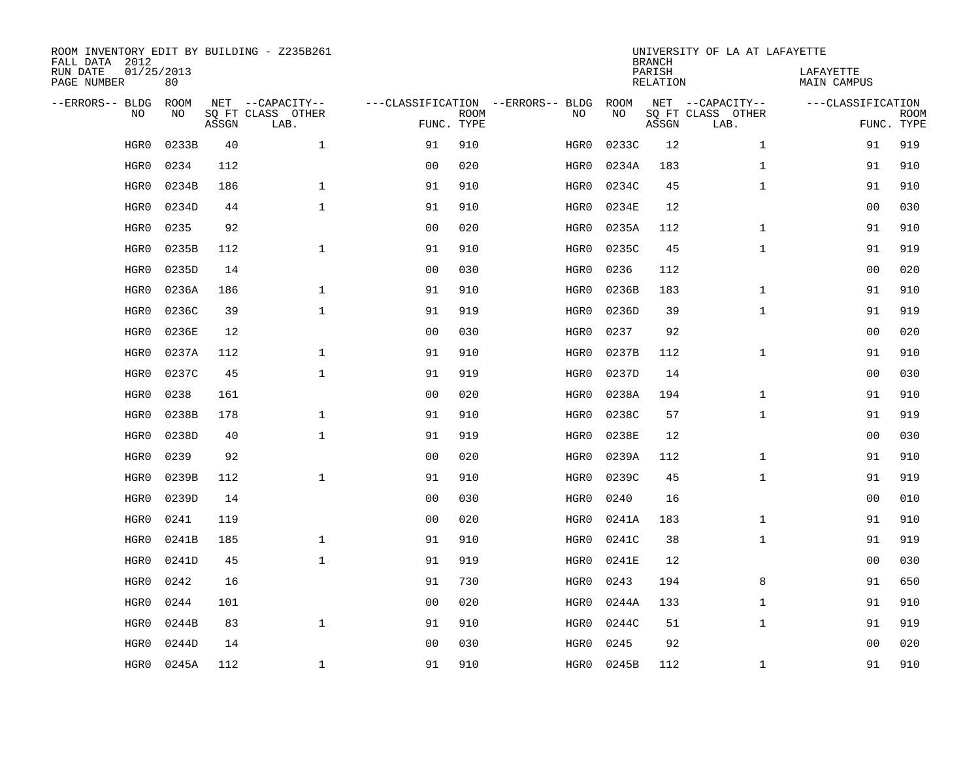| ROOM INVENTORY EDIT BY BUILDING - Z235B261<br>FALL DATA 2012 |                  |       |                           |                |             |                                   | <b>BRANCH</b> | UNIVERSITY OF LA AT LAFAYETTE |                           |                                 |             |
|--------------------------------------------------------------|------------------|-------|---------------------------|----------------|-------------|-----------------------------------|---------------|-------------------------------|---------------------------|---------------------------------|-------------|
| RUN DATE<br>PAGE NUMBER                                      | 01/25/2013<br>80 |       |                           |                |             |                                   |               | PARISH<br><b>RELATION</b>     |                           | LAFAYETTE<br><b>MAIN CAMPUS</b> |             |
| --ERRORS-- BLDG                                              | ROOM             |       | NET --CAPACITY--          |                |             | ---CLASSIFICATION --ERRORS-- BLDG | ROOM          |                               | NET --CAPACITY--          | ---CLASSIFICATION               |             |
| NO                                                           | NO               | ASSGN | SQ FT CLASS OTHER<br>LAB. | FUNC. TYPE     | <b>ROOM</b> | NO                                | NO            | ASSGN                         | SQ FT CLASS OTHER<br>LAB. | FUNC. TYPE                      | <b>ROOM</b> |
| HGR0                                                         | 0233B            | 40    | $\mathbf{1}$              | 91             | 910         | HGR0                              | 0233C         | 12                            | $\mathbf{1}$              | 91                              | 919         |
| HGR0                                                         | 0234             | 112   |                           | 0 <sub>0</sub> | 020         | HGR0                              | 0234A         | 183                           | $\mathbf{1}$              | 91                              | 910         |
| HGR0                                                         | 0234B            | 186   | $\mathbf{1}$              | 91             | 910         | HGR0                              | 0234C         | 45                            | $\mathbf{1}$              | 91                              | 910         |
| HGR0                                                         | 0234D            | 44    | $\mathbf 1$               | 91             | 910         | HGR0                              | 0234E         | 12                            |                           | 0 <sub>0</sub>                  | 030         |
| HGR0                                                         | 0235             | 92    |                           | 0 <sub>0</sub> | 020         | HGR0                              | 0235A         | 112                           | $\mathbf{1}$              | 91                              | 910         |
| HGR0                                                         | 0235B            | 112   | $\mathbf{1}$              | 91             | 910         | HGR0                              | 0235C         | 45                            | $\mathbf{1}$              | 91                              | 919         |
| HGR0                                                         | 0235D            | 14    |                           | 0 <sub>0</sub> | 030         | HGR0                              | 0236          | 112                           |                           | 00                              | 020         |
| HGR0                                                         | 0236A            | 186   | $\mathbf{1}$              | 91             | 910         | HGR0                              | 0236B         | 183                           | $\mathbf{1}$              | 91                              | 910         |
| HGR0                                                         | 0236C            | 39    | $\mathbf{1}$              | 91             | 919         | HGR0                              | 0236D         | 39                            | $\mathbf{1}$              | 91                              | 919         |
| HGR0                                                         | 0236E            | 12    |                           | 0 <sub>0</sub> | 030         | HGR0                              | 0237          | 92                            |                           | 0 <sub>0</sub>                  | 020         |
| HGR0                                                         | 0237A            | 112   | $\mathbf{1}$              | 91             | 910         | HGR0                              | 0237B         | 112                           | $\mathbf{1}$              | 91                              | 910         |
| HGR0                                                         | 0237C            | 45    | $\mathbf{1}$              | 91             | 919         | HGR0                              | 0237D         | 14                            |                           | 0 <sub>0</sub>                  | 030         |
| HGR0                                                         | 0238             | 161   |                           | 0 <sub>0</sub> | 020         | HGR0                              | 0238A         | 194                           | $\mathbf{1}$              | 91                              | 910         |
| HGR0                                                         | 0238B            | 178   | $\mathbf 1$               | 91             | 910         | HGR0                              | 0238C         | 57                            | $\mathbf{1}$              | 91                              | 919         |
| HGR0                                                         | 0238D            | 40    | $\mathbf 1$               | 91             | 919         | HGR0                              | 0238E         | 12                            |                           | 00                              | 030         |
| HGR0                                                         | 0239             | 92    |                           | 0 <sub>0</sub> | 020         | HGR0                              | 0239A         | 112                           | $\mathbf{1}$              | 91                              | 910         |
| HGR0                                                         | 0239B            | 112   | $\mathbf 1$               | 91             | 910         | HGR0                              | 0239C         | 45                            | $\mathbf{1}$              | 91                              | 919         |
| HGR0                                                         | 0239D            | 14    |                           | 0 <sub>0</sub> | 030         | HGR0                              | 0240          | 16                            |                           | 0 <sub>0</sub>                  | 010         |
| HGR0                                                         | 0241             | 119   |                           | 0 <sub>0</sub> | 020         | HGR0                              | 0241A         | 183                           | $\mathbf{1}$              | 91                              | 910         |
| HGR0                                                         | 0241B            | 185   | $\mathbf 1$               | 91             | 910         | HGR0                              | 0241C         | 38                            | $\mathbf{1}$              | 91                              | 919         |
| HGR0                                                         | 0241D            | 45    | $\mathbf 1$               | 91             | 919         | HGR0                              | 0241E         | 12                            |                           | 00                              | 030         |
| HGR0                                                         | 0242             | 16    |                           | 91             | 730         | HGR0                              | 0243          | 194                           | 8                         | 91                              | 650         |
| HGR0                                                         | 0244             | 101   |                           | 0 <sub>0</sub> | 020         | HGR0                              | 0244A         | 133                           | $\mathbf{1}$              | 91                              | 910         |
| HGR0                                                         | 0244B            | 83    | $\mathbf{1}$              | 91             | 910         | HGR0                              | 0244C         | 51                            | $\mathbf{1}$              | 91                              | 919         |
| HGR0                                                         | 0244D            | 14    |                           | 0 <sub>0</sub> | 030         | HGR0                              | 0245          | 92                            |                           | 0 <sub>0</sub>                  | 020         |
| HGR0                                                         | 0245A            | 112   | $\mathbf{1}$              | 91             | 910         | HGR0                              | 0245B         | 112                           | $\mathbf{1}$              | 91                              | 910         |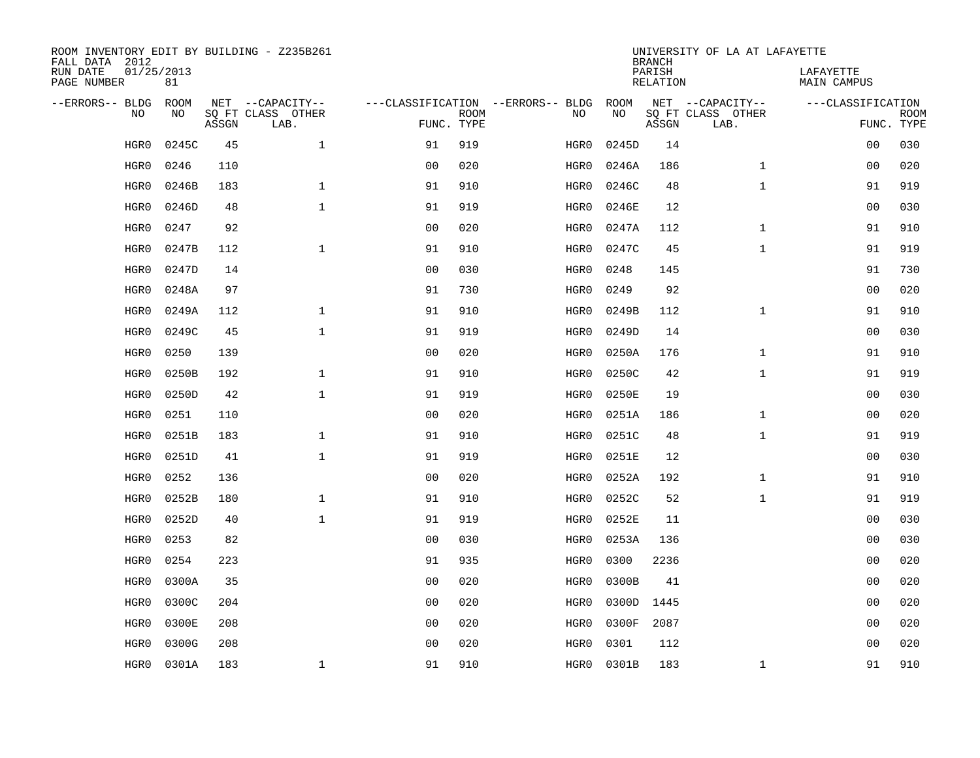| ROOM INVENTORY EDIT BY BUILDING - Z235B261<br>FALL DATA 2012 |                  |       |                           |                |             |                                   | <b>BRANCH</b> | UNIVERSITY OF LA AT LAFAYETTE |                           |                                 |             |
|--------------------------------------------------------------|------------------|-------|---------------------------|----------------|-------------|-----------------------------------|---------------|-------------------------------|---------------------------|---------------------------------|-------------|
| RUN DATE<br>PAGE NUMBER                                      | 01/25/2013<br>81 |       |                           |                |             |                                   |               | PARISH<br><b>RELATION</b>     |                           | LAFAYETTE<br><b>MAIN CAMPUS</b> |             |
| --ERRORS-- BLDG                                              | ROOM             |       | NET --CAPACITY--          |                |             | ---CLASSIFICATION --ERRORS-- BLDG | ROOM          |                               | NET --CAPACITY--          | ---CLASSIFICATION               |             |
| NO                                                           | NO               | ASSGN | SQ FT CLASS OTHER<br>LAB. | FUNC. TYPE     | <b>ROOM</b> | NO                                | NO            | ASSGN                         | SQ FT CLASS OTHER<br>LAB. | FUNC. TYPE                      | <b>ROOM</b> |
| HGR0                                                         | 0245C            | 45    | $\mathbf 1$               | 91             | 919         | HGR0                              | 0245D         | 14                            |                           | 00                              | 030         |
| HGR0                                                         | 0246             | 110   |                           | 0 <sub>0</sub> | 020         | HGR0                              | 0246A         | 186                           | $\mathbf{1}$              | 00                              | 020         |
| HGR0                                                         | 0246B            | 183   | $\mathbf 1$               | 91             | 910         | HGR0                              | 0246C         | 48                            | $\mathbf{1}$              | 91                              | 919         |
| HGR0                                                         | 0246D            | 48    | $\mathbf 1$               | 91             | 919         | HGR0                              | 0246E         | 12                            |                           | 00                              | 030         |
| HGR0                                                         | 0247             | 92    |                           | 0 <sub>0</sub> | 020         | HGR0                              | 0247A         | 112                           | $\mathbf{1}$              | 91                              | 910         |
| HGR0                                                         | 0247B            | 112   | $\mathbf{1}$              | 91             | 910         | HGR0                              | 0247C         | 45                            | $\mathbf{1}$              | 91                              | 919         |
| HGR0                                                         | 0247D            | 14    |                           | 0 <sub>0</sub> | 030         | HGR0                              | 0248          | 145                           |                           | 91                              | 730         |
| HGR0                                                         | 0248A            | 97    |                           | 91             | 730         | HGR0                              | 0249          | 92                            |                           | 0 <sub>0</sub>                  | 020         |
| HGR0                                                         | 0249A            | 112   | $\mathbf{1}$              | 91             | 910         | HGR0                              | 0249B         | 112                           | $\mathbf{1}$              | 91                              | 910         |
| HGR0                                                         | 0249C            | 45    | $\mathbf{1}$              | 91             | 919         | HGR0                              | 0249D         | 14                            |                           | 0 <sub>0</sub>                  | 030         |
| HGR0                                                         | 0250             | 139   |                           | 0 <sub>0</sub> | 020         | HGR0                              | 0250A         | 176                           | $\mathbf{1}$              | 91                              | 910         |
| HGR0                                                         | 0250B            | 192   | $\mathbf{1}$              | 91             | 910         | HGR0                              | 0250C         | 42                            | $\mathbf{1}$              | 91                              | 919         |
| HGR0                                                         | 0250D            | 42    | $\mathbf{1}$              | 91             | 919         | HGR0                              | 0250E         | 19                            |                           | 00                              | 030         |
| HGR0                                                         | 0251             | 110   |                           | 0 <sub>0</sub> | 020         | HGR0                              | 0251A         | 186                           | $\mathbf{1}$              | 00                              | 020         |
| HGR0                                                         | 0251B            | 183   | $\mathbf{1}$              | 91             | 910         | HGR0                              | 0251C         | 48                            | $\mathbf{1}$              | 91                              | 919         |
| HGR0                                                         | 0251D            | 41    | $\mathbf{1}$              | 91             | 919         | HGR0                              | 0251E         | 12                            |                           | 00                              | 030         |
| HGR0                                                         | 0252             | 136   |                           | 0 <sub>0</sub> | 020         | HGR0                              | 0252A         | 192                           | $\mathbf{1}$              | 91                              | 910         |
| HGR0                                                         | 0252B            | 180   | $\mathbf{1}$              | 91             | 910         | HGR0                              | 0252C         | 52                            | $\mathbf{1}$              | 91                              | 919         |
| HGR0                                                         | 0252D            | 40    | $\mathbf{1}$              | 91             | 919         | HGR0                              | 0252E         | 11                            |                           | 0 <sub>0</sub>                  | 030         |
| HGR0                                                         | 0253             | 82    |                           | 0 <sub>0</sub> | 030         | HGR0                              | 0253A         | 136                           |                           | 00                              | 030         |
| HGR0                                                         | 0254             | 223   |                           | 91             | 935         | HGR0                              | 0300          | 2236                          |                           | 00                              | 020         |
| HGR0                                                         | 0300A            | 35    |                           | 0 <sub>0</sub> | 020         | HGR0                              | 0300B         | 41                            |                           | 00                              | 020         |
| HGR0                                                         | 0300C            | 204   |                           | 0 <sub>0</sub> | 020         | HGR0                              | 0300D         | 1445                          |                           | 0 <sub>0</sub>                  | 020         |
| HGR0                                                         | 0300E            | 208   |                           | 00             | 020         | HGR0                              | 0300F         | 2087                          |                           | 0 <sub>0</sub>                  | 020         |
| HGR0                                                         | 0300G            | 208   |                           | 0 <sub>0</sub> | 020         | HGR0                              | 0301          | 112                           |                           | 0 <sub>0</sub>                  | 020         |
| HGR0                                                         | 0301A            | 183   | $\mathbf 1$               | 91             | 910         | HGR0                              | 0301B         | 183                           | $\mathbf{1}$              | 91                              | 910         |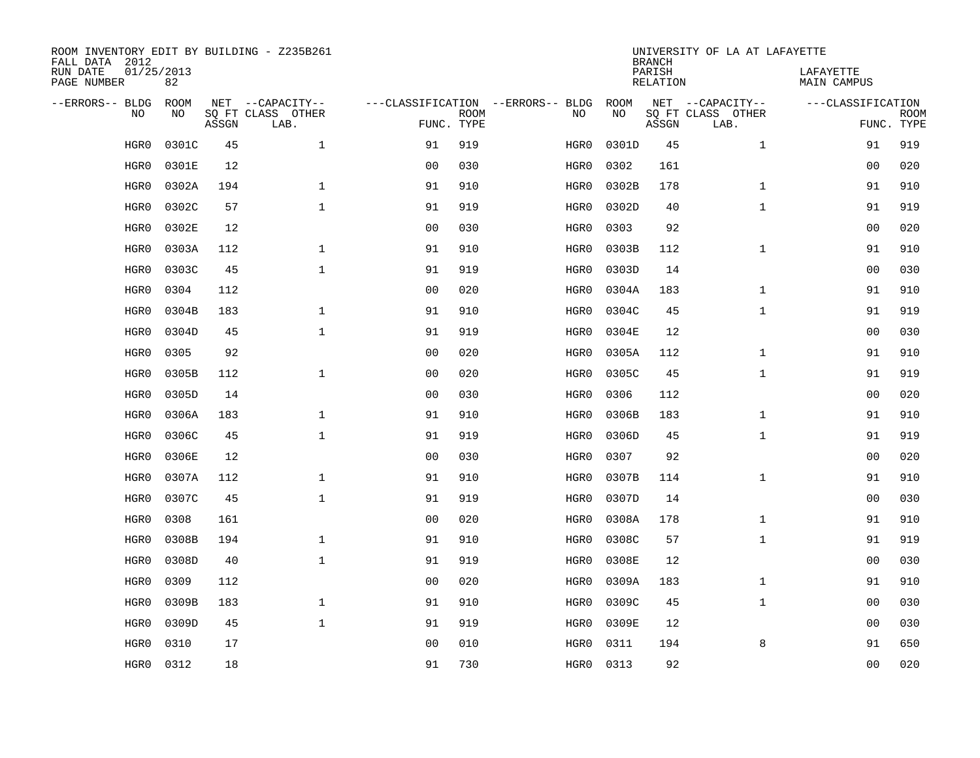| ROOM INVENTORY EDIT BY BUILDING - Z235B261<br>FALL DATA 2012 |                  |       |                           |                |             |                                   | <b>BRANCH</b> | UNIVERSITY OF LA AT LAFAYETTE |                           |                                 |                           |
|--------------------------------------------------------------|------------------|-------|---------------------------|----------------|-------------|-----------------------------------|---------------|-------------------------------|---------------------------|---------------------------------|---------------------------|
| RUN DATE<br>PAGE NUMBER                                      | 01/25/2013<br>82 |       |                           |                |             |                                   |               | PARISH<br><b>RELATION</b>     |                           | LAFAYETTE<br><b>MAIN CAMPUS</b> |                           |
| --ERRORS-- BLDG                                              | ROOM             |       | NET --CAPACITY--          |                |             | ---CLASSIFICATION --ERRORS-- BLDG | ROOM          |                               | NET --CAPACITY--          | ---CLASSIFICATION               |                           |
| NO                                                           | NO               | ASSGN | SQ FT CLASS OTHER<br>LAB. | FUNC. TYPE     | <b>ROOM</b> | NO                                | NO            | ASSGN                         | SQ FT CLASS OTHER<br>LAB. |                                 | <b>ROOM</b><br>FUNC. TYPE |
| HGR0                                                         | 0301C            | 45    | $\mathbf 1$               | 91             | 919         | HGR0                              | 0301D         | 45                            | $\mathbf{1}$              | 91                              | 919                       |
| HGR0                                                         | 0301E            | 12    |                           | 0 <sub>0</sub> | 030         | HGR0                              | 0302          | 161                           |                           | 00                              | 020                       |
| HGR0                                                         | 0302A            | 194   | $\mathbf 1$               | 91             | 910         | HGR0                              | 0302B         | 178                           | $\mathbf{1}$              | 91                              | 910                       |
| HGR0                                                         | 0302C            | 57    | $\mathbf 1$               | 91             | 919         | HGR0                              | 0302D         | 40                            | $\mathbf{1}$              | 91                              | 919                       |
| HGR0                                                         | 0302E            | 12    |                           | 0 <sub>0</sub> | 030         | HGR0                              | 0303          | 92                            |                           | 0 <sub>0</sub>                  | 020                       |
| HGR0                                                         | 0303A            | 112   | $\mathbf 1$               | 91             | 910         | HGR0                              | 0303B         | 112                           | $\mathbf{1}$              | 91                              | 910                       |
| HGR0                                                         | 0303C            | 45    | $\mathbf{1}$              | 91             | 919         | HGR0                              | 0303D         | 14                            |                           | 0 <sub>0</sub>                  | 030                       |
| HGR0                                                         | 0304             | 112   |                           | 0 <sub>0</sub> | 020         | HGR0                              | 0304A         | 183                           | $\mathbf{1}$              | 91                              | 910                       |
| HGR0                                                         | 0304B            | 183   | $\mathbf{1}$              | 91             | 910         | HGR0                              | 0304C         | 45                            | $\mathbf{1}$              | 91                              | 919                       |
| HGR0                                                         | 0304D            | 45    | $\mathbf{1}$              | 91             | 919         | HGR0                              | 0304E         | 12                            |                           | 00                              | 030                       |
| HGR0                                                         | 0305             | 92    |                           | 0 <sub>0</sub> | 020         | HGR0                              | 0305A         | 112                           | $\mathbf{1}$              | 91                              | 910                       |
| HGR0                                                         | 0305B            | 112   | $\mathbf 1$               | 0 <sub>0</sub> | 020         | HGR0                              | 0305C         | 45                            | $\mathbf{1}$              | 91                              | 919                       |
| HGR0                                                         | 0305D            | 14    |                           | 0 <sub>0</sub> | 030         | HGR0                              | 0306          | 112                           |                           | 0 <sub>0</sub>                  | 020                       |
| HGR0                                                         | 0306A            | 183   | $\mathbf 1$               | 91             | 910         | HGR0                              | 0306B         | 183                           | $\mathbf{1}$              | 91                              | 910                       |
| HGR0                                                         | 0306C            | 45    | $\mathbf{1}$              | 91             | 919         | HGR0                              | 0306D         | 45                            | $\mathbf{1}$              | 91                              | 919                       |
| HGR0                                                         | 0306E            | 12    |                           | 00             | 030         | HGR0                              | 0307          | 92                            |                           | 00                              | 020                       |
| HGR0                                                         | 0307A            | 112   | $\mathbf{1}$              | 91             | 910         | HGR0                              | 0307B         | 114                           | $\mathbf{1}$              | 91                              | 910                       |
| HGR0                                                         | 0307C            | 45    | $\mathbf{1}$              | 91             | 919         | HGR0                              | 0307D         | 14                            |                           | 00                              | 030                       |
| HGR0                                                         | 0308             | 161   |                           | 0 <sub>0</sub> | 020         | HGR0                              | 0308A         | 178                           | $\mathbf{1}$              | 91                              | 910                       |
| HGR0                                                         | 0308B            | 194   | $\mathbf{1}$              | 91             | 910         | HGR0                              | 0308C         | 57                            | $\mathbf{1}$              | 91                              | 919                       |
| HGR0                                                         | 0308D            | 40    | $\mathbf{1}$              | 91             | 919         | HGR0                              | 0308E         | 12                            |                           | 0 <sub>0</sub>                  | 030                       |
| HGR0                                                         | 0309             | 112   |                           | 0 <sub>0</sub> | 020         | HGR0                              | 0309A         | 183                           | $\mathbf{1}$              | 91                              | 910                       |
| HGR0                                                         | 0309B            | 183   | $\mathbf{1}$              | 91             | 910         | HGR0                              | 0309C         | 45                            | $\mathbf{1}$              | 0 <sub>0</sub>                  | 030                       |
| HGR0                                                         | 0309D            | 45    | $\mathbf{1}$              | 91             | 919         | HGR0                              | 0309E         | 12                            |                           | 0 <sub>0</sub>                  | 030                       |
| HGR0                                                         | 0310             | 17    |                           | 0 <sub>0</sub> | 010         | HGR0                              | 0311          | 194                           | 8                         | 91                              | 650                       |
| HGR0                                                         | 0312             | 18    |                           | 91             | 730         | HGR0                              | 0313          | 92                            |                           | 0 <sub>0</sub>                  | 020                       |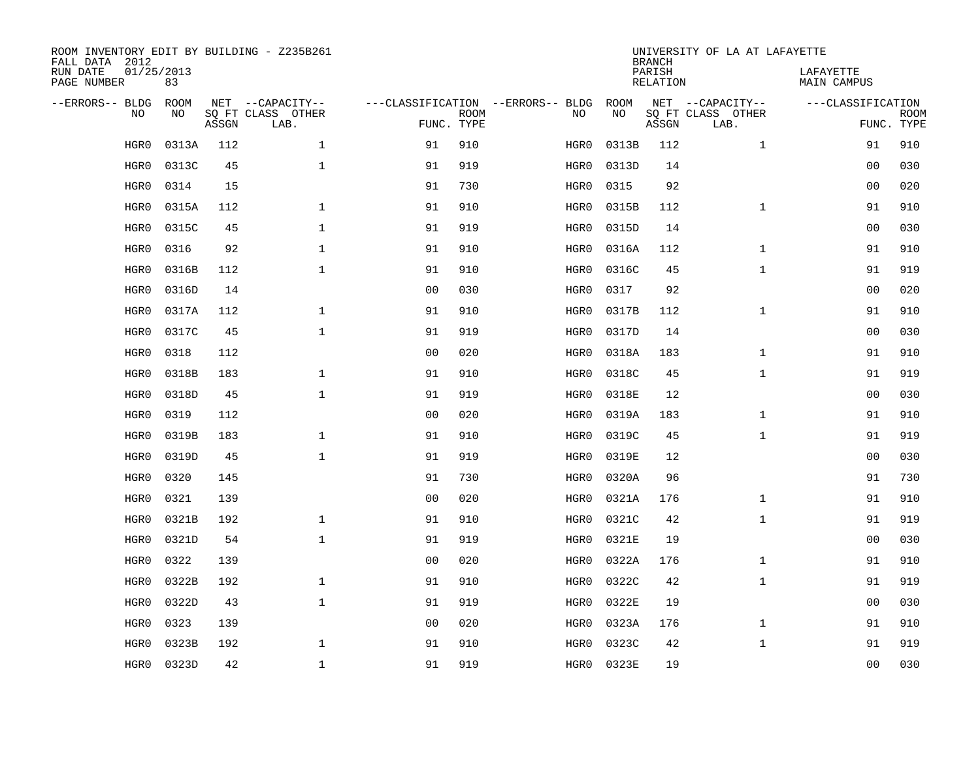| ROOM INVENTORY EDIT BY BUILDING - Z235B261<br>FALL DATA 2012 |                  |       |                           |                |                           |                                   | <b>BRANCH</b> | UNIVERSITY OF LA AT LAFAYETTE |                           |                          |                           |
|--------------------------------------------------------------|------------------|-------|---------------------------|----------------|---------------------------|-----------------------------------|---------------|-------------------------------|---------------------------|--------------------------|---------------------------|
| RUN DATE<br>PAGE NUMBER                                      | 01/25/2013<br>83 |       |                           |                |                           |                                   |               | PARISH<br><b>RELATION</b>     |                           | LAFAYETTE<br>MAIN CAMPUS |                           |
| --ERRORS-- BLDG                                              | <b>ROOM</b>      |       | NET --CAPACITY--          |                |                           | ---CLASSIFICATION --ERRORS-- BLDG | ROOM          |                               | NET --CAPACITY--          | ---CLASSIFICATION        |                           |
| NO.                                                          | NO               | ASSGN | SQ FT CLASS OTHER<br>LAB. |                | <b>ROOM</b><br>FUNC. TYPE | NO                                | NO            | ASSGN                         | SQ FT CLASS OTHER<br>LAB. |                          | <b>ROOM</b><br>FUNC. TYPE |
| HGR0                                                         | 0313A            | 112   | $\mathbf{1}$              | 91             | 910                       | HGR0                              | 0313B         | 112                           | $\mathbf{1}$              | 91                       | 910                       |
| HGR0                                                         | 0313C            | 45    | $\mathbf 1$               | 91             | 919                       | HGR0                              | 0313D         | 14                            |                           | 0 <sub>0</sub>           | 030                       |
| HGR0                                                         | 0314             | 15    |                           | 91             | 730                       | HGR0                              | 0315          | 92                            |                           | 0 <sub>0</sub>           | 020                       |
| HGR0                                                         | 0315A            | 112   | $\mathbf{1}$              | 91             | 910                       | HGR0                              | 0315B         | 112                           | $1\,$                     | 91                       | 910                       |
| HGR0                                                         | 0315C            | 45    | $\mathbf 1$               | 91             | 919                       | HGR0                              | 0315D         | 14                            |                           | 00                       | 030                       |
| HGR0                                                         | 0316             | 92    | $\mathbf 1$               | 91             | 910                       | HGR0                              | 0316A         | 112                           | $\mathbf{1}$              | 91                       | 910                       |
| HGR0                                                         | 0316B            | 112   | $\mathbf{1}$              | 91             | 910                       | HGR0                              | 0316C         | 45                            | $\mathbf{1}$              | 91                       | 919                       |
| HGR0                                                         | 0316D            | 14    |                           | 0 <sub>0</sub> | 030                       | HGR0                              | 0317          | 92                            |                           | 0 <sub>0</sub>           | 020                       |
| HGR0                                                         | 0317A            | 112   | $\mathbf{1}$              | 91             | 910                       | HGR0                              | 0317B         | 112                           | $\mathbf{1}$              | 91                       | 910                       |
| HGR0                                                         | 0317C            | 45    | $\mathbf{1}$              | 91             | 919                       | HGR0                              | 0317D         | 14                            |                           | 00                       | 030                       |
| HGR0                                                         | 0318             | 112   |                           | 0 <sub>0</sub> | 020                       | HGR0                              | 0318A         | 183                           | $\mathbf{1}$              | 91                       | 910                       |
| HGR0                                                         | 0318B            | 183   | $\mathbf{1}$              | 91             | 910                       | HGR0                              | 0318C         | 45                            | $\mathbf{1}$              | 91                       | 919                       |
| HGR0                                                         | 0318D            | 45    | $\mathbf{1}$              | 91             | 919                       | HGR0                              | 0318E         | 12                            |                           | 0 <sub>0</sub>           | 030                       |
| HGR0                                                         | 0319             | 112   |                           | 00             | 020                       | HGR0                              | 0319A         | 183                           | $\mathbf{1}$              | 91                       | 910                       |
| HGR0                                                         | 0319B            | 183   | $\mathbf 1$               | 91             | 910                       | HGR0                              | 0319C         | 45                            | $\mathbf{1}$              | 91                       | 919                       |
| HGR0                                                         | 0319D            | 45    | 1                         | 91             | 919                       | HGR0                              | 0319E         | 12                            |                           | 00                       | 030                       |
| HGR0                                                         | 0320             | 145   |                           | 91             | 730                       | HGR0                              | 0320A         | 96                            |                           | 91                       | 730                       |
| HGR0                                                         | 0321             | 139   |                           | 0 <sub>0</sub> | 020                       | HGR0                              | 0321A         | 176                           | $\mathbf{1}$              | 91                       | 910                       |
| HGR0                                                         | 0321B            | 192   | $\mathbf{1}$              | 91             | 910                       | HGR0                              | 0321C         | 42                            | $\mathbf{1}$              | 91                       | 919                       |
| HGR0                                                         | 0321D            | 54    | $\mathbf{1}$              | 91             | 919                       | HGR0                              | 0321E         | 19                            |                           | 00                       | 030                       |
| HGR0                                                         | 0322             | 139   |                           | 0 <sub>0</sub> | 020                       | HGR0                              | 0322A         | 176                           | $\mathbf{1}$              | 91                       | 910                       |
| HGR0                                                         | 0322B            | 192   | $\mathbf{1}$              | 91             | 910                       | HGR0                              | 0322C         | 42                            | $\mathbf{1}$              | 91                       | 919                       |
| HGR0                                                         | 0322D            | 43    | $\mathbf{1}$              | 91             | 919                       | HGR0                              | 0322E         | 19                            |                           | 0 <sub>0</sub>           | 030                       |
| HGR0                                                         | 0323             | 139   |                           | 00             | 020                       | HGR0                              | 0323A         | 176                           | $\mathbf{1}$              | 91                       | 910                       |
| HGR0                                                         | 0323B            | 192   | $\mathbf 1$               | 91             | 910                       | HGR0                              | 0323C         | 42                            | $\mathbf{1}$              | 91                       | 919                       |
| HGR0                                                         | 0323D            | 42    | $\mathbf 1$               | 91             | 919                       | HGR0                              | 0323E         | 19                            |                           | 00                       | 030                       |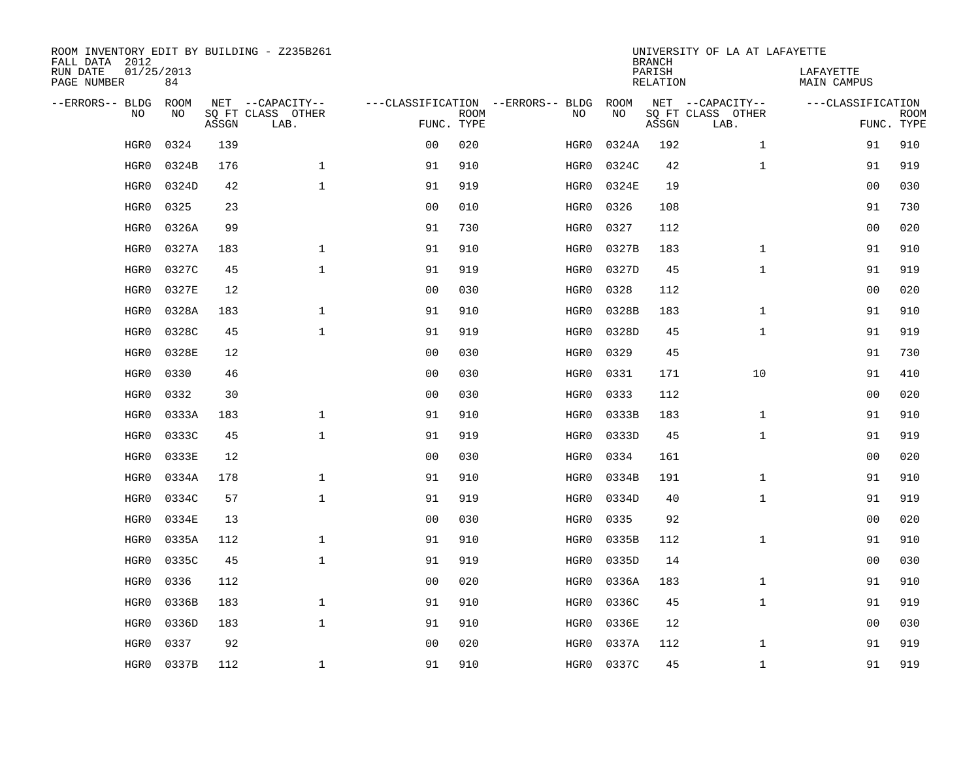| ROOM INVENTORY EDIT BY BUILDING - Z235B261<br>FALL DATA 2012 |                  |       |                           |                |             |                                   |           | <b>BRANCH</b>      | UNIVERSITY OF LA AT LAFAYETTE |                                 |                           |
|--------------------------------------------------------------|------------------|-------|---------------------------|----------------|-------------|-----------------------------------|-----------|--------------------|-------------------------------|---------------------------------|---------------------------|
| RUN DATE<br>PAGE NUMBER                                      | 01/25/2013<br>84 |       |                           |                |             |                                   |           | PARISH<br>RELATION |                               | LAFAYETTE<br><b>MAIN CAMPUS</b> |                           |
| --ERRORS-- BLDG                                              | <b>ROOM</b>      |       | NET --CAPACITY--          |                |             | ---CLASSIFICATION --ERRORS-- BLDG | ROOM      |                    | NET --CAPACITY--              | ---CLASSIFICATION               |                           |
| N <sub>O</sub>                                               | NO.              | ASSGN | SO FT CLASS OTHER<br>LAB. | FUNC. TYPE     | <b>ROOM</b> | NO.                               | <b>NO</b> | ASSGN              | SQ FT CLASS OTHER<br>LAB.     |                                 | <b>ROOM</b><br>FUNC. TYPE |
| HGR0                                                         | 0324             | 139   |                           | 0 <sub>0</sub> | 020         | HGR0                              | 0324A     | 192                | $\mathbf{1}$                  | 91                              | 910                       |
| HGR0                                                         | 0324B            | 176   | $\mathbf{1}$              | 91             | 910         | HGR0                              | 0324C     | 42                 | $\mathbf{1}$                  | 91                              | 919                       |
| HGR0                                                         | 0324D            | 42    | $\mathbf{1}$              | 91             | 919         | HGR0                              | 0324E     | 19                 |                               | 0 <sub>0</sub>                  | 030                       |
| HGR0                                                         | 0325             | 23    |                           | 0 <sub>0</sub> | 010         | HGR0                              | 0326      | 108                |                               | 91                              | 730                       |
| HGR0                                                         | 0326A            | 99    |                           | 91             | 730         | HGR0                              | 0327      | 112                |                               | 0 <sub>0</sub>                  | 020                       |
| HGR0                                                         | 0327A            | 183   | 1                         | 91             | 910         | HGR0                              | 0327B     | 183                | $\mathbf{1}$                  | 91                              | 910                       |
| HGR0                                                         | 0327C            | 45    | $\mathbf{1}$              | 91             | 919         | HGR0                              | 0327D     | 45                 | $\mathbf{1}$                  | 91                              | 919                       |
| HGR0                                                         | 0327E            | 12    |                           | 0 <sub>0</sub> | 030         | HGR0                              | 0328      | 112                |                               | 0 <sub>0</sub>                  | 020                       |
| HGR0                                                         | 0328A            | 183   | $\mathbf{1}$              | 91             | 910         | HGR0                              | 0328B     | 183                | $\mathbf{1}$                  | 91                              | 910                       |
| HGR0                                                         | 0328C            | 45    | $\mathbf{1}$              | 91             | 919         | HGR0                              | 0328D     | 45                 | $\mathbf{1}$                  | 91                              | 919                       |
| HGR0                                                         | 0328E            | 12    |                           | 0 <sub>0</sub> | 030         | HGR0                              | 0329      | 45                 |                               | 91                              | 730                       |
| HGR0                                                         | 0330             | 46    |                           | 0 <sub>0</sub> | 030         | HGR0                              | 0331      | 171                | 10                            | 91                              | 410                       |
| HGR0                                                         | 0332             | 30    |                           | 0 <sub>0</sub> | 030         | HGR0                              | 0333      | 112                |                               | 0 <sub>0</sub>                  | 020                       |
| HGR0                                                         | 0333A            | 183   | $\mathbf{1}$              | 91             | 910         | HGR0                              | 0333B     | 183                | $\mathbf{1}$                  | 91                              | 910                       |
| HGR0                                                         | 0333C            | 45    | $\mathbf{1}$              | 91             | 919         | HGR0                              | 0333D     | 45                 | $\mathbf{1}$                  | 91                              | 919                       |
| HGR0                                                         | 0333E            | 12    |                           | 0 <sub>0</sub> | 030         | HGR0                              | 0334      | 161                |                               | 00                              | 020                       |
| HGR0                                                         | 0334A            | 178   | $\mathbf 1$               | 91             | 910         | HGR0                              | 0334B     | 191                | $\mathbf{1}$                  | 91                              | 910                       |
| HGR0                                                         | 0334C            | 57    | $\mathbf 1$               | 91             | 919         | HGR0                              | 0334D     | 40                 | $\mathbf{1}$                  | 91                              | 919                       |
| HGR0                                                         | 0334E            | 13    |                           | 0 <sub>0</sub> | 030         | HGR0                              | 0335      | 92                 |                               | 00                              | 020                       |
| HGR0                                                         | 0335A            | 112   | $\mathbf{1}$              | 91             | 910         | HGR0                              | 0335B     | 112                | $\mathbf{1}$                  | 91                              | 910                       |
| HGR0                                                         | 0335C            | 45    | $\mathbf{1}$              | 91             | 919         | HGR0                              | 0335D     | 14                 |                               | 00                              | 030                       |
| HGR0                                                         | 0336             | 112   |                           | 0 <sub>0</sub> | 020         | HGR0                              | 0336A     | 183                | $\mathbf{1}$                  | 91                              | 910                       |
| HGR0                                                         | 0336B            | 183   | $\mathbf{1}$              | 91             | 910         | HGR0                              | 0336C     | 45                 | $\mathbf{1}$                  | 91                              | 919                       |
| HGR0                                                         | 0336D            | 183   | $\mathbf{1}$              | 91             | 910         | HGR0                              | 0336E     | 12                 |                               | 00                              | 030                       |
| HGR0                                                         | 0337             | 92    |                           | 0 <sub>0</sub> | 020         | HGR0                              | 0337A     | 112                | $\mathbf{1}$                  | 91                              | 919                       |
| HGR0                                                         | 0337B            | 112   | $\mathbf{1}$              | 91             | 910         | HGR0                              | 0337C     | 45                 | $\mathbf{1}$                  | 91                              | 919                       |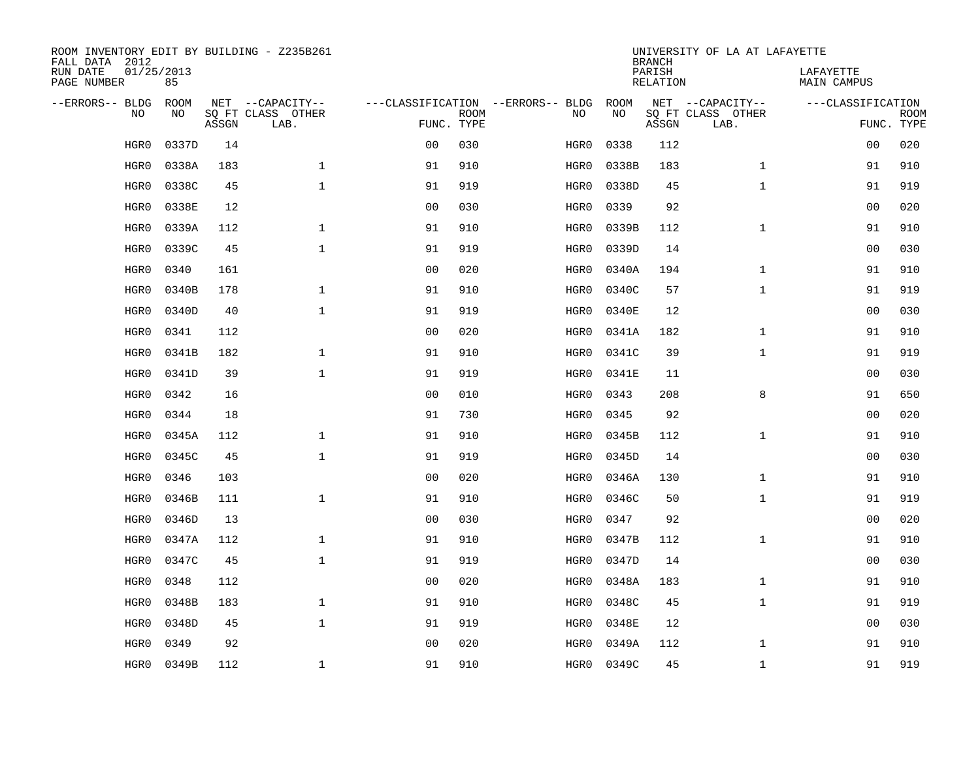| ROOM INVENTORY EDIT BY BUILDING - Z235B261<br>FALL DATA 2012 |                  |       |                           |                |             |                                   |       | <b>BRANCH</b>             | UNIVERSITY OF LA AT LAFAYETTE |                                 |             |
|--------------------------------------------------------------|------------------|-------|---------------------------|----------------|-------------|-----------------------------------|-------|---------------------------|-------------------------------|---------------------------------|-------------|
| RUN DATE<br>PAGE NUMBER                                      | 01/25/2013<br>85 |       |                           |                |             |                                   |       | PARISH<br><b>RELATION</b> |                               | LAFAYETTE<br><b>MAIN CAMPUS</b> |             |
| --ERRORS-- BLDG                                              | ROOM             |       | NET --CAPACITY--          |                |             | ---CLASSIFICATION --ERRORS-- BLDG | ROOM  |                           | NET --CAPACITY--              | ---CLASSIFICATION               |             |
| NO                                                           | NO               | ASSGN | SQ FT CLASS OTHER<br>LAB. | FUNC. TYPE     | <b>ROOM</b> | NO                                | NO    | ASSGN                     | SQ FT CLASS OTHER<br>LAB.     | FUNC. TYPE                      | <b>ROOM</b> |
| HGR0                                                         | 0337D            | 14    |                           | 0 <sub>0</sub> | 030         | HGR0                              | 0338  | 112                       |                               | 00                              | 020         |
| HGR0                                                         | 0338A            | 183   | $\mathbf 1$               | 91             | 910         | HGR0                              | 0338B | 183                       | $\mathbf{1}$                  | 91                              | 910         |
| HGR0                                                         | 0338C            | 45    | $\mathbf 1$               | 91             | 919         | HGR0                              | 0338D | 45                        | $\mathbf{1}$                  | 91                              | 919         |
| HGR0                                                         | 0338E            | 12    |                           | 0 <sub>0</sub> | 030         | HGR0                              | 0339  | 92                        |                               | 00                              | 020         |
| HGR0                                                         | 0339A            | 112   | $\mathbf{1}$              | 91             | 910         | HGR0                              | 0339B | 112                       | $\mathbf{1}$                  | 91                              | 910         |
| HGR0                                                         | 0339C            | 45    | $\mathbf{1}$              | 91             | 919         | HGR0                              | 0339D | 14                        |                               | 0 <sub>0</sub>                  | 030         |
| HGR0                                                         | 0340             | 161   |                           | 0 <sub>0</sub> | 020         | HGR0                              | 0340A | 194                       | $\mathbf{1}$                  | 91                              | 910         |
| HGR0                                                         | 0340B            | 178   | $\mathbf 1$               | 91             | 910         | HGR0                              | 0340C | 57                        | $\mathbf{1}$                  | 91                              | 919         |
| HGR0                                                         | 0340D            | 40    | $\mathbf{1}$              | 91             | 919         | HGR0                              | 0340E | 12                        |                               | 00                              | 030         |
| HGR0                                                         | 0341             | 112   |                           | 0 <sub>0</sub> | 020         | HGR0                              | 0341A | 182                       | $\mathbf{1}$                  | 91                              | 910         |
| HGR0                                                         | 0341B            | 182   | $\mathbf{1}$              | 91             | 910         | HGR0                              | 0341C | 39                        | $\mathbf{1}$                  | 91                              | 919         |
| HGR0                                                         | 0341D            | 39    | $\mathbf{1}$              | 91             | 919         | HGR0                              | 0341E | 11                        |                               | 0 <sub>0</sub>                  | 030         |
| HGR0                                                         | 0342             | 16    |                           | 0 <sub>0</sub> | 010         | HGR0                              | 0343  | 208                       | 8                             | 91                              | 650         |
| HGR0                                                         | 0344             | 18    |                           | 91             | 730         | HGR0                              | 0345  | 92                        |                               | 00                              | 020         |
| HGR0                                                         | 0345A            | 112   | $\mathbf 1$               | 91             | 910         | HGR0                              | 0345B | 112                       | $\mathbf{1}$                  | 91                              | 910         |
| HGR0                                                         | 0345C            | 45    | $\mathbf{1}$              | 91             | 919         | HGR0                              | 0345D | 14                        |                               | 00                              | 030         |
| HGR0                                                         | 0346             | 103   |                           | 0 <sub>0</sub> | 020         | HGR0                              | 0346A | 130                       | $\mathbf{1}$                  | 91                              | 910         |
| HGR0                                                         | 0346B            | 111   | $\mathbf 1$               | 91             | 910         | HGR0                              | 0346C | 50                        | $\mathbf{1}$                  | 91                              | 919         |
| HGR0                                                         | 0346D            | 13    |                           | 0 <sub>0</sub> | 030         | HGR0                              | 0347  | 92                        |                               | 0 <sub>0</sub>                  | 020         |
| HGR0                                                         | 0347A            | 112   | $\mathbf 1$               | 91             | 910         | HGR0                              | 0347B | 112                       | $\mathbf{1}$                  | 91                              | 910         |
| HGR0                                                         | 0347C            | 45    | $\mathbf 1$               | 91             | 919         | HGR0                              | 0347D | 14                        |                               | 00                              | 030         |
| HGR0                                                         | 0348             | 112   |                           | 0 <sub>0</sub> | 020         | HGR0                              | 0348A | 183                       | $\mathbf{1}$                  | 91                              | 910         |
| HGR0                                                         | 0348B            | 183   | $\mathbf{1}$              | 91             | 910         | HGR0                              | 0348C | 45                        | $\mathbf{1}$                  | 91                              | 919         |
| HGR0                                                         | 0348D            | 45    | $\mathbf{1}$              | 91             | 919         | HGR0                              | 0348E | 12                        |                               | 00                              | 030         |
| HGR0                                                         | 0349             | 92    |                           | 0 <sub>0</sub> | 020         | HGR0                              | 0349A | 112                       | $\mathbf{1}$                  | 91                              | 910         |
| HGR0                                                         | 0349B            | 112   | $\mathbf{1}$              | 91             | 910         | HGR0                              | 0349C | 45                        | $\mathbf{1}$                  | 91                              | 919         |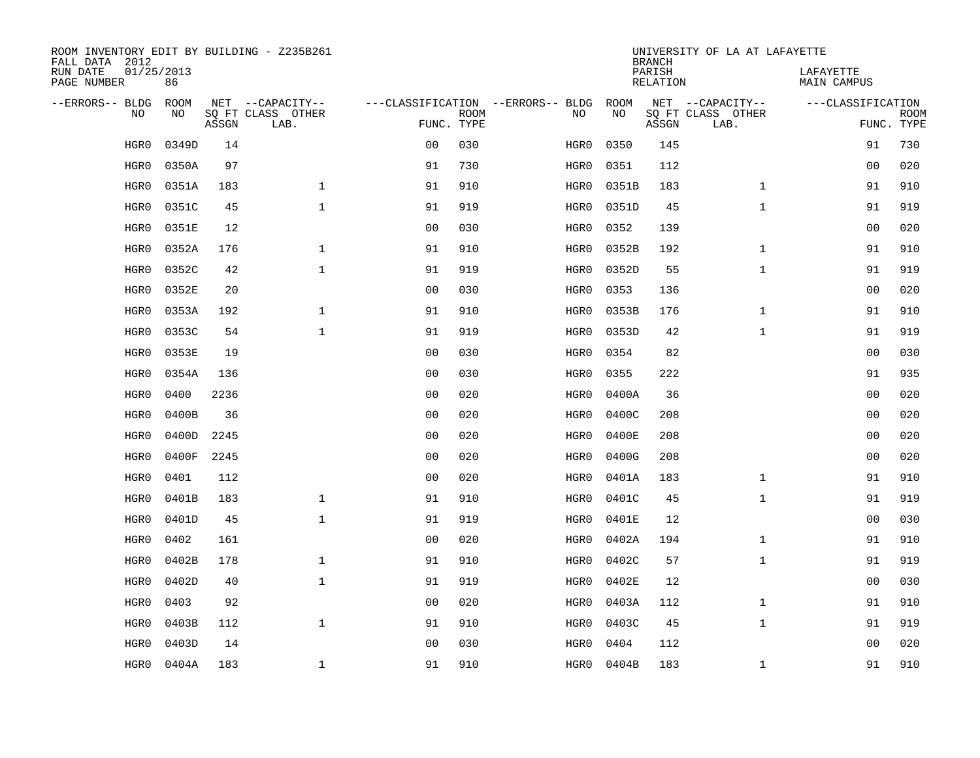| ROOM INVENTORY EDIT BY BUILDING - Z235B261<br>FALL DATA 2012 |                  |       |                           |                |             |                                   |       | <b>BRANCH</b>             | UNIVERSITY OF LA AT LAFAYETTE |                                 |             |
|--------------------------------------------------------------|------------------|-------|---------------------------|----------------|-------------|-----------------------------------|-------|---------------------------|-------------------------------|---------------------------------|-------------|
| RUN DATE<br>PAGE NUMBER                                      | 01/25/2013<br>86 |       |                           |                |             |                                   |       | PARISH<br><b>RELATION</b> |                               | LAFAYETTE<br><b>MAIN CAMPUS</b> |             |
| --ERRORS-- BLDG                                              | ROOM             |       | NET --CAPACITY--          |                |             | ---CLASSIFICATION --ERRORS-- BLDG | ROOM  |                           | NET --CAPACITY--              | ---CLASSIFICATION               |             |
| NO                                                           | NO               | ASSGN | SQ FT CLASS OTHER<br>LAB. | FUNC. TYPE     | <b>ROOM</b> | NO                                | NO    | ASSGN                     | SQ FT CLASS OTHER<br>LAB.     | FUNC. TYPE                      | <b>ROOM</b> |
| HGR0                                                         | 0349D            | 14    |                           | 0 <sub>0</sub> | 030         | HGR0                              | 0350  | 145                       |                               | 91                              | 730         |
| HGR0                                                         | 0350A            | 97    |                           | 91             | 730         | HGR0                              | 0351  | 112                       |                               | 00                              | 020         |
| HGR0                                                         | 0351A            | 183   | $\mathbf 1$               | 91             | 910         | HGR0                              | 0351B | 183                       | $\mathbf{1}$                  | 91                              | 910         |
| HGR0                                                         | 0351C            | 45    | $\mathbf 1$               | 91             | 919         | HGR0                              | 0351D | 45                        | $\mathbf{1}$                  | 91                              | 919         |
| HGR0                                                         | 0351E            | 12    |                           | 0 <sub>0</sub> | 030         | HGR0                              | 0352  | 139                       |                               | 0 <sub>0</sub>                  | 020         |
| HGR0                                                         | 0352A            | 176   | $\mathbf 1$               | 91             | 910         | HGR0                              | 0352B | 192                       | $\mathbf{1}$                  | 91                              | 910         |
| HGR0                                                         | 0352C            | 42    | $\mathbf{1}$              | 91             | 919         | HGR0                              | 0352D | 55                        | $\mathbf{1}$                  | 91                              | 919         |
| HGR0                                                         | 0352E            | 20    |                           | 0 <sub>0</sub> | 030         | HGR0                              | 0353  | 136                       |                               | 0 <sub>0</sub>                  | 020         |
| HGR0                                                         | 0353A            | 192   | $\mathbf{1}$              | 91             | 910         | HGR0                              | 0353B | 176                       | $\mathbf{1}$                  | 91                              | 910         |
| HGR0                                                         | 0353C            | 54    | $\mathbf{1}$              | 91             | 919         | HGR0                              | 0353D | 42                        | $\mathbf{1}$                  | 91                              | 919         |
| HGR0                                                         | 0353E            | 19    |                           | 0 <sub>0</sub> | 030         | HGR0                              | 0354  | 82                        |                               | 00                              | 030         |
| HGR0                                                         | 0354A            | 136   |                           | 0 <sub>0</sub> | 030         | HGR0                              | 0355  | 222                       |                               | 91                              | 935         |
| HGR0                                                         | 0400             | 2236  |                           | 0 <sub>0</sub> | 020         | HGR0                              | 0400A | 36                        |                               | 00                              | 020         |
| HGR0                                                         | 0400B            | 36    |                           | 0 <sub>0</sub> | 020         | HGR0                              | 0400C | 208                       |                               | 00                              | 020         |
| HGR0                                                         | 0400D            | 2245  |                           | 0 <sub>0</sub> | 020         | HGR0                              | 0400E | 208                       |                               | 00                              | 020         |
| HGR0                                                         | 0400F            | 2245  |                           | 0 <sub>0</sub> | 020         | HGR0                              | 0400G | 208                       |                               | 00                              | 020         |
| HGR0                                                         | 0401             | 112   |                           | 0 <sub>0</sub> | 020         | HGR0                              | 0401A | 183                       | $\mathbf{1}$                  | 91                              | 910         |
| HGR0                                                         | 0401B            | 183   | $\mathbf{1}$              | 91             | 910         | HGR0                              | 0401C | 45                        | $\mathbf{1}$                  | 91                              | 919         |
| HGR0                                                         | 0401D            | 45    | $\mathbf{1}$              | 91             | 919         | HGR0                              | 0401E | 12                        |                               | 0 <sub>0</sub>                  | 030         |
| HGR0                                                         | 0402             | 161   |                           | 0 <sub>0</sub> | 020         | HGR0                              | 0402A | 194                       | $\mathbf{1}$                  | 91                              | 910         |
| HGR0                                                         | 0402B            | 178   | $\mathbf 1$               | 91             | 910         | HGR0                              | 0402C | 57                        | $\mathbf{1}$                  | 91                              | 919         |
| HGR0                                                         | 0402D            | 40    | $\mathbf 1$               | 91             | 919         | HGR0                              | 0402E | 12                        |                               | 00                              | 030         |
| HGR0                                                         | 0403             | 92    |                           | 0 <sub>0</sub> | 020         | HGR0                              | 0403A | 112                       | $\mathbf{1}$                  | 91                              | 910         |
| HGR0                                                         | 0403B            | 112   | $\mathbf{1}$              | 91             | 910         | HGR0                              | 0403C | 45                        | $\mathbf{1}$                  | 91                              | 919         |
| HGR0                                                         | 0403D            | 14    |                           | 0 <sub>0</sub> | 030         | HGR0                              | 0404  | 112                       |                               | 0 <sub>0</sub>                  | 020         |
| HGR0                                                         | 0404A            | 183   | $\mathbf 1$               | 91             | 910         | HGR0                              | 0404B | 183                       | $\mathbf{1}$                  | 91                              | 910         |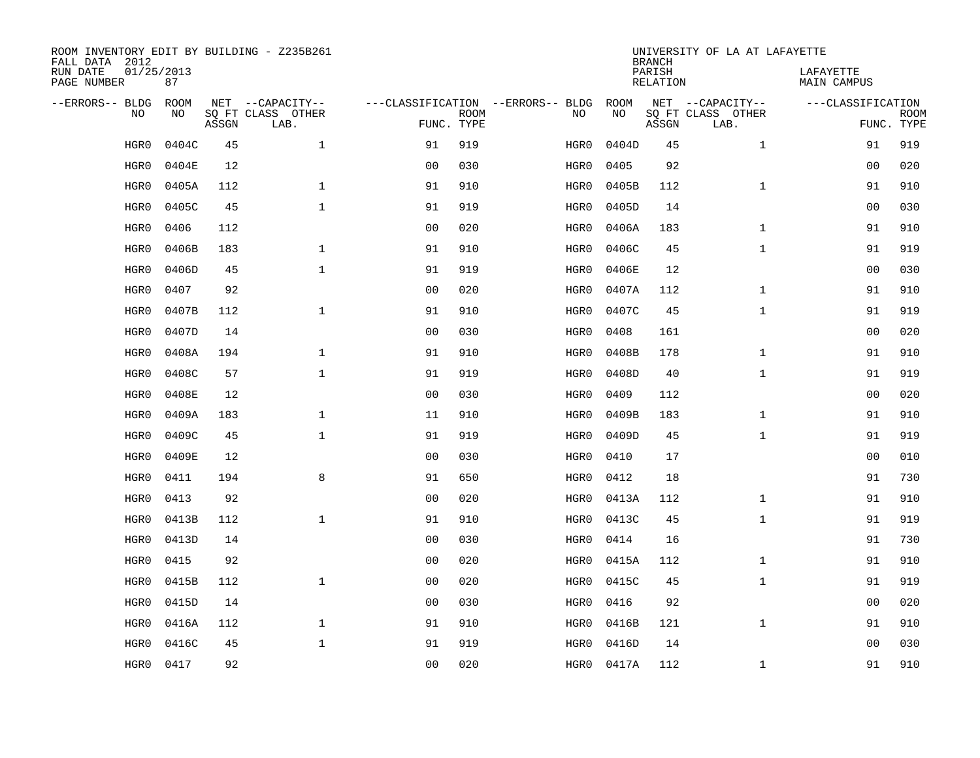| ROOM INVENTORY EDIT BY BUILDING - Z235B261<br>FALL DATA 2012 |                  |       |                           |                |             |                                   |            | <b>BRANCH</b>             | UNIVERSITY OF LA AT LAFAYETTE |                                 |                           |
|--------------------------------------------------------------|------------------|-------|---------------------------|----------------|-------------|-----------------------------------|------------|---------------------------|-------------------------------|---------------------------------|---------------------------|
| RUN DATE<br>PAGE NUMBER                                      | 01/25/2013<br>87 |       |                           |                |             |                                   |            | PARISH<br><b>RELATION</b> |                               | LAFAYETTE<br><b>MAIN CAMPUS</b> |                           |
| --ERRORS-- BLDG                                              | ROOM             |       | NET --CAPACITY--          |                |             | ---CLASSIFICATION --ERRORS-- BLDG | ROOM       |                           | NET --CAPACITY--              | ---CLASSIFICATION               |                           |
| NO                                                           | NO               | ASSGN | SQ FT CLASS OTHER<br>LAB. | FUNC. TYPE     | <b>ROOM</b> | NO                                | NO         | ASSGN                     | SQ FT CLASS OTHER<br>LAB.     |                                 | <b>ROOM</b><br>FUNC. TYPE |
| HGR0                                                         | 0404C            | 45    | $\mathbf 1$               | 91             | 919         | HGR0                              | 0404D      | 45                        | $\mathbf{1}$                  | 91                              | 919                       |
| HGR0                                                         | 0404E            | 12    |                           | 0 <sub>0</sub> | 030         | HGR0                              | 0405       | 92                        |                               | 00                              | 020                       |
| HGR0                                                         | 0405A            | 112   | $\mathbf 1$               | 91             | 910         | HGR0                              | 0405B      | 112                       | $\mathbf{1}$                  | 91                              | 910                       |
| HGR0                                                         | 0405C            | 45    | $\mathbf 1$               | 91             | 919         | HGR0                              | 0405D      | 14                        |                               | 00                              | 030                       |
| HGR0                                                         | 0406             | 112   |                           | 0 <sub>0</sub> | 020         | HGR0                              | 0406A      | 183                       | $\mathbf{1}$                  | 91                              | 910                       |
| HGR0                                                         | 0406B            | 183   | $\mathbf 1$               | 91             | 910         | HGR0                              | 0406C      | 45                        | $\mathbf{1}$                  | 91                              | 919                       |
| HGR0                                                         | 0406D            | 45    | $\mathbf{1}$              | 91             | 919         | HGR0                              | 0406E      | 12                        |                               | 0 <sub>0</sub>                  | 030                       |
| HGR0                                                         | 0407             | 92    |                           | 0 <sub>0</sub> | 020         | HGR0                              | 0407A      | 112                       | $\mathbf{1}$                  | 91                              | 910                       |
| HGR0                                                         | 0407B            | 112   | $\mathbf{1}$              | 91             | 910         | HGR0                              | 0407C      | 45                        | $\mathbf{1}$                  | 91                              | 919                       |
| HGR0                                                         | 0407D            | 14    |                           | 0 <sub>0</sub> | 030         | HGR0                              | 0408       | 161                       |                               | 00                              | 020                       |
| HGR0                                                         | 0408A            | 194   | $\mathbf{1}$              | 91             | 910         | HGR0                              | 0408B      | 178                       | $\mathbf{1}$                  | 91                              | 910                       |
| HGR0                                                         | 0408C            | 57    | $\mathbf{1}$              | 91             | 919         | HGR0                              | 0408D      | 40                        | $\mathbf{1}$                  | 91                              | 919                       |
| HGR0                                                         | 0408E            | 12    |                           | 0 <sub>0</sub> | 030         | HGR0                              | 0409       | 112                       |                               | 0 <sub>0</sub>                  | 020                       |
| HGR0                                                         | 0409A            | 183   | $\mathbf 1$               | 11             | 910         | HGR0                              | 0409B      | 183                       | $\mathbf{1}$                  | 91                              | 910                       |
| HGR0                                                         | 0409C            | 45    | $\mathbf{1}$              | 91             | 919         | HGR0                              | 0409D      | 45                        | $\mathbf{1}$                  | 91                              | 919                       |
| HGR0                                                         | 0409E            | 12    |                           | 00             | 030         | HGR0                              | 0410       | 17                        |                               | 00                              | 010                       |
| HGR0                                                         | 0411             | 194   | 8                         | 91             | 650         | HGR0                              | 0412       | 18                        |                               | 91                              | 730                       |
| HGR0                                                         | 0413             | 92    |                           | 0 <sub>0</sub> | 020         | HGR0                              | 0413A      | 112                       | $\mathbf{1}$                  | 91                              | 910                       |
| HGR0                                                         | 0413B            | 112   | $\mathbf{1}$              | 91             | 910         | HGR0                              | 0413C      | 45                        | $\mathbf{1}$                  | 91                              | 919                       |
| HGR0                                                         | 0413D            | 14    |                           | 0 <sub>0</sub> | 030         | HGR0                              | 0414       | 16                        |                               | 91                              | 730                       |
| HGR0                                                         | 0415             | 92    |                           | 0 <sub>0</sub> | 020         | HGR0                              | 0415A      | 112                       | $\mathbf{1}$                  | 91                              | 910                       |
| HGR0                                                         | 0415B            | 112   | $\mathbf{1}$              | 0 <sub>0</sub> | 020         | HGR0                              | 0415C      | 45                        | $\mathbf{1}$                  | 91                              | 919                       |
| HGR0                                                         | 0415D            | 14    |                           | 0 <sub>0</sub> | 030         | HGR0                              | 0416       | 92                        |                               | 0 <sub>0</sub>                  | 020                       |
| HGR0                                                         | 0416A            | 112   | $\mathbf{1}$              | 91             | 910         | HGR0                              | 0416B      | 121                       | $\mathbf{1}$                  | 91                              | 910                       |
| HGR0                                                         | 0416C            | 45    | $\mathbf{1}$              | 91             | 919         | HGR0                              | 0416D      | 14                        |                               | 0 <sub>0</sub>                  | 030                       |
| HGR0                                                         | 0417             | 92    |                           | 00             | 020         |                                   | HGR0 0417A | 112                       | $\mathbf{1}$                  | 91                              | 910                       |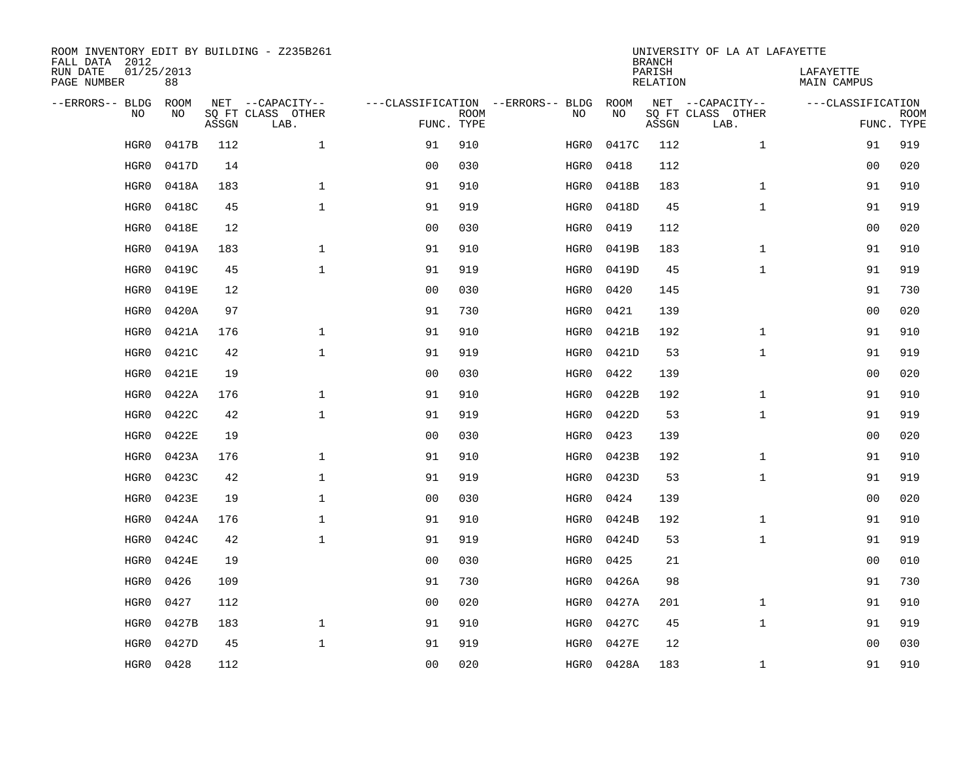| ROOM INVENTORY EDIT BY BUILDING - Z235B261<br>FALL DATA 2012 |                  |       |                           |                |             |                                   |       | <b>BRANCH</b>             | UNIVERSITY OF LA AT LAFAYETTE |                                 |             |
|--------------------------------------------------------------|------------------|-------|---------------------------|----------------|-------------|-----------------------------------|-------|---------------------------|-------------------------------|---------------------------------|-------------|
| RUN DATE<br>PAGE NUMBER                                      | 01/25/2013<br>88 |       |                           |                |             |                                   |       | PARISH<br><b>RELATION</b> |                               | LAFAYETTE<br><b>MAIN CAMPUS</b> |             |
| --ERRORS-- BLDG                                              | ROOM             |       | NET --CAPACITY--          |                |             | ---CLASSIFICATION --ERRORS-- BLDG | ROOM  |                           | NET --CAPACITY--              | ---CLASSIFICATION               |             |
| NO                                                           | NO               | ASSGN | SQ FT CLASS OTHER<br>LAB. | FUNC. TYPE     | <b>ROOM</b> | NO                                | NO    | ASSGN                     | SQ FT CLASS OTHER<br>LAB.     | FUNC. TYPE                      | <b>ROOM</b> |
| HGR0                                                         | 0417B            | 112   | $\mathbf 1$               | 91             | 910         | HGR0                              | 0417C | 112                       | $\mathbf{1}$                  | 91                              | 919         |
| HGR0                                                         | 0417D            | 14    |                           | 0 <sub>0</sub> | 030         | HGR0                              | 0418  | 112                       |                               | 00                              | 020         |
| HGR0                                                         | 0418A            | 183   | $\mathbf 1$               | 91             | 910         | HGR0                              | 0418B | 183                       | $\mathbf{1}$                  | 91                              | 910         |
| HGR0                                                         | 0418C            | 45    | $\mathbf 1$               | 91             | 919         | HGR0                              | 0418D | 45                        | $\mathbf{1}$                  | 91                              | 919         |
| HGR0                                                         | 0418E            | 12    |                           | 0 <sub>0</sub> | 030         | HGR0                              | 0419  | 112                       |                               | 0 <sub>0</sub>                  | 020         |
| HGR0                                                         | 0419A            | 183   | $\mathbf 1$               | 91             | 910         | HGR0                              | 0419B | 183                       | $\mathbf{1}$                  | 91                              | 910         |
| HGR0                                                         | 0419C            | 45    | $\mathbf{1}$              | 91             | 919         | HGR0                              | 0419D | 45                        | $\mathbf{1}$                  | 91                              | 919         |
| HGR0                                                         | 0419E            | 12    |                           | 0 <sub>0</sub> | 030         | HGR0                              | 0420  | 145                       |                               | 91                              | 730         |
| HGR0                                                         | 0420A            | 97    |                           | 91             | 730         | HGR0                              | 0421  | 139                       |                               | 0 <sub>0</sub>                  | 020         |
| HGR0                                                         | 0421A            | 176   | $\mathbf{1}$              | 91             | 910         | HGR0                              | 0421B | 192                       | $\mathbf{1}$                  | 91                              | 910         |
| HGR0                                                         | 0421C            | 42    | $\mathbf{1}$              | 91             | 919         | HGR0                              | 0421D | 53                        | $\mathbf{1}$                  | 91                              | 919         |
| HGR0                                                         | 0421E            | 19    |                           | 0 <sub>0</sub> | 030         | HGR0                              | 0422  | 139                       |                               | 0 <sub>0</sub>                  | 020         |
| HGR0                                                         | 0422A            | 176   | $\mathbf{1}$              | 91             | 910         | HGR0                              | 0422B | 192                       | $\mathbf{1}$                  | 91                              | 910         |
| HGR0                                                         | 0422C            | 42    | $\mathbf{1}$              | 91             | 919         | HGR0                              | 0422D | 53                        | $\mathbf{1}$                  | 91                              | 919         |
| HGR0                                                         | 0422E            | 19    |                           | 0 <sub>0</sub> | 030         | HGR0                              | 0423  | 139                       |                               | 00                              | 020         |
| HGR0                                                         | 0423A            | 176   | 1                         | 91             | 910         | HGR0                              | 0423B | 192                       | $\mathbf{1}$                  | 91                              | 910         |
| HGR0                                                         | 0423C            | 42    | $\mathbf{1}$              | 91             | 919         | HGR0                              | 0423D | 53                        | $\mathbf{1}$                  | 91                              | 919         |
| HGR0                                                         | 0423E            | 19    | 1                         | 0 <sub>0</sub> | 030         | HGR0                              | 0424  | 139                       |                               | 00                              | 020         |
| HGR0                                                         | 0424A            | 176   | $\mathbf 1$               | 91             | 910         | HGR0                              | 0424B | 192                       | $\mathbf{1}$                  | 91                              | 910         |
| HGR0                                                         | 0424C            | 42    | $\mathbf{1}$              | 91             | 919         | HGR0                              | 0424D | 53                        | $\mathbf{1}$                  | 91                              | 919         |
| HGR0                                                         | 0424E            | 19    |                           | 0 <sub>0</sub> | 030         | HGR0                              | 0425  | 21                        |                               | 0 <sub>0</sub>                  | 010         |
| HGR0                                                         | 0426             | 109   |                           | 91             | 730         | HGR0                              | 0426A | 98                        |                               | 91                              | 730         |
| HGR0                                                         | 0427             | 112   |                           | 0 <sub>0</sub> | 020         | HGR0                              | 0427A | 201                       | $\mathbf{1}$                  | 91                              | 910         |
| HGR0                                                         | 0427B            | 183   | $\mathbf 1$               | 91             | 910         | HGR0                              | 0427C | 45                        | $\mathbf{1}$                  | 91                              | 919         |
| HGR0                                                         | 0427D            | 45    | $\mathbf{1}$              | 91             | 919         | HGR0                              | 0427E | 12                        |                               | 0 <sub>0</sub>                  | 030         |
| HGR0                                                         | 0428             | 112   |                           | 00             | 020         | HGR0                              | 0428A | 183                       | $\mathbf{1}$                  | 91                              | 910         |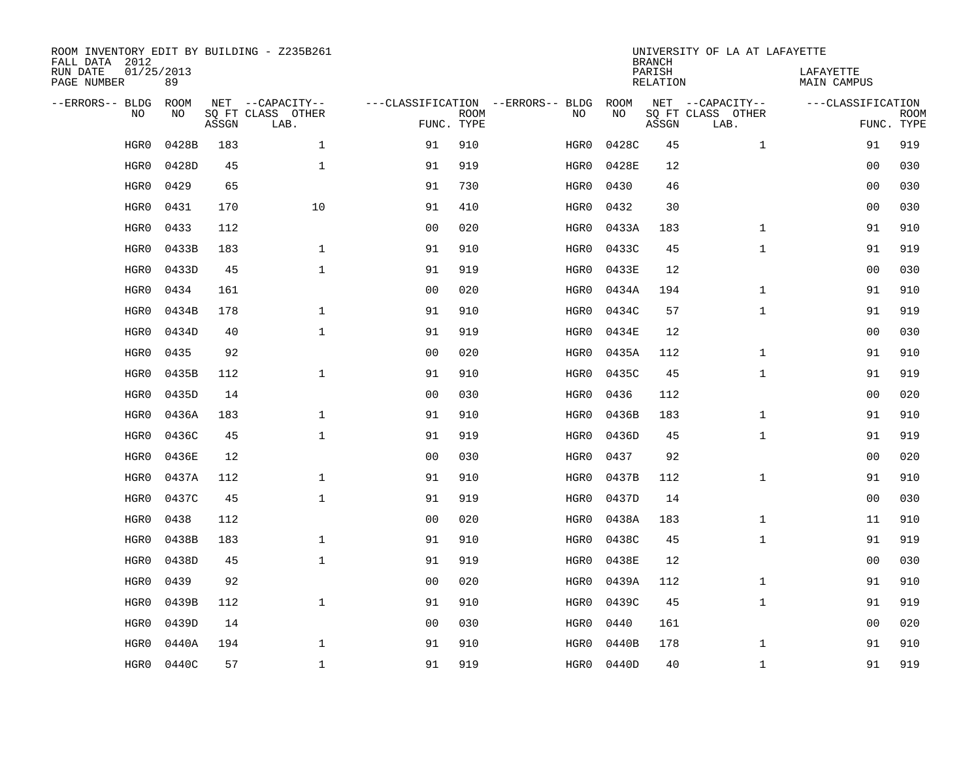| ROOM INVENTORY EDIT BY BUILDING - Z235B261<br>FALL DATA 2012 |                  |       |                           |                |                           |                                   |       | <b>BRANCH</b>             | UNIVERSITY OF LA AT LAFAYETTE |                          |                           |
|--------------------------------------------------------------|------------------|-------|---------------------------|----------------|---------------------------|-----------------------------------|-------|---------------------------|-------------------------------|--------------------------|---------------------------|
| RUN DATE<br>PAGE NUMBER                                      | 01/25/2013<br>89 |       |                           |                |                           |                                   |       | PARISH<br><b>RELATION</b> |                               | LAFAYETTE<br>MAIN CAMPUS |                           |
| --ERRORS-- BLDG                                              | <b>ROOM</b>      |       | NET --CAPACITY--          |                |                           | ---CLASSIFICATION --ERRORS-- BLDG | ROOM  |                           | NET --CAPACITY--              | ---CLASSIFICATION        |                           |
| NO.                                                          | NO               | ASSGN | SQ FT CLASS OTHER<br>LAB. |                | <b>ROOM</b><br>FUNC. TYPE | NO                                | NO    | ASSGN                     | SQ FT CLASS OTHER<br>LAB.     |                          | <b>ROOM</b><br>FUNC. TYPE |
| HGR0                                                         | 0428B            | 183   | $\mathbf{1}$              | 91             | 910                       | HGR0                              | 0428C | 45                        | $\mathbf{1}$                  | 91                       | 919                       |
| HGR0                                                         | 0428D            | 45    | $\mathbf 1$               | 91             | 919                       | HGR0                              | 0428E | 12                        |                               | 00                       | 030                       |
| HGR0                                                         | 0429             | 65    |                           | 91             | 730                       | HGR0                              | 0430  | 46                        |                               | 00                       | 030                       |
| HGR0                                                         | 0431             | 170   | 10                        | 91             | 410                       | HGR0                              | 0432  | 30                        |                               | 0 <sub>0</sub>           | 030                       |
| HGR0                                                         | 0433             | 112   |                           | 0 <sub>0</sub> | 020                       | HGR0                              | 0433A | 183                       | $\mathbf{1}$                  | 91                       | 910                       |
| HGR0                                                         | 0433B            | 183   | $\mathbf{1}$              | 91             | 910                       | HGR0                              | 0433C | 45                        | $\mathbf{1}$                  | 91                       | 919                       |
| HGR0                                                         | 0433D            | 45    | $\mathbf{1}$              | 91             | 919                       | HGR0                              | 0433E | 12                        |                               | 0 <sub>0</sub>           | 030                       |
| HGR0                                                         | 0434             | 161   |                           | 0 <sub>0</sub> | 020                       | HGR0                              | 0434A | 194                       | $\mathbf{1}$                  | 91                       | 910                       |
| HGR0                                                         | 0434B            | 178   | $\mathbf{1}$              | 91             | 910                       | HGR0                              | 0434C | 57                        | $\mathbf{1}$                  | 91                       | 919                       |
| HGR0                                                         | 0434D            | 40    | $\mathbf{1}$              | 91             | 919                       | HGR0                              | 0434E | 12                        |                               | 0 <sub>0</sub>           | 030                       |
| HGR0                                                         | 0435             | 92    |                           | 0 <sub>0</sub> | 020                       | HGR0                              | 0435A | 112                       | $\mathbf{1}$                  | 91                       | 910                       |
| HGR0                                                         | 0435B            | 112   | $\mathbf 1$               | 91             | 910                       | HGR0                              | 0435C | 45                        | $\mathbf{1}$                  | 91                       | 919                       |
| HGR0                                                         | 0435D            | 14    |                           | 0 <sub>0</sub> | 030                       | HGR0                              | 0436  | 112                       |                               | 00                       | 020                       |
| HGR0                                                         | 0436A            | 183   | $\mathbf{1}$              | 91             | 910                       | HGR0                              | 0436B | 183                       | $\mathbf{1}$                  | 91                       | 910                       |
| HGR0                                                         | 0436C            | 45    | $\mathbf{1}$              | 91             | 919                       | HGR0                              | 0436D | 45                        | $\mathbf{1}$                  | 91                       | 919                       |
| HGR0                                                         | 0436E            | 12    |                           | 0 <sub>0</sub> | 030                       | HGR0                              | 0437  | 92                        |                               | 0 <sub>0</sub>           | 020                       |
| HGR0                                                         | 0437A            | 112   | $\mathbf{1}$              | 91             | 910                       | HGR0                              | 0437B | 112                       | $\mathbf{1}$                  | 91                       | 910                       |
| HGR0                                                         | 0437C            | 45    | $\mathbf 1$               | 91             | 919                       | HGR0                              | 0437D | 14                        |                               | 00                       | 030                       |
| HGR0                                                         | 0438             | 112   |                           | 0 <sub>0</sub> | 020                       | HGR0                              | 0438A | 183                       | $\mathbf{1}$                  | 11                       | 910                       |
| HGR0                                                         | 0438B            | 183   | $\mathbf 1$               | 91             | 910                       | HGR0                              | 0438C | 45                        | $\mathbf{1}$                  | 91                       | 919                       |
| HGR0                                                         | 0438D            | 45    | $\mathbf 1$               | 91             | 919                       | HGR0                              | 0438E | 12                        |                               | 00                       | 030                       |
| HGR0                                                         | 0439             | 92    |                           | 0 <sub>0</sub> | 020                       | HGR0                              | 0439A | 112                       | $\mathbf{1}$                  | 91                       | 910                       |
| HGR0                                                         | 0439B            | 112   | $\mathbf{1}$              | 91             | 910                       | HGR0                              | 0439C | 45                        | $\mathbf{1}$                  | 91                       | 919                       |
| HGR0                                                         | 0439D            | 14    |                           | 0 <sub>0</sub> | 030                       | HGR0                              | 0440  | 161                       |                               | 00                       | 020                       |
| HGR0                                                         | 0440A            | 194   | $\mathbf 1$               | 91             | 910                       | HGR0                              | 0440B | 178                       | $\mathbf{1}$                  | 91                       | 910                       |
| HGR0                                                         | 0440C            | 57    | $\mathbf{1}$              | 91             | 919                       | HGR0                              | 0440D | 40                        | $\mathbf{1}$                  | 91                       | 919                       |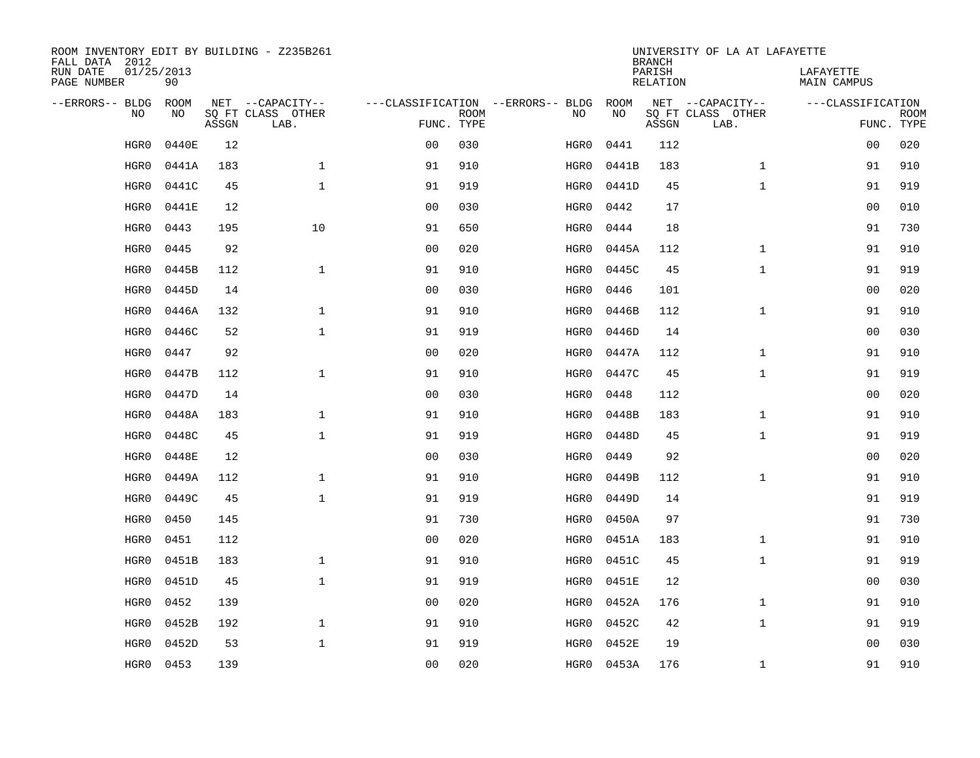| ROOM INVENTORY EDIT BY BUILDING - Z235B261<br>FALL DATA 2012 |                  |       |                           |                |             |                                   |            | <b>BRANCH</b>             | UNIVERSITY OF LA AT LAFAYETTE |                                 |                           |
|--------------------------------------------------------------|------------------|-------|---------------------------|----------------|-------------|-----------------------------------|------------|---------------------------|-------------------------------|---------------------------------|---------------------------|
| RUN DATE<br>PAGE NUMBER                                      | 01/25/2013<br>90 |       |                           |                |             |                                   |            | PARISH<br><b>RELATION</b> |                               | LAFAYETTE<br><b>MAIN CAMPUS</b> |                           |
| --ERRORS-- BLDG                                              | ROOM             |       | NET --CAPACITY--          |                |             | ---CLASSIFICATION --ERRORS-- BLDG | ROOM       |                           | NET --CAPACITY--              | ---CLASSIFICATION               |                           |
| NO                                                           | NO               | ASSGN | SQ FT CLASS OTHER<br>LAB. | FUNC. TYPE     | <b>ROOM</b> | NO                                | NO         | ASSGN                     | SQ FT CLASS OTHER<br>LAB.     |                                 | <b>ROOM</b><br>FUNC. TYPE |
| HGR0                                                         | 0440E            | 12    |                           | 0 <sub>0</sub> | 030         | HGR0                              | 0441       | 112                       |                               | 0 <sub>0</sub>                  | 020                       |
| HGR0                                                         | 0441A            | 183   | $\mathbf 1$               | 91             | 910         | HGR0                              | 0441B      | 183                       | $\mathbf{1}$                  | 91                              | 910                       |
| HGR0                                                         | 0441C            | 45    | $\mathbf 1$               | 91             | 919         | HGR0                              | 0441D      | 45                        | $\mathbf{1}$                  | 91                              | 919                       |
| HGR0                                                         | 0441E            | 12    |                           | 0 <sub>0</sub> | 030         | HGR0                              | 0442       | 17                        |                               | 00                              | 010                       |
| HGR0                                                         | 0443             | 195   | 10                        | 91             | 650         | HGR0                              | 0444       | 18                        |                               | 91                              | 730                       |
| HGR0                                                         | 0445             | 92    |                           | 0 <sub>0</sub> | 020         | HGR0                              | 0445A      | 112                       | $\mathbf{1}$                  | 91                              | 910                       |
| HGR0                                                         | 0445B            | 112   | $\mathbf{1}$              | 91             | 910         | HGR0                              | 0445C      | 45                        | $\mathbf{1}$                  | 91                              | 919                       |
| HGR0                                                         | 0445D            | 14    |                           | 0 <sub>0</sub> | 030         | HGR0                              | 0446       | 101                       |                               | 0 <sub>0</sub>                  | 020                       |
| HGR0                                                         | 0446A            | 132   | $\mathbf{1}$              | 91             | 910         | HGR0                              | 0446B      | 112                       | $\mathbf{1}$                  | 91                              | 910                       |
| HGR0                                                         | 0446C            | 52    | $\mathbf{1}$              | 91             | 919         | HGR0                              | 0446D      | 14                        |                               | 00                              | 030                       |
| HGR0                                                         | 0447             | 92    |                           | 0 <sub>0</sub> | 020         | HGR0                              | 0447A      | 112                       | $\mathbf{1}$                  | 91                              | 910                       |
| HGR0                                                         | 0447B            | 112   | $\mathbf 1$               | 91             | 910         | HGR0                              | 0447C      | 45                        | $\mathbf{1}$                  | 91                              | 919                       |
| HGR0                                                         | 0447D            | 14    |                           | 0 <sub>0</sub> | 030         | HGR0                              | 0448       | 112                       |                               | 0 <sub>0</sub>                  | 020                       |
| HGR0                                                         | 0448A            | 183   | $\mathbf 1$               | 91             | 910         | HGR0                              | 0448B      | 183                       | $\mathbf{1}$                  | 91                              | 910                       |
| HGR0                                                         | 0448C            | 45    | $\mathbf{1}$              | 91             | 919         | HGR0                              | 0448D      | 45                        | $\mathbf{1}$                  | 91                              | 919                       |
| HGR0                                                         | 0448E            | 12    |                           | 00             | 030         | HGR0                              | 0449       | 92                        |                               | 00                              | 020                       |
| HGR0                                                         | 0449A            | 112   | $\mathbf{1}$              | 91             | 910         | HGR0                              | 0449B      | 112                       | $\mathbf{1}$                  | 91                              | 910                       |
| HGR0                                                         | 0449C            | 45    | $\mathbf{1}$              | 91             | 919         | HGR0                              | 0449D      | 14                        |                               | 91                              | 919                       |
| HGR0                                                         | 0450             | 145   |                           | 91             | 730         | HGR0                              | 0450A      | 97                        |                               | 91                              | 730                       |
| HGR0                                                         | 0451             | 112   |                           | 0 <sub>0</sub> | 020         | HGR0                              | 0451A      | 183                       | $\mathbf{1}$                  | 91                              | 910                       |
| HGR0                                                         | 0451B            | 183   | $\mathbf{1}$              | 91             | 910         | HGR0                              | 0451C      | 45                        | $\mathbf{1}$                  | 91                              | 919                       |
| HGR0                                                         | 0451D            | 45    | $\mathbf{1}$              | 91             | 919         | HGR0                              | 0451E      | 12                        |                               | 0 <sub>0</sub>                  | 030                       |
| HGR0                                                         | 0452             | 139   |                           | 0 <sub>0</sub> | 020         | HGR0                              | 0452A      | 176                       | $\mathbf{1}$                  | 91                              | 910                       |
| HGR0                                                         | 0452B            | 192   | $\mathbf 1$               | 91             | 910         | HGR0                              | 0452C      | 42                        | $\mathbf{1}$                  | 91                              | 919                       |
| HGR0                                                         | 0452D            | 53    | $\mathbf{1}$              | 91             | 919         | HGR0                              | 0452E      | 19                        |                               | 0 <sub>0</sub>                  | 030                       |
| HGR0                                                         | 0453             | 139   |                           | 00             | 020         |                                   | HGR0 0453A | 176                       | $\mathbf{1}$                  | 91                              | 910                       |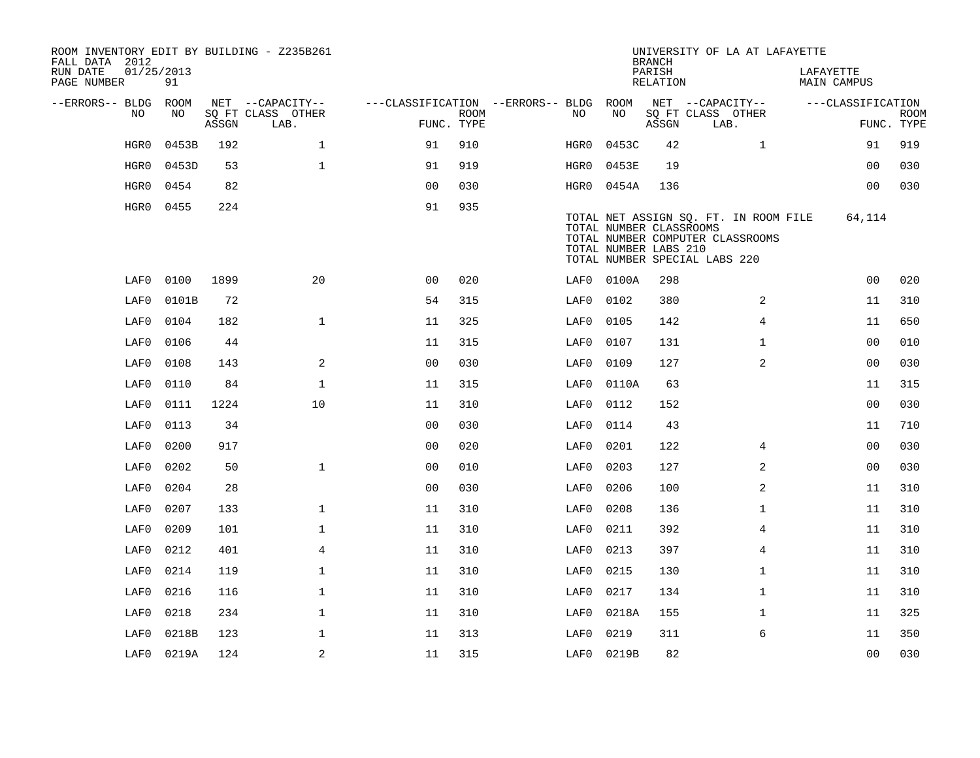| FALL DATA 2012<br>RUN DATE<br>PAGE NUMBER | 01/25/2013 | 91         |       | ROOM INVENTORY EDIT BY BUILDING - Z235B261    |                                                                       |             |      |                                                  | <b>BRANCH</b><br>PARISH<br>RELATION | UNIVERSITY OF LA AT LAFAYETTE                                                                              |                | LAFAYETTE<br>MAIN CAMPUS |                           |
|-------------------------------------------|------------|------------|-------|-----------------------------------------------|-----------------------------------------------------------------------|-------------|------|--------------------------------------------------|-------------------------------------|------------------------------------------------------------------------------------------------------------|----------------|--------------------------|---------------------------|
| --ERRORS-- BLDG ROOM                      | NO.        | NO         | ASSGN | NET --CAPACITY--<br>SQ FT CLASS OTHER<br>LAB. | ---CLASSIFICATION --ERRORS-- BLDG ROOM NET --CAPACITY--<br>FUNC. TYPE | <b>ROOM</b> | NO   | NO                                               | ASSGN                               | SQ FT CLASS OTHER<br>LAB.                                                                                  |                | ---CLASSIFICATION        | <b>ROOM</b><br>FUNC. TYPE |
|                                           | HGR0       | 0453B      | 192   | $\mathbf{1}$                                  | 91                                                                    | 910         | HGR0 | 0453C                                            | 42                                  |                                                                                                            | $\mathbf{1}$   | 91                       | 919                       |
|                                           | HGR0       | 0453D      | 53    | $\mathbf{1}$                                  | 91                                                                    | 919         | HGR0 | 0453E                                            | 19                                  |                                                                                                            |                | 00                       | 030                       |
|                                           | HGR0       | 0454       | 82    |                                               | 0 <sub>0</sub>                                                        | 030         |      | HGR0 0454A                                       | 136                                 |                                                                                                            |                | 0 <sub>0</sub>           | 030                       |
|                                           | HGR0       | 0455       | 224   |                                               | 91                                                                    | 935         |      | TOTAL NUMBER CLASSROOMS<br>TOTAL NUMBER LABS 210 |                                     | TOTAL NET ASSIGN SO. FT. IN ROOM FILE<br>TOTAL NUMBER COMPUTER CLASSROOMS<br>TOTAL NUMBER SPECIAL LABS 220 |                | 64,114                   |                           |
|                                           | LAF0       | 0100       | 1899  | 20                                            | 0 <sub>0</sub>                                                        | 020         |      | LAF0 0100A                                       | 298                                 |                                                                                                            |                | 0 <sub>0</sub>           | 020                       |
|                                           | LAF0       | 0101B      | 72    |                                               | 54                                                                    | 315         | LAF0 | 0102                                             | 380                                 |                                                                                                            | 2              | 11                       | 310                       |
|                                           | LAF0       | 0104       | 182   | $\mathbf{1}$                                  | 11                                                                    | 325         | LAF0 | 0105                                             | 142                                 |                                                                                                            | $\overline{4}$ | 11                       | 650                       |
|                                           | LAF0       | 0106       | 44    |                                               | 11                                                                    | 315         | LAF0 | 0107                                             | 131                                 |                                                                                                            | $\mathbf{1}$   | 0 <sub>0</sub>           | 010                       |
|                                           | LAF0       | 0108       | 143   | 2                                             | 0 <sub>0</sub>                                                        | 030         | LAF0 | 0109                                             | 127                                 |                                                                                                            | 2              | 0 <sub>0</sub>           | 030                       |
|                                           | LAF0       | 0110       | 84    | $\mathbf 1$                                   | 11                                                                    | 315         | LAF0 | 0110A                                            | 63                                  |                                                                                                            |                | 11                       | 315                       |
|                                           | LAF0       | 0111       | 1224  | 10                                            | 11                                                                    | 310         | LAF0 | 0112                                             | 152                                 |                                                                                                            |                | 0 <sub>0</sub>           | 030                       |
|                                           | LAF0       | 0113       | 34    |                                               | 0 <sub>0</sub>                                                        | 030         | LAF0 | 0114                                             | 43                                  |                                                                                                            |                | 11                       | 710                       |
|                                           | LAF0       | 0200       | 917   |                                               | 00                                                                    | 020         | LAF0 | 0201                                             | 122                                 |                                                                                                            | 4              | 0 <sub>0</sub>           | 030                       |
|                                           | LAF0       | 0202       | 50    | $\mathbf{1}$                                  | 0 <sub>0</sub>                                                        | 010         | LAF0 | 0203                                             | 127                                 |                                                                                                            | 2              | 00                       | 030                       |
|                                           | LAF0       | 0204       | 28    |                                               | 0 <sub>0</sub>                                                        | 030         | LAF0 | 0206                                             | 100                                 |                                                                                                            | 2              | 11                       | 310                       |
|                                           | LAF0       | 0207       | 133   | $\mathbf 1$                                   | 11                                                                    | 310         | LAF0 | 0208                                             | 136                                 |                                                                                                            | $\mathbf{1}$   | 11                       | 310                       |
|                                           | LAF0       | 0209       | 101   | $\mathbf 1$                                   | 11                                                                    | 310         | LAF0 | 0211                                             | 392                                 |                                                                                                            | 4              | 11                       | 310                       |
|                                           | LAF0       | 0212       | 401   | $\overline{4}$                                | 11                                                                    | 310         | LAF0 | 0213                                             | 397                                 |                                                                                                            | $\overline{4}$ | 11                       | 310                       |
|                                           | LAF0       | 0214       | 119   | $\mathbf 1$                                   | 11                                                                    | 310         | LAF0 | 0215                                             | 130                                 |                                                                                                            | $\mathbf{1}$   | 11                       | 310                       |
|                                           | LAF0       | 0216       | 116   | $\mathbf 1$                                   | 11                                                                    | 310         | LAF0 | 0217                                             | 134                                 |                                                                                                            | $\mathbf{1}$   | 11                       | 310                       |
|                                           | LAF0       | 0218       | 234   | $\mathbf 1$                                   | 11                                                                    | 310         | LAF0 | 0218A                                            | 155                                 |                                                                                                            | $\mathbf{1}$   | 11                       | 325                       |
|                                           | LAF0       | 0218B      | 123   | $\mathbf{1}$                                  | 11                                                                    | 313         | LAF0 | 0219                                             | 311                                 |                                                                                                            | 6              | 11                       | 350                       |
|                                           |            | LAF0 0219A | 124   | 2                                             | 11                                                                    | 315         |      | LAF0 0219B                                       | 82                                  |                                                                                                            |                | 0 <sub>0</sub>           | 030                       |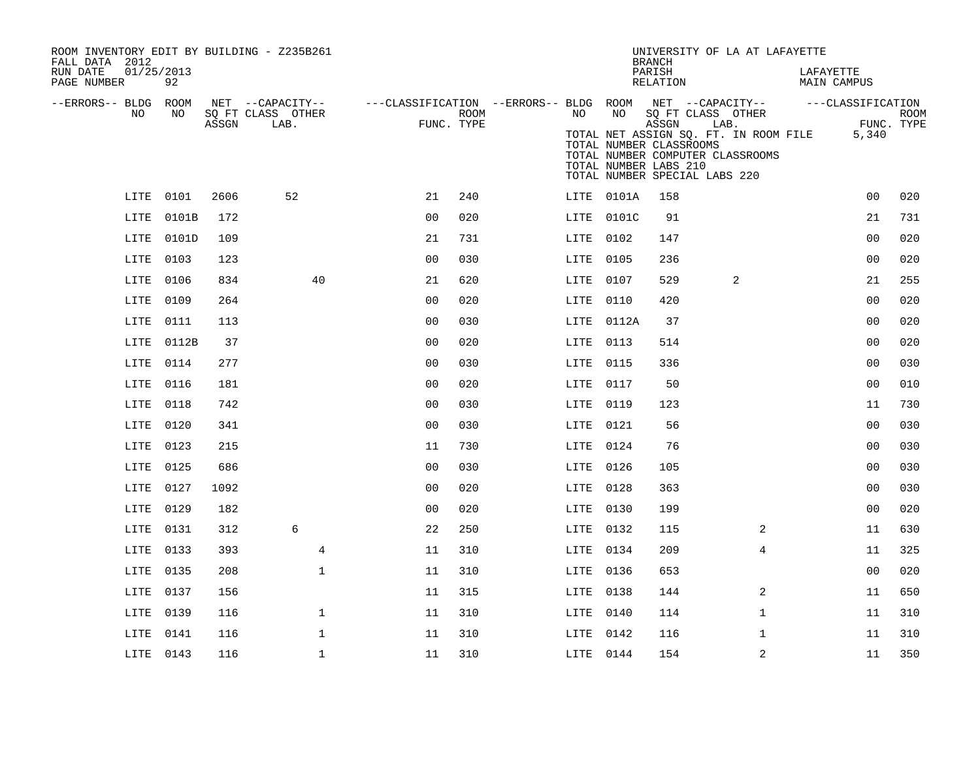| ROOM INVENTORY EDIT BY BUILDING - Z235B261<br>FALL DATA 2012 |            |       |                                       |                                                         |            |      |            | UNIVERSITY OF LA AT LAFAYETTE<br><b>BRANCH</b>                                                                                                                          |                |                          |                     |             |
|--------------------------------------------------------------|------------|-------|---------------------------------------|---------------------------------------------------------|------------|------|------------|-------------------------------------------------------------------------------------------------------------------------------------------------------------------------|----------------|--------------------------|---------------------|-------------|
| RUN DATE<br>01/25/2013<br>PAGE NUMBER                        | 92         |       |                                       |                                                         |            |      |            | PARISH<br>RELATION                                                                                                                                                      |                | LAFAYETTE<br>MAIN CAMPUS |                     |             |
| --ERRORS-- BLDG ROOM<br>NO.                                  | NO.        |       | NET --CAPACITY--<br>SQ FT CLASS OTHER | ---CLASSIFICATION --ERRORS-- BLDG ROOM NET --CAPACITY-- | ROOM       | NO   | NO         | SQ FT CLASS OTHER                                                                                                                                                       |                | ---CLASSIFICATION        |                     | <b>ROOM</b> |
|                                                              |            | ASSGN | LAB.                                  |                                                         | FUNC. TYPE |      |            | ASSGN<br>TOTAL NET ASSIGN SQ. FT. IN ROOM FILE<br>TOTAL NUMBER CLASSROOMS<br>TOTAL NUMBER COMPUTER CLASSROOMS<br>TOTAL NUMBER LABS 210<br>TOTAL NUMBER SPECIAL LABS 220 | LAB.           |                          | FUNC. TYPE<br>5,340 |             |
|                                                              | LITE 0101  | 2606  | 52                                    | 21                                                      | 240        |      | LITE 0101A | 158                                                                                                                                                                     |                |                          | 0 <sub>0</sub>      | 020         |
|                                                              | LITE 0101B | 172   |                                       | 0 <sub>0</sub>                                          | 020        |      | LITE 0101C | 91                                                                                                                                                                      |                |                          | 21                  | 731         |
| LITE                                                         | 0101D      | 109   |                                       | 21                                                      | 731        |      | LITE 0102  | 147                                                                                                                                                                     |                |                          | 0 <sub>0</sub>      | 020         |
|                                                              | LITE 0103  | 123   |                                       | 0 <sub>0</sub>                                          | 030        |      | LITE 0105  | 236                                                                                                                                                                     |                |                          | 0 <sub>0</sub>      | 020         |
| LITE                                                         | 0106       | 834   | 40                                    | 21                                                      | 620        |      | LITE 0107  | 529                                                                                                                                                                     | 2              |                          | 21                  | 255         |
|                                                              | LITE 0109  | 264   |                                       | 0 <sub>0</sub>                                          | 020        |      | LITE 0110  | 420                                                                                                                                                                     |                |                          | 0 <sub>0</sub>      | 020         |
| LITE                                                         | 0111       | 113   |                                       | 0 <sub>0</sub>                                          | 030        |      | LITE 0112A | 37                                                                                                                                                                      |                |                          | 0 <sub>0</sub>      | 020         |
| LITE                                                         | 0112B      | 37    |                                       | 0 <sub>0</sub>                                          | 020        |      | LITE 0113  | 514                                                                                                                                                                     |                |                          | 00                  | 020         |
| LITE                                                         | 0114       | 277   |                                       | 0 <sub>0</sub>                                          | 030        | LITE | 0115       | 336                                                                                                                                                                     |                |                          | 0 <sub>0</sub>      | 030         |
| LITE 0116                                                    |            | 181   |                                       | 0 <sub>0</sub>                                          | 020        |      | LITE 0117  | 50                                                                                                                                                                      |                |                          | 0 <sub>0</sub>      | 010         |
| LITE                                                         | 0118       | 742   |                                       | 0 <sub>0</sub>                                          | 030        | LITE | 0119       | 123                                                                                                                                                                     |                |                          | 11                  | 730         |
| LITE                                                         | 0120       | 341   |                                       | 0 <sub>0</sub>                                          | 030        |      | LITE 0121  | 56                                                                                                                                                                      |                |                          | 0 <sub>0</sub>      | 030         |
| LITE                                                         | 0123       | 215   |                                       | 11                                                      | 730        |      | LITE 0124  | 76                                                                                                                                                                      |                |                          | 0 <sub>0</sub>      | 030         |
| LITE                                                         | 0125       | 686   |                                       | 0 <sub>0</sub>                                          | 030        |      | LITE 0126  | 105                                                                                                                                                                     |                |                          | 0 <sub>0</sub>      | 030         |
| LITE                                                         | 0127       | 1092  |                                       | 0 <sub>0</sub>                                          | 020        | LITE | 0128       | 363                                                                                                                                                                     |                |                          | 0 <sub>0</sub>      | 030         |
| LITE                                                         | 0129       | 182   |                                       | 0 <sub>0</sub>                                          | 020        |      | LITE 0130  | 199                                                                                                                                                                     |                |                          | 0 <sub>0</sub>      | 020         |
| LITE                                                         | 0131       | 312   | 6                                     | 22                                                      | 250        |      | LITE 0132  | 115                                                                                                                                                                     | 2              |                          | 11                  | 630         |
| LITE                                                         | 0133       | 393   | 4                                     | 11                                                      | 310        |      | LITE 0134  | 209                                                                                                                                                                     | 4              |                          | 11                  | 325         |
| LITE                                                         | 0135       | 208   | $\mathbf{1}$                          | 11                                                      | 310        |      | LITE 0136  | 653                                                                                                                                                                     |                |                          | 0 <sub>0</sub>      | 020         |
| LITE                                                         | 0137       | 156   |                                       | 11                                                      | 315        |      | LITE 0138  | 144                                                                                                                                                                     | 2              |                          | 11                  | 650         |
| LITE                                                         | 0139       | 116   | $\mathbf{1}$                          | 11                                                      | 310        |      | LITE 0140  | 114                                                                                                                                                                     | $\mathbf{1}$   |                          | 11                  | 310         |
|                                                              | LITE 0141  | 116   | $\mathbf 1$                           | 11                                                      | 310        |      | LITE 0142  | 116                                                                                                                                                                     | $\mathbf{1}$   |                          | 11                  | 310         |
|                                                              | LITE 0143  | 116   | $\mathbf 1$                           | 11                                                      | 310        |      | LITE 0144  | 154                                                                                                                                                                     | $\overline{a}$ |                          | 11                  | 350         |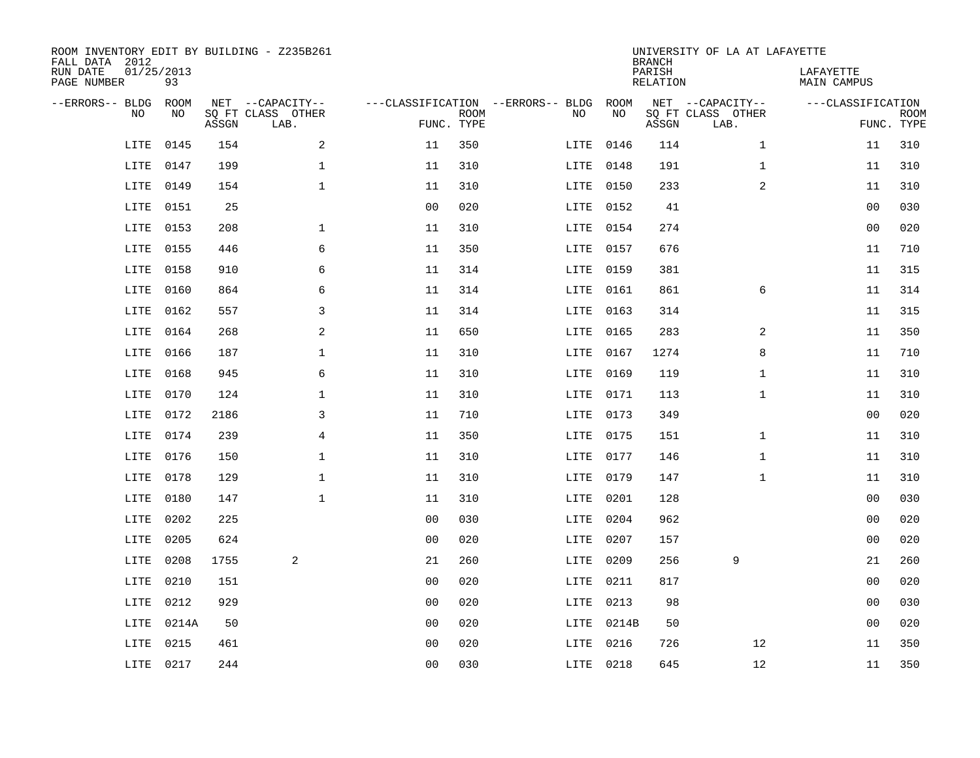| ROOM INVENTORY EDIT BY BUILDING - Z235B261<br>FALL DATA 2012<br>RUN DATE<br>PAGE NUMBER | 01/25/2013<br>93 |       |                                               |                                                 |             |           |            | <b>BRANCH</b><br>PARISH<br>RELATION | UNIVERSITY OF LA AT LAFAYETTE                 | LAFAYETTE<br>MAIN CAMPUS |                           |
|-----------------------------------------------------------------------------------------|------------------|-------|-----------------------------------------------|-------------------------------------------------|-------------|-----------|------------|-------------------------------------|-----------------------------------------------|--------------------------|---------------------------|
| --ERRORS-- BLDG<br>NO                                                                   | ROOM<br>NO       | ASSGN | NET --CAPACITY--<br>SQ FT CLASS OTHER<br>LAB. | ---CLASSIFICATION --ERRORS-- BLDG<br>FUNC. TYPE | <b>ROOM</b> | NO        | ROOM<br>NO | ASSGN                               | NET --CAPACITY--<br>SQ FT CLASS OTHER<br>LAB. | ---CLASSIFICATION        | <b>ROOM</b><br>FUNC. TYPE |
| LITE                                                                                    | 0145             | 154   | 2                                             | 11                                              | 350         | LITE      | 0146       | 114                                 | $\mathbf{1}$                                  | 11                       | 310                       |
| LITE                                                                                    | 0147             | 199   | 1                                             | 11                                              | 310         | LITE      | 0148       | 191                                 | $\mathbf{1}$                                  | 11                       | 310                       |
| LITE                                                                                    | 0149             | 154   | $\mathbf 1$                                   | 11                                              | 310         | LITE      | 0150       | 233                                 | $\overline{a}$                                | 11                       | 310                       |
| LITE                                                                                    | 0151             | 25    |                                               | 0 <sub>0</sub>                                  | 020         | LITE      | 0152       | 41                                  |                                               | 0 <sub>0</sub>           | 030                       |
| LITE                                                                                    | 0153             | 208   | $\mathbf 1$                                   | 11                                              | 310         | LITE      | 0154       | 274                                 |                                               | 0 <sub>0</sub>           | 020                       |
| LITE                                                                                    | 0155             | 446   | 6                                             | 11                                              | 350         | LITE 0157 |            | 676                                 |                                               | 11                       | 710                       |
| LITE                                                                                    | 0158             | 910   | 6                                             | 11                                              | 314         | LITE      | 0159       | 381                                 |                                               | 11                       | 315                       |
| LITE                                                                                    | 0160             | 864   | 6                                             | 11                                              | 314         | LITE      | 0161       | 861                                 | 6                                             | 11                       | 314                       |
| LITE                                                                                    | 0162             | 557   | 3                                             | 11                                              | 314         | LITE      | 0163       | 314                                 |                                               | 11                       | 315                       |
| LITE                                                                                    | 0164             | 268   | 2                                             | 11                                              | 650         | LITE      | 0165       | 283                                 | 2                                             | 11                       | 350                       |
| LITE                                                                                    | 0166             | 187   | $\mathbf 1$                                   | 11                                              | 310         | LITE      | 0167       | 1274                                | 8                                             | 11                       | 710                       |
| LITE                                                                                    | 0168             | 945   | 6                                             | 11                                              | 310         | LITE      | 0169       | 119                                 | $\mathbf{1}$                                  | 11                       | 310                       |
| LITE                                                                                    | 0170             | 124   | $\mathbf 1$                                   | 11                                              | 310         | LITE      | 0171       | 113                                 | $\mathbf{1}$                                  | 11                       | 310                       |
| LITE                                                                                    | 0172             | 2186  | 3                                             | 11                                              | 710         | LITE 0173 |            | 349                                 |                                               | 00                       | 020                       |
| LITE                                                                                    | 0174             | 239   | 4                                             | 11                                              | 350         | LITE      | 0175       | 151                                 | $\mathbf{1}$                                  | 11                       | 310                       |
| LITE                                                                                    | 0176             | 150   | $\mathbf 1$                                   | 11                                              | 310         | LITE 0177 |            | 146                                 | $\mathbf{1}$                                  | 11                       | 310                       |
| LITE                                                                                    | 0178             | 129   | $\mathbf 1$                                   | 11                                              | 310         | LITE      | 0179       | 147                                 | $\mathbf{1}$                                  | 11                       | 310                       |
| LITE                                                                                    | 0180             | 147   | $\mathbf{1}$                                  | 11                                              | 310         | LITE      | 0201       | 128                                 |                                               | 00                       | 030                       |
| LITE                                                                                    | 0202             | 225   |                                               | 0 <sub>0</sub>                                  | 030         | LITE      | 0204       | 962                                 |                                               | 00                       | 020                       |
| LITE                                                                                    | 0205             | 624   |                                               | 0 <sub>0</sub>                                  | 020         | LITE      | 0207       | 157                                 |                                               | 00                       | 020                       |
| LITE                                                                                    | 0208             | 1755  | 2                                             | 21                                              | 260         | LITE      | 0209       | 256                                 | 9                                             | 21                       | 260                       |
| LITE                                                                                    | 0210             | 151   |                                               | 0 <sub>0</sub>                                  | 020         | LITE      | 0211       | 817                                 |                                               | 00                       | 020                       |
| LITE                                                                                    | 0212             | 929   |                                               | 0 <sub>0</sub>                                  | 020         | LITE      | 0213       | 98                                  |                                               | 00                       | 030                       |
| LITE                                                                                    | 0214A            | 50    |                                               | 0 <sub>0</sub>                                  | 020         |           | LITE 0214B | 50                                  |                                               | 00                       | 020                       |
| LITE                                                                                    | 0215             | 461   |                                               | 0 <sub>0</sub>                                  | 020         | LITE      | 0216       | 726                                 | 12                                            | 11                       | 350                       |
|                                                                                         | LITE 0217        | 244   |                                               | 0 <sub>0</sub>                                  | 030         | LITE 0218 |            | 645                                 | 12                                            | 11                       | 350                       |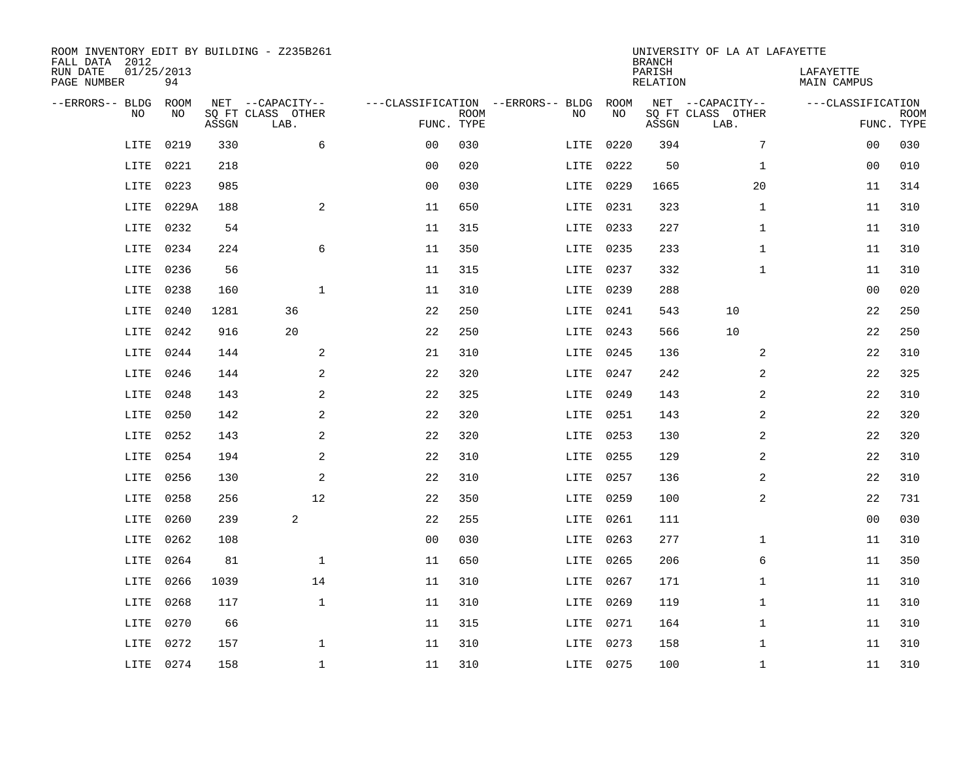| ROOM INVENTORY EDIT BY BUILDING - Z235B261<br>FALL DATA 2012 |                  |       |                           |                |             |                                   |           | <b>BRANCH</b>             | UNIVERSITY OF LA AT LAFAYETTE |                                 |             |
|--------------------------------------------------------------|------------------|-------|---------------------------|----------------|-------------|-----------------------------------|-----------|---------------------------|-------------------------------|---------------------------------|-------------|
| RUN DATE<br>PAGE NUMBER                                      | 01/25/2013<br>94 |       |                           |                |             |                                   |           | PARISH<br><b>RELATION</b> |                               | LAFAYETTE<br><b>MAIN CAMPUS</b> |             |
| --ERRORS-- BLDG                                              | ROOM             |       | NET --CAPACITY--          |                |             | ---CLASSIFICATION --ERRORS-- BLDG | ROOM      |                           | NET --CAPACITY--              | ---CLASSIFICATION               |             |
| NO                                                           | NO               | ASSGN | SQ FT CLASS OTHER<br>LAB. | FUNC. TYPE     | <b>ROOM</b> | NO                                | NO        | ASSGN                     | SQ FT CLASS OTHER<br>LAB.     | FUNC. TYPE                      | <b>ROOM</b> |
| LITE                                                         | 0219             | 330   | 6                         | 0 <sub>0</sub> | 030         | LITE                              | 0220      | 394                       | 7                             | 00                              | 030         |
| LITE                                                         | 0221             | 218   |                           | 0 <sub>0</sub> | 020         | LITE                              | 0222      | 50                        | $\mathbf{1}$                  | 00                              | 010         |
| LITE                                                         | 0223             | 985   |                           | 0 <sub>0</sub> | 030         | LITE                              | 0229      | 1665                      | 20                            | 11                              | 314         |
| LITE                                                         | 0229A            | 188   | $\mathbf{2}$              | 11             | 650         | LITE                              | 0231      | 323                       | $\mathbf{1}$                  | 11                              | 310         |
| LITE                                                         | 0232             | 54    |                           | 11             | 315         | LITE                              | 0233      | 227                       | $\mathbf{1}$                  | 11                              | 310         |
| LITE                                                         | 0234             | 224   | 6                         | 11             | 350         | LITE                              | 0235      | 233                       | $\mathbf{1}$                  | 11                              | 310         |
| LITE                                                         | 0236             | 56    |                           | 11             | 315         | LITE                              | 0237      | 332                       | $\mathbf{1}$                  | 11                              | 310         |
| LITE                                                         | 0238             | 160   | $\mathbf{1}$              | 11             | 310         | LITE                              | 0239      | 288                       |                               | 0 <sub>0</sub>                  | 020         |
| LITE                                                         | 0240             | 1281  | 36                        | 22             | 250         | LITE                              | 0241      | 543                       | 10                            | 22                              | 250         |
| LITE                                                         | 0242             | 916   | 20                        | 22             | 250         | LITE                              | 0243      | 566                       | 10                            | 22                              | 250         |
| LITE                                                         | 0244             | 144   | 2                         | 21             | 310         | LITE                              | 0245      | 136                       | 2                             | 22                              | 310         |
| LITE                                                         | 0246             | 144   | 2                         | 22             | 320         | LITE                              | 0247      | 242                       | $\overline{2}$                | 22                              | 325         |
| LITE                                                         | 0248             | 143   | 2                         | 22             | 325         | LITE                              | 0249      | 143                       | 2                             | 22                              | 310         |
| LITE                                                         | 0250             | 142   | $\overline{a}$            | 22             | 320         | LITE                              | 0251      | 143                       | 2                             | 22                              | 320         |
| LITE                                                         | 0252             | 143   | 2                         | 22             | 320         | LITE                              | 0253      | 130                       | 2                             | 22                              | 320         |
| LITE                                                         | 0254             | 194   | 2                         | 22             | 310         |                                   | LITE 0255 | 129                       | $\overline{a}$                | 22                              | 310         |
| LITE                                                         | 0256             | 130   | 2                         | 22             | 310         | LITE                              | 0257      | 136                       | 2                             | 22                              | 310         |
| LITE                                                         | 0258             | 256   | 12                        | 22             | 350         | LITE                              | 0259      | 100                       | $\overline{a}$                | 22                              | 731         |
| LITE                                                         | 0260             | 239   | 2                         | 22             | 255         | LITE                              | 0261      | 111                       |                               | 0 <sub>0</sub>                  | 030         |
| LITE                                                         | 0262             | 108   |                           | 0 <sub>0</sub> | 030         |                                   | LITE 0263 | 277                       | $\mathbf{1}$                  | 11                              | 310         |
| LITE                                                         | 0264             | 81    | $\mathbf 1$               | 11             | 650         | LITE                              | 0265      | 206                       | 6                             | 11                              | 350         |
| LITE                                                         | 0266             | 1039  | 14                        | 11             | 310         | LITE                              | 0267      | 171                       | $\mathbf{1}$                  | 11                              | 310         |
| LITE                                                         | 0268             | 117   | $\mathbf{1}$              | 11             | 310         | LITE                              | 0269      | 119                       | $\mathbf{1}$                  | 11                              | 310         |
| LITE                                                         | 0270             | 66    |                           | 11             | 315         |                                   | LITE 0271 | 164                       | $\mathbf{1}$                  | 11                              | 310         |
| LITE                                                         | 0272             | 157   | $\mathbf 1$               | 11             | 310         | LITE                              | 0273      | 158                       | $\mathbf{1}$                  | 11                              | 310         |
|                                                              | LITE 0274        | 158   | $\mathbf{1}$              | 11             | 310         |                                   | LITE 0275 | 100                       | $\mathbf{1}$                  | 11                              | 310         |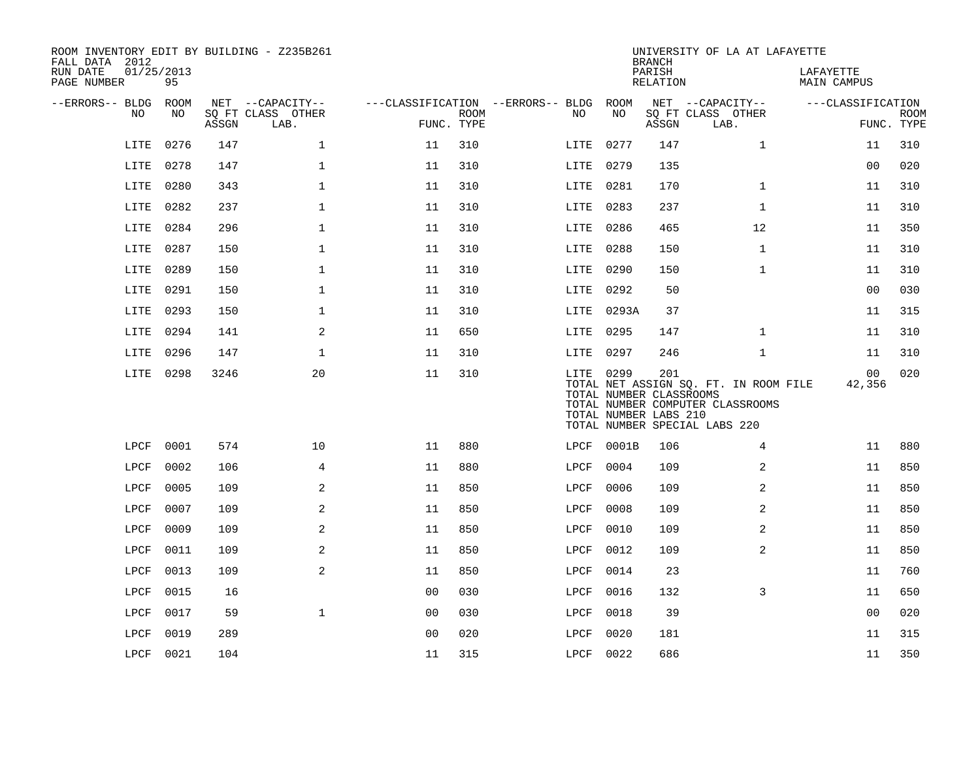| ROOM INVENTORY EDIT BY BUILDING - Z235B261<br>FALL DATA 2012 |                  |       |                           |                |             |                                        |           |            | <b>BRANCH</b>                                           | UNIVERSITY OF LA AT LAFAYETTE                                                                              |                          |                           |
|--------------------------------------------------------------|------------------|-------|---------------------------|----------------|-------------|----------------------------------------|-----------|------------|---------------------------------------------------------|------------------------------------------------------------------------------------------------------------|--------------------------|---------------------------|
| RUN DATE<br>PAGE NUMBER                                      | 01/25/2013<br>95 |       |                           |                |             |                                        |           |            | PARISH<br>RELATION                                      |                                                                                                            | LAFAYETTE<br>MAIN CAMPUS |                           |
| --ERRORS-- BLDG ROOM                                         |                  |       | NET --CAPACITY--          |                |             | ---CLASSIFICATION --ERRORS-- BLDG ROOM |           |            |                                                         | NET --CAPACITY--                                                                                           | ---CLASSIFICATION        |                           |
| NO                                                           | NO               | ASSGN | SQ FT CLASS OTHER<br>LAB. | FUNC. TYPE     | <b>ROOM</b> | NO                                     |           | NO         | ASSGN                                                   | SQ FT CLASS OTHER<br>LAB.                                                                                  |                          | <b>ROOM</b><br>FUNC. TYPE |
| LITE                                                         | 0276             | 147   | $\mathbf 1$               | 11             | 310         | LITE                                   |           | 0277       | 147                                                     | $\mathbf{1}$                                                                                               | 11                       | 310                       |
| LITE                                                         | 0278             | 147   | $\mathbf{1}$              | 11             | 310         | LITE                                   |           | 0279       | 135                                                     |                                                                                                            | 0 <sub>0</sub>           | 020                       |
| LITE                                                         | 0280             | 343   | $\mathbf 1$               | 11             | 310         |                                        | LITE      | 0281       | 170                                                     | $\mathbf{1}$                                                                                               | 11                       | 310                       |
| LITE                                                         | 0282             | 237   | $\mathbf{1}$              | 11             | 310         | LITE                                   |           | 0283       | 237                                                     | $\mathbf{1}$                                                                                               | 11                       | 310                       |
| LITE                                                         | 0284             | 296   | $\mathbf{1}$              | 11             | 310         | LITE                                   |           | 0286       | 465                                                     | 12                                                                                                         | 11                       | 350                       |
| LITE                                                         | 0287             | 150   | $\mathbf{1}$              | 11             | 310         | LITE                                   |           | 0288       | 150                                                     | $\mathbf{1}$                                                                                               | 11                       | 310                       |
| LITE                                                         | 0289             | 150   | $\mathbf 1$               | 11             | 310         | LITE                                   |           | 0290       | 150                                                     | $\mathbf{1}$                                                                                               | 11                       | 310                       |
| LITE                                                         | 0291             | 150   | $\mathbf 1$               | 11             | 310         | LITE                                   |           | 0292       | 50                                                      |                                                                                                            | 0 <sub>0</sub>           | 030                       |
| LITE                                                         | 0293             | 150   | $\mathbf 1$               | 11             | 310         |                                        |           | LITE 0293A | 37                                                      |                                                                                                            | 11                       | 315                       |
| LITE                                                         | 0294             | 141   | 2                         | 11             | 650         |                                        | LITE 0295 |            | 147                                                     | $\mathbf{1}$                                                                                               | 11                       | 310                       |
| LITE                                                         | 0296             | 147   | 1                         | 11             | 310         |                                        | LITE 0297 |            | 246                                                     | $\mathbf{1}$                                                                                               | 11                       | 310                       |
|                                                              | LITE 0298        | 3246  | 20                        | 11             | 310         |                                        | LITE 0299 |            | 201<br>TOTAL NUMBER CLASSROOMS<br>TOTAL NUMBER LABS 210 | TOTAL NET ASSIGN SQ. FT. IN ROOM FILE<br>TOTAL NUMBER COMPUTER CLASSROOMS<br>TOTAL NUMBER SPECIAL LABS 220 | 00<br>42,356             | 020                       |
| LPCF                                                         | 0001             | 574   | 10                        | 11             | 880         |                                        |           | LPCF 0001B | 106                                                     | 4                                                                                                          | 11                       | 880                       |
| LPCF                                                         | 0002             | 106   | 4                         | 11             | 880         | LPCF                                   |           | 0004       | 109                                                     | 2                                                                                                          | 11                       | 850                       |
| LPCF                                                         | 0005             | 109   | 2                         | 11             | 850         | LPCF                                   |           | 0006       | 109                                                     | 2                                                                                                          | 11                       | 850                       |
| LPCF                                                         | 0007             | 109   | 2                         | 11             | 850         | LPCF                                   |           | 0008       | 109                                                     | $\overline{a}$                                                                                             | 11                       | 850                       |
| LPCF                                                         | 0009             | 109   | 2                         | 11             | 850         | LPCF                                   |           | 0010       | 109                                                     | $\overline{a}$                                                                                             | 11                       | 850                       |
| LPCF                                                         | 0011             | 109   | 2                         | 11             | 850         | LPCF                                   |           | 0012       | 109                                                     | $\overline{a}$                                                                                             | 11                       | 850                       |
| LPCF                                                         | 0013             | 109   | $\overline{a}$            | 11             | 850         | LPCF                                   |           | 0014       | 23                                                      |                                                                                                            | 11                       | 760                       |
| LPCF                                                         | 0015             | 16    |                           | 0 <sub>0</sub> | 030         | LPCF                                   |           | 0016       | 132                                                     | 3                                                                                                          | 11                       | 650                       |
| LPCF                                                         | 0017             | 59    | $\mathbf{1}$              | 00             | 030         | LPCF                                   |           | 0018       | 39                                                      |                                                                                                            | 00                       | 020                       |
| LPCF                                                         | 0019             | 289   |                           | 0 <sub>0</sub> | 020         | LPCF                                   |           | 0020       | 181                                                     |                                                                                                            | 11                       | 315                       |
|                                                              | LPCF 0021        | 104   |                           | 11             | 315         |                                        | LPCF 0022 |            | 686                                                     |                                                                                                            | 11                       | 350                       |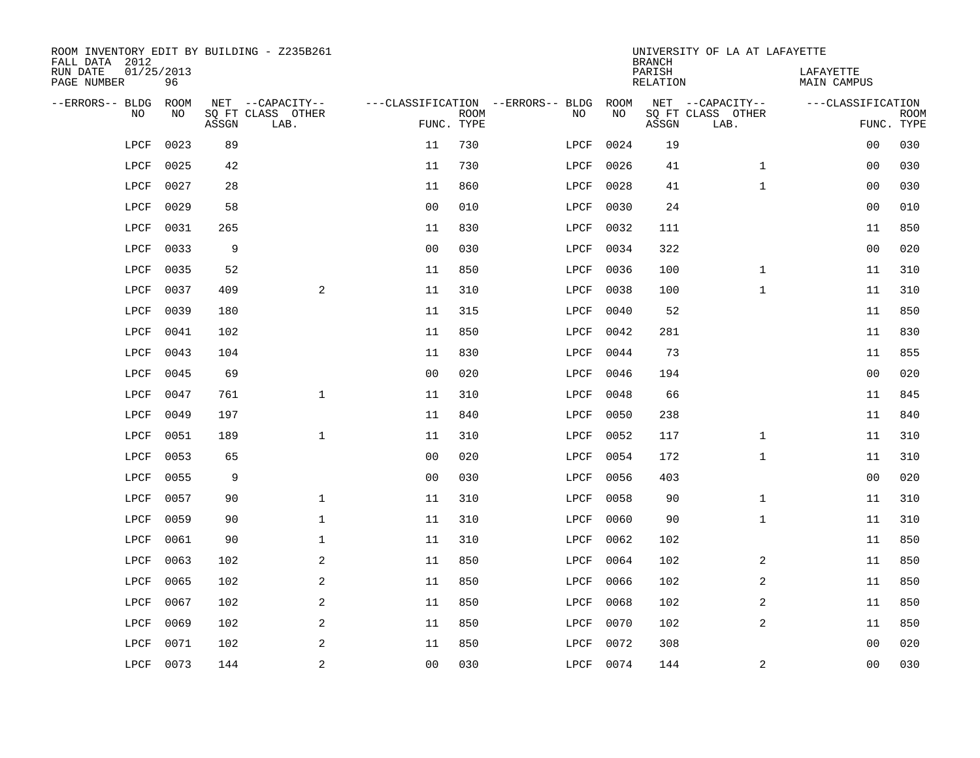| ROOM INVENTORY EDIT BY BUILDING - Z235B261<br>FALL DATA 2012 |                  |       |                           |                |             |                                   |      | <b>BRANCH</b>             | UNIVERSITY OF LA AT LAFAYETTE |                                 |             |
|--------------------------------------------------------------|------------------|-------|---------------------------|----------------|-------------|-----------------------------------|------|---------------------------|-------------------------------|---------------------------------|-------------|
| RUN DATE<br>PAGE NUMBER                                      | 01/25/2013<br>96 |       |                           |                |             |                                   |      | PARISH<br><b>RELATION</b> |                               | LAFAYETTE<br><b>MAIN CAMPUS</b> |             |
| --ERRORS-- BLDG                                              | ROOM             |       | NET --CAPACITY--          |                |             | ---CLASSIFICATION --ERRORS-- BLDG | ROOM |                           | NET --CAPACITY--              | ---CLASSIFICATION               |             |
| NO                                                           | NO               | ASSGN | SQ FT CLASS OTHER<br>LAB. | FUNC. TYPE     | <b>ROOM</b> | NO                                | NO   | ASSGN                     | SQ FT CLASS OTHER<br>LAB.     | FUNC. TYPE                      | <b>ROOM</b> |
| LPCF                                                         | 0023             | 89    |                           | 11             | 730         | LPCF                              | 0024 | 19                        |                               | 00                              | 030         |
| LPCF                                                         | 0025             | 42    |                           | 11             | 730         | LPCF                              | 0026 | 41                        | $\mathbf{1}$                  | 00                              | 030         |
| LPCF                                                         | 0027             | 28    |                           | 11             | 860         | LPCF                              | 0028 | 41                        | $\mathbf{1}$                  | 00                              | 030         |
| LPCF                                                         | 0029             | 58    |                           | 0 <sub>0</sub> | 010         | LPCF                              | 0030 | 24                        |                               | 0 <sub>0</sub>                  | 010         |
| LPCF                                                         | 0031             | 265   |                           | 11             | 830         | LPCF                              | 0032 | 111                       |                               | 11                              | 850         |
| LPCF                                                         | 0033             | 9     |                           | 0 <sub>0</sub> | 030         | LPCF                              | 0034 | 322                       |                               | 0 <sub>0</sub>                  | 020         |
| LPCF                                                         | 0035             | 52    |                           | 11             | 850         | LPCF                              | 0036 | 100                       | $\mathbf{1}$                  | 11                              | 310         |
| LPCF                                                         | 0037             | 409   | 2                         | 11             | 310         | LPCF                              | 0038 | 100                       | $\mathbf{1}$                  | 11                              | 310         |
| LPCF                                                         | 0039             | 180   |                           | 11             | 315         | LPCF                              | 0040 | 52                        |                               | 11                              | 850         |
| LPCF                                                         | 0041             | 102   |                           | 11             | 850         | LPCF                              | 0042 | 281                       |                               | 11                              | 830         |
| LPCF                                                         | 0043             | 104   |                           | 11             | 830         | LPCF                              | 0044 | 73                        |                               | 11                              | 855         |
| LPCF                                                         | 0045             | 69    |                           | 0 <sub>0</sub> | 020         | LPCF                              | 0046 | 194                       |                               | 0 <sub>0</sub>                  | 020         |
| LPCF                                                         | 0047             | 761   | $\mathbf{1}$              | 11             | 310         | LPCF                              | 0048 | 66                        |                               | 11                              | 845         |
| LPCF                                                         | 0049             | 197   |                           | 11             | 840         | LPCF                              | 0050 | 238                       |                               | 11                              | 840         |
| LPCF                                                         | 0051             | 189   | $\mathbf{1}$              | 11             | 310         | LPCF                              | 0052 | 117                       | $\mathbf{1}$                  | 11                              | 310         |
| LPCF                                                         | 0053             | 65    |                           | 0 <sub>0</sub> | 020         | LPCF                              | 0054 | 172                       | $\mathbf{1}$                  | 11                              | 310         |
| LPCF                                                         | 0055             | 9     |                           | 0 <sub>0</sub> | 030         | LPCF                              | 0056 | 403                       |                               | 0 <sub>0</sub>                  | 020         |
| LPCF                                                         | 0057             | 90    | $\mathbf{1}$              | 11             | 310         | LPCF                              | 0058 | 90                        | $\mathbf{1}$                  | 11                              | 310         |
| LPCF                                                         | 0059             | 90    | $\mathbf{1}$              | 11             | 310         | LPCF                              | 0060 | 90                        | $\mathbf{1}$                  | 11                              | 310         |
| LPCF                                                         | 0061             | 90    | $\mathbf 1$               | 11             | 310         | LPCF                              | 0062 | 102                       |                               | 11                              | 850         |
| LPCF                                                         | 0063             | 102   | 2                         | 11             | 850         | LPCF                              | 0064 | 102                       | 2                             | 11                              | 850         |
| LPCF                                                         | 0065             | 102   | 2                         | 11             | 850         | LPCF                              | 0066 | 102                       | 2                             | 11                              | 850         |
| LPCF                                                         | 0067             | 102   | 2                         | 11             | 850         | LPCF                              | 0068 | 102                       | 2                             | 11                              | 850         |
| LPCF                                                         | 0069             | 102   | 2                         | 11             | 850         | LPCF                              | 0070 | 102                       | 2                             | 11                              | 850         |
| LPCF                                                         | 0071             | 102   | 2                         | 11             | 850         | LPCF                              | 0072 | 308                       |                               | 0 <sub>0</sub>                  | 020         |
| LPCF                                                         | 0073             | 144   | $\overline{c}$            | 0 <sub>0</sub> | 030         | LPCF                              | 0074 | 144                       | 2                             | 0 <sub>0</sub>                  | 030         |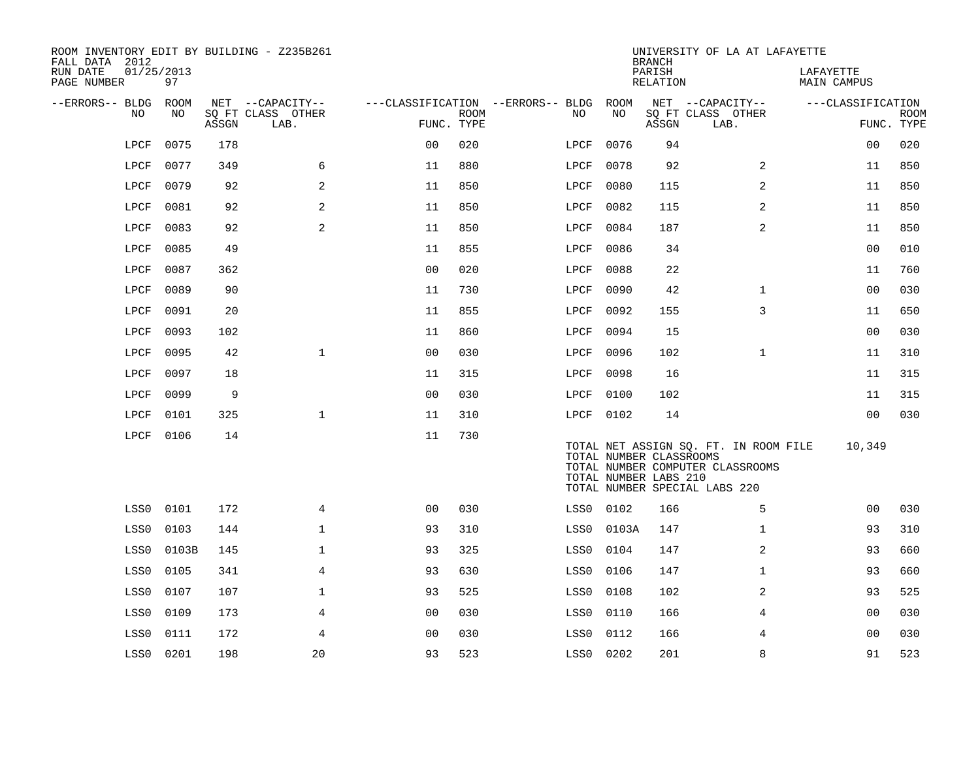| ROOM INVENTORY EDIT BY BUILDING - Z235B261<br>FALL DATA 2012 |                  |       |                           |                |             |                                   |           | <b>BRANCH</b>                                    | UNIVERSITY OF LA AT LAFAYETTE                                                                              |                          |                           |
|--------------------------------------------------------------|------------------|-------|---------------------------|----------------|-------------|-----------------------------------|-----------|--------------------------------------------------|------------------------------------------------------------------------------------------------------------|--------------------------|---------------------------|
| RUN DATE<br>PAGE NUMBER                                      | 01/25/2013<br>97 |       |                           |                |             |                                   |           | PARISH<br><b>RELATION</b>                        |                                                                                                            | LAFAYETTE<br>MAIN CAMPUS |                           |
| --ERRORS-- BLDG ROOM                                         |                  |       | NET --CAPACITY--          |                |             | ---CLASSIFICATION --ERRORS-- BLDG | ROOM      |                                                  | NET --CAPACITY--                                                                                           | ---CLASSIFICATION        |                           |
| NO                                                           | NO               | ASSGN | SO FT CLASS OTHER<br>LAB. | FUNC. TYPE     | <b>ROOM</b> | NO                                | NO        | ASSGN                                            | SQ FT CLASS OTHER<br>LAB.                                                                                  |                          | <b>ROOM</b><br>FUNC. TYPE |
| LPCF                                                         | 0075             | 178   |                           | 0 <sub>0</sub> | 020         | LPCF                              | 0076      | 94                                               |                                                                                                            | 0 <sub>0</sub>           | 020                       |
| LPCF                                                         | 0077             | 349   | 6                         | 11             | 880         | LPCF                              | 0078      | 92                                               | $\overline{2}$                                                                                             | 11                       | 850                       |
| LPCF                                                         | 0079             | 92    | $\overline{2}$            | 11             | 850         | LPCF                              | 0080      | 115                                              | $\overline{2}$                                                                                             | 11                       | 850                       |
| LPCF                                                         | 0081             | 92    | 2                         | 11             | 850         | LPCF                              | 0082      | 115                                              | 2                                                                                                          | 11                       | 850                       |
| LPCF                                                         | 0083             | 92    | 2                         | 11             | 850         | LPCF                              | 0084      | 187                                              | 2                                                                                                          | 11                       | 850                       |
| LPCF                                                         | 0085             | 49    |                           | 11             | 855         | LPCF                              | 0086      | 34                                               |                                                                                                            | 0 <sub>0</sub>           | 010                       |
| LPCF                                                         | 0087             | 362   |                           | 0 <sub>0</sub> | 020         | LPCF                              | 0088      | 22                                               |                                                                                                            | 11                       | 760                       |
| LPCF                                                         | 0089             | 90    |                           | 11             | 730         | LPCF                              | 0090      | 42                                               | $\mathbf{1}$                                                                                               | 0 <sub>0</sub>           | 030                       |
| LPCF                                                         | 0091             | 20    |                           | 11             | 855         | LPCF                              | 0092      | 155                                              | 3                                                                                                          | 11                       | 650                       |
| LPCF                                                         | 0093             | 102   |                           | 11             | 860         | LPCF                              | 0094      | 15                                               |                                                                                                            | 00                       | 030                       |
| LPCF                                                         | 0095             | 42    | $\mathbf{1}$              | 0 <sub>0</sub> | 030         | LPCF                              | 0096      | 102                                              | $\mathbf{1}$                                                                                               | 11                       | 310                       |
| LPCF                                                         | 0097             | 18    |                           | 11             | 315         | LPCF                              | 0098      | 16                                               |                                                                                                            | 11                       | 315                       |
| LPCF                                                         | 0099             | 9     |                           | 0 <sub>0</sub> | 030         | LPCF                              | 0100      | 102                                              |                                                                                                            | 11                       | 315                       |
| LPCF                                                         | 0101             | 325   | $\mathbf{1}$              | 11             | 310         |                                   | LPCF 0102 | 14                                               |                                                                                                            | 0 <sub>0</sub>           | 030                       |
| LPCF                                                         | 0106             | 14    |                           | 11             | 730         |                                   |           | TOTAL NUMBER CLASSROOMS<br>TOTAL NUMBER LABS 210 | TOTAL NET ASSIGN SQ. FT. IN ROOM FILE<br>TOTAL NUMBER COMPUTER CLASSROOMS<br>TOTAL NUMBER SPECIAL LABS 220 | 10,349                   |                           |
| LSS0                                                         | 0101             | 172   | 4                         | 0 <sub>0</sub> | 030         |                                   | LSS0 0102 | 166                                              | 5                                                                                                          | 00                       | 030                       |
| LSS0                                                         | 0103             | 144   | $\mathbf 1$               | 93             | 310         | LSS0                              | 0103A     | 147                                              | $\mathbf{1}$                                                                                               | 93                       | 310                       |
| LSS0                                                         | 0103B            | 145   | $\mathbf 1$               | 93             | 325         | LSS0                              | 0104      | 147                                              | 2                                                                                                          | 93                       | 660                       |
| LSS0                                                         | 0105             | 341   | 4                         | 93             | 630         | LSS0                              | 0106      | 147                                              | $\mathbf{1}$                                                                                               | 93                       | 660                       |
| LSS0                                                         | 0107             | 107   | $\mathbf 1$               | 93             | 525         | LSS0                              | 0108      | 102                                              | 2                                                                                                          | 93                       | 525                       |
| LSS0                                                         | 0109             | 173   | 4                         | 0 <sub>0</sub> | 030         | LSS0                              | 0110      | 166                                              | 4                                                                                                          | 0 <sub>0</sub>           | 030                       |
| LSS0                                                         | 0111             | 172   | 4                         | 0 <sub>0</sub> | 030         | LSS0                              | 0112      | 166                                              | 4                                                                                                          | 00                       | 030                       |
|                                                              | LSS0 0201        | 198   | 20                        | 93             | 523         | LSS0 0202                         |           | 201                                              | 8                                                                                                          | 91                       | 523                       |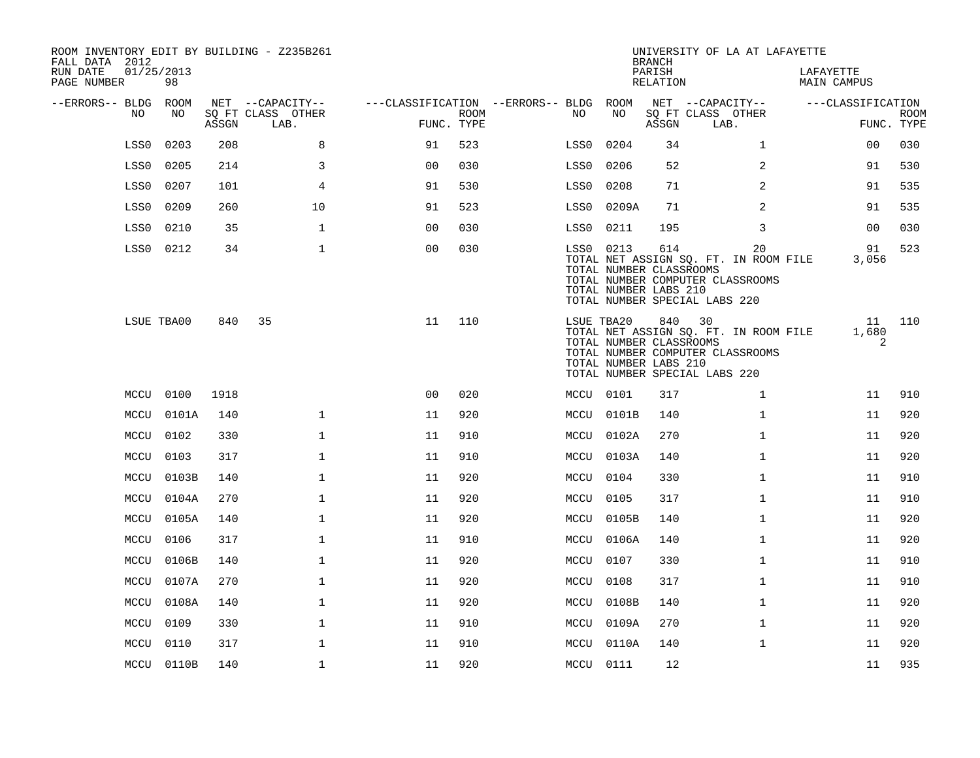| ROOM INVENTORY EDIT BY BUILDING - Z235B261<br>FALL DATA 2012 |                  |       |                           |                                        |      |           |                                                                | <b>BRANCH</b>      | UNIVERSITY OF LA AT LAFAYETTE                                                                                    |                          |                           |
|--------------------------------------------------------------|------------------|-------|---------------------------|----------------------------------------|------|-----------|----------------------------------------------------------------|--------------------|------------------------------------------------------------------------------------------------------------------|--------------------------|---------------------------|
| RUN DATE<br>PAGE NUMBER                                      | 01/25/2013<br>98 |       |                           |                                        |      |           |                                                                | PARISH<br>RELATION |                                                                                                                  | LAFAYETTE<br>MAIN CAMPUS |                           |
| --ERRORS-- BLDG ROOM                                         |                  |       | NET --CAPACITY--          | ---CLASSIFICATION --ERRORS-- BLDG ROOM |      |           |                                                                |                    | NET --CAPACITY--                                                                                                 | ---CLASSIFICATION        |                           |
| NO                                                           | NO.              | ASSGN | SQ FT CLASS OTHER<br>LAB. | FUNC. TYPE                             | ROOM | NO.       | NO                                                             | ASSGN              | SQ FT CLASS OTHER<br>LAB.                                                                                        |                          | <b>ROOM</b><br>FUNC. TYPE |
| LSS0                                                         | 0203             | 208   | 8                         | 91                                     | 523  | LSS0      | 0204                                                           | 34                 | $\mathbf{1}$                                                                                                     | 00                       | 030                       |
| LSS0                                                         | 0205             | 214   | 3                         | 0 <sub>0</sub>                         | 030  | LSS0      | 0206                                                           | 52                 | 2                                                                                                                | 91                       | 530                       |
| LSS0                                                         | 0207             | 101   | 4                         | 91                                     | 530  | LSS0      | 0208                                                           | 71                 | 2                                                                                                                | 91                       | 535                       |
| LSS0                                                         | 0209             | 260   | 10                        | 91                                     | 523  | LSS0      | 0209A                                                          | 71                 | 2                                                                                                                | 91                       | 535                       |
| LSS0                                                         | 0210             | 35    | $\mathbf{1}$              | 00                                     | 030  | LSS0      | 0211                                                           | 195                | 3                                                                                                                | 0 <sub>0</sub>           | 030                       |
|                                                              | LSS0 0212        | 34    | $\mathbf{1}$              | 0 <sub>0</sub>                         | 030  |           | LSS0 0213<br>TOTAL NUMBER CLASSROOMS<br>TOTAL NUMBER LABS 210  | 614                | 20<br>TOTAL NET ASSIGN SQ. FT. IN ROOM FILE<br>TOTAL NUMBER COMPUTER CLASSROOMS<br>TOTAL NUMBER SPECIAL LABS 220 | 91<br>3,056              | 523                       |
|                                                              | LSUE TBA00       | 840   | 35                        | 11                                     | 110  |           | LSUE TBA20<br>TOTAL NUMBER CLASSROOMS<br>TOTAL NUMBER LABS 210 | 840                | 30<br>TOTAL NET ASSIGN SQ. FT. IN ROOM FILE<br>TOTAL NUMBER COMPUTER CLASSROOMS<br>TOTAL NUMBER SPECIAL LABS 220 | 1,680<br>2               | 11 110                    |
|                                                              | MCCU 0100        | 1918  |                           | 0 <sub>0</sub>                         | 020  |           | MCCU 0101                                                      | 317                | $\mathbf{1}$                                                                                                     | 11                       | 910                       |
|                                                              | MCCU 0101A       | 140   | $\mathbf 1$               | 11                                     | 920  |           | MCCU 0101B                                                     | 140                | $\mathbf{1}$                                                                                                     | 11                       | 920                       |
|                                                              | MCCU 0102        | 330   | $\mathbf{1}$              | 11                                     | 910  |           | MCCU 0102A                                                     | 270                | $\mathbf{1}$                                                                                                     | 11                       | 920                       |
|                                                              | MCCU 0103        | 317   | $\mathbf 1$               | 11                                     | 910  |           | MCCU 0103A                                                     | 140                | $\mathbf{1}$                                                                                                     | 11                       | 920                       |
| MCCU                                                         | 0103B            | 140   | 1                         | 11                                     | 920  | MCCU      | 0104                                                           | 330                | $\mathbf{1}$                                                                                                     | 11                       | 910                       |
| MCCU                                                         | 0104A            | 270   | $\mathbf 1$               | 11                                     | 920  |           | MCCU 0105                                                      | 317                | $\mathbf{1}$                                                                                                     | 11                       | 910                       |
|                                                              | MCCU 0105A       | 140   | $\mathbf 1$               | 11                                     | 920  |           | MCCU 0105B                                                     | 140                | $\mathbf{1}$                                                                                                     | 11                       | 920                       |
|                                                              | MCCU 0106        | 317   | $\mathbf{1}$              | 11                                     | 910  |           | MCCU 0106A                                                     | 140                | $\mathbf{1}$                                                                                                     | 11                       | 920                       |
| MCCU                                                         | 0106B            | 140   | $\mathbf{1}$              | 11                                     | 920  |           | MCCU 0107                                                      | 330                | $\mathbf{1}$                                                                                                     | 11                       | 910                       |
| MCCU                                                         | 0107A            | 270   | $\mathbf 1$               | 11                                     | 920  | MCCU 0108 |                                                                | 317                | $\mathbf{1}$                                                                                                     | 11                       | 910                       |
|                                                              | MCCU 0108A       | 140   | $\mathbf 1$               | 11                                     | 920  |           | MCCU 0108B                                                     | 140                | $\mathbf{1}$                                                                                                     | 11                       | 920                       |
|                                                              | MCCU 0109        | 330   | $\mathbf 1$               | 11                                     | 910  |           | MCCU 0109A                                                     | 270                | $\mathbf{1}$                                                                                                     | 11                       | 920                       |
|                                                              | MCCU 0110        | 317   | $\mathbf 1$               | 11                                     | 910  |           | MCCU 0110A                                                     | 140                | $\mathbf{1}$                                                                                                     | 11                       | 920                       |
|                                                              | MCCU 0110B       | 140   | $\mathbf{1}$              | 11                                     | 920  | MCCU 0111 |                                                                | 12                 |                                                                                                                  | 11                       | 935                       |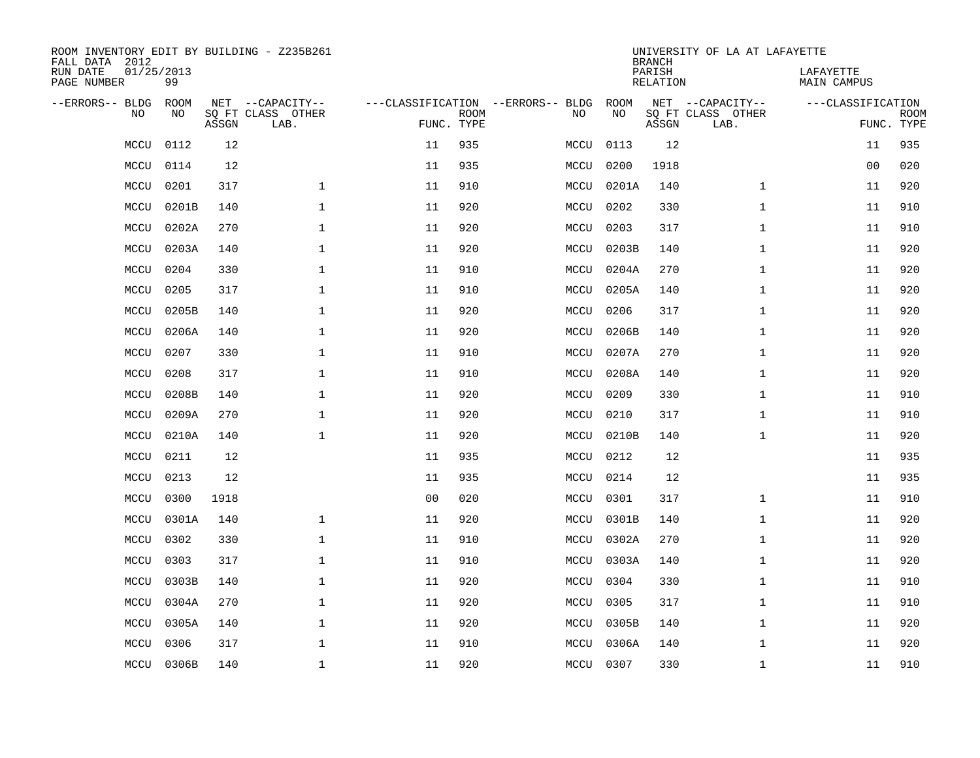| ROOM INVENTORY EDIT BY BUILDING - Z235B261<br>FALL DATA 2012 |                  |       |                           |                |                           |                                   |           | <b>BRANCH</b>             | UNIVERSITY OF LA AT LAFAYETTE |                                 |             |
|--------------------------------------------------------------|------------------|-------|---------------------------|----------------|---------------------------|-----------------------------------|-----------|---------------------------|-------------------------------|---------------------------------|-------------|
| RUN DATE<br>PAGE NUMBER                                      | 01/25/2013<br>99 |       |                           |                |                           |                                   |           | PARISH<br><b>RELATION</b> |                               | LAFAYETTE<br><b>MAIN CAMPUS</b> |             |
| --ERRORS-- BLDG                                              | ROOM             |       | NET --CAPACITY--          |                |                           | ---CLASSIFICATION --ERRORS-- BLDG | ROOM      |                           | NET --CAPACITY--              | ---CLASSIFICATION               |             |
| NO                                                           | NO               | ASSGN | SQ FT CLASS OTHER<br>LAB. |                | <b>ROOM</b><br>FUNC. TYPE | NO                                | NO        | ASSGN                     | SQ FT CLASS OTHER<br>LAB.     | FUNC. TYPE                      | <b>ROOM</b> |
| MCCU                                                         | 0112             | 12    |                           | 11             | 935                       | MCCU                              | 0113      | 12                        |                               | 11                              | 935         |
| MCCU                                                         | 0114             | 12    |                           | 11             | 935                       | MCCU                              | 0200      | 1918                      |                               | 00                              | 020         |
| MCCU                                                         | 0201             | 317   | $\mathbf 1$               | 11             | 910                       | MCCU                              | 0201A     | 140                       | $\mathbf{1}$                  | 11                              | 920         |
| MCCU                                                         | 0201B            | 140   | $\mathbf 1$               | 11             | 920                       | MCCU                              | 0202      | 330                       | $\mathbf{1}$                  | 11                              | 910         |
| MCCU                                                         | 0202A            | 270   | $\mathbf{1}$              | 11             | 920                       | MCCU                              | 0203      | 317                       | $\mathbf{1}$                  | 11                              | 910         |
| MCCU                                                         | 0203A            | 140   | $\mathbf{1}$              | 11             | 920                       | MCCU                              | 0203B     | 140                       | $\mathbf{1}$                  | 11                              | 920         |
| MCCU                                                         | 0204             | 330   | $\mathbf{1}$              | 11             | 910                       | MCCU                              | 0204A     | 270                       | $\mathbf{1}$                  | 11                              | 920         |
| MCCU                                                         | 0205             | 317   | $\mathbf 1$               | 11             | 910                       | MCCU                              | 0205A     | 140                       | $\mathbf{1}$                  | 11                              | 920         |
| MCCU                                                         | 0205B            | 140   | $\mathbf{1}$              | 11             | 920                       | MCCU                              | 0206      | 317                       | $\mathbf{1}$                  | 11                              | 920         |
| MCCU                                                         | 0206A            | 140   | $\mathbf 1$               | 11             | 920                       | MCCU                              | 0206B     | 140                       | $\mathbf{1}$                  | 11                              | 920         |
| MCCU                                                         | 0207             | 330   | $\mathbf 1$               | 11             | 910                       | MCCU                              | 0207A     | 270                       | $\mathbf{1}$                  | 11                              | 920         |
| MCCU                                                         | 0208             | 317   | $\mathbf{1}$              | 11             | 910                       | MCCU                              | 0208A     | 140                       | $\mathbf{1}$                  | 11                              | 920         |
| MCCU                                                         | 0208B            | 140   | $\mathbf 1$               | 11             | 920                       | MCCU                              | 0209      | 330                       | $\mathbf{1}$                  | 11                              | 910         |
| MCCU                                                         | 0209A            | 270   | 1                         | 11             | 920                       | MCCU                              | 0210      | 317                       | $\mathbf{1}$                  | 11                              | 910         |
| MCCU                                                         | 0210A            | 140   | 1                         | 11             | 920                       | MCCU                              | 0210B     | 140                       | $\mathbf{1}$                  | 11                              | 920         |
| MCCU                                                         | 0211             | 12    |                           | 11             | 935                       | MCCU                              | 0212      | 12                        |                               | 11                              | 935         |
| MCCU                                                         | 0213             | 12    |                           | 11             | 935                       | MCCU                              | 0214      | 12                        |                               | 11                              | 935         |
| MCCU                                                         | 0300             | 1918  |                           | 0 <sub>0</sub> | 020                       | MCCU                              | 0301      | 317                       | $\mathbf{1}$                  | 11                              | 910         |
| MCCU                                                         | 0301A            | 140   | $\mathbf{1}$              | 11             | 920                       | MCCU                              | 0301B     | 140                       | $\mathbf{1}$                  | 11                              | 920         |
| MCCU                                                         | 0302             | 330   | $\mathbf 1$               | 11             | 910                       | MCCU                              | 0302A     | 270                       | $\mathbf{1}$                  | 11                              | 920         |
| MCCU                                                         | 0303             | 317   | 1                         | 11             | 910                       | MCCU                              | 0303A     | 140                       | $\mathbf{1}$                  | 11                              | 920         |
| MCCU                                                         | 0303B            | 140   | $\mathbf 1$               | 11             | 920                       | MCCU                              | 0304      | 330                       | $\mathbf{1}$                  | 11                              | 910         |
| MCCU                                                         | 0304A            | 270   | $\mathbf 1$               | 11             | 920                       | MCCU                              | 0305      | 317                       | $\mathbf{1}$                  | 11                              | 910         |
| MCCU                                                         | 0305A            | 140   | $\mathbf 1$               | 11             | 920                       | MCCU                              | 0305B     | 140                       | $\mathbf{1}$                  | 11                              | 920         |
| MCCU                                                         | 0306             | 317   | $\mathbf{1}$              | 11             | 910                       | MCCU                              | 0306A     | 140                       | $\mathbf{1}$                  | 11                              | 920         |
| MCCU                                                         | 0306B            | 140   | $\mathbf{1}$              | 11             | 920                       |                                   | MCCU 0307 | 330                       | $\mathbf{1}$                  | 11                              | 910         |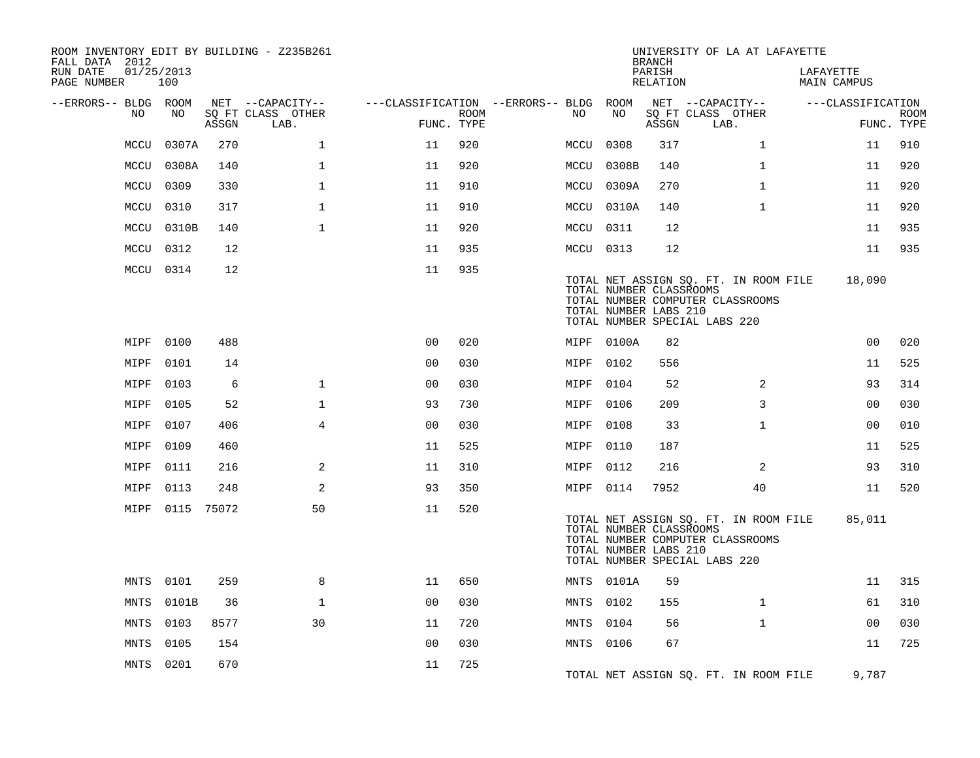| ROOM INVENTORY EDIT BY BUILDING - Z235B261<br>FALL DATA 2012 |                   |       |                           |                                        |             |           |                                                  | <b>BRANCH</b>      | UNIVERSITY OF LA AT LAFAYETTE                                                                              |                          |                |                           |
|--------------------------------------------------------------|-------------------|-------|---------------------------|----------------------------------------|-------------|-----------|--------------------------------------------------|--------------------|------------------------------------------------------------------------------------------------------------|--------------------------|----------------|---------------------------|
| RUN DATE<br>PAGE NUMBER                                      | 01/25/2013<br>100 |       |                           |                                        |             |           |                                                  | PARISH<br>RELATION |                                                                                                            | LAFAYETTE<br>MAIN CAMPUS |                |                           |
| --ERRORS-- BLDG ROOM                                         |                   |       | NET --CAPACITY--          | ---CLASSIFICATION --ERRORS-- BLDG ROOM |             |           |                                                  |                    | NET --CAPACITY--                                                                                           | ---CLASSIFICATION        |                |                           |
| NO                                                           | NO                | ASSGN | SQ FT CLASS OTHER<br>LAB. | FUNC. TYPE                             | <b>ROOM</b> | NO        | NO                                               | ASSGN              | SQ FT CLASS OTHER<br>LAB.                                                                                  |                          |                | <b>ROOM</b><br>FUNC. TYPE |
| MCCU                                                         | 0307A             | 270   | $\mathbf{1}$              | 11                                     | 920         | MCCU      | 0308                                             | 317                | $\mathbf{1}$                                                                                               |                          | 11             | 910                       |
| MCCU                                                         | 0308A             | 140   | $\mathbf{1}$              | 11                                     | 920         |           | MCCU 0308B                                       | 140                | $\mathbf{1}$                                                                                               |                          | 11             | 920                       |
| MCCU                                                         | 0309              | 330   | $\mathbf{1}$              | 11                                     | 910         |           | MCCU 0309A                                       | 270                | $\mathbf{1}$                                                                                               |                          | 11             | 920                       |
| MCCU                                                         | 0310              | 317   | $\mathbf{1}$              | 11                                     | 910         |           | MCCU 0310A                                       | 140                | $\mathbf{1}$                                                                                               |                          | 11             | 920                       |
| MCCU                                                         | 0310B             | 140   | $\mathbf{1}$              | 11                                     | 920         | MCCU 0311 |                                                  | 12                 |                                                                                                            |                          | 11             | 935                       |
| MCCU                                                         | 0312              | 12    |                           | 11                                     | 935         | MCCU 0313 |                                                  | 12                 |                                                                                                            |                          | 11             | 935                       |
|                                                              | MCCU 0314         | 12    |                           | 11                                     | 935         |           | TOTAL NUMBER CLASSROOMS<br>TOTAL NUMBER LABS 210 |                    | TOTAL NET ASSIGN SQ. FT. IN ROOM FILE<br>TOTAL NUMBER COMPUTER CLASSROOMS<br>TOTAL NUMBER SPECIAL LABS 220 |                          | 18,090         |                           |
| MIPF                                                         | 0100              | 488   |                           | 0 <sup>0</sup>                         | 020         |           | MIPF 0100A                                       | 82                 |                                                                                                            |                          | 0 <sub>0</sub> | 020                       |
| MIPF                                                         | 0101              | 14    |                           | 0 <sub>0</sub>                         | 030         | MIPF 0102 |                                                  | 556                |                                                                                                            |                          | 11             | 525                       |
| MIPF                                                         | 0103              | 6     | $\mathbf 1$               | 0 <sub>0</sub>                         | 030         | MIPF 0104 |                                                  | 52                 | 2                                                                                                          |                          | 93             | 314                       |
| MIPF                                                         | 0105              | 52    | $\mathbf{1}$              | 93                                     | 730         | MIPF 0106 |                                                  | 209                | 3                                                                                                          |                          | 0 <sub>0</sub> | 030                       |
| MIPF                                                         | 0107              | 406   | 4                         | 0 <sub>0</sub>                         | 030         | MIPF      | 0108                                             | 33                 | $\mathbf{1}$                                                                                               |                          | 0 <sub>0</sub> | 010                       |
| MIPF                                                         | 0109              | 460   |                           | 11                                     | 525         | MIPF 0110 |                                                  | 187                |                                                                                                            |                          | 11             | 525                       |
| MIPF                                                         | 0111              | 216   | 2                         | 11                                     | 310         | MIPF      | 0112                                             | 216                | 2                                                                                                          |                          | 93             | 310                       |
| MIPF                                                         | 0113              | 248   | 2                         | 93                                     | 350         | MIPF 0114 |                                                  | 7952               | 40                                                                                                         |                          | 11             | 520                       |
|                                                              | MIPF 0115 75072   |       | 50                        | 11                                     | 520         |           | TOTAL NUMBER CLASSROOMS<br>TOTAL NUMBER LABS 210 |                    | TOTAL NET ASSIGN SQ. FT. IN ROOM FILE<br>TOTAL NUMBER COMPUTER CLASSROOMS<br>TOTAL NUMBER SPECIAL LABS 220 |                          | 85,011         |                           |
| MNTS                                                         | 0101              | 259   | 8                         | 11                                     | 650         |           | MNTS 0101A                                       | 59                 |                                                                                                            |                          | 11             | 315                       |
| MNTS                                                         | 0101B             | 36    | $\mathbf{1}$              | 0 <sub>0</sub>                         | 030         | MNTS      | 0102                                             | 155                | $\mathbf{1}$                                                                                               |                          | 61             | 310                       |
| MNTS                                                         | 0103              | 8577  | 30                        | 11                                     | 720         | MNTS 0104 |                                                  | 56                 | $\mathbf{1}$                                                                                               |                          | 00             | 030                       |
| MNTS                                                         | 0105              | 154   |                           | 0 <sub>0</sub>                         | 030         | MNTS 0106 |                                                  | 67                 |                                                                                                            |                          | 11             | 725                       |
|                                                              | MNTS 0201         | 670   |                           | 11                                     | 725         |           |                                                  |                    | TOTAL NET ASSIGN SQ. FT. IN ROOM FILE                                                                      |                          | 9,787          |                           |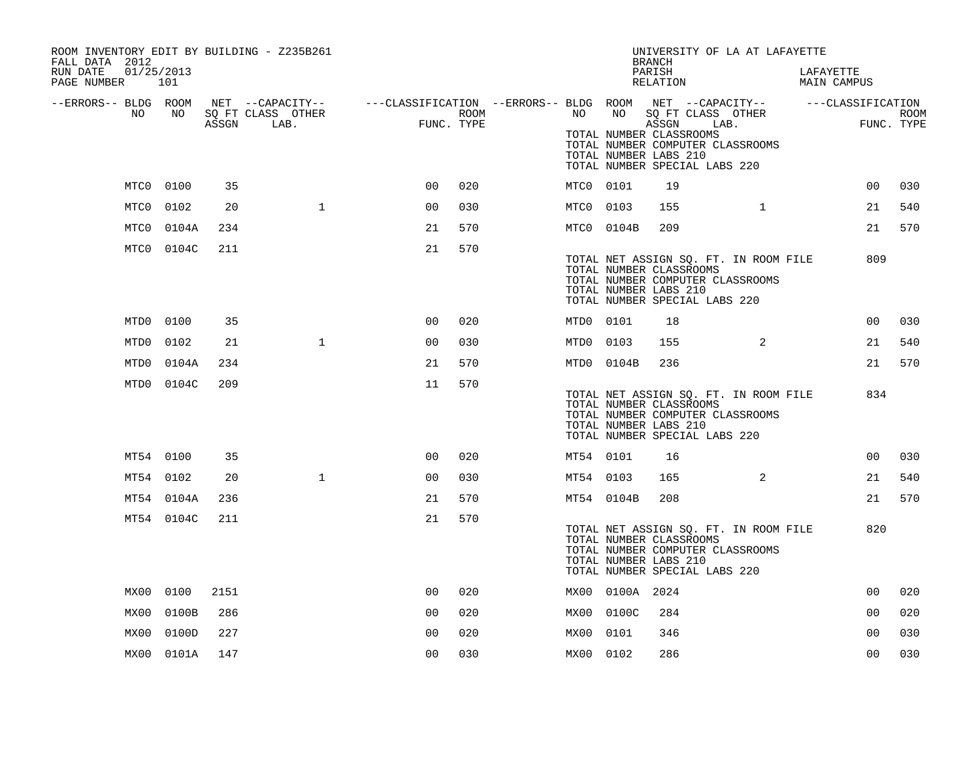| ROOM INVENTORY EDIT BY BUILDING - Z235B261<br>FALL DATA 2012 |            |       |                                                                                                                     |                |      |           |                 | UNIVERSITY OF LA AT LAFAYETTE<br><b>BRANCH</b>                                                                                                                 |              |                          |            |
|--------------------------------------------------------------|------------|-------|---------------------------------------------------------------------------------------------------------------------|----------------|------|-----------|-----------------|----------------------------------------------------------------------------------------------------------------------------------------------------------------|--------------|--------------------------|------------|
| RUN DATE<br>01/25/2013<br>PAGE NUMBER 101                    |            |       |                                                                                                                     |                |      |           |                 | PARISH<br>RELATION                                                                                                                                             |              | LAFAYETTE<br>MAIN CAMPUS |            |
| --ERRORS-- BLDG ROOM<br>NO                                   | NO .       |       | NET --CAPACITY-- - ---CLASSIFICATION --ERRORS-- BLDG ROOM NET --CAPACITY-- - ---CLASSIFICATION<br>SQ FT CLASS OTHER | $\frac{1}{2}$  | ROOM | NO .      | NO              | SQ FT CLASS OTHER                                                                                                                                              |              |                          | ROOM       |
|                                                              |            | ASSGN | LAB.                                                                                                                | FUNC. TYPE     |      |           |                 | ASSGN<br>LAB.<br>TOTAL NUMBER CLASSROOMS<br>TOTAL NUMBER COMPUTER CLASSROOMS<br>TOTAL NUMBER LABS 210<br>TOTAL NUMBER SPECIAL LABS 220                         |              |                          | FUNC. TYPE |
|                                                              | MTC0 0100  | 35    |                                                                                                                     | 0 <sub>0</sub> | 020  | MTC0 0101 |                 | 19                                                                                                                                                             |              | 0 <sub>0</sub>           | 030        |
| MTC0                                                         | 0102       | 20    | $\mathbf{1}$                                                                                                        | 0 <sub>0</sub> | 030  | MTC0 0103 |                 | 155                                                                                                                                                            | $\mathbf{1}$ | 21                       | 540        |
| MTC0                                                         | 0104A      | 234   |                                                                                                                     | 21             | 570  |           | MTC0 0104B      | 209                                                                                                                                                            |              | 21                       | 570        |
|                                                              | MTC0 0104C | 211   |                                                                                                                     | 21             | 570  |           |                 | TOTAL NET ASSIGN SQ. FT. IN ROOM FILE<br>TOTAL NUMBER CLASSROOMS<br>TOTAL NUMBER COMPUTER CLASSROOMS<br>TOTAL NUMBER LABS 210<br>TOTAL NUMBER SPECIAL LABS 220 |              | 809                      |            |
|                                                              | MTD0 0100  | 35    |                                                                                                                     | 0 <sub>0</sub> | 020  | MTD0 0101 |                 | 18                                                                                                                                                             |              | 0 <sub>0</sub>           | 030        |
| MTD0                                                         | 0102       | 21    | $\mathbf{1}$                                                                                                        | 0 <sub>0</sub> | 030  | MTD0 0103 |                 | 155                                                                                                                                                            | 2            | 21                       | 540        |
|                                                              | MTD0 0104A | 234   |                                                                                                                     | 21             | 570  |           | MTD0 0104B      | 236                                                                                                                                                            |              | 21                       | 570        |
|                                                              | MTD0 0104C | 209   |                                                                                                                     | 11             | 570  |           |                 | TOTAL NET ASSIGN SQ. FT. IN ROOM FILE<br>TOTAL NUMBER CLASSROOMS<br>TOTAL NUMBER COMPUTER CLASSROOMS<br>TOTAL NUMBER LABS 210<br>TOTAL NUMBER SPECIAL LABS 220 |              | 834                      |            |
|                                                              | MT54 0100  | 35    |                                                                                                                     | 0 <sub>0</sub> | 020  | MT54 0101 |                 | 16                                                                                                                                                             |              | 0 <sub>0</sub>           | 030        |
|                                                              | MT54 0102  | 20    | $\mathbf{1}$                                                                                                        | 0 <sub>0</sub> | 030  | MT54 0103 |                 | 165                                                                                                                                                            | 2            | 21                       | 540        |
|                                                              | MT54 0104A | 236   |                                                                                                                     | 21             | 570  |           | MT54 0104B      | 208                                                                                                                                                            |              | 21                       | 570        |
|                                                              | MT54 0104C | 211   |                                                                                                                     | 21             | 570  |           |                 | TOTAL NET ASSIGN SQ. FT. IN ROOM FILE<br>TOTAL NUMBER CLASSROOMS<br>TOTAL NUMBER COMPUTER CLASSROOMS<br>TOTAL NUMBER LABS 210<br>TOTAL NUMBER SPECIAL LABS 220 |              | 820                      |            |
| MX00                                                         | 0100       | 2151  |                                                                                                                     | 0 <sup>0</sup> | 020  |           | MX00 0100A 2024 |                                                                                                                                                                |              | 0 <sub>0</sub>           | 020        |
| MX00                                                         | 0100B      | 286   |                                                                                                                     | 00             | 020  |           | MX00 0100C      | 284                                                                                                                                                            |              | 00                       | 020        |
| MX00                                                         | 0100D      | 227   |                                                                                                                     | 00             | 020  | MX00      | 0101            | 346                                                                                                                                                            |              | 00                       | 030        |
|                                                              | MX00 0101A | 147   |                                                                                                                     | 0 <sub>0</sub> | 030  | MX00 0102 |                 | 286                                                                                                                                                            |              | 0 <sub>0</sub>           | 030        |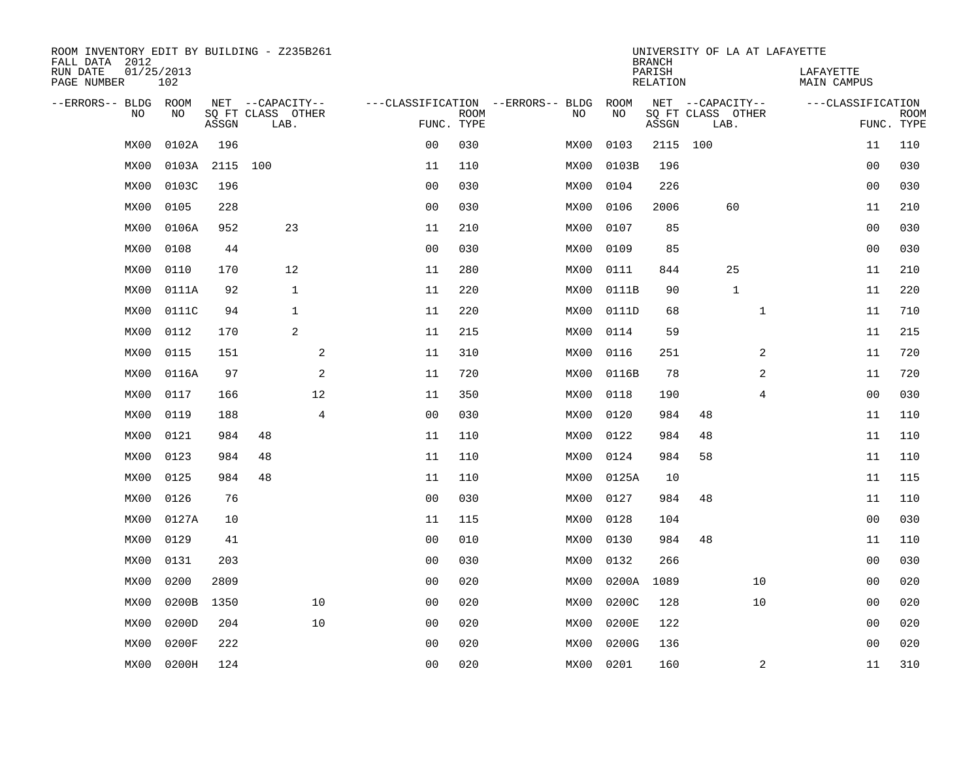| ROOM INVENTORY EDIT BY BUILDING - Z235B261<br>FALL DATA 2012 |                   |            |                           |                |                                   |             |      |       | <b>BRANCH</b>      |                           | UNIVERSITY OF LA AT LAFAYETTE |                          |                           |
|--------------------------------------------------------------|-------------------|------------|---------------------------|----------------|-----------------------------------|-------------|------|-------|--------------------|---------------------------|-------------------------------|--------------------------|---------------------------|
| RUN DATE<br>PAGE NUMBER                                      | 01/25/2013<br>102 |            |                           |                |                                   |             |      |       | PARISH<br>RELATION |                           |                               | LAFAYETTE<br>MAIN CAMPUS |                           |
| --ERRORS-- BLDG ROOM                                         |                   |            | NET --CAPACITY--          |                | ---CLASSIFICATION --ERRORS-- BLDG |             |      | ROOM  |                    | NET --CAPACITY--          |                               | ---CLASSIFICATION        |                           |
| NO                                                           | NO                | ASSGN      | SQ FT CLASS OTHER<br>LAB. |                | FUNC. TYPE                        | <b>ROOM</b> | NO   | NO    | ASSGN              | SQ FT CLASS OTHER<br>LAB. |                               |                          | <b>ROOM</b><br>FUNC. TYPE |
| MX00                                                         | 0102A             | 196        |                           |                | 0 <sub>0</sub>                    | 030         | MX00 | 0103  | 2115 100           |                           |                               | 11                       | 110                       |
| MX00                                                         |                   | 0103A 2115 | 100                       |                | 11                                | 110         | MX00 | 0103B | 196                |                           |                               | 00                       | 030                       |
| MX00                                                         | 0103C             | 196        |                           |                | 0 <sub>0</sub>                    | 030         | MX00 | 0104  | 226                |                           |                               | 0 <sub>0</sub>           | 030                       |
| MX00                                                         | 0105              | 228        |                           |                | 0 <sub>0</sub>                    | 030         | MX00 | 0106  | 2006               |                           | 60                            | 11                       | 210                       |
| MX00                                                         | 0106A             | 952        | 23                        |                | 11                                | 210         | MX00 | 0107  | 85                 |                           |                               | 00                       | 030                       |
| MX00                                                         | 0108              | 44         |                           |                | 0 <sub>0</sub>                    | 030         | MX00 | 0109  | 85                 |                           |                               | 00                       | 030                       |
| MX00                                                         | 0110              | 170        | 12                        |                | 11                                | 280         | MX00 | 0111  | 844                |                           | 25                            | 11                       | 210                       |
| MX00                                                         | 0111A             | 92         | $1\,$                     |                | 11                                | 220         | MX00 | 0111B | 90                 |                           | $\mathbf{1}$                  | 11                       | 220                       |
| MX00                                                         | 0111C             | 94         | $\mathbf{1}$              |                | 11                                | 220         | MX00 | 0111D | 68                 |                           | $\mathbf{1}$                  | 11                       | 710                       |
| MX00                                                         | 0112              | 170        | 2                         |                | 11                                | 215         | MX00 | 0114  | 59                 |                           |                               | 11                       | 215                       |
| MX00                                                         | 0115              | 151        |                           | 2              | 11                                | 310         | MX00 | 0116  | 251                |                           | 2                             | 11                       | 720                       |
| MX00                                                         | 0116A             | 97         |                           | $\overline{a}$ | 11                                | 720         | MX00 | 0116B | 78                 |                           | 2                             | 11                       | 720                       |
| MX00                                                         | 0117              | 166        |                           | 12             | 11                                | 350         | MX00 | 0118  | 190                |                           | 4                             | 00                       | 030                       |
| MX00                                                         | 0119              | 188        |                           | 4              | 0 <sub>0</sub>                    | 030         | MX00 | 0120  | 984                | 48                        |                               | 11                       | 110                       |
| MX00                                                         | 0121              | 984        | 48                        |                | 11                                | 110         | MX00 | 0122  | 984                | 48                        |                               | 11                       | 110                       |
| MX00                                                         | 0123              | 984        | 48                        |                | 11                                | 110         | MX00 | 0124  | 984                | 58                        |                               | 11                       | 110                       |
| MX00                                                         | 0125              | 984        | 48                        |                | 11                                | 110         | MX00 | 0125A | 10                 |                           |                               | 11                       | 115                       |
| MX00                                                         | 0126              | 76         |                           |                | 0 <sub>0</sub>                    | 030         | MX00 | 0127  | 984                | 48                        |                               | 11                       | 110                       |
| MX00                                                         | 0127A             | 10         |                           |                | 11                                | 115         | MX00 | 0128  | 104                |                           |                               | 0 <sub>0</sub>           | 030                       |
| MX00                                                         | 0129              | 41         |                           |                | 0 <sub>0</sub>                    | 010         | MX00 | 0130  | 984                | 48                        |                               | 11                       | 110                       |
| MX00                                                         | 0131              | 203        |                           |                | 0 <sub>0</sub>                    | 030         | MX00 | 0132  | 266                |                           |                               | 00                       | 030                       |
| MX00                                                         | 0200              | 2809       |                           |                | 00                                | 020         | MX00 | 0200A | 1089               |                           | 10                            | 00                       | 020                       |
| MX00                                                         | 0200B             | 1350       |                           | 10             | 00                                | 020         | MX00 | 0200C | 128                |                           | 10                            | 0 <sub>0</sub>           | 020                       |
| MX00                                                         | 0200D             | 204        |                           | 10             | 0 <sub>0</sub>                    | 020         | MX00 | 0200E | 122                |                           |                               | 00                       | 020                       |
| MX00                                                         | 0200F             | 222        |                           |                | 0 <sub>0</sub>                    | 020         | MX00 | 0200G | 136                |                           |                               | 0 <sub>0</sub>           | 020                       |
| MX00                                                         | 0200H             | 124        |                           |                | 0 <sub>0</sub>                    | 020         | MX00 | 0201  | 160                |                           | 2                             | 11                       | 310                       |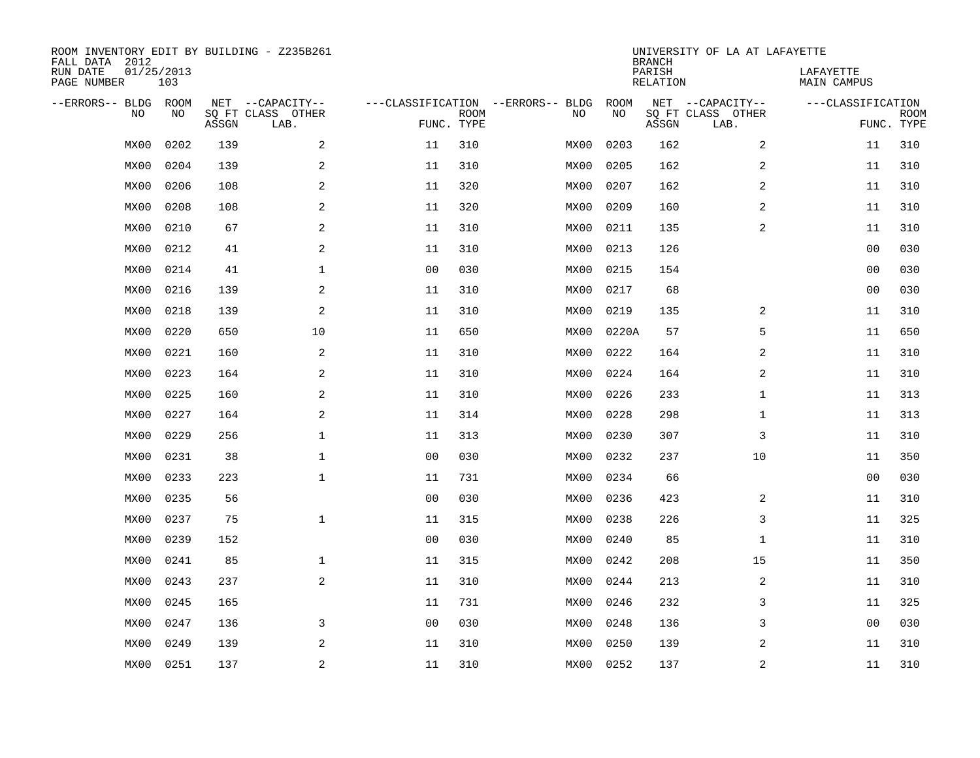| ROOM INVENTORY EDIT BY BUILDING - Z235B261<br>FALL DATA 2012<br>RUN DATE | 01/25/2013 |       |                           |                |                           |                                   |           | <b>BRANCH</b><br>PARISH | UNIVERSITY OF LA AT LAFAYETTE | LAFAYETTE         |                           |
|--------------------------------------------------------------------------|------------|-------|---------------------------|----------------|---------------------------|-----------------------------------|-----------|-------------------------|-------------------------------|-------------------|---------------------------|
| PAGE NUMBER                                                              | 103        |       |                           |                |                           |                                   |           | <b>RELATION</b>         |                               | MAIN CAMPUS       |                           |
| --ERRORS-- BLDG                                                          | ROOM       |       | NET --CAPACITY--          |                |                           | ---CLASSIFICATION --ERRORS-- BLDG | ROOM      |                         | NET --CAPACITY--              | ---CLASSIFICATION |                           |
| NO                                                                       | NO         | ASSGN | SQ FT CLASS OTHER<br>LAB. |                | <b>ROOM</b><br>FUNC. TYPE | NO                                | NO        | ASSGN                   | SQ FT CLASS OTHER<br>LAB.     |                   | <b>ROOM</b><br>FUNC. TYPE |
| MX00                                                                     | 0202       | 139   | 2                         | 11             | 310                       | MX00                              | 0203      | 162                     | 2                             | 11                | 310                       |
| MX00                                                                     | 0204       | 139   | 2                         | 11             | 310                       | MX00                              | 0205      | 162                     | 2                             | 11                | 310                       |
| MX00                                                                     | 0206       | 108   | $\overline{a}$            | 11             | 320                       | MX00                              | 0207      | 162                     | 2                             | 11                | 310                       |
| MX00                                                                     | 0208       | 108   | $\overline{a}$            | 11             | 320                       | MX00                              | 0209      | 160                     | 2                             | 11                | 310                       |
| MX00                                                                     | 0210       | 67    | 2                         | 11             | 310                       | MX00                              | 0211      | 135                     | 2                             | 11                | 310                       |
| MX00                                                                     | 0212       | 41    | 2                         | 11             | 310                       | MX00                              | 0213      | 126                     |                               | 00                | 030                       |
| MX00                                                                     | 0214       | 41    | $\mathbf{1}$              | 0 <sub>0</sub> | 030                       | MX00                              | 0215      | 154                     |                               | 00                | 030                       |
| MX00                                                                     | 0216       | 139   | 2                         | 11             | 310                       | MX00                              | 0217      | 68                      |                               | 0 <sub>0</sub>    | 030                       |
| MX00                                                                     | 0218       | 139   | 2                         | 11             | 310                       | MX00                              | 0219      | 135                     | 2                             | 11                | 310                       |
| MX00                                                                     | 0220       | 650   | 10                        | 11             | 650                       | MX00                              | 0220A     | 57                      | 5                             | 11                | 650                       |
| MX00                                                                     | 0221       | 160   | 2                         | 11             | 310                       | MX00                              | 0222      | 164                     | 2                             | 11                | 310                       |
| MX00                                                                     | 0223       | 164   | 2                         | 11             | 310                       | MX00                              | 0224      | 164                     | 2                             | 11                | 310                       |
| MX00                                                                     | 0225       | 160   | 2                         | 11             | 310                       | MX00                              | 0226      | 233                     | $\mathbf{1}$                  | 11                | 313                       |
| MX00                                                                     | 0227       | 164   | $\mathbf{2}$              | 11             | 314                       | MX00                              | 0228      | 298                     | $\mathbf{1}$                  | 11                | 313                       |
| MX00                                                                     | 0229       | 256   | 1                         | 11             | 313                       | MX00                              | 0230      | 307                     | 3                             | 11                | 310                       |
| MX00                                                                     | 0231       | 38    | $\mathbf 1$               | 0 <sub>0</sub> | 030                       | MX00                              | 0232      | 237                     | 10                            | 11                | 350                       |
| MX00                                                                     | 0233       | 223   | $\mathbf{1}$              | 11             | 731                       | MX00                              | 0234      | 66                      |                               | 00                | 030                       |
| MX00                                                                     | 0235       | 56    |                           | 0 <sub>0</sub> | 030                       | MX00                              | 0236      | 423                     | 2                             | 11                | 310                       |
| MX00                                                                     | 0237       | 75    | $\mathbf{1}$              | 11             | 315                       | MX00                              | 0238      | 226                     | 3                             | 11                | 325                       |
| MX00                                                                     | 0239       | 152   |                           | 0 <sub>0</sub> | 030                       | MX00                              | 0240      | 85                      | $\mathbf{1}$                  | 11                | 310                       |
| MX00                                                                     | 0241       | 85    | $\mathbf{1}$              | 11             | 315                       | MX00                              | 0242      | 208                     | 15                            | 11                | 350                       |
| MX00                                                                     | 0243       | 237   | 2                         | 11             | 310                       | MX00                              | 0244      | 213                     | 2                             | 11                | 310                       |
| MX00                                                                     | 0245       | 165   |                           | 11             | 731                       | MX00                              | 0246      | 232                     | 3                             | 11                | 325                       |
| MX00                                                                     | 0247       | 136   | 3                         | 0 <sub>0</sub> | 030                       | MX00                              | 0248      | 136                     | 3                             | 0 <sub>0</sub>    | 030                       |
| MX00                                                                     | 0249       | 139   | 2                         | 11             | 310                       | MX00                              | 0250      | 139                     | 2                             | 11                | 310                       |
| MX00                                                                     | 0251       | 137   | 2                         | 11             | 310                       |                                   | MX00 0252 | 137                     | 2                             | 11                | 310                       |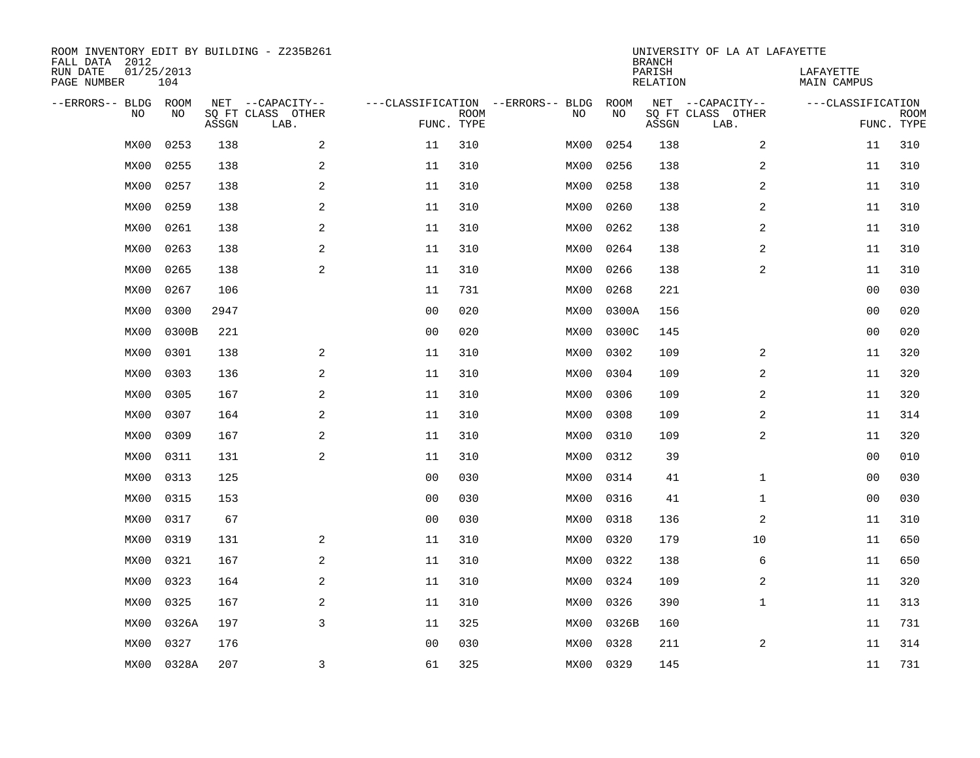| FALL DATA 2012<br>RUN DATE<br>PAGE NUMBER | 01/25/2013<br>104 |             |       | ROOM INVENTORY EDIT BY BUILDING - Z235B261    |                                                 |             |      |            | <b>BRANCH</b><br>PARISH<br>RELATION | UNIVERSITY OF LA AT LAFAYETTE                 | LAFAYETTE<br>MAIN CAMPUS |                           |
|-------------------------------------------|-------------------|-------------|-------|-----------------------------------------------|-------------------------------------------------|-------------|------|------------|-------------------------------------|-----------------------------------------------|--------------------------|---------------------------|
| --ERRORS-- BLDG                           | <b>NO</b>         | ROOM<br>NO. | ASSGN | NET --CAPACITY--<br>SQ FT CLASS OTHER<br>LAB. | ---CLASSIFICATION --ERRORS-- BLDG<br>FUNC. TYPE | <b>ROOM</b> | NO   | ROOM<br>NO | ASSGN                               | NET --CAPACITY--<br>SQ FT CLASS OTHER<br>LAB. | ---CLASSIFICATION        | <b>ROOM</b><br>FUNC. TYPE |
|                                           | MX00              | 0253        | 138   | 2                                             | 11                                              | 310         | MX00 | 0254       | 138                                 | 2                                             | 11                       | 310                       |
|                                           | MX00              | 0255        | 138   | 2                                             | 11                                              | 310         | MX00 | 0256       | 138                                 | $\overline{a}$                                | 11                       | 310                       |
|                                           | MX00              | 0257        | 138   | 2                                             | 11                                              | 310         | MX00 | 0258       | 138                                 | $\overline{a}$                                | 11                       | 310                       |
|                                           | MX00              | 0259        | 138   | $\overline{a}$                                | 11                                              | 310         | MX00 | 0260       | 138                                 | $\overline{a}$                                | 11                       | 310                       |
|                                           | MX00              | 0261        | 138   | $\mathbf{2}$                                  | 11                                              | 310         | MX00 | 0262       | 138                                 | 2                                             | 11                       | 310                       |
|                                           | MX00              | 0263        | 138   | 2                                             | 11                                              | 310         | MX00 | 0264       | 138                                 | 2                                             | 11                       | 310                       |
|                                           | MX00              | 0265        | 138   | 2                                             | 11                                              | 310         | MX00 | 0266       | 138                                 | 2                                             | 11                       | 310                       |
|                                           | MX00              | 0267        | 106   |                                               | 11                                              | 731         | MX00 | 0268       | 221                                 |                                               | 00                       | 030                       |
|                                           | MX00              | 0300        | 2947  |                                               | 0 <sub>0</sub>                                  | 020         | MX00 | 0300A      | 156                                 |                                               | 00                       | 020                       |
|                                           | MX00              | 0300B       | 221   |                                               | 0 <sub>0</sub>                                  | 020         | MX00 | 0300C      | 145                                 |                                               | 00                       | 020                       |
|                                           | MX00              | 0301        | 138   | 2                                             | 11                                              | 310         | MX00 | 0302       | 109                                 | 2                                             | 11                       | 320                       |
|                                           | MX00              | 0303        | 136   | 2                                             | 11                                              | 310         | MX00 | 0304       | 109                                 | $\overline{a}$                                | 11                       | 320                       |
|                                           | MX00              | 0305        | 167   | 2                                             | 11                                              | 310         | MX00 | 0306       | 109                                 | 2                                             | 11                       | 320                       |
|                                           | MX00              | 0307        | 164   | 2                                             | 11                                              | 310         | MX00 | 0308       | 109                                 | $\overline{a}$                                | 11                       | 314                       |
|                                           | MX00              | 0309        | 167   | $\mathbf{2}$                                  | 11                                              | 310         | MX00 | 0310       | 109                                 | 2                                             | 11                       | 320                       |
|                                           | MX00              | 0311        | 131   | 2                                             | 11                                              | 310         | MX00 | 0312       | 39                                  |                                               | 00                       | 010                       |
|                                           | MX00              | 0313        | 125   |                                               | 0 <sub>0</sub>                                  | 030         | MX00 | 0314       | 41                                  | $\mathbf{1}$                                  | 00                       | 030                       |
|                                           | MX00              | 0315        | 153   |                                               | 00                                              | 030         | MX00 | 0316       | 41                                  | $\mathbf{1}$                                  | 00                       | 030                       |
|                                           | MX00              | 0317        | 67    |                                               | 0 <sub>0</sub>                                  | 030         | MX00 | 0318       | 136                                 | 2                                             | 11                       | 310                       |
|                                           | MX00              | 0319        | 131   | 2                                             | 11                                              | 310         | MX00 | 0320       | 179                                 | 10                                            | 11                       | 650                       |
|                                           | MX00              | 0321        | 167   | 2                                             | 11                                              | 310         | MX00 | 0322       | 138                                 | 6                                             | 11                       | 650                       |
|                                           | MX00              | 0323        | 164   | 2                                             | 11                                              | 310         | MX00 | 0324       | 109                                 | 2                                             | 11                       | 320                       |
|                                           | MX00              | 0325        | 167   | 2                                             | 11                                              | 310         | MX00 | 0326       | 390                                 | $\mathbf{1}$                                  | 11                       | 313                       |
|                                           | MX00              | 0326A       | 197   | $\overline{3}$                                | 11                                              | 325         | MX00 | 0326B      | 160                                 |                                               | 11                       | 731                       |
|                                           | MX00              | 0327        | 176   |                                               | 0 <sub>0</sub>                                  | 030         | MX00 | 0328       | 211                                 | 2                                             | 11                       | 314                       |
|                                           | MX00              | 0328A       | 207   | $\overline{3}$                                | 61                                              | 325         | MX00 | 0329       | 145                                 |                                               | 11                       | 731                       |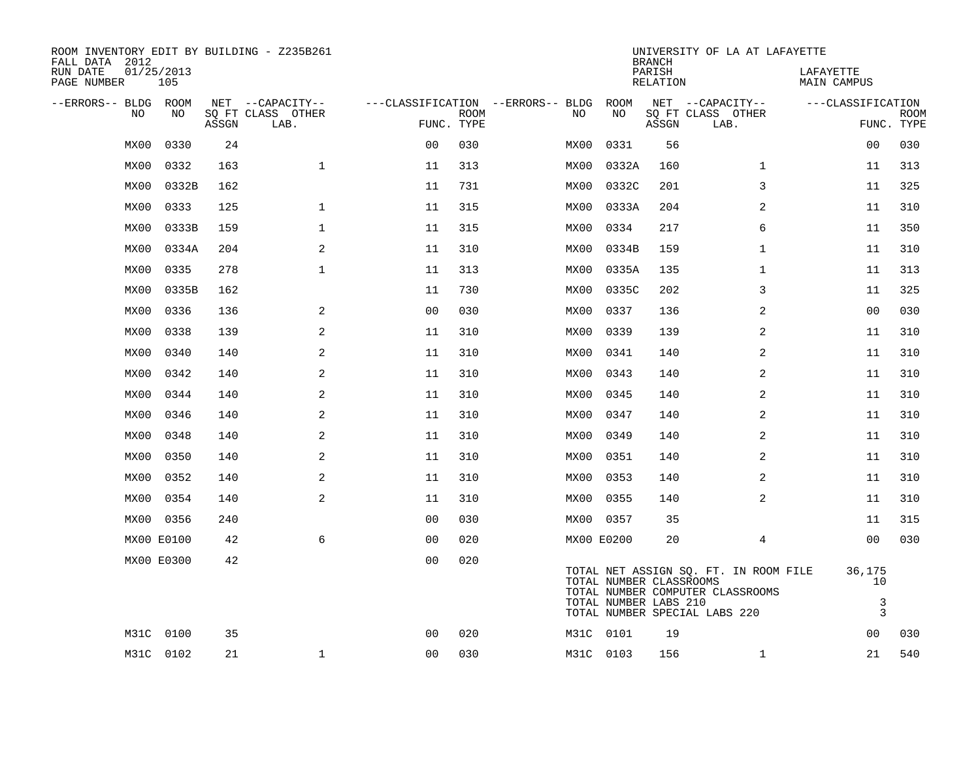| ROOM INVENTORY EDIT BY BUILDING - Z235B261<br>FALL DATA 2012 |                   |       |                           |                |             |                                        |                                                  | <b>BRANCH</b>      | UNIVERSITY OF LA AT LAFAYETTE                                                                              |                                                |                           |
|--------------------------------------------------------------|-------------------|-------|---------------------------|----------------|-------------|----------------------------------------|--------------------------------------------------|--------------------|------------------------------------------------------------------------------------------------------------|------------------------------------------------|---------------------------|
| RUN DATE<br>PAGE NUMBER                                      | 01/25/2013<br>105 |       |                           |                |             |                                        |                                                  | PARISH<br>RELATION |                                                                                                            | LAFAYETTE<br>MAIN CAMPUS                       |                           |
| --ERRORS-- BLDG ROOM                                         |                   |       | NET --CAPACITY--          |                |             | ---CLASSIFICATION --ERRORS-- BLDG ROOM |                                                  |                    | NET --CAPACITY--                                                                                           | ---CLASSIFICATION                              |                           |
| NO                                                           | NO                | ASSGN | SQ FT CLASS OTHER<br>LAB. | FUNC. TYPE     | <b>ROOM</b> | NO.                                    | NO                                               | ASSGN              | SQ FT CLASS OTHER<br>LAB.                                                                                  |                                                | <b>ROOM</b><br>FUNC. TYPE |
| MX00                                                         | 0330              | 24    |                           | 0 <sub>0</sub> | 030         | MX00                                   | 0331                                             | 56                 |                                                                                                            | 00                                             | 030                       |
| MX00                                                         | 0332              | 163   | $\mathbf{1}$              | 11             | 313         | MX00                                   | 0332A                                            | 160                | $\mathbf{1}$                                                                                               | 11                                             | 313                       |
| MX00                                                         | 0332B             | 162   |                           | 11             | 731         | MX00                                   | 0332C                                            | 201                | 3                                                                                                          | 11                                             | 325                       |
| MX00                                                         | 0333              | 125   | $\mathbf{1}$              | 11             | 315         | MX00                                   | 0333A                                            | 204                | 2                                                                                                          | 11                                             | 310                       |
| MX00                                                         | 0333B             | 159   | $\mathbf{1}$              | 11             | 315         | MX00                                   | 0334                                             | 217                | 6                                                                                                          | 11                                             | 350                       |
| MX00                                                         | 0334A             | 204   | 2                         | 11             | 310         | MX00                                   | 0334B                                            | 159                | $\mathbf{1}$                                                                                               | 11                                             | 310                       |
| MX00                                                         | 0335              | 278   | $\mathbf{1}$              | 11             | 313         | MX00                                   | 0335A                                            | 135                | $\mathbf{1}$                                                                                               | 11                                             | 313                       |
| MX00                                                         | 0335B             | 162   |                           | 11             | 730         | MX00                                   | 0335C                                            | 202                | 3                                                                                                          | 11                                             | 325                       |
| MX00                                                         | 0336              | 136   | 2                         | 00             | 030         | MX00                                   | 0337                                             | 136                | 2                                                                                                          | 00                                             | 030                       |
| MX00                                                         | 0338              | 139   | 2                         | 11             | 310         | MX00                                   | 0339                                             | 139                | $\overline{a}$                                                                                             | 11                                             | 310                       |
| MX00                                                         | 0340              | 140   | 2                         | 11             | 310         | MX00                                   | 0341                                             | 140                | 2                                                                                                          | 11                                             | 310                       |
| MX00                                                         | 0342              | 140   | 2                         | 11             | 310         | MX00                                   | 0343                                             | 140                | 2                                                                                                          | 11                                             | 310                       |
| MX00                                                         | 0344              | 140   | 2                         | 11             | 310         | MX00                                   | 0345                                             | 140                | 2                                                                                                          | 11                                             | 310                       |
| MX00                                                         | 0346              | 140   | 2                         | 11             | 310         | MX00                                   | 0347                                             | 140                | 2                                                                                                          | 11                                             | 310                       |
| MX00                                                         | 0348              | 140   | 2                         | 11             | 310         | MX00                                   | 0349                                             | 140                | $\overline{2}$                                                                                             | 11                                             | 310                       |
| MX00                                                         | 0350              | 140   | 2                         | 11             | 310         | MX00                                   | 0351                                             | 140                | 2                                                                                                          | 11                                             | 310                       |
| MX00                                                         | 0352              | 140   | 2                         | 11             | 310         | MX00                                   | 0353                                             | 140                | 2                                                                                                          | 11                                             | 310                       |
| MX00                                                         | 0354              | 140   | 2                         | 11             | 310         | MX00                                   | 0355                                             | 140                | 2                                                                                                          | 11                                             | 310                       |
| MX00                                                         | 0356              | 240   |                           | 0 <sub>0</sub> | 030         |                                        | MX00 0357                                        | 35                 |                                                                                                            | 11                                             | 315                       |
|                                                              | MX00 E0100        | 42    | 6                         | 0 <sub>0</sub> | 020         |                                        | MX00 E0200                                       | 20                 | 4                                                                                                          | 00                                             | 030                       |
|                                                              | MX00 E0300        | 42    |                           | 0 <sub>0</sub> | 020         |                                        | TOTAL NUMBER CLASSROOMS<br>TOTAL NUMBER LABS 210 |                    | TOTAL NET ASSIGN SQ. FT. IN ROOM FILE<br>TOTAL NUMBER COMPUTER CLASSROOMS<br>TOTAL NUMBER SPECIAL LABS 220 | 36,175<br>10<br>$\mathsf{3}$<br>$\overline{3}$ |                           |
|                                                              | M31C 0100         | 35    |                           | 0 <sub>0</sub> | 020         |                                        | M31C 0101                                        | 19                 |                                                                                                            | 00                                             | 030                       |
|                                                              | M31C 0102         | 21    | $\mathbf{1}$              | 0 <sub>0</sub> | 030         |                                        | M31C 0103                                        | 156                | $\mathbf{1}$                                                                                               | 21                                             | 540                       |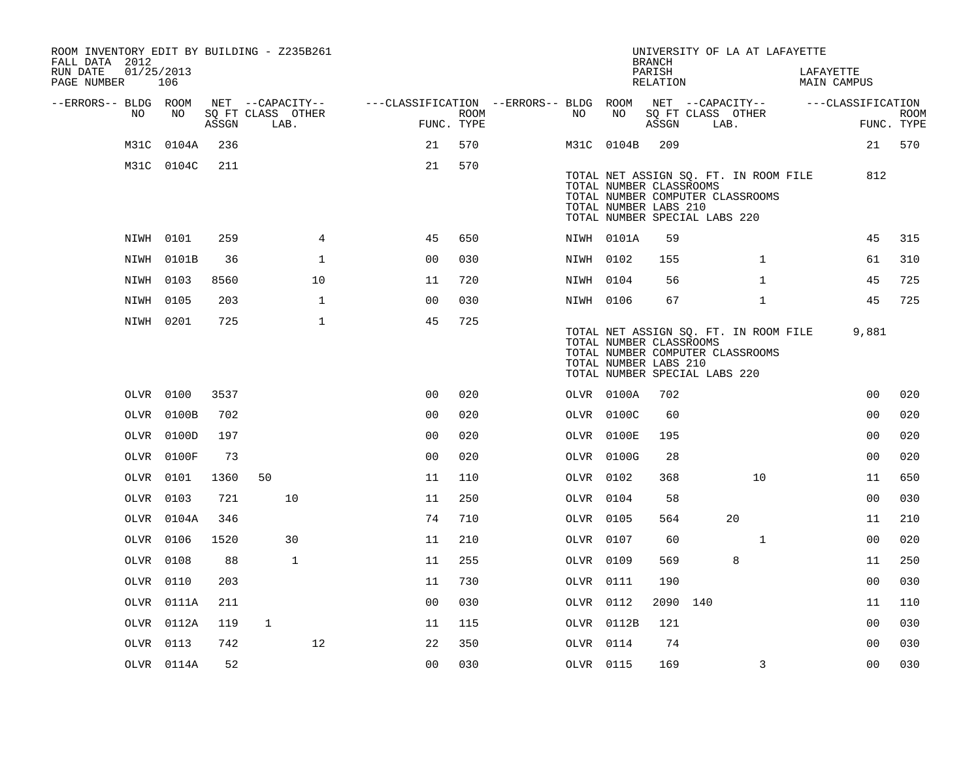| ROOM INVENTORY EDIT BY BUILDING - Z235B261<br>FALL DATA 2012 |                   |       |                           |                |                                                         |                    |           |                                                                                   | <b>BRANCH</b>      |      | UNIVERSITY OF LA AT LAFAYETTE                                             |                                 |                           |
|--------------------------------------------------------------|-------------------|-------|---------------------------|----------------|---------------------------------------------------------|--------------------|-----------|-----------------------------------------------------------------------------------|--------------------|------|---------------------------------------------------------------------------|---------------------------------|---------------------------|
| RUN DATE<br>PAGE NUMBER                                      | 01/25/2013<br>106 |       |                           |                |                                                         |                    |           |                                                                                   | PARISH<br>RELATION |      |                                                                           | LAFAYETTE<br><b>MAIN CAMPUS</b> |                           |
| --ERRORS-- BLDG ROOM                                         |                   |       | NET --CAPACITY--          |                | ---CLASSIFICATION --ERRORS-- BLDG ROOM NET --CAPACITY-- |                    |           |                                                                                   |                    |      |                                                                           | ---CLASSIFICATION               |                           |
| NO                                                           | NO                | ASSGN | SQ FT CLASS OTHER<br>LAB. |                |                                                         | ROOM<br>FUNC. TYPE | NO        | NO                                                                                | ASSGN              | LAB. | SQ FT CLASS OTHER                                                         |                                 | <b>ROOM</b><br>FUNC. TYPE |
|                                                              | M31C 0104A        | 236   |                           |                | 21                                                      | 570                |           | M31C 0104B                                                                        | 209                |      |                                                                           |                                 | 21 570                    |
|                                                              | M31C 0104C        | 211   |                           |                | 21                                                      | 570                |           | TOTAL NUMBER CLASSROOMS<br>TOTAL NUMBER LABS 210<br>TOTAL NUMBER SPECIAL LABS 220 |                    |      | TOTAL NET ASSIGN SQ. FT. IN ROOM FILE<br>TOTAL NUMBER COMPUTER CLASSROOMS | 812                             |                           |
|                                                              | NIWH 0101         | 259   |                           | $\overline{4}$ | 45                                                      | 650                |           | NIWH 0101A                                                                        | 59                 |      |                                                                           | 45                              | 315                       |
|                                                              | NIWH 0101B        | 36    |                           | $\mathbf 1$    | 0 <sub>0</sub>                                          | 030                | NIWH 0102 |                                                                                   | 155                |      | $\mathbf{1}$                                                              | 61                              | 310                       |
|                                                              | NIWH 0103         | 8560  |                           | 10             | 11                                                      | 720                | NIWH 0104 |                                                                                   | 56                 |      | $\mathbf{1}$                                                              | 45                              | 725                       |
|                                                              | NIWH 0105         | 203   |                           | $\mathbf{1}$   | 0 <sub>0</sub>                                          | 030                | NIWH 0106 |                                                                                   | 67                 |      | $\mathbf{1}$                                                              | 45                              | 725                       |
|                                                              | NIWH 0201         | 725   |                           | 1              | 45                                                      | 725                |           | TOTAL NUMBER CLASSROOMS<br>TOTAL NUMBER LABS 210<br>TOTAL NUMBER SPECIAL LABS 220 |                    |      | TOTAL NET ASSIGN SQ. FT. IN ROOM FILE<br>TOTAL NUMBER COMPUTER CLASSROOMS | 9,881                           |                           |
|                                                              | OLVR 0100         | 3537  |                           |                | 0 <sub>0</sub>                                          | 020                |           | OLVR 0100A                                                                        | 702                |      |                                                                           | 0 <sub>0</sub>                  | 020                       |
|                                                              | OLVR 0100B        | 702   |                           |                | 0 <sub>0</sub>                                          | 020                |           | OLVR 0100C                                                                        | 60                 |      |                                                                           | 0 <sub>0</sub>                  | 020                       |
|                                                              | OLVR 0100D        | 197   |                           |                | 0 <sub>0</sub>                                          | 020                |           | OLVR 0100E                                                                        | 195                |      |                                                                           | 0 <sub>0</sub>                  | 020                       |
|                                                              | OLVR 0100F        | 73    |                           |                | 0 <sub>0</sub>                                          | 020                |           | OLVR 0100G                                                                        | 28                 |      |                                                                           | 00                              | 020                       |
|                                                              | OLVR 0101         | 1360  | 50                        |                | 11                                                      | 110                | OLVR 0102 |                                                                                   | 368                |      | 10                                                                        | 11                              | 650                       |
|                                                              | OLVR 0103         | 721   | 10                        |                | 11                                                      | 250                | OLVR 0104 |                                                                                   | 58                 |      |                                                                           | 0 <sub>0</sub>                  | 030                       |
|                                                              | OLVR 0104A        | 346   |                           |                | 74                                                      | 710                | OLVR 0105 |                                                                                   | 564                |      | 20                                                                        | 11                              | 210                       |
|                                                              | OLVR 0106         | 1520  | 30                        |                | 11                                                      | 210                | OLVR 0107 |                                                                                   | 60                 |      | $\mathbf{1}$                                                              | 0 <sub>0</sub>                  | 020                       |
|                                                              | OLVR 0108         | 88    | $\mathbf{1}$              |                | 11                                                      | 255                | OLVR 0109 |                                                                                   | 569                |      | 8                                                                         | 11                              | 250                       |
|                                                              | OLVR 0110         | 203   |                           |                | 11                                                      | 730                | OLVR 0111 |                                                                                   | 190                |      |                                                                           | 0 <sub>0</sub>                  | 030                       |
|                                                              | OLVR 0111A        | 211   |                           |                | 0 <sub>0</sub>                                          | 030                | OLVR 0112 |                                                                                   | 2090 140           |      |                                                                           | 11                              | 110                       |
|                                                              | OLVR 0112A        | 119   | $\mathbf{1}$              |                | 11                                                      | 115                |           | OLVR 0112B                                                                        | 121                |      |                                                                           | 0 <sub>0</sub>                  | 030                       |
|                                                              | OLVR 0113         | 742   |                           | 12             | 22                                                      | 350                | OLVR 0114 |                                                                                   | 74                 |      |                                                                           | 0 <sub>0</sub>                  | 030                       |
|                                                              | OLVR 0114A        | 52    |                           |                | 0 <sub>0</sub>                                          | 030                | OLVR 0115 |                                                                                   | 169                |      | 3                                                                         | 0 <sub>0</sub>                  | 030                       |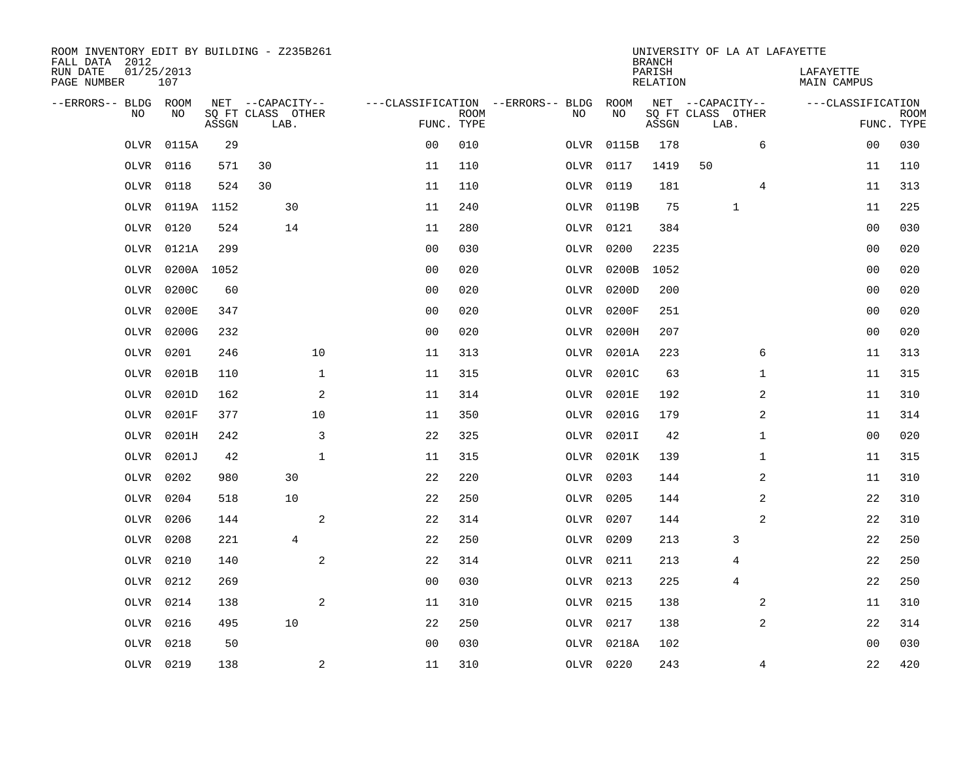| ROOM INVENTORY EDIT BY BUILDING - Z235B261<br>FALL DATA 2012 |                   |       |                           |              |                                   |             |           |            | <b>BRANCH</b>             |                           |              | UNIVERSITY OF LA AT LAFAYETTE   |                           |
|--------------------------------------------------------------|-------------------|-------|---------------------------|--------------|-----------------------------------|-------------|-----------|------------|---------------------------|---------------------------|--------------|---------------------------------|---------------------------|
| RUN DATE<br>PAGE NUMBER                                      | 01/25/2013<br>107 |       |                           |              |                                   |             |           |            | PARISH<br><b>RELATION</b> |                           |              | LAFAYETTE<br><b>MAIN CAMPUS</b> |                           |
| --ERRORS-- BLDG ROOM                                         |                   |       | NET --CAPACITY--          |              | ---CLASSIFICATION --ERRORS-- BLDG |             |           | ROOM       |                           | NET --CAPACITY--          |              | ---CLASSIFICATION               |                           |
| NO                                                           | NO                | ASSGN | SQ FT CLASS OTHER<br>LAB. |              | FUNC. TYPE                        | <b>ROOM</b> | NO        | NO         | ASSGN                     | SQ FT CLASS OTHER<br>LAB. |              |                                 | <b>ROOM</b><br>FUNC. TYPE |
| OLVR                                                         | 0115A             | 29    |                           |              | 0 <sub>0</sub>                    | 010         | OLVR      | 0115B      | 178                       |                           | 6            | 00                              | 030                       |
| OLVR                                                         | 0116              | 571   | 30                        |              | 11                                | 110         | OLVR 0117 |            | 1419                      | 50                        |              | 11                              | 110                       |
| OLVR                                                         | 0118              | 524   | 30                        |              | 11                                | 110         | OLVR      | 0119       | 181                       |                           | 4            | 11                              | 313                       |
| OLVR                                                         | 0119A 1152        |       | 30                        |              | 11                                | 240         |           | OLVR 0119B | 75                        |                           | $\mathbf{1}$ | 11                              | 225                       |
| OLVR                                                         | 0120              | 524   | 14                        |              | 11                                | 280         | OLVR 0121 |            | 384                       |                           |              | 0 <sub>0</sub>                  | 030                       |
| OLVR                                                         | 0121A             | 299   |                           |              | 0 <sub>0</sub>                    | 030         | OLVR      | 0200       | 2235                      |                           |              | 0 <sub>0</sub>                  | 020                       |
| OLVR                                                         | 0200A 1052        |       |                           |              | 0 <sub>0</sub>                    | 020         |           | OLVR 0200B | 1052                      |                           |              | 00                              | 020                       |
| <b>OLVR</b>                                                  | 0200C             | 60    |                           |              | 0 <sub>0</sub>                    | 020         | OLVR      | 0200D      | 200                       |                           |              | 0 <sub>0</sub>                  | 020                       |
| OLVR                                                         | 0200E             | 347   |                           |              | 0 <sub>0</sub>                    | 020         | OLVR      | 0200F      | 251                       |                           |              | 0 <sub>0</sub>                  | 020                       |
| OLVR                                                         | 0200G             | 232   |                           |              | 0 <sub>0</sub>                    | 020         | OLVR      | 0200H      | 207                       |                           |              | 0 <sub>0</sub>                  | 020                       |
| OLVR                                                         | 0201              | 246   |                           | 10           | 11                                | 313         | OLVR      | 0201A      | 223                       |                           | 6            | 11                              | 313                       |
| OLVR                                                         | 0201B             | 110   |                           | $\mathbf{1}$ | 11                                | 315         | OLVR      | 0201C      | 63                        |                           | $\mathbf{1}$ | 11                              | 315                       |
| OLVR                                                         | 0201D             | 162   |                           | 2            | 11                                | 314         | OLVR      | 0201E      | 192                       |                           | 2            | 11                              | 310                       |
| OLVR                                                         | 0201F             | 377   |                           | 10           | 11                                | 350         | OLVR      | 0201G      | 179                       |                           | 2            | 11                              | 314                       |
| OLVR                                                         | 0201H             | 242   |                           | 3            | 22                                | 325         | OLVR      | 0201I      | 42                        |                           | $\mathbf{1}$ | 00                              | 020                       |
| OLVR                                                         | 0201J             | 42    |                           | $\mathbf{1}$ | 11                                | 315         |           | OLVR 0201K | 139                       |                           | $\mathbf{1}$ | 11                              | 315                       |
| OLVR                                                         | 0202              | 980   | 30                        |              | 22                                | 220         | OLVR      | 0203       | 144                       |                           | 2            | 11                              | 310                       |
| <b>OLVR</b>                                                  | 0204              | 518   | 10                        |              | 22                                | 250         | OLVR 0205 |            | 144                       |                           | 2            | 22                              | 310                       |
| <b>OLVR</b>                                                  | 0206              | 144   |                           | 2            | 22                                | 314         | OLVR      | 0207       | 144                       |                           | 2            | 22                              | 310                       |
| OLVR                                                         | 0208              | 221   | $\overline{4}$            |              | 22                                | 250         | OLVR 0209 |            | 213                       |                           | 3            | 22                              | 250                       |
| OLVR                                                         | 0210              | 140   |                           | 2            | 22                                | 314         | OLVR 0211 |            | 213                       |                           | 4            | 22                              | 250                       |
| OLVR                                                         | 0212              | 269   |                           |              | 0 <sub>0</sub>                    | 030         | OLVR 0213 |            | 225                       |                           | 4            | 22                              | 250                       |
| OLVR                                                         | 0214              | 138   |                           | 2            | 11                                | 310         | OLVR 0215 |            | 138                       |                           | 2            | 11                              | 310                       |
| OLVR                                                         | 0216              | 495   | 10                        |              | 22                                | 250         | OLVR 0217 |            | 138                       |                           | 2            | 22                              | 314                       |
| <b>OLVR</b>                                                  | 0218              | 50    |                           |              | 0 <sub>0</sub>                    | 030         |           | OLVR 0218A | 102                       |                           |              | 0 <sub>0</sub>                  | 030                       |
|                                                              | OLVR 0219         | 138   |                           | $\mathbf{2}$ | 11                                | 310         | OLVR 0220 |            | 243                       |                           | 4            | 22                              | 420                       |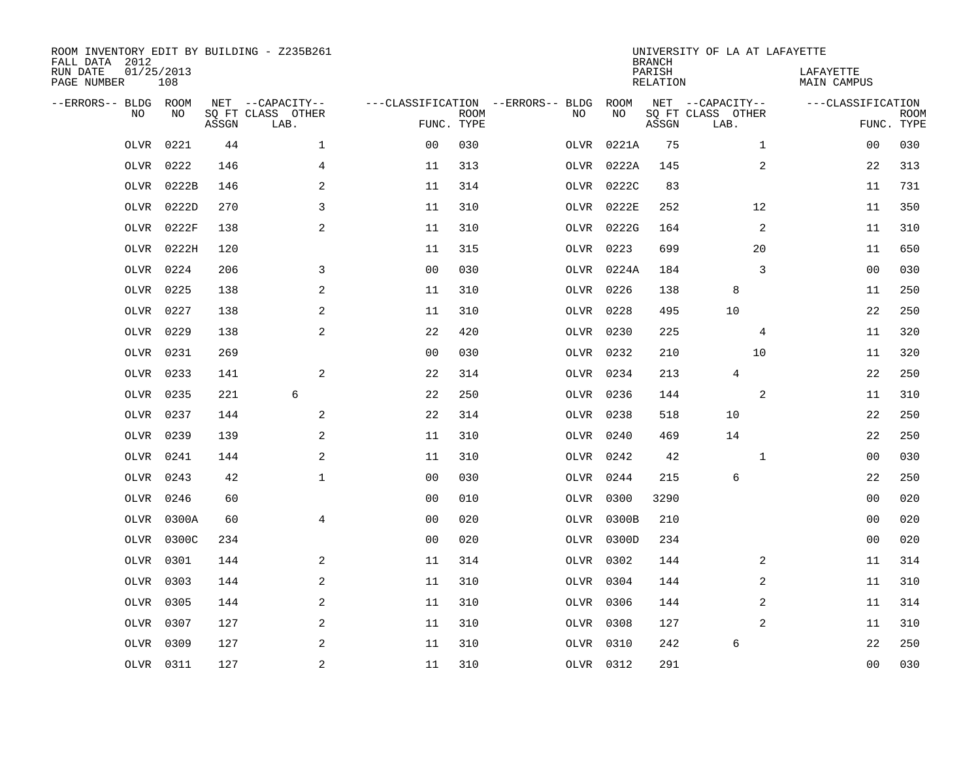| ROOM INVENTORY EDIT BY BUILDING - Z235B261<br>FALL DATA 2012<br>RUN DATE<br>PAGE NUMBER | 01/25/2013<br>108 |       |                                               |                |             |                                         |            | <b>BRANCH</b><br>PARISH<br><b>RELATION</b> | UNIVERSITY OF LA AT LAFAYETTE                 | LAFAYETTE<br><b>MAIN CAMPUS</b> |             |
|-----------------------------------------------------------------------------------------|-------------------|-------|-----------------------------------------------|----------------|-------------|-----------------------------------------|------------|--------------------------------------------|-----------------------------------------------|---------------------------------|-------------|
| --ERRORS-- BLDG ROOM<br>NO                                                              | NO                | ASSGN | NET --CAPACITY--<br>SQ FT CLASS OTHER<br>LAB. | FUNC. TYPE     | <b>ROOM</b> | ---CLASSIFICATION --ERRORS-- BLDG<br>NO | ROOM<br>NO | ASSGN                                      | NET --CAPACITY--<br>SQ FT CLASS OTHER<br>LAB. | ---CLASSIFICATION<br>FUNC. TYPE | <b>ROOM</b> |
| OLVR                                                                                    | 0221              | 44    | $\mathbf 1$                                   | 0 <sub>0</sub> | 030         | OLVR                                    | 0221A      | 75                                         | $\mathbf{1}$                                  | 00                              | 030         |
| OLVR                                                                                    | 0222              | 146   | 4                                             | 11             | 313         | OLVR                                    | 0222A      | 145                                        | 2                                             | 22                              | 313         |
| OLVR                                                                                    | 0222B             | 146   | 2                                             | 11             | 314         | OLVR                                    | 0222C      | 83                                         |                                               | 11                              | 731         |
| OLVR                                                                                    | 0222D             | 270   | 3                                             | 11             | 310         |                                         | OLVR 0222E | 252                                        | 12                                            | 11                              | 350         |
| OLVR                                                                                    | 0222F             | 138   | 2                                             | 11             | 310         |                                         | OLVR 0222G | 164                                        | 2                                             | 11                              | 310         |
| OLVR                                                                                    | 0222H             | 120   |                                               | 11             | 315         |                                         | OLVR 0223  | 699                                        | 20                                            | 11                              | 650         |
| OLVR                                                                                    | 0224              | 206   | 3                                             | 0 <sub>0</sub> | 030         |                                         | OLVR 0224A | 184                                        | 3                                             | 00                              | 030         |
| <b>OLVR</b>                                                                             | 0225              | 138   | 2                                             | 11             | 310         |                                         | OLVR 0226  | 138                                        | 8                                             | 11                              | 250         |
| OLVR                                                                                    | 0227              | 138   | 2                                             | 11             | 310         | OLVR                                    | 0228       | 495                                        | 10                                            | 22                              | 250         |
| OLVR                                                                                    | 0229              | 138   | 2                                             | 22             | 420         |                                         | OLVR 0230  | 225                                        | 4                                             | 11                              | 320         |
| OLVR                                                                                    | 0231              | 269   |                                               | 0 <sub>0</sub> | 030         |                                         | OLVR 0232  | 210                                        | 10                                            | 11                              | 320         |
| OLVR                                                                                    | 0233              | 141   | 2                                             | 22             | 314         |                                         | OLVR 0234  | 213                                        | 4                                             | 22                              | 250         |
| OLVR                                                                                    | 0235              | 221   | 6                                             | 22             | 250         | OLVR                                    | 0236       | 144                                        | $\overline{a}$                                | 11                              | 310         |
| OLVR                                                                                    | 0237              | 144   | $\mathbf{2}$                                  | 22             | 314         |                                         | OLVR 0238  | 518                                        | 10                                            | 22                              | 250         |
| OLVR                                                                                    | 0239              | 139   | 2                                             | 11             | 310         | OLVR                                    | 0240       | 469                                        | 14                                            | 22                              | 250         |
| OLVR                                                                                    | 0241              | 144   | 2                                             | 11             | 310         |                                         | OLVR 0242  | 42                                         | $\mathbf{1}$                                  | 00                              | 030         |
| OLVR                                                                                    | 0243              | 42    | $\mathbf{1}$                                  | 0 <sub>0</sub> | 030         | OLVR                                    | 0244       | 215                                        | 6                                             | 22                              | 250         |
| OLVR                                                                                    | 0246              | 60    |                                               | 0 <sub>0</sub> | 010         | OLVR                                    | 0300       | 3290                                       |                                               | 0 <sub>0</sub>                  | 020         |
| OLVR                                                                                    | 0300A             | 60    | $\overline{4}$                                | 0 <sub>0</sub> | 020         |                                         | OLVR 0300B | 210                                        |                                               | 0 <sub>0</sub>                  | 020         |
| OLVR                                                                                    | 0300C             | 234   |                                               | 0 <sub>0</sub> | 020         |                                         | OLVR 0300D | 234                                        |                                               | 00                              | 020         |
| OLVR                                                                                    | 0301              | 144   | 2                                             | 11             | 314         |                                         | OLVR 0302  | 144                                        | 2                                             | 11                              | 314         |
| OLVR                                                                                    | 0303              | 144   | 2                                             | 11             | 310         |                                         | OLVR 0304  | 144                                        | 2                                             | 11                              | 310         |
| OLVR                                                                                    | 0305              | 144   | 2                                             | 11             | 310         |                                         | OLVR 0306  | 144                                        | 2                                             | 11                              | 314         |
| OLVR                                                                                    | 0307              | 127   | 2                                             | 11             | 310         |                                         | OLVR 0308  | 127                                        | 2                                             | 11                              | 310         |
| <b>OLVR</b>                                                                             | 0309              | 127   | 2                                             | 11             | 310         |                                         | OLVR 0310  | 242                                        | 6                                             | 22                              | 250         |
|                                                                                         | OLVR 0311         | 127   | $\overline{c}$                                | 11             | 310         |                                         | OLVR 0312  | 291                                        |                                               | 0 <sub>0</sub>                  | 030         |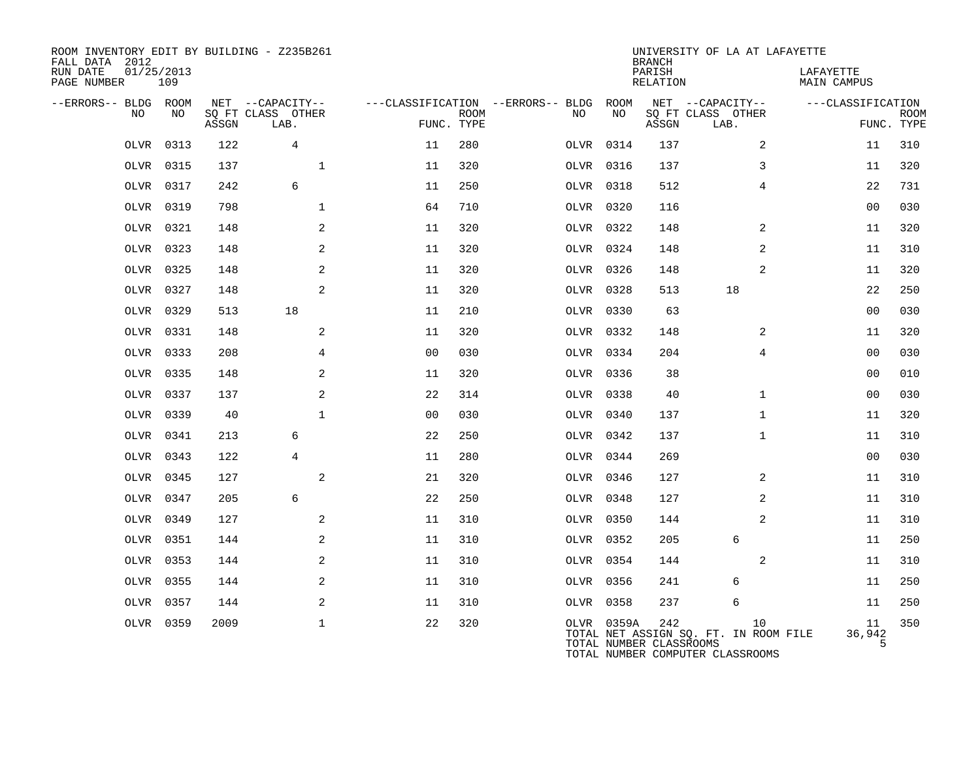| ROOM INVENTORY EDIT BY BUILDING - Z235B261<br>FALL DATA 2012<br>RUN DATE<br>PAGE NUMBER | 01/25/2013<br>109 |       |                           |                |             |                                   |            | <b>BRANCH</b><br>PARISH<br>RELATION | UNIVERSITY OF LA AT LAFAYETTE                                                   | LAFAYETTE<br><b>MAIN CAMPUS</b> |                           |
|-----------------------------------------------------------------------------------------|-------------------|-------|---------------------------|----------------|-------------|-----------------------------------|------------|-------------------------------------|---------------------------------------------------------------------------------|---------------------------------|---------------------------|
| --ERRORS-- BLDG ROOM                                                                    |                   |       | NET --CAPACITY--          |                |             | ---CLASSIFICATION --ERRORS-- BLDG | ROOM       |                                     | NET --CAPACITY--                                                                | ---CLASSIFICATION               |                           |
| NO                                                                                      | NO                | ASSGN | SQ FT CLASS OTHER<br>LAB. | FUNC. TYPE     | <b>ROOM</b> | NO                                | NO         | ASSGN                               | SQ FT CLASS OTHER<br>LAB.                                                       |                                 | <b>ROOM</b><br>FUNC. TYPE |
| OLVR                                                                                    | 0313              | 122   | 4                         | 11             | 280         |                                   | OLVR 0314  | 137                                 | 2                                                                               | 11                              | 310                       |
| OLVR                                                                                    | 0315              | 137   | $\mathbf{1}$              | 11             | 320         |                                   | OLVR 0316  | 137                                 | 3                                                                               | 11                              | 320                       |
| OLVR                                                                                    | 0317              | 242   | 6                         | 11             | 250         |                                   | OLVR 0318  | 512                                 | $\overline{4}$                                                                  | 22                              | 731                       |
| OLVR                                                                                    | 0319              | 798   | $\mathbf{1}$              | 64             | 710         |                                   | OLVR 0320  | 116                                 |                                                                                 | 0 <sub>0</sub>                  | 030                       |
| OLVR                                                                                    | 0321              | 148   | 2                         | 11             | 320         |                                   | OLVR 0322  | 148                                 | 2                                                                               | 11                              | 320                       |
| OLVR                                                                                    | 0323              | 148   | 2                         | 11             | 320         |                                   | OLVR 0324  | 148                                 | 2                                                                               | 11                              | 310                       |
| OLVR                                                                                    | 0325              | 148   | 2                         | 11             | 320         |                                   | OLVR 0326  | 148                                 | 2                                                                               | 11                              | 320                       |
| OLVR                                                                                    | 0327              | 148   | 2                         | 11             | 320         |                                   | OLVR 0328  | 513                                 | 18                                                                              | 22                              | 250                       |
| OLVR                                                                                    | 0329              | 513   | 18                        | 11             | 210         |                                   | OLVR 0330  | 63                                  |                                                                                 | 00                              | 030                       |
|                                                                                         | OLVR 0331         | 148   | 2                         | 11             | 320         |                                   | OLVR 0332  | 148                                 | 2                                                                               | 11                              | 320                       |
|                                                                                         | OLVR 0333         | 208   | $\overline{4}$            | 0 <sub>0</sub> | 030         |                                   | OLVR 0334  | 204                                 | $\overline{4}$                                                                  | 0 <sub>0</sub>                  | 030                       |
| OLVR                                                                                    | 0335              | 148   | 2                         | 11             | 320         |                                   | OLVR 0336  | 38                                  |                                                                                 | 0 <sub>0</sub>                  | 010                       |
| OLVR                                                                                    | 0337              | 137   | 2                         | 22             | 314         |                                   | OLVR 0338  | 40                                  | $\mathbf{1}$                                                                    | 0 <sub>0</sub>                  | 030                       |
|                                                                                         | OLVR 0339         | 40    | $\mathbf{1}$              | 0 <sub>0</sub> | 030         |                                   | OLVR 0340  | 137                                 | $\mathbf{1}$                                                                    | 11                              | 320                       |
| OLVR                                                                                    | 0341              | 213   | 6                         | 22             | 250         |                                   | OLVR 0342  | 137                                 | $\mathbf{1}$                                                                    | 11                              | 310                       |
|                                                                                         | OLVR 0343         | 122   | 4                         | 11             | 280         |                                   | OLVR 0344  | 269                                 |                                                                                 | 0 <sub>0</sub>                  | 030                       |
| OLVR                                                                                    | 0345              | 127   | 2                         | 21             | 320         |                                   | OLVR 0346  | 127                                 | 2                                                                               | 11                              | 310                       |
|                                                                                         | OLVR 0347         | 205   | 6                         | 22             | 250         |                                   | OLVR 0348  | 127                                 | 2                                                                               | 11                              | 310                       |
| OLVR                                                                                    | 0349              | 127   | 2                         | 11             | 310         |                                   | OLVR 0350  | 144                                 | 2                                                                               | 11                              | 310                       |
| OLVR                                                                                    | 0351              | 144   | 2                         | 11             | 310         |                                   | OLVR 0352  | 205                                 | 6                                                                               | 11                              | 250                       |
| OLVR                                                                                    | 0353              | 144   | 2                         | 11             | 310         |                                   | OLVR 0354  | 144                                 | 2                                                                               | 11                              | 310                       |
| OLVR                                                                                    | 0355              | 144   | $\mathbf{2}$              | 11             | 310         |                                   | OLVR 0356  | 241                                 | 6                                                                               | 11                              | 250                       |
| OLVR                                                                                    | 0357              | 144   | 2                         | 11             | 310         |                                   | OLVR 0358  | 237                                 | 6                                                                               | 11                              | 250                       |
|                                                                                         | OLVR 0359         | 2009  | $\mathbf 1$               | 22             | 320         |                                   | OLVR 0359A | 242<br>TOTAL NUMBER CLASSROOMS      | 10<br>TOTAL NET ASSIGN SQ. FT. IN ROOM FILE<br>TOTAL NUMBER COMPUTER CLASSROOMS | 11<br>36,942<br>5               | 350                       |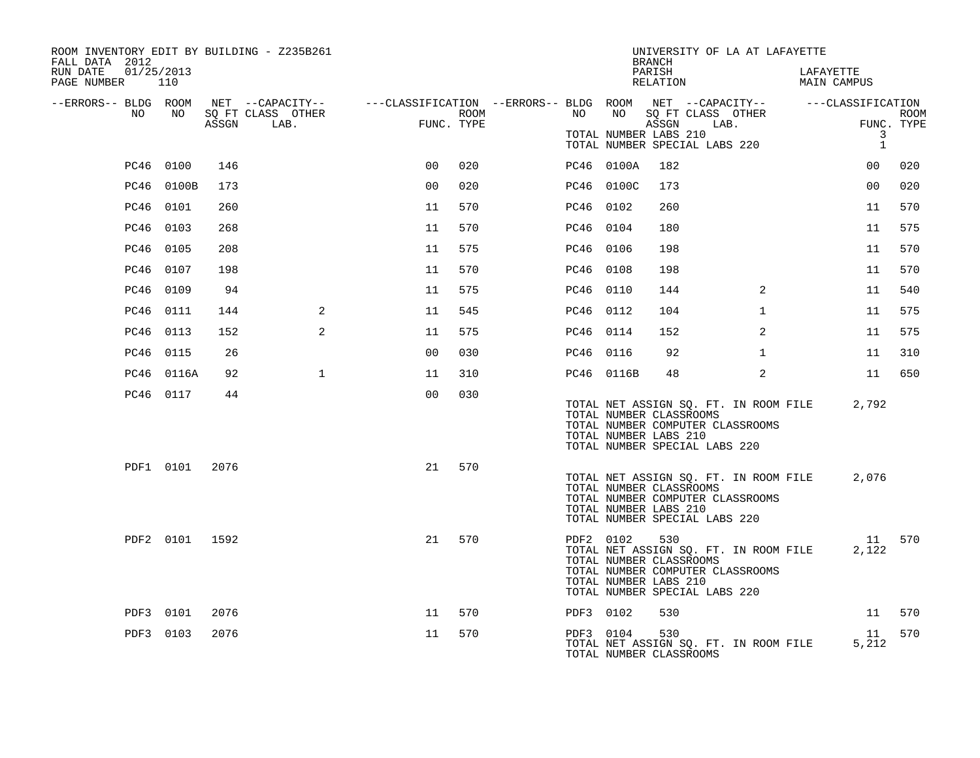| ROOM INVENTORY EDIT BY BUILDING - Z235B261<br>FALL DATA 2012 |                |       |                                       |                                                                                |      |           |                                                               | <b>BRANCH</b>      |                                                                   | UNIVERSITY OF LA AT LAFAYETTE         |                          |                                |             |
|--------------------------------------------------------------|----------------|-------|---------------------------------------|--------------------------------------------------------------------------------|------|-----------|---------------------------------------------------------------|--------------------|-------------------------------------------------------------------|---------------------------------------|--------------------------|--------------------------------|-------------|
| RUN DATE<br>01/25/2013<br>PAGE NUMBER                        | 110            |       |                                       |                                                                                |      |           |                                                               | PARISH<br>RELATION |                                                                   |                                       | LAFAYETTE<br>MAIN CAMPUS |                                |             |
| --ERRORS-- BLDG ROOM<br>NO.                                  | NO.            |       | NET --CAPACITY--<br>SQ FT CLASS OTHER | ---CLASSIFICATION --ERRORS-- BLDG ROOM  NET --CAPACITY--     ---CLASSIFICATION | ROOM | NO        | NO                                                            |                    | SQ FT CLASS OTHER                                                 |                                       |                          |                                | <b>ROOM</b> |
|                                                              |                | ASSGN | LAB.                                  | FUNC. TYPE                                                                     |      |           | TOTAL NUMBER LABS 210                                         | ASSGN              | TOTAL NUMBER SPECIAL LABS 220                                     | LAB.                                  |                          | FUNC. TYPE<br>3<br>$\mathbf 1$ |             |
|                                                              | PC46 0100      | 146   |                                       | 0 <sup>0</sup>                                                                 | 020  |           | PC46 0100A                                                    | 182                |                                                                   |                                       |                          | 00                             | 020         |
|                                                              | PC46 0100B     | 173   |                                       | 0 <sub>0</sub>                                                                 | 020  |           | PC46 0100C                                                    | 173                |                                                                   |                                       |                          | 0 <sub>0</sub>                 | 020         |
|                                                              | PC46 0101      | 260   |                                       | 11                                                                             | 570  |           | PC46 0102                                                     | 260                |                                                                   |                                       |                          | 11                             | 570         |
|                                                              | PC46 0103      | 268   |                                       | 11                                                                             | 570  | PC46 0104 |                                                               | 180                |                                                                   |                                       |                          | 11                             | 575         |
|                                                              | PC46 0105      | 208   |                                       | 11                                                                             | 575  |           | PC46 0106                                                     | 198                |                                                                   |                                       |                          | 11                             | 570         |
|                                                              | PC46 0107      | 198   |                                       | 11                                                                             | 570  |           | PC46 0108                                                     | 198                |                                                                   |                                       |                          | 11                             | 570         |
|                                                              | PC46 0109      | 94    |                                       | 11                                                                             | 575  | PC46 0110 |                                                               | 144                |                                                                   | 2                                     |                          | 11                             | 540         |
|                                                              | PC46 0111      | 144   | 2                                     | 11                                                                             | 545  | PC46 0112 |                                                               | 104                |                                                                   | $\mathbf{1}$                          |                          | 11                             | 575         |
|                                                              | PC46 0113      | 152   | 2                                     | 11                                                                             | 575  | PC46 0114 |                                                               | 152                |                                                                   | 2                                     |                          | 11                             | 575         |
|                                                              | PC46 0115      | 26    |                                       | 0 <sub>0</sub>                                                                 | 030  |           | PC46 0116                                                     | 92                 |                                                                   | $\mathbf{1}$                          |                          | 11                             | 310         |
|                                                              | PC46 0116A     | 92    | $\mathbf{1}$                          | 11                                                                             | 310  |           | PC46 0116B                                                    | 48                 |                                                                   | 2                                     |                          | 11                             | 650         |
|                                                              | PC46 0117      | 44    |                                       | 0 <sup>0</sup>                                                                 | 030  |           | TOTAL NUMBER CLASSROOMS<br>TOTAL NUMBER LABS 210              |                    | TOTAL NUMBER COMPUTER CLASSROOMS<br>TOTAL NUMBER SPECIAL LABS 220 | TOTAL NET ASSIGN SQ. FT. IN ROOM FILE |                          | 2,792                          |             |
|                                                              | PDF1 0101      | 2076  |                                       | 21                                                                             | 570  |           | TOTAL NUMBER CLASSROOMS<br>TOTAL NUMBER LABS 210              |                    | TOTAL NUMBER COMPUTER CLASSROOMS<br>TOTAL NUMBER SPECIAL LABS 220 | TOTAL NET ASSIGN SQ. FT. IN ROOM FILE |                          | 2,076                          |             |
|                                                              | PDF2 0101 1592 |       |                                       | 21                                                                             | 570  |           | PDF2 0102<br>TOTAL NUMBER CLASSROOMS<br>TOTAL NUMBER LABS 210 | 530                | TOTAL NUMBER COMPUTER CLASSROOMS<br>TOTAL NUMBER SPECIAL LABS 220 | TOTAL NET ASSIGN SQ. FT. IN ROOM FILE |                          | 11 570<br>2,122                |             |
|                                                              | PDF3 0101      | 2076  |                                       | 11                                                                             | 570  |           | PDF3 0102                                                     | 530                |                                                                   |                                       |                          | 11                             | 570         |
|                                                              | PDF3 0103      | 2076  |                                       | 11                                                                             | 570  |           | PDF3 0104<br>TOTAL NUMBER CLASSROOMS                          | 530                |                                                                   | TOTAL NET ASSIGN SQ. FT. IN ROOM FILE |                          | 11<br>5,212                    | 570         |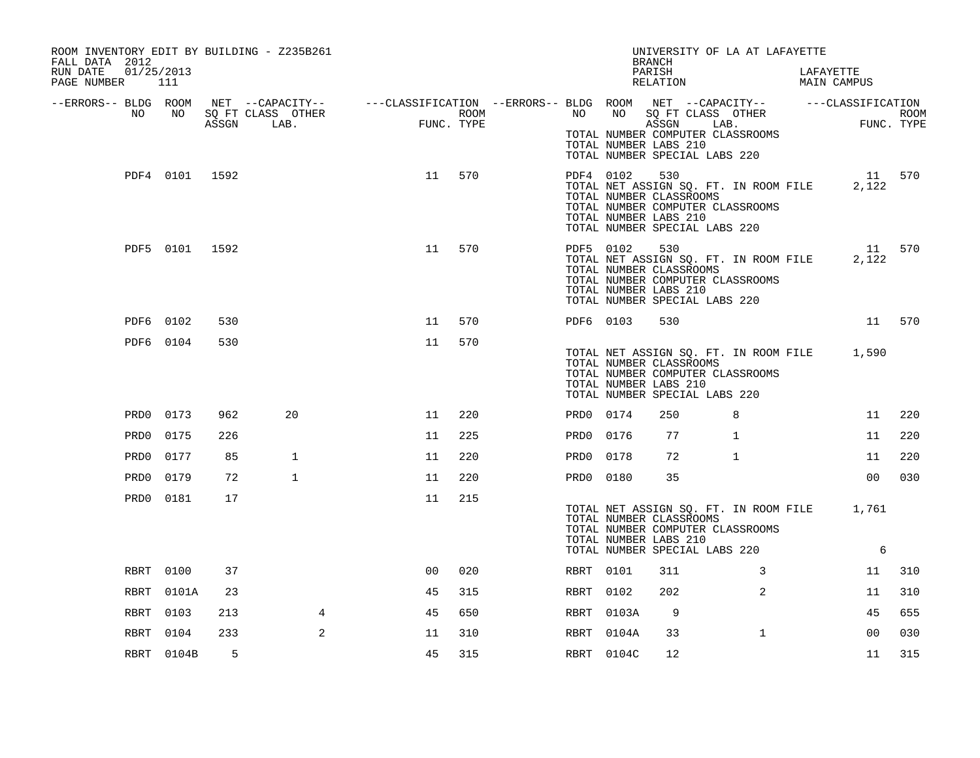| ROOM INVENTORY EDIT BY BUILDING - Z235B261<br>FALL DATA 2012<br>RUN DATE<br>PAGE NUMBER 111 | 01/25/2013     |     |              |                                                                                                                                                                                                  |        |           |            | UNIVERSITY OF LA AT LAFAYETTE<br>BRANCH<br>PARISH<br>RELATION                                                                                                                         |              | LAFAYETTE<br>MAIN CAMPUS |                 |     |
|---------------------------------------------------------------------------------------------|----------------|-----|--------------|--------------------------------------------------------------------------------------------------------------------------------------------------------------------------------------------------|--------|-----------|------------|---------------------------------------------------------------------------------------------------------------------------------------------------------------------------------------|--------------|--------------------------|-----------------|-----|
| --ERRORS-- BLDG ROOM<br>NO                                                                  | NO             |     |              | NET --CAPACITY-- ----CLASSIFICATION --ERRORS---BLDG ROOM NET --CAPACITY-- -----CLASSIFICATION<br>SQ FT CLASS OTHER ROOM NO SQ FT CLASS OTHER ROOM<br>ASSGN LAB. FUNC. TYPE ASSGN LAB. FUNC. TYPE |        |           |            | TOTAL NUMBER COMPUTER CLASSROOMS<br>TOTAL NUMBER LABS 210<br>TOTAL NUMBER SPECIAL LABS 220                                                                                            |              |                          |                 |     |
|                                                                                             | PDF4 0101 1592 |     |              | 11                                                                                                                                                                                               | 570    |           | PDF4 0102  | 530<br>TOTAL NET ASSIGN SQ. FT. IN ROOM FILE<br>TOTAL NUMBER CLASSROOMS<br>TOTAL NUMBER COMPUTER CLASSROOMS<br>TOTAL NUMBER LABS 210<br>TOTAL NUMBER SPECIAL LABS 220                 |              |                          | 11 570<br>2,122 |     |
|                                                                                             | PDF5 0101 1592 |     |              |                                                                                                                                                                                                  | 11 570 |           |            | PDF5 0102 530<br>TOTAL NET ASSIGN SQ. FT. IN ROOM FILE 2,122<br>TOTAL NUMBER CLASSROOMS<br>TOTAL NUMBER COMPUTER CLASSROOMS<br>TOTAL NUMBER LABS 210<br>TOTAL NUMBER SPECIAL LABS 220 |              |                          | 11 570          |     |
|                                                                                             | PDF6 0102      | 530 |              | 11                                                                                                                                                                                               | 570    | PDF6 0103 |            | 530                                                                                                                                                                                   |              |                          | 11 570          |     |
|                                                                                             | PDF6 0104      | 530 |              | 11                                                                                                                                                                                               | 570    |           |            | TOTAL NET ASSIGN SQ. FT. IN ROOM FILE 1,590<br>TOTAL NUMBER CLASSROOMS<br>TOTAL NUMBER COMPUTER CLASSROOMS<br>TOTAL NUMBER LABS 210<br>TOTAL NUMBER SPECIAL LABS 220                  |              |                          |                 |     |
|                                                                                             | PRD0 0173      | 962 | 20           | 11                                                                                                                                                                                               | 220    | PRD0 0174 |            | 250                                                                                                                                                                                   | 8            |                          | 11              | 220 |
| PRD0                                                                                        | 0175           | 226 |              | 11                                                                                                                                                                                               | 225    | PRD0 0176 |            | 77                                                                                                                                                                                    | $\mathbf{1}$ |                          | 11              | 220 |
| PRD0                                                                                        | 0177           | 85  | $\mathbf{1}$ | 11                                                                                                                                                                                               | 220    | PRD0 0178 |            | 72                                                                                                                                                                                    | $\mathbf{1}$ |                          | 11              | 220 |
| PRD0                                                                                        | 0179           | 72  | $\mathbf{1}$ | 11                                                                                                                                                                                               | 220    | PRD0 0180 |            | 35                                                                                                                                                                                    |              |                          | 0 <sub>0</sub>  | 030 |
|                                                                                             | PRD0 0181      | 17  |              | 11                                                                                                                                                                                               | 215    |           |            | TOTAL NET ASSIGN SQ. FT. IN ROOM FILE 1,761<br>TOTAL NUMBER CLASSROOMS<br>TOTAL NUMBER COMPUTER CLASSROOMS<br>TOTAL NUMBER LABS 210                                                   |              |                          |                 |     |
|                                                                                             |                |     |              |                                                                                                                                                                                                  |        |           |            | TOTAL NUMBER SPECIAL LABS 220                                                                                                                                                         |              |                          | 6               |     |
|                                                                                             | RBRT 0100      | 37  |              | 0 <sup>0</sup>                                                                                                                                                                                   | 020    | RBRT 0101 |            | 311                                                                                                                                                                                   | 3            |                          | 11              | 310 |
| RBRT                                                                                        | 0101A          | 23  |              | 45                                                                                                                                                                                               | 315    | RBRT 0102 |            | 202                                                                                                                                                                                   | 2            |                          | 11              | 310 |
| RBRT                                                                                        | 0103           | 213 | 4            | 45                                                                                                                                                                                               | 650    |           | RBRT 0103A | -9                                                                                                                                                                                    |              |                          | 45              | 655 |
| RBRT                                                                                        | 0104           | 233 | 2            | 11                                                                                                                                                                                               | 310    |           | RBRT 0104A | 33                                                                                                                                                                                    | $\mathbf{1}$ |                          | 00              | 030 |
|                                                                                             | RBRT 0104B     | 5   |              | 45                                                                                                                                                                                               | 315    |           | RBRT 0104C | 12                                                                                                                                                                                    |              |                          | 11              | 315 |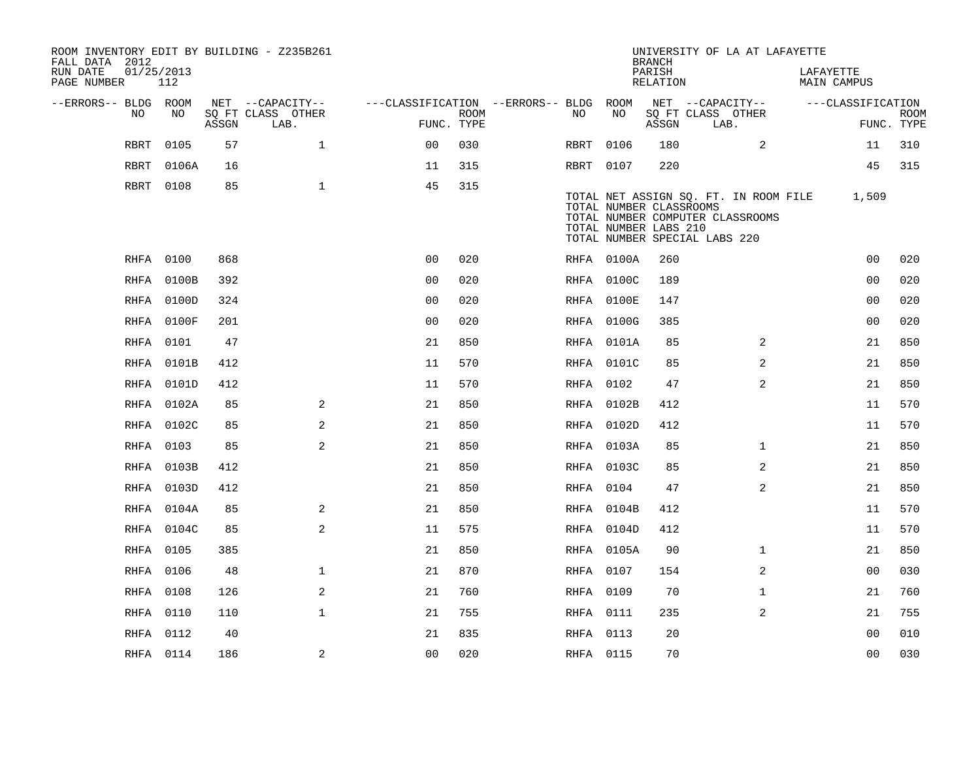| FALL DATA 2012          |             |            |       | ROOM INVENTORY EDIT BY BUILDING - Z235B261 |                                        |                           |           |            | <b>BRANCH</b>                                    |                               | UNIVERSITY OF LA AT LAFAYETTE                                             |           |                   |                           |
|-------------------------|-------------|------------|-------|--------------------------------------------|----------------------------------------|---------------------------|-----------|------------|--------------------------------------------------|-------------------------------|---------------------------------------------------------------------------|-----------|-------------------|---------------------------|
| RUN DATE<br>PAGE NUMBER | 01/25/2013  | 112        |       |                                            |                                        |                           |           |            | PARISH<br><b>RELATION</b>                        |                               |                                                                           | LAFAYETTE | MAIN CAMPUS       |                           |
| --ERRORS-- BLDG ROOM    |             |            |       | NET --CAPACITY--                           | ---CLASSIFICATION --ERRORS-- BLDG ROOM |                           |           |            |                                                  | NET --CAPACITY--              |                                                                           |           | ---CLASSIFICATION |                           |
|                         | NO          | NO         | ASSGN | SQ FT CLASS OTHER<br>LAB.                  |                                        | <b>ROOM</b><br>FUNC. TYPE | NO        | NO         | ASSGN                                            | SQ FT CLASS OTHER<br>LAB.     |                                                                           |           |                   | <b>ROOM</b><br>FUNC. TYPE |
|                         | <b>RBRT</b> | 0105       | 57    | $\mathbf{1}$                               | 0 <sup>0</sup>                         | 030                       | RBRT      | 0106       | 180                                              |                               | 2                                                                         |           | 11                | 310                       |
|                         | RBRT        | 0106A      | 16    |                                            | 11                                     | 315                       | RBRT 0107 |            | 220                                              |                               |                                                                           |           | 45                | 315                       |
|                         | RBRT        | 0108       | 85    | $\mathbf{1}$                               | 45                                     | 315                       |           |            | TOTAL NUMBER CLASSROOMS<br>TOTAL NUMBER LABS 210 | TOTAL NUMBER SPECIAL LABS 220 | TOTAL NET ASSIGN SQ. FT. IN ROOM FILE<br>TOTAL NUMBER COMPUTER CLASSROOMS |           | 1,509             |                           |
|                         | RHFA 0100   |            | 868   |                                            | 0 <sub>0</sub>                         | 020                       |           | RHFA 0100A | 260                                              |                               |                                                                           |           | 0 <sub>0</sub>    | 020                       |
|                         |             | RHFA 0100B | 392   |                                            | 00                                     | 020                       |           | RHFA 0100C | 189                                              |                               |                                                                           |           | 0 <sub>0</sub>    | 020                       |
|                         |             | RHFA 0100D | 324   |                                            | 0 <sub>0</sub>                         | 020                       |           | RHFA 0100E | 147                                              |                               |                                                                           |           | 00                | 020                       |
|                         | RHFA        | 0100F      | 201   |                                            | 0 <sub>0</sub>                         | 020                       |           | RHFA 0100G | 385                                              |                               |                                                                           |           | 0 <sub>0</sub>    | 020                       |
|                         | RHFA        | 0101       | 47    |                                            | 21                                     | 850                       |           | RHFA 0101A | 85                                               |                               | 2                                                                         |           | 21                | 850                       |
|                         | RHFA        | 0101B      | 412   |                                            | 11                                     | 570                       |           | RHFA 0101C | 85                                               |                               | 2                                                                         |           | 21                | 850                       |
|                         |             | RHFA 0101D | 412   |                                            | 11                                     | 570                       | RHFA 0102 |            | 47                                               |                               | 2                                                                         |           | 21                | 850                       |
|                         |             | RHFA 0102A | 85    | 2                                          | 21                                     | 850                       |           | RHFA 0102B | 412                                              |                               |                                                                           |           | 11                | 570                       |
|                         |             | RHFA 0102C | 85    | 2                                          | 21                                     | 850                       |           | RHFA 0102D | 412                                              |                               |                                                                           |           | 11                | 570                       |
|                         | RHFA 0103   |            | 85    | 2                                          | 21                                     | 850                       |           | RHFA 0103A | 85                                               |                               | $\mathbf{1}$                                                              |           | 21                | 850                       |
|                         |             | RHFA 0103B | 412   |                                            | 21                                     | 850                       |           | RHFA 0103C | 85                                               |                               | 2                                                                         |           | 21                | 850                       |
|                         |             | RHFA 0103D | 412   |                                            | 21                                     | 850                       | RHFA 0104 |            | 47                                               |                               | 2                                                                         |           | 21                | 850                       |
|                         |             | RHFA 0104A | 85    | 2                                          | 21                                     | 850                       |           | RHFA 0104B | 412                                              |                               |                                                                           |           | 11                | 570                       |
|                         |             | RHFA 0104C | 85    | 2                                          | 11                                     | 575                       |           | RHFA 0104D | 412                                              |                               |                                                                           |           | 11                | 570                       |
|                         | RHFA 0105   |            | 385   |                                            | 21                                     | 850                       |           | RHFA 0105A | 90                                               |                               | $\mathbf{1}$                                                              |           | 21                | 850                       |
|                         | RHFA 0106   |            | 48    | $\mathbf{1}$                               | 21                                     | 870                       | RHFA 0107 |            | 154                                              |                               | 2                                                                         |           | 0 <sub>0</sub>    | 030                       |
|                         | RHFA 0108   |            | 126   | 2                                          | 21                                     | 760                       | RHFA 0109 |            | 70                                               |                               | $\mathbf{1}$                                                              |           | 21                | 760                       |
|                         | RHFA 0110   |            | 110   | $\mathbf{1}$                               | 21                                     | 755                       | RHFA 0111 |            | 235                                              |                               | 2                                                                         |           | 21                | 755                       |
|                         | RHFA 0112   |            | 40    |                                            | 21                                     | 835                       | RHFA 0113 |            | 20                                               |                               |                                                                           |           | 00                | 010                       |
|                         | RHFA 0114   |            | 186   | 2                                          | 0 <sub>0</sub>                         | 020                       | RHFA 0115 |            | 70                                               |                               |                                                                           |           | 0 <sub>0</sub>    | 030                       |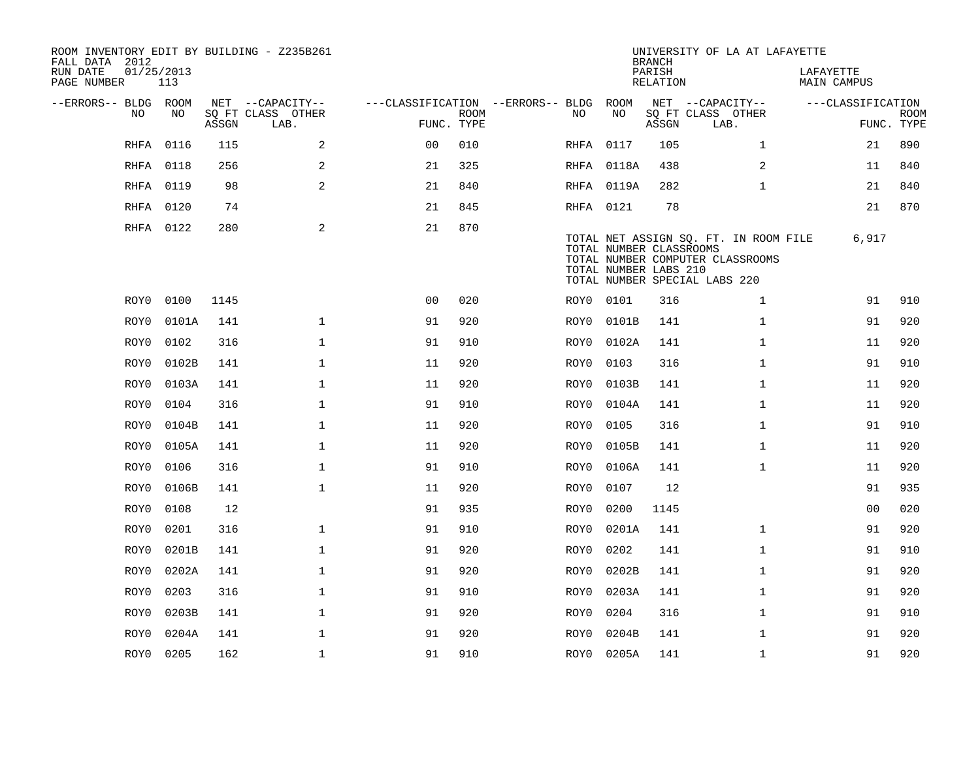| ROOM INVENTORY EDIT BY BUILDING - Z235B261<br>FALL DATA 2012 |                   |       |                           |                                        |             |           |                                                  | <b>BRANCH</b>      | UNIVERSITY OF LA AT LAFAYETTE                                                                              |                          |                           |
|--------------------------------------------------------------|-------------------|-------|---------------------------|----------------------------------------|-------------|-----------|--------------------------------------------------|--------------------|------------------------------------------------------------------------------------------------------------|--------------------------|---------------------------|
| RUN DATE<br>PAGE NUMBER                                      | 01/25/2013<br>113 |       |                           |                                        |             |           |                                                  | PARISH<br>RELATION |                                                                                                            | LAFAYETTE<br>MAIN CAMPUS |                           |
| --ERRORS-- BLDG ROOM                                         |                   |       | NET --CAPACITY--          | ---CLASSIFICATION --ERRORS-- BLDG ROOM |             |           |                                                  |                    | NET --CAPACITY--                                                                                           | ---CLASSIFICATION        |                           |
| NO                                                           | NO                | ASSGN | SQ FT CLASS OTHER<br>LAB. | FUNC. TYPE                             | <b>ROOM</b> | NO.       | NO                                               | ASSGN              | SQ FT CLASS OTHER<br>LAB.                                                                                  |                          | <b>ROOM</b><br>FUNC. TYPE |
| <b>RHFA</b>                                                  | 0116              | 115   | 2                         | 0 <sup>0</sup>                         | 010         | RHFA 0117 |                                                  | 105                | $\mathbf{1}$                                                                                               | 21                       | 890                       |
| RHFA                                                         | 0118              | 256   | 2                         | 21                                     | 325         |           | RHFA 0118A                                       | 438                | 2                                                                                                          | 11                       | 840                       |
|                                                              | RHFA 0119         | 98    | 2                         | 21                                     | 840         |           | RHFA 0119A                                       | 282                | $\mathbf{1}$                                                                                               | 21                       | 840                       |
| RHFA                                                         | 0120              | 74    |                           | 21                                     | 845         | RHFA 0121 |                                                  | 78                 |                                                                                                            | 21                       | 870                       |
|                                                              | RHFA 0122         | 280   | 2                         | 21                                     | 870         |           | TOTAL NUMBER CLASSROOMS<br>TOTAL NUMBER LABS 210 |                    | TOTAL NET ASSIGN SQ. FT. IN ROOM FILE<br>TOTAL NUMBER COMPUTER CLASSROOMS<br>TOTAL NUMBER SPECIAL LABS 220 | 6,917                    |                           |
| ROY0                                                         | 0100              | 1145  |                           | 0 <sub>0</sub>                         | 020         | ROY0 0101 |                                                  | 316                | $\mathbf{1}$                                                                                               | 91                       | 910                       |
| ROY0                                                         | 0101A             | 141   | $\mathbf{1}$              | 91                                     | 920         | ROY0      | 0101B                                            | 141                | $\mathbf{1}$                                                                                               | 91                       | 920                       |
| ROY0                                                         | 0102              | 316   | $\mathbf 1$               | 91                                     | 910         | ROY0      | 0102A                                            | 141                | $\mathbf{1}$                                                                                               | 11                       | 920                       |
| ROY0                                                         | 0102B             | 141   | $\mathbf{1}$              | 11                                     | 920         | ROY0      | 0103                                             | 316                | $\mathbf{1}$                                                                                               | 91                       | 910                       |
| ROY0                                                         | 0103A             | 141   | $\mathbf 1$               | 11                                     | 920         | ROY0      | 0103B                                            | 141                | $\mathbf{1}$                                                                                               | 11                       | 920                       |
| ROY0                                                         | 0104              | 316   | $\mathbf{1}$              | 91                                     | 910         | ROY0      | 0104A                                            | 141                | $\mathbf{1}$                                                                                               | 11                       | 920                       |
| ROY0                                                         | 0104B             | 141   | $\mathbf 1$               | 11                                     | 920         | ROY0      | 0105                                             | 316                | $\mathbf{1}$                                                                                               | 91                       | 910                       |
| ROY0                                                         | 0105A             | 141   | $\mathbf{1}$              | 11                                     | 920         | ROY0      | 0105B                                            | 141                | $\mathbf{1}$                                                                                               | 11                       | 920                       |
| ROY0                                                         | 0106              | 316   | $\mathbf 1$               | 91                                     | 910         | ROY0      | 0106A                                            | 141                | $\mathbf{1}$                                                                                               | 11                       | 920                       |
| ROY0                                                         | 0106B             | 141   | $\mathbf{1}$              | 11                                     | 920         | ROY0      | 0107                                             | 12                 |                                                                                                            | 91                       | 935                       |
| ROY0                                                         | 0108              | 12    |                           | 91                                     | 935         | ROY0      | 0200                                             | 1145               |                                                                                                            | 00                       | 020                       |
| ROY0                                                         | 0201              | 316   | $\mathbf{1}$              | 91                                     | 910         | ROY0      | 0201A                                            | 141                | $\mathbf{1}$                                                                                               | 91                       | 920                       |
| ROY0                                                         | 0201B             | 141   | $\mathbf 1$               | 91                                     | 920         | ROY0      | 0202                                             | 141                | $\mathbf{1}$                                                                                               | 91                       | 910                       |
| ROY0                                                         | 0202A             | 141   | $\mathbf{1}$              | 91                                     | 920         | ROY0      | 0202B                                            | 141                | $\mathbf{1}$                                                                                               | 91                       | 920                       |
| ROY0                                                         | 0203              | 316   | $\mathbf 1$               | 91                                     | 910         | ROY0      | 0203A                                            | 141                | $\mathbf{1}$                                                                                               | 91                       | 920                       |
| ROY0                                                         | 0203B             | 141   | $\mathbf 1$               | 91                                     | 920         | ROY0      | 0204                                             | 316                | $\mathbf{1}$                                                                                               | 91                       | 910                       |
| ROY0                                                         | 0204A             | 141   | $\mathbf{1}$              | 91                                     | 920         | ROY0      | 0204B                                            | 141                | $\mathbf{1}$                                                                                               | 91                       | 920                       |
|                                                              | ROY0 0205         | 162   | $\mathbf{1}$              | 91                                     | 910         |           | ROY0 0205A                                       | 141                | $\mathbf{1}$                                                                                               | 91                       | 920                       |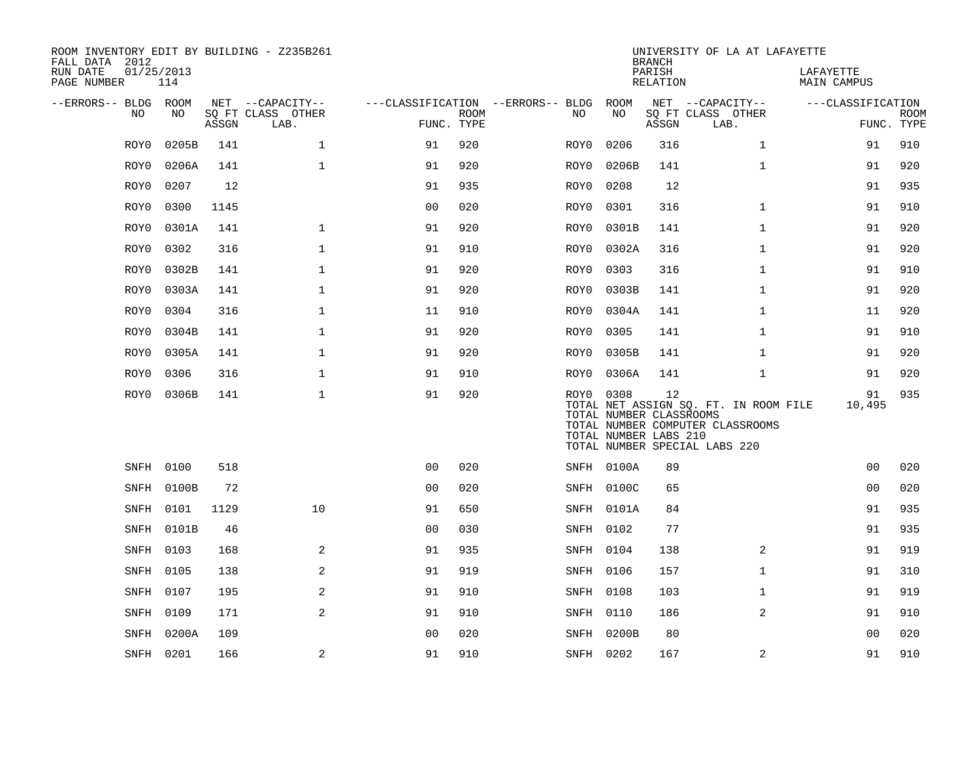| ROOM INVENTORY EDIT BY BUILDING - Z235B261<br>FALL DATA 2012 |                   |       |                           |                |             |                                        |                                                               | <b>BRANCH</b>      | UNIVERSITY OF LA AT LAFAYETTE                                                                              |                          |                           |
|--------------------------------------------------------------|-------------------|-------|---------------------------|----------------|-------------|----------------------------------------|---------------------------------------------------------------|--------------------|------------------------------------------------------------------------------------------------------------|--------------------------|---------------------------|
| RUN DATE<br>PAGE NUMBER                                      | 01/25/2013<br>114 |       |                           |                |             |                                        |                                                               | PARISH<br>RELATION |                                                                                                            | LAFAYETTE<br>MAIN CAMPUS |                           |
| --ERRORS-- BLDG ROOM                                         |                   |       | NET --CAPACITY--          |                |             | ---CLASSIFICATION --ERRORS-- BLDG ROOM |                                                               |                    | NET --CAPACITY--                                                                                           | ---CLASSIFICATION        |                           |
| NO.                                                          | NO.               | ASSGN | SQ FT CLASS OTHER<br>LAB. | FUNC. TYPE     | <b>ROOM</b> | NO.                                    | NO                                                            | ASSGN              | SQ FT CLASS OTHER<br>LAB.                                                                                  |                          | <b>ROOM</b><br>FUNC. TYPE |
| ROY0                                                         | 0205B             | 141   | $\mathbf{1}$              | 91             | 920         | ROY0                                   | 0206                                                          | 316                | $\mathbf{1}$                                                                                               | 91                       | 910                       |
| ROY0                                                         | 0206A             | 141   | $\mathbf{1}$              | 91             | 920         | ROY0                                   | 0206B                                                         | 141                | $\mathbf{1}$                                                                                               | 91                       | 920                       |
| ROY0                                                         | 0207              | 12    |                           | 91             | 935         | ROY0                                   | 0208                                                          | 12                 |                                                                                                            | 91                       | 935                       |
| ROY0                                                         | 0300              | 1145  |                           | 00             | 020         | ROY0                                   | 0301                                                          | 316                | $\mathbf{1}$                                                                                               | 91                       | 910                       |
| ROY0                                                         | 0301A             | 141   | $\mathbf 1$               | 91             | 920         | ROY0                                   | 0301B                                                         | 141                | $\mathbf{1}$                                                                                               | 91                       | 920                       |
| ROY0                                                         | 0302              | 316   | $\mathbf{1}$              | 91             | 910         | ROY0                                   | 0302A                                                         | 316                | $\mathbf{1}$                                                                                               | 91                       | 920                       |
| ROY0                                                         | 0302B             | 141   | $\mathbf{1}$              | 91             | 920         | ROY0                                   | 0303                                                          | 316                | $\mathbf{1}$                                                                                               | 91                       | 910                       |
| ROY0                                                         | 0303A             | 141   | $\mathbf{1}$              | 91             | 920         | ROY0                                   | 0303B                                                         | 141                | $\mathbf{1}$                                                                                               | 91                       | 920                       |
| ROY0                                                         | 0304              | 316   | $\mathbf 1$               | 11             | 910         | ROY0                                   | 0304A                                                         | 141                | $\mathbf{1}$                                                                                               | 11                       | 920                       |
| ROY0                                                         | 0304B             | 141   | $\mathbf{1}$              | 91             | 920         | ROY0                                   | 0305                                                          | 141                | $\mathbf{1}$                                                                                               | 91                       | 910                       |
| ROY0                                                         | 0305A             | 141   | $\mathbf{1}$              | 91             | 920         | ROY0                                   | 0305B                                                         | 141                | $\mathbf{1}$                                                                                               | 91                       | 920                       |
| ROY0                                                         | 0306              | 316   | $\mathbf{1}$              | 91             | 910         | ROY0                                   | 0306A                                                         | 141                | $\mathbf{1}$                                                                                               | 91                       | 920                       |
| ROY0                                                         | 0306B             | 141   | $\mathbf{1}$              | 91             | 920         |                                        | ROY0 0308<br>TOTAL NUMBER CLASSROOMS<br>TOTAL NUMBER LABS 210 | 12                 | TOTAL NET ASSIGN SQ. FT. IN ROOM FILE<br>TOTAL NUMBER COMPUTER CLASSROOMS<br>TOTAL NUMBER SPECIAL LABS 220 | 91<br>10,495             | 935                       |
|                                                              | SNFH 0100         | 518   |                           | 0 <sub>0</sub> | 020         |                                        | SNFH 0100A                                                    | 89                 |                                                                                                            | 0 <sub>0</sub>           | 020                       |
|                                                              | SNFH 0100B        | 72    |                           | 0 <sub>0</sub> | 020         |                                        | SNFH 0100C                                                    | 65                 |                                                                                                            | 0 <sub>0</sub>           | 020                       |
|                                                              | SNFH 0101         | 1129  | 10                        | 91             | 650         |                                        | SNFH 0101A                                                    | 84                 |                                                                                                            | 91                       | 935                       |
|                                                              | SNFH 0101B        | 46    |                           | 0 <sub>0</sub> | 030         |                                        | SNFH 0102                                                     | 77                 |                                                                                                            | 91                       | 935                       |
|                                                              | SNFH 0103         | 168   | 2                         | 91             | 935         |                                        | SNFH 0104                                                     | 138                | $\overline{2}$                                                                                             | 91                       | 919                       |
|                                                              | SNFH 0105         | 138   | 2                         | 91             | 919         |                                        | SNFH 0106                                                     | 157                | $\mathbf{1}$                                                                                               | 91                       | 310                       |
|                                                              | SNFH 0107         | 195   | 2                         | 91             | 910         |                                        | SNFH 0108                                                     | 103                | $\mathbf{1}$                                                                                               | 91                       | 919                       |
|                                                              | SNFH 0109         | 171   | 2                         | 91             | 910         |                                        | SNFH 0110                                                     | 186                | 2                                                                                                          | 91                       | 910                       |
| SNFH                                                         | 0200A             | 109   |                           | 0 <sub>0</sub> | 020         |                                        | SNFH 0200B                                                    | 80                 |                                                                                                            | 00                       | 020                       |
|                                                              | SNFH 0201         | 166   | 2                         | 91             | 910         |                                        | SNFH 0202                                                     | 167                | 2                                                                                                          | 91                       | 910                       |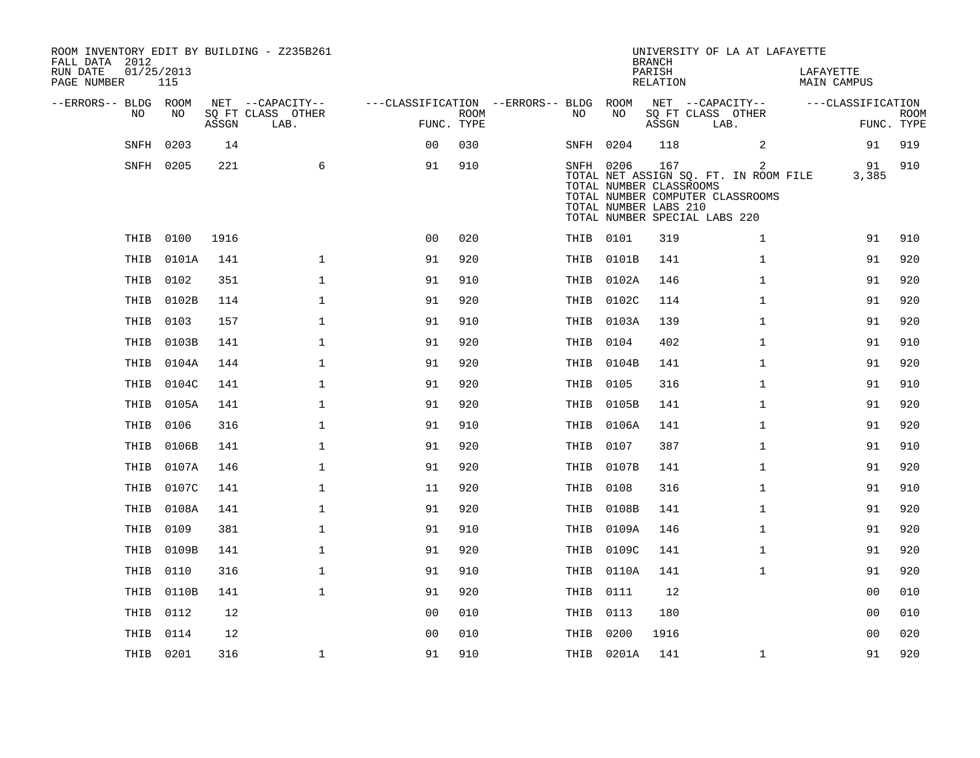| ROOM INVENTORY EDIT BY BUILDING - Z235B261<br>FALL DATA 2012<br>RUN DATE | 01/25/2013 |       |                                       |                                        |             |           |                                                               | <b>BRANCH</b><br>PARISH | UNIVERSITY OF LA AT LAFAYETTE                                                                                   | LAFAYETTE         |                |             |
|--------------------------------------------------------------------------|------------|-------|---------------------------------------|----------------------------------------|-------------|-----------|---------------------------------------------------------------|-------------------------|-----------------------------------------------------------------------------------------------------------------|-------------------|----------------|-------------|
| PAGE NUMBER                                                              | 115        |       |                                       |                                        |             |           |                                                               | RELATION                |                                                                                                                 | MAIN CAMPUS       |                |             |
| --ERRORS-- BLDG ROOM<br>NO.                                              | NO.        |       | NET --CAPACITY--<br>SQ FT CLASS OTHER | ---CLASSIFICATION --ERRORS-- BLDG ROOM | <b>ROOM</b> | NO        | NO                                                            |                         | NET --CAPACITY--<br>SQ FT CLASS OTHER                                                                           | ---CLASSIFICATION |                | <b>ROOM</b> |
|                                                                          |            | ASSGN | LAB.                                  |                                        | FUNC. TYPE  |           |                                                               | ASSGN                   | LAB.                                                                                                            |                   |                | FUNC. TYPE  |
| <b>SNFH</b>                                                              | 0203       | 14    |                                       | 0 <sub>0</sub>                         | 030         | SNFH      | 0204                                                          | 118                     | 2                                                                                                               |                   | 91             | 919         |
|                                                                          | SNFH 0205  | 221   | 6                                     | 91                                     | 910         |           | SNFH 0206<br>TOTAL NUMBER CLASSROOMS<br>TOTAL NUMBER LABS 210 | 167                     | 2<br>TOTAL NET ASSIGN SQ. FT. IN ROOM FILE<br>TOTAL NUMBER COMPUTER CLASSROOMS<br>TOTAL NUMBER SPECIAL LABS 220 |                   | 91<br>3,385    | 910         |
|                                                                          | THIB 0100  | 1916  |                                       | 0 <sub>0</sub>                         | 020         | THIB 0101 |                                                               | 319                     | $\mathbf{1}$                                                                                                    |                   | 91             | 910         |
| THIB                                                                     | 0101A      | 141   | $\mathbf 1$                           | 91                                     | 920         |           | THIB 0101B                                                    | 141                     | $\mathbf{1}$                                                                                                    |                   | 91             | 920         |
| THIB                                                                     | 0102       | 351   | $\mathbf 1$                           | 91                                     | 910         |           | THIB 0102A                                                    | 146                     | $\mathbf{1}$                                                                                                    |                   | 91             | 920         |
| THIB                                                                     | 0102B      | 114   | $\mathbf{1}$                          | 91                                     | 920         |           | THIB 0102C                                                    | 114                     | $\mathbf{1}$                                                                                                    |                   | 91             | 920         |
| THIB                                                                     | 0103       | 157   | $\mathbf{1}$                          | 91                                     | 910         | THIB      | 0103A                                                         | 139                     | $\mathbf{1}$                                                                                                    |                   | 91             | 920         |
| THIB                                                                     | 0103B      | 141   | $\mathbf{1}$                          | 91                                     | 920         | THIB 0104 |                                                               | 402                     | $\mathbf{1}$                                                                                                    |                   | 91             | 910         |
| THIB                                                                     | 0104A      | 144   | $\mathbf{1}$                          | 91                                     | 920         |           | THIB 0104B                                                    | 141                     | $\mathbf{1}$                                                                                                    |                   | 91             | 920         |
| THIB                                                                     | 0104C      | 141   | $\mathbf 1$                           | 91                                     | 920         | THIB 0105 |                                                               | 316                     | $\mathbf{1}$                                                                                                    |                   | 91             | 910         |
| THIB                                                                     | 0105A      | 141   | $\mathbf{1}$                          | 91                                     | 920         |           | THIB 0105B                                                    | 141                     | $\mathbf{1}$                                                                                                    |                   | 91             | 920         |
| THIB                                                                     | 0106       | 316   | 1                                     | 91                                     | 910         |           | THIB 0106A                                                    | 141                     | $\mathbf{1}$                                                                                                    |                   | 91             | 920         |
| THIB                                                                     | 0106B      | 141   | $\mathbf{1}$                          | 91                                     | 920         | THIB 0107 |                                                               | 387                     | $\mathbf{1}$                                                                                                    |                   | 91             | 910         |
| THIB                                                                     | 0107A      | 146   | $\mathbf 1$                           | 91                                     | 920         |           | THIB 0107B                                                    | 141                     | $\mathbf{1}$                                                                                                    |                   | 91             | 920         |
| THIB                                                                     | 0107C      | 141   | $\mathbf{1}$                          | 11                                     | 920         | THIB 0108 |                                                               | 316                     | $\mathbf{1}$                                                                                                    |                   | 91             | 910         |
| THIB                                                                     | 0108A      | 141   | $\mathbf 1$                           | 91                                     | 920         |           | THIB 0108B                                                    | 141                     | $\mathbf{1}$                                                                                                    |                   | 91             | 920         |
| THIB                                                                     | 0109       | 381   | $\mathbf 1$                           | 91                                     | 910         |           | THIB 0109A                                                    | 146                     | $\mathbf{1}$                                                                                                    |                   | 91             | 920         |
| THIB                                                                     | 0109B      | 141   | $\mathbf{1}$                          | 91                                     | 920         |           | THIB 0109C                                                    | 141                     | $\mathbf{1}$                                                                                                    |                   | 91             | 920         |
| THIB                                                                     | 0110       | 316   | $\mathbf{1}$                          | 91                                     | 910         |           | THIB 0110A                                                    | 141                     | $\mathbf{1}$                                                                                                    |                   | 91             | 920         |
| THIB                                                                     | 0110B      | 141   | $\mathbf{1}$                          | 91                                     | 920         | THIB 0111 |                                                               | 12                      |                                                                                                                 |                   | 00             | 010         |
| THIB                                                                     | 0112       | 12    |                                       | 0 <sub>0</sub>                         | 010         | THIB 0113 |                                                               | 180                     |                                                                                                                 |                   | 0 <sub>0</sub> | 010         |
| THIB                                                                     | 0114       | 12    |                                       | 0 <sub>0</sub>                         | 010         | THIB 0200 |                                                               | 1916                    |                                                                                                                 |                   | 00             | 020         |
|                                                                          | THIB 0201  | 316   | 1                                     | 91                                     | 910         |           | THIB 0201A                                                    | 141                     | $\mathbf{1}$                                                                                                    |                   | 91             | 920         |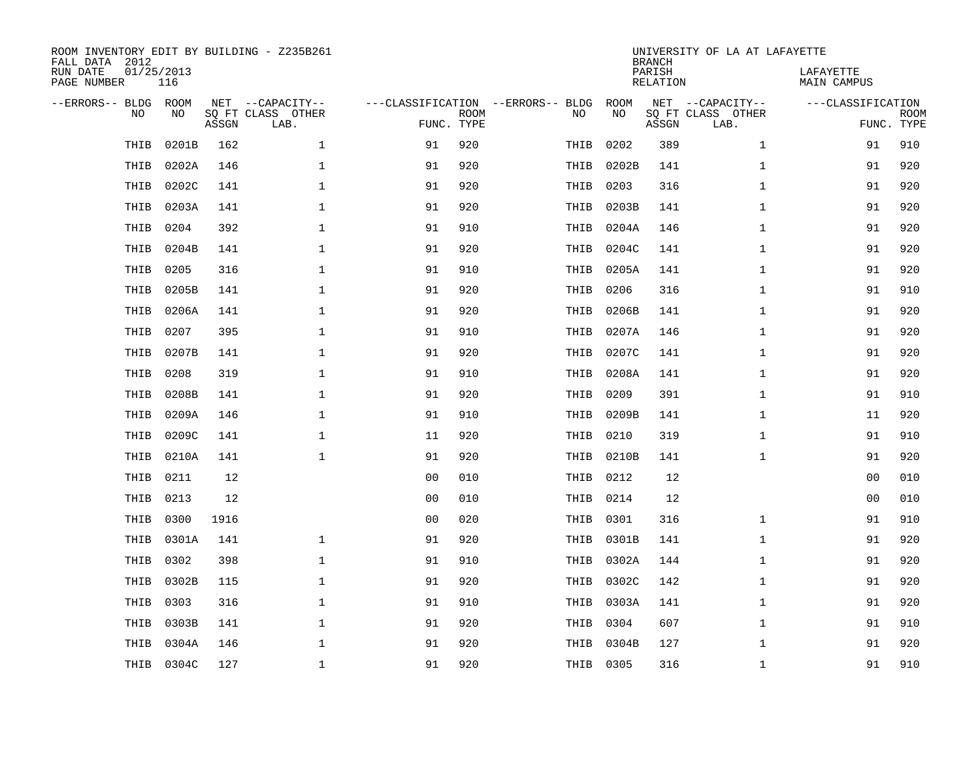| ROOM INVENTORY EDIT BY BUILDING - Z235B261<br>FALL DATA 2012<br>RUN DATE<br>PAGE NUMBER | 01/25/2013<br>116 |       |                                               |                                   |                           |           |            | <b>BRANCH</b><br>PARISH<br><b>RELATION</b> | UNIVERSITY OF LA AT LAFAYETTE                 | LAFAYETTE<br><b>MAIN CAMPUS</b> |             |
|-----------------------------------------------------------------------------------------|-------------------|-------|-----------------------------------------------|-----------------------------------|---------------------------|-----------|------------|--------------------------------------------|-----------------------------------------------|---------------------------------|-------------|
| --ERRORS-- BLDG ROOM<br>NO                                                              | NO                | ASSGN | NET --CAPACITY--<br>SQ FT CLASS OTHER<br>LAB. | ---CLASSIFICATION --ERRORS-- BLDG | <b>ROOM</b><br>FUNC. TYPE | NO        | ROOM<br>NO | ASSGN                                      | NET --CAPACITY--<br>SQ FT CLASS OTHER<br>LAB. | ---CLASSIFICATION<br>FUNC. TYPE | <b>ROOM</b> |
| THIB                                                                                    | 0201B             | 162   | $\mathbf{1}$                                  | 91                                | 920                       | THIB      | 0202       | 389                                        | $\mathbf{1}$                                  | 91                              | 910         |
| THIB                                                                                    | 0202A             | 146   | 1                                             | 91                                | 920                       | THIB      | 0202B      | 141                                        | $\mathbf{1}$                                  | 91                              | 920         |
| THIB                                                                                    | 0202C             | 141   | 1                                             | 91                                | 920                       | THIB      | 0203       | 316                                        | $\mathbf{1}$                                  | 91                              | 920         |
| THIB                                                                                    | 0203A             | 141   | $\mathbf 1$                                   | 91                                | 920                       | THIB      | 0203B      | 141                                        | $\mathbf{1}$                                  | 91                              | 920         |
| THIB                                                                                    | 0204              | 392   | $\mathbf{1}$                                  | 91                                | 910                       | THIB      | 0204A      | 146                                        | $\mathbf{1}$                                  | 91                              | 920         |
| THIB                                                                                    | 0204B             | 141   | $\mathbf 1$                                   | 91                                | 920                       | THIB      | 0204C      | 141                                        | $\mathbf{1}$                                  | 91                              | 920         |
| THIB                                                                                    | 0205              | 316   | $\mathbf{1}$                                  | 91                                | 910                       | THIB      | 0205A      | 141                                        | $\mathbf{1}$                                  | 91                              | 920         |
| THIB                                                                                    | 0205B             | 141   | $\mathbf{1}$                                  | 91                                | 920                       | THIB      | 0206       | 316                                        | $\mathbf{1}$                                  | 91                              | 910         |
| THIB                                                                                    | 0206A             | 141   | $\mathbf 1$                                   | 91                                | 920                       | THIB      | 0206B      | 141                                        | $\mathbf{1}$                                  | 91                              | 920         |
| THIB                                                                                    | 0207              | 395   | $\mathbf 1$                                   | 91                                | 910                       | THIB      | 0207A      | 146                                        | $\mathbf{1}$                                  | 91                              | 920         |
| THIB                                                                                    | 0207B             | 141   | $\mathbf 1$                                   | 91                                | 920                       | THIB      | 0207C      | 141                                        | $\mathbf{1}$                                  | 91                              | 920         |
| THIB                                                                                    | 0208              | 319   | $\mathbf 1$                                   | 91                                | 910                       | THIB      | 0208A      | 141                                        | $\mathbf{1}$                                  | 91                              | 920         |
| THIB                                                                                    | 0208B             | 141   | $\mathbf 1$                                   | 91                                | 920                       | THIB      | 0209       | 391                                        | $\mathbf{1}$                                  | 91                              | 910         |
| THIB                                                                                    | 0209A             | 146   | $\mathbf 1$                                   | 91                                | 910                       | THIB      | 0209B      | 141                                        | $\mathbf{1}$                                  | 11                              | 920         |
| THIB                                                                                    | 0209C             | 141   | $\mathbf 1$                                   | 11                                | 920                       | THIB      | 0210       | 319                                        | $\mathbf{1}$                                  | 91                              | 910         |
| THIB                                                                                    | 0210A             | 141   | $\mathbf{1}$                                  | 91                                | 920                       | THIB      | 0210B      | 141                                        | $\mathbf{1}$                                  | 91                              | 920         |
| THIB                                                                                    | 0211              | 12    |                                               | 0 <sub>0</sub>                    | 010                       | THIB      | 0212       | 12                                         |                                               | 0 <sub>0</sub>                  | 010         |
| THIB                                                                                    | 0213              | 12    |                                               | 0 <sub>0</sub>                    | 010                       | THIB      | 0214       | 12                                         |                                               | 00                              | 010         |
| THIB                                                                                    | 0300              | 1916  |                                               | 0 <sub>0</sub>                    | 020                       | THIB      | 0301       | 316                                        | $\mathbf{1}$                                  | 91                              | 910         |
| THIB                                                                                    | 0301A             | 141   | $\mathbf 1$                                   | 91                                | 920                       | THIB      | 0301B      | 141                                        | $\mathbf{1}$                                  | 91                              | 920         |
| THIB                                                                                    | 0302              | 398   | $\mathbf 1$                                   | 91                                | 910                       | THIB      | 0302A      | 144                                        | $\mathbf{1}$                                  | 91                              | 920         |
| THIB                                                                                    | 0302B             | 115   | $\mathbf 1$                                   | 91                                | 920                       | THIB      | 0302C      | 142                                        | $\mathbf{1}$                                  | 91                              | 920         |
| THIB                                                                                    | 0303              | 316   | $\mathbf 1$                                   | 91                                | 910                       | THIB      | 0303A      | 141                                        | $\mathbf{1}$                                  | 91                              | 920         |
| THIB                                                                                    | 0303B             | 141   | $\mathbf 1$                                   | 91                                | 920                       | THIB      | 0304       | 607                                        | $\mathbf{1}$                                  | 91                              | 910         |
| THIB                                                                                    | 0304A             | 146   | $\mathbf 1$                                   | 91                                | 920                       | THIB      | 0304B      | 127                                        | $\mathbf{1}$                                  | 91                              | 920         |
|                                                                                         | THIB 0304C        | 127   | $\mathbf{1}$                                  | 91                                | 920                       | THIB 0305 |            | 316                                        | $\mathbf{1}$                                  | 91                              | 910         |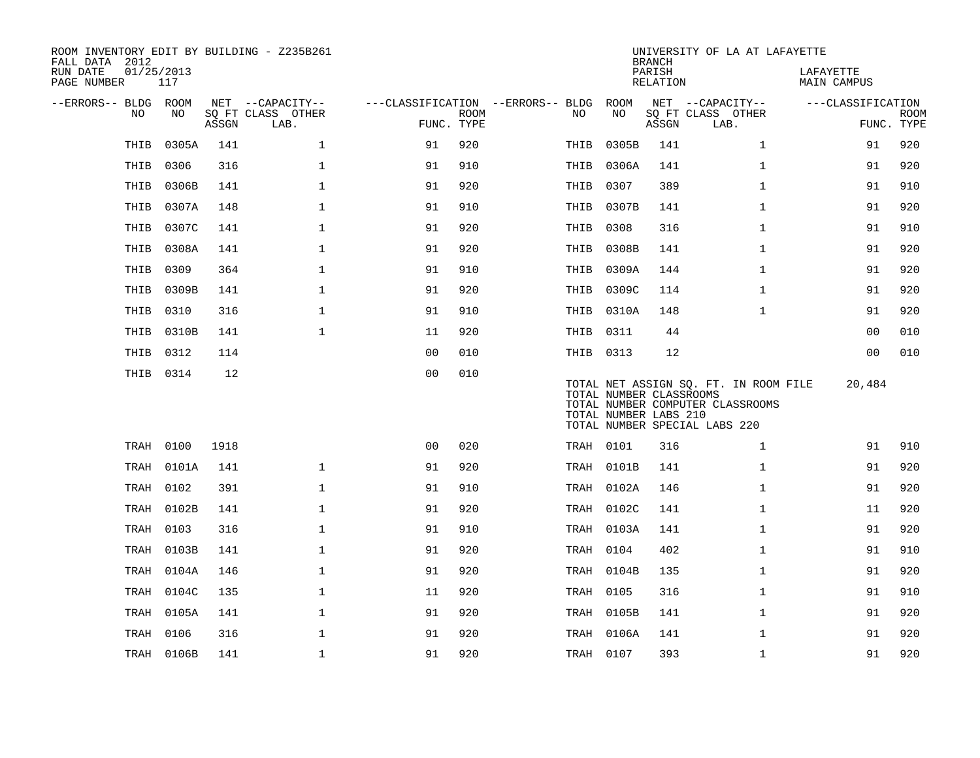| ROOM INVENTORY EDIT BY BUILDING - Z235B261<br>FALL DATA 2012 |                   |       |                           |                                        |                           |           |                                                  | <b>BRANCH</b>      | UNIVERSITY OF LA AT LAFAYETTE                                                                              |                          |                           |
|--------------------------------------------------------------|-------------------|-------|---------------------------|----------------------------------------|---------------------------|-----------|--------------------------------------------------|--------------------|------------------------------------------------------------------------------------------------------------|--------------------------|---------------------------|
| RUN DATE<br>PAGE NUMBER                                      | 01/25/2013<br>117 |       |                           |                                        |                           |           |                                                  | PARISH<br>RELATION |                                                                                                            | LAFAYETTE<br>MAIN CAMPUS |                           |
| --ERRORS-- BLDG ROOM                                         |                   |       | NET --CAPACITY--          | ---CLASSIFICATION --ERRORS-- BLDG ROOM |                           |           |                                                  |                    | NET --CAPACITY--                                                                                           | ---CLASSIFICATION        |                           |
| NO                                                           | NO                | ASSGN | SQ FT CLASS OTHER<br>LAB. |                                        | <b>ROOM</b><br>FUNC. TYPE | NO.       | NO                                               | ASSGN              | SQ FT CLASS OTHER<br>LAB.                                                                                  |                          | <b>ROOM</b><br>FUNC. TYPE |
| THIB                                                         | 0305A             | 141   | $\mathbf 1$               | 91                                     | 920                       | THIB      | 0305B                                            | 141                | $\mathbf{1}$                                                                                               | 91                       | 920                       |
| THIB                                                         | 0306              | 316   | $\mathbf{1}$              | 91                                     | 910                       | THIB      | 0306A                                            | 141                | $\mathbf{1}$                                                                                               | 91                       | 920                       |
| THIB                                                         | 0306B             | 141   | $\mathbf 1$               | 91                                     | 920                       | THIB      | 0307                                             | 389                | $\mathbf{1}$                                                                                               | 91                       | 910                       |
| THIB                                                         | 0307A             | 148   | $\mathbf{1}$              | 91                                     | 910                       | THIB      | 0307B                                            | 141                | $\mathbf{1}$                                                                                               | 91                       | 920                       |
| THIB                                                         | 0307C             | 141   | $\mathbf{1}$              | 91                                     | 920                       | THIB 0308 |                                                  | 316                | $\mathbf{1}$                                                                                               | 91                       | 910                       |
| THIB                                                         | 0308A             | 141   | $\mathbf{1}$              | 91                                     | 920                       | THIB      | 0308B                                            | 141                | $\mathbf{1}$                                                                                               | 91                       | 920                       |
| THIB                                                         | 0309              | 364   | $\mathbf 1$               | 91                                     | 910                       | THIB      | 0309A                                            | 144                | $\mathbf{1}$                                                                                               | 91                       | 920                       |
| THIB                                                         | 0309B             | 141   | $\mathbf{1}$              | 91                                     | 920                       | THIB      | 0309C                                            | 114                | $\mathbf{1}$                                                                                               | 91                       | 920                       |
| THIB                                                         | 0310              | 316   | $\mathbf 1$               | 91                                     | 910                       |           | THIB 0310A                                       | 148                | $\mathbf{1}$                                                                                               | 91                       | 920                       |
| THIB                                                         | 0310B             | 141   | $\mathbf{1}$              | 11                                     | 920                       | THIB 0311 |                                                  | 44                 |                                                                                                            | 00                       | 010                       |
| THIB                                                         | 0312              | 114   |                           | 0 <sub>0</sub>                         | 010                       | THIB 0313 |                                                  | 12                 |                                                                                                            | 00                       | 010                       |
|                                                              | THIB 0314         | 12    |                           | 0 <sub>0</sub>                         | 010                       |           | TOTAL NUMBER CLASSROOMS<br>TOTAL NUMBER LABS 210 |                    | TOTAL NET ASSIGN SQ. FT. IN ROOM FILE<br>TOTAL NUMBER COMPUTER CLASSROOMS<br>TOTAL NUMBER SPECIAL LABS 220 | 20,484                   |                           |
|                                                              | TRAH 0100         | 1918  |                           | 0 <sub>0</sub>                         | 020                       | TRAH 0101 |                                                  | 316                | $\mathbf{1}$                                                                                               | 91                       | 910                       |
| TRAH                                                         | 0101A             | 141   | $\mathbf{1}$              | 91                                     | 920                       |           | TRAH 0101B                                       | 141                | $\mathbf{1}$                                                                                               | 91                       | 920                       |
| TRAH                                                         | 0102              | 391   | $\mathbf{1}$              | 91                                     | 910                       |           | TRAH 0102A                                       | 146                | $\mathbf{1}$                                                                                               | 91                       | 920                       |
| TRAH                                                         | 0102B             | 141   | $\mathbf{1}$              | 91                                     | 920                       |           | TRAH 0102C                                       | 141                | $\mathbf{1}$                                                                                               | 11                       | 920                       |
|                                                              | TRAH 0103         | 316   | $\mathbf{1}$              | 91                                     | 910                       |           | TRAH 0103A                                       | 141                | $\mathbf{1}$                                                                                               | 91                       | 920                       |
| TRAH                                                         | 0103B             | 141   | $\mathbf 1$               | 91                                     | 920                       | TRAH 0104 |                                                  | 402                | $\mathbf{1}$                                                                                               | 91                       | 910                       |
| TRAH                                                         | 0104A             | 146   | $\mathbf 1$               | 91                                     | 920                       |           | TRAH 0104B                                       | 135                | $\mathbf{1}$                                                                                               | 91                       | 920                       |
| TRAH                                                         | 0104C             | 135   | $\mathbf 1$               | 11                                     | 920                       | TRAH 0105 |                                                  | 316                | $\mathbf{1}$                                                                                               | 91                       | 910                       |
| TRAH                                                         | 0105A             | 141   | $\mathbf 1$               | 91                                     | 920                       |           | TRAH 0105B                                       | 141                | $\mathbf{1}$                                                                                               | 91                       | 920                       |
| TRAH                                                         | 0106              | 316   | $\mathbf 1$               | 91                                     | 920                       |           | TRAH 0106A                                       | 141                | $\mathbf{1}$                                                                                               | 91                       | 920                       |
|                                                              | TRAH 0106B        | 141   | $\mathbf{1}$              | 91                                     | 920                       | TRAH 0107 |                                                  | 393                | $\mathbf{1}$                                                                                               | 91                       | 920                       |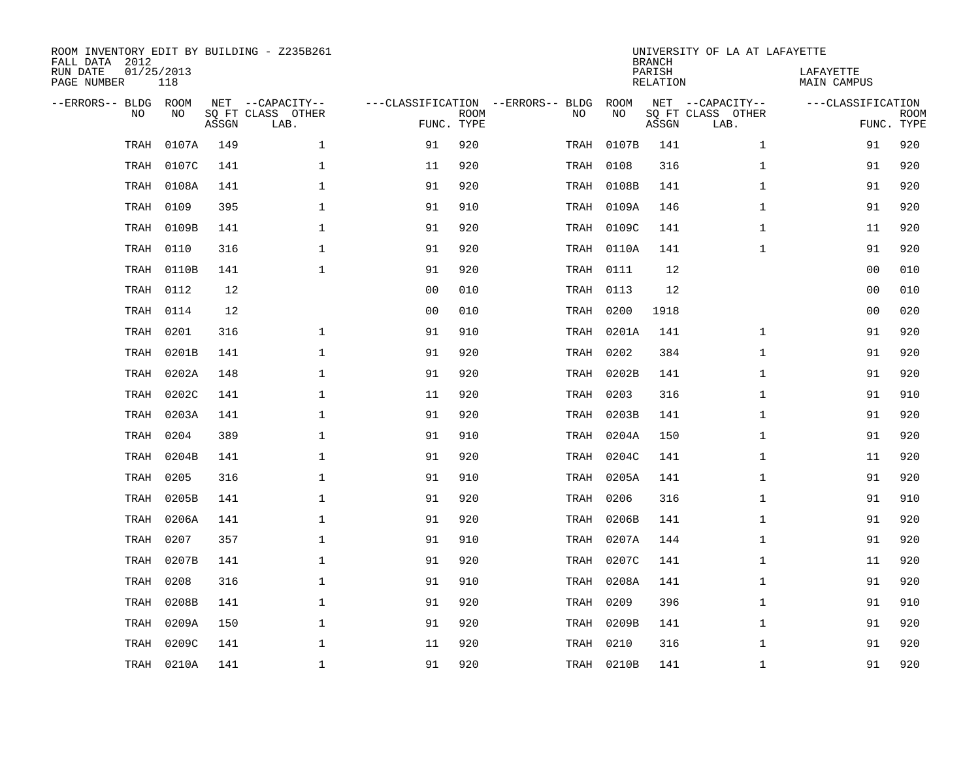| ROOM INVENTORY EDIT BY BUILDING - Z235B261<br>FALL DATA 2012<br>RUN DATE<br>PAGE NUMBER | 01/25/2013<br>118 |       |                                       |                                   |             |           |            | <b>BRANCH</b><br>PARISH | UNIVERSITY OF LA AT LAFAYETTE         | LAFAYETTE          |             |
|-----------------------------------------------------------------------------------------|-------------------|-------|---------------------------------------|-----------------------------------|-------------|-----------|------------|-------------------------|---------------------------------------|--------------------|-------------|
|                                                                                         |                   |       |                                       |                                   |             |           |            | <b>RELATION</b>         |                                       | <b>MAIN CAMPUS</b> |             |
| --ERRORS-- BLDG ROOM<br>NO                                                              | NO                |       | NET --CAPACITY--<br>SQ FT CLASS OTHER | ---CLASSIFICATION --ERRORS-- BLDG | <b>ROOM</b> | NO        | ROOM<br>NO |                         | NET --CAPACITY--<br>SQ FT CLASS OTHER | ---CLASSIFICATION  | <b>ROOM</b> |
|                                                                                         |                   | ASSGN | LAB.                                  |                                   | FUNC. TYPE  |           |            | ASSGN                   | LAB.                                  | FUNC. TYPE         |             |
| TRAH                                                                                    | 0107A             | 149   | $\mathbf{1}$                          | 91                                | 920         | TRAH      | 0107B      | 141                     | $\mathbf{1}$                          | 91                 | 920         |
| TRAH                                                                                    | 0107C             | 141   | $\mathbf 1$                           | 11                                | 920         | TRAH      | 0108       | 316                     | $\mathbf{1}$                          | 91                 | 920         |
| TRAH                                                                                    | 0108A             | 141   | $\mathbf 1$                           | 91                                | 920         | TRAH      | 0108B      | 141                     | $\mathbf{1}$                          | 91                 | 920         |
| TRAH                                                                                    | 0109              | 395   | $\mathbf 1$                           | 91                                | 910         |           | TRAH 0109A | 146                     | $\mathbf{1}$                          | 91                 | 920         |
| TRAH                                                                                    | 0109B             | 141   | $\mathbf 1$                           | 91                                | 920         |           | TRAH 0109C | 141                     | $\mathbf{1}$                          | 11                 | 920         |
| TRAH                                                                                    | 0110              | 316   | $\mathbf 1$                           | 91                                | 920         |           | TRAH 0110A | 141                     | $\mathbf{1}$                          | 91                 | 920         |
| TRAH                                                                                    | 0110B             | 141   | $\mathbf{1}$                          | 91                                | 920         | TRAH 0111 |            | 12                      |                                       | 00                 | 010         |
| TRAH                                                                                    | 0112              | 12    |                                       | 0 <sub>0</sub>                    | 010         | TRAH 0113 |            | 12                      |                                       | 0 <sub>0</sub>     | 010         |
| TRAH                                                                                    | 0114              | 12    |                                       | 0 <sub>0</sub>                    | 010         | TRAH      | 0200       | 1918                    |                                       | 0 <sub>0</sub>     | 020         |
| TRAH                                                                                    | 0201              | 316   | 1                                     | 91                                | 910         |           | TRAH 0201A | 141                     | $\mathbf{1}$                          | 91                 | 920         |
| TRAH                                                                                    | 0201B             | 141   | $\mathbf{1}$                          | 91                                | 920         | TRAH      | 0202       | 384                     | $\mathbf{1}$                          | 91                 | 920         |
| TRAH                                                                                    | 0202A             | 148   | $\mathbf 1$                           | 91                                | 920         |           | TRAH 0202B | 141                     | $\mathbf{1}$                          | 91                 | 920         |
| TRAH                                                                                    | 0202C             | 141   | $\mathbf{1}$                          | 11                                | 920         | TRAH      | 0203       | 316                     | $\mathbf{1}$                          | 91                 | 910         |
| TRAH                                                                                    | 0203A             | 141   | $\mathbf{1}$                          | 91                                | 920         | TRAH      | 0203B      | 141                     | $\mathbf{1}$                          | 91                 | 920         |
| TRAH                                                                                    | 0204              | 389   | 1                                     | 91                                | 910         | TRAH      | 0204A      | 150                     | $\mathbf{1}$                          | 91                 | 920         |
| TRAH                                                                                    | 0204B             | 141   | 1                                     | 91                                | 920         |           | TRAH 0204C | 141                     | $\mathbf{1}$                          | 11                 | 920         |
| TRAH                                                                                    | 0205              | 316   | $\mathbf 1$                           | 91                                | 910         | TRAH      | 0205A      | 141                     | $\mathbf{1}$                          | 91                 | 920         |
| TRAH                                                                                    | 0205B             | 141   | 1                                     | 91                                | 920         | TRAH      | 0206       | 316                     | $\mathbf{1}$                          | 91                 | 910         |
| TRAH                                                                                    | 0206A             | 141   | $\mathbf 1$                           | 91                                | 920         | TRAH      | 0206B      | 141                     | $\mathbf{1}$                          | 91                 | 920         |
| TRAH                                                                                    | 0207              | 357   | $\mathbf 1$                           | 91                                | 910         | TRAH      | 0207A      | 144                     | $\mathbf{1}$                          | 91                 | 920         |
| TRAH                                                                                    | 0207B             | 141   | $\mathbf{1}$                          | 91                                | 920         | TRAH      | 0207C      | 141                     | $\mathbf{1}$                          | 11                 | 920         |
| TRAH                                                                                    | 0208              | 316   | $\mathbf{1}$                          | 91                                | 910         | TRAH      | 0208A      | 141                     | $\mathbf{1}$                          | 91                 | 920         |
| TRAH                                                                                    | 0208B             | 141   | $\mathbf{1}$                          | 91                                | 920         | TRAH      | 0209       | 396                     | $\mathbf{1}$                          | 91                 | 910         |
| TRAH                                                                                    | 0209A             | 150   | $\mathbf 1$                           | 91                                | 920         | TRAH      | 0209B      | 141                     | $\mathbf{1}$                          | 91                 | 920         |
| TRAH                                                                                    | 0209C             | 141   | $\mathbf 1$                           | 11                                | 920         | TRAH      | 0210       | 316                     | $\mathbf{1}$                          | 91                 | 920         |
|                                                                                         | TRAH 0210A        | 141   | 1                                     | 91                                | 920         |           | TRAH 0210B | 141                     | $\mathbf{1}$                          | 91                 | 920         |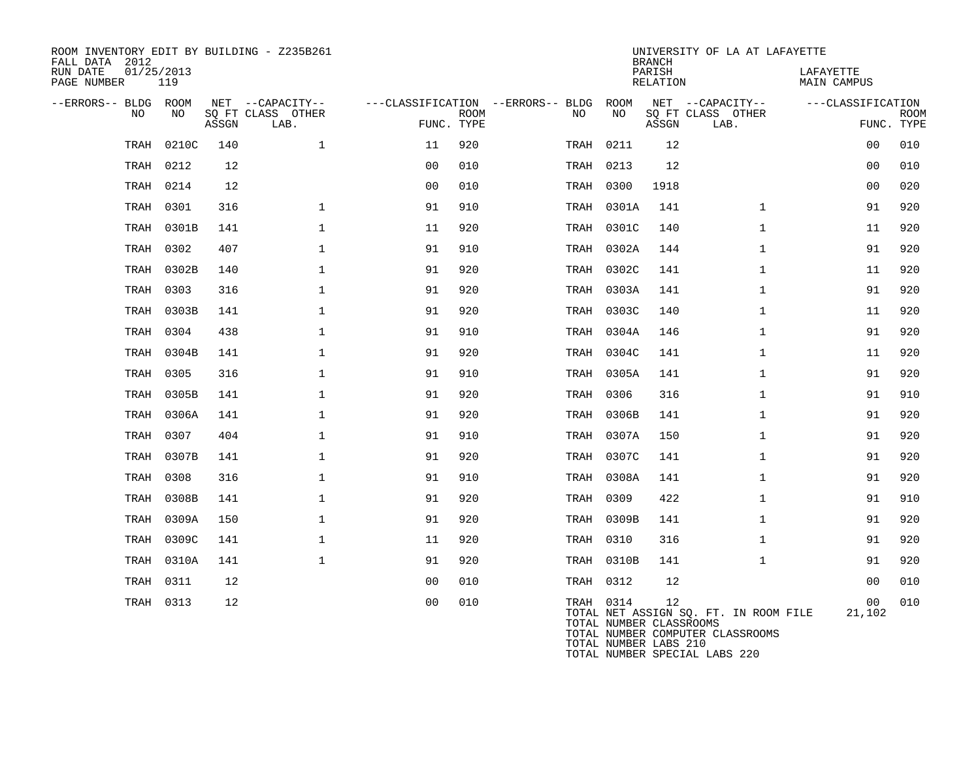| ROOM INVENTORY EDIT BY BUILDING - Z235B261<br>FALL DATA 2012<br>RUN DATE<br>PAGE NUMBER | 01/25/2013<br>119 |       |                                               |                                                 |             |     |      |                                                               | <b>BRANCH</b><br>PARISH<br>RELATION | UNIVERSITY OF LA AT LAFAYETTE                                             | LAFAYETTE<br>MAIN CAMPUS |                    |
|-----------------------------------------------------------------------------------------|-------------------|-------|-----------------------------------------------|-------------------------------------------------|-------------|-----|------|---------------------------------------------------------------|-------------------------------------|---------------------------------------------------------------------------|--------------------------|--------------------|
| --ERRORS-- BLDG ROOM<br>NO.                                                             | NO                | ASSGN | NET --CAPACITY--<br>SQ FT CLASS OTHER<br>LAB. | ---CLASSIFICATION --ERRORS-- BLDG<br>FUNC. TYPE | <b>ROOM</b> | NO. |      | ROOM<br>NO                                                    | ASSGN                               | NET --CAPACITY--<br>SQ FT CLASS OTHER<br>LAB.                             | ---CLASSIFICATION        | ROOM<br>FUNC. TYPE |
| TRAH                                                                                    | 0210C             | 140   | $\mathbf 1$                                   | 11                                              | 920         |     | TRAH | 0211                                                          | 12                                  |                                                                           | 00                       | 010                |
| TRAH                                                                                    | 0212              | 12    |                                               | 0 <sub>0</sub>                                  | 010         |     | TRAH | 0213                                                          | 12                                  |                                                                           | 0 <sub>0</sub>           | 010                |
| TRAH                                                                                    | 0214              | 12    |                                               | 0 <sub>0</sub>                                  | 010         |     |      | TRAH 0300                                                     | 1918                                |                                                                           | 0 <sub>0</sub>           | 020                |
| TRAH                                                                                    | 0301              | 316   | $\mathbf{1}$                                  | 91                                              | 910         |     |      | TRAH 0301A                                                    | 141                                 | $\mathbf{1}$                                                              | 91                       | 920                |
| TRAH                                                                                    | 0301B             | 141   | $\mathbf{1}$                                  | 11                                              | 920         |     |      | TRAH 0301C                                                    | 140                                 | $\mathbf{1}$                                                              | 11                       | 920                |
| TRAH                                                                                    | 0302              | 407   | $\mathbf 1$                                   | 91                                              | 910         |     |      | TRAH 0302A                                                    | 144                                 | $\mathbf{1}$                                                              | 91                       | 920                |
| TRAH                                                                                    | 0302B             | 140   | $\mathbf{1}$                                  | 91                                              | 920         |     |      | TRAH 0302C                                                    | 141                                 | $\mathbf{1}$                                                              | 11                       | 920                |
| TRAH                                                                                    | 0303              | 316   | $\mathbf 1$                                   | 91                                              | 920         |     |      | TRAH 0303A                                                    | 141                                 | $\mathbf{1}$                                                              | 91                       | 920                |
| TRAH                                                                                    | 0303B             | 141   | $\mathbf 1$                                   | 91                                              | 920         |     |      | TRAH 0303C                                                    | 140                                 | $\mathbf{1}$                                                              | 11                       | 920                |
| TRAH                                                                                    | 0304              | 438   | $\mathbf 1$                                   | 91                                              | 910         |     |      | TRAH 0304A                                                    | 146                                 | $\mathbf{1}$                                                              | 91                       | 920                |
| TRAH                                                                                    | 0304B             | 141   | $\mathbf{1}$                                  | 91                                              | 920         |     |      | TRAH 0304C                                                    | 141                                 | $\mathbf{1}$                                                              | 11                       | 920                |
| TRAH                                                                                    | 0305              | 316   | $\mathbf 1$                                   | 91                                              | 910         |     |      | TRAH 0305A                                                    | 141                                 | $\mathbf{1}$                                                              | 91                       | 920                |
| TRAH                                                                                    | 0305B             | 141   | $\mathbf 1$                                   | 91                                              | 920         |     |      | TRAH 0306                                                     | 316                                 | $\mathbf{1}$                                                              | 91                       | 910                |
| TRAH                                                                                    | 0306A             | 141   | $\mathbf{1}$                                  | 91                                              | 920         |     |      | TRAH 0306B                                                    | 141                                 | $\mathbf{1}$                                                              | 91                       | 920                |
| TRAH                                                                                    | 0307              | 404   | $\mathbf{1}$                                  | 91                                              | 910         |     |      | TRAH 0307A                                                    | 150                                 | $\mathbf{1}$                                                              | 91                       | 920                |
|                                                                                         | TRAH 0307B        | 141   | $\mathbf 1$                                   | 91                                              | 920         |     |      | TRAH 0307C                                                    | 141                                 | $\mathbf{1}$                                                              | 91                       | 920                |
| TRAH                                                                                    | 0308              | 316   | $\mathbf{1}$                                  | 91                                              | 910         |     |      | TRAH 0308A                                                    | 141                                 | $\mathbf{1}$                                                              | 91                       | 920                |
| TRAH                                                                                    | 0308B             | 141   | $\mathbf 1$                                   | 91                                              | 920         |     |      | TRAH 0309                                                     | 422                                 | $\mathbf{1}$                                                              | 91                       | 910                |
| TRAH                                                                                    | 0309A             | 150   | 1                                             | 91                                              | 920         |     |      | TRAH 0309B                                                    | 141                                 | $\mathbf{1}$                                                              | 91                       | 920                |
| TRAH                                                                                    | 0309C             | 141   | $\mathbf 1$                                   | 11                                              | 920         |     |      | TRAH 0310                                                     | 316                                 | $\mathbf{1}$                                                              | 91                       | 920                |
| TRAH                                                                                    | 0310A             | 141   | $\mathbf{1}$                                  | 91                                              | 920         |     |      | TRAH 0310B                                                    | 141                                 | $\mathbf{1}$                                                              | 91                       | 920                |
| TRAH                                                                                    | 0311              | 12    |                                               | 0 <sub>0</sub>                                  | 010         |     |      | TRAH 0312                                                     | 12                                  |                                                                           | 00                       | 010                |
|                                                                                         | TRAH 0313         | 12    |                                               | 0 <sub>0</sub>                                  | 010         |     |      | TRAH 0314<br>TOTAL NUMBER CLASSROOMS<br>TOTAL NUMBER LABS 210 | 12                                  | TOTAL NET ASSIGN SQ. FT. IN ROOM FILE<br>TOTAL NUMBER COMPUTER CLASSROOMS | 00<br>21,102             | 010                |

TOTAL NUMBER SPECIAL LABS 220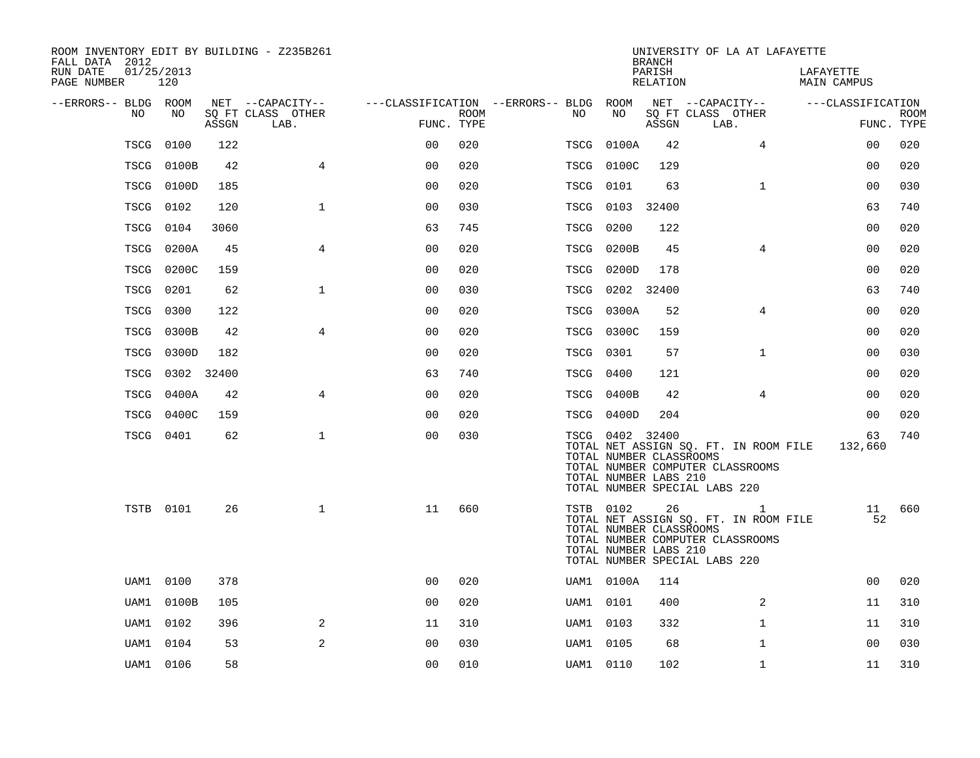| ROOM INVENTORY EDIT BY BUILDING - Z235B261<br>FALL DATA 2012 |            |       |                           |                                        |      |      |                                                                      | <b>BRANCH</b>      | UNIVERSITY OF LA AT LAFAYETTE                                                                                   |                          |             |
|--------------------------------------------------------------|------------|-------|---------------------------|----------------------------------------|------|------|----------------------------------------------------------------------|--------------------|-----------------------------------------------------------------------------------------------------------------|--------------------------|-------------|
| RUN DATE<br>01/25/2013<br>PAGE NUMBER                        | 120        |       |                           |                                        |      |      |                                                                      | PARISH<br>RELATION |                                                                                                                 | LAFAYETTE<br>MAIN CAMPUS |             |
| --ERRORS-- BLDG ROOM                                         |            |       | NET --CAPACITY--          | ---CLASSIFICATION --ERRORS-- BLDG ROOM |      |      |                                                                      |                    | NET --CAPACITY--                                                                                                | ---CLASSIFICATION        |             |
| NO                                                           | NO.        | ASSGN | SQ FT CLASS OTHER<br>LAB. | FUNC. TYPE                             | ROOM | NO   | NO                                                                   | ASSGN              | SQ FT CLASS OTHER<br>LAB.                                                                                       | FUNC. TYPE               | <b>ROOM</b> |
| TSCG                                                         | 0100       | 122   |                           | 0 <sup>0</sup>                         | 020  | TSCG | 0100A                                                                | 42                 | $\overline{4}$                                                                                                  | 0 <sub>0</sub>           | 020         |
|                                                              | TSCG 0100B | 42    | $\overline{4}$            | 0 <sub>0</sub>                         | 020  | TSCG | 0100C                                                                | 129                |                                                                                                                 | 0 <sub>0</sub>           | 020         |
|                                                              | TSCG 0100D | 185   |                           | 0 <sub>0</sub>                         | 020  | TSCG | 0101                                                                 | 63                 | $\mathbf{1}$                                                                                                    | 00                       | 030         |
|                                                              | TSCG 0102  | 120   | $\mathbf 1$               | 00                                     | 030  | TSCG | 0103 32400                                                           |                    |                                                                                                                 | 63                       | 740         |
| TSCG                                                         | 0104       | 3060  |                           | 63                                     | 745  | TSCG | 0200                                                                 | 122                |                                                                                                                 | 0 <sub>0</sub>           | 020         |
| TSCG                                                         | 0200A      | 45    | $\overline{4}$            | 0 <sub>0</sub>                         | 020  | TSCG | 0200B                                                                | 45                 | $\overline{4}$                                                                                                  | 00                       | 020         |
|                                                              | TSCG 0200C | 159   |                           | 0 <sub>0</sub>                         | 020  | TSCG | 0200D                                                                | 178                |                                                                                                                 | 0 <sub>0</sub>           | 020         |
| TSCG                                                         | 0201       | 62    | $\mathbf 1$               | 0 <sub>0</sub>                         | 030  | TSCG |                                                                      | 0202 32400         |                                                                                                                 | 63                       | 740         |
| TSCG                                                         | 0300       | 122   |                           | 0 <sub>0</sub>                         | 020  | TSCG | 0300A                                                                | 52                 | 4                                                                                                               | 0 <sub>0</sub>           | 020         |
| TSCG                                                         | 0300B      | 42    | $\overline{4}$            | 0 <sub>0</sub>                         | 020  |      | TSCG 0300C                                                           | 159                |                                                                                                                 | 0 <sub>0</sub>           | 020         |
|                                                              | TSCG 0300D | 182   |                           | 0 <sub>0</sub>                         | 020  | TSCG | 0301                                                                 | 57                 | $\mathbf{1}$                                                                                                    | 0 <sub>0</sub>           | 030         |
| TSCG                                                         | 0302 32400 |       |                           | 63                                     | 740  | TSCG | 0400                                                                 | 121                |                                                                                                                 | 00                       | 020         |
| TSCG                                                         | 0400A      | 42    | $\overline{4}$            | 0 <sub>0</sub>                         | 020  | TSCG | 0400B                                                                | 42                 | 4                                                                                                               | 00                       | 020         |
| TSCG                                                         | 0400C      | 159   |                           | 0 <sub>0</sub>                         | 020  | TSCG | 0400D                                                                | 204                |                                                                                                                 | 0 <sub>0</sub>           | 020         |
|                                                              | TSCG 0401  | 62    | $\mathbf{1}$              | 0 <sub>0</sub>                         | 030  |      | TSCG 0402 32400<br>TOTAL NUMBER CLASSROOMS<br>TOTAL NUMBER LABS 210  |                    | TOTAL NET ASSIGN SQ. FT. IN ROOM FILE<br>TOTAL NUMBER COMPUTER CLASSROOMS<br>TOTAL NUMBER SPECIAL LABS 220      | 63<br>132,660            | 740         |
|                                                              | TSTB 0101  | 26    | $\mathbf{1}$              | 11                                     | 660  |      | <b>TSTB</b> 0102<br>TOTAL NUMBER CLASSROOMS<br>TOTAL NUMBER LABS 210 | 26                 | 1<br>TOTAL NET ASSIGN SQ. FT. IN ROOM FILE<br>TOTAL NUMBER COMPUTER CLASSROOMS<br>TOTAL NUMBER SPECIAL LABS 220 | 52                       | 11 660      |
| UAM1                                                         | 0100       | 378   |                           | 0 <sub>0</sub>                         | 020  |      | UAM1 0100A                                                           | 114                |                                                                                                                 | 00                       | 020         |
| UAM1                                                         | 0100B      | 105   |                           | 0 <sub>0</sub>                         | 020  |      | UAM1 0101                                                            | 400                | 2                                                                                                               | 11                       | 310         |
| UAM1                                                         | 0102       | 396   | 2                         | 11                                     | 310  |      | UAM1 0103                                                            | 332                | $\mathbf{1}$                                                                                                    | 11                       | 310         |
| UAM1                                                         | 0104       | 53    | 2                         | 0 <sub>0</sub>                         | 030  |      | UAM1 0105                                                            | 68                 | $\mathbf{1}$                                                                                                    | 0 <sub>0</sub>           | 030         |
|                                                              | UAM1 0106  | 58    |                           | 0 <sub>0</sub>                         | 010  |      | UAM1 0110                                                            | 102                | $\mathbf{1}$                                                                                                    | 11                       | 310         |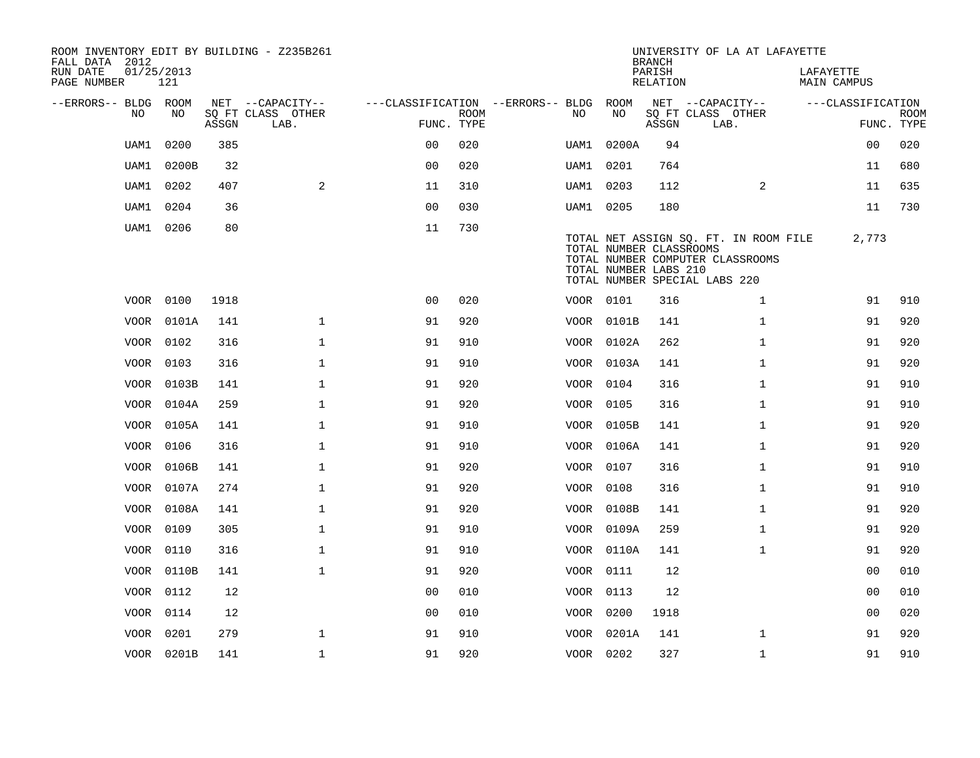| ROOM INVENTORY EDIT BY BUILDING - Z235B261<br>FALL DATA 2012 |                   |                                 |                           |                                        |             |           |                                                  | <b>BRANCH</b>             | UNIVERSITY OF LA AT LAFAYETTE                                                                              |                                 |                           |
|--------------------------------------------------------------|-------------------|---------------------------------|---------------------------|----------------------------------------|-------------|-----------|--------------------------------------------------|---------------------------|------------------------------------------------------------------------------------------------------------|---------------------------------|---------------------------|
| RUN DATE<br>PAGE NUMBER                                      | 01/25/2013<br>121 |                                 |                           |                                        |             |           |                                                  | PARISH<br><b>RELATION</b> |                                                                                                            | LAFAYETTE<br><b>MAIN CAMPUS</b> |                           |
| --ERRORS-- BLDG ROOM                                         | NO                |                                 | NET --CAPACITY--          | ---CLASSIFICATION --ERRORS-- BLDG ROOM | <b>ROOM</b> |           | NO                                               |                           | NET --CAPACITY--                                                                                           | ---CLASSIFICATION               |                           |
| NO                                                           |                   | $\operatorname{\mathsf{ASSGN}}$ | SQ FT CLASS OTHER<br>LAB. | FUNC. TYPE                             |             | NO.       |                                                  | ASSGN                     | SQ FT CLASS OTHER<br>LAB.                                                                                  |                                 | <b>ROOM</b><br>FUNC. TYPE |
| UAM1                                                         | 0200              | 385                             |                           | 0 <sup>0</sup>                         | 020         | UAM1      | 0200A                                            | 94                        |                                                                                                            | 0 <sub>0</sub>                  | 020                       |
| UAM1                                                         | 0200B             | 32                              |                           | 00                                     | 020         | UAM1 0201 |                                                  | 764                       |                                                                                                            | 11                              | 680                       |
| UAM1                                                         | 0202              | 407                             | 2                         | 11                                     | 310         | UAM1      | 0203                                             | 112                       | 2                                                                                                          | 11                              | 635                       |
| UAM1                                                         | 0204              | 36                              |                           | 00                                     | 030         | UAM1 0205 |                                                  | 180                       |                                                                                                            | 11                              | 730                       |
| UAM1                                                         | 0206              | 80                              |                           | 11                                     | 730         |           | TOTAL NUMBER CLASSROOMS<br>TOTAL NUMBER LABS 210 |                           | TOTAL NET ASSIGN SO. FT. IN ROOM FILE<br>TOTAL NUMBER COMPUTER CLASSROOMS<br>TOTAL NUMBER SPECIAL LABS 220 | 2,773                           |                           |
|                                                              | VOOR 0100         | 1918                            |                           | 0 <sub>0</sub>                         | 020         | VOOR 0101 |                                                  | 316                       | $\mathbf{1}$                                                                                               | 91                              | 910                       |
|                                                              | VOOR 0101A        | 141                             | $\mathbf{1}$              | 91                                     | 920         |           | VOOR 0101B                                       | 141                       | $\mathbf{1}$                                                                                               | 91                              | 920                       |
|                                                              | VOOR 0102         | 316                             | $\mathbf 1$               | 91                                     | 910         |           | VOOR 0102A                                       | 262                       | $\mathbf{1}$                                                                                               | 91                              | 920                       |
|                                                              | VOOR 0103         | 316                             | $\mathbf{1}$              | 91                                     | 910         |           | VOOR 0103A                                       | 141                       | $\mathbf{1}$                                                                                               | 91                              | 920                       |
|                                                              | VOOR 0103B        | 141                             | $\mathbf{1}$              | 91                                     | 920         | VOOR 0104 |                                                  | 316                       | $\mathbf{1}$                                                                                               | 91                              | 910                       |
|                                                              | VOOR 0104A        | 259                             | $\mathbf{1}$              | 91                                     | 920         | VOOR 0105 |                                                  | 316                       | $\mathbf{1}$                                                                                               | 91                              | 910                       |
|                                                              | VOOR 0105A        | 141                             | $\mathbf 1$               | 91                                     | 910         |           | VOOR 0105B                                       | 141                       | $\mathbf{1}$                                                                                               | 91                              | 920                       |
|                                                              | VOOR 0106         | 316                             | $\mathbf 1$               | 91                                     | 910         |           | VOOR 0106A                                       | 141                       | $\mathbf{1}$                                                                                               | 91                              | 920                       |
| VOOR                                                         | 0106B             | 141                             | $\mathbf{1}$              | 91                                     | 920         | VOOR 0107 |                                                  | 316                       | $\mathbf{1}$                                                                                               | 91                              | 910                       |
|                                                              | VOOR 0107A        | 274                             | $\mathbf 1$               | 91                                     | 920         | VOOR 0108 |                                                  | 316                       | $\mathbf{1}$                                                                                               | 91                              | 910                       |
|                                                              | VOOR 0108A        | 141                             | $\mathbf 1$               | 91                                     | 920         |           | VOOR 0108B                                       | 141                       | $\mathbf{1}$                                                                                               | 91                              | 920                       |
|                                                              | VOOR 0109         | 305                             | $\mathbf 1$               | 91                                     | 910         |           | VOOR 0109A                                       | 259                       | $\mathbf{1}$                                                                                               | 91                              | 920                       |
|                                                              | VOOR 0110         | 316                             | $\mathbf{1}$              | 91                                     | 910         |           | VOOR 0110A                                       | 141                       | $\mathbf{1}$                                                                                               | 91                              | 920                       |
|                                                              | VOOR 0110B        | 141                             | $\mathbf{1}$              | 91                                     | 920         | VOOR 0111 |                                                  | 12                        |                                                                                                            | 0 <sub>0</sub>                  | 010                       |
|                                                              | VOOR 0112         | 12                              |                           | 0 <sub>0</sub>                         | 010         | VOOR 0113 |                                                  | 12                        |                                                                                                            | 00                              | 010                       |
|                                                              | VOOR 0114         | 12                              |                           | 0 <sub>0</sub>                         | 010         | VOOR 0200 |                                                  | 1918                      |                                                                                                            | 00                              | 020                       |
| VOOR                                                         | 0201              | 279                             | $\mathbf 1$               | 91                                     | 910         |           | VOOR 0201A                                       | 141                       | $\mathbf{1}$                                                                                               | 91                              | 920                       |
|                                                              | VOOR 0201B        | 141                             | $\mathbf{1}$              | 91                                     | 920         | VOOR 0202 |                                                  | 327                       | $\mathbf{1}$                                                                                               | 91                              | 910                       |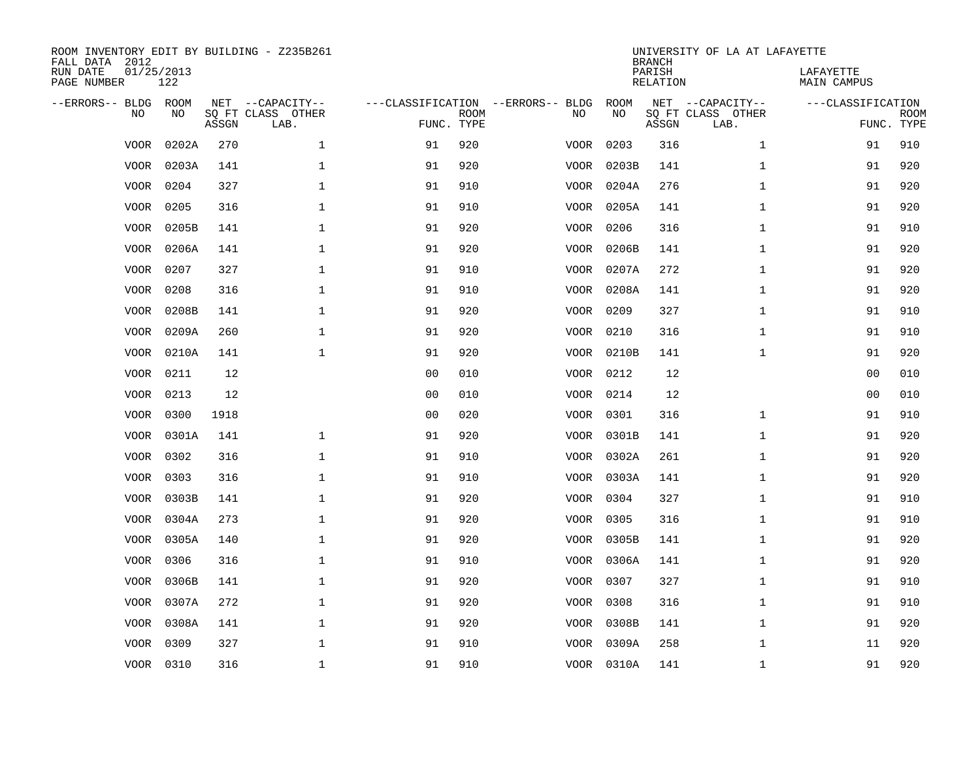| ROOM INVENTORY EDIT BY BUILDING - Z235B261<br>FALL DATA 2012 |                   |       |                           |                                   |             |      |            | <b>BRANCH</b>             | UNIVERSITY OF LA AT LAFAYETTE |                                 |             |
|--------------------------------------------------------------|-------------------|-------|---------------------------|-----------------------------------|-------------|------|------------|---------------------------|-------------------------------|---------------------------------|-------------|
| RUN DATE<br>PAGE NUMBER                                      | 01/25/2013<br>122 |       |                           |                                   |             |      |            | PARISH<br><b>RELATION</b> |                               | LAFAYETTE<br><b>MAIN CAMPUS</b> |             |
| --ERRORS-- BLDG ROOM                                         |                   |       | NET --CAPACITY--          | ---CLASSIFICATION --ERRORS-- BLDG |             |      | ROOM       |                           | NET --CAPACITY--              | ---CLASSIFICATION               |             |
| NO                                                           | NO                | ASSGN | SQ FT CLASS OTHER<br>LAB. | FUNC. TYPE                        | <b>ROOM</b> | NO   | NO         | ASSGN                     | SQ FT CLASS OTHER<br>LAB.     | FUNC. TYPE                      | <b>ROOM</b> |
| <b>VOOR</b>                                                  | 0202A             | 270   | $\mathbf{1}$              | 91                                | 920         | VOOR | 0203       | 316                       | $\mathbf{1}$                  | 91                              | 910         |
| <b>VOOR</b>                                                  | 0203A             | 141   | 1                         | 91                                | 920         | VOOR | 0203B      | 141                       | $\mathbf{1}$                  | 91                              | 920         |
| VOOR                                                         | 0204              | 327   | 1                         | 91                                | 910         | VOOR | 0204A      | 276                       | $\mathbf{1}$                  | 91                              | 920         |
| <b>VOOR</b>                                                  | 0205              | 316   | $\mathbf 1$               | 91                                | 910         | VOOR | 0205A      | 141                       | $\mathbf{1}$                  | 91                              | 920         |
| <b>VOOR</b>                                                  | 0205B             | 141   | $\mathbf{1}$              | 91                                | 920         | VOOR | 0206       | 316                       | $\mathbf{1}$                  | 91                              | 910         |
| <b>VOOR</b>                                                  | 0206A             | 141   | $\mathbf 1$               | 91                                | 920         | VOOR | 0206B      | 141                       | $\mathbf{1}$                  | 91                              | 920         |
| <b>VOOR</b>                                                  | 0207              | 327   | $\mathbf{1}$              | 91                                | 910         |      | VOOR 0207A | 272                       | $\mathbf{1}$                  | 91                              | 920         |
| <b>VOOR</b>                                                  | 0208              | 316   | $\mathbf{1}$              | 91                                | 910         |      | VOOR 0208A | 141                       | $\mathbf{1}$                  | 91                              | 920         |
| <b>VOOR</b>                                                  | 0208B             | 141   | $\mathbf{1}$              | 91                                | 920         | VOOR | 0209       | 327                       | $\mathbf{1}$                  | 91                              | 910         |
| <b>VOOR</b>                                                  | 0209A             | 260   | 1                         | 91                                | 920         | VOOR | 0210       | 316                       | $\mathbf{1}$                  | 91                              | 910         |
| <b>VOOR</b>                                                  | 0210A             | 141   | $\mathbf{1}$              | 91                                | 920         | VOOR | 0210B      | 141                       | $\mathbf{1}$                  | 91                              | 920         |
| VOOR                                                         | 0211              | 12    |                           | 0 <sub>0</sub>                    | 010         |      | VOOR 0212  | 12                        |                               | 00                              | 010         |
| <b>VOOR</b>                                                  | 0213              | 12    |                           | 0 <sub>0</sub>                    | 010         | VOOR | 0214       | 12                        |                               | 0 <sub>0</sub>                  | 010         |
| <b>VOOR</b>                                                  | 0300              | 1918  |                           | 0 <sub>0</sub>                    | 020         | VOOR | 0301       | 316                       | $\mathbf{1}$                  | 91                              | 910         |
| VOOR                                                         | 0301A             | 141   | $\mathbf{1}$              | 91                                | 920         | VOOR | 0301B      | 141                       | $\mathbf{1}$                  | 91                              | 920         |
| VOOR                                                         | 0302              | 316   | $\mathbf 1$               | 91                                | 910         |      | VOOR 0302A | 261                       | $\mathbf{1}$                  | 91                              | 920         |
| <b>VOOR</b>                                                  | 0303              | 316   | $\mathbf 1$               | 91                                | 910         | VOOR | 0303A      | 141                       | $\mathbf{1}$                  | 91                              | 920         |
| VOOR                                                         | 0303B             | 141   | $\mathbf 1$               | 91                                | 920         | VOOR | 0304       | 327                       | $\mathbf{1}$                  | 91                              | 910         |
| VOOR                                                         | 0304A             | 273   | $\mathbf 1$               | 91                                | 920         |      | VOOR 0305  | 316                       | $\mathbf{1}$                  | 91                              | 910         |
| VOOR                                                         | 0305A             | 140   | $\mathbf 1$               | 91                                | 920         |      | VOOR 0305B | 141                       | $\mathbf{1}$                  | 91                              | 920         |
| VOOR                                                         | 0306              | 316   | $\mathbf{1}$              | 91                                | 910         |      | VOOR 0306A | 141                       | $\mathbf{1}$                  | 91                              | 920         |
| VOOR                                                         | 0306B             | 141   | $\mathbf{1}$              | 91                                | 920         |      | VOOR 0307  | 327                       | $\mathbf{1}$                  | 91                              | 910         |
| VOOR                                                         | 0307A             | 272   | $\mathbf{1}$              | 91                                | 920         |      | VOOR 0308  | 316                       | $\mathbf{1}$                  | 91                              | 910         |
| VOOR                                                         | 0308A             | 141   | $\mathbf 1$               | 91                                | 920         |      | VOOR 0308B | 141                       | $\mathbf{1}$                  | 91                              | 920         |
| <b>VOOR</b>                                                  | 0309              | 327   | $\mathbf{1}$              | 91                                | 910         |      | VOOR 0309A | 258                       | $\mathbf{1}$                  | 11                              | 920         |
|                                                              | VOOR 0310         | 316   | $\mathbf 1$               | 91                                | 910         |      | VOOR 0310A | 141                       | $\mathbf{1}$                  | 91                              | 920         |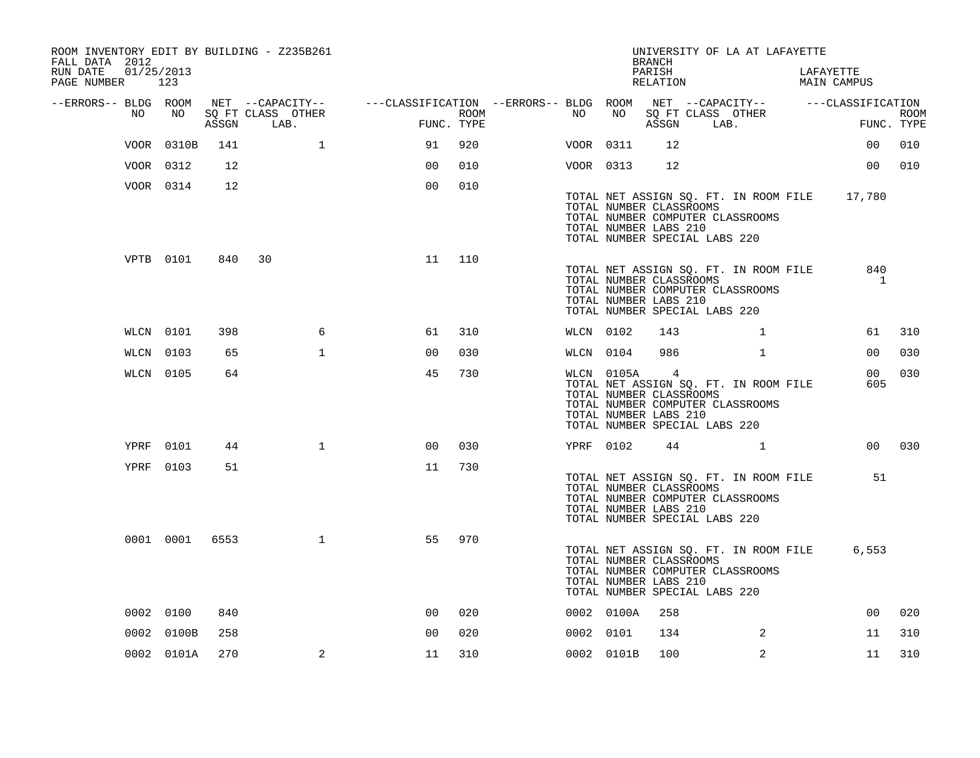| ROOM INVENTORY EDIT BY BUILDING - Z235B261<br>FALL DATA 2012 |            |            |       |                           |              |                                                                                                             |      |           |            | <b>BRANCH</b>                                                      | UNIVERSITY OF LA AT LAFAYETTE                                                                                     |                          |                           |
|--------------------------------------------------------------|------------|------------|-------|---------------------------|--------------|-------------------------------------------------------------------------------------------------------------|------|-----------|------------|--------------------------------------------------------------------|-------------------------------------------------------------------------------------------------------------------|--------------------------|---------------------------|
| RUN DATE<br>PAGE NUMBER 123                                  | 01/25/2013 |            |       |                           |              |                                                                                                             |      |           |            | PARISH<br>RELATION                                                 |                                                                                                                   | LAFAYETTE<br>MAIN CAMPUS |                           |
| --ERRORS-- BLDG ROOM                                         | NO         | NO         | ASSGN | SQ FT CLASS OTHER<br>LAB. |              | NET --CAPACITY-- ----CLASSIFICATION --ERRORS-- BLDG ROOM NET --CAPACITY-- -----CLASSIFICATION<br>FUNC. TYPE | ROOM | NO .      | NO         |                                                                    | SQ FT CLASS OTHER<br>ASSGN LAB.                                                                                   |                          | <b>ROOM</b><br>FUNC. TYPE |
|                                                              |            | VOOR 0310B | 141   |                           | $\mathbf{1}$ | 91                                                                                                          | 920  | VOOR 0311 |            | 12 <sup>°</sup>                                                    |                                                                                                                   | 00 <sub>o</sub>          | 010                       |
|                                                              |            | VOOR 0312  | 12    |                           |              | 0 <sub>0</sub>                                                                                              | 010  | VOOR 0313 |            | 12                                                                 |                                                                                                                   | 00 <sub>o</sub>          | 010                       |
|                                                              |            | VOOR 0314  | 12    |                           |              | 0 <sub>0</sub>                                                                                              | 010  |           |            | TOTAL NUMBER CLASSROOMS<br>TOTAL NUMBER LABS 210                   | TOTAL NET ASSIGN SQ. FT. IN ROOM FILE 17,780<br>TOTAL NUMBER COMPUTER CLASSROOMS<br>TOTAL NUMBER SPECIAL LABS 220 |                          |                           |
|                                                              |            | VPTB 0101  | 840   | 30                        |              | 11                                                                                                          | 110  |           |            | TOTAL NUMBER CLASSROOMS<br>TOTAL NUMBER LABS 210                   | TOTAL NET ASSIGN SQ. FT. IN ROOM FILE<br>TOTAL NUMBER COMPUTER CLASSROOMS<br>TOTAL NUMBER SPECIAL LABS 220        | 840<br>$\mathbf{1}$      |                           |
|                                                              |            | WLCN 0101  | 398   |                           | 6            | 61                                                                                                          | 310  | WLCN 0102 |            | 143                                                                | $\mathbf{1}$                                                                                                      | 61                       | 310                       |
|                                                              | WLCN 0103  |            | 65    |                           | $\mathbf{1}$ | 00                                                                                                          | 030  | WLCN 0104 |            | 986                                                                | $\mathbf{1}$                                                                                                      | 00                       | 030                       |
|                                                              |            | WLCN 0105  | 64    |                           |              | 45                                                                                                          | 730  |           | WLCN 0105A | $\overline{4}$<br>TOTAL NUMBER CLASSROOMS<br>TOTAL NUMBER LABS 210 | TOTAL NET ASSIGN SQ. FT. IN ROOM FILE<br>TOTAL NUMBER COMPUTER CLASSROOMS<br>TOTAL NUMBER SPECIAL LABS 220        | 00 <sub>o</sub><br>605   | 030                       |
|                                                              |            | YPRF 0101  | 44    |                           | $\mathbf{1}$ | 00                                                                                                          | 030  | YPRF 0102 |            |                                                                    | 44 1                                                                                                              |                          | 00 030                    |
|                                                              |            | YPRF 0103  | 51    |                           |              | 11                                                                                                          | 730  |           |            | TOTAL NUMBER CLASSROOMS<br>TOTAL NUMBER LABS 210                   | TOTAL NET ASSIGN SQ. FT. IN ROOM FILE<br>TOTAL NUMBER COMPUTER CLASSROOMS<br>TOTAL NUMBER SPECIAL LABS 220        | 51                       |                           |
|                                                              |            | 0001 0001  | 6553  |                           | $\mathbf{1}$ | 55                                                                                                          | 970  |           |            | TOTAL NUMBER CLASSROOMS<br>TOTAL NUMBER LABS 210                   | TOTAL NET ASSIGN SQ. FT. IN ROOM FILE<br>TOTAL NUMBER COMPUTER CLASSROOMS<br>TOTAL NUMBER SPECIAL LABS 220        | 6,553                    |                           |
|                                                              | 0002 0100  |            | 840   |                           |              | 0 <sub>0</sub>                                                                                              | 020  |           | 0002 0100A | 258                                                                |                                                                                                                   | 0 <sub>0</sub>           | 020                       |
|                                                              |            | 0002 0100B | 258   |                           |              | 0 <sub>0</sub>                                                                                              | 020  | 0002 0101 |            | 134                                                                | 2                                                                                                                 | 11                       | 310                       |
|                                                              |            | 0002 0101A | 270   |                           | 2            | 11                                                                                                          | 310  |           | 0002 0101B | 100                                                                | 2                                                                                                                 | 11                       | 310                       |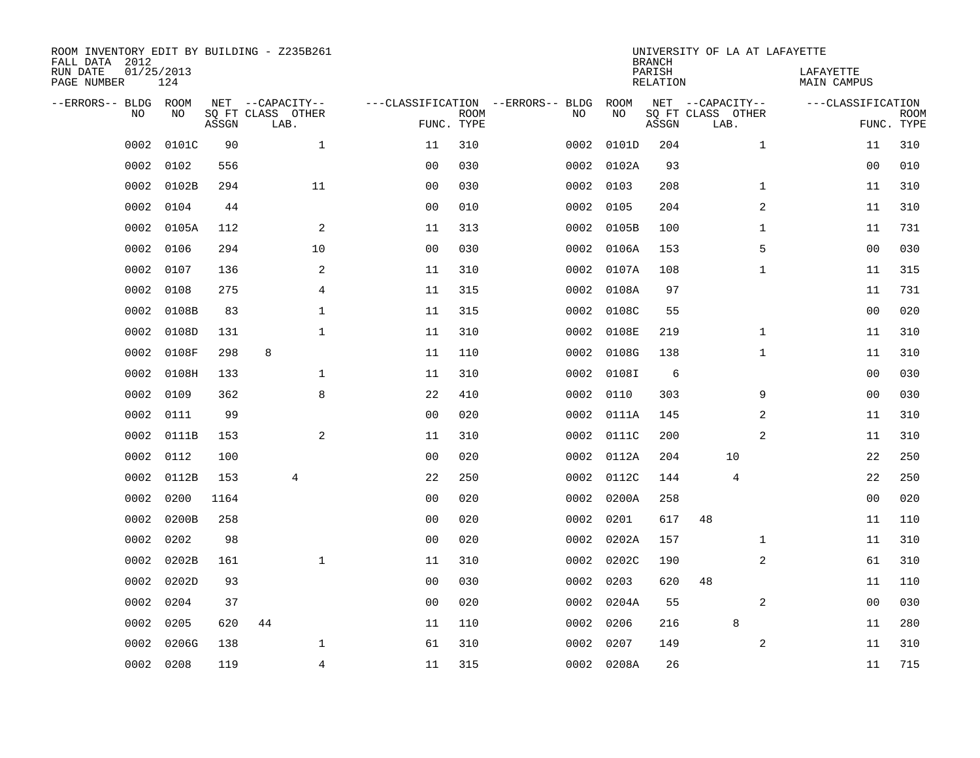| FALL DATA 2012<br>RUN DATE<br>PAGE NUMBER | 01/25/2013 | 124         |       | ROOM INVENTORY EDIT BY BUILDING - Z235B261    |                                   |                           |      |            | <b>BRANCH</b><br>PARISH<br>RELATION | UNIVERSITY OF LA AT LAFAYETTE                 | LAFAYETTE<br>MAIN CAMPUS |                           |
|-------------------------------------------|------------|-------------|-------|-----------------------------------------------|-----------------------------------|---------------------------|------|------------|-------------------------------------|-----------------------------------------------|--------------------------|---------------------------|
| --ERRORS-- BLDG                           | <b>NO</b>  | ROOM<br>NO. | ASSGN | NET --CAPACITY--<br>SQ FT CLASS OTHER<br>LAB. | ---CLASSIFICATION --ERRORS-- BLDG | <b>ROOM</b><br>FUNC. TYPE | NO   | ROOM<br>NO | ASSGN                               | NET --CAPACITY--<br>SQ FT CLASS OTHER<br>LAB. | ---CLASSIFICATION        | <b>ROOM</b><br>FUNC. TYPE |
|                                           | 0002       | 0101C       | 90    | $\mathbf{1}$                                  | 11                                | 310                       | 0002 | 0101D      | 204                                 | $\mathbf{1}$                                  | 11                       | 310                       |
|                                           | 0002       | 0102        | 556   |                                               | 0 <sub>0</sub>                    | 030                       | 0002 | 0102A      | 93                                  |                                               | 0 <sub>0</sub>           | 010                       |
|                                           | 0002       | 0102B       | 294   | 11                                            | 00                                | 030                       | 0002 | 0103       | 208                                 | $\mathbf{1}$                                  | 11                       | 310                       |
|                                           | 0002       | 0104        | 44    |                                               | 0 <sub>0</sub>                    | 010                       | 0002 | 0105       | 204                                 | 2                                             | 11                       | 310                       |
|                                           | 0002       | 0105A       | 112   | $\overline{a}$                                | 11                                | 313                       | 0002 | 0105B      | 100                                 | $\mathbf{1}$                                  | 11                       | 731                       |
|                                           | 0002       | 0106        | 294   | 10                                            | 0 <sub>0</sub>                    | 030                       | 0002 | 0106A      | 153                                 | 5                                             | 00                       | 030                       |
|                                           | 0002       | 0107        | 136   | 2                                             | 11                                | 310                       | 0002 | 0107A      | 108                                 | $\mathbf{1}$                                  | 11                       | 315                       |
|                                           | 0002       | 0108        | 275   | 4                                             | 11                                | 315                       | 0002 | 0108A      | 97                                  |                                               | 11                       | 731                       |
|                                           | 0002       | 0108B       | 83    | $\mathbf 1$                                   | 11                                | 315                       | 0002 | 0108C      | 55                                  |                                               | 00                       | 020                       |
|                                           | 0002       | 0108D       | 131   | $\mathbf{1}$                                  | 11                                | 310                       |      | 0002 0108E | 219                                 | $\mathbf{1}$                                  | 11                       | 310                       |
|                                           | 0002       | 0108F       | 298   | 8                                             | 11                                | 110                       | 0002 | 0108G      | 138                                 | $\mathbf{1}$                                  | 11                       | 310                       |
|                                           | 0002       | 0108H       | 133   | $\mathbf 1$                                   | 11                                | 310                       |      | 0002 0108I | 6                                   |                                               | 00                       | 030                       |
|                                           | 0002       | 0109        | 362   | 8                                             | 22                                | 410                       | 0002 | 0110       | 303                                 | 9                                             | 0 <sub>0</sub>           | 030                       |
|                                           | 0002       | 0111        | 99    |                                               | 0 <sub>0</sub>                    | 020                       |      | 0002 0111A | 145                                 | 2                                             | 11                       | 310                       |
|                                           | 0002       | 0111B       | 153   | 2                                             | 11                                | 310                       |      | 0002 0111C | 200                                 | 2                                             | 11                       | 310                       |
|                                           | 0002       | 0112        | 100   |                                               | 0 <sub>0</sub>                    | 020                       |      | 0002 0112A | 204                                 | 10                                            | 22                       | 250                       |
|                                           | 0002       | 0112B       | 153   | $\overline{4}$                                | 22                                | 250                       |      | 0002 0112C | 144                                 | 4                                             | 22                       | 250                       |
|                                           | 0002       | 0200        | 1164  |                                               | 0 <sub>0</sub>                    | 020                       | 0002 | 0200A      | 258                                 |                                               | 00                       | 020                       |
|                                           | 0002       | 0200B       | 258   |                                               | 0 <sub>0</sub>                    | 020                       | 0002 | 0201       | 617                                 | 48                                            | 11                       | 110                       |
|                                           | 0002       | 0202        | 98    |                                               | 0 <sub>0</sub>                    | 020                       |      | 0002 0202A | 157                                 | $\mathbf{1}$                                  | 11                       | 310                       |
|                                           | 0002       | 0202B       | 161   | $\mathbf 1$                                   | 11                                | 310                       |      | 0002 0202C | 190                                 | 2                                             | 61                       | 310                       |
|                                           | 0002       | 0202D       | 93    |                                               | 00                                | 030                       | 0002 | 0203       | 620                                 | 48                                            | 11                       | 110                       |
|                                           | 0002       | 0204        | 37    |                                               | 0 <sub>0</sub>                    | 020                       |      | 0002 0204A | 55                                  | 2                                             | 0 <sub>0</sub>           | 030                       |
|                                           | 0002       | 0205        | 620   | 44                                            | 11                                | 110                       | 0002 | 0206       | 216                                 | 8                                             | 11                       | 280                       |
|                                           | 0002       | 0206G       | 138   | 1                                             | 61                                | 310                       | 0002 | 0207       | 149                                 | $\overline{a}$                                | 11                       | 310                       |
|                                           | 0002       | 0208        | 119   | $\overline{4}$                                | 11                                | 315                       |      | 0002 0208A | 26                                  |                                               | 11                       | 715                       |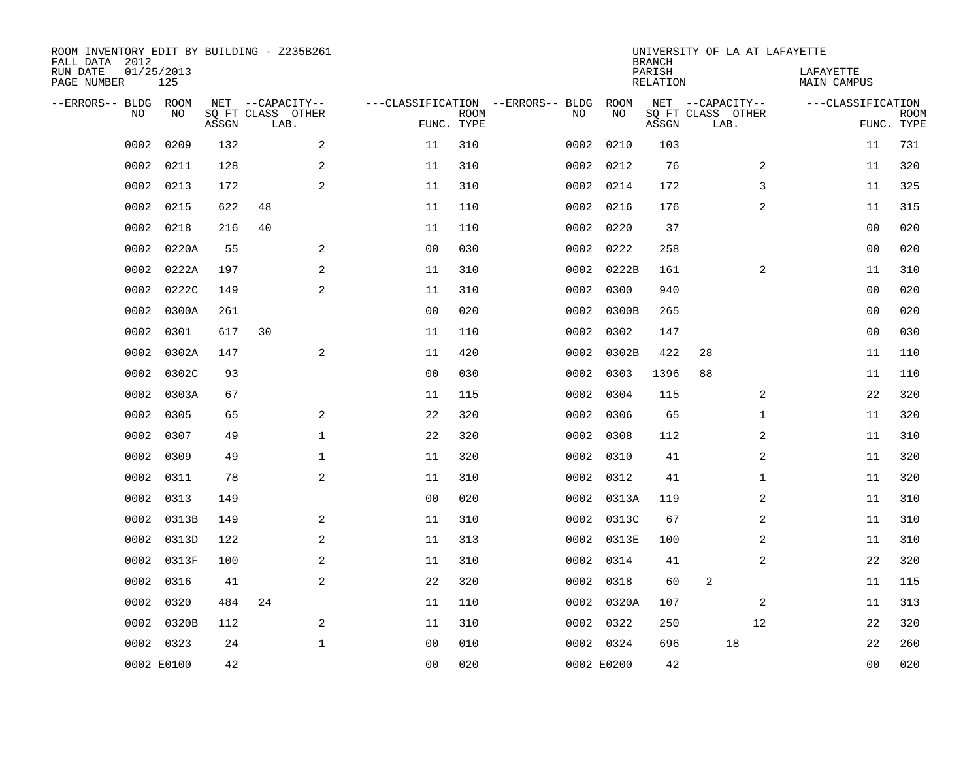| ROOM INVENTORY EDIT BY BUILDING - Z235B261<br>FALL DATA 2012 |                   |       |                           |                |             |                                   |      |            | <b>BRANCH</b>             | UNIVERSITY OF LA AT LAFAYETTE |              |                          |                |                           |
|--------------------------------------------------------------|-------------------|-------|---------------------------|----------------|-------------|-----------------------------------|------|------------|---------------------------|-------------------------------|--------------|--------------------------|----------------|---------------------------|
| RUN DATE<br>PAGE NUMBER                                      | 01/25/2013<br>125 |       |                           |                |             |                                   |      |            | PARISH<br><b>RELATION</b> |                               |              | LAFAYETTE<br>MAIN CAMPUS |                |                           |
| --ERRORS-- BLDG ROOM                                         |                   |       | NET --CAPACITY--          |                |             | ---CLASSIFICATION --ERRORS-- BLDG |      | ROOM       |                           | NET --CAPACITY--              |              | ---CLASSIFICATION        |                |                           |
| NO                                                           | NO.               | ASSGN | SQ FT CLASS OTHER<br>LAB. | FUNC. TYPE     | <b>ROOM</b> |                                   | NO   | NO         | ASSGN                     | SQ FT CLASS OTHER<br>LAB.     |              |                          |                | <b>ROOM</b><br>FUNC. TYPE |
| 0002                                                         | 0209              | 132   | 2                         | 11             | 310         |                                   | 0002 | 0210       | 103                       |                               |              |                          | 11             | 731                       |
| 0002                                                         | 0211              | 128   | 2                         | 11             | 310         |                                   | 0002 | 0212       | 76                        |                               | 2            |                          | 11             | 320                       |
| 0002                                                         | 0213              | 172   | 2                         | 11             | 310         |                                   | 0002 | 0214       | 172                       |                               | 3            |                          | 11             | 325                       |
| 0002                                                         | 0215              | 622   | 48                        | 11             | 110         |                                   |      | 0002 0216  | 176                       |                               | 2            |                          | 11             | 315                       |
| 0002                                                         | 0218              | 216   | 40                        | 11             | 110         |                                   | 0002 | 0220       | 37                        |                               |              |                          | 0 <sub>0</sub> | 020                       |
| 0002                                                         | 0220A             | 55    | $\overline{a}$            | 0 <sub>0</sub> | 030         |                                   |      | 0002 0222  | 258                       |                               |              |                          | 0 <sub>0</sub> | 020                       |
| 0002                                                         | 0222A             | 197   | 2                         | 11             | 310         |                                   |      | 0002 0222B | 161                       |                               | 2            |                          | 11             | 310                       |
| 0002                                                         | 0222C             | 149   | 2                         | 11             | 310         |                                   | 0002 | 0300       | 940                       |                               |              |                          | 00             | 020                       |
| 0002                                                         | 0300A             | 261   |                           | 0 <sub>0</sub> | 020         |                                   | 0002 | 0300B      | 265                       |                               |              |                          | 00             | 020                       |
| 0002                                                         | 0301              | 617   | 30                        | 11             | 110         |                                   | 0002 | 0302       | 147                       |                               |              |                          | 00             | 030                       |
| 0002                                                         | 0302A             | 147   | 2                         | 11             | 420         |                                   | 0002 | 0302B      | 422                       | 28                            |              |                          | 11             | 110                       |
| 0002                                                         | 0302C             | 93    |                           | 0 <sub>0</sub> | 030         |                                   | 0002 | 0303       | 1396                      | 88                            |              |                          | 11             | 110                       |
| 0002                                                         | 0303A             | 67    |                           | 11             | 115         |                                   | 0002 | 0304       | 115                       |                               | 2            |                          | 22             | 320                       |
| 0002                                                         | 0305              | 65    | 2                         | 22             | 320         |                                   |      | 0002 0306  | 65                        |                               | $\mathbf{1}$ |                          | 11             | 320                       |
| 0002                                                         | 0307              | 49    | $\mathbf 1$               | 22             | 320         |                                   | 0002 | 0308       | 112                       |                               | 2            |                          | 11             | 310                       |
| 0002                                                         | 0309              | 49    | $\mathbf{1}$              | 11             | 320         |                                   |      | 0002 0310  | 41                        |                               | 2            |                          | 11             | 320                       |
| 0002                                                         | 0311              | 78    | 2                         | 11             | 310         |                                   | 0002 | 0312       | 41                        |                               | $\mathbf{1}$ |                          | 11             | 320                       |
| 0002                                                         | 0313              | 149   |                           | 0 <sub>0</sub> | 020         |                                   |      | 0002 0313A | 119                       |                               | 2            |                          | 11             | 310                       |
| 0002                                                         | 0313B             | 149   | 2                         | 11             | 310         |                                   |      | 0002 0313C | 67                        |                               | 2            |                          | 11             | 310                       |
| 0002                                                         | 0313D             | 122   | 2                         | 11             | 313         |                                   |      | 0002 0313E | 100                       |                               | 2            |                          | 11             | 310                       |
| 0002                                                         | 0313F             | 100   | 2                         | 11             | 310         |                                   |      | 0002 0314  | 41                        |                               | 2            |                          | 22             | 320                       |
| 0002                                                         | 0316              | 41    | $\mathbf{2}$              | 22             | 320         |                                   |      | 0002 0318  | 60                        | $\overline{a}$                |              |                          | 11             | 115                       |
| 0002                                                         | 0320              | 484   | 24                        | 11             | 110         |                                   |      | 0002 0320A | 107                       |                               | 2            |                          | 11             | 313                       |
| 0002                                                         | 0320B             | 112   | 2                         | 11             | 310         |                                   |      | 0002 0322  | 250                       |                               | 12           |                          | 22             | 320                       |
|                                                              | 0002 0323         | 24    | 1                         | 0 <sub>0</sub> | 010         |                                   |      | 0002 0324  | 696                       | 18                            |              |                          | 22             | 260                       |
|                                                              | 0002 E0100        | 42    |                           | 0 <sub>0</sub> | 020         |                                   |      | 0002 E0200 | 42                        |                               |              |                          | 0 <sub>0</sub> | 020                       |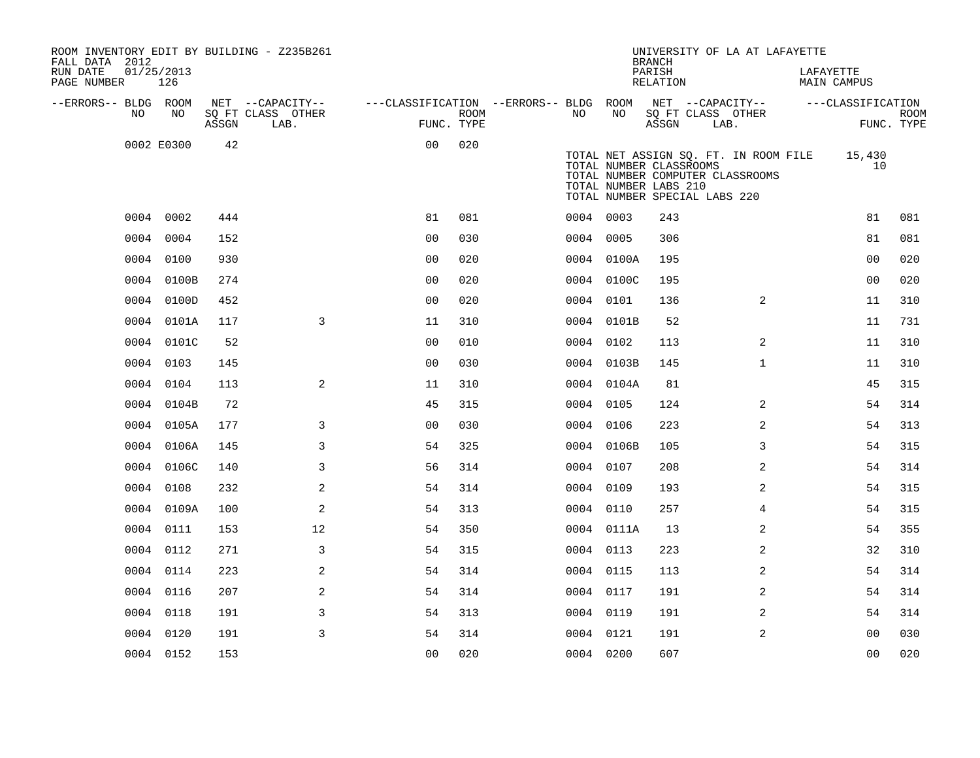| ROOM INVENTORY EDIT BY BUILDING - Z235B261<br>FALL DATA 2012 |                   |       |                           |                                        |                           |           |            | <b>BRANCH</b>                                                                                                         |      | UNIVERSITY OF LA AT LAFAYETTE         |           |                    |                           |
|--------------------------------------------------------------|-------------------|-------|---------------------------|----------------------------------------|---------------------------|-----------|------------|-----------------------------------------------------------------------------------------------------------------------|------|---------------------------------------|-----------|--------------------|---------------------------|
| RUN DATE<br>PAGE NUMBER                                      | 01/25/2013<br>126 |       |                           |                                        |                           |           |            | PARISH<br>RELATION                                                                                                    |      |                                       | LAFAYETTE | <b>MAIN CAMPUS</b> |                           |
| --ERRORS-- BLDG ROOM                                         |                   |       | NET --CAPACITY--          | ---CLASSIFICATION --ERRORS-- BLDG ROOM |                           |           |            |                                                                                                                       |      | NET --CAPACITY--                      |           | ---CLASSIFICATION  |                           |
| NO                                                           | NO                | ASSGN | SQ FT CLASS OTHER<br>LAB. |                                        | <b>ROOM</b><br>FUNC. TYPE | NO        | NO         | SQ FT CLASS OTHER<br>ASSGN                                                                                            | LAB. |                                       |           |                    | <b>ROOM</b><br>FUNC. TYPE |
|                                                              | 0002 E0300        | 42    |                           | 0 <sub>0</sub>                         | 020                       |           |            | TOTAL NUMBER CLASSROOMS<br>TOTAL NUMBER COMPUTER CLASSROOMS<br>TOTAL NUMBER LABS 210<br>TOTAL NUMBER SPECIAL LABS 220 |      | TOTAL NET ASSIGN SQ. FT. IN ROOM FILE |           | 15,430<br>10       |                           |
|                                                              | 0004 0002         | 444   |                           | 81                                     | 081                       | 0004 0003 |            | 243                                                                                                                   |      |                                       |           | 81                 | 081                       |
| 0004                                                         | 0004              | 152   |                           | 0 <sub>0</sub>                         | 030                       | 0004 0005 |            | 306                                                                                                                   |      |                                       |           | 81                 | 081                       |
| 0004                                                         | 0100              | 930   |                           | 0 <sub>0</sub>                         | 020                       |           | 0004 0100A | 195                                                                                                                   |      |                                       |           | 0 <sub>0</sub>     | 020                       |
| 0004                                                         | 0100B             | 274   |                           | 0 <sub>0</sub>                         | 020                       |           | 0004 0100C | 195                                                                                                                   |      |                                       |           | 0 <sub>0</sub>     | 020                       |
|                                                              | 0004 0100D        | 452   |                           | 0 <sub>0</sub>                         | 020                       |           | 0004 0101  | 136                                                                                                                   |      | 2                                     |           | 11                 | 310                       |
|                                                              | 0004 0101A        | 117   | 3                         | 11                                     | 310                       |           | 0004 0101B | 52                                                                                                                    |      |                                       |           | 11                 | 731                       |
|                                                              | 0004 0101C        | 52    |                           | 0 <sub>0</sub>                         | 010                       |           | 0004 0102  | 113                                                                                                                   |      | $\overline{2}$                        |           | 11                 | 310                       |
|                                                              | 0004 0103         | 145   |                           | 0 <sub>0</sub>                         | 030                       |           | 0004 0103B | 145                                                                                                                   |      | $\mathbf{1}$                          |           | 11                 | 310                       |
|                                                              | 0004 0104         | 113   | 2                         | 11                                     | 310                       |           | 0004 0104A | 81                                                                                                                    |      |                                       |           | 45                 | 315                       |
|                                                              | 0004 0104B        | 72    |                           | 45                                     | 315                       |           | 0004 0105  | 124                                                                                                                   |      | 2                                     |           | 54                 | 314                       |
|                                                              | 0004 0105A        | 177   | 3                         | 0 <sub>0</sub>                         | 030                       |           | 0004 0106  | 223                                                                                                                   |      | $\overline{a}$                        |           | 54                 | 313                       |
|                                                              | 0004 0106A        | 145   | 3                         | 54                                     | 325                       |           | 0004 0106B | 105                                                                                                                   |      | 3                                     |           | 54                 | 315                       |
|                                                              | 0004 0106C        | 140   | 3                         | 56                                     | 314                       |           | 0004 0107  | 208                                                                                                                   |      | 2                                     |           | 54                 | 314                       |
|                                                              | 0004 0108         | 232   | 2                         | 54                                     | 314                       | 0004 0109 |            | 193                                                                                                                   |      | 2                                     |           | 54                 | 315                       |
|                                                              | 0004 0109A        | 100   | 2                         | 54                                     | 313                       | 0004 0110 |            | 257                                                                                                                   |      | 4                                     |           | 54                 | 315                       |
| 0004                                                         | 0111              | 153   | 12                        | 54                                     | 350                       |           | 0004 0111A | 13                                                                                                                    |      | $\overline{a}$                        |           | 54                 | 355                       |
| 0004                                                         | 0112              | 271   | 3                         | 54                                     | 315                       |           | 0004 0113  | 223                                                                                                                   |      | 2                                     |           | 32                 | 310                       |
| 0004                                                         | 0114              | 223   | $\mathbf{2}$              | 54                                     | 314                       | 0004 0115 |            | 113                                                                                                                   |      | 2                                     |           | 54                 | 314                       |
|                                                              | 0004 0116         | 207   | 2                         | 54                                     | 314                       | 0004 0117 |            | 191                                                                                                                   |      | $\overline{a}$                        |           | 54                 | 314                       |
|                                                              | 0004 0118         | 191   | 3                         | 54                                     | 313                       | 0004 0119 |            | 191                                                                                                                   |      | 2                                     |           | 54                 | 314                       |
|                                                              | 0004 0120         | 191   | 3                         | 54                                     | 314                       | 0004 0121 |            | 191                                                                                                                   |      | 2                                     |           | 00                 | 030                       |
|                                                              | 0004 0152         | 153   |                           | 0 <sub>0</sub>                         | 020                       | 0004 0200 |            | 607                                                                                                                   |      |                                       |           | 0 <sub>0</sub>     | 020                       |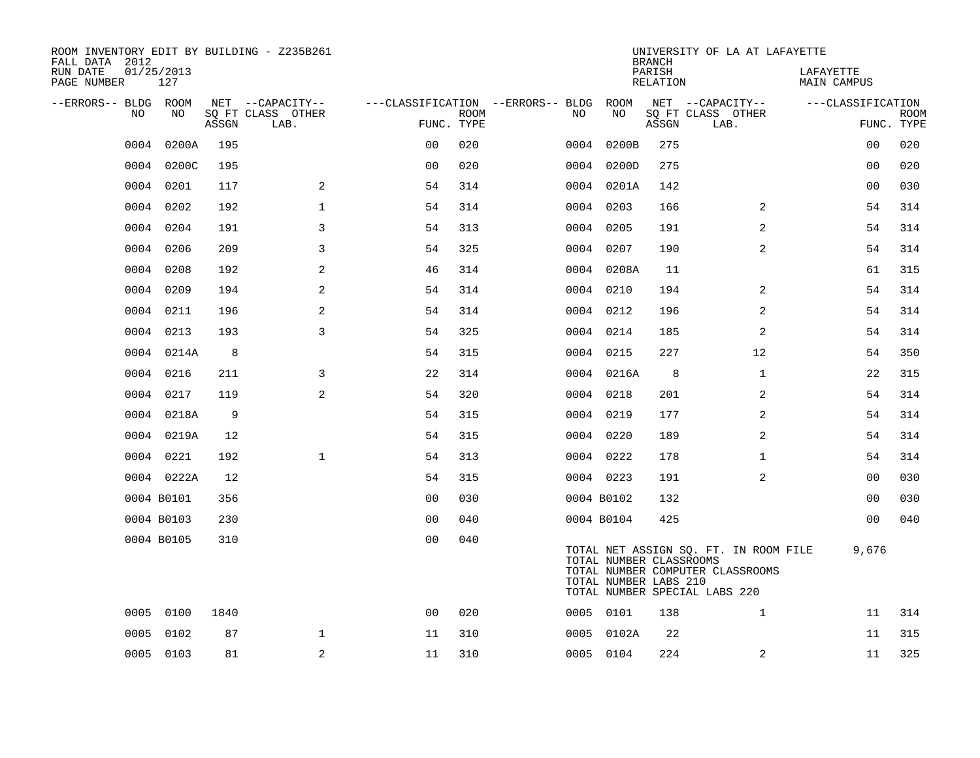| ROOM INVENTORY EDIT BY BUILDING - Z235B261<br>FALL DATA 2012 |                   |       |                           |                |             |                                          |                                                  | <b>BRANCH</b>      | UNIVERSITY OF LA AT LAFAYETTE                                                                              |                                 |                           |
|--------------------------------------------------------------|-------------------|-------|---------------------------|----------------|-------------|------------------------------------------|--------------------------------------------------|--------------------|------------------------------------------------------------------------------------------------------------|---------------------------------|---------------------------|
| RUN DATE<br>PAGE NUMBER                                      | 01/25/2013<br>127 |       |                           |                |             |                                          |                                                  | PARISH<br>RELATION |                                                                                                            | LAFAYETTE<br><b>MAIN CAMPUS</b> |                           |
| --ERRORS-- BLDG ROOM<br>NO.                                  | NO.               |       | NET --CAPACITY--          |                |             | ---CLASSIFICATION --ERRORS-- BLDG<br>NO. | ROOM<br>NO                                       |                    | NET --CAPACITY--                                                                                           | ---CLASSIFICATION               |                           |
|                                                              |                   | ASSGN | SQ FT CLASS OTHER<br>LAB. | FUNC. TYPE     | <b>ROOM</b> |                                          |                                                  | ASSGN              | SQ FT CLASS OTHER<br>LAB.                                                                                  |                                 | <b>ROOM</b><br>FUNC. TYPE |
| 0004                                                         | 0200A             | 195   |                           | 0 <sub>0</sub> | 020         | 0004                                     | 0200B                                            | 275                |                                                                                                            | 0 <sub>0</sub>                  | 020                       |
|                                                              | 0004 0200C        | 195   |                           | 0 <sub>0</sub> | 020         |                                          | 0004 0200D                                       | 275                |                                                                                                            | 00                              | 020                       |
|                                                              | 0004 0201         | 117   | 2                         | 54             | 314         |                                          | 0004 0201A                                       | 142                |                                                                                                            | 0 <sub>0</sub>                  | 030                       |
| 0004                                                         | 0202              | 192   | $\mathbf{1}$              | 54             | 314         |                                          | 0004 0203                                        | 166                | 2                                                                                                          | 54                              | 314                       |
| 0004                                                         | 0204              | 191   | 3                         | 54             | 313         |                                          | 0004 0205                                        | 191                | 2                                                                                                          | 54                              | 314                       |
| 0004                                                         | 0206              | 209   | 3                         | 54             | 325         |                                          | 0004 0207                                        | 190                | 2                                                                                                          | 54                              | 314                       |
| 0004                                                         | 0208              | 192   | $\mathbf{2}$              | 46             | 314         |                                          | 0004 0208A                                       | 11                 |                                                                                                            | 61                              | 315                       |
| 0004                                                         | 0209              | 194   | 2                         | 54             | 314         |                                          | 0004 0210                                        | 194                | 2                                                                                                          | 54                              | 314                       |
| 0004                                                         | 0211              | 196   | 2                         | 54             | 314         |                                          | 0004 0212                                        | 196                | 2                                                                                                          | 54                              | 314                       |
| 0004                                                         | 0213              | 193   | 3                         | 54             | 325         |                                          | 0004 0214                                        | 185                | $\overline{a}$                                                                                             | 54                              | 314                       |
|                                                              | 0004 0214A        | 8     |                           | 54             | 315         |                                          | 0004 0215                                        | 227                | 12                                                                                                         | 54                              | 350                       |
| 0004                                                         | 0216              | 211   | 3                         | 22             | 314         |                                          | 0004 0216A                                       | 8                  | $\mathbf{1}$                                                                                               | 22                              | 315                       |
| 0004                                                         | 0217              | 119   | 2                         | 54             | 320         |                                          | 0004 0218                                        | 201                | 2                                                                                                          | 54                              | 314                       |
|                                                              | 0004 0218A        | 9     |                           | 54             | 315         |                                          | 0004 0219                                        | 177                | 2                                                                                                          | 54                              | 314                       |
|                                                              | 0004 0219A        | 12    |                           | 54             | 315         |                                          | 0004 0220                                        | 189                | 2                                                                                                          | 54                              | 314                       |
|                                                              | 0004 0221         | 192   | $\mathbf{1}$              | 54             | 313         |                                          | 0004 0222                                        | 178                | $\mathbf{1}$                                                                                               | 54                              | 314                       |
|                                                              | 0004 0222A        | 12    |                           | 54             | 315         |                                          | 0004 0223                                        | 191                | 2                                                                                                          | 00                              | 030                       |
|                                                              | 0004 B0101        | 356   |                           | 0 <sub>0</sub> | 030         |                                          | 0004 B0102                                       | 132                |                                                                                                            | 00                              | 030                       |
|                                                              | 0004 B0103        | 230   |                           | 0 <sub>0</sub> | 040         |                                          | 0004 B0104                                       | 425                |                                                                                                            | 0 <sub>0</sub>                  | 040                       |
|                                                              | 0004 B0105        | 310   |                           | 0 <sub>0</sub> | 040         |                                          | TOTAL NUMBER CLASSROOMS<br>TOTAL NUMBER LABS 210 |                    | TOTAL NET ASSIGN SQ. FT. IN ROOM FILE<br>TOTAL NUMBER COMPUTER CLASSROOMS<br>TOTAL NUMBER SPECIAL LABS 220 | 9,676                           |                           |
| 0005                                                         | 0100              | 1840  |                           | 0 <sub>0</sub> | 020         |                                          | 0005 0101                                        | 138                | $\mathbf{1}$                                                                                               | 11                              | 314                       |
| 0005                                                         | 0102              | 87    | $\mathbf{1}$              | 11             | 310         |                                          | 0005 0102A                                       | 22                 |                                                                                                            | 11                              | 315                       |
|                                                              | 0005 0103         | 81    | 2                         | 11             | 310         |                                          | 0005 0104                                        | 224                | 2                                                                                                          | 11                              | 325                       |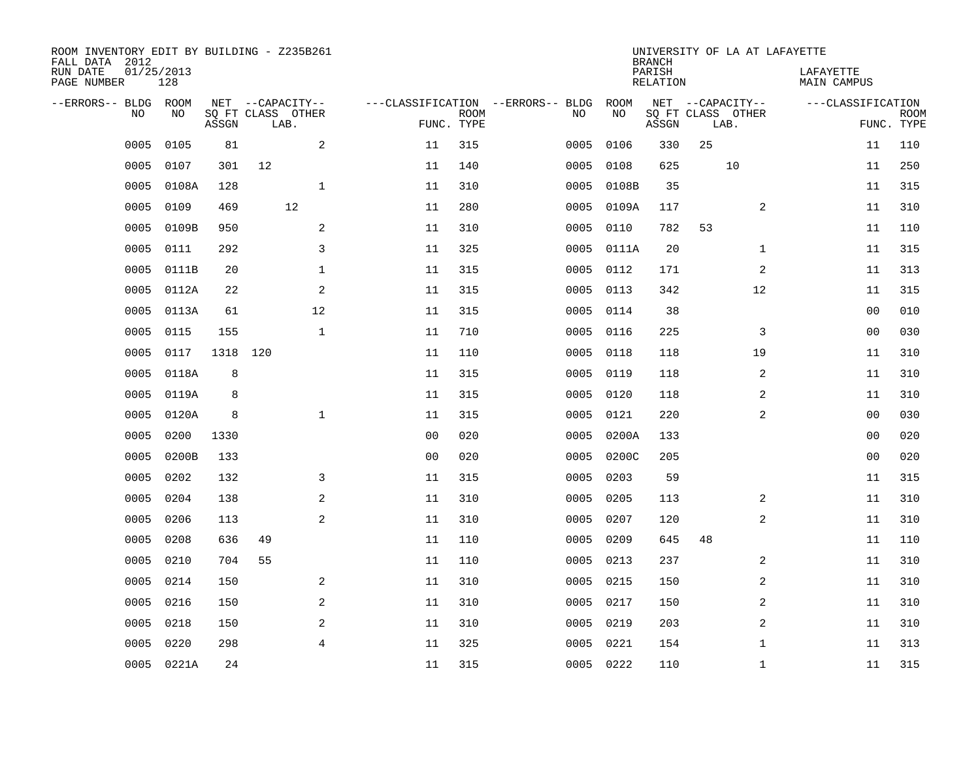| ROOM INVENTORY EDIT BY BUILDING - Z235B261<br>FALL DATA 2012 |                   |       |                           |                |                           |                                   |            | <b>BRANCH</b>             | UNIVERSITY OF LA AT LAFAYETTE |                                 |                           |
|--------------------------------------------------------------|-------------------|-------|---------------------------|----------------|---------------------------|-----------------------------------|------------|---------------------------|-------------------------------|---------------------------------|---------------------------|
| RUN DATE<br>PAGE NUMBER                                      | 01/25/2013<br>128 |       |                           |                |                           |                                   |            | PARISH<br><b>RELATION</b> |                               | LAFAYETTE<br><b>MAIN CAMPUS</b> |                           |
| --ERRORS-- BLDG ROOM                                         | NO                |       | NET --CAPACITY--          |                |                           | ---CLASSIFICATION --ERRORS-- BLDG | ROOM<br>NO |                           | NET --CAPACITY--              | ---CLASSIFICATION               |                           |
| NO                                                           |                   | ASSGN | SQ FT CLASS OTHER<br>LAB. |                | <b>ROOM</b><br>FUNC. TYPE | NO                                |            | ASSGN                     | SQ FT CLASS OTHER<br>LAB.     |                                 | <b>ROOM</b><br>FUNC. TYPE |
| 0005                                                         | 0105              | 81    | $\mathbf{2}$              | 11             | 315                       | 0005                              | 0106       | 330                       | 25                            | 11                              | 110                       |
| 0005                                                         | 0107              | 301   | 12                        | 11             | 140                       | 0005                              | 0108       | 625                       | 10                            | 11                              | 250                       |
| 0005                                                         | 0108A             | 128   | $\mathbf 1$               | 11             | 310                       | 0005                              | 0108B      | 35                        |                               | 11                              | 315                       |
| 0005                                                         | 0109              | 469   | 12                        | 11             | 280                       | 0005                              | 0109A      | 117                       | 2                             | 11                              | 310                       |
| 0005                                                         | 0109B             | 950   | 2                         | 11             | 310                       | 0005                              | 0110       | 782                       | 53                            | 11                              | 110                       |
| 0005                                                         | 0111              | 292   | 3                         | 11             | 325                       |                                   | 0005 0111A | 20                        | $\mathbf{1}$                  | 11                              | 315                       |
| 0005                                                         | 0111B             | 20    | $\mathbf{1}$              | 11             | 315                       | 0005                              | 0112       | 171                       | 2                             | 11                              | 313                       |
| 0005                                                         | 0112A             | 22    | $\sqrt{2}$                | 11             | 315                       | 0005                              | 0113       | 342                       | 12                            | 11                              | 315                       |
| 0005                                                         | 0113A             | 61    | 12                        | 11             | 315                       | 0005                              | 0114       | 38                        |                               | 0 <sub>0</sub>                  | 010                       |
| 0005                                                         | 0115              | 155   | $\mathbf 1$               | 11             | 710                       | 0005                              | 0116       | 225                       | 3                             | 0 <sub>0</sub>                  | 030                       |
| 0005                                                         | 0117              | 1318  | 120                       | 11             | 110                       | 0005                              | 0118       | 118                       | 19                            | 11                              | 310                       |
| 0005                                                         | 0118A             | 8     |                           | 11             | 315                       | 0005                              | 0119       | 118                       | 2                             | 11                              | 310                       |
| 0005                                                         | 0119A             | 8     |                           | 11             | 315                       | 0005                              | 0120       | 118                       | 2                             | 11                              | 310                       |
| 0005                                                         | 0120A             | 8     | $\mathbf{1}$              | 11             | 315                       | 0005                              | 0121       | 220                       | 2                             | 00                              | 030                       |
| 0005                                                         | 0200              | 1330  |                           | 0 <sub>0</sub> | 020                       | 0005                              | 0200A      | 133                       |                               | 0 <sub>0</sub>                  | 020                       |
| 0005                                                         | 0200B             | 133   |                           | 0 <sub>0</sub> | 020                       | 0005                              | 0200C      | 205                       |                               | 00                              | 020                       |
| 0005                                                         | 0202              | 132   | 3                         | 11             | 315                       | 0005                              | 0203       | 59                        |                               | 11                              | 315                       |
| 0005                                                         | 0204              | 138   | 2                         | 11             | 310                       | 0005                              | 0205       | 113                       | 2                             | 11                              | 310                       |
| 0005                                                         | 0206              | 113   | 2                         | 11             | 310                       | 0005                              | 0207       | 120                       | 2                             | 11                              | 310                       |
| 0005                                                         | 0208              | 636   | 49                        | 11             | 110                       | 0005                              | 0209       | 645                       | 48                            | 11                              | 110                       |
| 0005                                                         | 0210              | 704   | 55                        | 11             | 110                       | 0005                              | 0213       | 237                       | 2                             | 11                              | 310                       |
| 0005                                                         | 0214              | 150   | 2                         | 11             | 310                       | 0005                              | 0215       | 150                       | 2                             | 11                              | 310                       |
| 0005                                                         | 0216              | 150   | 2                         | 11             | 310                       |                                   | 0005 0217  | 150                       | 2                             | 11                              | 310                       |
| 0005                                                         | 0218              | 150   | 2                         | 11             | 310                       | 0005                              | 0219       | 203                       | 2                             | 11                              | 310                       |
| 0005                                                         | 0220              | 298   | $\overline{4}$            | 11             | 325                       | 0005                              | 0221       | 154                       | $\mathbf{1}$                  | 11                              | 313                       |
|                                                              | 0005 0221A        | 24    |                           | 11             | 315                       |                                   | 0005 0222  | 110                       | $\mathbf{1}$                  | 11                              | 315                       |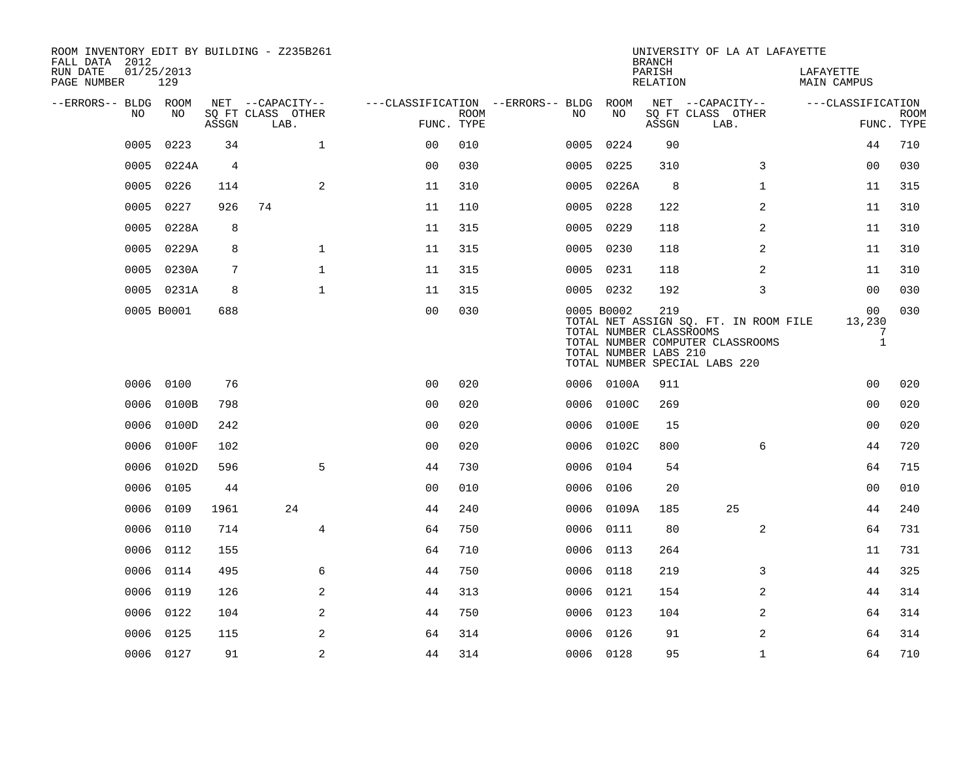| ROOM INVENTORY EDIT BY BUILDING - Z235B261<br>FALL DATA 2012 |                   |                |                           |                |             |                                   |                                                                | <b>BRANCH</b>             | UNIVERSITY OF LA AT LAFAYETTE                                                                              |                                   |                           |
|--------------------------------------------------------------|-------------------|----------------|---------------------------|----------------|-------------|-----------------------------------|----------------------------------------------------------------|---------------------------|------------------------------------------------------------------------------------------------------------|-----------------------------------|---------------------------|
| RUN DATE<br>PAGE NUMBER                                      | 01/25/2013<br>129 |                |                           |                |             |                                   |                                                                | PARISH<br><b>RELATION</b> |                                                                                                            | LAFAYETTE<br><b>MAIN CAMPUS</b>   |                           |
| --ERRORS-- BLDG ROOM                                         |                   |                | NET --CAPACITY--          |                |             | ---CLASSIFICATION --ERRORS-- BLDG | ROOM                                                           |                           | NET --CAPACITY--                                                                                           | ---CLASSIFICATION                 |                           |
| NO                                                           | NO                | ASSGN          | SQ FT CLASS OTHER<br>LAB. | FUNC. TYPE     | <b>ROOM</b> | NO.                               | NO                                                             | ASSGN                     | SQ FT CLASS OTHER<br>LAB.                                                                                  |                                   | <b>ROOM</b><br>FUNC. TYPE |
| 0005                                                         | 0223              | 34             | $\mathbf{1}$              | 0 <sub>0</sub> | 010         | 0005                              | 0224                                                           | 90                        |                                                                                                            | 44                                | 710                       |
| 0005                                                         | 0224A             | $\overline{4}$ |                           | 0 <sub>0</sub> | 030         | 0005                              | 0225                                                           | 310                       | 3                                                                                                          | 0 <sub>0</sub>                    | 030                       |
| 0005                                                         | 0226              | 114            | 2                         | 11             | 310         |                                   | 0005 0226A                                                     | 8                         | $\mathbf{1}$                                                                                               | 11                                | 315                       |
| 0005                                                         | 0227              | 926            | 74                        | 11             | 110         | 0005                              | 0228                                                           | 122                       | $\overline{a}$                                                                                             | 11                                | 310                       |
| 0005                                                         | 0228A             | 8              |                           | 11             | 315         |                                   | 0005 0229                                                      | 118                       | 2                                                                                                          | 11                                | 310                       |
| 0005                                                         | 0229A             | 8              | $\mathbf{1}$              | 11             | 315         |                                   | 0005 0230                                                      | 118                       | 2                                                                                                          | 11                                | 310                       |
| 0005                                                         | 0230A             | 7              | $\mathbf 1$               | 11             | 315         |                                   | 0005 0231                                                      | 118                       | 2                                                                                                          | 11                                | 310                       |
|                                                              | 0005 0231A        | 8              | $\mathbf{1}$              | 11             | 315         |                                   | 0005 0232                                                      | 192                       | 3                                                                                                          | 00                                | 030                       |
|                                                              | 0005 B0001        | 688            |                           | 0 <sub>0</sub> | 030         |                                   | 0005 B0002<br>TOTAL NUMBER CLASSROOMS<br>TOTAL NUMBER LABS 210 | 219                       | TOTAL NET ASSIGN SQ. FT. IN ROOM FILE<br>TOTAL NUMBER COMPUTER CLASSROOMS<br>TOTAL NUMBER SPECIAL LABS 220 | 00<br>13,230<br>7<br>$\mathbf{1}$ | 030                       |
| 0006                                                         | 0100              | 76             |                           | 0 <sup>0</sup> | 020         |                                   | 0006 0100A                                                     | 911                       |                                                                                                            | 0 <sub>0</sub>                    | 020                       |
| 0006                                                         | 0100B             | 798            |                           | 0 <sub>0</sub> | 020         |                                   | 0006 0100C                                                     | 269                       |                                                                                                            | 0 <sub>0</sub>                    | 020                       |
| 0006                                                         | 0100D             | 242            |                           | 0 <sub>0</sub> | 020         |                                   | 0006 0100E                                                     | 15                        |                                                                                                            | 0 <sub>0</sub>                    | 020                       |
| 0006                                                         | 0100F             | 102            |                           | 0 <sub>0</sub> | 020         | 0006                              | 0102C                                                          | 800                       | 6                                                                                                          | 44                                | 720                       |
| 0006                                                         | 0102D             | 596            | 5                         | 44             | 730         | 0006                              | 0104                                                           | 54                        |                                                                                                            | 64                                | 715                       |
| 0006                                                         | 0105              | 44             |                           | 0 <sub>0</sub> | 010         | 0006                              | 0106                                                           | 20                        |                                                                                                            | 0 <sub>0</sub>                    | 010                       |
| 0006                                                         | 0109              | 1961           | 24                        | 44             | 240         |                                   | 0006 0109A                                                     | 185                       | 25                                                                                                         | 44                                | 240                       |
| 0006                                                         | 0110              | 714            | $\overline{4}$            | 64             | 750         | 0006                              | 0111                                                           | 80                        | 2                                                                                                          | 64                                | 731                       |
| 0006                                                         | 0112              | 155            |                           | 64             | 710         |                                   | 0006 0113                                                      | 264                       |                                                                                                            | 11                                | 731                       |
| 0006                                                         | 0114              | 495            | 6                         | 44             | 750         | 0006                              | 0118                                                           | 219                       | 3                                                                                                          | 44                                | 325                       |
| 0006                                                         | 0119              | 126            | 2                         | 44             | 313         |                                   | 0006 0121                                                      | 154                       | 2                                                                                                          | 44                                | 314                       |
| 0006                                                         | 0122              | 104            | 2                         | 44             | 750         | 0006                              | 0123                                                           | 104                       | 2                                                                                                          | 64                                | 314                       |
| 0006                                                         | 0125              | 115            | 2                         | 64             | 314         | 0006                              | 0126                                                           | 91                        | 2                                                                                                          | 64                                | 314                       |
|                                                              | 0006 0127         | 91             | 2                         | 44             | 314         |                                   | 0006 0128                                                      | 95                        | $\mathbf{1}$                                                                                               | 64                                | 710                       |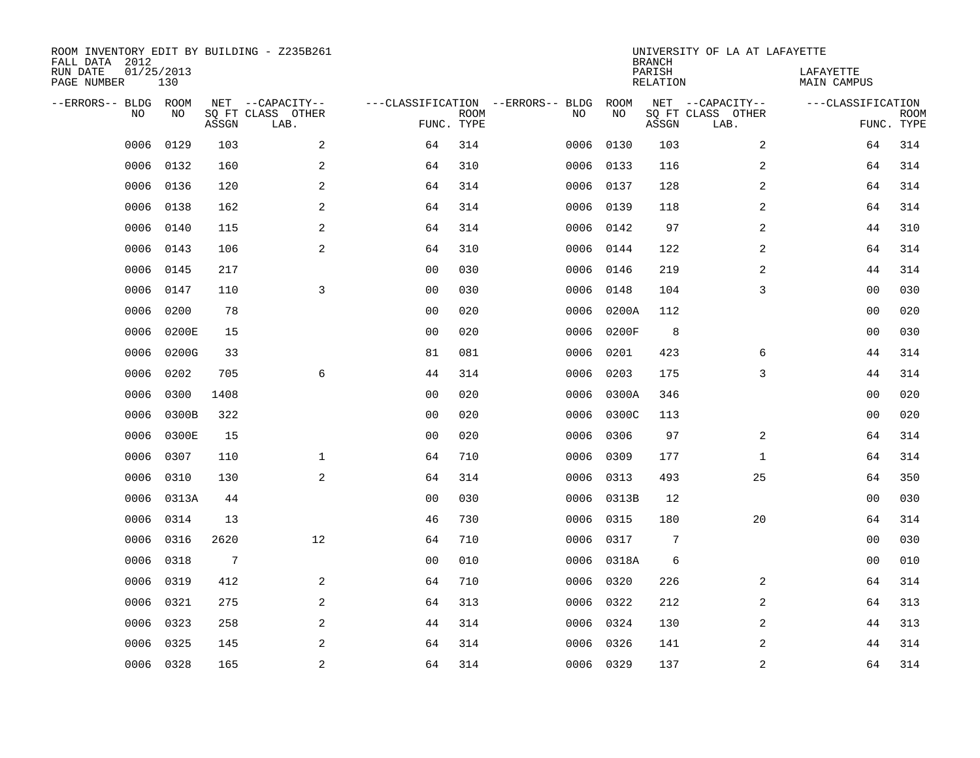| FALL DATA 2012<br>RUN DATE<br>PAGE NUMBER | 01/25/2013 | 130         |       | ROOM INVENTORY EDIT BY BUILDING - Z235B261    |                                                 |             |      |            | <b>BRANCH</b><br>PARISH<br>RELATION | UNIVERSITY OF LA AT LAFAYETTE                 | LAFAYETTE<br>MAIN CAMPUS        |             |
|-------------------------------------------|------------|-------------|-------|-----------------------------------------------|-------------------------------------------------|-------------|------|------------|-------------------------------------|-----------------------------------------------|---------------------------------|-------------|
| --ERRORS-- BLDG                           | <b>NO</b>  | ROOM<br>NO. | ASSGN | NET --CAPACITY--<br>SQ FT CLASS OTHER<br>LAB. | ---CLASSIFICATION --ERRORS-- BLDG<br>FUNC. TYPE | <b>ROOM</b> | NO   | ROOM<br>NO | ASSGN                               | NET --CAPACITY--<br>SQ FT CLASS OTHER<br>LAB. | ---CLASSIFICATION<br>FUNC. TYPE | <b>ROOM</b> |
|                                           | 0006       | 0129        | 103   | 2                                             | 64                                              | 314         | 0006 | 0130       | 103                                 | 2                                             | 64                              | 314         |
|                                           | 0006       | 0132        | 160   | 2                                             | 64                                              | 310         | 0006 | 0133       | 116                                 | $\overline{a}$                                | 64                              | 314         |
|                                           | 0006       | 0136        | 120   | 2                                             | 64                                              | 314         | 0006 | 0137       | 128                                 | $\overline{a}$                                | 64                              | 314         |
|                                           | 0006       | 0138        | 162   | $\overline{2}$                                | 64                                              | 314         | 0006 | 0139       | 118                                 | 2                                             | 64                              | 314         |
|                                           | 0006       | 0140        | 115   | $\overline{a}$                                | 64                                              | 314         | 0006 | 0142       | 97                                  | 2                                             | 44                              | 310         |
|                                           | 0006       | 0143        | 106   | 2                                             | 64                                              | 310         | 0006 | 0144       | 122                                 | 2                                             | 64                              | 314         |
|                                           | 0006       | 0145        | 217   |                                               | 0 <sub>0</sub>                                  | 030         | 0006 | 0146       | 219                                 | 2                                             | 44                              | 314         |
|                                           | 0006       | 0147        | 110   | 3                                             | 0 <sub>0</sub>                                  | 030         | 0006 | 0148       | 104                                 | 3                                             | 00                              | 030         |
|                                           | 0006       | 0200        | 78    |                                               | 0 <sub>0</sub>                                  | 020         | 0006 | 0200A      | 112                                 |                                               | 00                              | 020         |
|                                           | 0006       | 0200E       | 15    |                                               | 0 <sub>0</sub>                                  | 020         | 0006 | 0200F      | 8                                   |                                               | 00                              | 030         |
|                                           | 0006       | 0200G       | 33    |                                               | 81                                              | 081         | 0006 | 0201       | 423                                 | 6                                             | 44                              | 314         |
|                                           | 0006       | 0202        | 705   | 6                                             | 44                                              | 314         | 0006 | 0203       | 175                                 | 3                                             | 44                              | 314         |
|                                           | 0006       | 0300        | 1408  |                                               | 0 <sub>0</sub>                                  | 020         | 0006 | 0300A      | 346                                 |                                               | 00                              | 020         |
|                                           | 0006       | 0300B       | 322   |                                               | 0 <sub>0</sub>                                  | 020         | 0006 | 0300C      | 113                                 |                                               | 0 <sub>0</sub>                  | 020         |
|                                           | 0006       | 0300E       | 15    |                                               | 0 <sub>0</sub>                                  | 020         | 0006 | 0306       | 97                                  | $\overline{a}$                                | 64                              | 314         |
|                                           | 0006       | 0307        | 110   | $\mathbf 1$                                   | 64                                              | 710         | 0006 | 0309       | 177                                 | $\mathbf{1}$                                  | 64                              | 314         |
|                                           | 0006       | 0310        | 130   | 2                                             | 64                                              | 314         | 0006 | 0313       | 493                                 | 25                                            | 64                              | 350         |
|                                           | 0006       | 0313A       | 44    |                                               | 0 <sub>0</sub>                                  | 030         | 0006 | 0313B      | 12                                  |                                               | 00                              | 030         |
|                                           | 0006       | 0314        | 13    |                                               | 46                                              | 730         | 0006 | 0315       | 180                                 | 20                                            | 64                              | 314         |
|                                           | 0006       | 0316        | 2620  | 12                                            | 64                                              | 710         | 0006 | 0317       | 7                                   |                                               | 00                              | 030         |
|                                           | 0006       | 0318        | 7     |                                               | 0 <sub>0</sub>                                  | 010         | 0006 | 0318A      | 6                                   |                                               | 0 <sub>0</sub>                  | 010         |
|                                           | 0006       | 0319        | 412   | 2                                             | 64                                              | 710         | 0006 | 0320       | 226                                 | 2                                             | 64                              | 314         |
|                                           | 0006       | 0321        | 275   | 2                                             | 64                                              | 313         | 0006 | 0322       | 212                                 | 2                                             | 64                              | 313         |
|                                           | 0006       | 0323        | 258   | 2                                             | 44                                              | 314         | 0006 | 0324       | 130                                 | 2                                             | 44                              | 313         |
|                                           | 0006       | 0325        | 145   | 2                                             | 64                                              | 314         | 0006 | 0326       | 141                                 | 2                                             | 44                              | 314         |
|                                           | 0006 0328  |             | 165   | $\overline{c}$                                | 64                                              | 314         |      | 0006 0329  | 137                                 | $\overline{\mathbf{c}}$                       | 64                              | 314         |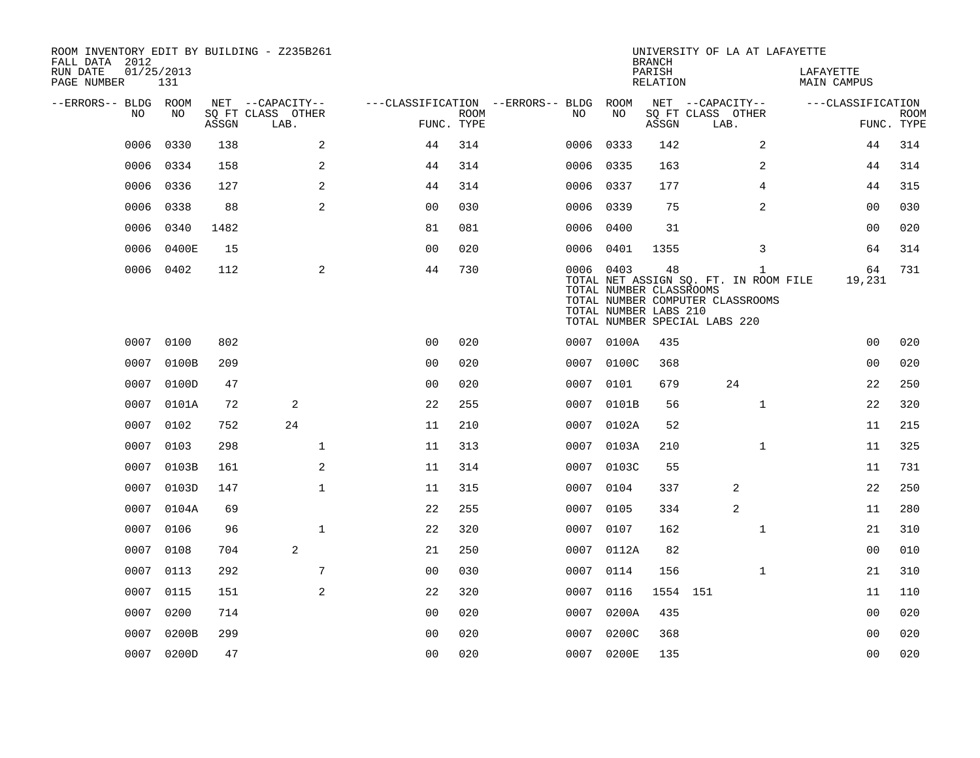| ROOM INVENTORY EDIT BY BUILDING - Z235B261<br>FALL DATA 2012 |                   |       |                           |                                        |                           |           |                                                  | <b>BRANCH</b>      |                               | UNIVERSITY OF LA AT LAFAYETTE                                                             |                                 |                   |                           |
|--------------------------------------------------------------|-------------------|-------|---------------------------|----------------------------------------|---------------------------|-----------|--------------------------------------------------|--------------------|-------------------------------|-------------------------------------------------------------------------------------------|---------------------------------|-------------------|---------------------------|
| RUN DATE<br>PAGE NUMBER                                      | 01/25/2013<br>131 |       |                           |                                        |                           |           |                                                  | PARISH<br>RELATION |                               |                                                                                           | LAFAYETTE<br><b>MAIN CAMPUS</b> |                   |                           |
| --ERRORS-- BLDG ROOM                                         |                   |       | NET --CAPACITY--          | ---CLASSIFICATION --ERRORS-- BLDG ROOM |                           |           |                                                  |                    | NET --CAPACITY--              |                                                                                           |                                 | ---CLASSIFICATION |                           |
| NO                                                           | NO                | ASSGN | SQ FT CLASS OTHER<br>LAB. |                                        | <b>ROOM</b><br>FUNC. TYPE | NO.       | NO                                               | ASSGN              | SQ FT CLASS OTHER<br>LAB.     |                                                                                           |                                 |                   | <b>ROOM</b><br>FUNC. TYPE |
| 0006                                                         | 0330              | 138   | 2                         | 44                                     | 314                       | 0006 0333 |                                                  | 142                |                               | 2                                                                                         |                                 | 44                | 314                       |
| 0006                                                         | 0334              | 158   | 2                         | 44                                     | 314                       | 0006 0335 |                                                  | 163                |                               | 2                                                                                         |                                 | 44                | 314                       |
| 0006                                                         | 0336              | 127   | 2                         | 44                                     | 314                       | 0006 0337 |                                                  | 177                |                               | 4                                                                                         |                                 | 44                | 315                       |
| 0006                                                         | 0338              | 88    | 2                         | 00                                     | 030                       | 0006      | 0339                                             | 75                 |                               | 2                                                                                         |                                 | 0 <sub>0</sub>    | 030                       |
| 0006                                                         | 0340              | 1482  |                           | 81                                     | 081                       | 0006 0400 |                                                  | 31                 |                               |                                                                                           |                                 | 0 <sub>0</sub>    | 020                       |
| 0006                                                         | 0400E             | 15    |                           | 0 <sub>0</sub>                         | 020                       | 0006 0401 |                                                  | 1355               |                               | 3                                                                                         |                                 | 64                | 314                       |
|                                                              | 0006 0402         | 112   | 2                         | 44                                     | 730                       | 0006 0403 | TOTAL NUMBER CLASSROOMS<br>TOTAL NUMBER LABS 210 | 48                 | TOTAL NUMBER SPECIAL LABS 220 | $\mathbf{1}$<br>TOTAL NET ASSIGN SQ. FT. IN ROOM FILE<br>TOTAL NUMBER COMPUTER CLASSROOMS |                                 | 64<br>19,231      | 731                       |
|                                                              | 0007 0100         | 802   |                           | 0 <sub>0</sub>                         | 020                       |           | 0007 0100A                                       | 435                |                               |                                                                                           |                                 | 0 <sub>0</sub>    | 020                       |
| 0007                                                         | 0100B             | 209   |                           | 0 <sub>0</sub>                         | 020                       |           | 0007 0100C                                       | 368                |                               |                                                                                           |                                 | 0 <sub>0</sub>    | 020                       |
|                                                              | 0007 0100D        | 47    |                           | 0 <sub>0</sub>                         | 020                       | 0007 0101 |                                                  | 679                |                               | 24                                                                                        |                                 | 22                | 250                       |
| 0007                                                         | 0101A             | 72    | 2                         | 22                                     | 255                       | 0007      | 0101B                                            | 56                 |                               | $\mathbf{1}$                                                                              |                                 | 22                | 320                       |
| 0007                                                         | 0102              | 752   | 24                        | 11                                     | 210                       |           | 0007 0102A                                       | 52                 |                               |                                                                                           |                                 | 11                | 215                       |
| 0007                                                         | 0103              | 298   | $\mathbf 1$               | 11                                     | 313                       | 0007      | 0103A                                            | 210                |                               | $\mathbf{1}$                                                                              |                                 | 11                | 325                       |
| 0007                                                         | 0103B             | 161   | 2                         | 11                                     | 314                       |           | 0007 0103C                                       | 55                 |                               |                                                                                           |                                 | 11                | 731                       |
| 0007                                                         | 0103D             | 147   | $\mathbf{1}$              | 11                                     | 315                       | 0007      | 0104                                             | 337                |                               | 2                                                                                         |                                 | 22                | 250                       |
| 0007                                                         | 0104A             | 69    |                           | 22                                     | 255                       | 0007 0105 |                                                  | 334                |                               | 2                                                                                         |                                 | 11                | 280                       |
| 0007                                                         | 0106              | 96    | $\mathbf{1}$              | 22                                     | 320                       | 0007      | 0107                                             | 162                |                               | $\mathbf{1}$                                                                              |                                 | 21                | 310                       |
| 0007                                                         | 0108              | 704   | 2                         | 21                                     | 250                       |           | 0007 0112A                                       | 82                 |                               |                                                                                           |                                 | 00                | 010                       |
| 0007                                                         | 0113              | 292   | 7                         | 0 <sub>0</sub>                         | 030                       | 0007      | 0114                                             | 156                |                               | $\mathbf{1}$                                                                              |                                 | 21                | 310                       |
| 0007                                                         | 0115              | 151   | 2                         | 22                                     | 320                       | 0007 0116 |                                                  | 1554 151           |                               |                                                                                           |                                 | 11                | 110                       |
| 0007                                                         | 0200              | 714   |                           | 00                                     | 020                       | 0007      | 0200A                                            | 435                |                               |                                                                                           |                                 | 00                | 020                       |
| 0007                                                         | 0200B             | 299   |                           | 0 <sub>0</sub>                         | 020                       | 0007      | 0200C                                            | 368                |                               |                                                                                           |                                 | 0 <sub>0</sub>    | 020                       |
|                                                              | 0007 0200D        | 47    |                           | 0 <sub>0</sub>                         | 020                       |           | 0007 0200E                                       | 135                |                               |                                                                                           |                                 | 0 <sub>0</sub>    | 020                       |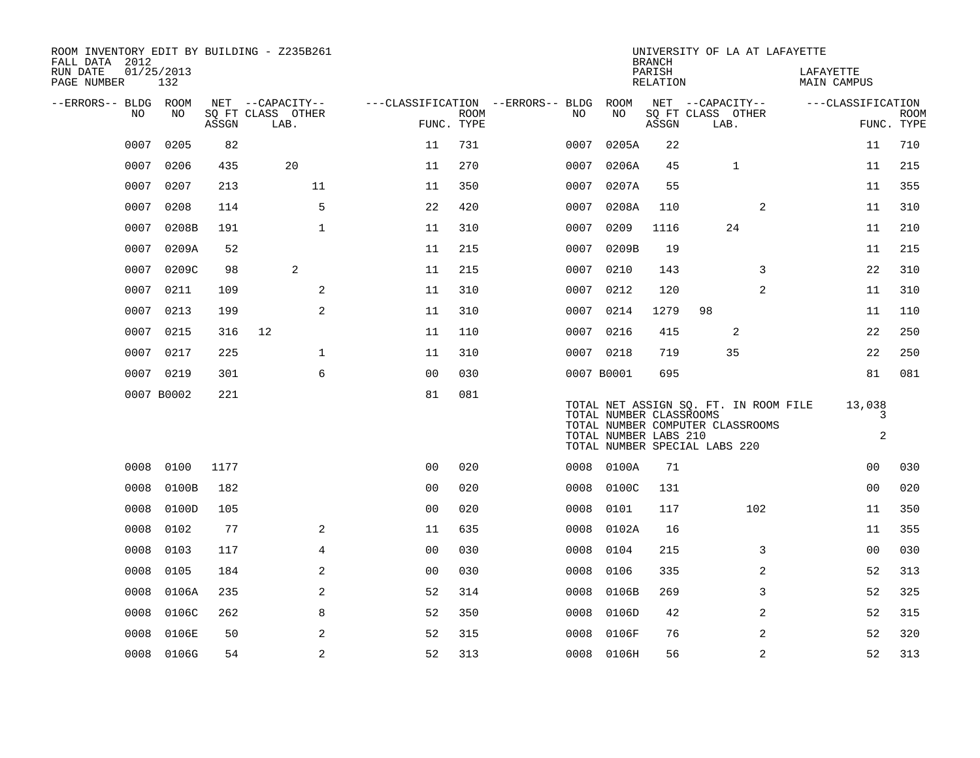| ROOM INVENTORY EDIT BY BUILDING - Z235B261<br>FALL DATA 2012 |                   |       |                           |                |             |                                   |                                                  | <b>BRANCH</b>      | UNIVERSITY OF LA AT LAFAYETTE                                                                              |                                 |                           |
|--------------------------------------------------------------|-------------------|-------|---------------------------|----------------|-------------|-----------------------------------|--------------------------------------------------|--------------------|------------------------------------------------------------------------------------------------------------|---------------------------------|---------------------------|
| RUN DATE<br>PAGE NUMBER                                      | 01/25/2013<br>132 |       |                           |                |             |                                   |                                                  | PARISH<br>RELATION |                                                                                                            | LAFAYETTE<br><b>MAIN CAMPUS</b> |                           |
| --ERRORS-- BLDG ROOM                                         |                   |       | NET --CAPACITY--          |                |             | ---CLASSIFICATION --ERRORS-- BLDG | ROOM                                             |                    | NET --CAPACITY--                                                                                           | ---CLASSIFICATION               |                           |
| NO.                                                          | NO.               | ASSGN | SQ FT CLASS OTHER<br>LAB. | FUNC. TYPE     | <b>ROOM</b> | NO.                               | NO                                               | ASSGN              | SQ FT CLASS OTHER<br>LAB.                                                                                  |                                 | <b>ROOM</b><br>FUNC. TYPE |
| 0007                                                         | 0205              | 82    |                           | 11             | 731         | 0007                              | 0205A                                            | 22                 |                                                                                                            | 11                              | 710                       |
| 0007                                                         | 0206              | 435   | 20                        | 11             | 270         | 0007                              | 0206A                                            | 45                 | $\mathbf{1}$                                                                                               | 11                              | 215                       |
| 0007                                                         | 0207              | 213   | 11                        | 11             | 350         | 0007                              | 0207A                                            | 55                 |                                                                                                            | 11                              | 355                       |
| 0007                                                         | 0208              | 114   | 5                         | 22             | 420         | 0007                              | 0208A                                            | 110                | 2                                                                                                          | 11                              | 310                       |
| 0007                                                         | 0208B             | 191   | $\mathbf{1}$              | 11             | 310         | 0007                              | 0209                                             | 1116               | 24                                                                                                         | 11                              | 210                       |
| 0007                                                         | 0209A             | 52    |                           | 11             | 215         | 0007                              | 0209B                                            | 19                 |                                                                                                            | 11                              | 215                       |
| 0007                                                         | 0209C             | 98    | 2                         | 11             | 215         | 0007                              | 0210                                             | 143                | 3                                                                                                          | 22                              | 310                       |
| 0007                                                         | 0211              | 109   | 2                         | 11             | 310         | 0007                              | 0212                                             | 120                | $\overline{a}$                                                                                             | 11                              | 310                       |
| 0007                                                         | 0213              | 199   | 2                         | 11             | 310         |                                   | 0007 0214                                        | 1279               | 98                                                                                                         | 11                              | 110                       |
| 0007                                                         | 0215              | 316   | 12                        | 11             | 110         | 0007                              | 0216                                             | 415                | 2                                                                                                          | 22                              | 250                       |
| 0007                                                         | 0217              | 225   | $\mathbf 1$               | 11             | 310         |                                   | 0007 0218                                        | 719                | 35                                                                                                         | 22                              | 250                       |
| 0007                                                         | 0219              | 301   | 6                         | 00             | 030         |                                   | 0007 B0001                                       | 695                |                                                                                                            | 81                              | 081                       |
|                                                              | 0007 B0002        | 221   |                           | 81             | 081         |                                   | TOTAL NUMBER CLASSROOMS<br>TOTAL NUMBER LABS 210 |                    | TOTAL NET ASSIGN SQ. FT. IN ROOM FILE<br>TOTAL NUMBER COMPUTER CLASSROOMS<br>TOTAL NUMBER SPECIAL LABS 220 | 13,038<br>3<br>$\overline{a}$   |                           |
| 0008                                                         | 0100              | 1177  |                           | 0 <sub>0</sub> | 020         | 0008                              | 0100A                                            | 71                 |                                                                                                            | 0 <sub>0</sub>                  | 030                       |
| 0008                                                         | 0100B             | 182   |                           | 0 <sub>0</sub> | 020         | 0008                              | 0100C                                            | 131                |                                                                                                            | 0 <sub>0</sub>                  | 020                       |
| 0008                                                         | 0100D             | 105   |                           | 0 <sub>0</sub> | 020         | 0008                              | 0101                                             | 117                | 102                                                                                                        | 11                              | 350                       |
| 0008                                                         | 0102              | 77    | 2                         | 11             | 635         | 0008                              | 0102A                                            | 16                 |                                                                                                            | 11                              | 355                       |
| 0008                                                         | 0103              | 117   | $\overline{4}$            | 0 <sub>0</sub> | 030         | 0008                              | 0104                                             | 215                | 3                                                                                                          | 0 <sub>0</sub>                  | 030                       |
| 0008                                                         | 0105              | 184   | 2                         | 0 <sub>0</sub> | 030         | 0008                              | 0106                                             | 335                | 2                                                                                                          | 52                              | 313                       |
| 0008                                                         | 0106A             | 235   | 2                         | 52             | 314         | 0008                              | 0106B                                            | 269                | 3                                                                                                          | 52                              | 325                       |
| 0008                                                         | 0106C             | 262   | 8                         | 52             | 350         | 0008                              | 0106D                                            | 42                 | 2                                                                                                          | 52                              | 315                       |
| 0008                                                         | 0106E             | 50    | 2                         | 52             | 315         | 0008                              | 0106F                                            | 76                 | 2                                                                                                          | 52                              | 320                       |
|                                                              | 0008 0106G        | 54    | $\overline{a}$            | 52             | 313         |                                   | 0008 0106H                                       | 56                 | 2                                                                                                          | 52                              | 313                       |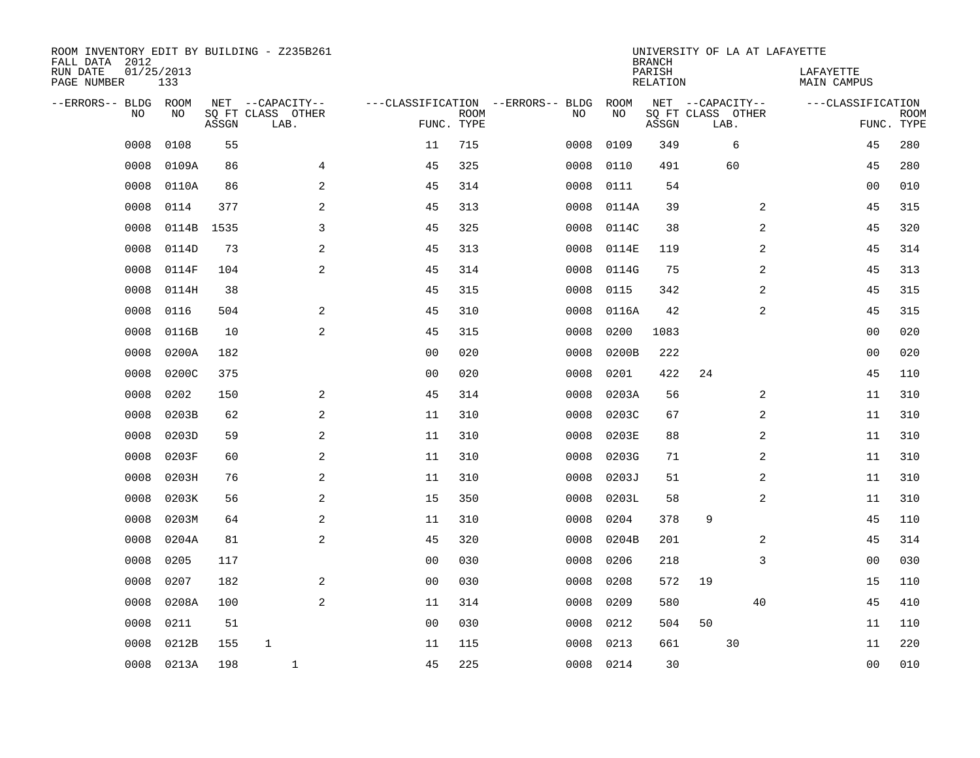| ROOM INVENTORY EDIT BY BUILDING - Z235B261<br>FALL DATA 2012 |                   |       |                           |                |                           |                                   |           | <b>BRANCH</b>             | UNIVERSITY OF LA AT LAFAYETTE |                          |                           |
|--------------------------------------------------------------|-------------------|-------|---------------------------|----------------|---------------------------|-----------------------------------|-----------|---------------------------|-------------------------------|--------------------------|---------------------------|
| RUN DATE<br>PAGE NUMBER                                      | 01/25/2013<br>133 |       |                           |                |                           |                                   |           | PARISH<br><b>RELATION</b> |                               | LAFAYETTE<br>MAIN CAMPUS |                           |
| --ERRORS-- BLDG                                              | ROOM              |       | NET --CAPACITY--          |                |                           | ---CLASSIFICATION --ERRORS-- BLDG | ROOM      |                           | NET --CAPACITY--              | ---CLASSIFICATION        |                           |
| NO                                                           | NO.               | ASSGN | SQ FT CLASS OTHER<br>LAB. |                | <b>ROOM</b><br>FUNC. TYPE | NO                                | NO        | ASSGN                     | SQ FT CLASS OTHER<br>LAB.     |                          | <b>ROOM</b><br>FUNC. TYPE |
| 0008                                                         | 0108              | 55    |                           | 11             | 715                       | 0008                              | 0109      | 349                       | 6                             | 45                       | 280                       |
| 0008                                                         | 0109A             | 86    | 4                         | 45             | 325                       | 0008                              | 0110      | 491                       | 60                            | 45                       | 280                       |
| 0008                                                         | 0110A             | 86    | 2                         | 45             | 314                       | 0008                              | 0111      | 54                        |                               | 0 <sub>0</sub>           | 010                       |
| 0008                                                         | 0114              | 377   | 2                         | 45             | 313                       | 0008                              | 0114A     | 39                        | 2                             | 45                       | 315                       |
| 0008                                                         | 0114B             | 1535  | 3                         | 45             | 325                       | 0008                              | 0114C     | 38                        | $\overline{a}$                | 45                       | 320                       |
| 0008                                                         | 0114D             | 73    | $\mathbf{2}$              | 45             | 313                       | 0008                              | 0114E     | 119                       | 2                             | 45                       | 314                       |
| 0008                                                         | 0114F             | 104   | 2                         | 45             | 314                       | 0008                              | 0114G     | 75                        | 2                             | 45                       | 313                       |
| 0008                                                         | 0114H             | 38    |                           | 45             | 315                       | 0008                              | 0115      | 342                       | 2                             | 45                       | 315                       |
| 0008                                                         | 0116              | 504   | 2                         | 45             | 310                       | 0008                              | 0116A     | 42                        | 2                             | 45                       | 315                       |
| 0008                                                         | 0116B             | 10    | 2                         | 45             | 315                       | 0008                              | 0200      | 1083                      |                               | 00                       | 020                       |
| 0008                                                         | 0200A             | 182   |                           | 0 <sub>0</sub> | 020                       | 0008                              | 0200B     | 222                       |                               | 00                       | 020                       |
| 0008                                                         | 0200C             | 375   |                           | 0 <sub>0</sub> | 020                       | 0008                              | 0201      | 422                       | 24                            | 45                       | 110                       |
| 0008                                                         | 0202              | 150   | 2                         | 45             | 314                       | 0008                              | 0203A     | 56                        | 2                             | 11                       | 310                       |
| 0008                                                         | 0203B             | 62    | 2                         | 11             | 310                       | 0008                              | 0203C     | 67                        | 2                             | 11                       | 310                       |
| 0008                                                         | 0203D             | 59    | 2                         | 11             | 310                       | 0008                              | 0203E     | 88                        | 2                             | 11                       | 310                       |
| 0008                                                         | 0203F             | 60    | 2                         | 11             | 310                       | 0008                              | 0203G     | 71                        | 2                             | 11                       | 310                       |
| 0008                                                         | 0203H             | 76    | 2                         | 11             | 310                       | 0008                              | 0203J     | 51                        | 2                             | 11                       | 310                       |
| 0008                                                         | 0203K             | 56    | 2                         | 15             | 350                       | 0008                              | 0203L     | 58                        | 2                             | 11                       | 310                       |
| 0008                                                         | 0203M             | 64    | 2                         | 11             | 310                       | 0008                              | 0204      | 378                       | 9                             | 45                       | 110                       |
| 0008                                                         | 0204A             | 81    | 2                         | 45             | 320                       | 0008                              | 0204B     | 201                       | 2                             | 45                       | 314                       |
| 0008                                                         | 0205              | 117   |                           | 0 <sub>0</sub> | 030                       | 0008                              | 0206      | 218                       | 3                             | 0 <sub>0</sub>           | 030                       |
| 0008                                                         | 0207              | 182   | $\overline{a}$            | 0 <sub>0</sub> | 030                       | 0008                              | 0208      | 572                       | 19                            | 15                       | 110                       |
| 0008                                                         | 0208A             | 100   | 2                         | 11             | 314                       | 0008                              | 0209      | 580                       | 40                            | 45                       | 410                       |
| 0008                                                         | 0211              | 51    |                           | 0 <sub>0</sub> | 030                       | 0008                              | 0212      | 504                       | 50                            | 11                       | 110                       |
| 0008                                                         | 0212B             | 155   | $\mathbf{1}$              | 11             | 115                       | 0008                              | 0213      | 661                       | 30                            | 11                       | 220                       |
|                                                              | 0008 0213A        | 198   | $\mathbf{1}$              | 45             | 225                       |                                   | 0008 0214 | 30                        |                               | 0 <sub>0</sub>           | 010                       |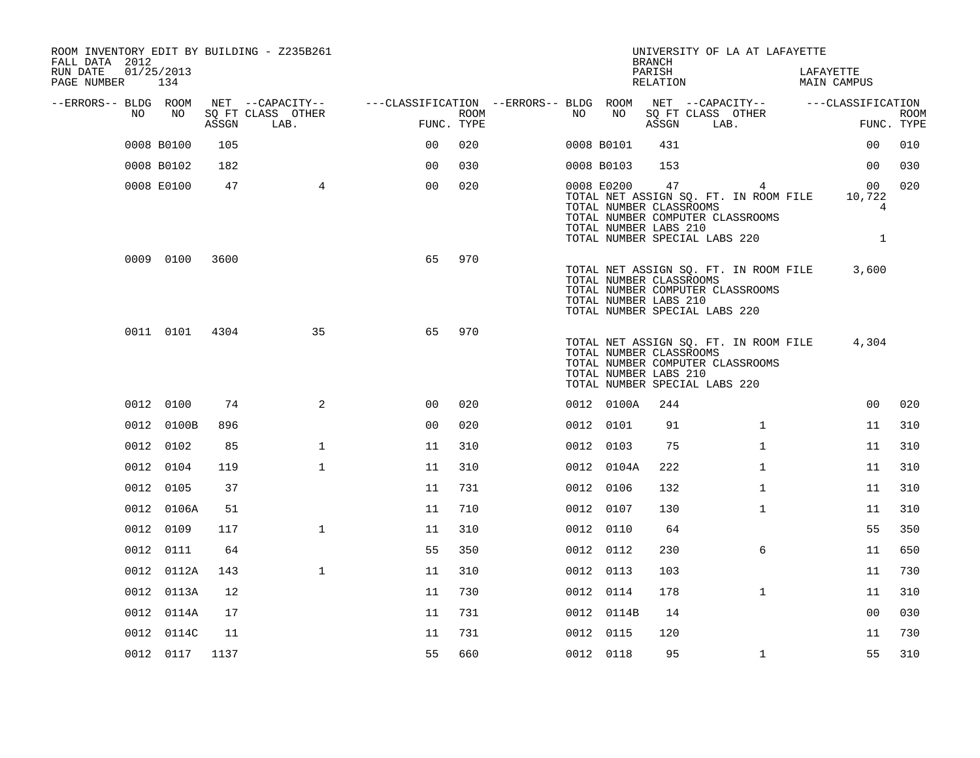| ROOM INVENTORY EDIT BY BUILDING - Z235B261<br>FALL DATA 2012 |                |       |                           |                                        |      |      |            | <b>BRANCH</b>                                          | UNIVERSITY OF LA AT LAFAYETTE                                                                                   |                                 |                           |
|--------------------------------------------------------------|----------------|-------|---------------------------|----------------------------------------|------|------|------------|--------------------------------------------------------|-----------------------------------------------------------------------------------------------------------------|---------------------------------|---------------------------|
| RUN DATE<br>PAGE NUMBER 134                                  | 01/25/2013     |       |                           |                                        |      |      |            | PARISH<br>RELATION                                     |                                                                                                                 | LAFAYETTE<br><b>MAIN CAMPUS</b> |                           |
| --ERRORS-- BLDG ROOM<br>NO                                   | NO             |       | NET --CAPACITY--          | ---CLASSIFICATION --ERRORS-- BLDG ROOM | ROOM | NO . | NO         |                                                        | NET --CAPACITY-- ---CLASSIFICATION                                                                              |                                 |                           |
|                                                              |                | ASSGN | SQ FT CLASS OTHER<br>LAB. | FUNC. TYPE                             |      |      |            | ASSGN                                                  | SQ FT CLASS OTHER<br>LAB.                                                                                       |                                 | <b>ROOM</b><br>FUNC. TYPE |
|                                                              | 0008 B0100     | 105   |                           | 0 <sup>0</sup>                         | 020  |      | 0008 B0101 | 431                                                    |                                                                                                                 | 0 <sub>0</sub>                  | 010                       |
|                                                              | 0008 B0102     | 182   |                           | 0 <sub>0</sub>                         | 030  |      | 0008 B0103 | 153                                                    |                                                                                                                 | 0 <sub>0</sub>                  | 030                       |
|                                                              | 0008 E0100     | 47    | $\overline{4}$            | 0 <sub>0</sub>                         | 020  |      | 0008 E0200 | 47<br>TOTAL NUMBER CLASSROOMS<br>TOTAL NUMBER LABS 210 | 4<br>TOTAL NET ASSIGN SQ. FT. IN ROOM FILE<br>TOTAL NUMBER COMPUTER CLASSROOMS<br>TOTAL NUMBER SPECIAL LABS 220 | 00<br>10,722<br>4<br>1          | 020                       |
|                                                              | 0009 0100      | 3600  |                           | 65                                     | 970  |      |            | TOTAL NUMBER CLASSROOMS<br>TOTAL NUMBER LABS 210       | TOTAL NET ASSIGN SQ. FT. IN ROOM FILE<br>TOTAL NUMBER COMPUTER CLASSROOMS<br>TOTAL NUMBER SPECIAL LABS 220      | 3,600                           |                           |
|                                                              | 0011 0101 4304 |       | 35                        | 65                                     | 970  |      |            | TOTAL NUMBER CLASSROOMS<br>TOTAL NUMBER LABS 210       | TOTAL NET ASSIGN SQ. FT. IN ROOM FILE<br>TOTAL NUMBER COMPUTER CLASSROOMS<br>TOTAL NUMBER SPECIAL LABS 220      | 4,304                           |                           |
|                                                              | 0012 0100      | 74    | 2                         | 0 <sub>0</sub>                         | 020  |      | 0012 0100A | 244                                                    |                                                                                                                 | 00                              | 020                       |
|                                                              | 0012 0100B     | 896   |                           | 0 <sub>0</sub>                         | 020  |      | 0012 0101  | 91                                                     | $\mathbf{1}$                                                                                                    | 11                              | 310                       |
|                                                              | 0012 0102      | 85    | $\mathbf{1}$              | 11                                     | 310  |      | 0012 0103  | 75                                                     | $\mathbf{1}$                                                                                                    | 11                              | 310                       |
|                                                              | 0012 0104      | 119   | $\mathbf{1}$              | 11                                     | 310  |      | 0012 0104A | 222                                                    | $\mathbf{1}$                                                                                                    | 11                              | 310                       |
|                                                              | 0012 0105      | 37    |                           | 11                                     | 731  |      | 0012 0106  | 132                                                    | $\mathbf{1}$                                                                                                    | 11                              | 310                       |
|                                                              | 0012 0106A     | 51    |                           | 11                                     | 710  |      | 0012 0107  | 130                                                    | $\mathbf{1}$                                                                                                    | 11                              | 310                       |
|                                                              | 0012 0109      | 117   | $\mathbf{1}$              | 11                                     | 310  |      | 0012 0110  | 64                                                     |                                                                                                                 | 55                              | 350                       |
|                                                              | 0012 0111      | 64    |                           | 55                                     | 350  |      | 0012 0112  | 230                                                    | 6                                                                                                               | 11                              | 650                       |
|                                                              | 0012 0112A     | 143   | $\mathbf{1}$              | 11                                     | 310  |      | 0012 0113  | 103                                                    |                                                                                                                 | 11                              | 730                       |
|                                                              | 0012 0113A     | 12    |                           | 11                                     | 730  |      | 0012 0114  | 178                                                    | $\mathbf{1}$                                                                                                    | 11                              | 310                       |
|                                                              | 0012 0114A     | 17    |                           | 11                                     | 731  |      | 0012 0114B | 14                                                     |                                                                                                                 | 0 <sub>0</sub>                  | 030                       |
|                                                              | 0012 0114C     | 11    |                           | 11                                     | 731  |      | 0012 0115  | 120                                                    |                                                                                                                 | 11                              | 730                       |
|                                                              | 0012 0117      | 1137  |                           | 55                                     | 660  |      | 0012 0118  | 95                                                     | $\mathbf{1}$                                                                                                    | 55                              | 310                       |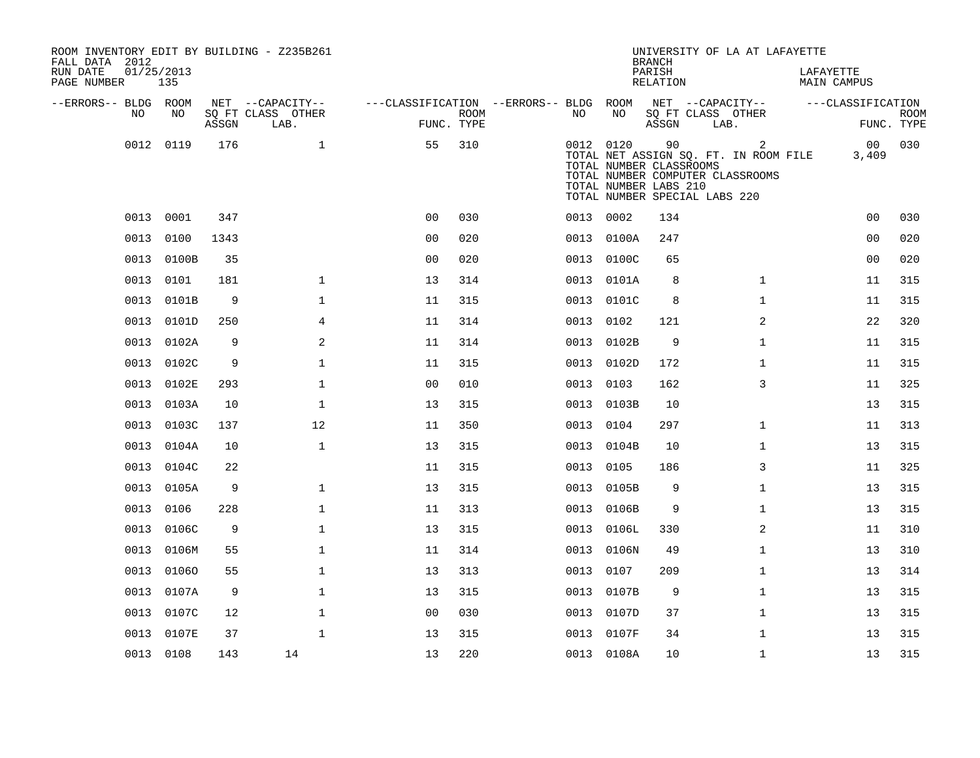| ROOM INVENTORY EDIT BY BUILDING - Z235B261<br>FALL DATA 2012 |                   |       |                           |                                        |                           |           |                                                                                                | <b>BRANCH</b>      | UNIVERSITY OF LA AT LAFAYETTE                                                               |           |                    |                           |
|--------------------------------------------------------------|-------------------|-------|---------------------------|----------------------------------------|---------------------------|-----------|------------------------------------------------------------------------------------------------|--------------------|---------------------------------------------------------------------------------------------|-----------|--------------------|---------------------------|
| RUN DATE<br>PAGE NUMBER                                      | 01/25/2013<br>135 |       |                           |                                        |                           |           |                                                                                                | PARISH<br>RELATION |                                                                                             | LAFAYETTE | <b>MAIN CAMPUS</b> |                           |
| --ERRORS-- BLDG ROOM                                         |                   |       | NET --CAPACITY--          | ---CLASSIFICATION --ERRORS-- BLDG ROOM |                           |           |                                                                                                |                    | NET --CAPACITY--                                                                            |           | ---CLASSIFICATION  |                           |
| NO                                                           | NO                | ASSGN | SQ FT CLASS OTHER<br>LAB. |                                        | <b>ROOM</b><br>FUNC. TYPE | NO        | NO                                                                                             | ASSGN              | SQ FT CLASS OTHER<br>LAB.                                                                   |           |                    | <b>ROOM</b><br>FUNC. TYPE |
| 0012                                                         | 0119              | 176   | $\mathbf{1}$              | 55                                     | 310                       |           | 0012 0120<br>TOTAL NUMBER CLASSROOMS<br>TOTAL NUMBER LABS 210<br>TOTAL NUMBER SPECIAL LABS 220 | 90                 | $\overline{2}$<br>TOTAL NET ASSIGN SQ. FT. IN ROOM FILE<br>TOTAL NUMBER COMPUTER CLASSROOMS |           | 00<br>3,409        | 030                       |
| 0013                                                         | 0001              | 347   |                           | 0 <sup>0</sup>                         | 030                       | 0013 0002 |                                                                                                | 134                |                                                                                             |           | 0 <sub>0</sub>     | 030                       |
| 0013                                                         | 0100              | 1343  |                           | 0 <sub>0</sub>                         | 020                       | 0013      | 0100A                                                                                          | 247                |                                                                                             |           | 0 <sub>0</sub>     | 020                       |
| 0013                                                         | 0100B             | 35    |                           | 0 <sub>0</sub>                         | 020                       | 0013      | 0100C                                                                                          | 65                 |                                                                                             |           | 00                 | 020                       |
| 0013                                                         | 0101              | 181   | $\mathbf 1$               | 13                                     | 314                       | 0013      | 0101A                                                                                          | 8                  | $\mathbf{1}$                                                                                |           | 11                 | 315                       |
| 0013                                                         | 0101B             | 9     | 1                         | 11                                     | 315                       | 0013      | 0101C                                                                                          | 8                  | $\mathbf{1}$                                                                                |           | 11                 | 315                       |
| 0013                                                         | 0101D             | 250   | 4                         | 11                                     | 314                       | 0013      | 0102                                                                                           | 121                | 2                                                                                           |           | 22                 | 320                       |
| 0013                                                         | 0102A             | 9     | 2                         | 11                                     | 314                       | 0013      | 0102B                                                                                          | 9                  | $\mathbf{1}$                                                                                |           | 11                 | 315                       |
| 0013                                                         | 0102C             | 9     | $\mathbf 1$               | 11                                     | 315                       | 0013      | 0102D                                                                                          | 172                | $\mathbf{1}$                                                                                |           | 11                 | 315                       |
| 0013                                                         | 0102E             | 293   | $\mathbf{1}$              | 0 <sub>0</sub>                         | 010                       |           | 0013 0103                                                                                      | 162                | 3                                                                                           |           | 11                 | 325                       |
| 0013                                                         | 0103A             | 10    | $\mathbf{1}$              | 13                                     | 315                       | 0013      | 0103B                                                                                          | 10                 |                                                                                             |           | 13                 | 315                       |
| 0013                                                         | 0103C             | 137   | 12                        | 11                                     | 350                       | 0013      | 0104                                                                                           | 297                | $\mathbf{1}$                                                                                |           | 11                 | 313                       |
|                                                              | 0013 0104A        | 10    | $\mathbf{1}$              | 13                                     | 315                       |           | 0013 0104B                                                                                     | 10                 | $\mathbf{1}$                                                                                |           | 13                 | 315                       |
|                                                              | 0013 0104C        | 22    |                           | 11                                     | 315                       | 0013      | 0105                                                                                           | 186                | 3                                                                                           |           | 11                 | 325                       |
| 0013                                                         | 0105A             | 9     | $\mathbf{1}$              | 13                                     | 315                       | 0013      | 0105B                                                                                          | 9                  | $\mathbf{1}$                                                                                |           | 13                 | 315                       |
| 0013                                                         | 0106              | 228   | $\mathbf{1}$              | 11                                     | 313                       |           | 0013 0106B                                                                                     | 9                  | $\mathbf{1}$                                                                                |           | 13                 | 315                       |
| 0013                                                         | 0106C             | 9     | $\mathbf{1}$              | 13                                     | 315                       | 0013      | 0106L                                                                                          | 330                | $\overline{a}$                                                                              |           | 11                 | 310                       |
| 0013                                                         | 0106M             | 55    | $\mathbf 1$               | 11                                     | 314                       | 0013      | 0106N                                                                                          | 49                 | $\mathbf{1}$                                                                                |           | 13                 | 310                       |
| 0013                                                         | 01060             | 55    | $\mathbf 1$               | 13                                     | 313                       | 0013      | 0107                                                                                           | 209                | $\mathbf{1}$                                                                                |           | 13                 | 314                       |
| 0013                                                         | 0107A             | 9     | $\mathbf{1}$              | 13                                     | 315                       |           | 0013 0107B                                                                                     | 9                  | $\mathbf{1}$                                                                                |           | 13                 | 315                       |
| 0013                                                         | 0107C             | 12    | $\mathbf 1$               | 0 <sub>0</sub>                         | 030                       | 0013      | 0107D                                                                                          | 37                 | $\mathbf{1}$                                                                                |           | 13                 | 315                       |
| 0013                                                         | 0107E             | 37    | $\mathbf 1$               | 13                                     | 315                       | 0013      | 0107F                                                                                          | 34                 | $\mathbf{1}$                                                                                |           | 13                 | 315                       |
|                                                              | 0013 0108         | 143   | 14                        | 13                                     | 220                       |           | 0013 0108A                                                                                     | 10                 | $\mathbf{1}$                                                                                |           | 13                 | 315                       |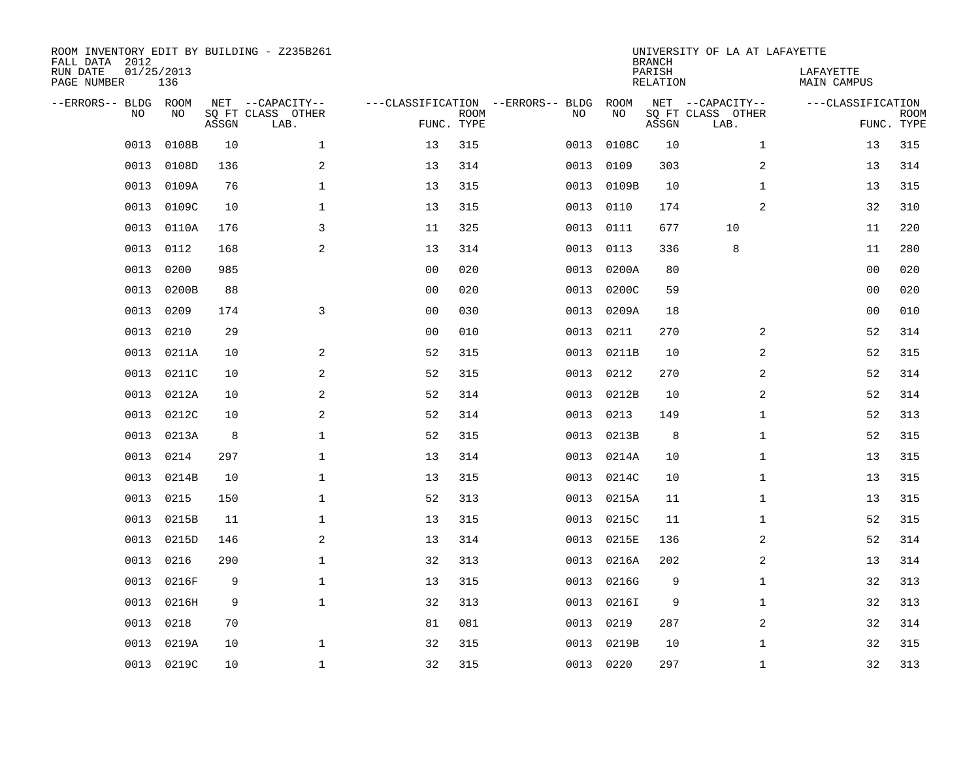| FALL DATA 2012<br>RUN DATE<br>PAGE NUMBER | 01/25/2013 | 136         |       | ROOM INVENTORY EDIT BY BUILDING - Z235B261    |                                                 |             |      |            | <b>BRANCH</b><br>PARISH<br>RELATION | UNIVERSITY OF LA AT LAFAYETTE                 | LAFAYETTE<br>MAIN CAMPUS |                           |
|-------------------------------------------|------------|-------------|-------|-----------------------------------------------|-------------------------------------------------|-------------|------|------------|-------------------------------------|-----------------------------------------------|--------------------------|---------------------------|
| --ERRORS-- BLDG                           | <b>NO</b>  | ROOM<br>NO. | ASSGN | NET --CAPACITY--<br>SQ FT CLASS OTHER<br>LAB. | ---CLASSIFICATION --ERRORS-- BLDG<br>FUNC. TYPE | <b>ROOM</b> | NO   | ROOM<br>NO | ASSGN                               | NET --CAPACITY--<br>SQ FT CLASS OTHER<br>LAB. | ---CLASSIFICATION        | <b>ROOM</b><br>FUNC. TYPE |
|                                           | 0013       | 0108B       | 10    | $\mathbf{1}$                                  | 13                                              | 315         | 0013 | 0108C      | 10                                  | $\mathbf{1}$                                  | 13                       | 315                       |
|                                           | 0013       | 0108D       | 136   | 2                                             | 13                                              | 314         | 0013 | 0109       | 303                                 | $\overline{a}$                                | 13                       | 314                       |
|                                           | 0013       | 0109A       | 76    | $\mathbf{1}$                                  | 13                                              | 315         | 0013 | 0109B      | 10                                  | $\mathbf{1}$                                  | 13                       | 315                       |
|                                           | 0013       | 0109C       | 10    | $\mathbf{1}$                                  | 13                                              | 315         | 0013 | 0110       | 174                                 | 2                                             | 32                       | 310                       |
|                                           | 0013       | 0110A       | 176   | 3                                             | 11                                              | 325         | 0013 | 0111       | 677                                 | 10                                            | 11                       | 220                       |
|                                           | 0013       | 0112        | 168   | 2                                             | 13                                              | 314         | 0013 | 0113       | 336                                 | 8                                             | 11                       | 280                       |
|                                           | 0013       | 0200        | 985   |                                               | 0 <sub>0</sub>                                  | 020         | 0013 | 0200A      | 80                                  |                                               | 0 <sub>0</sub>           | 020                       |
|                                           | 0013       | 0200B       | 88    |                                               | 0 <sub>0</sub>                                  | 020         | 0013 | 0200C      | 59                                  |                                               | 00                       | 020                       |
|                                           | 0013       | 0209        | 174   | 3                                             | 0 <sub>0</sub>                                  | 030         | 0013 | 0209A      | 18                                  |                                               | 00                       | 010                       |
|                                           | 0013       | 0210        | 29    |                                               | 0 <sub>0</sub>                                  | 010         | 0013 | 0211       | 270                                 | 2                                             | 52                       | 314                       |
|                                           | 0013       | 0211A       | 10    | 2                                             | 52                                              | 315         | 0013 | 0211B      | 10                                  | 2                                             | 52                       | 315                       |
|                                           | 0013       | 0211C       | 10    | 2                                             | 52                                              | 315         | 0013 | 0212       | 270                                 | 2                                             | 52                       | 314                       |
|                                           | 0013       | 0212A       | 10    | 2                                             | 52                                              | 314         | 0013 | 0212B      | 10                                  | 2                                             | 52                       | 314                       |
|                                           | 0013       | 0212C       | 10    | 2                                             | 52                                              | 314         | 0013 | 0213       | 149                                 | $\mathbf{1}$                                  | 52                       | 313                       |
|                                           | 0013       | 0213A       | 8     | $\mathbf{1}$                                  | 52                                              | 315         | 0013 | 0213B      | 8                                   | $\mathbf{1}$                                  | 52                       | 315                       |
|                                           | 0013       | 0214        | 297   | 1                                             | 13                                              | 314         | 0013 | 0214A      | 10                                  | $\mathbf{1}$                                  | 13                       | 315                       |
|                                           | 0013       | 0214B       | 10    | $\mathbf 1$                                   | 13                                              | 315         | 0013 | 0214C      | 10                                  | $\mathbf{1}$                                  | 13                       | 315                       |
|                                           | 0013       | 0215        | 150   | $\mathbf 1$                                   | 52                                              | 313         | 0013 | 0215A      | 11                                  | $\mathbf{1}$                                  | 13                       | 315                       |
|                                           | 0013       | 0215B       | 11    | 1                                             | 13                                              | 315         | 0013 | 0215C      | 11                                  | $\mathbf{1}$                                  | 52                       | 315                       |
|                                           | 0013       | 0215D       | 146   | 2                                             | 13                                              | 314         | 0013 | 0215E      | 136                                 | 2                                             | 52                       | 314                       |
|                                           | 0013       | 0216        | 290   | $\mathbf 1$                                   | 32                                              | 313         | 0013 | 0216A      | 202                                 | 2                                             | 13                       | 314                       |
|                                           | 0013       | 0216F       | 9     | $\mathbf 1$                                   | 13                                              | 315         | 0013 | 0216G      | 9                                   | $\mathbf{1}$                                  | 32                       | 313                       |
|                                           | 0013       | 0216H       | 9     | $\mathbf{1}$                                  | 32                                              | 313         | 0013 | 0216I      | 9                                   | $\mathbf{1}$                                  | 32                       | 313                       |
|                                           | 0013       | 0218        | 70    |                                               | 81                                              | 081         | 0013 | 0219       | 287                                 | $\overline{a}$                                | 32                       | 314                       |
|                                           | 0013       | 0219A       | 10    | $\mathbf 1$                                   | 32                                              | 315         | 0013 | 0219B      | 10                                  | $\mathbf{1}$                                  | 32                       | 315                       |
|                                           |            | 0013 0219C  | 10    | $\mathbf{1}$                                  | 32                                              | 315         |      | 0013 0220  | 297                                 | $\mathbf{1}$                                  | 32                       | 313                       |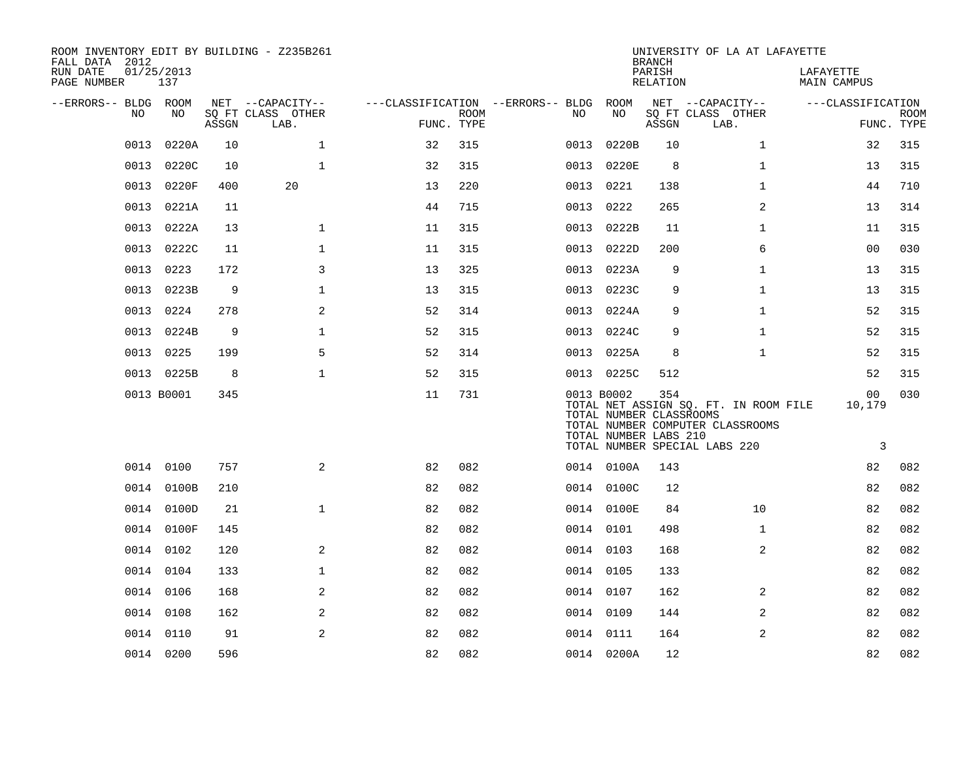| ROOM INVENTORY EDIT BY BUILDING - Z235B261<br>FALL DATA 2012 |                   |       |                           |                                   |                           |      |                                                                | <b>BRANCH</b>      | UNIVERSITY OF LA AT LAFAYETTE                                                                              |                          |                           |
|--------------------------------------------------------------|-------------------|-------|---------------------------|-----------------------------------|---------------------------|------|----------------------------------------------------------------|--------------------|------------------------------------------------------------------------------------------------------------|--------------------------|---------------------------|
| RUN DATE<br>PAGE NUMBER                                      | 01/25/2013<br>137 |       |                           |                                   |                           |      |                                                                | PARISH<br>RELATION |                                                                                                            | LAFAYETTE<br>MAIN CAMPUS |                           |
| --ERRORS-- BLDG ROOM                                         |                   |       | NET --CAPACITY--          | ---CLASSIFICATION --ERRORS-- BLDG |                           |      | ROOM                                                           |                    | NET --CAPACITY--                                                                                           | ---CLASSIFICATION        |                           |
| NO                                                           | NO                | ASSGN | SQ FT CLASS OTHER<br>LAB. |                                   | <b>ROOM</b><br>FUNC. TYPE | NO.  | NO                                                             | ASSGN              | SQ FT CLASS OTHER<br>LAB.                                                                                  |                          | <b>ROOM</b><br>FUNC. TYPE |
| 0013                                                         | 0220A             | 10    | $\mathbf{1}$              | 32                                | 315                       | 0013 | 0220B                                                          | 10                 | $\mathbf{1}$                                                                                               | 32                       | 315                       |
| 0013                                                         | 0220C             | 10    | $\mathbf{1}$              | 32                                | 315                       | 0013 | 0220E                                                          | 8                  | $\mathbf{1}$                                                                                               | 13                       | 315                       |
|                                                              | 0013 0220F        | 400   | 20                        | 13                                | 220                       | 0013 | 0221                                                           | 138                | $\mathbf{1}$                                                                                               | 44                       | 710                       |
| 0013                                                         | 0221A             | 11    |                           | 44                                | 715                       | 0013 | 0222                                                           | 265                | 2                                                                                                          | 13                       | 314                       |
| 0013                                                         | 0222A             | 13    | $\mathbf{1}$              | 11                                | 315                       |      | 0013 0222B                                                     | 11                 | $\mathbf{1}$                                                                                               | 11                       | 315                       |
|                                                              | 0013 0222C        | 11    | $\mathbf{1}$              | 11                                | 315                       |      | 0013 0222D                                                     | 200                | 6                                                                                                          | 0 <sub>0</sub>           | 030                       |
| 0013                                                         | 0223              | 172   | 3                         | 13                                | 325                       | 0013 | 0223A                                                          | 9                  | $\mathbf{1}$                                                                                               | 13                       | 315                       |
| 0013                                                         | 0223B             | 9     | $\mathbf 1$               | 13                                | 315                       | 0013 | 0223C                                                          | 9                  | $\mathbf{1}$                                                                                               | 13                       | 315                       |
| 0013                                                         | 0224              | 278   | 2                         | 52                                | 314                       |      | 0013 0224A                                                     | 9                  | $\mathbf{1}$                                                                                               | 52                       | 315                       |
| 0013                                                         | 0224B             | 9     | $\mathbf 1$               | 52                                | 315                       |      | 0013 0224C                                                     | 9                  | $\mathbf{1}$                                                                                               | 52                       | 315                       |
| 0013                                                         | 0225              | 199   | 5                         | 52                                | 314                       |      | 0013 0225A                                                     | 8                  | $\mathbf{1}$                                                                                               | 52                       | 315                       |
|                                                              | 0013 0225B        | 8     | $\mathbf 1$               | 52                                | 315                       |      | 0013 0225C                                                     | 512                |                                                                                                            | 52                       | 315                       |
|                                                              | 0013 B0001        | 345   |                           | 11                                | 731                       |      | 0013 B0002<br>TOTAL NUMBER CLASSROOMS<br>TOTAL NUMBER LABS 210 | 354                | TOTAL NET ASSIGN SQ. FT. IN ROOM FILE<br>TOTAL NUMBER COMPUTER CLASSROOMS<br>TOTAL NUMBER SPECIAL LABS 220 | 00<br>10,179<br>3        | 030                       |
|                                                              | 0014 0100         | 757   | 2                         | 82                                | 082                       |      | 0014 0100A                                                     | 143                |                                                                                                            | 82                       | 082                       |
|                                                              | 0014 0100B        | 210   |                           | 82                                | 082                       |      | 0014 0100C                                                     | 12                 |                                                                                                            | 82                       | 082                       |
|                                                              | 0014 0100D        | 21    | $\mathbf{1}$              | 82                                | 082                       |      | 0014 0100E                                                     | 84                 | 10                                                                                                         | 82                       | 082                       |
|                                                              | 0014 0100F        | 145   |                           | 82                                | 082                       |      | 0014 0101                                                      | 498                | $\mathbf{1}$                                                                                               | 82                       | 082                       |
|                                                              | 0014 0102         | 120   | 2                         | 82                                | 082                       |      | 0014 0103                                                      | 168                | 2                                                                                                          | 82                       | 082                       |
|                                                              | 0014 0104         | 133   | $\mathbf{1}$              | 82                                | 082                       |      | 0014 0105                                                      | 133                |                                                                                                            | 82                       | 082                       |
|                                                              | 0014 0106         | 168   | 2                         | 82                                | 082                       |      | 0014 0107                                                      | 162                | 2                                                                                                          | 82                       | 082                       |
|                                                              | 0014 0108         | 162   | 2                         | 82                                | 082                       |      | 0014 0109                                                      | 144                | 2                                                                                                          | 82                       | 082                       |
| 0014                                                         | 0110              | 91    | 2                         | 82                                | 082                       |      | 0014 0111                                                      | 164                | 2                                                                                                          | 82                       | 082                       |
|                                                              | 0014 0200         | 596   |                           | 82                                | 082                       |      | 0014 0200A                                                     | 12                 |                                                                                                            | 82                       | 082                       |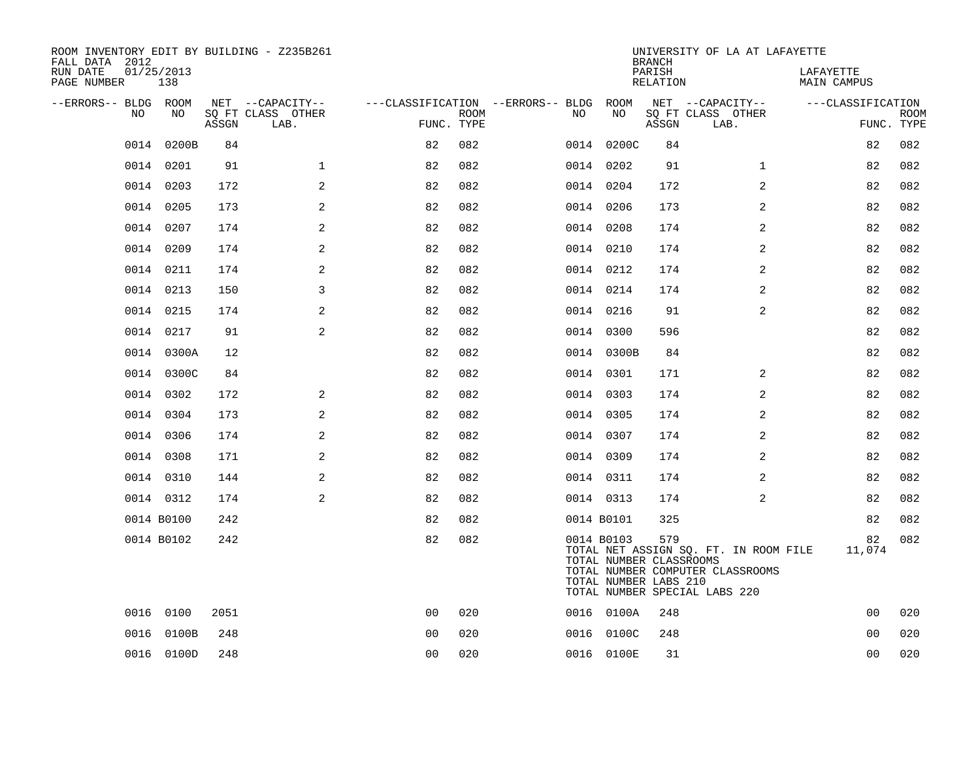| ROOM INVENTORY EDIT BY BUILDING - Z235B261<br>FALL DATA 2012 |                   |       |                           |                                        |             |            |                                                                | <b>BRANCH</b>      | UNIVERSITY OF LA AT LAFAYETTE                                                                              |                          |                           |
|--------------------------------------------------------------|-------------------|-------|---------------------------|----------------------------------------|-------------|------------|----------------------------------------------------------------|--------------------|------------------------------------------------------------------------------------------------------------|--------------------------|---------------------------|
| RUN DATE<br>PAGE NUMBER                                      | 01/25/2013<br>138 |       |                           |                                        |             |            |                                                                | PARISH<br>RELATION |                                                                                                            | LAFAYETTE<br>MAIN CAMPUS |                           |
| --ERRORS-- BLDG ROOM                                         |                   |       | NET --CAPACITY--          | ---CLASSIFICATION --ERRORS-- BLDG ROOM |             |            |                                                                |                    | NET --CAPACITY--                                                                                           | ---CLASSIFICATION        |                           |
| NO.                                                          | NO.               | ASSGN | SO FT CLASS OTHER<br>LAB. | FUNC. TYPE                             | <b>ROOM</b> | NO.        | NO                                                             | ASSGN              | SQ FT CLASS OTHER<br>LAB.                                                                                  |                          | <b>ROOM</b><br>FUNC. TYPE |
| 0014                                                         | 0200B             | 84    |                           | 82                                     | 082         |            | 0014 0200C                                                     | 84                 |                                                                                                            | 82                       | 082                       |
|                                                              | 0014 0201         | 91    | $\mathbf{1}$              | 82                                     | 082         | 0014 0202  |                                                                | 91                 | $\mathbf{1}$                                                                                               | 82                       | 082                       |
|                                                              | 0014 0203         | 172   | 2                         | 82                                     | 082         |            | 0014 0204                                                      | 172                | 2                                                                                                          | 82                       | 082                       |
|                                                              | 0014 0205         | 173   | 2                         | 82                                     | 082         | 0014 0206  |                                                                | 173                | 2                                                                                                          | 82                       | 082                       |
|                                                              | 0014 0207         | 174   | 2                         | 82                                     | 082         |            | 0014 0208                                                      | 174                | 2                                                                                                          | 82                       | 082                       |
|                                                              | 0014 0209         | 174   | 2                         | 82                                     | 082         | 0014 0210  |                                                                | 174                | 2                                                                                                          | 82                       | 082                       |
|                                                              | 0014 0211         | 174   | 2                         | 82                                     | 082         |            | 0014 0212                                                      | 174                | 2                                                                                                          | 82                       | 082                       |
| 0014                                                         | 0213              | 150   | 3                         | 82                                     | 082         | 0014 0214  |                                                                | 174                | 2                                                                                                          | 82                       | 082                       |
|                                                              | 0014 0215         | 174   | 2                         | 82                                     | 082         |            | 0014 0216                                                      | 91                 | 2                                                                                                          | 82                       | 082                       |
|                                                              | 0014 0217         | 91    | 2                         | 82                                     | 082         | 0014 0300  |                                                                | 596                |                                                                                                            | 82                       | 082                       |
|                                                              | 0014 0300A        | 12    |                           | 82                                     | 082         |            | 0014 0300B                                                     | 84                 |                                                                                                            | 82                       | 082                       |
|                                                              | 0014 0300C        | 84    |                           | 82                                     | 082         | 0014 0301  |                                                                | 171                | $\overline{2}$                                                                                             | 82                       | 082                       |
|                                                              | 0014 0302         | 172   | 2                         | 82                                     | 082         | 0014 0303  |                                                                | 174                | 2                                                                                                          | 82                       | 082                       |
|                                                              | 0014 0304         | 173   | 2                         | 82                                     | 082         | 0014 0305  |                                                                | 174                | 2                                                                                                          | 82                       | 082                       |
|                                                              | 0014 0306         | 174   | 2                         | 82                                     | 082         |            | 0014 0307                                                      | 174                | 2                                                                                                          | 82                       | 082                       |
|                                                              | 0014 0308         | 171   | 2                         | 82                                     | 082         | 0014 0309  |                                                                | 174                | 2                                                                                                          | 82                       | 082                       |
|                                                              | 0014 0310         | 144   | 2                         | 82                                     | 082         | 0014 0311  |                                                                | 174                | 2                                                                                                          | 82                       | 082                       |
|                                                              | 0014 0312         | 174   | 2                         | 82                                     | 082         | 0014 0313  |                                                                | 174                | 2                                                                                                          | 82                       | 082                       |
|                                                              | 0014 B0100        | 242   |                           | 82                                     | 082         | 0014 B0101 |                                                                | 325                |                                                                                                            | 82                       | 082                       |
|                                                              | 0014 B0102        | 242   |                           | 82                                     | 082         |            | 0014 B0103<br>TOTAL NUMBER CLASSROOMS<br>TOTAL NUMBER LABS 210 | 579                | TOTAL NET ASSIGN SQ. FT. IN ROOM FILE<br>TOTAL NUMBER COMPUTER CLASSROOMS<br>TOTAL NUMBER SPECIAL LABS 220 | 82<br>11,074             | 082                       |
|                                                              | 0016 0100         | 2051  |                           | 0 <sub>0</sub>                         | 020         |            | 0016 0100A                                                     | 248                |                                                                                                            | 0 <sub>0</sub>           | 020                       |
|                                                              | 0016 0100B        | 248   |                           | 00                                     | 020         |            | 0016 0100C                                                     | 248                |                                                                                                            | 0 <sub>0</sub>           | 020                       |
|                                                              | 0016 0100D        | 248   |                           | 0 <sub>0</sub>                         | 020         |            | 0016 0100E                                                     | 31                 |                                                                                                            | 0 <sub>0</sub>           | 020                       |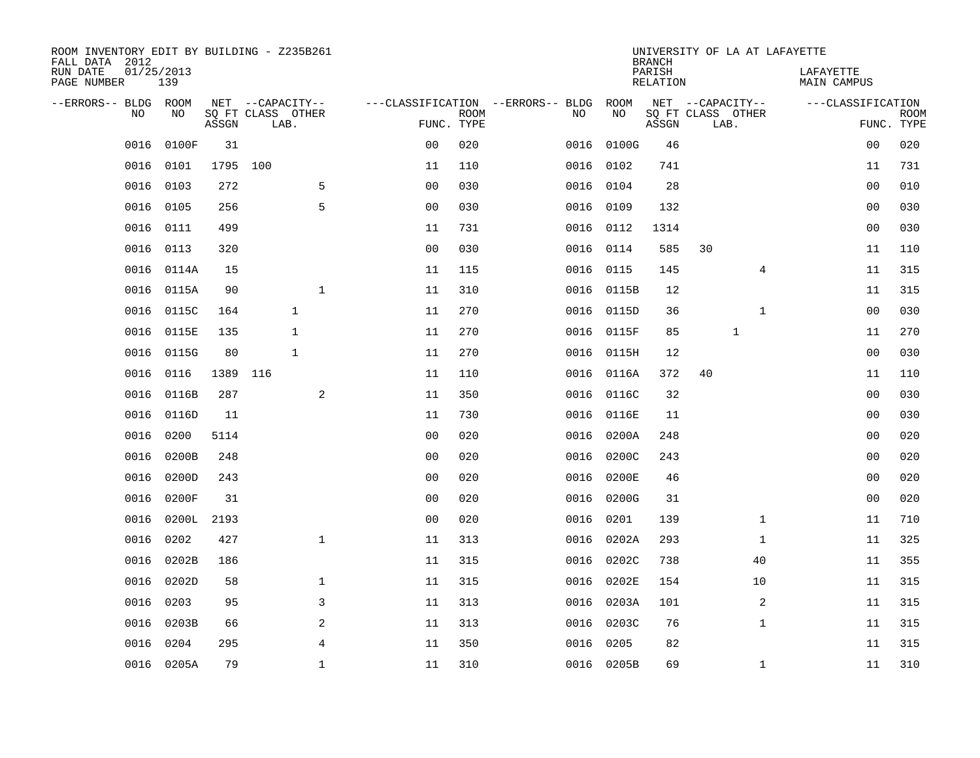| ROOM INVENTORY EDIT BY BUILDING - Z235B261<br>FALL DATA 2012 |                   |            |                                       |              |                |             |                                         |            | <b>BRANCH</b>             | UNIVERSITY OF LA AT LAFAYETTE         |                                 |             |
|--------------------------------------------------------------|-------------------|------------|---------------------------------------|--------------|----------------|-------------|-----------------------------------------|------------|---------------------------|---------------------------------------|---------------------------------|-------------|
| RUN DATE<br>PAGE NUMBER                                      | 01/25/2013<br>139 |            |                                       |              |                |             |                                         |            | PARISH<br><b>RELATION</b> |                                       | LAFAYETTE<br><b>MAIN CAMPUS</b> |             |
| --ERRORS-- BLDG ROOM<br>NO                                   | NO                |            | NET --CAPACITY--<br>SQ FT CLASS OTHER |              |                | <b>ROOM</b> | ---CLASSIFICATION --ERRORS-- BLDG<br>NO | ROOM<br>NO |                           | NET --CAPACITY--<br>SQ FT CLASS OTHER | ---CLASSIFICATION               | <b>ROOM</b> |
|                                                              |                   | ASSGN      | LAB.                                  |              | FUNC. TYPE     |             |                                         |            | ASSGN                     | LAB.                                  |                                 | FUNC. TYPE  |
| 0016                                                         | 0100F             | 31         |                                       |              | 0 <sub>0</sub> | 020         | 0016                                    | 0100G      | 46                        |                                       | 00                              | 020         |
| 0016                                                         | 0101              | 1795 100   |                                       |              | 11             | 110         |                                         | 0016 0102  | 741                       |                                       | 11                              | 731         |
| 0016                                                         | 0103              | 272        |                                       | 5            | 0 <sub>0</sub> | 030         | 0016                                    | 0104       | 28                        |                                       | 0 <sub>0</sub>                  | 010         |
| 0016                                                         | 0105              | 256        |                                       | 5            | 0 <sub>0</sub> | 030         |                                         | 0016 0109  | 132                       |                                       | 0 <sub>0</sub>                  | 030         |
| 0016                                                         | 0111              | 499        |                                       |              | 11             | 731         |                                         | 0016 0112  | 1314                      |                                       | 0 <sub>0</sub>                  | 030         |
| 0016                                                         | 0113              | 320        |                                       |              | 0 <sub>0</sub> | 030         |                                         | 0016 0114  | 585                       | 30                                    | 11                              | 110         |
| 0016                                                         | 0114A             | 15         |                                       |              | 11             | 115         |                                         | 0016 0115  | 145                       | 4                                     | 11                              | 315         |
| 0016                                                         | 0115A             | 90         |                                       | $\mathbf{1}$ | 11             | 310         |                                         | 0016 0115B | 12                        |                                       | 11                              | 315         |
| 0016                                                         | 0115C             | 164        | $\mathbf{1}$                          |              | 11             | 270         | 0016                                    | 0115D      | 36                        | $\mathbf{1}$                          | 0 <sub>0</sub>                  | 030         |
| 0016                                                         | 0115E             | 135        | 1                                     |              | 11             | 270         |                                         | 0016 0115F | 85                        | $\mathbf{1}$                          | 11                              | 270         |
| 0016                                                         | 0115G             | 80         | $\mathbf{1}$                          |              | 11             | 270         | 0016                                    | 0115H      | 12                        |                                       | 0 <sub>0</sub>                  | 030         |
| 0016                                                         | 0116              | 1389 116   |                                       |              | 11             | 110         |                                         | 0016 0116A | 372                       | 40                                    | 11                              | 110         |
| 0016                                                         | 0116B             | 287        |                                       | 2            | 11             | 350         | 0016                                    | 0116C      | 32                        |                                       | 00                              | 030         |
| 0016                                                         | 0116D             | 11         |                                       |              | 11             | 730         | 0016                                    | 0116E      | 11                        |                                       | 00                              | 030         |
| 0016                                                         | 0200              | 5114       |                                       |              | 0 <sub>0</sub> | 020         | 0016                                    | 0200A      | 248                       |                                       | 0 <sub>0</sub>                  | 020         |
| 0016                                                         | 0200B             | 248        |                                       |              | 0 <sub>0</sub> | 020         | 0016                                    | 0200C      | 243                       |                                       | 00                              | 020         |
| 0016                                                         | 0200D             | 243        |                                       |              | 0 <sub>0</sub> | 020         |                                         | 0016 0200E | 46                        |                                       | 00                              | 020         |
| 0016                                                         | 0200F             | 31         |                                       |              | 00             | 020         | 0016                                    | 0200G      | 31                        |                                       | 0 <sub>0</sub>                  | 020         |
| 0016                                                         |                   | 0200L 2193 |                                       |              | 0 <sub>0</sub> | 020         | 0016                                    | 0201       | 139                       | $\mathbf{1}$                          | 11                              | 710         |
| 0016                                                         | 0202              | 427        |                                       | $\mathbf{1}$ | 11             | 313         | 0016                                    | 0202A      | 293                       | $\mathbf{1}$                          | 11                              | 325         |
| 0016                                                         | 0202B             | 186        |                                       |              | 11             | 315         | 0016                                    | 0202C      | 738                       | 40                                    | 11                              | 355         |
| 0016                                                         | 0202D             | 58         |                                       | $\mathbf 1$  | 11             | 315         | 0016                                    | 0202E      | 154                       | 10                                    | 11                              | 315         |
| 0016                                                         | 0203              | 95         |                                       | 3            | 11             | 313         |                                         | 0016 0203A | 101                       | 2                                     | 11                              | 315         |
| 0016                                                         | 0203B             | 66         |                                       | 2            | 11             | 313         | 0016                                    | 0203C      | 76                        | $\mathbf{1}$                          | 11                              | 315         |
| 0016                                                         | 0204              | 295        |                                       | 4            | 11             | 350         | 0016                                    | 0205       | 82                        |                                       | 11                              | 315         |
|                                                              | 0016 0205A        | 79         |                                       | $\mathbf{1}$ | 11             | 310         |                                         | 0016 0205B | 69                        | $\mathbf{1}$                          | 11                              | 310         |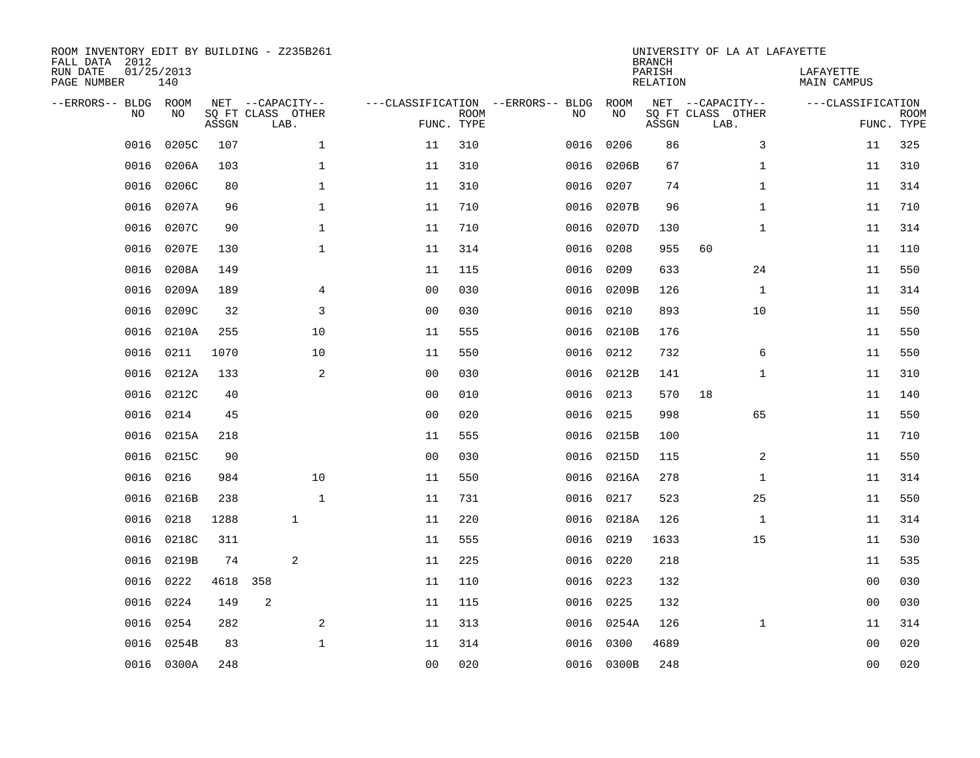| ROOM INVENTORY EDIT BY BUILDING - Z235B261<br>FALL DATA 2012<br>RUN DATE<br>PAGE NUMBER |           | 01/25/2013<br>140 |       |                                               |                                   |                           |      |            | <b>BRANCH</b><br>PARISH<br>RELATION | UNIVERSITY OF LA AT LAFAYETTE                 | LAFAYETTE<br>MAIN CAMPUS |                           |
|-----------------------------------------------------------------------------------------|-----------|-------------------|-------|-----------------------------------------------|-----------------------------------|---------------------------|------|------------|-------------------------------------|-----------------------------------------------|--------------------------|---------------------------|
| --ERRORS-- BLDG ROOM                                                                    | <b>NO</b> | NO.               | ASSGN | NET --CAPACITY--<br>SQ FT CLASS OTHER<br>LAB. | ---CLASSIFICATION --ERRORS-- BLDG | <b>ROOM</b><br>FUNC. TYPE | NO   | ROOM<br>NO | ASSGN                               | NET --CAPACITY--<br>SQ FT CLASS OTHER<br>LAB. | ---CLASSIFICATION        | <b>ROOM</b><br>FUNC. TYPE |
|                                                                                         | 0016      | 0205C             | 107   | $\mathbf{1}$                                  | 11                                | 310                       | 0016 | 0206       | 86                                  | 3                                             | 11                       | 325                       |
|                                                                                         | 0016      | 0206A             | 103   | $\mathbf 1$                                   | 11                                | 310                       | 0016 | 0206B      | 67                                  | $\mathbf{1}$                                  | 11                       | 310                       |
|                                                                                         | 0016      | 0206C             | 80    | $\mathbf{1}$                                  | 11                                | 310                       | 0016 | 0207       | 74                                  | $\mathbf{1}$                                  | 11                       | 314                       |
|                                                                                         | 0016      | 0207A             | 96    | $\mathbf{1}$                                  | 11                                | 710                       | 0016 | 0207B      | 96                                  | $\mathbf{1}$                                  | 11                       | 710                       |
|                                                                                         | 0016      | 0207C             | 90    | $\mathbf{1}$                                  | 11                                | 710                       | 0016 | 0207D      | 130                                 | $\mathbf{1}$                                  | 11                       | 314                       |
|                                                                                         | 0016      | 0207E             | 130   | $\mathbf{1}$                                  | 11                                | 314                       | 0016 | 0208       | 955                                 | 60                                            | 11                       | 110                       |
|                                                                                         | 0016      | 0208A             | 149   |                                               | 11                                | 115                       | 0016 | 0209       | 633                                 | 24                                            | 11                       | 550                       |
|                                                                                         | 0016      | 0209A             | 189   | 4                                             | 0 <sub>0</sub>                    | 030                       | 0016 | 0209B      | 126                                 | $\mathbf{1}$                                  | 11                       | 314                       |
|                                                                                         | 0016      | 0209C             | 32    | 3                                             | 0 <sub>0</sub>                    | 030                       | 0016 | 0210       | 893                                 | 10                                            | 11                       | 550                       |
|                                                                                         | 0016      | 0210A             | 255   | 10                                            | 11                                | 555                       |      | 0016 0210B | 176                                 |                                               | 11                       | 550                       |
|                                                                                         | 0016      | 0211              | 1070  | 10                                            | 11                                | 550                       | 0016 | 0212       | 732                                 | 6                                             | 11                       | 550                       |
|                                                                                         | 0016      | 0212A             | 133   | 2                                             | 0 <sub>0</sub>                    | 030                       | 0016 | 0212B      | 141                                 | $\mathbf{1}$                                  | 11                       | 310                       |
|                                                                                         | 0016      | 0212C             | 40    |                                               | 0 <sub>0</sub>                    | 010                       | 0016 | 0213       | 570                                 | 18                                            | 11                       | 140                       |
|                                                                                         | 0016      | 0214              | 45    |                                               | 0 <sub>0</sub>                    | 020                       | 0016 | 0215       | 998                                 | 65                                            | 11                       | 550                       |
|                                                                                         | 0016      | 0215A             | 218   |                                               | 11                                | 555                       | 0016 | 0215B      | 100                                 |                                               | 11                       | 710                       |
|                                                                                         | 0016      | 0215C             | 90    |                                               | 0 <sub>0</sub>                    | 030                       | 0016 | 0215D      | 115                                 | 2                                             | 11                       | 550                       |
|                                                                                         | 0016      | 0216              | 984   | 10                                            | 11                                | 550                       |      | 0016 0216A | 278                                 | $\mathbf{1}$                                  | 11                       | 314                       |
|                                                                                         | 0016      | 0216B             | 238   | $\mathbf 1$                                   | 11                                | 731                       | 0016 | 0217       | 523                                 | 25                                            | 11                       | 550                       |
|                                                                                         | 0016      | 0218              | 1288  | $\mathbf{1}$                                  | 11                                | 220                       |      | 0016 0218A | 126                                 | $\mathbf{1}$                                  | 11                       | 314                       |
|                                                                                         | 0016      | 0218C             | 311   |                                               | 11                                | 555                       | 0016 | 0219       | 1633                                | 15                                            | 11                       | 530                       |
|                                                                                         | 0016      | 0219B             | 74    | 2                                             | 11                                | 225                       | 0016 | 0220       | 218                                 |                                               | 11                       | 535                       |
|                                                                                         | 0016      | 0222              | 4618  | 358                                           | 11                                | 110                       | 0016 | 0223       | 132                                 |                                               | 00                       | 030                       |
|                                                                                         | 0016      | 0224              | 149   | 2                                             | 11                                | 115                       | 0016 | 0225       | 132                                 |                                               | 0 <sub>0</sub>           | 030                       |
|                                                                                         | 0016      | 0254              | 282   | 2                                             | 11                                | 313                       | 0016 | 0254A      | 126                                 | $\mathbf{1}$                                  | 11                       | 314                       |
|                                                                                         | 0016      | 0254B             | 83    | $\mathbf{1}$                                  | 11                                | 314                       | 0016 | 0300       | 4689                                |                                               | 0 <sub>0</sub>           | 020                       |
|                                                                                         |           | 0016 0300A        | 248   |                                               | 0 <sub>0</sub>                    | 020                       |      | 0016 0300B | 248                                 |                                               | 0 <sub>0</sub>           | 020                       |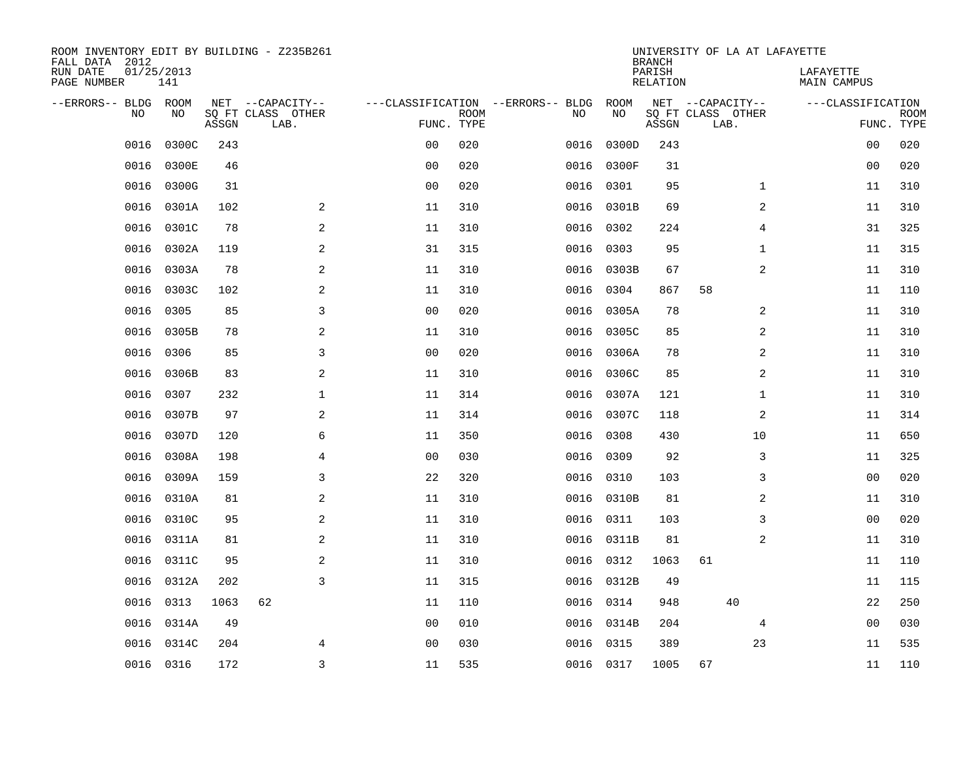| ROOM INVENTORY EDIT BY BUILDING - Z235B261<br>FALL DATA 2012 |                   |       |                           |                |             |                                   |            | <b>BRANCH</b>             | UNIVERSITY OF LA AT LAFAYETTE |                          |                           |
|--------------------------------------------------------------|-------------------|-------|---------------------------|----------------|-------------|-----------------------------------|------------|---------------------------|-------------------------------|--------------------------|---------------------------|
| RUN DATE<br>PAGE NUMBER                                      | 01/25/2013<br>141 |       |                           |                |             |                                   |            | PARISH<br><b>RELATION</b> |                               | LAFAYETTE<br>MAIN CAMPUS |                           |
| --ERRORS-- BLDG ROOM                                         |                   |       | NET --CAPACITY--          |                |             | ---CLASSIFICATION --ERRORS-- BLDG | ROOM       |                           | NET --CAPACITY--              | ---CLASSIFICATION        |                           |
| NO                                                           | NO                | ASSGN | SQ FT CLASS OTHER<br>LAB. | FUNC. TYPE     | <b>ROOM</b> | NO                                | NO         | ASSGN                     | SQ FT CLASS OTHER<br>LAB.     |                          | <b>ROOM</b><br>FUNC. TYPE |
| 0016                                                         | 0300C             | 243   |                           | 0 <sub>0</sub> | 020         | 0016                              | 0300D      | 243                       |                               | 0 <sub>0</sub>           | 020                       |
| 0016                                                         | 0300E             | 46    |                           | 0 <sub>0</sub> | 020         | 0016                              | 0300F      | 31                        |                               | 0 <sub>0</sub>           | 020                       |
| 0016                                                         | 0300G             | 31    |                           | 0 <sub>0</sub> | 020         | 0016                              | 0301       | 95                        | $\mathbf{1}$                  | 11                       | 310                       |
| 0016                                                         | 0301A             | 102   | $\overline{a}$            | 11             | 310         | 0016                              | 0301B      | 69                        | 2                             | 11                       | 310                       |
| 0016                                                         | 0301C             | 78    | $\mathbf{2}$              | 11             | 310         | 0016                              | 0302       | 224                       | $\overline{4}$                | 31                       | 325                       |
| 0016                                                         | 0302A             | 119   | $\sqrt{2}$                | 31             | 315         | 0016                              | 0303       | 95                        | $\mathbf{1}$                  | 11                       | 315                       |
| 0016                                                         | 0303A             | 78    | $\sqrt{2}$                | 11             | 310         | 0016                              | 0303B      | 67                        | 2                             | 11                       | 310                       |
| 0016                                                         | 0303C             | 102   | 2                         | 11             | 310         | 0016                              | 0304       | 867                       | 58                            | 11                       | 110                       |
| 0016                                                         | 0305              | 85    | 3                         | 0 <sub>0</sub> | 020         | 0016                              | 0305A      | 78                        | 2                             | 11                       | 310                       |
| 0016                                                         | 0305B             | 78    | 2                         | 11             | 310         |                                   | 0016 0305C | 85                        | 2                             | 11                       | 310                       |
| 0016                                                         | 0306              | 85    | 3                         | 0 <sub>0</sub> | 020         |                                   | 0016 0306A | 78                        | 2                             | 11                       | 310                       |
| 0016                                                         | 0306B             | 83    | 2                         | 11             | 310         |                                   | 0016 0306C | 85                        | 2                             | 11                       | 310                       |
| 0016                                                         | 0307              | 232   | $\mathbf{1}$              | 11             | 314         | 0016                              | 0307A      | 121                       | $\mathbf{1}$                  | 11                       | 310                       |
| 0016                                                         | 0307B             | 97    | 2                         | 11             | 314         | 0016                              | 0307C      | 118                       | 2                             | 11                       | 314                       |
| 0016                                                         | 0307D             | 120   | 6                         | 11             | 350         | 0016                              | 0308       | 430                       | 10                            | 11                       | 650                       |
| 0016                                                         | 0308A             | 198   | $\overline{4}$            | 0 <sub>0</sub> | 030         | 0016                              | 0309       | 92                        | 3                             | 11                       | 325                       |
| 0016                                                         | 0309A             | 159   | 3                         | 22             | 320         | 0016                              | 0310       | 103                       | 3                             | 0 <sub>0</sub>           | 020                       |
| 0016                                                         | 0310A             | 81    | 2                         | 11             | 310         | 0016                              | 0310B      | 81                        | 2                             | 11                       | 310                       |
| 0016                                                         | 0310C             | 95    | 2                         | 11             | 310         | 0016                              | 0311       | 103                       | 3                             | 00                       | 020                       |
| 0016                                                         | 0311A             | 81    | $\mathbf{2}$              | 11             | 310         | 0016                              | 0311B      | 81                        | 2                             | 11                       | 310                       |
| 0016                                                         | 0311C             | 95    | $\mathbf{2}$              | 11             | 310         | 0016                              | 0312       | 1063                      | 61                            | 11                       | 110                       |
| 0016                                                         | 0312A             | 202   | 3                         | 11             | 315         | 0016                              | 0312B      | 49                        |                               | 11                       | 115                       |
| 0016                                                         | 0313              | 1063  | 62                        | 11             | 110         | 0016                              | 0314       | 948                       | 40                            | 22                       | 250                       |
| 0016                                                         | 0314A             | 49    |                           | 0 <sub>0</sub> | 010         | 0016                              | 0314B      | 204                       | 4                             | 00                       | 030                       |
| 0016                                                         | 0314C             | 204   | 4                         | 0 <sub>0</sub> | 030         | 0016                              | 0315       | 389                       | 23                            | 11                       | 535                       |
|                                                              | 0016 0316         | 172   | $\overline{3}$            | 11             | 535         |                                   | 0016 0317  | 1005                      | 67                            | 11                       | 110                       |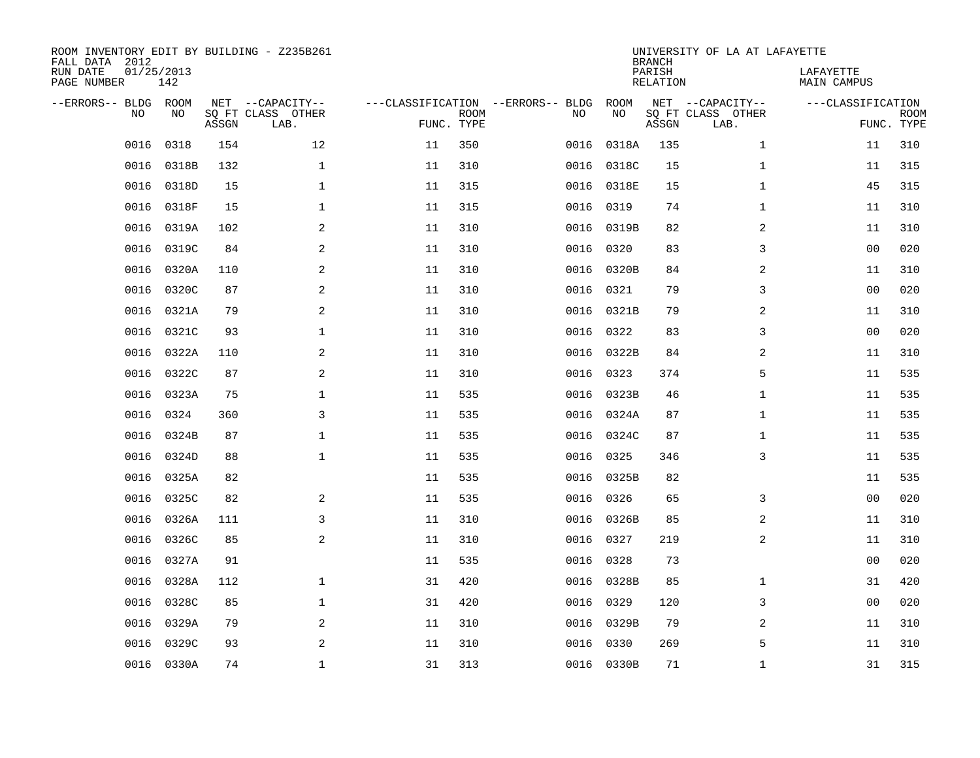| FALL DATA 2012<br>RUN DATE<br>PAGE NUMBER | 01/25/2013<br>142 |       | ROOM INVENTORY EDIT BY BUILDING - Z235B261    |                                   |                           |      |            | <b>BRANCH</b><br>PARISH<br>RELATION | UNIVERSITY OF LA AT LAFAYETTE                 | LAFAYETTE<br>MAIN CAMPUS |                           |
|-------------------------------------------|-------------------|-------|-----------------------------------------------|-----------------------------------|---------------------------|------|------------|-------------------------------------|-----------------------------------------------|--------------------------|---------------------------|
| --ERRORS-- BLDG                           | ROOM<br>NO<br>NO  | ASSGN | NET --CAPACITY--<br>SQ FT CLASS OTHER<br>LAB. | ---CLASSIFICATION --ERRORS-- BLDG | <b>ROOM</b><br>FUNC. TYPE | NO   | ROOM<br>NO | ASSGN                               | NET --CAPACITY--<br>SQ FT CLASS OTHER<br>LAB. | ---CLASSIFICATION        | <b>ROOM</b><br>FUNC. TYPE |
|                                           | 0016<br>0318      | 154   | 12                                            | 11                                | 350                       | 0016 | 0318A      | 135                                 | $\mathbf{1}$                                  | 11                       | 310                       |
|                                           | 0016<br>0318B     | 132   | $\mathbf 1$                                   | 11                                | 310                       | 0016 | 0318C      | 15                                  | $\mathbf{1}$                                  | 11                       | 315                       |
|                                           | 0016<br>0318D     | 15    | $\mathbf 1$                                   | 11                                | 315                       | 0016 | 0318E      | 15                                  | $\mathbf{1}$                                  | 45                       | 315                       |
|                                           | 0318F<br>0016     | 15    | $\mathbf 1$                                   | 11                                | 315                       |      | 0016 0319  | 74                                  | $\mathbf{1}$                                  | 11                       | 310                       |
|                                           | 0016<br>0319A     | 102   | 2                                             | 11                                | 310                       | 0016 | 0319B      | 82                                  | 2                                             | 11                       | 310                       |
|                                           | 0319C<br>0016     | 84    | 2                                             | 11                                | 310                       | 0016 | 0320       | 83                                  | 3                                             | 0 <sub>0</sub>           | 020                       |
|                                           | 0016<br>0320A     | 110   | 2                                             | 11                                | 310                       | 0016 | 0320B      | 84                                  | 2                                             | 11                       | 310                       |
|                                           | 0016<br>0320C     | 87    | $\overline{a}$                                | 11                                | 310                       |      | 0016 0321  | 79                                  | 3                                             | 0 <sub>0</sub>           | 020                       |
|                                           | 0321A<br>0016     | 79    | 2                                             | 11                                | 310                       | 0016 | 0321B      | 79                                  | 2                                             | 11                       | 310                       |
|                                           | 0321C<br>0016     | 93    | $\mathbf 1$                                   | 11                                | 310                       | 0016 | 0322       | 83                                  | 3                                             | 0 <sub>0</sub>           | 020                       |
|                                           | 0016<br>0322A     | 110   | 2                                             | 11                                | 310                       | 0016 | 0322B      | 84                                  | 2                                             | 11                       | 310                       |
|                                           | 0322C<br>0016     | 87    | 2                                             | 11                                | 310                       | 0016 | 0323       | 374                                 | 5                                             | 11                       | 535                       |
|                                           | 0323A<br>0016     | 75    | $\mathbf 1$                                   | 11                                | 535                       | 0016 | 0323B      | 46                                  | $\mathbf{1}$                                  | 11                       | 535                       |
|                                           | 0324<br>0016      | 360   | 3                                             | 11                                | 535                       | 0016 | 0324A      | 87                                  | $\mathbf{1}$                                  | 11                       | 535                       |
|                                           | 0016<br>0324B     | 87    | $\mathbf 1$                                   | 11                                | 535                       | 0016 | 0324C      | 87                                  | $\mathbf{1}$                                  | 11                       | 535                       |
|                                           | 0324D<br>0016     | 88    | $\mathbf{1}$                                  | 11                                | 535                       | 0016 | 0325       | 346                                 | 3                                             | 11                       | 535                       |
|                                           | 0325A<br>0016     | 82    |                                               | 11                                | 535                       | 0016 | 0325B      | 82                                  |                                               | 11                       | 535                       |
|                                           | 0016<br>0325C     | 82    | 2                                             | 11                                | 535                       | 0016 | 0326       | 65                                  | 3                                             | 0 <sub>0</sub>           | 020                       |
|                                           | 0016<br>0326A     | 111   | 3                                             | 11                                | 310                       | 0016 | 0326B      | 85                                  | 2                                             | 11                       | 310                       |
|                                           | 0016<br>0326C     | 85    | 2                                             | 11                                | 310                       | 0016 | 0327       | 219                                 | 2                                             | 11                       | 310                       |
|                                           | 0016<br>0327A     | 91    |                                               | 11                                | 535                       | 0016 | 0328       | 73                                  |                                               | 00                       | 020                       |
|                                           | 0016<br>0328A     | 112   | $\mathbf 1$                                   | 31                                | 420                       | 0016 | 0328B      | 85                                  | $\mathbf{1}$                                  | 31                       | 420                       |
|                                           | 0016<br>0328C     | 85    | $\mathbf 1$                                   | 31                                | 420                       | 0016 | 0329       | 120                                 | 3                                             | 00                       | 020                       |
|                                           | 0016<br>0329A     | 79    | 2                                             | 11                                | 310                       | 0016 | 0329B      | 79                                  | 2                                             | 11                       | 310                       |
|                                           | 0016<br>0329C     | 93    | 2                                             | 11                                | 310                       | 0016 | 0330       | 269                                 | 5                                             | 11                       | 310                       |
|                                           | 0016 0330A        | 74    | $\mathbf{1}$                                  | 31                                | 313                       |      | 0016 0330B | 71                                  | $\mathbf{1}$                                  | 31                       | 315                       |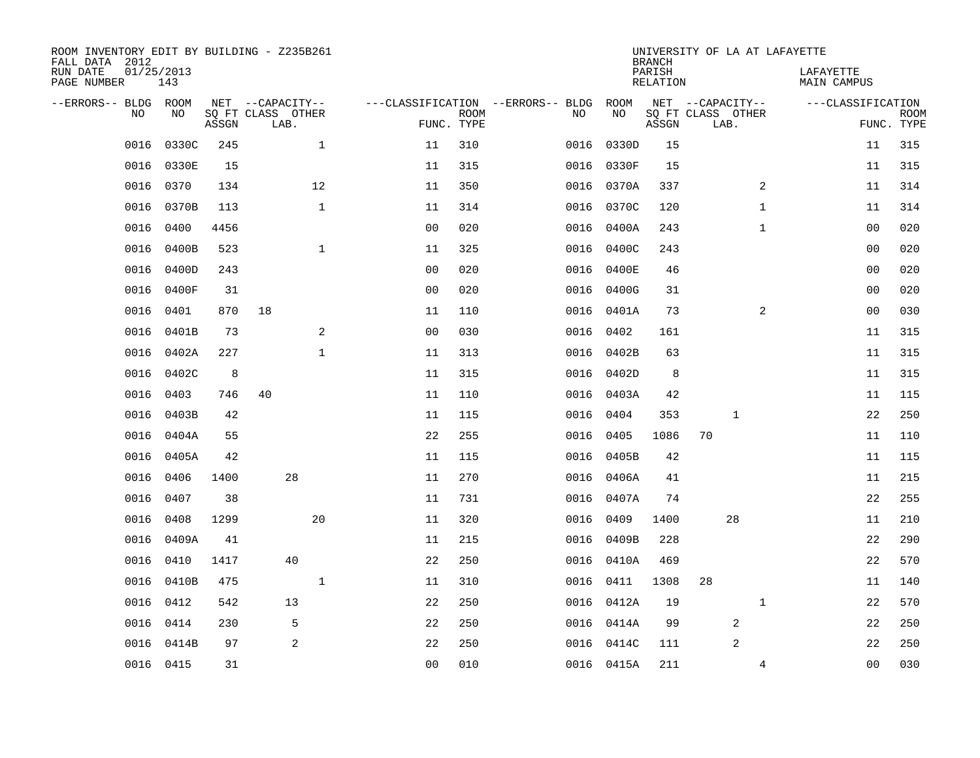| ROOM INVENTORY EDIT BY BUILDING - Z235B261<br>FALL DATA 2012 |                   |       |                                       |              |                                        |             |      |            | <b>BRANCH</b>             | UNIVERSITY OF LA AT LAFAYETTE         |                |                                 |             |
|--------------------------------------------------------------|-------------------|-------|---------------------------------------|--------------|----------------------------------------|-------------|------|------------|---------------------------|---------------------------------------|----------------|---------------------------------|-------------|
| RUN DATE<br>PAGE NUMBER                                      | 01/25/2013<br>143 |       |                                       |              |                                        |             |      |            | PARISH<br><b>RELATION</b> |                                       |                | LAFAYETTE<br><b>MAIN CAMPUS</b> |             |
| --ERRORS-- BLDG ROOM<br>NO                                   | NO                |       | NET --CAPACITY--<br>SQ FT CLASS OTHER |              | ---CLASSIFICATION --ERRORS-- BLDG ROOM | <b>ROOM</b> | NO   | NO         |                           | NET --CAPACITY--<br>SQ FT CLASS OTHER |                | ---CLASSIFICATION               | <b>ROOM</b> |
|                                                              |                   | ASSGN | LAB.                                  |              |                                        | FUNC. TYPE  |      |            | ASSGN                     | LAB.                                  |                |                                 | FUNC. TYPE  |
| 0016                                                         | 0330C             | 245   |                                       | $\mathbf 1$  | 11                                     | 310         | 0016 | 0330D      | 15                        |                                       |                | 11                              | 315         |
| 0016                                                         | 0330E             | 15    |                                       |              | 11                                     | 315         |      | 0016 0330F | 15                        |                                       |                | 11                              | 315         |
| 0016                                                         | 0370              | 134   |                                       | 12           | 11                                     | 350         |      | 0016 0370A | 337                       |                                       | $\overline{2}$ | 11                              | 314         |
| 0016                                                         | 0370B             | 113   |                                       | $\mathbf 1$  | 11                                     | 314         |      | 0016 0370C | 120                       |                                       | $\mathbf{1}$   | 11                              | 314         |
| 0016                                                         | 0400              | 4456  |                                       |              | 0 <sub>0</sub>                         | 020         | 0016 | 0400A      | 243                       |                                       | $\mathbf{1}$   | 0 <sub>0</sub>                  | 020         |
| 0016                                                         | 0400B             | 523   |                                       | $\mathbf{1}$ | 11                                     | 325         |      | 0016 0400C | 243                       |                                       |                | 0 <sub>0</sub>                  | 020         |
| 0016                                                         | 0400D             | 243   |                                       |              | 0 <sub>0</sub>                         | 020         |      | 0016 0400E | 46                        |                                       |                | 00                              | 020         |
| 0016                                                         | 0400F             | 31    |                                       |              | 0 <sub>0</sub>                         | 020         |      | 0016 0400G | 31                        |                                       |                | 0 <sub>0</sub>                  | 020         |
| 0016                                                         | 0401              | 870   | 18                                    |              | 11                                     | 110         | 0016 | 0401A      | 73                        |                                       | 2              | 0 <sub>0</sub>                  | 030         |
| 0016                                                         | 0401B             | 73    |                                       | 2            | 0 <sub>0</sub>                         | 030         | 0016 | 0402       | 161                       |                                       |                | 11                              | 315         |
| 0016                                                         | 0402A             | 227   |                                       | $\mathbf{1}$ | 11                                     | 313         | 0016 | 0402B      | 63                        |                                       |                | 11                              | 315         |
| 0016                                                         | 0402C             | 8     |                                       |              | 11                                     | 315         | 0016 | 0402D      | 8                         |                                       |                | 11                              | 315         |
| 0016                                                         | 0403              | 746   | 40                                    |              | 11                                     | 110         | 0016 | 0403A      | 42                        |                                       |                | 11                              | 115         |
| 0016                                                         | 0403B             | 42    |                                       |              | 11                                     | 115         | 0016 | 0404       | 353                       | 1                                     |                | 22                              | 250         |
| 0016                                                         | 0404A             | 55    |                                       |              | 22                                     | 255         | 0016 | 0405       | 1086                      | 70                                    |                | 11                              | 110         |
| 0016                                                         | 0405A             | 42    |                                       |              | 11                                     | 115         | 0016 | 0405B      | 42                        |                                       |                | 11                              | 115         |
| 0016                                                         | 0406              | 1400  | 28                                    |              | 11                                     | 270         | 0016 | 0406A      | 41                        |                                       |                | 11                              | 215         |
| 0016                                                         | 0407              | 38    |                                       |              | 11                                     | 731         | 0016 | 0407A      | 74                        |                                       |                | 22                              | 255         |
| 0016                                                         | 0408              | 1299  |                                       | 20           | 11                                     | 320         |      | 0016 0409  | 1400                      | 28                                    |                | 11                              | 210         |
| 0016                                                         | 0409A             | 41    |                                       |              | 11                                     | 215         |      | 0016 0409B | 228                       |                                       |                | 22                              | 290         |
| 0016                                                         | 0410              | 1417  | 40                                    |              | 22                                     | 250         |      | 0016 0410A | 469                       |                                       |                | 22                              | 570         |
| 0016                                                         | 0410B             | 475   |                                       | $\mathbf 1$  | 11                                     | 310         | 0016 | 0411       | 1308                      | 28                                    |                | 11                              | 140         |
| 0016                                                         | 0412              | 542   | 13                                    |              | 22                                     | 250         |      | 0016 0412A | 19                        |                                       | $\mathbf{1}$   | 22                              | 570         |
| 0016                                                         | 0414              | 230   | 5                                     |              | 22                                     | 250         |      | 0016 0414A | 99                        | 2                                     |                | 22                              | 250         |
| 0016                                                         | 0414B             | 97    | $\overline{2}$                        |              | 22                                     | 250         |      | 0016 0414C | 111                       | $\overline{2}$                        |                | 22                              | 250         |
|                                                              | 0016 0415         | 31    |                                       |              | 0 <sub>0</sub>                         | 010         |      | 0016 0415A | 211                       |                                       | 4              | 0 <sub>0</sub>                  | 030         |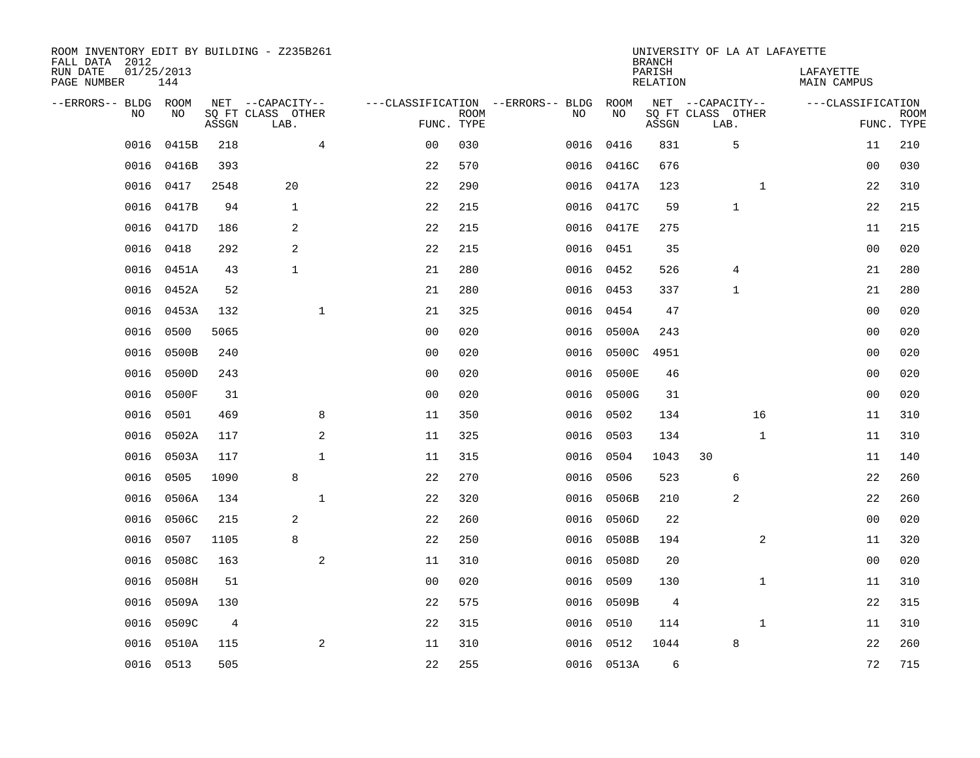| ROOM INVENTORY EDIT BY BUILDING - Z235B261<br>FALL DATA 2012 |                   |       |                           |                |             |                                   |           |            | <b>BRANCH</b>             | UNIVERSITY OF LA AT LAFAYETTE |              |                                 |                           |
|--------------------------------------------------------------|-------------------|-------|---------------------------|----------------|-------------|-----------------------------------|-----------|------------|---------------------------|-------------------------------|--------------|---------------------------------|---------------------------|
| RUN DATE<br>PAGE NUMBER                                      | 01/25/2013<br>144 |       |                           |                |             |                                   |           |            | PARISH<br><b>RELATION</b> |                               |              | LAFAYETTE<br><b>MAIN CAMPUS</b> |                           |
| --ERRORS-- BLDG ROOM                                         |                   |       | NET --CAPACITY--          |                |             | ---CLASSIFICATION --ERRORS-- BLDG |           | ROOM       |                           | NET --CAPACITY--              |              | ---CLASSIFICATION               |                           |
| NO                                                           | NO                | ASSGN | SQ FT CLASS OTHER<br>LAB. | FUNC. TYPE     | <b>ROOM</b> |                                   | NO        | NO         | ASSGN                     | SQ FT CLASS OTHER<br>LAB.     |              |                                 | <b>ROOM</b><br>FUNC. TYPE |
| 0016                                                         | 0415B             | 218   | 4                         | 0 <sub>0</sub> | 030         |                                   | 0016      | 0416       | 831                       | 5                             |              | 11                              | 210                       |
| 0016                                                         | 0416B             | 393   |                           | 22             | 570         |                                   |           | 0016 0416C | 676                       |                               |              | 00                              | 030                       |
| 0016                                                         | 0417              | 2548  | 20                        | 22             | 290         |                                   |           | 0016 0417A | 123                       |                               | $\mathbf{1}$ | 22                              | 310                       |
| 0016                                                         | 0417B             | 94    | $\mathbf 1$               | 22             | 215         |                                   |           | 0016 0417C | 59                        | $\mathbf{1}$                  |              | 22                              | 215                       |
| 0016                                                         | 0417D             | 186   | 2                         | 22             | 215         |                                   |           | 0016 0417E | 275                       |                               |              | 11                              | 215                       |
| 0016                                                         | 0418              | 292   | 2                         | 22             | 215         |                                   |           | 0016 0451  | 35                        |                               |              | 0 <sub>0</sub>                  | 020                       |
| 0016                                                         | 0451A             | 43    | $\mathbf{1}$              | 21             | 280         |                                   | 0016 0452 |            | 526                       | 4                             |              | 21                              | 280                       |
| 0016                                                         | 0452A             | 52    |                           | 21             | 280         |                                   |           | 0016 0453  | 337                       | 1                             |              | 21                              | 280                       |
| 0016                                                         | 0453A             | 132   | $\mathbf{1}$              | 21             | 325         |                                   | 0016      | 0454       | 47                        |                               |              | 0 <sub>0</sub>                  | 020                       |
| 0016                                                         | 0500              | 5065  |                           | 0 <sub>0</sub> | 020         |                                   | 0016      | 0500A      | 243                       |                               |              | 0 <sub>0</sub>                  | 020                       |
| 0016                                                         | 0500B             | 240   |                           | 0 <sub>0</sub> | 020         |                                   | 0016      | 0500C      | 4951                      |                               |              | 0 <sub>0</sub>                  | 020                       |
| 0016                                                         | 0500D             | 243   |                           | 0 <sub>0</sub> | 020         |                                   | 0016      | 0500E      | 46                        |                               |              | 0 <sub>0</sub>                  | 020                       |
| 0016                                                         | 0500F             | 31    |                           | 0 <sub>0</sub> | 020         |                                   | 0016      | 0500G      | 31                        |                               |              | 00                              | 020                       |
| 0016                                                         | 0501              | 469   | 8                         | 11             | 350         |                                   | 0016      | 0502       | 134                       |                               | 16           | 11                              | 310                       |
| 0016                                                         | 0502A             | 117   | 2                         | 11             | 325         |                                   | 0016      | 0503       | 134                       |                               | $\mathbf{1}$ | 11                              | 310                       |
| 0016                                                         | 0503A             | 117   | $\mathbf{1}$              | 11             | 315         |                                   | 0016      | 0504       | 1043                      | 30                            |              | 11                              | 140                       |
| 0016                                                         | 0505              | 1090  | 8                         | 22             | 270         |                                   | 0016      | 0506       | 523                       | 6                             |              | 22                              | 260                       |
| 0016                                                         | 0506A             | 134   | $\mathbf{1}$              | 22             | 320         |                                   | 0016      | 0506B      | 210                       | 2                             |              | 22                              | 260                       |
| 0016                                                         | 0506C             | 215   | 2                         | 22             | 260         |                                   | 0016      | 0506D      | 22                        |                               |              | 0 <sub>0</sub>                  | 020                       |
| 0016                                                         | 0507              | 1105  | 8                         | 22             | 250         |                                   | 0016      | 0508B      | 194                       |                               | 2            | 11                              | 320                       |
| 0016                                                         | 0508C             | 163   | 2                         | 11             | 310         |                                   | 0016      | 0508D      | 20                        |                               |              | 00                              | 020                       |
| 0016                                                         | 0508H             | 51    |                           | 0 <sub>0</sub> | 020         |                                   | 0016      | 0509       | 130                       |                               | $\mathbf{1}$ | 11                              | 310                       |
| 0016                                                         | 0509A             | 130   |                           | 22             | 575         |                                   | 0016      | 0509B      | 4                         |                               |              | 22                              | 315                       |
| 0016                                                         | 0509C             | 4     |                           | 22             | 315         |                                   | 0016      | 0510       | 114                       |                               | $\mathbf{1}$ | 11                              | 310                       |
| 0016                                                         | 0510A             | 115   | 2                         | 11             | 310         |                                   | 0016      | 0512       | 1044                      | 8                             |              | 22                              | 260                       |
|                                                              | 0016 0513         | 505   |                           | 22             | 255         |                                   |           | 0016 0513A | 6                         |                               |              | 72                              | 715                       |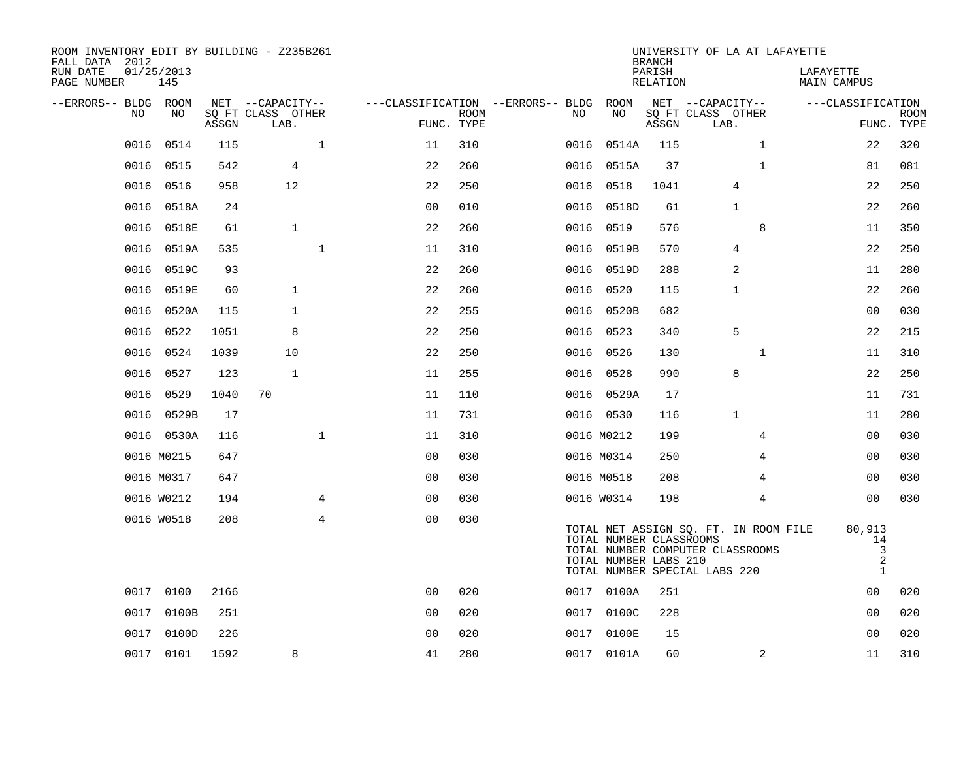| ROOM INVENTORY EDIT BY BUILDING - Z235B261<br>FALL DATA 2012 |                   |       |                           |              |                |             |                                   |                                                  | <b>BRANCH</b>      | UNIVERSITY OF LA AT LAFAYETTE                                                                              |                                                     |                           |
|--------------------------------------------------------------|-------------------|-------|---------------------------|--------------|----------------|-------------|-----------------------------------|--------------------------------------------------|--------------------|------------------------------------------------------------------------------------------------------------|-----------------------------------------------------|---------------------------|
| RUN DATE<br>PAGE NUMBER                                      | 01/25/2013<br>145 |       |                           |              |                |             |                                   |                                                  | PARISH<br>RELATION |                                                                                                            | LAFAYETTE<br>MAIN CAMPUS                            |                           |
| --ERRORS-- BLDG ROOM                                         |                   |       | NET --CAPACITY--          |              |                |             | ---CLASSIFICATION --ERRORS-- BLDG | ROOM                                             |                    | NET --CAPACITY--                                                                                           | ---CLASSIFICATION                                   |                           |
| NO                                                           | NO                | ASSGN | SQ FT CLASS OTHER<br>LAB. |              | FUNC. TYPE     | <b>ROOM</b> | NO.                               | NO                                               | ASSGN              | SQ FT CLASS OTHER<br>LAB.                                                                                  |                                                     | <b>ROOM</b><br>FUNC. TYPE |
| 0016                                                         | 0514              | 115   |                           | $\mathbf 1$  | 11             | 310         | 0016                              | 0514A                                            | 115                | $\mathbf{1}$                                                                                               | 22                                                  | 320                       |
| 0016                                                         | 0515              | 542   | $\overline{4}$            |              | 22             | 260         | 0016                              | 0515A                                            | 37                 | $\mathbf{1}$                                                                                               | 81                                                  | 081                       |
| 0016                                                         | 0516              | 958   | 12                        |              | 22             | 250         | 0016                              | 0518                                             | 1041               | 4                                                                                                          | 22                                                  | 250                       |
| 0016                                                         | 0518A             | 24    |                           |              | 00             | 010         | 0016                              | 0518D                                            | 61                 | 1                                                                                                          | 22                                                  | 260                       |
| 0016                                                         | 0518E             | 61    | $\mathbf{1}$              |              | 22             | 260         | 0016                              | 0519                                             | 576                | 8                                                                                                          | 11                                                  | 350                       |
| 0016                                                         | 0519A             | 535   |                           | $\mathbf{1}$ | 11             | 310         | 0016                              | 0519B                                            | 570                | 4                                                                                                          | 22                                                  | 250                       |
| 0016                                                         | 0519C             | 93    |                           |              | 22             | 260         |                                   | 0016 0519D                                       | 288                | 2                                                                                                          | 11                                                  | 280                       |
| 0016                                                         | 0519E             | 60    | $\mathbf{1}$              |              | 22             | 260         | 0016                              | 0520                                             | 115                | $\mathbf 1$                                                                                                | 22                                                  | 260                       |
| 0016                                                         | 0520A             | 115   | 1                         |              | 22             | 255         |                                   | 0016 0520B                                       | 682                |                                                                                                            | 0 <sub>0</sub>                                      | 030                       |
| 0016                                                         | 0522              | 1051  | 8                         |              | 22             | 250         |                                   | 0016 0523                                        | 340                | 5                                                                                                          | 22                                                  | 215                       |
| 0016                                                         | 0524              | 1039  | 10                        |              | 22             | 250         |                                   | 0016 0526                                        | 130                | $\mathbf{1}$                                                                                               | 11                                                  | 310                       |
| 0016                                                         | 0527              | 123   | $\mathbf{1}$              |              | 11             | 255         |                                   | 0016 0528                                        | 990                | 8                                                                                                          | 22                                                  | 250                       |
| 0016                                                         | 0529              | 1040  | 70                        |              | 11             | 110         |                                   | 0016 0529A                                       | 17                 |                                                                                                            | 11                                                  | 731                       |
| 0016                                                         | 0529B             | 17    |                           |              | 11             | 731         |                                   | 0016 0530                                        | 116                | $\mathbf{1}$                                                                                               | 11                                                  | 280                       |
|                                                              | 0016 0530A        | 116   |                           | $\mathbf 1$  | 11             | 310         |                                   | 0016 M0212                                       | 199                | 4                                                                                                          | 00                                                  | 030                       |
|                                                              | 0016 M0215        | 647   |                           |              | 0 <sub>0</sub> | 030         |                                   | 0016 M0314                                       | 250                | $\overline{4}$                                                                                             | 0 <sub>0</sub>                                      | 030                       |
|                                                              | 0016 M0317        | 647   |                           |              | 0 <sub>0</sub> | 030         |                                   | 0016 M0518                                       | 208                | 4                                                                                                          | 00                                                  | 030                       |
|                                                              | 0016 W0212        | 194   |                           | 4            | 0 <sub>0</sub> | 030         |                                   | 0016 W0314                                       | 198                | 4                                                                                                          | 0 <sub>0</sub>                                      | 030                       |
|                                                              | 0016 W0518        | 208   |                           | 4            | 0 <sub>0</sub> | 030         |                                   | TOTAL NUMBER CLASSROOMS<br>TOTAL NUMBER LABS 210 |                    | TOTAL NET ASSIGN SQ. FT. IN ROOM FILE<br>TOTAL NUMBER COMPUTER CLASSROOMS<br>TOTAL NUMBER SPECIAL LABS 220 | 80,913<br>14<br>3<br>$\overline{2}$<br>$\mathbf{1}$ |                           |
|                                                              | 0017 0100         | 2166  |                           |              | 0 <sub>0</sub> | 020         |                                   | 0017 0100A                                       | 251                |                                                                                                            | 00                                                  | 020                       |
| 0017                                                         | 0100B             | 251   |                           |              | 0 <sub>0</sub> | 020         | 0017                              | 0100C                                            | 228                |                                                                                                            | 0 <sub>0</sub>                                      | 020                       |
| 0017                                                         | 0100D             | 226   |                           |              | 0 <sub>0</sub> | 020         |                                   | 0017 0100E                                       | 15                 |                                                                                                            | 0 <sub>0</sub>                                      | 020                       |
|                                                              | 0017 0101         | 1592  | 8                         |              | 41             | 280         |                                   | 0017 0101A                                       | 60                 | 2                                                                                                          | 11                                                  | 310                       |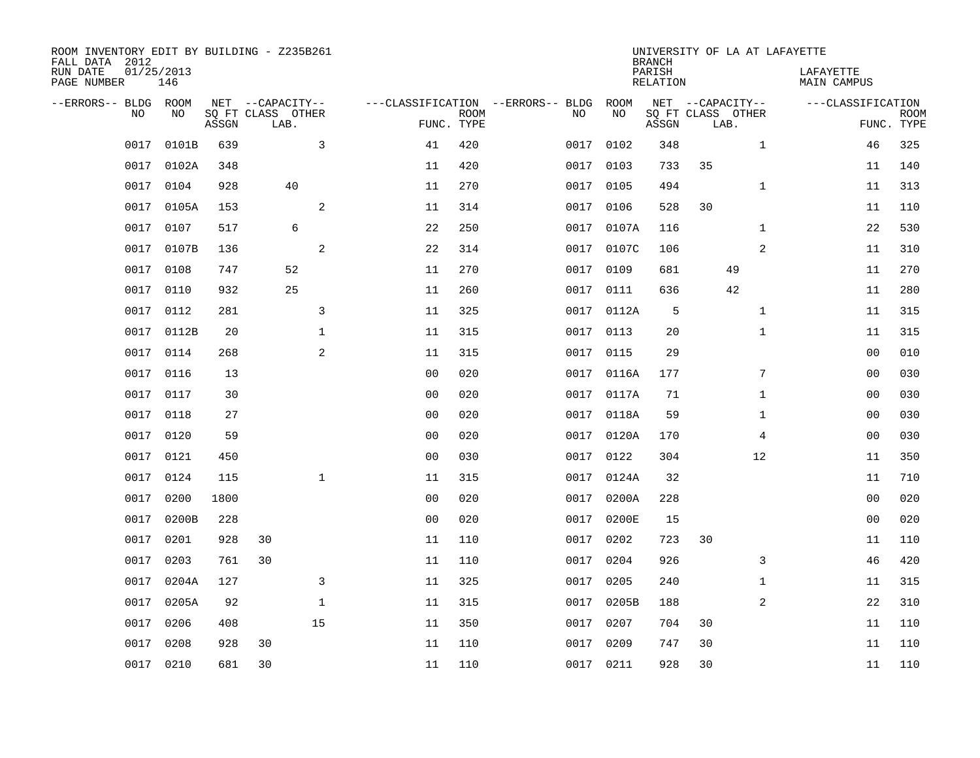| ROOM INVENTORY EDIT BY BUILDING - Z235B261<br>FALL DATA 2012<br>RUN DATE | 01/25/2013 |       |                                       |              |                                   |             |      |            | <b>BRANCH</b><br>PARISH | UNIVERSITY OF LA AT LAFAYETTE         |                | LAFAYETTE          |             |
|--------------------------------------------------------------------------|------------|-------|---------------------------------------|--------------|-----------------------------------|-------------|------|------------|-------------------------|---------------------------------------|----------------|--------------------|-------------|
| PAGE NUMBER                                                              | 146        |       |                                       |              |                                   |             |      |            | <b>RELATION</b>         |                                       |                | <b>MAIN CAMPUS</b> |             |
| --ERRORS-- BLDG ROOM<br>NO                                               | NO         |       | NET --CAPACITY--<br>SQ FT CLASS OTHER |              | ---CLASSIFICATION --ERRORS-- BLDG | <b>ROOM</b> | NO   | ROOM<br>NO |                         | NET --CAPACITY--<br>SQ FT CLASS OTHER |                | ---CLASSIFICATION  | <b>ROOM</b> |
|                                                                          |            | ASSGN | LAB.                                  |              |                                   | FUNC. TYPE  |      |            | ASSGN                   | LAB.                                  |                |                    | FUNC. TYPE  |
| 0017                                                                     | 0101B      | 639   |                                       | 3            | 41                                | 420         | 0017 | 0102       | 348                     |                                       | $\mathbf{1}$   | 46                 | 325         |
| 0017                                                                     | 0102A      | 348   |                                       |              | 11                                | 420         | 0017 | 0103       | 733                     | 35                                    |                | 11                 | 140         |
| 0017                                                                     | 0104       | 928   | 40                                    |              | 11                                | 270         | 0017 | 0105       | 494                     |                                       | $\mathbf{1}$   | 11                 | 313         |
| 0017                                                                     | 0105A      | 153   |                                       | 2            | 11                                | 314         | 0017 | 0106       | 528                     | 30                                    |                | 11                 | 110         |
| 0017                                                                     | 0107       | 517   | 6                                     |              | 22                                | 250         | 0017 | 0107A      | 116                     |                                       | $\mathbf{1}$   | 22                 | 530         |
| 0017                                                                     | 0107B      | 136   |                                       | 2            | 22                                | 314         |      | 0017 0107C | 106                     |                                       | 2              | 11                 | 310         |
| 0017                                                                     | 0108       | 747   | 52                                    |              | 11                                | 270         | 0017 | 0109       | 681                     | 49                                    |                | 11                 | 270         |
| 0017                                                                     | 0110       | 932   | 25                                    |              | 11                                | 260         | 0017 | 0111       | 636                     | 42                                    |                | 11                 | 280         |
| 0017                                                                     | 0112       | 281   |                                       | 3            | 11                                | 325         | 0017 | 0112A      | 5                       |                                       | $\mathbf{1}$   | 11                 | 315         |
| 0017                                                                     | 0112B      | 20    |                                       | $\mathbf 1$  | 11                                | 315         |      | 0017 0113  | 20                      |                                       | $\mathbf{1}$   | 11                 | 315         |
| 0017                                                                     | 0114       | 268   |                                       | 2            | 11                                | 315         | 0017 | 0115       | 29                      |                                       |                | 0 <sub>0</sub>     | 010         |
| 0017                                                                     | 0116       | 13    |                                       |              | 0 <sub>0</sub>                    | 020         |      | 0017 0116A | 177                     |                                       | 7              | 0 <sub>0</sub>     | 030         |
| 0017                                                                     | 0117       | 30    |                                       |              | 0 <sub>0</sub>                    | 020         | 0017 | 0117A      | 71                      |                                       | $\mathbf{1}$   | 00                 | 030         |
| 0017                                                                     | 0118       | 27    |                                       |              | 0 <sub>0</sub>                    | 020         | 0017 | 0118A      | 59                      |                                       | $\mathbf{1}$   | 00                 | 030         |
| 0017                                                                     | 0120       | 59    |                                       |              | 0 <sub>0</sub>                    | 020         | 0017 | 0120A      | 170                     |                                       | 4              | 00                 | 030         |
| 0017                                                                     | 0121       | 450   |                                       |              | 0 <sub>0</sub>                    | 030         | 0017 | 0122       | 304                     |                                       | 12             | 11                 | 350         |
| 0017                                                                     | 0124       | 115   |                                       | $\mathbf{1}$ | 11                                | 315         | 0017 | 0124A      | 32                      |                                       |                | 11                 | 710         |
| 0017                                                                     | 0200       | 1800  |                                       |              | 0 <sub>0</sub>                    | 020         | 0017 | 0200A      | 228                     |                                       |                | 0 <sub>0</sub>     | 020         |
| 0017                                                                     | 0200B      | 228   |                                       |              | 0 <sub>0</sub>                    | 020         | 0017 | 0200E      | 15                      |                                       |                | 0 <sub>0</sub>     | 020         |
| 0017                                                                     | 0201       | 928   | 30                                    |              | 11                                | 110         | 0017 | 0202       | 723                     | 30                                    |                | 11                 | 110         |
| 0017                                                                     | 0203       | 761   | 30                                    |              | 11                                | 110         | 0017 | 0204       | 926                     |                                       | 3              | 46                 | 420         |
| 0017                                                                     | 0204A      | 127   |                                       | 3            | 11                                | 325         | 0017 | 0205       | 240                     |                                       | $\mathbf{1}$   | 11                 | 315         |
| 0017                                                                     | 0205A      | 92    |                                       | $\mathbf 1$  | 11                                | 315         | 0017 | 0205B      | 188                     |                                       | $\overline{2}$ | 22                 | 310         |
| 0017                                                                     | 0206       | 408   |                                       | 15           | 11                                | 350         | 0017 | 0207       | 704                     | 30                                    |                | 11                 | 110         |
| 0017                                                                     | 0208       | 928   | 30                                    |              | 11                                | 110         | 0017 | 0209       | 747                     | 30                                    |                | 11                 | 110         |
|                                                                          | 0017 0210  | 681   | 30                                    |              | 11                                | 110         |      | 0017 0211  | 928                     | 30                                    |                | 11                 | 110         |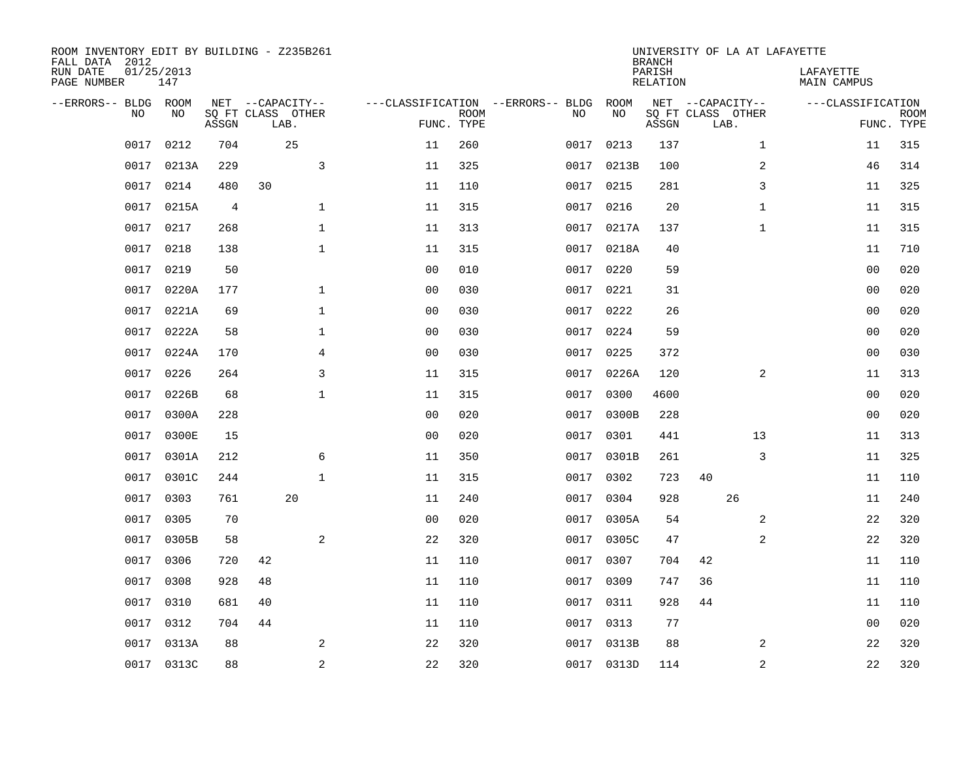| ROOM INVENTORY EDIT BY BUILDING - Z235B261<br>FALL DATA 2012<br>RUN DATE<br>PAGE NUMBER | 01/25/2013<br>147 |       |                                               |                |                |                           |                                         |            |       | <b>BRANCH</b><br>PARISH<br><b>RELATION</b> | UNIVERSITY OF LA AT LAFAYETTE                 |    |                  | LAFAYETTE<br>MAIN CAMPUS |                           |
|-----------------------------------------------------------------------------------------|-------------------|-------|-----------------------------------------------|----------------|----------------|---------------------------|-----------------------------------------|------------|-------|--------------------------------------------|-----------------------------------------------|----|------------------|--------------------------|---------------------------|
| --ERRORS-- BLDG ROOM<br>NO.                                                             | NO                | ASSGN | NET --CAPACITY--<br>SQ FT CLASS OTHER<br>LAB. |                |                | <b>ROOM</b><br>FUNC. TYPE | ---CLASSIFICATION --ERRORS-- BLDG<br>NO | ROOM<br>NO |       | ASSGN                                      | NET --CAPACITY--<br>SQ FT CLASS OTHER<br>LAB. |    |                  | ---CLASSIFICATION        | <b>ROOM</b><br>FUNC. TYPE |
| 0017                                                                                    | 0212              | 704   | 25                                            |                | 11             | 260                       | 0017                                    | 0213       |       | 137                                        |                                               |    | $\mathbf{1}$     | 11                       | 315                       |
| 0017                                                                                    | 0213A             | 229   |                                               | $\mathbf{3}$   | 11             | 325                       | 0017                                    |            | 0213B | 100                                        |                                               |    | $\boldsymbol{2}$ | 46                       | 314                       |
| 0017                                                                                    | 0214              | 480   | 30                                            |                | 11             | 110                       | 0017                                    | 0215       |       | 281                                        |                                               |    | 3                | 11                       | 325                       |
| 0017                                                                                    | 0215A             | 4     |                                               | $\mathbf 1$    | 11             | 315                       |                                         | 0017 0216  |       | 20                                         |                                               |    | $\mathbf{1}$     | 11                       | 315                       |
| 0017                                                                                    | 0217              | 268   |                                               | $\mathbf{1}$   | 11             | 313                       | 0017                                    |            | 0217A | 137                                        |                                               |    | $\mathbf{1}$     | 11                       | 315                       |
| 0017                                                                                    | 0218              | 138   |                                               | $\mathbf{1}$   | 11             | 315                       |                                         | 0017 0218A |       | 40                                         |                                               |    |                  | 11                       | 710                       |
| 0017                                                                                    | 0219              | 50    |                                               |                | 0 <sub>0</sub> | 010                       | 0017                                    | 0220       |       | 59                                         |                                               |    |                  | 0 <sub>0</sub>           | 020                       |
| 0017                                                                                    | 0220A             | 177   |                                               | $\mathbf 1$    | 0 <sub>0</sub> | 030                       |                                         | 0017 0221  |       | 31                                         |                                               |    |                  | 0 <sub>0</sub>           | 020                       |
| 0017                                                                                    | 0221A             | 69    |                                               | $\mathbf 1$    | 0 <sub>0</sub> | 030                       | 0017                                    | 0222       |       | 26                                         |                                               |    |                  | 0 <sub>0</sub>           | 020                       |
| 0017                                                                                    | 0222A             | 58    |                                               | $\mathbf 1$    | 0 <sub>0</sub> | 030                       |                                         | 0017 0224  |       | 59                                         |                                               |    |                  | 0 <sub>0</sub>           | 020                       |
| 0017                                                                                    | 0224A             | 170   |                                               | 4              | 0 <sub>0</sub> | 030                       | 0017                                    | 0225       |       | 372                                        |                                               |    |                  | 00                       | 030                       |
| 0017                                                                                    | 0226              | 264   |                                               | 3              | 11             | 315                       |                                         | 0017 0226A |       | 120                                        |                                               |    | 2                | 11                       | 313                       |
| 0017                                                                                    | 0226B             | 68    |                                               | $\mathbf 1$    | 11             | 315                       | 0017                                    | 0300       |       | 4600                                       |                                               |    |                  | 00                       | 020                       |
| 0017                                                                                    | 0300A             | 228   |                                               |                | 0 <sub>0</sub> | 020                       | 0017                                    |            | 0300B | 228                                        |                                               |    |                  | 00                       | 020                       |
| 0017                                                                                    | 0300E             | 15    |                                               |                | 0 <sub>0</sub> | 020                       | 0017                                    | 0301       |       | 441                                        |                                               | 13 |                  | 11                       | 313                       |
| 0017                                                                                    | 0301A             | 212   |                                               | 6              | 11             | 350                       | 0017                                    |            | 0301B | 261                                        |                                               |    | 3                | 11                       | 325                       |
| 0017                                                                                    | 0301C             | 244   |                                               | $\mathbf{1}$   | 11             | 315                       | 0017                                    | 0302       |       | 723                                        | 40                                            |    |                  | 11                       | 110                       |
| 0017                                                                                    | 0303              | 761   | 20                                            |                | 11             | 240                       | 0017                                    | 0304       |       | 928                                        |                                               | 26 |                  | 11                       | 240                       |
| 0017                                                                                    | 0305              | 70    |                                               |                | 0 <sub>0</sub> | 020                       | 0017                                    |            | 0305A | 54                                         |                                               |    | 2                | 22                       | 320                       |
| 0017                                                                                    | 0305B             | 58    |                                               | 2              | 22             | 320                       | 0017                                    |            | 0305C | 47                                         |                                               |    | 2                | 22                       | 320                       |
| 0017                                                                                    | 0306              | 720   | 42                                            |                | 11             | 110                       | 0017                                    | 0307       |       | 704                                        | 42                                            |    |                  | 11                       | 110                       |
| 0017                                                                                    | 0308              | 928   | 48                                            |                | 11             | 110                       | 0017                                    | 0309       |       | 747                                        | 36                                            |    |                  | 11                       | 110                       |
| 0017                                                                                    | 0310              | 681   | 40                                            |                | 11             | 110                       | 0017                                    | 0311       |       | 928                                        | 44                                            |    |                  | 11                       | 110                       |
| 0017                                                                                    | 0312              | 704   | 44                                            |                | 11             | 110                       | 0017                                    | 0313       |       | 77                                         |                                               |    |                  | 0 <sub>0</sub>           | 020                       |
| 0017                                                                                    | 0313A             | 88    |                                               | 2              | 22             | 320                       |                                         | 0017 0313B |       | 88                                         |                                               |    | 2                | 22                       | 320                       |
|                                                                                         | 0017 0313C        | 88    |                                               | $\overline{c}$ | 22             | 320                       |                                         | 0017 0313D |       | 114                                        |                                               |    | 2                | 22                       | 320                       |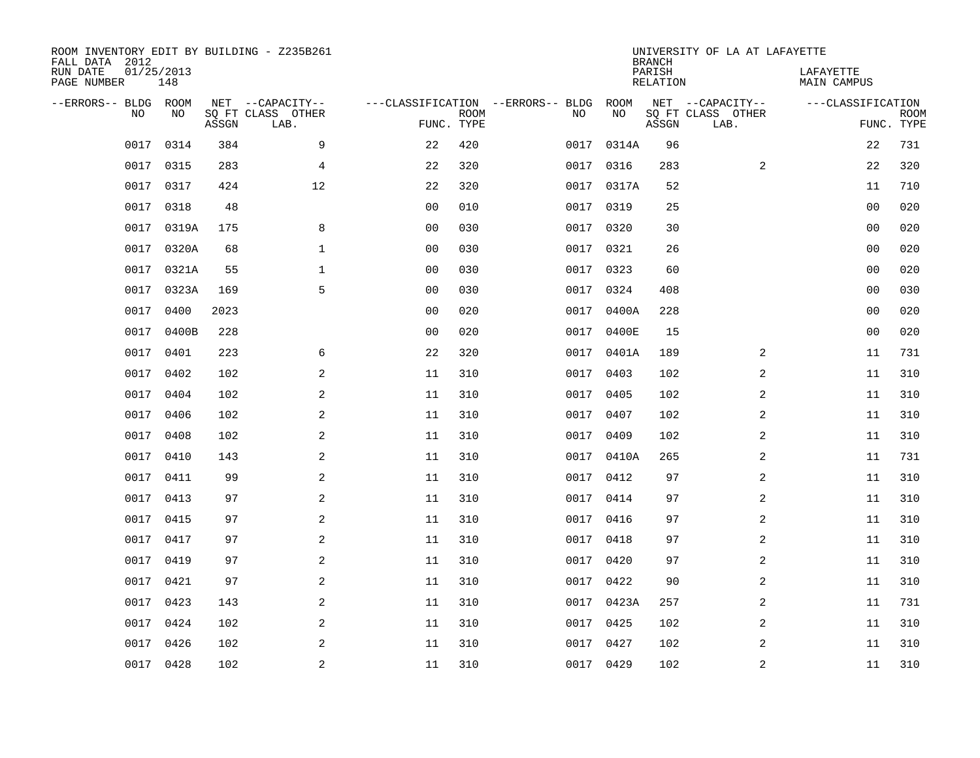| ROOM INVENTORY EDIT BY BUILDING - Z235B261<br>FALL DATA 2012 |                   |       |                           |                |             |                                   |            | <b>BRANCH</b>             | UNIVERSITY OF LA AT LAFAYETTE |                          |                           |
|--------------------------------------------------------------|-------------------|-------|---------------------------|----------------|-------------|-----------------------------------|------------|---------------------------|-------------------------------|--------------------------|---------------------------|
| RUN DATE<br>PAGE NUMBER                                      | 01/25/2013<br>148 |       |                           |                |             |                                   |            | PARISH<br><b>RELATION</b> |                               | LAFAYETTE<br>MAIN CAMPUS |                           |
| --ERRORS-- BLDG ROOM                                         |                   |       | NET --CAPACITY--          |                |             | ---CLASSIFICATION --ERRORS-- BLDG | ROOM       |                           | NET --CAPACITY--              | ---CLASSIFICATION        |                           |
| NO                                                           | NO                | ASSGN | SQ FT CLASS OTHER<br>LAB. | FUNC. TYPE     | <b>ROOM</b> | NO                                | NO         | ASSGN                     | SQ FT CLASS OTHER<br>LAB.     |                          | <b>ROOM</b><br>FUNC. TYPE |
| 0017                                                         | 0314              | 384   | 9                         | 22             | 420         | 0017                              | 0314A      | 96                        |                               | 22                       | 731                       |
| 0017                                                         | 0315              | 283   | 4                         | 22             | 320         | 0017                              | 0316       | 283                       | 2                             | 22                       | 320                       |
| 0017                                                         | 0317              | 424   | 12                        | 22             | 320         | 0017                              | 0317A      | 52                        |                               | 11                       | 710                       |
| 0017                                                         | 0318              | 48    |                           | 0 <sub>0</sub> | 010         |                                   | 0017 0319  | 25                        |                               | 0 <sub>0</sub>           | 020                       |
| 0017                                                         | 0319A             | 175   | 8                         | 0 <sub>0</sub> | 030         | 0017                              | 0320       | 30                        |                               | 0 <sub>0</sub>           | 020                       |
| 0017                                                         | 0320A             | 68    | $\mathbf 1$               | 0 <sub>0</sub> | 030         |                                   | 0017 0321  | 26                        |                               | 0 <sub>0</sub>           | 020                       |
| 0017                                                         | 0321A             | 55    | $\mathbf{1}$              | 0 <sub>0</sub> | 030         | 0017                              | 0323       | 60                        |                               | 0 <sub>0</sub>           | 020                       |
| 0017                                                         | 0323A             | 169   | 5                         | 0 <sub>0</sub> | 030         |                                   | 0017 0324  | 408                       |                               | 0 <sub>0</sub>           | 030                       |
| 0017                                                         | 0400              | 2023  |                           | 0 <sub>0</sub> | 020         | 0017                              | 0400A      | 228                       |                               | 0 <sub>0</sub>           | 020                       |
| 0017                                                         | 0400B             | 228   |                           | 0 <sub>0</sub> | 020         |                                   | 0017 0400E | 15                        |                               | 0 <sub>0</sub>           | 020                       |
| 0017                                                         | 0401              | 223   | 6                         | 22             | 320         |                                   | 0017 0401A | 189                       | $\overline{2}$                | 11                       | 731                       |
| 0017                                                         | 0402              | 102   | 2                         | 11             | 310         |                                   | 0017 0403  | 102                       | 2                             | 11                       | 310                       |
| 0017                                                         | 0404              | 102   | 2                         | 11             | 310         | 0017                              | 0405       | 102                       | 2                             | 11                       | 310                       |
| 0017                                                         | 0406              | 102   | 2                         | 11             | 310         | 0017                              | 0407       | 102                       | 2                             | 11                       | 310                       |
| 0017                                                         | 0408              | 102   | 2                         | 11             | 310         | 0017                              | 0409       | 102                       | 2                             | 11                       | 310                       |
| 0017                                                         | 0410              | 143   | 2                         | 11             | 310         |                                   | 0017 0410A | 265                       | $\overline{a}$                | 11                       | 731                       |
| 0017                                                         | 0411              | 99    | 2                         | 11             | 310         | 0017                              | 0412       | 97                        | 2                             | 11                       | 310                       |
| 0017                                                         | 0413              | 97    | $\mathbf{2}$              | 11             | 310         | 0017                              | 0414       | 97                        | 2                             | 11                       | 310                       |
| 0017                                                         | 0415              | 97    | 2                         | 11             | 310         | 0017                              | 0416       | 97                        | 2                             | 11                       | 310                       |
| 0017                                                         | 0417              | 97    | 2                         | 11             | 310         | 0017                              | 0418       | 97                        | 2                             | 11                       | 310                       |
| 0017                                                         | 0419              | 97    | 2                         | 11             | 310         |                                   | 0017 0420  | 97                        | 2                             | 11                       | 310                       |
| 0017                                                         | 0421              | 97    | 2                         | 11             | 310         | 0017                              | 0422       | 90                        | 2                             | 11                       | 310                       |
| 0017                                                         | 0423              | 143   | 2                         | 11             | 310         |                                   | 0017 0423A | 257                       | 2                             | 11                       | 731                       |
| 0017                                                         | 0424              | 102   | 2                         | 11             | 310         | 0017                              | 0425       | 102                       | $\overline{a}$                | 11                       | 310                       |
| 0017                                                         | 0426              | 102   | 2                         | 11             | 310         |                                   | 0017 0427  | 102                       | 2                             | 11                       | 310                       |
|                                                              | 0017 0428         | 102   | $\overline{c}$            | 11             | 310         |                                   | 0017 0429  | 102                       | $\boldsymbol{2}$              | 11                       | 310                       |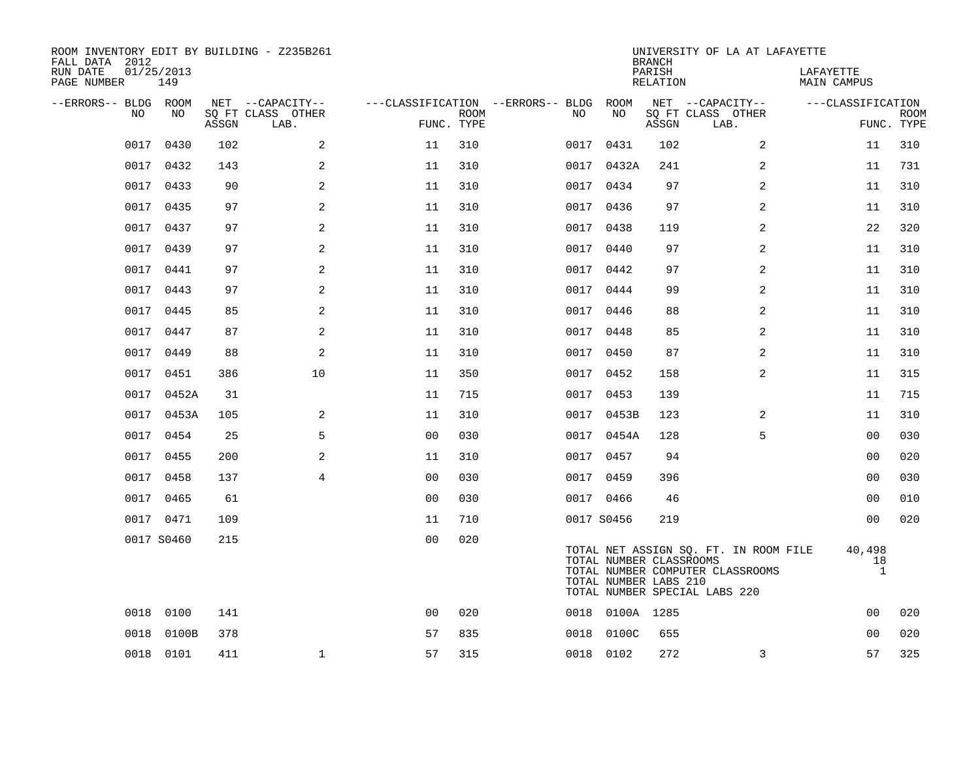| ROOM INVENTORY EDIT BY BUILDING - Z235B261<br>FALL DATA 2012 |                   |       |                           |                |             |                                        |                 | <b>BRANCH</b>                                    | UNIVERSITY OF LA AT LAFAYETTE                                                                              |                              |                           |
|--------------------------------------------------------------|-------------------|-------|---------------------------|----------------|-------------|----------------------------------------|-----------------|--------------------------------------------------|------------------------------------------------------------------------------------------------------------|------------------------------|---------------------------|
| RUN DATE<br>PAGE NUMBER                                      | 01/25/2013<br>149 |       |                           |                |             |                                        |                 | PARISH<br>RELATION                               |                                                                                                            | LAFAYETTE<br>MAIN CAMPUS     |                           |
| --ERRORS-- BLDG ROOM                                         |                   |       | NET --CAPACITY--          |                |             | ---CLASSIFICATION --ERRORS-- BLDG ROOM |                 |                                                  | NET --CAPACITY--                                                                                           | ---CLASSIFICATION            |                           |
| NO.                                                          | NO.               | ASSGN | SO FT CLASS OTHER<br>LAB. | FUNC. TYPE     | <b>ROOM</b> | NO.                                    | NO              | ASSGN                                            | SQ FT CLASS OTHER<br>LAB.                                                                                  |                              | <b>ROOM</b><br>FUNC. TYPE |
| 0017                                                         | 0430              | 102   | 2                         | 11             | 310         |                                        | 0017 0431       | 102                                              | 2                                                                                                          | 11                           | 310                       |
|                                                              | 0017 0432         | 143   | 2                         | 11             | 310         |                                        | 0017 0432A      | 241                                              | $\overline{2}$                                                                                             | 11                           | 731                       |
|                                                              | 0017 0433         | 90    | 2                         | 11             | 310         |                                        | 0017 0434       | 97                                               | 2                                                                                                          | 11                           | 310                       |
| 0017                                                         | 0435              | 97    | 2                         | 11             | 310         |                                        | 0017 0436       | 97                                               | 2                                                                                                          | 11                           | 310                       |
|                                                              | 0017 0437         | 97    | 2                         | 11             | 310         |                                        | 0017 0438       | 119                                              | 2                                                                                                          | 22                           | 320                       |
|                                                              | 0017 0439         | 97    | 2                         | 11             | 310         |                                        | 0017 0440       | 97                                               | 2                                                                                                          | 11                           | 310                       |
|                                                              | 0017 0441         | 97    | 2                         | 11             | 310         |                                        | 0017 0442       | 97                                               | 2                                                                                                          | 11                           | 310                       |
| 0017                                                         | 0443              | 97    | 2                         | 11             | 310         | 0017                                   | 0444            | 99                                               | 2                                                                                                          | 11                           | 310                       |
|                                                              | 0017 0445         | 85    | 2                         | 11             | 310         |                                        | 0017 0446       | 88                                               | 2                                                                                                          | 11                           | 310                       |
| 0017                                                         | 0447              | 87    | 2                         | 11             | 310         |                                        | 0017 0448       | 85                                               | $\overline{a}$                                                                                             | 11                           | 310                       |
| 0017                                                         | 0449              | 88    | 2                         | 11             | 310         |                                        | 0017 0450       | 87                                               | 2                                                                                                          | 11                           | 310                       |
| 0017                                                         | 0451              | 386   | 10                        | 11             | 350         |                                        | 0017 0452       | 158                                              | $\overline{a}$                                                                                             | 11                           | 315                       |
| 0017                                                         | 0452A             | 31    |                           | 11             | 715         |                                        | 0017 0453       | 139                                              |                                                                                                            | 11                           | 715                       |
| 0017                                                         | 0453A             | 105   | 2                         | 11             | 310         |                                        | 0017 0453B      | 123                                              | 2                                                                                                          | 11                           | 310                       |
| 0017                                                         | 0454              | 25    | 5                         | 0 <sub>0</sub> | 030         |                                        | 0017 0454A      | 128                                              | 5                                                                                                          | 0 <sub>0</sub>               | 030                       |
| 0017                                                         | 0455              | 200   | 2                         | 11             | 310         |                                        | 0017 0457       | 94                                               |                                                                                                            | 00                           | 020                       |
|                                                              | 0017 0458         | 137   | $\overline{4}$            | 0 <sub>0</sub> | 030         |                                        | 0017 0459       | 396                                              |                                                                                                            | 0 <sub>0</sub>               | 030                       |
| 0017                                                         | 0465              | 61    |                           | 0 <sub>0</sub> | 030         |                                        | 0017 0466       | 46                                               |                                                                                                            | 0 <sub>0</sub>               | 010                       |
|                                                              | 0017 0471         | 109   |                           | 11             | 710         |                                        | 0017 S0456      | 219                                              |                                                                                                            | 0 <sub>0</sub>               | 020                       |
|                                                              | 0017 S0460        | 215   |                           | 0 <sub>0</sub> | 020         |                                        |                 | TOTAL NUMBER CLASSROOMS<br>TOTAL NUMBER LABS 210 | TOTAL NET ASSIGN SQ. FT. IN ROOM FILE<br>TOTAL NUMBER COMPUTER CLASSROOMS<br>TOTAL NUMBER SPECIAL LABS 220 | 40,498<br>18<br>$\mathbf{1}$ |                           |
| 0018                                                         | 0100              | 141   |                           | 0 <sub>0</sub> | 020         |                                        | 0018 0100A 1285 |                                                  |                                                                                                            | 0 <sub>0</sub>               | 020                       |
| 0018                                                         | 0100B             | 378   |                           | 57             | 835         | 0018                                   | 0100C           | 655                                              |                                                                                                            | 0 <sub>0</sub>               | 020                       |
|                                                              | 0018 0101         | 411   | $\mathbf{1}$              | 57             | 315         |                                        | 0018 0102       | 272                                              | 3                                                                                                          | 57                           | 325                       |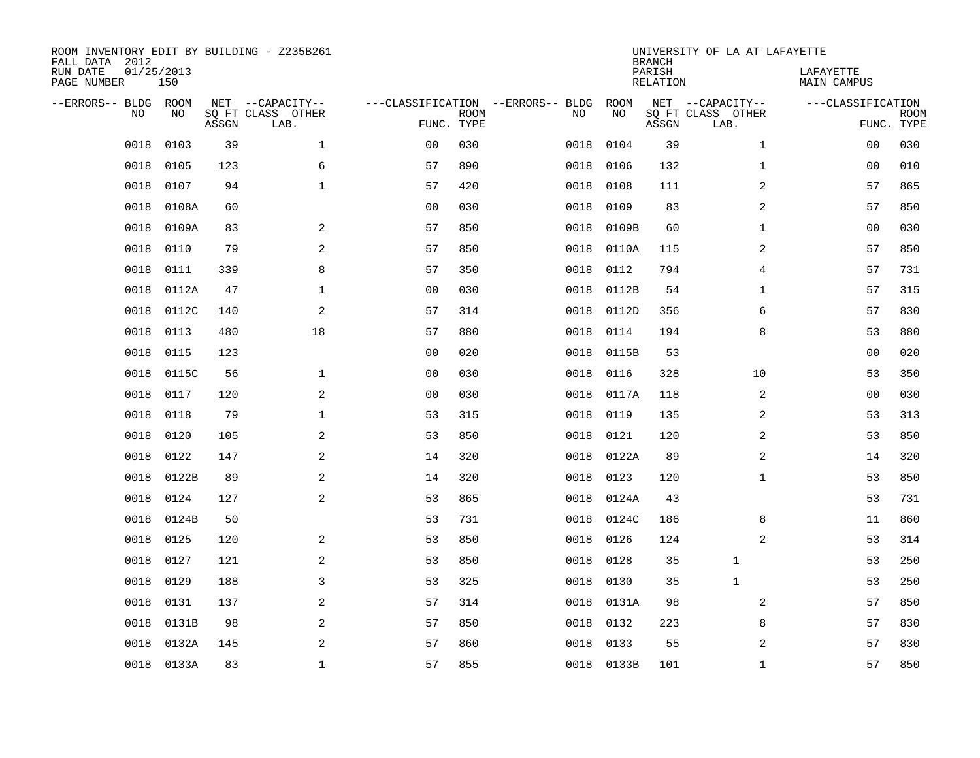| FALL DATA 2012<br>RUN DATE<br>PAGE NUMBER | 01/25/2013 | 150        |       | ROOM INVENTORY EDIT BY BUILDING - Z235B261    |                                                 |             |      |            | <b>BRANCH</b><br>PARISH<br>RELATION | UNIVERSITY OF LA AT LAFAYETTE                 | LAFAYETTE<br>MAIN CAMPUS        |             |
|-------------------------------------------|------------|------------|-------|-----------------------------------------------|-------------------------------------------------|-------------|------|------------|-------------------------------------|-----------------------------------------------|---------------------------------|-------------|
| --ERRORS-- BLDG                           | NO         | ROOM<br>NO | ASSGN | NET --CAPACITY--<br>SQ FT CLASS OTHER<br>LAB. | ---CLASSIFICATION --ERRORS-- BLDG<br>FUNC. TYPE | <b>ROOM</b> | NO   | ROOM<br>NO | ASSGN                               | NET --CAPACITY--<br>SQ FT CLASS OTHER<br>LAB. | ---CLASSIFICATION<br>FUNC. TYPE | <b>ROOM</b> |
|                                           | 0018       | 0103       | 39    | $\mathbf{1}$                                  | 0 <sub>0</sub>                                  | 030         | 0018 | 0104       | 39                                  | $\mathbf{1}$                                  | 00                              | 030         |
|                                           | 0018       | 0105       | 123   | 6                                             | 57                                              | 890         | 0018 | 0106       | 132                                 | $\mathbf{1}$                                  | 00                              | 010         |
|                                           | 0018       | 0107       | 94    | $\mathbf 1$                                   | 57                                              | 420         | 0018 | 0108       | 111                                 | 2                                             | 57                              | 865         |
|                                           | 0018       | 0108A      | 60    |                                               | 0 <sub>0</sub>                                  | 030         | 0018 | 0109       | 83                                  | 2                                             | 57                              | 850         |
|                                           | 0018       | 0109A      | 83    | 2                                             | 57                                              | 850         | 0018 | 0109B      | 60                                  | $\mathbf{1}$                                  | 00                              | 030         |
|                                           | 0018       | 0110       | 79    | 2                                             | 57                                              | 850         | 0018 | 0110A      | 115                                 | 2                                             | 57                              | 850         |
|                                           | 0018       | 0111       | 339   | 8                                             | 57                                              | 350         | 0018 | 0112       | 794                                 | 4                                             | 57                              | 731         |
|                                           | 0018       | 0112A      | 47    | $\mathbf 1$                                   | 0 <sub>0</sub>                                  | 030         | 0018 | 0112B      | 54                                  | $\mathbf{1}$                                  | 57                              | 315         |
|                                           | 0018       | 0112C      | 140   | 2                                             | 57                                              | 314         | 0018 | 0112D      | 356                                 | 6                                             | 57                              | 830         |
|                                           | 0018       | 0113       | 480   | 18                                            | 57                                              | 880         | 0018 | 0114       | 194                                 | 8                                             | 53                              | 880         |
|                                           | 0018       | 0115       | 123   |                                               | 0 <sub>0</sub>                                  | 020         | 0018 | 0115B      | 53                                  |                                               | 00                              | 020         |
|                                           | 0018       | 0115C      | 56    | $\mathbf 1$                                   | 0 <sub>0</sub>                                  | 030         | 0018 | 0116       | 328                                 | 10                                            | 53                              | 350         |
|                                           | 0018       | 0117       | 120   | 2                                             | 0 <sub>0</sub>                                  | 030         | 0018 | 0117A      | 118                                 | 2                                             | 0 <sub>0</sub>                  | 030         |
|                                           | 0018       | 0118       | 79    | $\mathbf 1$                                   | 53                                              | 315         | 0018 | 0119       | 135                                 | 2                                             | 53                              | 313         |
|                                           | 0018       | 0120       | 105   | 2                                             | 53                                              | 850         | 0018 | 0121       | 120                                 | 2                                             | 53                              | 850         |
|                                           | 0018       | 0122       | 147   | 2                                             | 14                                              | 320         | 0018 | 0122A      | 89                                  | 2                                             | 14                              | 320         |
|                                           | 0018       | 0122B      | 89    | 2                                             | 14                                              | 320         | 0018 | 0123       | 120                                 | $\mathbf{1}$                                  | 53                              | 850         |
|                                           | 0018       | 0124       | 127   | 2                                             | 53                                              | 865         | 0018 | 0124A      | 43                                  |                                               | 53                              | 731         |
|                                           | 0018       | 0124B      | 50    |                                               | 53                                              | 731         | 0018 | 0124C      | 186                                 | 8                                             | 11                              | 860         |
|                                           | 0018       | 0125       | 120   | 2                                             | 53                                              | 850         | 0018 | 0126       | 124                                 | 2                                             | 53                              | 314         |
|                                           | 0018       | 0127       | 121   | 2                                             | 53                                              | 850         | 0018 | 0128       | 35                                  | 1                                             | 53                              | 250         |
|                                           | 0018       | 0129       | 188   | 3                                             | 53                                              | 325         | 0018 | 0130       | 35                                  | 1                                             | 53                              | 250         |
|                                           | 0018       | 0131       | 137   | 2                                             | 57                                              | 314         | 0018 | 0131A      | 98                                  | 2                                             | 57                              | 850         |
|                                           | 0018       | 0131B      | 98    | 2                                             | 57                                              | 850         | 0018 | 0132       | 223                                 | 8                                             | 57                              | 830         |
|                                           | 0018       | 0132A      | 145   | 2                                             | 57                                              | 860         | 0018 | 0133       | 55                                  | 2                                             | 57                              | 830         |
|                                           |            | 0018 0133A | 83    | $\mathbf{1}$                                  | 57                                              | 855         |      | 0018 0133B | 101                                 | $\mathbf{1}$                                  | 57                              | 850         |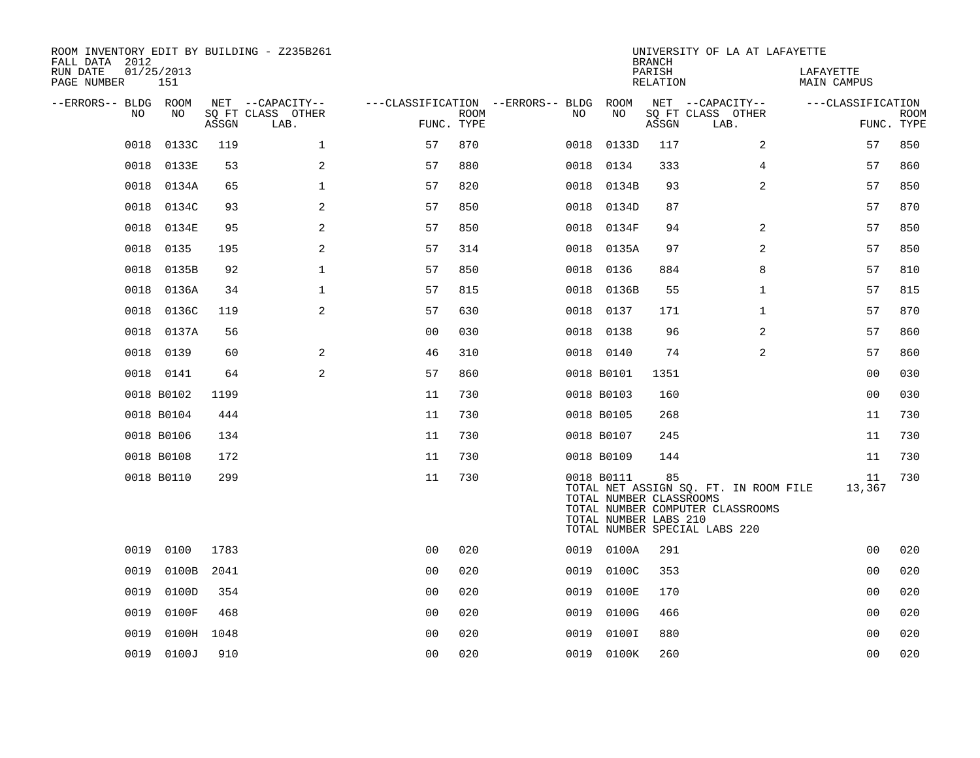| ROOM INVENTORY EDIT BY BUILDING - Z235B261<br>FALL DATA 2012 |                   |            |                           |                                        |             |      |                                                                | <b>BRANCH</b>      | UNIVERSITY OF LA AT LAFAYETTE                                                                              |                          |                           |
|--------------------------------------------------------------|-------------------|------------|---------------------------|----------------------------------------|-------------|------|----------------------------------------------------------------|--------------------|------------------------------------------------------------------------------------------------------------|--------------------------|---------------------------|
| RUN DATE<br>PAGE NUMBER                                      | 01/25/2013<br>151 |            |                           |                                        |             |      |                                                                | PARISH<br>RELATION |                                                                                                            | LAFAYETTE<br>MAIN CAMPUS |                           |
| --ERRORS-- BLDG ROOM                                         |                   |            | NET --CAPACITY--          | ---CLASSIFICATION --ERRORS-- BLDG ROOM |             |      |                                                                |                    | NET --CAPACITY--                                                                                           | ---CLASSIFICATION        |                           |
| NO                                                           | NO                | ASSGN      | SQ FT CLASS OTHER<br>LAB. | FUNC. TYPE                             | <b>ROOM</b> | NO.  | NO                                                             | ASSGN              | SQ FT CLASS OTHER<br>LAB.                                                                                  |                          | <b>ROOM</b><br>FUNC. TYPE |
| 0018                                                         | 0133C             | 119        | $\mathbf 1$               | 57                                     | 870         | 0018 | 0133D                                                          | 117                | 2                                                                                                          | 57                       | 850                       |
| 0018                                                         | 0133E             | 53         | 2                         | 57                                     | 880         | 0018 | 0134                                                           | 333                | 4                                                                                                          | 57                       | 860                       |
| 0018                                                         | 0134A             | 65         | $\mathbf{1}$              | 57                                     | 820         |      | 0018 0134B                                                     | 93                 | 2                                                                                                          | 57                       | 850                       |
| 0018                                                         | 0134C             | 93         | 2                         | 57                                     | 850         | 0018 | 0134D                                                          | 87                 |                                                                                                            | 57                       | 870                       |
| 0018                                                         | 0134E             | 95         | 2                         | 57                                     | 850         |      | 0018 0134F                                                     | 94                 | 2                                                                                                          | 57                       | 850                       |
| 0018                                                         | 0135              | 195        | 2                         | 57                                     | 314         |      | 0018 0135A                                                     | 97                 | 2                                                                                                          | 57                       | 850                       |
| 0018                                                         | 0135B             | 92         | $\mathbf{1}$              | 57                                     | 850         |      | 0018 0136                                                      | 884                | 8                                                                                                          | 57                       | 810                       |
| 0018                                                         | 0136A             | 34         | $\mathbf 1$               | 57                                     | 815         | 0018 | 0136B                                                          | 55                 | $\mathbf{1}$                                                                                               | 57                       | 815                       |
| 0018                                                         | 0136C             | 119        | 2                         | 57                                     | 630         |      | 0018 0137                                                      | 171                | $\mathbf{1}$                                                                                               | 57                       | 870                       |
| 0018                                                         | 0137A             | 56         |                           | 0 <sub>0</sub>                         | 030         |      | 0018 0138                                                      | 96                 | $\overline{a}$                                                                                             | 57                       | 860                       |
| 0018                                                         | 0139              | 60         | 2                         | 46                                     | 310         |      | 0018 0140                                                      | 74                 | 2                                                                                                          | 57                       | 860                       |
|                                                              | 0018 0141         | 64         | $\mathbf{2}$              | 57                                     | 860         |      | 0018 B0101                                                     | 1351               |                                                                                                            | 0 <sub>0</sub>           | 030                       |
|                                                              | 0018 B0102        | 1199       |                           | 11                                     | 730         |      | 0018 B0103                                                     | 160                |                                                                                                            | 00                       | 030                       |
|                                                              | 0018 B0104        | 444        |                           | 11                                     | 730         |      | 0018 B0105                                                     | 268                |                                                                                                            | 11                       | 730                       |
|                                                              | 0018 B0106        | 134        |                           | 11                                     | 730         |      | 0018 B0107                                                     | 245                |                                                                                                            | 11                       | 730                       |
|                                                              | 0018 B0108        | 172        |                           | 11                                     | 730         |      | 0018 B0109                                                     | 144                |                                                                                                            | 11                       | 730                       |
|                                                              | 0018 B0110        | 299        |                           | 11                                     | 730         |      | 0018 B0111<br>TOTAL NUMBER CLASSROOMS<br>TOTAL NUMBER LABS 210 | 85                 | TOTAL NET ASSIGN SQ. FT. IN ROOM FILE<br>TOTAL NUMBER COMPUTER CLASSROOMS<br>TOTAL NUMBER SPECIAL LABS 220 | 11<br>13,367             | 730                       |
| 0019                                                         | 0100              | 1783       |                           | 0 <sup>0</sup>                         | 020         |      | 0019 0100A                                                     | 291                |                                                                                                            | 0 <sub>0</sub>           | 020                       |
| 0019                                                         | 0100B             | 2041       |                           | 0 <sub>0</sub>                         | 020         | 0019 | 0100C                                                          | 353                |                                                                                                            | 0 <sub>0</sub>           | 020                       |
| 0019                                                         | 0100D             | 354        |                           | 0 <sub>0</sub>                         | 020         | 0019 | 0100E                                                          | 170                |                                                                                                            | 0 <sub>0</sub>           | 020                       |
| 0019                                                         | 0100F             | 468        |                           | 0 <sub>0</sub>                         | 020         | 0019 | 0100G                                                          | 466                |                                                                                                            | 0 <sub>0</sub>           | 020                       |
| 0019                                                         |                   | 0100H 1048 |                           | 0 <sub>0</sub>                         | 020         | 0019 | 0100I                                                          | 880                |                                                                                                            | 0 <sub>0</sub>           | 020                       |
|                                                              | 0019 0100J        | 910        |                           | 0 <sub>0</sub>                         | 020         |      | 0019 0100K                                                     | 260                |                                                                                                            | 0 <sub>0</sub>           | 020                       |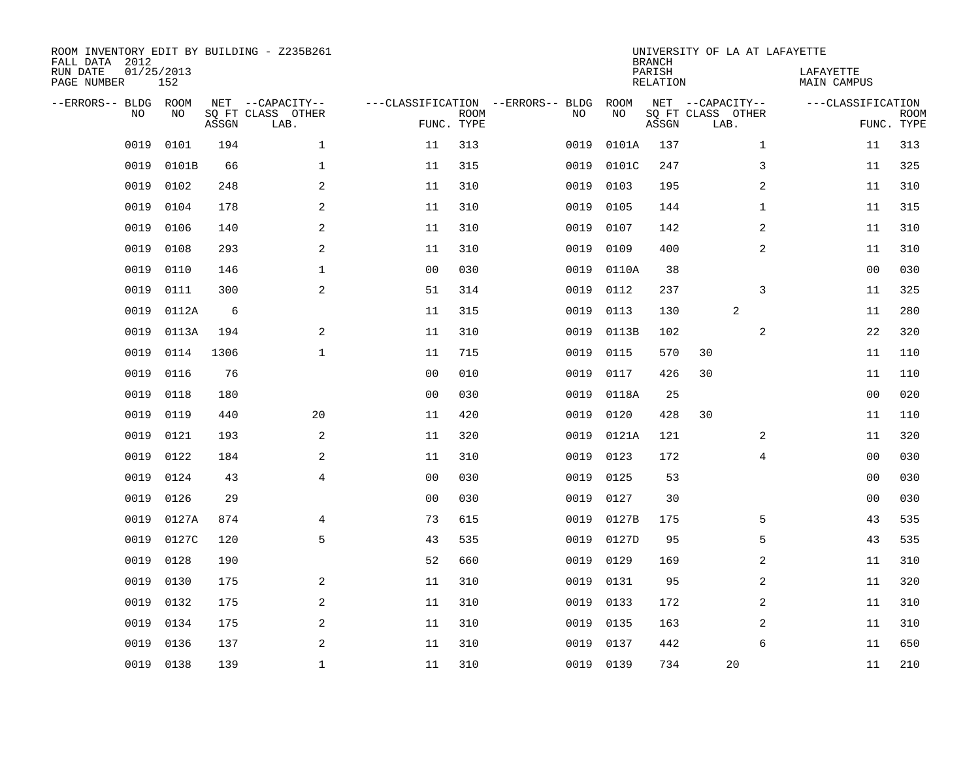| FALL DATA 2012<br>RUN DATE<br>PAGE NUMBER | 01/25/2013 | 152         |       | ROOM INVENTORY EDIT BY BUILDING - Z235B261    |                                                 |             |      |            | <b>BRANCH</b><br>PARISH<br>RELATION | UNIVERSITY OF LA AT LAFAYETTE                 | LAFAYETTE<br>MAIN CAMPUS |                           |
|-------------------------------------------|------------|-------------|-------|-----------------------------------------------|-------------------------------------------------|-------------|------|------------|-------------------------------------|-----------------------------------------------|--------------------------|---------------------------|
| --ERRORS-- BLDG                           | <b>NO</b>  | ROOM<br>NO. | ASSGN | NET --CAPACITY--<br>SO FT CLASS OTHER<br>LAB. | ---CLASSIFICATION --ERRORS-- BLDG<br>FUNC. TYPE | <b>ROOM</b> | NO   | ROOM<br>NO | ASSGN                               | NET --CAPACITY--<br>SQ FT CLASS OTHER<br>LAB. | ---CLASSIFICATION        | <b>ROOM</b><br>FUNC. TYPE |
|                                           | 0019       | 0101        | 194   | $\mathbf{1}$                                  | 11                                              | 313         | 0019 | 0101A      | 137                                 | $\mathbf{1}$                                  | 11                       | 313                       |
|                                           | 0019       | 0101B       | 66    | $\mathbf 1$                                   | 11                                              | 315         | 0019 | 0101C      | 247                                 | 3                                             | 11                       | 325                       |
|                                           | 0019       | 0102        | 248   | $\mathbf{2}$                                  | 11                                              | 310         | 0019 | 0103       | 195                                 | $\overline{a}$                                | 11                       | 310                       |
|                                           | 0019       | 0104        | 178   | 2                                             | 11                                              | 310         | 0019 | 0105       | 144                                 | $\mathbf{1}$                                  | 11                       | 315                       |
|                                           | 0019       | 0106        | 140   | 2                                             | 11                                              | 310         | 0019 | 0107       | 142                                 | 2                                             | 11                       | 310                       |
|                                           | 0019       | 0108        | 293   | 2                                             | 11                                              | 310         | 0019 | 0109       | 400                                 | 2                                             | 11                       | 310                       |
|                                           | 0019       | 0110        | 146   | $\mathbf{1}$                                  | 0 <sub>0</sub>                                  | 030         | 0019 | 0110A      | 38                                  |                                               | 0 <sub>0</sub>           | 030                       |
|                                           | 0019       | 0111        | 300   | 2                                             | 51                                              | 314         | 0019 | 0112       | 237                                 | 3                                             | 11                       | 325                       |
|                                           | 0019       | 0112A       | 6     |                                               | 11                                              | 315         | 0019 | 0113       | 130                                 | 2                                             | 11                       | 280                       |
|                                           | 0019       | 0113A       | 194   | 2                                             | 11                                              | 310         | 0019 | 0113B      | 102                                 | 2                                             | 22                       | 320                       |
|                                           | 0019       | 0114        | 1306  | $\mathbf 1$                                   | 11                                              | 715         | 0019 | 0115       | 570                                 | 30                                            | 11                       | 110                       |
|                                           | 0019       | 0116        | 76    |                                               | 0 <sub>0</sub>                                  | 010         | 0019 | 0117       | 426                                 | 30                                            | 11                       | 110                       |
|                                           | 0019       | 0118        | 180   |                                               | 0 <sub>0</sub>                                  | 030         | 0019 | 0118A      | 25                                  |                                               | 00                       | 020                       |
|                                           | 0019       | 0119        | 440   | 20                                            | 11                                              | 420         | 0019 | 0120       | 428                                 | 30                                            | 11                       | 110                       |
|                                           | 0019       | 0121        | 193   | 2                                             | 11                                              | 320         | 0019 | 0121A      | 121                                 | 2                                             | 11                       | 320                       |
|                                           | 0019       | 0122        | 184   | 2                                             | 11                                              | 310         | 0019 | 0123       | 172                                 | $\overline{4}$                                | 00                       | 030                       |
|                                           | 0019       | 0124        | 43    | $\overline{4}$                                | 0 <sub>0</sub>                                  | 030         | 0019 | 0125       | 53                                  |                                               | 00                       | 030                       |
|                                           | 0019       | 0126        | 29    |                                               | 0 <sub>0</sub>                                  | 030         | 0019 | 0127       | 30                                  |                                               | 0 <sub>0</sub>           | 030                       |
|                                           | 0019       | 0127A       | 874   | $\overline{4}$                                | 73                                              | 615         | 0019 | 0127B      | 175                                 | 5                                             | 43                       | 535                       |
|                                           | 0019       | 0127C       | 120   | 5                                             | 43                                              | 535         | 0019 | 0127D      | 95                                  | 5                                             | 43                       | 535                       |
|                                           | 0019       | 0128        | 190   |                                               | 52                                              | 660         | 0019 | 0129       | 169                                 | 2                                             | 11                       | 310                       |
|                                           | 0019       | 0130        | 175   | 2                                             | 11                                              | 310         | 0019 | 0131       | 95                                  | 2                                             | 11                       | 320                       |
|                                           | 0019       | 0132        | 175   | 2                                             | 11                                              | 310         | 0019 | 0133       | 172                                 | 2                                             | 11                       | 310                       |
|                                           | 0019       | 0134        | 175   | 2                                             | 11                                              | 310         | 0019 | 0135       | 163                                 | 2                                             | 11                       | 310                       |
|                                           | 0019       | 0136        | 137   | 2                                             | 11                                              | 310         | 0019 | 0137       | 442                                 | 6                                             | 11                       | 650                       |
|                                           | 0019 0138  |             | 139   | $\mathbf 1$                                   | 11                                              | 310         |      | 0019 0139  | 734                                 | 20                                            | 11                       | 210                       |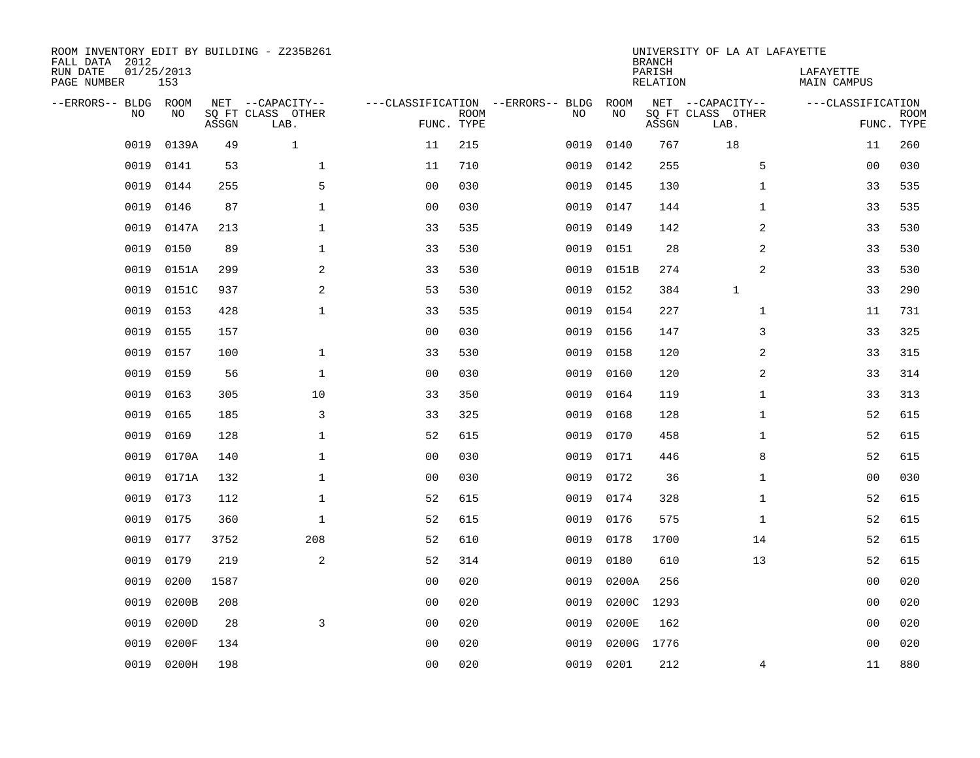| ROOM INVENTORY EDIT BY BUILDING - Z235B261<br>FALL DATA 2012<br>RUN DATE<br>PAGE NUMBER | 01/25/2013<br>153 |       |                                               |                                                 |             |      |            | <b>BRANCH</b><br>PARISH<br>RELATION | UNIVERSITY OF LA AT LAFAYETTE                 | LAFAYETTE<br>MAIN CAMPUS |                           |
|-----------------------------------------------------------------------------------------|-------------------|-------|-----------------------------------------------|-------------------------------------------------|-------------|------|------------|-------------------------------------|-----------------------------------------------|--------------------------|---------------------------|
| --ERRORS-- BLDG<br>NO                                                                   | ROOM<br>NO.       | ASSGN | NET --CAPACITY--<br>SQ FT CLASS OTHER<br>LAB. | ---CLASSIFICATION --ERRORS-- BLDG<br>FUNC. TYPE | <b>ROOM</b> | NO   | ROOM<br>NO | ASSGN                               | NET --CAPACITY--<br>SQ FT CLASS OTHER<br>LAB. | ---CLASSIFICATION        | <b>ROOM</b><br>FUNC. TYPE |
| 0019                                                                                    | 0139A             | 49    | $\mathbf{1}$                                  | 11                                              | 215         | 0019 | 0140       | 767                                 | 18                                            | 11                       | 260                       |
| 0019                                                                                    | 0141              | 53    | $\mathbf 1$                                   | 11                                              | 710         | 0019 | 0142       | 255                                 | 5                                             | 00                       | 030                       |
| 0019                                                                                    | 0144              | 255   | 5                                             | 0 <sub>0</sub>                                  | 030         | 0019 | 0145       | 130                                 | $\mathbf{1}$                                  | 33                       | 535                       |
| 0019                                                                                    | 0146              | 87    | $\mathbf 1$                                   | 00                                              | 030         | 0019 | 0147       | 144                                 | $\mathbf{1}$                                  | 33                       | 535                       |
| 0019                                                                                    | 0147A             | 213   | $\mathbf 1$                                   | 33                                              | 535         | 0019 | 0149       | 142                                 | 2                                             | 33                       | 530                       |
| 0019                                                                                    | 0150              | 89    | $\mathbf 1$                                   | 33                                              | 530         | 0019 | 0151       | 28                                  | 2                                             | 33                       | 530                       |
| 0019                                                                                    | 0151A             | 299   | 2                                             | 33                                              | 530         | 0019 | 0151B      | 274                                 | 2                                             | 33                       | 530                       |
| 0019                                                                                    | 0151C             | 937   | 2                                             | 53                                              | 530         | 0019 | 0152       | 384                                 | $\mathbf 1$                                   | 33                       | 290                       |
| 0019                                                                                    | 0153              | 428   | $\mathbf 1$                                   | 33                                              | 535         | 0019 | 0154       | 227                                 | $\mathbf{1}$                                  | 11                       | 731                       |
| 0019                                                                                    | 0155              | 157   |                                               | 0 <sub>0</sub>                                  | 030         | 0019 | 0156       | 147                                 | 3                                             | 33                       | 325                       |
| 0019                                                                                    | 0157              | 100   | $\mathbf 1$                                   | 33                                              | 530         | 0019 | 0158       | 120                                 | 2                                             | 33                       | 315                       |
| 0019                                                                                    | 0159              | 56    | $\mathbf 1$                                   | 0 <sub>0</sub>                                  | 030         | 0019 | 0160       | 120                                 | 2                                             | 33                       | 314                       |
| 0019                                                                                    | 0163              | 305   | 10                                            | 33                                              | 350         | 0019 | 0164       | 119                                 | $\mathbf{1}$                                  | 33                       | 313                       |
| 0019                                                                                    | 0165              | 185   | 3                                             | 33                                              | 325         | 0019 | 0168       | 128                                 | $\mathbf{1}$                                  | 52                       | 615                       |
| 0019                                                                                    | 0169              | 128   | $\mathbf 1$                                   | 52                                              | 615         | 0019 | 0170       | 458                                 | $\mathbf{1}$                                  | 52                       | 615                       |
| 0019                                                                                    | 0170A             | 140   | $\mathbf 1$                                   | 0 <sub>0</sub>                                  | 030         | 0019 | 0171       | 446                                 | 8                                             | 52                       | 615                       |
| 0019                                                                                    | 0171A             | 132   | $\mathbf 1$                                   | 0 <sub>0</sub>                                  | 030         | 0019 | 0172       | 36                                  | $\mathbf{1}$                                  | 00                       | 030                       |
| 0019                                                                                    | 0173              | 112   | $\mathbf 1$                                   | 52                                              | 615         | 0019 | 0174       | 328                                 | $\mathbf{1}$                                  | 52                       | 615                       |
| 0019                                                                                    | 0175              | 360   | $\mathbf 1$                                   | 52                                              | 615         | 0019 | 0176       | 575                                 | $\mathbf{1}$                                  | 52                       | 615                       |
| 0019                                                                                    | 0177              | 3752  | 208                                           | 52                                              | 610         | 0019 | 0178       | 1700                                | 14                                            | 52                       | 615                       |
| 0019                                                                                    | 0179              | 219   | 2                                             | 52                                              | 314         | 0019 | 0180       | 610                                 | 13                                            | 52                       | 615                       |
| 0019                                                                                    | 0200              | 1587  |                                               | 0 <sub>0</sub>                                  | 020         | 0019 | 0200A      | 256                                 |                                               | 00                       | 020                       |
| 0019                                                                                    | 0200B             | 208   |                                               | 0 <sub>0</sub>                                  | 020         | 0019 | 0200C      | 1293                                |                                               | 00                       | 020                       |
| 0019                                                                                    | 0200D             | 28    | 3                                             | 0 <sub>0</sub>                                  | 020         | 0019 | 0200E      | 162                                 |                                               | 00                       | 020                       |
| 0019                                                                                    | 0200F             | 134   |                                               | 0 <sub>0</sub>                                  | 020         | 0019 | 0200G      | 1776                                |                                               | 0 <sub>0</sub>           | 020                       |
|                                                                                         | 0019 0200H        | 198   |                                               | 0 <sub>0</sub>                                  | 020         |      | 0019 0201  | 212                                 | 4                                             | 11                       | 880                       |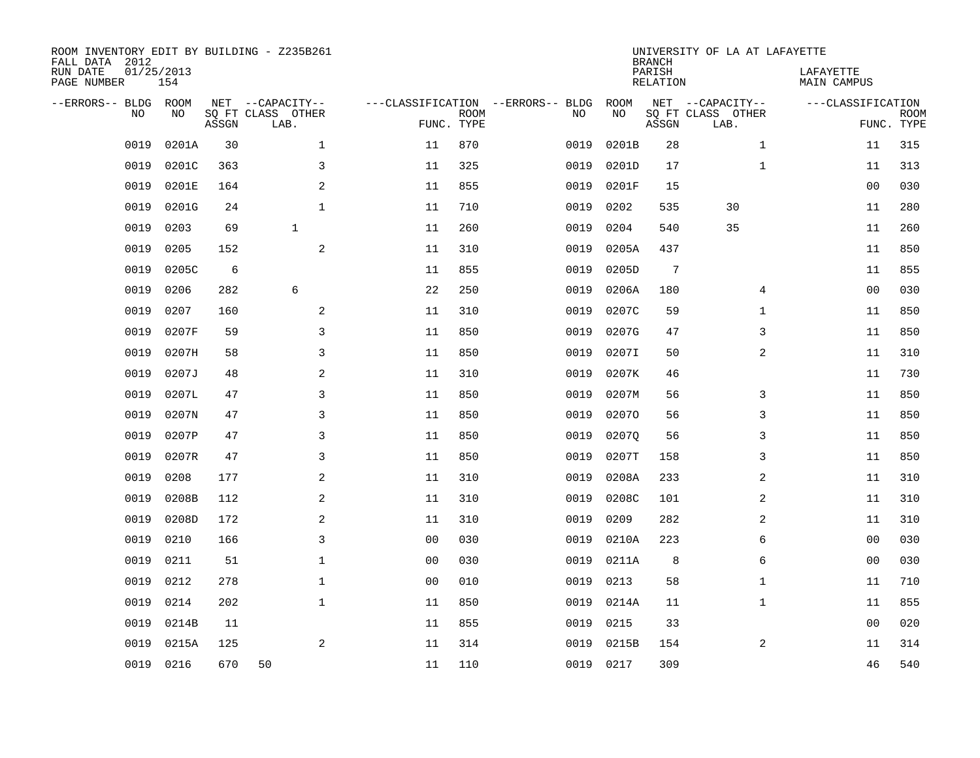| ROOM INVENTORY EDIT BY BUILDING - Z235B261<br>FALL DATA 2012<br>RUN DATE<br>PAGE NUMBER | 01/25/2013<br>154 |       |                                               |                |                           |                                         |            | <b>BRANCH</b><br>PARISH<br><b>RELATION</b> | UNIVERSITY OF LA AT LAFAYETTE                 | LAFAYETTE<br>MAIN CAMPUS |                           |
|-----------------------------------------------------------------------------------------|-------------------|-------|-----------------------------------------------|----------------|---------------------------|-----------------------------------------|------------|--------------------------------------------|-----------------------------------------------|--------------------------|---------------------------|
| --ERRORS-- BLDG<br>NO                                                                   | ROOM<br>NO        | ASSGN | NET --CAPACITY--<br>SQ FT CLASS OTHER<br>LAB. |                | <b>ROOM</b><br>FUNC. TYPE | ---CLASSIFICATION --ERRORS-- BLDG<br>NO | ROOM<br>NO | ASSGN                                      | NET --CAPACITY--<br>SQ FT CLASS OTHER<br>LAB. | ---CLASSIFICATION        | <b>ROOM</b><br>FUNC. TYPE |
| 0019                                                                                    | 0201A             | 30    | $\mathbf{1}$                                  | 11             | 870                       | 0019                                    | 0201B      | 28                                         | $\mathbf{1}$                                  | 11                       | 315                       |
| 0019                                                                                    | 0201C             | 363   | 3                                             | 11             | 325                       | 0019                                    | 0201D      | 17                                         | $\mathbf{1}$                                  | 11                       | 313                       |
| 0019                                                                                    | 0201E             | 164   | $\sqrt{2}$                                    | 11             | 855                       | 0019                                    | 0201F      | 15                                         |                                               | 0 <sub>0</sub>           | 030                       |
| 0019                                                                                    | 0201G             | 24    | $\mathbf{1}$                                  | 11             | 710                       | 0019                                    | 0202       | 535                                        | 30                                            | 11                       | 280                       |
| 0019                                                                                    | 0203              | 69    | $\mathbf{1}$                                  | 11             | 260                       | 0019                                    | 0204       | 540                                        | 35                                            | 11                       | 260                       |
| 0019                                                                                    | 0205              | 152   | 2                                             | 11             | 310                       | 0019                                    | 0205A      | 437                                        |                                               | 11                       | 850                       |
| 0019                                                                                    | 0205C             | 6     |                                               | 11             | 855                       | 0019                                    | 0205D      | $7\phantom{.0}$                            |                                               | 11                       | 855                       |
| 0019                                                                                    | 0206              | 282   | 6                                             | 22             | 250                       | 0019                                    | 0206A      | 180                                        | 4                                             | 0 <sub>0</sub>           | 030                       |
| 0019                                                                                    | 0207              | 160   | 2                                             | 11             | 310                       | 0019                                    | 0207C      | 59                                         | $\mathbf{1}$                                  | 11                       | 850                       |
| 0019                                                                                    | 0207F             | 59    | 3                                             | 11             | 850                       | 0019                                    | 0207G      | 47                                         | 3                                             | 11                       | 850                       |
| 0019                                                                                    | 0207H             | 58    | 3                                             | 11             | 850                       | 0019                                    | 0207I      | 50                                         | 2                                             | 11                       | 310                       |
| 0019                                                                                    | 0207J             | 48    | 2                                             | 11             | 310                       | 0019                                    | 0207K      | 46                                         |                                               | 11                       | 730                       |
| 0019                                                                                    | 0207L             | 47    | 3                                             | 11             | 850                       | 0019                                    | 0207M      | 56                                         | 3                                             | 11                       | 850                       |
| 0019                                                                                    | 0207N             | 47    | $\mathsf{3}$                                  | 11             | 850                       | 0019                                    | 02070      | 56                                         | 3                                             | 11                       | 850                       |
| 0019                                                                                    | 0207P             | 47    | 3                                             | 11             | 850                       | 0019                                    | 02070      | 56                                         | 3                                             | 11                       | 850                       |
| 0019                                                                                    | 0207R             | 47    | 3                                             | 11             | 850                       | 0019                                    | 0207T      | 158                                        | 3                                             | 11                       | 850                       |
| 0019                                                                                    | 0208              | 177   | 2                                             | 11             | 310                       | 0019                                    | 0208A      | 233                                        | 2                                             | 11                       | 310                       |
| 0019                                                                                    | 0208B             | 112   | 2                                             | 11             | 310                       | 0019                                    | 0208C      | 101                                        | 2                                             | 11                       | 310                       |
| 0019                                                                                    | 0208D             | 172   | 2                                             | 11             | 310                       | 0019                                    | 0209       | 282                                        | 2                                             | 11                       | 310                       |
| 0019                                                                                    | 0210              | 166   | 3                                             | 00             | 030                       | 0019                                    | 0210A      | 223                                        | 6                                             | 00                       | 030                       |
| 0019                                                                                    | 0211              | 51    | $\mathbf{1}$                                  | 0 <sub>0</sub> | 030                       | 0019                                    | 0211A      | 8                                          | 6                                             | 0 <sub>0</sub>           | 030                       |
| 0019                                                                                    | 0212              | 278   | $\mathbf{1}$                                  | 0 <sub>0</sub> | 010                       | 0019                                    | 0213       | 58                                         | $\mathbf{1}$                                  | 11                       | 710                       |
| 0019                                                                                    | 0214              | 202   | $\mathbf{1}$                                  | 11             | 850                       | 0019                                    | 0214A      | 11                                         | $\mathbf{1}$                                  | 11                       | 855                       |
| 0019                                                                                    | 0214B             | 11    |                                               | 11             | 855                       | 0019                                    | 0215       | 33                                         |                                               | 0 <sub>0</sub>           | 020                       |
| 0019                                                                                    | 0215A             | 125   | 2                                             | 11             | 314                       | 0019                                    | 0215B      | 154                                        | 2                                             | 11                       | 314                       |
| 0019                                                                                    | 0216              | 670   | 50                                            | 11             | 110                       |                                         | 0019 0217  | 309                                        |                                               | 46                       | 540                       |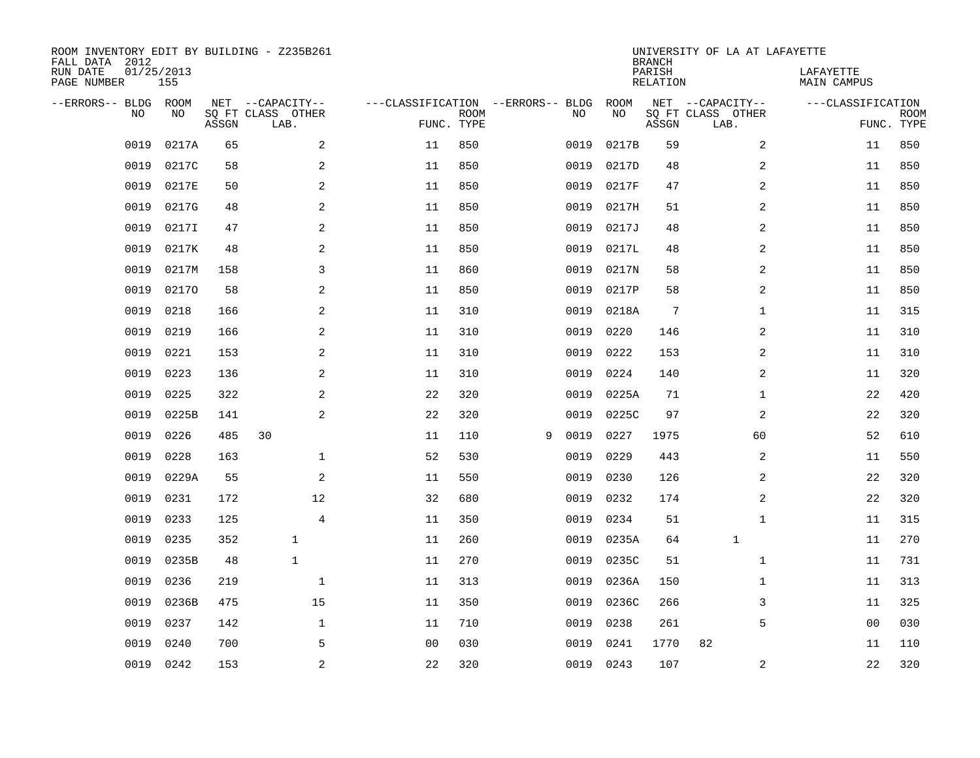| ROOM INVENTORY EDIT BY BUILDING - Z235B261<br>FALL DATA 2012 |                   |       |                           |                                   |                           |   |      |           | <b>BRANCH</b>             | UNIVERSITY OF LA AT LAFAYETTE |                          |                           |
|--------------------------------------------------------------|-------------------|-------|---------------------------|-----------------------------------|---------------------------|---|------|-----------|---------------------------|-------------------------------|--------------------------|---------------------------|
| RUN DATE<br>PAGE NUMBER                                      | 01/25/2013<br>155 |       |                           |                                   |                           |   |      |           | PARISH<br><b>RELATION</b> |                               | LAFAYETTE<br>MAIN CAMPUS |                           |
| --ERRORS-- BLDG                                              | ROOM              |       | NET --CAPACITY--          | ---CLASSIFICATION --ERRORS-- BLDG |                           |   |      | ROOM      |                           | NET --CAPACITY--              | ---CLASSIFICATION        |                           |
| NO                                                           | NO                | ASSGN | SQ FT CLASS OTHER<br>LAB. |                                   | <b>ROOM</b><br>FUNC. TYPE |   | NO   | NO        | ASSGN                     | SQ FT CLASS OTHER<br>LAB.     |                          | <b>ROOM</b><br>FUNC. TYPE |
| 0019                                                         | 0217A             | 65    | 2                         | 11                                | 850                       |   | 0019 | 0217B     | 59                        | 2                             | 11                       | 850                       |
| 0019                                                         | 0217C             | 58    | 2                         | 11                                | 850                       |   | 0019 | 0217D     | 48                        | 2                             | 11                       | 850                       |
| 0019                                                         | 0217E             | 50    | $\mathbf{2}$              | 11                                | 850                       |   | 0019 | 0217F     | 47                        | 2                             | 11                       | 850                       |
| 0019                                                         | 0217G             | 48    | $\mathbf{2}$              | 11                                | 850                       |   | 0019 | 0217H     | 51                        | 2                             | 11                       | 850                       |
| 0019                                                         | 02171             | 47    | 2                         | 11                                | 850                       |   | 0019 | 0217J     | 48                        | 2                             | 11                       | 850                       |
| 0019                                                         | 0217K             | 48    | 2                         | 11                                | 850                       |   | 0019 | 0217L     | 48                        | 2                             | 11                       | 850                       |
| 0019                                                         | 0217M             | 158   | 3                         | 11                                | 860                       |   | 0019 | 0217N     | 58                        | 2                             | 11                       | 850                       |
| 0019                                                         | 02170             | 58    | 2                         | 11                                | 850                       |   | 0019 | 0217P     | 58                        | 2                             | 11                       | 850                       |
| 0019                                                         | 0218              | 166   | 2                         | 11                                | 310                       |   | 0019 | 0218A     | $7\phantom{.0}$           | $\mathbf{1}$                  | 11                       | 315                       |
| 0019                                                         | 0219              | 166   | 2                         | 11                                | 310                       |   | 0019 | 0220      | 146                       | 2                             | 11                       | 310                       |
| 0019                                                         | 0221              | 153   | 2                         | 11                                | 310                       |   | 0019 | 0222      | 153                       | 2                             | 11                       | 310                       |
| 0019                                                         | 0223              | 136   | 2                         | 11                                | 310                       |   | 0019 | 0224      | 140                       | 2                             | 11                       | 320                       |
| 0019                                                         | 0225              | 322   | 2                         | 22                                | 320                       |   | 0019 | 0225A     | 71                        | $\mathbf{1}$                  | 22                       | 420                       |
| 0019                                                         | 0225B             | 141   | $\mathbf{2}$              | 22                                | 320                       |   | 0019 | 0225C     | 97                        | 2                             | 22                       | 320                       |
| 0019                                                         | 0226              | 485   | 30                        | 11                                | 110                       | 9 | 0019 | 0227      | 1975                      | 60                            | 52                       | 610                       |
| 0019                                                         | 0228              | 163   | 1                         | 52                                | 530                       |   | 0019 | 0229      | 443                       | 2                             | 11                       | 550                       |
| 0019                                                         | 0229A             | 55    | 2                         | 11                                | 550                       |   | 0019 | 0230      | 126                       | 2                             | 22                       | 320                       |
| 0019                                                         | 0231              | 172   | 12                        | 32                                | 680                       |   | 0019 | 0232      | 174                       | 2                             | 22                       | 320                       |
| 0019                                                         | 0233              | 125   | $\overline{4}$            | 11                                | 350                       |   | 0019 | 0234      | 51                        | $\mathbf{1}$                  | 11                       | 315                       |
| 0019                                                         | 0235              | 352   | $\mathbf{1}$              | 11                                | 260                       |   | 0019 | 0235A     | 64                        | 1                             | 11                       | 270                       |
| 0019                                                         | 0235B             | 48    | $\mathbf{1}$              | 11                                | 270                       |   | 0019 | 0235C     | 51                        | $\mathbf{1}$                  | 11                       | 731                       |
| 0019                                                         | 0236              | 219   | $\mathbf{1}$              | 11                                | 313                       |   | 0019 | 0236A     | 150                       | $\mathbf{1}$                  | 11                       | 313                       |
| 0019                                                         | 0236B             | 475   | 15                        | 11                                | 350                       |   | 0019 | 0236C     | 266                       | 3                             | 11                       | 325                       |
| 0019                                                         | 0237              | 142   | $\mathbf 1$               | 11                                | 710                       |   | 0019 | 0238      | 261                       | 5                             | 0 <sub>0</sub>           | 030                       |
| 0019                                                         | 0240              | 700   | 5                         | 0 <sub>0</sub>                    | 030                       |   | 0019 | 0241      | 1770                      | 82                            | 11                       | 110                       |
| 0019                                                         | 0242              | 153   | 2                         | 22                                | 320                       |   |      | 0019 0243 | 107                       | 2                             | 22                       | 320                       |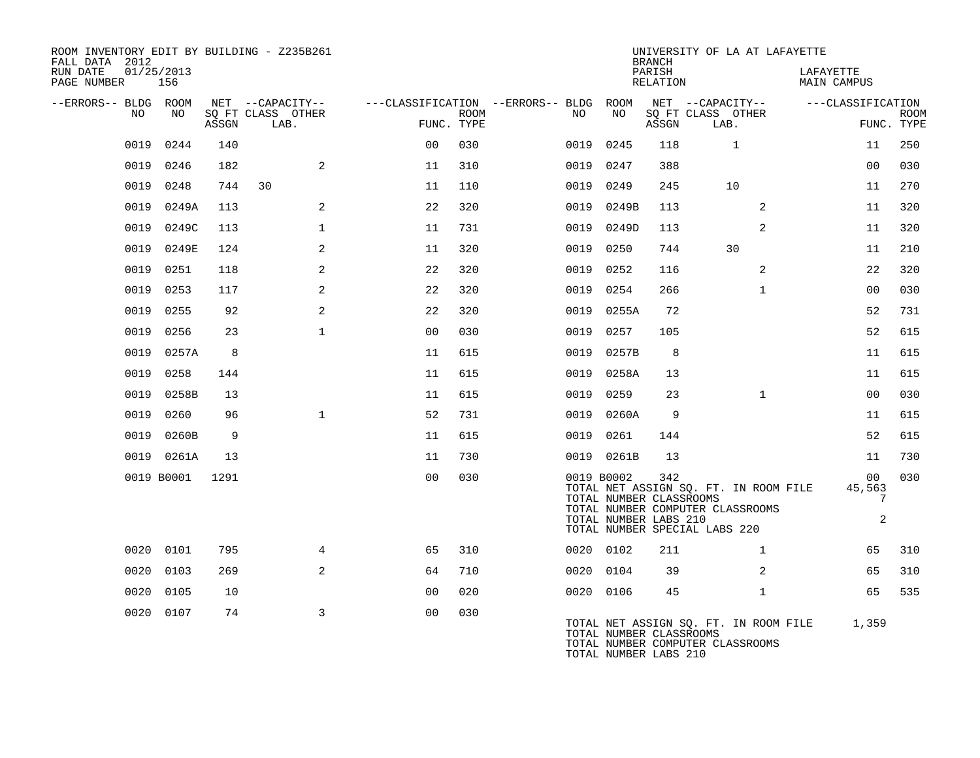| ROOM INVENTORY EDIT BY BUILDING - Z235B261<br>FALL DATA 2012 |                   |       |                                       |                |             |                                               |                                                                | <b>BRANCH</b>      | UNIVERSITY OF LA AT LAFAYETTE                                                                              |                                   |             |
|--------------------------------------------------------------|-------------------|-------|---------------------------------------|----------------|-------------|-----------------------------------------------|----------------------------------------------------------------|--------------------|------------------------------------------------------------------------------------------------------------|-----------------------------------|-------------|
| RUN DATE<br>PAGE NUMBER                                      | 01/25/2013<br>156 |       |                                       |                |             |                                               |                                                                | PARISH<br>RELATION |                                                                                                            | LAFAYETTE<br><b>MAIN CAMPUS</b>   |             |
| --ERRORS-- BLDG ROOM<br>NO.                                  | NO                |       | NET --CAPACITY--<br>SQ FT CLASS OTHER |                | <b>ROOM</b> | ---CLASSIFICATION --ERRORS-- BLDG ROOM<br>NO. | NO                                                             |                    | NET --CAPACITY--<br>SQ FT CLASS OTHER                                                                      | ---CLASSIFICATION                 | <b>ROOM</b> |
|                                                              |                   | ASSGN | LAB.                                  | FUNC. TYPE     |             |                                               |                                                                | ASSGN              | LAB.                                                                                                       |                                   | FUNC. TYPE  |
| 0019                                                         | 0244              | 140   |                                       | 0 <sub>0</sub> | 030         | 0019                                          | 0245                                                           | 118                | $\mathbf 1$                                                                                                | 11                                | 250         |
| 0019                                                         | 0246              | 182   | 2                                     | 11             | 310         | 0019                                          | 0247                                                           | 388                |                                                                                                            | 0 <sub>0</sub>                    | 030         |
| 0019                                                         | 0248              | 744   | 30                                    | 11             | 110         | 0019                                          | 0249                                                           | 245                | 10                                                                                                         | 11                                | 270         |
| 0019                                                         | 0249A             | 113   | $\overline{a}$                        | 22             | 320         | 0019                                          | 0249B                                                          | 113                | 2                                                                                                          | 11                                | 320         |
| 0019                                                         | 0249C             | 113   | $\mathbf 1$                           | 11             | 731         | 0019                                          | 0249D                                                          | 113                | 2                                                                                                          | 11                                | 320         |
| 0019                                                         | 0249E             | 124   | 2                                     | 11             | 320         | 0019                                          | 0250                                                           | 744                | 30                                                                                                         | 11                                | 210         |
| 0019                                                         | 0251              | 118   | 2                                     | 22             | 320         | 0019                                          | 0252                                                           | 116                | 2                                                                                                          | 22                                | 320         |
| 0019                                                         | 0253              | 117   | 2                                     | 22             | 320         | 0019                                          | 0254                                                           | 266                | $\mathbf{1}$                                                                                               | 0 <sub>0</sub>                    | 030         |
| 0019                                                         | 0255              | 92    | 2                                     | 22             | 320         |                                               | 0019 0255A                                                     | 72                 |                                                                                                            | 52                                | 731         |
| 0019                                                         | 0256              | 23    | $\mathbf{1}$                          | 0 <sub>0</sub> | 030         | 0019                                          | 0257                                                           | 105                |                                                                                                            | 52                                | 615         |
| 0019                                                         | 0257A             | 8     |                                       | 11             | 615         |                                               | 0019 0257B                                                     | 8                  |                                                                                                            | 11                                | 615         |
| 0019                                                         | 0258              | 144   |                                       | 11             | 615         | 0019                                          | 0258A                                                          | 13                 |                                                                                                            | 11                                | 615         |
| 0019                                                         | 0258B             | 13    |                                       | 11             | 615         | 0019                                          | 0259                                                           | 23                 | $\mathbf{1}$                                                                                               | 0 <sub>0</sub>                    | 030         |
| 0019                                                         | 0260              | 96    | $\mathbf{1}$                          | 52             | 731         |                                               | 0019 0260A                                                     | 9                  |                                                                                                            | 11                                | 615         |
| 0019                                                         | 0260B             | 9     |                                       | 11             | 615         | 0019                                          | 0261                                                           | 144                |                                                                                                            | 52                                | 615         |
|                                                              | 0019 0261A        | 13    |                                       | 11             | 730         |                                               | 0019 0261B                                                     | 13                 |                                                                                                            | 11                                | 730         |
|                                                              | 0019 B0001        | 1291  |                                       | 0 <sub>0</sub> | 030         |                                               | 0019 B0002<br>TOTAL NUMBER CLASSROOMS<br>TOTAL NUMBER LABS 210 | 342                | TOTAL NET ASSIGN SQ. FT. IN ROOM FILE<br>TOTAL NUMBER COMPUTER CLASSROOMS<br>TOTAL NUMBER SPECIAL LABS 220 | 00<br>45,563<br>7<br>$\mathbf{2}$ | 030         |
| 0020                                                         | 0101              | 795   | 4                                     | 65             | 310         |                                               | 0020 0102                                                      | 211                | $\mathbf{1}$                                                                                               | 65                                | 310         |
| 0020                                                         | 0103              | 269   | 2                                     | 64             | 710         |                                               | 0020 0104                                                      | 39                 | 2                                                                                                          | 65                                | 310         |
| 0020                                                         | 0105              | 10    |                                       | 0 <sub>0</sub> | 020         |                                               | 0020 0106                                                      | 45                 | $\mathbf{1}$                                                                                               | 65                                | 535         |
|                                                              | 0020 0107         | 74    | 3                                     | 0 <sub>0</sub> | 030         |                                               | TOTAL NUMBER CLASSROOMS<br>TOTAL NUMBER LABS 210               |                    | TOTAL NET ASSIGN SQ. FT. IN ROOM FILE<br>TOTAL NUMBER COMPUTER CLASSROOMS                                  | 1,359                             |             |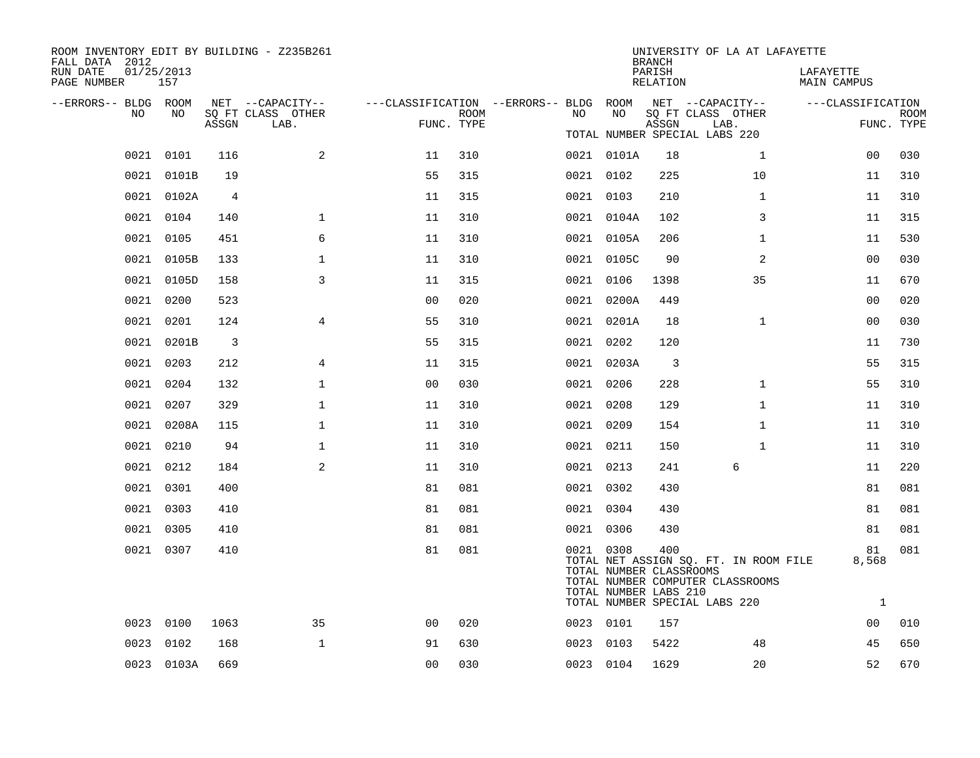| ROOM INVENTORY EDIT BY BUILDING - Z235B261<br>FALL DATA 2012 |                   |       |                                       |                                        |      |           |                                                  | <b>BRANCH</b>      | UNIVERSITY OF LA AT LAFAYETTE                                                                              |                          |             |
|--------------------------------------------------------------|-------------------|-------|---------------------------------------|----------------------------------------|------|-----------|--------------------------------------------------|--------------------|------------------------------------------------------------------------------------------------------------|--------------------------|-------------|
| RUN DATE<br>PAGE NUMBER                                      | 01/25/2013<br>157 |       |                                       |                                        |      |           |                                                  | PARISH<br>RELATION |                                                                                                            | LAFAYETTE<br>MAIN CAMPUS |             |
| --ERRORS-- BLDG ROOM<br>NO.                                  | NO.               |       | NET --CAPACITY--<br>SQ FT CLASS OTHER | ---CLASSIFICATION --ERRORS-- BLDG ROOM | ROOM | NO.       | NO                                               |                    | NET --CAPACITY--<br>SQ FT CLASS OTHER                                                                      | ---CLASSIFICATION        | <b>ROOM</b> |
|                                                              |                   | ASSGN | LAB.                                  | FUNC. TYPE                             |      |           |                                                  | ASSGN              | LAB.<br>TOTAL NUMBER SPECIAL LABS 220                                                                      |                          | FUNC. TYPE  |
|                                                              | 0021 0101         | 116   | 2                                     | 11                                     | 310  |           | 0021 0101A                                       | 18                 | $\mathbf{1}$                                                                                               | 00                       | 030         |
|                                                              | 0021 0101B        | 19    |                                       | 55                                     | 315  | 0021 0102 |                                                  | 225                | 10                                                                                                         | 11                       | 310         |
|                                                              | 0021 0102A        | 4     |                                       | 11                                     | 315  |           | 0021 0103                                        | 210                | $\mathbf{1}$                                                                                               | 11                       | 310         |
|                                                              | 0021 0104         | 140   | $\mathbf{1}$                          | 11                                     | 310  |           | 0021 0104A                                       | 102                | 3                                                                                                          | 11                       | 315         |
|                                                              | 0021 0105         | 451   | 6                                     | 11                                     | 310  |           | 0021 0105A                                       | 206                | $\mathbf{1}$                                                                                               | 11                       | 530         |
| 0021                                                         | 0105B             | 133   | $\mathbf 1$                           | 11                                     | 310  |           | 0021 0105C                                       | 90                 | 2                                                                                                          | 00                       | 030         |
|                                                              | 0021 0105D        | 158   | 3                                     | 11                                     | 315  |           | 0021 0106                                        | 1398               | 35                                                                                                         | 11                       | 670         |
|                                                              | 0021 0200         | 523   |                                       | 0 <sub>0</sub>                         | 020  |           | 0021 0200A                                       | 449                |                                                                                                            | 0 <sub>0</sub>           | 020         |
|                                                              | 0021 0201         | 124   | $\overline{4}$                        | 55                                     | 310  |           | 0021 0201A                                       | 18                 | $\mathbf{1}$                                                                                               | 0 <sub>0</sub>           | 030         |
|                                                              | 0021 0201B        | 3     |                                       | 55                                     | 315  | 0021 0202 |                                                  | 120                |                                                                                                            | 11                       | 730         |
|                                                              | 0021 0203         | 212   | 4                                     | 11                                     | 315  |           | 0021 0203A                                       | $\overline{3}$     |                                                                                                            | 55                       | 315         |
|                                                              | 0021 0204         | 132   | $\mathbf 1$                           | 0 <sub>0</sub>                         | 030  | 0021 0206 |                                                  | 228                | $\mathbf{1}$                                                                                               | 55                       | 310         |
|                                                              | 0021 0207         | 329   | $\mathbf{1}$                          | 11                                     | 310  | 0021 0208 |                                                  | 129                | $\mathbf{1}$                                                                                               | 11                       | 310         |
|                                                              | 0021 0208A        | 115   | $\mathbf 1$                           | 11                                     | 310  | 0021 0209 |                                                  | 154                | $\mathbf{1}$                                                                                               | 11                       | 310         |
|                                                              | 0021 0210         | 94    | $\mathbf 1$                           | 11                                     | 310  | 0021 0211 |                                                  | 150                | $\mathbf{1}$                                                                                               | 11                       | 310         |
|                                                              | 0021 0212         | 184   | 2                                     | 11                                     | 310  | 0021 0213 |                                                  | 241                | 6                                                                                                          | 11                       | 220         |
|                                                              | 0021 0301         | 400   |                                       | 81                                     | 081  | 0021 0302 |                                                  | 430                |                                                                                                            | 81                       | 081         |
|                                                              | 0021 0303         | 410   |                                       | 81                                     | 081  | 0021 0304 |                                                  | 430                |                                                                                                            | 81                       | 081         |
|                                                              | 0021 0305         | 410   |                                       | 81                                     | 081  | 0021 0306 |                                                  | 430                |                                                                                                            | 81                       | 081         |
|                                                              | 0021 0307         | 410   |                                       | 81                                     | 081  | 0021 0308 | TOTAL NUMBER CLASSROOMS<br>TOTAL NUMBER LABS 210 | 400                | TOTAL NET ASSIGN SQ. FT. IN ROOM FILE<br>TOTAL NUMBER COMPUTER CLASSROOMS<br>TOTAL NUMBER SPECIAL LABS 220 | 81<br>8,568<br>1         | 081         |
| 0023                                                         | 0100              | 1063  | 35                                    | 0 <sub>0</sub>                         | 020  | 0023 0101 |                                                  | 157                |                                                                                                            | 00                       | 010         |
| 0023                                                         | 0102              | 168   | $\mathbf{1}$                          | 91                                     | 630  |           | 0023 0103                                        | 5422               | 48                                                                                                         | 45                       | 650         |
|                                                              | 0023 0103A        | 669   |                                       | 0 <sub>0</sub>                         | 030  | 0023 0104 |                                                  | 1629               | 20                                                                                                         | 52                       | 670         |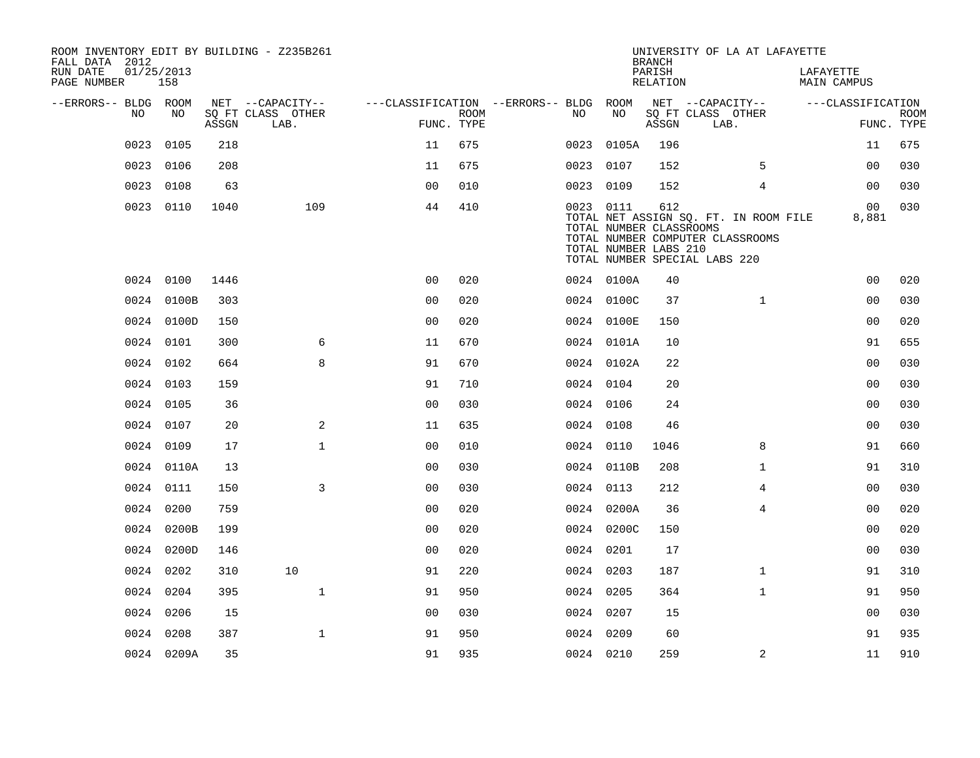| FALL DATA 2012          |      |                   |       | ROOM INVENTORY EDIT BY BUILDING - Z235B261 |                                        |                           |           |                                                  | <b>BRANCH</b>      |                               | UNIVERSITY OF LA AT LAFAYETTE                                             |           |                         |                           |
|-------------------------|------|-------------------|-------|--------------------------------------------|----------------------------------------|---------------------------|-----------|--------------------------------------------------|--------------------|-------------------------------|---------------------------------------------------------------------------|-----------|-------------------------|---------------------------|
| RUN DATE<br>PAGE NUMBER |      | 01/25/2013<br>158 |       |                                            |                                        |                           |           |                                                  | PARISH<br>RELATION |                               |                                                                           | LAFAYETTE | <b>MAIN CAMPUS</b>      |                           |
| --ERRORS-- BLDG ROOM    |      |                   |       | NET --CAPACITY--                           | ---CLASSIFICATION --ERRORS-- BLDG ROOM |                           |           |                                                  |                    |                               | NET --CAPACITY--                                                          |           | ---CLASSIFICATION       |                           |
|                         | NO   | NO                | ASSGN | SQ FT CLASS OTHER<br>LAB.                  |                                        | <b>ROOM</b><br>FUNC. TYPE | NO        | NO                                               | ASSGN              | SQ FT CLASS OTHER<br>LAB.     |                                                                           |           |                         | <b>ROOM</b><br>FUNC. TYPE |
|                         | 0023 | 0105              | 218   |                                            | 11                                     | 675                       |           | 0023 0105A                                       | 196                |                               |                                                                           |           | 11                      | 675                       |
|                         |      | 0023 0106         | 208   |                                            | 11                                     | 675                       | 0023 0107 |                                                  | 152                |                               | 5                                                                         |           | 0 <sub>0</sub>          | 030                       |
|                         | 0023 | 0108              | 63    |                                            | 0 <sub>0</sub>                         | 010                       | 0023 0109 |                                                  | 152                |                               | $\overline{4}$                                                            |           | 0 <sub>0</sub>          | 030                       |
|                         |      | 0023 0110         | 1040  | 109                                        | 44                                     | 410                       | 0023 0111 | TOTAL NUMBER CLASSROOMS<br>TOTAL NUMBER LABS 210 | 612                | TOTAL NUMBER SPECIAL LABS 220 | TOTAL NET ASSIGN SQ. FT. IN ROOM FILE<br>TOTAL NUMBER COMPUTER CLASSROOMS |           | 0 <sub>0</sub><br>8,881 | 030                       |
|                         |      | 0024 0100         | 1446  |                                            | 0 <sup>0</sup>                         | 020                       |           | 0024 0100A                                       | 40                 |                               |                                                                           |           | 0 <sub>0</sub>          | 020                       |
|                         |      | 0024 0100B        | 303   |                                            | 0 <sub>0</sub>                         | 020                       |           | 0024 0100C                                       | 37                 |                               | $\mathbf{1}$                                                              |           | 0 <sub>0</sub>          | 030                       |
|                         |      | 0024 0100D        | 150   |                                            | 0 <sub>0</sub>                         | 020                       |           | 0024 0100E                                       | 150                |                               |                                                                           |           | 0 <sub>0</sub>          | 020                       |
|                         |      | 0024 0101         | 300   | 6                                          | 11                                     | 670                       |           | 0024 0101A                                       | 10                 |                               |                                                                           |           | 91                      | 655                       |
|                         |      | 0024 0102         | 664   | 8                                          | 91                                     | 670                       |           | 0024 0102A                                       | 22                 |                               |                                                                           |           | 0 <sub>0</sub>          | 030                       |
|                         |      | 0024 0103         | 159   |                                            | 91                                     | 710                       | 0024 0104 |                                                  | 20                 |                               |                                                                           |           | 0 <sub>0</sub>          | 030                       |
|                         |      | 0024 0105         | 36    |                                            | 0 <sub>0</sub>                         | 030                       | 0024 0106 |                                                  | 24                 |                               |                                                                           |           | 0 <sub>0</sub>          | 030                       |
|                         |      | 0024 0107         | 20    | 2                                          | 11                                     | 635                       | 0024 0108 |                                                  | 46                 |                               |                                                                           |           | 0 <sub>0</sub>          | 030                       |
|                         |      | 0024 0109         | 17    | $\mathbf 1$                                | 0 <sub>0</sub>                         | 010                       | 0024 0110 |                                                  | 1046               |                               | 8                                                                         |           | 91                      | 660                       |
|                         |      | 0024 0110A        | 13    |                                            | 0 <sub>0</sub>                         | 030                       |           | 0024 0110B                                       | 208                |                               | $\mathbf{1}$                                                              |           | 91                      | 310                       |
|                         |      | 0024 0111         | 150   | $\overline{3}$                             | 00                                     | 030                       | 0024 0113 |                                                  | 212                |                               | 4                                                                         |           | 0 <sub>0</sub>          | 030                       |
|                         |      | 0024 0200         | 759   |                                            | 0 <sub>0</sub>                         | 020                       |           | 0024 0200A                                       | 36                 |                               | 4                                                                         |           | 00                      | 020                       |
|                         |      | 0024 0200B        | 199   |                                            | 00                                     | 020                       |           | 0024 0200C                                       | 150                |                               |                                                                           |           | 0 <sub>0</sub>          | 020                       |
|                         |      | 0024 0200D        | 146   |                                            | 0 <sub>0</sub>                         | 020                       | 0024 0201 |                                                  | 17                 |                               |                                                                           |           | 0 <sub>0</sub>          | 030                       |
|                         |      | 0024 0202         | 310   | 10                                         | 91                                     | 220                       | 0024 0203 |                                                  | 187                |                               | $\mathbf{1}$                                                              |           | 91                      | 310                       |
|                         |      | 0024 0204         | 395   | $\mathbf{1}$                               | 91                                     | 950                       | 0024 0205 |                                                  | 364                |                               | $\mathbf{1}$                                                              |           | 91                      | 950                       |
|                         |      | 0024 0206         | 15    |                                            | 00                                     | 030                       | 0024 0207 |                                                  | 15                 |                               |                                                                           |           | 00                      | 030                       |
|                         |      | 0024 0208         | 387   | $\mathbf{1}$                               | 91                                     | 950                       | 0024 0209 |                                                  | 60                 |                               |                                                                           |           | 91                      | 935                       |
|                         |      | 0024 0209A        | 35    |                                            | 91                                     | 935                       | 0024 0210 |                                                  | 259                |                               | 2                                                                         |           | 11                      | 910                       |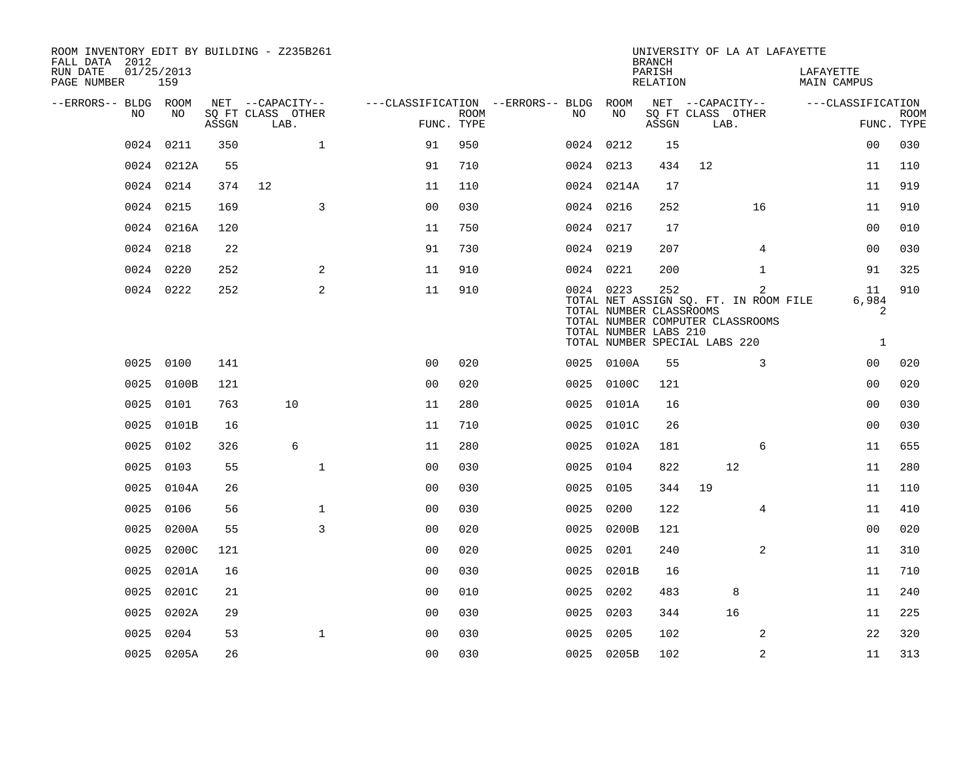| ROOM INVENTORY EDIT BY BUILDING - Z235B261<br>FALL DATA 2012 |                   |       |                           |                |                                        |             |           |                                                               | <b>BRANCH</b>             |    | UNIVERSITY OF LA AT LAFAYETTE                                                  |                                 |                   |             |
|--------------------------------------------------------------|-------------------|-------|---------------------------|----------------|----------------------------------------|-------------|-----------|---------------------------------------------------------------|---------------------------|----|--------------------------------------------------------------------------------|---------------------------------|-------------------|-------------|
| RUN DATE<br>PAGE NUMBER                                      | 01/25/2013<br>159 |       |                           |                |                                        |             |           |                                                               | PARISH<br><b>RELATION</b> |    |                                                                                | LAFAYETTE<br><b>MAIN CAMPUS</b> |                   |             |
| --ERRORS-- BLDG ROOM                                         |                   |       | NET --CAPACITY--          |                | ---CLASSIFICATION --ERRORS-- BLDG ROOM |             |           |                                                               |                           |    | NET --CAPACITY--                                                               |                                 | ---CLASSIFICATION |             |
| NO.                                                          | NO                | ASSGN | SQ FT CLASS OTHER<br>LAB. |                | FUNC. TYPE                             | <b>ROOM</b> | NO.       | NO                                                            | ASSGN                     |    | SQ FT CLASS OTHER<br>LAB.                                                      |                                 | FUNC. TYPE        | <b>ROOM</b> |
| 0024                                                         | 0211              | 350   |                           | $\mathbf{1}$   | 91                                     | 950         |           | 0024 0212                                                     | 15                        |    |                                                                                |                                 | 00                | 030         |
|                                                              | 0024 0212A        | 55    |                           |                | 91                                     | 710         |           | 0024 0213                                                     | 434                       | 12 |                                                                                |                                 | 11                | 110         |
| 0024                                                         | 0214              | 374   | 12                        |                | 11                                     | 110         |           | 0024 0214A                                                    | 17                        |    |                                                                                |                                 | 11                | 919         |
| 0024                                                         | 0215              | 169   |                           | $\overline{3}$ | 00                                     | 030         |           | 0024 0216                                                     | 252                       |    | 16                                                                             |                                 | 11                | 910         |
|                                                              | 0024 0216A        | 120   |                           |                | 11                                     | 750         |           | 0024 0217                                                     | 17                        |    |                                                                                |                                 | 00                | 010         |
|                                                              | 0024 0218         | 22    |                           |                | 91                                     | 730         | 0024 0219 |                                                               | 207                       |    | 4                                                                              |                                 | 0 <sub>0</sub>    | 030         |
|                                                              | 0024 0220         | 252   |                           | 2              | 11                                     | 910         |           | 0024 0221                                                     | 200                       |    | $\mathbf{1}$                                                                   |                                 | 91                | 325         |
|                                                              | 0024 0222         | 252   |                           | 2              | 11                                     | 910         |           | 0024 0223<br>TOTAL NUMBER CLASSROOMS<br>TOTAL NUMBER LABS 210 | 252                       |    | 2<br>TOTAL NET ASSIGN SQ. FT. IN ROOM FILE<br>TOTAL NUMBER COMPUTER CLASSROOMS |                                 | 11<br>6,984<br>2  | 910         |
|                                                              |                   |       |                           |                |                                        |             |           | TOTAL NUMBER SPECIAL LABS 220                                 |                           |    |                                                                                |                                 | $\mathbf{1}$      |             |
| 0025                                                         | 0100              | 141   |                           |                | 0 <sub>0</sub>                         | 020         |           | 0025 0100A                                                    | 55                        |    | 3                                                                              |                                 | 00                | 020         |
| 0025                                                         | 0100B             | 121   |                           |                | 0 <sub>0</sub>                         | 020         |           | 0025 0100C                                                    | 121                       |    |                                                                                |                                 | 0 <sub>0</sub>    | 020         |
| 0025                                                         | 0101              | 763   | 10                        |                | 11                                     | 280         | 0025      | 0101A                                                         | 16                        |    |                                                                                |                                 | 0 <sub>0</sub>    | 030         |
| 0025                                                         | 0101B             | 16    |                           |                | 11                                     | 710         |           | 0025 0101C                                                    | 26                        |    |                                                                                |                                 | 0 <sub>0</sub>    | 030         |
| 0025                                                         | 0102              | 326   | 6                         |                | 11                                     | 280         |           | 0025 0102A                                                    | 181                       |    | 6                                                                              |                                 | 11                | 655         |
| 0025                                                         | 0103              | 55    |                           | $\mathbf{1}$   | 0 <sub>0</sub>                         | 030         | 0025      | 0104                                                          | 822                       |    | 12                                                                             |                                 | 11                | 280         |
| 0025                                                         | 0104A             | 26    |                           |                | 0 <sub>0</sub>                         | 030         | 0025      | 0105                                                          | 344                       | 19 |                                                                                |                                 | 11                | 110         |
| 0025                                                         | 0106              | 56    |                           | $\mathbf{1}$   | 0 <sub>0</sub>                         | 030         | 0025      | 0200                                                          | 122                       |    | $\overline{4}$                                                                 |                                 | 11                | 410         |
| 0025                                                         | 0200A             | 55    |                           | 3              | 00                                     | 020         | 0025      | 0200B                                                         | 121                       |    |                                                                                |                                 | 0 <sub>0</sub>    | 020         |
| 0025                                                         | 0200C             | 121   |                           |                | 0 <sub>0</sub>                         | 020         | 0025      | 0201                                                          | 240                       |    | 2                                                                              |                                 | 11                | 310         |
| 0025                                                         | 0201A             | 16    |                           |                | 00                                     | 030         | 0025      | 0201B                                                         | 16                        |    |                                                                                |                                 | 11                | 710         |
| 0025                                                         | 0201C             | 21    |                           |                | 0 <sub>0</sub>                         | 010         | 0025      | 0202                                                          | 483                       |    | 8                                                                              |                                 | 11                | 240         |
| 0025                                                         | 0202A             | 29    |                           |                | 00                                     | 030         | 0025      | 0203                                                          | 344                       |    | 16                                                                             |                                 | 11                | 225         |
| 0025                                                         | 0204              | 53    |                           | 1              | 0 <sub>0</sub>                         | 030         | 0025      | 0205                                                          | 102                       |    | 2                                                                              |                                 | 22                | 320         |
|                                                              | 0025 0205A        | 26    |                           |                | 0 <sub>0</sub>                         | 030         |           | 0025 0205B                                                    | 102                       |    | $\overline{2}$                                                                 |                                 | 11                | 313         |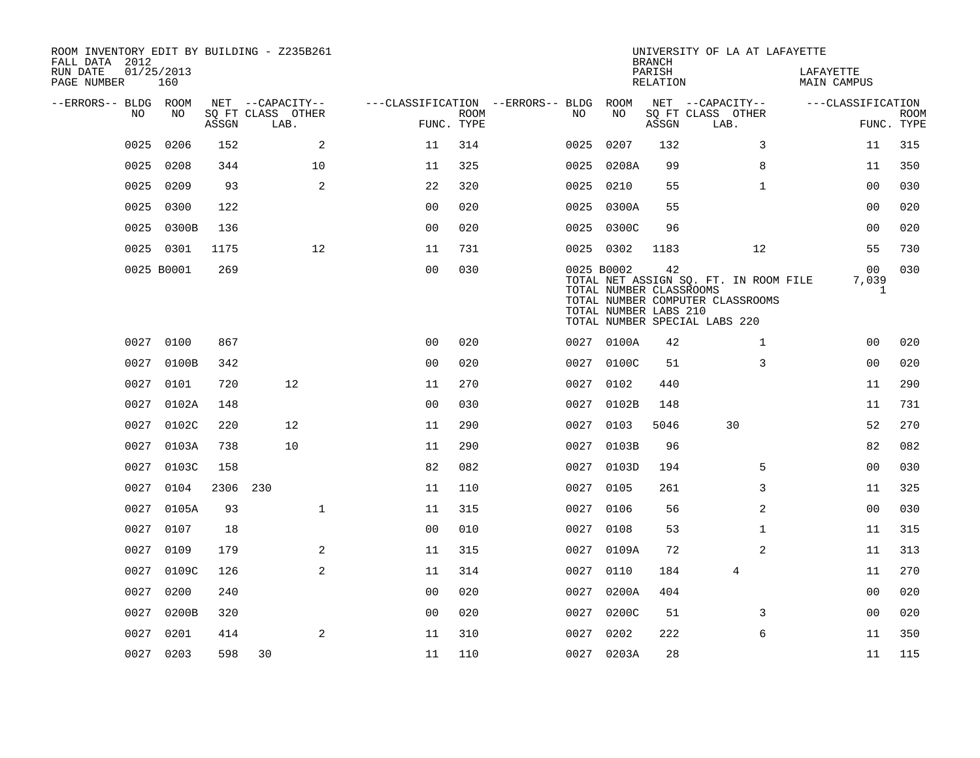| ROOM INVENTORY EDIT BY BUILDING - Z235B261<br>FALL DATA 2012 |                   |       |                           |                                        |             |      |                                                                | <b>BRANCH</b>      | UNIVERSITY OF LA AT LAFAYETTE                                                                              |                                         |                           |
|--------------------------------------------------------------|-------------------|-------|---------------------------|----------------------------------------|-------------|------|----------------------------------------------------------------|--------------------|------------------------------------------------------------------------------------------------------------|-----------------------------------------|---------------------------|
| RUN DATE<br>PAGE NUMBER                                      | 01/25/2013<br>160 |       |                           |                                        |             |      |                                                                | PARISH<br>RELATION |                                                                                                            | LAFAYETTE<br>MAIN CAMPUS                |                           |
| --ERRORS-- BLDG ROOM                                         |                   |       | NET --CAPACITY--          | ---CLASSIFICATION --ERRORS-- BLDG ROOM |             |      |                                                                |                    | NET --CAPACITY--                                                                                           | ---CLASSIFICATION                       |                           |
| NO                                                           | NO                | ASSGN | SQ FT CLASS OTHER<br>LAB. | FUNC. TYPE                             | <b>ROOM</b> | NO   | NO                                                             | ASSGN              | SQ FT CLASS OTHER<br>LAB.                                                                                  |                                         | <b>ROOM</b><br>FUNC. TYPE |
| 0025                                                         | 0206              | 152   | 2                         | 11                                     | 314         | 0025 | 0207                                                           | 132                | 3                                                                                                          | 11                                      | 315                       |
| 0025                                                         | 0208              | 344   | 10                        | 11                                     | 325         |      | 0025 0208A                                                     | 99                 | 8                                                                                                          | 11                                      | 350                       |
| 0025                                                         | 0209              | 93    | 2                         | 22                                     | 320         |      | 0025 0210                                                      | 55                 | $\mathbf{1}$                                                                                               | 00                                      | 030                       |
| 0025                                                         | 0300              | 122   |                           | 0 <sub>0</sub>                         | 020         |      | 0025 0300A                                                     | 55                 |                                                                                                            | 0 <sub>0</sub>                          | 020                       |
| 0025                                                         | 0300B             | 136   |                           | 0 <sub>0</sub>                         | 020         |      | 0025 0300C                                                     | 96                 |                                                                                                            | 0 <sub>0</sub>                          | 020                       |
|                                                              | 0025 0301         | 1175  | 12                        | 11                                     | 731         |      | 0025 0302                                                      | 1183               | 12                                                                                                         | 55                                      | 730                       |
|                                                              | 0025 B0001        | 269   |                           | 0 <sub>0</sub>                         | 030         |      | 0025 B0002<br>TOTAL NUMBER CLASSROOMS<br>TOTAL NUMBER LABS 210 | 42                 | TOTAL NET ASSIGN SQ. FT. IN ROOM FILE<br>TOTAL NUMBER COMPUTER CLASSROOMS<br>TOTAL NUMBER SPECIAL LABS 220 | 0 <sub>0</sub><br>7,039<br>$\mathbf{1}$ | 030                       |
|                                                              | 0027 0100         | 867   |                           | 0 <sub>0</sub>                         | 020         |      | 0027 0100A                                                     | 42                 | $\mathbf{1}$                                                                                               | 00                                      | 020                       |
|                                                              | 0027 0100B        | 342   |                           | 0 <sub>0</sub>                         | 020         |      | 0027 0100C                                                     | 51                 | 3                                                                                                          | 0 <sub>0</sub>                          | 020                       |
|                                                              | 0027 0101         | 720   | 12                        | 11                                     | 270         |      | 0027 0102                                                      | 440                |                                                                                                            | 11                                      | 290                       |
| 0027                                                         | 0102A             | 148   |                           | 0 <sub>0</sub>                         | 030         | 0027 | 0102B                                                          | 148                |                                                                                                            | 11                                      | 731                       |
|                                                              | 0027 0102C        | 220   | 12                        | 11                                     | 290         |      | 0027 0103                                                      | 5046               | 30                                                                                                         | 52                                      | 270                       |
| 0027                                                         | 0103A             | 738   | 10                        | 11                                     | 290         | 0027 | 0103B                                                          | 96                 |                                                                                                            | 82                                      | 082                       |
| 0027                                                         | 0103C             | 158   |                           | 82                                     | 082         |      | 0027 0103D                                                     | 194                | 5                                                                                                          | 0 <sub>0</sub>                          | 030                       |
| 0027                                                         | 0104              | 2306  | 230                       | 11                                     | 110         | 0027 | 0105                                                           | 261                | 3                                                                                                          | 11                                      | 325                       |
| 0027                                                         | 0105A             | 93    | $\mathbf{1}$              | 11                                     | 315         |      | 0027 0106                                                      | 56                 | $\overline{a}$                                                                                             | 0 <sub>0</sub>                          | 030                       |
| 0027                                                         | 0107              | 18    |                           | 0 <sub>0</sub>                         | 010         | 0027 | 0108                                                           | 53                 | $\mathbf{1}$                                                                                               | 11                                      | 315                       |
| 0027                                                         | 0109              | 179   | 2                         | 11                                     | 315         |      | 0027 0109A                                                     | 72                 | 2                                                                                                          | 11                                      | 313                       |
| 0027                                                         | 0109C             | 126   | $\mathbf{2}$              | 11                                     | 314         | 0027 | 0110                                                           | 184                | 4                                                                                                          | 11                                      | 270                       |
| 0027                                                         | 0200              | 240   |                           | 0 <sub>0</sub>                         | 020         | 0027 | 0200A                                                          | 404                |                                                                                                            | 0 <sub>0</sub>                          | 020                       |
| 0027                                                         | 0200B             | 320   |                           | 0 <sub>0</sub>                         | 020         | 0027 | 0200C                                                          | 51                 | 3                                                                                                          | 00                                      | 020                       |
| 0027                                                         | 0201              | 414   | 2                         | 11                                     | 310         | 0027 | 0202                                                           | 222                | 6                                                                                                          | 11                                      | 350                       |
|                                                              | 0027 0203         | 598   | 30                        | 11                                     | 110         |      | 0027 0203A                                                     | 28                 |                                                                                                            | 11                                      | 115                       |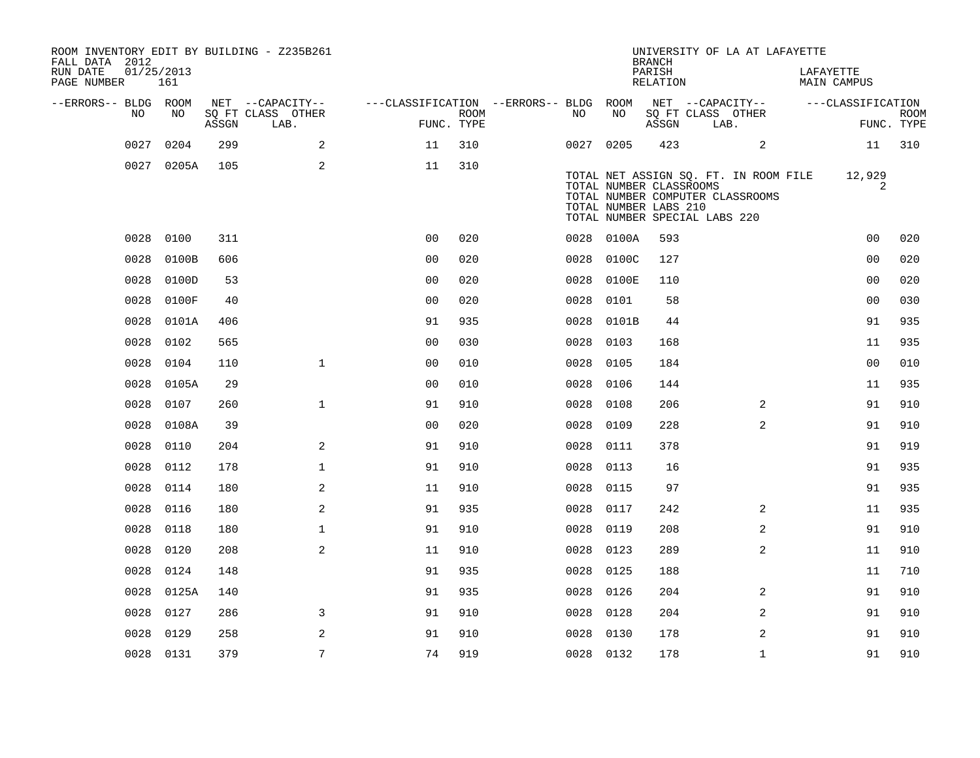| FALL DATA 2012<br>RUN DATE | 01/25/2013    |       | ROOM INVENTORY EDIT BY BUILDING - Z235B261 |                                        |             |           |            | <b>BRANCH</b><br>PARISH                          | UNIVERSITY OF LA AT LAFAYETTE                                                                              |                | LAFAYETTE   |                   |             |
|----------------------------|---------------|-------|--------------------------------------------|----------------------------------------|-------------|-----------|------------|--------------------------------------------------|------------------------------------------------------------------------------------------------------------|----------------|-------------|-------------------|-------------|
| PAGE NUMBER                | 161           |       |                                            |                                        |             |           |            | RELATION                                         |                                                                                                            |                | MAIN CAMPUS |                   |             |
| --ERRORS-- BLDG ROOM       | NO.<br>NO.    |       | NET --CAPACITY--<br>SQ FT CLASS OTHER      | ---CLASSIFICATION --ERRORS-- BLDG ROOM | <b>ROOM</b> | NO        | NO         |                                                  | NET --CAPACITY--<br>SQ FT CLASS OTHER                                                                      |                |             | ---CLASSIFICATION | <b>ROOM</b> |
|                            |               | ASSGN | LAB.                                       |                                        | FUNC. TYPE  |           |            | ASSGN                                            | LAB.                                                                                                       |                |             |                   | FUNC. TYPE  |
|                            | 0027<br>0204  | 299   | 2                                          | 11                                     | 310         | 0027 0205 |            | 423                                              |                                                                                                            | 2              |             | 11                | 310         |
|                            | 0027 0205A    | 105   | 2                                          | 11                                     | 310         |           |            | TOTAL NUMBER CLASSROOMS<br>TOTAL NUMBER LABS 210 | TOTAL NET ASSIGN SQ. FT. IN ROOM FILE<br>TOTAL NUMBER COMPUTER CLASSROOMS<br>TOTAL NUMBER SPECIAL LABS 220 |                |             | 12,929<br>2       |             |
|                            | 0028 0100     | 311   |                                            | 0 <sub>0</sub>                         | 020         |           | 0028 0100A | 593                                              |                                                                                                            |                |             | 0 <sub>0</sub>    | 020         |
|                            | 0028<br>0100B | 606   |                                            | 0 <sub>0</sub>                         | 020         | 0028      | 0100C      | 127                                              |                                                                                                            |                |             | 00                | 020         |
|                            | 0028<br>0100D | 53    |                                            | 0 <sub>0</sub>                         | 020         | 0028      | 0100E      | 110                                              |                                                                                                            |                |             | 0 <sub>0</sub>    | 020         |
|                            | 0028<br>0100F | 40    |                                            | 0 <sub>0</sub>                         | 020         | 0028 0101 |            | 58                                               |                                                                                                            |                |             | 0 <sub>0</sub>    | 030         |
|                            | 0028<br>0101A | 406   |                                            | 91                                     | 935         | 0028      | 0101B      | 44                                               |                                                                                                            |                |             | 91                | 935         |
|                            | 0028<br>0102  | 565   |                                            | 0 <sub>0</sub>                         | 030         | 0028 0103 |            | 168                                              |                                                                                                            |                |             | 11                | 935         |
|                            | 0028<br>0104  | 110   | $\mathbf{1}$                               | 0 <sub>0</sub>                         | 010         | 0028      | 0105       | 184                                              |                                                                                                            |                |             | 0 <sub>0</sub>    | 010         |
|                            | 0028<br>0105A | 29    |                                            | 0 <sub>0</sub>                         | 010         | 0028 0106 |            | 144                                              |                                                                                                            |                |             | 11                | 935         |
|                            | 0028<br>0107  | 260   | $\mathbf{1}$                               | 91                                     | 910         | 0028      | 0108       | 206                                              |                                                                                                            | 2              |             | 91                | 910         |
|                            | 0028<br>0108A | 39    |                                            | 0 <sub>0</sub>                         | 020         | 0028 0109 |            | 228                                              |                                                                                                            | $\overline{a}$ |             | 91                | 910         |
|                            | 0110<br>0028  | 204   | 2                                          | 91                                     | 910         | 0028 0111 |            | 378                                              |                                                                                                            |                |             | 91                | 919         |
|                            | 0028<br>0112  | 178   | $\mathbf 1$                                | 91                                     | 910         | 0028 0113 |            | 16                                               |                                                                                                            |                |             | 91                | 935         |
|                            | 0028<br>0114  | 180   | 2                                          | 11                                     | 910         | 0028      | 0115       | 97                                               |                                                                                                            |                |             | 91                | 935         |
|                            | 0028<br>0116  | 180   | 2                                          | 91                                     | 935         | 0028 0117 |            | 242                                              |                                                                                                            | 2              |             | 11                | 935         |
|                            | 0118<br>0028  | 180   | $\mathbf 1$                                | 91                                     | 910         | 0028      | 0119       | 208                                              |                                                                                                            | $\overline{2}$ |             | 91                | 910         |
|                            | 0028<br>0120  | 208   | 2                                          | 11                                     | 910         | 0028 0123 |            | 289                                              |                                                                                                            | 2              |             | 11                | 910         |
|                            | 0028<br>0124  | 148   |                                            | 91                                     | 935         | 0028      | 0125       | 188                                              |                                                                                                            |                |             | 11                | 710         |
|                            | 0125A<br>0028 | 140   |                                            | 91                                     | 935         | 0028 0126 |            | 204                                              |                                                                                                            | 2              |             | 91                | 910         |
|                            | 0028<br>0127  | 286   | 3                                          | 91                                     | 910         | 0028      | 0128       | 204                                              |                                                                                                            | 2              |             | 91                | 910         |
|                            | 0129<br>0028  | 258   | 2                                          | 91                                     | 910         | 0028      | 0130       | 178                                              |                                                                                                            | 2              |             | 91                | 910         |
|                            | 0028 0131     | 379   | $7\overline{ }$                            | 74                                     | 919         | 0028 0132 |            | 178                                              |                                                                                                            | $\mathbf{1}$   |             | 91                | 910         |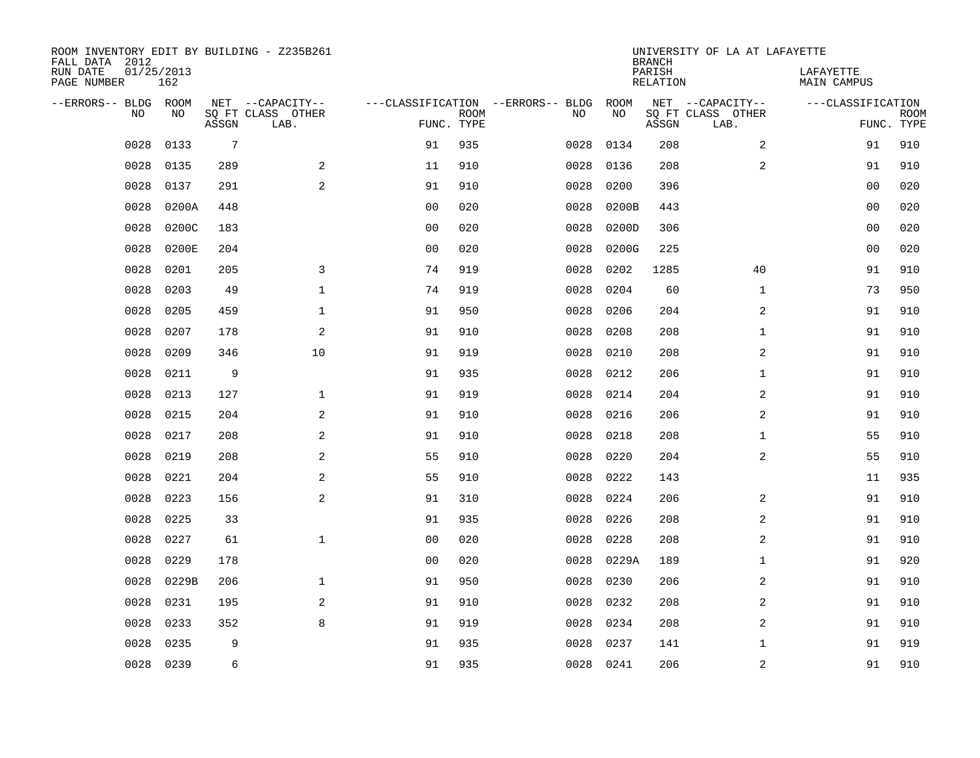| ROOM INVENTORY EDIT BY BUILDING - Z235B261<br>FALL DATA 2012 |                   |                 |                           |                |             |                                   |           | <b>BRANCH</b>             | UNIVERSITY OF LA AT LAFAYETTE |                                 |             |
|--------------------------------------------------------------|-------------------|-----------------|---------------------------|----------------|-------------|-----------------------------------|-----------|---------------------------|-------------------------------|---------------------------------|-------------|
| RUN DATE<br>PAGE NUMBER                                      | 01/25/2013<br>162 |                 |                           |                |             |                                   |           | PARISH<br><b>RELATION</b> |                               | LAFAYETTE<br><b>MAIN CAMPUS</b> |             |
| --ERRORS-- BLDG ROOM                                         |                   |                 | NET --CAPACITY--          |                |             | ---CLASSIFICATION --ERRORS-- BLDG | ROOM      |                           | NET --CAPACITY--              | ---CLASSIFICATION               |             |
| NO                                                           | NO                | ASSGN           | SQ FT CLASS OTHER<br>LAB. | FUNC. TYPE     | <b>ROOM</b> | NO                                | NO        | ASSGN                     | SQ FT CLASS OTHER<br>LAB.     | FUNC. TYPE                      | <b>ROOM</b> |
| 0028                                                         | 0133              | $7\phantom{.0}$ |                           | 91             | 935         | 0028                              | 0134      | 208                       | $\overline{a}$                | 91                              | 910         |
| 0028                                                         | 0135              | 289             | 2                         | 11             | 910         | 0028                              | 0136      | 208                       | 2                             | 91                              | 910         |
| 0028                                                         | 0137              | 291             | 2                         | 91             | 910         | 0028                              | 0200      | 396                       |                               | 00                              | 020         |
| 0028                                                         | 0200A             | 448             |                           | 0 <sub>0</sub> | 020         | 0028                              | 0200B     | 443                       |                               | 0 <sub>0</sub>                  | 020         |
| 0028                                                         | 0200C             | 183             |                           | 00             | 020         | 0028                              | 0200D     | 306                       |                               | 0 <sub>0</sub>                  | 020         |
| 0028                                                         | 0200E             | 204             |                           | 0 <sub>0</sub> | 020         | 0028                              | 0200G     | 225                       |                               | 0 <sub>0</sub>                  | 020         |
| 0028                                                         | 0201              | 205             | $\overline{3}$            | 74             | 919         | 0028                              | 0202      | 1285                      | 40                            | 91                              | 910         |
| 0028                                                         | 0203              | 49              | $\mathbf{1}$              | 74             | 919         | 0028                              | 0204      | 60                        | $\mathbf{1}$                  | 73                              | 950         |
| 0028                                                         | 0205              | 459             | $\mathbf{1}$              | 91             | 950         | 0028                              | 0206      | 204                       | 2                             | 91                              | 910         |
| 0028                                                         | 0207              | 178             | 2                         | 91             | 910         | 0028                              | 0208      | 208                       | $\mathbf{1}$                  | 91                              | 910         |
| 0028                                                         | 0209              | 346             | 10                        | 91             | 919         | 0028                              | 0210      | 208                       | 2                             | 91                              | 910         |
| 0028                                                         | 0211              | 9               |                           | 91             | 935         | 0028                              | 0212      | 206                       | $\mathbf{1}$                  | 91                              | 910         |
| 0028                                                         | 0213              | 127             | $\mathbf{1}$              | 91             | 919         | 0028                              | 0214      | 204                       | 2                             | 91                              | 910         |
| 0028                                                         | 0215              | 204             | 2                         | 91             | 910         | 0028                              | 0216      | 206                       | 2                             | 91                              | 910         |
| 0028                                                         | 0217              | 208             | 2                         | 91             | 910         | 0028                              | 0218      | 208                       | $\mathbf{1}$                  | 55                              | 910         |
| 0028                                                         | 0219              | 208             | 2                         | 55             | 910         | 0028                              | 0220      | 204                       | $\overline{a}$                | 55                              | 910         |
| 0028                                                         | 0221              | 204             | $\overline{a}$            | 55             | 910         | 0028                              | 0222      | 143                       |                               | 11                              | 935         |
| 0028                                                         | 0223              | 156             | $\sqrt{2}$                | 91             | 310         | 0028                              | 0224      | 206                       | 2                             | 91                              | 910         |
| 0028                                                         | 0225              | 33              |                           | 91             | 935         | 0028                              | 0226      | 208                       | 2                             | 91                              | 910         |
| 0028                                                         | 0227              | 61              | $\mathbf{1}$              | 0 <sub>0</sub> | 020         | 0028                              | 0228      | 208                       | 2                             | 91                              | 910         |
| 0028                                                         | 0229              | 178             |                           | 0 <sub>0</sub> | 020         | 0028                              | 0229A     | 189                       | $\mathbf{1}$                  | 91                              | 920         |
| 0028                                                         | 0229B             | 206             | $\mathbf{1}$              | 91             | 950         | 0028                              | 0230      | 206                       | 2                             | 91                              | 910         |
| 0028                                                         | 0231              | 195             | 2                         | 91             | 910         | 0028                              | 0232      | 208                       | 2                             | 91                              | 910         |
| 0028                                                         | 0233              | 352             | 8                         | 91             | 919         | 0028                              | 0234      | 208                       | 2                             | 91                              | 910         |
| 0028                                                         | 0235              | 9               |                           | 91             | 935         | 0028                              | 0237      | 141                       | $\mathbf{1}$                  | 91                              | 919         |
|                                                              | 0028 0239         | 6               |                           | 91             | 935         |                                   | 0028 0241 | 206                       | 2                             | 91                              | 910         |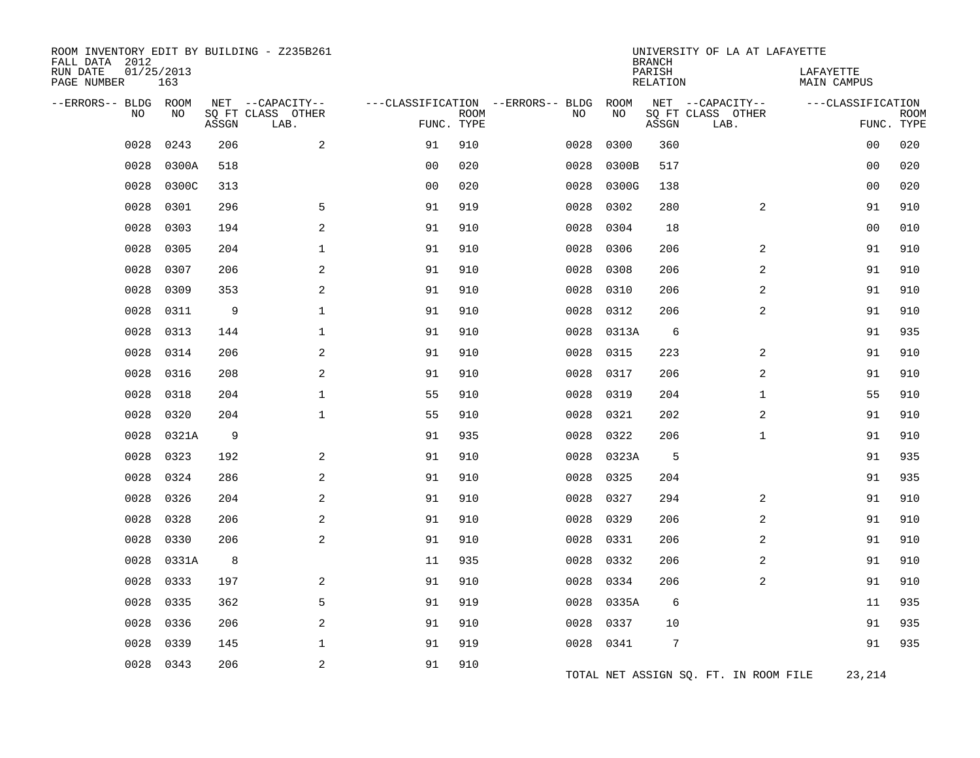| ROOM INVENTORY EDIT BY BUILDING - Z235B261<br>FALL DATA 2012 |                   |       |                                               |                |             |                                         |            | <b>BRANCH</b>      | UNIVERSITY OF LA AT LAFAYETTE                 |                                 |                           |
|--------------------------------------------------------------|-------------------|-------|-----------------------------------------------|----------------|-------------|-----------------------------------------|------------|--------------------|-----------------------------------------------|---------------------------------|---------------------------|
| RUN DATE<br>PAGE NUMBER                                      | 01/25/2013<br>163 |       |                                               |                |             |                                         |            | PARISH<br>RELATION |                                               | LAFAYETTE<br><b>MAIN CAMPUS</b> |                           |
| --ERRORS-- BLDG<br>NO                                        | ROOM<br>NO        | ASSGN | NET --CAPACITY--<br>SO FT CLASS OTHER<br>LAB. | FUNC. TYPE     | <b>ROOM</b> | ---CLASSIFICATION --ERRORS-- BLDG<br>NO | ROOM<br>NO | ASSGN              | NET --CAPACITY--<br>SQ FT CLASS OTHER<br>LAB. | ---CLASSIFICATION               | <b>ROOM</b><br>FUNC. TYPE |
| 0028                                                         | 0243              | 206   | $\overline{a}$                                | 91             | 910         | 0028                                    | 0300       | 360                |                                               | 00                              | 020                       |
| 0028                                                         | 0300A             | 518   |                                               | 0 <sub>0</sub> | 020         | 0028                                    | 0300B      | 517                |                                               | 0 <sub>0</sub>                  | 020                       |
| 0028                                                         | 0300C             | 313   |                                               | 0 <sub>0</sub> | 020         | 0028                                    | 0300G      | 138                |                                               | 00                              | 020                       |
| 0028                                                         | 0301              | 296   | 5                                             | 91             | 919         | 0028                                    | 0302       | 280                | $\overline{a}$                                | 91                              | 910                       |
| 0028                                                         | 0303              | 194   | 2                                             | 91             | 910         | 0028                                    | 0304       | 18                 |                                               | 0 <sub>0</sub>                  | 010                       |
| 0028                                                         | 0305              | 204   | 1                                             | 91             | 910         | 0028                                    | 0306       | 206                | 2                                             | 91                              | 910                       |
| 0028                                                         | 0307              | 206   | $\overline{a}$                                | 91             | 910         | 0028                                    | 0308       | 206                | 2                                             | 91                              | 910                       |
| 0028                                                         | 0309              | 353   | 2                                             | 91             | 910         | 0028                                    | 0310       | 206                | 2                                             | 91                              | 910                       |
| 0028                                                         | 0311              | 9     | $\mathbf 1$                                   | 91             | 910         | 0028                                    | 0312       | 206                | 2                                             | 91                              | 910                       |
| 0028                                                         | 0313              | 144   | $\mathbf{1}$                                  | 91             | 910         | 0028                                    | 0313A      | 6                  |                                               | 91                              | 935                       |
| 0028                                                         | 0314              | 206   | 2                                             | 91             | 910         | 0028                                    | 0315       | 223                | 2                                             | 91                              | 910                       |
| 0028                                                         | 0316              | 208   | 2                                             | 91             | 910         | 0028                                    | 0317       | 206                | 2                                             | 91                              | 910                       |
| 0028                                                         | 0318              | 204   | $\mathbf 1$                                   | 55             | 910         | 0028                                    | 0319       | 204                | $\mathbf{1}$                                  | 55                              | 910                       |
| 0028                                                         | 0320              | 204   | $\mathbf 1$                                   | 55             | 910         | 0028                                    | 0321       | 202                | 2                                             | 91                              | 910                       |
| 0028                                                         | 0321A             | 9     |                                               | 91             | 935         | 0028                                    | 0322       | 206                | $\mathbf{1}$                                  | 91                              | 910                       |
| 0028                                                         | 0323              | 192   | 2                                             | 91             | 910         | 0028                                    | 0323A      | 5                  |                                               | 91                              | 935                       |
| 0028                                                         | 0324              | 286   | 2                                             | 91             | 910         | 0028                                    | 0325       | 204                |                                               | 91                              | 935                       |
| 0028                                                         | 0326              | 204   | $\overline{a}$                                | 91             | 910         | 0028                                    | 0327       | 294                | 2                                             | 91                              | 910                       |
| 0028                                                         | 0328              | 206   | 2                                             | 91             | 910         | 0028                                    | 0329       | 206                | 2                                             | 91                              | 910                       |
| 0028                                                         | 0330              | 206   | 2                                             | 91             | 910         | 0028                                    | 0331       | 206                | 2                                             | 91                              | 910                       |
| 0028                                                         | 0331A             | 8     |                                               | 11             | 935         | 0028                                    | 0332       | 206                | $\overline{a}$                                | 91                              | 910                       |
| 0028                                                         | 0333              | 197   | 2                                             | 91             | 910         | 0028                                    | 0334       | 206                | 2                                             | 91                              | 910                       |
| 0028                                                         | 0335              | 362   | 5                                             | 91             | 919         | 0028                                    | 0335A      | 6                  |                                               | 11                              | 935                       |
| 0028                                                         | 0336              | 206   | $\overline{a}$                                | 91             | 910         | 0028                                    | 0337       | 10                 |                                               | 91                              | 935                       |
| 0028                                                         | 0339              | 145   | $\mathbf 1$                                   | 91             | 919         | 0028                                    | 0341       | $7\phantom{.0}$    |                                               | 91                              | 935                       |
| 0028                                                         | 0343              | 206   | 2                                             | 91             | 910         |                                         |            |                    | TOTAL NET ASSIGN SQ. FT. IN ROOM FILE         | 23,214                          |                           |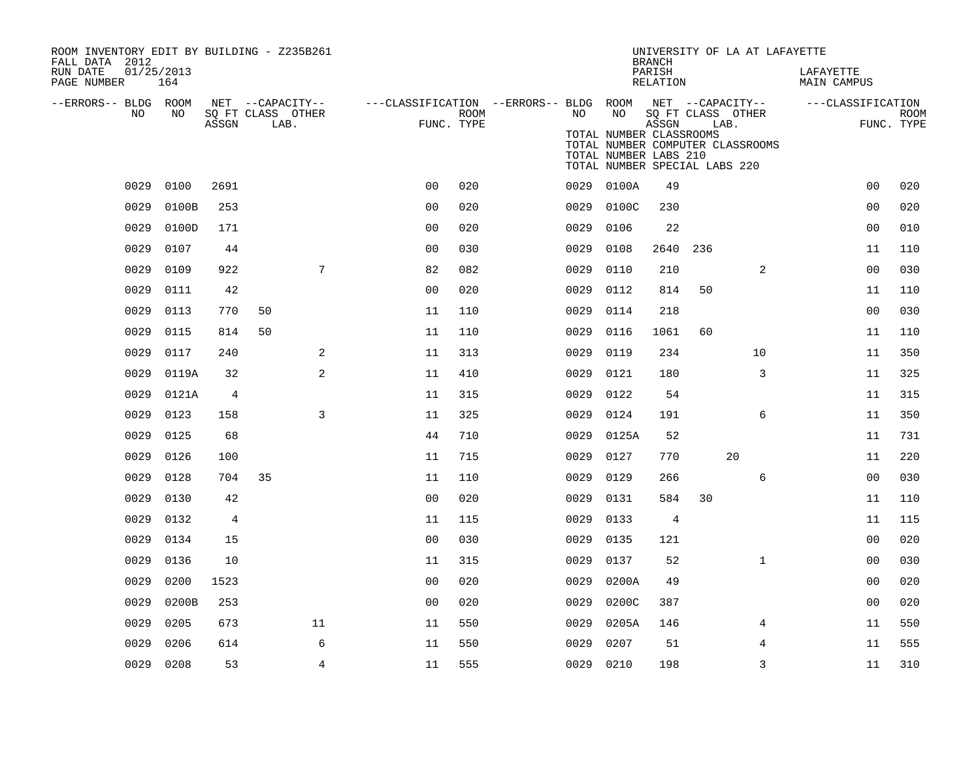| ROOM INVENTORY EDIT BY BUILDING - Z235B261<br>FALL DATA 2012 |                   |                |                                       |                                                         |            |      |                                                                                   | <b>BRANCH</b>      |      | UNIVERSITY OF LA AT LAFAYETTE    |                          |             |
|--------------------------------------------------------------|-------------------|----------------|---------------------------------------|---------------------------------------------------------|------------|------|-----------------------------------------------------------------------------------|--------------------|------|----------------------------------|--------------------------|-------------|
| RUN DATE<br>PAGE NUMBER                                      | 01/25/2013<br>164 |                |                                       |                                                         |            |      |                                                                                   | PARISH<br>RELATION |      |                                  | LAFAYETTE<br>MAIN CAMPUS |             |
| --ERRORS-- BLDG ROOM<br>NO                                   | NO                |                | NET --CAPACITY--<br>SQ FT CLASS OTHER | ---CLASSIFICATION --ERRORS-- BLDG ROOM NET --CAPACITY-- | ROOM       | NO   | NO                                                                                |                    |      | SQ FT CLASS OTHER                | ---CLASSIFICATION        | <b>ROOM</b> |
|                                                              |                   | ASSGN          | LAB.                                  |                                                         | FUNC. TYPE |      | TOTAL NUMBER CLASSROOMS<br>TOTAL NUMBER LABS 210<br>TOTAL NUMBER SPECIAL LABS 220 | ASSGN              | LAB. | TOTAL NUMBER COMPUTER CLASSROOMS |                          | FUNC. TYPE  |
| 0029                                                         | 0100              | 2691           |                                       | 0 <sub>0</sub>                                          | 020        |      | 0029 0100A                                                                        | 49                 |      |                                  | 0 <sub>0</sub>           | 020         |
| 0029                                                         | 0100B             | 253            |                                       | 0 <sub>0</sub>                                          | 020        | 0029 | 0100C                                                                             | 230                |      |                                  | 0 <sub>0</sub>           | 020         |
| 0029                                                         | 0100D             | 171            |                                       | 00                                                      | 020        | 0029 | 0106                                                                              | 22                 |      |                                  | 00                       | 010         |
| 0029                                                         | 0107              | 44             |                                       | 0 <sub>0</sub>                                          | 030        | 0029 | 0108                                                                              | 2640               | 236  |                                  | 11                       | 110         |
| 0029                                                         | 0109              | 922            |                                       | 7<br>82                                                 | 082        | 0029 | 0110                                                                              | 210                |      | 2                                | 0 <sub>0</sub>           | 030         |
| 0029                                                         | 0111              | 42             |                                       | 0 <sub>0</sub>                                          | 020        | 0029 | 0112                                                                              | 814                | 50   |                                  | 11                       | 110         |
| 0029                                                         | 0113              | 770            | 50                                    | 11                                                      | 110        | 0029 | 0114                                                                              | 218                |      |                                  | 00                       | 030         |
| 0029                                                         | 0115              | 814            | 50                                    | 11                                                      | 110        | 0029 | 0116                                                                              | 1061               | 60   |                                  | 11                       | 110         |
| 0029                                                         | 0117              | 240            |                                       | 2<br>11                                                 | 313        | 0029 | 0119                                                                              | 234                |      | 10                               | 11                       | 350         |
| 0029                                                         | 0119A             | 32             |                                       | 2<br>11                                                 | 410        | 0029 | 0121                                                                              | 180                |      | 3                                | 11                       | 325         |
| 0029                                                         | 0121A             | 4              |                                       | 11                                                      | 315        | 0029 | 0122                                                                              | 54                 |      |                                  | 11                       | 315         |
| 0029                                                         | 0123              | 158            |                                       | 3<br>11                                                 | 325        | 0029 | 0124                                                                              | 191                |      | 6                                | 11                       | 350         |
| 0029                                                         | 0125              | 68             |                                       | 44                                                      | 710        | 0029 | 0125A                                                                             | 52                 |      |                                  | 11                       | 731         |
| 0029                                                         | 0126              | 100            |                                       | 11                                                      | 715        | 0029 | 0127                                                                              | 770                |      | 20                               | 11                       | 220         |
| 0029                                                         | 0128              | 704            | 35                                    | 11                                                      | 110        | 0029 | 0129                                                                              | 266                |      | 6                                | 0 <sub>0</sub>           | 030         |
| 0029                                                         | 0130              | 42             |                                       | 0 <sub>0</sub>                                          | 020        | 0029 | 0131                                                                              | 584                | 30   |                                  | 11                       | 110         |
| 0029                                                         | 0132              | $\overline{4}$ |                                       | 11                                                      | 115        |      | 0029 0133                                                                         | $\overline{4}$     |      |                                  | 11                       | 115         |
| 0029                                                         | 0134              | 15             |                                       | 0 <sub>0</sub>                                          | 030        | 0029 | 0135                                                                              | 121                |      |                                  | 00                       | 020         |
| 0029                                                         | 0136              | 10             |                                       | 11                                                      | 315        | 0029 | 0137                                                                              | 52                 |      | $\mathbf{1}$                     | 00                       | 030         |
| 0029                                                         | 0200              | 1523           |                                       | 0 <sub>0</sub>                                          | 020        | 0029 | 0200A                                                                             | 49                 |      |                                  | 0 <sub>0</sub>           | 020         |
| 0029                                                         | 0200B             | 253            |                                       | 0 <sub>0</sub>                                          | 020        | 0029 | 0200C                                                                             | 387                |      |                                  | 0 <sub>0</sub>           | 020         |
| 0029                                                         | 0205              | 673            | 11                                    | 11                                                      | 550        | 0029 | 0205A                                                                             | 146                |      | 4                                | 11                       | 550         |
| 0029                                                         | 0206              | 614            |                                       | 6<br>11                                                 | 550        | 0029 | 0207                                                                              | 51                 |      | 4                                | 11                       | 555         |
|                                                              | 0029 0208         | 53             |                                       | $\overline{4}$<br>11                                    | 555        |      | 0029 0210                                                                         | 198                |      | 3                                | 11                       | 310         |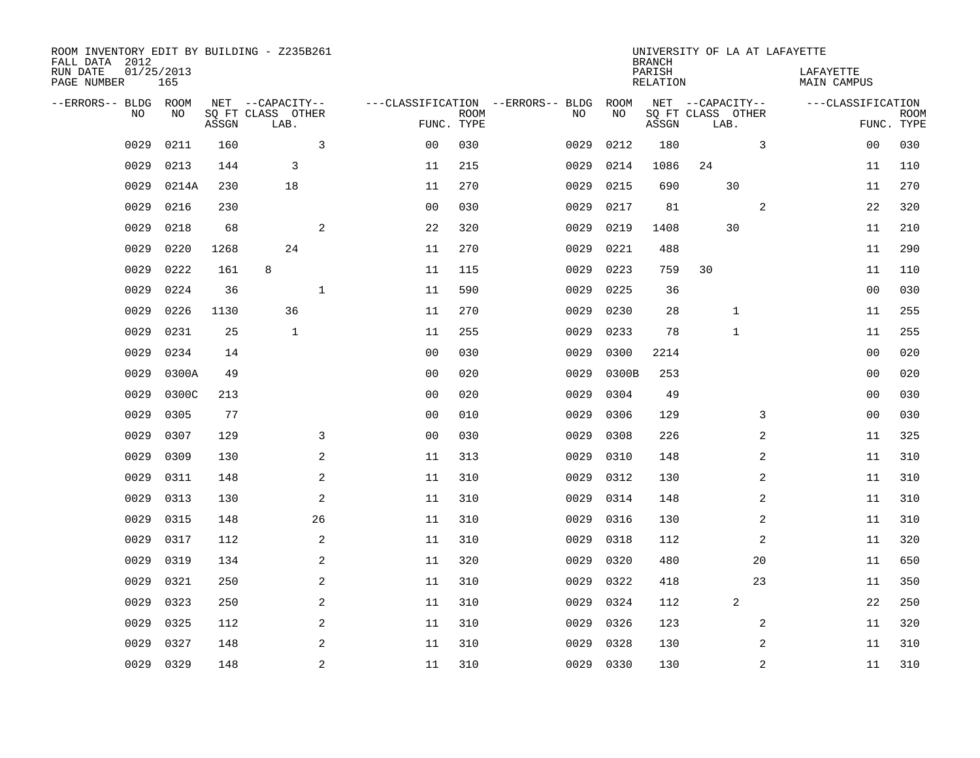| ROOM INVENTORY EDIT BY BUILDING - Z235B261<br>FALL DATA 2012 |                   |       |                           |                |                |             |                                   |           | <b>BRANCH</b>      | UNIVERSITY OF LA AT LAFAYETTE |                                 |                           |
|--------------------------------------------------------------|-------------------|-------|---------------------------|----------------|----------------|-------------|-----------------------------------|-----------|--------------------|-------------------------------|---------------------------------|---------------------------|
| RUN DATE<br>PAGE NUMBER                                      | 01/25/2013<br>165 |       |                           |                |                |             |                                   |           | PARISH<br>RELATION |                               | LAFAYETTE<br><b>MAIN CAMPUS</b> |                           |
| --ERRORS-- BLDG ROOM                                         |                   |       | NET --CAPACITY--          |                |                |             | ---CLASSIFICATION --ERRORS-- BLDG | ROOM      |                    | NET --CAPACITY--              | ---CLASSIFICATION               |                           |
| N <sub>O</sub>                                               | NO.               | ASSGN | SO FT CLASS OTHER<br>LAB. |                | FUNC. TYPE     | <b>ROOM</b> | NO.                               | NO        | ASSGN              | SQ FT CLASS OTHER<br>LAB.     |                                 | <b>ROOM</b><br>FUNC. TYPE |
| 0029                                                         | 0211              | 160   |                           | 3              | 0 <sub>0</sub> | 030         | 0029                              | 0212      | 180                | 3                             | 00                              | 030                       |
| 0029                                                         | 0213              | 144   | 3                         |                | 11             | 215         | 0029                              | 0214      | 1086               | 24                            | 11                              | 110                       |
| 0029                                                         | 0214A             | 230   | 18                        |                | 11             | 270         | 0029                              | 0215      | 690                | 30                            | 11                              | 270                       |
| 0029                                                         | 0216              | 230   |                           |                | 0 <sub>0</sub> | 030         | 0029                              | 0217      | 81                 | 2                             | 22                              | 320                       |
| 0029                                                         | 0218              | 68    |                           | 2              | 22             | 320         | 0029                              | 0219      | 1408               | 30                            | 11                              | 210                       |
| 0029                                                         | 0220              | 1268  | 24                        |                | 11             | 270         | 0029                              | 0221      | 488                |                               | 11                              | 290                       |
| 0029                                                         | 0222              | 161   | 8                         |                | 11             | 115         | 0029                              | 0223      | 759                | 30                            | 11                              | 110                       |
| 0029                                                         | 0224              | 36    |                           | $\mathbf{1}$   | 11             | 590         | 0029                              | 0225      | 36                 |                               | 0 <sub>0</sub>                  | 030                       |
| 0029                                                         | 0226              | 1130  | 36                        |                | 11             | 270         | 0029                              | 0230      | 28                 | $\mathbf{1}$                  | 11                              | 255                       |
| 0029                                                         | 0231              | 25    | $\mathbf{1}$              |                | 11             | 255         | 0029                              | 0233      | 78                 | 1                             | 11                              | 255                       |
| 0029                                                         | 0234              | 14    |                           |                | 0 <sub>0</sub> | 030         | 0029                              | 0300      | 2214               |                               | 00                              | 020                       |
| 0029                                                         | 0300A             | 49    |                           |                | 0 <sub>0</sub> | 020         | 0029                              | 0300B     | 253                |                               | 0 <sub>0</sub>                  | 020                       |
| 0029                                                         | 0300C             | 213   |                           |                | 0 <sub>0</sub> | 020         | 0029                              | 0304      | 49                 |                               | 0 <sub>0</sub>                  | 030                       |
| 0029                                                         | 0305              | 77    |                           |                | 0 <sub>0</sub> | 010         | 0029                              | 0306      | 129                | 3                             | 00                              | 030                       |
| 0029                                                         | 0307              | 129   |                           | 3              | 0 <sub>0</sub> | 030         | 0029                              | 0308      | 226                | 2                             | 11                              | 325                       |
| 0029                                                         | 0309              | 130   |                           | 2              | 11             | 313         | 0029                              | 0310      | 148                | 2                             | 11                              | 310                       |
| 0029                                                         | 0311              | 148   |                           | 2              | 11             | 310         | 0029                              | 0312      | 130                | 2                             | 11                              | 310                       |
| 0029                                                         | 0313              | 130   |                           | $\mathbf{2}$   | 11             | 310         | 0029                              | 0314      | 148                | 2                             | 11                              | 310                       |
| 0029                                                         | 0315              | 148   |                           | 26             | 11             | 310         | 0029                              | 0316      | 130                | 2                             | 11                              | 310                       |
| 0029                                                         | 0317              | 112   |                           | 2              | 11             | 310         | 0029                              | 0318      | 112                | 2                             | 11                              | 320                       |
| 0029                                                         | 0319              | 134   |                           | $\mathbf{2}$   | 11             | 320         | 0029                              | 0320      | 480                | 20                            | 11                              | 650                       |
| 0029                                                         | 0321              | 250   |                           | 2              | 11             | 310         | 0029                              | 0322      | 418                | 23                            | 11                              | 350                       |
| 0029                                                         | 0323              | 250   |                           | 2              | 11             | 310         | 0029                              | 0324      | 112                | 2                             | 22                              | 250                       |
| 0029                                                         | 0325              | 112   |                           | 2              | 11             | 310         | 0029                              | 0326      | 123                | 2                             | 11                              | 320                       |
| 0029                                                         | 0327              | 148   |                           | 2              | 11             | 310         | 0029                              | 0328      | 130                | 2                             | 11                              | 310                       |
| 0029                                                         | 0329              | 148   |                           | $\overline{c}$ | 11             | 310         |                                   | 0029 0330 | 130                | $\mathbf 2$                   | 11                              | 310                       |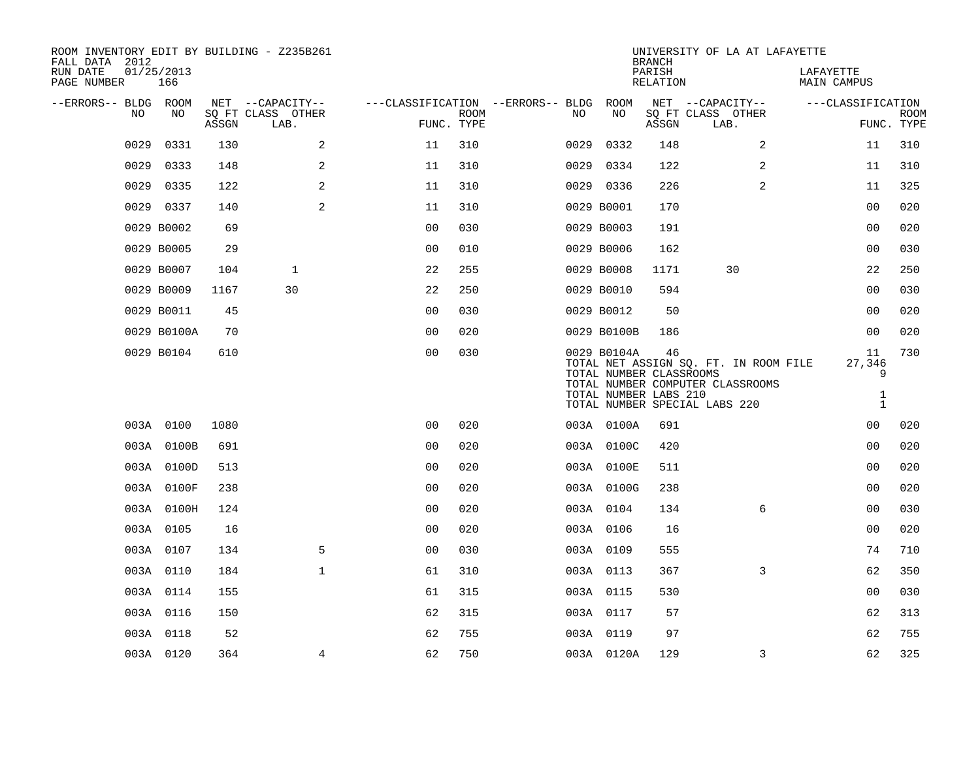| ROOM INVENTORY EDIT BY BUILDING - Z235B261<br>FALL DATA 2012 |                   |       |                           |                |                           |                                        |                                                                 | <b>BRANCH</b>      | UNIVERSITY OF LA AT LAFAYETTE                                                                              |                                                   |                           |
|--------------------------------------------------------------|-------------------|-------|---------------------------|----------------|---------------------------|----------------------------------------|-----------------------------------------------------------------|--------------------|------------------------------------------------------------------------------------------------------------|---------------------------------------------------|---------------------------|
| RUN DATE<br>PAGE NUMBER                                      | 01/25/2013<br>166 |       |                           |                |                           |                                        |                                                                 | PARISH<br>RELATION |                                                                                                            | LAFAYETTE<br>MAIN CAMPUS                          |                           |
| --ERRORS-- BLDG ROOM                                         |                   |       | NET --CAPACITY--          |                |                           | ---CLASSIFICATION --ERRORS-- BLDG ROOM |                                                                 |                    | NET --CAPACITY--                                                                                           | ---CLASSIFICATION                                 |                           |
| NO                                                           | NO                | ASSGN | SQ FT CLASS OTHER<br>LAB. |                | <b>ROOM</b><br>FUNC. TYPE | NO                                     | NO                                                              | ASSGN              | SQ FT CLASS OTHER<br>LAB.                                                                                  |                                                   | <b>ROOM</b><br>FUNC. TYPE |
| 0029                                                         | 0331              | 130   | 2                         | 11             | 310                       | 0029                                   | 0332                                                            | 148                | 2                                                                                                          | 11                                                | 310                       |
| 0029                                                         | 0333              | 148   | 2                         | 11             | 310                       | 0029                                   | 0334                                                            | 122                | 2                                                                                                          | 11                                                | 310                       |
| 0029                                                         | 0335              | 122   | $\overline{2}$            | 11             | 310                       |                                        | 0029 0336                                                       | 226                | 2                                                                                                          | 11                                                | 325                       |
|                                                              | 0029 0337         | 140   | 2                         | 11             | 310                       |                                        | 0029 B0001                                                      | 170                |                                                                                                            | 0 <sub>0</sub>                                    | 020                       |
|                                                              | 0029 B0002        | 69    |                           | 0 <sub>0</sub> | 030                       |                                        | 0029 B0003                                                      | 191                |                                                                                                            | 0 <sub>0</sub>                                    | 020                       |
|                                                              | 0029 B0005        | 29    |                           | 0 <sub>0</sub> | 010                       |                                        | 0029 B0006                                                      | 162                |                                                                                                            | 0 <sub>0</sub>                                    | 030                       |
|                                                              | 0029 B0007        | 104   | $\mathbf{1}$              | 22             | 255                       |                                        | 0029 B0008                                                      | 1171               | 30                                                                                                         | 22                                                | 250                       |
|                                                              | 0029 B0009        | 1167  | 30                        | 22             | 250                       |                                        | 0029 B0010                                                      | 594                |                                                                                                            | 0 <sub>0</sub>                                    | 030                       |
|                                                              | 0029 B0011        | 45    |                           | 0 <sub>0</sub> | 030                       |                                        | 0029 B0012                                                      | 50                 |                                                                                                            | 00                                                | 020                       |
|                                                              | 0029 B0100A       | 70    |                           | 0 <sub>0</sub> | 020                       |                                        | 0029 B0100B                                                     | 186                |                                                                                                            | 0 <sub>0</sub>                                    | 020                       |
|                                                              | 0029 B0104        | 610   |                           | 0 <sub>0</sub> | 030                       |                                        | 0029 B0104A<br>TOTAL NUMBER CLASSROOMS<br>TOTAL NUMBER LABS 210 | 46                 | TOTAL NET ASSIGN SQ. FT. IN ROOM FILE<br>TOTAL NUMBER COMPUTER CLASSROOMS<br>TOTAL NUMBER SPECIAL LABS 220 | 11<br>27,346<br>9<br>$\mathbf{1}$<br>$\mathbf{1}$ | 730                       |
|                                                              | 003A 0100         | 1080  |                           | 0 <sub>0</sub> | 020                       |                                        | 003A 0100A                                                      | 691                |                                                                                                            | 0 <sub>0</sub>                                    | 020                       |
|                                                              | 003A 0100B        | 691   |                           | 0 <sub>0</sub> | 020                       |                                        | 003A 0100C                                                      | 420                |                                                                                                            | 0 <sub>0</sub>                                    | 020                       |
|                                                              | 003A 0100D        | 513   |                           | 0 <sub>0</sub> | 020                       |                                        | 003A 0100E                                                      | 511                |                                                                                                            | 0 <sub>0</sub>                                    | 020                       |
|                                                              | 003A 0100F        | 238   |                           | 0 <sub>0</sub> | 020                       |                                        | 003A 0100G                                                      | 238                |                                                                                                            | 0 <sub>0</sub>                                    | 020                       |
|                                                              | 003A 0100H        | 124   |                           | 0 <sub>0</sub> | 020                       |                                        | 003A 0104                                                       | 134                | 6                                                                                                          | 00                                                | 030                       |
|                                                              | 003A 0105         | 16    |                           | 0 <sub>0</sub> | 020                       |                                        | 003A 0106                                                       | 16                 |                                                                                                            | 0 <sub>0</sub>                                    | 020                       |
|                                                              | 003A 0107         | 134   | 5                         | 0 <sub>0</sub> | 030                       |                                        | 003A 0109                                                       | 555                |                                                                                                            | 74                                                | 710                       |
|                                                              | 003A 0110         | 184   | $\mathbf{1}$              | 61             | 310                       |                                        | 003A 0113                                                       | 367                | 3                                                                                                          | 62                                                | 350                       |
|                                                              | 003A 0114         | 155   |                           | 61             | 315                       |                                        | 003A 0115                                                       | 530                |                                                                                                            | 00                                                | 030                       |
|                                                              | 003A 0116         | 150   |                           | 62             | 315                       |                                        | 003A 0117                                                       | 57                 |                                                                                                            | 62                                                | 313                       |
|                                                              | 003A 0118         | 52    |                           | 62             | 755                       |                                        | 003A 0119                                                       | 97                 |                                                                                                            | 62                                                | 755                       |
|                                                              | 003A 0120         | 364   | 4                         | 62             | 750                       |                                        | 003A 0120A                                                      | 129                | 3                                                                                                          | 62                                                | 325                       |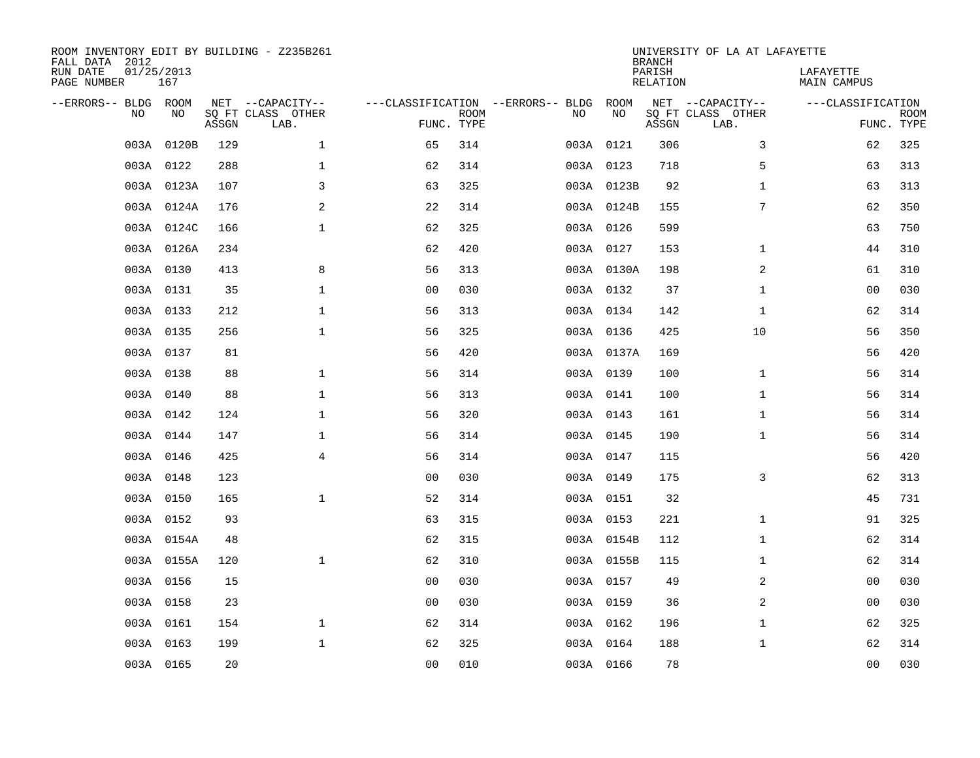| ROOM INVENTORY EDIT BY BUILDING - Z235B261<br>FALL DATA 2012<br>RUN DATE | 01/25/2013 |       |                           |                                   |                           |           |            | <b>BRANCH</b><br>PARISH | UNIVERSITY OF LA AT LAFAYETTE | LAFAYETTE         |             |
|--------------------------------------------------------------------------|------------|-------|---------------------------|-----------------------------------|---------------------------|-----------|------------|-------------------------|-------------------------------|-------------------|-------------|
| PAGE NUMBER                                                              | 167        |       |                           |                                   |                           |           |            | <b>RELATION</b>         |                               | MAIN CAMPUS       |             |
| --ERRORS-- BLDG ROOM                                                     |            |       | NET --CAPACITY--          | ---CLASSIFICATION --ERRORS-- BLDG |                           |           | ROOM       |                         | NET --CAPACITY--              | ---CLASSIFICATION |             |
| NO                                                                       | NO         | ASSGN | SQ FT CLASS OTHER<br>LAB. |                                   | <b>ROOM</b><br>FUNC. TYPE | NO        | NO         | ASSGN                   | SQ FT CLASS OTHER<br>LAB.     | FUNC. TYPE        | <b>ROOM</b> |
| 003A                                                                     | 0120B      | 129   | $\mathbf{1}$              | 65                                | 314                       | 003A 0121 |            | 306                     | 3                             | 62                | 325         |
|                                                                          | 003A 0122  | 288   | $\mathbf 1$               | 62                                | 314                       | 003A 0123 |            | 718                     | 5                             | 63                | 313         |
|                                                                          | 003A 0123A | 107   | 3                         | 63                                | 325                       |           | 003A 0123B | 92                      | $\mathbf{1}$                  | 63                | 313         |
|                                                                          | 003A 0124A | 176   | $\mathbf{2}$              | 22                                | 314                       |           | 003A 0124B | 155                     | 7                             | 62                | 350         |
|                                                                          | 003A 0124C | 166   | $\mathbf{1}$              | 62                                | 325                       | 003A 0126 |            | 599                     |                               | 63                | 750         |
|                                                                          | 003A 0126A | 234   |                           | 62                                | 420                       | 003A 0127 |            | 153                     | $\mathbf{1}$                  | 44                | 310         |
|                                                                          | 003A 0130  | 413   | 8                         | 56                                | 313                       |           | 003A 0130A | 198                     | 2                             | 61                | 310         |
|                                                                          | 003A 0131  | 35    | $\mathbf 1$               | 0 <sub>0</sub>                    | 030                       | 003A 0132 |            | 37                      | $\mathbf{1}$                  | 0 <sub>0</sub>    | 030         |
|                                                                          | 003A 0133  | 212   | $\mathbf{1}$              | 56                                | 313                       | 003A 0134 |            | 142                     | $\mathbf{1}$                  | 62                | 314         |
|                                                                          | 003A 0135  | 256   | $\mathbf{1}$              | 56                                | 325                       | 003A 0136 |            | 425                     | 10                            | 56                | 350         |
|                                                                          | 003A 0137  | 81    |                           | 56                                | 420                       |           | 003A 0137A | 169                     |                               | 56                | 420         |
|                                                                          | 003A 0138  | 88    | $\mathbf 1$               | 56                                | 314                       | 003A 0139 |            | 100                     | $\mathbf{1}$                  | 56                | 314         |
|                                                                          | 003A 0140  | 88    | $\mathbf{1}$              | 56                                | 313                       | 003A 0141 |            | 100                     | $\mathbf{1}$                  | 56                | 314         |
|                                                                          | 003A 0142  | 124   | $\mathbf{1}$              | 56                                | 320                       | 003A 0143 |            | 161                     | $\mathbf{1}$                  | 56                | 314         |
|                                                                          | 003A 0144  | 147   | 1                         | 56                                | 314                       | 003A 0145 |            | 190                     | $\mathbf{1}$                  | 56                | 314         |
|                                                                          | 003A 0146  | 425   | 4                         | 56                                | 314                       | 003A 0147 |            | 115                     |                               | 56                | 420         |
|                                                                          | 003A 0148  | 123   |                           | 0 <sub>0</sub>                    | 030                       | 003A 0149 |            | 175                     | 3                             | 62                | 313         |
|                                                                          | 003A 0150  | 165   | $\mathbf{1}$              | 52                                | 314                       | 003A 0151 |            | 32                      |                               | 45                | 731         |
|                                                                          | 003A 0152  | 93    |                           | 63                                | 315                       | 003A 0153 |            | 221                     | $\mathbf{1}$                  | 91                | 325         |
|                                                                          | 003A 0154A | 48    |                           | 62                                | 315                       |           | 003A 0154B | 112                     | $\mathbf{1}$                  | 62                | 314         |
|                                                                          | 003A 0155A | 120   | $\mathbf{1}$              | 62                                | 310                       |           | 003A 0155B | 115                     | $\mathbf{1}$                  | 62                | 314         |
|                                                                          | 003A 0156  | 15    |                           | 00                                | 030                       | 003A 0157 |            | 49                      | 2                             | 0 <sub>0</sub>    | 030         |
|                                                                          | 003A 0158  | 23    |                           | 0 <sub>0</sub>                    | 030                       | 003A 0159 |            | 36                      | 2                             | 0 <sub>0</sub>    | 030         |
|                                                                          | 003A 0161  | 154   | $\mathbf 1$               | 62                                | 314                       | 003A 0162 |            | 196                     | $\mathbf{1}$                  | 62                | 325         |
|                                                                          | 003A 0163  | 199   | $\mathbf 1$               | 62                                | 325                       | 003A 0164 |            | 188                     | $\mathbf{1}$                  | 62                | 314         |
|                                                                          | 003A 0165  | 20    |                           | 00                                | 010                       | 003A 0166 |            | 78                      |                               | 00                | 030         |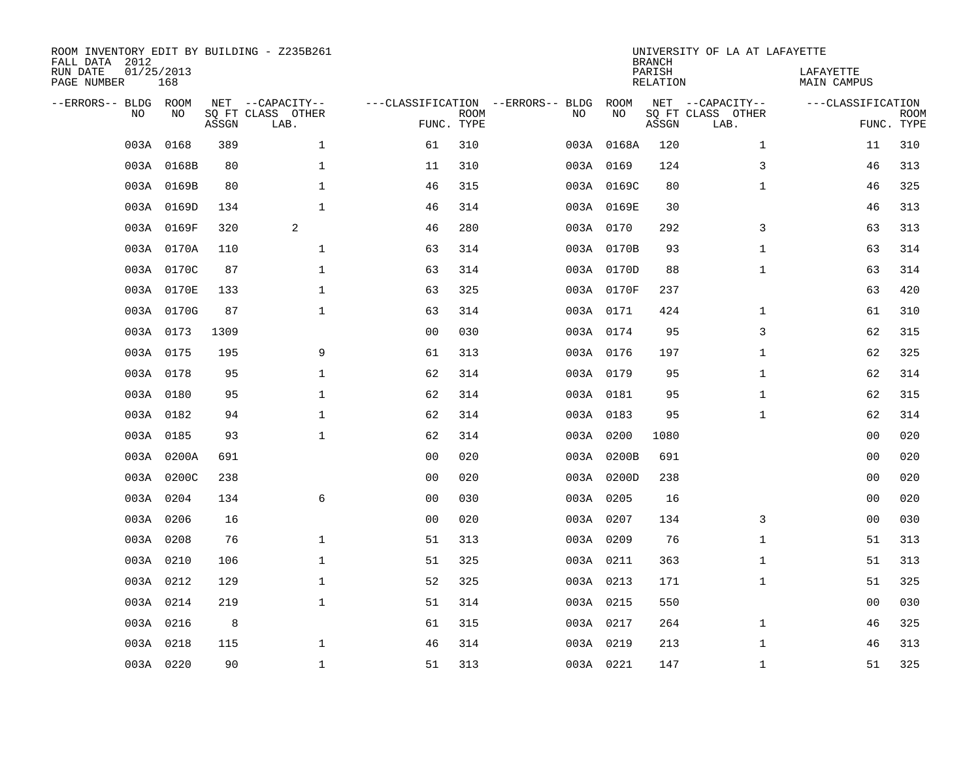| ROOM INVENTORY EDIT BY BUILDING - Z235B261<br>FALL DATA 2012<br>RUN DATE<br>PAGE NUMBER | 01/25/2013<br>168 |       |                                               |                                                 |             |    |            | <b>BRANCH</b><br>PARISH<br><b>RELATION</b> | UNIVERSITY OF LA AT LAFAYETTE                 | LAFAYETTE<br>MAIN CAMPUS |                           |
|-----------------------------------------------------------------------------------------|-------------------|-------|-----------------------------------------------|-------------------------------------------------|-------------|----|------------|--------------------------------------------|-----------------------------------------------|--------------------------|---------------------------|
| --ERRORS-- BLDG ROOM<br>NO                                                              | NO                | ASSGN | NET --CAPACITY--<br>SQ FT CLASS OTHER<br>LAB. | ---CLASSIFICATION --ERRORS-- BLDG<br>FUNC. TYPE | <b>ROOM</b> | NO | ROOM<br>NO | ASSGN                                      | NET --CAPACITY--<br>SQ FT CLASS OTHER<br>LAB. | ---CLASSIFICATION        | <b>ROOM</b><br>FUNC. TYPE |
| 003A                                                                                    | 0168              | 389   | $\mathbf{1}$                                  | 61                                              | 310         |    | 003A 0168A | 120                                        | $\mathbf{1}$                                  | 11                       | 310                       |
|                                                                                         | 003A 0168B        | 80    | 1                                             | 11                                              | 310         |    | 003A 0169  | 124                                        | 3                                             | 46                       | 313                       |
|                                                                                         | 003A 0169B        | 80    | $\mathbf 1$                                   | 46                                              | 315         |    | 003A 0169C | 80                                         | $\mathbf{1}$                                  | 46                       | 325                       |
|                                                                                         | 003A 0169D        | 134   | $\mathbf{1}$                                  | 46                                              | 314         |    | 003A 0169E | 30                                         |                                               | 46                       | 313                       |
|                                                                                         | 003A 0169F        | 320   | 2                                             | 46                                              | 280         |    | 003A 0170  | 292                                        | 3                                             | 63                       | 313                       |
|                                                                                         | 003A 0170A        | 110   | $\mathbf 1$                                   | 63                                              | 314         |    | 003A 0170B | 93                                         | $\mathbf{1}$                                  | 63                       | 314                       |
|                                                                                         | 003A 0170C        | 87    | $\mathbf{1}$                                  | 63                                              | 314         |    | 003A 0170D | 88                                         | $\mathbf{1}$                                  | 63                       | 314                       |
|                                                                                         | 003A 0170E        | 133   | $\mathbf 1$                                   | 63                                              | 325         |    | 003A 0170F | 237                                        |                                               | 63                       | 420                       |
|                                                                                         | 003A 0170G        | 87    | $\mathbf 1$                                   | 63                                              | 314         |    | 003A 0171  | 424                                        | $\mathbf{1}$                                  | 61                       | 310                       |
|                                                                                         | 003A 0173         | 1309  |                                               | 00                                              | 030         |    | 003A 0174  | 95                                         | 3                                             | 62                       | 315                       |
|                                                                                         | 003A 0175         | 195   | 9                                             | 61                                              | 313         |    | 003A 0176  | 197                                        | $\mathbf{1}$                                  | 62                       | 325                       |
|                                                                                         | 003A 0178         | 95    | $\mathbf 1$                                   | 62                                              | 314         |    | 003A 0179  | 95                                         | $\mathbf{1}$                                  | 62                       | 314                       |
|                                                                                         | 003A 0180         | 95    | $\mathbf 1$                                   | 62                                              | 314         |    | 003A 0181  | 95                                         | $\mathbf{1}$                                  | 62                       | 315                       |
|                                                                                         | 003A 0182         | 94    | $\mathbf{1}$                                  | 62                                              | 314         |    | 003A 0183  | 95                                         | $\mathbf{1}$                                  | 62                       | 314                       |
|                                                                                         | 003A 0185         | 93    | $\mathbf{1}$                                  | 62                                              | 314         |    | 003A 0200  | 1080                                       |                                               | 00                       | 020                       |
|                                                                                         | 003A 0200A        | 691   |                                               | 0 <sub>0</sub>                                  | 020         |    | 003A 0200B | 691                                        |                                               | 0 <sub>0</sub>           | 020                       |
|                                                                                         | 003A 0200C        | 238   |                                               | 0 <sub>0</sub>                                  | 020         |    | 003A 0200D | 238                                        |                                               | 0 <sub>0</sub>           | 020                       |
|                                                                                         | 003A 0204         | 134   | 6                                             | 0 <sub>0</sub>                                  | 030         |    | 003A 0205  | 16                                         |                                               | 00                       | 020                       |
|                                                                                         | 003A 0206         | 16    |                                               | 0 <sub>0</sub>                                  | 020         |    | 003A 0207  | 134                                        | 3                                             | 0 <sub>0</sub>           | 030                       |
|                                                                                         | 003A 0208         | 76    | $\mathbf 1$                                   | 51                                              | 313         |    | 003A 0209  | 76                                         | $\mathbf{1}$                                  | 51                       | 313                       |
|                                                                                         | 003A 0210         | 106   | $\mathbf 1$                                   | 51                                              | 325         |    | 003A 0211  | 363                                        | $\mathbf{1}$                                  | 51                       | 313                       |
|                                                                                         | 003A 0212         | 129   | $\mathbf 1$                                   | 52                                              | 325         |    | 003A 0213  | 171                                        | $\mathbf{1}$                                  | 51                       | 325                       |
|                                                                                         | 003A 0214         | 219   | $\mathbf{1}$                                  | 51                                              | 314         |    | 003A 0215  | 550                                        |                                               | 0 <sub>0</sub>           | 030                       |
|                                                                                         | 003A 0216         | 8     |                                               | 61                                              | 315         |    | 003A 0217  | 264                                        | $\mathbf{1}$                                  | 46                       | 325                       |
| 003A                                                                                    | 0218              | 115   | $\mathbf 1$                                   | 46                                              | 314         |    | 003A 0219  | 213                                        | $\mathbf{1}$                                  | 46                       | 313                       |
|                                                                                         | 003A 0220         | 90    | $\mathbf{1}$                                  | 51                                              | 313         |    | 003A 0221  | 147                                        | $\mathbf{1}$                                  | 51                       | 325                       |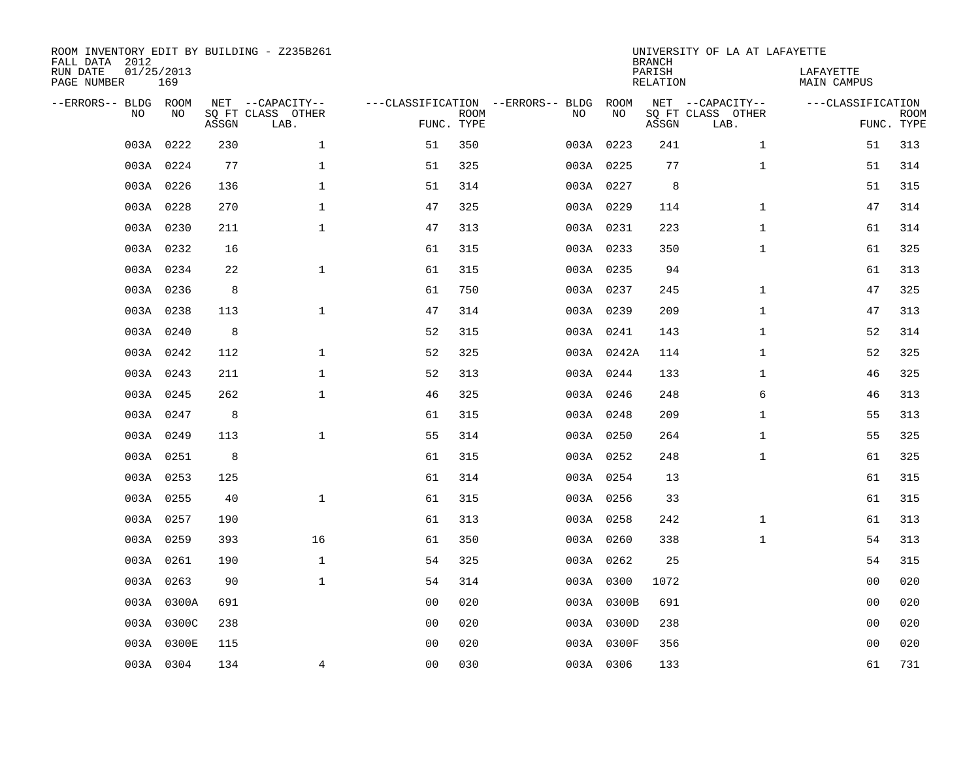| ROOM INVENTORY EDIT BY BUILDING - Z235B261<br>FALL DATA 2012 |                   |       |                           |                |                           |                                        |            | <b>BRANCH</b>      | UNIVERSITY OF LA AT LAFAYETTE |                          |                           |
|--------------------------------------------------------------|-------------------|-------|---------------------------|----------------|---------------------------|----------------------------------------|------------|--------------------|-------------------------------|--------------------------|---------------------------|
| RUN DATE<br>PAGE NUMBER                                      | 01/25/2013<br>169 |       |                           |                |                           |                                        |            | PARISH<br>RELATION |                               | LAFAYETTE<br>MAIN CAMPUS |                           |
| --ERRORS-- BLDG ROOM                                         |                   |       | NET --CAPACITY--          |                |                           | ---CLASSIFICATION --ERRORS-- BLDG ROOM |            |                    | NET --CAPACITY--              | ---CLASSIFICATION        |                           |
| NO                                                           | NO                | ASSGN | SQ FT CLASS OTHER<br>LAB. |                | <b>ROOM</b><br>FUNC. TYPE | NO                                     | NO         | ASSGN              | SQ FT CLASS OTHER<br>LAB.     |                          | <b>ROOM</b><br>FUNC. TYPE |
| 003A                                                         | 0222              | 230   | $\mathbf{1}$              | 51             | 350                       |                                        | 003A 0223  | 241                | $\mathbf{1}$                  | 51                       | 313                       |
|                                                              | 003A 0224         | 77    | $\mathbf 1$               | 51             | 325                       |                                        | 003A 0225  | 77                 | $\mathbf{1}$                  | 51                       | 314                       |
|                                                              | 003A 0226         | 136   | $\mathbf 1$               | 51             | 314                       |                                        | 003A 0227  | 8                  |                               | 51                       | 315                       |
|                                                              | 003A 0228         | 270   | $\mathbf{1}$              | 47             | 325                       |                                        | 003A 0229  | 114                | $\mathbf{1}$                  | 47                       | 314                       |
|                                                              | 003A 0230         | 211   | $\mathbf{1}$              | 47             | 313                       |                                        | 003A 0231  | 223                | $\mathbf{1}$                  | 61                       | 314                       |
|                                                              | 003A 0232         | 16    |                           | 61             | 315                       |                                        | 003A 0233  | 350                | $\mathbf{1}$                  | 61                       | 325                       |
|                                                              | 003A 0234         | 22    | $\mathbf{1}$              | 61             | 315                       |                                        | 003A 0235  | 94                 |                               | 61                       | 313                       |
|                                                              | 003A 0236         | 8     |                           | 61             | 750                       |                                        | 003A 0237  | 245                | $\mathbf{1}$                  | 47                       | 325                       |
|                                                              | 003A 0238         | 113   | $\mathbf{1}$              | 47             | 314                       |                                        | 003A 0239  | 209                | $\mathbf{1}$                  | 47                       | 313                       |
|                                                              | 003A 0240         | 8     |                           | 52             | 315                       |                                        | 003A 0241  | 143                | $\mathbf{1}$                  | 52                       | 314                       |
|                                                              | 003A 0242         | 112   | $\mathbf{1}$              | 52             | 325                       |                                        | 003A 0242A | 114                | $\mathbf{1}$                  | 52                       | 325                       |
|                                                              | 003A 0243         | 211   | $\mathbf 1$               | 52             | 313                       |                                        | 003A 0244  | 133                | $\mathbf{1}$                  | 46                       | 325                       |
|                                                              | 003A 0245         | 262   | $\mathbf{1}$              | 46             | 325                       |                                        | 003A 0246  | 248                | 6                             | 46                       | 313                       |
|                                                              | 003A 0247         | 8     |                           | 61             | 315                       |                                        | 003A 0248  | 209                | $\mathbf{1}$                  | 55                       | 313                       |
|                                                              | 003A 0249         | 113   | $\mathbf 1$               | 55             | 314                       |                                        | 003A 0250  | 264                | $\mathbf{1}$                  | 55                       | 325                       |
|                                                              | 003A 0251         | 8     |                           | 61             | 315                       |                                        | 003A 0252  | 248                | $\mathbf{1}$                  | 61                       | 325                       |
|                                                              | 003A 0253         | 125   |                           | 61             | 314                       |                                        | 003A 0254  | 13                 |                               | 61                       | 315                       |
|                                                              | 003A 0255         | 40    | $\mathbf{1}$              | 61             | 315                       |                                        | 003A 0256  | 33                 |                               | 61                       | 315                       |
|                                                              | 003A 0257         | 190   |                           | 61             | 313                       |                                        | 003A 0258  | 242                | $\mathbf{1}$                  | 61                       | 313                       |
|                                                              | 003A 0259         | 393   | 16                        | 61             | 350                       |                                        | 003A 0260  | 338                | $\mathbf{1}$                  | 54                       | 313                       |
|                                                              | 003A 0261         | 190   | $\mathbf{1}$              | 54             | 325                       |                                        | 003A 0262  | 25                 |                               | 54                       | 315                       |
|                                                              | 003A 0263         | 90    | $\mathbf{1}$              | 54             | 314                       |                                        | 003A 0300  | 1072               |                               | 0 <sub>0</sub>           | 020                       |
|                                                              | 003A 0300A        | 691   |                           | 0 <sub>0</sub> | 020                       |                                        | 003A 0300B | 691                |                               | 0 <sub>0</sub>           | 020                       |
|                                                              | 003A 0300C        | 238   |                           | 0 <sub>0</sub> | 020                       |                                        | 003A 0300D | 238                |                               | 0 <sub>0</sub>           | 020                       |
|                                                              | 003A 0300E        | 115   |                           | 0 <sub>0</sub> | 020                       |                                        | 003A 0300F | 356                |                               | 0 <sub>0</sub>           | 020                       |
|                                                              | 003A 0304         | 134   | 4                         | 00             | 030                       |                                        | 003A 0306  | 133                |                               | 61                       | 731                       |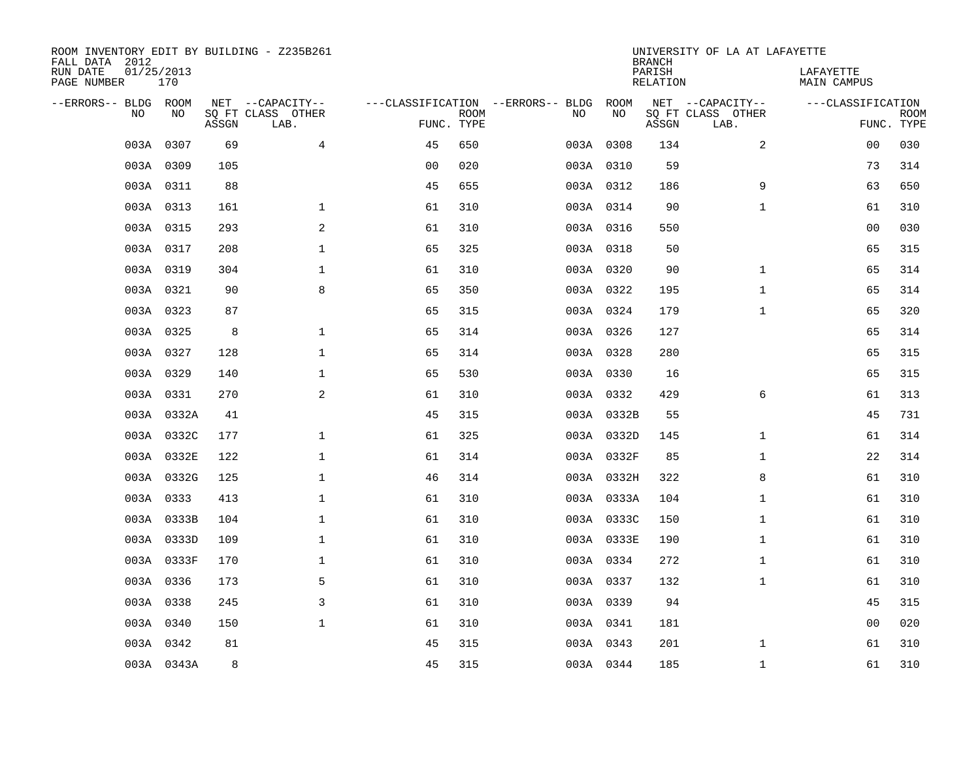| ROOM INVENTORY EDIT BY BUILDING - Z235B261<br>FALL DATA 2012 |                   |       |                           |                |             |                                   |            | <b>BRANCH</b>             | UNIVERSITY OF LA AT LAFAYETTE |                          |                           |
|--------------------------------------------------------------|-------------------|-------|---------------------------|----------------|-------------|-----------------------------------|------------|---------------------------|-------------------------------|--------------------------|---------------------------|
| RUN DATE<br>PAGE NUMBER                                      | 01/25/2013<br>170 |       |                           |                |             |                                   |            | PARISH<br><b>RELATION</b> |                               | LAFAYETTE<br>MAIN CAMPUS |                           |
| --ERRORS-- BLDG ROOM                                         |                   |       | NET --CAPACITY--          |                |             | ---CLASSIFICATION --ERRORS-- BLDG | ROOM       |                           | NET --CAPACITY--              | ---CLASSIFICATION        |                           |
| NO                                                           | NO                | ASSGN | SQ FT CLASS OTHER<br>LAB. | FUNC. TYPE     | <b>ROOM</b> | NO                                | NO         | ASSGN                     | SQ FT CLASS OTHER<br>LAB.     |                          | <b>ROOM</b><br>FUNC. TYPE |
| 003A                                                         | 0307              | 69    | $\overline{4}$            | 45             | 650         |                                   | 003A 0308  | 134                       | 2                             | 0 <sub>0</sub>           | 030                       |
|                                                              | 003A 0309         | 105   |                           | 0 <sub>0</sub> | 020         |                                   | 003A 0310  | 59                        |                               | 73                       | 314                       |
|                                                              | 003A 0311         | 88    |                           | 45             | 655         |                                   | 003A 0312  | 186                       | 9                             | 63                       | 650                       |
|                                                              | 003A 0313         | 161   | $\mathbf 1$               | 61             | 310         |                                   | 003A 0314  | 90                        | $\mathbf{1}$                  | 61                       | 310                       |
|                                                              | 003A 0315         | 293   | 2                         | 61             | 310         |                                   | 003A 0316  | 550                       |                               | 0 <sub>0</sub>           | 030                       |
|                                                              | 003A 0317         | 208   | $\mathbf 1$               | 65             | 325         |                                   | 003A 0318  | 50                        |                               | 65                       | 315                       |
|                                                              | 003A 0319         | 304   | $\mathbf{1}$              | 61             | 310         |                                   | 003A 0320  | 90                        | $\mathbf{1}$                  | 65                       | 314                       |
|                                                              | 003A 0321         | 90    | 8                         | 65             | 350         |                                   | 003A 0322  | 195                       | $\mathbf{1}$                  | 65                       | 314                       |
|                                                              | 003A 0323         | 87    |                           | 65             | 315         |                                   | 003A 0324  | 179                       | $\mathbf{1}$                  | 65                       | 320                       |
|                                                              | 003A 0325         | 8     | $\mathbf 1$               | 65             | 314         |                                   | 003A 0326  | 127                       |                               | 65                       | 314                       |
|                                                              | 003A 0327         | 128   | $\mathbf 1$               | 65             | 314         |                                   | 003A 0328  | 280                       |                               | 65                       | 315                       |
|                                                              | 003A 0329         | 140   | $\mathbf 1$               | 65             | 530         |                                   | 003A 0330  | 16                        |                               | 65                       | 315                       |
|                                                              | 003A 0331         | 270   | 2                         | 61             | 310         |                                   | 003A 0332  | 429                       | 6                             | 61                       | 313                       |
|                                                              | 003A 0332A        | 41    |                           | 45             | 315         |                                   | 003A 0332B | 55                        |                               | 45                       | 731                       |
|                                                              | 003A 0332C        | 177   | $\mathbf 1$               | 61             | 325         |                                   | 003A 0332D | 145                       | $\mathbf{1}$                  | 61                       | 314                       |
|                                                              | 003A 0332E        | 122   | $\mathbf{1}$              | 61             | 314         |                                   | 003A 0332F | 85                        | $\mathbf{1}$                  | 22                       | 314                       |
|                                                              | 003A 0332G        | 125   | $\mathbf{1}$              | 46             | 314         |                                   | 003A 0332H | 322                       | 8                             | 61                       | 310                       |
|                                                              | 003A 0333         | 413   | $\mathbf 1$               | 61             | 310         |                                   | 003A 0333A | 104                       | $\mathbf{1}$                  | 61                       | 310                       |
|                                                              | 003A 0333B        | 104   | 1                         | 61             | 310         |                                   | 003A 0333C | 150                       | $\mathbf{1}$                  | 61                       | 310                       |
|                                                              | 003A 0333D        | 109   | $\mathbf 1$               | 61             | 310         |                                   | 003A 0333E | 190                       | $\mathbf{1}$                  | 61                       | 310                       |
|                                                              | 003A 0333F        | 170   | $\mathbf 1$               | 61             | 310         |                                   | 003A 0334  | 272                       | $\mathbf{1}$                  | 61                       | 310                       |
|                                                              | 003A 0336         | 173   | 5                         | 61             | 310         |                                   | 003A 0337  | 132                       | $\mathbf{1}$                  | 61                       | 310                       |
|                                                              | 003A 0338         | 245   | 3                         | 61             | 310         |                                   | 003A 0339  | 94                        |                               | 45                       | 315                       |
|                                                              | 003A 0340         | 150   | $\mathbf{1}$              | 61             | 310         |                                   | 003A 0341  | 181                       |                               | 0 <sub>0</sub>           | 020                       |
|                                                              | 003A 0342         | 81    |                           | 45             | 315         |                                   | 003A 0343  | 201                       | $\mathbf{1}$                  | 61                       | 310                       |
|                                                              | 003A 0343A        | 8     |                           | 45             | 315         |                                   | 003A 0344  | 185                       | $\mathbf{1}$                  | 61                       | 310                       |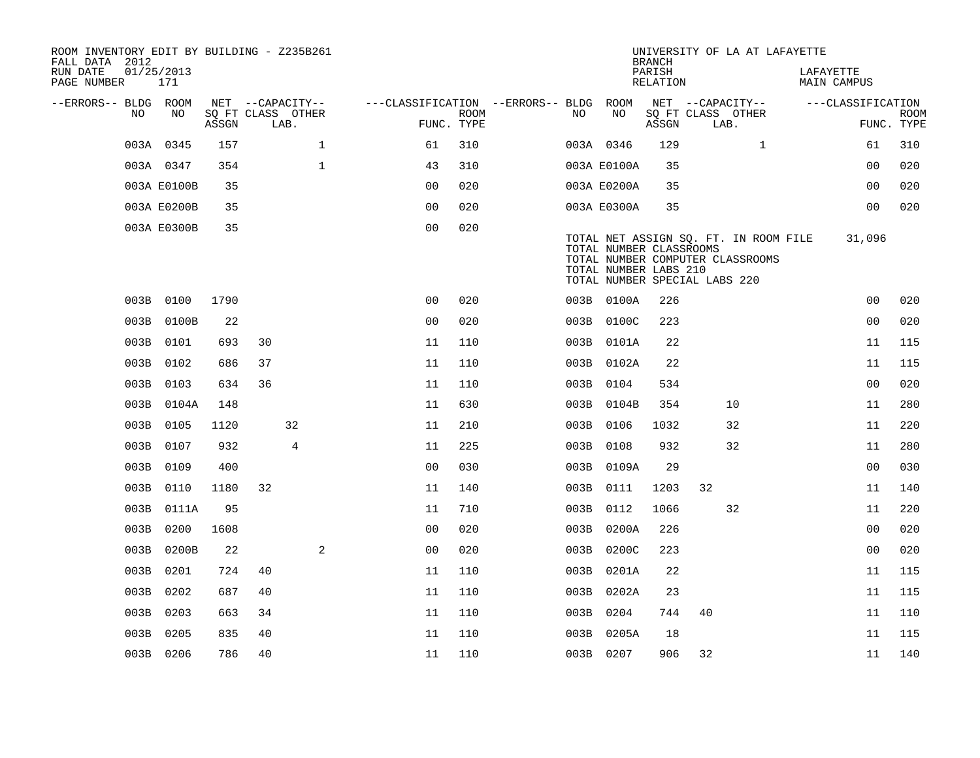| ROOM INVENTORY EDIT BY BUILDING - Z235B261<br>FALL DATA 2012 |                   |       |      |                   |                |                           |                                        |     |                                                                                   | <b>BRANCH</b>      |      |                                                                           | UNIVERSITY OF LA AT LAFAYETTE |                                 |                           |
|--------------------------------------------------------------|-------------------|-------|------|-------------------|----------------|---------------------------|----------------------------------------|-----|-----------------------------------------------------------------------------------|--------------------|------|---------------------------------------------------------------------------|-------------------------------|---------------------------------|---------------------------|
| RUN DATE<br>PAGE NUMBER                                      | 01/25/2013<br>171 |       |      |                   |                |                           |                                        |     |                                                                                   | PARISH<br>RELATION |      |                                                                           |                               | LAFAYETTE<br><b>MAIN CAMPUS</b> |                           |
| --ERRORS-- BLDG ROOM                                         |                   |       |      | NET --CAPACITY--  |                |                           | ---CLASSIFICATION --ERRORS-- BLDG ROOM |     |                                                                                   |                    |      | NET --CAPACITY--                                                          |                               | ---CLASSIFICATION               |                           |
| NO.                                                          | NO.               | ASSGN | LAB. | SQ FT CLASS OTHER |                | <b>ROOM</b><br>FUNC. TYPE |                                        | NO. | NO                                                                                | ASSGN              | LAB. | SQ FT CLASS OTHER                                                         |                               |                                 | <b>ROOM</b><br>FUNC. TYPE |
|                                                              | 003A 0345         | 157   |      | $\mathbf{1}$      | 61             | 310                       |                                        |     | 003A 0346                                                                         | 129                |      | $\mathbf{1}$                                                              |                               | 61                              | 310                       |
|                                                              | 003A 0347         | 354   |      | $\mathbf{1}$      | 43             | 310                       |                                        |     | 003A E0100A                                                                       | 35                 |      |                                                                           |                               | 0 <sub>0</sub>                  | 020                       |
|                                                              | 003A E0100B       | 35    |      |                   | 0 <sub>0</sub> | 020                       |                                        |     | 003A E0200A                                                                       | 35                 |      |                                                                           |                               | 0 <sub>0</sub>                  | 020                       |
|                                                              | 003A E0200B       | 35    |      |                   | 00             | 020                       |                                        |     | 003A E0300A                                                                       | 35                 |      |                                                                           |                               | 0 <sub>0</sub>                  | 020                       |
|                                                              | 003A E0300B       | 35    |      |                   | 0 <sub>0</sub> | 020                       |                                        |     | TOTAL NUMBER CLASSROOMS<br>TOTAL NUMBER LABS 210<br>TOTAL NUMBER SPECIAL LABS 220 |                    |      | TOTAL NET ASSIGN SQ. FT. IN ROOM FILE<br>TOTAL NUMBER COMPUTER CLASSROOMS |                               | 31,096                          |                           |
|                                                              | 003B 0100         | 1790  |      |                   | 0 <sup>0</sup> | 020                       |                                        |     | 003B 0100A                                                                        | 226                |      |                                                                           |                               | 0 <sub>0</sub>                  | 020                       |
|                                                              | 003B 0100B        | 22    |      |                   | 0 <sub>0</sub> | 020                       |                                        |     | 003B 0100C                                                                        | 223                |      |                                                                           |                               | 00                              | 020                       |
|                                                              | 003B 0101         | 693   | 30   |                   | 11             | 110                       |                                        |     | 003B 0101A                                                                        | 22                 |      |                                                                           |                               | 11                              | 115                       |
|                                                              | 003B 0102         | 686   | 37   |                   | 11             | 110                       |                                        |     | 003B 0102A                                                                        | 22                 |      |                                                                           |                               | 11                              | 115                       |
|                                                              | 003B 0103         | 634   | 36   |                   | 11             | 110                       |                                        |     | 003B 0104                                                                         | 534                |      |                                                                           |                               | 0 <sub>0</sub>                  | 020                       |
|                                                              | 003B 0104A        | 148   |      |                   | 11             | 630                       |                                        |     | 003B 0104B                                                                        | 354                |      | 10                                                                        |                               | 11                              | 280                       |
|                                                              | 003B 0105         | 1120  |      | 32                | 11             | 210                       |                                        |     | 003B 0106                                                                         | 1032               |      | 32                                                                        |                               | 11                              | 220                       |
|                                                              | 003B 0107         | 932   |      | $\overline{4}$    | 11             | 225                       |                                        |     | 003B 0108                                                                         | 932                |      | 32                                                                        |                               | 11                              | 280                       |
|                                                              | 003B 0109         | 400   |      |                   | 0 <sub>0</sub> | 030                       |                                        |     | 003B 0109A                                                                        | 29                 |      |                                                                           |                               | 0 <sub>0</sub>                  | 030                       |
|                                                              | 003B 0110         | 1180  | 32   |                   | 11             | 140                       |                                        |     | 003B 0111                                                                         | 1203               | 32   |                                                                           |                               | 11                              | 140                       |
|                                                              | 003B 0111A        | 95    |      |                   | 11             | 710                       |                                        |     | 003B 0112                                                                         | 1066               |      | 32                                                                        |                               | 11                              | 220                       |
| 003B                                                         | 0200              | 1608  |      |                   | 0 <sub>0</sub> | 020                       |                                        |     | 003B 0200A                                                                        | 226                |      |                                                                           |                               | 0 <sub>0</sub>                  | 020                       |
| 003B                                                         | 0200B             | 22    |      | 2                 | 0 <sub>0</sub> | 020                       |                                        |     | 003B 0200C                                                                        | 223                |      |                                                                           |                               | 0 <sub>0</sub>                  | 020                       |
| 003B                                                         | 0201              | 724   | 40   |                   | 11             | 110                       |                                        |     | 003B 0201A                                                                        | 22                 |      |                                                                           |                               | 11                              | 115                       |
| 003B                                                         | 0202              | 687   | 40   |                   | 11             | 110                       |                                        |     | 003B 0202A                                                                        | 23                 |      |                                                                           |                               | 11                              | 115                       |
| 003B                                                         | 0203              | 663   | 34   |                   | 11             | 110                       |                                        |     | 003B 0204                                                                         | 744                | 40   |                                                                           |                               | 11                              | 110                       |
| 003B                                                         | 0205              | 835   | 40   |                   | 11             | 110                       |                                        |     | 003B 0205A                                                                        | 18                 |      |                                                                           |                               | 11                              | 115                       |
|                                                              | 003B 0206         | 786   | 40   |                   | 11             | 110                       |                                        |     | 003B 0207                                                                         | 906                | 32   |                                                                           |                               | 11                              | 140                       |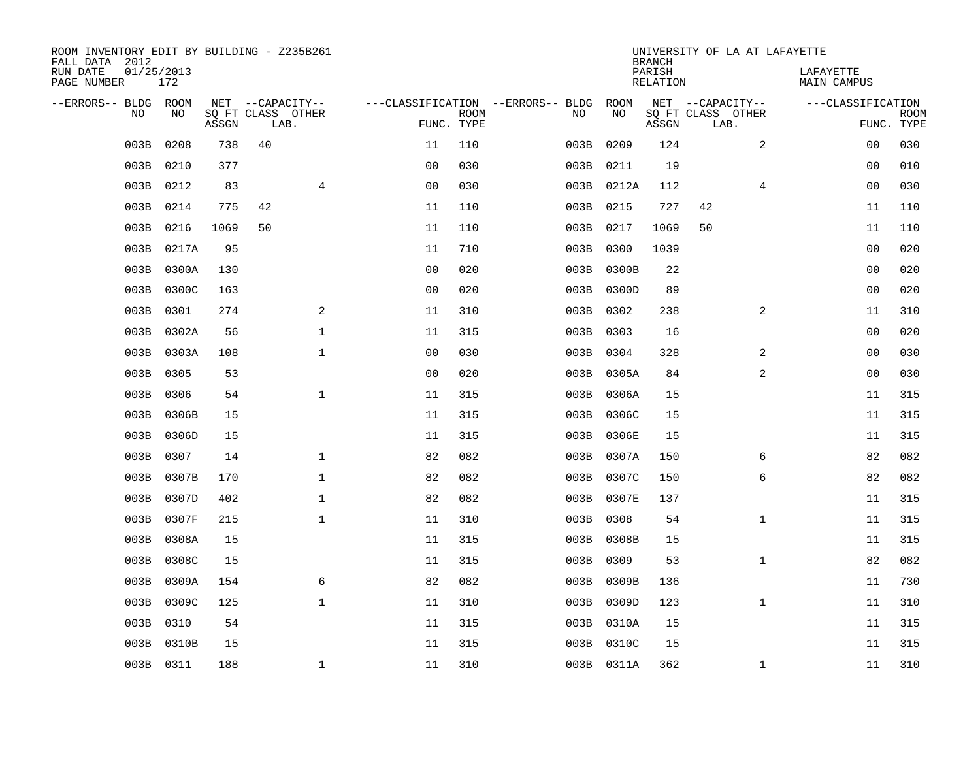| ROOM INVENTORY EDIT BY BUILDING - Z235B261<br>FALL DATA 2012 |                   |       |                           |                |             |                                        |            | <b>BRANCH</b>      | UNIVERSITY OF LA AT LAFAYETTE |                          |                           |
|--------------------------------------------------------------|-------------------|-------|---------------------------|----------------|-------------|----------------------------------------|------------|--------------------|-------------------------------|--------------------------|---------------------------|
| RUN DATE<br>PAGE NUMBER                                      | 01/25/2013<br>172 |       |                           |                |             |                                        |            | PARISH<br>RELATION |                               | LAFAYETTE<br>MAIN CAMPUS |                           |
| --ERRORS-- BLDG ROOM                                         |                   |       | NET --CAPACITY--          |                |             | ---CLASSIFICATION --ERRORS-- BLDG ROOM |            |                    | NET --CAPACITY--              | ---CLASSIFICATION        |                           |
| <b>NO</b>                                                    | NO.               | ASSGN | SQ FT CLASS OTHER<br>LAB. | FUNC. TYPE     | <b>ROOM</b> | NO.                                    | NO         | ASSGN              | SQ FT CLASS OTHER<br>LAB.     |                          | <b>ROOM</b><br>FUNC. TYPE |
| 003B                                                         | 0208              | 738   | 40                        | 11             | 110         | 003B                                   | 0209       | 124                | 2                             | 0 <sub>0</sub>           | 030                       |
| 003B                                                         | 0210              | 377   |                           | 0 <sub>0</sub> | 030         | 003B                                   | 0211       | 19                 |                               | 00                       | 010                       |
| 003B                                                         | 0212              | 83    | $\overline{4}$            | 0 <sub>0</sub> | 030         |                                        | 003B 0212A | 112                | 4                             | 00                       | 030                       |
| 003B                                                         | 0214              | 775   | 42                        | 11             | 110         |                                        | 003B 0215  | 727                | 42                            | 11                       | 110                       |
| 003B                                                         | 0216              | 1069  | 50                        | 11             | 110         |                                        | 003B 0217  | 1069               | 50                            | 11                       | 110                       |
| 003B                                                         | 0217A             | 95    |                           | 11             | 710         |                                        | 003B 0300  | 1039               |                               | 00                       | 020                       |
| 003B                                                         | 0300A             | 130   |                           | 0 <sub>0</sub> | 020         | 003B                                   | 0300B      | 22                 |                               | 00                       | 020                       |
| 003B                                                         | 0300C             | 163   |                           | 0 <sub>0</sub> | 020         |                                        | 003B 0300D | 89                 |                               | 0 <sub>0</sub>           | 020                       |
| 003B                                                         | 0301              | 274   | 2                         | 11             | 310         | 003B                                   | 0302       | 238                | 2                             | 11                       | 310                       |
| 003B                                                         | 0302A             | 56    | $\mathbf{1}$              | 11             | 315         |                                        | 003B 0303  | 16                 |                               | 0 <sub>0</sub>           | 020                       |
| 003B                                                         | 0303A             | 108   | $\mathbf{1}$              | 0 <sub>0</sub> | 030         | 003B                                   | 0304       | 328                | 2                             | 00                       | 030                       |
| 003B                                                         | 0305              | 53    |                           | 0 <sub>0</sub> | 020         |                                        | 003B 0305A | 84                 | 2                             | 00                       | 030                       |
| 003B                                                         | 0306              | 54    | $\mathbf{1}$              | 11             | 315         |                                        | 003B 0306A | 15                 |                               | 11                       | 315                       |
| 003B                                                         | 0306B             | 15    |                           | 11             | 315         |                                        | 003B 0306C | 15                 |                               | 11                       | 315                       |
| 003B                                                         | 0306D             | 15    |                           | 11             | 315         | 003B                                   | 0306E      | 15                 |                               | 11                       | 315                       |
| 003B                                                         | 0307              | 14    | $\mathbf 1$               | 82             | 082         |                                        | 003B 0307A | 150                | 6                             | 82                       | 082                       |
| 003B                                                         | 0307B             | 170   | $\mathbf{1}$              | 82             | 082         | 003B                                   | 0307C      | 150                | 6                             | 82                       | 082                       |
| 003B                                                         | 0307D             | 402   | $\mathbf{1}$              | 82             | 082         |                                        | 003B 0307E | 137                |                               | 11                       | 315                       |
| 003B                                                         | 0307F             | 215   | $\mathbf 1$               | 11             | 310         |                                        | 003B 0308  | 54                 | $\mathbf{1}$                  | 11                       | 315                       |
| 003B                                                         | 0308A             | 15    |                           | 11             | 315         |                                        | 003B 0308B | 15                 |                               | 11                       | 315                       |
| 003B                                                         | 0308C             | 15    |                           | 11             | 315         |                                        | 003B 0309  | 53                 | $\mathbf{1}$                  | 82                       | 082                       |
| 003B                                                         | 0309A             | 154   | 6                         | 82             | 082         | 003B                                   | 0309B      | 136                |                               | 11                       | 730                       |
| 003B                                                         | 0309C             | 125   | $\mathbf 1$               | 11             | 310         |                                        | 003B 0309D | 123                | $\mathbf{1}$                  | 11                       | 310                       |
| 003B                                                         | 0310              | 54    |                           | 11             | 315         |                                        | 003B 0310A | 15                 |                               | 11                       | 315                       |
| 003B                                                         | 0310B             | 15    |                           | 11             | 315         |                                        | 003B 0310C | 15                 |                               | 11                       | 315                       |
|                                                              | 003B 0311         | 188   | $\mathbf{1}$              | 11             | 310         |                                        | 003B 0311A | 362                | $\mathbf{1}$                  | 11                       | 310                       |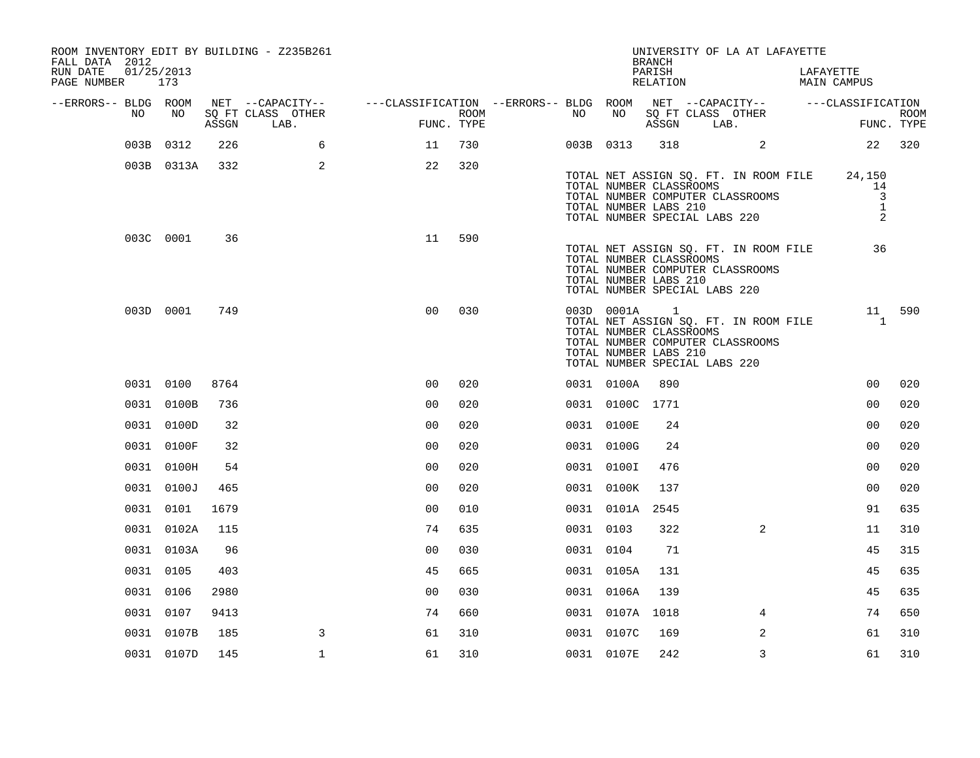| FALL DATA 2012<br>RUN DATE<br>PAGE NUMBER 173 |    | 01/25/2013 |       | ROOM INVENTORY EDIT BY BUILDING - Z235B261 |                                                                                                                |      |           |                 | <b>BRANCH</b><br>PARISH<br>RELATION                                          | UNIVERSITY OF LA AT LAFAYETTE                                                                                                                | LAFAYETTE<br>MAIN CAMPUS                  |                           |
|-----------------------------------------------|----|------------|-------|--------------------------------------------|----------------------------------------------------------------------------------------------------------------|------|-----------|-----------------|------------------------------------------------------------------------------|----------------------------------------------------------------------------------------------------------------------------------------------|-------------------------------------------|---------------------------|
| --ERRORS-- BLDG ROOM                          | NO | NO         | ASSGN | SQ FT CLASS OTHER<br>LAB.                  | NET --CAPACITY--    ---CLASSIFICATION --ERRORS-- BLDG ROOM NET --CAPACITY--    ---CLASSIFICATION<br>FUNC. TYPE | ROOM | NO        | NO              | ASSGN                                                                        | SQ FT CLASS OTHER<br>LAB.                                                                                                                    |                                           | <b>ROOM</b><br>FUNC. TYPE |
|                                               |    | 003B 0312  | 226   | 6                                          | 11                                                                                                             | 730  |           | 003B 0313       |                                                                              | 318 2                                                                                                                                        |                                           | 22 320                    |
|                                               |    | 003B 0313A | 332   | 2                                          | 22                                                                                                             | 320  |           |                 | TOTAL NUMBER LABS 210                                                        | TOTAL NET ASSIGN SQ. FT. IN ROOM FILE 24,150<br>TOTAL NUMBER CLASSROOMS<br>TOTAL NUMBER COMPUTER CLASSROOMS<br>TOTAL NUMBER SPECIAL LABS 220 | 14<br>$\overline{3}$<br>$\mathbf{1}$<br>2 |                           |
|                                               |    | 003C 0001  | 36    |                                            | 11                                                                                                             | 590  |           |                 | TOTAL NUMBER CLASSROOMS<br>TOTAL NUMBER LABS 210                             | TOTAL NET ASSIGN SQ. FT. IN ROOM FILE<br>TOTAL NUMBER COMPUTER CLASSROOMS<br>TOTAL NUMBER SPECIAL LABS 220                                   | 36                                        |                           |
|                                               |    | 003D 0001  | 749   |                                            | 0 <sub>0</sub>                                                                                                 | 030  |           | 003D 0001A      | $\overline{\phantom{a}}$<br>TOTAL NUMBER CLASSROOMS<br>TOTAL NUMBER LABS 210 | TOTAL NET ASSIGN SQ. FT. IN ROOM FILE<br>TOTAL NUMBER COMPUTER CLASSROOMS<br>TOTAL NUMBER SPECIAL LABS 220                                   | $\overline{1}$                            | 11 590                    |
|                                               |    | 0031 0100  | 8764  |                                            | 0 <sub>0</sub>                                                                                                 | 020  |           | 0031 0100A      | 890                                                                          |                                                                                                                                              | 0 <sub>0</sub>                            | 020                       |
|                                               |    | 0031 0100B | 736   |                                            | 0 <sub>0</sub>                                                                                                 | 020  |           | 0031 0100C 1771 |                                                                              |                                                                                                                                              | 0 <sub>0</sub>                            | 020                       |
|                                               |    | 0031 0100D | 32    |                                            | 0 <sub>0</sub>                                                                                                 | 020  |           | 0031 0100E      | 24                                                                           |                                                                                                                                              | 0 <sub>0</sub>                            | 020                       |
|                                               |    | 0031 0100F | 32    |                                            | 0 <sub>0</sub>                                                                                                 | 020  |           | 0031 0100G      | 24                                                                           |                                                                                                                                              | 0 <sub>0</sub>                            | 020                       |
|                                               |    | 0031 0100H | 54    |                                            | 0 <sub>0</sub>                                                                                                 | 020  |           | 0031 0100I      | 476                                                                          |                                                                                                                                              | 0 <sub>0</sub>                            | 020                       |
|                                               |    | 0031 0100J | 465   |                                            | 00                                                                                                             | 020  |           | 0031 0100K      | 137                                                                          |                                                                                                                                              | 0 <sub>0</sub>                            | 020                       |
|                                               |    | 0031 0101  | 1679  |                                            | 0 <sub>0</sub>                                                                                                 | 010  |           | 0031 0101A      | 2545                                                                         |                                                                                                                                              | 91                                        | 635                       |
|                                               |    | 0031 0102A | 115   |                                            | 74                                                                                                             | 635  | 0031 0103 |                 | 322                                                                          | $\overline{2}$                                                                                                                               | 11                                        | 310                       |
|                                               |    | 0031 0103A | 96    |                                            | 0 <sub>0</sub>                                                                                                 | 030  | 0031 0104 |                 | 71                                                                           |                                                                                                                                              | 45                                        | 315                       |
|                                               |    | 0031 0105  | 403   |                                            | 45                                                                                                             | 665  |           | 0031 0105A      | 131                                                                          |                                                                                                                                              | 45                                        | 635                       |
|                                               |    | 0031 0106  | 2980  |                                            | 0 <sub>0</sub>                                                                                                 | 030  |           | 0031 0106A      | 139                                                                          |                                                                                                                                              | 45                                        | 635                       |
|                                               |    | 0031 0107  | 9413  |                                            | 74                                                                                                             | 660  |           | 0031 0107A 1018 |                                                                              | $\overline{4}$                                                                                                                               | 74                                        | 650                       |
|                                               |    | 0031 0107B | 185   | 3                                          | 61                                                                                                             | 310  |           | 0031 0107C      | 169                                                                          | 2                                                                                                                                            | 61                                        | 310                       |
|                                               |    | 0031 0107D | 145   | $\mathbf{1}$                               | 61                                                                                                             | 310  |           | 0031 0107E      | 242                                                                          | 3                                                                                                                                            | 61                                        | 310                       |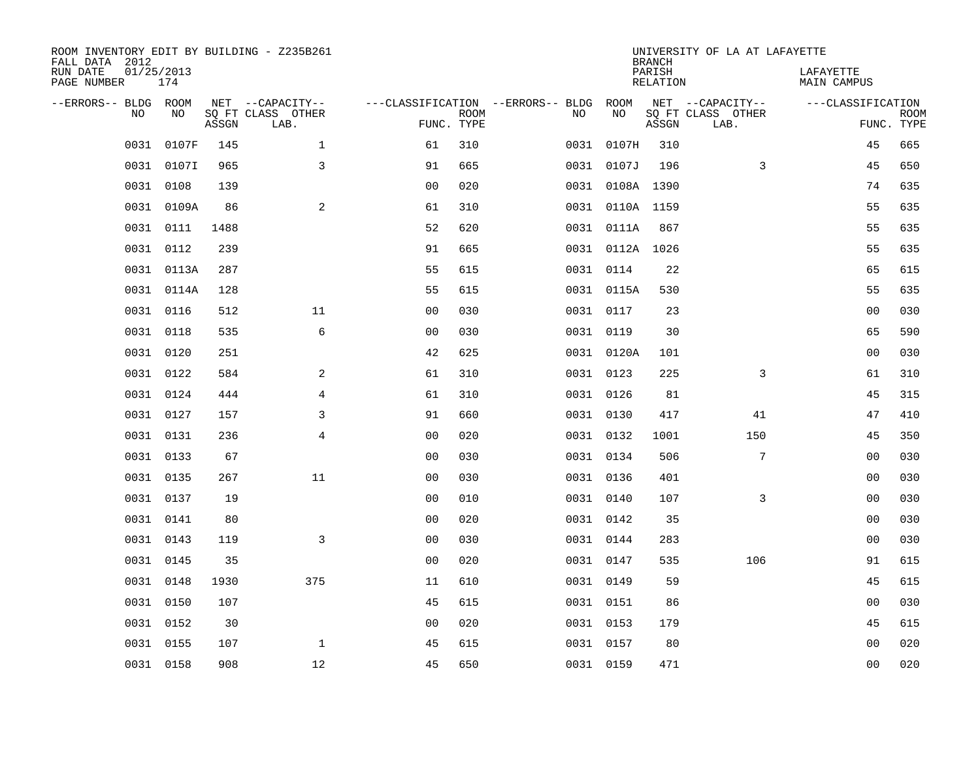| ROOM INVENTORY EDIT BY BUILDING - Z235B261<br>FALL DATA 2012 |                   |       |                                       |                                   |             |           |                 | <b>BRANCH</b>      | UNIVERSITY OF LA AT LAFAYETTE         |                          |             |
|--------------------------------------------------------------|-------------------|-------|---------------------------------------|-----------------------------------|-------------|-----------|-----------------|--------------------|---------------------------------------|--------------------------|-------------|
| RUN DATE<br>PAGE NUMBER                                      | 01/25/2013<br>174 |       |                                       |                                   |             |           |                 | PARISH<br>RELATION |                                       | LAFAYETTE<br>MAIN CAMPUS |             |
| --ERRORS-- BLDG ROOM<br>N <sub>O</sub>                       | NO.               |       | NET --CAPACITY--<br>SQ FT CLASS OTHER | ---CLASSIFICATION --ERRORS-- BLDG | <b>ROOM</b> | NO        | ROOM<br>NO      |                    | NET --CAPACITY--<br>SQ FT CLASS OTHER | ---CLASSIFICATION        | <b>ROOM</b> |
|                                                              |                   | ASSGN | LAB.                                  | FUNC. TYPE                        |             |           |                 | ASSGN              | LAB.                                  | FUNC. TYPE               |             |
| 0031                                                         | 0107F             | 145   | $\mathbf{1}$                          | 61                                | 310         | 0031      | 0107H           | 310                |                                       | 45                       | 665         |
| 0031                                                         | 0107I             | 965   | 3                                     | 91                                | 665         |           | 0031 0107J      | 196                | 3                                     | 45                       | 650         |
| 0031                                                         | 0108              | 139   |                                       | 0 <sub>0</sub>                    | 020         |           | 0031 0108A 1390 |                    |                                       | 74                       | 635         |
|                                                              | 0031 0109A        | 86    | 2                                     | 61                                | 310         |           | 0031 0110A 1159 |                    |                                       | 55                       | 635         |
| 0031                                                         | 0111              | 1488  |                                       | 52                                | 620         |           | 0031 0111A      | 867                |                                       | 55                       | 635         |
|                                                              | 0031 0112         | 239   |                                       | 91                                | 665         |           | 0031 0112A 1026 |                    |                                       | 55                       | 635         |
|                                                              | 0031 0113A        | 287   |                                       | 55                                | 615         |           | 0031 0114       | 22                 |                                       | 65                       | 615         |
|                                                              | 0031 0114A        | 128   |                                       | 55                                | 615         |           | 0031 0115A      | 530                |                                       | 55                       | 635         |
|                                                              | 0031 0116         | 512   | 11                                    | 0 <sub>0</sub>                    | 030         |           | 0031 0117       | 23                 |                                       | 0 <sub>0</sub>           | 030         |
|                                                              | 0031 0118         | 535   | 6                                     | 0 <sub>0</sub>                    | 030         |           | 0031 0119       | 30                 |                                       | 65                       | 590         |
|                                                              | 0031 0120         | 251   |                                       | 42                                | 625         |           | 0031 0120A      | 101                |                                       | 0 <sub>0</sub>           | 030         |
|                                                              | 0031 0122         | 584   | 2                                     | 61                                | 310         |           | 0031 0123       | 225                | 3                                     | 61                       | 310         |
|                                                              | 0031 0124         | 444   | $\overline{4}$                        | 61                                | 310         |           | 0031 0126       | 81                 |                                       | 45                       | 315         |
|                                                              | 0031 0127         | 157   | 3                                     | 91                                | 660         |           | 0031 0130       | 417                | 41                                    | 47                       | 410         |
|                                                              | 0031 0131         | 236   | 4                                     | 0 <sub>0</sub>                    | 020         |           | 0031 0132       | 1001               | 150                                   | 45                       | 350         |
|                                                              | 0031 0133         | 67    |                                       | 0 <sub>0</sub>                    | 030         |           | 0031 0134       | 506                | 7                                     | 00                       | 030         |
|                                                              | 0031 0135         | 267   | 11                                    | 0 <sub>0</sub>                    | 030         |           | 0031 0136       | 401                |                                       | 00                       | 030         |
|                                                              | 0031 0137         | 19    |                                       | 0 <sub>0</sub>                    | 010         |           | 0031 0140       | 107                | 3                                     | 00                       | 030         |
| 0031                                                         | 0141              | 80    |                                       | 0 <sub>0</sub>                    | 020         |           | 0031 0142       | 35                 |                                       | 00                       | 030         |
|                                                              | 0031 0143         | 119   | 3                                     | 0 <sub>0</sub>                    | 030         |           | 0031 0144       | 283                |                                       | 00                       | 030         |
| 0031                                                         | 0145              | 35    |                                       | 0 <sub>0</sub>                    | 020         |           | 0031 0147       | 535                | 106                                   | 91                       | 615         |
| 0031                                                         | 0148              | 1930  | 375                                   | 11                                | 610         |           | 0031 0149       | 59                 |                                       | 45                       | 615         |
| 0031                                                         | 0150              | 107   |                                       | 45                                | 615         |           | 0031 0151       | 86                 |                                       | 00                       | 030         |
|                                                              | 0031 0152         | 30    |                                       | 0 <sub>0</sub>                    | 020         |           | 0031 0153       | 179                |                                       | 45                       | 615         |
|                                                              | 0031 0155         | 107   | $\mathbf{1}$                          | 45                                | 615         | 0031 0157 |                 | 80                 |                                       | 00                       | 020         |
|                                                              | 0031 0158         | 908   | 12                                    | 45                                | 650         |           | 0031 0159       | 471                |                                       | 0 <sub>0</sub>           | 020         |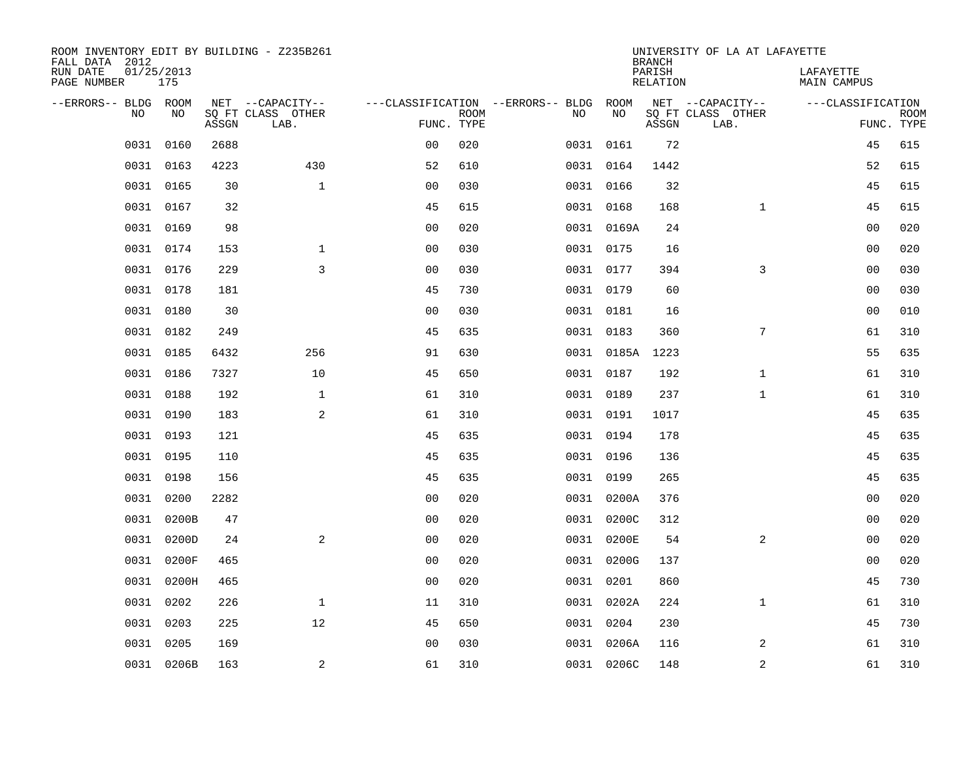| ROOM INVENTORY EDIT BY BUILDING - Z235B261<br>FALL DATA 2012 |                   |       |                           |                |             |                                   |            | <b>BRANCH</b>             | UNIVERSITY OF LA AT LAFAYETTE |                                 |                           |
|--------------------------------------------------------------|-------------------|-------|---------------------------|----------------|-------------|-----------------------------------|------------|---------------------------|-------------------------------|---------------------------------|---------------------------|
| RUN DATE<br>PAGE NUMBER                                      | 01/25/2013<br>175 |       |                           |                |             |                                   |            | PARISH<br><b>RELATION</b> |                               | LAFAYETTE<br><b>MAIN CAMPUS</b> |                           |
| --ERRORS-- BLDG ROOM                                         |                   |       | NET --CAPACITY--          |                |             | ---CLASSIFICATION --ERRORS-- BLDG | ROOM       |                           | NET --CAPACITY--              | ---CLASSIFICATION               |                           |
| NO                                                           | NO                | ASSGN | SQ FT CLASS OTHER<br>LAB. | FUNC. TYPE     | <b>ROOM</b> | NO                                | NO         | ASSGN                     | SQ FT CLASS OTHER<br>LAB.     |                                 | <b>ROOM</b><br>FUNC. TYPE |
| 0031                                                         | 0160              | 2688  |                           | 00             | 020         |                                   | 0031 0161  | 72                        |                               | 45                              | 615                       |
| 0031                                                         | 0163              | 4223  | 430                       | 52             | 610         |                                   | 0031 0164  | 1442                      |                               | 52                              | 615                       |
| 0031                                                         | 0165              | 30    | $\mathbf{1}$              | 0 <sub>0</sub> | 030         |                                   | 0031 0166  | 32                        |                               | 45                              | 615                       |
|                                                              | 0031 0167         | 32    |                           | 45             | 615         |                                   | 0031 0168  | 168                       | $\mathbf{1}$                  | 45                              | 615                       |
| 0031                                                         | 0169              | 98    |                           | 0 <sub>0</sub> | 020         |                                   | 0031 0169A | 24                        |                               | 0 <sub>0</sub>                  | 020                       |
|                                                              | 0031 0174         | 153   | $\mathbf{1}$              | 0 <sub>0</sub> | 030         |                                   | 0031 0175  | 16                        |                               | 0 <sub>0</sub>                  | 020                       |
|                                                              | 0031 0176         | 229   | $\overline{3}$            | 0 <sub>0</sub> | 030         |                                   | 0031 0177  | 394                       | 3                             | 0 <sub>0</sub>                  | 030                       |
|                                                              | 0031 0178         | 181   |                           | 45             | 730         |                                   | 0031 0179  | 60                        |                               | 0 <sub>0</sub>                  | 030                       |
| 0031                                                         | 0180              | 30    |                           | 0 <sub>0</sub> | 030         |                                   | 0031 0181  | 16                        |                               | 0 <sub>0</sub>                  | 010                       |
|                                                              | 0031 0182         | 249   |                           | 45             | 635         |                                   | 0031 0183  | 360                       | $7\phantom{.0}$               | 61                              | 310                       |
|                                                              | 0031 0185         | 6432  | 256                       | 91             | 630         |                                   | 0031 0185A | 1223                      |                               | 55                              | 635                       |
|                                                              | 0031 0186         | 7327  | 10                        | 45             | 650         |                                   | 0031 0187  | 192                       | $\mathbf{1}$                  | 61                              | 310                       |
| 0031                                                         | 0188              | 192   | $\mathbf 1$               | 61             | 310         |                                   | 0031 0189  | 237                       | $\mathbf{1}$                  | 61                              | 310                       |
| 0031                                                         | 0190              | 183   | $\mathbf{2}$              | 61             | 310         |                                   | 0031 0191  | 1017                      |                               | 45                              | 635                       |
| 0031                                                         | 0193              | 121   |                           | 45             | 635         |                                   | 0031 0194  | 178                       |                               | 45                              | 635                       |
| 0031                                                         | 0195              | 110   |                           | 45             | 635         |                                   | 0031 0196  | 136                       |                               | 45                              | 635                       |
| 0031                                                         | 0198              | 156   |                           | 45             | 635         |                                   | 0031 0199  | 265                       |                               | 45                              | 635                       |
| 0031                                                         | 0200              | 2282  |                           | 0 <sub>0</sub> | 020         |                                   | 0031 0200A | 376                       |                               | 00                              | 020                       |
| 0031                                                         | 0200B             | 47    |                           | 0 <sub>0</sub> | 020         |                                   | 0031 0200C | 312                       |                               | 00                              | 020                       |
| 0031                                                         | 0200D             | 24    | 2                         | 0 <sub>0</sub> | 020         |                                   | 0031 0200E | 54                        | $\overline{2}$                | 0 <sub>0</sub>                  | 020                       |
| 0031                                                         | 0200F             | 465   |                           | 0 <sub>0</sub> | 020         |                                   | 0031 0200G | 137                       |                               | 00                              | 020                       |
| 0031                                                         | 0200H             | 465   |                           | 0 <sub>0</sub> | 020         |                                   | 0031 0201  | 860                       |                               | 45                              | 730                       |
| 0031                                                         | 0202              | 226   | $\mathbf{1}$              | 11             | 310         |                                   | 0031 0202A | 224                       | $\mathbf{1}$                  | 61                              | 310                       |
| 0031                                                         | 0203              | 225   | 12                        | 45             | 650         |                                   | 0031 0204  | 230                       |                               | 45                              | 730                       |
| 0031                                                         | 0205              | 169   |                           | 0 <sub>0</sub> | 030         |                                   | 0031 0206A | 116                       | 2                             | 61                              | 310                       |
|                                                              | 0031 0206B        | 163   | $\overline{a}$            | 61             | 310         |                                   | 0031 0206C | 148                       | 2                             | 61                              | 310                       |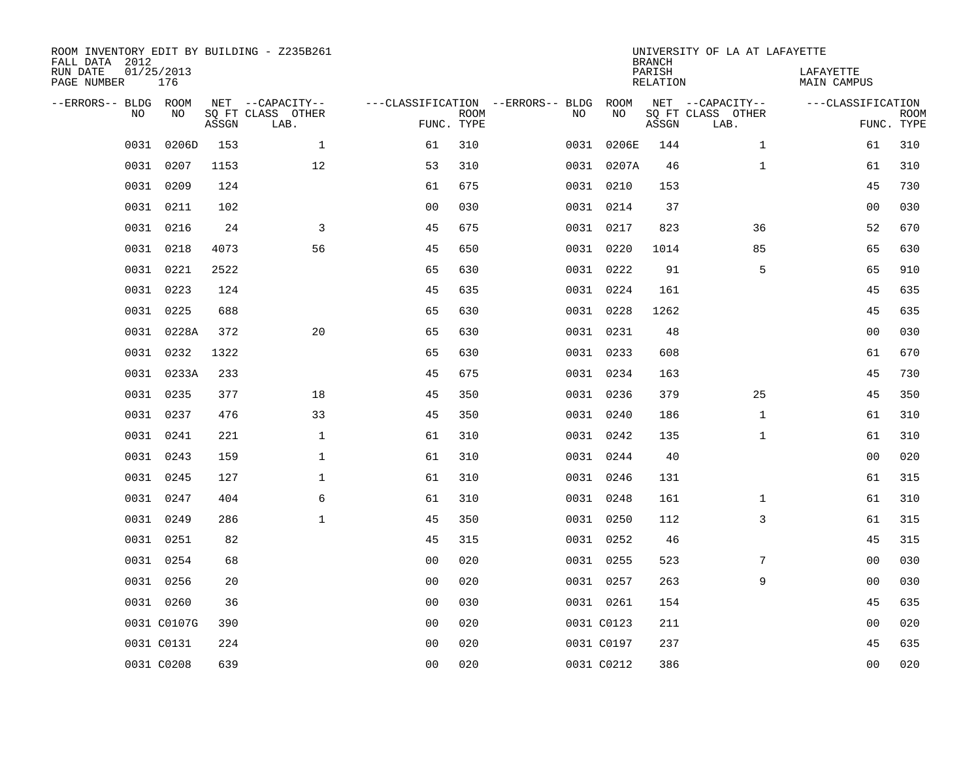| ROOM INVENTORY EDIT BY BUILDING - Z235B261<br>FALL DATA 2012<br>RUN DATE | 01/25/2013  |       |                           |                |                           |                                        |            | <b>BRANCH</b><br>PARISH | UNIVERSITY OF LA AT LAFAYETTE | LAFAYETTE         |                           |
|--------------------------------------------------------------------------|-------------|-------|---------------------------|----------------|---------------------------|----------------------------------------|------------|-------------------------|-------------------------------|-------------------|---------------------------|
| PAGE NUMBER                                                              | 176         |       |                           |                |                           |                                        |            | <b>RELATION</b>         |                               | MAIN CAMPUS       |                           |
| --ERRORS-- BLDG ROOM                                                     |             |       | NET --CAPACITY--          |                |                           | ---CLASSIFICATION --ERRORS-- BLDG ROOM |            |                         | NET --CAPACITY--              | ---CLASSIFICATION |                           |
| NO                                                                       | NO          | ASSGN | SQ FT CLASS OTHER<br>LAB. |                | <b>ROOM</b><br>FUNC. TYPE | NO                                     | NO         | ASSGN                   | SQ FT CLASS OTHER<br>LAB.     |                   | <b>ROOM</b><br>FUNC. TYPE |
| 0031                                                                     | 0206D       | 153   | $\mathbf{1}$              | 61             | 310                       |                                        | 0031 0206E | 144                     | $\mathbf{1}$                  | 61                | 310                       |
| 0031                                                                     | 0207        | 1153  | 12                        | 53             | 310                       |                                        | 0031 0207A | 46                      | $\mathbf{1}$                  | 61                | 310                       |
| 0031                                                                     | 0209        | 124   |                           | 61             | 675                       |                                        | 0031 0210  | 153                     |                               | 45                | 730                       |
|                                                                          | 0031 0211   | 102   |                           | 0 <sub>0</sub> | 030                       |                                        | 0031 0214  | 37                      |                               | 0 <sub>0</sub>    | 030                       |
| 0031                                                                     | 0216        | 24    | 3                         | 45             | 675                       |                                        | 0031 0217  | 823                     | 36                            | 52                | 670                       |
|                                                                          | 0031 0218   | 4073  | 56                        | 45             | 650                       |                                        | 0031 0220  | 1014                    | 85                            | 65                | 630                       |
|                                                                          | 0031 0221   | 2522  |                           | 65             | 630                       |                                        | 0031 0222  | 91                      | 5                             | 65                | 910                       |
|                                                                          | 0031 0223   | 124   |                           | 45             | 635                       |                                        | 0031 0224  | 161                     |                               | 45                | 635                       |
| 0031                                                                     | 0225        | 688   |                           | 65             | 630                       |                                        | 0031 0228  | 1262                    |                               | 45                | 635                       |
|                                                                          | 0031 0228A  | 372   | 20                        | 65             | 630                       |                                        | 0031 0231  | 48                      |                               | 0 <sub>0</sub>    | 030                       |
| 0031                                                                     | 0232        | 1322  |                           | 65             | 630                       |                                        | 0031 0233  | 608                     |                               | 61                | 670                       |
|                                                                          | 0031 0233A  | 233   |                           | 45             | 675                       |                                        | 0031 0234  | 163                     |                               | 45                | 730                       |
| 0031                                                                     | 0235        | 377   | 18                        | 45             | 350                       |                                        | 0031 0236  | 379                     | 25                            | 45                | 350                       |
|                                                                          | 0031 0237   | 476   | 33                        | 45             | 350                       |                                        | 0031 0240  | 186                     | $\mathbf{1}$                  | 61                | 310                       |
| 0031                                                                     | 0241        | 221   | 1                         | 61             | 310                       |                                        | 0031 0242  | 135                     | $\mathbf{1}$                  | 61                | 310                       |
|                                                                          | 0031 0243   | 159   | $\mathbf 1$               | 61             | 310                       |                                        | 0031 0244  | 40                      |                               | 00                | 020                       |
| 0031                                                                     | 0245        | 127   | $\mathbf 1$               | 61             | 310                       |                                        | 0031 0246  | 131                     |                               | 61                | 315                       |
| 0031                                                                     | 0247        | 404   | 6                         | 61             | 310                       |                                        | 0031 0248  | 161                     | $\mathbf{1}$                  | 61                | 310                       |
|                                                                          | 0031 0249   | 286   | $\mathbf{1}$              | 45             | 350                       |                                        | 0031 0250  | 112                     | 3                             | 61                | 315                       |
|                                                                          | 0031 0251   | 82    |                           | 45             | 315                       |                                        | 0031 0252  | 46                      |                               | 45                | 315                       |
|                                                                          | 0031 0254   | 68    |                           | 0 <sub>0</sub> | 020                       |                                        | 0031 0255  | 523                     | 7                             | 0 <sub>0</sub>    | 030                       |
|                                                                          | 0031 0256   | 20    |                           | 0 <sub>0</sub> | 020                       |                                        | 0031 0257  | 263                     | 9                             | 0 <sub>0</sub>    | 030                       |
|                                                                          | 0031 0260   | 36    |                           | 0 <sub>0</sub> | 030                       |                                        | 0031 0261  | 154                     |                               | 45                | 635                       |
|                                                                          | 0031 C0107G | 390   |                           | 0 <sub>0</sub> | 020                       |                                        | 0031 C0123 | 211                     |                               | 0 <sub>0</sub>    | 020                       |
|                                                                          | 0031 C0131  | 224   |                           | 0 <sub>0</sub> | 020                       |                                        | 0031 C0197 | 237                     |                               | 45                | 635                       |
|                                                                          | 0031 C0208  | 639   |                           | 00             | 020                       |                                        | 0031 C0212 | 386                     |                               | 0 <sub>0</sub>    | 020                       |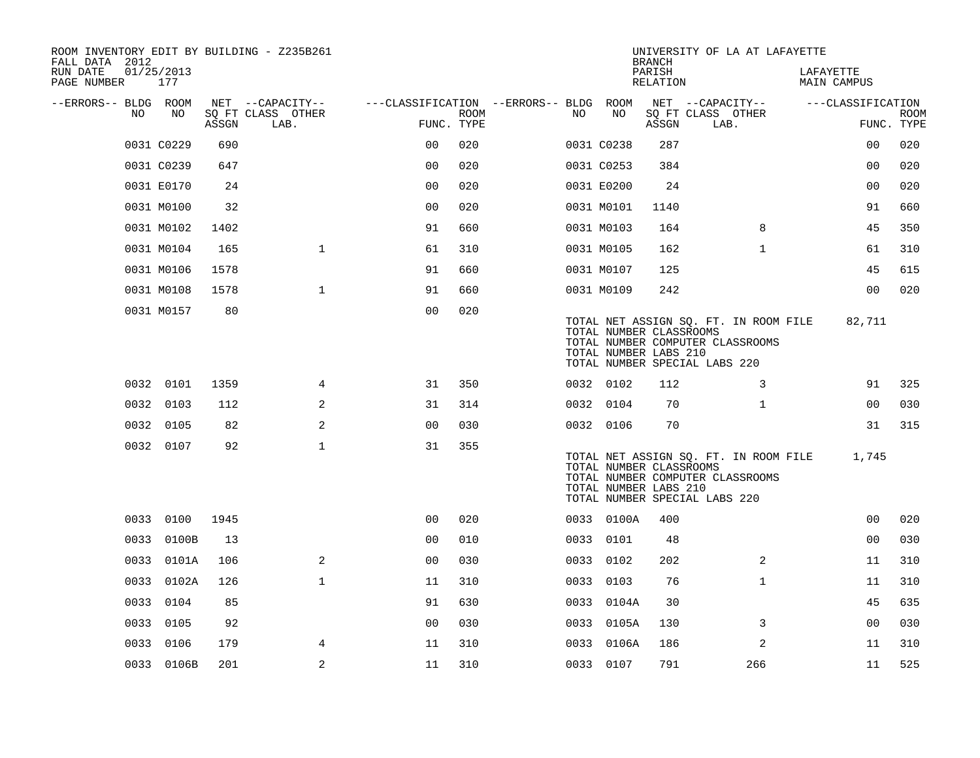| ROOM INVENTORY EDIT BY BUILDING - Z235B261<br>FALL DATA 2012 |                   |       |                           |                                        |             |      |            | <b>BRANCH</b>                                    | UNIVERSITY OF LA AT LAFAYETTE                                                                              |                          |                           |
|--------------------------------------------------------------|-------------------|-------|---------------------------|----------------------------------------|-------------|------|------------|--------------------------------------------------|------------------------------------------------------------------------------------------------------------|--------------------------|---------------------------|
| RUN DATE<br>PAGE NUMBER                                      | 01/25/2013<br>177 |       |                           |                                        |             |      |            | PARISH<br>RELATION                               |                                                                                                            | LAFAYETTE<br>MAIN CAMPUS |                           |
| --ERRORS-- BLDG ROOM                                         |                   |       | NET --CAPACITY--          | ---CLASSIFICATION --ERRORS-- BLDG ROOM |             |      |            |                                                  | NET --CAPACITY--                                                                                           | ---CLASSIFICATION        |                           |
| NO.                                                          | NO                | ASSGN | SQ FT CLASS OTHER<br>LAB. | FUNC. TYPE                             | <b>ROOM</b> | NO.  | NO         | ASSGN                                            | SQ FT CLASS OTHER<br>LAB.                                                                                  |                          | <b>ROOM</b><br>FUNC. TYPE |
|                                                              | 0031 C0229        | 690   |                           | 0 <sub>0</sub>                         | 020         |      | 0031 C0238 | 287                                              |                                                                                                            | 0 <sub>0</sub>           | 020                       |
|                                                              | 0031 C0239        | 647   |                           | 0 <sub>0</sub>                         | 020         |      | 0031 C0253 | 384                                              |                                                                                                            | 00                       | 020                       |
|                                                              | 0031 E0170        | 24    |                           | 0 <sub>0</sub>                         | 020         |      | 0031 E0200 | 24                                               |                                                                                                            | 0 <sub>0</sub>           | 020                       |
|                                                              | 0031 M0100        | 32    |                           | 0 <sub>0</sub>                         | 020         |      | 0031 M0101 | 1140                                             |                                                                                                            | 91                       | 660                       |
|                                                              | 0031 M0102        | 1402  |                           | 91                                     | 660         |      | 0031 M0103 | 164                                              | 8                                                                                                          | 45                       | 350                       |
|                                                              | 0031 M0104        | 165   | $\mathbf{1}$              | 61                                     | 310         |      | 0031 M0105 | 162                                              | $\mathbf{1}$                                                                                               | 61                       | 310                       |
|                                                              | 0031 M0106        | 1578  |                           | 91                                     | 660         |      | 0031 M0107 | 125                                              |                                                                                                            | 45                       | 615                       |
|                                                              | 0031 M0108        | 1578  | $\mathbf{1}$              | 91                                     | 660         |      | 0031 M0109 | 242                                              |                                                                                                            | 0 <sub>0</sub>           | 020                       |
|                                                              | 0031 M0157        | 80    |                           | 0 <sub>0</sub>                         | 020         |      |            | TOTAL NUMBER CLASSROOMS<br>TOTAL NUMBER LABS 210 | TOTAL NET ASSIGN SQ. FT. IN ROOM FILE<br>TOTAL NUMBER COMPUTER CLASSROOMS<br>TOTAL NUMBER SPECIAL LABS 220 | 82,711                   |                           |
|                                                              | 0032 0101         | 1359  | 4                         | 31                                     | 350         |      | 0032 0102  | 112                                              | 3                                                                                                          | 91                       | 325                       |
|                                                              | 0032 0103         | 112   | 2                         | 31                                     | 314         |      | 0032 0104  | 70                                               | $\mathbf{1}$                                                                                               | 0 <sub>0</sub>           | 030                       |
|                                                              | 0032 0105         | 82    | 2                         | 0 <sub>0</sub>                         | 030         |      | 0032 0106  | 70                                               |                                                                                                            | 31                       | 315                       |
|                                                              | 0032 0107         | 92    | $\mathbf 1$               | 31                                     | 355         |      |            | TOTAL NUMBER CLASSROOMS<br>TOTAL NUMBER LABS 210 | TOTAL NET ASSIGN SQ. FT. IN ROOM FILE<br>TOTAL NUMBER COMPUTER CLASSROOMS<br>TOTAL NUMBER SPECIAL LABS 220 | 1,745                    |                           |
|                                                              | 0033 0100         | 1945  |                           | 00                                     | 020         |      | 0033 0100A | 400                                              |                                                                                                            | 00                       | 020                       |
|                                                              | 0033 0100B        | 13    |                           | 00                                     | 010         |      | 0033 0101  | 48                                               |                                                                                                            | 0 <sub>0</sub>           | 030                       |
|                                                              | 0033 0101A        | 106   | 2                         | 0 <sub>0</sub>                         | 030         |      | 0033 0102  | 202                                              | 2                                                                                                          | 11                       | 310                       |
| 0033                                                         | 0102A             | 126   | $\mathbf{1}$              | 11                                     | 310         |      | 0033 0103  | 76                                               | $\mathbf{1}$                                                                                               | 11                       | 310                       |
|                                                              | 0033 0104         | 85    |                           | 91                                     | 630         |      | 0033 0104A | 30                                               |                                                                                                            | 45                       | 635                       |
|                                                              | 0033 0105         | 92    |                           | 0 <sub>0</sub>                         | 030         | 0033 | 0105A      | 130                                              | 3                                                                                                          | 0 <sub>0</sub>           | 030                       |
| 0033                                                         | 0106              | 179   | 4                         | 11                                     | 310         | 0033 | 0106A      | 186                                              | 2                                                                                                          | 11                       | 310                       |
|                                                              | 0033 0106B        | 201   | 2                         | 11                                     | 310         |      | 0033 0107  | 791                                              | 266                                                                                                        | 11                       | 525                       |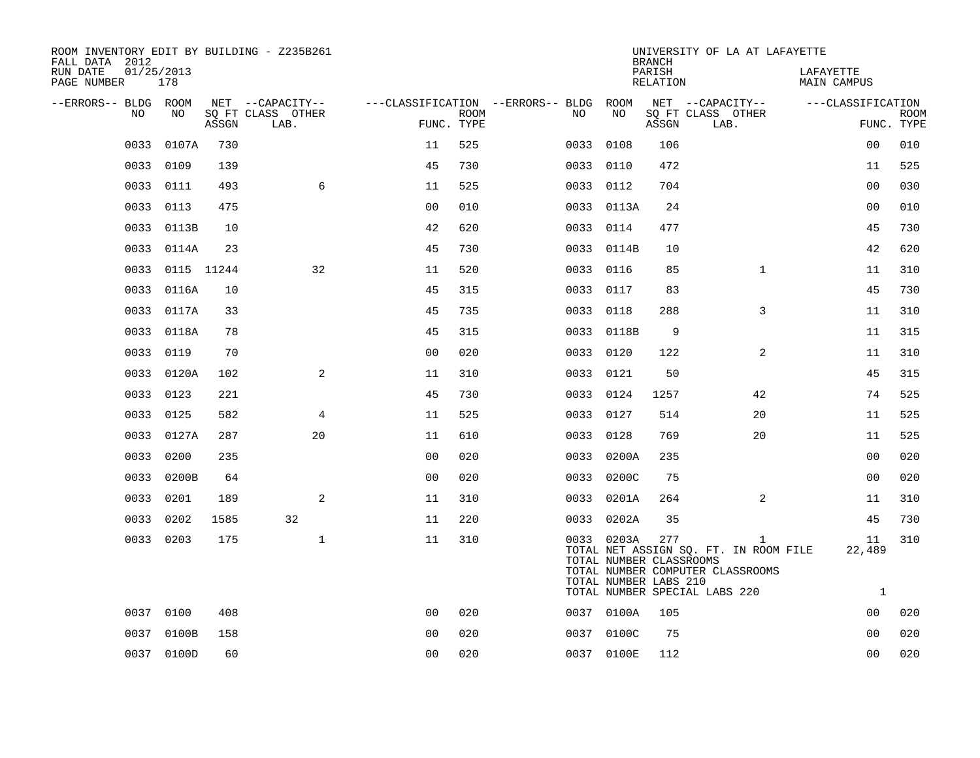| ROOM INVENTORY EDIT BY BUILDING - Z235B261<br>FALL DATA 2012 |                   |       |                           |                |             |                                               |           |                                                                | <b>BRANCH</b>      | UNIVERSITY OF LA AT LAFAYETTE                                                                                              |                                 |                           |
|--------------------------------------------------------------|-------------------|-------|---------------------------|----------------|-------------|-----------------------------------------------|-----------|----------------------------------------------------------------|--------------------|----------------------------------------------------------------------------------------------------------------------------|---------------------------------|---------------------------|
| RUN DATE<br>PAGE NUMBER                                      | 01/25/2013<br>178 |       |                           |                |             |                                               |           |                                                                | PARISH<br>RELATION |                                                                                                                            | LAFAYETTE<br><b>MAIN CAMPUS</b> |                           |
| --ERRORS-- BLDG ROOM<br>NO.                                  | NO.               |       | NET --CAPACITY--          |                |             | ---CLASSIFICATION --ERRORS-- BLDG ROOM<br>NO. |           | NO                                                             |                    | NET --CAPACITY--                                                                                                           | ---CLASSIFICATION               |                           |
|                                                              |                   | ASSGN | SQ FT CLASS OTHER<br>LAB. | FUNC. TYPE     | <b>ROOM</b> |                                               |           |                                                                | ASSGN              | SQ FT CLASS OTHER<br>LAB.                                                                                                  |                                 | <b>ROOM</b><br>FUNC. TYPE |
| 0033                                                         | 0107A             | 730   |                           | 11             | 525         |                                               | 0033      | 0108                                                           | 106                |                                                                                                                            | 0 <sub>0</sub>                  | 010                       |
| 0033                                                         | 0109              | 139   |                           | 45             | 730         |                                               | 0033      | 0110                                                           | 472                |                                                                                                                            | 11                              | 525                       |
| 0033                                                         | 0111              | 493   | 6                         | 11             | 525         |                                               | 0033 0112 |                                                                | 704                |                                                                                                                            | 0 <sub>0</sub>                  | 030                       |
| 0033                                                         | 0113              | 475   |                           | 0 <sub>0</sub> | 010         |                                               |           | 0033 0113A                                                     | 24                 |                                                                                                                            | 00                              | 010                       |
| 0033                                                         | 0113B             | 10    |                           | 42             | 620         |                                               | 0033 0114 |                                                                | 477                |                                                                                                                            | 45                              | 730                       |
| 0033                                                         | 0114A             | 23    |                           | 45             | 730         |                                               |           | 0033 0114B                                                     | 10                 |                                                                                                                            | 42                              | 620                       |
|                                                              | 0033 0115 11244   |       | 32                        | 11             | 520         |                                               | 0033 0116 |                                                                | 85                 | $\mathbf{1}$                                                                                                               | 11                              | 310                       |
| 0033                                                         | 0116A             | 10    |                           | 45             | 315         |                                               | 0033      | 0117                                                           | 83                 |                                                                                                                            | 45                              | 730                       |
|                                                              | 0033 0117A        | 33    |                           | 45             | 735         |                                               | 0033 0118 |                                                                | 288                | 3                                                                                                                          | 11                              | 310                       |
|                                                              | 0033 0118A        | 78    |                           | 45             | 315         |                                               |           | 0033 0118B                                                     | 9                  |                                                                                                                            | 11                              | 315                       |
| 0033                                                         | 0119              | 70    |                           | 0 <sub>0</sub> | 020         |                                               | 0033 0120 |                                                                | 122                | $\overline{a}$                                                                                                             | 11                              | 310                       |
| 0033                                                         | 0120A             | 102   | $\overline{a}$            | 11             | 310         |                                               | 0033      | 0121                                                           | 50                 |                                                                                                                            | 45                              | 315                       |
| 0033                                                         | 0123              | 221   |                           | 45             | 730         |                                               | 0033 0124 |                                                                | 1257               | 42                                                                                                                         | 74                              | 525                       |
| 0033                                                         | 0125              | 582   | 4                         | 11             | 525         |                                               | 0033      | 0127                                                           | 514                | 20                                                                                                                         | 11                              | 525                       |
| 0033                                                         | 0127A             | 287   | 20                        | 11             | 610         |                                               | 0033 0128 |                                                                | 769                | 20                                                                                                                         | 11                              | 525                       |
| 0033                                                         | 0200              | 235   |                           | 00             | 020         | 0033                                          |           | 0200A                                                          | 235                |                                                                                                                            | 0 <sub>0</sub>                  | 020                       |
|                                                              | 0033 0200B        | 64    |                           | 0 <sub>0</sub> | 020         |                                               |           | 0033 0200C                                                     | 75                 |                                                                                                                            | 00                              | 020                       |
| 0033                                                         | 0201              | 189   | 2                         | 11             | 310         |                                               |           | 0033 0201A                                                     | 264                | 2                                                                                                                          | 11                              | 310                       |
|                                                              | 0033 0202         | 1585  | 32                        | 11             | 220         |                                               |           | 0033 0202A                                                     | 35                 |                                                                                                                            | 45                              | 730                       |
|                                                              | 0033 0203         | 175   | $\mathbf{1}$              | 11             | 310         |                                               |           | 0033 0203A<br>TOTAL NUMBER CLASSROOMS<br>TOTAL NUMBER LABS 210 | 277                | $\mathbf{1}$<br>TOTAL NET ASSIGN SQ. FT. IN ROOM FILE<br>TOTAL NUMBER COMPUTER CLASSROOMS<br>TOTAL NUMBER SPECIAL LABS 220 | 11<br>22,489<br>$\mathbf{1}$    | 310                       |
|                                                              | 0037 0100         | 408   |                           | 0 <sub>0</sub> | 020         |                                               |           | 0037 0100A                                                     | 105                |                                                                                                                            | 00                              | 020                       |
| 0037                                                         | 0100B             | 158   |                           | 0 <sub>0</sub> | 020         |                                               |           | 0037 0100C                                                     | 75                 |                                                                                                                            | 0 <sub>0</sub>                  | 020                       |
|                                                              | 0037 0100D        | 60    |                           | 0 <sub>0</sub> | 020         |                                               |           | 0037 0100E                                                     | 112                |                                                                                                                            | 0 <sub>0</sub>                  | 020                       |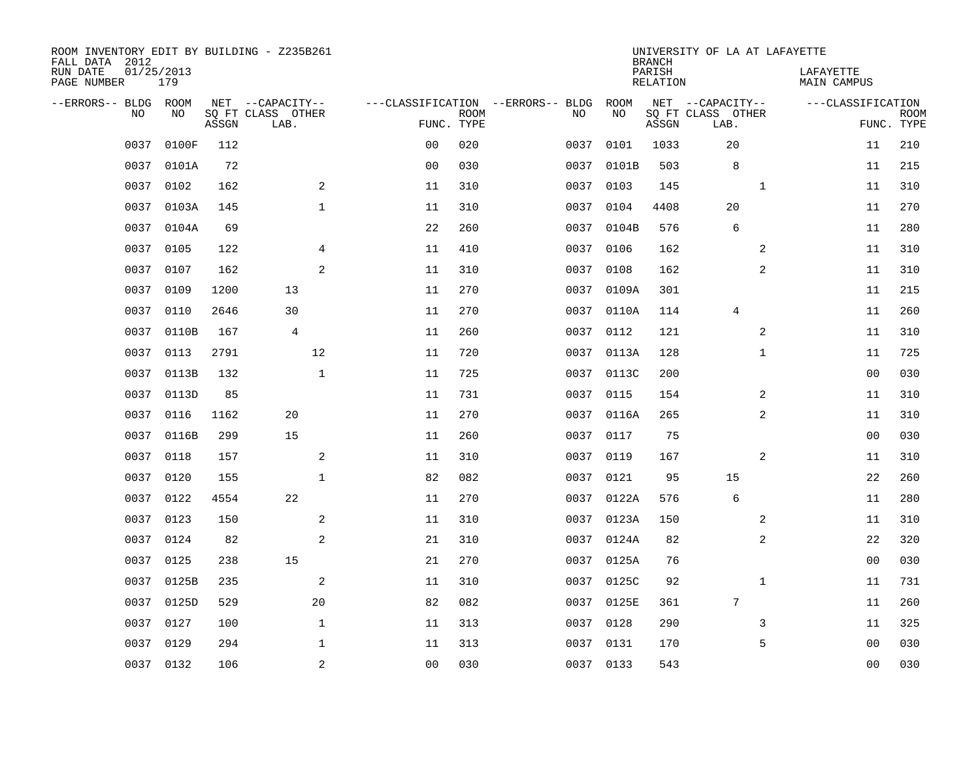| ROOM INVENTORY EDIT BY BUILDING - Z235B261<br>FALL DATA 2012<br>RUN DATE | 01/25/2013<br>179 |       |                                       |                |             |                                         |           |            | <b>BRANCH</b><br>PARISH | UNIVERSITY OF LA AT LAFAYETTE         |                | LAFAYETTE          |             |
|--------------------------------------------------------------------------|-------------------|-------|---------------------------------------|----------------|-------------|-----------------------------------------|-----------|------------|-------------------------|---------------------------------------|----------------|--------------------|-------------|
| PAGE NUMBER                                                              |                   |       |                                       |                |             |                                         |           |            | <b>RELATION</b>         |                                       |                | <b>MAIN CAMPUS</b> |             |
| --ERRORS-- BLDG ROOM<br>NO                                               | NO                |       | NET --CAPACITY--<br>SQ FT CLASS OTHER |                | <b>ROOM</b> | ---CLASSIFICATION --ERRORS-- BLDG<br>NO |           | ROOM<br>NO |                         | NET --CAPACITY--<br>SQ FT CLASS OTHER |                | ---CLASSIFICATION  | <b>ROOM</b> |
|                                                                          |                   | ASSGN | LAB.                                  | FUNC. TYPE     |             |                                         |           |            | ASSGN                   | LAB.                                  |                |                    | FUNC. TYPE  |
| 0037                                                                     | 0100F             | 112   |                                       | 0 <sub>0</sub> | 020         |                                         | 0037      | 0101       | 1033                    | 20                                    |                | 11                 | 210         |
| 0037                                                                     | 0101A             | 72    |                                       | 0 <sub>0</sub> | 030         |                                         | 0037      | 0101B      | 503                     | 8                                     |                | 11                 | 215         |
| 0037                                                                     | 0102              | 162   | 2                                     | 11             | 310         |                                         | 0037      | 0103       | 145                     |                                       | $\mathbf{1}$   | 11                 | 310         |
| 0037                                                                     | 0103A             | 145   | $\mathbf 1$                           | 11             | 310         |                                         | 0037      | 0104       | 4408                    | 20                                    |                | 11                 | 270         |
| 0037                                                                     | 0104A             | 69    |                                       | 22             | 260         |                                         | 0037      | 0104B      | 576                     | 6                                     |                | 11                 | 280         |
| 0037                                                                     | 0105              | 122   | $\overline{4}$                        | 11             | 410         |                                         | 0037      | 0106       | 162                     |                                       | 2              | 11                 | 310         |
| 0037                                                                     | 0107              | 162   | 2                                     | 11             | 310         |                                         | 0037      | 0108       | 162                     |                                       | $\overline{a}$ | 11                 | 310         |
| 0037                                                                     | 0109              | 1200  | 13                                    | 11             | 270         |                                         | 0037      | 0109A      | 301                     |                                       |                | 11                 | 215         |
| 0037                                                                     | 0110              | 2646  | 30                                    | 11             | 270         |                                         | 0037      | 0110A      | 114                     | 4                                     |                | 11                 | 260         |
| 0037                                                                     | 0110B             | 167   | $\overline{4}$                        | 11             | 260         |                                         | 0037 0112 |            | 121                     |                                       | 2              | 11                 | 310         |
| 0037                                                                     | 0113              | 2791  | 12                                    | 11             | 720         |                                         | 0037      | 0113A      | 128                     |                                       | $\mathbf{1}$   | 11                 | 725         |
| 0037                                                                     | 0113B             | 132   | $\mathbf{1}$                          | 11             | 725         |                                         |           | 0037 0113C | 200                     |                                       |                | 0 <sub>0</sub>     | 030         |
| 0037                                                                     | 0113D             | 85    |                                       | 11             | 731         |                                         | 0037      | 0115       | 154                     |                                       | 2              | 11                 | 310         |
| 0037                                                                     | 0116              | 1162  | 20                                    | 11             | 270         |                                         | 0037      | 0116A      | 265                     |                                       | 2              | 11                 | 310         |
| 0037                                                                     | 0116B             | 299   | 15                                    | 11             | 260         |                                         | 0037      | 0117       | 75                      |                                       |                | 00                 | 030         |
| 0037                                                                     | 0118              | 157   | 2                                     | 11             | 310         |                                         | 0037      | 0119       | 167                     |                                       | 2              | 11                 | 310         |
| 0037                                                                     | 0120              | 155   | $\mathbf{1}$                          | 82             | 082         |                                         | 0037      | 0121       | 95                      | 15                                    |                | 22                 | 260         |
| 0037                                                                     | 0122              | 4554  | 22                                    | 11             | 270         |                                         | 0037      | 0122A      | 576                     | 6                                     |                | 11                 | 280         |
| 0037                                                                     | 0123              | 150   | 2                                     | 11             | 310         |                                         | 0037      | 0123A      | 150                     |                                       | 2              | 11                 | 310         |
| 0037                                                                     | 0124              | 82    | 2                                     | 21             | 310         |                                         | 0037      | 0124A      | 82                      |                                       | 2              | 22                 | 320         |
| 0037                                                                     | 0125              | 238   | 15                                    | 21             | 270         |                                         |           | 0037 0125A | 76                      |                                       |                | 00                 | 030         |
| 0037                                                                     | 0125B             | 235   | 2                                     | 11             | 310         |                                         | 0037      | 0125C      | 92                      |                                       | $\mathbf{1}$   | 11                 | 731         |
| 0037                                                                     | 0125D             | 529   | 20                                    | 82             | 082         |                                         |           | 0037 0125E | 361                     | $7\phantom{.0}$                       |                | 11                 | 260         |
| 0037                                                                     | 0127              | 100   | $\mathbf{1}$                          | 11             | 313         |                                         | 0037      | 0128       | 290                     |                                       | 3              | 11                 | 325         |
| 0037                                                                     | 0129              | 294   | $\mathbf 1$                           | 11             | 313         |                                         | 0037 0131 |            | 170                     |                                       | 5              | 00                 | 030         |
|                                                                          | 0037 0132         | 106   | $\sqrt{2}$                            | 0 <sub>0</sub> | 030         |                                         | 0037 0133 |            | 543                     |                                       |                | 0 <sub>0</sub>     | 030         |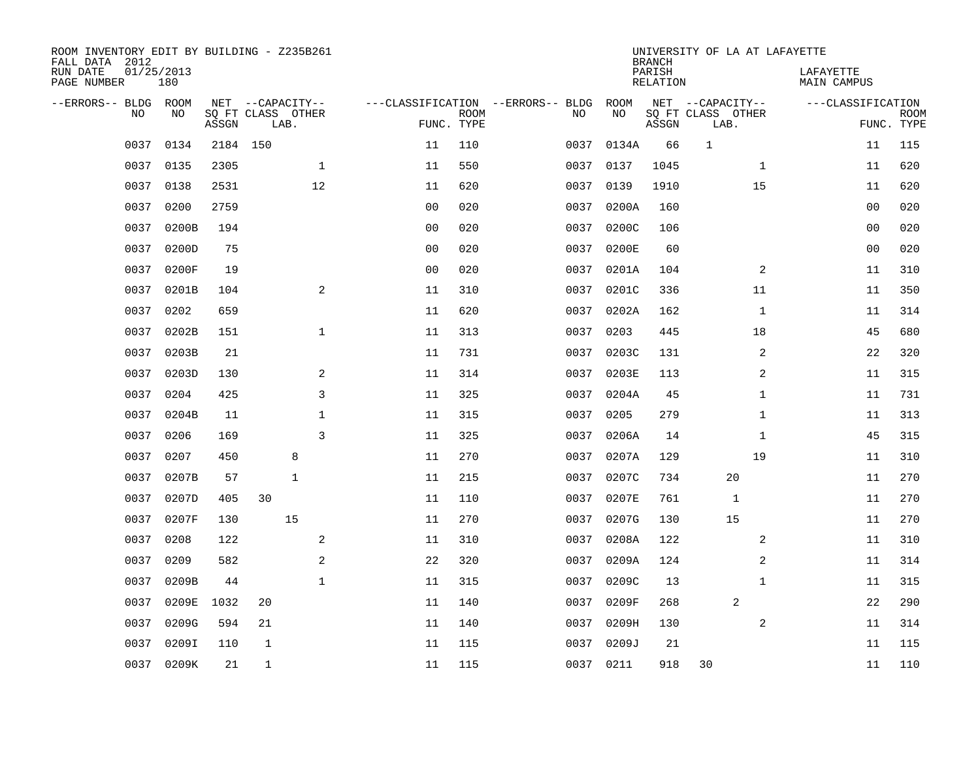| ROOM INVENTORY EDIT BY BUILDING - Z235B261<br>FALL DATA 2012<br>RUN DATE | 01/25/2013 |          |                           |              |                |             |                                   |           |            | <b>BRANCH</b><br>PARISH | UNIVERSITY OF LA AT LAFAYETTE |              | LAFAYETTE          |             |
|--------------------------------------------------------------------------|------------|----------|---------------------------|--------------|----------------|-------------|-----------------------------------|-----------|------------|-------------------------|-------------------------------|--------------|--------------------|-------------|
| PAGE NUMBER                                                              | 180        |          |                           |              |                |             |                                   |           |            | <b>RELATION</b>         |                               |              | <b>MAIN CAMPUS</b> |             |
| --ERRORS-- BLDG ROOM<br>NO                                               | NO         |          | NET --CAPACITY--          |              |                | <b>ROOM</b> | ---CLASSIFICATION --ERRORS-- BLDG | NO        | ROOM<br>NO |                         | NET --CAPACITY--              |              | ---CLASSIFICATION  | <b>ROOM</b> |
|                                                                          |            | ASSGN    | SQ FT CLASS OTHER<br>LAB. |              | FUNC. TYPE     |             |                                   |           |            | ASSGN                   | SQ FT CLASS OTHER<br>LAB.     |              |                    | FUNC. TYPE  |
| 0037                                                                     | 0134       | 2184 150 |                           |              | 11             | 110         |                                   | 0037      | 0134A      | 66                      | $\mathbf{1}$                  |              | 11                 | 115         |
| 0037                                                                     | 0135       | 2305     |                           | $\mathbf 1$  | 11             | 550         |                                   | 0037      | 0137       | 1045                    |                               | $\mathbf{1}$ | 11                 | 620         |
| 0037                                                                     | 0138       | 2531     |                           | 12           | 11             | 620         |                                   | 0037      | 0139       | 1910                    |                               | 15           | 11                 | 620         |
| 0037                                                                     | 0200       | 2759     |                           |              | 0 <sub>0</sub> | 020         |                                   | 0037      | 0200A      | 160                     |                               |              | 00                 | 020         |
| 0037                                                                     | 0200B      | 194      |                           |              | 0 <sub>0</sub> | 020         |                                   | 0037      | 0200C      | 106                     |                               |              | 0 <sub>0</sub>     | 020         |
| 0037                                                                     | 0200D      | 75       |                           |              | 0 <sub>0</sub> | 020         |                                   | 0037      | 0200E      | 60                      |                               |              | 0 <sub>0</sub>     | 020         |
| 0037                                                                     | 0200F      | 19       |                           |              | 0 <sub>0</sub> | 020         |                                   | 0037      | 0201A      | 104                     |                               | 2            | 11                 | 310         |
| 0037                                                                     | 0201B      | 104      |                           | 2            | 11             | 310         |                                   | 0037      | 0201C      | 336                     |                               | 11           | 11                 | 350         |
| 0037                                                                     | 0202       | 659      |                           |              | 11             | 620         |                                   | 0037      | 0202A      | 162                     |                               | $\mathbf{1}$ | 11                 | 314         |
| 0037                                                                     | 0202B      | 151      |                           | $\mathbf 1$  | 11             | 313         |                                   | 0037      | 0203       | 445                     |                               | 18           | 45                 | 680         |
| 0037                                                                     | 0203B      | 21       |                           |              | 11             | 731         |                                   | 0037      | 0203C      | 131                     |                               | 2            | 22                 | 320         |
| 0037                                                                     | 0203D      | 130      |                           | 2            | 11             | 314         |                                   | 0037      | 0203E      | 113                     |                               | 2            | 11                 | 315         |
| 0037                                                                     | 0204       | 425      |                           | 3            | 11             | 325         |                                   | 0037      | 0204A      | 45                      |                               | $\mathbf{1}$ | 11                 | 731         |
| 0037                                                                     | 0204B      | 11       |                           | $\mathbf 1$  | 11             | 315         |                                   | 0037      | 0205       | 279                     |                               | $\mathbf{1}$ | 11                 | 313         |
| 0037                                                                     | 0206       | 169      |                           | 3            | 11             | 325         |                                   | 0037      | 0206A      | 14                      |                               | $\mathbf{1}$ | 45                 | 315         |
| 0037                                                                     | 0207       | 450      |                           | 8            | 11             | 270         |                                   | 0037      | 0207A      | 129                     |                               | 19           | 11                 | 310         |
| 0037                                                                     | 0207B      | 57       |                           | $\mathbf{1}$ | 11             | 215         |                                   | 0037      | 0207C      | 734                     | 20                            |              | 11                 | 270         |
| 0037                                                                     | 0207D      | 405      | 30                        |              | 11             | 110         |                                   | 0037      | 0207E      | 761                     | 1                             |              | 11                 | 270         |
| 0037                                                                     | 0207F      | 130      |                           | 15           | 11             | 270         |                                   | 0037      | 0207G      | 130                     | 15                            |              | 11                 | 270         |
| 0037                                                                     | 0208       | 122      |                           | 2            | 11             | 310         |                                   | 0037      | 0208A      | 122                     |                               | 2            | 11                 | 310         |
| 0037                                                                     | 0209       | 582      |                           | 2            | 22             | 320         |                                   | 0037      | 0209A      | 124                     |                               | 2            | 11                 | 314         |
| 0037                                                                     | 0209B      | 44       |                           | $\mathbf{1}$ | 11             | 315         |                                   | 0037      | 0209C      | 13                      |                               | $\mathbf{1}$ | 11                 | 315         |
| 0037                                                                     | 0209E      | 1032     | 20                        |              | 11             | 140         |                                   | 0037      | 0209F      | 268                     | 2                             |              | 22                 | 290         |
| 0037                                                                     | 0209G      | 594      | 21                        |              | 11             | 140         |                                   | 0037      | 0209H      | 130                     |                               | 2            | 11                 | 314         |
| 0037                                                                     | 0209I      | 110      | $\mathbf 1$               |              | 11             | 115         |                                   | 0037      | 0209J      | 21                      |                               |              | 11                 | 115         |
|                                                                          | 0037 0209K | 21       | $\mathbf{1}$              |              | 11             | 115         |                                   | 0037 0211 |            | 918                     | 30                            |              | 11                 | 110         |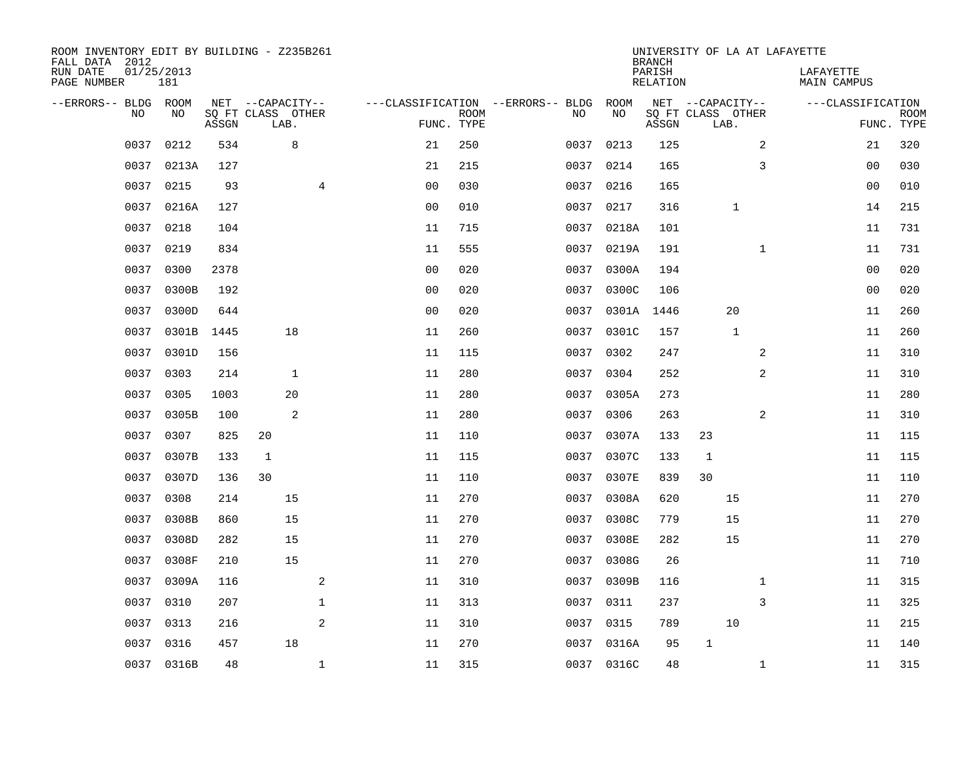| ROOM INVENTORY EDIT BY BUILDING - Z235B261<br>FALL DATA 2012 |                   |       |                           |                |                                   |             |           |            | <b>BRANCH</b>      | UNIVERSITY OF LA AT LAFAYETTE |              |                          |                           |
|--------------------------------------------------------------|-------------------|-------|---------------------------|----------------|-----------------------------------|-------------|-----------|------------|--------------------|-------------------------------|--------------|--------------------------|---------------------------|
| RUN DATE<br>PAGE NUMBER                                      | 01/25/2013<br>181 |       |                           |                |                                   |             |           |            | PARISH<br>RELATION |                               |              | LAFAYETTE<br>MAIN CAMPUS |                           |
| --ERRORS-- BLDG ROOM                                         |                   |       | NET --CAPACITY--          |                | ---CLASSIFICATION --ERRORS-- BLDG |             |           | ROOM       |                    | NET --CAPACITY--              |              | ---CLASSIFICATION        |                           |
| N <sub>O</sub>                                               | NO.               | ASSGN | SO FT CLASS OTHER<br>LAB. |                | FUNC. TYPE                        | <b>ROOM</b> | NO.       | NO         | ASSGN              | SQ FT CLASS OTHER<br>LAB.     |              |                          | <b>ROOM</b><br>FUNC. TYPE |
| 0037                                                         | 0212              | 534   | 8                         |                | 21                                | 250         | 0037      | 0213       | 125                |                               | 2            | 21                       | 320                       |
| 0037                                                         | 0213A             | 127   |                           |                | 21                                | 215         | 0037 0214 |            | 165                |                               | 3            | 0 <sub>0</sub>           | 030                       |
| 0037                                                         | 0215              | 93    |                           | 4              | 0 <sub>0</sub>                    | 030         | 0037      | 0216       | 165                |                               |              | 00                       | 010                       |
| 0037                                                         | 0216A             | 127   |                           |                | 0 <sub>0</sub>                    | 010         | 0037      | 0217       | 316                | $\mathbf{1}$                  |              | 14                       | 215                       |
| 0037                                                         | 0218              | 104   |                           |                | 11                                | 715         | 0037      | 0218A      | 101                |                               |              | 11                       | 731                       |
| 0037                                                         | 0219              | 834   |                           |                | 11                                | 555         | 0037      | 0219A      | 191                |                               | $\mathbf{1}$ | 11                       | 731                       |
| 0037                                                         | 0300              | 2378  |                           |                | 0 <sub>0</sub>                    | 020         | 0037      | 0300A      | 194                |                               |              | 00                       | 020                       |
| 0037                                                         | 0300B             | 192   |                           |                | 0 <sub>0</sub>                    | 020         | 0037      | 0300C      | 106                |                               |              | 0 <sub>0</sub>           | 020                       |
| 0037                                                         | 0300D             | 644   |                           |                | 0 <sub>0</sub>                    | 020         | 0037      | 0301A      | 1446               | 20                            |              | 11                       | 260                       |
| 0037                                                         | 0301B             | 1445  | 18                        |                | 11                                | 260         |           | 0037 0301C | 157                | $\mathbf{1}$                  |              | 11                       | 260                       |
| 0037                                                         | 0301D             | 156   |                           |                | 11                                | 115         | 0037      | 0302       | 247                |                               | 2            | 11                       | 310                       |
| 0037                                                         | 0303              | 214   | $\mathbf{1}$              |                | 11                                | 280         | 0037 0304 |            | 252                |                               | 2            | 11                       | 310                       |
| 0037                                                         | 0305              | 1003  | 20                        |                | 11                                | 280         | 0037      | 0305A      | 273                |                               |              | 11                       | 280                       |
| 0037                                                         | 0305B             | 100   | 2                         |                | 11                                | 280         | 0037      | 0306       | 263                |                               | 2            | 11                       | 310                       |
| 0037                                                         | 0307              | 825   | 20                        |                | 11                                | 110         | 0037      | 0307A      | 133                | 23                            |              | 11                       | 115                       |
| 0037                                                         | 0307B             | 133   | $\mathbf{1}$              |                | 11                                | 115         | 0037      | 0307C      | 133                | $\mathbf{1}$                  |              | 11                       | 115                       |
| 0037                                                         | 0307D             | 136   | 30                        |                | 11                                | 110         | 0037      | 0307E      | 839                | 30                            |              | 11                       | 110                       |
| 0037                                                         | 0308              | 214   | 15                        |                | 11                                | 270         | 0037      | 0308A      | 620                | 15                            |              | 11                       | 270                       |
| 0037                                                         | 0308B             | 860   | 15                        |                | 11                                | 270         | 0037      | 0308C      | 779                | 15                            |              | 11                       | 270                       |
| 0037                                                         | 0308D             | 282   | 15                        |                | 11                                | 270         | 0037      | 0308E      | 282                | 15                            |              | 11                       | 270                       |
| 0037                                                         | 0308F             | 210   | 15                        |                | 11                                | 270         | 0037      | 0308G      | 26                 |                               |              | 11                       | 710                       |
| 0037                                                         | 0309A             | 116   |                           | $\overline{a}$ | 11                                | 310         | 0037      | 0309B      | 116                |                               | $\mathbf{1}$ | 11                       | 315                       |
| 0037                                                         | 0310              | 207   |                           | $\mathbf 1$    | 11                                | 313         | 0037      | 0311       | 237                |                               | 3            | 11                       | 325                       |
| 0037                                                         | 0313              | 216   |                           | 2              | 11                                | 310         | 0037      | 0315       | 789                | 10                            |              | 11                       | 215                       |
| 0037                                                         | 0316              | 457   | 18                        |                | 11                                | 270         |           | 0037 0316A | 95                 | $\mathbf{1}$                  |              | 11                       | 140                       |
|                                                              | 0037 0316B        | 48    |                           | $\mathbf{1}$   | 11                                | 315         |           | 0037 0316C | 48                 |                               | $\mathbf{1}$ | 11                       | 315                       |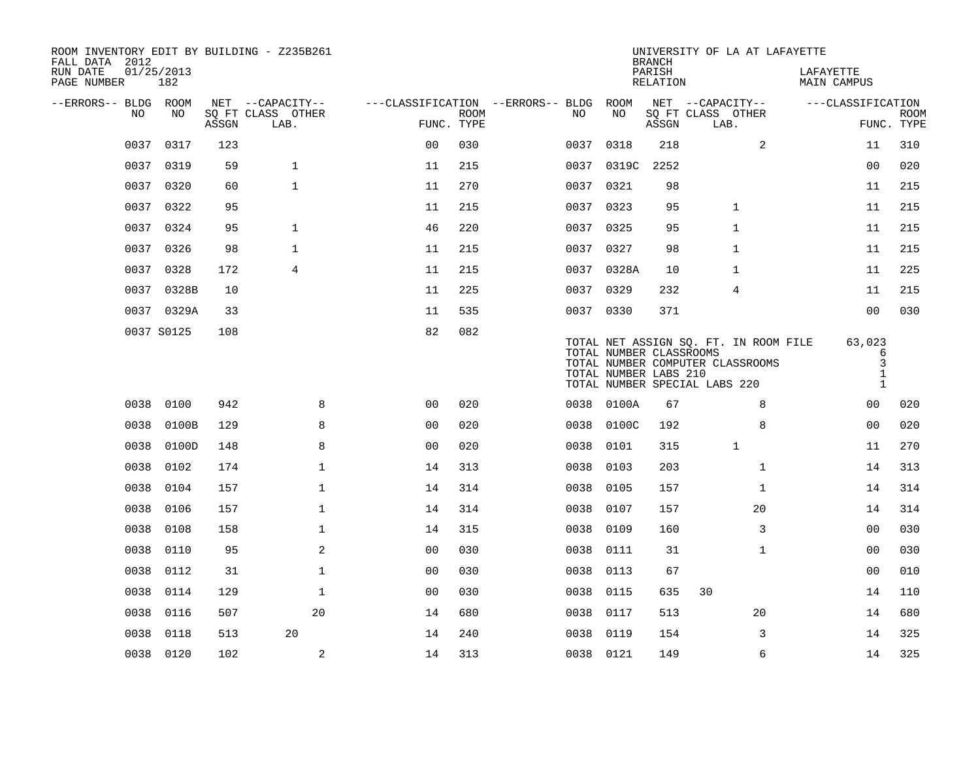| FALL DATA 2012          |      |                   |       | ROOM INVENTORY EDIT BY BUILDING - Z235B261 |                |             |                                        |      |            | <b>BRANCH</b>                                    | UNIVERSITY OF LA AT LAFAYETTE                                                                              |                                                  |                           |
|-------------------------|------|-------------------|-------|--------------------------------------------|----------------|-------------|----------------------------------------|------|------------|--------------------------------------------------|------------------------------------------------------------------------------------------------------------|--------------------------------------------------|---------------------------|
| RUN DATE<br>PAGE NUMBER |      | 01/25/2013<br>182 |       |                                            |                |             |                                        |      |            | PARISH<br>RELATION                               |                                                                                                            | LAFAYETTE<br>MAIN CAMPUS                         |                           |
| --ERRORS-- BLDG ROOM    |      |                   |       | NET --CAPACITY--                           |                |             | ---CLASSIFICATION --ERRORS-- BLDG ROOM |      |            |                                                  | NET --CAPACITY--                                                                                           | ---CLASSIFICATION                                |                           |
|                         | NO   | NO                | ASSGN | SQ FT CLASS OTHER<br>LAB.                  | FUNC. TYPE     | <b>ROOM</b> | NO                                     |      | NO         | ASSGN                                            | SQ FT CLASS OTHER<br>LAB.                                                                                  |                                                  | <b>ROOM</b><br>FUNC. TYPE |
|                         | 0037 | 0317              | 123   |                                            | 0 <sub>0</sub> | 030         |                                        | 0037 | 0318       | 218                                              | 2                                                                                                          | 11                                               | 310                       |
|                         |      | 0037 0319         | 59    | $\mathbf{1}$                               | 11             | 215         |                                        | 0037 | 0319C      | 2252                                             |                                                                                                            | 0 <sub>0</sub>                                   | 020                       |
|                         |      | 0037 0320         | 60    | $\mathbf{1}$                               | 11             | 270         |                                        |      | 0037 0321  | 98                                               |                                                                                                            | 11                                               | 215                       |
|                         | 0037 | 0322              | 95    |                                            | 11             | 215         |                                        | 0037 | 0323       | 95                                               | $\mathbf{1}$                                                                                               | 11                                               | 215                       |
|                         |      | 0037 0324         | 95    | $\mathbf{1}$                               | 46             | 220         |                                        |      | 0037 0325  | 95                                               | $\mathbf{1}$                                                                                               | 11                                               | 215                       |
|                         | 0037 | 0326              | 98    | $\mathbf{1}$                               | 11             | 215         |                                        | 0037 | 0327       | 98                                               | $\mathbf{1}$                                                                                               | 11                                               | 215                       |
|                         | 0037 | 0328              | 172   | 4                                          | 11             | 215         |                                        |      | 0037 0328A | 10                                               | 1                                                                                                          | 11                                               | 225                       |
|                         | 0037 | 0328B             | 10    |                                            | 11             | 225         |                                        |      | 0037 0329  | 232                                              | 4                                                                                                          | 11                                               | 215                       |
|                         |      | 0037 0329A        | 33    |                                            | 11             | 535         |                                        |      | 0037 0330  | 371                                              |                                                                                                            | 0 <sub>0</sub>                                   | 030                       |
|                         |      | 0037 S0125        | 108   |                                            | 82             | 082         |                                        |      |            | TOTAL NUMBER CLASSROOMS<br>TOTAL NUMBER LABS 210 | TOTAL NET ASSIGN SO. FT. IN ROOM FILE<br>TOTAL NUMBER COMPUTER CLASSROOMS<br>TOTAL NUMBER SPECIAL LABS 220 | 63,023<br>6<br>3<br>$\mathbf{1}$<br>$\mathbf{1}$ |                           |
|                         |      | 0038 0100         | 942   | 8                                          | 0 <sub>0</sub> | 020         |                                        |      | 0038 0100A | 67                                               | 8                                                                                                          | 0 <sub>0</sub>                                   | 020                       |
|                         | 0038 | 0100B             | 129   | 8                                          | 0 <sub>0</sub> | 020         |                                        | 0038 | 0100C      | 192                                              | 8                                                                                                          | 00                                               | 020                       |
|                         | 0038 | 0100D             | 148   | 8                                          | 0 <sub>0</sub> | 020         |                                        | 0038 | 0101       | 315                                              | $\mathbf{1}$                                                                                               | 11                                               | 270                       |
|                         | 0038 | 0102              | 174   | $\mathbf 1$                                | 14             | 313         |                                        | 0038 | 0103       | 203                                              | $\mathbf{1}$                                                                                               | 14                                               | 313                       |
|                         | 0038 | 0104              | 157   | $\mathbf{1}$                               | 14             | 314         | 0038                                   |      | 0105       | 157                                              | $\mathbf{1}$                                                                                               | 14                                               | 314                       |
|                         | 0038 | 0106              | 157   | $\mathbf{1}$                               | 14             | 314         |                                        | 0038 | 0107       | 157                                              | 20                                                                                                         | 14                                               | 314                       |
|                         | 0038 | 0108              | 158   | $\mathbf 1$                                | 14             | 315         | 0038                                   |      | 0109       | 160                                              | 3                                                                                                          | 0 <sub>0</sub>                                   | 030                       |
|                         | 0038 | 0110              | 95    | 2                                          | 0 <sub>0</sub> | 030         | 0038                                   |      | 0111       | 31                                               | $\mathbf{1}$                                                                                               | 00                                               | 030                       |
|                         | 0038 | 0112              | 31    | $\mathbf 1$                                | 00             | 030         | 0038                                   |      | 0113       | 67                                               |                                                                                                            | 0 <sub>0</sub>                                   | 010                       |
|                         | 0038 | 0114              | 129   | $\mathbf{1}$                               | 0 <sub>0</sub> | 030         | 0038                                   |      | 0115       | 635                                              | 30                                                                                                         | 14                                               | 110                       |
|                         | 0038 | 0116              | 507   | 20                                         | 14             | 680         | 0038                                   |      | 0117       | 513                                              | 20                                                                                                         | 14                                               | 680                       |
|                         | 0038 | 0118              | 513   | 20                                         | 14             | 240         | 0038                                   |      | 0119       | 154                                              | 3                                                                                                          | 14                                               | 325                       |
|                         |      | 0038 0120         | 102   | 2                                          | 14             | 313         |                                        |      | 0038 0121  | 149                                              | 6                                                                                                          | 14                                               | 325                       |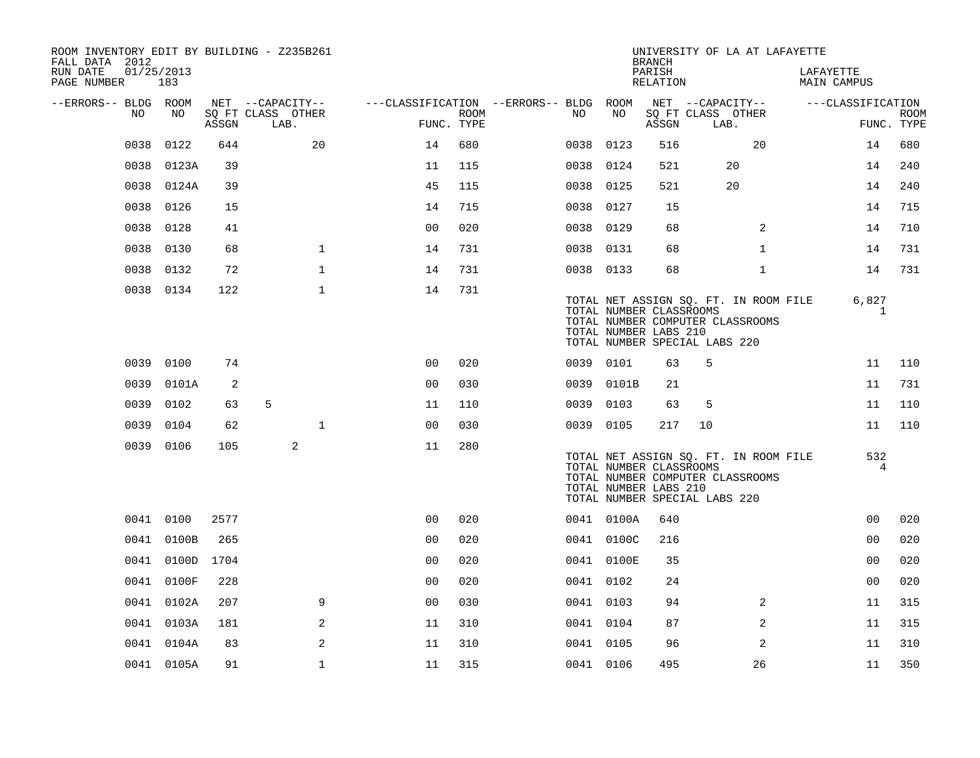| ROOM INVENTORY EDIT BY BUILDING - Z235B261<br>FALL DATA 2012 |                   |       |                           |                                        |             |           |            | <b>BRANCH</b>                                                                     |      | UNIVERSITY OF LA AT LAFAYETTE                                             |                          |                   |             |
|--------------------------------------------------------------|-------------------|-------|---------------------------|----------------------------------------|-------------|-----------|------------|-----------------------------------------------------------------------------------|------|---------------------------------------------------------------------------|--------------------------|-------------------|-------------|
| RUN DATE<br>PAGE NUMBER                                      | 01/25/2013<br>183 |       |                           |                                        |             |           |            | PARISH<br>RELATION                                                                |      |                                                                           | LAFAYETTE<br>MAIN CAMPUS |                   |             |
| --ERRORS-- BLDG ROOM<br>NO.                                  | NO                |       | NET --CAPACITY--          | ---CLASSIFICATION --ERRORS-- BLDG ROOM | <b>ROOM</b> | NO.       | NO         | NET --CAPACITY--<br>SQ FT CLASS OTHER                                             |      |                                                                           |                          | ---CLASSIFICATION |             |
|                                                              |                   | ASSGN | SQ FT CLASS OTHER<br>LAB. | FUNC. TYPE                             |             |           |            | ASSGN                                                                             | LAB. |                                                                           |                          | FUNC. TYPE        | <b>ROOM</b> |
| 0038                                                         | 0122              | 644   | 20                        | 14                                     | 680         | 0038      | 0123       | 516                                                                               |      | 20                                                                        |                          | 14                | 680         |
| 0038                                                         | 0123A             | 39    |                           | 11                                     | 115         | 0038      | 0124       | 521                                                                               |      | 20                                                                        |                          | 14                | 240         |
|                                                              | 0038 0124A        | 39    |                           | 45                                     | 115         | 0038      | 0125       | 521                                                                               |      | 20                                                                        |                          | 14                | 240         |
| 0038                                                         | 0126              | 15    |                           | 14                                     | 715         | 0038 0127 |            | 15                                                                                |      |                                                                           |                          | 14                | 715         |
| 0038                                                         | 0128              | 41    |                           | 0 <sub>0</sub>                         | 020         | 0038      | 0129       | 68                                                                                |      | 2                                                                         |                          | 14                | 710         |
| 0038                                                         | 0130              | 68    | $\mathbf 1$               | 14                                     | 731         | 0038 0131 |            | 68                                                                                |      | $\mathbf{1}$                                                              |                          | 14                | 731         |
| 0038                                                         | 0132              | 72    | $\mathbf{1}$              | 14                                     | 731         | 0038 0133 |            | 68                                                                                |      | $\mathbf{1}$                                                              |                          | 14                | 731         |
|                                                              | 0038 0134         | 122   | $\mathbf{1}$              | 14                                     | 731         |           |            | TOTAL NUMBER CLASSROOMS<br>TOTAL NUMBER LABS 210<br>TOTAL NUMBER SPECIAL LABS 220 |      | TOTAL NET ASSIGN SQ. FT. IN ROOM FILE<br>TOTAL NUMBER COMPUTER CLASSROOMS |                          | 6,827<br>1        |             |
| 0039                                                         | 0100              | 74    |                           | 0 <sub>0</sub>                         | 020         | 0039 0101 |            | 63                                                                                | 5    |                                                                           |                          | 11                | 110         |
| 0039                                                         | 0101A             | 2     |                           | 0 <sub>0</sub>                         | 030         |           | 0039 0101B | 21                                                                                |      |                                                                           |                          | 11                | 731         |
| 0039                                                         | 0102              | 63    | 5                         | 11                                     | 110         | 0039 0103 |            | 63                                                                                | 5    |                                                                           |                          | 11                | 110         |
| 0039                                                         | 0104              | 62    | $\mathbf{1}$              | 0 <sub>0</sub>                         | 030         | 0039 0105 |            | 217                                                                               | 10   |                                                                           |                          | 11                | 110         |
|                                                              | 0039 0106         | 105   | 2                         | 11                                     | 280         |           |            | TOTAL NUMBER CLASSROOMS<br>TOTAL NUMBER LABS 210<br>TOTAL NUMBER SPECIAL LABS 220 |      | TOTAL NET ASSIGN SO. FT. IN ROOM FILE<br>TOTAL NUMBER COMPUTER CLASSROOMS |                          | 532<br>4          |             |
|                                                              | 0041 0100         | 2577  |                           | 0 <sub>0</sub>                         | 020         |           | 0041 0100A | 640                                                                               |      |                                                                           |                          | 0 <sub>0</sub>    | 020         |
|                                                              | 0041 0100B        | 265   |                           | 00                                     | 020         |           | 0041 0100C | 216                                                                               |      |                                                                           |                          | 0 <sub>0</sub>    | 020         |
|                                                              | 0041 0100D        | 1704  |                           | 0 <sub>0</sub>                         | 020         |           | 0041 0100E | 35                                                                                |      |                                                                           |                          | 0 <sub>0</sub>    | 020         |
|                                                              | 0041 0100F        | 228   |                           | 0 <sub>0</sub>                         | 020         | 0041 0102 |            | 24                                                                                |      |                                                                           |                          | 0 <sub>0</sub>    | 020         |
|                                                              | 0041 0102A        | 207   | 9                         | 0 <sub>0</sub>                         | 030         | 0041 0103 |            | 94                                                                                |      | 2                                                                         |                          | 11                | 315         |
|                                                              | 0041 0103A        | 181   | 2                         | 11                                     | 310         | 0041 0104 |            | 87                                                                                |      | $\overline{2}$                                                            |                          | 11                | 315         |
|                                                              | 0041 0104A        | 83    | 2                         | 11                                     | 310         | 0041 0105 |            | 96                                                                                |      | 2                                                                         |                          | 11                | 310         |
|                                                              | 0041 0105A        | 91    | $\mathbf 1$               | 11                                     | 315         | 0041 0106 |            | 495                                                                               |      | 26                                                                        |                          | 11                | 350         |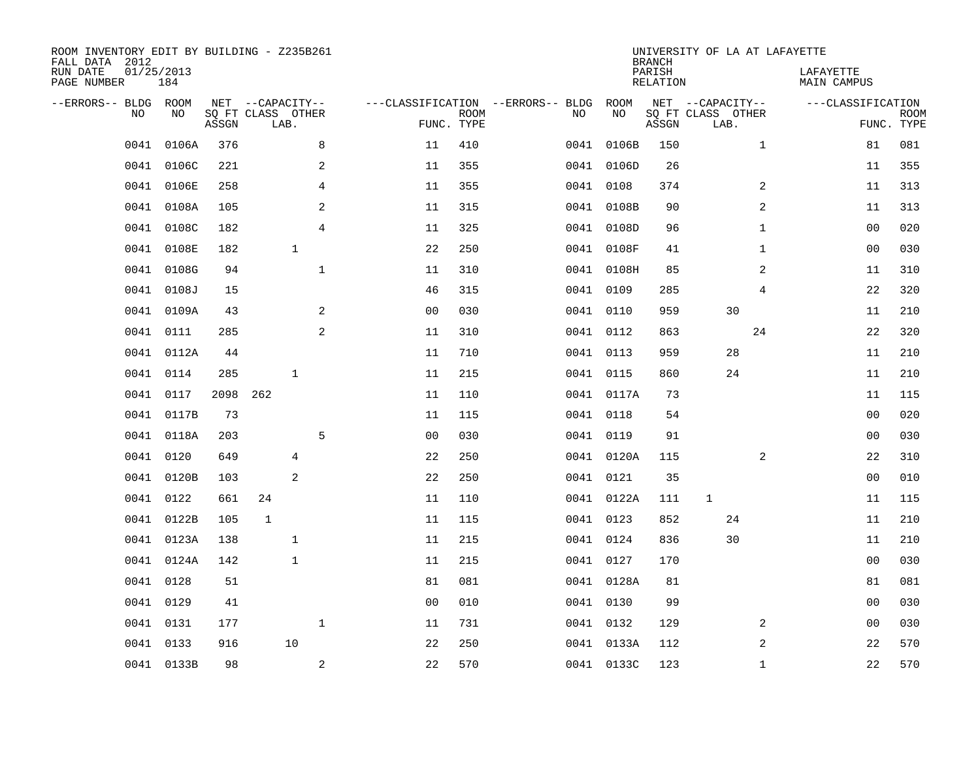| ROOM INVENTORY EDIT BY BUILDING - Z235B261<br>FALL DATA 2012<br>RUN DATE<br>PAGE NUMBER | 01/25/2013<br>184 |       |                                               |                |                                   |                           |      |            | <b>BRANCH</b><br>PARISH<br>RELATION | UNIVERSITY OF LA AT LAFAYETTE                 | LAFAYETTE<br>MAIN CAMPUS |                           |
|-----------------------------------------------------------------------------------------|-------------------|-------|-----------------------------------------------|----------------|-----------------------------------|---------------------------|------|------------|-------------------------------------|-----------------------------------------------|--------------------------|---------------------------|
| --ERRORS-- BLDG ROOM<br><b>NO</b>                                                       | NO.               | ASSGN | NET --CAPACITY--<br>SQ FT CLASS OTHER<br>LAB. |                | ---CLASSIFICATION --ERRORS-- BLDG | <b>ROOM</b><br>FUNC. TYPE | NO   | ROOM<br>NO | ASSGN                               | NET --CAPACITY--<br>SQ FT CLASS OTHER<br>LAB. | ---CLASSIFICATION        | <b>ROOM</b><br>FUNC. TYPE |
| 0041                                                                                    | 0106A             | 376   |                                               | 8              | 11                                | 410                       | 0041 | 0106B      | 150                                 | $\mathbf{1}$                                  | 81                       | 081                       |
| 0041                                                                                    | 0106C             | 221   |                                               | 2              | 11                                | 355                       |      | 0041 0106D | 26                                  |                                               | 11                       | 355                       |
| 0041                                                                                    | 0106E             | 258   |                                               | $\overline{4}$ | 11                                | 355                       |      | 0041 0108  | 374                                 | 2                                             | 11                       | 313                       |
| 0041                                                                                    | 0108A             | 105   |                                               | $\overline{2}$ | 11                                | 315                       |      | 0041 0108B | 90                                  | 2                                             | 11                       | 313                       |
| 0041                                                                                    | 0108C             | 182   |                                               | 4              | 11                                | 325                       |      | 0041 0108D | 96                                  | $\mathbf{1}$                                  | 0 <sub>0</sub>           | 020                       |
| 0041                                                                                    | 0108E             | 182   | $\mathbf{1}$                                  |                | 22                                | 250                       |      | 0041 0108F | 41                                  | $\mathbf{1}$                                  | 00                       | 030                       |
| 0041                                                                                    | 0108G             | 94    |                                               | $\mathbf{1}$   | 11                                | 310                       |      | 0041 0108H | 85                                  | 2                                             | 11                       | 310                       |
| 0041                                                                                    | 0108J             | 15    |                                               |                | 46                                | 315                       |      | 0041 0109  | 285                                 | 4                                             | 22                       | 320                       |
| 0041                                                                                    | 0109A             | 43    |                                               | 2              | 0 <sub>0</sub>                    | 030                       | 0041 | 0110       | 959                                 | 30                                            | 11                       | 210                       |
|                                                                                         | 0041 0111         | 285   |                                               | 2              | 11                                | 310                       |      | 0041 0112  | 863                                 | 24                                            | 22                       | 320                       |
| 0041                                                                                    | 0112A             | 44    |                                               |                | 11                                | 710                       |      | 0041 0113  | 959                                 | 28                                            | 11                       | 210                       |
|                                                                                         | 0041 0114         | 285   | $\mathbf{1}$                                  |                | 11                                | 215                       |      | 0041 0115  | 860                                 | 24                                            | 11                       | 210                       |
| 0041                                                                                    | 0117              | 2098  | 262                                           |                | 11                                | 110                       |      | 0041 0117A | 73                                  |                                               | 11                       | 115                       |
| 0041                                                                                    | 0117B             | 73    |                                               |                | 11                                | 115                       |      | 0041 0118  | 54                                  |                                               | 0 <sub>0</sub>           | 020                       |
| 0041                                                                                    | 0118A             | 203   |                                               | 5              | 0 <sub>0</sub>                    | 030                       |      | 0041 0119  | 91                                  |                                               | 0 <sub>0</sub>           | 030                       |
| 0041                                                                                    | 0120              | 649   | 4                                             |                | 22                                | 250                       |      | 0041 0120A | 115                                 | 2                                             | 22                       | 310                       |
| 0041                                                                                    | 0120B             | 103   | 2                                             |                | 22                                | 250                       |      | 0041 0121  | 35                                  |                                               | 00                       | 010                       |
| 0041                                                                                    | 0122              | 661   | 24                                            |                | 11                                | 110                       |      | 0041 0122A | 111                                 | 1                                             | 11                       | 115                       |
| 0041                                                                                    | 0122B             | 105   | $\mathbf 1$                                   |                | 11                                | 115                       |      | 0041 0123  | 852                                 | 24                                            | 11                       | 210                       |
| 0041                                                                                    | 0123A             | 138   | $\mathbf{1}$                                  |                | 11                                | 215                       |      | 0041 0124  | 836                                 | 30                                            | 11                       | 210                       |
|                                                                                         | 0041 0124A        | 142   | $\mathbf{1}$                                  |                | 11                                | 215                       |      | 0041 0127  | 170                                 |                                               | 0 <sub>0</sub>           | 030                       |
| 0041                                                                                    | 0128              | 51    |                                               |                | 81                                | 081                       |      | 0041 0128A | 81                                  |                                               | 81                       | 081                       |
|                                                                                         | 0041 0129         | 41    |                                               |                | 0 <sub>0</sub>                    | 010                       |      | 0041 0130  | 99                                  |                                               | 0 <sub>0</sub>           | 030                       |
| 0041                                                                                    | 0131              | 177   |                                               | $\mathbf{1}$   | 11                                | 731                       |      | 0041 0132  | 129                                 | 2                                             | 0 <sub>0</sub>           | 030                       |
| 0041                                                                                    | 0133              | 916   | 10                                            |                | 22                                | 250                       |      | 0041 0133A | 112                                 | 2                                             | 22                       | 570                       |
|                                                                                         | 0041 0133B        | 98    |                                               | $\overline{a}$ | 22                                | 570                       |      | 0041 0133C | 123                                 | $\mathbf{1}$                                  | 22                       | 570                       |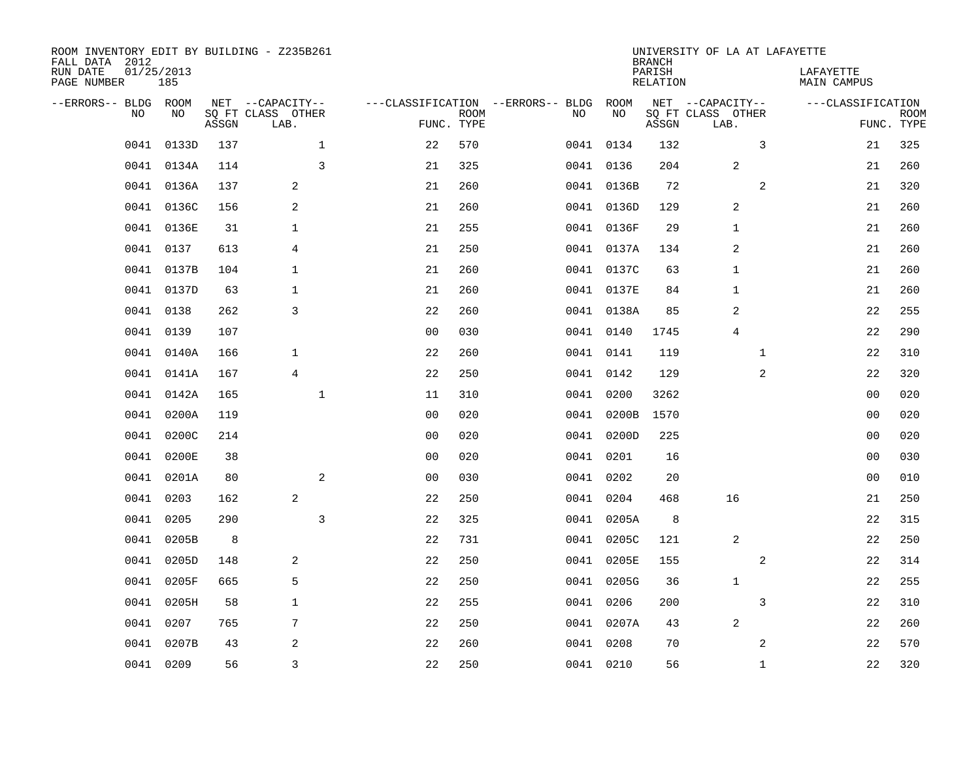| FALL DATA 2012<br>RUN DATE<br>PAGE NUMBER |           | 01/25/2013<br>185 |       | ROOM INVENTORY EDIT BY BUILDING - Z235B261    |                                   |                           |      |            | <b>BRANCH</b><br>PARISH<br>RELATION | UNIVERSITY OF LA AT LAFAYETTE                 |              | LAFAYETTE<br>MAIN CAMPUS |                           |
|-------------------------------------------|-----------|-------------------|-------|-----------------------------------------------|-----------------------------------|---------------------------|------|------------|-------------------------------------|-----------------------------------------------|--------------|--------------------------|---------------------------|
| --ERRORS-- BLDG ROOM                      | <b>NO</b> | NO.               | ASSGN | NET --CAPACITY--<br>SQ FT CLASS OTHER<br>LAB. | ---CLASSIFICATION --ERRORS-- BLDG | <b>ROOM</b><br>FUNC. TYPE | NO.  | ROOM<br>NO | ASSGN                               | NET --CAPACITY--<br>SQ FT CLASS OTHER<br>LAB. |              | ---CLASSIFICATION        | <b>ROOM</b><br>FUNC. TYPE |
|                                           | 0041      | 0133D             | 137   | $\mathbf{1}$                                  | 22                                | 570                       |      | 0041 0134  | 132                                 |                                               | 3            | 21                       | 325                       |
|                                           | 0041      | 0134A             | 114   | $\overline{3}$                                | 21                                | 325                       |      | 0041 0136  | 204                                 | 2                                             |              | 21                       | 260                       |
|                                           | 0041      | 0136A             | 137   | 2                                             | 21                                | 260                       |      | 0041 0136B | 72                                  |                                               | 2            | 21                       | 320                       |
|                                           | 0041      | 0136C             | 156   | 2                                             | 21                                | 260                       |      | 0041 0136D | 129                                 | 2                                             |              | 21                       | 260                       |
|                                           | 0041      | 0136E             | 31    | $\mathbf{1}$                                  | 21                                | 255                       |      | 0041 0136F | 29                                  | 1                                             |              | 21                       | 260                       |
|                                           |           | 0041 0137         | 613   | 4                                             | 21                                | 250                       |      | 0041 0137A | 134                                 | 2                                             |              | 21                       | 260                       |
|                                           | 0041      | 0137B             | 104   | $\mathbf{1}$                                  | 21                                | 260                       |      | 0041 0137C | 63                                  | 1                                             |              | 21                       | 260                       |
|                                           |           | 0041 0137D        | 63    | $\mathbf 1$                                   | 21                                | 260                       |      | 0041 0137E | 84                                  | 1                                             |              | 21                       | 260                       |
|                                           | 0041      | 0138              | 262   | 3                                             | 22                                | 260                       |      | 0041 0138A | 85                                  | 2                                             |              | 22                       | 255                       |
|                                           |           | 0041 0139         | 107   |                                               | 0 <sub>0</sub>                    | 030                       |      | 0041 0140  | 1745                                | 4                                             |              | 22                       | 290                       |
|                                           | 0041      | 0140A             | 166   | $\mathbf{1}$                                  | 22                                | 260                       |      | 0041 0141  | 119                                 |                                               | $\mathbf{1}$ | 22                       | 310                       |
|                                           |           | 0041 0141A        | 167   | $\overline{4}$                                | 22                                | 250                       |      | 0041 0142  | 129                                 |                                               | 2            | 22                       | 320                       |
|                                           | 0041      | 0142A             | 165   | $\mathbf{1}$                                  | 11                                | 310                       | 0041 | 0200       | 3262                                |                                               |              | 00                       | 020                       |
|                                           | 0041      | 0200A             | 119   |                                               | 0 <sub>0</sub>                    | 020                       |      | 0041 0200B | 1570                                |                                               |              | 0 <sub>0</sub>           | 020                       |
|                                           | 0041      | 0200C             | 214   |                                               | 0 <sub>0</sub>                    | 020                       |      | 0041 0200D | 225                                 |                                               |              | 0 <sub>0</sub>           | 020                       |
|                                           | 0041      | 0200E             | 38    |                                               | 0 <sub>0</sub>                    | 020                       |      | 0041 0201  | 16                                  |                                               |              | 00                       | 030                       |
|                                           | 0041      | 0201A             | 80    | 2                                             | 0 <sub>0</sub>                    | 030                       |      | 0041 0202  | 20                                  |                                               |              | 00                       | 010                       |
|                                           | 0041      | 0203              | 162   | 2                                             | 22                                | 250                       | 0041 | 0204       | 468                                 | 16                                            |              | 21                       | 250                       |
|                                           | 0041      | 0205              | 290   | 3                                             | 22                                | 325                       |      | 0041 0205A | 8                                   |                                               |              | 22                       | 315                       |
|                                           | 0041      | 0205B             | 8     |                                               | 22                                | 731                       |      | 0041 0205C | 121                                 | 2                                             |              | 22                       | 250                       |
|                                           | 0041      | 0205D             | 148   | 2                                             | 22                                | 250                       |      | 0041 0205E | 155                                 |                                               | 2            | 22                       | 314                       |
|                                           | 0041      | 0205F             | 665   | 5                                             | 22                                | 250                       |      | 0041 0205G | 36                                  | $\mathbf 1$                                   |              | 22                       | 255                       |
|                                           | 0041      | 0205H             | 58    | $\mathbf{1}$                                  | 22                                | 255                       |      | 0041 0206  | 200                                 |                                               | 3            | 22                       | 310                       |
|                                           | 0041      | 0207              | 765   | $\overline{7}$                                | 22                                | 250                       |      | 0041 0207A | 43                                  | 2                                             |              | 22                       | 260                       |
|                                           | 0041      | 0207B             | 43    | 2                                             | 22                                | 260                       | 0041 | 0208       | 70                                  |                                               | 2            | 22                       | 570                       |
|                                           |           | 0041 0209         | 56    | 3                                             | 22                                | 250                       |      | 0041 0210  | 56                                  |                                               | $\mathbf{1}$ | 22                       | 320                       |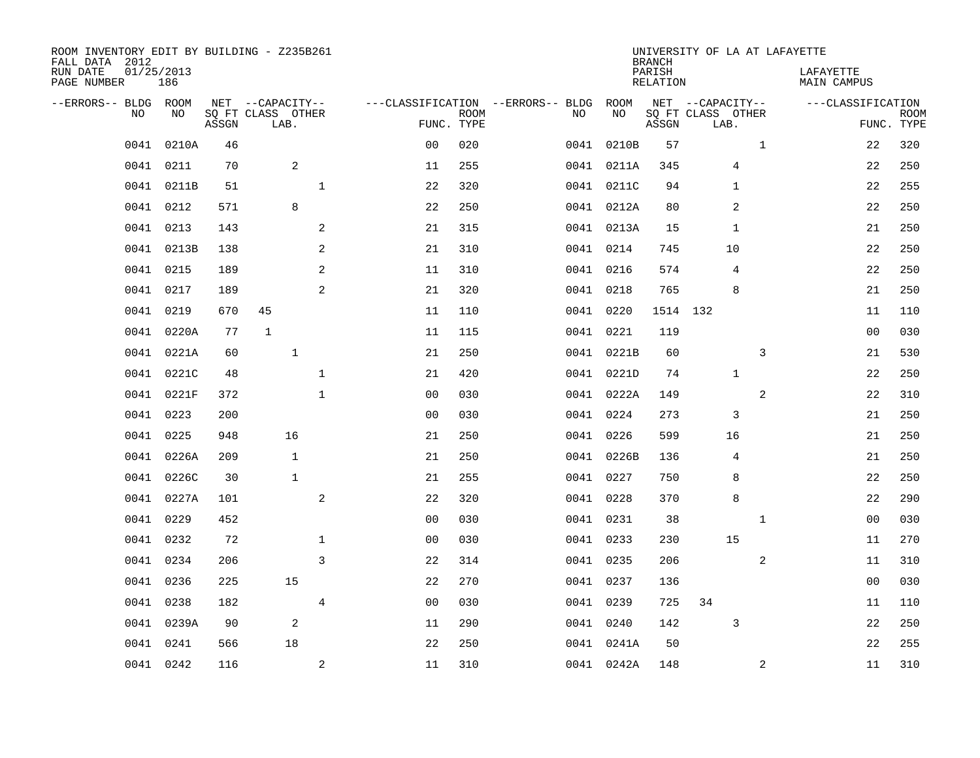| ROOM INVENTORY EDIT BY BUILDING - Z235B261<br>FALL DATA 2012<br>RUN DATE<br>PAGE NUMBER | 01/25/2013<br>186 |       |                                               |                |                                                 |             |           |            | <b>BRANCH</b><br>PARISH<br><b>RELATION</b> | UNIVERSITY OF LA AT LAFAYETTE                 |                | LAFAYETTE<br>MAIN CAMPUS        |             |
|-----------------------------------------------------------------------------------------|-------------------|-------|-----------------------------------------------|----------------|-------------------------------------------------|-------------|-----------|------------|--------------------------------------------|-----------------------------------------------|----------------|---------------------------------|-------------|
| --ERRORS-- BLDG ROOM<br>NO                                                              | NO                | ASSGN | NET --CAPACITY--<br>SQ FT CLASS OTHER<br>LAB. |                | ---CLASSIFICATION --ERRORS-- BLDG<br>FUNC. TYPE | <b>ROOM</b> | NO        | ROOM<br>NO | ASSGN                                      | NET --CAPACITY--<br>SQ FT CLASS OTHER<br>LAB. |                | ---CLASSIFICATION<br>FUNC. TYPE | <b>ROOM</b> |
| 0041                                                                                    | 0210A             | 46    |                                               |                | 0 <sub>0</sub>                                  | 020         | 0041      | 0210B      | 57                                         |                                               | $\mathbf{1}$   | 22                              | 320         |
| 0041                                                                                    | 0211              | 70    | $\overline{c}$                                |                | 11                                              | 255         |           | 0041 0211A | 345                                        | 4                                             |                | 22                              | 250         |
| 0041                                                                                    | 0211B             | 51    |                                               | $\mathbf 1$    | 22                                              | 320         |           | 0041 0211C | 94                                         | $\mathbf{1}$                                  |                | 22                              | 255         |
| 0041                                                                                    | 0212              | 571   | 8                                             |                | 22                                              | 250         |           | 0041 0212A | 80                                         | 2                                             |                | 22                              | 250         |
| 0041                                                                                    | 0213              | 143   |                                               | 2              | 21                                              | 315         |           | 0041 0213A | 15                                         | 1                                             |                | 21                              | 250         |
| 0041                                                                                    | 0213B             | 138   |                                               | 2              | 21                                              | 310         | 0041 0214 |            | 745                                        | 10                                            |                | 22                              | 250         |
| 0041                                                                                    | 0215              | 189   |                                               | 2              | 11                                              | 310         | 0041 0216 |            | 574                                        | $\overline{4}$                                |                | 22                              | 250         |
| 0041                                                                                    | 0217              | 189   |                                               | 2              | 21                                              | 320         | 0041 0218 |            | 765                                        | 8                                             |                | 21                              | 250         |
| 0041                                                                                    | 0219              | 670   | 45                                            |                | 11                                              | 110         | 0041      | 0220       | 1514 132                                   |                                               |                | 11                              | 110         |
| 0041                                                                                    | 0220A             | 77    | 1                                             |                | 11                                              | 115         | 0041 0221 |            | 119                                        |                                               |                | 0 <sub>0</sub>                  | 030         |
| 0041                                                                                    | 0221A             | 60    | $\mathbf{1}$                                  |                | 21                                              | 250         |           | 0041 0221B | 60                                         |                                               | 3              | 21                              | 530         |
| 0041                                                                                    | 0221C             | 48    |                                               | $\mathbf 1$    | 21                                              | 420         |           | 0041 0221D | 74                                         | $\mathbf 1$                                   |                | 22                              | 250         |
| 0041                                                                                    | 0221F             | 372   |                                               | $\mathbf{1}$   | 0 <sub>0</sub>                                  | 030         |           | 0041 0222A | 149                                        |                                               | $\overline{a}$ | 22                              | 310         |
| 0041                                                                                    | 0223              | 200   |                                               |                | 0 <sub>0</sub>                                  | 030         | 0041 0224 |            | 273                                        | 3                                             |                | 21                              | 250         |
| 0041                                                                                    | 0225              | 948   | 16                                            |                | 21                                              | 250         | 0041 0226 |            | 599                                        | 16                                            |                | 21                              | 250         |
| 0041                                                                                    | 0226A             | 209   | $\mathbf{1}$                                  |                | 21                                              | 250         |           | 0041 0226B | 136                                        | 4                                             |                | 21                              | 250         |
| 0041                                                                                    | 0226C             | 30    | $\mathbf{1}$                                  |                | 21                                              | 255         | 0041 0227 |            | 750                                        | 8                                             |                | 22                              | 250         |
| 0041                                                                                    | 0227A             | 101   |                                               | $\overline{a}$ | 22                                              | 320         | 0041 0228 |            | 370                                        | 8                                             |                | 22                              | 290         |
| 0041                                                                                    | 0229              | 452   |                                               |                | 0 <sub>0</sub>                                  | 030         | 0041 0231 |            | 38                                         |                                               | $\mathbf{1}$   | 0 <sub>0</sub>                  | 030         |
| 0041                                                                                    | 0232              | 72    |                                               | $\mathbf 1$    | 0 <sub>0</sub>                                  | 030         | 0041 0233 |            | 230                                        | 15                                            |                | 11                              | 270         |
| 0041                                                                                    | 0234              | 206   |                                               | 3              | 22                                              | 314         | 0041 0235 |            | 206                                        |                                               | 2              | 11                              | 310         |
| 0041                                                                                    | 0236              | 225   | 15                                            |                | 22                                              | 270         | 0041 0237 |            | 136                                        |                                               |                | 00                              | 030         |
| 0041                                                                                    | 0238              | 182   |                                               | $\overline{4}$ | 00                                              | 030         | 0041 0239 |            | 725                                        | 34                                            |                | 11                              | 110         |
| 0041                                                                                    | 0239A             | 90    | 2                                             |                | 11                                              | 290         | 0041 0240 |            | 142                                        | 3                                             |                | 22                              | 250         |
| 0041                                                                                    | 0241              | 566   | 18                                            |                | 22                                              | 250         |           | 0041 0241A | 50                                         |                                               |                | 22                              | 255         |
|                                                                                         | 0041 0242         | 116   |                                               | $\overline{a}$ | 11                                              | 310         |           | 0041 0242A | 148                                        |                                               | 2              | 11                              | 310         |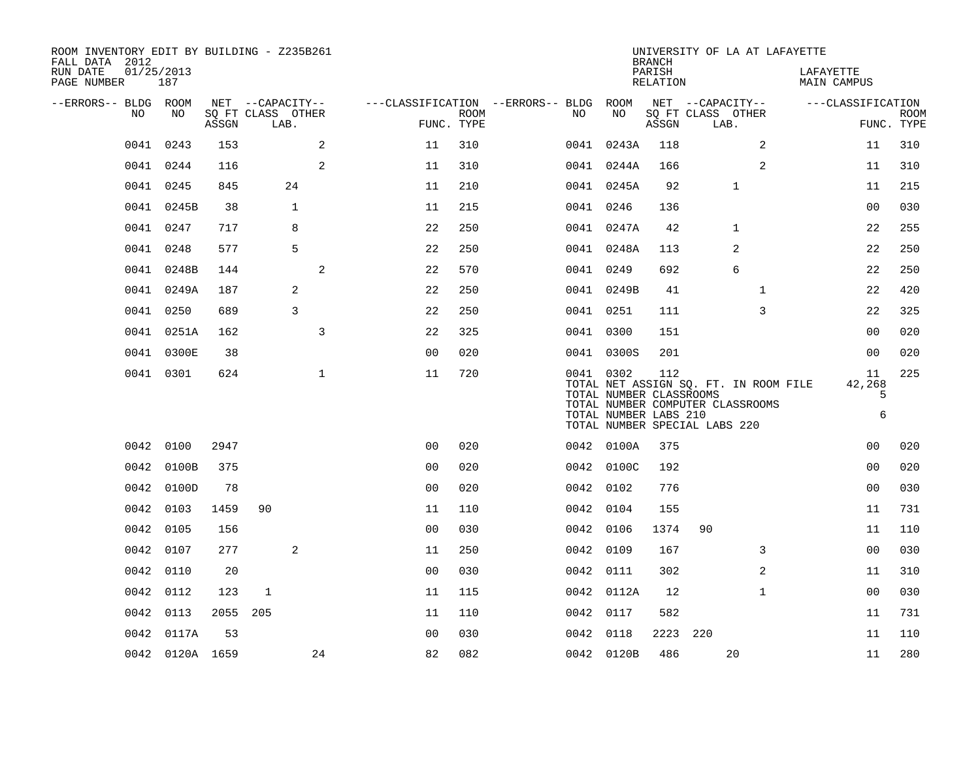| ROOM INVENTORY EDIT BY BUILDING - Z235B261<br>FALL DATA 2012 |                   |       |                           |                |                           |                                        |                                                               | <b>BRANCH</b>      | UNIVERSITY OF LA AT LAFAYETTE                                                                              |                          |                           |
|--------------------------------------------------------------|-------------------|-------|---------------------------|----------------|---------------------------|----------------------------------------|---------------------------------------------------------------|--------------------|------------------------------------------------------------------------------------------------------------|--------------------------|---------------------------|
| RUN DATE<br>PAGE NUMBER                                      | 01/25/2013<br>187 |       |                           |                |                           |                                        |                                                               | PARISH<br>RELATION |                                                                                                            | LAFAYETTE<br>MAIN CAMPUS |                           |
| --ERRORS-- BLDG ROOM                                         |                   |       | NET --CAPACITY--          |                |                           | ---CLASSIFICATION --ERRORS-- BLDG ROOM |                                                               |                    | NET --CAPACITY--                                                                                           | ---CLASSIFICATION        |                           |
| NO                                                           | NO                | ASSGN | SQ FT CLASS OTHER<br>LAB. |                | <b>ROOM</b><br>FUNC. TYPE | NO                                     | NO                                                            | ASSGN              | SQ FT CLASS OTHER<br>LAB.                                                                                  |                          | <b>ROOM</b><br>FUNC. TYPE |
| 0041                                                         | 0243              | 153   |                           | 2<br>11        | 310                       |                                        | 0041 0243A                                                    | 118                | 2                                                                                                          | 11                       | 310                       |
|                                                              | 0041 0244         | 116   |                           | 2<br>11        | 310                       |                                        | 0041 0244A                                                    | 166                | 2                                                                                                          | 11                       | 310                       |
|                                                              | 0041 0245         | 845   | 24                        | 11             | 210                       |                                        | 0041 0245A                                                    | 92                 | $\mathbf 1$                                                                                                | 11                       | 215                       |
|                                                              | 0041 0245B        | 38    | $\mathbf{1}$              | 11             | 215                       |                                        | 0041 0246                                                     | 136                |                                                                                                            | 0 <sub>0</sub>           | 030                       |
|                                                              | 0041 0247         | 717   | 8                         | 22             | 250                       |                                        | 0041 0247A                                                    | 42                 | $\mathbf{1}$                                                                                               | 22                       | 255                       |
| 0041                                                         | 0248              | 577   | 5                         | 22             | 250                       |                                        | 0041 0248A                                                    | 113                | 2                                                                                                          | 22                       | 250                       |
| 0041                                                         | 0248B             | 144   |                           | 2<br>22        | 570                       |                                        | 0041 0249                                                     | 692                | 6                                                                                                          | 22                       | 250                       |
| 0041                                                         | 0249A             | 187   | 2                         | 22             | 250                       |                                        | 0041 0249B                                                    | 41                 | $\mathbf{1}$                                                                                               | 22                       | 420                       |
| 0041                                                         | 0250              | 689   | 3                         | 22             | 250                       |                                        | 0041 0251                                                     | 111                | 3                                                                                                          | 22                       | 325                       |
|                                                              | 0041 0251A        | 162   |                           | 3<br>22        | 325                       |                                        | 0041 0300                                                     | 151                |                                                                                                            | 0 <sub>0</sub>           | 020                       |
|                                                              | 0041 0300E        | 38    |                           | 0 <sub>0</sub> | 020                       |                                        | 0041 0300S                                                    | 201                |                                                                                                            | 00                       | 020                       |
|                                                              | 0041 0301         | 624   | $\mathbf{1}$              | 11             | 720                       |                                        | 0041 0302<br>TOTAL NUMBER CLASSROOMS<br>TOTAL NUMBER LABS 210 | 112                | TOTAL NET ASSIGN SQ. FT. IN ROOM FILE<br>TOTAL NUMBER COMPUTER CLASSROOMS<br>TOTAL NUMBER SPECIAL LABS 220 | 11<br>42,268<br>5<br>6   | 225                       |
|                                                              | 0042 0100         | 2947  |                           | 0 <sub>0</sub> | 020                       |                                        | 0042 0100A                                                    | 375                |                                                                                                            | 0 <sub>0</sub>           | 020                       |
|                                                              | 0042 0100B        | 375   |                           | 0 <sub>0</sub> | 020                       |                                        | 0042 0100C                                                    | 192                |                                                                                                            | 0 <sub>0</sub>           | 020                       |
|                                                              | 0042 0100D        | 78    |                           | 0 <sub>0</sub> | 020                       |                                        | 0042 0102                                                     | 776                |                                                                                                            | 0 <sub>0</sub>           | 030                       |
|                                                              | 0042 0103         | 1459  | 90                        | 11             | 110                       |                                        | 0042 0104                                                     | 155                |                                                                                                            | 11                       | 731                       |
| 0042                                                         | 0105              | 156   |                           | 0 <sub>0</sub> | 030                       |                                        | 0042 0106                                                     | 1374               | 90                                                                                                         | 11                       | 110                       |
| 0042                                                         | 0107              | 277   | 2                         | 11             | 250                       |                                        | 0042 0109                                                     | 167                | 3                                                                                                          | 0 <sub>0</sub>           | 030                       |
| 0042                                                         | 0110              | 20    |                           | 0 <sub>0</sub> | 030                       |                                        | 0042 0111                                                     | 302                | 2                                                                                                          | 11                       | 310                       |
|                                                              | 0042 0112         | 123   | 1                         | 11             | 115                       |                                        | 0042 0112A                                                    | 12                 | $\mathbf{1}$                                                                                               | 00                       | 030                       |
|                                                              | 0042 0113         | 2055  | 205                       | 11             | 110                       |                                        | 0042 0117                                                     | 582                |                                                                                                            | 11                       | 731                       |
|                                                              | 0042 0117A        | 53    |                           | 0 <sub>0</sub> | 030                       |                                        | 0042 0118                                                     |                    | 2223 220                                                                                                   | 11                       | 110                       |
|                                                              | 0042 0120A 1659   |       | 24                        | 82             | 082                       |                                        | 0042 0120B                                                    | 486                | 20                                                                                                         | 11                       | 280                       |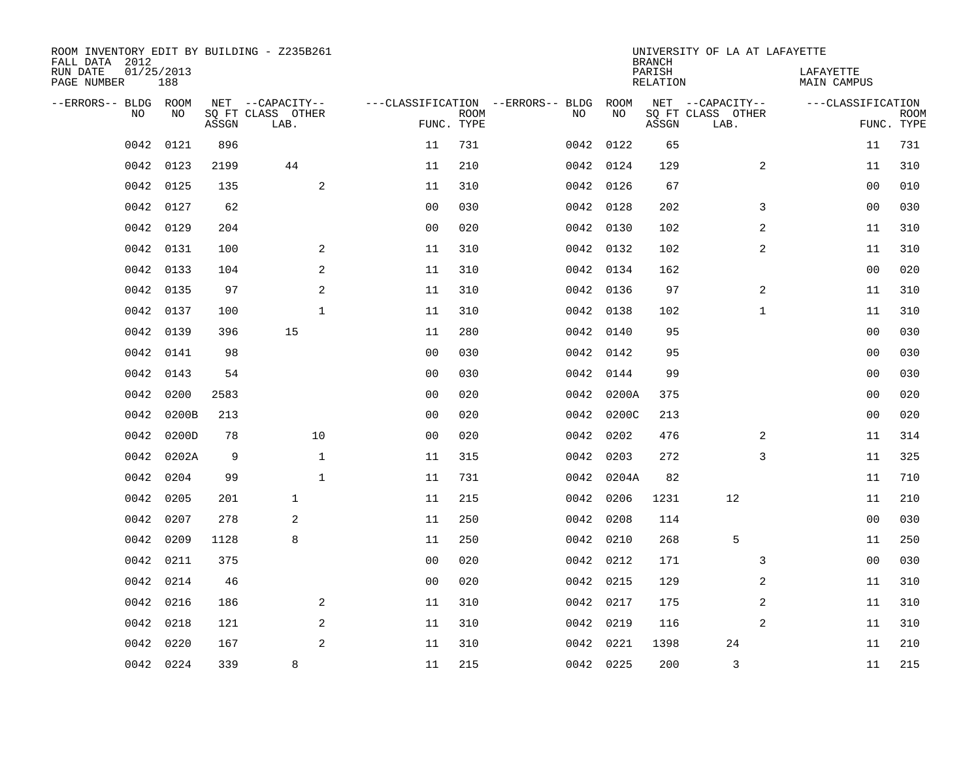| ROOM INVENTORY EDIT BY BUILDING - Z235B261<br>FALL DATA 2012 |                   |       |                           |                |                           |                                        |            | <b>BRANCH</b>             | UNIVERSITY OF LA AT LAFAYETTE |                                 |                           |
|--------------------------------------------------------------|-------------------|-------|---------------------------|----------------|---------------------------|----------------------------------------|------------|---------------------------|-------------------------------|---------------------------------|---------------------------|
| RUN DATE<br>PAGE NUMBER                                      | 01/25/2013<br>188 |       |                           |                |                           |                                        |            | PARISH<br><b>RELATION</b> |                               | LAFAYETTE<br><b>MAIN CAMPUS</b> |                           |
| --ERRORS-- BLDG ROOM                                         |                   |       | NET --CAPACITY--          |                |                           | ---CLASSIFICATION --ERRORS-- BLDG ROOM |            |                           | NET --CAPACITY--              | ---CLASSIFICATION               |                           |
| NO                                                           | NO                | ASSGN | SQ FT CLASS OTHER<br>LAB. |                | <b>ROOM</b><br>FUNC. TYPE | NO                                     | NO         | ASSGN                     | SQ FT CLASS OTHER<br>LAB.     |                                 | <b>ROOM</b><br>FUNC. TYPE |
| 0042                                                         | 0121              | 896   |                           | 11             | 731                       |                                        | 0042 0122  | 65                        |                               | 11                              | 731                       |
| 0042                                                         | 0123              | 2199  | 44                        | 11             | 210                       |                                        | 0042 0124  | 129                       | 2                             | 11                              | 310                       |
| 0042                                                         | 0125              | 135   | 2                         | 11             | 310                       |                                        | 0042 0126  | 67                        |                               | 00                              | 010                       |
| 0042                                                         | 0127              | 62    |                           | 0 <sub>0</sub> | 030                       |                                        | 0042 0128  | 202                       | 3                             | 0 <sub>0</sub>                  | 030                       |
| 0042                                                         | 0129              | 204   |                           | 0 <sub>0</sub> | 020                       |                                        | 0042 0130  | 102                       | $\overline{a}$                | 11                              | 310                       |
| 0042                                                         | 0131              | 100   | 2                         | 11             | 310                       |                                        | 0042 0132  | 102                       | 2                             | 11                              | 310                       |
| 0042                                                         | 0133              | 104   | 2                         | 11             | 310                       |                                        | 0042 0134  | 162                       |                               | 0 <sub>0</sub>                  | 020                       |
| 0042                                                         | 0135              | 97    | 2                         | 11             | 310                       |                                        | 0042 0136  | 97                        | 2                             | 11                              | 310                       |
| 0042                                                         | 0137              | 100   | $\mathbf{1}$              | 11             | 310                       | 0042                                   | 0138       | 102                       | $\mathbf{1}$                  | 11                              | 310                       |
| 0042                                                         | 0139              | 396   | 15                        | 11             | 280                       |                                        | 0042 0140  | 95                        |                               | 0 <sub>0</sub>                  | 030                       |
| 0042                                                         | 0141              | 98    |                           | 0 <sub>0</sub> | 030                       | 0042                                   | 0142       | 95                        |                               | 0 <sub>0</sub>                  | 030                       |
| 0042                                                         | 0143              | 54    |                           | 0 <sub>0</sub> | 030                       |                                        | 0042 0144  | 99                        |                               | 0 <sub>0</sub>                  | 030                       |
| 0042                                                         | 0200              | 2583  |                           | 0 <sub>0</sub> | 020                       | 0042                                   | 0200A      | 375                       |                               | 00                              | 020                       |
| 0042                                                         | 0200B             | 213   |                           | 0 <sub>0</sub> | 020                       |                                        | 0042 0200C | 213                       |                               | 00                              | 020                       |
| 0042                                                         | 0200D             | 78    | 10                        | 0 <sub>0</sub> | 020                       | 0042                                   | 0202       | 476                       | 2                             | 11                              | 314                       |
| 0042                                                         | 0202A             | 9     | $\mathbf{1}$              | 11             | 315                       |                                        | 0042 0203  | 272                       | 3                             | 11                              | 325                       |
| 0042                                                         | 0204              | 99    | $\mathbf{1}$              | 11             | 731                       |                                        | 0042 0204A | 82                        |                               | 11                              | 710                       |
| 0042                                                         | 0205              | 201   | $\mathbf{1}$              | 11             | 215                       |                                        | 0042 0206  | 1231                      | 12                            | 11                              | 210                       |
| 0042                                                         | 0207              | 278   | 2                         | 11             | 250                       |                                        | 0042 0208  | 114                       |                               | 0 <sub>0</sub>                  | 030                       |
| 0042                                                         | 0209              | 1128  | 8                         | 11             | 250                       |                                        | 0042 0210  | 268                       | 5                             | 11                              | 250                       |
| 0042                                                         | 0211              | 375   |                           | 0 <sub>0</sub> | 020                       |                                        | 0042 0212  | 171                       | 3                             | 00                              | 030                       |
| 0042                                                         | 0214              | 46    |                           | 0 <sub>0</sub> | 020                       |                                        | 0042 0215  | 129                       | 2                             | 11                              | 310                       |
| 0042                                                         | 0216              | 186   | 2                         | 11             | 310                       |                                        | 0042 0217  | 175                       | 2                             | 11                              | 310                       |
| 0042                                                         | 0218              | 121   | 2                         | 11             | 310                       |                                        | 0042 0219  | 116                       | 2                             | 11                              | 310                       |
| 0042                                                         | 0220              | 167   | 2                         | 11             | 310                       |                                        | 0042 0221  | 1398                      | 24                            | 11                              | 210                       |
|                                                              | 0042 0224         | 339   | 8                         | 11             | 215                       |                                        | 0042 0225  | 200                       | 3                             | 11                              | 215                       |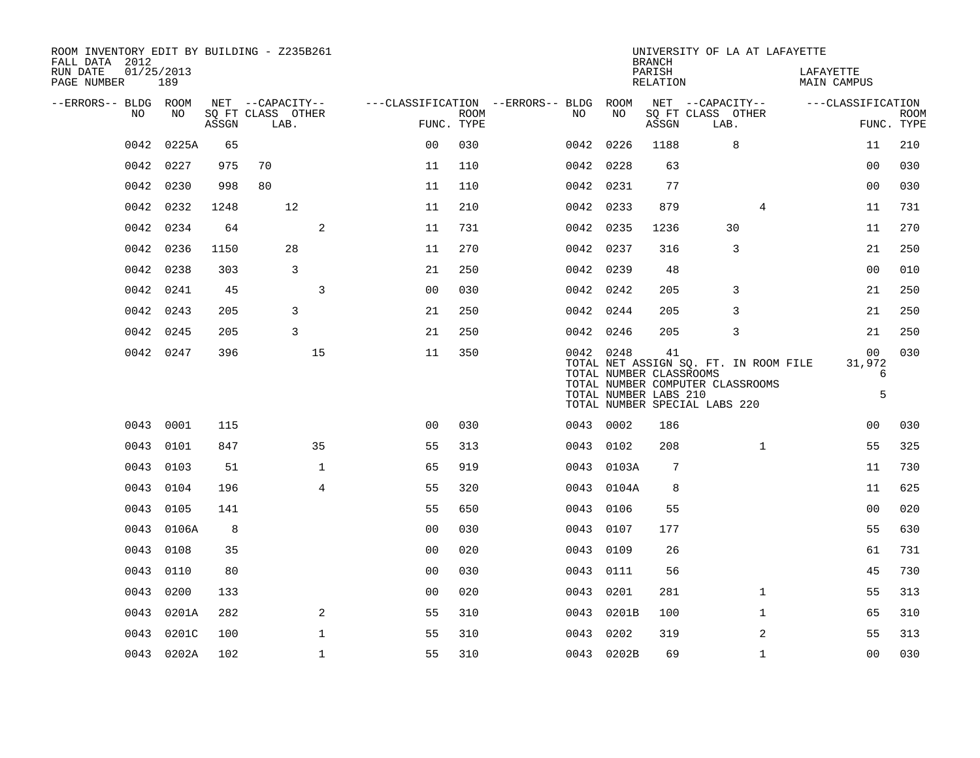| ROOM INVENTORY EDIT BY BUILDING - Z235B261<br>FALL DATA 2012 |                   |       |                           |                |                |             |                                               |            | <b>BRANCH</b>                                          | UNIVERSITY OF LA AT LAFAYETTE                                                                              |                                 |                           |
|--------------------------------------------------------------|-------------------|-------|---------------------------|----------------|----------------|-------------|-----------------------------------------------|------------|--------------------------------------------------------|------------------------------------------------------------------------------------------------------------|---------------------------------|---------------------------|
| RUN DATE<br>PAGE NUMBER                                      | 01/25/2013<br>189 |       |                           |                |                |             |                                               |            | PARISH<br><b>RELATION</b>                              |                                                                                                            | LAFAYETTE<br><b>MAIN CAMPUS</b> |                           |
| --ERRORS-- BLDG ROOM                                         |                   |       | NET --CAPACITY--          |                |                |             | ---CLASSIFICATION --ERRORS-- BLDG ROOM<br>NO. | NO         |                                                        | NET --CAPACITY--                                                                                           | ---CLASSIFICATION               |                           |
| NO                                                           | NO                | ASSGN | SQ FT CLASS OTHER<br>LAB. |                | FUNC. TYPE     | <b>ROOM</b> |                                               |            | ASSGN                                                  | SQ FT CLASS OTHER<br>LAB.                                                                                  |                                 | <b>ROOM</b><br>FUNC. TYPE |
| 0042                                                         | 0225A             | 65    |                           |                | 0 <sup>0</sup> | 030         |                                               | 0042 0226  | 1188                                                   | 8                                                                                                          | 11                              | 210                       |
| 0042                                                         | 0227              | 975   | 70                        |                | 11             | 110         |                                               | 0042 0228  | 63                                                     |                                                                                                            | 0 <sub>0</sub>                  | 030                       |
| 0042                                                         | 0230              | 998   | 80                        |                | 11             | 110         |                                               | 0042 0231  | 77                                                     |                                                                                                            | 00                              | 030                       |
| 0042                                                         | 0232              | 1248  | 12                        |                | 11             | 210         |                                               | 0042 0233  | 879                                                    | 4                                                                                                          | 11                              | 731                       |
| 0042                                                         | 0234              | 64    |                           | $\mathbf{2}$   | 11             | 731         |                                               | 0042 0235  | 1236                                                   | 30                                                                                                         | 11                              | 270                       |
| 0042                                                         | 0236              | 1150  | 28                        |                | 11             | 270         |                                               | 0042 0237  | 316                                                    | 3                                                                                                          | 21                              | 250                       |
| 0042                                                         | 0238              | 303   |                           | 3              | 21             | 250         |                                               | 0042 0239  | 48                                                     |                                                                                                            | 00                              | 010                       |
| 0042                                                         | 0241              | 45    |                           | 3              | 0 <sub>0</sub> | 030         |                                               | 0042 0242  | 205                                                    | 3                                                                                                          | 21                              | 250                       |
|                                                              | 0042 0243         | 205   |                           | 3              | 21             | 250         |                                               | 0042 0244  | 205                                                    | 3                                                                                                          | 21                              | 250                       |
| 0042                                                         | 0245              | 205   |                           | 3              | 21             | 250         |                                               | 0042 0246  | 205                                                    | 3                                                                                                          | 21                              | 250                       |
|                                                              | 0042 0247         | 396   |                           | 15             | 11             | 350         |                                               | 0042 0248  | 41<br>TOTAL NUMBER CLASSROOMS<br>TOTAL NUMBER LABS 210 | TOTAL NET ASSIGN SQ. FT. IN ROOM FILE<br>TOTAL NUMBER COMPUTER CLASSROOMS<br>TOTAL NUMBER SPECIAL LABS 220 | 00<br>31,972<br>6<br>5          | 030                       |
|                                                              | 0043 0001         | 115   |                           |                | 0 <sub>0</sub> | 030         |                                               | 0043 0002  | 186                                                    |                                                                                                            | 0 <sub>0</sub>                  | 030                       |
| 0043                                                         | 0101              | 847   |                           | 35             | 55             | 313         |                                               | 0043 0102  | 208                                                    | $\mathbf{1}$                                                                                               | 55                              | 325                       |
| 0043                                                         | 0103              | 51    |                           | $\mathbf{1}$   | 65             | 919         |                                               | 0043 0103A | 7                                                      |                                                                                                            | 11                              | 730                       |
| 0043                                                         | 0104              | 196   |                           | $\overline{4}$ | 55             | 320         |                                               | 0043 0104A | 8                                                      |                                                                                                            | 11                              | 625                       |
| 0043                                                         | 0105              | 141   |                           |                | 55             | 650         |                                               | 0043 0106  | 55                                                     |                                                                                                            | 0 <sub>0</sub>                  | 020                       |
| 0043                                                         | 0106A             | 8     |                           |                | 0 <sub>0</sub> | 030         | 0043                                          | 0107       | 177                                                    |                                                                                                            | 55                              | 630                       |
| 0043                                                         | 0108              | 35    |                           |                | 0 <sub>0</sub> | 020         | 0043                                          | 0109       | 26                                                     |                                                                                                            | 61                              | 731                       |
| 0043                                                         | 0110              | 80    |                           |                | 00             | 030         | 0043                                          | 0111       | 56                                                     |                                                                                                            | 45                              | 730                       |
| 0043                                                         | 0200              | 133   |                           |                | 0 <sub>0</sub> | 020         | 0043                                          | 0201       | 281                                                    | $\mathbf{1}$                                                                                               | 55                              | 313                       |
| 0043                                                         | 0201A             | 282   |                           | 2              | 55             | 310         | 0043                                          | 0201B      | 100                                                    | $\mathbf{1}$                                                                                               | 65                              | 310                       |
| 0043                                                         | 0201C             | 100   |                           | $\mathbf{1}$   | 55             | 310         | 0043                                          | 0202       | 319                                                    | 2                                                                                                          | 55                              | 313                       |
|                                                              | 0043 0202A        | 102   |                           | $\mathbf{1}$   | 55             | 310         |                                               | 0043 0202B | 69                                                     | $\mathbf{1}$                                                                                               | 0 <sub>0</sub>                  | 030                       |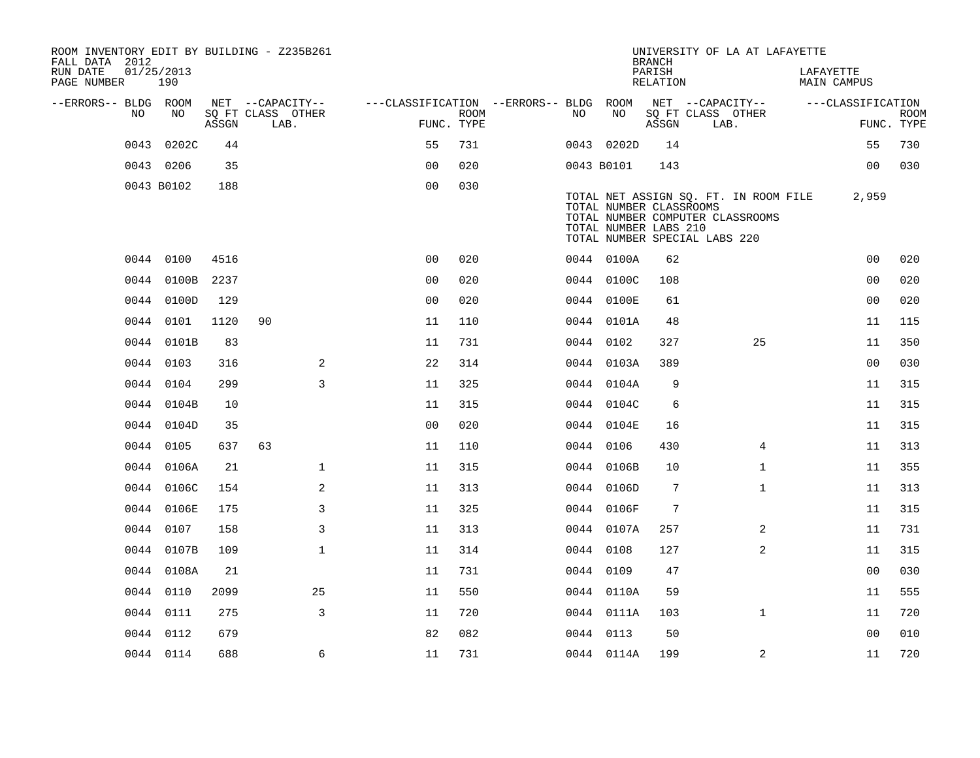| ROOM INVENTORY EDIT BY BUILDING - Z235B261<br>FALL DATA 2012 |                   |       |    |                           |                                        |             |     |            | <b>BRANCH</b>                                    |                               | UNIVERSITY OF LA AT LAFAYETTE                                             |                          |                   |             |
|--------------------------------------------------------------|-------------------|-------|----|---------------------------|----------------------------------------|-------------|-----|------------|--------------------------------------------------|-------------------------------|---------------------------------------------------------------------------|--------------------------|-------------------|-------------|
| RUN DATE<br>PAGE NUMBER                                      | 01/25/2013<br>190 |       |    |                           |                                        |             |     |            | PARISH<br>RELATION                               |                               |                                                                           | LAFAYETTE<br>MAIN CAMPUS |                   |             |
| --ERRORS-- BLDG ROOM                                         |                   |       |    | NET --CAPACITY--          | ---CLASSIFICATION --ERRORS-- BLDG ROOM |             |     |            |                                                  | NET --CAPACITY--              |                                                                           |                          | ---CLASSIFICATION |             |
| NO                                                           | NO                | ASSGN |    | SQ FT CLASS OTHER<br>LAB. | FUNC. TYPE                             | <b>ROOM</b> | NO. | NO         | ASSGN                                            | SQ FT CLASS OTHER<br>LAB.     |                                                                           |                          | FUNC. TYPE        | <b>ROOM</b> |
| 0043                                                         | 0202C             | 44    |    |                           | 55                                     | 731         |     | 0043 0202D | 14                                               |                               |                                                                           |                          | 55                | 730         |
|                                                              | 0043 0206         | 35    |    |                           | 0 <sub>0</sub>                         | 020         |     | 0043 B0101 | 143                                              |                               |                                                                           |                          | 0 <sub>0</sub>    | 030         |
|                                                              | 0043 B0102        | 188   |    |                           | 0 <sub>0</sub>                         | 030         |     |            | TOTAL NUMBER CLASSROOMS<br>TOTAL NUMBER LABS 210 | TOTAL NUMBER SPECIAL LABS 220 | TOTAL NET ASSIGN SQ. FT. IN ROOM FILE<br>TOTAL NUMBER COMPUTER CLASSROOMS |                          | 2,959             |             |
|                                                              | 0044 0100         | 4516  |    |                           | 0 <sub>0</sub>                         | 020         |     | 0044 0100A | 62                                               |                               |                                                                           |                          | 0 <sub>0</sub>    | 020         |
|                                                              | 0044 0100B        | 2237  |    |                           | 0 <sub>0</sub>                         | 020         |     | 0044 0100C | 108                                              |                               |                                                                           |                          | 0 <sub>0</sub>    | 020         |
|                                                              | 0044 0100D        | 129   |    |                           | 0 <sub>0</sub>                         | 020         |     | 0044 0100E | 61                                               |                               |                                                                           |                          | 0 <sub>0</sub>    | 020         |
|                                                              | 0044 0101         | 1120  | 90 |                           | 11                                     | 110         |     | 0044 0101A | 48                                               |                               |                                                                           |                          | 11                | 115         |
|                                                              | 0044 0101B        | 83    |    |                           | 11                                     | 731         |     | 0044 0102  | 327                                              |                               | 25                                                                        |                          | 11                | 350         |
|                                                              | 0044 0103         | 316   |    | 2                         | 22                                     | 314         |     | 0044 0103A | 389                                              |                               |                                                                           |                          | 0 <sub>0</sub>    | 030         |
|                                                              | 0044 0104         | 299   |    | 3                         | 11                                     | 325         |     | 0044 0104A | 9                                                |                               |                                                                           |                          | 11                | 315         |
|                                                              | 0044 0104B        | 10    |    |                           | 11                                     | 315         |     | 0044 0104C | 6                                                |                               |                                                                           |                          | 11                | 315         |
|                                                              | 0044 0104D        | 35    |    |                           | 0 <sub>0</sub>                         | 020         |     | 0044 0104E | 16                                               |                               |                                                                           |                          | 11                | 315         |
| 0044                                                         | 0105              | 637   | 63 |                           | 11                                     | 110         |     | 0044 0106  | 430                                              |                               | $\overline{4}$                                                            |                          | 11                | 313         |
|                                                              | 0044 0106A        | 21    |    | $\mathbf 1$               | 11                                     | 315         |     | 0044 0106B | 10                                               |                               | $\mathbf{1}$                                                              |                          | 11                | 355         |
| 0044                                                         | 0106C             | 154   |    | 2                         | 11                                     | 313         |     | 0044 0106D | $7\phantom{.0}$                                  |                               | $\mathbf{1}$                                                              |                          | 11                | 313         |
|                                                              | 0044 0106E        | 175   |    | 3                         | 11                                     | 325         |     | 0044 0106F | 7                                                |                               |                                                                           |                          | 11                | 315         |
|                                                              | 0044 0107         | 158   |    | 3                         | 11                                     | 313         |     | 0044 0107A | 257                                              |                               | 2                                                                         |                          | 11                | 731         |
|                                                              | 0044 0107B        | 109   |    | $\mathbf 1$               | 11                                     | 314         |     | 0044 0108  | 127                                              |                               | 2                                                                         |                          | 11                | 315         |
|                                                              | 0044 0108A        | 21    |    |                           | 11                                     | 731         |     | 0044 0109  | 47                                               |                               |                                                                           |                          | 0 <sub>0</sub>    | 030         |
|                                                              | 0044 0110         | 2099  |    | 25                        | 11                                     | 550         |     | 0044 0110A | 59                                               |                               |                                                                           |                          | 11                | 555         |
|                                                              | 0044 0111         | 275   |    | 3                         | 11                                     | 720         |     | 0044 0111A | 103                                              |                               | $\mathbf{1}$                                                              |                          | 11                | 720         |
|                                                              | 0044 0112         | 679   |    |                           | 82                                     | 082         |     | 0044 0113  | 50                                               |                               |                                                                           |                          | 0 <sub>0</sub>    | 010         |
|                                                              | 0044 0114         | 688   |    | 6                         | 11                                     | 731         |     | 0044 0114A | 199                                              |                               | 2                                                                         |                          | 11                | 720         |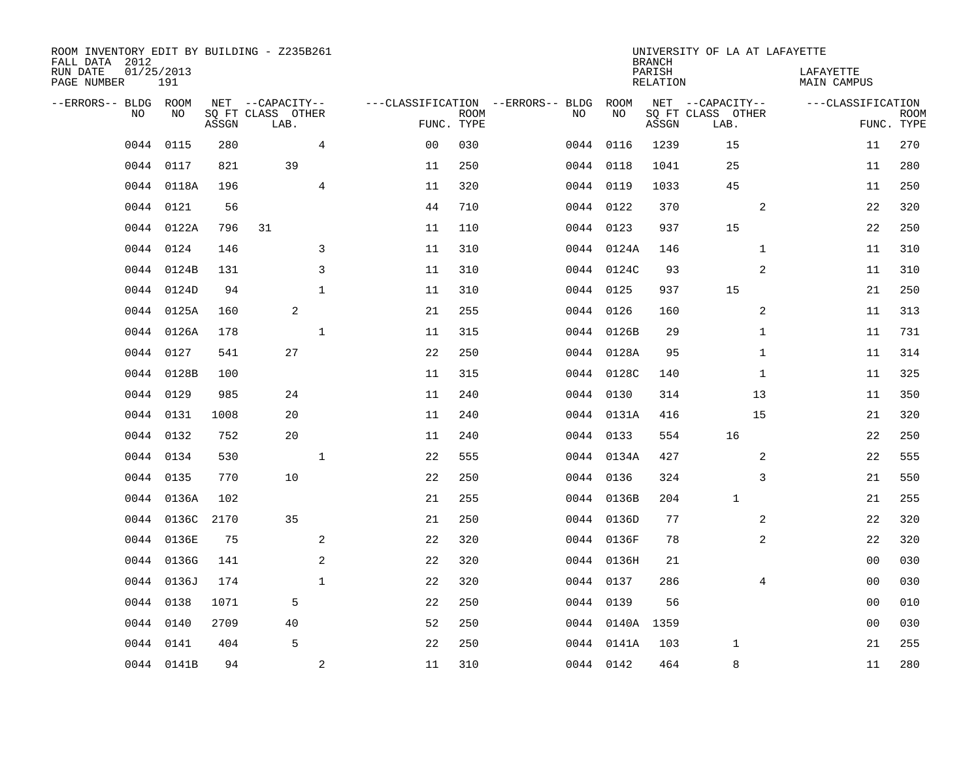| ROOM INVENTORY EDIT BY BUILDING - Z235B261<br>FALL DATA 2012 |                   |       |                           |                |                                   |                           |    |            | <b>BRANCH</b>             | UNIVERSITY OF LA AT LAFAYETTE |                                 |                |                           |
|--------------------------------------------------------------|-------------------|-------|---------------------------|----------------|-----------------------------------|---------------------------|----|------------|---------------------------|-------------------------------|---------------------------------|----------------|---------------------------|
| RUN DATE<br>PAGE NUMBER                                      | 01/25/2013<br>191 |       |                           |                |                                   |                           |    |            | PARISH<br><b>RELATION</b> |                               | LAFAYETTE<br><b>MAIN CAMPUS</b> |                |                           |
| --ERRORS-- BLDG ROOM                                         |                   |       | NET --CAPACITY--          |                | ---CLASSIFICATION --ERRORS-- BLDG |                           |    | ROOM       |                           | NET --CAPACITY--              | ---CLASSIFICATION               |                |                           |
| NO                                                           | NO                | ASSGN | SQ FT CLASS OTHER<br>LAB. |                |                                   | <b>ROOM</b><br>FUNC. TYPE | NO | NO         | ASSGN                     | SQ FT CLASS OTHER<br>LAB.     |                                 |                | <b>ROOM</b><br>FUNC. TYPE |
| 0044                                                         | 0115              | 280   |                           | 4              | 0 <sub>0</sub>                    | 030                       |    | 0044 0116  | 1239                      | 15                            |                                 | 11             | 270                       |
| 0044                                                         | 0117              | 821   | 39                        |                | 11                                | 250                       |    | 0044 0118  | 1041                      | 25                            |                                 | 11             | 280                       |
| 0044                                                         | 0118A             | 196   |                           | $\overline{4}$ | 11                                | 320                       |    | 0044 0119  | 1033                      | 45                            |                                 | 11             | 250                       |
| 0044                                                         | 0121              | 56    |                           |                | 44                                | 710                       |    | 0044 0122  | 370                       |                               | 2                               | 22             | 320                       |
| 0044                                                         | 0122A             | 796   | 31                        |                | 11                                | 110                       |    | 0044 0123  | 937                       | 15                            |                                 | 22             | 250                       |
| 0044                                                         | 0124              | 146   |                           | 3              | 11                                | 310                       |    | 0044 0124A | 146                       |                               | $\mathbf{1}$                    | 11             | 310                       |
| 0044                                                         | 0124B             | 131   |                           | 3              | 11                                | 310                       |    | 0044 0124C | 93                        |                               | $\overline{a}$                  | 11             | 310                       |
| 0044                                                         | 0124D             | 94    |                           | $\mathbf{1}$   | 11                                | 310                       |    | 0044 0125  | 937                       | 15                            |                                 | 21             | 250                       |
| 0044                                                         | 0125A             | 160   | 2                         |                | 21                                | 255                       |    | 0044 0126  | 160                       |                               | 2                               | 11             | 313                       |
| 0044                                                         | 0126A             | 178   |                           | $\mathbf 1$    | 11                                | 315                       |    | 0044 0126B | 29                        |                               | $\mathbf{1}$                    | 11             | 731                       |
| 0044                                                         | 0127              | 541   | 27                        |                | 22                                | 250                       |    | 0044 0128A | 95                        |                               | $\mathbf{1}$                    | 11             | 314                       |
|                                                              | 0044 0128B        | 100   |                           |                | 11                                | 315                       |    | 0044 0128C | 140                       |                               | $\mathbf{1}$                    | 11             | 325                       |
| 0044                                                         | 0129              | 985   | 24                        |                | 11                                | 240                       |    | 0044 0130  | 314                       | 13                            |                                 | 11             | 350                       |
| 0044                                                         | 0131              | 1008  | 20                        |                | 11                                | 240                       |    | 0044 0131A | 416                       | 15                            |                                 | 21             | 320                       |
| 0044                                                         | 0132              | 752   | 20                        |                | 11                                | 240                       |    | 0044 0133  | 554                       | 16                            |                                 | 22             | 250                       |
| 0044                                                         | 0134              | 530   |                           | $\mathbf{1}$   | 22                                | 555                       |    | 0044 0134A | 427                       |                               | 2                               | 22             | 555                       |
| 0044                                                         | 0135              | 770   | 10                        |                | 22                                | 250                       |    | 0044 0136  | 324                       |                               | 3                               | 21             | 550                       |
| 0044                                                         | 0136A             | 102   |                           |                | 21                                | 255                       |    | 0044 0136B | 204                       | $\mathbf{1}$                  |                                 | 21             | 255                       |
| 0044                                                         | 0136C             | 2170  | 35                        |                | 21                                | 250                       |    | 0044 0136D | 77                        |                               | 2                               | 22             | 320                       |
| 0044                                                         | 0136E             | 75    |                           | 2              | 22                                | 320                       |    | 0044 0136F | 78                        |                               | 2                               | 22             | 320                       |
| 0044                                                         | 0136G             | 141   |                           | 2              | 22                                | 320                       |    | 0044 0136H | 21                        |                               |                                 | 00             | 030                       |
| 0044                                                         | 0136J             | 174   |                           | $\mathbf{1}$   | 22                                | 320                       |    | 0044 0137  | 286                       |                               | 4                               | 00             | 030                       |
| 0044                                                         | 0138              | 1071  | 5                         |                | 22                                | 250                       |    | 0044 0139  | 56                        |                               |                                 | 00             | 010                       |
| 0044                                                         | 0140              | 2709  | 40                        |                | 52                                | 250                       |    | 0044 0140A | 1359                      |                               |                                 | 0 <sub>0</sub> | 030                       |
| 0044                                                         | 0141              | 404   | 5                         |                | 22                                | 250                       |    | 0044 0141A | 103                       | 1                             |                                 | 21             | 255                       |
|                                                              | 0044 0141B        | 94    |                           | $\mathbf{2}$   | 11                                | 310                       |    | 0044 0142  | 464                       | 8                             |                                 | 11             | 280                       |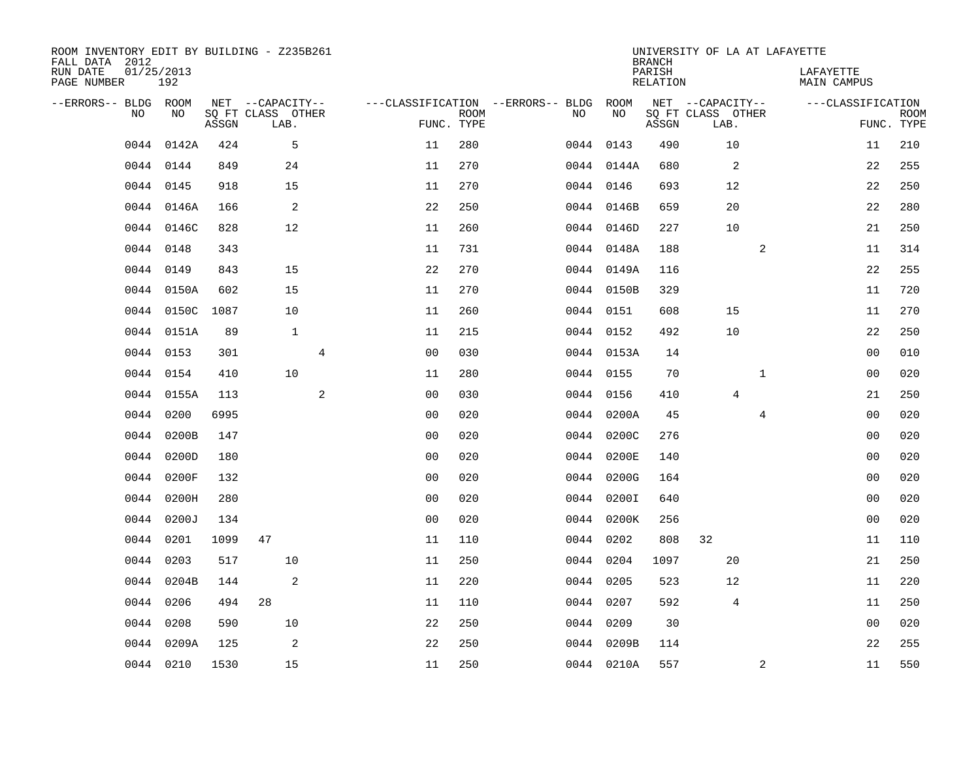| ROOM INVENTORY EDIT BY BUILDING - Z235B261<br>FALL DATA 2012 |                   |       |                           |                |                                        |                           |      |            | <b>BRANCH</b>             | UNIVERSITY OF LA AT LAFAYETTE |              |                                 |                           |
|--------------------------------------------------------------|-------------------|-------|---------------------------|----------------|----------------------------------------|---------------------------|------|------------|---------------------------|-------------------------------|--------------|---------------------------------|---------------------------|
| RUN DATE<br>PAGE NUMBER                                      | 01/25/2013<br>192 |       |                           |                |                                        |                           |      |            | PARISH<br><b>RELATION</b> |                               |              | LAFAYETTE<br><b>MAIN CAMPUS</b> |                           |
| --ERRORS-- BLDG ROOM                                         |                   |       | NET --CAPACITY--          |                | ---CLASSIFICATION --ERRORS-- BLDG ROOM |                           |      |            |                           | NET --CAPACITY--              |              | ---CLASSIFICATION               |                           |
| NO.                                                          | NO                | ASSGN | SQ FT CLASS OTHER<br>LAB. |                |                                        | <b>ROOM</b><br>FUNC. TYPE | NO   | NO         | ASSGN                     | SQ FT CLASS OTHER<br>LAB.     |              |                                 | <b>ROOM</b><br>FUNC. TYPE |
| 0044                                                         | 0142A             | 424   | 5                         |                | 11                                     | 280                       |      | 0044 0143  | 490                       | 10                            |              | 11                              | 210                       |
|                                                              | 0044 0144         | 849   | 24                        |                | 11                                     | 270                       |      | 0044 0144A | 680                       | 2                             |              | 22                              | 255                       |
| 0044                                                         | 0145              | 918   | 15                        |                | 11                                     | 270                       |      | 0044 0146  | 693                       | 12                            |              | 22                              | 250                       |
| 0044                                                         | 0146A             | 166   | 2                         |                | 22                                     | 250                       |      | 0044 0146B | 659                       | 20                            |              | 22                              | 280                       |
| 0044                                                         | 0146C             | 828   | 12                        |                | 11                                     | 260                       |      | 0044 0146D | 227                       | 10                            |              | 21                              | 250                       |
|                                                              | 0044 0148         | 343   |                           |                | 11                                     | 731                       |      | 0044 0148A | 188                       |                               | 2            | 11                              | 314                       |
| 0044                                                         | 0149              | 843   | 15                        |                | 22                                     | 270                       |      | 0044 0149A | 116                       |                               |              | 22                              | 255                       |
|                                                              | 0044 0150A        | 602   | 15                        |                | 11                                     | 270                       |      | 0044 0150B | 329                       |                               |              | 11                              | 720                       |
| 0044                                                         | 0150C             | 1087  | 10                        |                | 11                                     | 260                       |      | 0044 0151  | 608                       | 15                            |              | 11                              | 270                       |
|                                                              | 0044 0151A        | 89    | $\mathbf{1}$              |                | 11                                     | 215                       |      | 0044 0152  | 492                       | 10                            |              | 22                              | 250                       |
|                                                              | 0044 0153         | 301   |                           | $\overline{4}$ | 0 <sub>0</sub>                         | 030                       |      | 0044 0153A | 14                        |                               |              | 0 <sub>0</sub>                  | 010                       |
|                                                              | 0044 0154         | 410   | 10                        |                | 11                                     | 280                       |      | 0044 0155  | 70                        |                               | $\mathbf{1}$ | 0 <sub>0</sub>                  | 020                       |
| 0044                                                         | 0155A             | 113   |                           | 2              | 0 <sub>0</sub>                         | 030                       |      | 0044 0156  | 410                       | 4                             |              | 21                              | 250                       |
| 0044                                                         | 0200              | 6995  |                           |                | 0 <sub>0</sub>                         | 020                       |      | 0044 0200A | 45                        |                               | 4            | 00                              | 020                       |
| 0044                                                         | 0200B             | 147   |                           |                | 0 <sub>0</sub>                         | 020                       |      | 0044 0200C | 276                       |                               |              | 00                              | 020                       |
| 0044                                                         | 0200D             | 180   |                           |                | 0 <sub>0</sub>                         | 020                       |      | 0044 0200E | 140                       |                               |              | 0 <sub>0</sub>                  | 020                       |
| 0044                                                         | 0200F             | 132   |                           |                | 0 <sub>0</sub>                         | 020                       | 0044 | 0200G      | 164                       |                               |              | 00                              | 020                       |
| 0044                                                         | 0200H             | 280   |                           |                | 0 <sub>0</sub>                         | 020                       | 0044 | 0200I      | 640                       |                               |              | 0 <sub>0</sub>                  | 020                       |
| 0044                                                         | 0200J             | 134   |                           |                | 0 <sub>0</sub>                         | 020                       |      | 0044 0200K | 256                       |                               |              | 0 <sub>0</sub>                  | 020                       |
| 0044                                                         | 0201              | 1099  | 47                        |                | 11                                     | 110                       |      | 0044 0202  | 808                       | 32                            |              | 11                              | 110                       |
| 0044                                                         | 0203              | 517   | 10                        |                | 11                                     | 250                       |      | 0044 0204  | 1097                      | 20                            |              | 21                              | 250                       |
| 0044                                                         | 0204B             | 144   | 2                         |                | 11                                     | 220                       |      | 0044 0205  | 523                       | 12                            |              | 11                              | 220                       |
| 0044                                                         | 0206              | 494   | 28                        |                | 11                                     | 110                       |      | 0044 0207  | 592                       | 4                             |              | 11                              | 250                       |
| 0044                                                         | 0208              | 590   | 10                        |                | 22                                     | 250                       |      | 0044 0209  | 30                        |                               |              | 0 <sub>0</sub>                  | 020                       |
| 0044                                                         | 0209A             | 125   | 2                         |                | 22                                     | 250                       |      | 0044 0209B | 114                       |                               |              | 22                              | 255                       |
|                                                              | 0044 0210         | 1530  | 15                        |                | 11                                     | 250                       |      | 0044 0210A | 557                       |                               | 2            | 11                              | 550                       |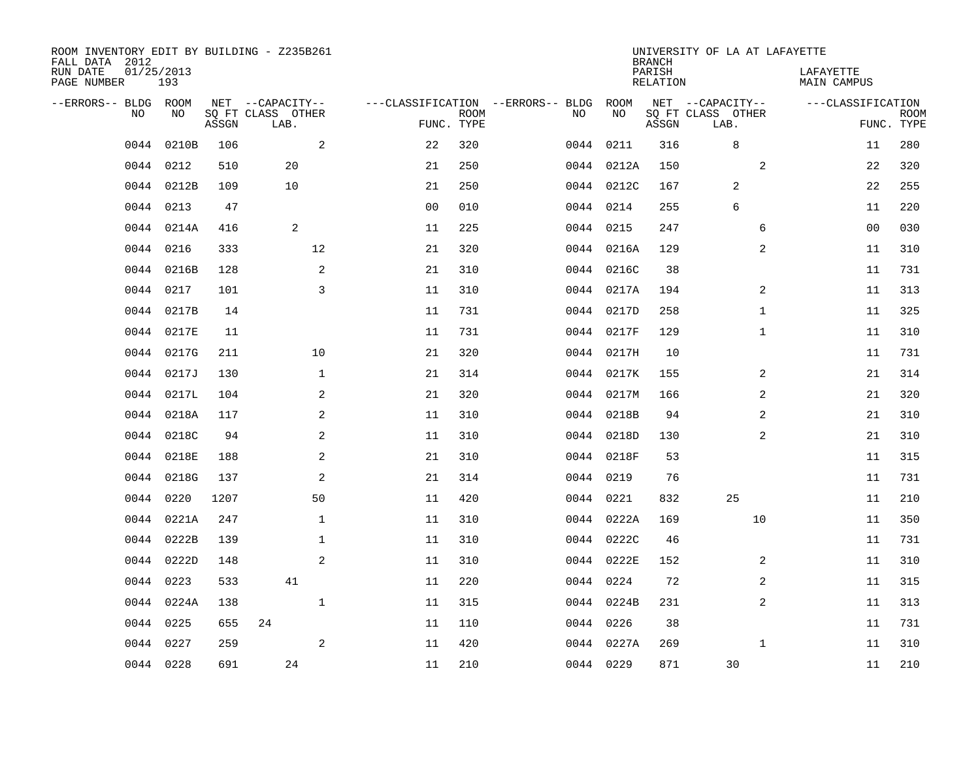| ROOM INVENTORY EDIT BY BUILDING - Z235B261<br>FALL DATA 2012 |                   |       |                           |                                   |             |    |            | <b>BRANCH</b>             | UNIVERSITY OF LA AT LAFAYETTE |                                 |                           |
|--------------------------------------------------------------|-------------------|-------|---------------------------|-----------------------------------|-------------|----|------------|---------------------------|-------------------------------|---------------------------------|---------------------------|
| RUN DATE<br>PAGE NUMBER                                      | 01/25/2013<br>193 |       |                           |                                   |             |    |            | PARISH<br><b>RELATION</b> |                               | LAFAYETTE<br><b>MAIN CAMPUS</b> |                           |
| --ERRORS-- BLDG ROOM                                         |                   |       | NET --CAPACITY--          | ---CLASSIFICATION --ERRORS-- BLDG |             |    | ROOM       |                           | NET --CAPACITY--              | ---CLASSIFICATION               |                           |
| NO.                                                          | NO                | ASSGN | SQ FT CLASS OTHER<br>LAB. | FUNC. TYPE                        | <b>ROOM</b> | NO | NO         | ASSGN                     | SQ FT CLASS OTHER<br>LAB.     |                                 | <b>ROOM</b><br>FUNC. TYPE |
| 0044                                                         | 0210B             | 106   | 2                         | 22                                | 320         |    | 0044 0211  | 316                       | $\,8\,$                       | 11                              | 280                       |
| 0044                                                         | 0212              | 510   | 20                        | 21                                | 250         |    | 0044 0212A | 150                       | 2                             | 22                              | 320                       |
|                                                              | 0044 0212B        | 109   | 10                        | 21                                | 250         |    | 0044 0212C | 167                       | 2                             | 22                              | 255                       |
| 0044                                                         | 0213              | 47    |                           | 0 <sub>0</sub>                    | 010         |    | 0044 0214  | 255                       | 6                             | 11                              | 220                       |
| 0044                                                         | 0214A             | 416   | 2                         | 11                                | 225         |    | 0044 0215  | 247                       | 6                             | 0 <sub>0</sub>                  | 030                       |
| 0044                                                         | 0216              | 333   | 12                        | 21                                | 320         |    | 0044 0216A | 129                       | $\overline{a}$                | 11                              | 310                       |
| 0044                                                         | 0216B             | 128   | 2                         | 21                                | 310         |    | 0044 0216C | 38                        |                               | 11                              | 731                       |
| 0044                                                         | 0217              | 101   | $\overline{3}$            | 11                                | 310         |    | 0044 0217A | 194                       | 2                             | 11                              | 313                       |
| 0044                                                         | 0217B             | 14    |                           | 11                                | 731         |    | 0044 0217D | 258                       | $\mathbf{1}$                  | 11                              | 325                       |
|                                                              | 0044 0217E        | 11    |                           | 11                                | 731         |    | 0044 0217F | 129                       | $\mathbf{1}$                  | 11                              | 310                       |
| 0044                                                         | 0217G             | 211   | 10                        | 21                                | 320         |    | 0044 0217H | 10                        |                               | 11                              | 731                       |
| 0044                                                         | 0217J             | 130   | $\mathbf{1}$              | 21                                | 314         |    | 0044 0217K | 155                       | 2                             | 21                              | 314                       |
| 0044                                                         | 0217L             | 104   | 2                         | 21                                | 320         |    | 0044 0217M | 166                       | 2                             | 21                              | 320                       |
| 0044                                                         | 0218A             | 117   | 2                         | 11                                | 310         |    | 0044 0218B | 94                        | 2                             | 21                              | 310                       |
| 0044                                                         | 0218C             | 94    | 2                         | 11                                | 310         |    | 0044 0218D | 130                       | 2                             | 21                              | 310                       |
| 0044                                                         | 0218E             | 188   | 2                         | 21                                | 310         |    | 0044 0218F | 53                        |                               | 11                              | 315                       |
| 0044                                                         | 0218G             | 137   | $\mathbf{2}$              | 21                                | 314         |    | 0044 0219  | 76                        |                               | 11                              | 731                       |
| 0044                                                         | 0220              | 1207  | 50                        | 11                                | 420         |    | 0044 0221  | 832                       | 25                            | 11                              | 210                       |
| 0044                                                         | 0221A             | 247   | $\mathbf 1$               | 11                                | 310         |    | 0044 0222A | 169                       | 10                            | 11                              | 350                       |
| 0044                                                         | 0222B             | 139   | $\mathbf 1$               | 11                                | 310         |    | 0044 0222C | 46                        |                               | 11                              | 731                       |
|                                                              | 0044 0222D        | 148   | 2                         | 11                                | 310         |    | 0044 0222E | 152                       | 2                             | 11                              | 310                       |
| 0044                                                         | 0223              | 533   | 41                        | 11                                | 220         |    | 0044 0224  | 72                        | 2                             | 11                              | 315                       |
|                                                              | 0044 0224A        | 138   | $\mathbf{1}$              | 11                                | 315         |    | 0044 0224B | 231                       | 2                             | 11                              | 313                       |
| 0044                                                         | 0225              | 655   | 24                        | 11                                | 110         |    | 0044 0226  | 38                        |                               | 11                              | 731                       |
| 0044                                                         | 0227              | 259   | 2                         | 11                                | 420         |    | 0044 0227A | 269                       | $\mathbf{1}$                  | 11                              | 310                       |
|                                                              | 0044 0228         | 691   | 24                        | 11                                | 210         |    | 0044 0229  | 871                       | 30                            | 11                              | 210                       |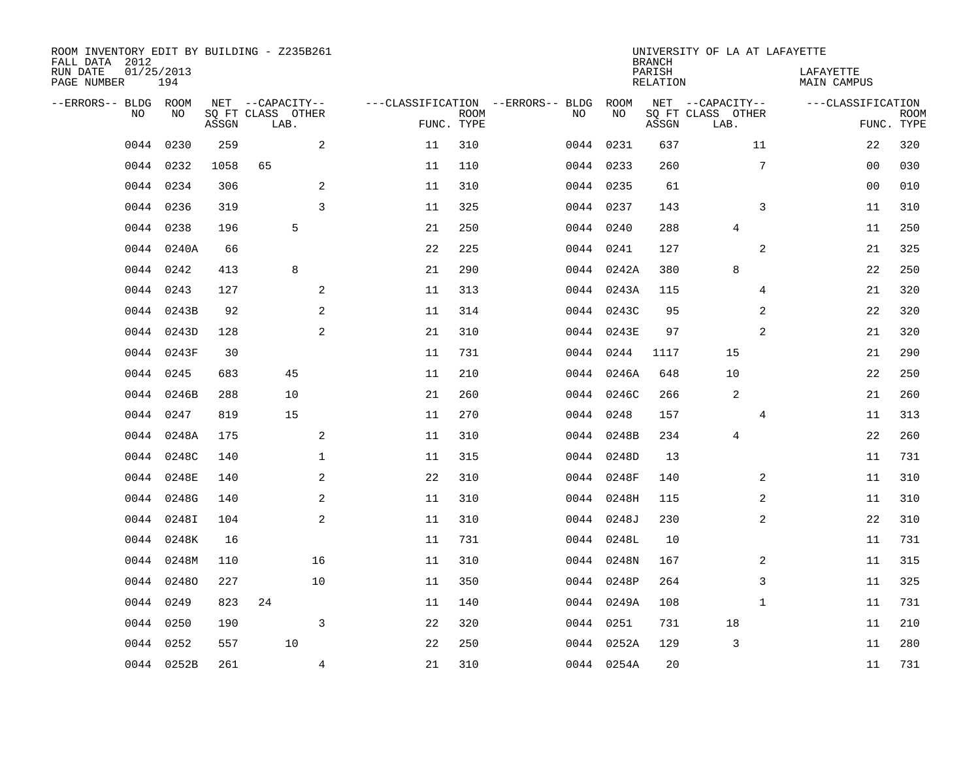| ROOM INVENTORY EDIT BY BUILDING - Z235B261<br>FALL DATA 2012 |                   |       |                           |    |                           |                                   |            | <b>BRANCH</b>             | UNIVERSITY OF LA AT LAFAYETTE |                                 |                           |
|--------------------------------------------------------------|-------------------|-------|---------------------------|----|---------------------------|-----------------------------------|------------|---------------------------|-------------------------------|---------------------------------|---------------------------|
| RUN DATE<br>PAGE NUMBER                                      | 01/25/2013<br>194 |       |                           |    |                           |                                   |            | PARISH<br><b>RELATION</b> |                               | LAFAYETTE<br><b>MAIN CAMPUS</b> |                           |
| --ERRORS-- BLDG ROOM                                         |                   |       | NET --CAPACITY--          |    |                           | ---CLASSIFICATION --ERRORS-- BLDG | ROOM       |                           | NET --CAPACITY--              | ---CLASSIFICATION               |                           |
| NO                                                           | NO                | ASSGN | SQ FT CLASS OTHER<br>LAB. |    | <b>ROOM</b><br>FUNC. TYPE | NO                                | NO         | ASSGN                     | SQ FT CLASS OTHER<br>LAB.     |                                 | <b>ROOM</b><br>FUNC. TYPE |
| 0044                                                         | 0230              | 259   | 2                         | 11 | 310                       |                                   | 0044 0231  | 637                       | 11                            | 22                              | 320                       |
| 0044                                                         | 0232              | 1058  | 65                        | 11 | 110                       |                                   | 0044 0233  | 260                       | $7\phantom{.0}$               | 00                              | 030                       |
| 0044                                                         | 0234              | 306   | 2                         | 11 | 310                       |                                   | 0044 0235  | 61                        |                               | 00                              | 010                       |
| 0044                                                         | 0236              | 319   | $\overline{3}$            | 11 | 325                       |                                   | 0044 0237  | 143                       | 3                             | 11                              | 310                       |
| 0044                                                         | 0238              | 196   | 5                         | 21 | 250                       |                                   | 0044 0240  | 288                       | $\overline{4}$                | 11                              | 250                       |
| 0044                                                         | 0240A             | 66    |                           | 22 | 225                       |                                   | 0044 0241  | 127                       | 2                             | 21                              | 325                       |
| 0044                                                         | 0242              | 413   | 8                         | 21 | 290                       |                                   | 0044 0242A | 380                       | 8                             | 22                              | 250                       |
| 0044                                                         | 0243              | 127   | 2                         | 11 | 313                       |                                   | 0044 0243A | 115                       | 4                             | 21                              | 320                       |
| 0044                                                         | 0243B             | 92    | 2                         | 11 | 314                       |                                   | 0044 0243C | 95                        | 2                             | 22                              | 320                       |
| 0044                                                         | 0243D             | 128   | 2                         | 21 | 310                       |                                   | 0044 0243E | 97                        | 2                             | 21                              | 320                       |
|                                                              | 0044 0243F        | 30    |                           | 11 | 731                       |                                   | 0044 0244  | 1117                      | 15                            | 21                              | 290                       |
|                                                              | 0044 0245         | 683   | 45                        | 11 | 210                       |                                   | 0044 0246A | 648                       | 10                            | 22                              | 250                       |
| 0044                                                         | 0246B             | 288   | 10                        | 21 | 260                       |                                   | 0044 0246C | 266                       | 2                             | 21                              | 260                       |
| 0044                                                         | 0247              | 819   | 15                        | 11 | 270                       |                                   | 0044 0248  | 157                       | 4                             | 11                              | 313                       |
| 0044                                                         | 0248A             | 175   | 2                         | 11 | 310                       |                                   | 0044 0248B | 234                       | 4                             | 22                              | 260                       |
| 0044                                                         | 0248C             | 140   | $\mathbf 1$               | 11 | 315                       |                                   | 0044 0248D | 13                        |                               | 11                              | 731                       |
| 0044                                                         | 0248E             | 140   | 2                         | 22 | 310                       |                                   | 0044 0248F | 140                       | 2                             | 11                              | 310                       |
| 0044                                                         | 0248G             | 140   | 2                         | 11 | 310                       | 0044                              | 0248H      | 115                       | $\overline{a}$                | 11                              | 310                       |
| 0044                                                         | 0248I             | 104   | 2                         | 11 | 310                       |                                   | 0044 0248J | 230                       | 2                             | 22                              | 310                       |
| 0044                                                         | 0248K             | 16    |                           | 11 | 731                       |                                   | 0044 0248L | 10                        |                               | 11                              | 731                       |
| 0044                                                         | 0248M             | 110   | 16                        | 11 | 310                       |                                   | 0044 0248N | 167                       | 2                             | 11                              | 315                       |
| 0044                                                         | 02480             | 227   | 10                        | 11 | 350                       |                                   | 0044 0248P | 264                       | 3                             | 11                              | 325                       |
| 0044                                                         | 0249              | 823   | 24                        | 11 | 140                       |                                   | 0044 0249A | 108                       | $\mathbf{1}$                  | 11                              | 731                       |
| 0044                                                         | 0250              | 190   | 3                         | 22 | 320                       |                                   | 0044 0251  | 731                       | 18                            | 11                              | 210                       |
| 0044                                                         | 0252              | 557   | 10                        | 22 | 250                       |                                   | 0044 0252A | 129                       | 3                             | 11                              | 280                       |
|                                                              | 0044 0252B        | 261   | 4                         | 21 | 310                       |                                   | 0044 0254A | 20                        |                               | 11                              | 731                       |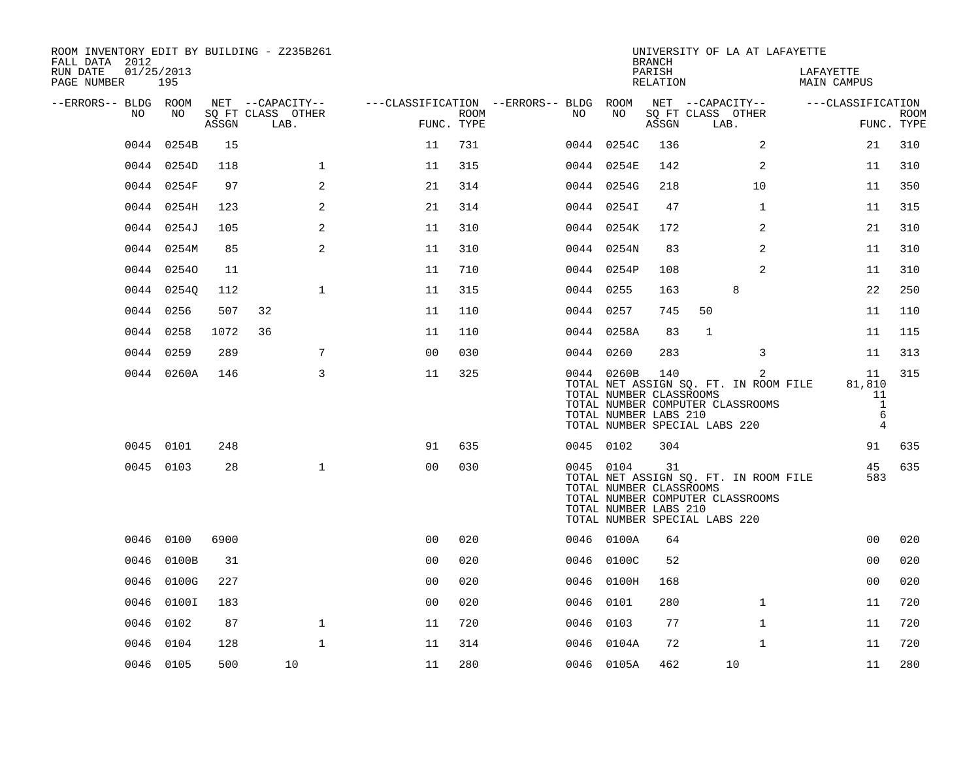| ROOM INVENTORY EDIT BY BUILDING - Z235B261<br>FALL DATA 2012 |                   |       |                           |                                        |                    |      |            | <b>BRANCH</b>                                           | UNIVERSITY OF LA AT LAFAYETTE                                                                                                |                                                |                           |
|--------------------------------------------------------------|-------------------|-------|---------------------------|----------------------------------------|--------------------|------|------------|---------------------------------------------------------|------------------------------------------------------------------------------------------------------------------------------|------------------------------------------------|---------------------------|
| RUN DATE<br>PAGE NUMBER                                      | 01/25/2013<br>195 |       |                           |                                        |                    |      |            | PARISH<br>RELATION                                      |                                                                                                                              | LAFAYETTE<br>MAIN CAMPUS                       |                           |
| --ERRORS-- BLDG ROOM                                         |                   |       | NET --CAPACITY--          | ---CLASSIFICATION --ERRORS-- BLDG ROOM |                    |      |            |                                                         | NET --CAPACITY--                                                                                                             | ---CLASSIFICATION                              |                           |
| NO.                                                          | NO                | ASSGN | SQ FT CLASS OTHER<br>LAB. |                                        | ROOM<br>FUNC. TYPE | NO.  | NO         | ASSGN                                                   | SQ FT CLASS OTHER<br>LAB.                                                                                                    |                                                | <b>ROOM</b><br>FUNC. TYPE |
| 0044                                                         | 0254B             | 15    |                           | 11                                     | 731                |      | 0044 0254C | 136                                                     | 2                                                                                                                            | 21                                             | 310                       |
|                                                              | 0044 0254D        | 118   | $\mathbf 1$               | 11                                     | 315                |      | 0044 0254E | 142                                                     | 2                                                                                                                            | 11                                             | 310                       |
|                                                              | 0044 0254F        | 97    | 2                         | 21                                     | 314                |      | 0044 0254G | 218                                                     | 10                                                                                                                           | 11                                             | 350                       |
|                                                              | 0044 0254H        | 123   | 2                         | 21                                     | 314                |      | 0044 0254I | 47                                                      | $\mathbf{1}$                                                                                                                 | 11                                             | 315                       |
| 0044                                                         | 0254J             | 105   | 2                         | 11                                     | 310                |      | 0044 0254K | 172                                                     | 2                                                                                                                            | 21                                             | 310                       |
|                                                              | 0044 0254M        | 85    | 2                         | 11                                     | 310                |      | 0044 0254N | 83                                                      | 2                                                                                                                            | 11                                             | 310                       |
|                                                              | 0044 02540        | 11    |                           | 11                                     | 710                |      | 0044 0254P | 108                                                     | 2                                                                                                                            | 11                                             | 310                       |
|                                                              | 0044 02540        | 112   | $\mathbf{1}$              | 11                                     | 315                |      | 0044 0255  | 163                                                     | 8                                                                                                                            | 22                                             | 250                       |
|                                                              | 0044 0256         | 507   | 32                        | 11                                     | 110                |      | 0044 0257  | 745                                                     | 50                                                                                                                           | 11                                             | 110                       |
|                                                              | 0044 0258         | 1072  | 36                        | 11                                     | 110                |      | 0044 0258A | 83                                                      | 1                                                                                                                            | 11                                             | 115                       |
| 0044                                                         | 0259              | 289   | 7                         | 0 <sub>0</sub>                         | 030                |      | 0044 0260  | 283                                                     | 3                                                                                                                            | 11                                             | 313                       |
|                                                              | 0044 0260A        | 146   | 3                         | 11                                     | 325                |      | 0044 0260B | 140<br>TOTAL NUMBER CLASSROOMS<br>TOTAL NUMBER LABS 210 | $\overline{2}$<br>TOTAL NET ASSIGN SQ. FT. IN ROOM FILE<br>TOTAL NUMBER COMPUTER CLASSROOMS<br>TOTAL NUMBER SPECIAL LABS 220 | 11<br>81,810<br>11<br>1<br>6<br>$\overline{4}$ | 315                       |
|                                                              | 0045 0101         | 248   |                           | 91                                     | 635                |      | 0045 0102  | 304                                                     |                                                                                                                              | 91                                             | 635                       |
|                                                              | 0045 0103         | 28    | $\mathbf{1}$              | 0 <sub>0</sub>                         | 030                |      | 0045 0104  | 31<br>TOTAL NUMBER CLASSROOMS<br>TOTAL NUMBER LABS 210  | TOTAL NET ASSIGN SQ. FT. IN ROOM FILE<br>TOTAL NUMBER COMPUTER CLASSROOMS<br>TOTAL NUMBER SPECIAL LABS 220                   | 45<br>583                                      | 635                       |
| 0046                                                         | 0100              | 6900  |                           | 0 <sub>0</sub>                         | 020                |      | 0046 0100A | 64                                                      |                                                                                                                              | 0 <sub>0</sub>                                 | 020                       |
| 0046                                                         | 0100B             | 31    |                           | 0 <sub>0</sub>                         | 020                |      | 0046 0100C | 52                                                      |                                                                                                                              | 0 <sub>0</sub>                                 | 020                       |
| 0046                                                         | 0100G             | 227   |                           | 0 <sub>0</sub>                         | 020                |      | 0046 0100H | 168                                                     |                                                                                                                              | 0 <sub>0</sub>                                 | 020                       |
| 0046                                                         | 0100I             | 183   |                           | 0 <sub>0</sub>                         | 020                |      | 0046 0101  | 280                                                     | $\mathbf{1}$                                                                                                                 | 11                                             | 720                       |
| 0046                                                         | 0102              | 87    | $\mathbf 1$               | 11                                     | 720                | 0046 | 0103       | 77                                                      | $\mathbf{1}$                                                                                                                 | 11                                             | 720                       |
| 0046                                                         | 0104              | 128   | $\mathbf{1}$              | 11                                     | 314                |      | 0046 0104A | 72                                                      | $\mathbf{1}$                                                                                                                 | 11                                             | 720                       |
|                                                              | 0046 0105         | 500   | 10                        | 11                                     | 280                |      | 0046 0105A | 462                                                     | 10                                                                                                                           | 11                                             | 280                       |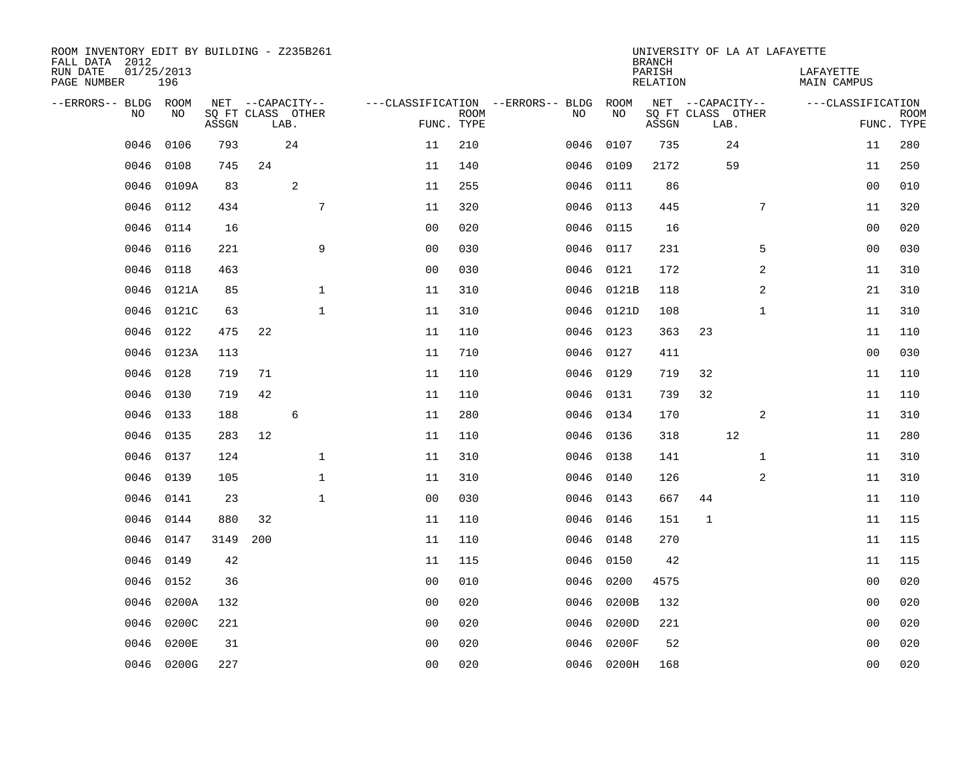| ROOM INVENTORY EDIT BY BUILDING - Z235B261<br>FALL DATA 2012 |                   |       |     |                           |                                   |                           |      |            | <b>BRANCH</b>             |              |                           | UNIVERSITY OF LA AT LAFAYETTE   |                |                           |
|--------------------------------------------------------------|-------------------|-------|-----|---------------------------|-----------------------------------|---------------------------|------|------------|---------------------------|--------------|---------------------------|---------------------------------|----------------|---------------------------|
| RUN DATE<br>PAGE NUMBER                                      | 01/25/2013<br>196 |       |     |                           |                                   |                           |      |            | PARISH<br><b>RELATION</b> |              |                           | LAFAYETTE<br><b>MAIN CAMPUS</b> |                |                           |
| --ERRORS-- BLDG ROOM                                         |                   |       |     | NET --CAPACITY--          | ---CLASSIFICATION --ERRORS-- BLDG |                           |      | ROOM       |                           |              | NET --CAPACITY--          | ---CLASSIFICATION               |                |                           |
| NO                                                           | NO                | ASSGN |     | SQ FT CLASS OTHER<br>LAB. |                                   | <b>ROOM</b><br>FUNC. TYPE | NO   | NO         | ASSGN                     |              | SQ FT CLASS OTHER<br>LAB. |                                 |                | <b>ROOM</b><br>FUNC. TYPE |
| 0046                                                         | 0106              | 793   |     | 24                        | 11                                | 210                       | 0046 | 0107       | 735                       |              | 24                        |                                 | 11             | 280                       |
| 0046                                                         | 0108              | 745   | 24  |                           | 11                                | 140                       | 0046 | 0109       | 2172                      |              | 59                        |                                 | 11             | 250                       |
| 0046                                                         | 0109A             | 83    |     | $\overline{c}$            | 11                                | 255                       | 0046 | 0111       | 86                        |              |                           |                                 | 00             | 010                       |
| 0046                                                         | 0112              | 434   |     | 7                         | 11                                | 320                       |      | 0046 0113  | 445                       |              | 7                         |                                 | 11             | 320                       |
| 0046                                                         | 0114              | 16    |     |                           | 0 <sub>0</sub>                    | 020                       | 0046 | 0115       | 16                        |              |                           |                                 | 0 <sub>0</sub> | 020                       |
| 0046                                                         | 0116              | 221   |     | 9                         | 0 <sub>0</sub>                    | 030                       |      | 0046 0117  | 231                       |              | 5                         |                                 | 0 <sub>0</sub> | 030                       |
| 0046                                                         | 0118              | 463   |     |                           | 0 <sub>0</sub>                    | 030                       |      | 0046 0121  | 172                       |              | $\overline{a}$            |                                 | 11             | 310                       |
| 0046                                                         | 0121A             | 85    |     | $\mathbf{1}$              | 11                                | 310                       |      | 0046 0121B | 118                       |              | 2                         |                                 | 21             | 310                       |
| 0046                                                         | 0121C             | 63    |     | $\mathbf{1}$              | 11                                | 310                       | 0046 | 0121D      | 108                       |              | $\mathbf{1}$              |                                 | 11             | 310                       |
| 0046                                                         | 0122              | 475   | 22  |                           | 11                                | 110                       |      | 0046 0123  | 363                       | 23           |                           |                                 | 11             | 110                       |
| 0046                                                         | 0123A             | 113   |     |                           | 11                                | 710                       | 0046 | 0127       | 411                       |              |                           |                                 | 0 <sub>0</sub> | 030                       |
| 0046                                                         | 0128              | 719   | 71  |                           | 11                                | 110                       | 0046 | 0129       | 719                       | 32           |                           |                                 | 11             | 110                       |
| 0046                                                         | 0130              | 719   | 42  |                           | 11                                | 110                       | 0046 | 0131       | 739                       | 32           |                           |                                 | 11             | 110                       |
| 0046                                                         | 0133              | 188   |     | $\epsilon$                | 11                                | 280                       | 0046 | 0134       | 170                       |              | 2                         |                                 | 11             | 310                       |
| 0046                                                         | 0135              | 283   | 12  |                           | 11                                | 110                       | 0046 | 0136       | 318                       |              | 12                        |                                 | 11             | 280                       |
| 0046                                                         | 0137              | 124   |     | $\mathbf{1}$              | 11                                | 310                       | 0046 | 0138       | 141                       |              | $\mathbf{1}$              |                                 | 11             | 310                       |
| 0046                                                         | 0139              | 105   |     | $\mathbf 1$               | 11                                | 310                       | 0046 | 0140       | 126                       |              | 2                         |                                 | 11             | 310                       |
| 0046                                                         | 0141              | 23    |     | $\mathbf{1}$              | 0 <sub>0</sub>                    | 030                       | 0046 | 0143       | 667                       | 44           |                           |                                 | 11             | 110                       |
| 0046                                                         | 0144              | 880   | 32  |                           | 11                                | 110                       |      | 0046 0146  | 151                       | $\mathbf{1}$ |                           |                                 | 11             | 115                       |
| 0046                                                         | 0147              | 3149  | 200 |                           | 11                                | 110                       | 0046 | 0148       | 270                       |              |                           |                                 | 11             | 115                       |
| 0046                                                         | 0149              | 42    |     |                           | 11                                | 115                       | 0046 | 0150       | 42                        |              |                           |                                 | 11             | 115                       |
| 0046                                                         | 0152              | 36    |     |                           | 0 <sub>0</sub>                    | 010                       | 0046 | 0200       | 4575                      |              |                           |                                 | 00             | 020                       |
| 0046                                                         | 0200A             | 132   |     |                           | 0 <sub>0</sub>                    | 020                       | 0046 | 0200B      | 132                       |              |                           |                                 | 0 <sub>0</sub> | 020                       |
| 0046                                                         | 0200C             | 221   |     |                           | 0 <sub>0</sub>                    | 020                       | 0046 | 0200D      | 221                       |              |                           |                                 | 0 <sub>0</sub> | 020                       |
| 0046                                                         | 0200E             | 31    |     |                           | 0 <sub>0</sub>                    | 020                       | 0046 | 0200F      | 52                        |              |                           |                                 | 0 <sub>0</sub> | 020                       |
|                                                              | 0046 0200G        | 227   |     |                           | 0 <sub>0</sub>                    | 020                       |      | 0046 0200H | 168                       |              |                           |                                 | 0 <sub>0</sub> | 020                       |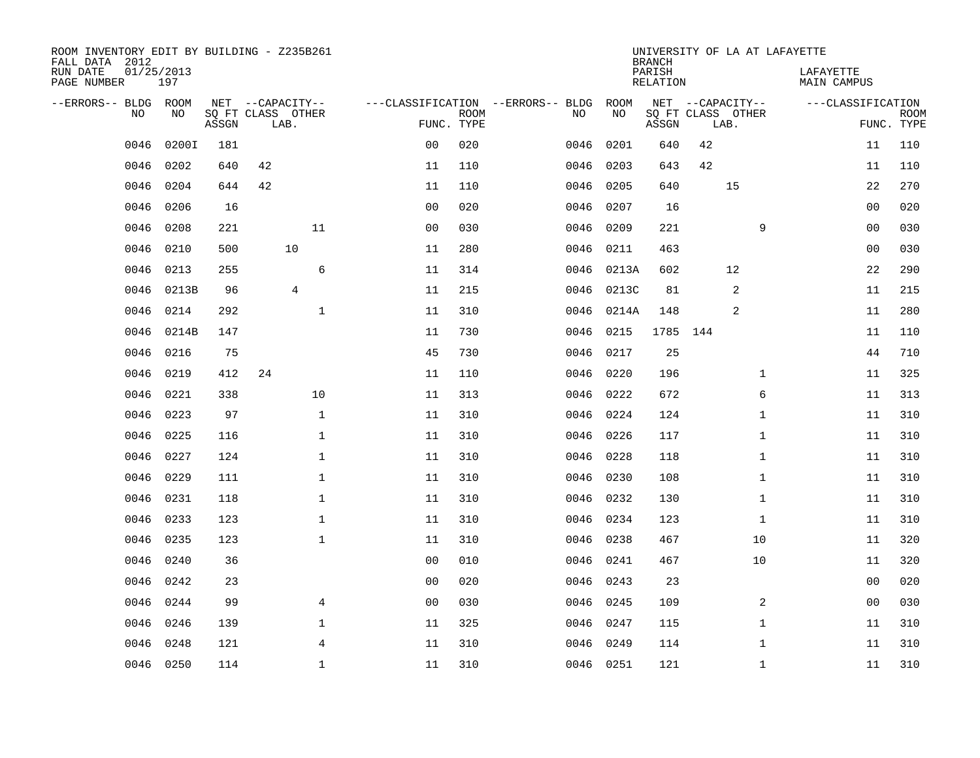| ROOM INVENTORY EDIT BY BUILDING - Z235B261<br>FALL DATA 2012 |                   |       |                           |                |                                        |             |           |            | <b>BRANCH</b>      |      |                   | UNIVERSITY OF LA AT LAFAYETTE |                |                           |
|--------------------------------------------------------------|-------------------|-------|---------------------------|----------------|----------------------------------------|-------------|-----------|------------|--------------------|------|-------------------|-------------------------------|----------------|---------------------------|
| RUN DATE<br>PAGE NUMBER                                      | 01/25/2013<br>197 |       |                           |                |                                        |             |           |            | PARISH<br>RELATION |      |                   | LAFAYETTE<br>MAIN CAMPUS      |                |                           |
| --ERRORS-- BLDG ROOM                                         |                   |       | NET --CAPACITY--          |                | ---CLASSIFICATION --ERRORS-- BLDG ROOM |             |           |            |                    |      | NET --CAPACITY--  | ---CLASSIFICATION             |                |                           |
| NO.                                                          | NO.               | ASSGN | SQ FT CLASS OTHER<br>LAB. |                | FUNC. TYPE                             | <b>ROOM</b> | NO.       | NO         | ASSGN              | LAB. | SQ FT CLASS OTHER |                               |                | <b>ROOM</b><br>FUNC. TYPE |
| 0046                                                         | 0200I             | 181   |                           |                | 0 <sub>0</sub>                         | 020         | 0046      | 0201       | 640                | 42   |                   |                               | 11             | 110                       |
| 0046                                                         | 0202              | 640   | 42                        |                | 11                                     | 110         | 0046      | 0203       | 643                | 42   |                   |                               | 11             | 110                       |
| 0046                                                         | 0204              | 644   | 42                        |                | 11                                     | 110         | 0046      | 0205       | 640                |      | 15                |                               | 22             | 270                       |
| 0046                                                         | 0206              | 16    |                           |                | 0 <sub>0</sub>                         | 020         | 0046      | 0207       | 16                 |      |                   |                               | 00             | 020                       |
| 0046                                                         | 0208              | 221   |                           | 11             | 00                                     | 030         | 0046      | 0209       | 221                |      | 9                 |                               | 00             | 030                       |
| 0046                                                         | 0210              | 500   | 10                        |                | 11                                     | 280         | 0046      | 0211       | 463                |      |                   |                               | 0 <sub>0</sub> | 030                       |
| 0046                                                         | 0213              | 255   |                           | 6              | 11                                     | 314         | 0046      | 0213A      | 602                |      | 12                |                               | 22             | 290                       |
| 0046                                                         | 0213B             | 96    | $\overline{4}$            |                | 11                                     | 215         |           | 0046 0213C | 81                 |      | 2                 |                               | 11             | 215                       |
| 0046                                                         | 0214              | 292   |                           | $\mathbf 1$    | 11                                     | 310         |           | 0046 0214A | 148                |      | 2                 |                               | 11             | 280                       |
| 0046                                                         | 0214B             | 147   |                           |                | 11                                     | 730         | 0046 0215 |            | 1785 144           |      |                   |                               | 11             | 110                       |
| 0046                                                         | 0216              | 75    |                           |                | 45                                     | 730         | 0046      | 0217       | 25                 |      |                   |                               | 44             | 710                       |
| 0046                                                         | 0219              | 412   | 24                        |                | 11                                     | 110         | 0046 0220 |            | 196                |      | $\mathbf{1}$      |                               | 11             | 325                       |
| 0046                                                         | 0221              | 338   |                           | 10             | 11                                     | 313         | 0046      | 0222       | 672                |      | 6                 |                               | 11             | 313                       |
| 0046                                                         | 0223              | 97    |                           | $\mathbf{1}$   | 11                                     | 310         | 0046 0224 |            | 124                |      | $\mathbf{1}$      |                               | 11             | 310                       |
| 0046                                                         | 0225              | 116   |                           | $\mathbf 1$    | 11                                     | 310         | 0046      | 0226       | 117                |      | $\mathbf{1}$      |                               | 11             | 310                       |
| 0046                                                         | 0227              | 124   |                           | $\mathbf{1}$   | 11                                     | 310         | 0046      | 0228       | 118                |      | $\mathbf{1}$      |                               | 11             | 310                       |
| 0046                                                         | 0229              | 111   |                           | $\mathbf 1$    | 11                                     | 310         | 0046      | 0230       | 108                |      | $\mathbf{1}$      |                               | 11             | 310                       |
| 0046                                                         | 0231              | 118   |                           | $\mathbf 1$    | 11                                     | 310         | 0046 0232 |            | 130                |      | $\mathbf{1}$      |                               | 11             | 310                       |
| 0046                                                         | 0233              | 123   |                           | $\mathbf 1$    | 11                                     | 310         | 0046 0234 |            | 123                |      | $\mathbf{1}$      |                               | 11             | 310                       |
| 0046                                                         | 0235              | 123   |                           | $\mathbf{1}$   | 11                                     | 310         | 0046 0238 |            | 467                |      | 10                |                               | 11             | 320                       |
| 0046                                                         | 0240              | 36    |                           |                | 0 <sub>0</sub>                         | 010         | 0046 0241 |            | 467                |      | 10                |                               | 11             | 320                       |
| 0046                                                         | 0242              | 23    |                           |                | 0 <sub>0</sub>                         | 020         | 0046      | 0243       | 23                 |      |                   |                               | 00             | 020                       |
| 0046                                                         | 0244              | 99    |                           | $\overline{4}$ | 0 <sub>0</sub>                         | 030         | 0046 0245 |            | 109                |      | 2                 |                               | 00             | 030                       |
| 0046                                                         | 0246              | 139   |                           | $\mathbf 1$    | 11                                     | 325         | 0046 0247 |            | 115                |      | $\mathbf{1}$      |                               | 11             | 310                       |
| 0046                                                         | 0248              | 121   |                           | 4              | 11                                     | 310         | 0046      | 0249       | 114                |      | $\mathbf{1}$      |                               | 11             | 310                       |
|                                                              | 0046 0250         | 114   |                           | $\mathbf{1}$   | 11                                     | 310         | 0046 0251 |            | 121                |      | $\mathbf{1}$      |                               | 11             | 310                       |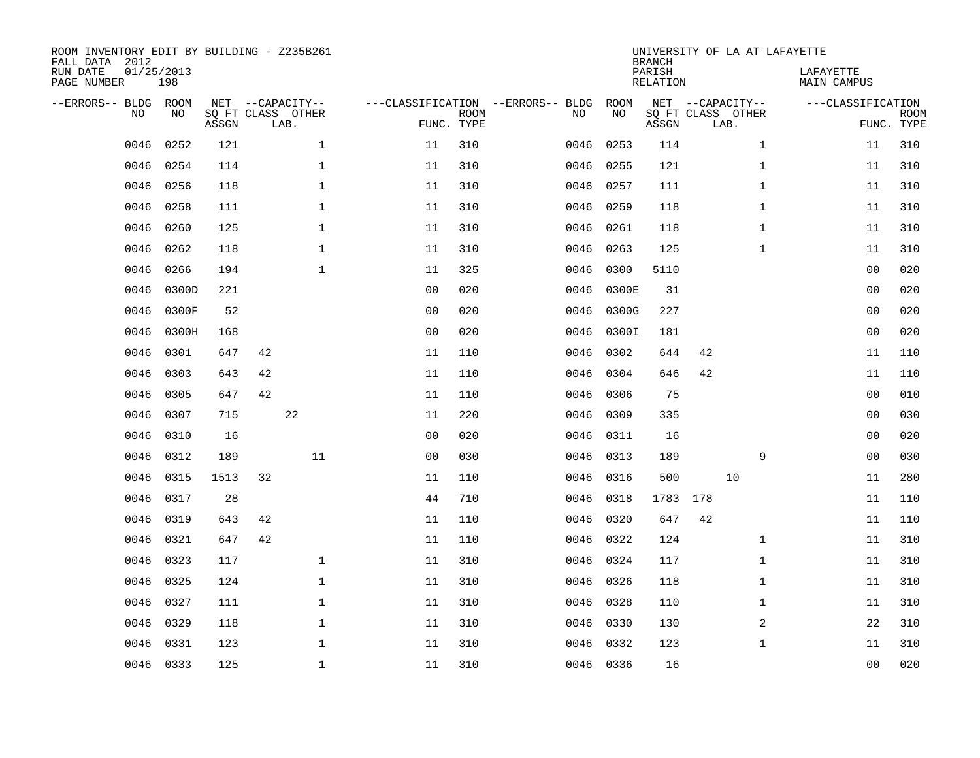| ROOM INVENTORY EDIT BY BUILDING - Z235B261<br>FALL DATA 2012<br>RUN DATE<br>PAGE NUMBER | 01/25/2013 | 198       |       |    |                                               |                                   |                           |      |            | UNIVERSITY OF LA AT LAFAYETTE<br><b>BRANCH</b><br>PARISH<br>RELATION |     |                                               |              | LAFAYETTE<br>MAIN CAMPUS |                           |
|-----------------------------------------------------------------------------------------|------------|-----------|-------|----|-----------------------------------------------|-----------------------------------|---------------------------|------|------------|----------------------------------------------------------------------|-----|-----------------------------------------------|--------------|--------------------------|---------------------------|
| --ERRORS-- BLDG ROOM                                                                    | NO.        | NO        | ASSGN |    | NET --CAPACITY--<br>SQ FT CLASS OTHER<br>LAB. | ---CLASSIFICATION --ERRORS-- BLDG | <b>ROOM</b><br>FUNC. TYPE | NO   | ROOM<br>NO | ASSGN                                                                |     | NET --CAPACITY--<br>SQ FT CLASS OTHER<br>LAB. |              | ---CLASSIFICATION        | <b>ROOM</b><br>FUNC. TYPE |
|                                                                                         | 0046       | 0252      | 121   |    | $\mathbf{1}$                                  | 11                                | 310                       | 0046 | 0253       | 114                                                                  |     |                                               | $\mathbf{1}$ | 11                       | 310                       |
|                                                                                         | 0046       | 0254      | 114   |    | $\mathbf 1$                                   | 11                                | 310                       |      | 0046 0255  | 121                                                                  |     |                                               | $\mathbf{1}$ | 11                       | 310                       |
|                                                                                         | 0046       | 0256      | 118   |    | $\mathbf{1}$                                  | 11                                | 310                       | 0046 | 0257       | 111                                                                  |     |                                               | $\mathbf{1}$ | 11                       | 310                       |
|                                                                                         | 0046       | 0258      | 111   |    | $\mathbf 1$                                   | 11                                | 310                       | 0046 | 0259       | 118                                                                  |     |                                               | $\mathbf{1}$ | 11                       | 310                       |
|                                                                                         | 0046       | 0260      | 125   |    | $\mathbf{1}$                                  | 11                                | 310                       | 0046 | 0261       | 118                                                                  |     |                                               | $\mathbf{1}$ | 11                       | 310                       |
|                                                                                         | 0046       | 0262      | 118   |    | $\mathbf{1}$                                  | 11                                | 310                       | 0046 | 0263       | 125                                                                  |     |                                               | $\mathbf{1}$ | 11                       | 310                       |
|                                                                                         | 0046       | 0266      | 194   |    | $\mathbf{1}$                                  | 11                                | 325                       | 0046 | 0300       | 5110                                                                 |     |                                               |              | 0 <sub>0</sub>           | 020                       |
|                                                                                         | 0046       | 0300D     | 221   |    |                                               | 0 <sub>0</sub>                    | 020                       | 0046 | 0300E      | 31                                                                   |     |                                               |              | 00                       | 020                       |
|                                                                                         | 0046       | 0300F     | 52    |    |                                               | 0 <sub>0</sub>                    | 020                       | 0046 | 0300G      | 227                                                                  |     |                                               |              | 00                       | 020                       |
|                                                                                         | 0046       | 0300H     | 168   |    |                                               | 0 <sub>0</sub>                    | 020                       | 0046 | 0300I      | 181                                                                  |     |                                               |              | 00                       | 020                       |
|                                                                                         | 0046       | 0301      | 647   | 42 |                                               | 11                                | 110                       | 0046 | 0302       | 644                                                                  | 42  |                                               |              | 11                       | 110                       |
|                                                                                         | 0046       | 0303      | 643   | 42 |                                               | 11                                | 110                       | 0046 | 0304       | 646                                                                  | 42  |                                               |              | 11                       | 110                       |
|                                                                                         | 0046       | 0305      | 647   | 42 |                                               | 11                                | 110                       | 0046 | 0306       | 75                                                                   |     |                                               |              | 0 <sub>0</sub>           | 010                       |
|                                                                                         | 0046       | 0307      | 715   |    | 22                                            | 11                                | 220                       | 0046 | 0309       | 335                                                                  |     |                                               |              | 0 <sub>0</sub>           | 030                       |
|                                                                                         | 0046       | 0310      | 16    |    |                                               | 0 <sub>0</sub>                    | 020                       |      | 0046 0311  | 16                                                                   |     |                                               |              | 00                       | 020                       |
|                                                                                         | 0046       | 0312      | 189   |    | 11                                            | 0 <sub>0</sub>                    | 030                       | 0046 | 0313       | 189                                                                  |     |                                               | 9            | 0 <sub>0</sub>           | 030                       |
|                                                                                         | 0046       | 0315      | 1513  | 32 |                                               | 11                                | 110                       | 0046 | 0316       | 500                                                                  |     | 10                                            |              | 11                       | 280                       |
|                                                                                         | 0046       | 0317      | 28    |    |                                               | 44                                | 710                       | 0046 | 0318       | 1783                                                                 | 178 |                                               |              | 11                       | 110                       |
|                                                                                         | 0046       | 0319      | 643   | 42 |                                               | 11                                | 110                       |      | 0046 0320  | 647                                                                  | 42  |                                               |              | 11                       | 110                       |
|                                                                                         | 0046       | 0321      | 647   | 42 |                                               | 11                                | 110                       | 0046 | 0322       | 124                                                                  |     |                                               | $\mathbf{1}$ | 11                       | 310                       |
|                                                                                         | 0046       | 0323      | 117   |    | $\mathbf{1}$                                  | 11                                | 310                       |      | 0046 0324  | 117                                                                  |     |                                               | $\mathbf{1}$ | 11                       | 310                       |
|                                                                                         | 0046       | 0325      | 124   |    | $\mathbf 1$                                   | 11                                | 310                       | 0046 | 0326       | 118                                                                  |     |                                               | $\mathbf{1}$ | 11                       | 310                       |
|                                                                                         | 0046       | 0327      | 111   |    | $\mathbf 1$                                   | 11                                | 310                       |      | 0046 0328  | 110                                                                  |     |                                               | $\mathbf{1}$ | 11                       | 310                       |
|                                                                                         | 0046       | 0329      | 118   |    | $\mathbf{1}$                                  | 11                                | 310                       |      | 0046 0330  | 130                                                                  |     |                                               | 2            | 22                       | 310                       |
|                                                                                         | 0046       | 0331      | 123   |    | $\mathbf{1}$                                  | 11                                | 310                       |      | 0046 0332  | 123                                                                  |     |                                               | $\mathbf{1}$ | 11                       | 310                       |
|                                                                                         |            | 0046 0333 | 125   |    | $\mathbf{1}$                                  | 11                                | 310                       |      | 0046 0336  | 16                                                                   |     |                                               |              | 0 <sub>0</sub>           | 020                       |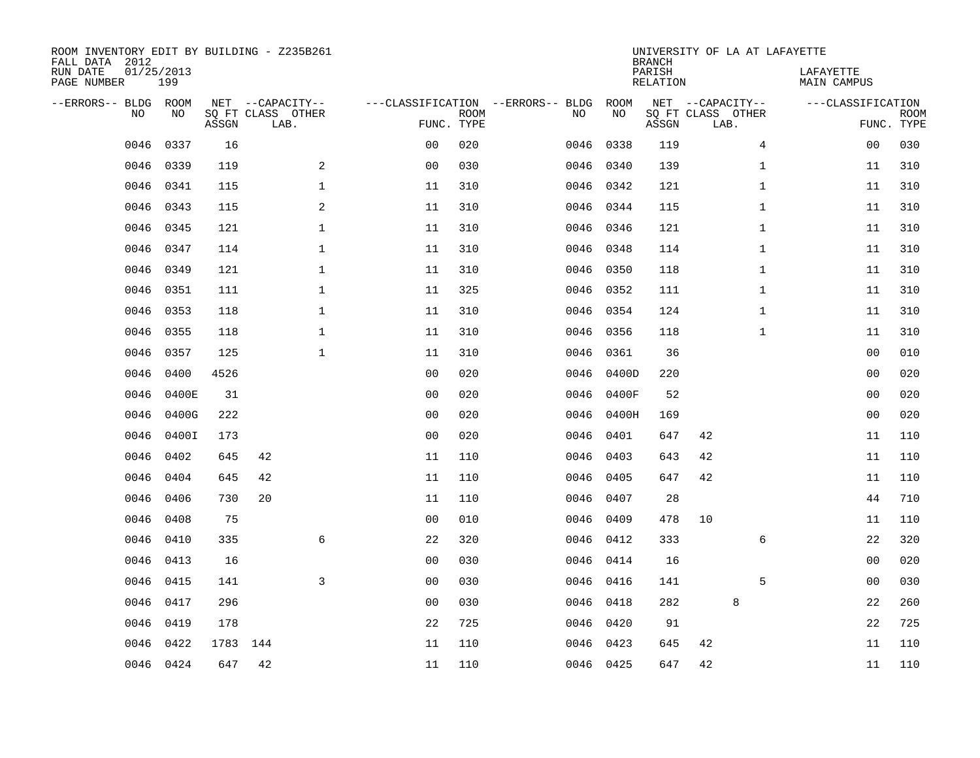| ROOM INVENTORY EDIT BY BUILDING - Z235B261<br>FALL DATA 2012<br>RUN DATE<br>PAGE NUMBER | 01/25/2013<br>199 |          |                                               |                |                           |                                         |            | <b>BRANCH</b><br>PARISH<br><b>RELATION</b> | UNIVERSITY OF LA AT LAFAYETTE                 | LAFAYETTE<br>MAIN CAMPUS |                           |
|-----------------------------------------------------------------------------------------|-------------------|----------|-----------------------------------------------|----------------|---------------------------|-----------------------------------------|------------|--------------------------------------------|-----------------------------------------------|--------------------------|---------------------------|
| --ERRORS-- BLDG ROOM<br>NO                                                              | NO                | ASSGN    | NET --CAPACITY--<br>SQ FT CLASS OTHER<br>LAB. |                | <b>ROOM</b><br>FUNC. TYPE | ---CLASSIFICATION --ERRORS-- BLDG<br>NO | ROOM<br>NO | ASSGN                                      | NET --CAPACITY--<br>SQ FT CLASS OTHER<br>LAB. | ---CLASSIFICATION        | <b>ROOM</b><br>FUNC. TYPE |
| 0046                                                                                    | 0337              | 16       |                                               | 00             | 020                       | 0046                                    | 0338       | 119                                        | $\overline{4}$                                | 0 <sub>0</sub>           | 030                       |
| 0046                                                                                    | 0339              | 119      | $\mathbf{2}$                                  | 0 <sub>0</sub> | 030                       | 0046                                    | 0340       | 139                                        | $\mathbf{1}$                                  | 11                       | 310                       |
| 0046                                                                                    | 0341              | 115      | $\mathbf 1$                                   | 11             | 310                       | 0046                                    | 0342       | 121                                        | $\mathbf{1}$                                  | 11                       | 310                       |
| 0046                                                                                    | 0343              | 115      | 2                                             | 11             | 310                       |                                         | 0046 0344  | 115                                        | $\mathbf{1}$                                  | 11                       | 310                       |
| 0046                                                                                    | 0345              | 121      | $\mathbf{1}$                                  | 11             | 310                       | 0046                                    | 0346       | 121                                        | $\mathbf{1}$                                  | 11                       | 310                       |
| 0046                                                                                    | 0347              | 114      | $\mathbf{1}$                                  | 11             | 310                       |                                         | 0046 0348  | 114                                        | $\mathbf{1}$                                  | 11                       | 310                       |
| 0046                                                                                    | 0349              | 121      | $\mathbf{1}$                                  | 11             | 310                       |                                         | 0046 0350  | 118                                        | $\mathbf{1}$                                  | 11                       | 310                       |
| 0046                                                                                    | 0351              | 111      | $\mathbf{1}$                                  | 11             | 325                       |                                         | 0046 0352  | 111                                        | $\mathbf{1}$                                  | 11                       | 310                       |
| 0046                                                                                    | 0353              | 118      | $\mathbf{1}$                                  | 11             | 310                       | 0046                                    | 0354       | 124                                        | $\mathbf{1}$                                  | 11                       | 310                       |
| 0046                                                                                    | 0355              | 118      | $\mathbf{1}$                                  | 11             | 310                       |                                         | 0046 0356  | 118                                        | $\mathbf{1}$                                  | 11                       | 310                       |
| 0046                                                                                    | 0357              | 125      | $\mathbf 1$                                   | 11             | 310                       | 0046                                    | 0361       | 36                                         |                                               | 00                       | 010                       |
| 0046                                                                                    | 0400              | 4526     |                                               | 0 <sub>0</sub> | 020                       | 0046                                    | 0400D      | 220                                        |                                               | 00                       | 020                       |
| 0046                                                                                    | 0400E             | 31       |                                               | 0 <sub>0</sub> | 020                       | 0046                                    | 0400F      | 52                                         |                                               | 00                       | 020                       |
| 0046                                                                                    | 0400G             | 222      |                                               | 0 <sub>0</sub> | 020                       | 0046                                    | 0400H      | 169                                        |                                               | 00                       | 020                       |
| 0046                                                                                    | 0400I             | 173      |                                               | 0 <sub>0</sub> | 020                       | 0046                                    | 0401       | 647                                        | 42                                            | 11                       | 110                       |
| 0046                                                                                    | 0402              | 645      | 42                                            | 11             | 110                       | 0046                                    | 0403       | 643                                        | 42                                            | 11                       | 110                       |
| 0046                                                                                    | 0404              | 645      | 42                                            | 11             | 110                       | 0046                                    | 0405       | 647                                        | 42                                            | 11                       | 110                       |
| 0046                                                                                    | 0406              | 730      | 20                                            | 11             | 110                       | 0046                                    | 0407       | 28                                         |                                               | 44                       | 710                       |
| 0046                                                                                    | 0408              | 75       |                                               | 0 <sub>0</sub> | 010                       | 0046                                    | 0409       | 478                                        | 10                                            | 11                       | 110                       |
| 0046                                                                                    | 0410              | 335      | 6                                             | 22             | 320                       |                                         | 0046 0412  | 333                                        | 6                                             | 22                       | 320                       |
| 0046                                                                                    | 0413              | 16       |                                               | 0 <sub>0</sub> | 030                       |                                         | 0046 0414  | 16                                         |                                               | 00                       | 020                       |
| 0046                                                                                    | 0415              | 141      | 3                                             | 0 <sub>0</sub> | 030                       | 0046                                    | 0416       | 141                                        | 5                                             | 00                       | 030                       |
| 0046                                                                                    | 0417              | 296      |                                               | 0 <sub>0</sub> | 030                       |                                         | 0046 0418  | 282                                        | 8                                             | 22                       | 260                       |
| 0046                                                                                    | 0419              | 178      |                                               | 22             | 725                       | 0046                                    | 0420       | 91                                         |                                               | 22                       | 725                       |
| 0046                                                                                    | 0422              | 1783 144 |                                               | 11             | 110                       | 0046                                    | 0423       | 645                                        | 42                                            | 11                       | 110                       |
|                                                                                         | 0046 0424         | 647      | 42                                            | 11             | 110                       |                                         | 0046 0425  | 647                                        | 42                                            | 11                       | 110                       |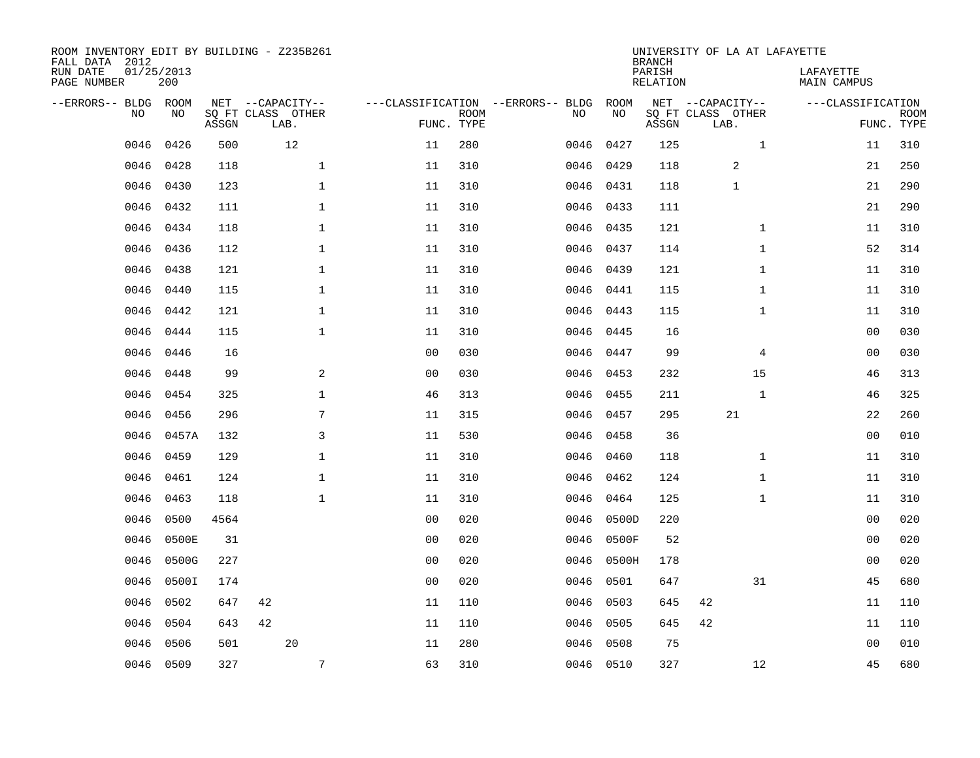| FALL DATA 2012<br>RUN DATE<br>PAGE NUMBER |           | 01/25/2013<br>200 |       | ROOM INVENTORY EDIT BY BUILDING - Z235B261    |              |                                   |                           |      |            | <b>BRANCH</b><br>PARISH<br>RELATION | UNIVERSITY OF LA AT LAFAYETTE                 | LAFAYETTE<br>MAIN CAMPUS |                           |
|-------------------------------------------|-----------|-------------------|-------|-----------------------------------------------|--------------|-----------------------------------|---------------------------|------|------------|-------------------------------------|-----------------------------------------------|--------------------------|---------------------------|
| --ERRORS-- BLDG ROOM                      | <b>NO</b> | NO                | ASSGN | NET --CAPACITY--<br>SO FT CLASS OTHER<br>LAB. |              | ---CLASSIFICATION --ERRORS-- BLDG | <b>ROOM</b><br>FUNC. TYPE | NO   | ROOM<br>NO | ASSGN                               | NET --CAPACITY--<br>SQ FT CLASS OTHER<br>LAB. | ---CLASSIFICATION        | <b>ROOM</b><br>FUNC. TYPE |
|                                           | 0046      | 0426              | 500   | 12                                            |              | 11                                | 280                       | 0046 | 0427       | 125                                 | $\mathbf{1}$                                  | 11                       | 310                       |
|                                           | 0046      | 0428              | 118   |                                               | $\mathbf 1$  | 11                                | 310                       |      | 0046 0429  | 118                                 | 2                                             | 21                       | 250                       |
|                                           | 0046      | 0430              | 123   |                                               | $\mathbf 1$  | 11                                | 310                       |      | 0046 0431  | 118                                 | $\mathbf{1}$                                  | 21                       | 290                       |
|                                           | 0046      | 0432              | 111   |                                               | $\mathbf{1}$ | 11                                | 310                       |      | 0046 0433  | 111                                 |                                               | 21                       | 290                       |
|                                           | 0046      | 0434              | 118   |                                               | $\mathbf{1}$ | 11                                | 310                       |      | 0046 0435  | 121                                 | $\mathbf{1}$                                  | 11                       | 310                       |
|                                           | 0046      | 0436              | 112   |                                               | $\mathbf{1}$ | 11                                | 310                       |      | 0046 0437  | 114                                 | $\mathbf{1}$                                  | 52                       | 314                       |
|                                           | 0046      | 0438              | 121   |                                               | $\mathbf{1}$ | 11                                | 310                       |      | 0046 0439  | 121                                 | $\mathbf{1}$                                  | 11                       | 310                       |
|                                           | 0046      | 0440              | 115   |                                               | $\mathbf 1$  | 11                                | 310                       |      | 0046 0441  | 115                                 | $\mathbf{1}$                                  | 11                       | 310                       |
|                                           | 0046      | 0442              | 121   |                                               | $\mathbf{1}$ | 11                                | 310                       | 0046 | 0443       | 115                                 | $\mathbf{1}$                                  | 11                       | 310                       |
|                                           | 0046      | 0444              | 115   |                                               | $\mathbf 1$  | 11                                | 310                       |      | 0046 0445  | 16                                  |                                               | 00                       | 030                       |
|                                           | 0046      | 0446              | 16    |                                               |              | 0 <sub>0</sub>                    | 030                       | 0046 | 0447       | 99                                  | 4                                             | 00                       | 030                       |
|                                           | 0046      | 0448              | 99    |                                               | 2            | 00                                | 030                       |      | 0046 0453  | 232                                 | 15                                            | 46                       | 313                       |
|                                           | 0046      | 0454              | 325   |                                               | $\mathbf 1$  | 46                                | 313                       | 0046 | 0455       | 211                                 | $\mathbf{1}$                                  | 46                       | 325                       |
|                                           | 0046      | 0456              | 296   |                                               | 7            | 11                                | 315                       | 0046 | 0457       | 295                                 | 21                                            | 22                       | 260                       |
|                                           | 0046      | 0457A             | 132   |                                               | 3            | 11                                | 530                       | 0046 | 0458       | 36                                  |                                               | 0 <sub>0</sub>           | 010                       |
|                                           | 0046      | 0459              | 129   |                                               | $\mathbf 1$  | 11                                | 310                       | 0046 | 0460       | 118                                 | $\mathbf{1}$                                  | 11                       | 310                       |
|                                           | 0046      | 0461              | 124   |                                               | $\mathbf{1}$ | 11                                | 310                       | 0046 | 0462       | 124                                 | $\mathbf{1}$                                  | 11                       | 310                       |
|                                           | 0046      | 0463              | 118   |                                               | $\mathbf{1}$ | 11                                | 310                       | 0046 | 0464       | 125                                 | $\mathbf{1}$                                  | 11                       | 310                       |
|                                           | 0046      | 0500              | 4564  |                                               |              | 0 <sub>0</sub>                    | 020                       |      | 0046 0500D | 220                                 |                                               | 0 <sub>0</sub>           | 020                       |
|                                           | 0046      | 0500E             | 31    |                                               |              | 0 <sub>0</sub>                    | 020                       | 0046 | 0500F      | 52                                  |                                               | 0 <sub>0</sub>           | 020                       |
|                                           | 0046      | 0500G             | 227   |                                               |              | 0 <sub>0</sub>                    | 020                       |      | 0046 0500H | 178                                 |                                               | 0 <sub>0</sub>           | 020                       |
|                                           | 0046      | 0500I             | 174   |                                               |              | 0 <sub>0</sub>                    | 020                       | 0046 | 0501       | 647                                 | 31                                            | 45                       | 680                       |
|                                           | 0046      | 0502              | 647   | 42                                            |              | 11                                | 110                       | 0046 | 0503       | 645                                 | 42                                            | 11                       | 110                       |
|                                           | 0046      | 0504              | 643   | 42                                            |              | 11                                | 110                       | 0046 | 0505       | 645                                 | 42                                            | 11                       | 110                       |
|                                           | 0046      | 0506              | 501   | 20                                            |              | 11                                | 280                       | 0046 | 0508       | 75                                  |                                               | 00                       | 010                       |
|                                           |           | 0046 0509         | 327   |                                               | 7            | 63                                | 310                       |      | 0046 0510  | 327                                 | 12                                            | 45                       | 680                       |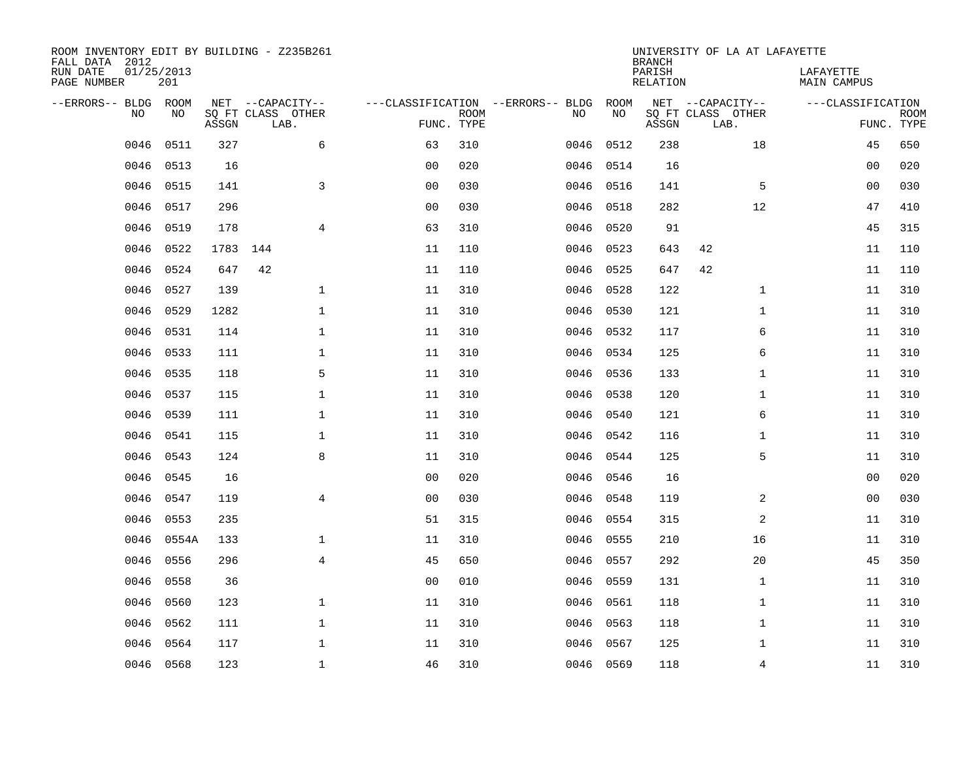| ROOM INVENTORY EDIT BY BUILDING - Z235B261<br>FALL DATA 2012 |                   |       |                           |                |             |                                   |           | <b>BRANCH</b>             | UNIVERSITY OF LA AT LAFAYETTE |                                 |                           |
|--------------------------------------------------------------|-------------------|-------|---------------------------|----------------|-------------|-----------------------------------|-----------|---------------------------|-------------------------------|---------------------------------|---------------------------|
| RUN DATE<br>PAGE NUMBER                                      | 01/25/2013<br>201 |       |                           |                |             |                                   |           | PARISH<br><b>RELATION</b> |                               | LAFAYETTE<br><b>MAIN CAMPUS</b> |                           |
| --ERRORS-- BLDG ROOM                                         |                   |       | NET --CAPACITY--          |                |             | ---CLASSIFICATION --ERRORS-- BLDG | ROOM      |                           | NET --CAPACITY--              | ---CLASSIFICATION               |                           |
| NO                                                           | NO                | ASSGN | SQ FT CLASS OTHER<br>LAB. | FUNC. TYPE     | <b>ROOM</b> | NO                                | NO        | ASSGN                     | SQ FT CLASS OTHER<br>LAB.     |                                 | <b>ROOM</b><br>FUNC. TYPE |
| 0046                                                         | 0511              | 327   | 6                         | 63             | 310         | 0046                              | 0512      | 238                       | 18                            | 45                              | 650                       |
| 0046                                                         | 0513              | 16    |                           | 0 <sub>0</sub> | 020         | 0046                              | 0514      | 16                        |                               | 00                              | 020                       |
| 0046                                                         | 0515              | 141   | 3                         | 00             | 030         | 0046                              | 0516      | 141                       | 5                             | 00                              | 030                       |
| 0046                                                         | 0517              | 296   |                           | 0 <sub>0</sub> | 030         |                                   | 0046 0518 | 282                       | 12                            | 47                              | 410                       |
| 0046                                                         | 0519              | 178   | $\overline{4}$            | 63             | 310         | 0046                              | 0520      | 91                        |                               | 45                              | 315                       |
| 0046                                                         | 0522              | 1783  | 144                       | 11             | 110         |                                   | 0046 0523 | 643                       | 42                            | 11                              | 110                       |
| 0046                                                         | 0524              | 647   | 42                        | 11             | 110         | 0046                              | 0525      | 647                       | 42                            | 11                              | 110                       |
| 0046                                                         | 0527              | 139   | $\mathbf{1}$              | 11             | 310         |                                   | 0046 0528 | 122                       | $\mathbf{1}$                  | 11                              | 310                       |
| 0046                                                         | 0529              | 1282  | $\mathbf{1}$              | 11             | 310         | 0046                              | 0530      | 121                       | $\mathbf{1}$                  | 11                              | 310                       |
| 0046                                                         | 0531              | 114   | $\mathbf 1$               | 11             | 310         | 0046                              | 0532      | 117                       | 6                             | 11                              | 310                       |
| 0046                                                         | 0533              | 111   | $\mathbf 1$               | 11             | 310         | 0046                              | 0534      | 125                       | 6                             | 11                              | 310                       |
| 0046                                                         | 0535              | 118   | 5                         | 11             | 310         | 0046                              | 0536      | 133                       | $\mathbf{1}$                  | 11                              | 310                       |
| 0046                                                         | 0537              | 115   | $\mathbf 1$               | 11             | 310         | 0046                              | 0538      | 120                       | $\mathbf{1}$                  | 11                              | 310                       |
| 0046                                                         | 0539              | 111   | $\mathbf 1$               | 11             | 310         | 0046                              | 0540      | 121                       | 6                             | 11                              | 310                       |
| 0046                                                         | 0541              | 115   | $\mathbf 1$               | 11             | 310         | 0046                              | 0542      | 116                       | $\mathbf{1}$                  | 11                              | 310                       |
| 0046                                                         | 0543              | 124   | 8                         | 11             | 310         | 0046                              | 0544      | 125                       | 5                             | 11                              | 310                       |
| 0046                                                         | 0545              | 16    |                           | 0 <sub>0</sub> | 020         | 0046                              | 0546      | 16                        |                               | 0 <sub>0</sub>                  | 020                       |
| 0046                                                         | 0547              | 119   | $\overline{4}$            | 0 <sub>0</sub> | 030         | 0046                              | 0548      | 119                       | 2                             | 0 <sub>0</sub>                  | 030                       |
| 0046                                                         | 0553              | 235   |                           | 51             | 315         | 0046                              | 0554      | 315                       | 2                             | 11                              | 310                       |
| 0046                                                         | 0554A             | 133   | $\mathbf 1$               | 11             | 310         | 0046                              | 0555      | 210                       | 16                            | 11                              | 310                       |
| 0046                                                         | 0556              | 296   | $\overline{4}$            | 45             | 650         | 0046                              | 0557      | 292                       | 20                            | 45                              | 350                       |
| 0046                                                         | 0558              | 36    |                           | 0 <sub>0</sub> | 010         | 0046                              | 0559      | 131                       | $\mathbf{1}$                  | 11                              | 310                       |
| 0046                                                         | 0560              | 123   | $\mathbf{1}$              | 11             | 310         | 0046                              | 0561      | 118                       | $\mathbf{1}$                  | 11                              | 310                       |
| 0046                                                         | 0562              | 111   | $\mathbf{1}$              | 11             | 310         | 0046                              | 0563      | 118                       | $\mathbf{1}$                  | 11                              | 310                       |
| 0046                                                         | 0564              | 117   | $\mathbf 1$               | 11             | 310         | 0046                              | 0567      | 125                       | $\mathbf{1}$                  | 11                              | 310                       |
|                                                              | 0046 0568         | 123   | $\mathbf{1}$              | 46             | 310         |                                   | 0046 0569 | 118                       | 4                             | 11                              | 310                       |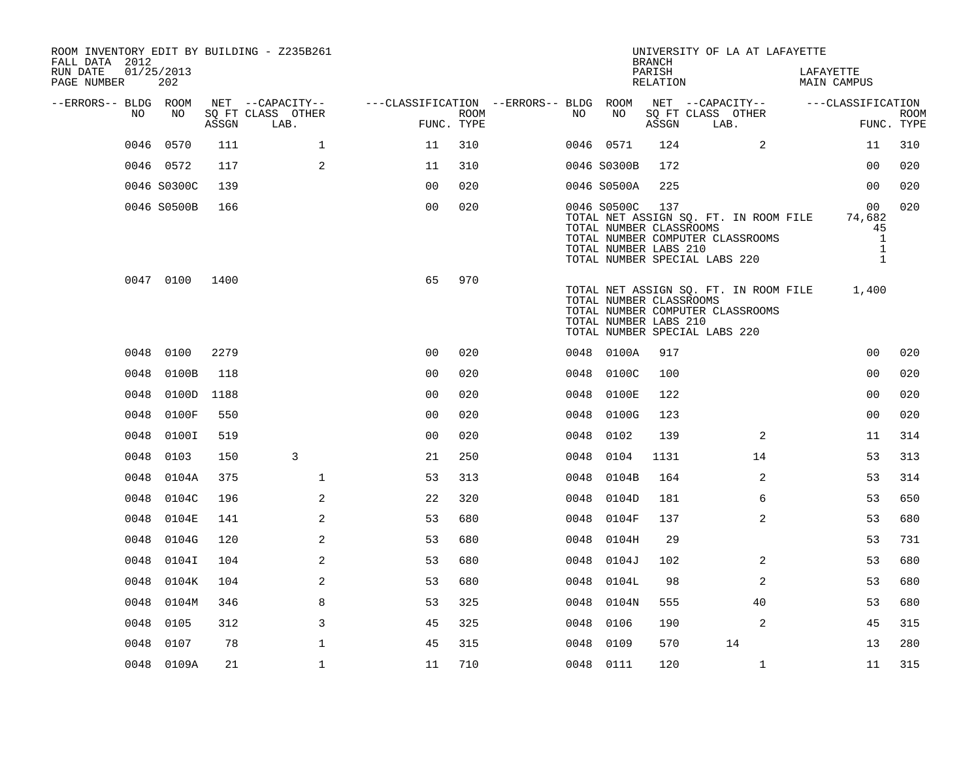| ROOM INVENTORY EDIT BY BUILDING - Z235B261<br>FALL DATA 2012 |                   |       |                           |                                        |      |      |                                                                 | <b>BRANCH</b>      | UNIVERSITY OF LA AT LAFAYETTE                                                                              |                                                                    |                           |
|--------------------------------------------------------------|-------------------|-------|---------------------------|----------------------------------------|------|------|-----------------------------------------------------------------|--------------------|------------------------------------------------------------------------------------------------------------|--------------------------------------------------------------------|---------------------------|
| RUN DATE<br>PAGE NUMBER                                      | 01/25/2013<br>202 |       |                           |                                        |      |      |                                                                 | PARISH<br>RELATION |                                                                                                            | LAFAYETTE<br>MAIN CAMPUS                                           |                           |
| --ERRORS-- BLDG ROOM                                         |                   |       | NET --CAPACITY--          | ---CLASSIFICATION --ERRORS-- BLDG ROOM |      |      |                                                                 |                    | NET --CAPACITY--                                                                                           | ---CLASSIFICATION                                                  |                           |
| NO                                                           | NO.               | ASSGN | SQ FT CLASS OTHER<br>LAB. | FUNC. TYPE                             | ROOM | NO   | NO                                                              | ASSGN              | SQ FT CLASS OTHER<br>LAB.                                                                                  |                                                                    | <b>ROOM</b><br>FUNC. TYPE |
| 0046                                                         | 0570              | 111   | $\mathbf{1}$              | 11                                     | 310  |      | 0046 0571                                                       | 124                | 2                                                                                                          | 11                                                                 | 310                       |
|                                                              | 0046 0572         | 117   | 2                         | 11                                     | 310  |      | 0046 S0300B                                                     | 172                |                                                                                                            | 00                                                                 | 020                       |
|                                                              | 0046 S0300C       | 139   |                           | 0 <sub>0</sub>                         | 020  |      | 0046 S0500A                                                     | 225                |                                                                                                            | 0 <sub>0</sub>                                                     | 020                       |
|                                                              | 0046 S0500B       | 166   |                           | 0 <sub>0</sub>                         | 020  |      | 0046 S0500C<br>TOTAL NUMBER CLASSROOMS<br>TOTAL NUMBER LABS 210 | 137                | TOTAL NET ASSIGN SQ. FT. IN ROOM FILE<br>TOTAL NUMBER COMPUTER CLASSROOMS<br>TOTAL NUMBER SPECIAL LABS 220 | 00<br>74,682<br>45<br>$\mathbf{1}$<br>$\mathbf{1}$<br>$\mathbf{1}$ | 020                       |
|                                                              | 0047 0100         | 1400  |                           | 65                                     | 970  |      | TOTAL NUMBER CLASSROOMS<br>TOTAL NUMBER LABS 210                |                    | TOTAL NET ASSIGN SQ. FT. IN ROOM FILE<br>TOTAL NUMBER COMPUTER CLASSROOMS<br>TOTAL NUMBER SPECIAL LABS 220 | 1,400                                                              |                           |
|                                                              | 0048 0100         | 2279  |                           | 0 <sub>0</sub>                         | 020  |      | 0048 0100A                                                      | 917                |                                                                                                            | 0 <sub>0</sub>                                                     | 020                       |
| 0048                                                         | 0100B             | 118   |                           | 0 <sub>0</sub>                         | 020  |      | 0048 0100C                                                      | 100                |                                                                                                            | 0 <sub>0</sub>                                                     | 020                       |
| 0048                                                         | 0100D             | 1188  |                           | 0 <sub>0</sub>                         | 020  | 0048 | 0100E                                                           | 122                |                                                                                                            | 0 <sub>0</sub>                                                     | 020                       |
| 0048                                                         | 0100F             | 550   |                           | 0 <sub>0</sub>                         | 020  |      | 0048 0100G                                                      | 123                |                                                                                                            | 00                                                                 | 020                       |
| 0048                                                         | 0100I             | 519   |                           | 0 <sub>0</sub>                         | 020  | 0048 | 0102                                                            | 139                | 2                                                                                                          | 11                                                                 | 314                       |
| 0048                                                         | 0103              | 150   | 3                         | 21                                     | 250  | 0048 | 0104                                                            | 1131               | 14                                                                                                         | 53                                                                 | 313                       |
| 0048                                                         | 0104A             | 375   | $\mathbf 1$               | 53                                     | 313  | 0048 | 0104B                                                           | 164                | $\overline{a}$                                                                                             | 53                                                                 | 314                       |
| 0048                                                         | 0104C             | 196   | 2                         | 22                                     | 320  | 0048 | 0104D                                                           | 181                | 6                                                                                                          | 53                                                                 | 650                       |
|                                                              | 0048 0104E        | 141   | 2                         | 53                                     | 680  |      | 0048 0104F                                                      | 137                | 2                                                                                                          | 53                                                                 | 680                       |
| 0048                                                         | 0104G             | 120   | 2                         | 53                                     | 680  |      | 0048 0104H                                                      | 29                 |                                                                                                            | 53                                                                 | 731                       |
| 0048                                                         | 0104I             | 104   | 2                         | 53                                     | 680  | 0048 | 0104J                                                           | 102                | 2                                                                                                          | 53                                                                 | 680                       |
| 0048                                                         | 0104K             | 104   | 2                         | 53                                     | 680  | 0048 | 0104L                                                           | 98                 | 2                                                                                                          | 53                                                                 | 680                       |
| 0048                                                         | 0104M             | 346   | 8                         | 53                                     | 325  |      | 0048 0104N                                                      | 555                | 40                                                                                                         | 53                                                                 | 680                       |
| 0048                                                         | 0105              | 312   | 3                         | 45                                     | 325  | 0048 | 0106                                                            | 190                | 2                                                                                                          | 45                                                                 | 315                       |
| 0048                                                         | 0107              | 78    | $\mathbf{1}$              | 45                                     | 315  | 0048 | 0109                                                            | 570                | 14                                                                                                         | 13                                                                 | 280                       |
|                                                              | 0048 0109A        | 21    | $\mathbf{1}$              | 11                                     | 710  |      | 0048 0111                                                       | 120                | $\mathbf{1}$                                                                                               | 11                                                                 | 315                       |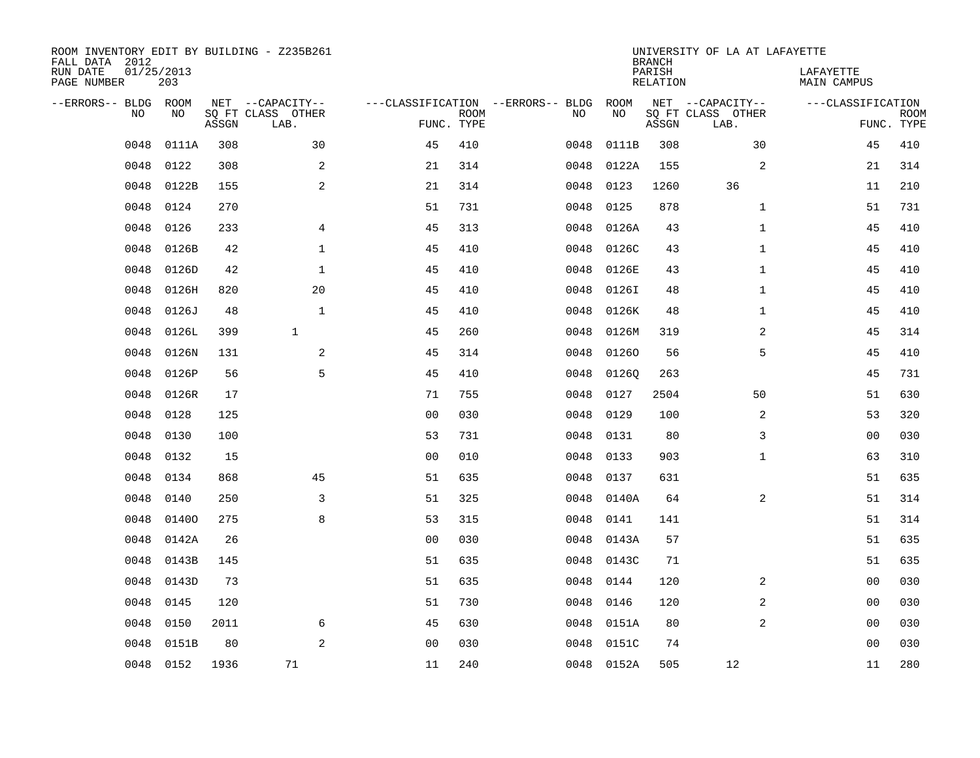| ROOM INVENTORY EDIT BY BUILDING - Z235B261<br>FALL DATA 2012 |                   |       |                           |                                   |             |      |            | <b>BRANCH</b>             | UNIVERSITY OF LA AT LAFAYETTE |                                 |             |
|--------------------------------------------------------------|-------------------|-------|---------------------------|-----------------------------------|-------------|------|------------|---------------------------|-------------------------------|---------------------------------|-------------|
| RUN DATE<br>PAGE NUMBER                                      | 01/25/2013<br>203 |       |                           |                                   |             |      |            | PARISH<br><b>RELATION</b> |                               | LAFAYETTE<br><b>MAIN CAMPUS</b> |             |
| --ERRORS-- BLDG ROOM                                         |                   |       | NET --CAPACITY--          | ---CLASSIFICATION --ERRORS-- BLDG |             |      | ROOM       |                           | NET --CAPACITY--              | ---CLASSIFICATION               |             |
| NO                                                           | NO                | ASSGN | SQ FT CLASS OTHER<br>LAB. | FUNC. TYPE                        | <b>ROOM</b> | NO   | NO         | ASSGN                     | SQ FT CLASS OTHER<br>LAB.     | FUNC. TYPE                      | <b>ROOM</b> |
| 0048                                                         | 0111A             | 308   | 30                        | 45                                | 410         | 0048 | 0111B      | 308                       | 30                            | 45                              | 410         |
| 0048                                                         | 0122              | 308   | 2                         | 21                                | 314         | 0048 | 0122A      | 155                       | 2                             | 21                              | 314         |
| 0048                                                         | 0122B             | 155   | 2                         | 21                                | 314         | 0048 | 0123       | 1260                      | 36                            | 11                              | 210         |
| 0048                                                         | 0124              | 270   |                           | 51                                | 731         | 0048 | 0125       | 878                       | $\mathbf{1}$                  | 51                              | 731         |
| 0048                                                         | 0126              | 233   | $\overline{4}$            | 45                                | 313         | 0048 | 0126A      | 43                        | $\mathbf{1}$                  | 45                              | 410         |
| 0048                                                         | 0126B             | 42    | $\mathbf 1$               | 45                                | 410         | 0048 | 0126C      | 43                        | $\mathbf{1}$                  | 45                              | 410         |
| 0048                                                         | 0126D             | 42    | $\mathbf{1}$              | 45                                | 410         | 0048 | 0126E      | 43                        | $\mathbf{1}$                  | 45                              | 410         |
| 0048                                                         | 0126H             | 820   | 20                        | 45                                | 410         | 0048 | 0126I      | 48                        | $\mathbf{1}$                  | 45                              | 410         |
| 0048                                                         | 0126J             | 48    | $\mathbf{1}$              | 45                                | 410         | 0048 | 0126K      | 48                        | $\mathbf{1}$                  | 45                              | 410         |
| 0048                                                         | 0126L             | 399   | $\mathbf{1}$              | 45                                | 260         | 0048 | 0126M      | 319                       | 2                             | 45                              | 314         |
| 0048                                                         | 0126N             | 131   | 2                         | 45                                | 314         | 0048 | 01260      | 56                        | 5                             | 45                              | 410         |
| 0048                                                         | 0126P             | 56    | 5                         | 45                                | 410         | 0048 | 01260      | 263                       |                               | 45                              | 731         |
| 0048                                                         | 0126R             | 17    |                           | 71                                | 755         | 0048 | 0127       | 2504                      | 50                            | 51                              | 630         |
| 0048                                                         | 0128              | 125   |                           | 0 <sub>0</sub>                    | 030         | 0048 | 0129       | 100                       | 2                             | 53                              | 320         |
| 0048                                                         | 0130              | 100   |                           | 53                                | 731         | 0048 | 0131       | 80                        | 3                             | 0 <sub>0</sub>                  | 030         |
| 0048                                                         | 0132              | 15    |                           | 00                                | 010         | 0048 | 0133       | 903                       | $\mathbf{1}$                  | 63                              | 310         |
| 0048                                                         | 0134              | 868   | 45                        | 51                                | 635         | 0048 | 0137       | 631                       |                               | 51                              | 635         |
| 0048                                                         | 0140              | 250   | 3                         | 51                                | 325         | 0048 | 0140A      | 64                        | 2                             | 51                              | 314         |
| 0048                                                         | 01400             | 275   | 8                         | 53                                | 315         | 0048 | 0141       | 141                       |                               | 51                              | 314         |
| 0048                                                         | 0142A             | 26    |                           | 0 <sub>0</sub>                    | 030         | 0048 | 0143A      | 57                        |                               | 51                              | 635         |
| 0048                                                         | 0143B             | 145   |                           | 51                                | 635         | 0048 | 0143C      | 71                        |                               | 51                              | 635         |
| 0048                                                         | 0143D             | 73    |                           | 51                                | 635         | 0048 | 0144       | 120                       | 2                             | 0 <sub>0</sub>                  | 030         |
| 0048                                                         | 0145              | 120   |                           | 51                                | 730         | 0048 | 0146       | 120                       | 2                             | 0 <sub>0</sub>                  | 030         |
| 0048                                                         | 0150              | 2011  | 6                         | 45                                | 630         | 0048 | 0151A      | 80                        | 2                             | 0 <sub>0</sub>                  | 030         |
| 0048                                                         | 0151B             | 80    | 2                         | 0 <sub>0</sub>                    | 030         | 0048 | 0151C      | 74                        |                               | 0 <sub>0</sub>                  | 030         |
|                                                              | 0048 0152         | 1936  | 71                        | 11                                | 240         |      | 0048 0152A | 505                       | 12                            | 11                              | 280         |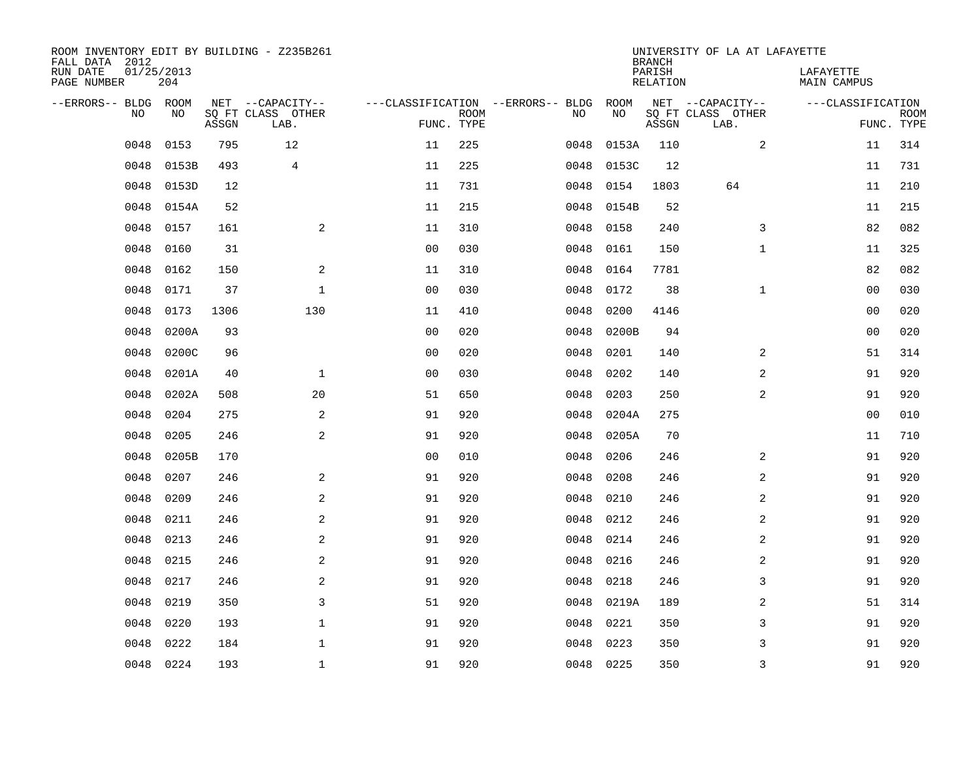| ROOM INVENTORY EDIT BY BUILDING - Z235B261<br>FALL DATA 2012 |                   |       |                           |                |             |                                   |           | <b>BRANCH</b>             | UNIVERSITY OF LA AT LAFAYETTE |                                 |                           |
|--------------------------------------------------------------|-------------------|-------|---------------------------|----------------|-------------|-----------------------------------|-----------|---------------------------|-------------------------------|---------------------------------|---------------------------|
| RUN DATE<br>PAGE NUMBER                                      | 01/25/2013<br>204 |       |                           |                |             |                                   |           | PARISH<br><b>RELATION</b> |                               | LAFAYETTE<br><b>MAIN CAMPUS</b> |                           |
| --ERRORS-- BLDG ROOM                                         |                   |       | NET --CAPACITY--          |                |             | ---CLASSIFICATION --ERRORS-- BLDG | ROOM      |                           | NET --CAPACITY--              | ---CLASSIFICATION               |                           |
| NO                                                           | NO                | ASSGN | SQ FT CLASS OTHER<br>LAB. | FUNC. TYPE     | <b>ROOM</b> | NO                                | NO        | ASSGN                     | SQ FT CLASS OTHER<br>LAB.     |                                 | <b>ROOM</b><br>FUNC. TYPE |
| 0048                                                         | 0153              | 795   | 12                        | 11             | 225         | 0048                              | 0153A     | 110                       | 2                             | 11                              | 314                       |
| 0048                                                         | 0153B             | 493   | $\overline{4}$            | 11             | 225         | 0048                              | 0153C     | 12                        |                               | 11                              | 731                       |
| 0048                                                         | 0153D             | 12    |                           | 11             | 731         | 0048                              | 0154      | 1803                      | 64                            | 11                              | 210                       |
| 0048                                                         | 0154A             | 52    |                           | 11             | 215         | 0048                              | 0154B     | 52                        |                               | 11                              | 215                       |
| 0048                                                         | 0157              | 161   | 2                         | 11             | 310         | 0048                              | 0158      | 240                       | 3                             | 82                              | 082                       |
| 0048                                                         | 0160              | 31    |                           | 0 <sub>0</sub> | 030         | 0048                              | 0161      | 150                       | $\mathbf{1}$                  | 11                              | 325                       |
| 0048                                                         | 0162              | 150   | $\overline{a}$            | 11             | 310         | 0048                              | 0164      | 7781                      |                               | 82                              | 082                       |
| 0048                                                         | 0171              | 37    | $\mathbf 1$               | 0 <sub>0</sub> | 030         | 0048                              | 0172      | 38                        | $\mathbf{1}$                  | 0 <sub>0</sub>                  | 030                       |
| 0048                                                         | 0173              | 1306  | 130                       | 11             | 410         | 0048                              | 0200      | 4146                      |                               | 00                              | 020                       |
| 0048                                                         | 0200A             | 93    |                           | 0 <sub>0</sub> | 020         | 0048                              | 0200B     | 94                        |                               | 0 <sub>0</sub>                  | 020                       |
| 0048                                                         | 0200C             | 96    |                           | 0 <sub>0</sub> | 020         | 0048                              | 0201      | 140                       | $\overline{2}$                | 51                              | 314                       |
| 0048                                                         | 0201A             | 40    | $\mathbf{1}$              | 0 <sub>0</sub> | 030         | 0048                              | 0202      | 140                       | 2                             | 91                              | 920                       |
| 0048                                                         | 0202A             | 508   | 20                        | 51             | 650         | 0048                              | 0203      | 250                       | $\overline{a}$                | 91                              | 920                       |
| 0048                                                         | 0204              | 275   | $\overline{a}$            | 91             | 920         | 0048                              | 0204A     | 275                       |                               | 00                              | 010                       |
| 0048                                                         | 0205              | 246   | 2                         | 91             | 920         | 0048                              | 0205A     | 70                        |                               | 11                              | 710                       |
| 0048                                                         | 0205B             | 170   |                           | 0 <sub>0</sub> | 010         | 0048                              | 0206      | 246                       | 2                             | 91                              | 920                       |
| 0048                                                         | 0207              | 246   | 2                         | 91             | 920         | 0048                              | 0208      | 246                       | 2                             | 91                              | 920                       |
| 0048                                                         | 0209              | 246   | 2                         | 91             | 920         | 0048                              | 0210      | 246                       | $\overline{a}$                | 91                              | 920                       |
| 0048                                                         | 0211              | 246   | 2                         | 91             | 920         | 0048                              | 0212      | 246                       | 2                             | 91                              | 920                       |
| 0048                                                         | 0213              | 246   | $\overline{a}$            | 91             | 920         | 0048                              | 0214      | 246                       | 2                             | 91                              | 920                       |
| 0048                                                         | 0215              | 246   | 2                         | 91             | 920         | 0048                              | 0216      | 246                       | 2                             | 91                              | 920                       |
| 0048                                                         | 0217              | 246   | 2                         | 91             | 920         | 0048                              | 0218      | 246                       | 3                             | 91                              | 920                       |
| 0048                                                         | 0219              | 350   | 3                         | 51             | 920         | 0048                              | 0219A     | 189                       | 2                             | 51                              | 314                       |
| 0048                                                         | 0220              | 193   | $\mathbf{1}$              | 91             | 920         | 0048                              | 0221      | 350                       | 3                             | 91                              | 920                       |
| 0048                                                         | 0222              | 184   | $\mathbf 1$               | 91             | 920         | 0048                              | 0223      | 350                       | 3                             | 91                              | 920                       |
| 0048                                                         | 0224              | 193   | $\mathbf{1}$              | 91             | 920         |                                   | 0048 0225 | 350                       | 3                             | 91                              | 920                       |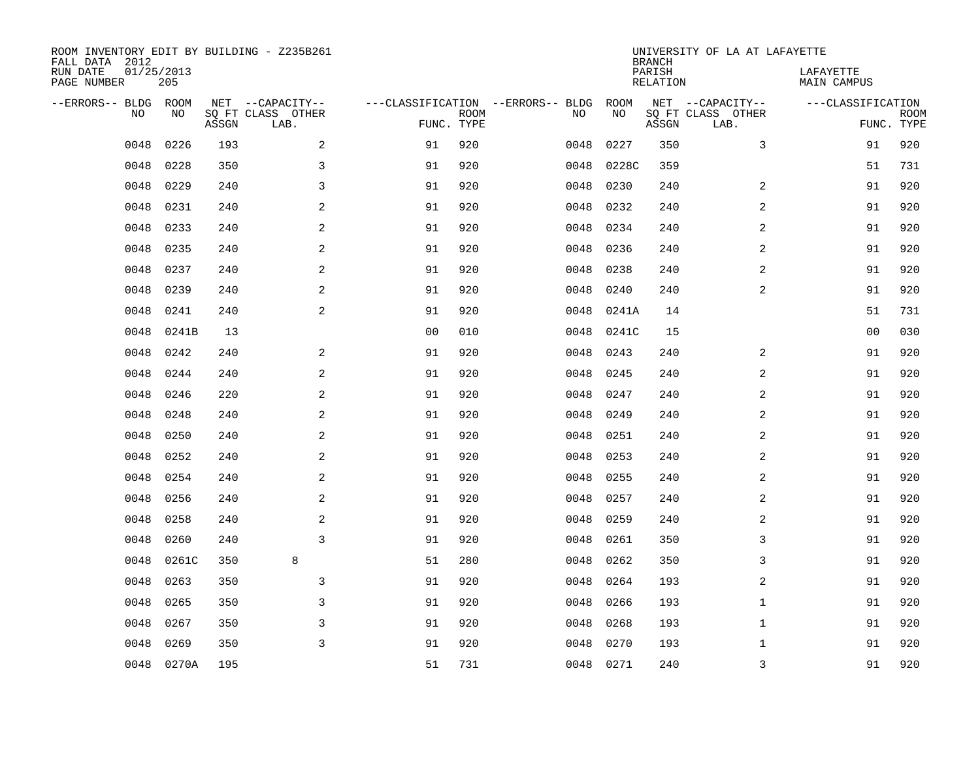| ROOM INVENTORY EDIT BY BUILDING - Z235B261<br>FALL DATA 2012 |                   |       |                           |                |             |                                   |           | <b>BRANCH</b>             | UNIVERSITY OF LA AT LAFAYETTE |                          |                           |
|--------------------------------------------------------------|-------------------|-------|---------------------------|----------------|-------------|-----------------------------------|-----------|---------------------------|-------------------------------|--------------------------|---------------------------|
| RUN DATE<br>PAGE NUMBER                                      | 01/25/2013<br>205 |       |                           |                |             |                                   |           | PARISH<br><b>RELATION</b> |                               | LAFAYETTE<br>MAIN CAMPUS |                           |
| --ERRORS-- BLDG                                              | ROOM              |       | NET --CAPACITY--          |                |             | ---CLASSIFICATION --ERRORS-- BLDG | ROOM      |                           | NET --CAPACITY--              | ---CLASSIFICATION        |                           |
| NO.                                                          | NO                | ASSGN | SQ FT CLASS OTHER<br>LAB. | FUNC. TYPE     | <b>ROOM</b> | NO                                | NO        | ASSGN                     | SQ FT CLASS OTHER<br>LAB.     |                          | <b>ROOM</b><br>FUNC. TYPE |
| 0048                                                         | 0226              | 193   | 2                         | 91             | 920         | 0048                              | 0227      | 350                       | 3                             | 91                       | 920                       |
| 0048                                                         | 0228              | 350   | $\mathsf{3}$              | 91             | 920         | 0048                              | 0228C     | 359                       |                               | 51                       | 731                       |
| 0048                                                         | 0229              | 240   | 3                         | 91             | 920         | 0048                              | 0230      | 240                       | 2                             | 91                       | 920                       |
| 0048                                                         | 0231              | 240   | 2                         | 91             | 920         | 0048                              | 0232      | 240                       | 2                             | 91                       | 920                       |
| 0048                                                         | 0233              | 240   | 2                         | 91             | 920         | 0048                              | 0234      | 240                       | 2                             | 91                       | 920                       |
| 0048                                                         | 0235              | 240   | 2                         | 91             | 920         | 0048                              | 0236      | 240                       | 2                             | 91                       | 920                       |
| 0048                                                         | 0237              | 240   | 2                         | 91             | 920         | 0048                              | 0238      | 240                       | 2                             | 91                       | 920                       |
| 0048                                                         | 0239              | 240   | 2                         | 91             | 920         | 0048                              | 0240      | 240                       | 2                             | 91                       | 920                       |
| 0048                                                         | 0241              | 240   | 2                         | 91             | 920         | 0048                              | 0241A     | 14                        |                               | 51                       | 731                       |
| 0048                                                         | 0241B             | 13    |                           | 0 <sub>0</sub> | 010         | 0048                              | 0241C     | 15                        |                               | 0 <sub>0</sub>           | 030                       |
| 0048                                                         | 0242              | 240   | 2                         | 91             | 920         | 0048                              | 0243      | 240                       | $\overline{2}$                | 91                       | 920                       |
| 0048                                                         | 0244              | 240   | 2                         | 91             | 920         | 0048                              | 0245      | 240                       | 2                             | 91                       | 920                       |
| 0048                                                         | 0246              | 220   | 2                         | 91             | 920         | 0048                              | 0247      | 240                       | 2                             | 91                       | 920                       |
| 0048                                                         | 0248              | 240   | $\mathbf{2}$              | 91             | 920         | 0048                              | 0249      | 240                       | 2                             | 91                       | 920                       |
| 0048                                                         | 0250              | 240   | 2                         | 91             | 920         | 0048                              | 0251      | 240                       | 2                             | 91                       | 920                       |
| 0048                                                         | 0252              | 240   | 2                         | 91             | 920         | 0048                              | 0253      | 240                       | $\overline{a}$                | 91                       | 920                       |
| 0048                                                         | 0254              | 240   | 2                         | 91             | 920         | 0048                              | 0255      | 240                       | 2                             | 91                       | 920                       |
| 0048                                                         | 0256              | 240   | $\mathbf{2}$              | 91             | 920         | 0048                              | 0257      | 240                       | 2                             | 91                       | 920                       |
| 0048                                                         | 0258              | 240   | $\mathbf{2}$              | 91             | 920         | 0048                              | 0259      | 240                       | 2                             | 91                       | 920                       |
| 0048                                                         | 0260              | 240   | 3                         | 91             | 920         | 0048                              | 0261      | 350                       | 3                             | 91                       | 920                       |
| 0048                                                         | 0261C             | 350   | 8                         | 51             | 280         | 0048                              | 0262      | 350                       | 3                             | 91                       | 920                       |
| 0048                                                         | 0263              | 350   | 3                         | 91             | 920         | 0048                              | 0264      | 193                       | 2                             | 91                       | 920                       |
| 0048                                                         | 0265              | 350   | 3                         | 91             | 920         | 0048                              | 0266      | 193                       | $\mathbf{1}$                  | 91                       | 920                       |
| 0048                                                         | 0267              | 350   | 3                         | 91             | 920         | 0048                              | 0268      | 193                       | $\mathbf{1}$                  | 91                       | 920                       |
| 0048                                                         | 0269              | 350   | 3                         | 91             | 920         | 0048                              | 0270      | 193                       | $\mathbf{1}$                  | 91                       | 920                       |
|                                                              | 0048 0270A        | 195   |                           | 51             | 731         |                                   | 0048 0271 | 240                       | 3                             | 91                       | 920                       |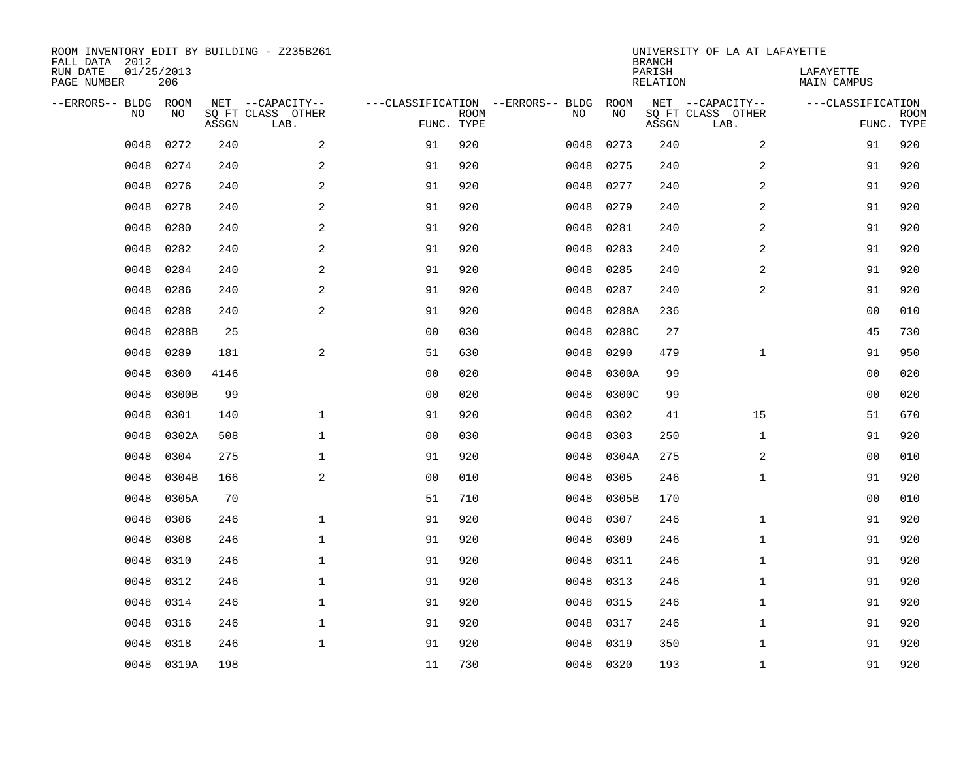| ROOM INVENTORY EDIT BY BUILDING - Z235B261<br>FALL DATA 2012 |                   |       |                           |                                   |             |      |           | <b>BRANCH</b>             | UNIVERSITY OF LA AT LAFAYETTE |                                 |             |
|--------------------------------------------------------------|-------------------|-------|---------------------------|-----------------------------------|-------------|------|-----------|---------------------------|-------------------------------|---------------------------------|-------------|
| RUN DATE<br>PAGE NUMBER                                      | 01/25/2013<br>206 |       |                           |                                   |             |      |           | PARISH<br><b>RELATION</b> |                               | LAFAYETTE<br><b>MAIN CAMPUS</b> |             |
| --ERRORS-- BLDG ROOM                                         |                   |       | NET --CAPACITY--          | ---CLASSIFICATION --ERRORS-- BLDG |             |      | ROOM      |                           | NET --CAPACITY--              | ---CLASSIFICATION               |             |
| NO.                                                          | NO                | ASSGN | SQ FT CLASS OTHER<br>LAB. | FUNC. TYPE                        | <b>ROOM</b> | NO   | NO        | ASSGN                     | SQ FT CLASS OTHER<br>LAB.     | FUNC. TYPE                      | <b>ROOM</b> |
| 0048                                                         | 0272              | 240   | 2                         | 91                                | 920         | 0048 | 0273      | 240                       | $\overline{a}$                | 91                              | 920         |
| 0048                                                         | 0274              | 240   | 2                         | 91                                | 920         | 0048 | 0275      | 240                       | 2                             | 91                              | 920         |
| 0048                                                         | 0276              | 240   | 2                         | 91                                | 920         | 0048 | 0277      | 240                       | 2                             | 91                              | 920         |
| 0048                                                         | 0278              | 240   | $\mathbf{2}$              | 91                                | 920         | 0048 | 0279      | 240                       | 2                             | 91                              | 920         |
| 0048                                                         | 0280              | 240   | 2                         | 91                                | 920         | 0048 | 0281      | 240                       | $\overline{a}$                | 91                              | 920         |
| 0048                                                         | 0282              | 240   | $\mathbf{2}$              | 91                                | 920         | 0048 | 0283      | 240                       | $\overline{a}$                | 91                              | 920         |
| 0048                                                         | 0284              | 240   | 2                         | 91                                | 920         | 0048 | 0285      | 240                       | $\overline{a}$                | 91                              | 920         |
| 0048                                                         | 0286              | 240   | $\mathbf{2}$              | 91                                | 920         | 0048 | 0287      | 240                       | 2                             | 91                              | 920         |
| 0048                                                         | 0288              | 240   | 2                         | 91                                | 920         | 0048 | 0288A     | 236                       |                               | 0 <sub>0</sub>                  | 010         |
| 0048                                                         | 0288B             | 25    |                           | 0 <sub>0</sub>                    | 030         | 0048 | 0288C     | 27                        |                               | 45                              | 730         |
| 0048                                                         | 0289              | 181   | 2                         | 51                                | 630         | 0048 | 0290      | 479                       | $\mathbf{1}$                  | 91                              | 950         |
| 0048                                                         | 0300              | 4146  |                           | 0 <sub>0</sub>                    | 020         | 0048 | 0300A     | 99                        |                               | 0 <sub>0</sub>                  | 020         |
| 0048                                                         | 0300B             | 99    |                           | 0 <sub>0</sub>                    | 020         | 0048 | 0300C     | 99                        |                               | 0 <sub>0</sub>                  | 020         |
| 0048                                                         | 0301              | 140   | $\mathbf 1$               | 91                                | 920         | 0048 | 0302      | 41                        | 15                            | 51                              | 670         |
| 0048                                                         | 0302A             | 508   | $\mathbf{1}$              | 0 <sub>0</sub>                    | 030         | 0048 | 0303      | 250                       | $\mathbf{1}$                  | 91                              | 920         |
| 0048                                                         | 0304              | 275   | 1                         | 91                                | 920         | 0048 | 0304A     | 275                       | 2                             | 00                              | 010         |
| 0048                                                         | 0304B             | 166   | $\sqrt{2}$                | 0 <sub>0</sub>                    | 010         | 0048 | 0305      | 246                       | $\mathbf{1}$                  | 91                              | 920         |
| 0048                                                         | 0305A             | 70    |                           | 51                                | 710         | 0048 | 0305B     | 170                       |                               | 00                              | 010         |
| 0048                                                         | 0306              | 246   | $\mathbf{1}$              | 91                                | 920         | 0048 | 0307      | 246                       | $\mathbf{1}$                  | 91                              | 920         |
| 0048                                                         | 0308              | 246   | $\mathbf{1}$              | 91                                | 920         | 0048 | 0309      | 246                       | $\mathbf{1}$                  | 91                              | 920         |
| 0048                                                         | 0310              | 246   | $\mathbf{1}$              | 91                                | 920         | 0048 | 0311      | 246                       | $\mathbf{1}$                  | 91                              | 920         |
| 0048                                                         | 0312              | 246   | $\mathbf{1}$              | 91                                | 920         | 0048 | 0313      | 246                       | $\mathbf{1}$                  | 91                              | 920         |
| 0048                                                         | 0314              | 246   | $\mathbf{1}$              | 91                                | 920         | 0048 | 0315      | 246                       | $\mathbf{1}$                  | 91                              | 920         |
| 0048                                                         | 0316              | 246   | $\mathbf 1$               | 91                                | 920         | 0048 | 0317      | 246                       | $\mathbf{1}$                  | 91                              | 920         |
| 0048                                                         | 0318              | 246   | $\mathbf{1}$              | 91                                | 920         | 0048 | 0319      | 350                       | $\mathbf{1}$                  | 91                              | 920         |
|                                                              | 0048 0319A        | 198   |                           | 11                                | 730         |      | 0048 0320 | 193                       | $\mathbf{1}$                  | 91                              | 920         |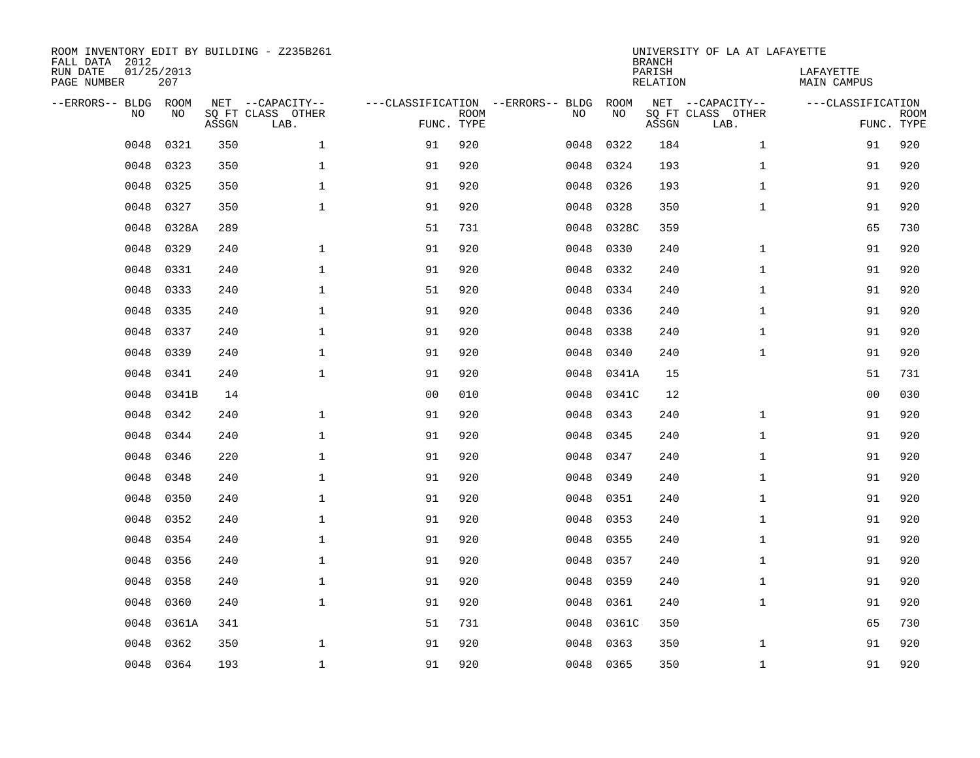| ROOM INVENTORY EDIT BY BUILDING - Z235B261<br>FALL DATA 2012 |                   |       |                           |                                   |             |      |           | <b>BRANCH</b>             | UNIVERSITY OF LA AT LAFAYETTE |                          |             |
|--------------------------------------------------------------|-------------------|-------|---------------------------|-----------------------------------|-------------|------|-----------|---------------------------|-------------------------------|--------------------------|-------------|
| RUN DATE<br>PAGE NUMBER                                      | 01/25/2013<br>207 |       |                           |                                   |             |      |           | PARISH<br><b>RELATION</b> |                               | LAFAYETTE<br>MAIN CAMPUS |             |
| --ERRORS-- BLDG                                              | ROOM              |       | NET --CAPACITY--          | ---CLASSIFICATION --ERRORS-- BLDG |             |      | ROOM      |                           | NET --CAPACITY--              | ---CLASSIFICATION        |             |
| NO.                                                          | NO                | ASSGN | SQ FT CLASS OTHER<br>LAB. | FUNC. TYPE                        | <b>ROOM</b> | NO   | NO        | ASSGN                     | SQ FT CLASS OTHER<br>LAB.     | FUNC. TYPE               | <b>ROOM</b> |
| 0048                                                         | 0321              | 350   | $\mathbf{1}$              | 91                                | 920         | 0048 | 0322      | 184                       | $\mathbf{1}$                  | 91                       | 920         |
| 0048                                                         | 0323              | 350   | 1                         | 91                                | 920         | 0048 | 0324      | 193                       | $\mathbf{1}$                  | 91                       | 920         |
| 0048                                                         | 0325              | 350   | $\mathbf 1$               | 91                                | 920         | 0048 | 0326      | 193                       | $\mathbf{1}$                  | 91                       | 920         |
| 0048                                                         | 0327              | 350   | $\mathbf{1}$              | 91                                | 920         | 0048 | 0328      | 350                       | $\mathbf{1}$                  | 91                       | 920         |
| 0048                                                         | 0328A             | 289   |                           | 51                                | 731         | 0048 | 0328C     | 359                       |                               | 65                       | 730         |
| 0048                                                         | 0329              | 240   | $\mathbf{1}$              | 91                                | 920         | 0048 | 0330      | 240                       | $\mathbf{1}$                  | 91                       | 920         |
| 0048                                                         | 0331              | 240   | $\mathbf{1}$              | 91                                | 920         | 0048 | 0332      | 240                       | $\mathbf{1}$                  | 91                       | 920         |
| 0048                                                         | 0333              | 240   | $\mathbf{1}$              | 51                                | 920         | 0048 | 0334      | 240                       | $\mathbf{1}$                  | 91                       | 920         |
| 0048                                                         | 0335              | 240   | $\mathbf{1}$              | 91                                | 920         | 0048 | 0336      | 240                       | $\mathbf{1}$                  | 91                       | 920         |
| 0048                                                         | 0337              | 240   | $\mathbf 1$               | 91                                | 920         | 0048 | 0338      | 240                       | $\mathbf{1}$                  | 91                       | 920         |
| 0048                                                         | 0339              | 240   | $\mathbf 1$               | 91                                | 920         | 0048 | 0340      | 240                       | $\mathbf{1}$                  | 91                       | 920         |
| 0048                                                         | 0341              | 240   | $\mathbf{1}$              | 91                                | 920         | 0048 | 0341A     | 15                        |                               | 51                       | 731         |
| 0048                                                         | 0341B             | 14    |                           | 0 <sub>0</sub>                    | 010         | 0048 | 0341C     | 12                        |                               | 00                       | 030         |
| 0048                                                         | 0342              | 240   | $\mathbf 1$               | 91                                | 920         | 0048 | 0343      | 240                       | $\mathbf{1}$                  | 91                       | 920         |
| 0048                                                         | 0344              | 240   | $\mathbf 1$               | 91                                | 920         | 0048 | 0345      | 240                       | $\mathbf{1}$                  | 91                       | 920         |
| 0048                                                         | 0346              | 220   | $\mathbf{1}$              | 91                                | 920         | 0048 | 0347      | 240                       | $\mathbf{1}$                  | 91                       | 920         |
| 0048                                                         | 0348              | 240   | $\mathbf{1}$              | 91                                | 920         | 0048 | 0349      | 240                       | $\mathbf{1}$                  | 91                       | 920         |
| 0048                                                         | 0350              | 240   | $\mathbf{1}$              | 91                                | 920         | 0048 | 0351      | 240                       | $\mathbf{1}$                  | 91                       | 920         |
| 0048                                                         | 0352              | 240   | 1                         | 91                                | 920         | 0048 | 0353      | 240                       | $\mathbf{1}$                  | 91                       | 920         |
| 0048                                                         | 0354              | 240   | $\mathbf 1$               | 91                                | 920         | 0048 | 0355      | 240                       | $\mathbf{1}$                  | 91                       | 920         |
| 0048                                                         | 0356              | 240   | $\mathbf 1$               | 91                                | 920         | 0048 | 0357      | 240                       | $\mathbf{1}$                  | 91                       | 920         |
| 0048                                                         | 0358              | 240   | $\mathbf 1$               | 91                                | 920         | 0048 | 0359      | 240                       | $\mathbf{1}$                  | 91                       | 920         |
| 0048                                                         | 0360              | 240   | $\mathbf{1}$              | 91                                | 920         | 0048 | 0361      | 240                       | $\mathbf{1}$                  | 91                       | 920         |
| 0048                                                         | 0361A             | 341   |                           | 51                                | 731         | 0048 | 0361C     | 350                       |                               | 65                       | 730         |
| 0048                                                         | 0362              | 350   | $\mathbf 1$               | 91                                | 920         | 0048 | 0363      | 350                       | $\mathbf{1}$                  | 91                       | 920         |
| 0048                                                         | 0364              | 193   | $\mathbf{1}$              | 91                                | 920         |      | 0048 0365 | 350                       | $\mathbf{1}$                  | 91                       | 920         |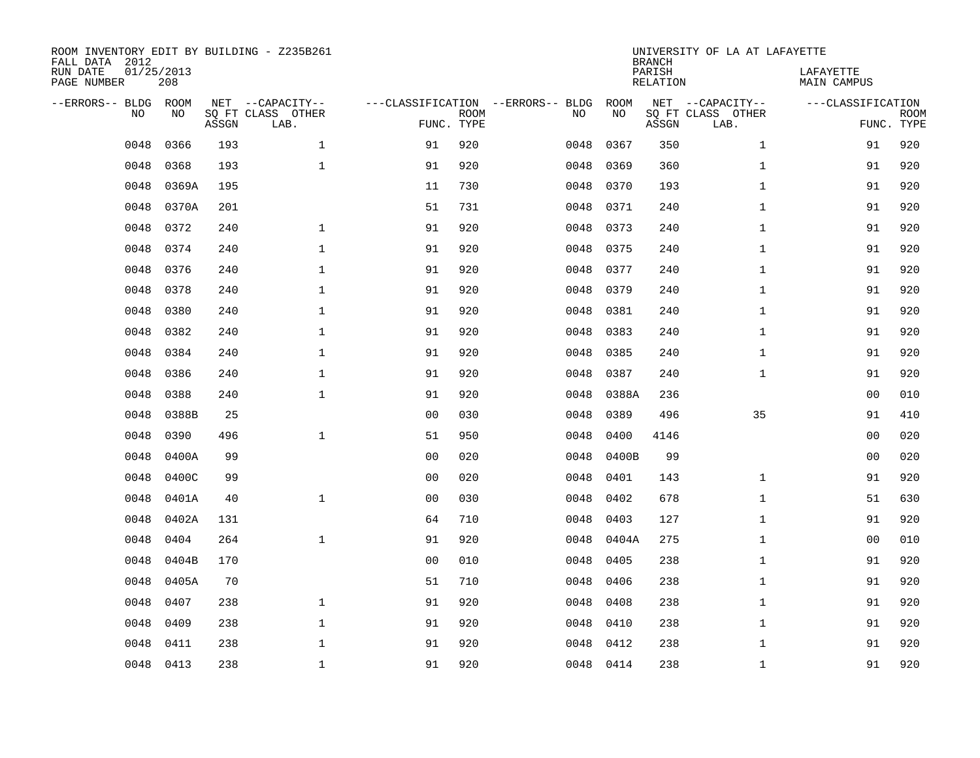| FALL DATA 2012<br>RUN DATE<br>PAGE NUMBER | 01/25/2013 | 208         |       | ROOM INVENTORY EDIT BY BUILDING - Z235B261    |                                                 |             |      |            | <b>BRANCH</b><br>PARISH<br>RELATION | UNIVERSITY OF LA AT LAFAYETTE                 | LAFAYETTE<br>MAIN CAMPUS |                           |
|-------------------------------------------|------------|-------------|-------|-----------------------------------------------|-------------------------------------------------|-------------|------|------------|-------------------------------------|-----------------------------------------------|--------------------------|---------------------------|
| --ERRORS-- BLDG                           | <b>NO</b>  | ROOM<br>NO. | ASSGN | NET --CAPACITY--<br>SQ FT CLASS OTHER<br>LAB. | ---CLASSIFICATION --ERRORS-- BLDG<br>FUNC. TYPE | <b>ROOM</b> | NO   | ROOM<br>NO | ASSGN                               | NET --CAPACITY--<br>SQ FT CLASS OTHER<br>LAB. | ---CLASSIFICATION        | <b>ROOM</b><br>FUNC. TYPE |
|                                           | 0048       | 0366        | 193   | $\mathbf{1}$                                  | 91                                              | 920         | 0048 | 0367       | 350                                 | $\mathbf{1}$                                  | 91                       | 920                       |
|                                           | 0048       | 0368        | 193   | $\mathbf{1}$                                  | 91                                              | 920         | 0048 | 0369       | 360                                 | $\mathbf{1}$                                  | 91                       | 920                       |
|                                           | 0048       | 0369A       | 195   |                                               | 11                                              | 730         | 0048 | 0370       | 193                                 | $\mathbf{1}$                                  | 91                       | 920                       |
|                                           | 0048       | 0370A       | 201   |                                               | 51                                              | 731         | 0048 | 0371       | 240                                 | $\mathbf{1}$                                  | 91                       | 920                       |
|                                           | 0048       | 0372        | 240   | $\mathbf 1$                                   | 91                                              | 920         | 0048 | 0373       | 240                                 | $\mathbf{1}$                                  | 91                       | 920                       |
|                                           | 0048       | 0374        | 240   | $\mathbf{1}$                                  | 91                                              | 920         | 0048 | 0375       | 240                                 | $\mathbf{1}$                                  | 91                       | 920                       |
|                                           | 0048       | 0376        | 240   | $\mathbf 1$                                   | 91                                              | 920         | 0048 | 0377       | 240                                 | $\mathbf{1}$                                  | 91                       | 920                       |
|                                           | 0048       | 0378        | 240   | $\mathbf 1$                                   | 91                                              | 920         | 0048 | 0379       | 240                                 | $\mathbf{1}$                                  | 91                       | 920                       |
|                                           | 0048       | 0380        | 240   | $\mathbf 1$                                   | 91                                              | 920         | 0048 | 0381       | 240                                 | $\mathbf{1}$                                  | 91                       | 920                       |
|                                           | 0048       | 0382        | 240   | $\mathbf{1}$                                  | 91                                              | 920         | 0048 | 0383       | 240                                 | $\mathbf{1}$                                  | 91                       | 920                       |
|                                           | 0048       | 0384        | 240   | $\mathbf 1$                                   | 91                                              | 920         | 0048 | 0385       | 240                                 | $\mathbf{1}$                                  | 91                       | 920                       |
|                                           | 0048       | 0386        | 240   | $\mathbf{1}$                                  | 91                                              | 920         | 0048 | 0387       | 240                                 | $\mathbf{1}$                                  | 91                       | 920                       |
|                                           | 0048       | 0388        | 240   | $\mathbf{1}$                                  | 91                                              | 920         | 0048 | 0388A      | 236                                 |                                               | 00                       | 010                       |
|                                           | 0048       | 0388B       | 25    |                                               | 0 <sub>0</sub>                                  | 030         | 0048 | 0389       | 496                                 | 35                                            | 91                       | 410                       |
|                                           | 0048       | 0390        | 496   | $\mathbf{1}$                                  | 51                                              | 950         | 0048 | 0400       | 4146                                |                                               | 0 <sub>0</sub>           | 020                       |
|                                           | 0048       | 0400A       | 99    |                                               | 0 <sub>0</sub>                                  | 020         | 0048 | 0400B      | 99                                  |                                               | 00                       | 020                       |
|                                           | 0048       | 0400C       | 99    |                                               | 0 <sub>0</sub>                                  | 020         | 0048 | 0401       | 143                                 | $\mathbf{1}$                                  | 91                       | 920                       |
|                                           | 0048       | 0401A       | 40    | $\mathbf{1}$                                  | 0 <sub>0</sub>                                  | 030         | 0048 | 0402       | 678                                 | $\mathbf{1}$                                  | 51                       | 630                       |
|                                           | 0048       | 0402A       | 131   |                                               | 64                                              | 710         | 0048 | 0403       | 127                                 | $\mathbf{1}$                                  | 91                       | 920                       |
|                                           | 0048       | 0404        | 264   | $\mathbf{1}$                                  | 91                                              | 920         | 0048 | 0404A      | 275                                 | $\mathbf{1}$                                  | 00                       | 010                       |
|                                           | 0048       | 0404B       | 170   |                                               | 0 <sub>0</sub>                                  | 010         | 0048 | 0405       | 238                                 | $\mathbf{1}$                                  | 91                       | 920                       |
|                                           | 0048       | 0405A       | 70    |                                               | 51                                              | 710         | 0048 | 0406       | 238                                 | $\mathbf{1}$                                  | 91                       | 920                       |
|                                           | 0048       | 0407        | 238   | $\mathbf{1}$                                  | 91                                              | 920         | 0048 | 0408       | 238                                 | $\mathbf{1}$                                  | 91                       | 920                       |
|                                           | 0048       | 0409        | 238   | $\mathbf{1}$                                  | 91                                              | 920         | 0048 | 0410       | 238                                 | $\mathbf{1}$                                  | 91                       | 920                       |
|                                           | 0048       | 0411        | 238   | $\mathbf{1}$                                  | 91                                              | 920         | 0048 | 0412       | 238                                 | $\mathbf{1}$                                  | 91                       | 920                       |
|                                           | 0048       | 0413        | 238   | $\mathbf{1}$                                  | 91                                              | 920         |      | 0048 0414  | 238                                 | $\mathbf{1}$                                  | 91                       | 920                       |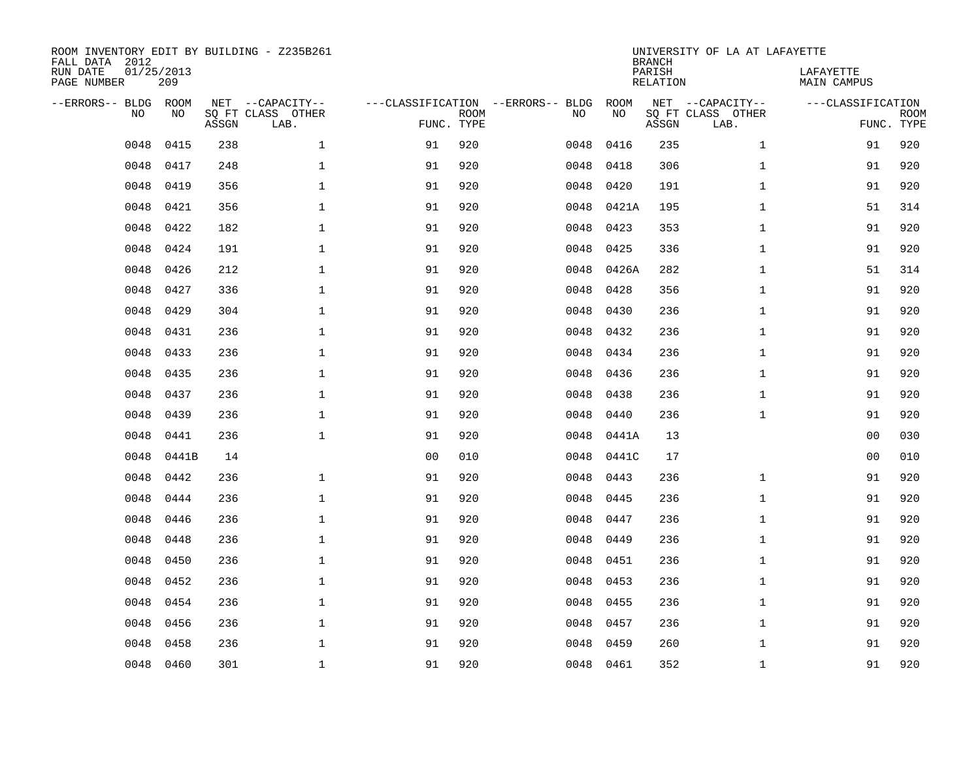| ROOM INVENTORY EDIT BY BUILDING - Z235B261<br>FALL DATA 2012<br>RUN DATE | 01/25/2013 |       |                                       |                                   |             |           |            | <b>BRANCH</b><br>PARISH | UNIVERSITY OF LA AT LAFAYETTE         | LAFAYETTE         |                           |
|--------------------------------------------------------------------------|------------|-------|---------------------------------------|-----------------------------------|-------------|-----------|------------|-------------------------|---------------------------------------|-------------------|---------------------------|
| PAGE NUMBER                                                              | 209        |       |                                       |                                   |             |           |            | <b>RELATION</b>         |                                       | MAIN CAMPUS       |                           |
| --ERRORS-- BLDG<br>NO.                                                   | ROOM<br>NO |       | NET --CAPACITY--<br>SQ FT CLASS OTHER | ---CLASSIFICATION --ERRORS-- BLDG |             | NO        | ROOM<br>NO |                         | NET --CAPACITY--<br>SQ FT CLASS OTHER | ---CLASSIFICATION |                           |
|                                                                          |            | ASSGN | LAB.                                  | FUNC. TYPE                        | <b>ROOM</b> |           |            | ASSGN                   | LAB.                                  |                   | <b>ROOM</b><br>FUNC. TYPE |
| 0048                                                                     | 0415       | 238   | $\mathbf{1}$                          | 91                                | 920         | 0048      | 0416       | 235                     | $\mathbf{1}$                          | 91                | 920                       |
| 0048                                                                     | 0417       | 248   | 1                                     | 91                                | 920         | 0048      | 0418       | 306                     | $\mathbf{1}$                          | 91                | 920                       |
| 0048                                                                     | 0419       | 356   | $\mathbf 1$                           | 91                                | 920         | 0048      | 0420       | 191                     | $\mathbf{1}$                          | 91                | 920                       |
| 0048                                                                     | 0421       | 356   | $\mathbf 1$                           | 91                                | 920         | 0048      | 0421A      | 195                     | $\mathbf{1}$                          | 51                | 314                       |
| 0048                                                                     | 0422       | 182   | $\mathbf{1}$                          | 91                                | 920         | 0048      | 0423       | 353                     | $\mathbf{1}$                          | 91                | 920                       |
| 0048                                                                     | 0424       | 191   | $\mathbf{1}$                          | 91                                | 920         | 0048      | 0425       | 336                     | $\mathbf{1}$                          | 91                | 920                       |
| 0048                                                                     | 0426       | 212   | $\mathbf{1}$                          | 91                                | 920         | 0048      | 0426A      | 282                     | $\mathbf{1}$                          | 51                | 314                       |
| 0048                                                                     | 0427       | 336   | $\mathbf{1}$                          | 91                                | 920         | 0048      | 0428       | 356                     | $\mathbf{1}$                          | 91                | 920                       |
| 0048                                                                     | 0429       | 304   | $\mathbf{1}$                          | 91                                | 920         | 0048      | 0430       | 236                     | $\mathbf{1}$                          | 91                | 920                       |
| 0048                                                                     | 0431       | 236   | $\mathbf{1}$                          | 91                                | 920         | 0048      | 0432       | 236                     | $\mathbf{1}$                          | 91                | 920                       |
| 0048                                                                     | 0433       | 236   | $\mathbf 1$                           | 91                                | 920         | 0048      | 0434       | 236                     | $\mathbf{1}$                          | 91                | 920                       |
| 0048                                                                     | 0435       | 236   | $\mathbf 1$                           | 91                                | 920         | 0048      | 0436       | 236                     | $\mathbf{1}$                          | 91                | 920                       |
| 0048                                                                     | 0437       | 236   | $\mathbf 1$                           | 91                                | 920         | 0048      | 0438       | 236                     | $\mathbf{1}$                          | 91                | 920                       |
| 0048                                                                     | 0439       | 236   | $\mathbf{1}$                          | 91                                | 920         | 0048      | 0440       | 236                     | $\mathbf{1}$                          | 91                | 920                       |
| 0048                                                                     | 0441       | 236   | $\mathbf 1$                           | 91                                | 920         | 0048      | 0441A      | 13                      |                                       | 00                | 030                       |
| 0048                                                                     | 0441B      | 14    |                                       | 0 <sub>0</sub>                    | 010         | 0048      | 0441C      | 17                      |                                       | 0 <sub>0</sub>    | 010                       |
| 0048                                                                     | 0442       | 236   | $\mathbf{1}$                          | 91                                | 920         | 0048      | 0443       | 236                     | $\mathbf{1}$                          | 91                | 920                       |
| 0048                                                                     | 0444       | 236   | $\mathbf{1}$                          | 91                                | 920         | 0048      | 0445       | 236                     | $\mathbf{1}$                          | 91                | 920                       |
| 0048                                                                     | 0446       | 236   | $\mathbf 1$                           | 91                                | 920         | 0048      | 0447       | 236                     | $\mathbf{1}$                          | 91                | 920                       |
| 0048                                                                     | 0448       | 236   | $\mathbf 1$                           | 91                                | 920         | 0048      | 0449       | 236                     | $\mathbf{1}$                          | 91                | 920                       |
| 0048                                                                     | 0450       | 236   | $\mathbf 1$                           | 91                                | 920         | 0048      | 0451       | 236                     | $\mathbf{1}$                          | 91                | 920                       |
| 0048                                                                     | 0452       | 236   | $\mathbf 1$                           | 91                                | 920         | 0048      | 0453       | 236                     | $\mathbf{1}$                          | 91                | 920                       |
| 0048                                                                     | 0454       | 236   | $\mathbf{1}$                          | 91                                | 920         | 0048      | 0455       | 236                     | $\mathbf{1}$                          | 91                | 920                       |
| 0048                                                                     | 0456       | 236   | $\mathbf{1}$                          | 91                                | 920         | 0048      | 0457       | 236                     | $\mathbf{1}$                          | 91                | 920                       |
| 0048                                                                     | 0458       | 236   | $\mathbf 1$                           | 91                                | 920         | 0048      | 0459       | 260                     | $\mathbf{1}$                          | 91                | 920                       |
| 0048                                                                     | 0460       | 301   | $\mathbf{1}$                          | 91                                | 920         | 0048 0461 |            | 352                     | $\mathbf{1}$                          | 91                | 920                       |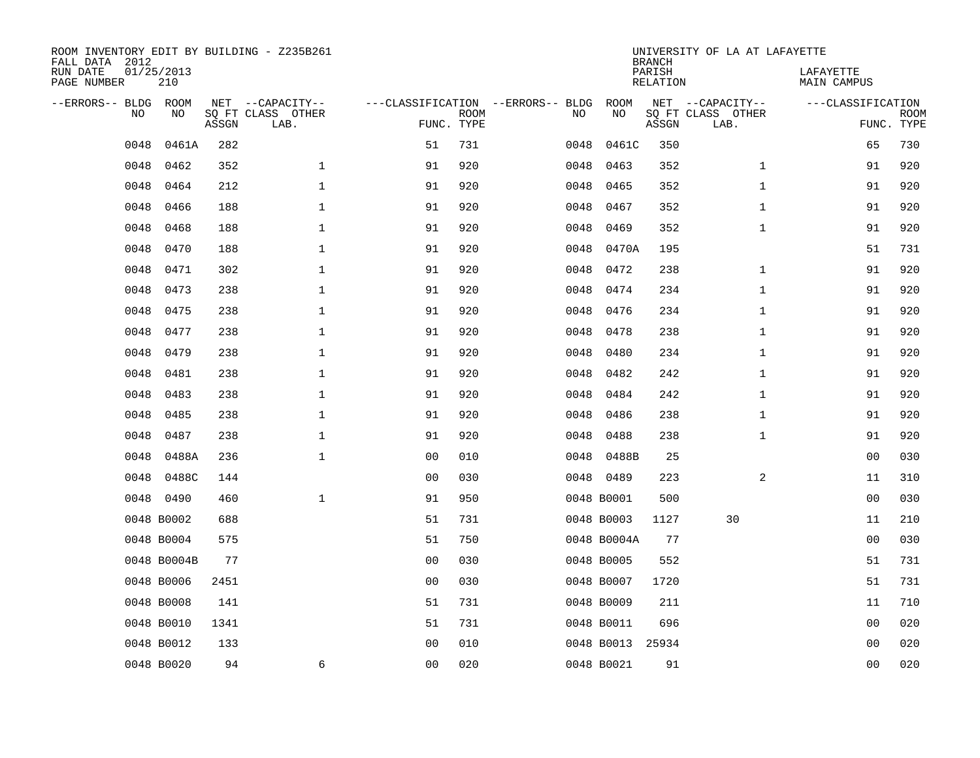| ROOM INVENTORY EDIT BY BUILDING - Z235B261<br>FALL DATA 2012 |                   |       |                           |                |                           |                                   |      |                  | <b>BRANCH</b>      | UNIVERSITY OF LA AT LAFAYETTE |                          |             |
|--------------------------------------------------------------|-------------------|-------|---------------------------|----------------|---------------------------|-----------------------------------|------|------------------|--------------------|-------------------------------|--------------------------|-------------|
| RUN DATE<br>PAGE NUMBER                                      | 01/25/2013<br>210 |       |                           |                |                           |                                   |      |                  | PARISH<br>RELATION |                               | LAFAYETTE<br>MAIN CAMPUS |             |
| --ERRORS-- BLDG ROOM                                         |                   |       | NET --CAPACITY--          |                |                           | ---CLASSIFICATION --ERRORS-- BLDG |      | ROOM             |                    | NET --CAPACITY--              | ---CLASSIFICATION        |             |
| NO.                                                          | NO                | ASSGN | SQ FT CLASS OTHER<br>LAB. |                | <b>ROOM</b><br>FUNC. TYPE |                                   | NO   | NO               | ASSGN              | SQ FT CLASS OTHER<br>LAB.     | FUNC. TYPE               | <b>ROOM</b> |
| 0048                                                         | 0461A             | 282   |                           | 51             | 731                       |                                   | 0048 | 0461C            | 350                |                               | 65                       | 730         |
| 0048                                                         | 0462              | 352   | $\mathbf 1$               | 91             | 920                       |                                   | 0048 | 0463             | 352                | $\mathbf{1}$                  | 91                       | 920         |
| 0048                                                         | 0464              | 212   | $\mathbf 1$               | 91             | 920                       |                                   | 0048 | 0465             | 352                | $\mathbf{1}$                  | 91                       | 920         |
| 0048                                                         | 0466              | 188   | $\mathbf 1$               | 91             | 920                       |                                   | 0048 | 0467             | 352                | $\mathbf{1}$                  | 91                       | 920         |
| 0048                                                         | 0468              | 188   | $\mathbf{1}$              | 91             | 920                       |                                   | 0048 | 0469             | 352                | $\mathbf{1}$                  | 91                       | 920         |
| 0048                                                         | 0470              | 188   | $\mathbf 1$               | 91             | 920                       |                                   |      | 0048 0470A       | 195                |                               | 51                       | 731         |
| 0048                                                         | 0471              | 302   | $\mathbf{1}$              | 91             | 920                       |                                   | 0048 | 0472             | 238                | $\mathbf{1}$                  | 91                       | 920         |
| 0048                                                         | 0473              | 238   | $\mathbf 1$               | 91             | 920                       |                                   | 0048 | 0474             | 234                | $\mathbf{1}$                  | 91                       | 920         |
| 0048                                                         | 0475              | 238   | $\mathbf{1}$              | 91             | 920                       |                                   | 0048 | 0476             | 234                | $\mathbf{1}$                  | 91                       | 920         |
| 0048                                                         | 0477              | 238   | $\mathbf 1$               | 91             | 920                       |                                   | 0048 | 0478             | 238                | $\mathbf{1}$                  | 91                       | 920         |
| 0048                                                         | 0479              | 238   | $\mathbf 1$               | 91             | 920                       |                                   | 0048 | 0480             | 234                | $\mathbf{1}$                  | 91                       | 920         |
| 0048                                                         | 0481              | 238   | $\mathbf 1$               | 91             | 920                       |                                   | 0048 | 0482             | 242                | $\mathbf{1}$                  | 91                       | 920         |
| 0048                                                         | 0483              | 238   | $\mathbf 1$               | 91             | 920                       |                                   | 0048 | 0484             | 242                | $\mathbf{1}$                  | 91                       | 920         |
| 0048                                                         | 0485              | 238   | $\mathbf 1$               | 91             | 920                       |                                   | 0048 | 0486             | 238                | $\mathbf{1}$                  | 91                       | 920         |
| 0048                                                         | 0487              | 238   | $\mathbf 1$               | 91             | 920                       |                                   | 0048 | 0488             | 238                | $\mathbf{1}$                  | 91                       | 920         |
| 0048                                                         | 0488A             | 236   | $\mathbf{1}$              | 0 <sub>0</sub> | 010                       |                                   | 0048 | 0488B            | 25                 |                               | 0 <sub>0</sub>           | 030         |
| 0048                                                         | 0488C             | 144   |                           | 0 <sub>0</sub> | 030                       |                                   |      | 0048 0489        | 223                | 2                             | 11                       | 310         |
|                                                              | 0048 0490         | 460   | $\mathbf{1}$              | 91             | 950                       |                                   |      | 0048 B0001       | 500                |                               | 00                       | 030         |
|                                                              | 0048 B0002        | 688   |                           | 51             | 731                       |                                   |      | 0048 B0003       | 1127               | 30                            | 11                       | 210         |
|                                                              | 0048 B0004        | 575   |                           | 51             | 750                       |                                   |      | 0048 B0004A      | 77                 |                               | 0 <sub>0</sub>           | 030         |
|                                                              | 0048 B0004B       | 77    |                           | 0 <sub>0</sub> | 030                       |                                   |      | 0048 B0005       | 552                |                               | 51                       | 731         |
|                                                              | 0048 B0006        | 2451  |                           | 0 <sub>0</sub> | 030                       |                                   |      | 0048 B0007       | 1720               |                               | 51                       | 731         |
|                                                              | 0048 B0008        | 141   |                           | 51             | 731                       |                                   |      | 0048 B0009       | 211                |                               | 11                       | 710         |
|                                                              | 0048 B0010        | 1341  |                           | 51             | 731                       |                                   |      | 0048 B0011       | 696                |                               | 0 <sub>0</sub>           | 020         |
|                                                              | 0048 B0012        | 133   |                           | 0 <sub>0</sub> | 010                       |                                   |      | 0048 B0013 25934 |                    |                               | 00                       | 020         |
|                                                              | 0048 B0020        | 94    | 6                         | 0 <sub>0</sub> | 020                       |                                   |      | 0048 B0021       | 91                 |                               | 0 <sub>0</sub>           | 020         |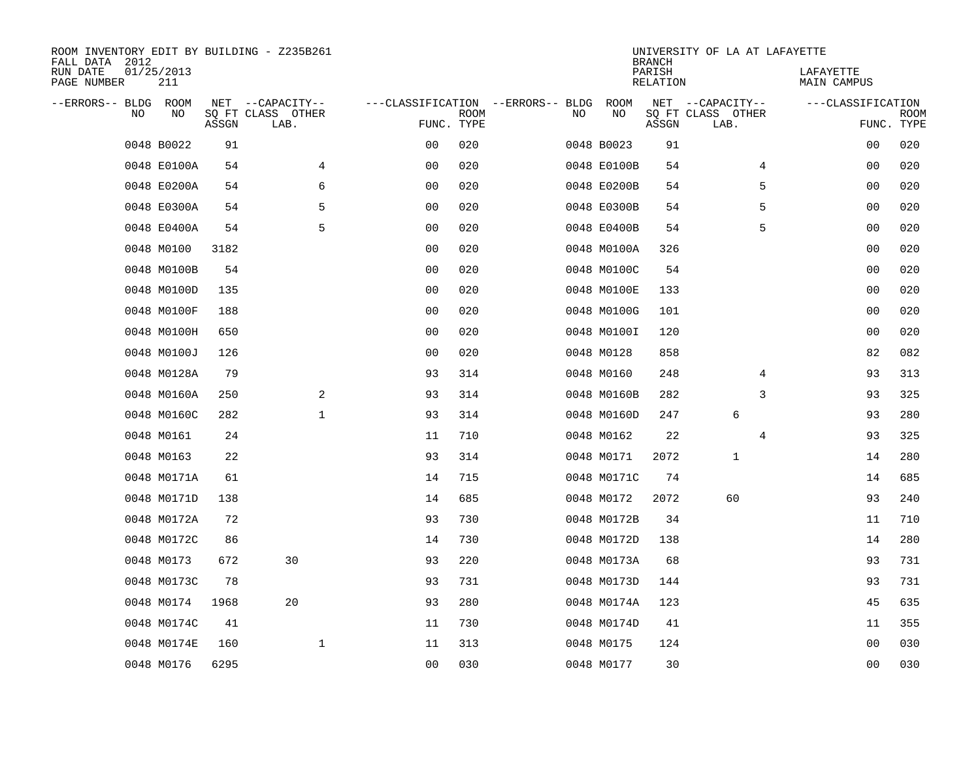| ROOM INVENTORY EDIT BY BUILDING - Z235B261<br>FALL DATA 2012 |                   |       |                           |                                   |             |    |             | <b>BRANCH</b>             | UNIVERSITY OF LA AT LAFAYETTE |                          |                           |
|--------------------------------------------------------------|-------------------|-------|---------------------------|-----------------------------------|-------------|----|-------------|---------------------------|-------------------------------|--------------------------|---------------------------|
| RUN DATE<br>PAGE NUMBER                                      | 01/25/2013<br>211 |       |                           |                                   |             |    |             | PARISH<br><b>RELATION</b> |                               | LAFAYETTE<br>MAIN CAMPUS |                           |
| --ERRORS-- BLDG ROOM                                         |                   |       | NET --CAPACITY--          | ---CLASSIFICATION --ERRORS-- BLDG |             |    | ROOM        |                           | NET --CAPACITY--              | ---CLASSIFICATION        |                           |
| NO.                                                          | NO                | ASSGN | SQ FT CLASS OTHER<br>LAB. | FUNC. TYPE                        | <b>ROOM</b> | NO | NO          | ASSGN                     | SQ FT CLASS OTHER<br>LAB.     |                          | <b>ROOM</b><br>FUNC. TYPE |
|                                                              | 0048 B0022        | 91    |                           | 00                                | 020         |    | 0048 B0023  | 91                        |                               | 00                       | 020                       |
|                                                              | 0048 E0100A       | 54    | 4                         | 00                                | 020         |    | 0048 E0100B | 54                        | 4                             | 00                       | 020                       |
|                                                              | 0048 E0200A       | 54    | 6                         | 0 <sub>0</sub>                    | 020         |    | 0048 E0200B | 54                        | 5                             | 00                       | 020                       |
|                                                              | 0048 E0300A       | 54    | 5                         | 0 <sub>0</sub>                    | 020         |    | 0048 E0300B | 54                        | 5                             | 00                       | 020                       |
|                                                              | 0048 E0400A       | 54    | 5                         | 0 <sub>0</sub>                    | 020         |    | 0048 E0400B | 54                        | 5                             | 00                       | 020                       |
|                                                              | 0048 M0100        | 3182  |                           | 0 <sub>0</sub>                    | 020         |    | 0048 M0100A | 326                       |                               | 00                       | 020                       |
|                                                              | 0048 M0100B       | 54    |                           | 0 <sub>0</sub>                    | 020         |    | 0048 M0100C | 54                        |                               | 0 <sub>0</sub>           | 020                       |
|                                                              | 0048 M0100D       | 135   |                           | 0 <sub>0</sub>                    | 020         |    | 0048 M0100E | 133                       |                               | 0 <sub>0</sub>           | 020                       |
|                                                              | 0048 M0100F       | 188   |                           | 0 <sub>0</sub>                    | 020         |    | 0048 M0100G | 101                       |                               | 0 <sub>0</sub>           | 020                       |
|                                                              | 0048 M0100H       | 650   |                           | 0 <sub>0</sub>                    | 020         |    | 0048 M0100I | 120                       |                               | 0 <sub>0</sub>           | 020                       |
|                                                              | 0048 M0100J       | 126   |                           | 0 <sub>0</sub>                    | 020         |    | 0048 M0128  | 858                       |                               | 82                       | 082                       |
|                                                              | 0048 M0128A       | 79    |                           | 93                                | 314         |    | 0048 M0160  | 248                       | 4                             | 93                       | 313                       |
|                                                              | 0048 M0160A       | 250   | 2                         | 93                                | 314         |    | 0048 M0160B | 282                       | 3                             | 93                       | 325                       |
|                                                              | 0048 M0160C       | 282   | $\mathbf{1}$              | 93                                | 314         |    | 0048 M0160D | 247                       | 6                             | 93                       | 280                       |
|                                                              | 0048 M0161        | 24    |                           | 11                                | 710         |    | 0048 M0162  | 22                        | 4                             | 93                       | 325                       |
|                                                              | 0048 M0163        | 22    |                           | 93                                | 314         |    | 0048 M0171  | 2072                      | $\mathbf{1}$                  | 14                       | 280                       |
|                                                              | 0048 M0171A       | 61    |                           | 14                                | 715         |    | 0048 M0171C | 74                        |                               | 14                       | 685                       |
|                                                              | 0048 M0171D       | 138   |                           | 14                                | 685         |    | 0048 M0172  | 2072                      | 60                            | 93                       | 240                       |
|                                                              | 0048 M0172A       | 72    |                           | 93                                | 730         |    | 0048 M0172B | 34                        |                               | 11                       | 710                       |
|                                                              | 0048 M0172C       | 86    |                           | 14                                | 730         |    | 0048 M0172D | 138                       |                               | 14                       | 280                       |
|                                                              | 0048 M0173        | 672   | 30                        | 93                                | 220         |    | 0048 M0173A | 68                        |                               | 93                       | 731                       |
|                                                              | 0048 M0173C       | 78    |                           | 93                                | 731         |    | 0048 M0173D | 144                       |                               | 93                       | 731                       |
|                                                              | 0048 M0174        | 1968  | 20                        | 93                                | 280         |    | 0048 M0174A | 123                       |                               | 45                       | 635                       |
|                                                              | 0048 M0174C       | 41    |                           | 11                                | 730         |    | 0048 M0174D | 41                        |                               | 11                       | 355                       |
|                                                              | 0048 M0174E       | 160   | $\mathbf 1$               | 11                                | 313         |    | 0048 M0175  | 124                       |                               | 00                       | 030                       |
|                                                              | 0048 M0176        | 6295  |                           | 00                                | 030         |    | 0048 M0177  | 30                        |                               | 0 <sub>0</sub>           | 030                       |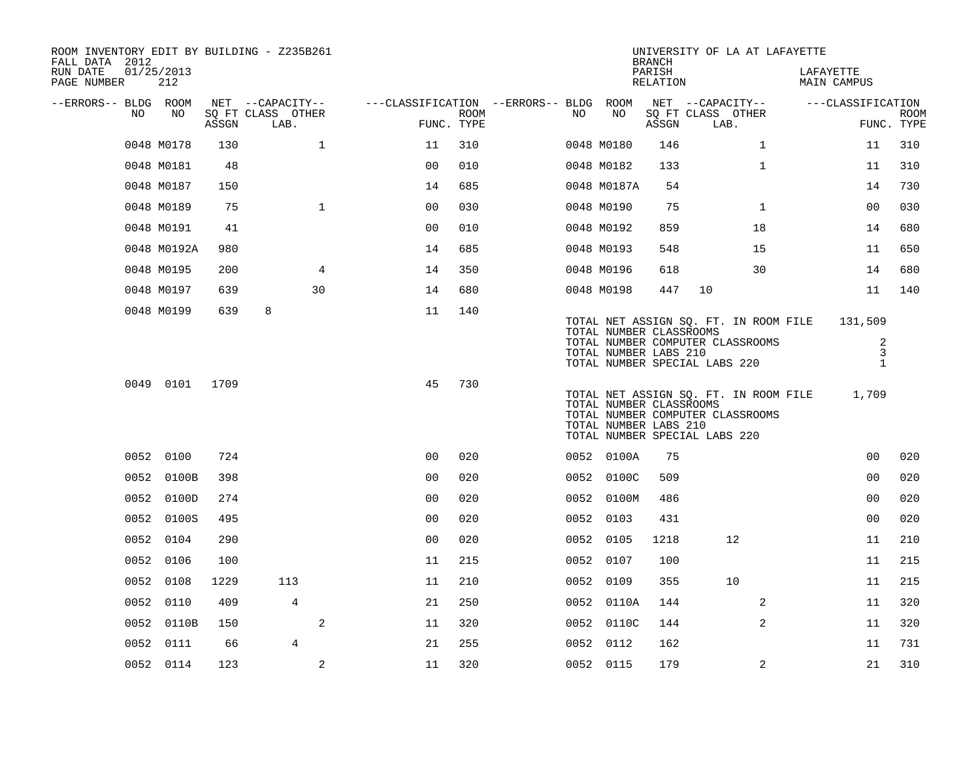| ROOM INVENTORY EDIT BY BUILDING - Z235B261<br>FALL DATA 2012 |                   |       |                           |                                        |      |    |                                                                                   | <b>BRANCH</b>      |                           | UNIVERSITY OF LA AT LAFAYETTE    |                                       |                        |                           |
|--------------------------------------------------------------|-------------------|-------|---------------------------|----------------------------------------|------|----|-----------------------------------------------------------------------------------|--------------------|---------------------------|----------------------------------|---------------------------------------|------------------------|---------------------------|
| RUN DATE<br>PAGE NUMBER                                      | 01/25/2013<br>212 |       |                           |                                        |      |    |                                                                                   | PARISH<br>RELATION |                           |                                  | LAFAYETTE<br>MAIN CAMPUS              |                        |                           |
| --ERRORS-- BLDG ROOM                                         |                   |       | NET --CAPACITY--          | ---CLASSIFICATION --ERRORS-- BLDG ROOM |      |    |                                                                                   |                    |                           | NET --CAPACITY--                 |                                       | ---CLASSIFICATION      |                           |
| NO                                                           | NO                | ASSGN | SQ FT CLASS OTHER<br>LAB. | FUNC. TYPE                             | ROOM | NO | NO                                                                                | ASSGN              | SQ FT CLASS OTHER<br>LAB. |                                  |                                       |                        | <b>ROOM</b><br>FUNC. TYPE |
|                                                              | 0048 M0178        | 130   | $\mathbf 1$               | 11                                     | 310  |    | 0048 M0180                                                                        | 146                |                           | $\mathbf{1}$                     |                                       | 11                     | 310                       |
|                                                              | 0048 M0181        | 48    |                           | 0 <sub>0</sub>                         | 010  |    | 0048 M0182                                                                        | 133                |                           | $\mathbf{1}$                     |                                       | 11                     | 310                       |
|                                                              | 0048 M0187        | 150   |                           | 14                                     | 685  |    | 0048 M0187A                                                                       | 54                 |                           |                                  |                                       | 14                     | 730                       |
|                                                              | 0048 M0189        | 75    | $\mathbf{1}$              | 0 <sub>0</sub>                         | 030  |    | 0048 M0190                                                                        | 75                 |                           | $\mathbf{1}$                     |                                       | 00                     | 030                       |
|                                                              | 0048 M0191        | 41    |                           | 0 <sub>0</sub>                         | 010  |    | 0048 M0192                                                                        | 859                |                           | 18                               |                                       | 14                     | 680                       |
|                                                              | 0048 M0192A       | 980   |                           | 14                                     | 685  |    | 0048 M0193                                                                        | 548                |                           | 15                               |                                       | 11                     | 650                       |
|                                                              | 0048 M0195        | 200   | $\overline{4}$            | 14                                     | 350  |    | 0048 M0196                                                                        | 618                |                           | 30                               |                                       | 14                     | 680                       |
|                                                              | 0048 M0197        | 639   | 30                        | 14                                     | 680  |    | 0048 M0198                                                                        | 447                | 10                        |                                  |                                       | 11                     | 140                       |
|                                                              | 0048 M0199        | 639   | 8                         | 11                                     | 140  |    | TOTAL NUMBER CLASSROOMS                                                           |                    |                           |                                  | TOTAL NET ASSIGN SQ. FT. IN ROOM FILE | 131,509                |                           |
|                                                              |                   |       |                           |                                        |      |    | TOTAL NUMBER LABS 210<br>TOTAL NUMBER SPECIAL LABS 220                            |                    |                           | TOTAL NUMBER COMPUTER CLASSROOMS |                                       | 2<br>3<br>$\mathbf{1}$ |                           |
|                                                              | 0049 0101         | 1709  |                           | 45                                     | 730  |    | TOTAL NUMBER CLASSROOMS<br>TOTAL NUMBER LABS 210<br>TOTAL NUMBER SPECIAL LABS 220 |                    |                           | TOTAL NUMBER COMPUTER CLASSROOMS | TOTAL NET ASSIGN SQ. FT. IN ROOM FILE | 1,709                  |                           |
|                                                              | 0052 0100         | 724   |                           | 0 <sup>0</sup>                         | 020  |    | 0052 0100A                                                                        | 75                 |                           |                                  |                                       | 0 <sub>0</sub>         | 020                       |
|                                                              | 0052 0100B        | 398   |                           | 0 <sub>0</sub>                         | 020  |    | 0052 0100C                                                                        | 509                |                           |                                  |                                       | 0 <sub>0</sub>         | 020                       |
|                                                              | 0052 0100D        | 274   |                           | 0 <sub>0</sub>                         | 020  |    | 0052 0100M                                                                        | 486                |                           |                                  |                                       | 0 <sub>0</sub>         | 020                       |
|                                                              | 0052 0100S        | 495   |                           | 0 <sub>0</sub>                         | 020  |    | 0052 0103                                                                         | 431                |                           |                                  |                                       | 0 <sub>0</sub>         | 020                       |
|                                                              | 0052 0104         | 290   |                           | 0 <sub>0</sub>                         | 020  |    | 0052 0105                                                                         | 1218               |                           | 12                               |                                       | 11                     | 210                       |
|                                                              | 0052 0106         | 100   |                           | 11                                     | 215  |    | 0052 0107                                                                         | 100                |                           |                                  |                                       | 11                     | 215                       |
| 0052                                                         | 0108              | 1229  | 113                       | 11                                     | 210  |    | 0052 0109                                                                         | 355                |                           | 10                               |                                       | 11                     | 215                       |
| 0052                                                         | 0110              | 409   | $\overline{4}$            | 21                                     | 250  |    | 0052 0110A                                                                        | 144                |                           | 2                                |                                       | 11                     | 320                       |
| 0052                                                         | 0110B             | 150   | 2                         | 11                                     | 320  |    | 0052 0110C                                                                        | 144                |                           | $\overline{2}$                   |                                       | 11                     | 320                       |
|                                                              | 0052 0111         | 66    | 4                         | 21                                     | 255  |    | 0052 0112                                                                         | 162                |                           |                                  |                                       | 11                     | 731                       |
|                                                              | 0052 0114         | 123   | 2                         | 11                                     | 320  |    | 0052 0115                                                                         | 179                |                           | 2                                |                                       | 21                     | 310                       |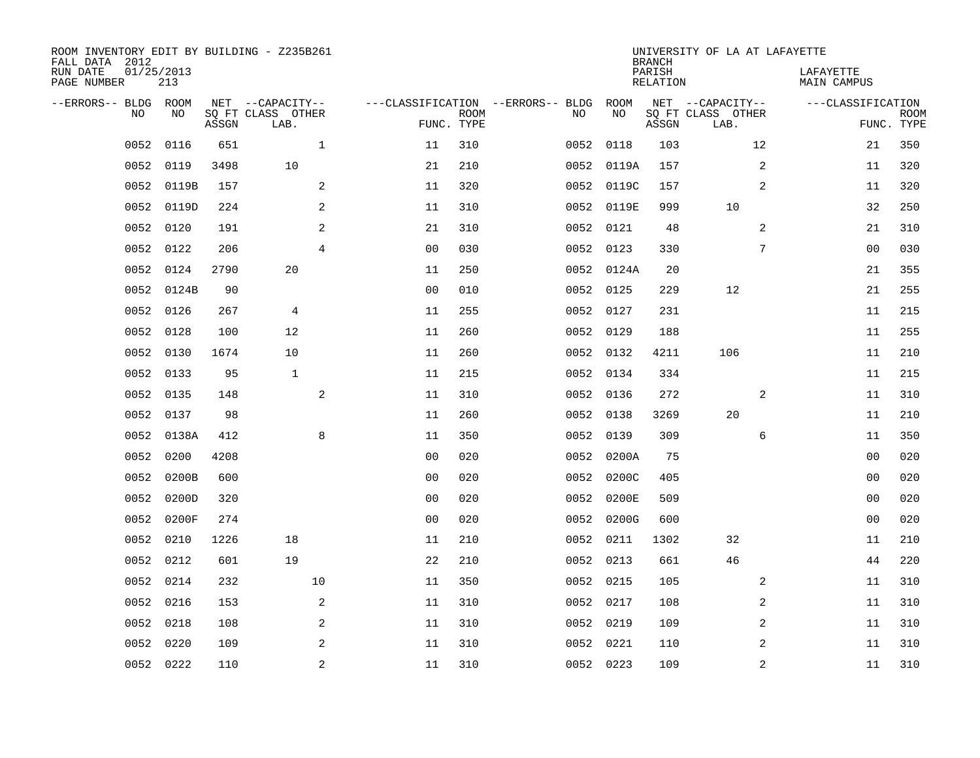| ROOM INVENTORY EDIT BY BUILDING - Z235B261<br>FALL DATA 2012<br>RUN DATE<br>PAGE NUMBER | 01/25/2013<br>213 |       |                                               |                                   |                           |      |            | <b>BRANCH</b><br>PARISH<br><b>RELATION</b> | UNIVERSITY OF LA AT LAFAYETTE                 |                  | LAFAYETTE<br>MAIN CAMPUS |                           |
|-----------------------------------------------------------------------------------------|-------------------|-------|-----------------------------------------------|-----------------------------------|---------------------------|------|------------|--------------------------------------------|-----------------------------------------------|------------------|--------------------------|---------------------------|
| --ERRORS-- BLDG ROOM<br>NO.                                                             | NO                | ASSGN | NET --CAPACITY--<br>SQ FT CLASS OTHER<br>LAB. | ---CLASSIFICATION --ERRORS-- BLDG | <b>ROOM</b><br>FUNC. TYPE | NO   | ROOM<br>NO | ASSGN                                      | NET --CAPACITY--<br>SQ FT CLASS OTHER<br>LAB. |                  | ---CLASSIFICATION        | <b>ROOM</b><br>FUNC. TYPE |
| 0052                                                                                    | 0116              | 651   | $\mathbf{1}$                                  | 11                                | 310                       | 0052 | 0118       | 103                                        |                                               | 12               | 21                       | 350                       |
| 0052                                                                                    | 0119              | 3498  | 10                                            | 21                                | 210                       |      | 0052 0119A | 157                                        |                                               | $\boldsymbol{2}$ | 11                       | 320                       |
| 0052                                                                                    | 0119B             | 157   | 2                                             | 11                                | 320                       |      | 0052 0119C | 157                                        |                                               | 2                | 11                       | 320                       |
| 0052                                                                                    | 0119D             | 224   | 2                                             | 11                                | 310                       |      | 0052 0119E | 999                                        | 10                                            |                  | 32                       | 250                       |
| 0052                                                                                    | 0120              | 191   | 2                                             | 21                                | 310                       |      | 0052 0121  | 48                                         |                                               | 2                | 21                       | 310                       |
| 0052                                                                                    | 0122              | 206   | $\overline{4}$                                | 0 <sub>0</sub>                    | 030                       |      | 0052 0123  | 330                                        |                                               | 7                | 0 <sub>0</sub>           | 030                       |
| 0052                                                                                    | 0124              | 2790  | 20                                            | 11                                | 250                       |      | 0052 0124A | 20                                         |                                               |                  | 21                       | 355                       |
| 0052                                                                                    | 0124B             | 90    |                                               | 0 <sub>0</sub>                    | 010                       |      | 0052 0125  | 229                                        | 12                                            |                  | 21                       | 255                       |
| 0052                                                                                    | 0126              | 267   | $\overline{4}$                                | 11                                | 255                       | 0052 | 0127       | 231                                        |                                               |                  | 11                       | 215                       |
| 0052                                                                                    | 0128              | 100   | 12                                            | 11                                | 260                       |      | 0052 0129  | 188                                        |                                               |                  | 11                       | 255                       |
| 0052                                                                                    | 0130              | 1674  | 10                                            | 11                                | 260                       |      | 0052 0132  | 4211                                       | 106                                           |                  | 11                       | 210                       |
| 0052                                                                                    | 0133              | 95    | $\mathbf{1}$                                  | 11                                | 215                       |      | 0052 0134  | 334                                        |                                               |                  | 11                       | 215                       |
| 0052                                                                                    | 0135              | 148   | 2                                             | 11                                | 310                       |      | 0052 0136  | 272                                        |                                               | 2                | 11                       | 310                       |
| 0052                                                                                    | 0137              | 98    |                                               | 11                                | 260                       |      | 0052 0138  | 3269                                       | 20                                            |                  | 11                       | 210                       |
| 0052                                                                                    | 0138A             | 412   | 8                                             | 11                                | 350                       |      | 0052 0139  | 309                                        |                                               | 6                | 11                       | 350                       |
| 0052                                                                                    | 0200              | 4208  |                                               | 0 <sub>0</sub>                    | 020                       |      | 0052 0200A | 75                                         |                                               |                  | 0 <sub>0</sub>           | 020                       |
| 0052                                                                                    | 0200B             | 600   |                                               | 0 <sub>0</sub>                    | 020                       | 0052 | 0200C      | 405                                        |                                               |                  | 0 <sub>0</sub>           | 020                       |
| 0052                                                                                    | 0200D             | 320   |                                               | 0 <sub>0</sub>                    | 020                       | 0052 | 0200E      | 509                                        |                                               |                  | 00                       | 020                       |
| 0052                                                                                    | 0200F             | 274   |                                               | 0 <sub>0</sub>                    | 020                       |      | 0052 0200G | 600                                        |                                               |                  | 0 <sub>0</sub>           | 020                       |
| 0052                                                                                    | 0210              | 1226  | 18                                            | 11                                | 210                       |      | 0052 0211  | 1302                                       | 32                                            |                  | 11                       | 210                       |
| 0052                                                                                    | 0212              | 601   | 19                                            | 22                                | 210                       |      | 0052 0213  | 661                                        | 46                                            |                  | 44                       | 220                       |
| 0052                                                                                    | 0214              | 232   | 10                                            | 11                                | 350                       |      | 0052 0215  | 105                                        |                                               | 2                | 11                       | 310                       |
| 0052                                                                                    | 0216              | 153   | 2                                             | 11                                | 310                       |      | 0052 0217  | 108                                        |                                               | 2                | 11                       | 310                       |
| 0052                                                                                    | 0218              | 108   | 2                                             | 11                                | 310                       |      | 0052 0219  | 109                                        |                                               | 2                | 11                       | 310                       |
| 0052                                                                                    | 0220              | 109   | 2                                             | 11                                | 310                       |      | 0052 0221  | 110                                        |                                               | 2                | 11                       | 310                       |
|                                                                                         | 0052 0222         | 110   | $\overline{c}$                                | 11                                | 310                       |      | 0052 0223  | 109                                        |                                               | 2                | 11                       | 310                       |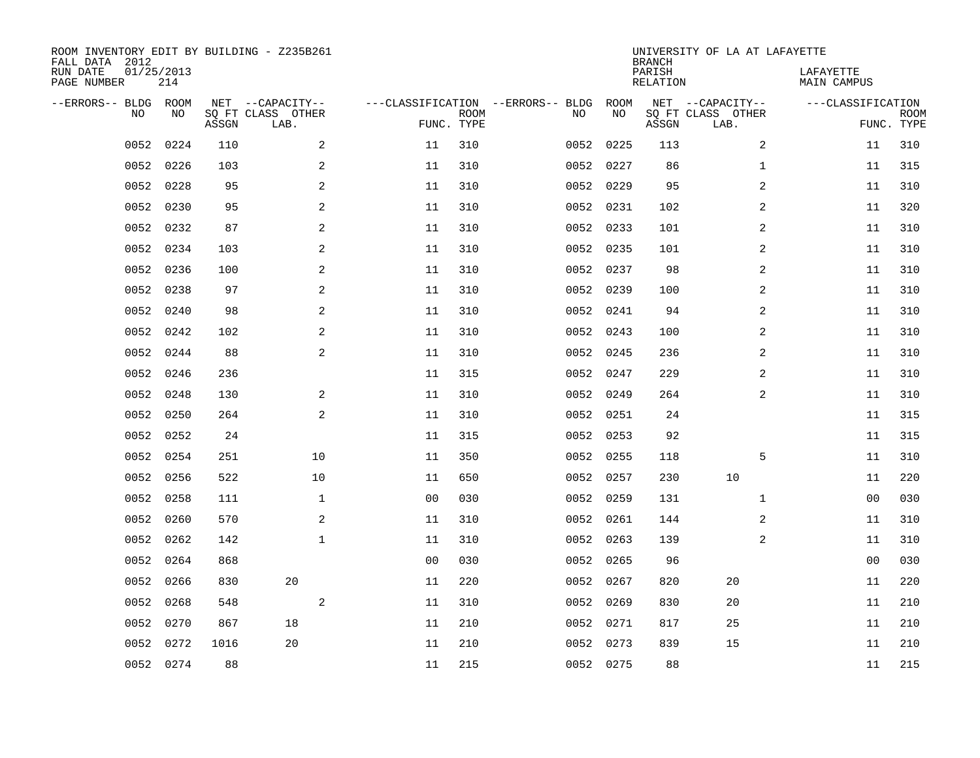| FALL DATA 2012<br>RUN DATE<br>PAGE NUMBER | 01/25/2013<br>214 |            |       | ROOM INVENTORY EDIT BY BUILDING - Z235B261    |                                                 |             |           |            | <b>BRANCH</b><br>PARISH<br>RELATION | UNIVERSITY OF LA AT LAFAYETTE                 | LAFAYETTE<br>MAIN CAMPUS |                           |
|-------------------------------------------|-------------------|------------|-------|-----------------------------------------------|-------------------------------------------------|-------------|-----------|------------|-------------------------------------|-----------------------------------------------|--------------------------|---------------------------|
| --ERRORS-- BLDG                           | NO                | ROOM<br>NO | ASSGN | NET --CAPACITY--<br>SQ FT CLASS OTHER<br>LAB. | ---CLASSIFICATION --ERRORS-- BLDG<br>FUNC. TYPE | <b>ROOM</b> | NO        | ROOM<br>NO | ASSGN                               | NET --CAPACITY--<br>SQ FT CLASS OTHER<br>LAB. | ---CLASSIFICATION        | <b>ROOM</b><br>FUNC. TYPE |
|                                           | 0052              | 0224       | 110   | 2                                             | 11                                              | 310         | 0052      | 0225       | 113                                 | 2                                             | 11                       | 310                       |
|                                           | 0052              | 0226       | 103   | 2                                             | 11                                              | 310         | 0052 0227 |            | 86                                  | $\mathbf{1}$                                  | 11                       | 315                       |
|                                           | 0052              | 0228       | 95    | 2                                             | 11                                              | 310         | 0052      | 0229       | 95                                  | 2                                             | 11                       | 310                       |
|                                           | 0052              | 0230       | 95    | 2                                             | 11                                              | 310         | 0052 0231 |            | 102                                 | 2                                             | 11                       | 320                       |
|                                           | 0052              | 0232       | 87    | 2                                             | 11                                              | 310         | 0052 0233 |            | 101                                 | 2                                             | 11                       | 310                       |
|                                           | 0052              | 0234       | 103   | 2                                             | 11                                              | 310         | 0052 0235 |            | 101                                 | 2                                             | 11                       | 310                       |
|                                           | 0052              | 0236       | 100   | 2                                             | 11                                              | 310         | 0052 0237 |            | 98                                  | 2                                             | 11                       | 310                       |
|                                           | 0052              | 0238       | 97    | 2                                             | 11                                              | 310         | 0052 0239 |            | 100                                 | 2                                             | 11                       | 310                       |
|                                           | 0052              | 0240       | 98    | 2                                             | 11                                              | 310         | 0052      | 0241       | 94                                  | 2                                             | 11                       | 310                       |
|                                           | 0052              | 0242       | 102   | 2                                             | 11                                              | 310         | 0052 0243 |            | 100                                 | 2                                             | 11                       | 310                       |
|                                           | 0052              | 0244       | 88    | 2                                             | 11                                              | 310         | 0052      | 0245       | 236                                 | 2                                             | 11                       | 310                       |
|                                           | 0052              | 0246       | 236   |                                               | 11                                              | 315         | 0052 0247 |            | 229                                 | 2                                             | 11                       | 310                       |
|                                           | 0052              | 0248       | 130   | 2                                             | 11                                              | 310         | 0052      | 0249       | 264                                 | 2                                             | 11                       | 310                       |
|                                           | 0052              | 0250       | 264   | 2                                             | 11                                              | 310         | 0052 0251 |            | 24                                  |                                               | 11                       | 315                       |
|                                           | 0052              | 0252       | 24    |                                               | 11                                              | 315         | 0052      | 0253       | 92                                  |                                               | 11                       | 315                       |
|                                           | 0052              | 0254       | 251   | 10                                            | 11                                              | 350         |           | 0052 0255  | 118                                 | 5                                             | 11                       | 310                       |
|                                           | 0052              | 0256       | 522   | 10                                            | 11                                              | 650         | 0052      | 0257       | 230                                 | 10                                            | 11                       | 220                       |
|                                           | 0052              | 0258       | 111   | $\mathbf 1$                                   | 0 <sub>0</sub>                                  | 030         | 0052 0259 |            | 131                                 | $\mathbf{1}$                                  | 00                       | 030                       |
|                                           | 0052              | 0260       | 570   | 2                                             | 11                                              | 310         | 0052      | 0261       | 144                                 | 2                                             | 11                       | 310                       |
|                                           | 0052              | 0262       | 142   | $\mathbf 1$                                   | 11                                              | 310         | 0052 0263 |            | 139                                 | 2                                             | 11                       | 310                       |
|                                           | 0052              | 0264       | 868   |                                               | 0 <sub>0</sub>                                  | 030         | 0052      | 0265       | 96                                  |                                               | 00                       | 030                       |
|                                           | 0052              | 0266       | 830   | 20                                            | 11                                              | 220         | 0052 0267 |            | 820                                 | 20                                            | 11                       | 220                       |
|                                           | 0052              | 0268       | 548   | 2                                             | 11                                              | 310         | 0052      | 0269       | 830                                 | 20                                            | 11                       | 210                       |
|                                           | 0052              | 0270       | 867   | 18                                            | 11                                              | 210         | 0052 0271 |            | 817                                 | 25                                            | 11                       | 210                       |
|                                           | 0052              | 0272       | 1016  | 20                                            | 11                                              | 210         | 0052 0273 |            | 839                                 | 15                                            | 11                       | 210                       |
|                                           | 0052 0274         |            | 88    |                                               | 11                                              | 215         | 0052 0275 |            | 88                                  |                                               | 11                       | 215                       |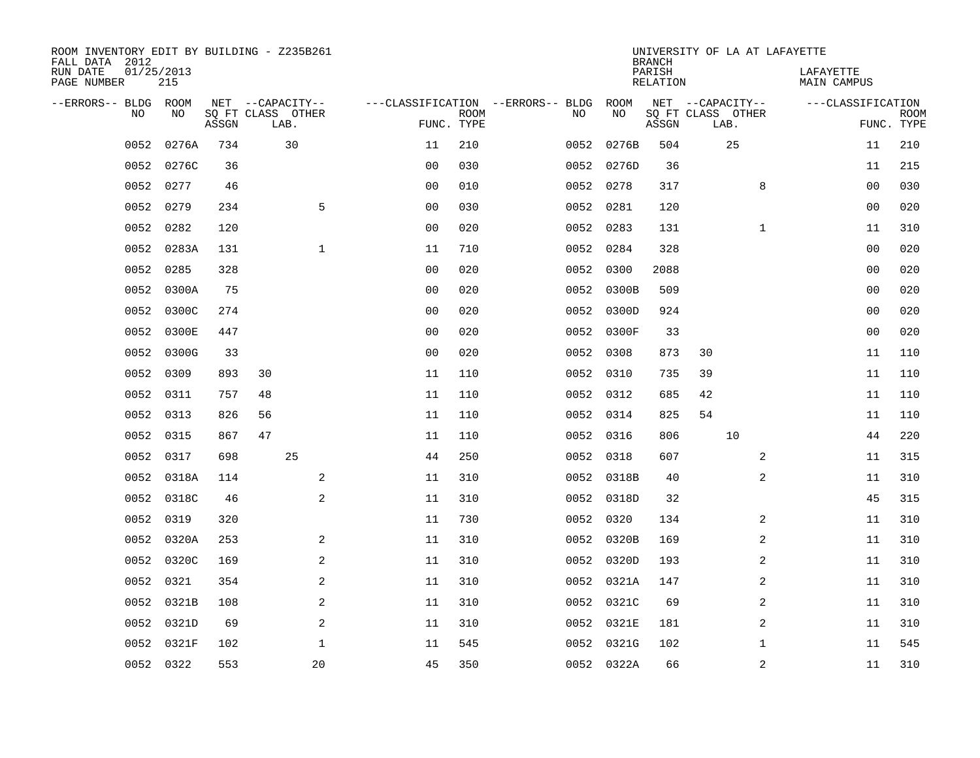| ROOM INVENTORY EDIT BY BUILDING - Z235B261<br>FALL DATA 2012<br>RUN DATE<br>PAGE NUMBER | 01/25/2013<br>215 |       |    |                                               |                                   |                           |           |            | <b>BRANCH</b><br>PARISH<br><b>RELATION</b> |                                               | UNIVERSITY OF LA AT LAFAYETTE | LAFAYETTE<br><b>MAIN CAMPUS</b> |                           |
|-----------------------------------------------------------------------------------------|-------------------|-------|----|-----------------------------------------------|-----------------------------------|---------------------------|-----------|------------|--------------------------------------------|-----------------------------------------------|-------------------------------|---------------------------------|---------------------------|
| --ERRORS-- BLDG<br>NO                                                                   | ROOM<br>NO        | ASSGN |    | NET --CAPACITY--<br>SQ FT CLASS OTHER<br>LAB. | ---CLASSIFICATION --ERRORS-- BLDG | <b>ROOM</b><br>FUNC. TYPE | NO        | ROOM<br>NO | ASSGN                                      | NET --CAPACITY--<br>SQ FT CLASS OTHER<br>LAB. |                               | ---CLASSIFICATION               | <b>ROOM</b><br>FUNC. TYPE |
| 0052                                                                                    | 0276A             | 734   |    | 30                                            | 11                                | 210                       | 0052      | 0276B      | 504                                        |                                               | 25                            | 11                              | 210                       |
| 0052                                                                                    | 0276C             | 36    |    |                                               | 0 <sub>0</sub>                    | 030                       |           | 0052 0276D | 36                                         |                                               |                               | 11                              | 215                       |
| 0052                                                                                    | 0277              | 46    |    |                                               | 0 <sub>0</sub>                    | 010                       |           | 0052 0278  | 317                                        |                                               | 8                             | 0 <sub>0</sub>                  | 030                       |
| 0052                                                                                    | 0279              | 234   |    | 5                                             | 0 <sub>0</sub>                    | 030                       | 0052      | 0281       | 120                                        |                                               |                               | 0 <sub>0</sub>                  | 020                       |
| 0052                                                                                    | 0282              | 120   |    |                                               | 0 <sub>0</sub>                    | 020                       | 0052      | 0283       | 131                                        |                                               | $\mathbf{1}$                  | 11                              | 310                       |
| 0052                                                                                    | 0283A             | 131   |    | $\mathbf{1}$                                  | 11                                | 710                       |           | 0052 0284  | 328                                        |                                               |                               | 00                              | 020                       |
| 0052                                                                                    | 0285              | 328   |    |                                               | 0 <sub>0</sub>                    | 020                       | 0052      | 0300       | 2088                                       |                                               |                               | 0 <sub>0</sub>                  | 020                       |
| 0052                                                                                    | 0300A             | 75    |    |                                               | 0 <sub>0</sub>                    | 020                       |           | 0052 0300B | 509                                        |                                               |                               | 0 <sub>0</sub>                  | 020                       |
| 0052                                                                                    | 0300C             | 274   |    |                                               | 00                                | 020                       | 0052      | 0300D      | 924                                        |                                               |                               | 0 <sub>0</sub>                  | 020                       |
| 0052                                                                                    | 0300E             | 447   |    |                                               | 0 <sub>0</sub>                    | 020                       |           | 0052 0300F | 33                                         |                                               |                               | 00                              | 020                       |
| 0052                                                                                    | 0300G             | 33    |    |                                               | 0 <sub>0</sub>                    | 020                       | 0052      | 0308       | 873                                        | 30                                            |                               | 11                              | 110                       |
| 0052                                                                                    | 0309              | 893   | 30 |                                               | 11                                | 110                       | 0052 0310 |            | 735                                        | 39                                            |                               | 11                              | 110                       |
| 0052                                                                                    | 0311              | 757   | 48 |                                               | 11                                | 110                       | 0052 0312 |            | 685                                        | 42                                            |                               | 11                              | 110                       |
| 0052                                                                                    | 0313              | 826   | 56 |                                               | 11                                | 110                       |           | 0052 0314  | 825                                        | 54                                            |                               | 11                              | 110                       |
| 0052                                                                                    | 0315              | 867   | 47 |                                               | 11                                | 110                       | 0052 0316 |            | 806                                        |                                               | 10                            | 44                              | 220                       |
| 0052                                                                                    | 0317              | 698   |    | 25                                            | 44                                | 250                       | 0052 0318 |            | 607                                        |                                               | 2                             | 11                              | 315                       |
| 0052                                                                                    | 0318A             | 114   |    | 2                                             | 11                                | 310                       |           | 0052 0318B | 40                                         |                                               | 2                             | 11                              | 310                       |
| 0052                                                                                    | 0318C             | 46    |    | $\overline{a}$                                | 11                                | 310                       |           | 0052 0318D | 32                                         |                                               |                               | 45                              | 315                       |
| 0052                                                                                    | 0319              | 320   |    |                                               | 11                                | 730                       |           | 0052 0320  | 134                                        |                                               | 2                             | 11                              | 310                       |
| 0052                                                                                    | 0320A             | 253   |    | 2                                             | 11                                | 310                       |           | 0052 0320B | 169                                        |                                               | $\overline{a}$                | 11                              | 310                       |
| 0052                                                                                    | 0320C             | 169   |    | 2                                             | 11                                | 310                       |           | 0052 0320D | 193                                        |                                               | 2                             | 11                              | 310                       |
| 0052                                                                                    | 0321              | 354   |    | 2                                             | 11                                | 310                       |           | 0052 0321A | 147                                        |                                               | $\overline{a}$                | 11                              | 310                       |
| 0052                                                                                    | 0321B             | 108   |    | $\overline{a}$                                | 11                                | 310                       |           | 0052 0321C | 69                                         |                                               | 2                             | 11                              | 310                       |
| 0052                                                                                    | 0321D             | 69    |    | 2                                             | 11                                | 310                       | 0052      | 0321E      | 181                                        |                                               | 2                             | 11                              | 310                       |
| 0052                                                                                    | 0321F             | 102   |    | 1                                             | 11                                | 545                       | 0052      | 0321G      | 102                                        |                                               | $\mathbf{1}$                  | 11                              | 545                       |
|                                                                                         | 0052 0322         | 553   |    | 20                                            | 45                                | 350                       |           | 0052 0322A | 66                                         |                                               | 2                             | 11                              | 310                       |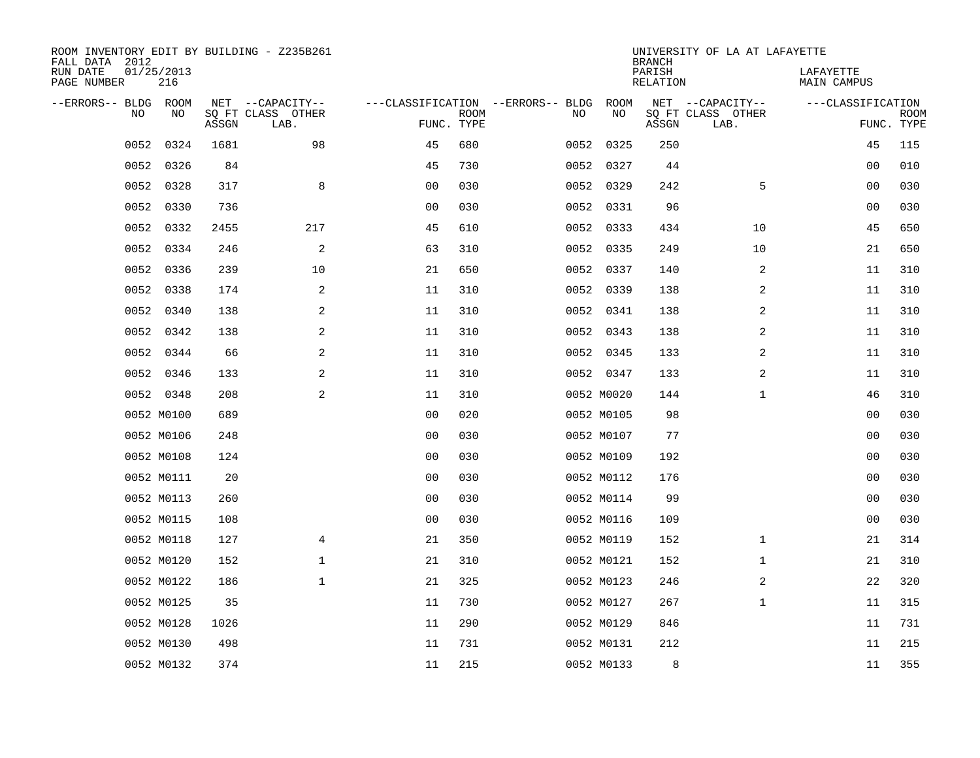| FALL DATA 2012<br>RUN DATE<br>PAGE NUMBER | 01/25/2013<br>216 |            |       | ROOM INVENTORY EDIT BY BUILDING - Z235B261    |                                                 |             |      |            | <b>BRANCH</b><br>PARISH<br>RELATION | UNIVERSITY OF LA AT LAFAYETTE                 | LAFAYETTE<br>MAIN CAMPUS |                           |
|-------------------------------------------|-------------------|------------|-------|-----------------------------------------------|-------------------------------------------------|-------------|------|------------|-------------------------------------|-----------------------------------------------|--------------------------|---------------------------|
| --ERRORS-- BLDG                           | <b>NO</b>         | ROOM<br>NO | ASSGN | NET --CAPACITY--<br>SQ FT CLASS OTHER<br>LAB. | ---CLASSIFICATION --ERRORS-- BLDG<br>FUNC. TYPE | <b>ROOM</b> | NO   | ROOM<br>NO | ASSGN                               | NET --CAPACITY--<br>SQ FT CLASS OTHER<br>LAB. | ---CLASSIFICATION        | <b>ROOM</b><br>FUNC. TYPE |
|                                           | 0052              | 0324       | 1681  | 98                                            | 45                                              | 680         | 0052 | 0325       | 250                                 |                                               | 45                       | 115                       |
|                                           | 0052              | 0326       | 84    |                                               | 45                                              | 730         |      | 0052 0327  | 44                                  |                                               | 0 <sub>0</sub>           | 010                       |
|                                           | 0052              | 0328       | 317   | 8                                             | 0 <sub>0</sub>                                  | 030         |      | 0052 0329  | 242                                 | 5                                             | 0 <sub>0</sub>           | 030                       |
|                                           | 0052 0330         |            | 736   |                                               | 0 <sub>0</sub>                                  | 030         |      | 0052 0331  | 96                                  |                                               | 0 <sub>0</sub>           | 030                       |
|                                           | 0052              | 0332       | 2455  | 217                                           | 45                                              | 610         | 0052 | 0333       | 434                                 | 10                                            | 45                       | 650                       |
|                                           | 0052              | 0334       | 246   | 2                                             | 63                                              | 310         |      | 0052 0335  | 249                                 | 10                                            | 21                       | 650                       |
|                                           | 0052              | 0336       | 239   | 10                                            | 21                                              | 650         |      | 0052 0337  | 140                                 | 2                                             | 11                       | 310                       |
|                                           | 0052 0338         |            | 174   | 2                                             | 11                                              | 310         |      | 0052 0339  | 138                                 | 2                                             | 11                       | 310                       |
|                                           | 0052              | 0340       | 138   | 2                                             | 11                                              | 310         |      | 0052 0341  | 138                                 | 2                                             | 11                       | 310                       |
|                                           | 0052 0342         |            | 138   | 2                                             | 11                                              | 310         |      | 0052 0343  | 138                                 | 2                                             | 11                       | 310                       |
|                                           | 0052              | 0344       | 66    | 2                                             | 11                                              | 310         |      | 0052 0345  | 133                                 | 2                                             | 11                       | 310                       |
|                                           | 0052 0346         |            | 133   | 2                                             | 11                                              | 310         |      | 0052 0347  | 133                                 | 2                                             | 11                       | 310                       |
|                                           | 0052 0348         |            | 208   | 2                                             | 11                                              | 310         |      | 0052 M0020 | 144                                 | $\mathbf{1}$                                  | 46                       | 310                       |
|                                           | 0052 M0100        |            | 689   |                                               | 0 <sub>0</sub>                                  | 020         |      | 0052 M0105 | 98                                  |                                               | 0 <sub>0</sub>           | 030                       |
|                                           | 0052 M0106        |            | 248   |                                               | 00                                              | 030         |      | 0052 M0107 | 77                                  |                                               | 0 <sub>0</sub>           | 030                       |
|                                           | 0052 M0108        |            | 124   |                                               | 0 <sub>0</sub>                                  | 030         |      | 0052 M0109 | 192                                 |                                               | 00                       | 030                       |
|                                           | 0052 M0111        |            | 20    |                                               | 0 <sub>0</sub>                                  | 030         |      | 0052 M0112 | 176                                 |                                               | 00                       | 030                       |
|                                           | 0052 M0113        |            | 260   |                                               | 0 <sub>0</sub>                                  | 030         |      | 0052 M0114 | 99                                  |                                               | 00                       | 030                       |
|                                           | 0052 M0115        |            | 108   |                                               | 0 <sub>0</sub>                                  | 030         |      | 0052 M0116 | 109                                 |                                               | 00                       | 030                       |
|                                           | 0052 M0118        |            | 127   | 4                                             | 21                                              | 350         |      | 0052 M0119 | 152                                 | $\mathbf{1}$                                  | 21                       | 314                       |
|                                           | 0052 M0120        |            | 152   | $\mathbf 1$                                   | 21                                              | 310         |      | 0052 M0121 | 152                                 | $\mathbf{1}$                                  | 21                       | 310                       |
|                                           | 0052 M0122        |            | 186   | $\mathbf 1$                                   | 21                                              | 325         |      | 0052 M0123 | 246                                 | 2                                             | 22                       | 320                       |
|                                           | 0052 M0125        |            | 35    |                                               | 11                                              | 730         |      | 0052 M0127 | 267                                 | $\mathbf{1}$                                  | 11                       | 315                       |
|                                           | 0052 M0128        |            | 1026  |                                               | 11                                              | 290         |      | 0052 M0129 | 846                                 |                                               | 11                       | 731                       |
|                                           | 0052 M0130        |            | 498   |                                               | 11                                              | 731         |      | 0052 M0131 | 212                                 |                                               | 11                       | 215                       |
|                                           | 0052 M0132        |            | 374   |                                               | 11                                              | 215         |      | 0052 M0133 | 8                                   |                                               | 11                       | 355                       |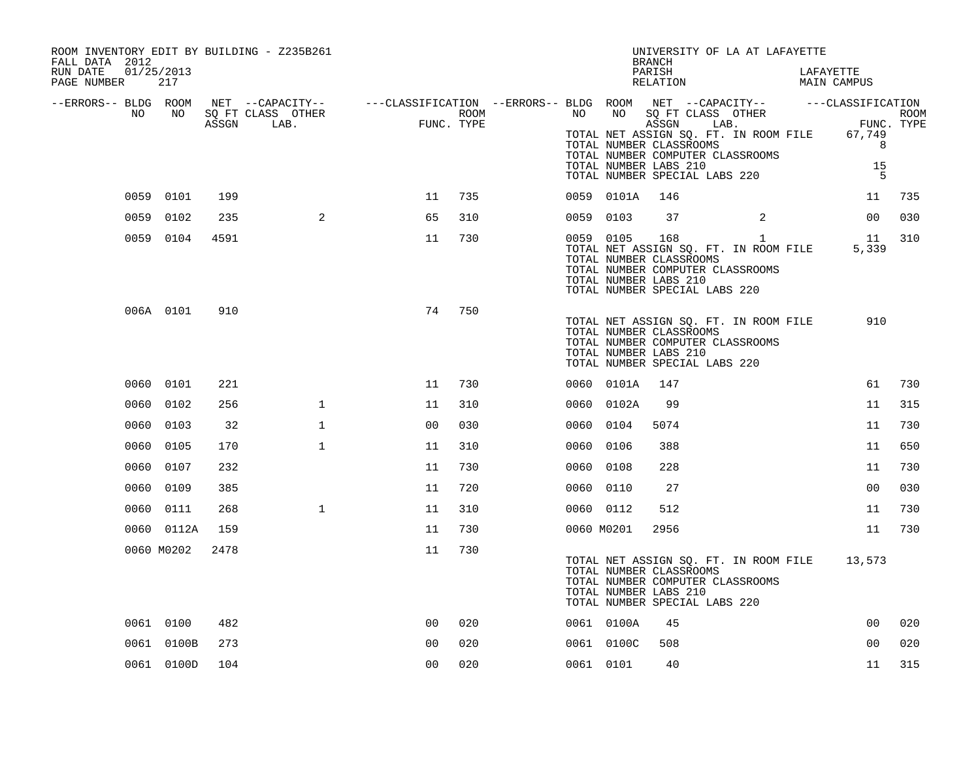| ROOM INVENTORY EDIT BY BUILDING - Z235B261<br>FALL DATA 2012 |            |      |                                                                                                                     |                   |      |            |            | UNIVERSITY OF LA AT LAFAYETTE<br><b>BRANCH</b>                                                                                                                                                                                                                                                                                 |              |                          |                 |     |
|--------------------------------------------------------------|------------|------|---------------------------------------------------------------------------------------------------------------------|-------------------|------|------------|------------|--------------------------------------------------------------------------------------------------------------------------------------------------------------------------------------------------------------------------------------------------------------------------------------------------------------------------------|--------------|--------------------------|-----------------|-----|
| 01/25/2013<br>RUN DATE<br>PAGE NUMBER                        | 217        |      |                                                                                                                     |                   |      |            |            | PARISH<br>RELATION                                                                                                                                                                                                                                                                                                             |              | LAFAYETTE<br>MAIN CAMPUS |                 |     |
| --ERRORS-- BLDG ROOM<br>NO                                   | NO NO      |      | NET --CAPACITY-- - ---CLASSIFICATION --ERRORS-- BLDG ROOM NET --CAPACITY-- - ---CLASSIFICATION<br>SQ FT CLASS OTHER |                   | ROOM |            | NO NO      |                                                                                                                                                                                                                                                                                                                                |              |                          |                 |     |
|                                                              |            |      | ASSGN LAB.                                                                                                          | FUN<br>FUNC. TYPE |      |            |            | $\begin{tabular}{lllllll} \texttt{SQ FT CLASS} & \texttt{OTHER} & \texttt{ROM} \\ \texttt{ASSGN} & \texttt{LAB.} & \texttt{FWNC. TYPE} \end{tabular}$<br>TOTAL NET ASSIGN SQ. FT. IN ROOM FILE 67,749<br>TOTAL NUMBER CLASSROOMS<br>TOTAL NUMBER COMPUTER CLASSROOMS<br>TOTAL NUMBER LABS 210<br>TOTAL NUMBER SPECIAL LABS 220 |              |                          | 8<br>15<br>$-5$ |     |
|                                                              | 0059 0101  | 199  |                                                                                                                     | 11                | 735  |            | 0059 0101A | 146                                                                                                                                                                                                                                                                                                                            |              |                          | 11              | 735 |
|                                                              | 0059 0102  | 235  | 2                                                                                                                   | 65                | 310  | 0059 0103  |            | 37                                                                                                                                                                                                                                                                                                                             | 2            |                          | 00              | 030 |
|                                                              | 0059 0104  | 4591 |                                                                                                                     | 11                | 730  |            | 0059 0105  | 168<br>TOTAL NET ASSIGN SQ. FT. IN ROOM FILE<br>TOTAL NUMBER CLASSROOMS<br>TOTAL NUMBER COMPUTER CLASSROOMS<br>TOTAL NUMBER LABS 210<br>TOTAL NUMBER SPECIAL LABS 220                                                                                                                                                          | $\mathbf{1}$ |                          | 11<br>5,339     | 310 |
|                                                              | 006A 0101  | 910  |                                                                                                                     | 74                | 750  |            |            | TOTAL NET ASSIGN SQ. FT. IN ROOM FILE<br>TOTAL NUMBER CLASSROOMS<br>TOTAL NUMBER COMPUTER CLASSROOMS<br>TOTAL NUMBER LABS 210<br>TOTAL NUMBER SPECIAL LABS 220                                                                                                                                                                 |              |                          | 910             |     |
|                                                              | 0060 0101  | 221  |                                                                                                                     | 11                | 730  |            | 0060 0101A | 147                                                                                                                                                                                                                                                                                                                            |              |                          | 61              | 730 |
|                                                              | 0060 0102  | 256  | $\mathbf{1}$                                                                                                        | 11                | 310  |            | 0060 0102A | 99                                                                                                                                                                                                                                                                                                                             |              |                          | 11              | 315 |
| 0060                                                         | 0103       | 32   | $\mathbf 1$                                                                                                         | 0 <sup>0</sup>    | 030  | 0060 0104  |            | 5074                                                                                                                                                                                                                                                                                                                           |              |                          | 11              | 730 |
| 0060                                                         | 0105       | 170  | $\mathbf{1}$                                                                                                        | 11                | 310  | 0060       | 0106       | 388                                                                                                                                                                                                                                                                                                                            |              |                          | 11              | 650 |
|                                                              | 0060 0107  | 232  |                                                                                                                     | 11                | 730  | 0060 0108  |            | 228                                                                                                                                                                                                                                                                                                                            |              |                          | 11              | 730 |
|                                                              | 0060 0109  | 385  |                                                                                                                     | 11                | 720  | 0060 0110  |            | 27                                                                                                                                                                                                                                                                                                                             |              |                          | 00              | 030 |
|                                                              | 0060 0111  | 268  | $\mathbf{1}$                                                                                                        | 11                | 310  | 0060 0112  |            | 512                                                                                                                                                                                                                                                                                                                            |              |                          | 11              | 730 |
|                                                              | 0060 0112A | 159  |                                                                                                                     | 11                | 730  | 0060 M0201 |            | 2956                                                                                                                                                                                                                                                                                                                           |              |                          | 11              | 730 |
|                                                              | 0060 M0202 | 2478 |                                                                                                                     | 11                | 730  |            |            | TOTAL NET ASSIGN SQ. FT. IN ROOM FILE<br>TOTAL NUMBER CLASSROOMS<br>TOTAL NUMBER COMPUTER CLASSROOMS<br>TOTAL NUMBER LABS 210<br>TOTAL NUMBER SPECIAL LABS 220                                                                                                                                                                 |              |                          | 13,573          |     |
|                                                              | 0061 0100  | 482  |                                                                                                                     | 0 <sub>0</sub>    | 020  |            | 0061 0100A | 45                                                                                                                                                                                                                                                                                                                             |              |                          | 0 <sub>0</sub>  | 020 |
|                                                              | 0061 0100B | 273  |                                                                                                                     | 0 <sub>0</sub>    | 020  |            | 0061 0100C | 508                                                                                                                                                                                                                                                                                                                            |              |                          | 0 <sub>0</sub>  | 020 |
|                                                              | 0061 0100D | 104  |                                                                                                                     | 0 <sub>0</sub>    | 020  | 0061 0101  |            | 40                                                                                                                                                                                                                                                                                                                             |              |                          | 11              | 315 |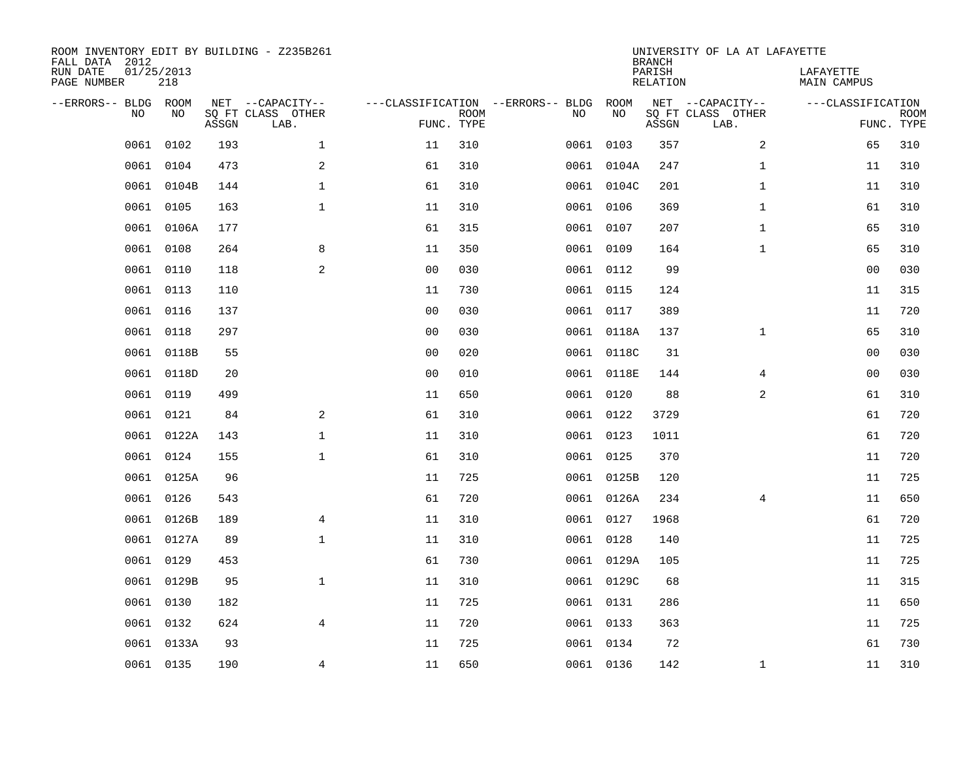| FALL DATA 2012<br>RUN DATE<br>PAGE NUMBER | 01/25/2013 | 218        |       | ROOM INVENTORY EDIT BY BUILDING - Z235B261    |                                                 |             |      |            | <b>BRANCH</b><br>PARISH<br>RELATION | UNIVERSITY OF LA AT LAFAYETTE                 | LAFAYETTE<br>MAIN CAMPUS |                           |
|-------------------------------------------|------------|------------|-------|-----------------------------------------------|-------------------------------------------------|-------------|------|------------|-------------------------------------|-----------------------------------------------|--------------------------|---------------------------|
| --ERRORS-- BLDG ROOM                      | <b>NO</b>  | NO.        | ASSGN | NET --CAPACITY--<br>SO FT CLASS OTHER<br>LAB. | ---CLASSIFICATION --ERRORS-- BLDG<br>FUNC. TYPE | <b>ROOM</b> | NO   | ROOM<br>NO | ASSGN                               | NET --CAPACITY--<br>SQ FT CLASS OTHER<br>LAB. | ---CLASSIFICATION        | <b>ROOM</b><br>FUNC. TYPE |
|                                           | 0061       | 0102       | 193   | $\mathbf{1}$                                  | 11                                              | 310         | 0061 | 0103       | 357                                 | 2                                             | 65                       | 310                       |
|                                           | 0061       | 0104       | 473   | 2                                             | 61                                              | 310         |      | 0061 0104A | 247                                 | $\mathbf{1}$                                  | 11                       | 310                       |
|                                           | 0061       | 0104B      | 144   | $\mathbf 1$                                   | 61                                              | 310         |      | 0061 0104C | 201                                 | $\mathbf{1}$                                  | 11                       | 310                       |
|                                           | 0061       | 0105       | 163   | $\mathbf{1}$                                  | 11                                              | 310         |      | 0061 0106  | 369                                 | $\mathbf{1}$                                  | 61                       | 310                       |
|                                           | 0061       | 0106A      | 177   |                                               | 61                                              | 315         |      | 0061 0107  | 207                                 | $\mathbf{1}$                                  | 65                       | 310                       |
|                                           | 0061 0108  |            | 264   | 8                                             | 11                                              | 350         |      | 0061 0109  | 164                                 | $\mathbf{1}$                                  | 65                       | 310                       |
|                                           | 0061       | 0110       | 118   | 2                                             | 0 <sub>0</sub>                                  | 030         |      | 0061 0112  | 99                                  |                                               | 0 <sub>0</sub>           | 030                       |
|                                           | 0061 0113  |            | 110   |                                               | 11                                              | 730         |      | 0061 0115  | 124                                 |                                               | 11                       | 315                       |
|                                           | 0061       | 0116       | 137   |                                               | 0 <sub>0</sub>                                  | 030         |      | 0061 0117  | 389                                 |                                               | 11                       | 720                       |
|                                           | 0061 0118  |            | 297   |                                               | 0 <sub>0</sub>                                  | 030         |      | 0061 0118A | 137                                 | $\mathbf{1}$                                  | 65                       | 310                       |
|                                           | 0061       | 0118B      | 55    |                                               | 0 <sub>0</sub>                                  | 020         |      | 0061 0118C | 31                                  |                                               | 00                       | 030                       |
|                                           |            | 0061 0118D | 20    |                                               | 0 <sub>0</sub>                                  | 010         |      | 0061 0118E | 144                                 | 4                                             | 00                       | 030                       |
|                                           | 0061       | 0119       | 499   |                                               | 11                                              | 650         |      | 0061 0120  | 88                                  | 2                                             | 61                       | 310                       |
|                                           | 0061       | 0121       | 84    | 2                                             | 61                                              | 310         |      | 0061 0122  | 3729                                |                                               | 61                       | 720                       |
|                                           | 0061       | 0122A      | 143   | $\mathbf 1$                                   | 11                                              | 310         |      | 0061 0123  | 1011                                |                                               | 61                       | 720                       |
|                                           | 0061       | 0124       | 155   | $\mathbf{1}$                                  | 61                                              | 310         |      | 0061 0125  | 370                                 |                                               | 11                       | 720                       |
|                                           | 0061       | 0125A      | 96    |                                               | 11                                              | 725         |      | 0061 0125B | 120                                 |                                               | 11                       | 725                       |
|                                           | 0061       | 0126       | 543   |                                               | 61                                              | 720         |      | 0061 0126A | 234                                 | $\overline{4}$                                | 11                       | 650                       |
|                                           |            | 0061 0126B | 189   | $\overline{4}$                                | 11                                              | 310         |      | 0061 0127  | 1968                                |                                               | 61                       | 720                       |
|                                           | 0061       | 0127A      | 89    | $\mathbf{1}$                                  | 11                                              | 310         |      | 0061 0128  | 140                                 |                                               | 11                       | 725                       |
|                                           | 0061       | 0129       | 453   |                                               | 61                                              | 730         |      | 0061 0129A | 105                                 |                                               | 11                       | 725                       |
|                                           | 0061       | 0129B      | 95    | $\mathbf{1}$                                  | 11                                              | 310         |      | 0061 0129C | 68                                  |                                               | 11                       | 315                       |
|                                           | 0061       | 0130       | 182   |                                               | 11                                              | 725         |      | 0061 0131  | 286                                 |                                               | 11                       | 650                       |
|                                           | 0061       | 0132       | 624   | $\overline{4}$                                | 11                                              | 720         |      | 0061 0133  | 363                                 |                                               | 11                       | 725                       |
|                                           |            | 0061 0133A | 93    |                                               | 11                                              | 725         |      | 0061 0134  | 72                                  |                                               | 61                       | 730                       |
|                                           | 0061 0135  |            | 190   | 4                                             | 11                                              | 650         |      | 0061 0136  | 142                                 | $\mathbf{1}$                                  | 11                       | 310                       |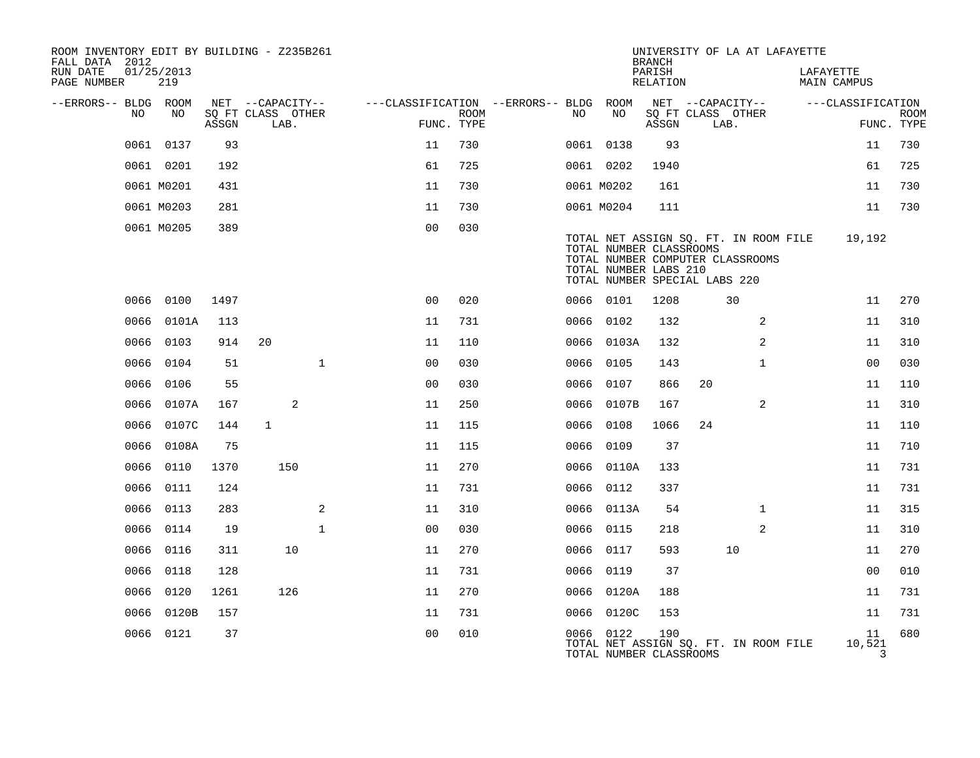| ROOM INVENTORY EDIT BY BUILDING - Z235B261<br>FALL DATA 2012 |                   |       |                           |              |                                        |                           |      |                                                                                   | <b>BRANCH</b>      |    | UNIVERSITY OF LA AT LAFAYETTE                                             |           |                   |                           |
|--------------------------------------------------------------|-------------------|-------|---------------------------|--------------|----------------------------------------|---------------------------|------|-----------------------------------------------------------------------------------|--------------------|----|---------------------------------------------------------------------------|-----------|-------------------|---------------------------|
| RUN DATE<br>PAGE NUMBER                                      | 01/25/2013<br>219 |       |                           |              |                                        |                           |      |                                                                                   | PARISH<br>RELATION |    |                                                                           | LAFAYETTE | MAIN CAMPUS       |                           |
| --ERRORS-- BLDG ROOM                                         |                   |       | NET --CAPACITY--          |              | ---CLASSIFICATION --ERRORS-- BLDG ROOM |                           |      |                                                                                   |                    |    | NET --CAPACITY--                                                          |           | ---CLASSIFICATION |                           |
| NO                                                           | NO                | ASSGN | SQ FT CLASS OTHER<br>LAB. |              |                                        | <b>ROOM</b><br>FUNC. TYPE | NO.  | NO                                                                                | ASSGN              |    | SQ FT CLASS OTHER<br>LAB.                                                 |           |                   | <b>ROOM</b><br>FUNC. TYPE |
|                                                              | 0061 0137         | 93    |                           |              | 11                                     | 730                       |      | 0061 0138                                                                         | 93                 |    |                                                                           |           | 11                | 730                       |
|                                                              | 0061 0201         | 192   |                           |              | 61                                     | 725                       |      | 0061 0202                                                                         | 1940               |    |                                                                           |           | 61                | 725                       |
|                                                              | 0061 M0201        | 431   |                           |              | 11                                     | 730                       |      | 0061 M0202                                                                        | 161                |    |                                                                           |           | 11                | 730                       |
|                                                              | 0061 M0203        | 281   |                           |              | 11                                     | 730                       |      | 0061 M0204                                                                        | 111                |    |                                                                           |           | 11                | 730                       |
|                                                              | 0061 M0205        | 389   |                           |              | 0 <sub>0</sub>                         | 030                       |      | TOTAL NUMBER CLASSROOMS<br>TOTAL NUMBER LABS 210<br>TOTAL NUMBER SPECIAL LABS 220 |                    |    | TOTAL NET ASSIGN SQ. FT. IN ROOM FILE<br>TOTAL NUMBER COMPUTER CLASSROOMS |           | 19,192            |                           |
|                                                              | 0066 0100         | 1497  |                           |              | 0 <sub>0</sub>                         | 020                       |      | 0066 0101                                                                         | 1208               |    | 30                                                                        |           | 11                | 270                       |
| 0066                                                         | 0101A             | 113   |                           |              | 11                                     | 731                       | 0066 | 0102                                                                              | 132                |    | 2                                                                         |           | 11                | 310                       |
| 0066                                                         | 0103              | 914   | 20                        |              | 11                                     | 110                       |      | 0066 0103A                                                                        | 132                |    | 2                                                                         |           | 11                | 310                       |
| 0066                                                         | 0104              | 51    |                           | $\mathbf{1}$ | 0 <sub>0</sub>                         | 030                       |      | 0066 0105                                                                         | 143                |    | $\mathbf{1}$                                                              |           | 0 <sub>0</sub>    | 030                       |
| 0066                                                         | 0106              | 55    |                           |              | 0 <sub>0</sub>                         | 030                       |      | 0066 0107                                                                         | 866                | 20 |                                                                           |           | 11                | 110                       |
| 0066                                                         | 0107A             | 167   |                           | 2            | 11                                     | 250                       | 0066 | 0107B                                                                             | 167                |    | 2                                                                         |           | 11                | 310                       |
| 0066                                                         | 0107C             | 144   | $\mathbf{1}$              |              | 11                                     | 115                       |      | 0066 0108                                                                         | 1066               | 24 |                                                                           |           | 11                | 110                       |
| 0066                                                         | 0108A             | 75    |                           |              | 11                                     | 115                       | 0066 | 0109                                                                              | 37                 |    |                                                                           |           | 11                | 710                       |
| 0066                                                         | 0110              | 1370  | 150                       |              | 11                                     | 270                       |      | 0066 0110A                                                                        | 133                |    |                                                                           |           | 11                | 731                       |
| 0066                                                         | 0111              | 124   |                           |              | 11                                     | 731                       |      | 0066 0112                                                                         | 337                |    |                                                                           |           | 11                | 731                       |
| 0066                                                         | 0113              | 283   |                           | 2            | 11                                     | 310                       |      | 0066 0113A                                                                        | 54                 |    | $\mathbf{1}$                                                              |           | 11                | 315                       |
| 0066                                                         | 0114              | 19    |                           | $\mathbf{1}$ | 0 <sub>0</sub>                         | 030                       |      | 0066 0115                                                                         | 218                |    | 2                                                                         |           | 11                | 310                       |
| 0066                                                         | 0116              | 311   |                           | 10           | 11                                     | 270                       |      | 0066 0117                                                                         | 593                |    | 10                                                                        |           | 11                | 270                       |
| 0066                                                         | 0118              | 128   |                           |              | 11                                     | 731                       |      | 0066 0119                                                                         | 37                 |    |                                                                           |           | 0 <sub>0</sub>    | 010                       |
| 0066                                                         | 0120              | 1261  |                           | 126          | 11                                     | 270                       |      | 0066 0120A                                                                        | 188                |    |                                                                           |           | 11                | 731                       |
| 0066                                                         | 0120B             | 157   |                           |              | 11                                     | 731                       |      | 0066 0120C                                                                        | 153                |    |                                                                           |           | 11                | 731                       |
| 0066                                                         | 0121              | 37    |                           |              | 0 <sub>0</sub>                         | 010                       |      | 0066 0122<br>TOTAL NUMBER CLASSROOMS                                              | 190                |    | TOTAL NET ASSIGN SQ. FT. IN ROOM FILE                                     |           | 11<br>10,521<br>3 | 680                       |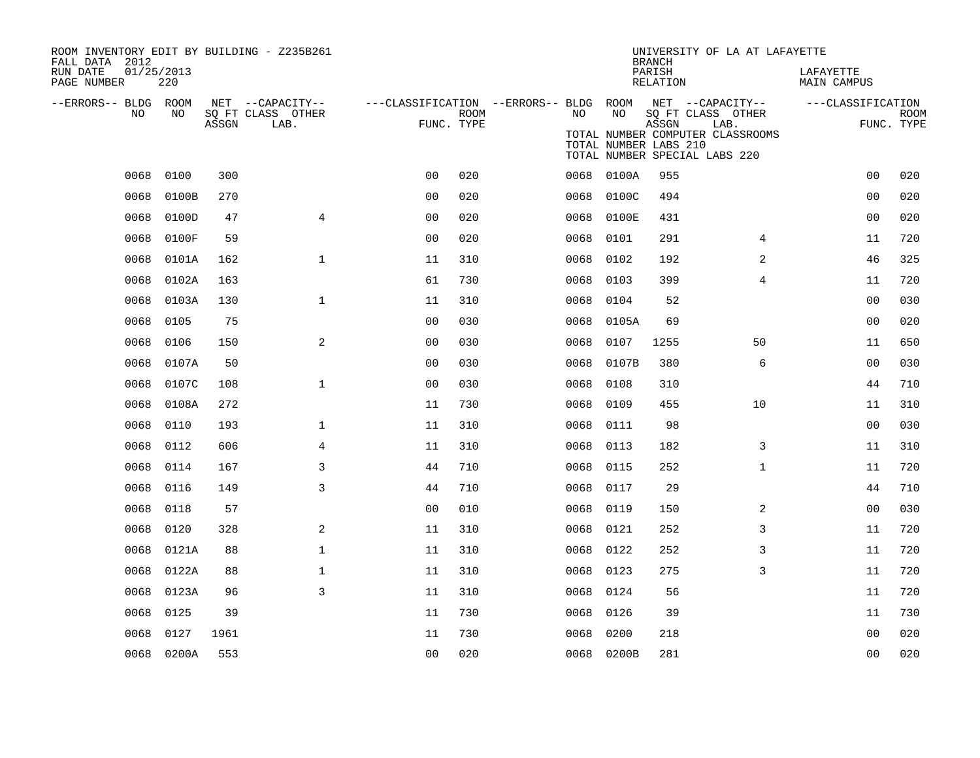| ROOM INVENTORY EDIT BY BUILDING - Z235B261<br>FALL DATA 2012 |                   |       |                                       |                                                         |             |      |               | <b>BRANCH</b>                  | UNIVERSITY OF LA AT LAFAYETTE                                             |                          |             |
|--------------------------------------------------------------|-------------------|-------|---------------------------------------|---------------------------------------------------------|-------------|------|---------------|--------------------------------|---------------------------------------------------------------------------|--------------------------|-------------|
| RUN DATE<br>PAGE NUMBER                                      | 01/25/2013<br>220 |       |                                       |                                                         |             |      |               | PARISH<br>RELATION             |                                                                           | LAFAYETTE<br>MAIN CAMPUS |             |
| --ERRORS-- BLDG ROOM<br>NO.                                  | NO.               |       | NET --CAPACITY--<br>SQ FT CLASS OTHER | ---CLASSIFICATION --ERRORS-- BLDG ROOM NET --CAPACITY-- | <b>ROOM</b> | NO   | NO            |                                | SQ FT CLASS OTHER                                                         | ---CLASSIFICATION        | <b>ROOM</b> |
|                                                              |                   | ASSGN | LAB.                                  | FUNC. TYPE                                              |             |      |               | ASSGN<br>TOTAL NUMBER LABS 210 | LAB.<br>TOTAL NUMBER COMPUTER CLASSROOMS<br>TOTAL NUMBER SPECIAL LABS 220 |                          | FUNC. TYPE  |
| 0068                                                         | 0100              | 300   |                                       | 0 <sub>0</sub>                                          | 020         |      | 0068<br>0100A | 955                            |                                                                           | 0 <sub>0</sub>           | 020         |
| 0068                                                         | 0100B             | 270   |                                       | 0 <sub>0</sub>                                          | 020         |      | 0100C<br>0068 | 494                            |                                                                           | 0 <sub>0</sub>           | 020         |
| 0068                                                         | 0100D             | 47    | $\overline{4}$                        | 0 <sub>0</sub>                                          | 020         |      | 0068<br>0100E | 431                            |                                                                           | 0 <sub>0</sub>           | 020         |
| 0068                                                         | 0100F             | 59    |                                       | 0 <sub>0</sub>                                          | 020         |      | 0068<br>0101  | 291                            | $\overline{4}$                                                            | 11                       | 720         |
| 0068                                                         | 0101A             | 162   | $\mathbf{1}$                          | 11                                                      | 310         |      | 0068<br>0102  | 192                            | 2                                                                         | 46                       | 325         |
| 0068                                                         | 0102A             | 163   |                                       | 61                                                      | 730         |      | 0068<br>0103  | 399                            | $\overline{4}$                                                            | 11                       | 720         |
| 0068                                                         | 0103A             | 130   | $\mathbf{1}$                          | 11                                                      | 310         |      | 0068<br>0104  | 52                             |                                                                           | 0 <sub>0</sub>           | 030         |
| 0068                                                         | 0105              | 75    |                                       | 0 <sub>0</sub>                                          | 030         |      | 0068<br>0105A | 69                             |                                                                           | 0 <sub>0</sub>           | 020         |
| 0068                                                         | 0106              | 150   | 2                                     | 0 <sub>0</sub>                                          | 030         |      | 0107<br>0068  | 1255                           | 50                                                                        | 11                       | 650         |
| 0068                                                         | 0107A             | 50    |                                       | 0 <sub>0</sub>                                          | 030         |      | 0068<br>0107B | 380                            | 6                                                                         | 0 <sub>0</sub>           | 030         |
| 0068                                                         | 0107C             | 108   | $\mathbf{1}$                          | 0 <sub>0</sub>                                          | 030         |      | 0068<br>0108  | 310                            |                                                                           | 44                       | 710         |
| 0068                                                         | 0108A             | 272   |                                       | 11                                                      | 730         | 0068 | 0109          | 455                            | 10                                                                        | 11                       | 310         |
| 0068                                                         | 0110              | 193   | $\mathbf 1$                           | 11                                                      | 310         |      | 0068<br>0111  | 98                             |                                                                           | 0 <sub>0</sub>           | 030         |
| 0068                                                         | 0112              | 606   | 4                                     | 11                                                      | 310         |      | 0068<br>0113  | 182                            | 3                                                                         | 11                       | 310         |
| 0068                                                         | 0114              | 167   | 3                                     | 44                                                      | 710         |      | 0115<br>0068  | 252                            | $\mathbf{1}$                                                              | 11                       | 720         |
| 0068                                                         | 0116              | 149   | 3                                     | 44                                                      | 710         |      | 0068<br>0117  | 29                             |                                                                           | 44                       | 710         |
| 0068                                                         | 0118              | 57    |                                       | 0 <sub>0</sub>                                          | 010         |      | 0068<br>0119  | 150                            | 2                                                                         | 0 <sub>0</sub>           | 030         |
| 0068                                                         | 0120              | 328   | 2                                     | 11                                                      | 310         |      | 0121<br>0068  | 252                            | 3                                                                         | 11                       | 720         |
| 0068                                                         | 0121A             | 88    | $\mathbf 1$                           | 11                                                      | 310         |      | 0068<br>0122  | 252                            | 3                                                                         | 11                       | 720         |
| 0068                                                         | 0122A             | 88    | $\mathbf 1$                           | 11                                                      | 310         | 0068 | 0123          | 275                            | 3                                                                         | 11                       | 720         |
| 0068                                                         | 0123A             | 96    | 3                                     | 11                                                      | 310         |      | 0124<br>0068  | 56                             |                                                                           | 11                       | 720         |
| 0068                                                         | 0125              | 39    |                                       | 11                                                      | 730         | 0068 | 0126          | 39                             |                                                                           | 11                       | 730         |
| 0068                                                         | 0127              | 1961  |                                       | 11                                                      | 730         |      | 0068<br>0200  | 218                            |                                                                           | 00                       | 020         |
|                                                              | 0068 0200A        | 553   |                                       | 0 <sub>0</sub>                                          | 020         |      | 0068 0200B    | 281                            |                                                                           | 0 <sub>0</sub>           | 020         |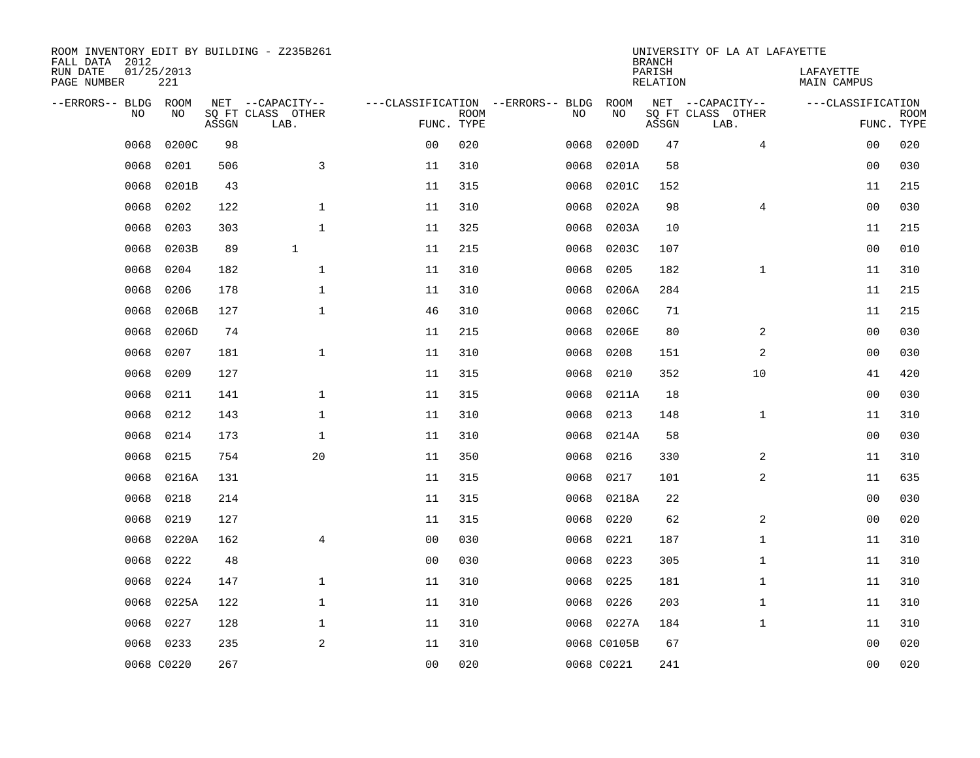| ROOM INVENTORY EDIT BY BUILDING - Z235B261<br>FALL DATA 2012 |                   |       |                           |                |             |                                   |             | <b>BRANCH</b>             | UNIVERSITY OF LA AT LAFAYETTE |                          |                           |
|--------------------------------------------------------------|-------------------|-------|---------------------------|----------------|-------------|-----------------------------------|-------------|---------------------------|-------------------------------|--------------------------|---------------------------|
| RUN DATE<br>PAGE NUMBER                                      | 01/25/2013<br>221 |       |                           |                |             |                                   |             | PARISH<br><b>RELATION</b> |                               | LAFAYETTE<br>MAIN CAMPUS |                           |
| --ERRORS-- BLDG                                              | ROOM              |       | NET --CAPACITY--          |                |             | ---CLASSIFICATION --ERRORS-- BLDG | ROOM        |                           | NET --CAPACITY--              | ---CLASSIFICATION        |                           |
| NO                                                           | NO                | ASSGN | SQ FT CLASS OTHER<br>LAB. | FUNC. TYPE     | <b>ROOM</b> | NO                                | NO          | ASSGN                     | SQ FT CLASS OTHER<br>LAB.     |                          | <b>ROOM</b><br>FUNC. TYPE |
| 0068                                                         | 0200C             | 98    |                           | 0 <sub>0</sub> | 020         | 0068                              | 0200D       | 47                        | $\overline{4}$                | 0 <sub>0</sub>           | 020                       |
| 0068                                                         | 0201              | 506   | 3                         | 11             | 310         | 0068                              | 0201A       | 58                        |                               | 0 <sub>0</sub>           | 030                       |
| 0068                                                         | 0201B             | 43    |                           | 11             | 315         | 0068                              | 0201C       | 152                       |                               | 11                       | 215                       |
| 0068                                                         | 0202              | 122   | $\mathbf{1}$              | 11             | 310         | 0068                              | 0202A       | 98                        | 4                             | 0 <sub>0</sub>           | 030                       |
| 0068                                                         | 0203              | 303   | $\mathbf{1}$              | 11             | 325         | 0068                              | 0203A       | 10                        |                               | 11                       | 215                       |
| 0068                                                         | 0203B             | 89    | $\mathbf{1}$              | 11             | 215         | 0068                              | 0203C       | 107                       |                               | 0 <sub>0</sub>           | 010                       |
| 0068                                                         | 0204              | 182   | $\mathbf{1}$              | 11             | 310         | 0068                              | 0205        | 182                       | $\mathbf{1}$                  | 11                       | 310                       |
| 0068                                                         | 0206              | 178   | $\mathbf 1$               | 11             | 310         | 0068                              | 0206A       | 284                       |                               | 11                       | 215                       |
| 0068                                                         | 0206B             | 127   | $\mathbf{1}$              | 46             | 310         | 0068                              | 0206C       | 71                        |                               | 11                       | 215                       |
| 0068                                                         | 0206D             | 74    |                           | 11             | 215         | 0068                              | 0206E       | 80                        | 2                             | 00                       | 030                       |
| 0068                                                         | 0207              | 181   | $\mathbf{1}$              | 11             | 310         | 0068                              | 0208        | 151                       | 2                             | 0 <sub>0</sub>           | 030                       |
| 0068                                                         | 0209              | 127   |                           | 11             | 315         | 0068                              | 0210        | 352                       | 10                            | 41                       | 420                       |
| 0068                                                         | 0211              | 141   | $\mathbf{1}$              | 11             | 315         | 0068                              | 0211A       | 18                        |                               | 0 <sub>0</sub>           | 030                       |
| 0068                                                         | 0212              | 143   | $\mathbf{1}$              | 11             | 310         | 0068                              | 0213        | 148                       | $\mathbf{1}$                  | 11                       | 310                       |
| 0068                                                         | 0214              | 173   | 1                         | 11             | 310         | 0068                              | 0214A       | 58                        |                               | 00                       | 030                       |
| 0068                                                         | 0215              | 754   | 20                        | 11             | 350         | 0068                              | 0216        | 330                       | 2                             | 11                       | 310                       |
| 0068                                                         | 0216A             | 131   |                           | 11             | 315         | 0068                              | 0217        | 101                       | 2                             | 11                       | 635                       |
| 0068                                                         | 0218              | 214   |                           | 11             | 315         | 0068                              | 0218A       | 22                        |                               | 00                       | 030                       |
| 0068                                                         | 0219              | 127   |                           | 11             | 315         | 0068                              | 0220        | 62                        | 2                             | 0 <sub>0</sub>           | 020                       |
| 0068                                                         | 0220A             | 162   | $\overline{4}$            | 0 <sub>0</sub> | 030         | 0068                              | 0221        | 187                       | $\mathbf{1}$                  | 11                       | 310                       |
| 0068                                                         | 0222              | 48    |                           | 0 <sub>0</sub> | 030         | 0068                              | 0223        | 305                       | $\mathbf{1}$                  | 11                       | 310                       |
| 0068                                                         | 0224              | 147   | $\mathbf{1}$              | 11             | 310         | 0068                              | 0225        | 181                       | $\mathbf{1}$                  | 11                       | 310                       |
| 0068                                                         | 0225A             | 122   | $\mathbf{1}$              | 11             | 310         | 0068                              | 0226        | 203                       | $\mathbf{1}$                  | 11                       | 310                       |
| 0068                                                         | 0227              | 128   | $\mathbf 1$               | 11             | 310         |                                   | 0068 0227A  | 184                       | $\mathbf{1}$                  | 11                       | 310                       |
| 0068                                                         | 0233              | 235   | 2                         | 11             | 310         |                                   | 0068 C0105B | 67                        |                               | 0 <sub>0</sub>           | 020                       |
|                                                              | 0068 C0220        | 267   |                           | 00             | 020         |                                   | 0068 C0221  | 241                       |                               | 00                       | 020                       |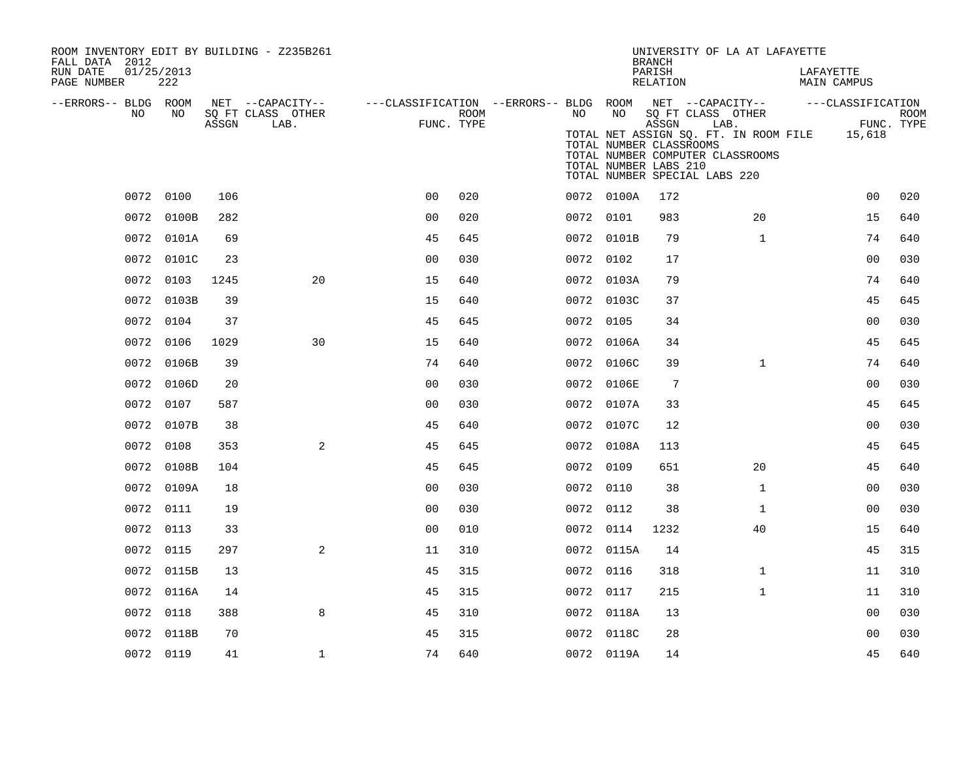| ROOM INVENTORY EDIT BY BUILDING - Z235B261<br>FALL DATA 2012 |            |       |                           |                |      |            | <b>BRANCH</b>                                                   | UNIVERSITY OF LA AT LAFAYETTE                                                                                                                  |                          |                           |
|--------------------------------------------------------------|------------|-------|---------------------------|----------------|------|------------|-----------------------------------------------------------------|------------------------------------------------------------------------------------------------------------------------------------------------|--------------------------|---------------------------|
| RUN DATE<br>01/25/2013<br>PAGE NUMBER                        | 222        |       |                           |                |      |            | PARISH<br>RELATION                                              |                                                                                                                                                | LAFAYETTE<br>MAIN CAMPUS |                           |
| --ERRORS-- BLDG ROOM                                         |            |       | NET --CAPACITY--          |                |      |            |                                                                 | ---CLASSIFICATION --ERRORS-- BLDG ROOM NET --CAPACITY--                                                                                        | ---CLASSIFICATION        |                           |
| NO                                                           | NO         | ASSGN | SQ FT CLASS OTHER<br>LAB. | FUNC. TYPE     | ROOM | NO         | NO<br>ASSGN<br>TOTAL NUMBER CLASSROOMS<br>TOTAL NUMBER LABS 210 | SQ FT CLASS OTHER<br>LAB.<br>TOTAL NET ASSIGN SQ. FT. IN ROOM FILE 15,618<br>TOTAL NUMBER COMPUTER CLASSROOMS<br>TOTAL NUMBER SPECIAL LABS 220 |                          | <b>ROOM</b><br>FUNC. TYPE |
|                                                              | 0072 0100  | 106   |                           | 0 <sub>0</sub> | 020  | 0072 0100A | 172                                                             |                                                                                                                                                | 0 <sub>0</sub>           | 020                       |
|                                                              | 0072 0100B | 282   |                           | 0 <sub>0</sub> | 020  | 0072 0101  | 983                                                             | 20                                                                                                                                             | 15                       | 640                       |
|                                                              | 0072 0101A | 69    |                           | 45             | 645  | 0072 0101B | 79                                                              | $\mathbf{1}$                                                                                                                                   | 74                       | 640                       |
|                                                              | 0072 0101C | 23    |                           | 0 <sub>0</sub> | 030  | 0072 0102  | 17                                                              |                                                                                                                                                | 00                       | 030                       |
|                                                              | 0072 0103  | 1245  | 20                        | 15             | 640  | 0072 0103A | 79                                                              |                                                                                                                                                | 74                       | 640                       |
|                                                              | 0072 0103B | 39    |                           | 15             | 640  | 0072 0103C | 37                                                              |                                                                                                                                                | 45                       | 645                       |
|                                                              | 0072 0104  | 37    |                           | 45             | 645  | 0072 0105  | 34                                                              |                                                                                                                                                | 00                       | 030                       |
|                                                              | 0072 0106  | 1029  | 30                        | 15             | 640  | 0072 0106A | 34                                                              |                                                                                                                                                | 45                       | 645                       |
|                                                              | 0072 0106B | 39    |                           | 74             | 640  | 0072 0106C | 39                                                              | $\mathbf{1}$                                                                                                                                   | 74                       | 640                       |
|                                                              | 0072 0106D | 20    |                           | 0 <sub>0</sub> | 030  | 0072 0106E | 7                                                               |                                                                                                                                                | 00                       | 030                       |
|                                                              | 0072 0107  | 587   |                           | 0 <sub>0</sub> | 030  | 0072 0107A | 33                                                              |                                                                                                                                                | 45                       | 645                       |
|                                                              | 0072 0107B | 38    |                           | 45             | 640  | 0072 0107C | 12                                                              |                                                                                                                                                | 0 <sub>0</sub>           | 030                       |
|                                                              | 0072 0108  | 353   | 2                         | 45             | 645  | 0072 0108A | 113                                                             |                                                                                                                                                | 45                       | 645                       |
|                                                              | 0072 0108B | 104   |                           | 45             | 645  | 0072 0109  | 651                                                             | 20                                                                                                                                             | 45                       | 640                       |
|                                                              | 0072 0109A | 18    |                           | 0 <sub>0</sub> | 030  | 0072 0110  | 38                                                              | $\mathbf{1}$                                                                                                                                   | 0 <sub>0</sub>           | 030                       |
|                                                              | 0072 0111  | 19    |                           | 0 <sub>0</sub> | 030  | 0072 0112  | 38                                                              | $\mathbf{1}$                                                                                                                                   | 00                       | 030                       |
|                                                              | 0072 0113  | 33    |                           | 0 <sub>0</sub> | 010  | 0072 0114  | 1232                                                            | 40                                                                                                                                             | 15                       | 640                       |
|                                                              | 0072 0115  | 297   | 2                         | 11             | 310  | 0072 0115A | 14                                                              |                                                                                                                                                | 45                       | 315                       |
|                                                              | 0072 0115B | 13    |                           | 45             | 315  | 0072 0116  | 318                                                             | $\mathbf{1}$                                                                                                                                   | 11                       | 310                       |
|                                                              | 0072 0116A | 14    |                           | 45             | 315  | 0072 0117  | 215                                                             | $\mathbf{1}$                                                                                                                                   | 11                       | 310                       |
|                                                              | 0072 0118  | 388   | 8                         | 45             | 310  | 0072 0118A | 13                                                              |                                                                                                                                                | 0 <sub>0</sub>           | 030                       |
|                                                              | 0072 0118B | 70    |                           | 45             | 315  | 0072 0118C | 28                                                              |                                                                                                                                                | 0 <sub>0</sub>           | 030                       |
|                                                              | 0072 0119  | 41    | $\mathbf{1}$              | 74             | 640  | 0072 0119A | 14                                                              |                                                                                                                                                | 45                       | 640                       |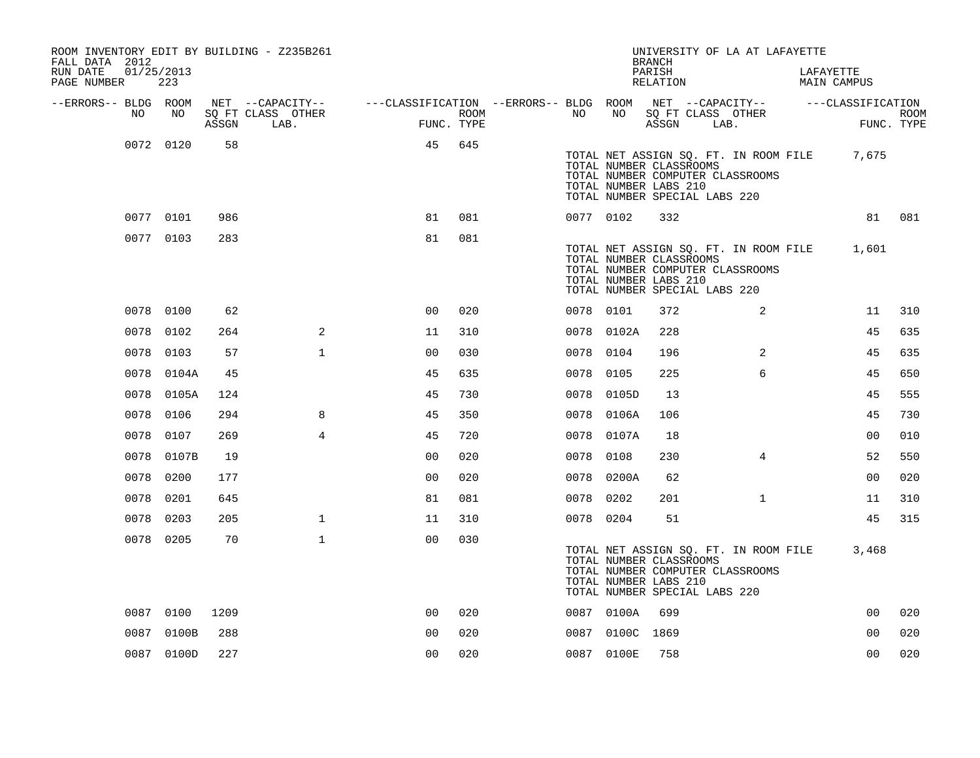| FALL DATA 2012          |    |                   |       | ROOM INVENTORY EDIT BY BUILDING - Z235B261 |                                                                             |      |           |                 | <b>BRANCH</b>                                                                     |      | UNIVERSITY OF LA AT LAFAYETTE                                             |                          |            |
|-------------------------|----|-------------------|-------|--------------------------------------------|-----------------------------------------------------------------------------|------|-----------|-----------------|-----------------------------------------------------------------------------------|------|---------------------------------------------------------------------------|--------------------------|------------|
| RUN DATE<br>PAGE NUMBER |    | 01/25/2013<br>223 |       |                                            |                                                                             |      |           |                 | PARISH<br>RELATION                                                                |      |                                                                           | LAFAYETTE<br>MAIN CAMPUS |            |
| --ERRORS-- BLDG ROOM    | NO | NO                |       | NET --CAPACITY--<br>SQ FT CLASS OTHER      | ---CLASSIFICATION --ERRORS-- BLDG ROOM NET --CAPACITY-- -----CLASSIFICATION | ROOM | NO        | NO              | SQ FT CLASS OTHER                                                                 |      |                                                                           |                          | ROOM       |
|                         |    |                   | ASSGN | LAB.                                       | FUNC. TYPE                                                                  |      |           |                 | ASSGN                                                                             | LAB. |                                                                           |                          | FUNC. TYPE |
|                         |    | 0072 0120         | 58    |                                            | 45                                                                          | 645  |           |                 | TOTAL NUMBER CLASSROOMS<br>TOTAL NUMBER LABS 210<br>TOTAL NUMBER SPECIAL LABS 220 |      | TOTAL NET ASSIGN SQ. FT. IN ROOM FILE<br>TOTAL NUMBER COMPUTER CLASSROOMS | 7,675                    |            |
|                         |    | 0077 0101         | 986   |                                            | 81                                                                          | 081  | 0077 0102 |                 | 332                                                                               |      |                                                                           |                          | 81 081     |
|                         |    | 0077 0103         | 283   |                                            | 81                                                                          | 081  |           |                 | TOTAL NUMBER CLASSROOMS<br>TOTAL NUMBER LABS 210<br>TOTAL NUMBER SPECIAL LABS 220 |      | TOTAL NET ASSIGN SQ. FT. IN ROOM FILE<br>TOTAL NUMBER COMPUTER CLASSROOMS | 1,601                    |            |
|                         |    | 0078 0100         | 62    |                                            | 0 <sub>0</sub>                                                              | 020  | 0078 0101 |                 | 372                                                                               |      | 2                                                                         | 11                       | 310        |
|                         |    | 0078 0102         | 264   | 2                                          | 11                                                                          | 310  |           | 0078 0102A      | 228                                                                               |      |                                                                           | 45                       | 635        |
|                         |    | 0078 0103         | 57    | $\mathbf{1}$                               | 0 <sub>0</sub>                                                              | 030  | 0078 0104 |                 | 196                                                                               |      | 2                                                                         | 45                       | 635        |
|                         |    | 0078 0104A        | 45    |                                            | 45                                                                          | 635  | 0078 0105 |                 | 225                                                                               |      | 6                                                                         | 45                       | 650        |
|                         |    | 0078 0105A        | 124   |                                            | 45                                                                          | 730  |           | 0078 0105D      | 13                                                                                |      |                                                                           | 45                       | 555        |
|                         |    | 0078 0106         | 294   | 8                                          | 45                                                                          | 350  |           | 0078 0106A      | 106                                                                               |      |                                                                           | 45                       | 730        |
|                         |    | 0078 0107         | 269   | $\overline{4}$                             | 45                                                                          | 720  |           | 0078 0107A      | 18                                                                                |      |                                                                           | 00                       | 010        |
|                         |    | 0078 0107B        | 19    |                                            | 0 <sub>0</sub>                                                              | 020  | 0078 0108 |                 | 230                                                                               |      | $\overline{4}$                                                            | 52                       | 550        |
|                         |    | 0078 0200         | 177   |                                            | 0 <sub>0</sub>                                                              | 020  |           | 0078 0200A      | 62                                                                                |      |                                                                           | 0 <sub>0</sub>           | 020        |
|                         |    | 0078 0201         | 645   |                                            | 81                                                                          | 081  | 0078 0202 |                 | 201                                                                               |      | $\mathbf{1}$                                                              | 11                       | 310        |
|                         |    | 0078 0203         | 205   | $\mathbf{1}$                               | 11                                                                          | 310  | 0078 0204 |                 | 51                                                                                |      |                                                                           | 45                       | 315        |
|                         |    | 0078 0205         | 70    | $\mathbf{1}$                               | 0 <sub>0</sub>                                                              | 030  |           |                 | TOTAL NUMBER CLASSROOMS<br>TOTAL NUMBER LABS 210<br>TOTAL NUMBER SPECIAL LABS 220 |      | TOTAL NET ASSIGN SQ. FT. IN ROOM FILE<br>TOTAL NUMBER COMPUTER CLASSROOMS | 3,468                    |            |
|                         |    | 0087 0100         | 1209  |                                            | 0 <sub>0</sub>                                                              | 020  |           | 0087 0100A      | 699                                                                               |      |                                                                           | 0 <sub>0</sub>           | 020        |
|                         |    | 0087 0100B        | 288   |                                            | 0 <sub>0</sub>                                                              | 020  |           | 0087 0100C 1869 |                                                                                   |      |                                                                           | 0 <sub>0</sub>           | 020        |
|                         |    | 0087 0100D        | 227   |                                            | 0 <sub>0</sub>                                                              | 020  |           | 0087 0100E      | 758                                                                               |      |                                                                           | 0 <sub>0</sub>           | 020        |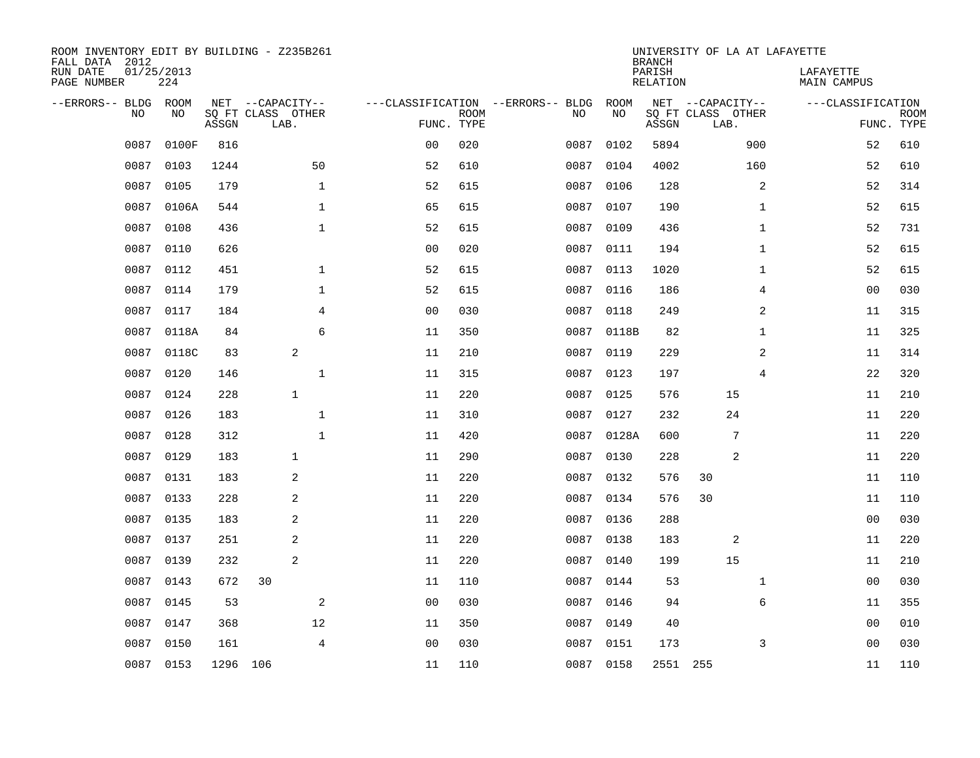| ROOM INVENTORY EDIT BY BUILDING - Z235B261<br>FALL DATA 2012<br>RUN DATE<br>PAGE NUMBER | 01/25/2013 | 224         |          |                                               |              |                                   |                           |      |            | <b>BRANCH</b><br>PARISH<br>RELATION | UNIVERSITY OF LA AT LAFAYETTE                 |              | LAFAYETTE<br>MAIN CAMPUS |                           |
|-----------------------------------------------------------------------------------------|------------|-------------|----------|-----------------------------------------------|--------------|-----------------------------------|---------------------------|------|------------|-------------------------------------|-----------------------------------------------|--------------|--------------------------|---------------------------|
| --ERRORS-- BLDG                                                                         | <b>NO</b>  | ROOM<br>NO. | ASSGN    | NET --CAPACITY--<br>SO FT CLASS OTHER<br>LAB. |              | ---CLASSIFICATION --ERRORS-- BLDG | <b>ROOM</b><br>FUNC. TYPE | NO   | ROOM<br>NO | ASSGN                               | NET --CAPACITY--<br>SQ FT CLASS OTHER<br>LAB. |              | ---CLASSIFICATION        | <b>ROOM</b><br>FUNC. TYPE |
|                                                                                         | 0087       | 0100F       | 816      |                                               |              | 0 <sub>0</sub>                    | 020                       | 0087 | 0102       | 5894                                |                                               | 900          | 52                       | 610                       |
|                                                                                         | 0087       | 0103        | 1244     |                                               | 50           | 52                                | 610                       | 0087 | 0104       | 4002                                |                                               | 160          | 52                       | 610                       |
|                                                                                         | 0087       | 0105        | 179      |                                               | $\mathbf{1}$ | 52                                | 615                       | 0087 | 0106       | 128                                 |                                               | 2            | 52                       | 314                       |
|                                                                                         | 0087       | 0106A       | 544      |                                               | $\mathbf 1$  | 65                                | 615                       | 0087 | 0107       | 190                                 |                                               | $\mathbf{1}$ | 52                       | 615                       |
|                                                                                         | 0087       | 0108        | 436      |                                               | $\mathbf{1}$ | 52                                | 615                       | 0087 | 0109       | 436                                 |                                               | $\mathbf{1}$ | 52                       | 731                       |
|                                                                                         | 0087       | 0110        | 626      |                                               |              | 0 <sub>0</sub>                    | 020                       | 0087 | 0111       | 194                                 |                                               | $\mathbf{1}$ | 52                       | 615                       |
|                                                                                         | 0087       | 0112        | 451      |                                               | $\mathbf{1}$ | 52                                | 615                       | 0087 | 0113       | 1020                                |                                               | $\mathbf{1}$ | 52                       | 615                       |
|                                                                                         | 0087       | 0114        | 179      |                                               | $\mathbf 1$  | 52                                | 615                       |      | 0087 0116  | 186                                 |                                               | 4            | 0 <sub>0</sub>           | 030                       |
|                                                                                         | 0087       | 0117        | 184      |                                               | 4            | 0 <sub>0</sub>                    | 030                       | 0087 | 0118       | 249                                 |                                               | 2            | 11                       | 315                       |
|                                                                                         | 0087       | 0118A       | 84       |                                               | 6            | 11                                | 350                       |      | 0087 0118B | 82                                  |                                               | $\mathbf{1}$ | 11                       | 325                       |
|                                                                                         | 0087       | 0118C       | 83       | 2                                             |              | 11                                | 210                       | 0087 | 0119       | 229                                 |                                               | 2            | 11                       | 314                       |
|                                                                                         | 0087       | 0120        | 146      |                                               | $\mathbf 1$  | 11                                | 315                       |      | 0087 0123  | 197                                 |                                               | 4            | 22                       | 320                       |
|                                                                                         | 0087       | 0124        | 228      | $\mathbf{1}$                                  |              | 11                                | 220                       | 0087 | 0125       | 576                                 | 15                                            |              | 11                       | 210                       |
|                                                                                         | 0087       | 0126        | 183      |                                               | $\mathbf{1}$ | 11                                | 310                       | 0087 | 0127       | 232                                 | 24                                            |              | 11                       | 220                       |
|                                                                                         | 0087       | 0128        | 312      |                                               | $\mathbf{1}$ | 11                                | 420                       | 0087 | 0128A      | 600                                 | 7                                             |              | 11                       | 220                       |
|                                                                                         | 0087       | 0129        | 183      | $\mathbf{1}$                                  |              | 11                                | 290                       | 0087 | 0130       | 228                                 | 2                                             |              | 11                       | 220                       |
|                                                                                         | 0087       | 0131        | 183      | 2                                             |              | 11                                | 220                       | 0087 | 0132       | 576                                 | 30                                            |              | 11                       | 110                       |
|                                                                                         | 0087       | 0133        | 228      | 2                                             |              | 11                                | 220                       | 0087 | 0134       | 576                                 | 30                                            |              | 11                       | 110                       |
|                                                                                         | 0087       | 0135        | 183      | 2                                             |              | 11                                | 220                       | 0087 | 0136       | 288                                 |                                               |              | 0 <sub>0</sub>           | 030                       |
|                                                                                         | 0087       | 0137        | 251      | 2                                             |              | 11                                | 220                       | 0087 | 0138       | 183                                 | 2                                             |              | 11                       | 220                       |
|                                                                                         | 0087       | 0139        | 232      | 2                                             |              | 11                                | 220                       | 0087 | 0140       | 199                                 | 15                                            |              | 11                       | 210                       |
|                                                                                         | 0087       | 0143        | 672      | 30                                            |              | 11                                | 110                       | 0087 | 0144       | 53                                  |                                               | $\mathbf{1}$ | 0 <sub>0</sub>           | 030                       |
|                                                                                         | 0087       | 0145        | 53       |                                               | 2            | 0 <sub>0</sub>                    | 030                       | 0087 | 0146       | 94                                  |                                               | 6            | 11                       | 355                       |
|                                                                                         | 0087       | 0147        | 368      |                                               | 12           | 11                                | 350                       | 0087 | 0149       | 40                                  |                                               |              | 0 <sub>0</sub>           | 010                       |
|                                                                                         | 0087       | 0150        | 161      |                                               | 4            | 0 <sub>0</sub>                    | 030                       | 0087 | 0151       | 173                                 |                                               | 3            | 00                       | 030                       |
|                                                                                         | 0087 0153  |             | 1296 106 |                                               |              | 11                                | 110                       |      | 0087 0158  | 2551 255                            |                                               |              | 11                       | 110                       |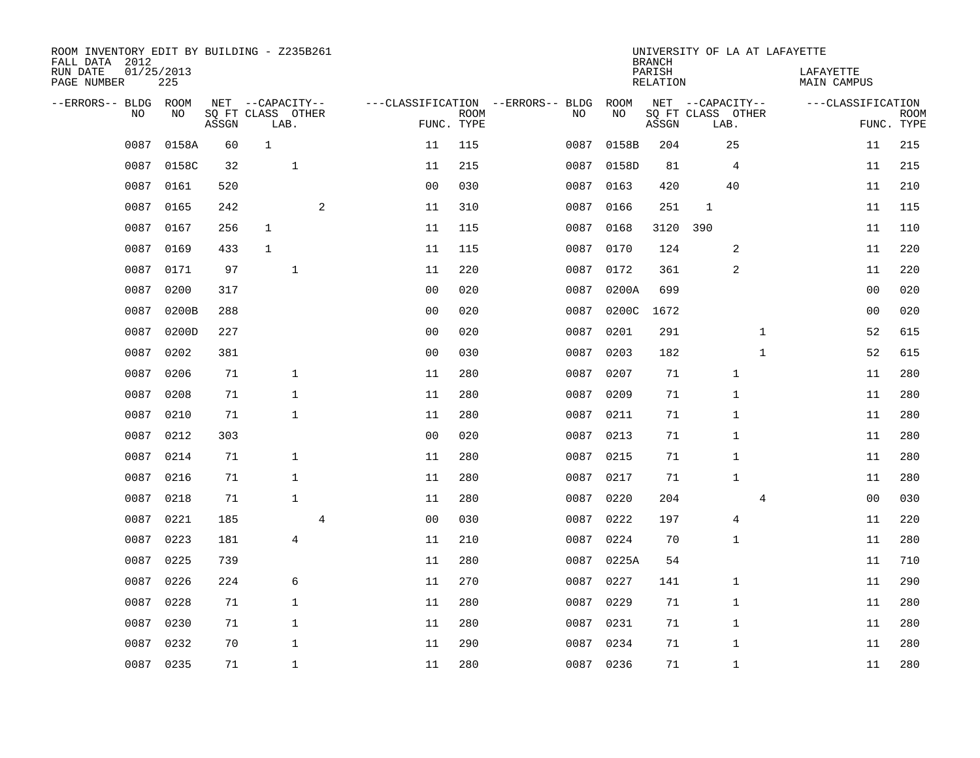| ROOM INVENTORY EDIT BY BUILDING - Z235B261<br>FALL DATA 2012 |                   |       |                           |                |                           |                                   |           | <b>BRANCH</b>             | UNIVERSITY OF LA AT LAFAYETTE |                                 |                           |
|--------------------------------------------------------------|-------------------|-------|---------------------------|----------------|---------------------------|-----------------------------------|-----------|---------------------------|-------------------------------|---------------------------------|---------------------------|
| RUN DATE<br>PAGE NUMBER                                      | 01/25/2013<br>225 |       |                           |                |                           |                                   |           | PARISH<br><b>RELATION</b> |                               | LAFAYETTE<br><b>MAIN CAMPUS</b> |                           |
| --ERRORS-- BLDG ROOM                                         |                   |       | NET --CAPACITY--          |                |                           | ---CLASSIFICATION --ERRORS-- BLDG | ROOM      |                           | NET --CAPACITY--              | ---CLASSIFICATION               |                           |
| NO                                                           | NO                | ASSGN | SQ FT CLASS OTHER<br>LAB. |                | <b>ROOM</b><br>FUNC. TYPE | NO                                | NO        | ASSGN                     | SQ FT CLASS OTHER<br>LAB.     |                                 | <b>ROOM</b><br>FUNC. TYPE |
| 0087                                                         | 0158A             | 60    | $\mathbf 1$               | 11             | 115                       | 0087                              | 0158B     | 204                       | 25                            | 11                              | 215                       |
| 0087                                                         | 0158C             | 32    | $\mathbf{1}$              | 11             | 215                       | 0087                              | 0158D     | 81                        | 4                             | 11                              | 215                       |
| 0087                                                         | 0161              | 520   |                           | 0 <sub>0</sub> | 030                       | 0087                              | 0163      | 420                       | 40                            | 11                              | 210                       |
| 0087                                                         | 0165              | 242   | 2                         | 11             | 310                       | 0087                              | 0166      | 251                       | $\mathbf{1}$                  | 11                              | 115                       |
| 0087                                                         | 0167              | 256   | $\mathbf{1}$              | 11             | 115                       | 0087                              | 0168      | 3120                      | 390                           | 11                              | 110                       |
| 0087                                                         | 0169              | 433   | $\mathbf 1$               | 11             | 115                       | 0087                              | 0170      | 124                       | 2                             | 11                              | 220                       |
| 0087                                                         | 0171              | 97    | $\mathbf{1}$              | 11             | 220                       | 0087                              | 0172      | 361                       | 2                             | 11                              | 220                       |
| 0087                                                         | 0200              | 317   |                           | 0 <sub>0</sub> | 020                       | 0087                              | 0200A     | 699                       |                               | 0 <sub>0</sub>                  | 020                       |
| 0087                                                         | 0200B             | 288   |                           | 0 <sub>0</sub> | 020                       | 0087                              | 0200C     | 1672                      |                               | 0 <sub>0</sub>                  | 020                       |
| 0087                                                         | 0200D             | 227   |                           | 0 <sub>0</sub> | 020                       | 0087                              | 0201      | 291                       | $\mathbf{1}$                  | 52                              | 615                       |
| 0087                                                         | 0202              | 381   |                           | 0 <sub>0</sub> | 030                       | 0087                              | 0203      | 182                       | $\mathbf{1}$                  | 52                              | 615                       |
| 0087                                                         | 0206              | 71    | $\mathbf{1}$              | 11             | 280                       | 0087                              | 0207      | 71                        | 1                             | 11                              | 280                       |
| 0087                                                         | 0208              | 71    | $\mathbf{1}$              | 11             | 280                       | 0087                              | 0209      | 71                        | 1                             | 11                              | 280                       |
| 0087                                                         | 0210              | 71    | $\mathbf{1}$              | 11             | 280                       | 0087                              | 0211      | 71                        | 1                             | 11                              | 280                       |
| 0087                                                         | 0212              | 303   |                           | 0 <sub>0</sub> | 020                       | 0087                              | 0213      | 71                        | 1                             | 11                              | 280                       |
| 0087                                                         | 0214              | 71    | $\mathbf{1}$              | 11             | 280                       | 0087                              | 0215      | 71                        | 1                             | 11                              | 280                       |
| 0087                                                         | 0216              | 71    | $\mathbf{1}$              | 11             | 280                       | 0087                              | 0217      | 71                        | $\mathbf{1}$                  | 11                              | 280                       |
| 0087                                                         | 0218              | 71    | $\mathbf{1}$              | 11             | 280                       | 0087                              | 0220      | 204                       | 4                             | 00                              | 030                       |
| 0087                                                         | 0221              | 185   | 4                         | 0 <sub>0</sub> | 030                       | 0087                              | 0222      | 197                       | 4                             | 11                              | 220                       |
| 0087                                                         | 0223              | 181   | $\overline{4}$            | 11             | 210                       | 0087                              | 0224      | 70                        | $\mathbf{1}$                  | 11                              | 280                       |
| 0087                                                         | 0225              | 739   |                           | 11             | 280                       | 0087                              | 0225A     | 54                        |                               | 11                              | 710                       |
| 0087                                                         | 0226              | 224   | 6                         | 11             | 270                       | 0087                              | 0227      | 141                       | $\mathbf 1$                   | 11                              | 290                       |
| 0087                                                         | 0228              | 71    | $\mathbf{1}$              | 11             | 280                       | 0087                              | 0229      | 71                        | $\mathbf{1}$                  | 11                              | 280                       |
| 0087                                                         | 0230              | 71    | $\mathbf{1}$              | 11             | 280                       | 0087                              | 0231      | 71                        | 1                             | 11                              | 280                       |
| 0087                                                         | 0232              | 70    | $\mathbf{1}$              | 11             | 290                       | 0087                              | 0234      | 71                        | $\mathbf{1}$                  | 11                              | 280                       |
|                                                              | 0087 0235         | 71    | $\mathbf{1}$              | 11             | 280                       |                                   | 0087 0236 | 71                        | 1                             | 11                              | 280                       |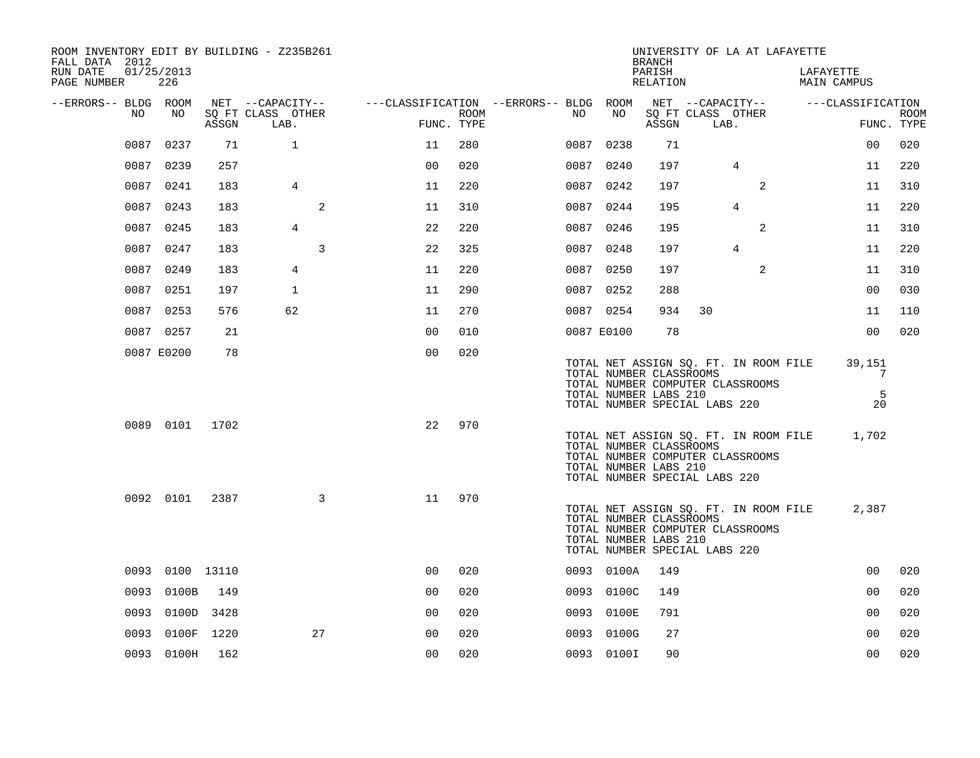| ROOM INVENTORY EDIT BY BUILDING - Z235B261<br>FALL DATA 2012 |                   |       |                           |                |                    |                                        |            | <b>BRANCH</b>                                                                     |    | UNIVERSITY OF LA AT LAFAYETTE                                             |                                       |                        |             |
|--------------------------------------------------------------|-------------------|-------|---------------------------|----------------|--------------------|----------------------------------------|------------|-----------------------------------------------------------------------------------|----|---------------------------------------------------------------------------|---------------------------------------|------------------------|-------------|
| RUN DATE<br>PAGE NUMBER                                      | 01/25/2013<br>226 |       |                           |                |                    |                                        |            | PARISH<br>RELATION                                                                |    |                                                                           | LAFAYETTE                             | MAIN CAMPUS            |             |
| --ERRORS-- BLDG ROOM                                         |                   |       | NET --CAPACITY--          |                |                    | ---CLASSIFICATION --ERRORS-- BLDG ROOM |            |                                                                                   |    | NET --CAPACITY--                                                          |                                       | ---CLASSIFICATION      |             |
| NO                                                           | NO                | ASSGN | SO FT CLASS OTHER<br>LAB. |                | ROOM<br>FUNC. TYPE | NO .                                   | NO         | ASSGN                                                                             |    | SQ FT CLASS OTHER<br>LAB.                                                 |                                       | FUNC. TYPE             | <b>ROOM</b> |
|                                                              | 0087 0237         | 71    | $\mathbf{1}$              | 11             | 280                |                                        | 0087 0238  | 71                                                                                |    |                                                                           |                                       | 0 <sub>0</sub>         | 020         |
|                                                              | 0087 0239         | 257   |                           | 0 <sup>0</sup> | 020                |                                        | 0087 0240  | 197                                                                               |    | $\overline{4}$                                                            |                                       | 11                     | 220         |
|                                                              | 0087 0241         | 183   | $\overline{4}$            | 11             | 220                |                                        | 0087 0242  | 197                                                                               |    | 2                                                                         |                                       | 11                     | 310         |
|                                                              | 0087 0243         | 183   | 2                         | 11             | 310                |                                        | 0087 0244  | 195                                                                               |    | $\overline{4}$                                                            |                                       | 11                     | 220         |
|                                                              | 0087 0245         | 183   | $\overline{4}$            | 22             | 220                |                                        | 0087 0246  | 195                                                                               |    | 2                                                                         |                                       | 11                     | 310         |
|                                                              | 0087 0247         | 183   | 3                         | 22             | 325                |                                        | 0087 0248  | 197                                                                               |    | 4                                                                         |                                       | 11                     | 220         |
|                                                              | 0087 0249         | 183   | 4                         | 11             | 220                |                                        | 0087 0250  | 197                                                                               |    | 2                                                                         |                                       | 11                     | 310         |
|                                                              | 0087 0251         | 197   | $\mathbf{1}$              | 11             | 290                |                                        | 0087 0252  | 288                                                                               |    |                                                                           |                                       | 0 <sub>0</sub>         | 030         |
|                                                              | 0087 0253         | 576   | 62                        | 11             | 270                |                                        | 0087 0254  | 934                                                                               | 30 |                                                                           |                                       | 11                     | 110         |
|                                                              | 0087 0257         | 21    |                           | 0 <sub>0</sub> | 010                |                                        | 0087 E0100 | 78                                                                                |    |                                                                           |                                       | 0 <sub>0</sub>         | 020         |
|                                                              | 0087 E0200        | 78    |                           | 0 <sub>0</sub> | 020                |                                        |            | TOTAL NUMBER CLASSROOMS<br>TOTAL NUMBER LABS 210<br>TOTAL NUMBER SPECIAL LABS 220 |    | TOTAL NET ASSIGN SQ. FT. IN ROOM FILE<br>TOTAL NUMBER COMPUTER CLASSROOMS |                                       | 39,151<br>7<br>5<br>20 |             |
|                                                              | 0089 0101 1702    |       |                           | 22             | 970                |                                        |            | TOTAL NUMBER CLASSROOMS<br>TOTAL NUMBER LABS 210<br>TOTAL NUMBER SPECIAL LABS 220 |    | TOTAL NUMBER COMPUTER CLASSROOMS                                          | TOTAL NET ASSIGN SQ. FT. IN ROOM FILE | 1,702                  |             |
|                                                              | 0092 0101         | 2387  | $\mathbf{3}$              | 11             | 970                |                                        |            | TOTAL NUMBER CLASSROOMS<br>TOTAL NUMBER LABS 210<br>TOTAL NUMBER SPECIAL LABS 220 |    | TOTAL NUMBER COMPUTER CLASSROOMS                                          | TOTAL NET ASSIGN SQ. FT. IN ROOM FILE | 2,387                  |             |
|                                                              | 0093 0100 13110   |       |                           | 0 <sub>0</sub> | 020                |                                        | 0093 0100A | 149                                                                               |    |                                                                           |                                       | 0 <sub>0</sub>         | 020         |
|                                                              | 0093 0100B        | 149   |                           | 00             | 020                |                                        | 0093 0100C | 149                                                                               |    |                                                                           |                                       | 00                     | 020         |
|                                                              | 0093 0100D 3428   |       |                           | 0 <sub>0</sub> | 020                |                                        | 0093 0100E | 791                                                                               |    |                                                                           |                                       | 0 <sub>0</sub>         | 020         |
| 0093                                                         | 0100F 1220        |       | 27                        | 0 <sub>0</sub> | 020                |                                        | 0093 0100G | 27                                                                                |    |                                                                           |                                       | 0 <sub>0</sub>         | 020         |
|                                                              | 0093 0100H        | 162   |                           | 0 <sub>0</sub> | 020                |                                        | 0093 0100I | 90                                                                                |    |                                                                           |                                       | 0 <sub>0</sub>         | 020         |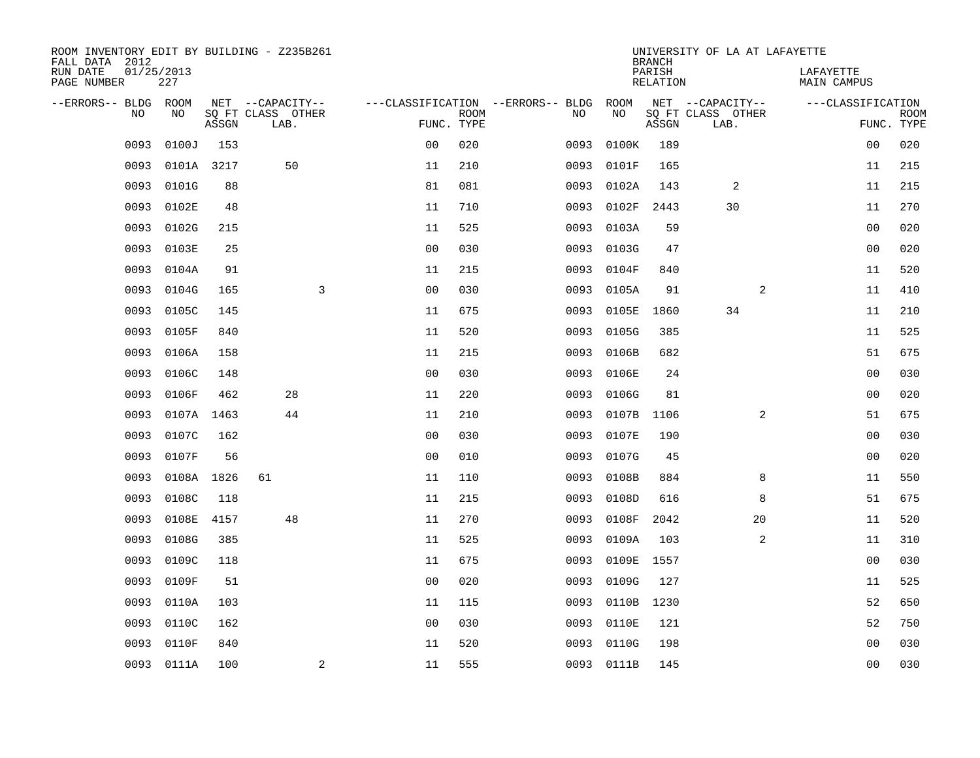| ROOM INVENTORY EDIT BY BUILDING - Z235B261<br>FALL DATA 2012 |                   |       |                           |                |                           |                                   |            | <b>BRANCH</b>             | UNIVERSITY OF LA AT LAFAYETTE |                                 |                           |
|--------------------------------------------------------------|-------------------|-------|---------------------------|----------------|---------------------------|-----------------------------------|------------|---------------------------|-------------------------------|---------------------------------|---------------------------|
| RUN DATE<br>PAGE NUMBER                                      | 01/25/2013<br>227 |       |                           |                |                           |                                   |            | PARISH<br><b>RELATION</b> |                               | LAFAYETTE<br><b>MAIN CAMPUS</b> |                           |
| --ERRORS-- BLDG ROOM                                         |                   |       | NET --CAPACITY--          |                |                           | ---CLASSIFICATION --ERRORS-- BLDG | ROOM       |                           | NET --CAPACITY--              | ---CLASSIFICATION               |                           |
| NO                                                           | NO                | ASSGN | SQ FT CLASS OTHER<br>LAB. |                | <b>ROOM</b><br>FUNC. TYPE | NO                                | NO         | ASSGN                     | SQ FT CLASS OTHER<br>LAB.     |                                 | <b>ROOM</b><br>FUNC. TYPE |
| 0093                                                         | 0100J             | 153   |                           | 0 <sub>0</sub> | 020                       | 0093                              | 0100K      | 189                       |                               | 00                              | 020                       |
| 0093                                                         | 0101A 3217        |       | 50                        | 11             | 210                       | 0093                              | 0101F      | 165                       |                               | 11                              | 215                       |
| 0093                                                         | 0101G             | 88    |                           | 81             | 081                       | 0093                              | 0102A      | 143                       | 2                             | 11                              | 215                       |
| 0093                                                         | 0102E             | 48    |                           | 11             | 710                       | 0093                              | 0102F      | 2443                      | 30                            | 11                              | 270                       |
| 0093                                                         | 0102G             | 215   |                           | 11             | 525                       | 0093                              | 0103A      | 59                        |                               | 0 <sub>0</sub>                  | 020                       |
| 0093                                                         | 0103E             | 25    |                           | 0 <sub>0</sub> | 030                       | 0093                              | 0103G      | 47                        |                               | 0 <sub>0</sub>                  | 020                       |
| 0093                                                         | 0104A             | 91    |                           | 11             | 215                       | 0093                              | 0104F      | 840                       |                               | 11                              | 520                       |
| 0093                                                         | 0104G             | 165   | 3                         | 0 <sub>0</sub> | 030                       | 0093                              | 0105A      | 91                        | 2                             | 11                              | 410                       |
| 0093                                                         | 0105C             | 145   |                           | 11             | 675                       | 0093                              | 0105E      | 1860                      | 34                            | 11                              | 210                       |
| 0093                                                         | 0105F             | 840   |                           | 11             | 520                       | 0093                              | 0105G      | 385                       |                               | 11                              | 525                       |
| 0093                                                         | 0106A             | 158   |                           | 11             | 215                       | 0093                              | 0106B      | 682                       |                               | 51                              | 675                       |
| 0093                                                         | 0106C             | 148   |                           | 0 <sub>0</sub> | 030                       | 0093                              | 0106E      | 24                        |                               | 0 <sub>0</sub>                  | 030                       |
| 0093                                                         | 0106F             | 462   | 28                        | 11             | 220                       | 0093                              | 0106G      | 81                        |                               | 00                              | 020                       |
| 0093                                                         | 0107A 1463        |       | 44                        | 11             | 210                       | 0093                              | 0107B      | 1106                      | 2                             | 51                              | 675                       |
| 0093                                                         | 0107C             | 162   |                           | 0 <sub>0</sub> | 030                       | 0093                              | 0107E      | 190                       |                               | 00                              | 030                       |
| 0093                                                         | 0107F             | 56    |                           | 0 <sub>0</sub> | 010                       | 0093                              | 0107G      | 45                        |                               | 0 <sub>0</sub>                  | 020                       |
| 0093                                                         | 0108A 1826        |       | 61                        | 11             | 110                       | 0093                              | 0108B      | 884                       | 8                             | 11                              | 550                       |
| 0093                                                         | 0108C             | 118   |                           | 11             | 215                       | 0093                              | 0108D      | 616                       | 8                             | 51                              | 675                       |
| 0093                                                         | 0108E             | 4157  | 48                        | 11             | 270                       | 0093                              | 0108F      | 2042                      | 20                            | 11                              | 520                       |
| 0093                                                         | 0108G             | 385   |                           | 11             | 525                       | 0093                              | 0109A      | 103                       | $\overline{a}$                | 11                              | 310                       |
| 0093                                                         | 0109C             | 118   |                           | 11             | 675                       | 0093                              | 0109E      | 1557                      |                               | 00                              | 030                       |
| 0093                                                         | 0109F             | 51    |                           | 0 <sub>0</sub> | 020                       | 0093                              | 0109G      | 127                       |                               | 11                              | 525                       |
| 0093                                                         | 0110A             | 103   |                           | 11             | 115                       | 0093                              | 0110B      | 1230                      |                               | 52                              | 650                       |
| 0093                                                         | 0110C             | 162   |                           | 0 <sub>0</sub> | 030                       | 0093                              | 0110E      | 121                       |                               | 52                              | 750                       |
| 0093                                                         | 0110F             | 840   |                           | 11             | 520                       | 0093                              | 0110G      | 198                       |                               | 0 <sub>0</sub>                  | 030                       |
|                                                              | 0093 0111A        | 100   | $\mathbf{2}$              | 11             | 555                       |                                   | 0093 0111B | 145                       |                               | 0 <sub>0</sub>                  | 030                       |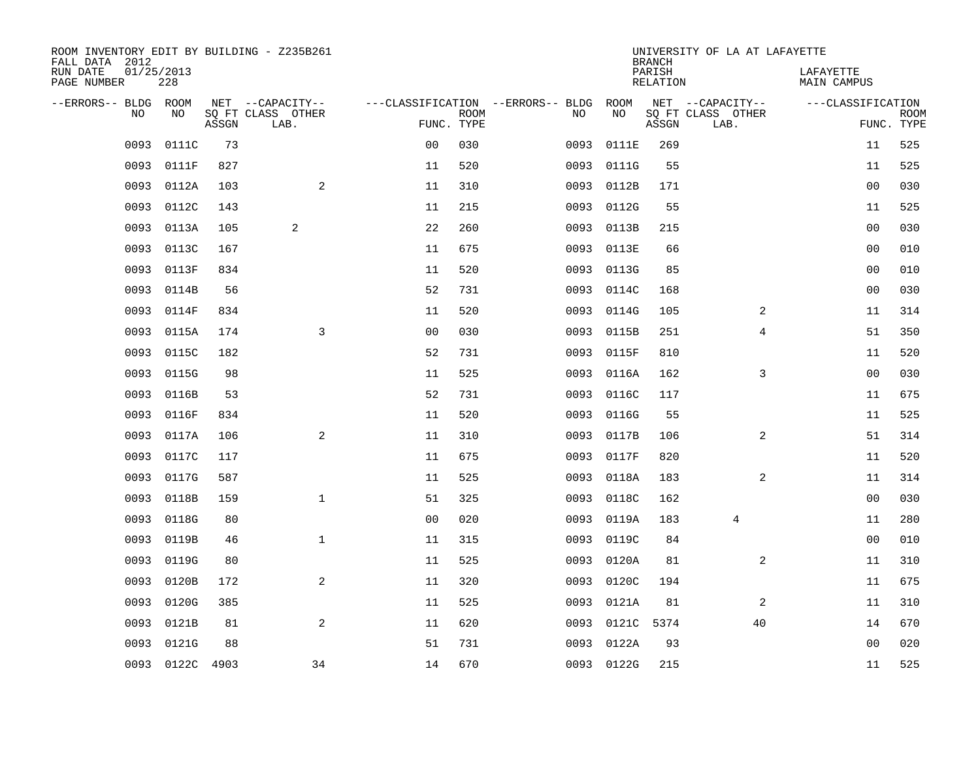| ROOM INVENTORY EDIT BY BUILDING - Z235B261<br>FALL DATA 2012 |                   |       |                           |                |             |                                   |            | <b>BRANCH</b>      | UNIVERSITY OF LA AT LAFAYETTE |                                 |                           |
|--------------------------------------------------------------|-------------------|-------|---------------------------|----------------|-------------|-----------------------------------|------------|--------------------|-------------------------------|---------------------------------|---------------------------|
| RUN DATE<br>PAGE NUMBER                                      | 01/25/2013<br>228 |       |                           |                |             |                                   |            | PARISH<br>RELATION |                               | LAFAYETTE<br><b>MAIN CAMPUS</b> |                           |
| --ERRORS-- BLDG ROOM                                         |                   |       | NET --CAPACITY--          |                |             | ---CLASSIFICATION --ERRORS-- BLDG | ROOM       |                    | NET --CAPACITY--              | ---CLASSIFICATION               |                           |
| N <sub>O</sub>                                               | NO.               | ASSGN | SO FT CLASS OTHER<br>LAB. | FUNC. TYPE     | <b>ROOM</b> | NO.                               | NO         | ASSGN              | SQ FT CLASS OTHER<br>LAB.     |                                 | <b>ROOM</b><br>FUNC. TYPE |
| 0093                                                         | 0111C             | 73    |                           | 0 <sub>0</sub> | 030         | 0093                              | 0111E      | 269                |                               | 11                              | 525                       |
| 0093                                                         | 0111F             | 827   |                           | 11             | 520         | 0093                              | 0111G      | 55                 |                               | 11                              | 525                       |
| 0093                                                         | 0112A             | 103   | 2                         | 11             | 310         | 0093                              | 0112B      | 171                |                               | 0 <sub>0</sub>                  | 030                       |
| 0093                                                         | 0112C             | 143   |                           | 11             | 215         | 0093                              | 0112G      | 55                 |                               | 11                              | 525                       |
| 0093                                                         | 0113A             | 105   | 2                         | 22             | 260         | 0093                              | 0113B      | 215                |                               | 0 <sub>0</sub>                  | 030                       |
| 0093                                                         | 0113C             | 167   |                           | 11             | 675         | 0093                              | 0113E      | 66                 |                               | 0 <sub>0</sub>                  | 010                       |
| 0093                                                         | 0113F             | 834   |                           | 11             | 520         | 0093                              | 0113G      | 85                 |                               | 0 <sub>0</sub>                  | 010                       |
| 0093                                                         | 0114B             | 56    |                           | 52             | 731         | 0093                              | 0114C      | 168                |                               | 0 <sub>0</sub>                  | 030                       |
| 0093                                                         | 0114F             | 834   |                           | 11             | 520         | 0093                              | 0114G      | 105                | 2                             | 11                              | 314                       |
| 0093                                                         | 0115A             | 174   | 3                         | 0 <sub>0</sub> | 030         | 0093                              | 0115B      | 251                | 4                             | 51                              | 350                       |
| 0093                                                         | 0115C             | 182   |                           | 52             | 731         | 0093                              | 0115F      | 810                |                               | 11                              | 520                       |
| 0093                                                         | 0115G             | 98    |                           | 11             | 525         | 0093                              | 0116A      | 162                | 3                             | 0 <sub>0</sub>                  | 030                       |
| 0093                                                         | 0116B             | 53    |                           | 52             | 731         | 0093                              | 0116C      | 117                |                               | 11                              | 675                       |
| 0093                                                         | 0116F             | 834   |                           | 11             | 520         | 0093                              | 0116G      | 55                 |                               | 11                              | 525                       |
| 0093                                                         | 0117A             | 106   | 2                         | 11             | 310         | 0093                              | 0117B      | 106                | $\overline{a}$                | 51                              | 314                       |
| 0093                                                         | 0117C             | 117   |                           | 11             | 675         | 0093                              | 0117F      | 820                |                               | 11                              | 520                       |
| 0093                                                         | 0117G             | 587   |                           | 11             | 525         | 0093                              | 0118A      | 183                | 2                             | 11                              | 314                       |
| 0093                                                         | 0118B             | 159   | $\mathbf 1$               | 51             | 325         | 0093                              | 0118C      | 162                |                               | 0 <sub>0</sub>                  | 030                       |
| 0093                                                         | 0118G             | 80    |                           | 0 <sub>0</sub> | 020         | 0093                              | 0119A      | 183                | $\overline{4}$                | 11                              | 280                       |
| 0093                                                         | 0119B             | 46    | $\mathbf{1}$              | 11             | 315         | 0093                              | 0119C      | 84                 |                               | 0 <sub>0</sub>                  | 010                       |
| 0093                                                         | 0119G             | 80    |                           | 11             | 525         | 0093                              | 0120A      | 81                 | $\overline{a}$                | 11                              | 310                       |
| 0093                                                         | 0120B             | 172   | 2                         | 11             | 320         | 0093                              | 0120C      | 194                |                               | 11                              | 675                       |
| 0093                                                         | 0120G             | 385   |                           | 11             | 525         | 0093                              | 0121A      | 81                 | 2                             | 11                              | 310                       |
| 0093                                                         | 0121B             | 81    | 2                         | 11             | 620         | 0093                              | 0121C 5374 |                    | 40                            | 14                              | 670                       |
| 0093                                                         | 0121G             | 88    |                           | 51             | 731         | 0093                              | 0122A      | 93                 |                               | 0 <sub>0</sub>                  | 020                       |
|                                                              | 0093 0122C 4903   |       | 34                        | 14             | 670         |                                   | 0093 0122G | 215                |                               | 11                              | 525                       |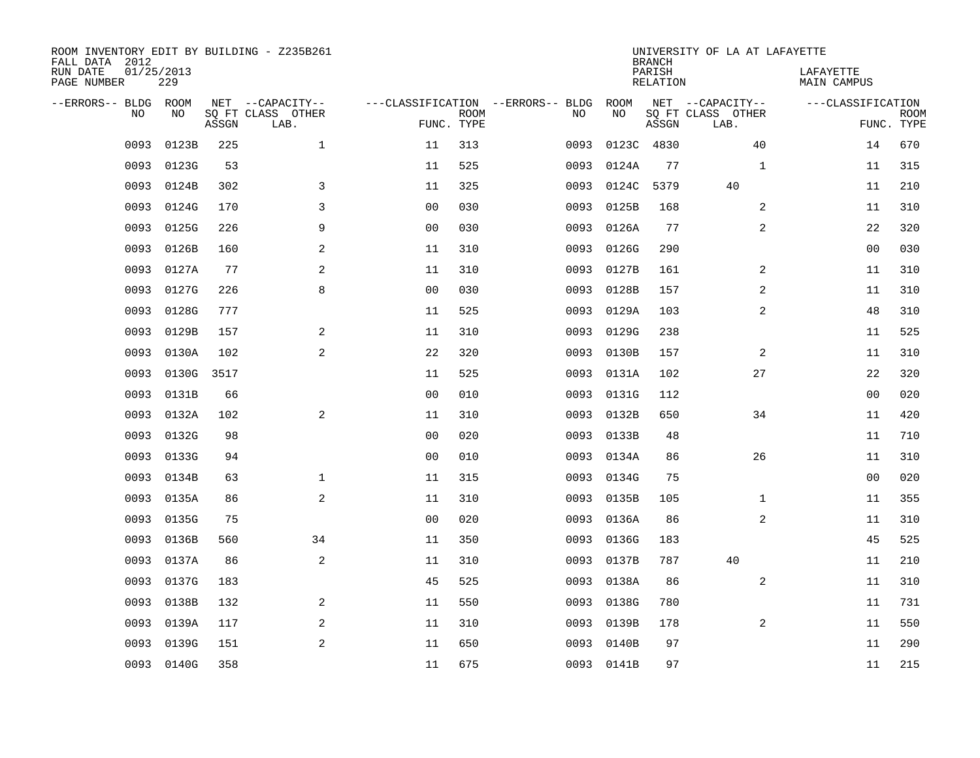| ROOM INVENTORY EDIT BY BUILDING - Z235B261<br>FALL DATA 2012<br>RUN DATE | 01/25/2013<br>229 |       |                                       |                |             |                                         |            | <b>BRANCH</b><br>PARISH | UNIVERSITY OF LA AT LAFAYETTE         | LAFAYETTE          |             |
|--------------------------------------------------------------------------|-------------------|-------|---------------------------------------|----------------|-------------|-----------------------------------------|------------|-------------------------|---------------------------------------|--------------------|-------------|
| PAGE NUMBER                                                              |                   |       |                                       |                |             |                                         |            | <b>RELATION</b>         |                                       | <b>MAIN CAMPUS</b> |             |
| --ERRORS-- BLDG ROOM<br>NO                                               | NO                |       | NET --CAPACITY--<br>SQ FT CLASS OTHER |                | <b>ROOM</b> | ---CLASSIFICATION --ERRORS-- BLDG<br>NO | ROOM<br>NO |                         | NET --CAPACITY--<br>SQ FT CLASS OTHER | ---CLASSIFICATION  | <b>ROOM</b> |
|                                                                          |                   | ASSGN | LAB.                                  | FUNC. TYPE     |             |                                         |            | ASSGN                   | LAB.                                  |                    | FUNC. TYPE  |
| 0093                                                                     | 0123B             | 225   | $\mathbf 1$                           | 11             | 313         | 0093                                    |            | 0123C 4830              | 40                                    | 14                 | 670         |
| 0093                                                                     | 0123G             | 53    |                                       | 11             | 525         | 0093                                    | 0124A      | 77                      | $\mathbf{1}$                          | 11                 | 315         |
| 0093                                                                     | 0124B             | 302   | 3                                     | 11             | 325         | 0093                                    | 0124C      | 5379                    | 40                                    | 11                 | 210         |
| 0093                                                                     | 0124G             | 170   | 3                                     | 0 <sub>0</sub> | 030         | 0093                                    | 0125B      | 168                     | 2                                     | 11                 | 310         |
| 0093                                                                     | 0125G             | 226   | 9                                     | 0 <sub>0</sub> | 030         | 0093                                    | 0126A      | 77                      | $\overline{a}$                        | 22                 | 320         |
| 0093                                                                     | 0126B             | 160   | 2                                     | 11             | 310         | 0093                                    | 0126G      | 290                     |                                       | 0 <sub>0</sub>     | 030         |
| 0093                                                                     | 0127A             | 77    | 2                                     | 11             | 310         | 0093                                    | 0127B      | 161                     | 2                                     | 11                 | 310         |
| 0093                                                                     | 0127G             | 226   | 8                                     | 0 <sub>0</sub> | 030         | 0093                                    | 0128B      | 157                     | 2                                     | 11                 | 310         |
| 0093                                                                     | 0128G             | 777   |                                       | 11             | 525         | 0093                                    | 0129A      | 103                     | 2                                     | 48                 | 310         |
| 0093                                                                     | 0129B             | 157   | 2                                     | 11             | 310         | 0093                                    | 0129G      | 238                     |                                       | 11                 | 525         |
| 0093                                                                     | 0130A             | 102   | 2                                     | 22             | 320         | 0093                                    | 0130B      | 157                     | 2                                     | 11                 | 310         |
| 0093                                                                     | 0130G             | 3517  |                                       | 11             | 525         | 0093                                    | 0131A      | 102                     | 27                                    | 22                 | 320         |
| 0093                                                                     | 0131B             | 66    |                                       | 0 <sub>0</sub> | 010         | 0093                                    | 0131G      | 112                     |                                       | 0 <sub>0</sub>     | 020         |
| 0093                                                                     | 0132A             | 102   | 2                                     | 11             | 310         | 0093                                    | 0132B      | 650                     | 34                                    | 11                 | 420         |
| 0093                                                                     | 0132G             | 98    |                                       | 0 <sub>0</sub> | 020         | 0093                                    | 0133B      | 48                      |                                       | 11                 | 710         |
| 0093                                                                     | 0133G             | 94    |                                       | 00             | 010         | 0093                                    | 0134A      | 86                      | 26                                    | 11                 | 310         |
| 0093                                                                     | 0134B             | 63    | $\mathbf 1$                           | 11             | 315         | 0093                                    | 0134G      | 75                      |                                       | 0 <sub>0</sub>     | 020         |
| 0093                                                                     | 0135A             | 86    | 2                                     | 11             | 310         | 0093                                    | 0135B      | 105                     | $\mathbf{1}$                          | 11                 | 355         |
| 0093                                                                     | 0135G             | 75    |                                       | 0 <sub>0</sub> | 020         | 0093                                    | 0136A      | 86                      | 2                                     | 11                 | 310         |
| 0093                                                                     | 0136B             | 560   | 34                                    | 11             | 350         | 0093                                    | 0136G      | 183                     |                                       | 45                 | 525         |
| 0093                                                                     | 0137A             | 86    | 2                                     | 11             | 310         |                                         | 0093 0137B | 787                     | 40                                    | 11                 | 210         |
| 0093                                                                     | 0137G             | 183   |                                       | 45             | 525         | 0093                                    | 0138A      | 86                      | 2                                     | 11                 | 310         |
| 0093                                                                     | 0138B             | 132   | 2                                     | 11             | 550         | 0093                                    | 0138G      | 780                     |                                       | 11                 | 731         |
| 0093                                                                     | 0139A             | 117   | 2                                     | 11             | 310         | 0093                                    | 0139B      | 178                     | 2                                     | 11                 | 550         |
| 0093                                                                     | 0139G             | 151   | $\overline{2}$                        | 11             | 650         | 0093                                    | 0140B      | 97                      |                                       | 11                 | 290         |
|                                                                          | 0093 0140G        | 358   |                                       | 11             | 675         |                                         | 0093 0141B | 97                      |                                       | 11                 | 215         |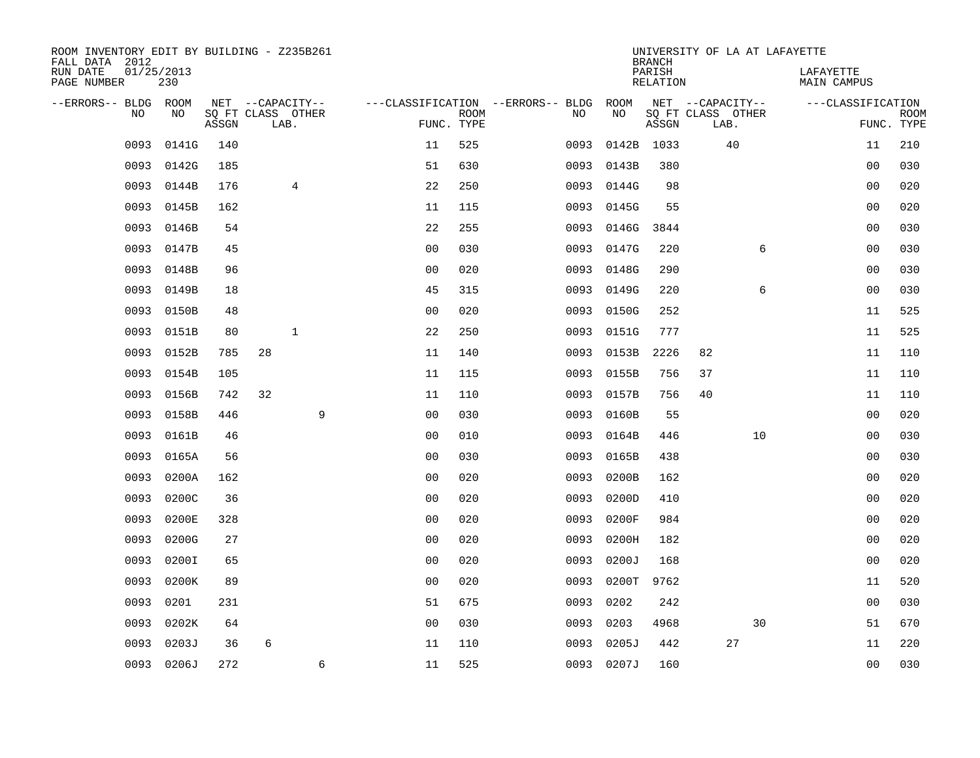| ROOM INVENTORY EDIT BY BUILDING - Z235B261<br>FALL DATA 2012 |                   |       |                           |   |                                   |                           |      |            | <b>BRANCH</b>             | UNIVERSITY OF LA AT LAFAYETTE |    |                                 |                           |
|--------------------------------------------------------------|-------------------|-------|---------------------------|---|-----------------------------------|---------------------------|------|------------|---------------------------|-------------------------------|----|---------------------------------|---------------------------|
| RUN DATE<br>PAGE NUMBER                                      | 01/25/2013<br>230 |       |                           |   |                                   |                           |      |            | PARISH<br><b>RELATION</b> |                               |    | LAFAYETTE<br><b>MAIN CAMPUS</b> |                           |
| --ERRORS-- BLDG ROOM                                         |                   |       | NET --CAPACITY--          |   | ---CLASSIFICATION --ERRORS-- BLDG |                           |      | ROOM       |                           | NET --CAPACITY--              |    | ---CLASSIFICATION               |                           |
| NO                                                           | NO                | ASSGN | SQ FT CLASS OTHER<br>LAB. |   |                                   | <b>ROOM</b><br>FUNC. TYPE | NO   | NO         | ASSGN                     | SQ FT CLASS OTHER<br>LAB.     |    |                                 | <b>ROOM</b><br>FUNC. TYPE |
| 0093                                                         | 0141G             | 140   |                           |   | 11                                | 525                       | 0093 | 0142B      | 1033                      | 40                            |    | 11                              | 210                       |
| 0093                                                         | 0142G             | 185   |                           |   | 51                                | 630                       | 0093 | 0143B      | 380                       |                               |    | 00                              | 030                       |
| 0093                                                         | 0144B             | 176   | 4                         |   | 22                                | 250                       | 0093 | 0144G      | 98                        |                               |    | 00                              | 020                       |
| 0093                                                         | 0145B             | 162   |                           |   | 11                                | 115                       | 0093 | 0145G      | 55                        |                               |    | 0 <sub>0</sub>                  | 020                       |
| 0093                                                         | 0146B             | 54    |                           |   | 22                                | 255                       | 0093 | 0146G      | 3844                      |                               |    | 0 <sub>0</sub>                  | 030                       |
| 0093                                                         | 0147B             | 45    |                           |   | 0 <sub>0</sub>                    | 030                       |      | 0093 0147G | 220                       |                               | 6  | 0 <sub>0</sub>                  | 030                       |
| 0093                                                         | 0148B             | 96    |                           |   | 0 <sub>0</sub>                    | 020                       | 0093 | 0148G      | 290                       |                               |    | 0 <sub>0</sub>                  | 030                       |
| 0093                                                         | 0149B             | 18    |                           |   | 45                                | 315                       | 0093 | 0149G      | 220                       |                               | 6  | 0 <sub>0</sub>                  | 030                       |
| 0093                                                         | 0150B             | 48    |                           |   | 0 <sub>0</sub>                    | 020                       | 0093 | 0150G      | 252                       |                               |    | 11                              | 525                       |
| 0093                                                         | 0151B             | 80    | $\mathbf{1}$              |   | 22                                | 250                       | 0093 | 0151G      | 777                       |                               |    | 11                              | 525                       |
| 0093                                                         | 0152B             | 785   | 28                        |   | 11                                | 140                       | 0093 | 0153B      | 2226                      | 82                            |    | 11                              | 110                       |
| 0093                                                         | 0154B             | 105   |                           |   | 11                                | 115                       | 0093 | 0155B      | 756                       | 37                            |    | 11                              | 110                       |
| 0093                                                         | 0156B             | 742   | 32                        |   | 11                                | 110                       | 0093 | 0157B      | 756                       | 40                            |    | 11                              | 110                       |
| 0093                                                         | 0158B             | 446   |                           | 9 | 0 <sub>0</sub>                    | 030                       | 0093 | 0160B      | 55                        |                               |    | 00                              | 020                       |
| 0093                                                         | 0161B             | 46    |                           |   | 0 <sub>0</sub>                    | 010                       | 0093 | 0164B      | 446                       |                               | 10 | 00                              | 030                       |
| 0093                                                         | 0165A             | 56    |                           |   | 0 <sub>0</sub>                    | 030                       | 0093 | 0165B      | 438                       |                               |    | 0 <sub>0</sub>                  | 030                       |
| 0093                                                         | 0200A             | 162   |                           |   | 0 <sub>0</sub>                    | 020                       | 0093 | 0200B      | 162                       |                               |    | 0 <sub>0</sub>                  | 020                       |
| 0093                                                         | 0200C             | 36    |                           |   | 0 <sub>0</sub>                    | 020                       | 0093 | 0200D      | 410                       |                               |    | 00                              | 020                       |
| 0093                                                         | 0200E             | 328   |                           |   | 0 <sub>0</sub>                    | 020                       | 0093 | 0200F      | 984                       |                               |    | 00                              | 020                       |
| 0093                                                         | 0200G             | 27    |                           |   | 0 <sub>0</sub>                    | 020                       | 0093 | 0200H      | 182                       |                               |    | 00                              | 020                       |
| 0093                                                         | 0200I             | 65    |                           |   | 0 <sub>0</sub>                    | 020                       | 0093 | 0200J      | 168                       |                               |    | 0 <sub>0</sub>                  | 020                       |
| 0093                                                         | 0200K             | 89    |                           |   | 0 <sub>0</sub>                    | 020                       | 0093 | 0200T      | 9762                      |                               |    | 11                              | 520                       |
| 0093                                                         | 0201              | 231   |                           |   | 51                                | 675                       | 0093 | 0202       | 242                       |                               |    | 0 <sub>0</sub>                  | 030                       |
| 0093                                                         | 0202K             | 64    |                           |   | 0 <sub>0</sub>                    | 030                       | 0093 | 0203       | 4968                      |                               | 30 | 51                              | 670                       |
| 0093                                                         | 0203J             | 36    | 6                         |   | 11                                | 110                       | 0093 | 0205J      | 442                       | 27                            |    | 11                              | 220                       |
|                                                              | 0093 0206J        | 272   |                           | 6 | 11                                | 525                       |      | 0093 0207J | 160                       |                               |    | 0 <sub>0</sub>                  | 030                       |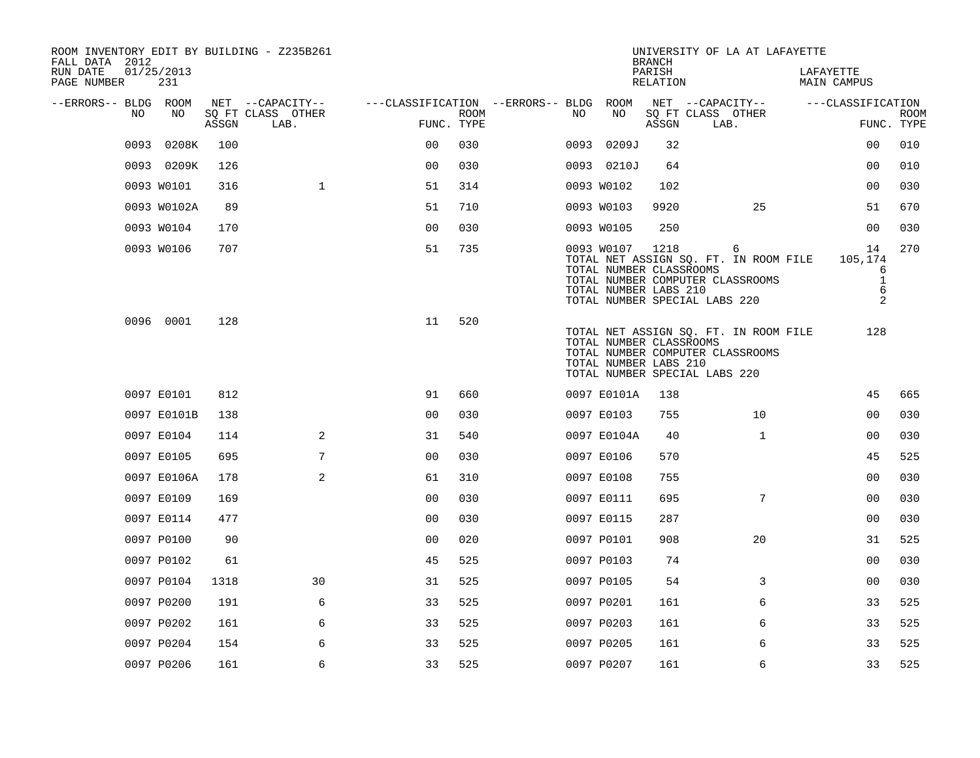| ROOM INVENTORY EDIT BY BUILDING - Z235B261<br>FALL DATA 2012 |                   |       |                           |                                        |      |      |                                                                     | <b>BRANCH</b>      | UNIVERSITY OF LA AT LAFAYETTE                                                                                   |                                              |                           |
|--------------------------------------------------------------|-------------------|-------|---------------------------|----------------------------------------|------|------|---------------------------------------------------------------------|--------------------|-----------------------------------------------------------------------------------------------------------------|----------------------------------------------|---------------------------|
| RUN DATE<br>PAGE NUMBER                                      | 01/25/2013<br>231 |       |                           |                                        |      |      |                                                                     | PARISH<br>RELATION |                                                                                                                 | LAFAYETTE<br>MAIN CAMPUS                     |                           |
| --ERRORS-- BLDG ROOM                                         |                   |       | NET --CAPACITY--          | ---CLASSIFICATION --ERRORS-- BLDG ROOM |      |      |                                                                     |                    | NET --CAPACITY--                                                                                                | ---CLASSIFICATION                            |                           |
| NO.                                                          | NO.               | ASSGN | SQ FT CLASS OTHER<br>LAB. | FUNC. TYPE                             | ROOM | NO.  | NO                                                                  | ASSGN              | SQ FT CLASS OTHER<br>LAB.                                                                                       |                                              | <b>ROOM</b><br>FUNC. TYPE |
| 0093                                                         | 0208K             | 100   |                           | 0 <sup>0</sup>                         | 030  | 0093 | 0209J                                                               | 32                 |                                                                                                                 | 0 <sub>0</sub>                               | 010                       |
|                                                              | 0093 0209K        | 126   |                           | 0 <sub>0</sub>                         | 030  |      | 0093 0210J                                                          | 64                 |                                                                                                                 | 0 <sub>0</sub>                               | 010                       |
|                                                              | 0093 W0101        | 316   | $\mathbf{1}$              | 51                                     | 314  |      | 0093 W0102                                                          | 102                |                                                                                                                 | 0 <sub>0</sub>                               | 030                       |
|                                                              | 0093 W0102A       | 89    |                           | 51                                     | 710  |      | 0093 W0103                                                          | 9920               | 25                                                                                                              | 51                                           | 670                       |
|                                                              | 0093 W0104        | 170   |                           | 0 <sub>0</sub>                         | 030  |      | 0093 W0105                                                          | 250                |                                                                                                                 | 0 <sub>0</sub>                               | 030                       |
|                                                              | 0093 W0106        | 707   |                           | 51                                     | 735  |      | 0093 W0107 1218<br>TOTAL NUMBER CLASSROOMS<br>TOTAL NUMBER LABS 210 |                    | 6<br>TOTAL NET ASSIGN SQ. FT. IN ROOM FILE<br>TOTAL NUMBER COMPUTER CLASSROOMS<br>TOTAL NUMBER SPECIAL LABS 220 | 14<br>105,174<br>6<br>$\mathbf{1}$<br>6<br>2 | 270                       |
|                                                              | 0096 0001         | 128   |                           | 11                                     | 520  |      | TOTAL NUMBER CLASSROOMS<br>TOTAL NUMBER LABS 210                    |                    | TOTAL NET ASSIGN SQ. FT. IN ROOM FILE<br>TOTAL NUMBER COMPUTER CLASSROOMS<br>TOTAL NUMBER SPECIAL LABS 220      | 128                                          |                           |
|                                                              | 0097 E0101        | 812   |                           | 91                                     | 660  |      | 0097 E0101A                                                         | 138                |                                                                                                                 | 45                                           | 665                       |
|                                                              | 0097 E0101B       | 138   |                           | 0 <sub>0</sub>                         | 030  |      | 0097 E0103                                                          | 755                | 10                                                                                                              | 00                                           | 030                       |
|                                                              | 0097 E0104        | 114   | 2                         | 31                                     | 540  |      | 0097 E0104A                                                         | 40                 | $\mathbf{1}$                                                                                                    | 0 <sub>0</sub>                               | 030                       |
|                                                              | 0097 E0105        | 695   | 7                         | 0 <sub>0</sub>                         | 030  |      | 0097 E0106                                                          | 570                |                                                                                                                 | 45                                           | 525                       |
|                                                              | 0097 E0106A       | 178   | 2                         | 61                                     | 310  |      | 0097 E0108                                                          | 755                |                                                                                                                 | 0 <sub>0</sub>                               | 030                       |
|                                                              | 0097 E0109        | 169   |                           | 0 <sub>0</sub>                         | 030  |      | 0097 E0111                                                          | 695                | 7                                                                                                               | 00                                           | 030                       |
|                                                              | 0097 E0114        | 477   |                           | 0 <sub>0</sub>                         | 030  |      | 0097 E0115                                                          | 287                |                                                                                                                 | 0 <sub>0</sub>                               | 030                       |
|                                                              | 0097 P0100        | 90    |                           | 0 <sub>0</sub>                         | 020  |      | 0097 P0101                                                          | 908                | 20                                                                                                              | 31                                           | 525                       |
|                                                              | 0097 P0102        | 61    |                           | 45                                     | 525  |      | 0097 P0103                                                          | 74                 |                                                                                                                 | 0 <sub>0</sub>                               | 030                       |
|                                                              | 0097 P0104        | 1318  | 30                        | 31                                     | 525  |      | 0097 P0105                                                          | 54                 | 3                                                                                                               | 00                                           | 030                       |
|                                                              | 0097 P0200        | 191   | 6                         | 33                                     | 525  |      | 0097 P0201                                                          | 161                | 6                                                                                                               | 33                                           | 525                       |
|                                                              | 0097 P0202        | 161   | 6                         | 33                                     | 525  |      | 0097 P0203                                                          | 161                | 6                                                                                                               | 33                                           | 525                       |
|                                                              | 0097 P0204        | 154   | 6                         | 33                                     | 525  |      | 0097 P0205                                                          | 161                | 6                                                                                                               | 33                                           | 525                       |
|                                                              | 0097 P0206        | 161   | 6                         | 33                                     | 525  |      | 0097 P0207                                                          | 161                | 6                                                                                                               | 33                                           | 525                       |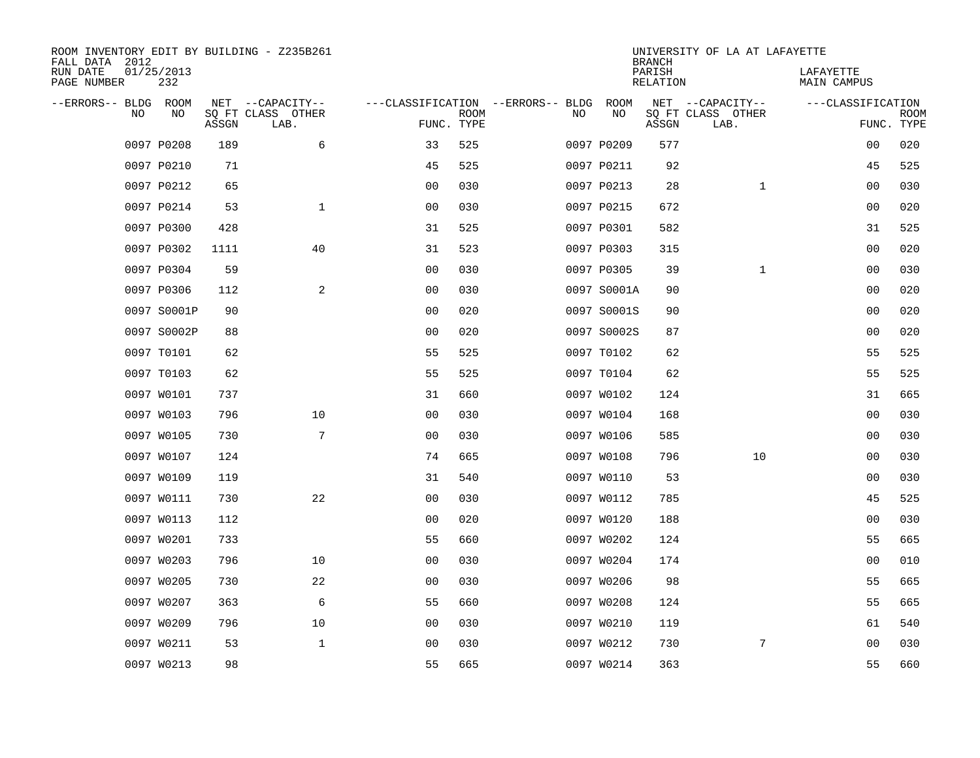| ROOM INVENTORY EDIT BY BUILDING - Z235B261<br>FALL DATA 2012 |                   |       |                           |                                        |             |    |             | <b>BRANCH</b>             | UNIVERSITY OF LA AT LAFAYETTE |                                 |                           |
|--------------------------------------------------------------|-------------------|-------|---------------------------|----------------------------------------|-------------|----|-------------|---------------------------|-------------------------------|---------------------------------|---------------------------|
| RUN DATE<br>PAGE NUMBER                                      | 01/25/2013<br>232 |       |                           |                                        |             |    |             | PARISH<br><b>RELATION</b> |                               | LAFAYETTE<br><b>MAIN CAMPUS</b> |                           |
| --ERRORS-- BLDG ROOM                                         |                   |       | NET --CAPACITY--          | ---CLASSIFICATION --ERRORS-- BLDG ROOM |             |    |             |                           | NET --CAPACITY--              | ---CLASSIFICATION               |                           |
| NO                                                           | NO                | ASSGN | SQ FT CLASS OTHER<br>LAB. | FUNC. TYPE                             | <b>ROOM</b> | NO | NO          | ASSGN                     | SQ FT CLASS OTHER<br>LAB.     |                                 | <b>ROOM</b><br>FUNC. TYPE |
|                                                              | 0097 P0208        | 189   | 6                         | 33                                     | 525         |    | 0097 P0209  | 577                       |                               | 00                              | 020                       |
|                                                              | 0097 P0210        | 71    |                           | 45                                     | 525         |    | 0097 P0211  | 92                        |                               | 45                              | 525                       |
|                                                              | 0097 P0212        | 65    |                           | 0 <sub>0</sub>                         | 030         |    | 0097 P0213  | 28                        | $\mathbf{1}$                  | 00                              | 030                       |
|                                                              | 0097 P0214        | 53    | $\mathbf{1}$              | 0 <sub>0</sub>                         | 030         |    | 0097 P0215  | 672                       |                               | 00                              | 020                       |
|                                                              | 0097 P0300        | 428   |                           | 31                                     | 525         |    | 0097 P0301  | 582                       |                               | 31                              | 525                       |
|                                                              | 0097 P0302        | 1111  | 40                        | 31                                     | 523         |    | 0097 P0303  | 315                       |                               | 0 <sub>0</sub>                  | 020                       |
|                                                              | 0097 P0304        | 59    |                           | 0 <sub>0</sub>                         | 030         |    | 0097 P0305  | 39                        | $\mathbf{1}$                  | 00                              | 030                       |
|                                                              | 0097 P0306        | 112   | 2                         | 0 <sub>0</sub>                         | 030         |    | 0097 S0001A | 90                        |                               | 00                              | 020                       |
|                                                              | 0097 S0001P       | 90    |                           | 0 <sub>0</sub>                         | 020         |    | 0097 S0001S | 90                        |                               | 00                              | 020                       |
|                                                              | 0097 S0002P       | 88    |                           | 0 <sub>0</sub>                         | 020         |    | 0097 S0002S | 87                        |                               | 0 <sub>0</sub>                  | 020                       |
|                                                              | 0097 T0101        | 62    |                           | 55                                     | 525         |    | 0097 T0102  | 62                        |                               | 55                              | 525                       |
|                                                              | 0097 T0103        | 62    |                           | 55                                     | 525         |    | 0097 T0104  | 62                        |                               | 55                              | 525                       |
|                                                              | 0097 W0101        | 737   |                           | 31                                     | 660         |    | 0097 W0102  | 124                       |                               | 31                              | 665                       |
|                                                              | 0097 W0103        | 796   | 10                        | 00                                     | 030         |    | 0097 W0104  | 168                       |                               | 00                              | 030                       |
|                                                              | 0097 W0105        | 730   | 7                         | 0 <sub>0</sub>                         | 030         |    | 0097 W0106  | 585                       |                               | 0 <sub>0</sub>                  | 030                       |
|                                                              | 0097 W0107        | 124   |                           | 74                                     | 665         |    | 0097 W0108  | 796                       | 10                            | 00                              | 030                       |
|                                                              | 0097 W0109        | 119   |                           | 31                                     | 540         |    | 0097 W0110  | 53                        |                               | 0 <sub>0</sub>                  | 030                       |
|                                                              | 0097 W0111        | 730   | 22                        | 0 <sub>0</sub>                         | 030         |    | 0097 W0112  | 785                       |                               | 45                              | 525                       |
|                                                              | 0097 W0113        | 112   |                           | 0 <sub>0</sub>                         | 020         |    | 0097 W0120  | 188                       |                               | 0 <sub>0</sub>                  | 030                       |
|                                                              | 0097 W0201        | 733   |                           | 55                                     | 660         |    | 0097 W0202  | 124                       |                               | 55                              | 665                       |
|                                                              | 0097 W0203        | 796   | 10                        | 0 <sub>0</sub>                         | 030         |    | 0097 W0204  | 174                       |                               | 00                              | 010                       |
|                                                              | 0097 W0205        | 730   | 22                        | 0 <sub>0</sub>                         | 030         |    | 0097 W0206  | 98                        |                               | 55                              | 665                       |
|                                                              | 0097 W0207        | 363   | 6                         | 55                                     | 660         |    | 0097 W0208  | 124                       |                               | 55                              | 665                       |
|                                                              | 0097 W0209        | 796   | 10                        | 0 <sub>0</sub>                         | 030         |    | 0097 W0210  | 119                       |                               | 61                              | 540                       |
|                                                              | 0097 W0211        | 53    | $\mathbf 1$               | 0 <sub>0</sub>                         | 030         |    | 0097 W0212  | 730                       | 7                             | 00                              | 030                       |
|                                                              | 0097 W0213        | 98    |                           | 55                                     | 665         |    | 0097 W0214  | 363                       |                               | 55                              | 660                       |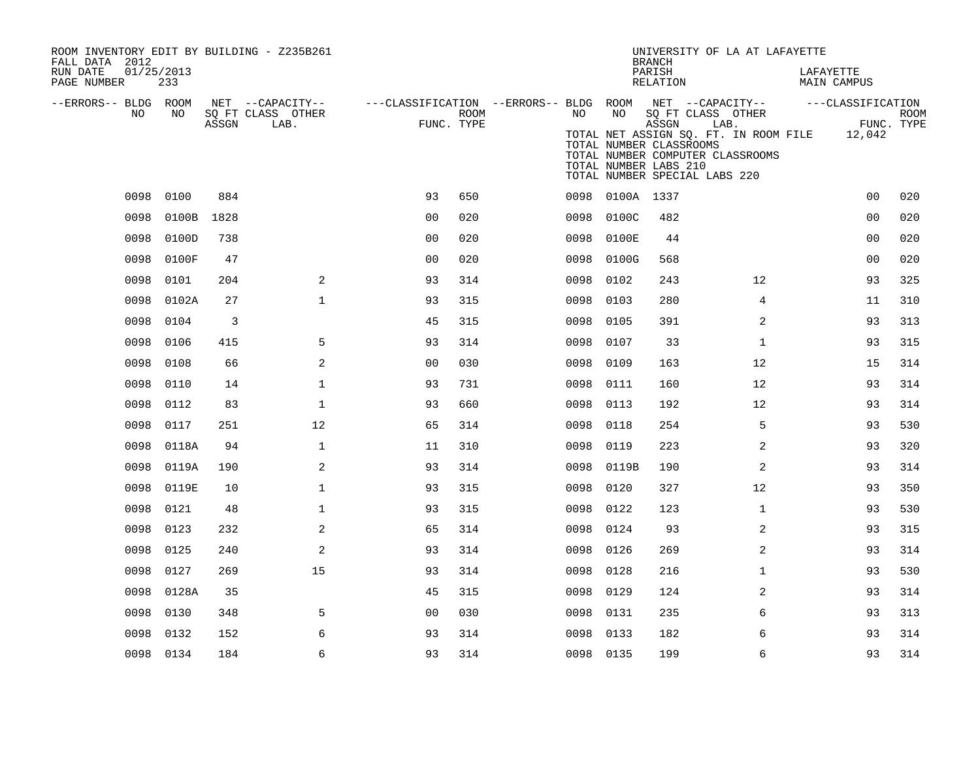| ROOM INVENTORY EDIT BY BUILDING - Z235B261<br>FALL DATA 2012 |                   |       |                           |                |      |                                                         |                 | <b>BRANCH</b>                                             | UNIVERSITY OF LA AT LAFAYETTE                                                                                                                  |                          |             |
|--------------------------------------------------------------|-------------------|-------|---------------------------|----------------|------|---------------------------------------------------------|-----------------|-----------------------------------------------------------|------------------------------------------------------------------------------------------------------------------------------------------------|--------------------------|-------------|
| RUN DATE<br>PAGE NUMBER                                      | 01/25/2013<br>233 |       |                           |                |      |                                                         |                 | PARISH<br>RELATION                                        |                                                                                                                                                | LAFAYETTE<br>MAIN CAMPUS |             |
| --ERRORS-- BLDG ROOM                                         |                   |       | NET --CAPACITY--          |                |      | ---CLASSIFICATION --ERRORS-- BLDG ROOM NET --CAPACITY-- |                 |                                                           |                                                                                                                                                | ---CLASSIFICATION        |             |
| NO                                                           | NO                | ASSGN | SQ FT CLASS OTHER<br>LAB. | FUNC. TYPE     | ROOM | NO                                                      | NO              | ASSGN<br>TOTAL NUMBER CLASSROOMS<br>TOTAL NUMBER LABS 210 | SQ FT CLASS OTHER<br>LAB.<br>TOTAL NET ASSIGN SQ. FT. IN ROOM FILE 12,042<br>TOTAL NUMBER COMPUTER CLASSROOMS<br>TOTAL NUMBER SPECIAL LABS 220 | FUNC. TYPE               | <b>ROOM</b> |
|                                                              | 0098 0100         | 884   |                           | 93             | 650  |                                                         | 0098 0100A 1337 |                                                           |                                                                                                                                                | 0 <sub>0</sub>           | 020         |
| 0098                                                         | 0100B             | 1828  |                           | 0 <sub>0</sub> | 020  | 0098                                                    | 0100C           | 482                                                       |                                                                                                                                                | 0 <sub>0</sub>           | 020         |
| 0098                                                         | 0100D             | 738   |                           | 0 <sub>0</sub> | 020  | 0098                                                    | 0100E           | 44                                                        |                                                                                                                                                | 0 <sub>0</sub>           | 020         |
| 0098                                                         | 0100F             | 47    |                           | 0 <sub>0</sub> | 020  | 0098                                                    | 0100G           | 568                                                       |                                                                                                                                                | 00                       | 020         |
| 0098                                                         | 0101              | 204   | 2                         | 93             | 314  | 0098                                                    | 0102            | 243                                                       | 12                                                                                                                                             | 93                       | 325         |
| 0098                                                         | 0102A             | 27    | $\mathbf 1$               | 93             | 315  | 0098                                                    | 0103            | 280                                                       | 4                                                                                                                                              | 11                       | 310         |
| 0098                                                         | 0104              | 3     |                           | 45             | 315  | 0098                                                    | 0105            | 391                                                       | 2                                                                                                                                              | 93                       | 313         |
| 0098                                                         | 0106              | 415   | 5                         | 93             | 314  | 0098                                                    | 0107            | 33                                                        | $\mathbf{1}$                                                                                                                                   | 93                       | 315         |
| 0098                                                         | 0108              | 66    | 2                         | 0 <sub>0</sub> | 030  | 0098                                                    | 0109            | 163                                                       | 12                                                                                                                                             | 15                       | 314         |
| 0098                                                         | 0110              | 14    | $\mathbf 1$               | 93             | 731  | 0098                                                    | 0111            | 160                                                       | 12                                                                                                                                             | 93                       | 314         |
| 0098                                                         | 0112              | 83    | $\mathbf{1}$              | 93             | 660  | 0098                                                    | 0113            | 192                                                       | 12                                                                                                                                             | 93                       | 314         |
| 0098                                                         | 0117              | 251   | 12                        | 65             | 314  | 0098                                                    | 0118            | 254                                                       | 5                                                                                                                                              | 93                       | 530         |
| 0098                                                         | 0118A             | 94    | $\mathbf{1}$              | 11             | 310  | 0098                                                    | 0119            | 223                                                       | 2                                                                                                                                              | 93                       | 320         |
| 0098                                                         | 0119A             | 190   | 2                         | 93             | 314  |                                                         | 0098 0119B      | 190                                                       | 2                                                                                                                                              | 93                       | 314         |
| 0098                                                         | 0119E             | 10    | $\mathbf{1}$              | 93             | 315  | 0098                                                    | 0120            | 327                                                       | 12                                                                                                                                             | 93                       | 350         |
| 0098                                                         | 0121              | 48    | $\mathbf{1}$              | 93             | 315  |                                                         | 0098 0122       | 123                                                       | $\mathbf{1}$                                                                                                                                   | 93                       | 530         |
| 0098                                                         | 0123              | 232   | 2                         | 65             | 314  | 0098                                                    | 0124            | 93                                                        | $\overline{a}$                                                                                                                                 | 93                       | 315         |
| 0098                                                         | 0125              | 240   | 2                         | 93             | 314  | 0098                                                    | 0126            | 269                                                       | $\overline{a}$                                                                                                                                 | 93                       | 314         |
| 0098                                                         | 0127              | 269   | 15                        | 93             | 314  | 0098                                                    | 0128            | 216                                                       | $\mathbf{1}$                                                                                                                                   | 93                       | 530         |
| 0098                                                         | 0128A             | 35    |                           | 45             | 315  | 0098                                                    | 0129            | 124                                                       | 2                                                                                                                                              | 93                       | 314         |
| 0098                                                         | 0130              | 348   | 5                         | 0 <sub>0</sub> | 030  | 0098                                                    | 0131            | 235                                                       | 6                                                                                                                                              | 93                       | 313         |
| 0098                                                         | 0132              | 152   | 6                         | 93             | 314  | 0098                                                    | 0133            | 182                                                       | 6                                                                                                                                              | 93                       | 314         |
|                                                              | 0098 0134         | 184   | 6                         | 93             | 314  |                                                         | 0098 0135       | 199                                                       | 6                                                                                                                                              | 93                       | 314         |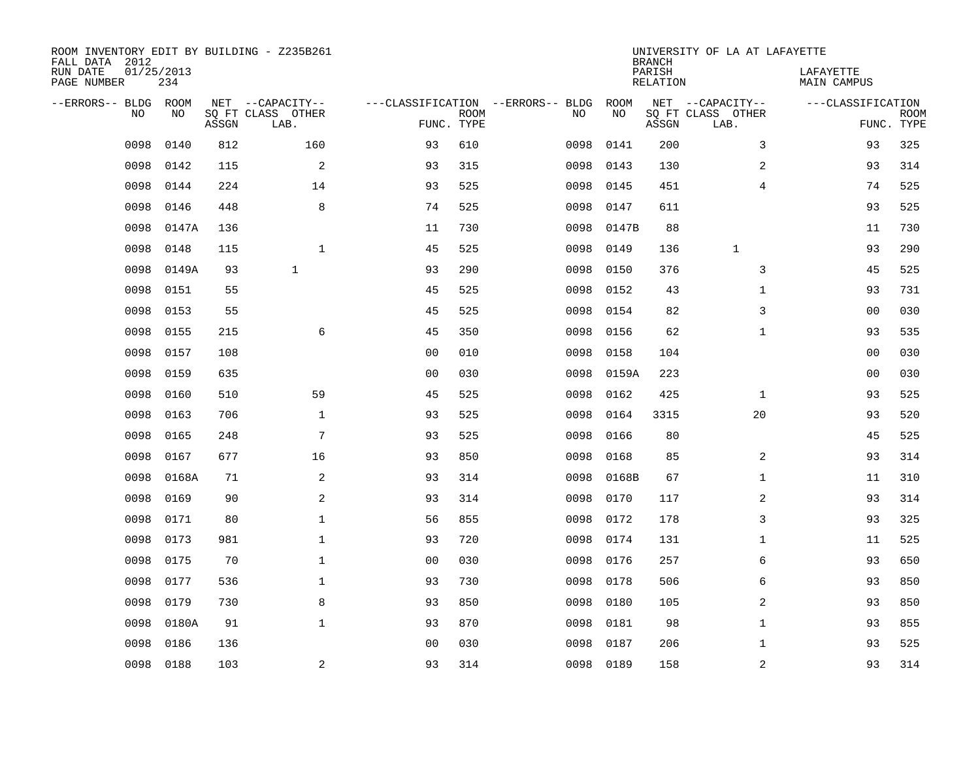| ROOM INVENTORY EDIT BY BUILDING - Z235B261<br>FALL DATA 2012 |                   |       |                           |                |             |                                   |           | <b>BRANCH</b>             | UNIVERSITY OF LA AT LAFAYETTE |                                 |                           |
|--------------------------------------------------------------|-------------------|-------|---------------------------|----------------|-------------|-----------------------------------|-----------|---------------------------|-------------------------------|---------------------------------|---------------------------|
| RUN DATE<br>PAGE NUMBER                                      | 01/25/2013<br>234 |       |                           |                |             |                                   |           | PARISH<br><b>RELATION</b> |                               | LAFAYETTE<br><b>MAIN CAMPUS</b> |                           |
| --ERRORS-- BLDG ROOM                                         |                   |       | NET --CAPACITY--          |                |             | ---CLASSIFICATION --ERRORS-- BLDG | ROOM      |                           | NET --CAPACITY--              | ---CLASSIFICATION               |                           |
| NO                                                           | NO                | ASSGN | SQ FT CLASS OTHER<br>LAB. | FUNC. TYPE     | <b>ROOM</b> | NO                                | NO        | ASSGN                     | SQ FT CLASS OTHER<br>LAB.     |                                 | <b>ROOM</b><br>FUNC. TYPE |
| 0098                                                         | 0140              | 812   | 160                       | 93             | 610         | 0098                              | 0141      | 200                       | 3                             | 93                              | 325                       |
| 0098                                                         | 0142              | 115   | 2                         | 93             | 315         | 0098                              | 0143      | 130                       | 2                             | 93                              | 314                       |
| 0098                                                         | 0144              | 224   | 14                        | 93             | 525         | 0098                              | 0145      | 451                       | 4                             | 74                              | 525                       |
| 0098                                                         | 0146              | 448   | 8                         | 74             | 525         | 0098                              | 0147      | 611                       |                               | 93                              | 525                       |
| 0098                                                         | 0147A             | 136   |                           | 11             | 730         | 0098                              | 0147B     | 88                        |                               | 11                              | 730                       |
| 0098                                                         | 0148              | 115   | $\mathbf{1}$              | 45             | 525         | 0098                              | 0149      | 136                       | $\mathbf{1}$                  | 93                              | 290                       |
| 0098                                                         | 0149A             | 93    | $\mathbf{1}$              | 93             | 290         | 0098                              | 0150      | 376                       | 3                             | 45                              | 525                       |
| 0098                                                         | 0151              | 55    |                           | 45             | 525         | 0098                              | 0152      | 43                        | $\mathbf{1}$                  | 93                              | 731                       |
| 0098                                                         | 0153              | 55    |                           | 45             | 525         | 0098                              | 0154      | 82                        | 3                             | 00                              | 030                       |
| 0098                                                         | 0155              | 215   | 6                         | 45             | 350         | 0098                              | 0156      | 62                        | $\mathbf{1}$                  | 93                              | 535                       |
| 0098                                                         | 0157              | 108   |                           | 0 <sub>0</sub> | 010         | 0098                              | 0158      | 104                       |                               | 0 <sub>0</sub>                  | 030                       |
| 0098                                                         | 0159              | 635   |                           | 0 <sub>0</sub> | 030         | 0098                              | 0159A     | 223                       |                               | 0 <sub>0</sub>                  | 030                       |
| 0098                                                         | 0160              | 510   | 59                        | 45             | 525         | 0098                              | 0162      | 425                       | $\mathbf{1}$                  | 93                              | 525                       |
| 0098                                                         | 0163              | 706   | $\mathbf 1$               | 93             | 525         | 0098                              | 0164      | 3315                      | 20                            | 93                              | 520                       |
| 0098                                                         | 0165              | 248   | 7                         | 93             | 525         | 0098                              | 0166      | 80                        |                               | 45                              | 525                       |
| 0098                                                         | 0167              | 677   | 16                        | 93             | 850         | 0098                              | 0168      | 85                        | 2                             | 93                              | 314                       |
| 0098                                                         | 0168A             | 71    | 2                         | 93             | 314         | 0098                              | 0168B     | 67                        | $\mathbf{1}$                  | 11                              | 310                       |
| 0098                                                         | 0169              | 90    | 2                         | 93             | 314         | 0098                              | 0170      | 117                       | $\overline{a}$                | 93                              | 314                       |
| 0098                                                         | 0171              | 80    | $\mathbf{1}$              | 56             | 855         | 0098                              | 0172      | 178                       | 3                             | 93                              | 325                       |
| 0098                                                         | 0173              | 981   | $\mathbf 1$               | 93             | 720         | 0098                              | 0174      | 131                       | $\mathbf{1}$                  | 11                              | 525                       |
| 0098                                                         | 0175              | 70    | $\mathbf 1$               | 0 <sub>0</sub> | 030         | 0098                              | 0176      | 257                       | 6                             | 93                              | 650                       |
| 0098                                                         | 0177              | 536   | $\mathbf 1$               | 93             | 730         | 0098                              | 0178      | 506                       | 6                             | 93                              | 850                       |
| 0098                                                         | 0179              | 730   | 8                         | 93             | 850         | 0098                              | 0180      | 105                       | 2                             | 93                              | 850                       |
| 0098                                                         | 0180A             | 91    | $\mathbf{1}$              | 93             | 870         | 0098                              | 0181      | 98                        | $\mathbf{1}$                  | 93                              | 855                       |
| 0098                                                         | 0186              | 136   |                           | 0 <sub>0</sub> | 030         | 0098                              | 0187      | 206                       | $\mathbf{1}$                  | 93                              | 525                       |
| 0098                                                         | 0188              | 103   | $\overline{a}$            | 93             | 314         |                                   | 0098 0189 | 158                       | $\mathbf 2$                   | 93                              | 314                       |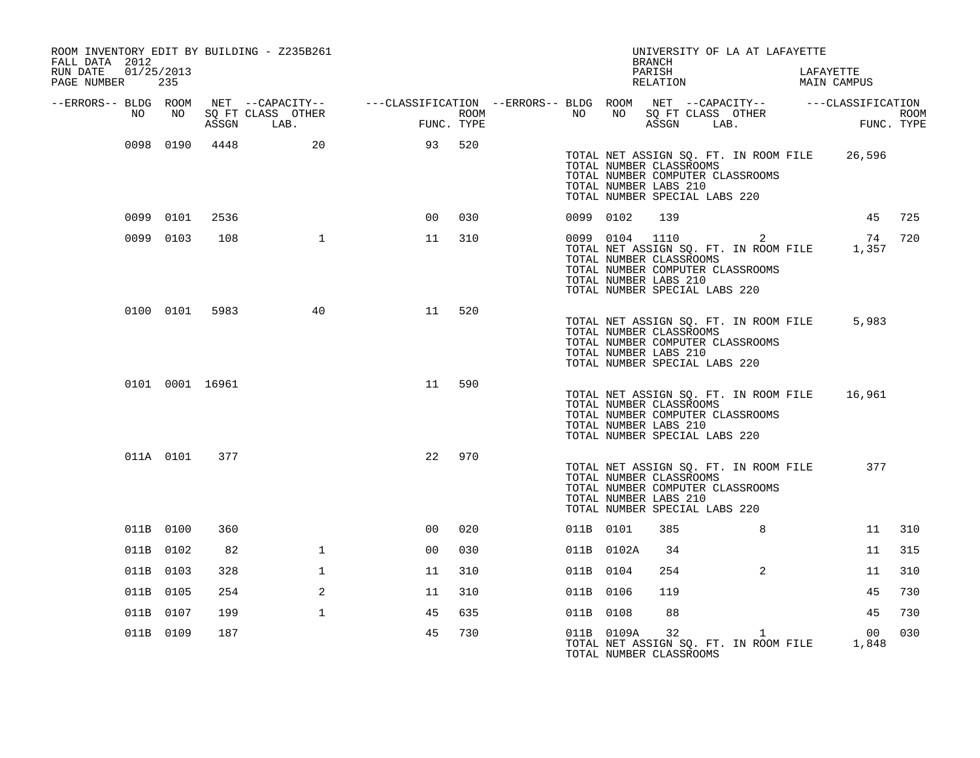| FALL DATA 2012          |            |           |                 | ROOM INVENTORY EDIT BY BUILDING - Z235B261 |                                                                                                                                                                       |     |           |                                                                                                     | <b>BRANCH</b>      | UNIVERSITY OF LA AT LAFAYETTE                                                  |                                                        |        |
|-------------------------|------------|-----------|-----------------|--------------------------------------------|-----------------------------------------------------------------------------------------------------------------------------------------------------------------------|-----|-----------|-----------------------------------------------------------------------------------------------------|--------------------|--------------------------------------------------------------------------------|--------------------------------------------------------|--------|
| RUN DATE<br>PAGE NUMBER | 01/25/2013 | 235       |                 |                                            |                                                                                                                                                                       |     |           |                                                                                                     | PARISH<br>RELATION |                                                                                | LAFAYETTE<br>MAIN CAMPUS                               |        |
| --ERRORS-- BLDG ROOM    | NO         | NO        | ASSGN           | LAB.                                       | NET --CAPACITY-- $---CLASSIFICATION --ERRORS-- BLDG ROOM$ NET $---CLASSIFICATION ROM$ NET $---CLASSIFICATION ROM$ NO SQ FT CLASS OTHER ROOM CLASS OTHER<br>FUNC. TYPE |     |           |                                                                                                     |                    |                                                                                | NO NO SOFT CLASS OTHER ROOM ROOM ASSGN LAB. FUNC. TYPE |        |
|                         |            |           |                 | 0098 0190 4448 20                          | 93 520                                                                                                                                                                |     |           | TOTAL NUMBER CLASSROOMS<br>TOTAL NUMBER LABS 210<br>TOTAL NUMBER SPECIAL LABS 220                   |                    | TOTAL NUMBER COMPUTER CLASSROOMS                                               | TOTAL NET ASSIGN SQ. FT. IN ROOM FILE 26,596           |        |
|                         |            | 0099 0101 | 2536            |                                            | 0 <sup>0</sup>                                                                                                                                                        | 030 |           | 0099 0102                                                                                           | 139                |                                                                                |                                                        | 45 725 |
|                         |            | 0099 0103 | 108             | $\mathbf{1}$                               | 11                                                                                                                                                                    | 310 |           | 0099 0104 1110<br>TOTAL NUMBER CLASSROOMS<br>TOTAL NUMBER LABS 210<br>TOTAL NUMBER SPECIAL LABS 220 |                    | 2<br>TOTAL NET ASSIGN SQ. FT. IN ROOM FILE<br>TOTAL NUMBER COMPUTER CLASSROOMS | 74<br>1,357                                            | 720    |
|                         |            |           | 0100 0101 5983  | 40                                         | 11                                                                                                                                                                    | 520 |           | TOTAL NUMBER CLASSROOMS<br>TOTAL NUMBER LABS 210<br>TOTAL NUMBER SPECIAL LABS 220                   |                    | TOTAL NET ASSIGN SQ. FT. IN ROOM FILE<br>TOTAL NUMBER COMPUTER CLASSROOMS      | 5,983                                                  |        |
|                         |            |           | 0101 0001 16961 |                                            | 11                                                                                                                                                                    | 590 |           | TOTAL NUMBER CLASSROOMS<br>TOTAL NUMBER LABS 210<br>TOTAL NUMBER SPECIAL LABS 220                   |                    | TOTAL NUMBER COMPUTER CLASSROOMS                                               | TOTAL NET ASSIGN SQ. FT. IN ROOM FILE 16,961           |        |
|                         |            | 011A 0101 | 377             |                                            | 22                                                                                                                                                                    | 970 |           | TOTAL NUMBER CLASSROOMS<br>TOTAL NUMBER LABS 210<br>TOTAL NUMBER SPECIAL LABS 220                   |                    | TOTAL NET ASSIGN SQ. FT. IN ROOM FILE<br>TOTAL NUMBER COMPUTER CLASSROOMS      | 377                                                    |        |
|                         | 011B 0100  |           | 360             |                                            | 0 <sup>0</sup>                                                                                                                                                        | 020 |           | 011B 0101                                                                                           | 385                | 8                                                                              | 11                                                     | 310    |
|                         |            | 011B 0102 | 82              | $\mathbf{1}$                               | 00                                                                                                                                                                    | 030 |           | 011B 0102A                                                                                          | 34                 |                                                                                | 11                                                     | 315    |
|                         | 011B 0103  |           | 328             | $\mathbf 1$                                | 11                                                                                                                                                                    | 310 | 011B 0104 |                                                                                                     | 254                | $\overline{2}$                                                                 | 11                                                     | 310    |
|                         | 011B 0105  |           | 254             | 2                                          | 11                                                                                                                                                                    | 310 | 011B 0106 |                                                                                                     | 119                |                                                                                | 45                                                     | 730    |
|                         | 011B 0107  |           | 199             | $\mathbf{1}$                               | 45                                                                                                                                                                    | 635 | 011B 0108 |                                                                                                     | 88                 |                                                                                | 45                                                     | 730    |
|                         | 011B 0109  |           | 187             |                                            | 45                                                                                                                                                                    | 730 |           | 011B 0109A 32<br>TOTAL NUMBER CLASSROOMS                                                            |                    | $\mathbf{1}$<br>TOTAL NET ASSIGN SQ. FT. IN ROOM FILE                          | 00<br>1,848                                            | 030    |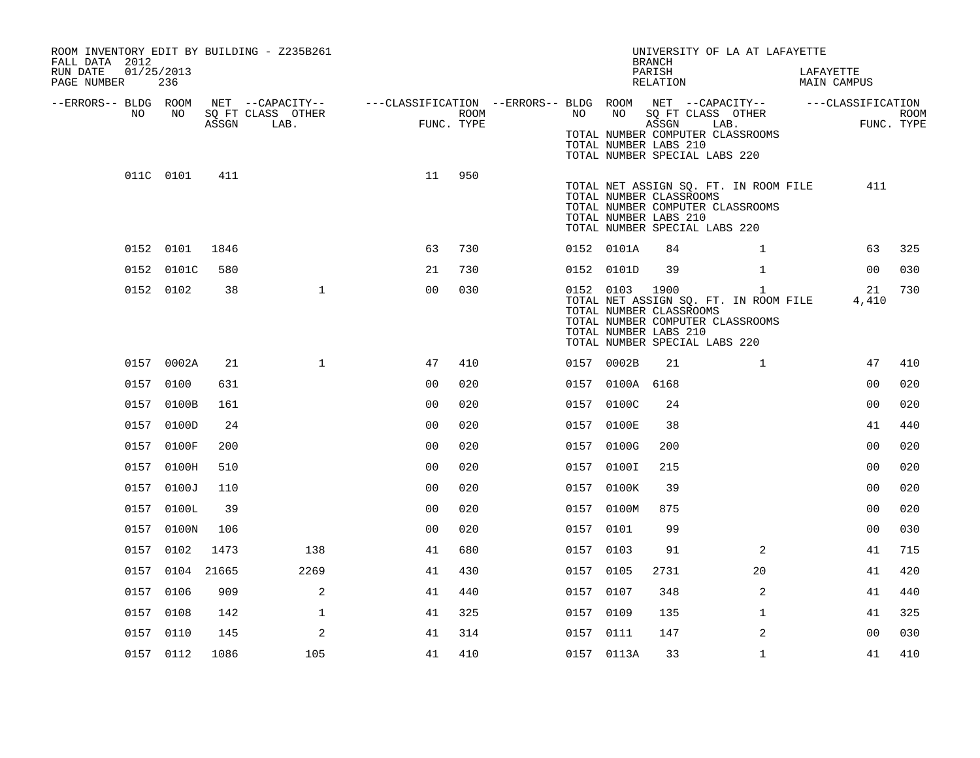| ROOM INVENTORY EDIT BY BUILDING - Z235B261<br>FALL DATA 2012 |                   |       |                           |                                                                                                             |      |           |                 | UNIVERSITY OF LA AT LAFAYETTE<br><b>BRANCH</b>                                                                                                                 |              |                          |      |
|--------------------------------------------------------------|-------------------|-------|---------------------------|-------------------------------------------------------------------------------------------------------------|------|-----------|-----------------|----------------------------------------------------------------------------------------------------------------------------------------------------------------|--------------|--------------------------|------|
| RUN DATE<br>PAGE NUMBER                                      | 01/25/2013<br>236 |       |                           |                                                                                                             |      |           |                 | PARISH<br>RELATION                                                                                                                                             |              | LAFAYETTE<br>MAIN CAMPUS |      |
| --ERRORS-- BLDG ROOM<br>NO                                   | NO.               | ASSGN | SQ FT CLASS OTHER<br>LAB. | NET --CAPACITY-- ----CLASSIFICATION --ERRORS-- BLDG ROOM NET --CAPACITY-- -----CLASSIFICATION<br>FUNC. TYPE | ROOM | NO        | NO              | SQ FT CLASS OTHER<br>ASSGN                                                                                                                                     | LAB.         | FUNC. TYPE               | ROOM |
|                                                              |                   |       |                           |                                                                                                             |      |           |                 | TOTAL NUMBER COMPUTER CLASSROOMS<br>TOTAL NUMBER LABS 210<br>TOTAL NUMBER SPECIAL LABS 220                                                                     |              |                          |      |
|                                                              | 011C 0101         | 411   |                           | 11                                                                                                          | 950  |           |                 | TOTAL NET ASSIGN SQ. FT. IN ROOM FILE<br>TOTAL NUMBER CLASSROOMS<br>TOTAL NUMBER COMPUTER CLASSROOMS<br>TOTAL NUMBER LABS 210<br>TOTAL NUMBER SPECIAL LABS 220 |              | 411                      |      |
|                                                              | 0152 0101         | 1846  |                           | 63                                                                                                          | 730  |           | 0152 0101A      | 84                                                                                                                                                             | $\mathbf{1}$ | 63                       | 325  |
|                                                              | 0152 0101C        | 580   |                           | 21                                                                                                          | 730  |           | 0152 0101D      | 39                                                                                                                                                             | $\mathbf{1}$ | 0 <sub>0</sub>           | 030  |
|                                                              | 0152 0102         | 38    | $\mathbf{1}$              | 0 <sub>0</sub>                                                                                              | 030  |           | 0152 0103 1900  | TOTAL NET ASSIGN SQ. FT. IN ROOM FILE<br>TOTAL NUMBER CLASSROOMS<br>TOTAL NUMBER COMPUTER CLASSROOMS<br>TOTAL NUMBER LABS 210<br>TOTAL NUMBER SPECIAL LABS 220 | $\mathbf{1}$ | 21<br>4,410              | 730  |
|                                                              | 0157 0002A        | 21    | $\mathbf{1}$              | 47                                                                                                          | 410  |           | 0157 0002B      | 21                                                                                                                                                             | $\mathbf{1}$ | 47                       | 410  |
|                                                              | 0157 0100         | 631   |                           | 0 <sub>0</sub>                                                                                              | 020  |           | 0157 0100A 6168 |                                                                                                                                                                |              | 0 <sub>0</sub>           | 020  |
|                                                              | 0157 0100B        | 161   |                           | 0 <sub>0</sub>                                                                                              | 020  |           | 0157 0100C      | 24                                                                                                                                                             |              | 0 <sub>0</sub>           | 020  |
|                                                              | 0157 0100D        | 24    |                           | 0 <sub>0</sub>                                                                                              | 020  |           | 0157 0100E      | 38                                                                                                                                                             |              | 41                       | 440  |
|                                                              | 0157 0100F        | 200   |                           | 0 <sub>0</sub>                                                                                              | 020  |           | 0157 0100G      | 200                                                                                                                                                            |              | 0 <sub>0</sub>           | 020  |
|                                                              | 0157 0100H        | 510   |                           | 0 <sub>0</sub>                                                                                              | 020  |           | 0157 0100I      | 215                                                                                                                                                            |              | 0 <sub>0</sub>           | 020  |
|                                                              | 0157 0100J        | 110   |                           | 0 <sub>0</sub>                                                                                              | 020  |           | 0157 0100K      | 39                                                                                                                                                             |              | 0 <sub>0</sub>           | 020  |
|                                                              | 0157 0100L        | 39    |                           | 0 <sub>0</sub>                                                                                              | 020  |           | 0157 0100M      | 875                                                                                                                                                            |              | 0 <sub>0</sub>           | 020  |
|                                                              | 0157 0100N        | 106   |                           | 0 <sub>0</sub>                                                                                              | 020  | 0157 0101 |                 | 99                                                                                                                                                             |              | 0 <sub>0</sub>           | 030  |
|                                                              | 0157 0102         | 1473  | 138                       | 41                                                                                                          | 680  | 0157 0103 |                 | 91                                                                                                                                                             | 2            | 41                       | 715  |
|                                                              | 0157 0104 21665   |       | 2269                      | 41                                                                                                          | 430  | 0157 0105 |                 | 2731                                                                                                                                                           | 20           | 41                       | 420  |
|                                                              | 0157 0106         | 909   | 2                         | 41                                                                                                          | 440  | 0157 0107 |                 | 348                                                                                                                                                            | 2            | 41                       | 440  |
|                                                              | 0157 0108         | 142   | $\mathbf{1}$              | 41                                                                                                          | 325  | 0157 0109 |                 | 135                                                                                                                                                            | $\mathbf{1}$ | 41                       | 325  |
|                                                              | 0157 0110         | 145   | 2                         | 41                                                                                                          | 314  | 0157 0111 |                 | 147                                                                                                                                                            | 2            | 0 <sub>0</sub>           | 030  |
|                                                              | 0157 0112         | 1086  | 105                       | 41                                                                                                          | 410  |           | 0157 0113A      | 33                                                                                                                                                             | $\mathbf{1}$ | 41                       | 410  |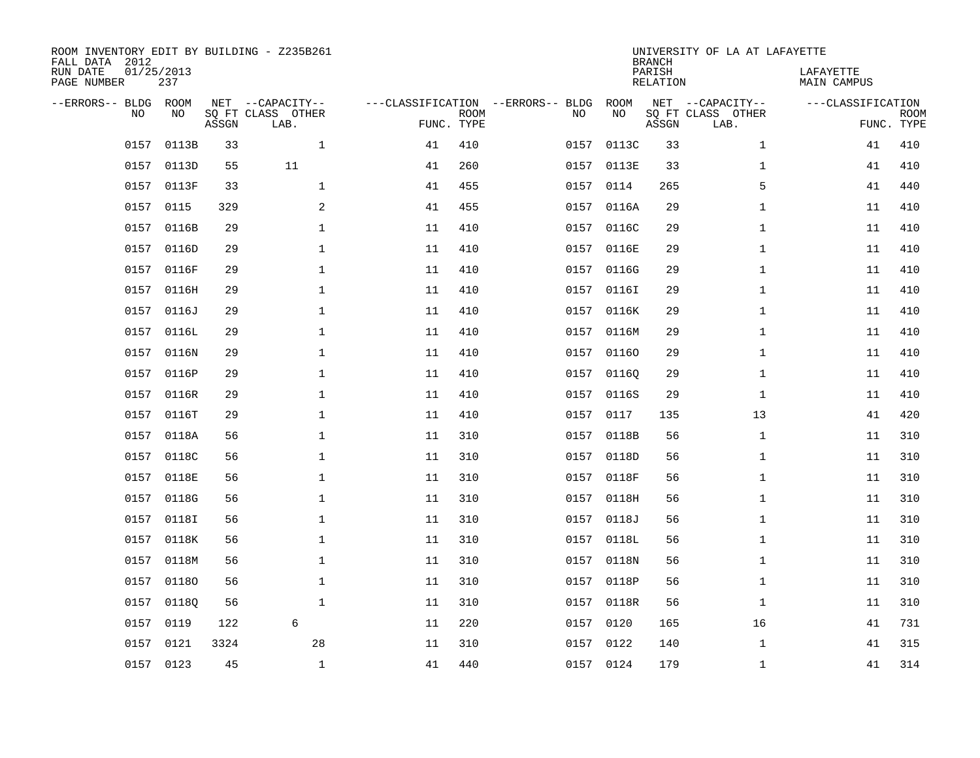| ROOM INVENTORY EDIT BY BUILDING - Z235B261<br>FALL DATA 2012<br>RUN DATE<br>PAGE NUMBER | 01/25/2013<br>237 |       |                                       |    |             |                                         |            | <b>BRANCH</b><br>PARISH<br><b>RELATION</b> | UNIVERSITY OF LA AT LAFAYETTE         | LAFAYETTE<br>MAIN CAMPUS |             |
|-----------------------------------------------------------------------------------------|-------------------|-------|---------------------------------------|----|-------------|-----------------------------------------|------------|--------------------------------------------|---------------------------------------|--------------------------|-------------|
|                                                                                         |                   |       |                                       |    |             |                                         |            |                                            |                                       |                          |             |
| --ERRORS-- BLDG<br>NO                                                                   | ROOM<br>NO.       |       | NET --CAPACITY--<br>SO FT CLASS OTHER |    | <b>ROOM</b> | ---CLASSIFICATION --ERRORS-- BLDG<br>NO | ROOM<br>NO |                                            | NET --CAPACITY--<br>SO FT CLASS OTHER | ---CLASSIFICATION        | <b>ROOM</b> |
|                                                                                         |                   | ASSGN | LAB.                                  |    | FUNC. TYPE  |                                         |            | ASSGN                                      | LAB.                                  |                          | FUNC. TYPE  |
| 0157                                                                                    | 0113B             | 33    | $\mathbf{1}$                          | 41 | 410         | 0157                                    | 0113C      | 33                                         | $\mathbf{1}$                          | 41                       | 410         |
| 0157                                                                                    | 0113D             | 55    | 11                                    | 41 | 260         |                                         | 0157 0113E | 33                                         | $\mathbf{1}$                          | 41                       | 410         |
| 0157                                                                                    | 0113F             | 33    | $\mathbf{1}$                          | 41 | 455         | 0157                                    | 0114       | 265                                        | 5                                     | 41                       | 440         |
| 0157                                                                                    | 0115              | 329   | $\overline{a}$                        | 41 | 455         |                                         | 0157 0116A | 29                                         | $\mathbf{1}$                          | 11                       | 410         |
| 0157                                                                                    | 0116B             | 29    | $\mathbf 1$                           | 11 | 410         | 0157                                    | 0116C      | 29                                         | $\mathbf{1}$                          | 11                       | 410         |
| 0157                                                                                    | 0116D             | 29    | $\mathbf 1$                           | 11 | 410         |                                         | 0157 0116E | 29                                         | $\mathbf{1}$                          | 11                       | 410         |
| 0157                                                                                    | 0116F             | 29    | $\mathbf{1}$                          | 11 | 410         | 0157                                    | 0116G      | 29                                         | $\mathbf{1}$                          | 11                       | 410         |
|                                                                                         | 0157 0116H        | 29    | $\mathbf 1$                           | 11 | 410         |                                         | 0157 0116I | 29                                         | $\mathbf{1}$                          | 11                       | 410         |
|                                                                                         | 0157 0116J        | 29    | $\mathbf{1}$                          | 11 | 410         | 0157                                    | 0116K      | 29                                         | $\mathbf{1}$                          | 11                       | 410         |
|                                                                                         | 0157 0116L        | 29    | $\mathbf 1$                           | 11 | 410         |                                         | 0157 0116M | 29                                         | $\mathbf{1}$                          | 11                       | 410         |
| 0157                                                                                    | 0116N             | 29    | $\mathbf{1}$                          | 11 | 410         | 0157                                    | 01160      | 29                                         | $\mathbf{1}$                          | 11                       | 410         |
|                                                                                         | 0157 0116P        | 29    | $\mathbf{1}$                          | 11 | 410         |                                         | 0157 01160 | 29                                         | $\mathbf{1}$                          | 11                       | 410         |
| 0157                                                                                    | 0116R             | 29    | $\mathbf{1}$                          | 11 | 410         | 0157                                    | 0116S      | 29                                         | $\mathbf{1}$                          | 11                       | 410         |
|                                                                                         | 0157 0116T        | 29    | $\mathbf 1$                           | 11 | 410         |                                         | 0157 0117  | 135                                        | 13                                    | 41                       | 420         |
|                                                                                         | 0157 0118A        | 56    | $\mathbf{1}$                          | 11 | 310         | 0157                                    | 0118B      | 56                                         | $\mathbf{1}$                          | 11                       | 310         |
|                                                                                         | 0157 0118C        | 56    | $\mathbf 1$                           | 11 | 310         |                                         | 0157 0118D | 56                                         | $\mathbf{1}$                          | 11                       | 310         |
| 0157                                                                                    | 0118E             | 56    | $\mathbf 1$                           | 11 | 310         | 0157                                    | 0118F      | 56                                         | $\mathbf{1}$                          | 11                       | 310         |
|                                                                                         | 0157 0118G        | 56    | $\mathbf 1$                           | 11 | 310         |                                         | 0157 0118H | 56                                         | $\mathbf{1}$                          | 11                       | 310         |
| 0157                                                                                    | 0118I             | 56    | $\mathbf 1$                           | 11 | 310         | 0157                                    | 0118J      | 56                                         | $\mathbf{1}$                          | 11                       | 310         |
|                                                                                         | 0157 0118K        | 56    | $\mathbf 1$                           | 11 | 310         |                                         | 0157 0118L | 56                                         | $\mathbf{1}$                          | 11                       | 310         |
| 0157                                                                                    | 0118M             | 56    | $\mathbf 1$                           | 11 | 310         | 0157                                    | 0118N      | 56                                         | $\mathbf{1}$                          | 11                       | 310         |
| 0157                                                                                    | 01180             | 56    | $\mathbf 1$                           | 11 | 310         |                                         | 0157 0118P | 56                                         | $\mathbf{1}$                          | 11                       | 310         |
| 0157                                                                                    | 01180             | 56    | $\mathbf 1$                           | 11 | 310         | 0157                                    | 0118R      | 56                                         | $\mathbf{1}$                          | 11                       | 310         |
| 0157                                                                                    | 0119              | 122   | 6                                     | 11 | 220         | 0157                                    | 0120       | 165                                        | 16                                    | 41                       | 731         |
| 0157                                                                                    | 0121              | 3324  | 28                                    | 11 | 310         | 0157                                    | 0122       | 140                                        | $\mathbf{1}$                          | 41                       | 315         |
|                                                                                         | 0157 0123         | 45    | $\mathbf 1$                           | 41 | 440         |                                         | 0157 0124  | 179                                        | $\mathbf{1}$                          | 41                       | 314         |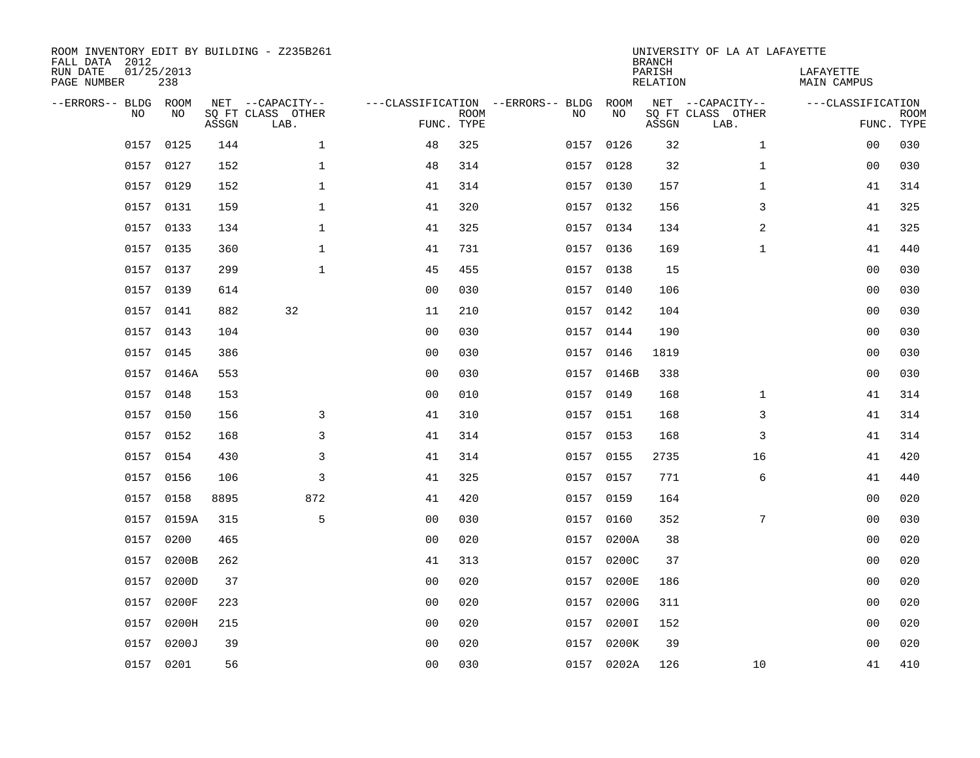| FALL DATA 2012<br>RUN DATE<br>PAGE NUMBER |           | 01/25/2013<br>238 |       | ROOM INVENTORY EDIT BY BUILDING - Z235B261    |                                                      |             |           |            | <b>BRANCH</b><br>PARISH<br>RELATION | UNIVERSITY OF LA AT LAFAYETTE                 | LAFAYETTE<br>MAIN CAMPUS        |             |
|-------------------------------------------|-----------|-------------------|-------|-----------------------------------------------|------------------------------------------------------|-------------|-----------|------------|-------------------------------------|-----------------------------------------------|---------------------------------|-------------|
| --ERRORS-- BLDG ROOM                      | <b>NO</b> | NO.               | ASSGN | NET --CAPACITY--<br>SQ FT CLASS OTHER<br>LAB. | ---CLASSIFICATION --ERRORS-- BLDG ROOM<br>FUNC. TYPE | <b>ROOM</b> | NO.       | NO         | ASSGN                               | NET --CAPACITY--<br>SQ FT CLASS OTHER<br>LAB. | ---CLASSIFICATION<br>FUNC. TYPE | <b>ROOM</b> |
|                                           | 0157      | 0125              | 144   | $\mathbf{1}$                                  | 48                                                   | 325         | 0157      | 0126       | 32                                  | $\mathbf{1}$                                  | 0 <sub>0</sub>                  | 030         |
|                                           |           | 0157 0127         | 152   | $\mathbf{1}$                                  | 48                                                   | 314         | 0157 0128 |            | 32                                  | $\mathbf{1}$                                  | 0 <sub>0</sub>                  | 030         |
|                                           | 0157      | 0129              | 152   | $\mathbf{1}$                                  | 41                                                   | 314         | 0157      | 0130       | 157                                 | $\mathbf{1}$                                  | 41                              | 314         |
|                                           |           | 0157 0131         | 159   | $\mathbf{1}$                                  | 41                                                   | 320         | 0157 0132 |            | 156                                 | 3                                             | 41                              | 325         |
|                                           |           | 0157 0133         | 134   | $\mathbf{1}$                                  | 41                                                   | 325         | 0157      | 0134       | 134                                 | 2                                             | 41                              | 325         |
|                                           |           | 0157 0135         | 360   | $\mathbf 1$                                   | 41                                                   | 731         | 0157 0136 |            | 169                                 | $\mathbf{1}$                                  | 41                              | 440         |
|                                           |           | 0157 0137         | 299   | $\mathbf{1}$                                  | 45                                                   | 455         | 0157 0138 |            | 15                                  |                                               | 0 <sub>0</sub>                  | 030         |
|                                           |           | 0157 0139         | 614   |                                               | 0 <sub>0</sub>                                       | 030         | 0157 0140 |            | 106                                 |                                               | 00                              | 030         |
|                                           |           | 0157 0141         | 882   | 32                                            | 11                                                   | 210         | 0157 0142 |            | 104                                 |                                               | 00                              | 030         |
|                                           |           | 0157 0143         | 104   |                                               | 0 <sub>0</sub>                                       | 030         | 0157 0144 |            | 190                                 |                                               | 00                              | 030         |
|                                           |           | 0157 0145         | 386   |                                               | 0 <sub>0</sub>                                       | 030         | 0157 0146 |            | 1819                                |                                               | 0 <sub>0</sub>                  | 030         |
|                                           |           | 0157 0146A        | 553   |                                               | 0 <sub>0</sub>                                       | 030         |           | 0157 0146B | 338                                 |                                               | 0 <sub>0</sub>                  | 030         |
|                                           | 0157      | 0148              | 153   |                                               | 0 <sub>0</sub>                                       | 010         | 0157      | 0149       | 168                                 | $\mathbf{1}$                                  | 41                              | 314         |
|                                           |           | 0157 0150         | 156   | 3                                             | 41                                                   | 310         |           | 0157 0151  | 168                                 | 3                                             | 41                              | 314         |
|                                           | 0157      | 0152              | 168   | 3                                             | 41                                                   | 314         | 0157 0153 |            | 168                                 | 3                                             | 41                              | 314         |
|                                           | 0157      | 0154              | 430   | 3                                             | 41                                                   | 314         | 0157 0155 |            | 2735                                | 16                                            | 41                              | 420         |
|                                           |           | 0157 0156         | 106   | 3                                             | 41                                                   | 325         | 0157 0157 |            | 771                                 | 6                                             | 41                              | 440         |
|                                           | 0157      | 0158              | 8895  | 872                                           | 41                                                   | 420         | 0157 0159 |            | 164                                 |                                               | 00                              | 020         |
|                                           |           | 0157 0159A        | 315   | 5                                             | 0 <sub>0</sub>                                       | 030         | 0157 0160 |            | 352                                 | 7                                             | 00                              | 030         |
|                                           | 0157      | 0200              | 465   |                                               | 0 <sub>0</sub>                                       | 020         |           | 0157 0200A | 38                                  |                                               | 00                              | 020         |
|                                           | 0157      | 0200B             | 262   |                                               | 41                                                   | 313         |           | 0157 0200C | 37                                  |                                               | 00                              | 020         |
|                                           | 0157      | 0200D             | 37    |                                               | 0 <sub>0</sub>                                       | 020         | 0157      | 0200E      | 186                                 |                                               | 0 <sub>0</sub>                  | 020         |
|                                           | 0157      | 0200F             | 223   |                                               | 0 <sub>0</sub>                                       | 020         | 0157      | 0200G      | 311                                 |                                               | 0 <sub>0</sub>                  | 020         |
|                                           | 0157      | 0200H             | 215   |                                               | 0 <sub>0</sub>                                       | 020         | 0157      | 0200I      | 152                                 |                                               | 0 <sub>0</sub>                  | 020         |
|                                           | 0157      | 0200J             | 39    |                                               | 0 <sub>0</sub>                                       | 020         | 0157      | 0200K      | 39                                  |                                               | 0 <sub>0</sub>                  | 020         |
|                                           |           | 0157 0201         | 56    |                                               | 0 <sub>0</sub>                                       | 030         |           | 0157 0202A | 126                                 | 10                                            | 41                              | 410         |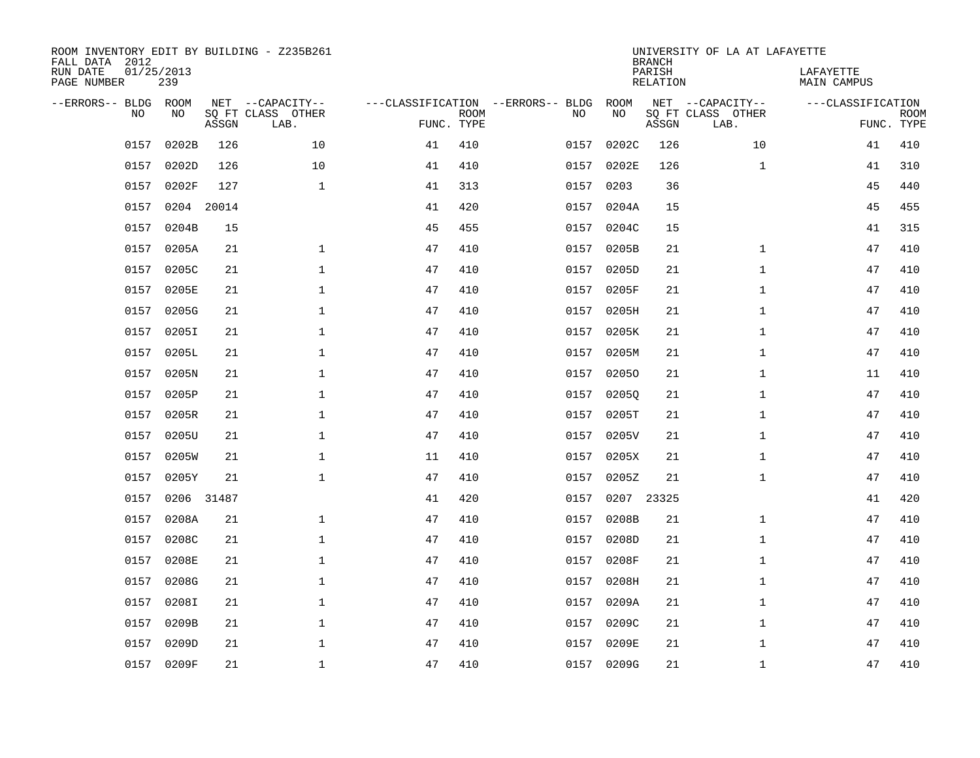| ROOM INVENTORY EDIT BY BUILDING - Z235B261<br>FALL DATA 2012<br>RUN DATE<br>PAGE NUMBER | 01/25/2013<br>239 |            |                                               |                                                 |             |      |            | <b>BRANCH</b><br>PARISH<br>RELATION | UNIVERSITY OF LA AT LAFAYETTE                 | LAFAYETTE<br>MAIN CAMPUS |                           |
|-----------------------------------------------------------------------------------------|-------------------|------------|-----------------------------------------------|-------------------------------------------------|-------------|------|------------|-------------------------------------|-----------------------------------------------|--------------------------|---------------------------|
| --ERRORS-- BLDG<br><b>NO</b>                                                            | ROOM<br>NO.       | ASSGN      | NET --CAPACITY--<br>SO FT CLASS OTHER<br>LAB. | ---CLASSIFICATION --ERRORS-- BLDG<br>FUNC. TYPE | <b>ROOM</b> | NO   | ROOM<br>NO | ASSGN                               | NET --CAPACITY--<br>SQ FT CLASS OTHER<br>LAB. | ---CLASSIFICATION        | <b>ROOM</b><br>FUNC. TYPE |
| 0157                                                                                    | 0202B             | 126        | 10                                            | 41                                              | 410         | 0157 | 0202C      | 126                                 | 10                                            | 41                       | 410                       |
| 0157                                                                                    | 0202D             | 126        | 10                                            | 41                                              | 410         | 0157 | 0202E      | 126                                 | $\mathbf{1}$                                  | 41                       | 310                       |
| 0157                                                                                    | 0202F             | 127        | $\mathbf 1$                                   | 41                                              | 313         | 0157 | 0203       | 36                                  |                                               | 45                       | 440                       |
|                                                                                         | 0157 0204 20014   |            |                                               | 41                                              | 420         |      | 0157 0204A | 15                                  |                                               | 45                       | 455                       |
| 0157                                                                                    | 0204B             | 15         |                                               | 45                                              | 455         | 0157 | 0204C      | 15                                  |                                               | 41                       | 315                       |
|                                                                                         | 0157 0205A        | 21         | $\mathbf{1}$                                  | 47                                              | 410         |      | 0157 0205B | 21                                  | $\mathbf{1}$                                  | 47                       | 410                       |
|                                                                                         | 0157 0205C        | 21         | $\mathbf{1}$                                  | 47                                              | 410         | 0157 | 0205D      | 21                                  | $\mathbf{1}$                                  | 47                       | 410                       |
|                                                                                         | 0157 0205E        | 21         | $\mathbf 1$                                   | 47                                              | 410         |      | 0157 0205F | 21                                  | $\mathbf{1}$                                  | 47                       | 410                       |
| 0157                                                                                    | 0205G             | 21         | $\mathbf{1}$                                  | 47                                              | 410         | 0157 | 0205H      | 21                                  | $\mathbf{1}$                                  | 47                       | 410                       |
|                                                                                         | 0157 0205I        | 21         | $\mathbf 1$                                   | 47                                              | 410         |      | 0157 0205K | 21                                  | $\mathbf{1}$                                  | 47                       | 410                       |
| 0157                                                                                    | 0205L             | 21         | $\mathbf 1$                                   | 47                                              | 410         | 0157 | 0205M      | 21                                  | $\mathbf{1}$                                  | 47                       | 410                       |
|                                                                                         | 0157 0205N        | 21         | $\mathbf 1$                                   | 47                                              | 410         |      | 0157 02050 | 21                                  | $\mathbf{1}$                                  | 11                       | 410                       |
| 0157                                                                                    | 0205P             | 21         | $\mathbf 1$                                   | 47                                              | 410         | 0157 | 02050      | 21                                  | $\mathbf{1}$                                  | 47                       | 410                       |
| 0157                                                                                    | 0205R             | 21         | $\mathbf 1$                                   | 47                                              | 410         | 0157 | 0205T      | 21                                  | $\mathbf{1}$                                  | 47                       | 410                       |
| 0157                                                                                    | 0205U             | 21         | $\mathbf 1$                                   | 47                                              | 410         | 0157 | 0205V      | 21                                  | $\mathbf{1}$                                  | 47                       | 410                       |
| 0157                                                                                    | 0205W             | 21         | $\mathbf 1$                                   | 11                                              | 410         | 0157 | 0205X      | 21                                  | $\mathbf{1}$                                  | 47                       | 410                       |
| 0157                                                                                    | 0205Y             | 21         | $\mathbf{1}$                                  | 47                                              | 410         | 0157 | 0205Z      | 21                                  | $\mathbf{1}$                                  | 47                       | 410                       |
| 0157                                                                                    |                   | 0206 31487 |                                               | 41                                              | 420         | 0157 | 0207 23325 |                                     |                                               | 41                       | 420                       |
| 0157                                                                                    | 0208A             | 21         | $\mathbf{1}$                                  | 47                                              | 410         | 0157 | 0208B      | 21                                  | $\mathbf{1}$                                  | 47                       | 410                       |
| 0157                                                                                    | 0208C             | 21         | $\mathbf{1}$                                  | 47                                              | 410         | 0157 | 0208D      | 21                                  | $\mathbf{1}$                                  | 47                       | 410                       |
| 0157                                                                                    | 0208E             | 21         | $\mathbf{1}$                                  | 47                                              | 410         | 0157 | 0208F      | 21                                  | $\mathbf{1}$                                  | 47                       | 410                       |
| 0157                                                                                    | 0208G             | 21         | $\mathbf{1}$                                  | 47                                              | 410         | 0157 | 0208H      | 21                                  | $\mathbf{1}$                                  | 47                       | 410                       |
| 0157                                                                                    | 0208I             | 21         | $\mathbf{1}$                                  | 47                                              | 410         | 0157 | 0209A      | 21                                  | $\mathbf{1}$                                  | 47                       | 410                       |
| 0157                                                                                    | 0209B             | 21         | $\mathbf{1}$                                  | 47                                              | 410         | 0157 | 0209C      | 21                                  | $\mathbf{1}$                                  | 47                       | 410                       |
| 0157                                                                                    | 0209D             | 21         | 1                                             | 47                                              | 410         | 0157 | 0209E      | 21                                  | $\mathbf{1}$                                  | 47                       | 410                       |
|                                                                                         | 0157 0209F        | 21         | $\mathbf 1$                                   | 47                                              | 410         |      | 0157 0209G | 21                                  | $\mathbf{1}$                                  | 47                       | 410                       |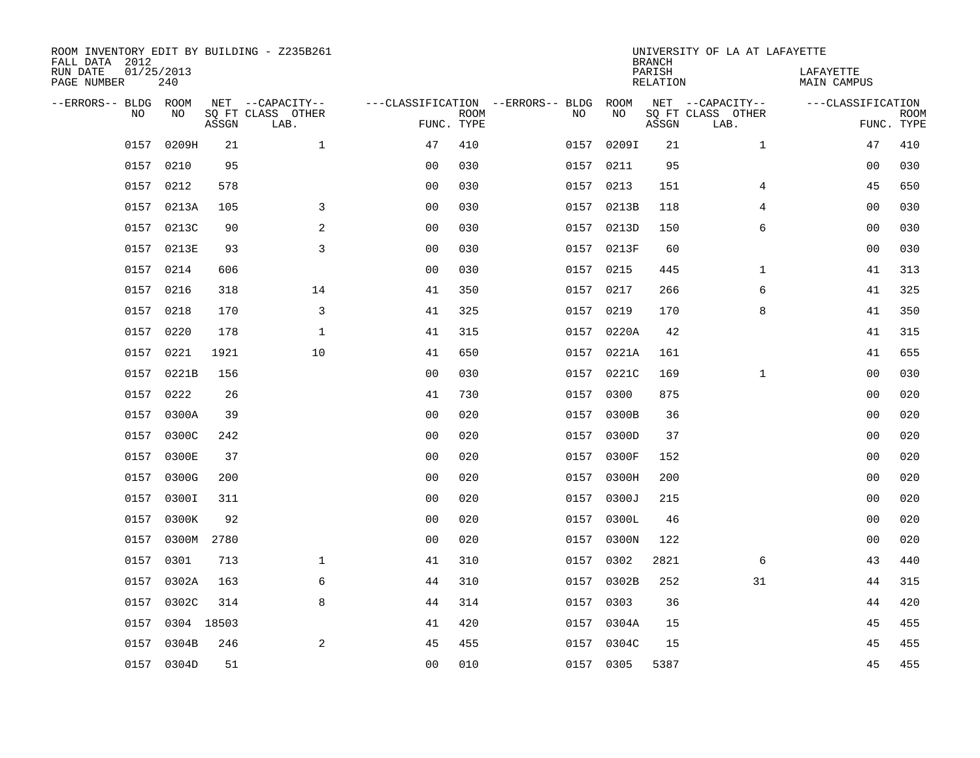| ROOM INVENTORY EDIT BY BUILDING - Z235B261<br>FALL DATA 2012 |                   |       |                           |                |             |                                        |            | <b>BRANCH</b>             | UNIVERSITY OF LA AT LAFAYETTE |                                 |             |
|--------------------------------------------------------------|-------------------|-------|---------------------------|----------------|-------------|----------------------------------------|------------|---------------------------|-------------------------------|---------------------------------|-------------|
| RUN DATE<br>PAGE NUMBER                                      | 01/25/2013<br>240 |       |                           |                |             |                                        |            | PARISH<br><b>RELATION</b> |                               | LAFAYETTE<br><b>MAIN CAMPUS</b> |             |
| --ERRORS-- BLDG ROOM                                         |                   |       | NET --CAPACITY--          |                |             | ---CLASSIFICATION --ERRORS-- BLDG ROOM |            |                           | NET --CAPACITY--              | ---CLASSIFICATION               |             |
| NO                                                           | NO                | ASSGN | SQ FT CLASS OTHER<br>LAB. | FUNC. TYPE     | <b>ROOM</b> | NO                                     | NO         | ASSGN                     | SQ FT CLASS OTHER<br>LAB.     | FUNC. TYPE                      | <b>ROOM</b> |
| 0157                                                         | 0209H             | 21    | $\mathbf 1$               | 47             | 410         | 0157                                   | 0209I      | 21                        | $\mathbf{1}$                  | 47                              | 410         |
| 0157                                                         | 0210              | 95    |                           | 0 <sub>0</sub> | 030         |                                        | 0157 0211  | 95                        |                               | 00                              | 030         |
| 0157                                                         | 0212              | 578   |                           | 0 <sub>0</sub> | 030         | 0157                                   | 0213       | 151                       | 4                             | 45                              | 650         |
|                                                              | 0157 0213A        | 105   | 3                         | 0 <sub>0</sub> | 030         |                                        | 0157 0213B | 118                       | 4                             | 0 <sub>0</sub>                  | 030         |
| 0157                                                         | 0213C             | 90    | 2                         | 0 <sub>0</sub> | 030         | 0157                                   | 0213D      | 150                       | 6                             | 0 <sub>0</sub>                  | 030         |
|                                                              | 0157 0213E        | 93    | $\overline{3}$            | 0 <sub>0</sub> | 030         |                                        | 0157 0213F | 60                        |                               | 0 <sub>0</sub>                  | 030         |
| 0157                                                         | 0214              | 606   |                           | 0 <sub>0</sub> | 030         | 0157                                   | 0215       | 445                       | $\mathbf{1}$                  | 41                              | 313         |
|                                                              | 0157 0216         | 318   | 14                        | 41             | 350         |                                        | 0157 0217  | 266                       | 6                             | 41                              | 325         |
|                                                              | 0157 0218         | 170   | 3                         | 41             | 325         | 0157                                   | 0219       | 170                       | 8                             | 41                              | 350         |
|                                                              | 0157 0220         | 178   | $\mathbf{1}$              | 41             | 315         |                                        | 0157 0220A | 42                        |                               | 41                              | 315         |
|                                                              | 0157 0221         | 1921  | 10                        | 41             | 650         |                                        | 0157 0221A | 161                       |                               | 41                              | 655         |
|                                                              | 0157 0221B        | 156   |                           | 0 <sub>0</sub> | 030         |                                        | 0157 0221C | 169                       | $\mathbf{1}$                  | 0 <sub>0</sub>                  | 030         |
|                                                              | 0157 0222         | 26    |                           | 41             | 730         | 0157                                   | 0300       | 875                       |                               | 00                              | 020         |
|                                                              | 0157 0300A        | 39    |                           | 0 <sub>0</sub> | 020         |                                        | 0157 0300B | 36                        |                               | 00                              | 020         |
| 0157                                                         | 0300C             | 242   |                           | 0 <sub>0</sub> | 020         | 0157                                   | 0300D      | 37                        |                               | 0 <sub>0</sub>                  | 020         |
| 0157                                                         | 0300E             | 37    |                           | 0 <sub>0</sub> | 020         |                                        | 0157 0300F | 152                       |                               | 0 <sub>0</sub>                  | 020         |
| 0157                                                         | 0300G             | 200   |                           | 0 <sub>0</sub> | 020         | 0157                                   | 0300H      | 200                       |                               | 0 <sub>0</sub>                  | 020         |
| 0157                                                         | 0300I             | 311   |                           | 0 <sub>0</sub> | 020         | 0157                                   | 0300J      | 215                       |                               | 0 <sub>0</sub>                  | 020         |
|                                                              | 0157 0300K        | 92    |                           | 0 <sub>0</sub> | 020         |                                        | 0157 0300L | 46                        |                               | 0 <sub>0</sub>                  | 020         |
| 0157                                                         | 0300M 2780        |       |                           | 0 <sub>0</sub> | 020         |                                        | 0157 0300N | 122                       |                               | 0 <sub>0</sub>                  | 020         |
| 0157                                                         | 0301              | 713   | $\mathbf 1$               | 41             | 310         |                                        | 0157 0302  | 2821                      | 6                             | 43                              | 440         |
| 0157                                                         | 0302A             | 163   | 6                         | 44             | 310         | 0157                                   | 0302B      | 252                       | 31                            | 44                              | 315         |
| 0157                                                         | 0302C             | 314   | 8                         | 44             | 314         |                                        | 0157 0303  | 36                        |                               | 44                              | 420         |
| 0157                                                         | 0304 18503        |       |                           | 41             | 420         |                                        | 0157 0304A | 15                        |                               | 45                              | 455         |
| 0157                                                         | 0304B             | 246   | 2                         | 45             | 455         |                                        | 0157 0304C | 15                        |                               | 45                              | 455         |
|                                                              | 0157 0304D        | 51    |                           | 0 <sub>0</sub> | 010         |                                        | 0157 0305  | 5387                      |                               | 45                              | 455         |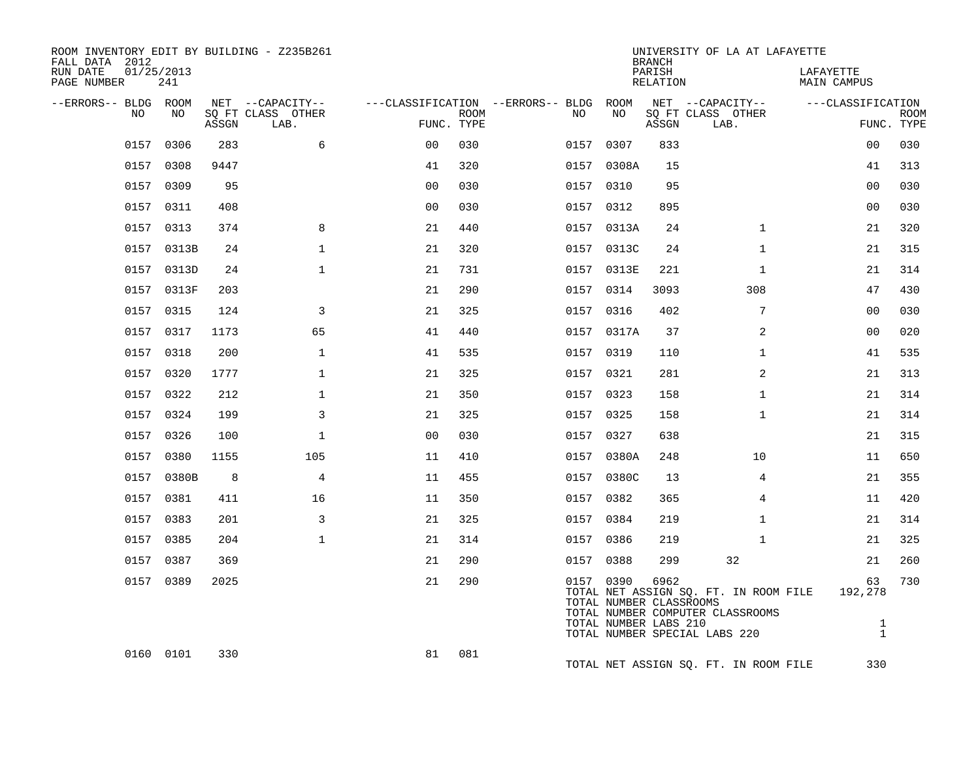| ROOM INVENTORY EDIT BY BUILDING - Z235B261<br>FALL DATA 2012<br>RUN DATE<br>PAGE NUMBER | 01/25/2013<br>241 |       |                                               |                                                      |             |           |                                                  | <b>BRANCH</b><br>PARISH<br>RELATION | UNIVERSITY OF LA AT LAFAYETTE                                                                              | LAFAYETTE<br>MAIN CAMPUS                      |                           |
|-----------------------------------------------------------------------------------------|-------------------|-------|-----------------------------------------------|------------------------------------------------------|-------------|-----------|--------------------------------------------------|-------------------------------------|------------------------------------------------------------------------------------------------------------|-----------------------------------------------|---------------------------|
| --ERRORS-- BLDG ROOM<br>NO.                                                             | NO.               | ASSGN | NET --CAPACITY--<br>SO FT CLASS OTHER<br>LAB. | ---CLASSIFICATION --ERRORS-- BLDG ROOM<br>FUNC. TYPE | <b>ROOM</b> | NO        | NO                                               | ASSGN                               | NET --CAPACITY--<br>SQ FT CLASS OTHER<br>LAB.                                                              | ---CLASSIFICATION                             | <b>ROOM</b><br>FUNC. TYPE |
| 0157                                                                                    | 0306              | 283   | 6                                             | 0 <sub>0</sub>                                       | 030         | 0157      | 0307                                             | 833                                 |                                                                                                            | 00                                            | 030                       |
| 0157                                                                                    | 0308              | 9447  |                                               | 41                                                   | 320         |           | 0157 0308A                                       | 15                                  |                                                                                                            | 41                                            | 313                       |
| 0157                                                                                    | 0309              | 95    |                                               | 0 <sub>0</sub>                                       | 030         | 0157 0310 |                                                  | 95                                  |                                                                                                            | 0 <sub>0</sub>                                | 030                       |
|                                                                                         | 0157 0311         | 408   |                                               | 0 <sub>0</sub>                                       | 030         | 0157 0312 |                                                  | 895                                 |                                                                                                            | 0 <sub>0</sub>                                | 030                       |
|                                                                                         | 0157 0313         | 374   | 8                                             | 21                                                   | 440         |           | 0157 0313A                                       | 24                                  | $\mathbf{1}$                                                                                               | 21                                            | 320                       |
|                                                                                         | 0157 0313B        | 24    | $\mathbf{1}$                                  | 21                                                   | 320         |           | 0157 0313C                                       | 24                                  | $\mathbf{1}$                                                                                               | 21                                            | 315                       |
|                                                                                         | 0157 0313D        | 24    | $\mathbf{1}$                                  | 21                                                   | 731         |           | 0157 0313E                                       | 221                                 | $\mathbf{1}$                                                                                               | 21                                            | 314                       |
|                                                                                         | 0157 0313F        | 203   |                                               | 21                                                   | 290         | 0157 0314 |                                                  | 3093                                | 308                                                                                                        | 47                                            | 430                       |
|                                                                                         | 0157 0315         | 124   | 3                                             | 21                                                   | 325         | 0157 0316 |                                                  | 402                                 | 7                                                                                                          | 0 <sub>0</sub>                                | 030                       |
|                                                                                         | 0157 0317         | 1173  | 65                                            | 41                                                   | 440         |           | 0157 0317A                                       | 37                                  | 2                                                                                                          | 00                                            | 020                       |
|                                                                                         | 0157 0318         | 200   | $\mathbf{1}$                                  | 41                                                   | 535         | 0157 0319 |                                                  | 110                                 | $\mathbf{1}$                                                                                               | 41                                            | 535                       |
|                                                                                         | 0157 0320         | 1777  | $\mathbf{1}$                                  | 21                                                   | 325         | 0157 0321 |                                                  | 281                                 | 2                                                                                                          | 21                                            | 313                       |
|                                                                                         | 0157 0322         | 212   | $\mathbf{1}$                                  | 21                                                   | 350         | 0157 0323 |                                                  | 158                                 | $\mathbf{1}$                                                                                               | 21                                            | 314                       |
|                                                                                         | 0157 0324         | 199   | 3                                             | 21                                                   | 325         | 0157 0325 |                                                  | 158                                 | $\mathbf{1}$                                                                                               | 21                                            | 314                       |
|                                                                                         | 0157 0326         | 100   | $\mathbf{1}$                                  | 0 <sub>0</sub>                                       | 030         | 0157 0327 |                                                  | 638                                 |                                                                                                            | 21                                            | 315                       |
|                                                                                         | 0157 0380         | 1155  | 105                                           | 11                                                   | 410         |           | 0157 0380A                                       | 248                                 | 10                                                                                                         | 11                                            | 650                       |
|                                                                                         | 0157 0380B        | 8     | $\overline{4}$                                | 11                                                   | 455         |           | 0157 0380C                                       | 13                                  | 4                                                                                                          | 21                                            | 355                       |
|                                                                                         | 0157 0381         | 411   | 16                                            | 11                                                   | 350         | 0157 0382 |                                                  | 365                                 | 4                                                                                                          | 11                                            | 420                       |
|                                                                                         | 0157 0383         | 201   | $\overline{3}$                                | 21                                                   | 325         | 0157 0384 |                                                  | 219                                 | $\mathbf{1}$                                                                                               | 21                                            | 314                       |
|                                                                                         | 0157 0385         | 204   | 1                                             | 21                                                   | 314         | 0157 0386 |                                                  | 219                                 | $\mathbf{1}$                                                                                               | 21                                            | 325                       |
|                                                                                         | 0157 0387         | 369   |                                               | 21                                                   | 290         | 0157 0388 |                                                  | 299                                 | 32                                                                                                         | 21                                            | 260                       |
|                                                                                         | 0157 0389         | 2025  |                                               | 21                                                   | 290         | 0157 0390 | TOTAL NUMBER CLASSROOMS<br>TOTAL NUMBER LABS 210 | 6962                                | TOTAL NET ASSIGN SQ. FT. IN ROOM FILE<br>TOTAL NUMBER COMPUTER CLASSROOMS<br>TOTAL NUMBER SPECIAL LABS 220 | 63<br>192,278<br>$\mathbf{1}$<br>$\mathbf{1}$ | 730                       |
|                                                                                         | 0160 0101         | 330   |                                               | 81                                                   | 081         |           |                                                  |                                     | TOTAL NET ASSIGN SQ. FT. IN ROOM FILE                                                                      | 330                                           |                           |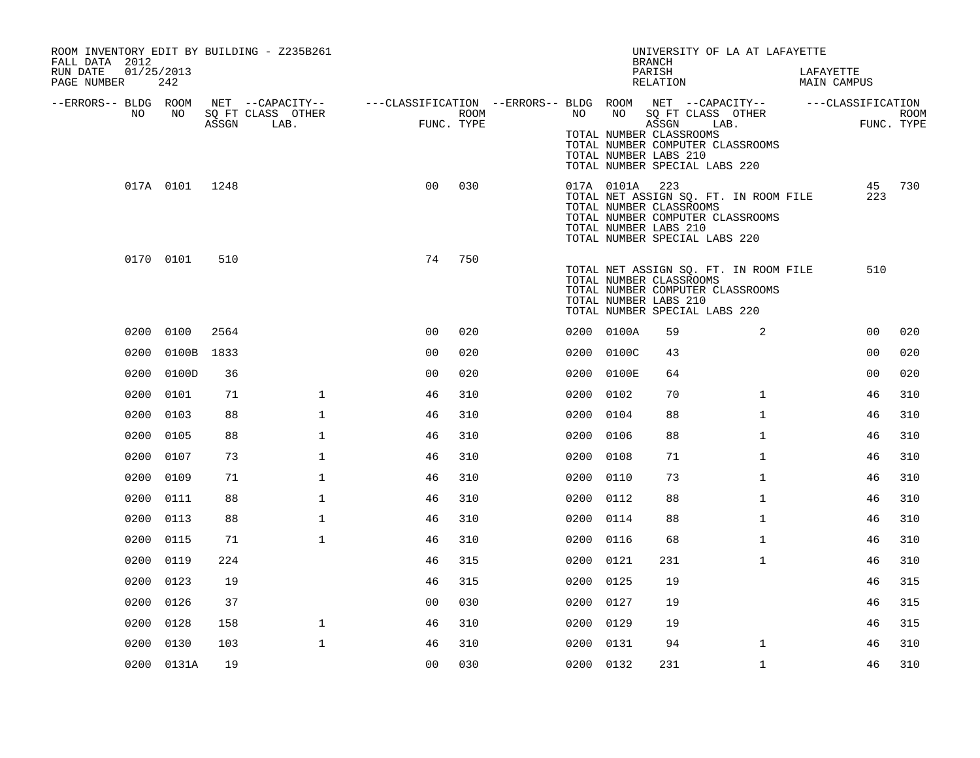| ROOM INVENTORY EDIT BY BUILDING - Z235B261<br>FALL DATA 2012<br>RUN DATE<br>PAGE NUMBER | 01/25/2013<br>242 |       |                                               |                                                                             |                    |           |            | UNIVERSITY OF LA AT LAFAYETTE<br><b>BRANCH</b><br>PARISH<br>RELATION                                                                                                  |              | LAFAYETTE<br>MAIN CAMPUS |                |             |
|-----------------------------------------------------------------------------------------|-------------------|-------|-----------------------------------------------|-----------------------------------------------------------------------------|--------------------|-----------|------------|-----------------------------------------------------------------------------------------------------------------------------------------------------------------------|--------------|--------------------------|----------------|-------------|
| --ERRORS-- BLDG ROOM<br>NO.                                                             | NO                | ASSGN | NET --CAPACITY--<br>SQ FT CLASS OTHER<br>LAB. | ---CLASSIFICATION --ERRORS-- BLDG ROOM NET --CAPACITY-- -----CLASSIFICATION | ROOM<br>FUNC. TYPE | NO        | NO         | SQ FT CLASS OTHER<br>ASSGN LAB.<br>TOTAL NUMBER CLASSROOMS<br>TOTAL NUMBER COMPUTER CLASSROOMS<br>TOTAL NUMBER LABS 210<br>TOTAL NUMBER SPECIAL LABS 220              |              |                          | FUNC. TYPE     | <b>ROOM</b> |
|                                                                                         | 017A 0101 1248    |       |                                               | 0 <sup>0</sup>                                                              | 030                |           | 017A 0101A | 223<br>TOTAL NET ASSIGN SQ. FT. IN ROOM FILE<br>TOTAL NUMBER CLASSROOMS<br>TOTAL NUMBER COMPUTER CLASSROOMS<br>TOTAL NUMBER LABS 210<br>TOTAL NUMBER SPECIAL LABS 220 |              |                          | 223            | 45 730      |
|                                                                                         | 0170 0101         | 510   |                                               | 74                                                                          | 750                |           |            | TOTAL NET ASSIGN SQ. FT. IN ROOM FILE<br>TOTAL NUMBER CLASSROOMS<br>TOTAL NUMBER COMPUTER CLASSROOMS<br>TOTAL NUMBER LABS 210<br>TOTAL NUMBER SPECIAL LABS 220        |              |                          | 510            |             |
|                                                                                         | 0200 0100         | 2564  |                                               | 0 <sub>0</sub>                                                              | 020                |           | 0200 0100A | 59                                                                                                                                                                    | 2            |                          | 0 <sub>0</sub> | 020         |
| 0200                                                                                    | 0100B             | 1833  |                                               | 00                                                                          | 020                |           | 0200 0100C | 43                                                                                                                                                                    |              |                          | 0 <sub>0</sub> | 020         |
| 0200                                                                                    | 0100D             | 36    |                                               | 0 <sub>0</sub>                                                              | 020                |           | 0200 0100E | 64                                                                                                                                                                    |              |                          | 0 <sub>0</sub> | 020         |
| 0200                                                                                    | 0101              | 71    | $\mathbf{1}$                                  | 46                                                                          | 310                | 0200      | 0102       | 70                                                                                                                                                                    | $\mathbf{1}$ |                          | 46             | 310         |
| 0200                                                                                    | 0103              | 88    | $\mathbf{1}$                                  | 46                                                                          | 310                | 0200 0104 |            | 88                                                                                                                                                                    | $\mathbf{1}$ |                          | 46             | 310         |
|                                                                                         | 0200 0105         | 88    | $\mathbf 1$                                   | 46                                                                          | 310                | 0200      | 0106       | 88                                                                                                                                                                    | $\mathbf{1}$ |                          | 46             | 310         |
|                                                                                         | 0200 0107         | 73    | $\mathbf{1}$                                  | 46                                                                          | 310                | 0200 0108 |            | 71                                                                                                                                                                    | $\mathbf{1}$ |                          | 46             | 310         |
| 0200                                                                                    | 0109              | 71    | $\mathbf{1}$                                  | 46                                                                          | 310                | 0200      | 0110       | 73                                                                                                                                                                    | $\mathbf{1}$ |                          | 46             | 310         |
| 0200                                                                                    | 0111              | 88    | $\mathbf 1$                                   | 46                                                                          | 310                | 0200 0112 |            | 88                                                                                                                                                                    | $\mathbf{1}$ |                          | 46             | 310         |
| 0200                                                                                    | 0113              | 88    | $\mathbf{1}$                                  | 46                                                                          | 310                | 0200      | 0114       | 88                                                                                                                                                                    | $\mathbf{1}$ |                          | 46             | 310         |
| 0200                                                                                    | 0115              | 71    | $\mathbf{1}$                                  | 46                                                                          | 310                | 0200 0116 |            | 68                                                                                                                                                                    | $\mathbf{1}$ |                          | 46             | 310         |
|                                                                                         | 0200 0119         | 224   |                                               | 46                                                                          | 315                | 0200      | 0121       | 231                                                                                                                                                                   | $\mathbf{1}$ |                          | 46             | 310         |
| 0200                                                                                    | 0123              | 19    |                                               | 46                                                                          | 315                | 0200 0125 |            | 19                                                                                                                                                                    |              |                          | 46             | 315         |
|                                                                                         | 0200 0126         | 37    |                                               | 0 <sub>0</sub>                                                              | 030                | 0200 0127 |            | 19                                                                                                                                                                    |              |                          | 46             | 315         |
| 0200                                                                                    | 0128              | 158   | $\mathbf 1$                                   | 46                                                                          | 310                | 0200 0129 |            | 19                                                                                                                                                                    |              |                          | 46             | 315         |
| 0200                                                                                    | 0130              | 103   | $\mathbf 1$                                   | 46                                                                          | 310                | 0200 0131 |            | 94                                                                                                                                                                    | $\mathbf{1}$ |                          | 46             | 310         |
|                                                                                         | 0200 0131A        | 19    |                                               | 0 <sub>0</sub>                                                              | 030                | 0200 0132 |            | 231                                                                                                                                                                   | $\mathbf{1}$ |                          | 46             | 310         |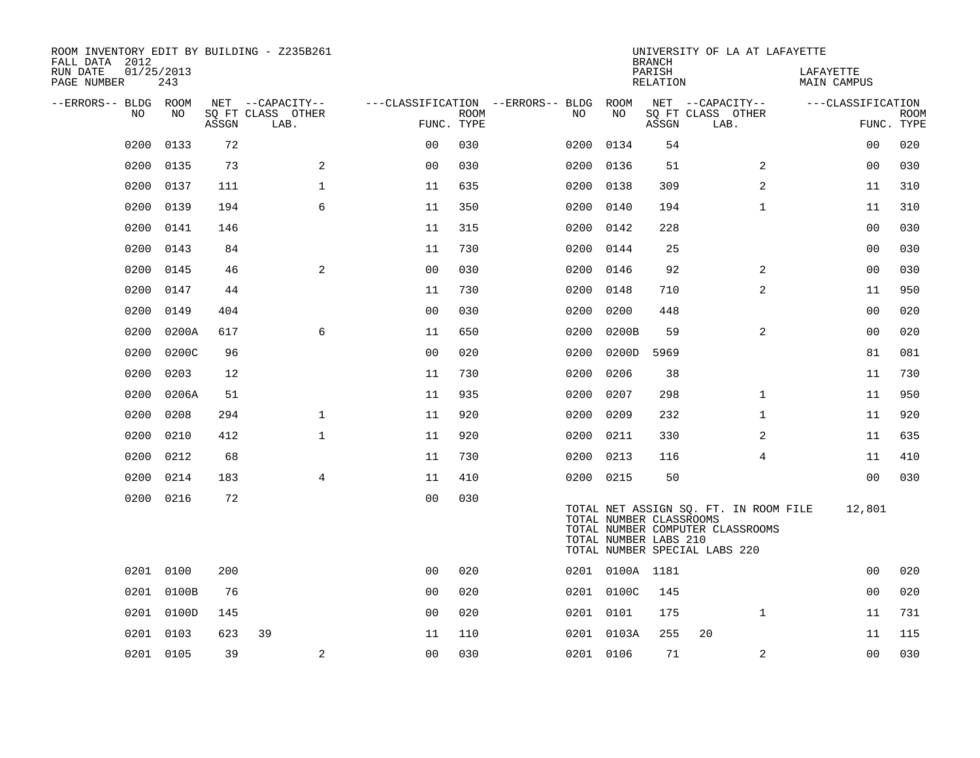| ROOM INVENTORY EDIT BY BUILDING - Z235B261<br>FALL DATA 2012 |                   |       |                           |                |             |                                   |                 | <b>BRANCH</b>                                    | UNIVERSITY OF LA AT LAFAYETTE                                                                              |                          |                           |
|--------------------------------------------------------------|-------------------|-------|---------------------------|----------------|-------------|-----------------------------------|-----------------|--------------------------------------------------|------------------------------------------------------------------------------------------------------------|--------------------------|---------------------------|
| RUN DATE<br>PAGE NUMBER                                      | 01/25/2013<br>243 |       |                           |                |             |                                   |                 | PARISH<br>RELATION                               |                                                                                                            | LAFAYETTE<br>MAIN CAMPUS |                           |
| --ERRORS-- BLDG ROOM                                         |                   |       | NET --CAPACITY--          |                |             | ---CLASSIFICATION --ERRORS-- BLDG | ROOM            |                                                  | NET --CAPACITY--                                                                                           | ---CLASSIFICATION        |                           |
| NO                                                           | NO                | ASSGN | SQ FT CLASS OTHER<br>LAB. | FUNC. TYPE     | <b>ROOM</b> | NO                                | NO              | ASSGN                                            | SQ FT CLASS OTHER<br>LAB.                                                                                  |                          | <b>ROOM</b><br>FUNC. TYPE |
| 0200                                                         | 0133              | 72    |                           | 0 <sub>0</sub> | 030         | 0200                              | 0134            | 54                                               |                                                                                                            | 00                       | 020                       |
| 0200                                                         | 0135              | 73    | 2                         | 0 <sub>0</sub> | 030         | 0200                              | 0136            | 51                                               | 2                                                                                                          | 0 <sub>0</sub>           | 030                       |
| 0200                                                         | 0137              | 111   | $\mathbf 1$               | 11             | 635         |                                   | 0200 0138       | 309                                              | 2                                                                                                          | 11                       | 310                       |
| 0200                                                         | 0139              | 194   | 6                         | 11             | 350         | 0200                              | 0140            | 194                                              | $\mathbf{1}$                                                                                               | 11                       | 310                       |
| 0200                                                         | 0141              | 146   |                           | 11             | 315         |                                   | 0200 0142       | 228                                              |                                                                                                            | 00                       | 030                       |
| 0200                                                         | 0143              | 84    |                           | 11             | 730         | 0200                              | 0144            | 25                                               |                                                                                                            | 0 <sub>0</sub>           | 030                       |
| 0200                                                         | 0145              | 46    | 2                         | 0 <sub>0</sub> | 030         |                                   | 0200 0146       | 92                                               | 2                                                                                                          | 0 <sub>0</sub>           | 030                       |
| 0200                                                         | 0147              | 44    |                           | 11             | 730         | 0200                              | 0148            | 710                                              | $\overline{a}$                                                                                             | 11                       | 950                       |
| 0200                                                         | 0149              | 404   |                           | 0 <sub>0</sub> | 030         | 0200                              | 0200            | 448                                              |                                                                                                            | 0 <sub>0</sub>           | 020                       |
| 0200                                                         | 0200A             | 617   | 6                         | 11             | 650         | 0200                              | 0200B           | 59                                               | $\overline{a}$                                                                                             | 0 <sub>0</sub>           | 020                       |
| 0200                                                         | 0200C             | 96    |                           | 0 <sub>0</sub> | 020         | 0200                              | 0200D           | 5969                                             |                                                                                                            | 81                       | 081                       |
| 0200                                                         | 0203              | 12    |                           | 11             | 730         | 0200                              | 0206            | 38                                               |                                                                                                            | 11                       | 730                       |
| 0200                                                         | 0206A             | 51    |                           | 11             | 935         | 0200                              | 0207            | 298                                              | $\mathbf{1}$                                                                                               | 11                       | 950                       |
| 0200                                                         | 0208              | 294   | $\mathbf{1}$              | 11             | 920         | 0200                              | 0209            | 232                                              | $\mathbf{1}$                                                                                               | 11                       | 920                       |
| 0200                                                         | 0210              | 412   | $\mathbf 1$               | 11             | 920         | 0200                              | 0211            | 330                                              | 2                                                                                                          | 11                       | 635                       |
| 0200                                                         | 0212              | 68    |                           | 11             | 730         | 0200                              | 0213            | 116                                              | $\overline{4}$                                                                                             | 11                       | 410                       |
| 0200                                                         | 0214              | 183   | $\overline{4}$            | 11             | 410         |                                   | 0200 0215       | 50                                               |                                                                                                            | 0 <sub>0</sub>           | 030                       |
| 0200                                                         | 0216              | 72    |                           | 0 <sub>0</sub> | 030         |                                   |                 | TOTAL NUMBER CLASSROOMS<br>TOTAL NUMBER LABS 210 | TOTAL NET ASSIGN SQ. FT. IN ROOM FILE<br>TOTAL NUMBER COMPUTER CLASSROOMS<br>TOTAL NUMBER SPECIAL LABS 220 | 12,801                   |                           |
|                                                              | 0201 0100         | 200   |                           | 0 <sub>0</sub> | 020         |                                   | 0201 0100A 1181 |                                                  |                                                                                                            | 0 <sub>0</sub>           | 020                       |
|                                                              | 0201 0100B        | 76    |                           | 0 <sub>0</sub> | 020         |                                   | 0201 0100C      | 145                                              |                                                                                                            | 0 <sub>0</sub>           | 020                       |
|                                                              | 0201 0100D        | 145   |                           | 0 <sub>0</sub> | 020         |                                   | 0201 0101       | 175                                              | $\mathbf{1}$                                                                                               | 11                       | 731                       |
| 0201                                                         | 0103              | 623   | 39                        | 11             | 110         |                                   | 0201 0103A      | 255                                              | 20                                                                                                         | 11                       | 115                       |
|                                                              | 0201 0105         | 39    | 2                         | 0 <sub>0</sub> | 030         |                                   | 0201 0106       | 71                                               | 2                                                                                                          | 0 <sub>0</sub>           | 030                       |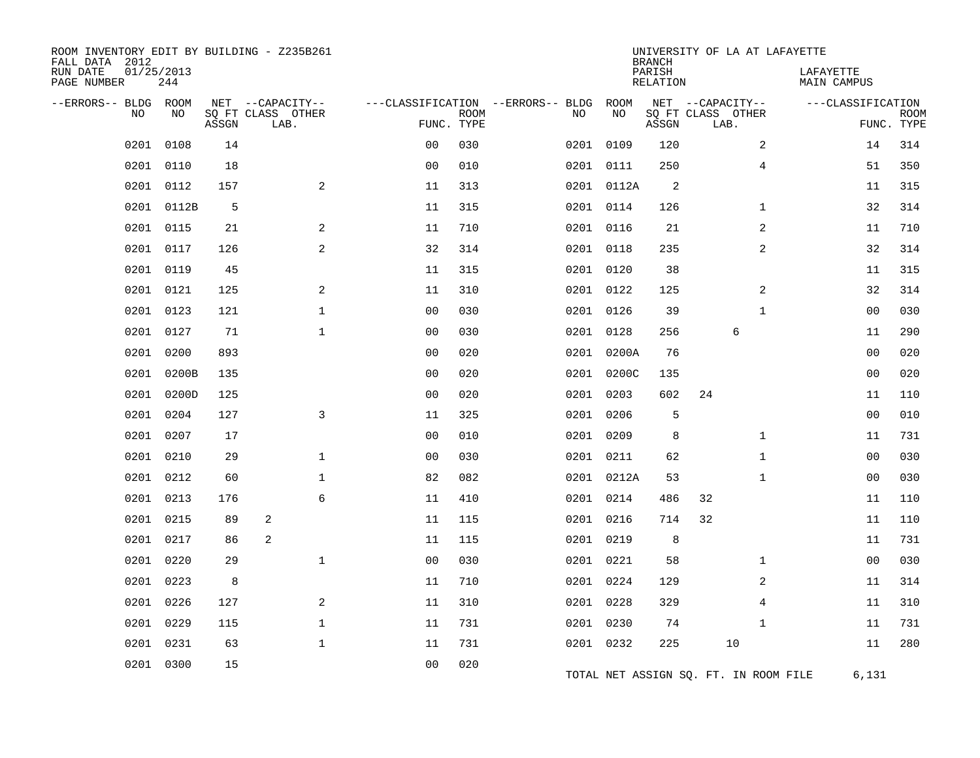| ROOM INVENTORY EDIT BY BUILDING - Z235B261<br>FALL DATA 2012<br>RUN DATE<br>PAGE NUMBER | 01/25/2013<br>244 |       |                                               |                |                           |                                         |            | <b>BRANCH</b><br>PARISH<br>RELATION | UNIVERSITY OF LA AT LAFAYETTE                 | LAFAYETTE<br>MAIN CAMPUS |                           |
|-----------------------------------------------------------------------------------------|-------------------|-------|-----------------------------------------------|----------------|---------------------------|-----------------------------------------|------------|-------------------------------------|-----------------------------------------------|--------------------------|---------------------------|
| --ERRORS-- BLDG<br>NO                                                                   | ROOM<br>NO        | ASSGN | NET --CAPACITY--<br>SQ FT CLASS OTHER<br>LAB. |                | <b>ROOM</b><br>FUNC. TYPE | ---CLASSIFICATION --ERRORS-- BLDG<br>NO | ROOM<br>NO | ASSGN                               | NET --CAPACITY--<br>SQ FT CLASS OTHER<br>LAB. | ---CLASSIFICATION        | <b>ROOM</b><br>FUNC. TYPE |
| 0201                                                                                    | 0108              | 14    |                                               | 0 <sup>0</sup> | 030                       | 0201                                    | 0109       | 120                                 | 2                                             | 14                       | 314                       |
| 0201                                                                                    | 0110              | 18    |                                               | 0 <sub>0</sub> | 010                       |                                         | 0201 0111  | 250                                 | 4                                             | 51                       | 350                       |
| 0201                                                                                    | 0112              | 157   | 2                                             | 11             | 313                       |                                         | 0201 0112A | 2                                   |                                               | 11                       | 315                       |
| 0201                                                                                    | 0112B             | 5     |                                               | 11             | 315                       |                                         | 0201 0114  | 126                                 | $\mathbf{1}$                                  | 32                       | 314                       |
| 0201                                                                                    | 0115              | 21    | 2                                             | 11             | 710                       |                                         | 0201 0116  | 21                                  | 2                                             | 11                       | 710                       |
| 0201                                                                                    | 0117              | 126   | 2                                             | 32             | 314                       |                                         | 0201 0118  | 235                                 | 2                                             | 32                       | 314                       |
| 0201                                                                                    | 0119              | 45    |                                               | 11             | 315                       |                                         | 0201 0120  | 38                                  |                                               | 11                       | 315                       |
| 0201                                                                                    | 0121              | 125   | 2                                             | 11             | 310                       |                                         | 0201 0122  | 125                                 | 2                                             | 32                       | 314                       |
| 0201                                                                                    | 0123              | 121   | $\mathbf 1$                                   | 0 <sub>0</sub> | 030                       |                                         | 0201 0126  | 39                                  | $\mathbf{1}$                                  | 00                       | 030                       |
| 0201                                                                                    | 0127              | 71    | $\mathbf{1}$                                  | 0 <sub>0</sub> | 030                       |                                         | 0201 0128  | 256                                 | $\epsilon$                                    | 11                       | 290                       |
| 0201                                                                                    | 0200              | 893   |                                               | 00             | 020                       |                                         | 0201 0200A | 76                                  |                                               | 0 <sub>0</sub>           | 020                       |
| 0201                                                                                    | 0200B             | 135   |                                               | 0 <sub>0</sub> | 020                       |                                         | 0201 0200C | 135                                 |                                               | 0 <sub>0</sub>           | 020                       |
| 0201                                                                                    | 0200D             | 125   |                                               | 0 <sub>0</sub> | 020                       |                                         | 0201 0203  | 602                                 | 24                                            | 11                       | 110                       |
| 0201                                                                                    | 0204              | 127   | 3                                             | 11             | 325                       |                                         | 0201 0206  | 5                                   |                                               | 0 <sub>0</sub>           | 010                       |
| 0201                                                                                    | 0207              | 17    |                                               | 0 <sub>0</sub> | 010                       |                                         | 0201 0209  | 8                                   | $\mathbf{1}$                                  | 11                       | 731                       |
| 0201                                                                                    | 0210              | 29    | $\mathbf{1}$                                  | 0 <sub>0</sub> | 030                       |                                         | 0201 0211  | 62                                  | $\mathbf{1}$                                  | 00                       | 030                       |
| 0201                                                                                    | 0212              | 60    | $\mathbf{1}$                                  | 82             | 082                       |                                         | 0201 0212A | 53                                  | $\mathbf{1}$                                  | 00                       | 030                       |
| 0201                                                                                    | 0213              | 176   | 6                                             | 11             | 410                       |                                         | 0201 0214  | 486                                 | 32                                            | 11                       | 110                       |
| 0201                                                                                    | 0215              | 89    | 2                                             | 11             | 115                       |                                         | 0201 0216  | 714                                 | 32                                            | 11                       | 110                       |
| 0201                                                                                    | 0217              | 86    | 2                                             | 11             | 115                       |                                         | 0201 0219  | 8                                   |                                               | 11                       | 731                       |
| 0201                                                                                    | 0220              | 29    | $\mathbf{1}$                                  | 0 <sub>0</sub> | 030                       |                                         | 0201 0221  | 58                                  | $\mathbf{1}$                                  | 00                       | 030                       |
| 0201                                                                                    | 0223              | 8     |                                               | 11             | 710                       |                                         | 0201 0224  | 129                                 | 2                                             | 11                       | 314                       |
| 0201                                                                                    | 0226              | 127   | 2                                             | 11             | 310                       |                                         | 0201 0228  | 329                                 | 4                                             | 11                       | 310                       |
| 0201                                                                                    | 0229              | 115   | $\mathbf{1}$                                  | 11             | 731                       |                                         | 0201 0230  | 74                                  | 1                                             | 11                       | 731                       |
| 0201                                                                                    | 0231              | 63    | $\mathbf{1}$                                  | 11             | 731                       |                                         | 0201 0232  | 225                                 | 10                                            | 11                       | 280                       |
| 0201                                                                                    | 0300              | 15    |                                               | 0 <sub>0</sub> | 020                       |                                         |            |                                     | TOTAL NET ASSIGN SQ. FT. IN ROOM FILE         | 6,131                    |                           |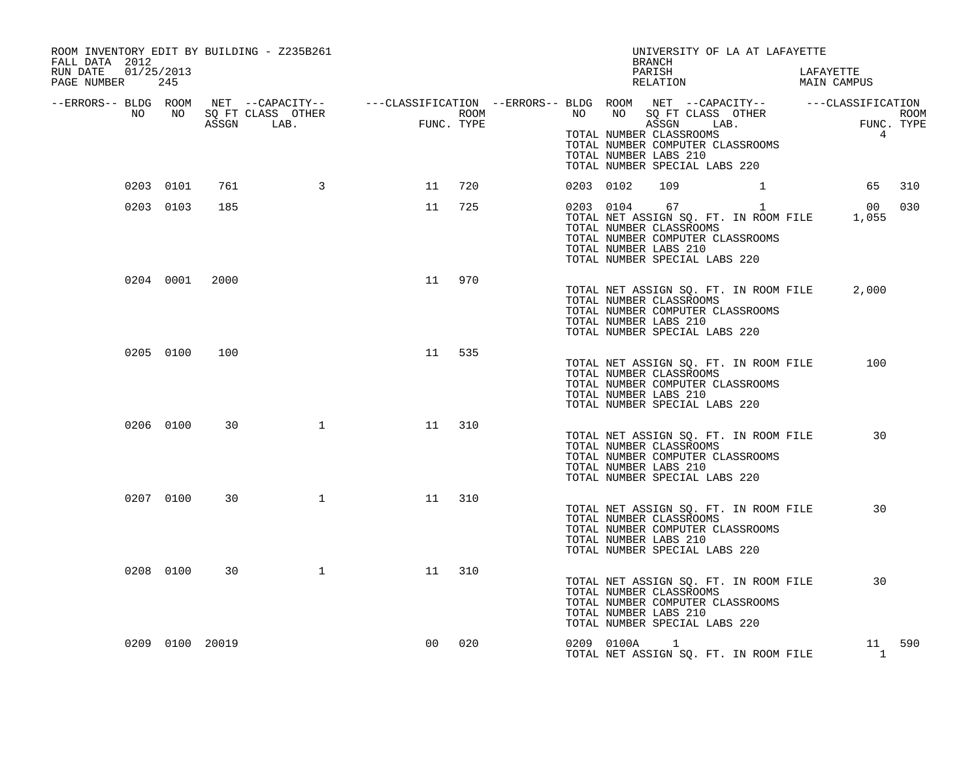| ROOM INVENTORY EDIT BY BUILDING - Z235B261<br>FALL DATA 2012<br>RUN DATE 01/25/2013<br>PAGE NUMBER 245                                                                                                                         |           |                 |              |                   |     |           |            | UNIVERSITY OF LA AT LAFAYETTE<br>BRANCH<br>PARISH<br>PARISH LAFAYETTE RELATION MAIN CAMPUS                                                                                           |              | LAFAYETTE      |        |
|--------------------------------------------------------------------------------------------------------------------------------------------------------------------------------------------------------------------------------|-----------|-----------------|--------------|-------------------|-----|-----------|------------|--------------------------------------------------------------------------------------------------------------------------------------------------------------------------------------|--------------|----------------|--------|
| -ERRORS-- BLDG ROOM NET --CAPACITY-- ----CLASSIFICATION --ERRORS-- BLDG ROOM NET --CAPACITY-- -----CLASSIFICATION<br>NO NO SQ FT CLASS OTHER ROOM ROOM NO SQ FT CLASS OTHER ROOM<br>ASSGN LAB. FUNC. TYPE TURE THER ASSGN LAB. |           |                 |              |                   |     |           |            | TOTAL NUMBER CLASSROOMS<br>TOTAL NUMBER COMPUTER CLASSROOMS<br>TOTAL NUMBER LABS 210<br>TOTAL NUMBER SPECIAL LABS 220                                                                |              | $\overline{4}$ |        |
|                                                                                                                                                                                                                                | 0203 0101 | 761             | $\sim$ 3     | 11                | 720 | 0203 0102 |            | 109                                                                                                                                                                                  | $\mathbf{1}$ | 65 310         |        |
|                                                                                                                                                                                                                                | 0203 0103 | 185             |              | 11                | 725 |           |            | 0203 0104 67<br>TOTAL NET ASSIGN SQ. FT. IN ROOM FILE 1,055<br>TOTAL NUMBER CLASSROOMS<br>TOTAL NUMBER COMPUTER CLASSROOMS<br>TOTAL NUMBER LABS 210<br>TOTAL NUMBER SPECIAL LABS 220 | $\mathbf{1}$ | 00 030         |        |
|                                                                                                                                                                                                                                |           | 0204 0001 2000  |              | 11 970            |     |           |            | TOTAL NET ASSIGN SQ. FT. IN ROOM FILE 2,000<br>TOTAL NUMBER CLASSROOMS<br>TOTAL NUMBER COMPUTER CLASSROOMS<br>TOTAL NUMBER LABS 210<br>TOTAL NUMBER SPECIAL LABS 220                 |              |                |        |
|                                                                                                                                                                                                                                | 0205 0100 | 100             |              | 11                | 535 |           |            | TOTAL NET ASSIGN SQ. FT. IN ROOM FILE<br>TOTAL NUMBER CLASSROOMS<br>TOTAL NUMBER COMPUTER CLASSROOMS<br>TOTAL NUMBER LABS 210<br>TOTAL NUMBER SPECIAL LABS 220                       |              | 100            |        |
|                                                                                                                                                                                                                                | 0206 0100 | 30              |              | $\mathbf 1$<br>11 | 310 |           |            | TOTAL NET ASSIGN SQ. FT. IN ROOM FILE<br>TOTAL NUMBER CLASSROOMS<br>TOTAL NUMBER COMPUTER CLASSROOMS<br>TOTAL NUMBER LABS 210<br>TOTAL NUMBER SPECIAL LABS 220                       |              | 30             |        |
|                                                                                                                                                                                                                                | 0207 0100 | 30              | $\mathbf{1}$ | 11 310            |     |           |            | TOTAL NET ASSIGN SO. FT. IN ROOM FILE<br>TOTAL NUMBER CLASSROOMS<br>TOTAL NUMBER COMPUTER CLASSROOMS<br>TOTAL NUMBER LABS 210<br>TOTAL NUMBER SPECIAL LABS 220                       |              | 30             |        |
|                                                                                                                                                                                                                                | 0208 0100 | 30              | $\mathbf{1}$ | 11                | 310 |           |            | TOTAL NET ASSIGN SQ. FT. IN ROOM FILE<br>TOTAL NUMBER CLASSROOMS<br>TOTAL NUMBER COMPUTER CLASSROOMS<br>TOTAL NUMBER LABS 210<br>TOTAL NUMBER SPECIAL LABS 220                       |              | 30             |        |
|                                                                                                                                                                                                                                |           | 0209 0100 20019 |              | 0 <sub>0</sub>    | 020 |           | 0209 0100A | $\overline{1}$<br>TOTAL NET ASSIGN SQ. FT. IN ROOM FILE                                                                                                                              |              | $\overline{1}$ | 11 590 |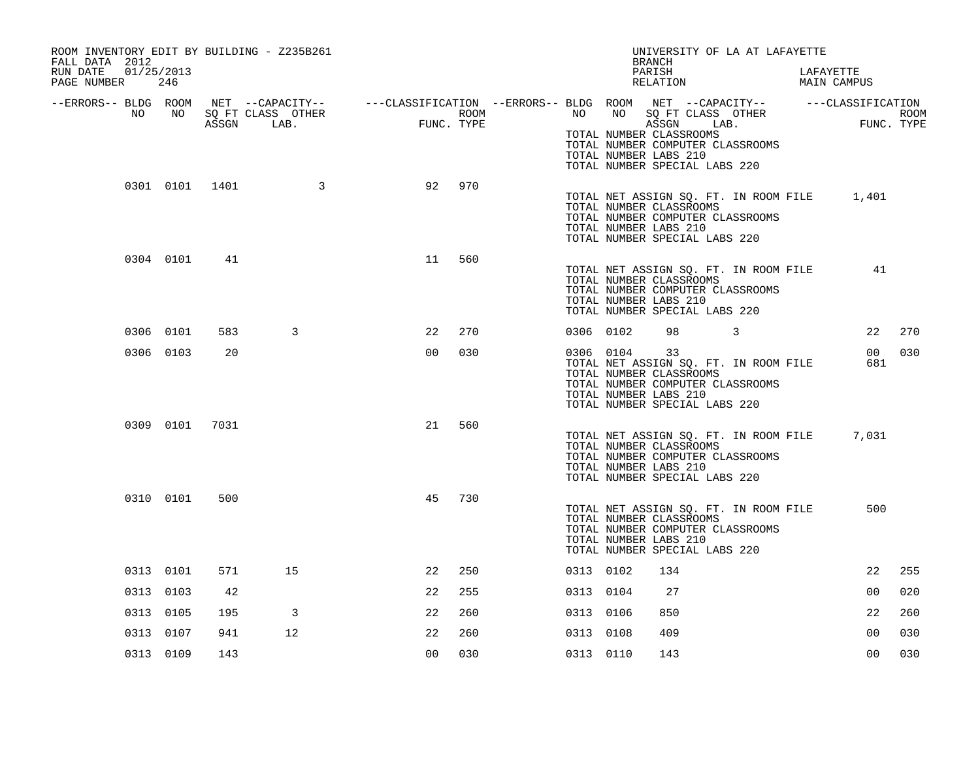| ROOM INVENTORY EDIT BY BUILDING - Z235B261<br>FALL DATA 2012 |           |                |                   |                                                                                                |            |           |    | UNIVERSITY OF LA AT LAFAYETTE<br><b>BRANCH</b>                                                                                                                       |  |                          |             |
|--------------------------------------------------------------|-----------|----------------|-------------------|------------------------------------------------------------------------------------------------|------------|-----------|----|----------------------------------------------------------------------------------------------------------------------------------------------------------------------|--|--------------------------|-------------|
| 01/25/2013<br>RUN DATE<br>PAGE NUMBER                        | 246       |                |                   |                                                                                                |            |           |    | PARISH<br>RELATION                                                                                                                                                   |  | LAFAYETTE<br>MAIN CAMPUS |             |
| --ERRORS-- BLDG ROOM<br>NO                                   | NO        |                | SQ FT CLASS OTHER | NET --CAPACITY-- - ---CLASSIFICATION --ERRORS-- BLDG ROOM NET --CAPACITY-- - ---CLASSIFICATION | ROOM       | NO        | NO | SQ FT CLASS OTHER                                                                                                                                                    |  |                          | <b>ROOM</b> |
|                                                              |           |                | ASSGN LAB.        | $\begin{array}{c}\n\text{FUN}\n\end{array}$                                                    | FUNC. TYPE |           |    | ASSGN LAB.<br>TOTAL NUMBER CLASSROOMS<br>TOTAL NUMBER COMPUTER CLASSROOMS<br>TOTAL NUMBER LABS 210<br>TOTAL NUMBER SPECIAL LABS 220                                  |  |                          | FUNC. TYPE  |
|                                                              |           | 0301 0101 1401 | $\sim$ 3          | 92                                                                                             | 970        |           |    | TOTAL NET ASSIGN SQ. FT. IN ROOM FILE<br>TOTAL NUMBER CLASSROOMS<br>TOTAL NUMBER COMPUTER CLASSROOMS<br>TOTAL NUMBER LABS 210<br>TOTAL NUMBER SPECIAL LABS 220       |  | 1,401                    |             |
|                                                              | 0304 0101 | 41             |                   | 11                                                                                             | 560        |           |    | TOTAL NET ASSIGN SQ. FT. IN ROOM FILE<br>TOTAL NUMBER CLASSROOMS<br>TOTAL NUMBER COMPUTER CLASSROOMS<br>TOTAL NUMBER LABS 210<br>TOTAL NUMBER SPECIAL LABS 220       |  | 41                       |             |
|                                                              | 0306 0101 | 583            | 3                 | 22                                                                                             | 270        | 0306 0102 |    | 98 3                                                                                                                                                                 |  | 22                       | 270         |
|                                                              | 0306 0103 | 20             |                   | 0 <sub>0</sub>                                                                                 | 030        | 0306 0104 |    | 33<br>TOTAL NET ASSIGN SQ. FT. IN ROOM FILE<br>TOTAL NUMBER CLASSROOMS<br>TOTAL NUMBER COMPUTER CLASSROOMS<br>TOTAL NUMBER LABS 210<br>TOTAL NUMBER SPECIAL LABS 220 |  | 00<br>681                | 030         |
|                                                              | 0309 0101 | 7031           |                   | 21                                                                                             | 560        |           |    | TOTAL NET ASSIGN SQ. FT. IN ROOM FILE<br>TOTAL NUMBER CLASSROOMS<br>TOTAL NUMBER COMPUTER CLASSROOMS<br>TOTAL NUMBER LABS 210<br>TOTAL NUMBER SPECIAL LABS 220       |  | 7,031                    |             |
|                                                              | 0310 0101 | 500            |                   | 45                                                                                             | 730        |           |    | TOTAL NET ASSIGN SQ. FT. IN ROOM FILE<br>TOTAL NUMBER CLASSROOMS<br>TOTAL NUMBER COMPUTER CLASSROOMS<br>TOTAL NUMBER LABS 210<br>TOTAL NUMBER SPECIAL LABS 220       |  | 500                      |             |
|                                                              | 0313 0101 | 571            | 15                | 22                                                                                             | 250        | 0313 0102 |    | 134                                                                                                                                                                  |  | 22                       | 255         |
|                                                              | 0313 0103 | 42             |                   | 22                                                                                             | 255        | 0313 0104 |    | 27                                                                                                                                                                   |  | 0 <sub>0</sub>           | 020         |
|                                                              | 0313 0105 | 195            | 3                 | 22                                                                                             | 260        | 0313 0106 |    | 850                                                                                                                                                                  |  | 22                       | 260         |
|                                                              | 0313 0107 | 941            | 12                | 22                                                                                             | 260        | 0313 0108 |    | 409                                                                                                                                                                  |  | 0 <sub>0</sub>           | 030         |
|                                                              | 0313 0109 | 143            |                   | 0 <sub>0</sub>                                                                                 | 030        | 0313 0110 |    | 143                                                                                                                                                                  |  | 0 <sub>0</sub>           | 030         |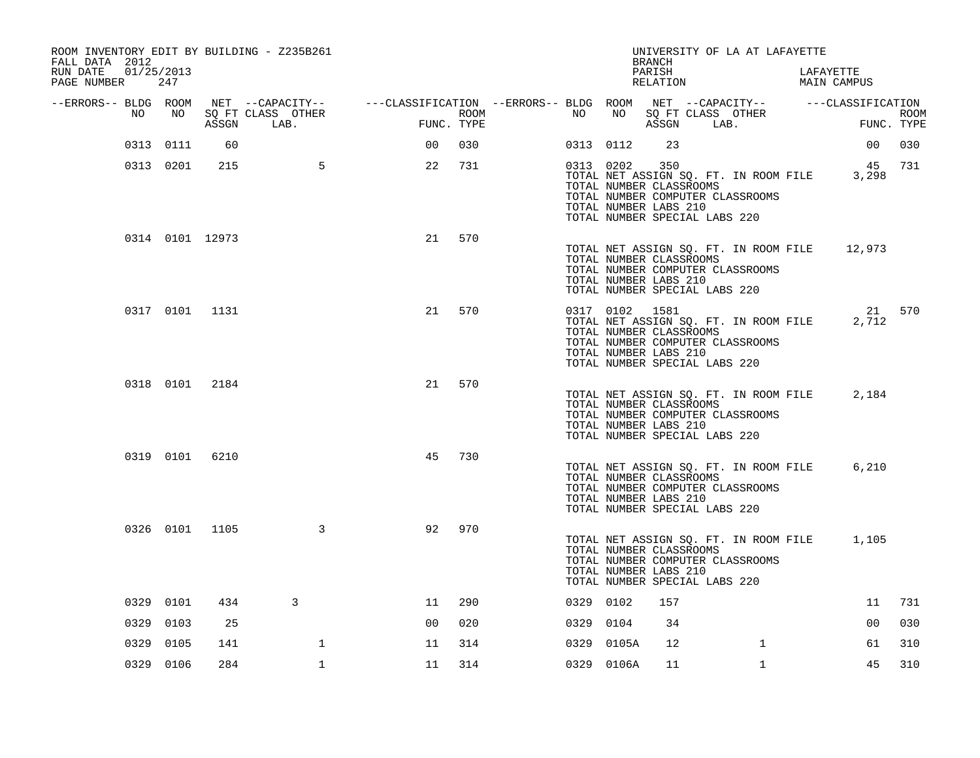| ROOM INVENTORY EDIT BY BUILDING - Z235B261<br>FALL DATA 2012<br>RUN DATE<br>PAGE NUMBER | 01/25/2013<br>247 |       |                           |                                                                                                |            |      |    |            | BRANCH<br>PARISH<br>RELATION                                                                        | UNIVERSITY OF LA AT LAFAYETTE                                             | LAFAYETTE<br>MAIN CAMPUS                              |             |
|-----------------------------------------------------------------------------------------|-------------------|-------|---------------------------|------------------------------------------------------------------------------------------------|------------|------|----|------------|-----------------------------------------------------------------------------------------------------|---------------------------------------------------------------------------|-------------------------------------------------------|-------------|
| --ERRORS-- BLDG ROOM                                                                    |                   |       |                           | NET --CAPACITY-- - ---CLASSIFICATION --ERRORS-- BLDG ROOM NET --CAPACITY-- - ---CLASSIFICATION |            |      |    |            |                                                                                                     |                                                                           |                                                       |             |
| NO.                                                                                     | NO                | ASSGN | SQ FT CLASS OTHER<br>LAB. |                                                                                                | FUNC. TYPE | ROOM | NO | NO         |                                                                                                     | SQ FT CLASS OTHER<br>ASSGN LAB.                                           | FUNC. TYPE                                            | <b>ROOM</b> |
|                                                                                         | 0313 0111         | 60    |                           | 00                                                                                             | 030        |      |    | 0313 0112  | 23                                                                                                  |                                                                           | 00                                                    | 030         |
|                                                                                         | 0313 0201         | 215   | $5^{\circ}$               | 22                                                                                             | 731        |      |    | 0313 0202  | 350<br>TOTAL NUMBER CLASSROOMS<br>TOTAL NUMBER LABS 210<br>TOTAL NUMBER SPECIAL LABS 220            | TOTAL NUMBER COMPUTER CLASSROOMS                                          | 45 731<br>TOTAL NET ASSIGN SQ. FT. IN ROOM FILE 3,298 |             |
|                                                                                         | 0314 0101 12973   |       |                           | 21                                                                                             | 570        |      |    |            | TOTAL NUMBER CLASSROOMS<br>TOTAL NUMBER LABS 210<br>TOTAL NUMBER SPECIAL LABS 220                   | TOTAL NUMBER COMPUTER CLASSROOMS                                          | TOTAL NET ASSIGN SQ. FT. IN ROOM FILE 12,973          |             |
|                                                                                         | 0317 0101 1131    |       |                           | 21                                                                                             | 570        |      |    |            | 0317 0102 1581<br>TOTAL NUMBER CLASSROOMS<br>TOTAL NUMBER LABS 210<br>TOTAL NUMBER SPECIAL LABS 220 | TOTAL NET ASSIGN SQ. FT. IN ROOM FILE<br>TOTAL NUMBER COMPUTER CLASSROOMS | 21 570<br>2,712                                       |             |
|                                                                                         | 0318 0101 2184    |       |                           | 21                                                                                             | 570        |      |    |            | TOTAL NUMBER CLASSROOMS<br>TOTAL NUMBER LABS 210<br>TOTAL NUMBER SPECIAL LABS 220                   | TOTAL NET ASSIGN SQ. FT. IN ROOM FILE<br>TOTAL NUMBER COMPUTER CLASSROOMS | 2,184                                                 |             |
|                                                                                         | 0319 0101 6210    |       |                           | 45                                                                                             | 730        |      |    |            | TOTAL NUMBER CLASSROOMS<br>TOTAL NUMBER LABS 210<br>TOTAL NUMBER SPECIAL LABS 220                   | TOTAL NET ASSIGN SQ. FT. IN ROOM FILE<br>TOTAL NUMBER COMPUTER CLASSROOMS | 6,210                                                 |             |
|                                                                                         | 0326 0101 1105    |       | $\mathbf{3}$              | 92                                                                                             | 970        |      |    |            | TOTAL NUMBER CLASSROOMS<br>TOTAL NUMBER LABS 210<br>TOTAL NUMBER SPECIAL LABS 220                   | TOTAL NET ASSIGN SQ. FT. IN ROOM FILE<br>TOTAL NUMBER COMPUTER CLASSROOMS | 1,105                                                 |             |
|                                                                                         | 0329 0101         | 434   | 3                         | 11                                                                                             | 290        |      |    | 0329 0102  | 157                                                                                                 |                                                                           | 11                                                    | 731         |
|                                                                                         | 0329 0103         | 25    |                           | 0 <sup>0</sup>                                                                                 | 020        |      |    | 0329 0104  | 34                                                                                                  |                                                                           | 0 <sub>0</sub>                                        | 030         |
| 0329                                                                                    | 0105              | 141   | $\mathbf{1}$              | 11                                                                                             | 314        |      |    | 0329 0105A | 12                                                                                                  | $\mathbf{1}$                                                              | 61                                                    | 310         |
|                                                                                         | 0329 0106         | 284   | $\mathbf{1}$              | 11                                                                                             | 314        |      |    | 0329 0106A | 11                                                                                                  | $\mathbf{1}$                                                              | 45                                                    | 310         |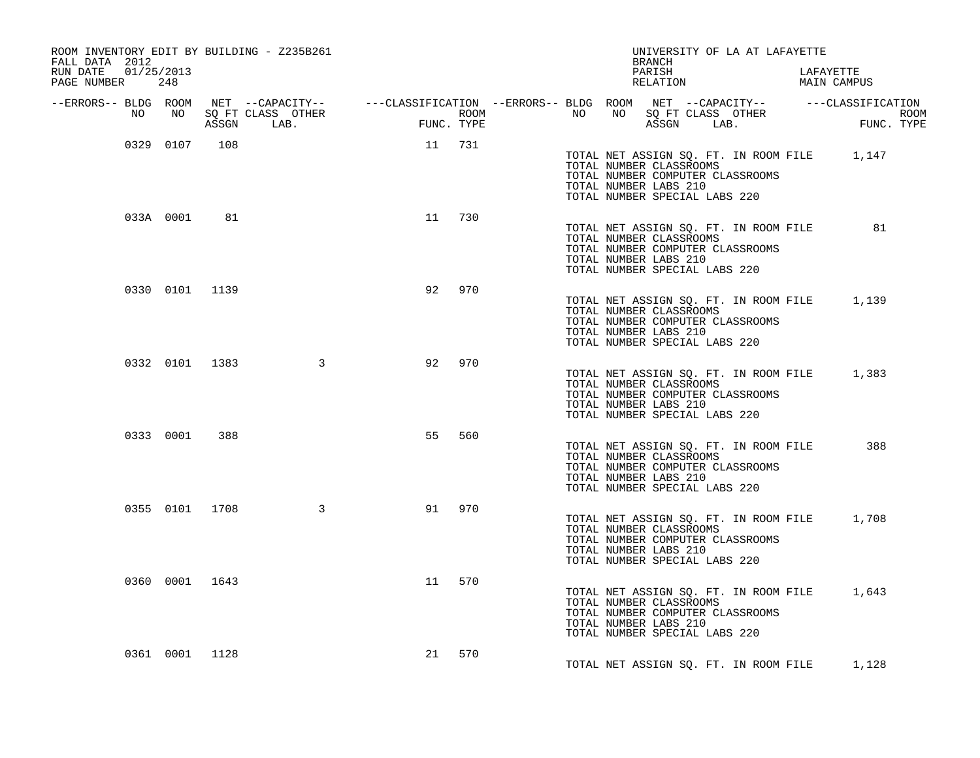| ROOM INVENTORY EDIT BY BUILDING - Z235B261<br>FALL DATA 2012 |           |                |                  |        |        |  | BRANCH                                                                            | UNIVERSITY OF LA AT LAFAYETTE                                             |                                             |  |
|--------------------------------------------------------------|-----------|----------------|------------------|--------|--------|--|-----------------------------------------------------------------------------------|---------------------------------------------------------------------------|---------------------------------------------|--|
| RUN DATE 01/25/2013<br>PAGE NUMBER                           | 248       |                |                  |        |        |  | PARISH<br>RELATION                                                                |                                                                           | LAFAYETTE<br>MAIN CAMPUS                    |  |
|                                                              |           |                |                  |        |        |  |                                                                                   |                                                                           |                                             |  |
|                                                              |           |                |                  |        |        |  |                                                                                   |                                                                           |                                             |  |
|                                                              | 0329 0107 | 108            |                  | 11 731 |        |  | TOTAL NUMBER CLASSROOMS<br>TOTAL NUMBER LABS 210<br>TOTAL NUMBER SPECIAL LABS 220 | TOTAL NUMBER COMPUTER CLASSROOMS                                          | TOTAL NET ASSIGN SQ. FT. IN ROOM FILE 1,147 |  |
|                                                              |           | 033A 0001 81   |                  | 11 730 |        |  | TOTAL NUMBER CLASSROOMS<br>TOTAL NUMBER LABS 210<br>TOTAL NUMBER SPECIAL LABS 220 | TOTAL NUMBER COMPUTER CLASSROOMS                                          | TOTAL NET ASSIGN SQ. FT. IN ROOM FILE 81    |  |
|                                                              |           | 0330 0101 1139 |                  | 92     | 970    |  | TOTAL NUMBER CLASSROOMS<br>TOTAL NUMBER LABS 210<br>TOTAL NUMBER SPECIAL LABS 220 | TOTAL NUMBER COMPUTER CLASSROOMS                                          | TOTAL NET ASSIGN SQ. FT. IN ROOM FILE 1,139 |  |
|                                                              |           |                | 0332 0101 1383 3 | 92     | 970    |  | TOTAL NUMBER CLASSROOMS<br>TOTAL NUMBER LABS 210<br>TOTAL NUMBER SPECIAL LABS 220 | TOTAL NUMBER COMPUTER CLASSROOMS                                          | TOTAL NET ASSIGN SQ. FT. IN ROOM FILE 1,383 |  |
|                                                              |           | 0333 0001 388  |                  | 55     | 560    |  | TOTAL NUMBER CLASSROOMS<br>TOTAL NUMBER LABS 210<br>TOTAL NUMBER SPECIAL LABS 220 | TOTAL NET ASSIGN SQ. FT. IN ROOM FILE<br>TOTAL NUMBER COMPUTER CLASSROOMS | 388                                         |  |
|                                                              |           | 0355 0101 1708 | $\sim$ 3         | 91     | 970    |  | TOTAL NUMBER CLASSROOMS<br>TOTAL NUMBER LABS 210<br>TOTAL NUMBER SPECIAL LABS 220 | TOTAL NUMBER COMPUTER CLASSROOMS                                          | TOTAL NET ASSIGN SQ. FT. IN ROOM FILE 1,708 |  |
|                                                              |           | 0360 0001 1643 |                  | 11     | 570    |  | TOTAL NUMBER CLASSROOMS<br>TOTAL NUMBER LABS 210<br>TOTAL NUMBER SPECIAL LABS 220 | TOTAL NUMBER COMPUTER CLASSROOMS                                          | TOTAL NET ASSIGN SQ. FT. IN ROOM FILE 1,643 |  |
|                                                              |           | 0361 0001 1128 |                  |        | 21 570 |  |                                                                                   |                                                                           | TOTAL NET ASSIGN SQ. FT. IN ROOM FILE 1,128 |  |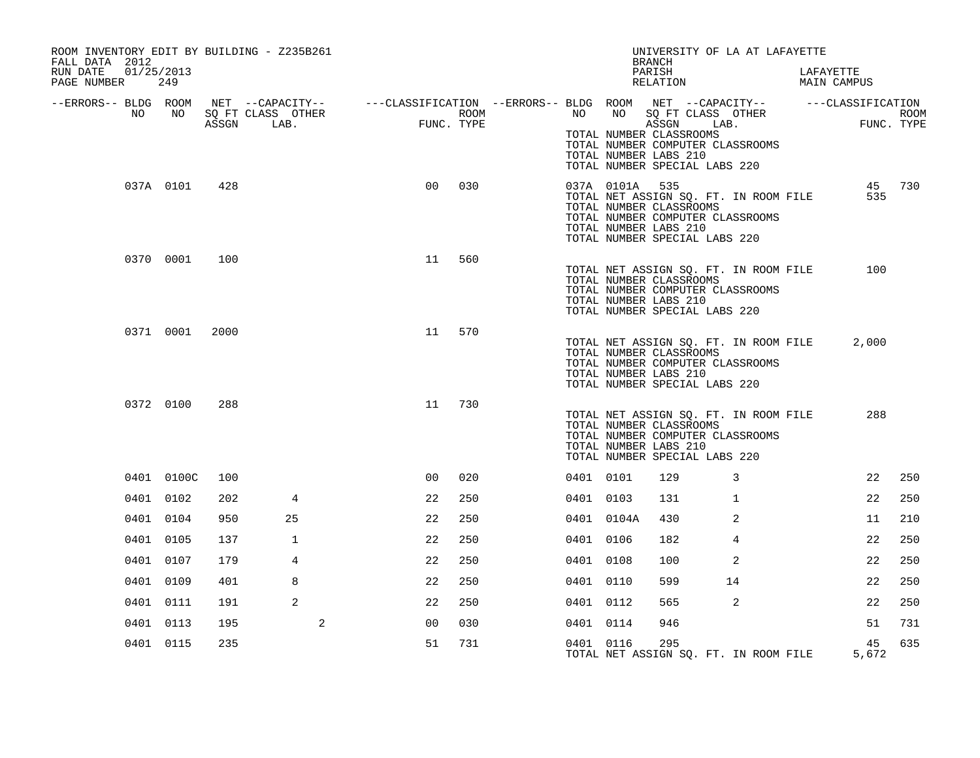| ROOM INVENTORY EDIT BY BUILDING - Z235B261<br>FALL DATA 2012<br>RUN DATE<br>01/25/2013 |                 |       |                           |                                                                                                         |                    |            |                | <b>BRANCH</b><br>PARISH                                                           | UNIVERSITY OF LA AT LAFAYETTE                                             |                          |        |
|----------------------------------------------------------------------------------------|-----------------|-------|---------------------------|---------------------------------------------------------------------------------------------------------|--------------------|------------|----------------|-----------------------------------------------------------------------------------|---------------------------------------------------------------------------|--------------------------|--------|
| PAGE NUMBER                                                                            | 249             |       |                           |                                                                                                         |                    |            |                | RELATION                                                                          |                                                                           | LAFAYETTE<br>MAIN CAMPUS |        |
| --ERRORS-- BLDG ROOM<br>NO                                                             | NO <sub>1</sub> | ASSGN | SQ FT CLASS OTHER<br>LAB. | NET --CAPACITY-- - ---CLASSIFICATION --ERRORS-- BLDG ROOM NET --CAPACITY-- - ---CLASSIFICATION<br>FUNC. | ROOM<br>FUNC. TYPE |            |                |                                                                                   | NO NO SQ FT CLASS OTHER<br>ASSGN LAB.                                     | FUNC. TYPE               | ROOM   |
|                                                                                        |                 |       |                           |                                                                                                         |                    |            |                | TOTAL NUMBER CLASSROOMS<br>TOTAL NUMBER LABS 210<br>TOTAL NUMBER SPECIAL LABS 220 | TOTAL NUMBER COMPUTER CLASSROOMS                                          |                          |        |
|                                                                                        | 037A 0101       | 428   |                           | 0 <sub>0</sub>                                                                                          | 030                |            | 037A 0101A 535 | TOTAL NUMBER CLASSROOMS<br>TOTAL NUMBER LABS 210<br>TOTAL NUMBER SPECIAL LABS 220 | TOTAL NET ASSIGN SQ. FT. IN ROOM FILE<br>TOTAL NUMBER COMPUTER CLASSROOMS | 535                      | 45 730 |
|                                                                                        | 0370 0001       | 100   |                           | 11                                                                                                      | 560                |            |                | TOTAL NUMBER CLASSROOMS<br>TOTAL NUMBER LABS 210<br>TOTAL NUMBER SPECIAL LABS 220 | TOTAL NET ASSIGN SQ. FT. IN ROOM FILE<br>TOTAL NUMBER COMPUTER CLASSROOMS | 100                      |        |
|                                                                                        | 0371 0001       | 2000  |                           | 11                                                                                                      | 570                |            |                | TOTAL NUMBER CLASSROOMS<br>TOTAL NUMBER LABS 210<br>TOTAL NUMBER SPECIAL LABS 220 | TOTAL NET ASSIGN SQ. FT. IN ROOM FILE<br>TOTAL NUMBER COMPUTER CLASSROOMS | 2,000                    |        |
|                                                                                        | 0372 0100       | 288   |                           | 11                                                                                                      | 730                |            |                | TOTAL NUMBER CLASSROOMS<br>TOTAL NUMBER LABS 210<br>TOTAL NUMBER SPECIAL LABS 220 | TOTAL NET ASSIGN SQ. FT. IN ROOM FILE<br>TOTAL NUMBER COMPUTER CLASSROOMS | 288                      |        |
|                                                                                        | 0401 0100C      | 100   |                           | 0 <sup>0</sup>                                                                                          | 020                | 0401 0101  |                | 129                                                                               | 3                                                                         | 22                       | 250    |
|                                                                                        | 0401 0102       | 202   | $\overline{4}$            | 22                                                                                                      | 250                | 0401 0103  |                | 131                                                                               | 1                                                                         | 22                       | 250    |
|                                                                                        | 0401 0104       | 950   | 25                        | 22                                                                                                      | 250                | 0401 0104A |                | 430                                                                               | 2                                                                         | 11                       | 210    |
|                                                                                        | 0401 0105       | 137   | $\mathbf{1}$              | 22                                                                                                      | 250                | 0401 0106  |                | 182                                                                               | 4                                                                         | 22                       | 250    |
|                                                                                        | 0401 0107       | 179   | 4                         | 22                                                                                                      | 250                | 0401 0108  |                | 100                                                                               | 2                                                                         | 22                       | 250    |
|                                                                                        | 0401 0109       | 401   | 8                         | 22                                                                                                      | 250                | 0401 0110  |                | 599                                                                               | 14                                                                        | 22                       | 250    |
|                                                                                        | 0401 0111       | 191   | 2                         | 22                                                                                                      | 250                | 0401 0112  |                | 565                                                                               | 2                                                                         | 22                       | 250    |
|                                                                                        | 0401 0113       | 195   |                           | 2<br>0 <sub>0</sub>                                                                                     | 030                | 0401 0114  |                | 946                                                                               |                                                                           | 51                       | 731    |
|                                                                                        | 0401 0115       | 235   |                           | 51                                                                                                      | 731                | 0401 0116  |                | 295                                                                               | TOTAL NET ASSIGN SQ. FT. IN ROOM FILE                                     | 45<br>5,672              | 635    |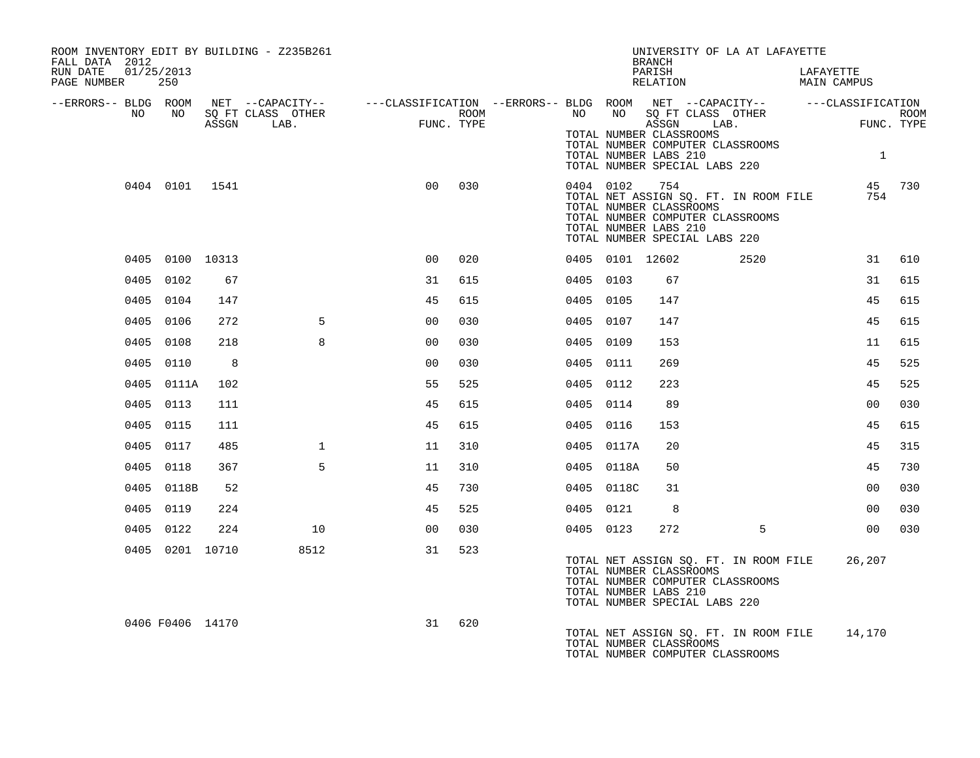| ROOM INVENTORY EDIT BY BUILDING - Z235B261<br>FALL DATA 2012 |                  |                 |                   |                                                                                                                     |      |           |            | UNIVERSITY OF LA AT LAFAYETTE<br><b>BRANCH</b>                                                                                                                        |      |           |                    |      |
|--------------------------------------------------------------|------------------|-----------------|-------------------|---------------------------------------------------------------------------------------------------------------------|------|-----------|------------|-----------------------------------------------------------------------------------------------------------------------------------------------------------------------|------|-----------|--------------------|------|
| 01/25/2013<br>RUN DATE<br>PAGE NUMBER 250                    |                  |                 |                   |                                                                                                                     |      |           |            | PARISH<br>RELATION                                                                                                                                                    |      | LAFAYETTE | MAIN CAMPUS        |      |
| NO                                                           | NO 11            |                 | SQ FT CLASS OTHER | --ERRORS-- BLDG ROOM NET --CAPACITY-- -----CLASSIFICATION --ERRORS-- BLDG ROOM NET --CAPACITY-- -----CLASSIFICATION | ROOM |           |            | NO NO SQ FT CLASS OTHER                                                                                                                                               |      |           |                    | ROOM |
|                                                              |                  | ASSGN           | LAB.              | $FUNC$ .<br>FUNC. TYPE                                                                                              |      |           |            | ASSGN LAB.<br>TOTAL NUMBER CLASSROOMS<br>TOTAL NUMBER COMPUTER CLASSROOMS                                                                                             |      |           | FUNO<br>FUNC. TYPE |      |
|                                                              |                  |                 |                   |                                                                                                                     |      |           |            | TOTAL NUMBER LABS 210<br>TOTAL NUMBER SPECIAL LABS 220                                                                                                                |      |           | $\mathbf{1}$       |      |
|                                                              |                  | 0404 0101 1541  |                   | 0 <sub>0</sub>                                                                                                      | 030  |           | 0404 0102  | 754<br>TOTAL NET ASSIGN SQ. FT. IN ROOM FILE<br>TOTAL NUMBER CLASSROOMS<br>TOTAL NUMBER COMPUTER CLASSROOMS<br>TOTAL NUMBER LABS 210<br>TOTAL NUMBER SPECIAL LABS 220 |      |           | 45 730<br>754      |      |
|                                                              | 0405 0100 10313  |                 |                   | 00                                                                                                                  | 020  |           |            | 0405 0101 12602                                                                                                                                                       | 2520 |           | 31                 | 610  |
|                                                              | 0405 0102        | 67              |                   | 31                                                                                                                  | 615  | 0405 0103 |            | 67                                                                                                                                                                    |      |           | 31                 | 615  |
|                                                              | 0405 0104        | 147             |                   | 45                                                                                                                  | 615  | 0405 0105 |            | 147                                                                                                                                                                   |      |           | 45                 | 615  |
|                                                              | 0405 0106        | 272             | $5^{\circ}$       | 0 <sub>0</sub>                                                                                                      | 030  | 0405 0107 |            | 147                                                                                                                                                                   |      |           | 45                 | 615  |
|                                                              | 0405 0108        | 218             | 8                 | 0 <sub>0</sub>                                                                                                      | 030  | 0405 0109 |            | 153                                                                                                                                                                   |      |           | 11                 | 615  |
|                                                              | 0405 0110        | $_{\rm 8}$      |                   | 0 <sub>0</sub>                                                                                                      | 030  | 0405 0111 |            | 269                                                                                                                                                                   |      |           | 45                 | 525  |
|                                                              | 0405 0111A       | 102             |                   | 55                                                                                                                  | 525  | 0405 0112 |            | 223                                                                                                                                                                   |      |           | 45                 | 525  |
|                                                              | 0405 0113        | 111             |                   | 45                                                                                                                  | 615  | 0405 0114 |            | 89                                                                                                                                                                    |      |           | 0 <sub>0</sub>     | 030  |
|                                                              | 0405 0115        | 111             |                   | 45                                                                                                                  | 615  | 0405 0116 |            | 153                                                                                                                                                                   |      |           | 45                 | 615  |
|                                                              | 0405 0117        | 485             | $\mathbf{1}$      | 11                                                                                                                  | 310  |           | 0405 0117A | 20                                                                                                                                                                    |      |           | 45                 | 315  |
|                                                              | 0405 0118        | 367             | 5                 | 11                                                                                                                  | 310  |           | 0405 0118A | 50                                                                                                                                                                    |      |           | 45                 | 730  |
|                                                              | 0405 0118B       | 52              |                   | 45                                                                                                                  | 730  |           | 0405 0118C | 31                                                                                                                                                                    |      |           | 0 <sub>0</sub>     | 030  |
|                                                              | 0405 0119        | 224             |                   | 45                                                                                                                  | 525  |           | 0405 0121  | 8                                                                                                                                                                     |      |           | 0 <sub>0</sub>     | 030  |
|                                                              | 0405 0122        | 224             | 10                | 0 <sub>0</sub>                                                                                                      | 030  |           | 0405 0123  | 272                                                                                                                                                                   | 5    |           | 00                 | 030  |
|                                                              |                  | 0405 0201 10710 | 8512              | 31                                                                                                                  | 523  |           |            | TOTAL NET ASSIGN SQ. FT. IN ROOM FILE<br>TOTAL NUMBER CLASSROOMS<br>TOTAL NUMBER COMPUTER CLASSROOMS<br>TOTAL NUMBER LABS 210<br>TOTAL NUMBER SPECIAL LABS 220        |      |           | 26,207             |      |
|                                                              | 0406 F0406 14170 |                 |                   | 31                                                                                                                  | 620  |           |            | TOTAL NET ASSIGN SO. FT. IN ROOM FILE 14,170<br>TOTAL NUMBER CLASSROOMS<br>TOTAL NUMBER COMPUTER CLASSROOMS                                                           |      |           |                    |      |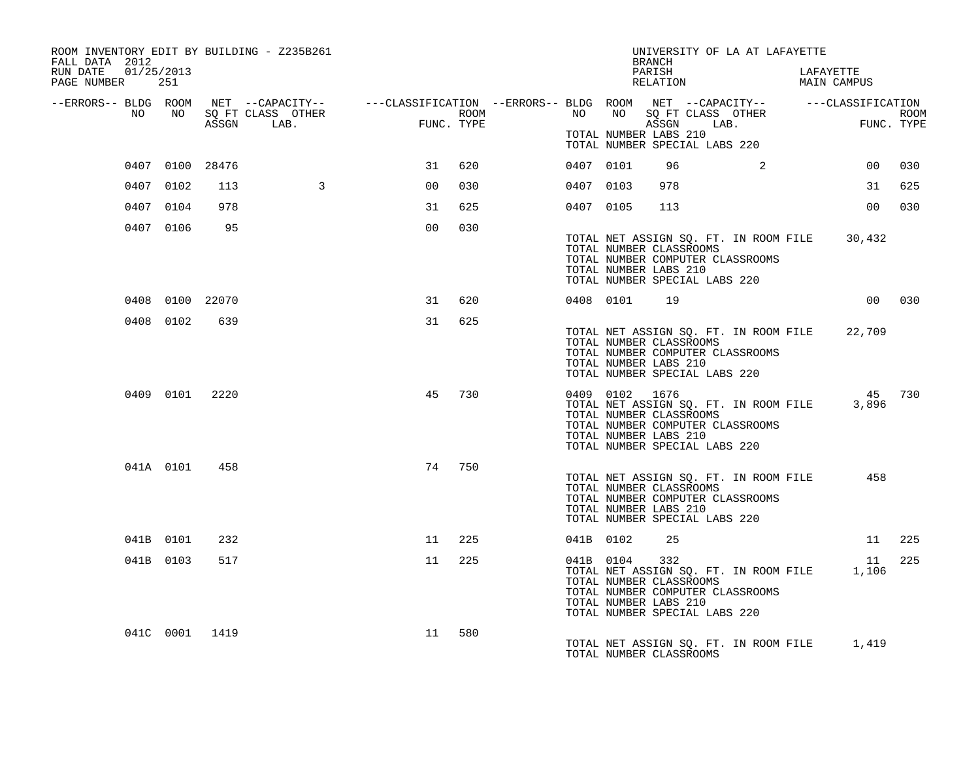| ROOM INVENTORY EDIT BY BUILDING - Z235B261<br>FALL DATA 2012 |           |                 |                   |                                                                                                                     |            |           |                | UNIVERSITY OF LA AT LAFAYETTE<br>BRANCH                                                                                                                                     |          |           |                 |             |
|--------------------------------------------------------------|-----------|-----------------|-------------------|---------------------------------------------------------------------------------------------------------------------|------------|-----------|----------------|-----------------------------------------------------------------------------------------------------------------------------------------------------------------------------|----------|-----------|-----------------|-------------|
| RUN DATE 01/25/2013<br>PAGE NUMBER 251                       |           |                 |                   |                                                                                                                     |            |           |                | PARISH<br>RELATION                                                                                                                                                          |          | LAFAYETTE | MAIN CAMPUS     |             |
| NO                                                           | NO        |                 | SQ FT CLASS OTHER | --ERRORS-- BLDG ROOM NET --CAPACITY-- -----CLASSIFICATION --ERRORS-- BLDG ROOM NET --CAPACITY-- -----CLASSIFICATION | ROOM       | NO 11     | NO             | SQ FT CLASS OTHER                                                                                                                                                           |          |           |                 | <b>ROOM</b> |
|                                                              |           |                 | ASSGN LAB.        | FUNC                                                                                                                | FUNC. TYPE |           |                | ASSGN LAB.<br>TOTAL NUMBER LABS 210<br>TOTAL NUMBER SPECIAL LABS 220                                                                                                        |          | FUN       | FUNC. TYPE      |             |
|                                                              |           | 0407 0100 28476 |                   | 31                                                                                                                  | 620        | 0407 0101 |                | 96                                                                                                                                                                          | $\sim$ 2 |           |                 | 00 030      |
|                                                              | 0407 0102 | 113             | $\overline{3}$    | 0 <sup>0</sup>                                                                                                      | 030        | 0407 0103 |                | 978                                                                                                                                                                         |          |           | 31              | 625         |
|                                                              | 0407 0104 | 978             |                   | 31                                                                                                                  | 625        | 0407 0105 |                | 113                                                                                                                                                                         |          |           | 00              | 030         |
|                                                              | 0407 0106 | 95              |                   | 0 <sub>0</sub>                                                                                                      | 030        |           |                | TOTAL NET ASSIGN SQ. FT. IN ROOM FILE 30,432<br>TOTAL NUMBER CLASSROOMS<br>TOTAL NUMBER COMPUTER CLASSROOMS<br>TOTAL NUMBER LABS 210<br>TOTAL NUMBER SPECIAL LABS 220       |          |           |                 |             |
|                                                              |           | 0408 0100 22070 |                   | 31                                                                                                                  | 620        |           | 0408 0101      | 19                                                                                                                                                                          |          |           |                 | 00 030      |
|                                                              | 0408 0102 | 639             |                   | 31                                                                                                                  | 625        |           |                | TOTAL NET ASSIGN SQ. FT. IN ROOM FILE<br>TOTAL NUMBER CLASSROOMS<br>TOTAL NUMBER COMPUTER CLASSROOMS<br>TOTAL NUMBER LABS 210<br>TOTAL NUMBER SPECIAL LABS 220              |          |           | 22,709          |             |
|                                                              | 0409 0101 | 2220            |                   | 45                                                                                                                  | 730        |           | 0409 0102 1676 | TOTAL NET ASSIGN SQ. FT. IN ROOM FILE<br>TOTAL NUMBER CLASSROOMS<br>TOTAL NUMBER COMPUTER CLASSROOMS<br>TOTAL NUMBER LABS 210<br>TOTAL NUMBER SPECIAL LABS 220              |          |           | 45 730<br>3,896 |             |
|                                                              | 041A 0101 | 458             |                   | 74                                                                                                                  | 750        |           |                | TOTAL NET ASSIGN SQ. FT. IN ROOM FILE<br>TOTAL NUMBER CLASSROOMS<br>TOTAL NUMBER COMPUTER CLASSROOMS<br>TOTAL NUMBER LABS 210<br>TOTAL NUMBER SPECIAL LABS 220              |          |           | 458             |             |
|                                                              | 041B 0101 | 232             |                   | 11                                                                                                                  | 225        | 041B 0102 |                | 25                                                                                                                                                                          |          |           |                 | 11 225      |
|                                                              | 041B 0103 | 517             |                   | 11                                                                                                                  | 225        |           | 041B 0104      | 332<br>TOTAL NET ASSIGN SQ. FT. IN ROOM FILE 1,106<br>TOTAL NUMBER CLASSROOMS<br>TOTAL NUMBER COMPUTER CLASSROOMS<br>TOTAL NUMBER LABS 210<br>TOTAL NUMBER SPECIAL LABS 220 |          |           |                 | 11 225      |
|                                                              |           | 041C 0001 1419  |                   | 11                                                                                                                  | 580        |           |                | TOTAL NET ASSIGN SQ. FT. IN ROOM FILE 1,419<br>TOTAL NUMBER CLASSROOMS                                                                                                      |          |           |                 |             |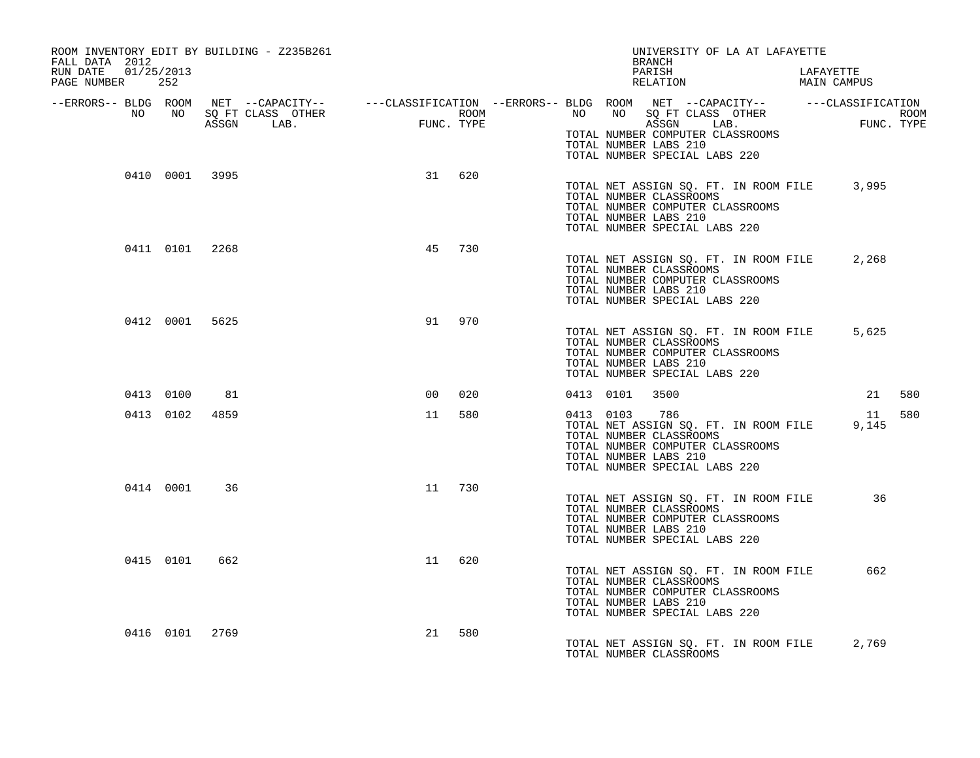| ROOM INVENTORY EDIT BY BUILDING - Z235B261<br>FALL DATA 2012 |                                                                |                |     |           | UNIVERSITY OF LA AT LAFAYETTE<br>BRANCH                                                                                                                               |                          |
|--------------------------------------------------------------|----------------------------------------------------------------|----------------|-----|-----------|-----------------------------------------------------------------------------------------------------------------------------------------------------------------------|--------------------------|
| RUN DATE 01/25/2013<br>PAGE NUMBER 252                       |                                                                |                |     |           | PARISH<br>RELATION                                                                                                                                                    | LAFAYETTE<br>MAIN CAMPUS |
| NO                                                           | ROOM NEI --CAFACILI<br>NO SQFT CLASS OTHER<br>ASSGN LAB. FUNC. | FUNC. TYPE     |     |           | --ERRORS-- BLDG ROOM NET --CAPACITY-- -----CLASSIFICATION --ERRORS-- BLDG ROOM NET --CAPACITY-- -----CLASSIFICATION                                                   | ROOM<br>FUNC. TYPE       |
|                                                              |                                                                |                |     |           | TOTAL NUMBER COMPUTER CLASSROOMS<br>TOTAL NUMBER LABS 210<br>TOTAL NUMBER SPECIAL LABS 220                                                                            |                          |
| 0410 0001 3995                                               |                                                                | 31 620         |     |           | TOTAL NET ASSIGN SQ. FT. IN ROOM FILE 3,995<br>TOTAL NUMBER CLASSROOMS<br>TOTAL NUMBER COMPUTER CLASSROOMS<br>TOTAL NUMBER LABS 210<br>TOTAL NUMBER SPECIAL LABS 220  |                          |
| 0411 0101 2268                                               |                                                                | 45             | 730 |           | TOTAL NET ASSIGN SQ. FT. IN ROOM FILE<br>TOTAL NUMBER CLASSROOMS<br>TOTAL NUMBER COMPUTER CLASSROOMS<br>TOTAL NUMBER LABS 210<br>TOTAL NUMBER SPECIAL LABS 220        | 2,268                    |
| 0412 0001 5625                                               |                                                                | 91             | 970 |           | TOTAL NET ASSIGN SQ. FT. IN ROOM FILE<br>TOTAL NUMBER CLASSROOMS<br>TOTAL NUMBER COMPUTER CLASSROOMS<br>TOTAL NUMBER LABS 210<br>TOTAL NUMBER SPECIAL LABS 220        | 5,625                    |
| 0413 0100                                                    | 81                                                             | 0 <sub>0</sub> | 020 |           | 0413 0101 3500                                                                                                                                                        | 21 580                   |
| 0413 0102                                                    | 4859                                                           | 11             | 580 | 0413 0103 | 786<br>TOTAL NET ASSIGN SQ. FT. IN ROOM FILE<br>TOTAL NUMBER CLASSROOMS<br>TOTAL NUMBER COMPUTER CLASSROOMS<br>TOTAL NUMBER LABS 210<br>TOTAL NUMBER SPECIAL LABS 220 | 580<br>11<br>9,145       |
| 0414 0001                                                    | 36                                                             | 11             | 730 |           | TOTAL NET ASSIGN SQ. FT. IN ROOM FILE<br>TOTAL NUMBER CLASSROOMS<br>TOTAL NUMBER COMPUTER CLASSROOMS<br>TOTAL NUMBER LABS 210<br>TOTAL NUMBER SPECIAL LABS 220        | 36                       |
| 0415 0101                                                    | 662                                                            | 11 620         |     |           | TOTAL NET ASSIGN SQ. FT. IN ROOM FILE<br>TOTAL NUMBER CLASSROOMS<br>TOTAL NUMBER COMPUTER CLASSROOMS<br>TOTAL NUMBER LABS 210<br>TOTAL NUMBER SPECIAL LABS 220        | 662                      |
| 0416 0101 2769                                               |                                                                | 21             | 580 |           | TOTAL NET ASSIGN SQ. FT. IN ROOM FILE 2,769<br>TOTAL NUMBER CLASSROOMS                                                                                                |                          |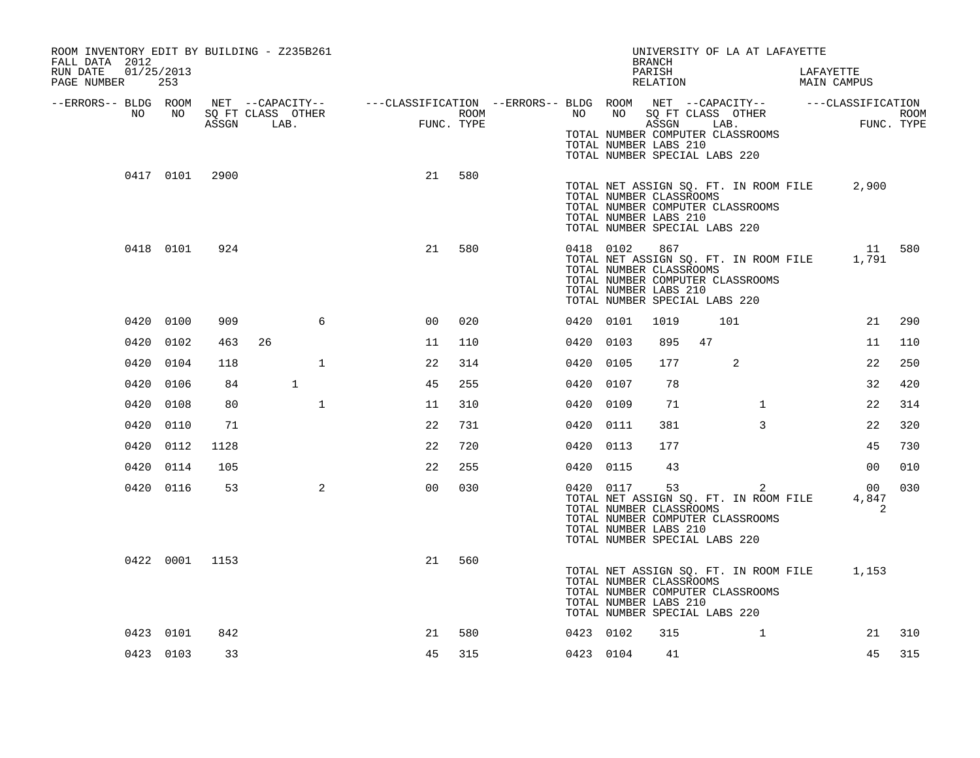| ROOM INVENTORY EDIT BY BUILDING - Z235B261<br>FALL DATA 2012 |           |                |              |                                                                                                                                                                                                                                      |     |           |               | <b>BRANCH</b>                                                                     |     | UNIVERSITY OF LA AT LAFAYETTE                                                  |                                                       |     |
|--------------------------------------------------------------|-----------|----------------|--------------|--------------------------------------------------------------------------------------------------------------------------------------------------------------------------------------------------------------------------------------|-----|-----------|---------------|-----------------------------------------------------------------------------------|-----|--------------------------------------------------------------------------------|-------------------------------------------------------|-----|
| RUN DATE<br>01/25/2013<br>PAGE NUMBER 253                    |           |                |              |                                                                                                                                                                                                                                      |     |           |               | PARISH<br>RELATION                                                                |     |                                                                                | LAFAYETTE<br>DAPAIEITE<br>MAIN CAMPUS                 |     |
|                                                              |           |                |              | ERRORS-- BLDG ROOM NET --CAPACITY--- --CLASSIFICATION--ERRORS-- BLDG ROOM NET --CAPACITY---------CLASSIFICATION--<br>NO NO SQ FT CLASS OTHER ROOM NO ROOM NO SQ FT CLASS OTHER ROOM<br>ASSGN LAB. FUNC. TYPE ASSGN ASSGN ASSGN ABSER |     |           |               | TOTAL NUMBER LABS 210<br>TOTAL NUMBER SPECIAL LABS 220                            |     | TOTAL NUMBER COMPUTER CLASSROOMS                                               |                                                       |     |
|                                                              |           | 0417 0101 2900 |              | 21                                                                                                                                                                                                                                   | 580 |           |               | TOTAL NUMBER CLASSROOMS<br>TOTAL NUMBER LABS 210<br>TOTAL NUMBER SPECIAL LABS 220 |     | TOTAL NUMBER COMPUTER CLASSROOMS                                               | TOTAL NET ASSIGN SQ. FT. IN ROOM FILE 2,900           |     |
|                                                              | 0418 0101 | 924            |              | 21                                                                                                                                                                                                                                   | 580 |           | 0418 0102 867 | TOTAL NUMBER CLASSROOMS<br>TOTAL NUMBER LABS 210<br>TOTAL NUMBER SPECIAL LABS 220 |     | TOTAL NUMBER COMPUTER CLASSROOMS                                               | 11 580<br>TOTAL NET ASSIGN SQ. FT. IN ROOM FILE 1,791 |     |
|                                                              | 0420 0100 | 909            | 6            | 0 <sup>0</sup>                                                                                                                                                                                                                       | 020 | 0420 0101 |               | 1019                                                                              | 101 |                                                                                | 21                                                    | 290 |
|                                                              | 0420 0102 | 463            | 26           | 11                                                                                                                                                                                                                                   | 110 | 0420 0103 |               | 895                                                                               | 47  |                                                                                | 11                                                    | 110 |
|                                                              | 0420 0104 | 118            | $\mathbf{1}$ | 22                                                                                                                                                                                                                                   | 314 | 0420 0105 |               | 177                                                                               |     | 2                                                                              | 22                                                    | 250 |
|                                                              | 0420 0106 | 84             | $\mathbf{1}$ | 45                                                                                                                                                                                                                                   | 255 | 0420 0107 |               | 78                                                                                |     |                                                                                | 32                                                    | 420 |
|                                                              | 0420 0108 | 80             | $\mathbf{1}$ | 11                                                                                                                                                                                                                                   | 310 | 0420 0109 |               | 71                                                                                |     | $\mathbf{1}$                                                                   | 22                                                    | 314 |
|                                                              | 0420 0110 | 71             |              | 22                                                                                                                                                                                                                                   | 731 | 0420 0111 |               | 381                                                                               |     | $\mathbf{3}$                                                                   | 22                                                    | 320 |
|                                                              | 0420 0112 | 1128           |              | 22                                                                                                                                                                                                                                   | 720 | 0420 0113 |               | 177                                                                               |     |                                                                                | 45                                                    | 730 |
|                                                              | 0420 0114 | 105            |              | 22                                                                                                                                                                                                                                   | 255 | 0420 0115 |               | 43                                                                                |     |                                                                                | 00                                                    | 010 |
|                                                              | 0420 0116 | 53             | 2            | 0 <sub>0</sub>                                                                                                                                                                                                                       | 030 |           | 0420 0117 53  | TOTAL NUMBER CLASSROOMS<br>TOTAL NUMBER LABS 210<br>TOTAL NUMBER SPECIAL LABS 220 |     | 2<br>TOTAL NET ASSIGN SQ. FT. IN ROOM FILE<br>TOTAL NUMBER COMPUTER CLASSROOMS | 0 <sub>0</sub><br>4,847<br>2                          | 030 |
|                                                              |           | 0422 0001 1153 |              | 21                                                                                                                                                                                                                                   | 560 |           |               | TOTAL NUMBER CLASSROOMS<br>TOTAL NUMBER LABS 210<br>TOTAL NUMBER SPECIAL LABS 220 |     | TOTAL NUMBER COMPUTER CLASSROOMS                                               | TOTAL NET ASSIGN SQ. FT. IN ROOM FILE 1,153           |     |
|                                                              | 0423 0101 | 842            |              | 21                                                                                                                                                                                                                                   | 580 | 0423 0102 |               | 315                                                                               |     | $\mathbf{1}$                                                                   | 21                                                    | 310 |
|                                                              | 0423 0103 | 33             |              | 45                                                                                                                                                                                                                                   | 315 | 0423 0104 |               | 41                                                                                |     |                                                                                | 45                                                    | 315 |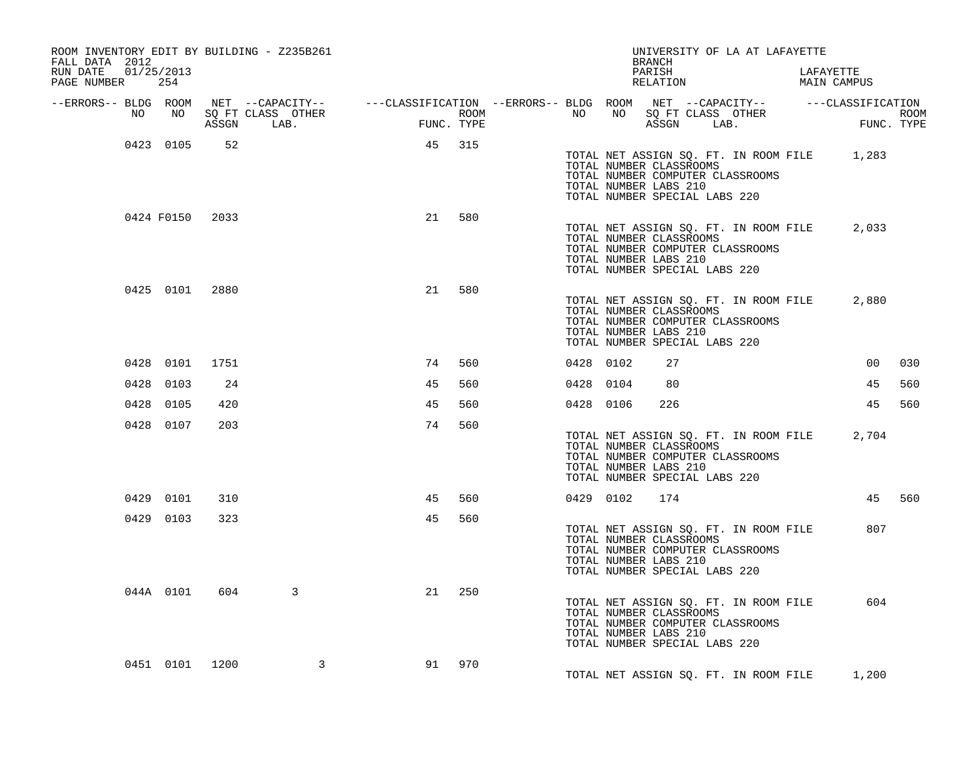| ROOM INVENTORY EDIT BY BUILDING - Z235B261<br>FALL DATA 2012<br>RUN DATE 01/25/2013                                       |                |                 |                   |    |            |      |           |                                                                                   | BRANCH<br>PARISH | UNIVERSITY OF LA AT LAFAYETTE                                             | LAFAYETTE                                   |                    |
|---------------------------------------------------------------------------------------------------------------------------|----------------|-----------------|-------------------|----|------------|------|-----------|-----------------------------------------------------------------------------------|------------------|---------------------------------------------------------------------------|---------------------------------------------|--------------------|
| PAGE NUMBER 254                                                                                                           |                |                 |                   |    |            |      |           |                                                                                   | RELATION         |                                                                           | MAIN CAMPUS                                 |                    |
| --ERRORS-- BLDG ROOM NET --CAPACITY-- -----CLASSIFICATION --ERRORS-- BLDG ROOM NET --CAPACITY-- -----CLASSIFICATION<br>NO | NO             |                 | SO FT CLASS OTHER |    |            |      | NO        |                                                                                   |                  | NO SQ FT CLASS OTHER                                                      |                                             |                    |
|                                                                                                                           |                |                 | ASSGN LAB.        |    | FUNC. TYPE | ROOM |           |                                                                                   |                  | ASSGN LAB.                                                                |                                             | ROOM<br>FUNC. TYPE |
|                                                                                                                           | 0423 0105      | 52              |                   | 45 | 315        |      |           | TOTAL NUMBER CLASSROOMS<br>TOTAL NUMBER LABS 210<br>TOTAL NUMBER SPECIAL LABS 220 |                  | TOTAL NUMBER COMPUTER CLASSROOMS                                          | TOTAL NET ASSIGN SQ. FT. IN ROOM FILE 1,283 |                    |
|                                                                                                                           |                | 0424 F0150 2033 |                   | 21 | 580        |      |           | TOTAL NUMBER CLASSROOMS<br>TOTAL NUMBER LABS 210<br>TOTAL NUMBER SPECIAL LABS 220 |                  | TOTAL NET ASSIGN SQ. FT. IN ROOM FILE<br>TOTAL NUMBER COMPUTER CLASSROOMS | 2,033                                       |                    |
|                                                                                                                           | 0425 0101 2880 |                 |                   | 21 | 580        |      |           | TOTAL NUMBER CLASSROOMS<br>TOTAL NUMBER LABS 210<br>TOTAL NUMBER SPECIAL LABS 220 |                  | TOTAL NET ASSIGN SQ. FT. IN ROOM FILE<br>TOTAL NUMBER COMPUTER CLASSROOMS | 2,880                                       |                    |
|                                                                                                                           | 0428 0101      | 1751            |                   | 74 | 560        |      | 0428 0102 |                                                                                   | 27               |                                                                           | 00                                          | 030                |
| 0428 0103                                                                                                                 |                | 24              |                   | 45 | 560        |      | 0428 0104 |                                                                                   | 80               |                                                                           | 45                                          | 560                |
| 0428 0105                                                                                                                 |                | 420             |                   | 45 | 560        |      |           | 0428 0106                                                                         | 226              |                                                                           | 45                                          | 560                |
|                                                                                                                           | 0428 0107      | 203             |                   | 74 | 560        |      |           | TOTAL NUMBER CLASSROOMS<br>TOTAL NUMBER LABS 210<br>TOTAL NUMBER SPECIAL LABS 220 |                  | TOTAL NUMBER COMPUTER CLASSROOMS                                          | TOTAL NET ASSIGN SQ. FT. IN ROOM FILE 2,704 |                    |
|                                                                                                                           | 0429 0101      | 310             |                   | 45 | 560        |      |           | 0429 0102                                                                         | 174              |                                                                           |                                             | 45 560             |
|                                                                                                                           | 0429 0103      | 323             |                   | 45 | 560        |      |           | TOTAL NUMBER CLASSROOMS<br>TOTAL NUMBER LABS 210<br>TOTAL NUMBER SPECIAL LABS 220 |                  | TOTAL NET ASSIGN SQ. FT. IN ROOM FILE<br>TOTAL NUMBER COMPUTER CLASSROOMS | 807                                         |                    |
|                                                                                                                           | 044A 0101      | 604             | 3                 | 21 | 250        |      |           | TOTAL NUMBER CLASSROOMS<br>TOTAL NUMBER LABS 210<br>TOTAL NUMBER SPECIAL LABS 220 |                  | TOTAL NET ASSIGN SQ. FT. IN ROOM FILE<br>TOTAL NUMBER COMPUTER CLASSROOMS | 604                                         |                    |
|                                                                                                                           | 0451 0101 1200 |                 | 3                 | 91 | 970        |      |           |                                                                                   |                  |                                                                           | TOTAL NET ASSIGN SQ. FT. IN ROOM FILE 1,200 |                    |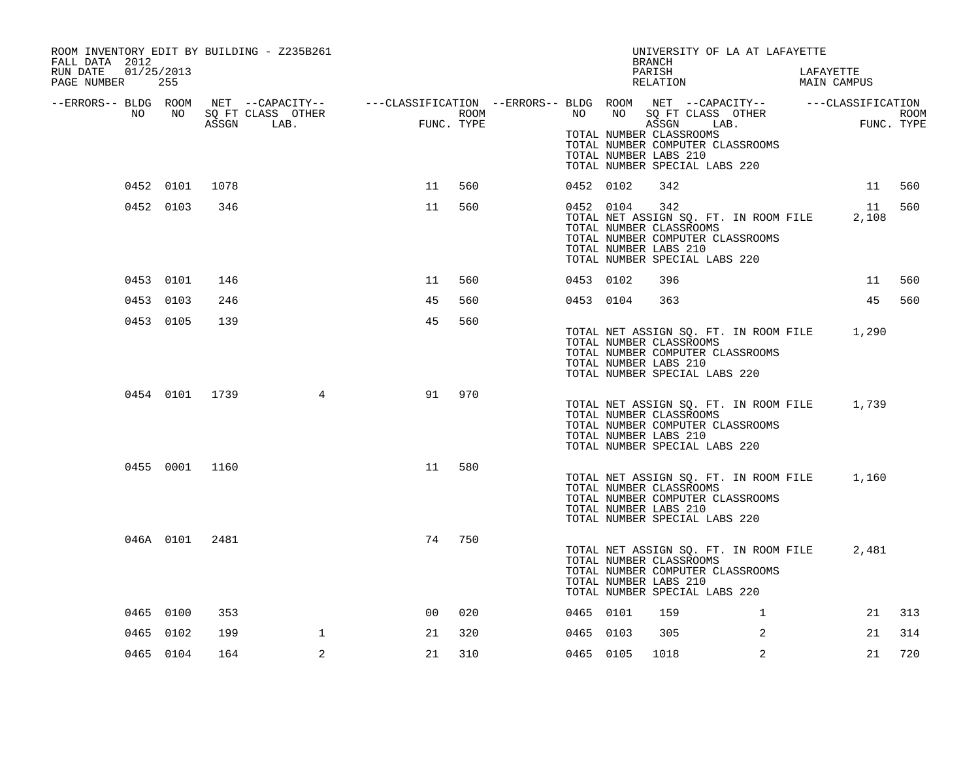| ROOM INVENTORY EDIT BY BUILDING - Z235B261<br>FALL DATA 2012<br>RUN DATE |           |                |                                                                                                |            |      |           | UNIVERSITY OF LA AT LAFAYETTE<br><b>BRANCH</b>                                                                                                                        |              |                          |    |                    |
|--------------------------------------------------------------------------|-----------|----------------|------------------------------------------------------------------------------------------------|------------|------|-----------|-----------------------------------------------------------------------------------------------------------------------------------------------------------------------|--------------|--------------------------|----|--------------------|
| 01/25/2013<br>PAGE NUMBER                                                | 255       |                |                                                                                                |            |      |           | PARISH<br>RELATION                                                                                                                                                    |              | LAFAYETTE<br>MAIN CAMPUS |    |                    |
| --ERRORS-- BLDG ROOM<br>NO                                               | NO        |                | NET --CAPACITY--   ---CLASSIFICATION --ERRORS-- BLDG ROOM NET --CAPACITY--   ---CLASSIFICATION | FUNC. TYPE | ROOM |           | NO NO SQ FT CLASS OTHER<br>ASSGN LAB.                                                                                                                                 |              |                          |    | ROOM<br>FUNC. TYPE |
|                                                                          |           |                |                                                                                                |            |      |           | TOTAL NUMBER CLASSROOMS<br>TOTAL NUMBER COMPUTER CLASSROOMS<br>TOTAL NUMBER LABS 210<br>TOTAL NUMBER SPECIAL LABS 220                                                 |              |                          |    |                    |
|                                                                          |           | 0452 0101 1078 |                                                                                                | 11         | 560  | 0452 0102 | 342                                                                                                                                                                   |              |                          | 11 | 560                |
|                                                                          | 0452 0103 | 346            |                                                                                                | 11         | 560  | 0452 0104 | 342<br>TOTAL NET ASSIGN SQ. FT. IN ROOM FILE<br>TOTAL NUMBER CLASSROOMS<br>TOTAL NUMBER COMPUTER CLASSROOMS<br>TOTAL NUMBER LABS 210<br>TOTAL NUMBER SPECIAL LABS 220 |              | 2,108                    | 11 | 560                |
|                                                                          | 0453 0101 | 146            |                                                                                                | 11         | 560  | 0453 0102 | 396                                                                                                                                                                   |              |                          | 11 | 560                |
|                                                                          | 0453 0103 | 246            |                                                                                                | 45         | 560  | 0453 0104 | 363                                                                                                                                                                   |              |                          | 45 | 560                |
|                                                                          | 0453 0105 | 139            |                                                                                                | 45         | 560  |           | TOTAL NET ASSIGN SQ. FT. IN ROOM FILE 1,290<br>TOTAL NUMBER CLASSROOMS<br>TOTAL NUMBER COMPUTER CLASSROOMS<br>TOTAL NUMBER LABS 210<br>TOTAL NUMBER SPECIAL LABS 220  |              |                          |    |                    |
|                                                                          |           | 0454 0101 1739 | 4                                                                                              | 91         | 970  |           | TOTAL NET ASSIGN SQ. FT. IN ROOM FILE 1,739<br>TOTAL NUMBER CLASSROOMS<br>TOTAL NUMBER COMPUTER CLASSROOMS<br>TOTAL NUMBER LABS 210<br>TOTAL NUMBER SPECIAL LABS 220  |              |                          |    |                    |
|                                                                          |           | 0455 0001 1160 |                                                                                                | 11         | 580  |           | TOTAL NET ASSIGN SQ. FT. IN ROOM FILE<br>TOTAL NUMBER CLASSROOMS<br>TOTAL NUMBER COMPUTER CLASSROOMS<br>TOTAL NUMBER LABS 210<br>TOTAL NUMBER SPECIAL LABS 220        |              | 1,160                    |    |                    |
|                                                                          |           | 046A 0101 2481 |                                                                                                | 74         | 750  |           | TOTAL NET ASSIGN SQ. FT. IN ROOM FILE<br>TOTAL NUMBER CLASSROOMS<br>TOTAL NUMBER COMPUTER CLASSROOMS<br>TOTAL NUMBER LABS 210<br>TOTAL NUMBER SPECIAL LABS 220        |              | 2,481                    |    |                    |
|                                                                          | 0465 0100 | 353            |                                                                                                | 00         | 020  | 0465 0101 | 159                                                                                                                                                                   | $\mathbf{1}$ |                          | 21 | 313                |
|                                                                          | 0465 0102 | 199            | $\mathbf{1}$                                                                                   | 21         | 320  | 0465 0103 | 305                                                                                                                                                                   | 2            |                          | 21 | 314                |
|                                                                          | 0465 0104 | 164            | 2                                                                                              | 21         | 310  | 0465 0105 | 1018                                                                                                                                                                  | 2            |                          | 21 | 720                |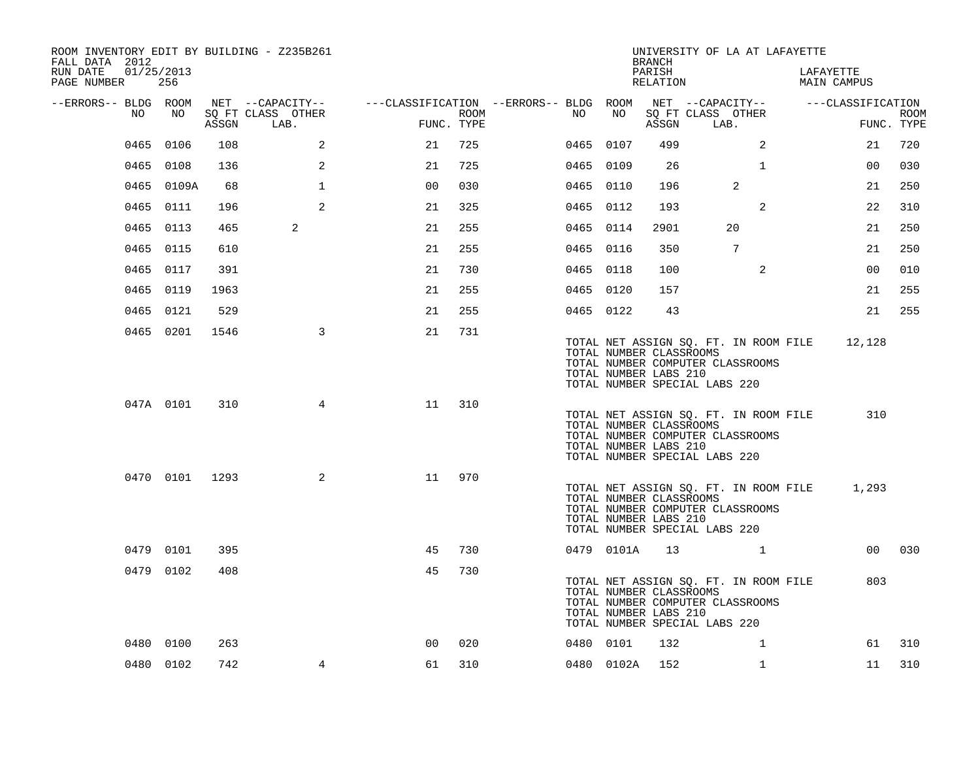| ROOM INVENTORY EDIT BY BUILDING - Z235B261<br>FALL DATA 2012 |                   |       |                           |                                        |      |           |            | <b>BRANCH</b>                                    | UNIVERSITY OF LA AT LAFAYETTE                                                                              |                          |                           |
|--------------------------------------------------------------|-------------------|-------|---------------------------|----------------------------------------|------|-----------|------------|--------------------------------------------------|------------------------------------------------------------------------------------------------------------|--------------------------|---------------------------|
| RUN DATE<br>PAGE NUMBER                                      | 01/25/2013<br>256 |       |                           |                                        |      |           |            | PARISH<br>RELATION                               |                                                                                                            | LAFAYETTE<br>MAIN CAMPUS |                           |
| --ERRORS-- BLDG ROOM                                         |                   |       | NET --CAPACITY--          | ---CLASSIFICATION --ERRORS-- BLDG ROOM |      |           |            |                                                  | NET --CAPACITY--                                                                                           | ---CLASSIFICATION        |                           |
| NO                                                           | NO                | ASSGN | SQ FT CLASS OTHER<br>LAB. | FUNC. TYPE                             | ROOM | NO        | NO         | ASSGN                                            | SQ FT CLASS OTHER<br>LAB.                                                                                  |                          | <b>ROOM</b><br>FUNC. TYPE |
| 0465                                                         | 0106              | 108   | $\overline{a}$            | 21                                     | 725  | 0465 0107 |            | 499                                              | 2                                                                                                          | 21                       | 720                       |
|                                                              | 0465 0108         | 136   | 2                         | 21                                     | 725  | 0465 0109 |            | 26                                               | $\mathbf{1}$                                                                                               | 00                       | 030                       |
|                                                              | 0465 0109A        | 68    | $\mathbf 1$               | 0 <sub>0</sub>                         | 030  | 0465 0110 |            | 196                                              | 2                                                                                                          | 21                       | 250                       |
|                                                              | 0465 0111         | 196   | 2                         | 21                                     | 325  | 0465 0112 |            | 193                                              | 2                                                                                                          | 22                       | 310                       |
| 0465                                                         | 0113              | 465   | 2                         | 21                                     | 255  | 0465 0114 |            | 2901                                             | 20                                                                                                         | 21                       | 250                       |
|                                                              | 0465 0115         | 610   |                           | 21                                     | 255  | 0465 0116 |            | 350                                              | $7\overline{ }$                                                                                            | 21                       | 250                       |
|                                                              | 0465 0117         | 391   |                           | 21                                     | 730  | 0465 0118 |            | 100                                              | $\overline{2}$                                                                                             | 0 <sub>0</sub>           | 010                       |
|                                                              | 0465 0119         | 1963  |                           | 21                                     | 255  | 0465 0120 |            | 157                                              |                                                                                                            | 21                       | 255                       |
|                                                              | 0465 0121         | 529   |                           | 21                                     | 255  | 0465 0122 |            | 43                                               |                                                                                                            | 21                       | 255                       |
|                                                              | 0465 0201         | 1546  | 3                         | 21                                     | 731  |           |            | TOTAL NUMBER CLASSROOMS<br>TOTAL NUMBER LABS 210 | TOTAL NET ASSIGN SQ. FT. IN ROOM FILE<br>TOTAL NUMBER COMPUTER CLASSROOMS<br>TOTAL NUMBER SPECIAL LABS 220 | 12,128                   |                           |
|                                                              | 047A 0101         | 310   | $\overline{4}$            | 11                                     | 310  |           |            | TOTAL NUMBER CLASSROOMS<br>TOTAL NUMBER LABS 210 | TOTAL NET ASSIGN SQ. FT. IN ROOM FILE<br>TOTAL NUMBER COMPUTER CLASSROOMS<br>TOTAL NUMBER SPECIAL LABS 220 | 310                      |                           |
|                                                              | 0470 0101 1293    |       | 2                         | 11                                     | 970  |           |            | TOTAL NUMBER CLASSROOMS<br>TOTAL NUMBER LABS 210 | TOTAL NET ASSIGN SQ. FT. IN ROOM FILE<br>TOTAL NUMBER COMPUTER CLASSROOMS<br>TOTAL NUMBER SPECIAL LABS 220 | 1,293                    |                           |
|                                                              | 0479 0101         | 395   |                           | 45                                     | 730  |           | 0479 0101A |                                                  | 13 1                                                                                                       | 00 <sub>o</sub>          | 030                       |
|                                                              | 0479 0102         | 408   |                           | 45                                     | 730  |           |            | TOTAL NUMBER CLASSROOMS<br>TOTAL NUMBER LABS 210 | TOTAL NET ASSIGN SQ. FT. IN ROOM FILE<br>TOTAL NUMBER COMPUTER CLASSROOMS<br>TOTAL NUMBER SPECIAL LABS 220 | 803                      |                           |
|                                                              | 0480 0100         | 263   |                           | 0 <sub>0</sub>                         | 020  | 0480 0101 |            | 132                                              | $\mathbf{1}$                                                                                               | 61                       | 310                       |
|                                                              | 0480 0102         | 742   | $\overline{4}$            | 61                                     | 310  |           | 0480 0102A | 152                                              | $\mathbf{1}$                                                                                               | 11                       | 310                       |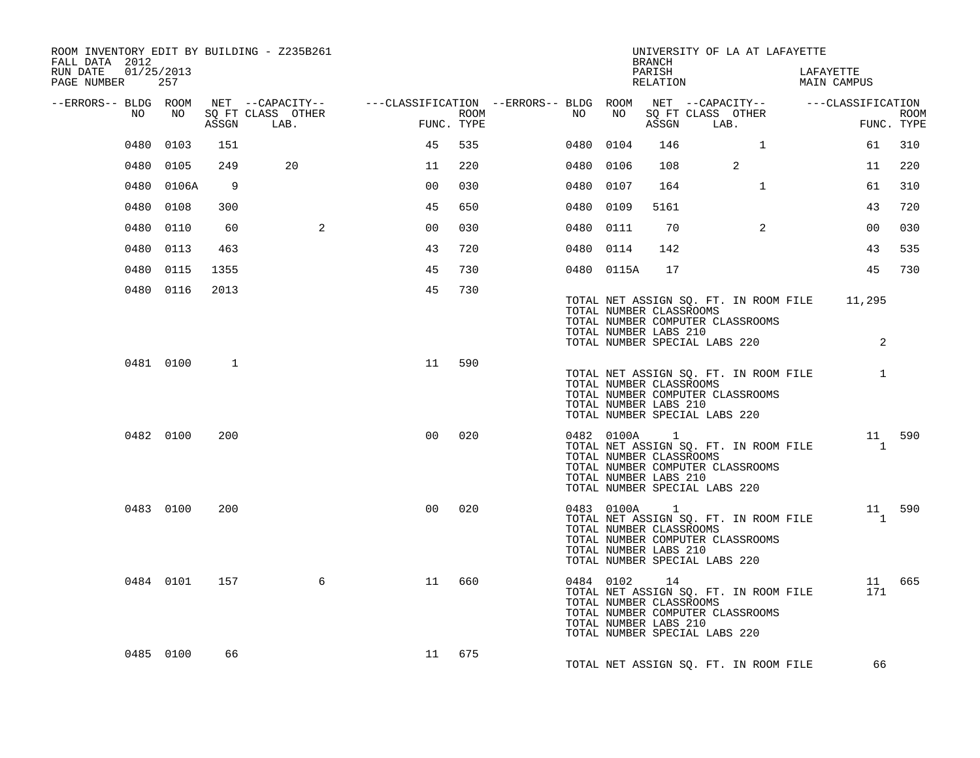| ROOM INVENTORY EDIT BY BUILDING - Z235B261<br>FALL DATA 2012 |            |       |                                                                                                |                |      |           |                                                                  | BRANCH             | UNIVERSITY OF LA AT LAFAYETTE                                                                                     |           |                          |             |
|--------------------------------------------------------------|------------|-------|------------------------------------------------------------------------------------------------|----------------|------|-----------|------------------------------------------------------------------|--------------------|-------------------------------------------------------------------------------------------------------------------|-----------|--------------------------|-------------|
| RUN DATE 01/25/2013<br>PAGE NUMBER                           | 257        |       |                                                                                                |                |      |           |                                                                  | PARISH<br>RELATION |                                                                                                                   | LAFAYETTE | MAIN CAMPUS              |             |
| --ERRORS-- BLDG ROOM                                         |            |       | NET --CAPACITY-- - ---CLASSIFICATION --ERRORS-- BLDG ROOM NET --CAPACITY-- - ---CLASSIFICATION |                |      |           |                                                                  |                    |                                                                                                                   |           |                          |             |
| NO                                                           | NO 11      | ASSGN | SQ FT CLASS OTHER<br>LAB.                                                                      | FUNC. TYPE     | ROOM | NO        | NO                                                               |                    | SQ FT CLASS OTHER<br>ASSGN LAB.                                                                                   |           | FUNC. TYPE               | <b>ROOM</b> |
|                                                              | 0480 0103  | 151   |                                                                                                | 45             | 535  | 0480 0104 |                                                                  | 146                | $\overline{1}$                                                                                                    |           | 61                       | 310         |
|                                                              | 0480 0105  | 249   | 20                                                                                             | 11             | 220  | 0480 0106 |                                                                  | 108                | 2                                                                                                                 |           | 11                       | 220         |
|                                                              | 0480 0106A | - 9   |                                                                                                | 0 <sup>0</sup> | 030  | 0480 0107 |                                                                  | 164                | $\mathbf{1}$                                                                                                      |           | 61                       | 310         |
|                                                              | 0480 0108  | 300   |                                                                                                | 45             | 650  | 0480 0109 |                                                                  | 5161               |                                                                                                                   |           | 43                       | 720         |
|                                                              | 0480 0110  | 60    | $\overline{a}$                                                                                 | 0 <sub>0</sub> | 030  | 0480 0111 |                                                                  | 70                 | 2                                                                                                                 |           | 0 <sub>0</sub>           | 030         |
|                                                              | 0480 0113  | 463   |                                                                                                | 43             | 720  | 0480 0114 |                                                                  | 142                |                                                                                                                   |           | 43                       | 535         |
|                                                              | 0480 0115  | 1355  |                                                                                                | 45             | 730  |           | 0480 0115A                                                       | 17                 |                                                                                                                   |           | 45                       | 730         |
|                                                              | 0480 0116  | 2013  |                                                                                                | 45             | 730  |           | TOTAL NUMBER CLASSROOMS<br>TOTAL NUMBER LABS 210                 |                    | TOTAL NET ASSIGN SQ. FT. IN ROOM FILE 11,295<br>TOTAL NUMBER COMPUTER CLASSROOMS<br>TOTAL NUMBER SPECIAL LABS 220 |           | 2                        |             |
|                                                              | 0481 0100  | 1     |                                                                                                | 11             | 590  |           | TOTAL NUMBER CLASSROOMS<br>TOTAL NUMBER LABS 210                 |                    | TOTAL NET ASSIGN SQ. FT. IN ROOM FILE 1<br>TOTAL NUMBER COMPUTER CLASSROOMS<br>TOTAL NUMBER SPECIAL LABS 220      |           |                          |             |
|                                                              | 0482 0100  | 200   |                                                                                                | 0 <sup>0</sup> | 020  |           | 0482 0100A 1<br>TOTAL NUMBER CLASSROOMS<br>TOTAL NUMBER LABS 210 |                    | TOTAL NET ASSIGN SQ. FT. IN ROOM FILE<br>TOTAL NUMBER COMPUTER CLASSROOMS<br>TOTAL NUMBER SPECIAL LABS 220        |           | 11 590<br>$\overline{1}$ |             |
|                                                              | 0483 0100  | 200   |                                                                                                | 0 <sub>0</sub> | 020  |           | 0483 0100A 1<br>TOTAL NUMBER CLASSROOMS<br>TOTAL NUMBER LABS 210 |                    | TOTAL NET ASSIGN SQ. FT. IN ROOM FILE<br>TOTAL NUMBER COMPUTER CLASSROOMS<br>TOTAL NUMBER SPECIAL LABS 220        |           | 11 590<br>$\overline{1}$ |             |
|                                                              | 0484 0101  | 157   | 6                                                                                              | 11             | 660  |           | 0484 0102<br>TOTAL NUMBER CLASSROOMS<br>TOTAL NUMBER LABS 210    | 14                 | TOTAL NET ASSIGN SQ. FT. IN ROOM FILE<br>TOTAL NUMBER COMPUTER CLASSROOMS<br>TOTAL NUMBER SPECIAL LABS 220        |           | 171                      | 11 665      |
|                                                              | 0485 0100  | 66    |                                                                                                | 11             | 675  |           |                                                                  |                    | TOTAL NET ASSIGN SQ. FT. IN ROOM FILE                                                                             |           | 66                       |             |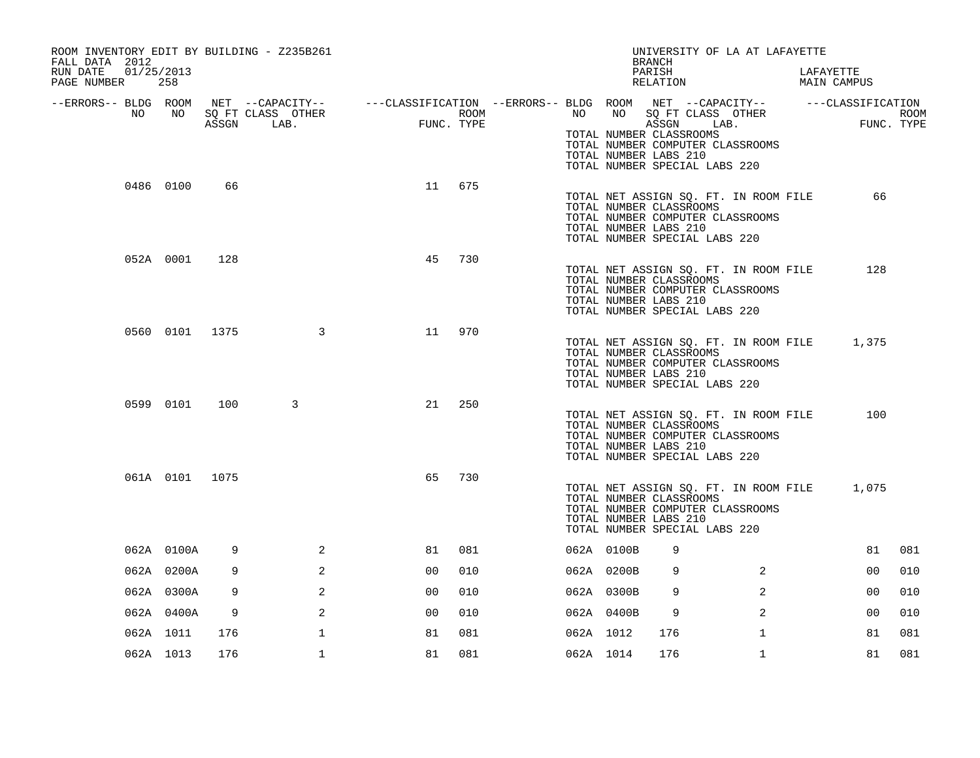| ROOM INVENTORY EDIT BY BUILDING - Z235B261<br>FALL DATA 2012 |                |     |                         |                                                                                                 |      |           |            | UNIVERSITY OF LA AT LAFAYETTE<br><b>BRANCH</b>                                                                                                                 |                |                          |             |
|--------------------------------------------------------------|----------------|-----|-------------------------|-------------------------------------------------------------------------------------------------|------|-----------|------------|----------------------------------------------------------------------------------------------------------------------------------------------------------------|----------------|--------------------------|-------------|
| 01/25/2013<br>RUN DATE<br>PAGE NUMBER                        | 258            |     |                         |                                                                                                 |      |           |            | PARISH<br>RELATION                                                                                                                                             |                | LAFAYETTE<br>MAIN CAMPUS |             |
| --ERRORS-- BLDG ROOM<br>NO                                   | NO             |     | SQ FT CLASS OTHER       | NET --CAPACITY-- - ---CLASSIFICATION --ERRORS-- BLDG ROOM NET --CAPACITY-- - ----CLASSIFICATION | ROOM | NO        | NO         | SQ FT CLASS OTHER                                                                                                                                              |                |                          | <b>ROOM</b> |
|                                                              |                |     | ASSGN LAB.              | FUNC<br>FUNC. TYPE                                                                              |      |           |            | ASSGN LAB.<br>TOTAL NUMBER CLASSROOMS<br>TOTAL NUMBER COMPUTER CLASSROOMS<br>TOTAL NUMBER LABS 210<br>TOTAL NUMBER SPECIAL LABS 220                            |                | FUNC. TYPE               |             |
|                                                              | 0486 0100      | 66  |                         | 11 675                                                                                          |      |           |            | TOTAL NET ASSIGN SQ. FT. IN ROOM FILE<br>TOTAL NUMBER CLASSROOMS<br>TOTAL NUMBER COMPUTER CLASSROOMS<br>TOTAL NUMBER LABS 210<br>TOTAL NUMBER SPECIAL LABS 220 |                | 66                       |             |
|                                                              | 052A 0001      | 128 |                         | 45                                                                                              | 730  |           |            | TOTAL NET ASSIGN SQ. FT. IN ROOM FILE<br>TOTAL NUMBER CLASSROOMS<br>TOTAL NUMBER COMPUTER CLASSROOMS<br>TOTAL NUMBER LABS 210<br>TOTAL NUMBER SPECIAL LABS 220 |                | 128                      |             |
|                                                              | 0560 0101 1375 |     | $\overline{\mathbf{3}}$ | 11                                                                                              | 970  |           |            | TOTAL NET ASSIGN SQ. FT. IN ROOM FILE<br>TOTAL NUMBER CLASSROOMS<br>TOTAL NUMBER COMPUTER CLASSROOMS<br>TOTAL NUMBER LABS 210<br>TOTAL NUMBER SPECIAL LABS 220 |                | 1,375                    |             |
|                                                              | 0599 0101      | 100 | 3                       | 21                                                                                              | 250  |           |            | TOTAL NET ASSIGN SQ. FT. IN ROOM FILE<br>TOTAL NUMBER CLASSROOMS<br>TOTAL NUMBER COMPUTER CLASSROOMS<br>TOTAL NUMBER LABS 210<br>TOTAL NUMBER SPECIAL LABS 220 |                | 100                      |             |
|                                                              | 061A 0101 1075 |     |                         | 65                                                                                              | 730  |           |            | TOTAL NET ASSIGN SQ. FT. IN ROOM FILE<br>TOTAL NUMBER CLASSROOMS<br>TOTAL NUMBER COMPUTER CLASSROOMS<br>TOTAL NUMBER LABS 210<br>TOTAL NUMBER SPECIAL LABS 220 |                | 1,075                    |             |
|                                                              | 062A 0100A     | 9   | 2                       | 81                                                                                              | 081  |           | 062A 0100B | 9                                                                                                                                                              |                | 81                       | 081         |
|                                                              | 062A 0200A     | 9   | 2                       | 0 <sub>0</sub>                                                                                  | 010  |           | 062A 0200B | 9                                                                                                                                                              | 2              | 0 <sub>0</sub>           | 010         |
|                                                              | 062A 0300A     | 9   | 2                       | 00                                                                                              | 010  |           | 062A 0300B | 9                                                                                                                                                              | $\overline{2}$ | 0 <sub>0</sub>           | 010         |
|                                                              | 062A 0400A     | 9   | 2                       | 00                                                                                              | 010  |           | 062A 0400B | 9                                                                                                                                                              | 2              | 00                       | 010         |
|                                                              | 062A 1011      | 176 | $\mathbf 1$             | 81                                                                                              | 081  | 062A 1012 |            | 176                                                                                                                                                            | $\mathbf{1}$   | 81                       | 081         |
|                                                              | 062A 1013      | 176 | $\mathbf{1}$            | 81                                                                                              | 081  | 062A 1014 |            | 176                                                                                                                                                            | $\mathbf{1}$   | 81                       | 081         |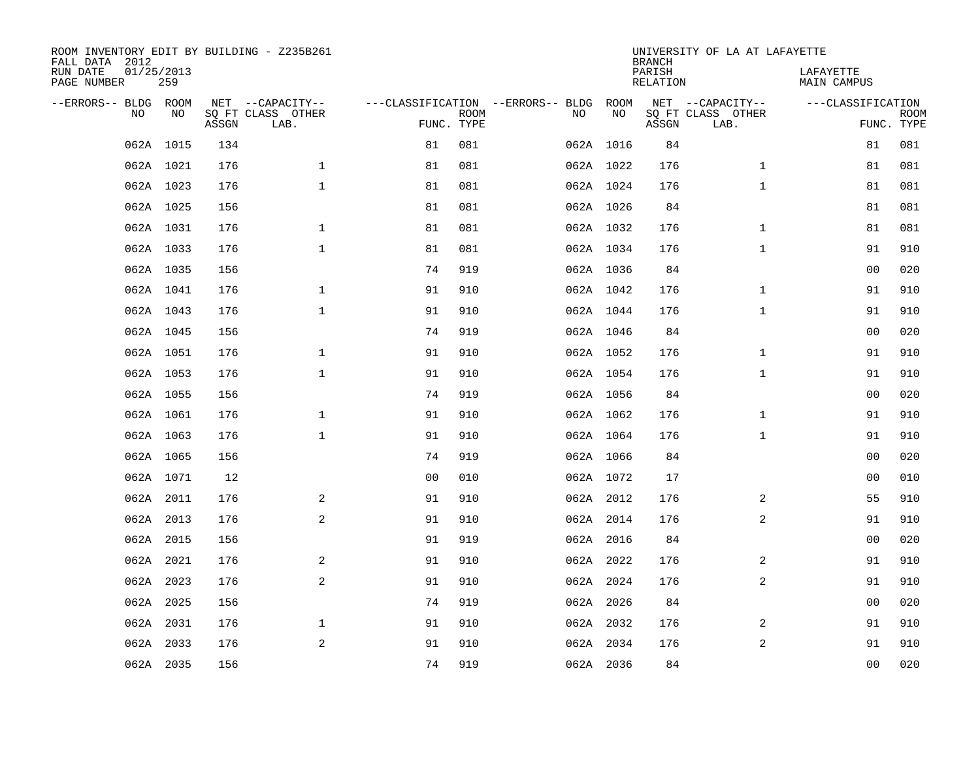| FALL DATA 2012<br>RUN DATE<br>PAGE NUMBER | 01/25/2013 | 259       |       | ROOM INVENTORY EDIT BY BUILDING - Z235B261    |                                                 |             |    |            | <b>BRANCH</b><br>PARISH<br>RELATION | UNIVERSITY OF LA AT LAFAYETTE                 | LAFAYETTE<br>MAIN CAMPUS |                           |
|-------------------------------------------|------------|-----------|-------|-----------------------------------------------|-------------------------------------------------|-------------|----|------------|-------------------------------------|-----------------------------------------------|--------------------------|---------------------------|
| --ERRORS-- BLDG ROOM                      | <b>NO</b>  | NO.       | ASSGN | NET --CAPACITY--<br>SQ FT CLASS OTHER<br>LAB. | ---CLASSIFICATION --ERRORS-- BLDG<br>FUNC. TYPE | <b>ROOM</b> | NO | ROOM<br>NO | ASSGN                               | NET --CAPACITY--<br>SQ FT CLASS OTHER<br>LAB. | ---CLASSIFICATION        | <b>ROOM</b><br>FUNC. TYPE |
|                                           | 062A 1015  |           | 134   |                                               | 81                                              | 081         |    | 062A 1016  | 84                                  |                                               | 81                       | 081                       |
|                                           |            | 062A 1021 | 176   | $\mathbf{1}$                                  | 81                                              | 081         |    | 062A 1022  | 176                                 | $\mathbf{1}$                                  | 81                       | 081                       |
|                                           |            | 062A 1023 | 176   | $\mathbf{1}$                                  | 81                                              | 081         |    | 062A 1024  | 176                                 | $\mathbf{1}$                                  | 81                       | 081                       |
|                                           |            | 062A 1025 | 156   |                                               | 81                                              | 081         |    | 062A 1026  | 84                                  |                                               | 81                       | 081                       |
|                                           |            | 062A 1031 | 176   | $\mathbf{1}$                                  | 81                                              | 081         |    | 062A 1032  | 176                                 | $\mathbf{1}$                                  | 81                       | 081                       |
|                                           |            | 062A 1033 | 176   | $\mathbf{1}$                                  | 81                                              | 081         |    | 062A 1034  | 176                                 | $\mathbf{1}$                                  | 91                       | 910                       |
|                                           |            | 062A 1035 | 156   |                                               | 74                                              | 919         |    | 062A 1036  | 84                                  |                                               | 0 <sub>0</sub>           | 020                       |
|                                           |            | 062A 1041 | 176   | $\mathbf 1$                                   | 91                                              | 910         |    | 062A 1042  | 176                                 | $\mathbf{1}$                                  | 91                       | 910                       |
|                                           |            | 062A 1043 | 176   | $\mathbf{1}$                                  | 91                                              | 910         |    | 062A 1044  | 176                                 | $\mathbf{1}$                                  | 91                       | 910                       |
|                                           | 062A 1045  |           | 156   |                                               | 74                                              | 919         |    | 062A 1046  | 84                                  |                                               | 00                       | 020                       |
|                                           |            | 062A 1051 | 176   | $\mathbf 1$                                   | 91                                              | 910         |    | 062A 1052  | 176                                 | $\mathbf{1}$                                  | 91                       | 910                       |
|                                           | 062A 1053  |           | 176   | $\mathbf{1}$                                  | 91                                              | 910         |    | 062A 1054  | 176                                 | $\mathbf{1}$                                  | 91                       | 910                       |
|                                           |            | 062A 1055 | 156   |                                               | 74                                              | 919         |    | 062A 1056  | 84                                  |                                               | 00                       | 020                       |
|                                           | 062A 1061  |           | 176   | $\mathbf{1}$                                  | 91                                              | 910         |    | 062A 1062  | 176                                 | $\mathbf{1}$                                  | 91                       | 910                       |
|                                           |            | 062A 1063 | 176   | $\mathbf{1}$                                  | 91                                              | 910         |    | 062A 1064  | 176                                 | $\mathbf{1}$                                  | 91                       | 910                       |
|                                           |            | 062A 1065 | 156   |                                               | 74                                              | 919         |    | 062A 1066  | 84                                  |                                               | 00                       | 020                       |
|                                           |            | 062A 1071 | 12    |                                               | 0 <sub>0</sub>                                  | 010         |    | 062A 1072  | 17                                  |                                               | 00                       | 010                       |
|                                           |            | 062A 2011 | 176   | 2                                             | 91                                              | 910         |    | 062A 2012  | 176                                 | 2                                             | 55                       | 910                       |
|                                           |            | 062A 2013 | 176   | 2                                             | 91                                              | 910         |    | 062A 2014  | 176                                 | 2                                             | 91                       | 910                       |
|                                           |            | 062A 2015 | 156   |                                               | 91                                              | 919         |    | 062A 2016  | 84                                  |                                               | 00                       | 020                       |
|                                           |            | 062A 2021 | 176   | 2                                             | 91                                              | 910         |    | 062A 2022  | 176                                 | 2                                             | 91                       | 910                       |
|                                           |            | 062A 2023 | 176   | 2                                             | 91                                              | 910         |    | 062A 2024  | 176                                 | 2                                             | 91                       | 910                       |
|                                           |            | 062A 2025 | 156   |                                               | 74                                              | 919         |    | 062A 2026  | 84                                  |                                               | 0 <sub>0</sub>           | 020                       |
|                                           |            | 062A 2031 | 176   | $\mathbf 1$                                   | 91                                              | 910         |    | 062A 2032  | 176                                 | 2                                             | 91                       | 910                       |
|                                           |            | 062A 2033 | 176   | 2                                             | 91                                              | 910         |    | 062A 2034  | 176                                 | $\overline{a}$                                | 91                       | 910                       |
|                                           | 062A 2035  |           | 156   |                                               | 74                                              | 919         |    | 062A 2036  | 84                                  |                                               | 0 <sub>0</sub>           | 020                       |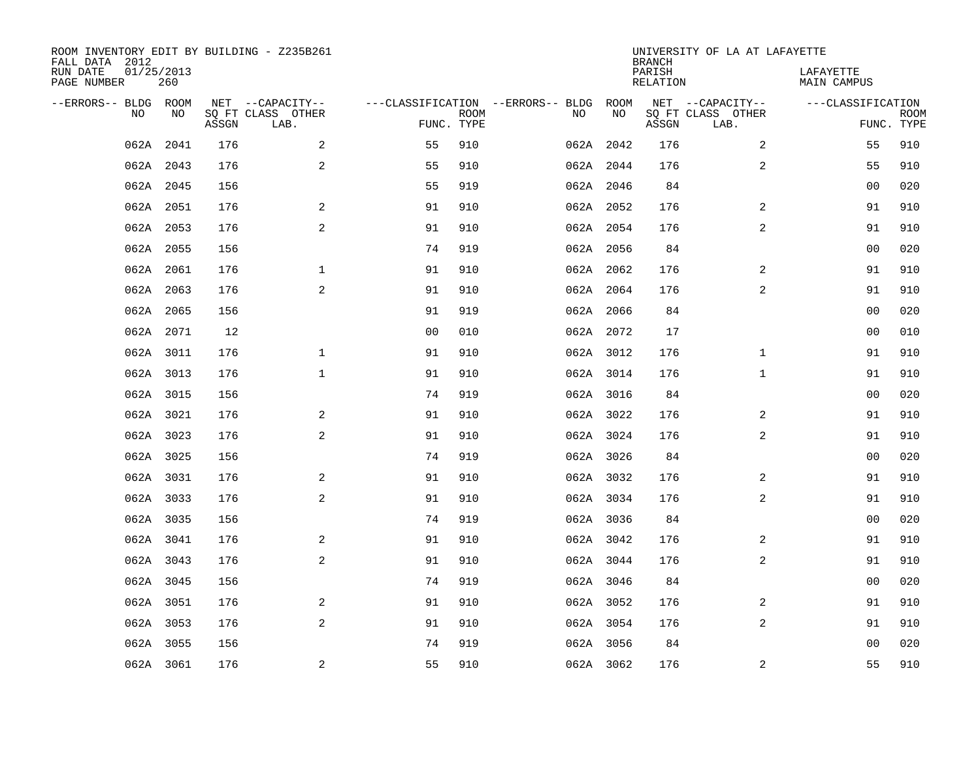| ROOM INVENTORY EDIT BY BUILDING - Z235B261<br>FALL DATA 2012 |                   |       |                           |                |             |                                   |           | <b>BRANCH</b>             | UNIVERSITY OF LA AT LAFAYETTE |                                 |             |
|--------------------------------------------------------------|-------------------|-------|---------------------------|----------------|-------------|-----------------------------------|-----------|---------------------------|-------------------------------|---------------------------------|-------------|
| RUN DATE<br>PAGE NUMBER                                      | 01/25/2013<br>260 |       |                           |                |             |                                   |           | PARISH<br><b>RELATION</b> |                               | LAFAYETTE<br><b>MAIN CAMPUS</b> |             |
| --ERRORS-- BLDG ROOM                                         |                   |       | NET --CAPACITY--          |                |             | ---CLASSIFICATION --ERRORS-- BLDG | ROOM      |                           | NET --CAPACITY--              | ---CLASSIFICATION               |             |
| NO                                                           | NO                | ASSGN | SQ FT CLASS OTHER<br>LAB. | FUNC. TYPE     | <b>ROOM</b> | NO                                | NO        | ASSGN                     | SQ FT CLASS OTHER<br>LAB.     | FUNC. TYPE                      | <b>ROOM</b> |
| 062A                                                         | 2041              | 176   | 2                         | 55             | 910         |                                   | 062A 2042 | 176                       | $\overline{2}$                | 55                              | 910         |
|                                                              | 062A 2043         | 176   | 2                         | 55             | 910         |                                   | 062A 2044 | 176                       | 2                             | 55                              | 910         |
|                                                              | 062A 2045         | 156   |                           | 55             | 919         |                                   | 062A 2046 | 84                        |                               | 0 <sub>0</sub>                  | 020         |
|                                                              | 062A 2051         | 176   | $\mathbf{2}$              | 91             | 910         |                                   | 062A 2052 | 176                       | 2                             | 91                              | 910         |
|                                                              | 062A 2053         | 176   | 2                         | 91             | 910         |                                   | 062A 2054 | 176                       | 2                             | 91                              | 910         |
|                                                              | 062A 2055         | 156   |                           | 74             | 919         |                                   | 062A 2056 | 84                        |                               | 0 <sub>0</sub>                  | 020         |
|                                                              | 062A 2061         | 176   | $\mathbf{1}$              | 91             | 910         |                                   | 062A 2062 | 176                       | 2                             | 91                              | 910         |
|                                                              | 062A 2063         | 176   | 2                         | 91             | 910         |                                   | 062A 2064 | 176                       | 2                             | 91                              | 910         |
|                                                              | 062A 2065         | 156   |                           | 91             | 919         |                                   | 062A 2066 | 84                        |                               | 00                              | 020         |
|                                                              | 062A 2071         | 12    |                           | 0 <sub>0</sub> | 010         |                                   | 062A 2072 | 17                        |                               | 00                              | 010         |
|                                                              | 062A 3011         | 176   | $\mathbf{1}$              | 91             | 910         |                                   | 062A 3012 | 176                       | $\mathbf{1}$                  | 91                              | 910         |
|                                                              | 062A 3013         | 176   | $\mathbf 1$               | 91             | 910         |                                   | 062A 3014 | 176                       | $\mathbf{1}$                  | 91                              | 910         |
| 062A                                                         | 3015              | 156   |                           | 74             | 919         |                                   | 062A 3016 | 84                        |                               | 00                              | 020         |
|                                                              | 062A 3021         | 176   | 2                         | 91             | 910         |                                   | 062A 3022 | 176                       | 2                             | 91                              | 910         |
|                                                              | 062A 3023         | 176   | 2                         | 91             | 910         |                                   | 062A 3024 | 176                       | 2                             | 91                              | 910         |
|                                                              | 062A 3025         | 156   |                           | 74             | 919         |                                   | 062A 3026 | 84                        |                               | 0 <sub>0</sub>                  | 020         |
|                                                              | 062A 3031         | 176   | 2                         | 91             | 910         |                                   | 062A 3032 | 176                       | 2                             | 91                              | 910         |
|                                                              | 062A 3033         | 176   | $\mathbf{2}$              | 91             | 910         |                                   | 062A 3034 | 176                       | $\overline{a}$                | 91                              | 910         |
|                                                              | 062A 3035         | 156   |                           | 74             | 919         |                                   | 062A 3036 | 84                        |                               | 00                              | 020         |
|                                                              | 062A 3041         | 176   | 2                         | 91             | 910         |                                   | 062A 3042 | 176                       | 2                             | 91                              | 910         |
|                                                              | 062A 3043         | 176   | 2                         | 91             | 910         |                                   | 062A 3044 | 176                       | $\overline{a}$                | 91                              | 910         |
|                                                              | 062A 3045         | 156   |                           | 74             | 919         |                                   | 062A 3046 | 84                        |                               | 0 <sub>0</sub>                  | 020         |
|                                                              | 062A 3051         | 176   | 2                         | 91             | 910         |                                   | 062A 3052 | 176                       | 2                             | 91                              | 910         |
|                                                              | 062A 3053         | 176   | 2                         | 91             | 910         |                                   | 062A 3054 | 176                       | 2                             | 91                              | 910         |
|                                                              | 062A 3055         | 156   |                           | 74             | 919         |                                   | 062A 3056 | 84                        |                               | 0 <sub>0</sub>                  | 020         |
|                                                              | 062A 3061         | 176   | 2                         | 55             | 910         |                                   | 062A 3062 | 176                       | 2                             | 55                              | 910         |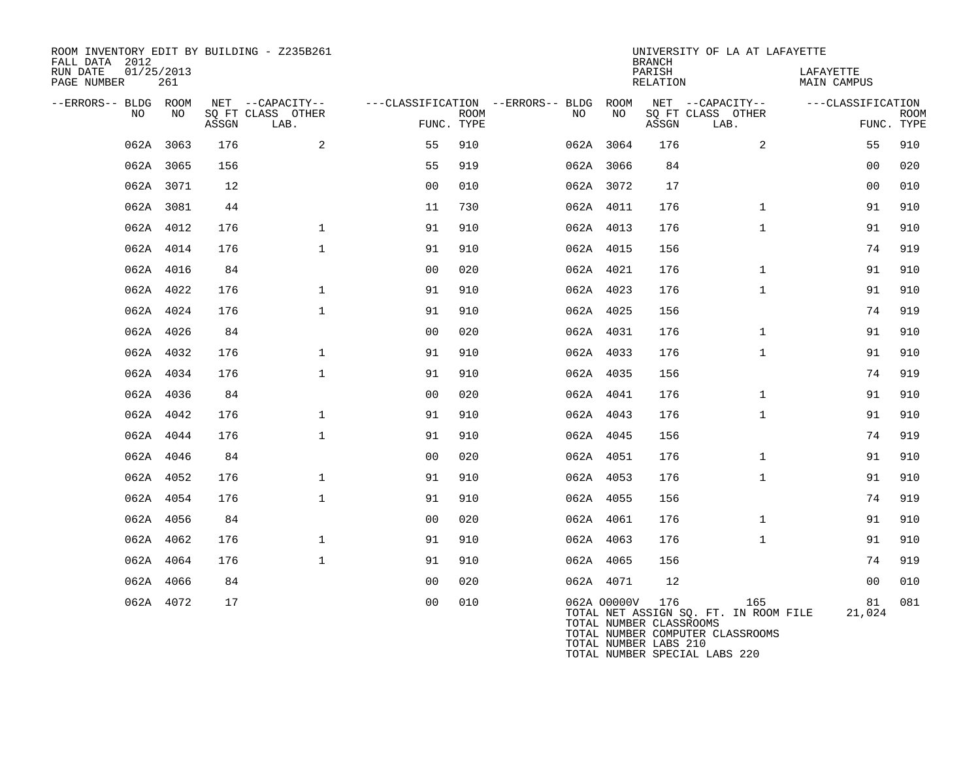| ROOM INVENTORY EDIT BY BUILDING - Z235B261<br>FALL DATA 2012<br>RUN DATE<br>PAGE NUMBER | 01/25/2013<br>261 |       |                           |                |             |                                        |             | <b>BRANCH</b><br>PARISH<br>RELATION | UNIVERSITY OF LA AT LAFAYETTE                                                    | LAFAYETTE<br>MAIN CAMPUS |                           |
|-----------------------------------------------------------------------------------------|-------------------|-------|---------------------------|----------------|-------------|----------------------------------------|-------------|-------------------------------------|----------------------------------------------------------------------------------|--------------------------|---------------------------|
| --ERRORS-- BLDG ROOM                                                                    |                   |       | NET --CAPACITY--          |                |             | ---CLASSIFICATION --ERRORS-- BLDG ROOM |             |                                     | NET --CAPACITY--                                                                 | ---CLASSIFICATION        |                           |
| NO.                                                                                     | NO                | ASSGN | SQ FT CLASS OTHER<br>LAB. | FUNC. TYPE     | <b>ROOM</b> | NO                                     | NO          | ASSGN                               | SQ FT CLASS OTHER<br>LAB.                                                        |                          | <b>ROOM</b><br>FUNC. TYPE |
|                                                                                         | 062A 3063         | 176   | 2                         | 55             | 910         |                                        | 062A 3064   | 176                                 | 2                                                                                | 55                       | 910                       |
|                                                                                         | 062A 3065         | 156   |                           | 55             | 919         |                                        | 062A 3066   | 84                                  |                                                                                  | 0 <sub>0</sub>           | 020                       |
|                                                                                         | 062A 3071         | 12    |                           | 0 <sub>0</sub> | 010         |                                        | 062A 3072   | 17                                  |                                                                                  | 0 <sub>0</sub>           | 010                       |
|                                                                                         | 062A 3081         | 44    |                           | 11             | 730         |                                        | 062A 4011   | 176                                 | $\mathbf{1}$                                                                     | 91                       | 910                       |
|                                                                                         | 062A 4012         | 176   | $\mathbf{1}$              | 91             | 910         |                                        | 062A 4013   | 176                                 | $\mathbf{1}$                                                                     | 91                       | 910                       |
|                                                                                         | 062A 4014         | 176   | $\mathbf{1}$              | 91             | 910         |                                        | 062A 4015   | 156                                 |                                                                                  | 74                       | 919                       |
|                                                                                         | 062A 4016         | 84    |                           | 0 <sub>0</sub> | 020         |                                        | 062A 4021   | 176                                 | $\mathbf{1}$                                                                     | 91                       | 910                       |
|                                                                                         | 062A 4022         | 176   | $\mathbf{1}$              | 91             | 910         |                                        | 062A 4023   | 176                                 | $\mathbf{1}$                                                                     | 91                       | 910                       |
|                                                                                         | 062A 4024         | 176   | $\mathbf{1}$              | 91             | 910         |                                        | 062A 4025   | 156                                 |                                                                                  | 74                       | 919                       |
|                                                                                         | 062A 4026         | 84    |                           | 0 <sub>0</sub> | 020         |                                        | 062A 4031   | 176                                 | $\mathbf{1}$                                                                     | 91                       | 910                       |
|                                                                                         | 062A 4032         | 176   | $\mathbf{1}$              | 91             | 910         |                                        | 062A 4033   | 176                                 | $\mathbf{1}$                                                                     | 91                       | 910                       |
|                                                                                         | 062A 4034         | 176   | $\mathbf{1}$              | 91             | 910         |                                        | 062A 4035   | 156                                 |                                                                                  | 74                       | 919                       |
|                                                                                         | 062A 4036         | 84    |                           | 0 <sub>0</sub> | 020         |                                        | 062A 4041   | 176                                 | $\mathbf{1}$                                                                     | 91                       | 910                       |
|                                                                                         | 062A 4042         | 176   | $\mathbf{1}$              | 91             | 910         |                                        | 062A 4043   | 176                                 | $\mathbf{1}$                                                                     | 91                       | 910                       |
|                                                                                         | 062A 4044         | 176   | $\mathbf{1}$              | 91             | 910         |                                        | 062A 4045   | 156                                 |                                                                                  | 74                       | 919                       |
|                                                                                         | 062A 4046         | 84    |                           | 0 <sub>0</sub> | 020         |                                        | 062A 4051   | 176                                 | $\mathbf{1}$                                                                     | 91                       | 910                       |
|                                                                                         | 062A 4052         | 176   | $\mathbf{1}$              | 91             | 910         |                                        | 062A 4053   | 176                                 | $\mathbf{1}$                                                                     | 91                       | 910                       |
|                                                                                         | 062A 4054         | 176   | $\mathbf{1}$              | 91             | 910         |                                        | 062A 4055   | 156                                 |                                                                                  | 74                       | 919                       |
|                                                                                         | 062A 4056         | 84    |                           | 0 <sub>0</sub> | 020         |                                        | 062A 4061   | 176                                 | $\mathbf{1}$                                                                     | 91                       | 910                       |
|                                                                                         | 062A 4062         | 176   | $\mathbf{1}$              | 91             | 910         |                                        | 062A 4063   | 176                                 | $\mathbf{1}$                                                                     | 91                       | 910                       |
|                                                                                         | 062A 4064         | 176   | $\mathbf{1}$              | 91             | 910         |                                        | 062A 4065   | 156                                 |                                                                                  | 74                       | 919                       |
|                                                                                         | 062A 4066         | 84    |                           | 0 <sub>0</sub> | 020         |                                        | 062A 4071   | 12                                  |                                                                                  | 0 <sub>0</sub>           | 010                       |
|                                                                                         | 062A 4072         | 17    |                           | 0 <sub>0</sub> | 010         |                                        | 062A 00000V | 176<br>TOTAL NUMBER CLASSROOMS      | 165<br>TOTAL NET ASSIGN SQ. FT. IN ROOM FILE<br>TOTAL NUMBER COMPUTER CLASSROOMS | 81<br>21,024             | 081                       |

TOTAL NUMBER LABS 210

TOTAL NUMBER SPECIAL LABS 220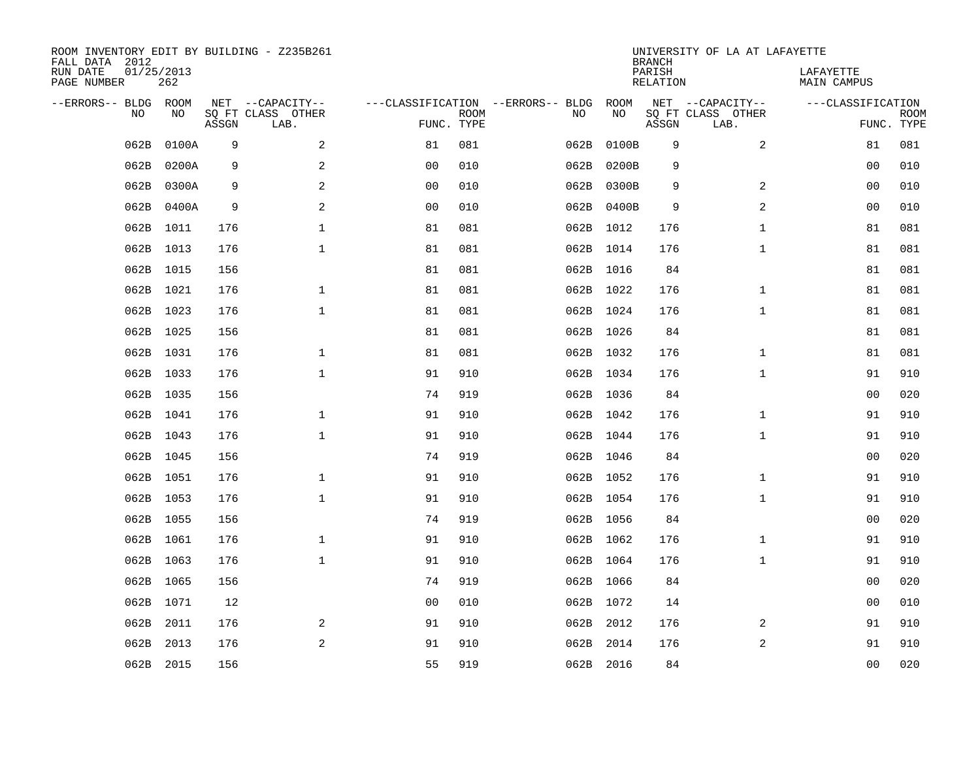| ROOM INVENTORY EDIT BY BUILDING - Z235B261<br>FALL DATA 2012 |                   |       |                           |                                   |             |      |            | <b>BRANCH</b>             | UNIVERSITY OF LA AT LAFAYETTE |                          |                           |
|--------------------------------------------------------------|-------------------|-------|---------------------------|-----------------------------------|-------------|------|------------|---------------------------|-------------------------------|--------------------------|---------------------------|
| RUN DATE<br>PAGE NUMBER                                      | 01/25/2013<br>262 |       |                           |                                   |             |      |            | PARISH<br><b>RELATION</b> |                               | LAFAYETTE<br>MAIN CAMPUS |                           |
| --ERRORS-- BLDG                                              | ROOM              |       | NET --CAPACITY--          | ---CLASSIFICATION --ERRORS-- BLDG |             |      | ROOM       |                           | NET --CAPACITY--              | ---CLASSIFICATION        |                           |
| NO                                                           | NO                | ASSGN | SQ FT CLASS OTHER<br>LAB. | FUNC. TYPE                        | <b>ROOM</b> | NO   | NO         | ASSGN                     | SQ FT CLASS OTHER<br>LAB.     |                          | <b>ROOM</b><br>FUNC. TYPE |
| 062B                                                         | 0100A             | 9     | 2                         | 81                                | 081         | 062B | 0100B      | 9                         | 2                             | 81                       | 081                       |
| 062B                                                         | 0200A             | 9     | 2                         | 0 <sub>0</sub>                    | 010         | 062B | 0200B      | 9                         |                               | 0 <sub>0</sub>           | 010                       |
| 062B                                                         | 0300A             | 9     | $\overline{a}$            | 0 <sub>0</sub>                    | 010         | 062B | 0300B      | 9                         | 2                             | 0 <sub>0</sub>           | 010                       |
| 062B                                                         | 0400A             | 9     | $\overline{a}$            | 0 <sub>0</sub>                    | 010         |      | 062B 0400B | 9                         | 2                             | 0 <sub>0</sub>           | 010                       |
| 062B                                                         | 1011              | 176   | $\mathbf 1$               | 81                                | 081         |      | 062B 1012  | 176                       | $\mathbf{1}$                  | 81                       | 081                       |
|                                                              | 062B 1013         | 176   | $\mathbf{1}$              | 81                                | 081         |      | 062B 1014  | 176                       | $\mathbf{1}$                  | 81                       | 081                       |
| 062B                                                         | 1015              | 156   |                           | 81                                | 081         |      | 062B 1016  | 84                        |                               | 81                       | 081                       |
|                                                              | 062B 1021         | 176   | $\mathbf 1$               | 81                                | 081         |      | 062B 1022  | 176                       | $\mathbf{1}$                  | 81                       | 081                       |
| 062B                                                         | 1023              | 176   | $\mathbf{1}$              | 81                                | 081         |      | 062B 1024  | 176                       | $\mathbf{1}$                  | 81                       | 081                       |
|                                                              | 062B 1025         | 156   |                           | 81                                | 081         |      | 062B 1026  | 84                        |                               | 81                       | 081                       |
| 062B                                                         | 1031              | 176   | $\mathbf{1}$              | 81                                | 081         |      | 062B 1032  | 176                       | $\mathbf{1}$                  | 81                       | 081                       |
|                                                              | 062B 1033         | 176   | $\mathbf 1$               | 91                                | 910         |      | 062B 1034  | 176                       | $\mathbf{1}$                  | 91                       | 910                       |
| 062B                                                         | 1035              | 156   |                           | 74                                | 919         |      | 062B 1036  | 84                        |                               | 0 <sub>0</sub>           | 020                       |
| 062B                                                         | 1041              | 176   | $\mathbf{1}$              | 91                                | 910         |      | 062B 1042  | 176                       | $\mathbf{1}$                  | 91                       | 910                       |
| 062B                                                         | 1043              | 176   | $\mathbf 1$               | 91                                | 910         |      | 062B 1044  | 176                       | $\mathbf{1}$                  | 91                       | 910                       |
| 062B                                                         | 1045              | 156   |                           | 74                                | 919         |      | 062B 1046  | 84                        |                               | 00                       | 020                       |
| 062B                                                         | 1051              | 176   | $\mathbf 1$               | 91                                | 910         |      | 062B 1052  | 176                       | $\mathbf{1}$                  | 91                       | 910                       |
| 062B                                                         | 1053              | 176   | $\mathbf{1}$              | 91                                | 910         |      | 062B 1054  | 176                       | $\mathbf{1}$                  | 91                       | 910                       |
|                                                              | 062B 1055         | 156   |                           | 74                                | 919         |      | 062B 1056  | 84                        |                               | 00                       | 020                       |
| 062B                                                         | 1061              | 176   | $\mathbf{1}$              | 91                                | 910         |      | 062B 1062  | 176                       | $\mathbf{1}$                  | 91                       | 910                       |
|                                                              | 062B 1063         | 176   | $\mathbf{1}$              | 91                                | 910         |      | 062B 1064  | 176                       | $\mathbf{1}$                  | 91                       | 910                       |
| 062B                                                         | 1065              | 156   |                           | 74                                | 919         |      | 062B 1066  | 84                        |                               | 0 <sub>0</sub>           | 020                       |
|                                                              | 062B 1071         | 12    |                           | 0 <sub>0</sub>                    | 010         |      | 062B 1072  | 14                        |                               | 0 <sub>0</sub>           | 010                       |
| 062B                                                         | 2011              | 176   | 2                         | 91                                | 910         |      | 062B 2012  | 176                       | 2                             | 91                       | 910                       |
| 062B                                                         | 2013              | 176   | 2                         | 91                                | 910         |      | 062B 2014  | 176                       | 2                             | 91                       | 910                       |
|                                                              | 062B 2015         | 156   |                           | 55                                | 919         |      | 062B 2016  | 84                        |                               | 00                       | 020                       |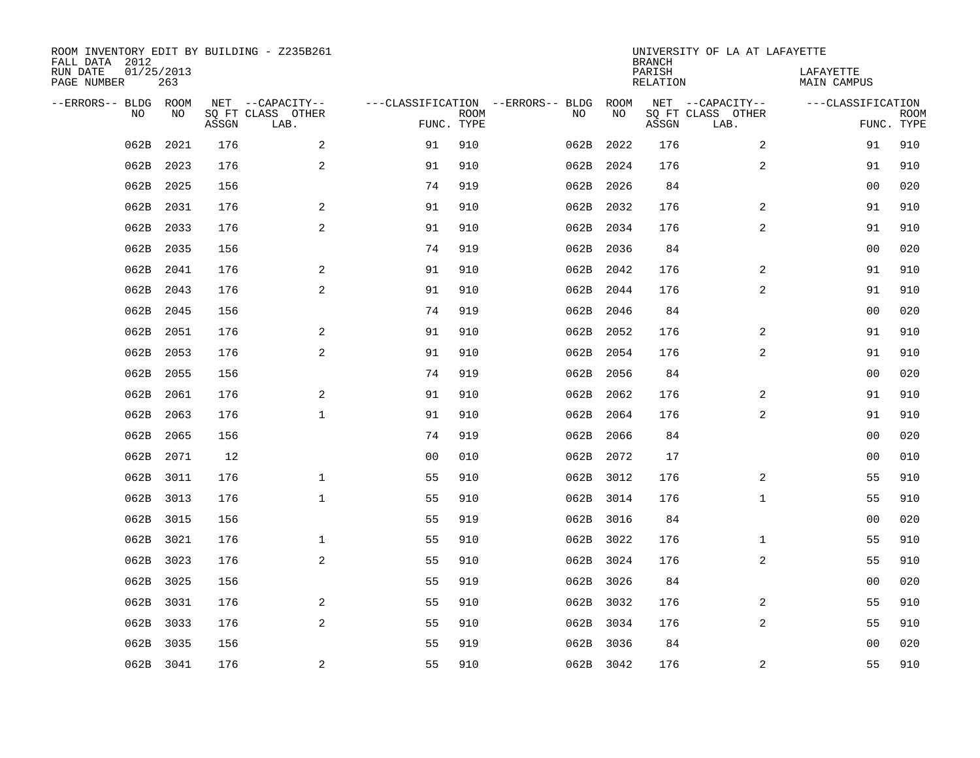| ROOM INVENTORY EDIT BY BUILDING - Z235B261<br>FALL DATA 2012 |                   |       |                           |                |             |                                   |           | <b>BRANCH</b>             | UNIVERSITY OF LA AT LAFAYETTE |                                 |             |
|--------------------------------------------------------------|-------------------|-------|---------------------------|----------------|-------------|-----------------------------------|-----------|---------------------------|-------------------------------|---------------------------------|-------------|
| RUN DATE<br>PAGE NUMBER                                      | 01/25/2013<br>263 |       |                           |                |             |                                   |           | PARISH<br><b>RELATION</b> |                               | LAFAYETTE<br><b>MAIN CAMPUS</b> |             |
| --ERRORS-- BLDG ROOM                                         |                   |       | NET --CAPACITY--          |                |             | ---CLASSIFICATION --ERRORS-- BLDG | ROOM      |                           | NET --CAPACITY--              | ---CLASSIFICATION               |             |
| NO                                                           | NO                | ASSGN | SQ FT CLASS OTHER<br>LAB. | FUNC. TYPE     | <b>ROOM</b> | NO                                | NO        | ASSGN                     | SQ FT CLASS OTHER<br>LAB.     | FUNC. TYPE                      | <b>ROOM</b> |
| 062B                                                         | 2021              | 176   | 2                         | 91             | 910         | 062B                              | 2022      | 176                       | $\overline{a}$                | 91                              | 910         |
| 062B                                                         | 2023              | 176   | 2                         | 91             | 910         | 062B                              | 2024      | 176                       | 2                             | 91                              | 910         |
| 062B                                                         | 2025              | 156   |                           | 74             | 919         |                                   | 062B 2026 | 84                        |                               | 00                              | 020         |
| 062B                                                         | 2031              | 176   | 2                         | 91             | 910         | 062B                              | 2032      | 176                       | 2                             | 91                              | 910         |
| 062B                                                         | 2033              | 176   | 2                         | 91             | 910         | 062B                              | 2034      | 176                       | $\overline{a}$                | 91                              | 910         |
| 062B                                                         | 2035              | 156   |                           | 74             | 919         | 062B                              | 2036      | 84                        |                               | 0 <sub>0</sub>                  | 020         |
| 062B                                                         | 2041              | 176   | $\mathbf{2}$              | 91             | 910         | 062B                              | 2042      | 176                       | 2                             | 91                              | 910         |
| 062B                                                         | 2043              | 176   | 2                         | 91             | 910         | 062B                              | 2044      | 176                       | 2                             | 91                              | 910         |
| 062B                                                         | 2045              | 156   |                           | 74             | 919         | 062B                              | 2046      | 84                        |                               | 0 <sub>0</sub>                  | 020         |
| 062B                                                         | 2051              | 176   | 2                         | 91             | 910         | 062B                              | 2052      | 176                       | 2                             | 91                              | 910         |
| 062B                                                         | 2053              | 176   | 2                         | 91             | 910         | 062B                              | 2054      | 176                       | $\overline{2}$                | 91                              | 910         |
| 062B                                                         | 2055              | 156   |                           | 74             | 919         | 062B                              | 2056      | 84                        |                               | 0 <sub>0</sub>                  | 020         |
| 062B                                                         | 2061              | 176   | 2                         | 91             | 910         | 062B                              | 2062      | 176                       | 2                             | 91                              | 910         |
| 062B                                                         | 2063              | 176   | $\mathbf{1}$              | 91             | 910         | 062B                              | 2064      | 176                       | $\overline{a}$                | 91                              | 910         |
| 062B                                                         | 2065              | 156   |                           | 74             | 919         | 062B                              | 2066      | 84                        |                               | 00                              | 020         |
| 062B                                                         | 2071              | 12    |                           | 0 <sub>0</sub> | 010         | 062B                              | 2072      | 17                        |                               | 0 <sub>0</sub>                  | 010         |
| 062B                                                         | 3011              | 176   | $\mathbf{1}$              | 55             | 910         | 062B                              | 3012      | 176                       | 2                             | 55                              | 910         |
| 062B                                                         | 3013              | 176   | $\mathbf{1}$              | 55             | 910         |                                   | 062B 3014 | 176                       | $\mathbf{1}$                  | 55                              | 910         |
| 062B                                                         | 3015              | 156   |                           | 55             | 919         |                                   | 062B 3016 | 84                        |                               | 0 <sub>0</sub>                  | 020         |
| 062B                                                         | 3021              | 176   | $\mathbf 1$               | 55             | 910         |                                   | 062B 3022 | 176                       | $\mathbf{1}$                  | 55                              | 910         |
| 062B                                                         | 3023              | 176   | 2                         | 55             | 910         |                                   | 062B 3024 | 176                       | 2                             | 55                              | 910         |
| 062B                                                         | 3025              | 156   |                           | 55             | 919         |                                   | 062B 3026 | 84                        |                               | 00                              | 020         |
| 062B                                                         | 3031              | 176   | 2                         | 55             | 910         |                                   | 062B 3032 | 176                       | 2                             | 55                              | 910         |
| 062B                                                         | 3033              | 176   | 2                         | 55             | 910         |                                   | 062B 3034 | 176                       | 2                             | 55                              | 910         |
| 062B                                                         | 3035              | 156   |                           | 55             | 919         | 062B                              | 3036      | 84                        |                               | 0 <sub>0</sub>                  | 020         |
|                                                              | 062B 3041         | 176   | $\mathbf{2}$              | 55             | 910         |                                   | 062B 3042 | 176                       | 2                             | 55                              | 910         |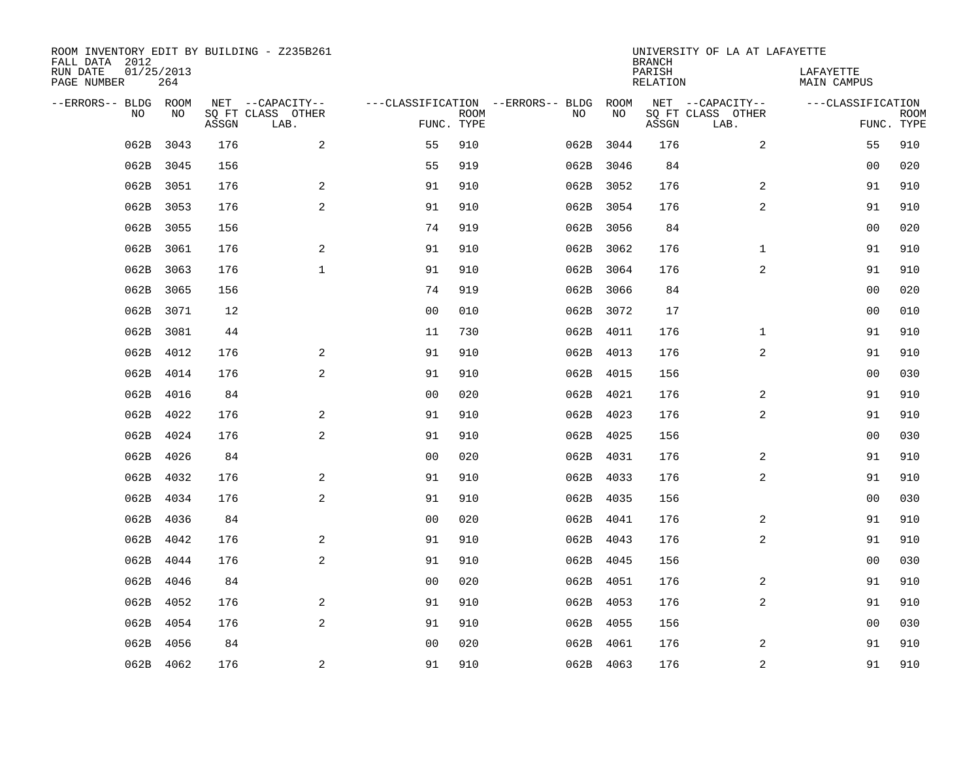| ROOM INVENTORY EDIT BY BUILDING - Z235B261<br>FALL DATA 2012 |                   |       |                           |                |             |                                   |      |           | <b>BRANCH</b>             | UNIVERSITY OF LA AT LAFAYETTE |                                 |                           |
|--------------------------------------------------------------|-------------------|-------|---------------------------|----------------|-------------|-----------------------------------|------|-----------|---------------------------|-------------------------------|---------------------------------|---------------------------|
| RUN DATE<br>PAGE NUMBER                                      | 01/25/2013<br>264 |       |                           |                |             |                                   |      |           | PARISH<br><b>RELATION</b> |                               | LAFAYETTE<br><b>MAIN CAMPUS</b> |                           |
| --ERRORS-- BLDG ROOM                                         |                   |       | NET --CAPACITY--          |                |             | ---CLASSIFICATION --ERRORS-- BLDG |      | ROOM      |                           | NET --CAPACITY--              | ---CLASSIFICATION               |                           |
| NO                                                           | NO                | ASSGN | SQ FT CLASS OTHER<br>LAB. | FUNC. TYPE     | <b>ROOM</b> |                                   | NO   | NO        | ASSGN                     | SQ FT CLASS OTHER<br>LAB.     |                                 | <b>ROOM</b><br>FUNC. TYPE |
| 062B                                                         | 3043              | 176   | 2                         | 55             | 910         |                                   |      | 062B 3044 | 176                       | $\overline{a}$                | 55                              | 910                       |
| 062B                                                         | 3045              | 156   |                           | 55             | 919         |                                   |      | 062B 3046 | 84                        |                               | 00                              | 020                       |
| 062B                                                         | 3051              | 176   | 2                         | 91             | 910         |                                   |      | 062B 3052 | 176                       | 2                             | 91                              | 910                       |
| 062B                                                         | 3053              | 176   | 2                         | 91             | 910         |                                   |      | 062B 3054 | 176                       | $\overline{a}$                | 91                              | 910                       |
| 062B                                                         | 3055              | 156   |                           | 74             | 919         |                                   |      | 062B 3056 | 84                        |                               | 0 <sub>0</sub>                  | 020                       |
| 062B                                                         | 3061              | 176   | 2                         | 91             | 910         |                                   |      | 062B 3062 | 176                       | $\mathbf{1}$                  | 91                              | 910                       |
| 062B                                                         | 3063              | 176   | $\mathbf{1}$              | 91             | 910         |                                   |      | 062B 3064 | 176                       | $\overline{a}$                | 91                              | 910                       |
| 062B                                                         | 3065              | 156   |                           | 74             | 919         |                                   |      | 062B 3066 | 84                        |                               | 0 <sub>0</sub>                  | 020                       |
| 062B                                                         | 3071              | 12    |                           | 0 <sub>0</sub> | 010         |                                   | 062B | 3072      | 17                        |                               | 0 <sub>0</sub>                  | 010                       |
| 062B                                                         | 3081              | 44    |                           | 11             | 730         |                                   |      | 062B 4011 | 176                       | $\mathbf{1}$                  | 91                              | 910                       |
| 062B                                                         | 4012              | 176   | 2                         | 91             | 910         |                                   |      | 062B 4013 | 176                       | $\overline{2}$                | 91                              | 910                       |
| 062B                                                         | 4014              | 176   | 2                         | 91             | 910         |                                   |      | 062B 4015 | 156                       |                               | 0 <sub>0</sub>                  | 030                       |
| 062B                                                         | 4016              | 84    |                           | 0 <sub>0</sub> | 020         |                                   | 062B | 4021      | 176                       | 2                             | 91                              | 910                       |
| 062B                                                         | 4022              | 176   | $\overline{a}$            | 91             | 910         |                                   |      | 062B 4023 | 176                       | $\overline{a}$                | 91                              | 910                       |
| 062B                                                         | 4024              | 176   | 2                         | 91             | 910         |                                   | 062B | 4025      | 156                       |                               | 00                              | 030                       |
| 062B                                                         | 4026              | 84    |                           | 0 <sub>0</sub> | 020         |                                   |      | 062B 4031 | 176                       | 2                             | 91                              | 910                       |
| 062B                                                         | 4032              | 176   | 2                         | 91             | 910         |                                   | 062B | 4033      | 176                       | $\overline{a}$                | 91                              | 910                       |
| 062B                                                         | 4034              | 176   | 2                         | 91             | 910         |                                   | 062B | 4035      | 156                       |                               | 0 <sub>0</sub>                  | 030                       |
| 062B                                                         | 4036              | 84    |                           | 0 <sub>0</sub> | 020         |                                   | 062B | 4041      | 176                       | 2                             | 91                              | 910                       |
| 062B                                                         | 4042              | 176   | 2                         | 91             | 910         |                                   |      | 062B 4043 | 176                       | $\overline{a}$                | 91                              | 910                       |
| 062B                                                         | 4044              | 176   | 2                         | 91             | 910         |                                   |      | 062B 4045 | 156                       |                               | 00                              | 030                       |
| 062B                                                         | 4046              | 84    |                           | 0 <sub>0</sub> | 020         |                                   | 062B | 4051      | 176                       | $\overline{2}$                | 91                              | 910                       |
| 062B                                                         | 4052              | 176   | 2                         | 91             | 910         |                                   |      | 062B 4053 | 176                       | $\overline{2}$                | 91                              | 910                       |
| 062B                                                         | 4054              | 176   | 2                         | 91             | 910         |                                   |      | 062B 4055 | 156                       |                               | 0 <sub>0</sub>                  | 030                       |
| 062B                                                         | 4056              | 84    |                           | 0 <sub>0</sub> | 020         |                                   | 062B | 4061      | 176                       | 2                             | 91                              | 910                       |
|                                                              | 062B 4062         | 176   | $\overline{a}$            | 91             | 910         |                                   |      | 062B 4063 | 176                       | $\overline{c}$                | 91                              | 910                       |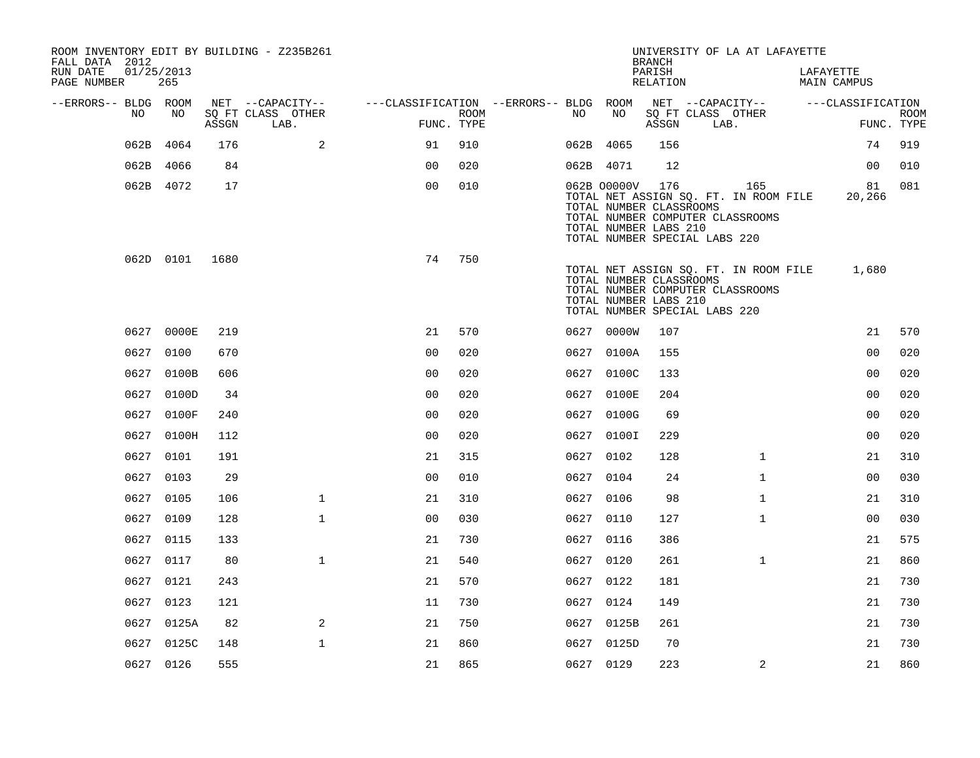| ROOM INVENTORY EDIT BY BUILDING - Z235B261<br>FALL DATA 2012 |                   |       |                           |                                        |      |           |             | <b>BRANCH</b>                                           | UNIVERSITY OF LA AT LAFAYETTE                                                                                     |                          |                           |
|--------------------------------------------------------------|-------------------|-------|---------------------------|----------------------------------------|------|-----------|-------------|---------------------------------------------------------|-------------------------------------------------------------------------------------------------------------------|--------------------------|---------------------------|
| RUN DATE<br>PAGE NUMBER                                      | 01/25/2013<br>265 |       |                           |                                        |      |           |             | PARISH<br>RELATION                                      |                                                                                                                   | LAFAYETTE<br>MAIN CAMPUS |                           |
| --ERRORS-- BLDG ROOM                                         |                   |       | NET --CAPACITY--          | ---CLASSIFICATION --ERRORS-- BLDG ROOM |      |           |             |                                                         | NET --CAPACITY--                                                                                                  | ---CLASSIFICATION        |                           |
| NO.                                                          | NO.               | ASSGN | SQ FT CLASS OTHER<br>LAB. | FUNC. TYPE                             | ROOM | NO        | NO          | ASSGN                                                   | SQ FT CLASS OTHER<br>LAB.                                                                                         |                          | <b>ROOM</b><br>FUNC. TYPE |
| 062B                                                         | 4064              | 176   | 2                         | 91                                     | 910  | 062B 4065 |             | 156                                                     |                                                                                                                   | 74                       | 919                       |
|                                                              | 062B 4066         | 84    |                           | 0 <sub>0</sub>                         | 020  | 062B 4071 |             | 12                                                      |                                                                                                                   | 0 <sub>0</sub>           | 010                       |
|                                                              | 062B 4072         | 17    |                           | 0 <sub>0</sub>                         | 010  |           | 062B 00000V | 176<br>TOTAL NUMBER CLASSROOMS<br>TOTAL NUMBER LABS 210 | 165<br>TOTAL NET ASSIGN SQ. FT. IN ROOM FILE<br>TOTAL NUMBER COMPUTER CLASSROOMS<br>TOTAL NUMBER SPECIAL LABS 220 | 81<br>20,266             | 081                       |
|                                                              | 062D 0101         | 1680  |                           | 74                                     | 750  |           |             | TOTAL NUMBER CLASSROOMS<br>TOTAL NUMBER LABS 210        | TOTAL NET ASSIGN SQ. FT. IN ROOM FILE<br>TOTAL NUMBER COMPUTER CLASSROOMS<br>TOTAL NUMBER SPECIAL LABS 220        | 1,680                    |                           |
|                                                              | 0627 0000E        | 219   |                           | 21                                     | 570  |           | 0627 0000W  | 107                                                     |                                                                                                                   | 21                       | 570                       |
| 0627                                                         | 0100              | 670   |                           | 0 <sub>0</sub>                         | 020  |           | 0627 0100A  | 155                                                     |                                                                                                                   | 0 <sub>0</sub>           | 020                       |
|                                                              | 0627 0100B        | 606   |                           | 0 <sub>0</sub>                         | 020  |           | 0627 0100C  | 133                                                     |                                                                                                                   | 0 <sub>0</sub>           | 020                       |
| 0627                                                         | 0100D             | 34    |                           | 0 <sub>0</sub>                         | 020  |           | 0627 0100E  | 204                                                     |                                                                                                                   | 0 <sub>0</sub>           | 020                       |
|                                                              | 0627 0100F        | 240   |                           | 0 <sub>0</sub>                         | 020  |           | 0627 0100G  | 69                                                      |                                                                                                                   | 00                       | 020                       |
|                                                              | 0627 0100H        | 112   |                           | 0 <sub>0</sub>                         | 020  |           | 0627 0100I  | 229                                                     |                                                                                                                   | 0 <sub>0</sub>           | 020                       |
|                                                              | 0627 0101         | 191   |                           | 21                                     | 315  | 0627 0102 |             | 128                                                     | $\mathbf{1}$                                                                                                      | 21                       | 310                       |
|                                                              | 0627 0103         | 29    |                           | 0 <sub>0</sub>                         | 010  | 0627 0104 |             | 24                                                      | $\mathbf{1}$                                                                                                      | 00                       | 030                       |
|                                                              | 0627 0105         | 106   | $\mathbf 1$               | 21                                     | 310  | 0627 0106 |             | 98                                                      | $\mathbf{1}$                                                                                                      | 21                       | 310                       |
| 0627                                                         | 0109              | 128   | $\mathbf{1}$              | 0 <sub>0</sub>                         | 030  | 0627 0110 |             | 127                                                     | $\mathbf{1}$                                                                                                      | 0 <sub>0</sub>           | 030                       |
|                                                              | 0627 0115         | 133   |                           | 21                                     | 730  | 0627 0116 |             | 386                                                     |                                                                                                                   | 21                       | 575                       |
|                                                              | 0627 0117         | 80    | $\mathbf{1}$              | 21                                     | 540  | 0627 0120 |             | 261                                                     | $\mathbf{1}$                                                                                                      | 21                       | 860                       |
|                                                              | 0627 0121         | 243   |                           | 21                                     | 570  | 0627 0122 |             | 181                                                     |                                                                                                                   | 21                       | 730                       |
|                                                              | 0627 0123         | 121   |                           | 11                                     | 730  | 0627 0124 |             | 149                                                     |                                                                                                                   | 21                       | 730                       |
|                                                              | 0627 0125A        | 82    | 2                         | 21                                     | 750  |           | 0627 0125B  | 261                                                     |                                                                                                                   | 21                       | 730                       |
|                                                              | 0627 0125C        | 148   | $\mathbf{1}$              | 21                                     | 860  |           | 0627 0125D  | 70                                                      |                                                                                                                   | 21                       | 730                       |
|                                                              | 0627 0126         | 555   |                           | 21                                     | 865  | 0627 0129 |             | 223                                                     | $\overline{2}$                                                                                                    | 21                       | 860                       |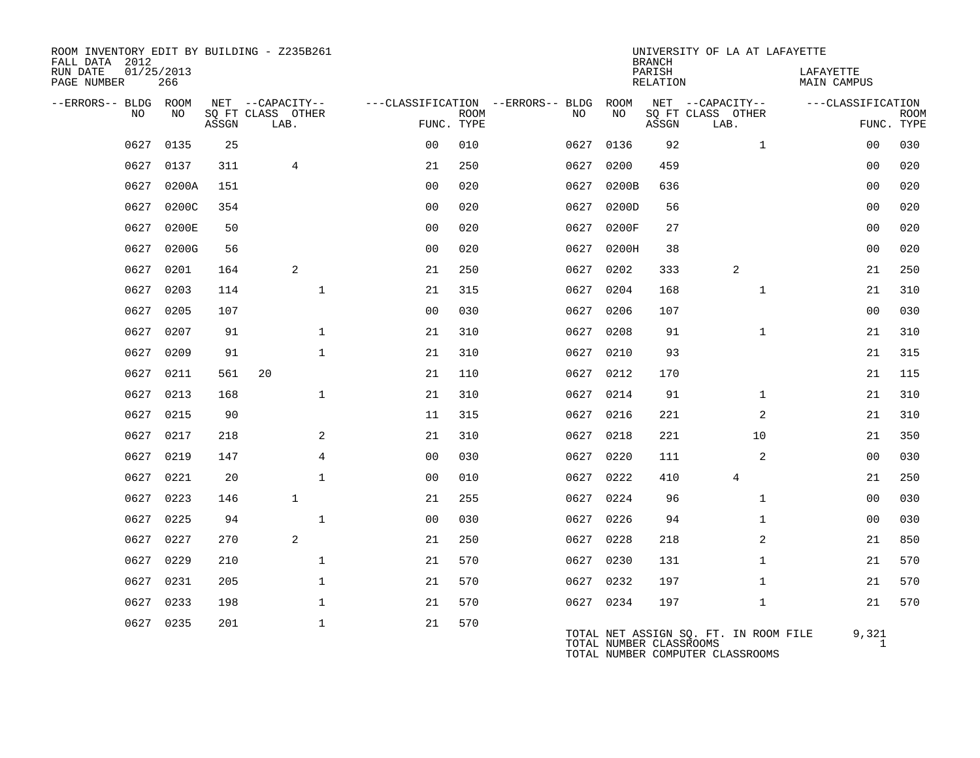| ROOM INVENTORY EDIT BY BUILDING - Z235B261<br>FALL DATA 2012 |                   |       |                           |                |             |                                   |           | <b>BRANCH</b>           | UNIVERSITY OF LA AT LAFAYETTE                                             |                          |             |
|--------------------------------------------------------------|-------------------|-------|---------------------------|----------------|-------------|-----------------------------------|-----------|-------------------------|---------------------------------------------------------------------------|--------------------------|-------------|
| RUN DATE<br>PAGE NUMBER                                      | 01/25/2013<br>266 |       |                           |                |             |                                   |           | PARISH<br>RELATION      |                                                                           | LAFAYETTE<br>MAIN CAMPUS |             |
| --ERRORS-- BLDG ROOM                                         |                   |       | NET --CAPACITY--          |                |             | ---CLASSIFICATION --ERRORS-- BLDG | ROOM      |                         | NET --CAPACITY--                                                          | ---CLASSIFICATION        |             |
| NO                                                           | NO                | ASSGN | SQ FT CLASS OTHER<br>LAB. | FUNC. TYPE     | <b>ROOM</b> | NO.                               | NO        | ASSGN                   | SQ FT CLASS OTHER<br>LAB.                                                 | FUNC. TYPE               | <b>ROOM</b> |
| 0627                                                         | 0135              | 25    |                           | 0 <sup>0</sup> | 010         | 0627                              | 0136      | 92                      | $\mathbf{1}$                                                              | 0 <sub>0</sub>           | 030         |
| 0627                                                         | 0137              | 311   | $\overline{4}$            | 21             | 250         | 0627                              | 0200      | 459                     |                                                                           | 00                       | 020         |
| 0627                                                         | 0200A             | 151   |                           | 0 <sub>0</sub> | 020         | 0627                              | 0200B     | 636                     |                                                                           | 0 <sub>0</sub>           | 020         |
| 0627                                                         | 0200C             | 354   |                           | 0 <sub>0</sub> | 020         | 0627                              | 0200D     | 56                      |                                                                           | 0 <sub>0</sub>           | 020         |
| 0627                                                         | 0200E             | 50    |                           | 0 <sub>0</sub> | 020         | 0627                              | 0200F     | 27                      |                                                                           | 0 <sub>0</sub>           | 020         |
| 0627                                                         | 0200G             | 56    |                           | 0 <sub>0</sub> | 020         | 0627                              | 0200H     | 38                      |                                                                           | 0 <sub>0</sub>           | 020         |
| 0627                                                         | 0201              | 164   | 2                         | 21             | 250         | 0627                              | 0202      | 333                     | $\overline{a}$                                                            | 21                       | 250         |
| 0627                                                         | 0203              | 114   | $\mathbf{1}$              | 21             | 315         | 0627                              | 0204      | 168                     | $\mathbf{1}$                                                              | 21                       | 310         |
| 0627                                                         | 0205              | 107   |                           | 0 <sub>0</sub> | 030         | 0627                              | 0206      | 107                     |                                                                           | 0 <sub>0</sub>           | 030         |
| 0627                                                         | 0207              | 91    | $\mathbf 1$               | 21             | 310         | 0627                              | 0208      | 91                      | $\mathbf{1}$                                                              | 21                       | 310         |
| 0627                                                         | 0209              | 91    | $\mathbf{1}$              | 21             | 310         |                                   | 0627 0210 | 93                      |                                                                           | 21                       | 315         |
| 0627                                                         | 0211              | 561   | 20                        | 21             | 110         | 0627                              | 0212      | 170                     |                                                                           | 21                       | 115         |
| 0627                                                         | 0213              | 168   | $\mathbf{1}$              | 21             | 310         | 0627                              | 0214      | 91                      | $\mathbf{1}$                                                              | 21                       | 310         |
| 0627                                                         | 0215              | 90    |                           | 11             | 315         | 0627                              | 0216      | 221                     | 2                                                                         | 21                       | 310         |
| 0627                                                         | 0217              | 218   | 2                         | 21             | 310         | 0627                              | 0218      | 221                     | 10                                                                        | 21                       | 350         |
| 0627                                                         | 0219              | 147   | 4                         | 00             | 030         |                                   | 0627 0220 | 111                     | $\overline{a}$                                                            | 00                       | 030         |
| 0627                                                         | 0221              | 20    | $\mathbf{1}$              | 0 <sub>0</sub> | 010         | 0627                              | 0222      | 410                     | $\overline{4}$                                                            | 21                       | 250         |
| 0627                                                         | 0223              | 146   | $\mathbf{1}$              | 21             | 255         |                                   | 0627 0224 | 96                      | $\mathbf{1}$                                                              | 0 <sub>0</sub>           | 030         |
| 0627                                                         | 0225              | 94    | $\mathbf{1}$              | 0 <sub>0</sub> | 030         | 0627                              | 0226      | 94                      | $\mathbf{1}$                                                              | 0 <sub>0</sub>           | 030         |
| 0627                                                         | 0227              | 270   | 2                         | 21             | 250         |                                   | 0627 0228 | 218                     | 2                                                                         | 21                       | 850         |
| 0627                                                         | 0229              | 210   | $\mathbf{1}$              | 21             | 570         | 0627                              | 0230      | 131                     | $\mathbf{1}$                                                              | 21                       | 570         |
| 0627                                                         | 0231              | 205   | $\mathbf{1}$              | 21             | 570         |                                   | 0627 0232 | 197                     | $\mathbf{1}$                                                              | 21                       | 570         |
| 0627                                                         | 0233              | 198   | $\mathbf{1}$              | 21             | 570         |                                   | 0627 0234 | 197                     | $\mathbf{1}$                                                              | 21                       | 570         |
|                                                              | 0627 0235         | 201   | $\mathbf{1}$              | 21             | 570         |                                   |           | TOTAL NUMBER CLASSROOMS | TOTAL NET ASSIGN SQ. FT. IN ROOM FILE<br>TOTAL NUMBER COMPUTER CLASSROOMS | 9,321<br>$\mathbf{1}$    |             |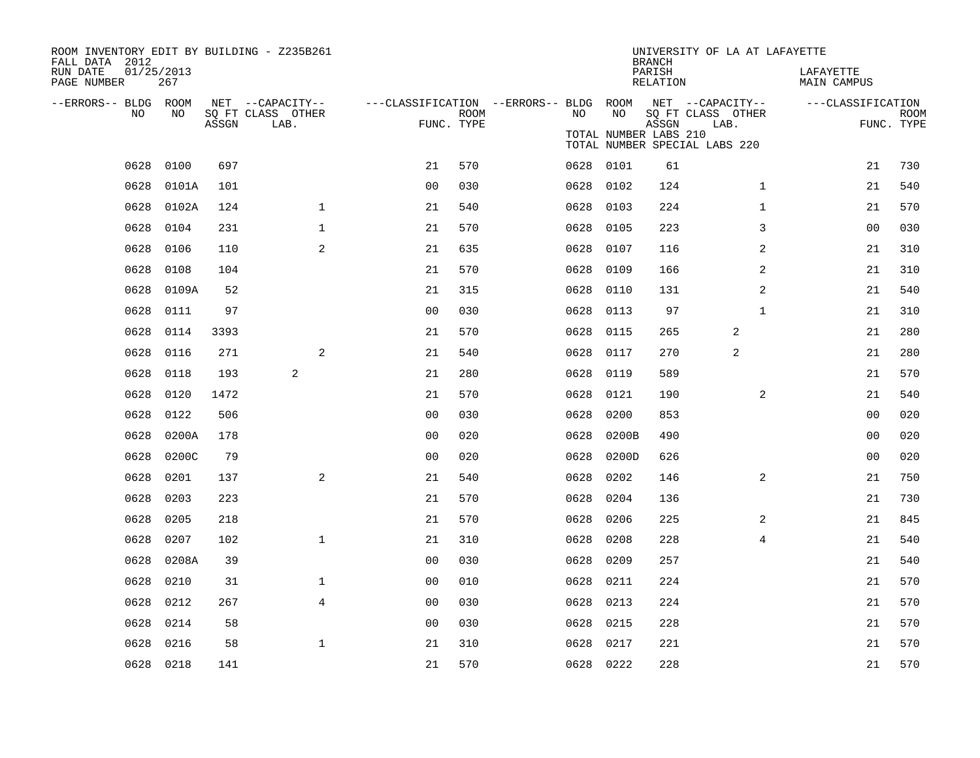| ROOM INVENTORY EDIT BY BUILDING - Z235B261<br>FALL DATA 2012 |                   |       |                                       |                                        |      |      |                       | <b>BRANCH</b>      | UNIVERSITY OF LA AT LAFAYETTE         |                          |             |
|--------------------------------------------------------------|-------------------|-------|---------------------------------------|----------------------------------------|------|------|-----------------------|--------------------|---------------------------------------|--------------------------|-------------|
| RUN DATE<br>PAGE NUMBER                                      | 01/25/2013<br>267 |       |                                       |                                        |      |      |                       | PARISH<br>RELATION |                                       | LAFAYETTE<br>MAIN CAMPUS |             |
| --ERRORS-- BLDG ROOM<br>NO.                                  | NO.               |       | NET --CAPACITY--<br>SO FT CLASS OTHER | ---CLASSIFICATION --ERRORS-- BLDG ROOM | ROOM | NO.  | NO.                   |                    | NET --CAPACITY--<br>SQ FT CLASS OTHER | ---CLASSIFICATION        | <b>ROOM</b> |
|                                                              |                   | ASSGN | LAB.                                  | FUNC. TYPE                             |      |      | TOTAL NUMBER LABS 210 | ASSGN              | LAB.<br>TOTAL NUMBER SPECIAL LABS 220 |                          | FUNC. TYPE  |
| 0628                                                         | 0100              | 697   |                                       | 21                                     | 570  |      | 0628 0101             | 61                 |                                       | 21                       | 730         |
| 0628                                                         | 0101A             | 101   |                                       | 0 <sub>0</sub>                         | 030  | 0628 | 0102                  | 124                | $\mathbf{1}$                          | 21                       | 540         |
| 0628                                                         | 0102A             | 124   | $\mathbf{1}$                          | 21                                     | 540  | 0628 | 0103                  | 224                | $\mathbf{1}$                          | 21                       | 570         |
| 0628                                                         | 0104              | 231   | $\mathbf{1}$                          | 21                                     | 570  | 0628 | 0105                  | 223                | 3                                     | 0 <sub>0</sub>           | 030         |
| 0628                                                         | 0106              | 110   | $\overline{a}$                        | 21                                     | 635  | 0628 | 0107                  | 116                | 2                                     | 21                       | 310         |
| 0628                                                         | 0108              | 104   |                                       | 21                                     | 570  | 0628 | 0109                  | 166                | 2                                     | 21                       | 310         |
| 0628                                                         | 0109A             | 52    |                                       | 21                                     | 315  | 0628 | 0110                  | 131                | 2                                     | 21                       | 540         |
| 0628                                                         | 0111              | 97    |                                       | 0 <sub>0</sub>                         | 030  | 0628 | 0113                  | 97                 | $\mathbf{1}$                          | 21                       | 310         |
| 0628                                                         | 0114              | 3393  |                                       | 21                                     | 570  | 0628 | 0115                  | 265                | 2                                     | 21                       | 280         |
| 0628                                                         | 0116              | 271   | 2                                     | 21                                     | 540  | 0628 | 0117                  | 270                | 2                                     | 21                       | 280         |
| 0628                                                         | 0118              | 193   | 2                                     | 21                                     | 280  | 0628 | 0119                  | 589                |                                       | 21                       | 570         |
| 0628                                                         | 0120              | 1472  |                                       | 21                                     | 570  | 0628 | 0121                  | 190                | 2                                     | 21                       | 540         |
| 0628                                                         | 0122              | 506   |                                       | 0 <sub>0</sub>                         | 030  | 0628 | 0200                  | 853                |                                       | 0 <sub>0</sub>           | 020         |
| 0628                                                         | 0200A             | 178   |                                       | 0 <sub>0</sub>                         | 020  | 0628 | 0200B                 | 490                |                                       | 00                       | 020         |
| 0628                                                         | 0200C             | 79    |                                       | 0 <sub>0</sub>                         | 020  | 0628 | 0200D                 | 626                |                                       | 00                       | 020         |
| 0628                                                         | 0201              | 137   | 2                                     | 21                                     | 540  | 0628 | 0202                  | 146                | 2                                     | 21                       | 750         |
| 0628                                                         | 0203              | 223   |                                       | 21                                     | 570  | 0628 | 0204                  | 136                |                                       | 21                       | 730         |
| 0628                                                         | 0205              | 218   |                                       | 21                                     | 570  | 0628 | 0206                  | 225                | 2                                     | 21                       | 845         |
| 0628                                                         | 0207              | 102   | $\mathbf{1}$                          | 21                                     | 310  | 0628 | 0208                  | 228                | 4                                     | 21                       | 540         |
| 0628                                                         | 0208A             | 39    |                                       | 0 <sub>0</sub>                         | 030  | 0628 | 0209                  | 257                |                                       | 21                       | 540         |
| 0628                                                         | 0210              | 31    | $\mathbf 1$                           | 0 <sub>0</sub>                         | 010  | 0628 | 0211                  | 224                |                                       | 21                       | 570         |
| 0628                                                         | 0212              | 267   | 4                                     | 0 <sub>0</sub>                         | 030  | 0628 | 0213                  | 224                |                                       | 21                       | 570         |
| 0628                                                         | 0214              | 58    |                                       | 0 <sub>0</sub>                         | 030  | 0628 | 0215                  | 228                |                                       | 21                       | 570         |
| 0628                                                         | 0216              | 58    | $\mathbf{1}$                          | 21                                     | 310  | 0628 | 0217                  | 221                |                                       | 21                       | 570         |
|                                                              | 0628 0218         | 141   |                                       | 21                                     | 570  |      | 0628 0222             | 228                |                                       | 21                       | 570         |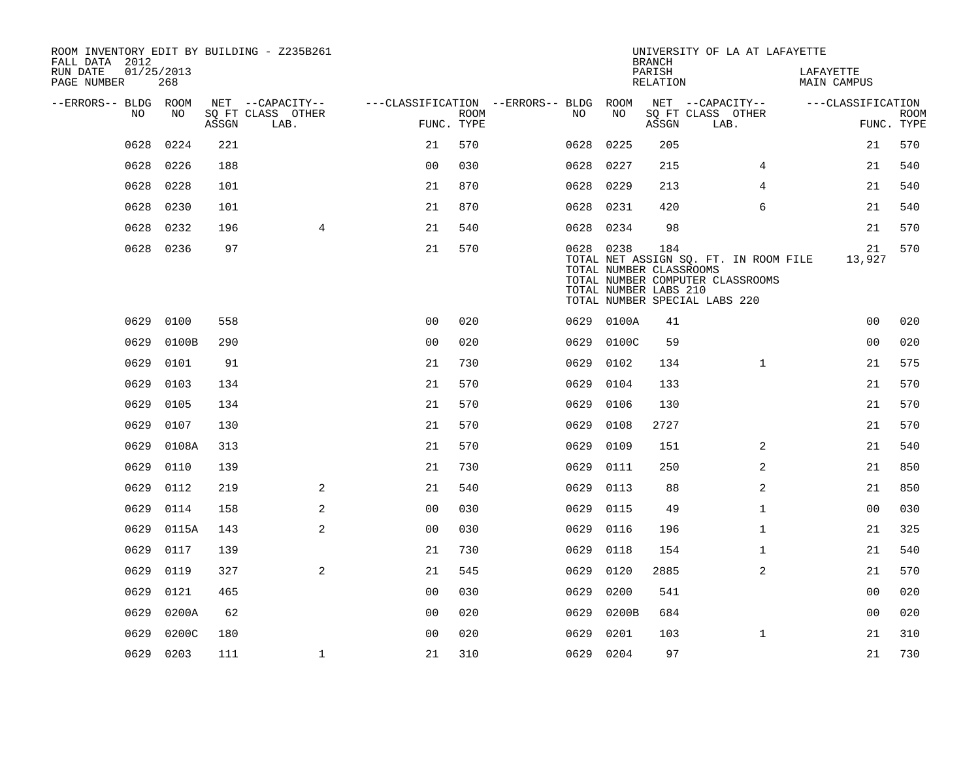| ROOM INVENTORY EDIT BY BUILDING - Z235B261<br>FALL DATA 2012 |                   |       |                           |                                        |             |           |                                                  | <b>BRANCH</b>      | UNIVERSITY OF LA AT LAFAYETTE                                                                              |                          |                           |
|--------------------------------------------------------------|-------------------|-------|---------------------------|----------------------------------------|-------------|-----------|--------------------------------------------------|--------------------|------------------------------------------------------------------------------------------------------------|--------------------------|---------------------------|
| RUN DATE<br>PAGE NUMBER                                      | 01/25/2013<br>268 |       |                           |                                        |             |           |                                                  | PARISH<br>RELATION |                                                                                                            | LAFAYETTE<br>MAIN CAMPUS |                           |
| --ERRORS-- BLDG ROOM                                         |                   |       | NET --CAPACITY--          | ---CLASSIFICATION --ERRORS-- BLDG ROOM |             |           |                                                  |                    | NET --CAPACITY--                                                                                           | ---CLASSIFICATION        |                           |
| NO                                                           | NO                | ASSGN | SQ FT CLASS OTHER<br>LAB. | FUNC. TYPE                             | <b>ROOM</b> | NO        | NO                                               | ASSGN              | SQ FT CLASS OTHER<br>LAB.                                                                                  |                          | <b>ROOM</b><br>FUNC. TYPE |
| 0628                                                         | 0224              | 221   |                           | 21                                     | 570         | 0628      | 0225                                             | 205                |                                                                                                            | 21                       | 570                       |
| 0628                                                         | 0226              | 188   |                           | 0 <sub>0</sub>                         | 030         | 0628      | 0227                                             | 215                | 4                                                                                                          | 21                       | 540                       |
| 0628                                                         | 0228              | 101   |                           | 21                                     | 870         | 0628      | 0229                                             | 213                | 4                                                                                                          | 21                       | 540                       |
| 0628                                                         | 0230              | 101   |                           | 21                                     | 870         | 0628      | 0231                                             | 420                | 6                                                                                                          | 21                       | 540                       |
| 0628                                                         | 0232              | 196   | 4                         | 21                                     | 540         | 0628 0234 |                                                  | 98                 |                                                                                                            | 21                       | 570                       |
|                                                              | 0628 0236         | 97    |                           | 21                                     | 570         | 0628 0238 | TOTAL NUMBER CLASSROOMS<br>TOTAL NUMBER LABS 210 | 184                | TOTAL NET ASSIGN SQ. FT. IN ROOM FILE<br>TOTAL NUMBER COMPUTER CLASSROOMS<br>TOTAL NUMBER SPECIAL LABS 220 | 21<br>13,927             | 570                       |
| 0629                                                         | 0100              | 558   |                           | 0 <sup>0</sup>                         | 020         |           | 0629 0100A                                       | 41                 |                                                                                                            | 0 <sub>0</sub>           | 020                       |
| 0629                                                         | 0100B             | 290   |                           | 0 <sub>0</sub>                         | 020         | 0629      | 0100C                                            | 59                 |                                                                                                            | 0 <sub>0</sub>           | 020                       |
| 0629                                                         | 0101              | 91    |                           | 21                                     | 730         | 0629      | 0102                                             | 134                | $\mathbf{1}$                                                                                               | 21                       | 575                       |
| 0629                                                         | 0103              | 134   |                           | 21                                     | 570         | 0629      | 0104                                             | 133                |                                                                                                            | 21                       | 570                       |
| 0629                                                         | 0105              | 134   |                           | 21                                     | 570         | 0629      | 0106                                             | 130                |                                                                                                            | 21                       | 570                       |
| 0629                                                         | 0107              | 130   |                           | 21                                     | 570         | 0629      | 0108                                             | 2727               |                                                                                                            | 21                       | 570                       |
| 0629                                                         | 0108A             | 313   |                           | 21                                     | 570         | 0629      | 0109                                             | 151                | 2                                                                                                          | 21                       | 540                       |
| 0629                                                         | 0110              | 139   |                           | 21                                     | 730         | 0629      | 0111                                             | 250                | 2                                                                                                          | 21                       | 850                       |
| 0629                                                         | 0112              | 219   | 2                         | 21                                     | 540         | 0629      | 0113                                             | 88                 | $\overline{a}$                                                                                             | 21                       | 850                       |
| 0629                                                         | 0114              | 158   | 2                         | 0 <sub>0</sub>                         | 030         | 0629      | 0115                                             | 49                 | $\mathbf{1}$                                                                                               | 00                       | 030                       |
| 0629                                                         | 0115A             | 143   | 2                         | 0 <sub>0</sub>                         | 030         | 0629      | 0116                                             | 196                | $\mathbf{1}$                                                                                               | 21                       | 325                       |
| 0629                                                         | 0117              | 139   |                           | 21                                     | 730         | 0629      | 0118                                             | 154                | $\mathbf{1}$                                                                                               | 21                       | 540                       |
| 0629                                                         | 0119              | 327   | 2                         | 21                                     | 545         | 0629      | 0120                                             | 2885               | 2                                                                                                          | 21                       | 570                       |
| 0629                                                         | 0121              | 465   |                           | 0 <sub>0</sub>                         | 030         | 0629      | 0200                                             | 541                |                                                                                                            | 0 <sub>0</sub>           | 020                       |
| 0629                                                         | 0200A             | 62    |                           | 00                                     | 020         | 0629      | 0200B                                            | 684                |                                                                                                            | 00                       | 020                       |
| 0629                                                         | 0200C             | 180   |                           | 0 <sub>0</sub>                         | 020         | 0629      | 0201                                             | 103                | $\mathbf{1}$                                                                                               | 21                       | 310                       |
|                                                              | 0629 0203         | 111   | $\mathbf 1$               | 21                                     | 310         | 0629 0204 |                                                  | 97                 |                                                                                                            | 21                       | 730                       |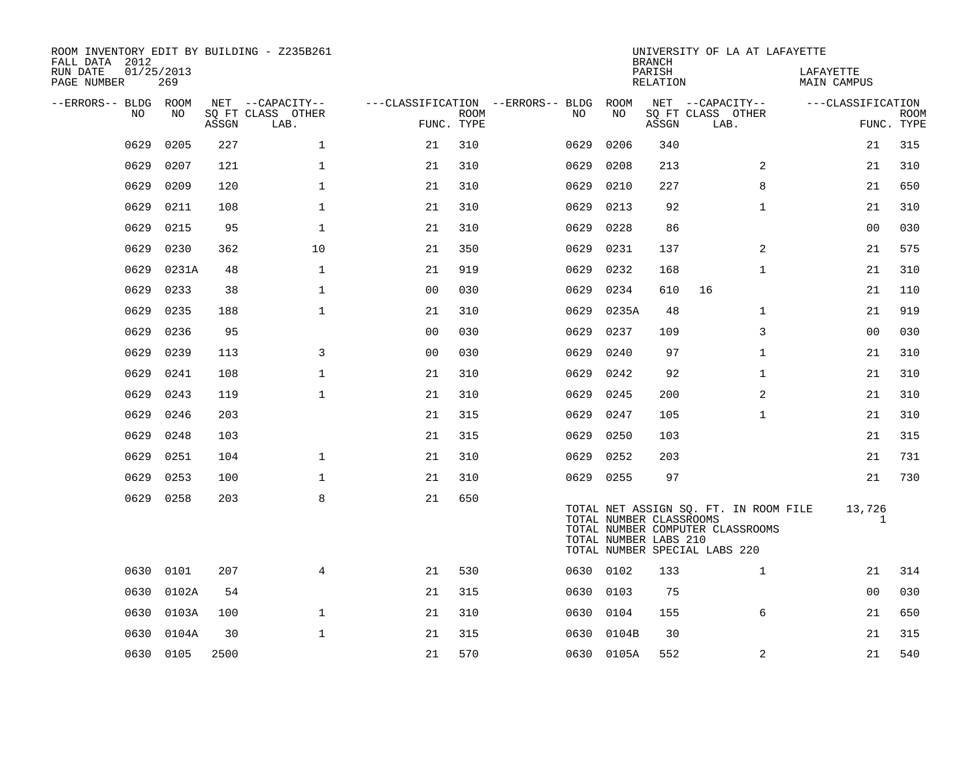| ROOM INVENTORY EDIT BY BUILDING - Z235B261<br>FALL DATA 2012 |                   |       |                           |                                        |             |           |            | <b>BRANCH</b>                                    |                               | UNIVERSITY OF LA AT LAFAYETTE                                             |                          |                           |
|--------------------------------------------------------------|-------------------|-------|---------------------------|----------------------------------------|-------------|-----------|------------|--------------------------------------------------|-------------------------------|---------------------------------------------------------------------------|--------------------------|---------------------------|
| RUN DATE<br>PAGE NUMBER                                      | 01/25/2013<br>269 |       |                           |                                        |             |           |            | PARISH<br>RELATION                               |                               |                                                                           | LAFAYETTE<br>MAIN CAMPUS |                           |
| --ERRORS-- BLDG ROOM                                         |                   |       | NET --CAPACITY--          | ---CLASSIFICATION --ERRORS-- BLDG ROOM |             |           |            |                                                  | NET --CAPACITY--              |                                                                           | ---CLASSIFICATION        |                           |
| NO                                                           | NO                | ASSGN | SQ FT CLASS OTHER<br>LAB. | FUNC. TYPE                             | <b>ROOM</b> | NO.       | NO         | ASSGN                                            | SQ FT CLASS OTHER<br>LAB.     |                                                                           |                          | <b>ROOM</b><br>FUNC. TYPE |
| 0629                                                         | 0205              | 227   | $\mathbf 1$               | 21                                     | 310         | 0629      | 0206       | 340                                              |                               |                                                                           | 21                       | 315                       |
| 0629                                                         | 0207              | 121   | $\mathbf 1$               | 21                                     | 310         | 0629      | 0208       | 213                                              |                               | 2                                                                         | 21                       | 310                       |
| 0629                                                         | 0209              | 120   | $\mathbf{1}$              | 21                                     | 310         | 0629      | 0210       | 227                                              |                               | 8                                                                         | 21                       | 650                       |
| 0629                                                         | 0211              | 108   | $\mathbf 1$               | 21                                     | 310         | 0629      | 0213       | 92                                               |                               | $\mathbf{1}$                                                              | 21                       | 310                       |
| 0629                                                         | 0215              | 95    | $\mathbf{1}$              | 21                                     | 310         | 0629      | 0228       | 86                                               |                               |                                                                           | 0 <sub>0</sub>           | 030                       |
| 0629                                                         | 0230              | 362   | 10                        | 21                                     | 350         | 0629      | 0231       | 137                                              |                               | $\overline{2}$                                                            | 21                       | 575                       |
| 0629                                                         | 0231A             | 48    | $\mathbf{1}$              | 21                                     | 919         | 0629      | 0232       | 168                                              |                               | $\mathbf{1}$                                                              | 21                       | 310                       |
| 0629                                                         | 0233              | 38    | $\mathbf{1}$              | 0 <sub>0</sub>                         | 030         | 0629      | 0234       | 610                                              | 16                            |                                                                           | 21                       | 110                       |
| 0629                                                         | 0235              | 188   | $\mathbf{1}$              | 21                                     | 310         | 0629      | 0235A      | 48                                               |                               | $\mathbf{1}$                                                              | 21                       | 919                       |
| 0629                                                         | 0236              | 95    |                           | 0 <sub>0</sub>                         | 030         | 0629      | 0237       | 109                                              |                               | 3                                                                         | 0 <sub>0</sub>           | 030                       |
| 0629                                                         | 0239              | 113   | 3                         | 0 <sub>0</sub>                         | 030         | 0629      | 0240       | 97                                               |                               | $\mathbf{1}$                                                              | 21                       | 310                       |
| 0629                                                         | 0241              | 108   | $\mathbf{1}$              | 21                                     | 310         | 0629      | 0242       | 92                                               |                               | $\mathbf{1}$                                                              | 21                       | 310                       |
| 0629                                                         | 0243              | 119   | $\mathbf{1}$              | 21                                     | 310         | 0629      | 0245       | 200                                              |                               | 2                                                                         | 21                       | 310                       |
| 0629                                                         | 0246              | 203   |                           | 21                                     | 315         | 0629      | 0247       | 105                                              |                               | $\mathbf{1}$                                                              | 21                       | 310                       |
| 0629                                                         | 0248              | 103   |                           | 21                                     | 315         | 0629      | 0250       | 103                                              |                               |                                                                           | 21                       | 315                       |
| 0629                                                         | 0251              | 104   | $\mathbf{1}$              | 21                                     | 310         | 0629      | 0252       | 203                                              |                               |                                                                           | 21                       | 731                       |
| 0629                                                         | 0253              | 100   | $\mathbf{1}$              | 21                                     | 310         | 0629 0255 |            | 97                                               |                               |                                                                           | 21                       | 730                       |
| 0629                                                         | 0258              | 203   | 8                         | 21                                     | 650         |           |            | TOTAL NUMBER CLASSROOMS<br>TOTAL NUMBER LABS 210 | TOTAL NUMBER SPECIAL LABS 220 | TOTAL NET ASSIGN SQ. FT. IN ROOM FILE<br>TOTAL NUMBER COMPUTER CLASSROOMS | 13,726                   | 1                         |
|                                                              | 0630 0101         | 207   | $\overline{4}$            | 21                                     | 530         | 0630 0102 |            | 133                                              |                               | $\mathbf{1}$                                                              | 21                       | 314                       |
| 0630                                                         | 0102A             | 54    |                           | 21                                     | 315         | 0630 0103 |            | 75                                               |                               |                                                                           | 0 <sub>0</sub>           | 030                       |
| 0630                                                         | 0103A             | 100   | $\mathbf{1}$              | 21                                     | 310         | 0630      | 0104       | 155                                              |                               | 6                                                                         | 21                       | 650                       |
| 0630                                                         | 0104A             | 30    | $\mathbf{1}$              | 21                                     | 315         | 0630      | 0104B      | 30                                               |                               |                                                                           | 21                       | 315                       |
|                                                              | 0630 0105         | 2500  |                           | 21                                     | 570         |           | 0630 0105A | 552                                              |                               | 2                                                                         | 21                       | 540                       |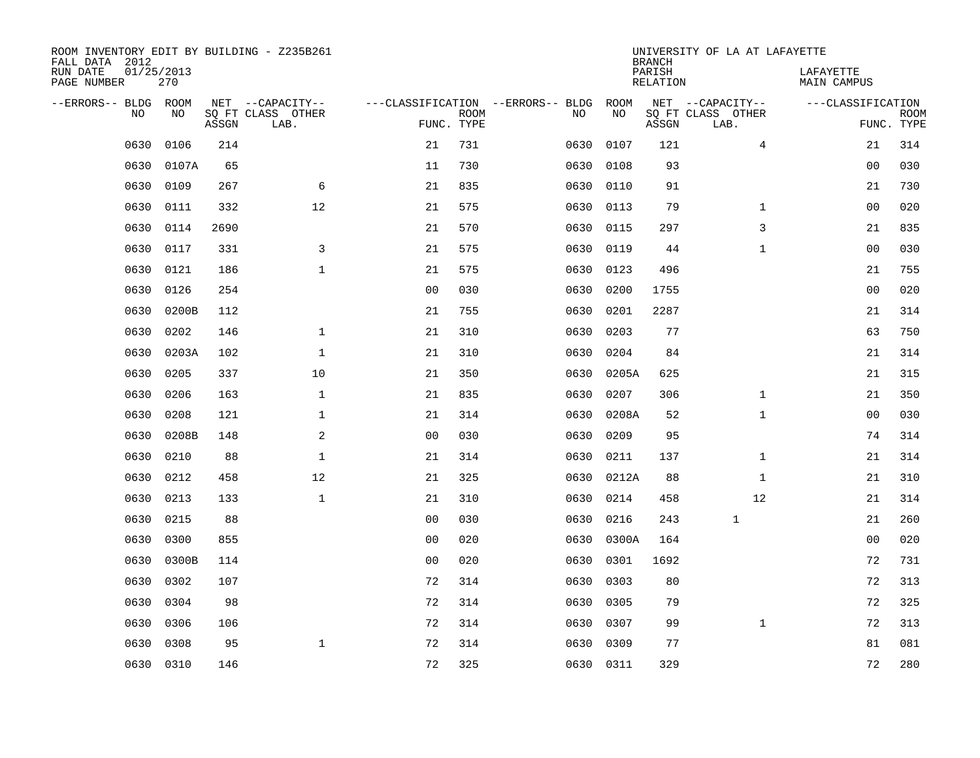| ROOM INVENTORY EDIT BY BUILDING - Z235B261<br>FALL DATA 2012 |                   |       |                           |                |             |                                   |           | <b>BRANCH</b>             | UNIVERSITY OF LA AT LAFAYETTE |                          |                           |
|--------------------------------------------------------------|-------------------|-------|---------------------------|----------------|-------------|-----------------------------------|-----------|---------------------------|-------------------------------|--------------------------|---------------------------|
| RUN DATE<br>PAGE NUMBER                                      | 01/25/2013<br>270 |       |                           |                |             |                                   |           | PARISH<br><b>RELATION</b> |                               | LAFAYETTE<br>MAIN CAMPUS |                           |
| --ERRORS-- BLDG ROOM                                         |                   |       | NET --CAPACITY--          |                |             | ---CLASSIFICATION --ERRORS-- BLDG | ROOM      |                           | NET --CAPACITY--              | ---CLASSIFICATION        |                           |
| NO.                                                          | NO                | ASSGN | SQ FT CLASS OTHER<br>LAB. | FUNC. TYPE     | <b>ROOM</b> | NO                                | NO        | ASSGN                     | SQ FT CLASS OTHER<br>LAB.     |                          | <b>ROOM</b><br>FUNC. TYPE |
| 0630                                                         | 0106              | 214   |                           | 21             | 731         | 0630                              | 0107      | 121                       | $\overline{4}$                | 21                       | 314                       |
| 0630                                                         | 0107A             | 65    |                           | 11             | 730         | 0630                              | 0108      | 93                        |                               | 00                       | 030                       |
| 0630                                                         | 0109              | 267   | 6                         | 21             | 835         | 0630                              | 0110      | 91                        |                               | 21                       | 730                       |
| 0630                                                         | 0111              | 332   | 12                        | 21             | 575         | 0630                              | 0113      | 79                        | $\mathbf{1}$                  | 0 <sub>0</sub>           | 020                       |
| 0630                                                         | 0114              | 2690  |                           | 21             | 570         | 0630                              | 0115      | 297                       | 3                             | 21                       | 835                       |
| 0630                                                         | 0117              | 331   | 3                         | 21             | 575         |                                   | 0630 0119 | 44                        | $\mathbf{1}$                  | 0 <sub>0</sub>           | 030                       |
| 0630                                                         | 0121              | 186   | $\mathbf{1}$              | 21             | 575         | 0630                              | 0123      | 496                       |                               | 21                       | 755                       |
| 0630                                                         | 0126              | 254   |                           | 0 <sub>0</sub> | 030         | 0630                              | 0200      | 1755                      |                               | 0 <sub>0</sub>           | 020                       |
| 0630                                                         | 0200B             | 112   |                           | 21             | 755         | 0630                              | 0201      | 2287                      |                               | 21                       | 314                       |
| 0630                                                         | 0202              | 146   | $\mathbf 1$               | 21             | 310         | 0630                              | 0203      | 77                        |                               | 63                       | 750                       |
| 0630                                                         | 0203A             | 102   | $\mathbf 1$               | 21             | 310         | 0630                              | 0204      | 84                        |                               | 21                       | 314                       |
| 0630                                                         | 0205              | 337   | 10                        | 21             | 350         | 0630                              | 0205A     | 625                       |                               | 21                       | 315                       |
| 0630                                                         | 0206              | 163   | $\mathbf 1$               | 21             | 835         | 0630                              | 0207      | 306                       | $\mathbf{1}$                  | 21                       | 350                       |
| 0630                                                         | 0208              | 121   | $\mathbf 1$               | 21             | 314         | 0630                              | 0208A     | 52                        | $\mathbf{1}$                  | 00                       | 030                       |
| 0630                                                         | 0208B             | 148   | 2                         | 0 <sub>0</sub> | 030         | 0630                              | 0209      | 95                        |                               | 74                       | 314                       |
| 0630                                                         | 0210              | 88    | $\mathbf{1}$              | 21             | 314         | 0630                              | 0211      | 137                       | $\mathbf{1}$                  | 21                       | 314                       |
| 0630                                                         | 0212              | 458   | 12                        | 21             | 325         | 0630                              | 0212A     | 88                        | $\mathbf{1}$                  | 21                       | 310                       |
| 0630                                                         | 0213              | 133   | $\mathbf{1}$              | 21             | 310         | 0630                              | 0214      | 458                       | 12                            | 21                       | 314                       |
| 0630                                                         | 0215              | 88    |                           | 0 <sub>0</sub> | 030         | 0630                              | 0216      | 243                       | 1                             | 21                       | 260                       |
| 0630                                                         | 0300              | 855   |                           | 00             | 020         | 0630                              | 0300A     | 164                       |                               | 00                       | 020                       |
| 0630                                                         | 0300B             | 114   |                           | 0 <sub>0</sub> | 020         | 0630                              | 0301      | 1692                      |                               | 72                       | 731                       |
| 0630                                                         | 0302              | 107   |                           | 72             | 314         | 0630                              | 0303      | 80                        |                               | 72                       | 313                       |
| 0630                                                         | 0304              | 98    |                           | 72             | 314         | 0630                              | 0305      | 79                        |                               | 72                       | 325                       |
| 0630                                                         | 0306              | 106   |                           | 72             | 314         | 0630                              | 0307      | 99                        | $\mathbf{1}$                  | 72                       | 313                       |
| 0630                                                         | 0308              | 95    | $\mathbf 1$               | 72             | 314         | 0630                              | 0309      | 77                        |                               | 81                       | 081                       |
|                                                              | 0630 0310         | 146   |                           | 72             | 325         |                                   | 0630 0311 | 329                       |                               | 72                       | 280                       |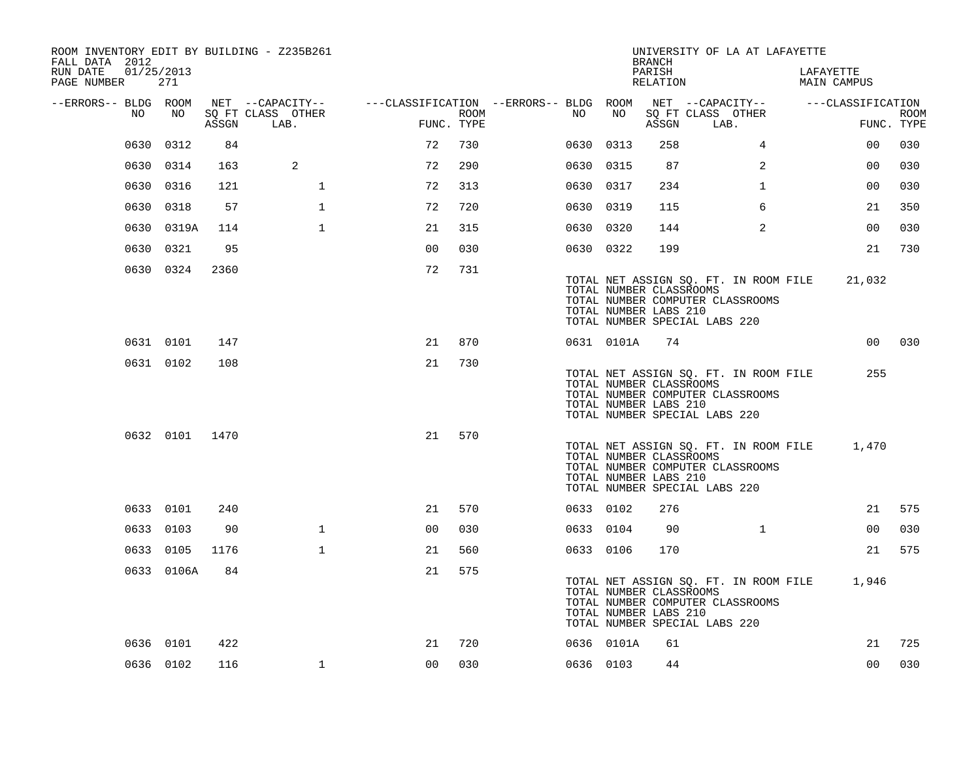| ROOM INVENTORY EDIT BY BUILDING - Z235B261<br>FALL DATA 2012 |                   |       |                           |                                                         |      |           |            | <b>BRANCH</b>                                    | UNIVERSITY OF LA AT LAFAYETTE                                                                                     |                                 |                           |
|--------------------------------------------------------------|-------------------|-------|---------------------------|---------------------------------------------------------|------|-----------|------------|--------------------------------------------------|-------------------------------------------------------------------------------------------------------------------|---------------------------------|---------------------------|
| RUN DATE<br>PAGE NUMBER                                      | 01/25/2013<br>271 |       |                           |                                                         |      |           |            | PARISH<br>RELATION                               |                                                                                                                   | LAFAYETTE<br><b>MAIN CAMPUS</b> |                           |
| --ERRORS-- BLDG ROOM                                         |                   |       | NET --CAPACITY--          | ---CLASSIFICATION --ERRORS-- BLDG ROOM NET --CAPACITY-- |      |           |            |                                                  |                                                                                                                   | ---CLASSIFICATION               |                           |
| NO                                                           | NO                | ASSGN | SQ FT CLASS OTHER<br>LAB. | FUNC. TYPE                                              | ROOM | NO        | NO         | ASSGN                                            | SQ FT CLASS OTHER<br>LAB.                                                                                         |                                 | <b>ROOM</b><br>FUNC. TYPE |
| 0630                                                         | 0312              | 84    |                           | 72                                                      | 730  | 0630 0313 |            | 258                                              | $\overline{4}$                                                                                                    | 00                              | 030                       |
|                                                              | 0630 0314         | 163   | 2                         | 72                                                      | 290  | 0630 0315 |            | 87                                               | 2                                                                                                                 | 0 <sub>0</sub>                  | 030                       |
|                                                              | 0630 0316         | 121   | $\mathbf 1$               | 72                                                      | 313  | 0630 0317 |            | 234                                              | $\mathbf{1}$                                                                                                      | 00                              | 030                       |
|                                                              | 0630 0318         | 57    | $\mathbf{1}$              | 72                                                      | 720  | 0630 0319 |            | 115                                              | 6                                                                                                                 | 21                              | 350                       |
|                                                              | 0630 0319A        | 114   | $\mathbf{1}$              | 21                                                      | 315  | 0630 0320 |            | 144                                              | 2                                                                                                                 | 0 <sub>0</sub>                  | 030                       |
|                                                              | 0630 0321         | 95    |                           | 0 <sup>0</sup>                                          | 030  | 0630 0322 |            | 199                                              |                                                                                                                   | 21                              | 730                       |
|                                                              | 0630 0324         | 2360  |                           | 72                                                      | 731  |           |            | TOTAL NUMBER CLASSROOMS<br>TOTAL NUMBER LABS 210 | TOTAL NET ASSIGN SQ. FT. IN ROOM FILE 21,032<br>TOTAL NUMBER COMPUTER CLASSROOMS<br>TOTAL NUMBER SPECIAL LABS 220 |                                 |                           |
|                                                              | 0631 0101         | 147   |                           | 21                                                      | 870  |           | 0631 0101A | 74                                               |                                                                                                                   |                                 | 00 030                    |
|                                                              | 0631 0102         | 108   |                           | 21                                                      | 730  |           |            | TOTAL NUMBER CLASSROOMS<br>TOTAL NUMBER LABS 210 | TOTAL NET ASSIGN SQ. FT. IN ROOM FILE<br>TOTAL NUMBER COMPUTER CLASSROOMS<br>TOTAL NUMBER SPECIAL LABS 220        | 255                             |                           |
|                                                              | 0632 0101 1470    |       |                           | 21                                                      | 570  |           |            | TOTAL NUMBER CLASSROOMS<br>TOTAL NUMBER LABS 210 | TOTAL NET ASSIGN SQ. FT. IN ROOM FILE<br>TOTAL NUMBER COMPUTER CLASSROOMS<br>TOTAL NUMBER SPECIAL LABS 220        | 1,470                           |                           |
|                                                              | 0633 0101         | 240   |                           | 21                                                      | 570  | 0633 0102 |            | 276                                              |                                                                                                                   | 21                              | 575                       |
|                                                              | 0633 0103         | 90    | $\mathbf{1}$              | 0 <sub>0</sub>                                          | 030  | 0633 0104 |            | 90                                               | $\mathbf{1}$                                                                                                      | 00                              | 030                       |
|                                                              | 0633 0105         | 1176  | $\mathbf{1}$              | 21                                                      | 560  | 0633 0106 |            | 170                                              |                                                                                                                   | 21                              | 575                       |
|                                                              | 0633 0106A        | 84    |                           | 21                                                      | 575  |           |            | TOTAL NUMBER CLASSROOMS<br>TOTAL NUMBER LABS 210 | TOTAL NET ASSIGN SQ. FT. IN ROOM FILE 1,946<br>TOTAL NUMBER COMPUTER CLASSROOMS<br>TOTAL NUMBER SPECIAL LABS 220  |                                 |                           |
|                                                              | 0636 0101         | 422   |                           | 21                                                      | 720  |           | 0636 0101A | 61                                               |                                                                                                                   | 21                              | 725                       |
|                                                              | 0636 0102         | 116   | $\mathbf{1}$              | 00                                                      | 030  | 0636 0103 |            | 44                                               |                                                                                                                   | 00                              | 030                       |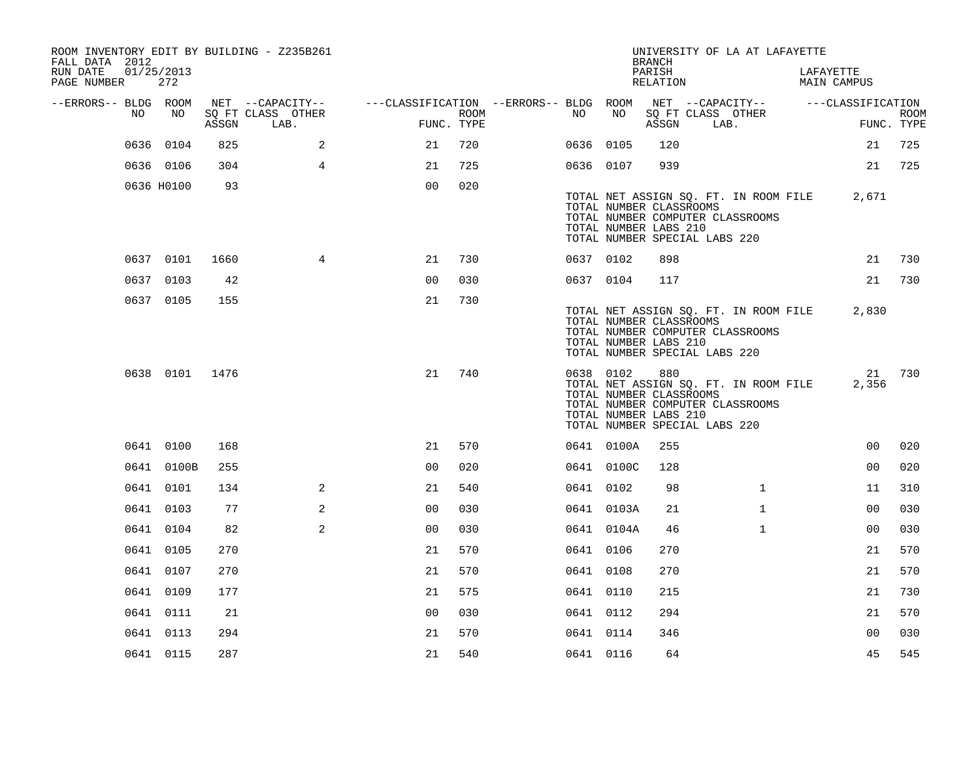| ROOM INVENTORY EDIT BY BUILDING - Z235B261<br>FALL DATA 2012 |                   |       |                                               |                                                                                           |      |           |            | <b>BRANCH</b>                                                                            |      | UNIVERSITY OF LA AT LAFAYETTE                                             |                          |                           |
|--------------------------------------------------------------|-------------------|-------|-----------------------------------------------|-------------------------------------------------------------------------------------------|------|-----------|------------|------------------------------------------------------------------------------------------|------|---------------------------------------------------------------------------|--------------------------|---------------------------|
| RUN DATE<br>PAGE NUMBER                                      | 01/25/2013<br>272 |       |                                               |                                                                                           |      |           |            | PARISH<br>RELATION                                                                       |      |                                                                           | LAFAYETTE<br>MAIN CAMPUS |                           |
| --ERRORS-- BLDG ROOM<br>NO                                   | NO                | ASSGN | NET --CAPACITY--<br>SQ FT CLASS OTHER<br>LAB. | ---CLASSIFICATION --ERRORS-- BLDG ROOM NET --CAPACITY-- -----CLASSIFICATION<br>FUNC. TYPE | ROOM | NO        | NO         | ASSGN                                                                                    | LAB. | SQ FT CLASS OTHER                                                         |                          | <b>ROOM</b><br>FUNC. TYPE |
|                                                              | 0636 0104         | 825   | $\overline{a}$                                | 21                                                                                        | 720  | 0636 0105 |            | 120                                                                                      |      |                                                                           | 21                       | 725                       |
|                                                              | 0636 0106         | 304   | $\overline{4}$                                | 21                                                                                        | 725  | 0636 0107 |            | 939                                                                                      |      |                                                                           | 21                       | 725                       |
|                                                              | 0636 H0100        | 93    |                                               | 0 <sub>0</sub>                                                                            | 020  |           |            | TOTAL NUMBER CLASSROOMS<br>TOTAL NUMBER LABS 210<br>TOTAL NUMBER SPECIAL LABS 220        |      | TOTAL NET ASSIGN SQ. FT. IN ROOM FILE<br>TOTAL NUMBER COMPUTER CLASSROOMS | 2,671                    |                           |
|                                                              | 0637 0101         | 1660  | $4\overline{ }$                               | 21                                                                                        | 730  | 0637 0102 |            | 898                                                                                      |      |                                                                           | 21                       | 730                       |
|                                                              | 0637 0103         | 42    |                                               | 0 <sub>0</sub>                                                                            | 030  | 0637 0104 |            | 117                                                                                      |      |                                                                           | 21                       | 730                       |
|                                                              | 0637 0105         | 155   |                                               | 21                                                                                        | 730  |           |            | TOTAL NUMBER CLASSROOMS<br>TOTAL NUMBER LABS 210<br>TOTAL NUMBER SPECIAL LABS 220        |      | TOTAL NET ASSIGN SQ. FT. IN ROOM FILE<br>TOTAL NUMBER COMPUTER CLASSROOMS | 2,830                    |                           |
|                                                              | 0638 0101 1476    |       |                                               | 21                                                                                        | 740  |           | 0638 0102  | 880<br>TOTAL NUMBER CLASSROOMS<br>TOTAL NUMBER LABS 210<br>TOTAL NUMBER SPECIAL LABS 220 |      | TOTAL NET ASSIGN SQ. FT. IN ROOM FILE<br>TOTAL NUMBER COMPUTER CLASSROOMS | 2,356                    | 21 730                    |
|                                                              | 0641 0100         | 168   |                                               | 21                                                                                        | 570  |           | 0641 0100A | 255                                                                                      |      |                                                                           | 0 <sub>0</sub>           | 020                       |
|                                                              | 0641 0100B        | 255   |                                               | 0 <sub>0</sub>                                                                            | 020  |           | 0641 0100C | 128                                                                                      |      |                                                                           | 0 <sub>0</sub>           | 020                       |
|                                                              | 0641 0101         | 134   | $\overline{2}$                                | 21                                                                                        | 540  | 0641 0102 |            | 98                                                                                       |      | $\mathbf{1}$                                                              | 11                       | 310                       |
|                                                              | 0641 0103         | 77    | 2                                             | 0 <sub>0</sub>                                                                            | 030  |           | 0641 0103A | 21                                                                                       |      | $\mathbf{1}$                                                              | 0 <sub>0</sub>           | 030                       |
|                                                              | 0641 0104         | 82    | 2                                             | 0 <sub>0</sub>                                                                            | 030  |           | 0641 0104A | 46                                                                                       |      | $\mathbf{1}$                                                              | 0 <sub>0</sub>           | 030                       |
|                                                              | 0641 0105         | 270   |                                               | 21                                                                                        | 570  | 0641 0106 |            | 270                                                                                      |      |                                                                           | 21                       | 570                       |
|                                                              | 0641 0107         | 270   |                                               | 21                                                                                        | 570  | 0641 0108 |            | 270                                                                                      |      |                                                                           | 21                       | 570                       |
|                                                              | 0641 0109         | 177   |                                               | 21                                                                                        | 575  | 0641 0110 |            | 215                                                                                      |      |                                                                           | 21                       | 730                       |
|                                                              | 0641 0111         | 21    |                                               | 0 <sub>0</sub>                                                                            | 030  | 0641 0112 |            | 294                                                                                      |      |                                                                           | 21                       | 570                       |
|                                                              | 0641 0113         | 294   |                                               | 21                                                                                        | 570  | 0641 0114 |            | 346                                                                                      |      |                                                                           | 0 <sub>0</sub>           | 030                       |
|                                                              | 0641 0115         | 287   |                                               | 21                                                                                        | 540  | 0641 0116 |            | 64                                                                                       |      |                                                                           | 45                       | 545                       |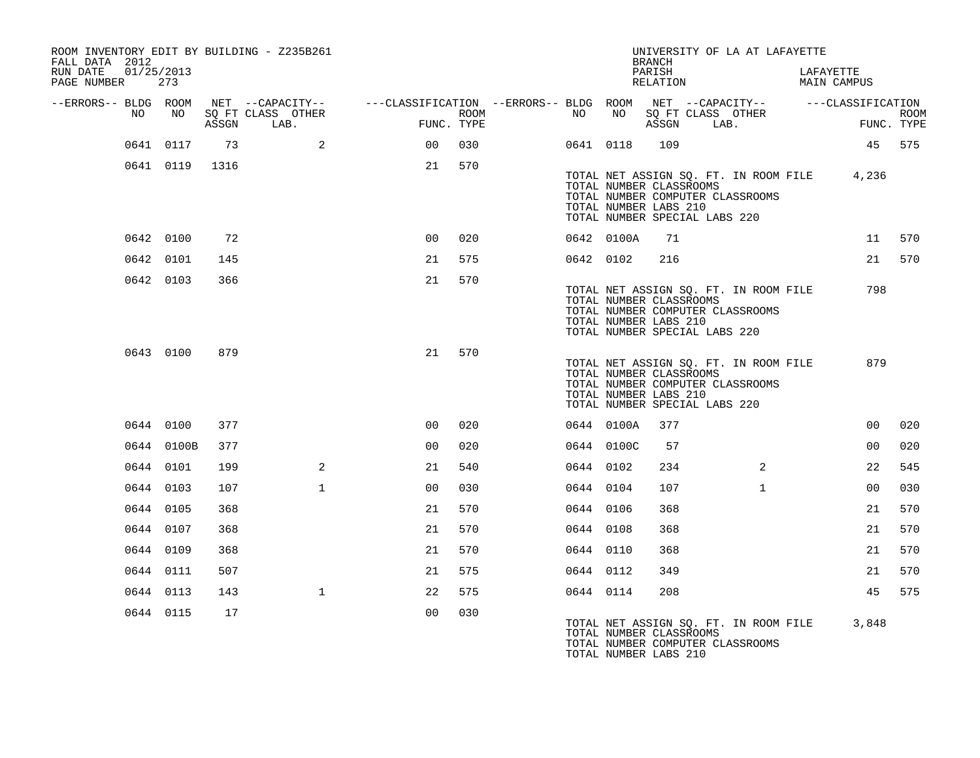| FALL DATA 2012          |            |                 |       | ROOM INVENTORY EDIT BY BUILDING - Z235B261                                                                          |                 |            |           |            | <b>BRANCH</b>                                                                     | UNIVERSITY OF LA AT LAFAYETTE                                             |                                             |             |
|-------------------------|------------|-----------------|-------|---------------------------------------------------------------------------------------------------------------------|-----------------|------------|-----------|------------|-----------------------------------------------------------------------------------|---------------------------------------------------------------------------|---------------------------------------------|-------------|
| RUN DATE<br>PAGE NUMBER | 01/25/2013 | 273             |       |                                                                                                                     |                 |            |           |            | PARISH<br>RELATION                                                                |                                                                           | LAFAYETTE<br>MAIN CAMPUS                    |             |
| --ERRORS-- BLDG ROOM    | NO         | NO <sub>1</sub> |       | NET --CAPACITY-- - ---CLASSIFICATION --ERRORS-- BLDG ROOM NET --CAPACITY-- - ---CLASSIFICATION<br>SQ FT CLASS OTHER |                 | ROOM       | NO        |            |                                                                                   | NO SQ FT CLASS OTHER                                                      |                                             | <b>ROOM</b> |
|                         |            |                 | ASSGN | LAB.                                                                                                                |                 | FUNC. TYPE |           |            | ASSGN                                                                             | LAB.                                                                      | FUNC. TYPE                                  |             |
|                         |            | 0641 0117       | 73    | $\sim$ 2                                                                                                            | 00 <sub>o</sub> | 030        |           | 0641 0118  | 109                                                                               |                                                                           | 45 575                                      |             |
|                         |            | 0641 0119 1316  |       |                                                                                                                     | 21              | 570        |           |            | TOTAL NUMBER CLASSROOMS<br>TOTAL NUMBER LABS 210<br>TOTAL NUMBER SPECIAL LABS 220 | TOTAL NUMBER COMPUTER CLASSROOMS                                          | TOTAL NET ASSIGN SO. FT. IN ROOM FILE 4,236 |             |
|                         |            | 0642 0100       | 72    |                                                                                                                     | 00              | 020        |           | 0642 0100A | 71                                                                                |                                                                           |                                             | 11 570      |
|                         |            | 0642 0101       | 145   |                                                                                                                     | 21              | 575        |           | 0642 0102  | 216                                                                               |                                                                           |                                             | 21 570      |
|                         |            | 0642 0103       | 366   |                                                                                                                     | 21              | 570        |           |            | TOTAL NUMBER CLASSROOMS<br>TOTAL NUMBER LABS 210<br>TOTAL NUMBER SPECIAL LABS 220 | TOTAL NET ASSIGN SQ. FT. IN ROOM FILE<br>TOTAL NUMBER COMPUTER CLASSROOMS | 798                                         |             |
|                         |            | 0643 0100       | 879   |                                                                                                                     | 21              | 570        |           |            | TOTAL NUMBER CLASSROOMS<br>TOTAL NUMBER LABS 210<br>TOTAL NUMBER SPECIAL LABS 220 | TOTAL NET ASSIGN SQ. FT. IN ROOM FILE<br>TOTAL NUMBER COMPUTER CLASSROOMS | 879                                         |             |
|                         |            | 0644 0100       | 377   |                                                                                                                     | 0 <sup>0</sup>  | 020        |           | 0644 0100A | 377                                                                               |                                                                           | 0 <sub>0</sub>                              | 020         |
|                         |            | 0644 0100B      | 377   |                                                                                                                     | 0 <sub>0</sub>  | 020        |           | 0644 0100C | 57                                                                                |                                                                           | 00                                          | 020         |
|                         |            | 0644 0101       | 199   | 2                                                                                                                   | 21              | 540        | 0644 0102 |            | 234                                                                               | 2                                                                         | 22                                          | 545         |
|                         | 0644 0103  |                 | 107   | $\mathbf{1}$                                                                                                        | 0 <sub>0</sub>  | 030        | 0644 0104 |            | 107                                                                               | $\mathbf{1}$                                                              | 00                                          | 030         |
|                         | 0644 0105  |                 | 368   |                                                                                                                     | 21              | 570        | 0644 0106 |            | 368                                                                               |                                                                           | 21                                          | 570         |
|                         | 0644 0107  |                 | 368   |                                                                                                                     | 21              | 570        | 0644 0108 |            | 368                                                                               |                                                                           | 21                                          | 570         |
|                         | 0644 0109  |                 | 368   |                                                                                                                     | 21              | 570        | 0644 0110 |            | 368                                                                               |                                                                           | 21                                          | 570         |
|                         |            | 0644 0111       | 507   |                                                                                                                     | 21              | 575        | 0644 0112 |            | 349                                                                               |                                                                           | 21                                          | 570         |
|                         |            | 0644 0113       | 143   | $\mathbf{1}$                                                                                                        | 22              | 575        | 0644 0114 |            | 208                                                                               |                                                                           | 45                                          | 575         |
|                         |            | 0644 0115       | 17    |                                                                                                                     | 0 <sup>0</sup>  | 030        |           |            | TOTAL NUMBER CLASSROOMS<br>TOTAL NUMBER LABS 210                                  | TOTAL NET ASSIGN SQ. FT. IN ROOM FILE<br>TOTAL NUMBER COMPUTER CLASSROOMS | 3,848                                       |             |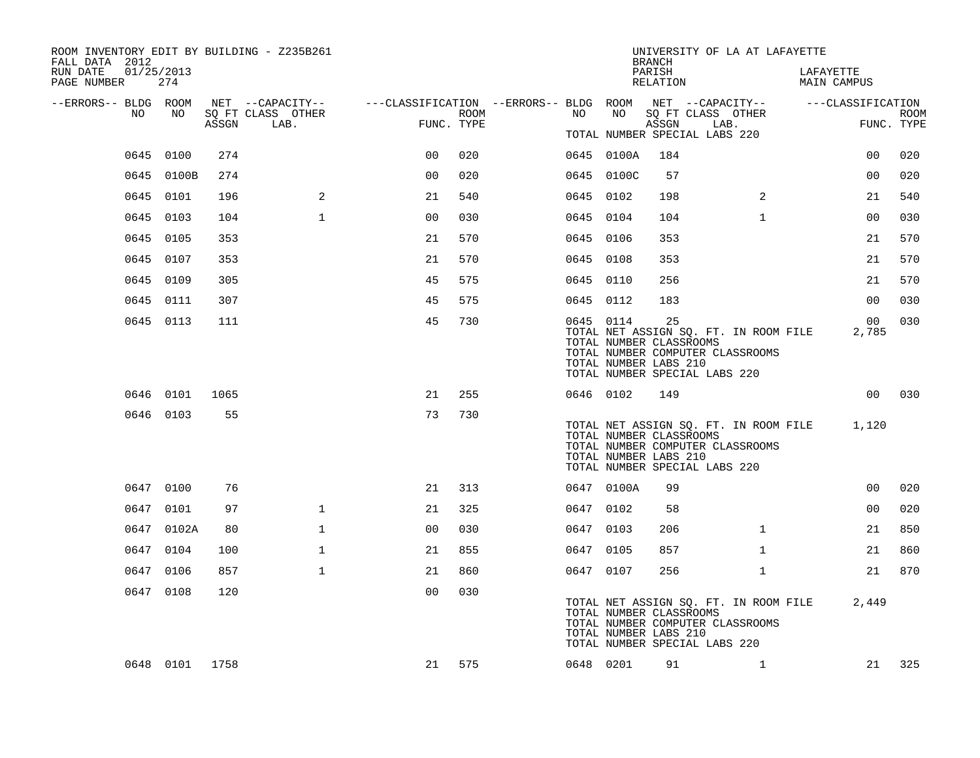| ROOM INVENTORY EDIT BY BUILDING - Z235B261<br>FALL DATA 2012 |                |       |                                                                                                |                |      |           |            | <b>BRANCH</b>                                          | UNIVERSITY OF LA AT LAFAYETTE                                                                                    |              |                          |                 |             |
|--------------------------------------------------------------|----------------|-------|------------------------------------------------------------------------------------------------|----------------|------|-----------|------------|--------------------------------------------------------|------------------------------------------------------------------------------------------------------------------|--------------|--------------------------|-----------------|-------------|
| 01/25/2013<br>RUN DATE<br>PAGE NUMBER                        | 274            |       |                                                                                                |                |      |           |            | PARISH<br>RELATION                                     |                                                                                                                  |              | LAFAYETTE<br>MAIN CAMPUS |                 |             |
| --ERRORS-- BLDG ROOM                                         |                |       | NET --CAPACITY-- - ---CLASSIFICATION --ERRORS-- BLDG ROOM NET --CAPACITY-- - ---CLASSIFICATION |                |      |           |            |                                                        |                                                                                                                  |              |                          |                 |             |
| NO.                                                          | NO             | ASSGN | SQ FT CLASS OTHER<br>LAB.                                                                      | FUNC. TYPE     | ROOM | NO        | NO         | ASSGN                                                  | SQ FT CLASS OTHER<br>LAB.<br>TOTAL NUMBER SPECIAL LABS 220                                                       |              |                          | FUNC. TYPE      | <b>ROOM</b> |
|                                                              | 0645 0100      | 274   |                                                                                                | 0 <sup>0</sup> | 020  |           | 0645 0100A | 184                                                    |                                                                                                                  |              |                          | 0 <sub>0</sub>  | 020         |
|                                                              | 0645 0100B     | 274   |                                                                                                | 0 <sub>0</sub> | 020  |           | 0645 0100C | 57                                                     |                                                                                                                  |              |                          | 0 <sub>0</sub>  | 020         |
|                                                              | 0645 0101      | 196   | 2                                                                                              | 21             | 540  | 0645 0102 |            | 198                                                    |                                                                                                                  | 2            |                          | 21              | 540         |
|                                                              | 0645 0103      | 104   | $\mathbf{1}$                                                                                   | 0 <sup>0</sup> | 030  | 0645 0104 |            | 104                                                    |                                                                                                                  | $\mathbf{1}$ |                          | 0 <sub>0</sub>  | 030         |
|                                                              | 0645 0105      | 353   |                                                                                                | 21             | 570  | 0645 0106 |            | 353                                                    |                                                                                                                  |              |                          | 21              | 570         |
|                                                              | 0645 0107      | 353   |                                                                                                | 21             | 570  | 0645 0108 |            | 353                                                    |                                                                                                                  |              |                          | 21              | 570         |
|                                                              | 0645 0109      | 305   |                                                                                                | 45             | 575  | 0645 0110 |            | 256                                                    |                                                                                                                  |              |                          | 21              | 570         |
|                                                              | 0645 0111      | 307   |                                                                                                | 45             | 575  | 0645 0112 |            | 183                                                    |                                                                                                                  |              |                          | 00              | 030         |
|                                                              | 0645 0113      | 111   |                                                                                                | 45             | 730  |           | 0645 0114  | 25<br>TOTAL NUMBER CLASSROOMS<br>TOTAL NUMBER LABS 210 | TOTAL NET ASSIGN SQ. FT. IN ROOM FILE<br>TOTAL NUMBER COMPUTER CLASSROOMS<br>TOTAL NUMBER SPECIAL LABS 220       |              |                          | 00<br>2,785     | 030         |
|                                                              | 0646 0101      | 1065  |                                                                                                | 21             | 255  |           | 0646 0102  | 149                                                    |                                                                                                                  |              |                          | 00 <sub>o</sub> | 030         |
|                                                              | 0646 0103      | 55    |                                                                                                | 73             | 730  |           |            | TOTAL NUMBER CLASSROOMS<br>TOTAL NUMBER LABS 210       | TOTAL NET ASSIGN SQ. FT. IN ROOM FILE 1,120<br>TOTAL NUMBER COMPUTER CLASSROOMS<br>TOTAL NUMBER SPECIAL LABS 220 |              |                          |                 |             |
|                                                              | 0647 0100      | 76    |                                                                                                | 21             | 313  |           | 0647 0100A | 99                                                     |                                                                                                                  |              |                          | 0 <sub>0</sub>  | 020         |
|                                                              | 0647 0101      | 97    | $\mathbf{1}$                                                                                   | 21             | 325  | 0647 0102 |            | 58                                                     |                                                                                                                  |              |                          | 0 <sub>0</sub>  | 020         |
|                                                              | 0647 0102A     | 80    | $\mathbf 1$                                                                                    | 0 <sub>0</sub> | 030  | 0647 0103 |            | 206                                                    |                                                                                                                  | $\mathbf{1}$ |                          | 21              | 850         |
|                                                              | 0647 0104      | 100   | $\mathbf{1}$                                                                                   | 21             | 855  | 0647 0105 |            | 857                                                    |                                                                                                                  | $\mathbf{1}$ |                          | 21              | 860         |
|                                                              | 0647 0106      | 857   | $\mathbf{1}$                                                                                   | 21             | 860  | 0647 0107 |            | 256                                                    |                                                                                                                  | $\mathbf{1}$ |                          | 21              | 870         |
|                                                              | 0647 0108      | 120   |                                                                                                | 0 <sub>0</sub> | 030  |           |            | TOTAL NUMBER CLASSROOMS<br>TOTAL NUMBER LABS 210       | TOTAL NET ASSIGN SQ. FT. IN ROOM FILE<br>TOTAL NUMBER COMPUTER CLASSROOMS<br>TOTAL NUMBER SPECIAL LABS 220       |              |                          | 2,449           |             |
|                                                              | 0648 0101 1758 |       |                                                                                                | 21             | 575  |           | 0648 0201  | 91                                                     |                                                                                                                  | $\mathbf{1}$ |                          |                 | 21 325      |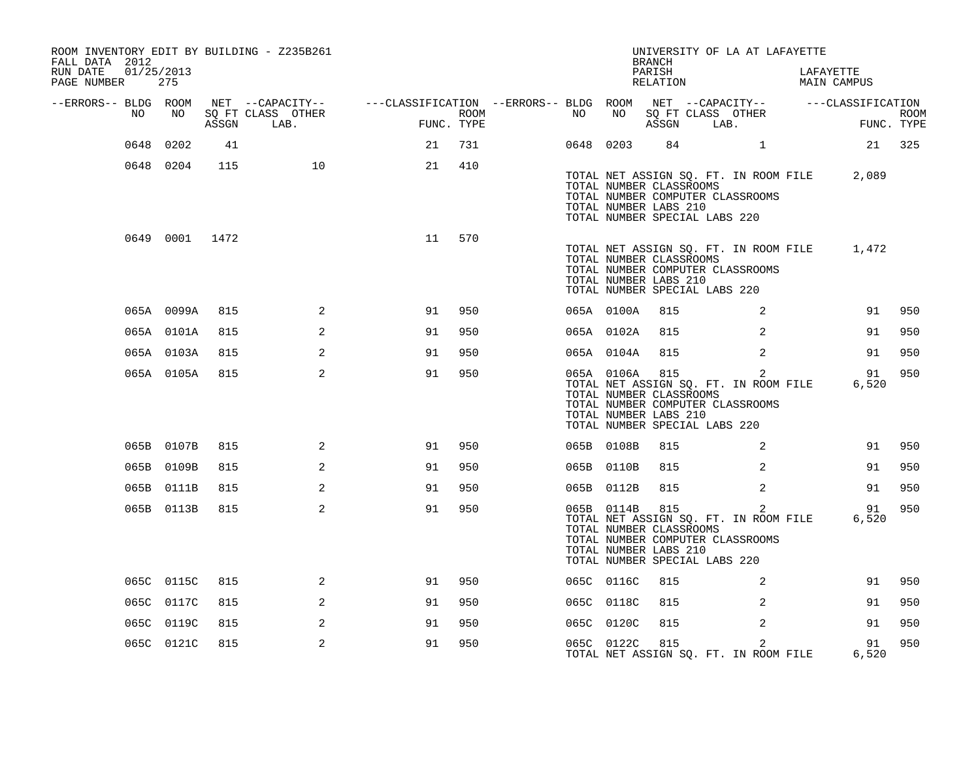| ROOM INVENTORY EDIT BY BUILDING - Z235B261<br>FALL DATA 2012 |                   |       |                           |                                                                                                |      |    |            | <b>BRANCH</b>                                                                            |                        | UNIVERSITY OF LA AT LAFAYETTE                                                  |                                             |                           |
|--------------------------------------------------------------|-------------------|-------|---------------------------|------------------------------------------------------------------------------------------------|------|----|------------|------------------------------------------------------------------------------------------|------------------------|--------------------------------------------------------------------------------|---------------------------------------------|---------------------------|
| RUN DATE<br>PAGE NUMBER                                      | 01/25/2013<br>275 |       |                           |                                                                                                |      |    |            | PARISH<br>RELATION                                                                       |                        |                                                                                | LAFAYETTE<br>MAIN CAMPUS                    |                           |
| --ERRORS-- BLDG ROOM                                         |                   |       |                           | NET --CAPACITY-- - ---CLASSIFICATION --ERRORS-- BLDG ROOM NET --CAPACITY-- - ---CLASSIFICATION |      |    |            |                                                                                          |                        |                                                                                |                                             |                           |
| NO                                                           | NO                | ASSGN | SQ FT CLASS OTHER<br>LAB. | FUNC. TYPE                                                                                     | ROOM | NO | NO         | SQ FT CLASS OTHER<br>ASSGN LAB.                                                          |                        |                                                                                |                                             | <b>ROOM</b><br>FUNC. TYPE |
| 0648                                                         | 0202              | 41    |                           | 21                                                                                             | 731  |    | 0648 0203  |                                                                                          | 84 and $\overline{84}$ | $\mathbf{1}$                                                                   |                                             | 21 325                    |
|                                                              | 0648 0204         | 115   | 10                        | 21                                                                                             | 410  |    |            | TOTAL NUMBER CLASSROOMS<br>TOTAL NUMBER LABS 210<br>TOTAL NUMBER SPECIAL LABS 220        |                        | TOTAL NUMBER COMPUTER CLASSROOMS                                               | TOTAL NET ASSIGN SQ. FT. IN ROOM FILE 2,089 |                           |
|                                                              | 0649 0001 1472    |       |                           | 11                                                                                             | 570  |    |            | TOTAL NUMBER CLASSROOMS<br>TOTAL NUMBER LABS 210<br>TOTAL NUMBER SPECIAL LABS 220        |                        | TOTAL NUMBER COMPUTER CLASSROOMS                                               | TOTAL NET ASSIGN SQ. FT. IN ROOM FILE 1,472 |                           |
|                                                              | 065A 0099A        | 815   | 2                         | 91                                                                                             | 950  |    | 065A 0100A | 815                                                                                      |                        | 2                                                                              | 91                                          | 950                       |
|                                                              | 065A 0101A        | 815   | 2                         | 91                                                                                             | 950  |    | 065A 0102A | 815                                                                                      |                        | 2                                                                              | 91                                          | 950                       |
|                                                              | 065A 0103A        | 815   | 2                         | 91                                                                                             | 950  |    | 065A 0104A | 815                                                                                      |                        | 2                                                                              | 91                                          | 950                       |
|                                                              | 065A 0105A        | 815   | 2                         | 91                                                                                             | 950  |    | 065A 0106A | 815<br>TOTAL NUMBER CLASSROOMS<br>TOTAL NUMBER LABS 210<br>TOTAL NUMBER SPECIAL LABS 220 |                        | 2<br>TOTAL NET ASSIGN SQ. FT. IN ROOM FILE<br>TOTAL NUMBER COMPUTER CLASSROOMS | 91<br>6,520                                 | 950                       |
|                                                              | 065B 0107B        | 815   | 2                         | 91                                                                                             | 950  |    | 065B 0108B | 815                                                                                      |                        | 2                                                                              | 91                                          | 950                       |
|                                                              | 065B 0109B        | 815   | 2                         | 91                                                                                             | 950  |    | 065B 0110B | 815                                                                                      |                        | 2                                                                              | 91                                          | 950                       |
|                                                              | 065B 0111B        | 815   | 2                         | 91                                                                                             | 950  |    | 065B 0112B | 815                                                                                      |                        | 2                                                                              | 91                                          | 950                       |
|                                                              | 065B 0113B        | 815   | 2                         | 91                                                                                             | 950  |    | 065B 0114B | 815<br>TOTAL NUMBER CLASSROOMS<br>TOTAL NUMBER LABS 210<br>TOTAL NUMBER SPECIAL LABS 220 |                        | 2<br>TOTAL NET ASSIGN SQ. FT. IN ROOM FILE<br>TOTAL NUMBER COMPUTER CLASSROOMS | 91<br>6,520                                 | 950                       |
|                                                              | 065C 0115C        | 815   | 2                         | 91                                                                                             | 950  |    | 065C 0116C | 815                                                                                      |                        | 2                                                                              | 91                                          | 950                       |
|                                                              | 065C 0117C        | 815   | 2                         | 91                                                                                             | 950  |    | 065C 0118C | 815                                                                                      |                        | 2                                                                              | 91                                          | 950                       |
|                                                              | 065C 0119C        | 815   | 2                         | 91                                                                                             | 950  |    | 065C 0120C | 815                                                                                      |                        | 2                                                                              | 91                                          | 950                       |
|                                                              | 065C 0121C        | 815   | 2                         | 91                                                                                             | 950  |    |            | 065C 0122C 815                                                                           |                        | 2<br>TOTAL NET ASSIGN SQ. FT. IN ROOM FILE                                     | 91<br>6,520                                 | 950                       |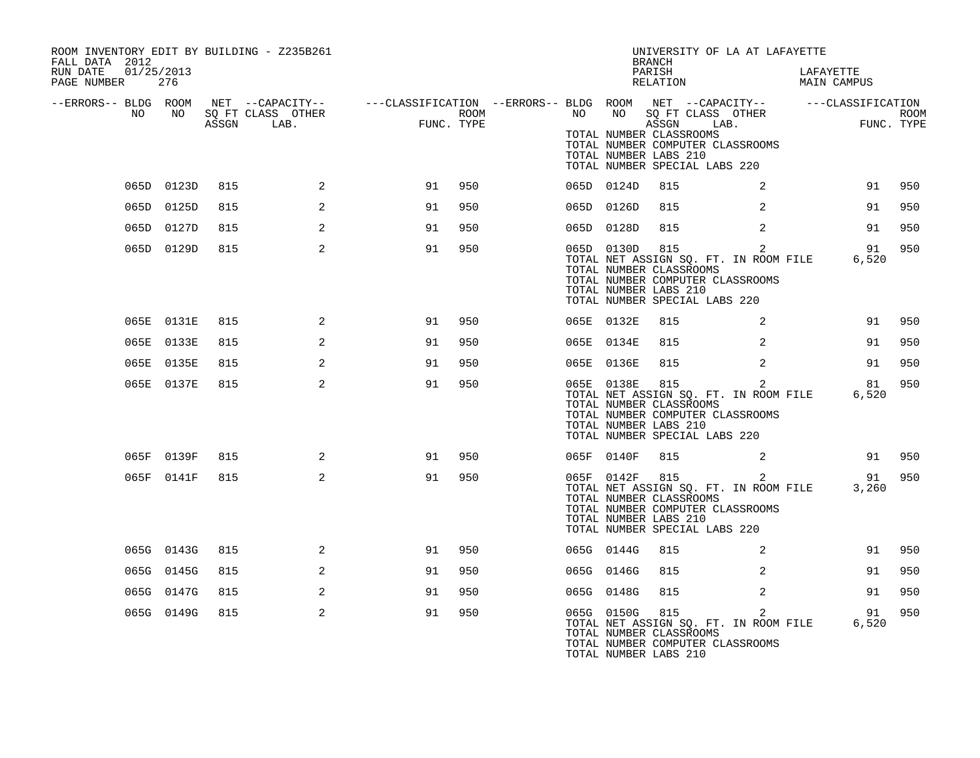| ROOM INVENTORY EDIT BY BUILDING - Z235B261<br>FALL DATA 2012<br>RUN DATE 01/25/2013<br>PAGE NUMBER 276 |            |     |                |                                                                                                                                                                                                                                   |     |  |                | UNIVERSITY OF LA AT LAFAYETTE<br><b>BRANCH</b><br>PARISH<br>RELATION                                                                                           |                | LAFAYETTE<br>MAIN CAMPUS                                        |        |
|--------------------------------------------------------------------------------------------------------|------------|-----|----------------|-----------------------------------------------------------------------------------------------------------------------------------------------------------------------------------------------------------------------------------|-----|--|----------------|----------------------------------------------------------------------------------------------------------------------------------------------------------------|----------------|-----------------------------------------------------------------|--------|
|                                                                                                        |            |     |                | ERRORS-- BLDG ROOM NET --CAPACITY--- --CLASSIFICATION --ERRORS-- BLDG ROOM NET --CAPACITY---------CLASSIFICATION<br>NO NO SQ FT CLASS OTHER ROOM NO BOTT CLASS OTHER ROOM NO ASSGN LAB.<br>ASSGN LAB. FUNC. TYPE ASSGN ASSGN LAB. |     |  |                | TOTAL NUMBER CLASSROOMS<br>TOTAL NUMBER COMPUTER CLASSROOMS<br>TOTAL NUMBER LABS 210<br>TOTAL NUMBER SPECIAL LABS 220                                          |                |                                                                 |        |
|                                                                                                        | 065D 0123D | 815 | $\overline{a}$ | 91                                                                                                                                                                                                                                | 950 |  | 065D 0124D     | 815                                                                                                                                                            | 2              |                                                                 | 91 950 |
|                                                                                                        | 065D 0125D | 815 | 2              | 91                                                                                                                                                                                                                                | 950 |  | 065D 0126D     | 815                                                                                                                                                            | 2              | 91                                                              | 950    |
|                                                                                                        | 065D 0127D | 815 | 2              | 91                                                                                                                                                                                                                                | 950 |  | 065D 0128D     | 815                                                                                                                                                            | 2              | 91                                                              | 950    |
|                                                                                                        | 065D 0129D | 815 | $\overline{2}$ | 91                                                                                                                                                                                                                                | 950 |  |                | 065D 0130D 815 2<br>TOTAL NUMBER CLASSROOMS<br>TOTAL NUMBER COMPUTER CLASSROOMS<br>TOTAL NUMBER LABS 210<br>TOTAL NUMBER SPECIAL LABS 220                      |                | TOTAL NET ASSIGN SQ. FT. IN ROOM FILE 6,520                     | 91 950 |
|                                                                                                        | 065E 0131E | 815 | 2              | 91                                                                                                                                                                                                                                | 950 |  | 065E 0132E     | 815                                                                                                                                                            | 2              |                                                                 | 91 950 |
|                                                                                                        | 065E 0133E | 815 | 2              | 91                                                                                                                                                                                                                                | 950 |  | 065E 0134E     | 815                                                                                                                                                            | 2              | 91                                                              | 950    |
|                                                                                                        | 065E 0135E | 815 | 2              | 91                                                                                                                                                                                                                                | 950 |  | 065E 0136E     | 815                                                                                                                                                            | 2              | 91                                                              | 950    |
|                                                                                                        | 065E 0137E | 815 | 2              | 91                                                                                                                                                                                                                                | 950 |  | 065E 0138E 815 | TOTAL NET ASSIGN SQ. FT. IN ROOM FILE<br>TOTAL NUMBER CLASSROOMS<br>TOTAL NUMBER COMPUTER CLASSROOMS<br>TOTAL NUMBER LABS 210<br>TOTAL NUMBER SPECIAL LABS 220 | 2              | 6,520                                                           | 81 950 |
|                                                                                                        | 065F 0139F | 815 | 2              | 91                                                                                                                                                                                                                                | 950 |  | 065F 0140F     | 815                                                                                                                                                            | $\sim$ 2       |                                                                 | 91 950 |
|                                                                                                        | 065F 0141F | 815 | 2              | 91                                                                                                                                                                                                                                | 950 |  |                | 065F 0142F 815<br>TOTAL NUMBER CLASSROOMS<br>TOTAL NUMBER COMPUTER CLASSROOMS<br>TOTAL NUMBER LABS 210<br>TOTAL NUMBER SPECIAL LABS 220                        |                | 065F 0142F 815 2<br>TOTAL NET ASSIGN SQ. FT. IN ROOM FILE 3,260 | 91 950 |
|                                                                                                        | 065G 0143G | 815 | 2              | 91                                                                                                                                                                                                                                | 950 |  | 065G 0144G     | 815                                                                                                                                                            | $\overline{a}$ | 91                                                              | 950    |
|                                                                                                        | 065G 0145G | 815 | 2              | 91                                                                                                                                                                                                                                | 950 |  | 065G 0146G     | 815                                                                                                                                                            | 2              | 91                                                              | 950    |
|                                                                                                        | 065G 0147G | 815 | 2              | 91                                                                                                                                                                                                                                | 950 |  | 065G 0148G     | 815                                                                                                                                                            | 2              | 91                                                              | 950    |
|                                                                                                        | 065G 0149G | 815 | 2              | 91                                                                                                                                                                                                                                | 950 |  |                | 065G 0150G 815<br>TOTAL NUMBER CLASSROOMS<br>TOTAL NUMBER COMPUTER CLASSROOMS<br>TOTAL NUMBER LABS 210                                                         | $\overline{a}$ | 91                                                              | 950    |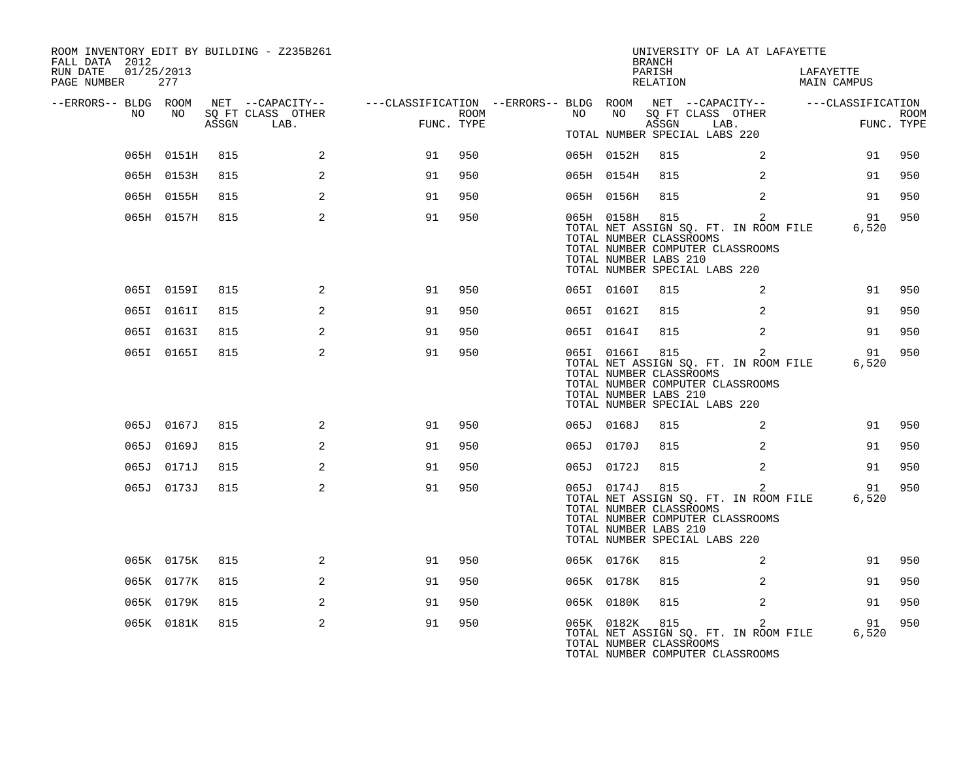| ROOM INVENTORY EDIT BY BUILDING - Z235B261<br>FALL DATA 2012 |            |       |                                       |                                                                             |      |    |            | <b>BRANCH</b>                                           | UNIVERSITY OF LA AT LAFAYETTE                                                                                                |                          |             |
|--------------------------------------------------------------|------------|-------|---------------------------------------|-----------------------------------------------------------------------------|------|----|------------|---------------------------------------------------------|------------------------------------------------------------------------------------------------------------------------------|--------------------------|-------------|
| RUN DATE<br>01/25/2013<br>PAGE NUMBER                        | 277        |       |                                       |                                                                             |      |    |            | PARISH<br>RELATION                                      |                                                                                                                              | LAFAYETTE<br>MAIN CAMPUS |             |
| --ERRORS-- BLDG ROOM<br>NO                                   | NO         |       | NET --CAPACITY--<br>SO FT CLASS OTHER | ---CLASSIFICATION --ERRORS-- BLDG ROOM NET --CAPACITY-- -----CLASSIFICATION | ROOM | NO | NO         |                                                         | SO FT CLASS OTHER                                                                                                            |                          | <b>ROOM</b> |
|                                                              |            | ASSGN | LAB.                                  | FUNC. TYPE                                                                  |      |    |            | ASSGN                                                   | LAB.<br>TOTAL NUMBER SPECIAL LABS 220                                                                                        |                          | FUNC. TYPE  |
|                                                              | 065H 0151H | 815   | 2                                     | 91                                                                          | 950  |    | 065H 0152H | 815                                                     | 2                                                                                                                            | 91                       | 950         |
|                                                              | 065H 0153H | 815   | 2                                     | 91                                                                          | 950  |    | 065H 0154H | 815                                                     | 2                                                                                                                            | 91                       | 950         |
|                                                              | 065H 0155H | 815   | 2                                     | 91                                                                          | 950  |    | 065H 0156H | 815                                                     | 2                                                                                                                            | 91                       | 950         |
|                                                              | 065H 0157H | 815   | 2                                     | 91                                                                          | 950  |    | 065H 0158H | 815<br>TOTAL NUMBER CLASSROOMS<br>TOTAL NUMBER LABS 210 | 2<br>TOTAL NET ASSIGN SQ. FT. IN ROOM FILE<br>TOTAL NUMBER COMPUTER CLASSROOMS<br>TOTAL NUMBER SPECIAL LABS 220              | 91<br>6,520              | 950         |
|                                                              | 065I 0159I | 815   | 2                                     | 91                                                                          | 950  |    | 065I 0160I | 815                                                     | 2                                                                                                                            | 91                       | 950         |
|                                                              | 065I 0161I | 815   | 2                                     | 91                                                                          | 950  |    | 065I 0162I | 815                                                     | 2                                                                                                                            | 91                       | 950         |
|                                                              | 065I 0163I | 815   | 2                                     | 91                                                                          | 950  |    | 065I 0164I | 815                                                     | 2                                                                                                                            | 91                       | 950         |
|                                                              | 065I 0165I | 815   | 2                                     | 91                                                                          | 950  |    | 065I 0166I | 815<br>TOTAL NUMBER CLASSROOMS<br>TOTAL NUMBER LABS 210 | $\overline{2}$<br>TOTAL NET ASSIGN SQ. FT. IN ROOM FILE<br>TOTAL NUMBER COMPUTER CLASSROOMS<br>TOTAL NUMBER SPECIAL LABS 220 | 91<br>6,520              | 950         |
|                                                              | 065J 0167J | 815   | 2                                     | 91                                                                          | 950  |    | 065J 0168J | 815                                                     | 2                                                                                                                            | 91                       | 950         |
|                                                              | 065J 0169J | 815   | 2                                     | 91                                                                          | 950  |    | 065J 0170J | 815                                                     | $\overline{2}$                                                                                                               | 91                       | 950         |
|                                                              | 065J 0171J | 815   | 2                                     | 91                                                                          | 950  |    | 065J 0172J | 815                                                     | $\overline{2}$                                                                                                               | 91                       | 950         |
|                                                              | 065J 0173J | 815   | 2                                     | 91                                                                          | 950  |    | 065J 0174J | 815<br>TOTAL NUMBER CLASSROOMS<br>TOTAL NUMBER LABS 210 | 2<br>TOTAL NET ASSIGN SQ. FT. IN ROOM FILE<br>TOTAL NUMBER COMPUTER CLASSROOMS<br>TOTAL NUMBER SPECIAL LABS 220              | 91<br>6,520              | 950         |
|                                                              | 065K 0175K | 815   | 2                                     | 91                                                                          | 950  |    | 065K 0176K | 815                                                     | 2                                                                                                                            | 91                       | 950         |
|                                                              | 065K 0177K | 815   | 2                                     | 91                                                                          | 950  |    | 065K 0178K | 815                                                     | 2                                                                                                                            | 91                       | 950         |
|                                                              | 065K 0179K | 815   | 2                                     | 91                                                                          | 950  |    | 065K 0180K | 815                                                     | 2                                                                                                                            | 91                       | 950         |
|                                                              | 065K 0181K | 815   | 2                                     | 91                                                                          | 950  |    | 065K 0182K | 815<br>TOTAL NUMBER CLASSROOMS                          | $\overline{2}$<br>TOTAL NET ASSIGN SQ. FT. IN ROOM FILE<br>TOTAL NUMBER COMPUTER CLASSROOMS                                  | 91<br>6,520              | 950         |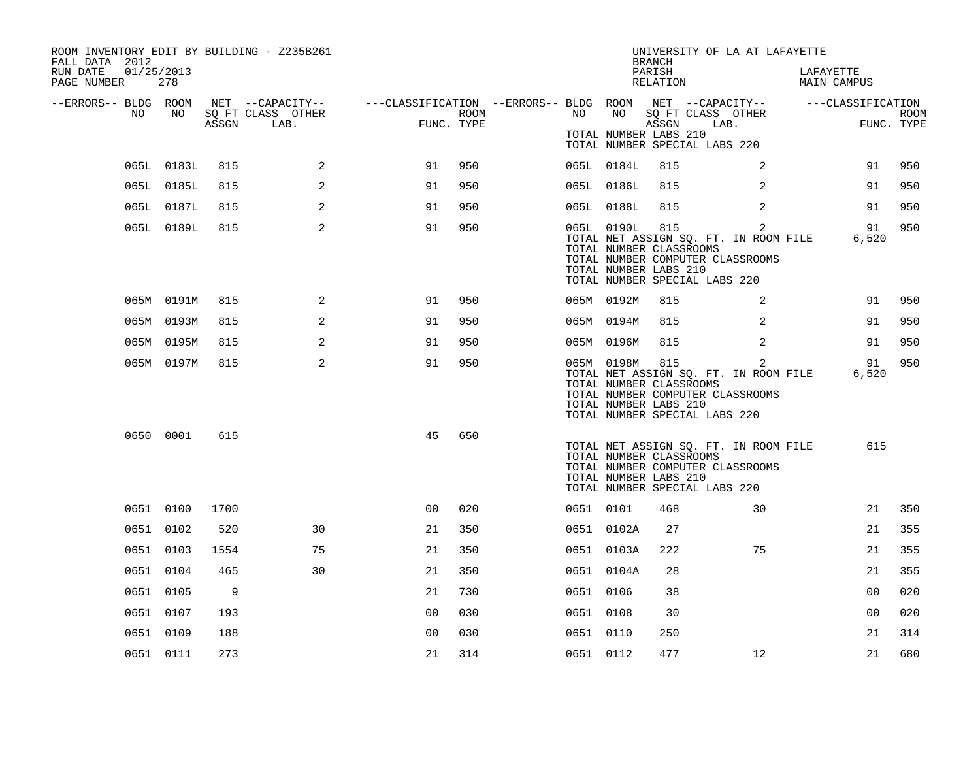| ROOM INVENTORY EDIT BY BUILDING - Z235B261<br>FALL DATA 2012 |            |       |                   |                                                                                                |      |           |                                                                | <b>BRANCH</b>      | UNIVERSITY OF LA AT LAFAYETTE                                                                                                |                          |                |             |
|--------------------------------------------------------------|------------|-------|-------------------|------------------------------------------------------------------------------------------------|------|-----------|----------------------------------------------------------------|--------------------|------------------------------------------------------------------------------------------------------------------------------|--------------------------|----------------|-------------|
| RUN DATE<br>01/25/2013<br>PAGE NUMBER                        | 278        |       |                   |                                                                                                |      |           |                                                                | PARISH<br>RELATION |                                                                                                                              | LAFAYETTE<br>MAIN CAMPUS |                |             |
| --ERRORS-- BLDG ROOM<br>NO                                   | NO         |       | SQ FT CLASS OTHER | NET --CAPACITY-- - ---CLASSIFICATION --ERRORS-- BLDG ROOM NET --CAPACITY-- - ---CLASSIFICATION | ROOM | NO        | NO                                                             |                    | SQ FT CLASS OTHER                                                                                                            |                          |                | <b>ROOM</b> |
|                                                              |            | ASSGN | LAB.              | FUNC. TYPE                                                                                     |      |           | TOTAL NUMBER LABS 210                                          | ASSGN              | LAB.<br>TOTAL NUMBER SPECIAL LABS 220                                                                                        |                          | FUNC. TYPE     |             |
|                                                              | 065L 0183L | 815   | 2                 | 91                                                                                             | 950  |           | 065L 0184L                                                     | 815                | 2                                                                                                                            |                          | 91             | 950         |
|                                                              | 065L 0185L | 815   | 2                 | 91                                                                                             | 950  |           | 065L 0186L                                                     | 815                | 2                                                                                                                            |                          | 91             | 950         |
|                                                              | 065L 0187L | 815   | 2                 | 91                                                                                             | 950  |           | 065L 0188L                                                     | 815                | 2                                                                                                                            |                          | 91             | 950         |
|                                                              | 065L 0189L | 815   | 2                 | 91                                                                                             | 950  |           | 065L 0190L<br>TOTAL NUMBER CLASSROOMS<br>TOTAL NUMBER LABS 210 | 815                | $\overline{2}$<br>TOTAL NET ASSIGN SQ. FT. IN ROOM FILE<br>TOTAL NUMBER COMPUTER CLASSROOMS<br>TOTAL NUMBER SPECIAL LABS 220 |                          | 91<br>6,520    | 950         |
|                                                              | 065M 0191M | 815   | 2                 | 91                                                                                             | 950  |           | 065M 0192M                                                     | 815                | 2                                                                                                                            |                          | 91             | 950         |
|                                                              | 065M 0193M | 815   | 2                 | 91                                                                                             | 950  |           | 065M 0194M                                                     | 815                | 2                                                                                                                            |                          | 91             | 950         |
|                                                              | 065M 0195M | 815   | 2                 | 91                                                                                             | 950  |           | 065M 0196M                                                     | 815                | 2                                                                                                                            |                          | 91             | 950         |
|                                                              | 065M 0197M | 815   | 2                 | 91                                                                                             | 950  |           | 065M 0198M<br>TOTAL NUMBER CLASSROOMS<br>TOTAL NUMBER LABS 210 | 815                | 2<br>TOTAL NET ASSIGN SQ. FT. IN ROOM FILE<br>TOTAL NUMBER COMPUTER CLASSROOMS<br>TOTAL NUMBER SPECIAL LABS 220              |                          | 91<br>6,520    | 950         |
|                                                              | 0650 0001  | 615   |                   | 45                                                                                             | 650  |           | TOTAL NUMBER CLASSROOMS<br>TOTAL NUMBER LABS 210               |                    | TOTAL NET ASSIGN SQ. FT. IN ROOM FILE<br>TOTAL NUMBER COMPUTER CLASSROOMS<br>TOTAL NUMBER SPECIAL LABS 220                   |                          | 615            |             |
|                                                              | 0651 0100  | 1700  |                   | 00                                                                                             | 020  | 0651 0101 |                                                                | 468                | 30                                                                                                                           |                          | 21             | 350         |
|                                                              | 0651 0102  | 520   | 30                | 21                                                                                             | 350  |           | 0651 0102A                                                     | 27                 |                                                                                                                              |                          | 21             | 355         |
|                                                              | 0651 0103  | 1554  | 75                | 21                                                                                             | 350  |           | 0651 0103A                                                     | 222                | 75                                                                                                                           |                          | 21             | 355         |
|                                                              | 0651 0104  | 465   | 30                | 21                                                                                             | 350  |           | 0651 0104A                                                     | 28                 |                                                                                                                              |                          | 21             | 355         |
|                                                              | 0651 0105  | 9     |                   | 21                                                                                             | 730  | 0651 0106 |                                                                | 38                 |                                                                                                                              |                          | 0 <sub>0</sub> | 020         |
|                                                              | 0651 0107  | 193   |                   | 0 <sub>0</sub>                                                                                 | 030  | 0651 0108 |                                                                | 30                 |                                                                                                                              |                          | 0 <sub>0</sub> | 020         |
|                                                              | 0651 0109  | 188   |                   | 0 <sub>0</sub>                                                                                 | 030  | 0651 0110 |                                                                | 250                |                                                                                                                              |                          | 21             | 314         |
|                                                              | 0651 0111  | 273   |                   | 21                                                                                             | 314  | 0651 0112 |                                                                | 477                | 12                                                                                                                           |                          | 21             | 680         |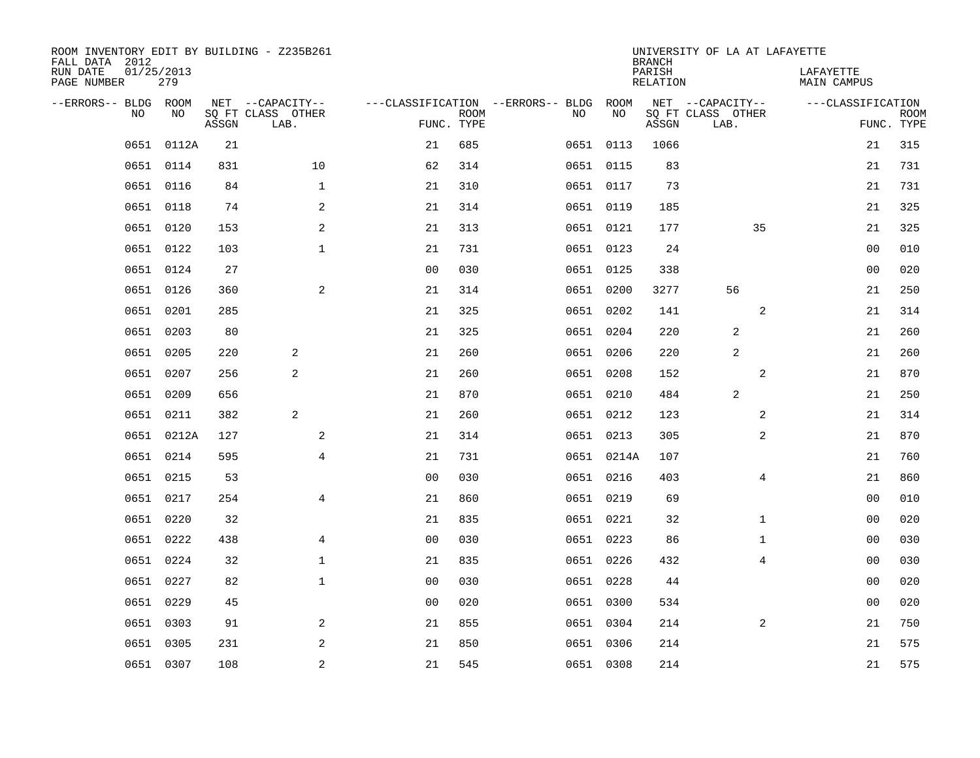| ROOM INVENTORY EDIT BY BUILDING - Z235B261<br>FALL DATA 2012 |                   |       |                           |                |             |                                        |            | <b>BRANCH</b>             | UNIVERSITY OF LA AT LAFAYETTE |                          |                           |
|--------------------------------------------------------------|-------------------|-------|---------------------------|----------------|-------------|----------------------------------------|------------|---------------------------|-------------------------------|--------------------------|---------------------------|
| RUN DATE<br>PAGE NUMBER                                      | 01/25/2013<br>279 |       |                           |                |             |                                        |            | PARISH<br><b>RELATION</b> |                               | LAFAYETTE<br>MAIN CAMPUS |                           |
| --ERRORS-- BLDG ROOM                                         |                   |       | NET --CAPACITY--          |                |             | ---CLASSIFICATION --ERRORS-- BLDG ROOM |            |                           | NET --CAPACITY--              | ---CLASSIFICATION        |                           |
| NO.                                                          | NO                | ASSGN | SQ FT CLASS OTHER<br>LAB. | FUNC. TYPE     | <b>ROOM</b> | NO                                     | NO         | ASSGN                     | SQ FT CLASS OTHER<br>LAB.     |                          | <b>ROOM</b><br>FUNC. TYPE |
| 0651                                                         | 0112A             | 21    |                           | 21             | 685         |                                        | 0651 0113  | 1066                      |                               | 21                       | 315                       |
|                                                              | 0651 0114         | 831   | 10                        | 62             | 314         |                                        | 0651 0115  | 83                        |                               | 21                       | 731                       |
| 0651                                                         | 0116              | 84    | $\mathbf 1$               | 21             | 310         |                                        | 0651 0117  | 73                        |                               | 21                       | 731                       |
|                                                              | 0651 0118         | 74    | 2                         | 21             | 314         |                                        | 0651 0119  | 185                       |                               | 21                       | 325                       |
| 0651                                                         | 0120              | 153   | 2                         | 21             | 313         |                                        | 0651 0121  | 177                       | 35                            | 21                       | 325                       |
|                                                              | 0651 0122         | 103   | $\mathbf{1}$              | 21             | 731         |                                        | 0651 0123  | 24                        |                               | 0 <sub>0</sub>           | 010                       |
|                                                              | 0651 0124         | 27    |                           | 0 <sub>0</sub> | 030         |                                        | 0651 0125  | 338                       |                               | 0 <sub>0</sub>           | 020                       |
|                                                              | 0651 0126         | 360   | 2                         | 21             | 314         |                                        | 0651 0200  | 3277                      | 56                            | 21                       | 250                       |
| 0651                                                         | 0201              | 285   |                           | 21             | 325         |                                        | 0651 0202  | 141                       | 2                             | 21                       | 314                       |
|                                                              | 0651 0203         | 80    |                           | 21             | 325         |                                        | 0651 0204  | 220                       | 2                             | 21                       | 260                       |
| 0651                                                         | 0205              | 220   | 2                         | 21             | 260         |                                        | 0651 0206  | 220                       | 2                             | 21                       | 260                       |
|                                                              | 0651 0207         | 256   | 2                         | 21             | 260         |                                        | 0651 0208  | 152                       | 2                             | 21                       | 870                       |
| 0651                                                         | 0209              | 656   |                           | 21             | 870         |                                        | 0651 0210  | 484                       | 2                             | 21                       | 250                       |
| 0651                                                         | 0211              | 382   | 2                         | 21             | 260         |                                        | 0651 0212  | 123                       | 2                             | 21                       | 314                       |
| 0651                                                         | 0212A             | 127   | 2                         | 21             | 314         |                                        | 0651 0213  | 305                       | 2                             | 21                       | 870                       |
| 0651                                                         | 0214              | 595   | $\overline{4}$            | 21             | 731         |                                        | 0651 0214A | 107                       |                               | 21                       | 760                       |
| 0651                                                         | 0215              | 53    |                           | 0 <sub>0</sub> | 030         |                                        | 0651 0216  | 403                       | $\overline{4}$                | 21                       | 860                       |
| 0651                                                         | 0217              | 254   | 4                         | 21             | 860         |                                        | 0651 0219  | 69                        |                               | 00                       | 010                       |
| 0651                                                         | 0220              | 32    |                           | 21             | 835         |                                        | 0651 0221  | 32                        | $\mathbf{1}$                  | 0 <sub>0</sub>           | 020                       |
| 0651                                                         | 0222              | 438   | 4                         | 0 <sub>0</sub> | 030         |                                        | 0651 0223  | 86                        | $\mathbf{1}$                  | 00                       | 030                       |
|                                                              | 0651 0224         | 32    | $\mathbf 1$               | 21             | 835         |                                        | 0651 0226  | 432                       | 4                             | 00                       | 030                       |
| 0651                                                         | 0227              | 82    | $\mathbf 1$               | 0 <sub>0</sub> | 030         |                                        | 0651 0228  | 44                        |                               | 00                       | 020                       |
|                                                              | 0651 0229         | 45    |                           | 0 <sub>0</sub> | 020         |                                        | 0651 0300  | 534                       |                               | 0 <sub>0</sub>           | 020                       |
| 0651                                                         | 0303              | 91    | 2                         | 21             | 855         |                                        | 0651 0304  | 214                       | 2                             | 21                       | 750                       |
| 0651                                                         | 0305              | 231   | 2                         | 21             | 850         |                                        | 0651 0306  | 214                       |                               | 21                       | 575                       |
|                                                              | 0651 0307         | 108   | $\overline{c}$            | 21             | 545         |                                        | 0651 0308  | 214                       |                               | 21                       | 575                       |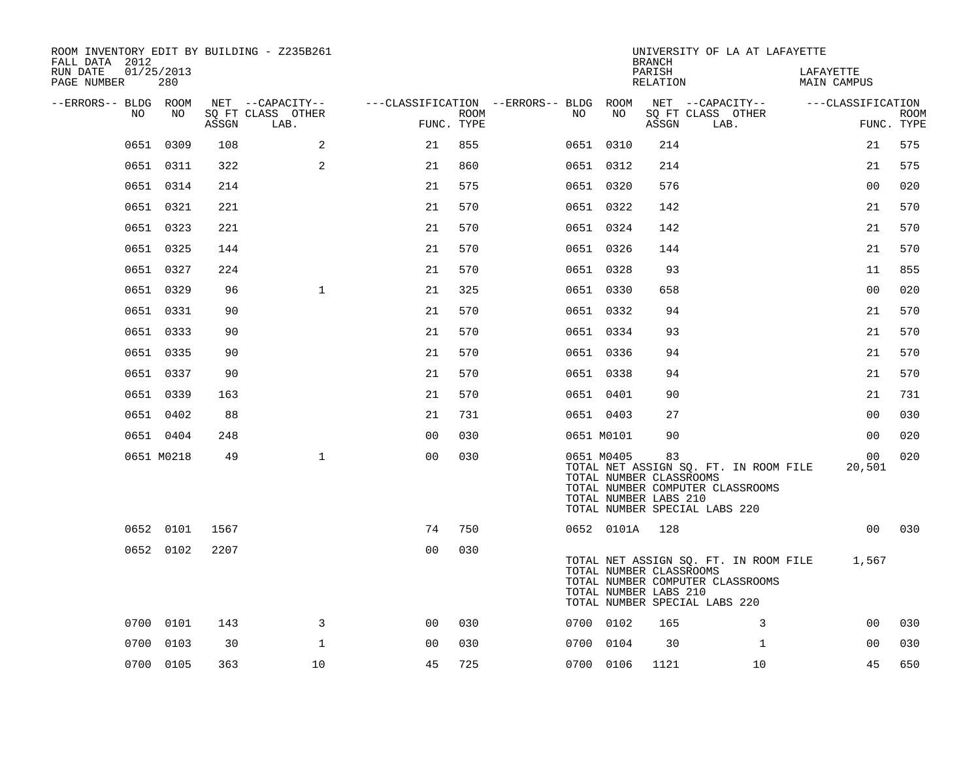| ROOM INVENTORY EDIT BY BUILDING - Z235B261<br>FALL DATA 2012 |                   |       |                           |                                        |             |     |            | <b>BRANCH</b>                                          | UNIVERSITY OF LA AT LAFAYETTE                                                                              |                                 |                           |
|--------------------------------------------------------------|-------------------|-------|---------------------------|----------------------------------------|-------------|-----|------------|--------------------------------------------------------|------------------------------------------------------------------------------------------------------------|---------------------------------|---------------------------|
| RUN DATE<br>PAGE NUMBER                                      | 01/25/2013<br>280 |       |                           |                                        |             |     |            | PARISH<br>RELATION                                     |                                                                                                            | LAFAYETTE<br><b>MAIN CAMPUS</b> |                           |
| --ERRORS-- BLDG ROOM                                         | NO                |       | NET --CAPACITY--          | ---CLASSIFICATION --ERRORS-- BLDG ROOM |             |     | NO         |                                                        | NET --CAPACITY--                                                                                           | ---CLASSIFICATION               |                           |
| NO                                                           |                   | ASSGN | SQ FT CLASS OTHER<br>LAB. | FUNC. TYPE                             | <b>ROOM</b> | NO. |            | ASSGN                                                  | SQ FT CLASS OTHER<br>LAB.                                                                                  |                                 | <b>ROOM</b><br>FUNC. TYPE |
|                                                              | 0651 0309         | 108   | 2                         | 21                                     | 855         |     | 0651 0310  | 214                                                    |                                                                                                            | 21                              | 575                       |
|                                                              | 0651 0311         | 322   | 2                         | 21                                     | 860         |     | 0651 0312  | 214                                                    |                                                                                                            | 21                              | 575                       |
|                                                              | 0651 0314         | 214   |                           | 21                                     | 575         |     | 0651 0320  | 576                                                    |                                                                                                            | 00                              | 020                       |
|                                                              | 0651 0321         | 221   |                           | 21                                     | 570         |     | 0651 0322  | 142                                                    |                                                                                                            | 21                              | 570                       |
|                                                              | 0651 0323         | 221   |                           | 21                                     | 570         |     | 0651 0324  | 142                                                    |                                                                                                            | 21                              | 570                       |
|                                                              | 0651 0325         | 144   |                           | 21                                     | 570         |     | 0651 0326  | 144                                                    |                                                                                                            | 21                              | 570                       |
|                                                              | 0651 0327         | 224   |                           | 21                                     | 570         |     | 0651 0328  | 93                                                     |                                                                                                            | 11                              | 855                       |
|                                                              | 0651 0329         | 96    | $\mathbf{1}$              | 21                                     | 325         |     | 0651 0330  | 658                                                    |                                                                                                            | 0 <sub>0</sub>                  | 020                       |
|                                                              | 0651 0331         | 90    |                           | 21                                     | 570         |     | 0651 0332  | 94                                                     |                                                                                                            | 21                              | 570                       |
|                                                              | 0651 0333         | 90    |                           | 21                                     | 570         |     | 0651 0334  | 93                                                     |                                                                                                            | 21                              | 570                       |
|                                                              | 0651 0335         | 90    |                           | 21                                     | 570         |     | 0651 0336  | 94                                                     |                                                                                                            | 21                              | 570                       |
|                                                              | 0651 0337         | 90    |                           | 21                                     | 570         |     | 0651 0338  | 94                                                     |                                                                                                            | 21                              | 570                       |
|                                                              | 0651 0339         | 163   |                           | 21                                     | 570         |     | 0651 0401  | 90                                                     |                                                                                                            | 21                              | 731                       |
|                                                              | 0651 0402         | 88    |                           | 21                                     | 731         |     | 0651 0403  | 27                                                     |                                                                                                            | 0 <sub>0</sub>                  | 030                       |
|                                                              | 0651 0404         | 248   |                           | 0 <sub>0</sub>                         | 030         |     | 0651 M0101 | 90                                                     |                                                                                                            | 00                              | 020                       |
|                                                              | 0651 M0218        | 49    | $\mathbf{1}$              | 0 <sub>0</sub>                         | 030         |     | 0651 M0405 | 83<br>TOTAL NUMBER CLASSROOMS<br>TOTAL NUMBER LABS 210 | TOTAL NET ASSIGN SQ. FT. IN ROOM FILE<br>TOTAL NUMBER COMPUTER CLASSROOMS<br>TOTAL NUMBER SPECIAL LABS 220 | 00<br>20,501                    | 020                       |
|                                                              | 0652 0101         | 1567  |                           | 74                                     | 750         |     | 0652 0101A | 128                                                    |                                                                                                            | 0 <sub>0</sub>                  | 030                       |
|                                                              | 0652 0102         | 2207  |                           | 0 <sub>0</sub>                         | 030         |     |            | TOTAL NUMBER CLASSROOMS<br>TOTAL NUMBER LABS 210       | TOTAL NET ASSIGN SQ. FT. IN ROOM FILE<br>TOTAL NUMBER COMPUTER CLASSROOMS<br>TOTAL NUMBER SPECIAL LABS 220 | 1,567                           |                           |
|                                                              | 0700 0101         | 143   | 3                         | 0 <sub>0</sub>                         | 030         |     | 0700 0102  | 165                                                    | 3                                                                                                          | 0 <sub>0</sub>                  | 030                       |
| 0700                                                         | 0103              | 30    | $\mathbf{1}$              | 0 <sub>0</sub>                         | 030         |     | 0700 0104  | 30                                                     | 1                                                                                                          | 00                              | 030                       |
|                                                              | 0700 0105         | 363   | 10                        | 45                                     | 725         |     | 0700 0106  | 1121                                                   | 10                                                                                                         | 45                              | 650                       |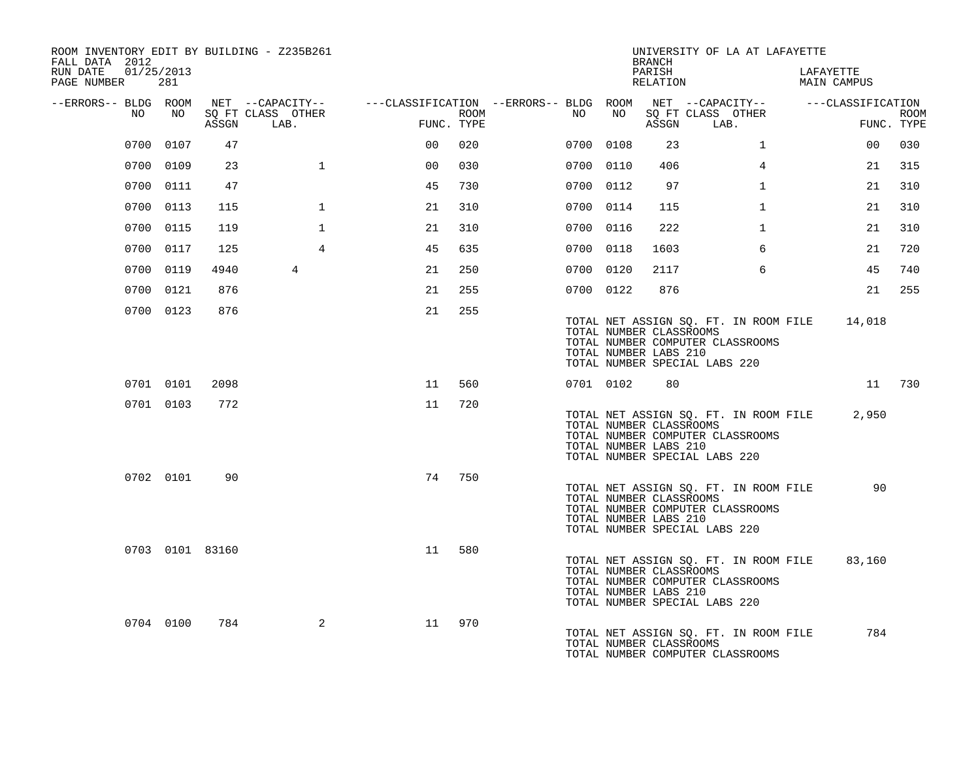| ROOM INVENTORY EDIT BY BUILDING - Z235B261<br>FALL DATA 2012 |           |                 |                                 |                                                                                                                     |      |    |                                                  | BRANCH             | UNIVERSITY OF LA AT LAFAYETTE                                                                              |                          |                           |
|--------------------------------------------------------------|-----------|-----------------|---------------------------------|---------------------------------------------------------------------------------------------------------------------|------|----|--------------------------------------------------|--------------------|------------------------------------------------------------------------------------------------------------|--------------------------|---------------------------|
| 01/25/2013<br>RUN DATE<br>PAGE NUMBER                        | 281       |                 |                                 |                                                                                                                     |      |    |                                                  | PARISH<br>RELATION |                                                                                                            | LAFAYETTE<br>MAIN CAMPUS |                           |
|                                                              |           |                 |                                 | --ERRORS-- BLDG ROOM NET --CAPACITY-- -----CLASSIFICATION --ERRORS-- BLDG ROOM NET --CAPACITY-- -----CLASSIFICATION |      |    |                                                  |                    |                                                                                                            |                          |                           |
| NO                                                           | NO        |                 | SO FT CLASS OTHER<br>ASSGN LAB. | FUNC. TYPE                                                                                                          | ROOM | NO | NO                                               |                    | SO FT CLASS OTHER<br>ASSGN LAB.                                                                            |                          | <b>ROOM</b><br>FUNC. TYPE |
|                                                              | 0700 0107 | 47              |                                 | 0 <sup>0</sup>                                                                                                      | 020  |    | 0700 0108                                        | 23                 | $\mathbf{1}$                                                                                               | 00                       | 030                       |
|                                                              | 0700 0109 | 23              | $\mathbf{1}$                    | 0 <sup>0</sup>                                                                                                      | 030  |    | 0700 0110                                        | 406                | $\overline{4}$                                                                                             | 21                       | 315                       |
|                                                              | 0700 0111 | 47              |                                 | 45                                                                                                                  | 730  |    | 0700 0112                                        | 97                 | $\mathbf{1}$                                                                                               | 21                       | 310                       |
|                                                              | 0700 0113 | 115             | $\mathbf{1}$                    | 21                                                                                                                  | 310  |    | 0700 0114                                        | 115                | $\mathbf{1}$                                                                                               | 21                       | 310                       |
|                                                              | 0700 0115 | 119             | $\mathbf{1}$                    | 21                                                                                                                  | 310  |    | 0700 0116                                        | 222                | $\mathbf{1}$                                                                                               | 21                       | 310                       |
|                                                              | 0700 0117 | 125             | $\overline{4}$                  | 45                                                                                                                  | 635  |    | 0700 0118                                        | 1603               | 6                                                                                                          | 21                       | 720                       |
|                                                              | 0700 0119 | 4940            | $4\overline{ }$                 | 21                                                                                                                  | 250  |    | 0700 0120                                        | 2117               | 6                                                                                                          | 45                       | 740                       |
|                                                              | 0700 0121 | 876             |                                 | 21                                                                                                                  | 255  |    | 0700 0122                                        | 876                |                                                                                                            | 21                       | 255                       |
|                                                              | 0700 0123 | 876             |                                 | 21                                                                                                                  | 255  |    | TOTAL NUMBER CLASSROOMS<br>TOTAL NUMBER LABS 210 |                    | TOTAL NET ASSIGN SQ. FT. IN ROOM FILE<br>TOTAL NUMBER COMPUTER CLASSROOMS<br>TOTAL NUMBER SPECIAL LABS 220 | 14,018                   |                           |
|                                                              | 0701 0101 | 2098            |                                 | 11                                                                                                                  | 560  |    | 0701 0102                                        | 80                 |                                                                                                            |                          | 11 730                    |
|                                                              | 0701 0103 | 772             |                                 | 11                                                                                                                  | 720  |    | TOTAL NUMBER CLASSROOMS<br>TOTAL NUMBER LABS 210 |                    | TOTAL NET ASSIGN SQ. FT. IN ROOM FILE<br>TOTAL NUMBER COMPUTER CLASSROOMS<br>TOTAL NUMBER SPECIAL LABS 220 | 2,950                    |                           |
|                                                              | 0702 0101 | 90              |                                 | 74                                                                                                                  | 750  |    | TOTAL NUMBER CLASSROOMS<br>TOTAL NUMBER LABS 210 |                    | TOTAL NET ASSIGN SQ. FT. IN ROOM FILE<br>TOTAL NUMBER COMPUTER CLASSROOMS<br>TOTAL NUMBER SPECIAL LABS 220 | 90                       |                           |
|                                                              |           | 0703 0101 83160 |                                 | 11                                                                                                                  | 580  |    | TOTAL NUMBER CLASSROOMS<br>TOTAL NUMBER LABS 210 |                    | TOTAL NET ASSIGN SQ. FT. IN ROOM FILE<br>TOTAL NUMBER COMPUTER CLASSROOMS<br>TOTAL NUMBER SPECIAL LABS 220 | 83,160                   |                           |
|                                                              | 0704 0100 | 784             | 2                               | 11                                                                                                                  | 970  |    | TOTAL NUMBER CLASSROOMS                          |                    | TOTAL NET ASSIGN SQ. FT. IN ROOM FILE<br>TOTAL NUMBER COMPUTER CLASSROOMS                                  | 784                      |                           |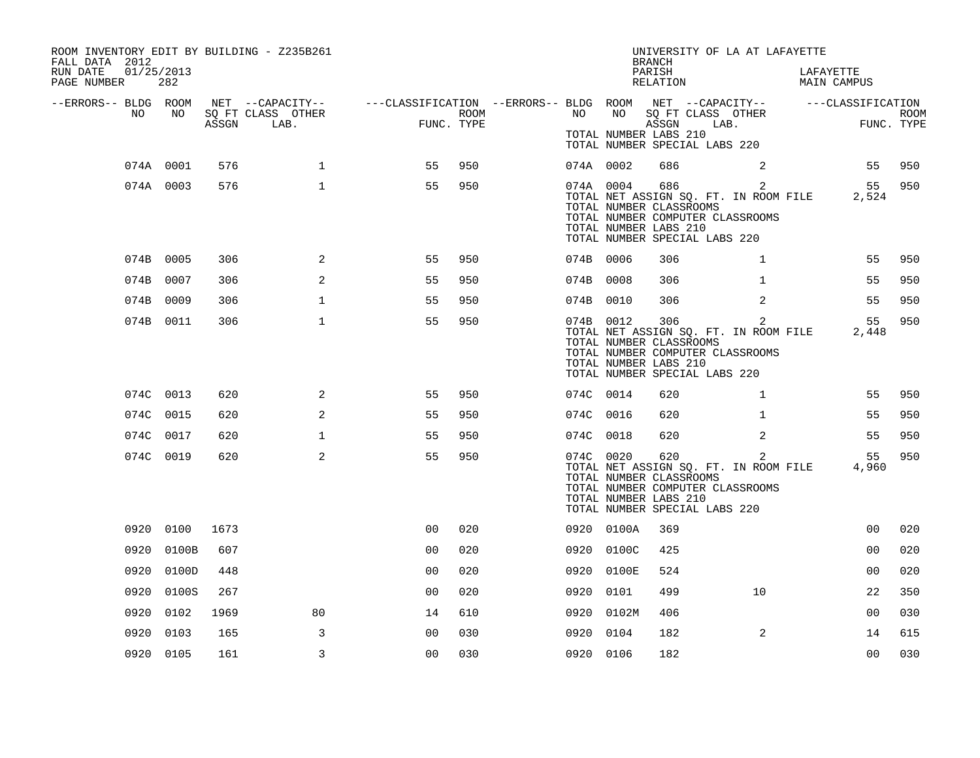| ROOM INVENTORY EDIT BY BUILDING - Z235B261<br>FALL DATA 2012 |            |       |                                       |                                                                             |            |           |            | <b>BRANCH</b>                                                                            | UNIVERSITY OF LA AT LAFAYETTE                                                               |           |                    |             |
|--------------------------------------------------------------|------------|-------|---------------------------------------|-----------------------------------------------------------------------------|------------|-----------|------------|------------------------------------------------------------------------------------------|---------------------------------------------------------------------------------------------|-----------|--------------------|-------------|
| RUN DATE<br>01/25/2013<br>PAGE NUMBER                        | 282        |       |                                       |                                                                             |            |           |            | PARISH<br>RELATION                                                                       |                                                                                             | LAFAYETTE | <b>MAIN CAMPUS</b> |             |
| --ERRORS-- BLDG ROOM<br>NO                                   | NO         |       | NET --CAPACITY--<br>SQ FT CLASS OTHER | ---CLASSIFICATION --ERRORS-- BLDG ROOM NET --CAPACITY--   ---CLASSIFICATION | ROOM       | NO        | NO         | SQ FT CLASS OTHER                                                                        |                                                                                             |           |                    | <b>ROOM</b> |
|                                                              |            | ASSGN | LAB.                                  |                                                                             | FUNC. TYPE |           |            | ASSGN<br>TOTAL NUMBER LABS 210<br>TOTAL NUMBER SPECIAL LABS 220                          | LAB.                                                                                        |           | FUNC. TYPE         |             |
|                                                              | 074A 0001  | 576   | $\mathbf{1}$                          | 55                                                                          | 950        | 074A 0002 |            | 686                                                                                      | $\sim$ 2                                                                                    |           | 55                 | 950         |
|                                                              | 074A 0003  | 576   | $\mathbf{1}$                          | 55                                                                          | 950        | 074A 0004 |            | 686<br>TOTAL NUMBER CLASSROOMS<br>TOTAL NUMBER LABS 210<br>TOTAL NUMBER SPECIAL LABS 220 | $\overline{2}$<br>TOTAL NET ASSIGN SQ. FT. IN ROOM FILE<br>TOTAL NUMBER COMPUTER CLASSROOMS |           | 55<br>2,524        | 950         |
|                                                              | 074B 0005  | 306   | 2                                     | 55                                                                          | 950        | 074B 0006 |            | 306                                                                                      | $\mathbf{1}$                                                                                |           | 55                 | 950         |
|                                                              | 074B 0007  | 306   | 2                                     | 55                                                                          | 950        | 074B 0008 |            | 306                                                                                      | $\mathbf{1}$                                                                                |           | 55                 | 950         |
|                                                              | 074B 0009  | 306   | $\mathbf{1}$                          | 55                                                                          | 950        | 074B 0010 |            | 306                                                                                      | 2                                                                                           |           | 55                 | 950         |
|                                                              | 074B 0011  | 306   | $\mathbf{1}$                          | 55                                                                          | 950        | 074B 0012 |            | 306<br>TOTAL NUMBER CLASSROOMS<br>TOTAL NUMBER LABS 210<br>TOTAL NUMBER SPECIAL LABS 220 | $\overline{2}$<br>TOTAL NET ASSIGN SQ. FT. IN ROOM FILE<br>TOTAL NUMBER COMPUTER CLASSROOMS |           | 55<br>2,448        | 950         |
|                                                              | 074C 0013  | 620   | 2                                     | 55                                                                          | 950        | 074C 0014 |            | 620                                                                                      | $\mathbf{1}$                                                                                |           | 55                 | 950         |
|                                                              | 074C 0015  | 620   | 2                                     | 55                                                                          | 950        | 074C 0016 |            | 620                                                                                      | $\mathbf{1}$                                                                                |           | 55                 | 950         |
|                                                              | 074C 0017  | 620   | $\mathbf{1}$                          | 55                                                                          | 950        | 074C 0018 |            | 620                                                                                      | 2                                                                                           |           | 55                 | 950         |
|                                                              | 074C 0019  | 620   | 2                                     | 55                                                                          | 950        | 074C 0020 |            | 620<br>TOTAL NUMBER CLASSROOMS<br>TOTAL NUMBER LABS 210<br>TOTAL NUMBER SPECIAL LABS 220 | 2<br>TOTAL NET ASSIGN SQ. FT. IN ROOM FILE<br>TOTAL NUMBER COMPUTER CLASSROOMS              |           | 55<br>4,960        | 950         |
|                                                              | 0920 0100  | 1673  |                                       | 0 <sub>0</sub>                                                              | 020        |           | 0920 0100A | 369                                                                                      |                                                                                             |           | 0 <sub>0</sub>     | 020         |
|                                                              | 0920 0100B | 607   |                                       | 0 <sub>0</sub>                                                              | 020        |           | 0920 0100C | 425                                                                                      |                                                                                             |           | 0 <sub>0</sub>     | 020         |
|                                                              | 0920 0100D | 448   |                                       | 0 <sub>0</sub>                                                              | 020        |           | 0920 0100E | 524                                                                                      |                                                                                             |           | 0 <sub>0</sub>     | 020         |
|                                                              | 0920 0100S | 267   |                                       | 0 <sub>0</sub>                                                              | 020        | 0920 0101 |            | 499                                                                                      | 10                                                                                          |           | 22                 | 350         |
| 0920                                                         | 0102       | 1969  | 80                                    | 14                                                                          | 610        |           | 0920 0102M | 406                                                                                      |                                                                                             |           | 0 <sub>0</sub>     | 030         |
| 0920                                                         | 0103       | 165   | 3                                     | 00                                                                          | 030        | 0920 0104 |            | 182                                                                                      | 2                                                                                           |           | 14                 | 615         |
|                                                              | 0920 0105  | 161   | 3                                     | 0 <sub>0</sub>                                                              | 030        | 0920 0106 |            | 182                                                                                      |                                                                                             |           | 0 <sub>0</sub>     | 030         |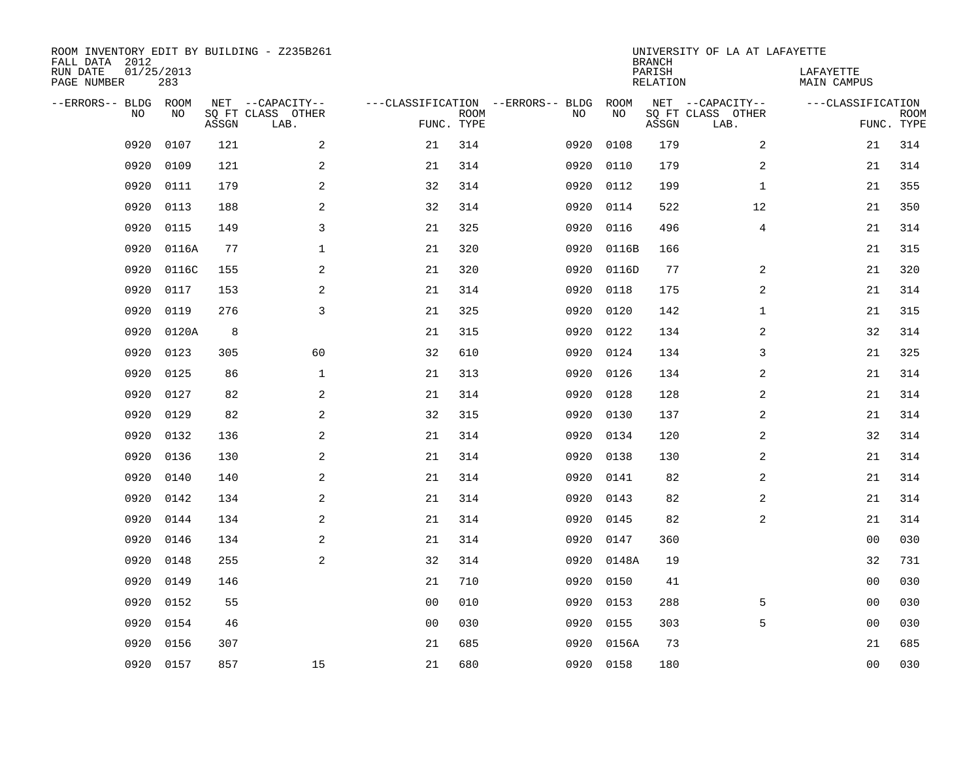| ROOM INVENTORY EDIT BY BUILDING - Z235B261<br>FALL DATA 2012 |                   |       |                           |                |                           |                                   |      |           | <b>BRANCH</b>             | UNIVERSITY OF LA AT LAFAYETTE |                          |                           |
|--------------------------------------------------------------|-------------------|-------|---------------------------|----------------|---------------------------|-----------------------------------|------|-----------|---------------------------|-------------------------------|--------------------------|---------------------------|
| RUN DATE<br>PAGE NUMBER                                      | 01/25/2013<br>283 |       |                           |                |                           |                                   |      |           | PARISH<br><b>RELATION</b> |                               | LAFAYETTE<br>MAIN CAMPUS |                           |
| --ERRORS-- BLDG                                              | ROOM              |       | NET --CAPACITY--          |                |                           | ---CLASSIFICATION --ERRORS-- BLDG |      | ROOM      |                           | NET --CAPACITY--              | ---CLASSIFICATION        |                           |
| NO.                                                          | NO                | ASSGN | SQ FT CLASS OTHER<br>LAB. |                | <b>ROOM</b><br>FUNC. TYPE |                                   | NO   | NO        | ASSGN                     | SQ FT CLASS OTHER<br>LAB.     |                          | <b>ROOM</b><br>FUNC. TYPE |
| 0920                                                         | 0107              | 121   | 2                         | 21             | 314                       |                                   | 0920 | 0108      | 179                       | 2                             | 21                       | 314                       |
| 0920                                                         | 0109              | 121   | $\overline{a}$            | 21             | 314                       |                                   | 0920 | 0110      | 179                       | 2                             | 21                       | 314                       |
| 0920                                                         | 0111              | 179   | 2                         | 32             | 314                       |                                   | 0920 | 0112      | 199                       | $\mathbf{1}$                  | 21                       | 355                       |
| 0920                                                         | 0113              | 188   | 2                         | 32             | 314                       |                                   | 0920 | 0114      | 522                       | 12                            | 21                       | 350                       |
| 0920                                                         | 0115              | 149   | 3                         | 21             | 325                       |                                   | 0920 | 0116      | 496                       | $\overline{4}$                | 21                       | 314                       |
| 0920                                                         | 0116A             | 77    | $\mathbf 1$               | 21             | 320                       |                                   | 0920 | 0116B     | 166                       |                               | 21                       | 315                       |
| 0920                                                         | 0116C             | 155   | 2                         | 21             | 320                       |                                   | 0920 | 0116D     | 77                        | 2                             | 21                       | 320                       |
| 0920                                                         | 0117              | 153   | 2                         | 21             | 314                       |                                   | 0920 | 0118      | 175                       | 2                             | 21                       | 314                       |
| 0920                                                         | 0119              | 276   | 3                         | 21             | 325                       |                                   | 0920 | 0120      | 142                       | $\mathbf{1}$                  | 21                       | 315                       |
| 0920                                                         | 0120A             | 8     |                           | 21             | 315                       |                                   | 0920 | 0122      | 134                       | 2                             | 32                       | 314                       |
| 0920                                                         | 0123              | 305   | 60                        | 32             | 610                       |                                   | 0920 | 0124      | 134                       | 3                             | 21                       | 325                       |
| 0920                                                         | 0125              | 86    | $\mathbf 1$               | 21             | 313                       |                                   | 0920 | 0126      | 134                       | 2                             | 21                       | 314                       |
| 0920                                                         | 0127              | 82    | 2                         | 21             | 314                       |                                   | 0920 | 0128      | 128                       | 2                             | 21                       | 314                       |
| 0920                                                         | 0129              | 82    | $\overline{a}$            | 32             | 315                       |                                   | 0920 | 0130      | 137                       | 2                             | 21                       | 314                       |
| 0920                                                         | 0132              | 136   | 2                         | 21             | 314                       |                                   | 0920 | 0134      | 120                       | 2                             | 32                       | 314                       |
| 0920                                                         | 0136              | 130   | 2                         | 21             | 314                       |                                   | 0920 | 0138      | 130                       | $\overline{a}$                | 21                       | 314                       |
| 0920                                                         | 0140              | 140   | 2                         | 21             | 314                       |                                   | 0920 | 0141      | 82                        | 2                             | 21                       | 314                       |
| 0920                                                         | 0142              | 134   | $\mathbf{2}$              | 21             | 314                       |                                   | 0920 | 0143      | 82                        | 2                             | 21                       | 314                       |
| 0920                                                         | 0144              | 134   | 2                         | 21             | 314                       |                                   | 0920 | 0145      | 82                        | 2                             | 21                       | 314                       |
| 0920                                                         | 0146              | 134   | 2                         | 21             | 314                       |                                   | 0920 | 0147      | 360                       |                               | 00                       | 030                       |
| 0920                                                         | 0148              | 255   | 2                         | 32             | 314                       |                                   | 0920 | 0148A     | 19                        |                               | 32                       | 731                       |
| 0920                                                         | 0149              | 146   |                           | 21             | 710                       |                                   | 0920 | 0150      | 41                        |                               | 0 <sub>0</sub>           | 030                       |
| 0920                                                         | 0152              | 55    |                           | 0 <sub>0</sub> | 010                       |                                   | 0920 | 0153      | 288                       | 5                             | 0 <sub>0</sub>           | 030                       |
| 0920                                                         | 0154              | 46    |                           | 0 <sub>0</sub> | 030                       |                                   | 0920 | 0155      | 303                       | 5                             | 00                       | 030                       |
| 0920                                                         | 0156              | 307   |                           | 21             | 685                       |                                   | 0920 | 0156A     | 73                        |                               | 21                       | 685                       |
| 0920                                                         | 0157              | 857   | 15                        | 21             | 680                       |                                   |      | 0920 0158 | 180                       |                               | 0 <sub>0</sub>           | 030                       |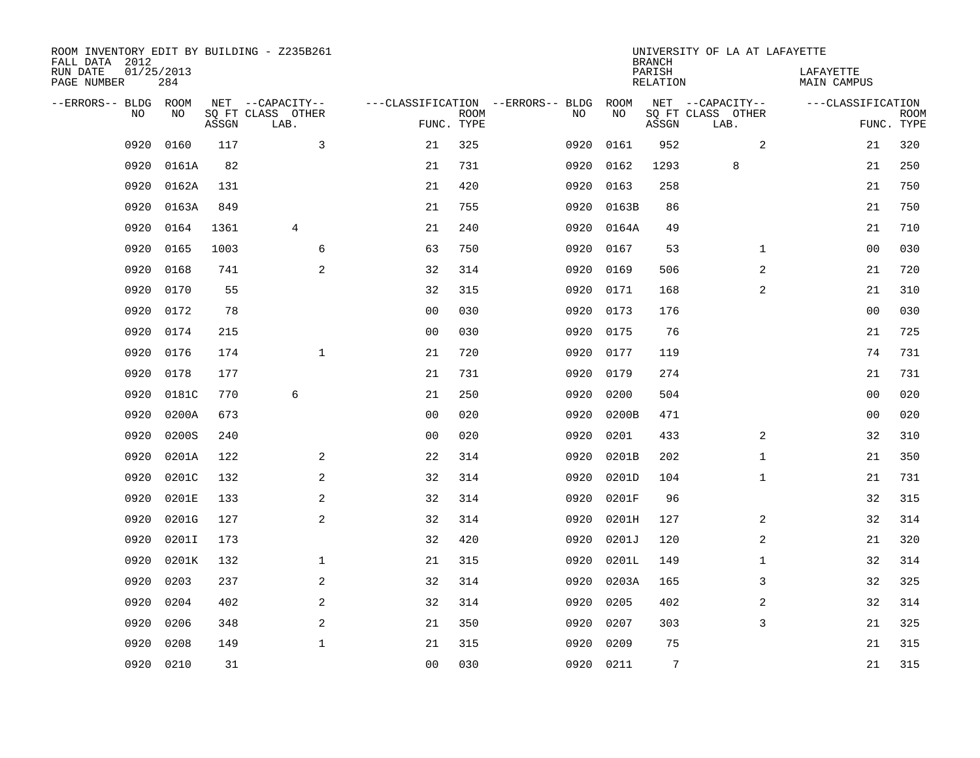| ROOM INVENTORY EDIT BY BUILDING - Z235B261<br>FALL DATA 2012 |                   |       |                           |                |             |                                   |           | <b>BRANCH</b>             | UNIVERSITY OF LA AT LAFAYETTE |                                 |                           |
|--------------------------------------------------------------|-------------------|-------|---------------------------|----------------|-------------|-----------------------------------|-----------|---------------------------|-------------------------------|---------------------------------|---------------------------|
| RUN DATE<br>PAGE NUMBER                                      | 01/25/2013<br>284 |       |                           |                |             |                                   |           | PARISH<br><b>RELATION</b> |                               | LAFAYETTE<br><b>MAIN CAMPUS</b> |                           |
| --ERRORS-- BLDG ROOM                                         |                   |       | NET --CAPACITY--          |                |             | ---CLASSIFICATION --ERRORS-- BLDG | ROOM      |                           | NET --CAPACITY--              | ---CLASSIFICATION               |                           |
| NO                                                           | NO                | ASSGN | SQ FT CLASS OTHER<br>LAB. | FUNC. TYPE     | <b>ROOM</b> | NO                                | NO        | ASSGN                     | SQ FT CLASS OTHER<br>LAB.     |                                 | <b>ROOM</b><br>FUNC. TYPE |
| 0920                                                         | 0160              | 117   | 3                         | 21             | 325         | 0920                              | 0161      | 952                       | 2                             | 21                              | 320                       |
| 0920                                                         | 0161A             | 82    |                           | 21             | 731         | 0920                              | 0162      | 1293                      | 8                             | 21                              | 250                       |
| 0920                                                         | 0162A             | 131   |                           | 21             | 420         | 0920                              | 0163      | 258                       |                               | 21                              | 750                       |
| 0920                                                         | 0163A             | 849   |                           | 21             | 755         | 0920                              | 0163B     | 86                        |                               | 21                              | 750                       |
| 0920                                                         | 0164              | 1361  | 4                         | 21             | 240         | 0920                              | 0164A     | 49                        |                               | 21                              | 710                       |
| 0920                                                         | 0165              | 1003  | 6                         | 63             | 750         | 0920                              | 0167      | 53                        | $\mathbf{1}$                  | 0 <sub>0</sub>                  | 030                       |
| 0920                                                         | 0168              | 741   | 2                         | 32             | 314         | 0920                              | 0169      | 506                       | 2                             | 21                              | 720                       |
| 0920                                                         | 0170              | 55    |                           | 32             | 315         | 0920                              | 0171      | 168                       | 2                             | 21                              | 310                       |
| 0920                                                         | 0172              | 78    |                           | 0 <sub>0</sub> | 030         | 0920                              | 0173      | 176                       |                               | 00                              | 030                       |
| 0920                                                         | 0174              | 215   |                           | 0 <sub>0</sub> | 030         | 0920                              | 0175      | 76                        |                               | 21                              | 725                       |
| 0920                                                         | 0176              | 174   | $\mathbf{1}$              | 21             | 720         | 0920                              | 0177      | 119                       |                               | 74                              | 731                       |
| 0920                                                         | 0178              | 177   |                           | 21             | 731         | 0920                              | 0179      | 274                       |                               | 21                              | 731                       |
| 0920                                                         | 0181C             | 770   | $\epsilon$                | 21             | 250         | 0920                              | 0200      | 504                       |                               | 00                              | 020                       |
| 0920                                                         | 0200A             | 673   |                           | 0 <sub>0</sub> | 020         | 0920                              | 0200B     | 471                       |                               | 00                              | 020                       |
| 0920                                                         | 0200S             | 240   |                           | 0 <sub>0</sub> | 020         | 0920                              | 0201      | 433                       | 2                             | 32                              | 310                       |
| 0920                                                         | 0201A             | 122   | 2                         | 22             | 314         | 0920                              | 0201B     | 202                       | $\mathbf{1}$                  | 21                              | 350                       |
| 0920                                                         | 0201C             | 132   | 2                         | 32             | 314         | 0920                              | 0201D     | 104                       | $\mathbf{1}$                  | 21                              | 731                       |
| 0920                                                         | 0201E             | 133   | $\overline{a}$            | 32             | 314         | 0920                              | 0201F     | 96                        |                               | 32                              | 315                       |
| 0920                                                         | 0201G             | 127   | 2                         | 32             | 314         | 0920                              | 0201H     | 127                       | 2                             | 32                              | 314                       |
| 0920                                                         | 0201I             | 173   |                           | 32             | 420         | 0920                              | 0201J     | 120                       | 2                             | 21                              | 320                       |
| 0920                                                         | 0201K             | 132   | $\mathbf{1}$              | 21             | 315         | 0920                              | 0201L     | 149                       | $\mathbf{1}$                  | 32                              | 314                       |
| 0920                                                         | 0203              | 237   | $\mathbf{2}$              | 32             | 314         | 0920                              | 0203A     | 165                       | 3                             | 32                              | 325                       |
| 0920                                                         | 0204              | 402   | 2                         | 32             | 314         | 0920                              | 0205      | 402                       | 2                             | 32                              | 314                       |
| 0920                                                         | 0206              | 348   | 2                         | 21             | 350         | 0920                              | 0207      | 303                       | 3                             | 21                              | 325                       |
| 0920                                                         | 0208              | 149   | $\mathbf{1}$              | 21             | 315         | 0920                              | 0209      | 75                        |                               | 21                              | 315                       |
|                                                              | 0920 0210         | 31    |                           | 0 <sub>0</sub> | 030         |                                   | 0920 0211 | $7\overline{ }$           |                               | 21                              | 315                       |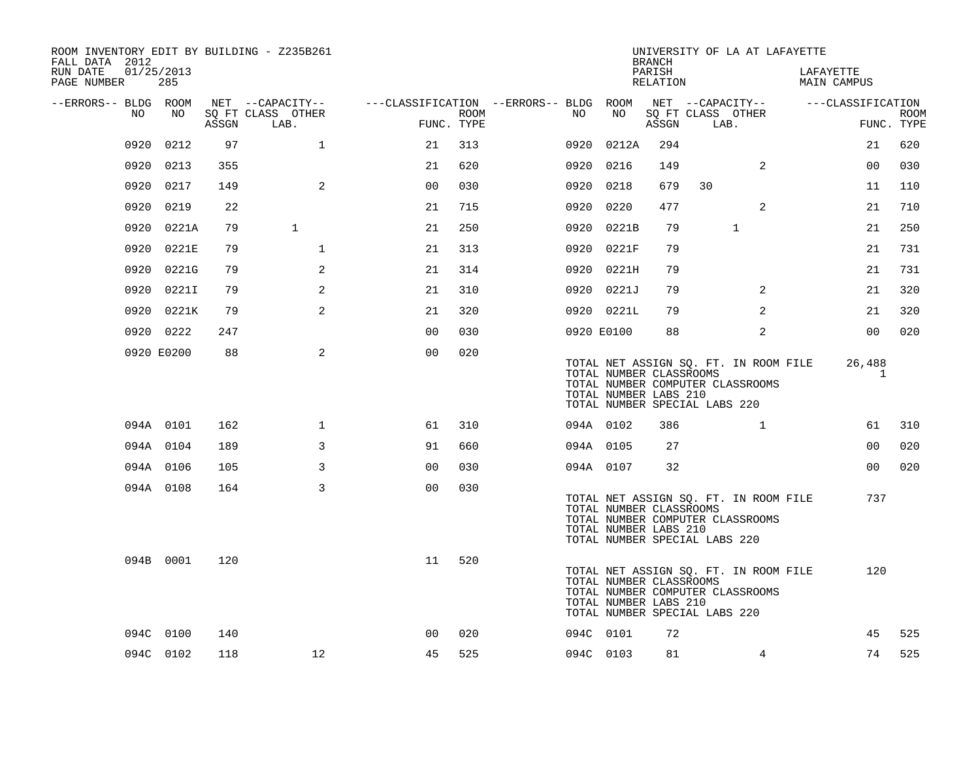| ROOM INVENTORY EDIT BY BUILDING - Z235B261<br>FALL DATA 2012 |            |       |                           |                                        |      |      |                                                                                   | <b>BRANCH</b>      |      | UNIVERSITY OF LA AT LAFAYETTE                                             |                                 |                |             |
|--------------------------------------------------------------|------------|-------|---------------------------|----------------------------------------|------|------|-----------------------------------------------------------------------------------|--------------------|------|---------------------------------------------------------------------------|---------------------------------|----------------|-------------|
| RUN DATE<br>01/25/2013<br>PAGE NUMBER                        | 285        |       |                           |                                        |      |      |                                                                                   | PARISH<br>RELATION |      |                                                                           | LAFAYETTE<br><b>MAIN CAMPUS</b> |                |             |
| --ERRORS-- BLDG ROOM                                         |            |       | NET --CAPACITY--          | ---CLASSIFICATION --ERRORS-- BLDG ROOM |      |      |                                                                                   |                    |      | NET --CAPACITY--                                                          | ---CLASSIFICATION               |                |             |
| NO                                                           | NO         | ASSGN | SQ FT CLASS OTHER<br>LAB. | FUNC. TYPE                             | ROOM | NO   | NO                                                                                | ASSGN              | LAB. | SQ FT CLASS OTHER                                                         |                                 | FUNC. TYPE     | <b>ROOM</b> |
| 0920                                                         | 0212       | 97    | $\mathbf 1$               | 21                                     | 313  |      | 0920 0212A                                                                        | 294                |      |                                                                           |                                 | 21             | 620         |
|                                                              | 0920 0213  | 355   |                           | 21                                     | 620  |      | 0920 0216                                                                         | 149                |      | 2                                                                         |                                 | 0 <sub>0</sub> | 030         |
|                                                              | 0920 0217  | 149   | 2                         | 0 <sub>0</sub>                         | 030  |      | 0920 0218                                                                         | 679                | 30   |                                                                           |                                 | 11             | 110         |
| 0920                                                         | 0219       | 22    |                           | 21                                     | 715  | 0920 | 0220                                                                              | 477                |      | 2                                                                         |                                 | 21             | 710         |
|                                                              | 0920 0221A | 79    | $\mathbf{1}$              | 21                                     | 250  |      | 0920 0221B                                                                        | 79                 |      | $\mathbf{1}$                                                              |                                 | 21             | 250         |
|                                                              | 0920 0221E | 79    | $\mathbf{1}$              | 21                                     | 313  |      | 0920 0221F                                                                        | 79                 |      |                                                                           |                                 | 21             | 731         |
|                                                              | 0920 0221G | 79    | 2                         | 21                                     | 314  |      | 0920 0221H                                                                        | 79                 |      |                                                                           |                                 | 21             | 731         |
| 0920                                                         | 0221I      | 79    | 2                         | 21                                     | 310  |      | 0920 0221J                                                                        | 79                 |      | $\overline{a}$                                                            |                                 | 21             | 320         |
|                                                              | 0920 0221K | 79    | $\mathbf{2}$              | 21                                     | 320  |      | 0920 0221L                                                                        | 79                 |      | 2                                                                         |                                 | 21             | 320         |
|                                                              | 0920 0222  | 247   |                           | 0 <sub>0</sub>                         | 030  |      | 0920 E0100                                                                        | 88                 |      | 2                                                                         |                                 | 0 <sub>0</sub> | 020         |
|                                                              | 0920 E0200 | 88    | 2                         | 0 <sub>0</sub>                         | 020  |      | TOTAL NUMBER CLASSROOMS<br>TOTAL NUMBER LABS 210<br>TOTAL NUMBER SPECIAL LABS 220 |                    |      | TOTAL NET ASSIGN SQ. FT. IN ROOM FILE<br>TOTAL NUMBER COMPUTER CLASSROOMS |                                 | 26,488<br>1    |             |
|                                                              | 094A 0101  | 162   | $\mathbf 1$               | 61                                     | 310  |      | 094A 0102                                                                         | 386                |      | $\mathbf{1}$                                                              |                                 | 61             | 310         |
|                                                              | 094A 0104  | 189   | 3                         | 91                                     | 660  |      | 094A 0105                                                                         | 27                 |      |                                                                           |                                 | 0 <sub>0</sub> | 020         |
|                                                              | 094A 0106  | 105   | 3                         | 0 <sub>0</sub>                         | 030  |      | 094A 0107                                                                         | 32                 |      |                                                                           |                                 | 00             | 020         |
|                                                              | 094A 0108  | 164   | 3                         | 0 <sub>0</sub>                         | 030  |      | TOTAL NUMBER CLASSROOMS<br>TOTAL NUMBER LABS 210<br>TOTAL NUMBER SPECIAL LABS 220 |                    |      | TOTAL NET ASSIGN SQ. FT. IN ROOM FILE<br>TOTAL NUMBER COMPUTER CLASSROOMS |                                 | 737            |             |
|                                                              | 094B 0001  | 120   |                           | 11                                     | 520  |      | TOTAL NUMBER CLASSROOMS<br>TOTAL NUMBER LABS 210<br>TOTAL NUMBER SPECIAL LABS 220 |                    |      | TOTAL NET ASSIGN SQ. FT. IN ROOM FILE<br>TOTAL NUMBER COMPUTER CLASSROOMS |                                 | 120            |             |
|                                                              | 094C 0100  | 140   |                           | 0 <sub>0</sub>                         | 020  |      | 094C 0101                                                                         | 72                 |      |                                                                           |                                 | 45             | 525         |
|                                                              | 094C 0102  | 118   | 12                        | 45                                     | 525  |      | 094C 0103                                                                         | 81                 |      | $\overline{4}$                                                            |                                 | 74             | 525         |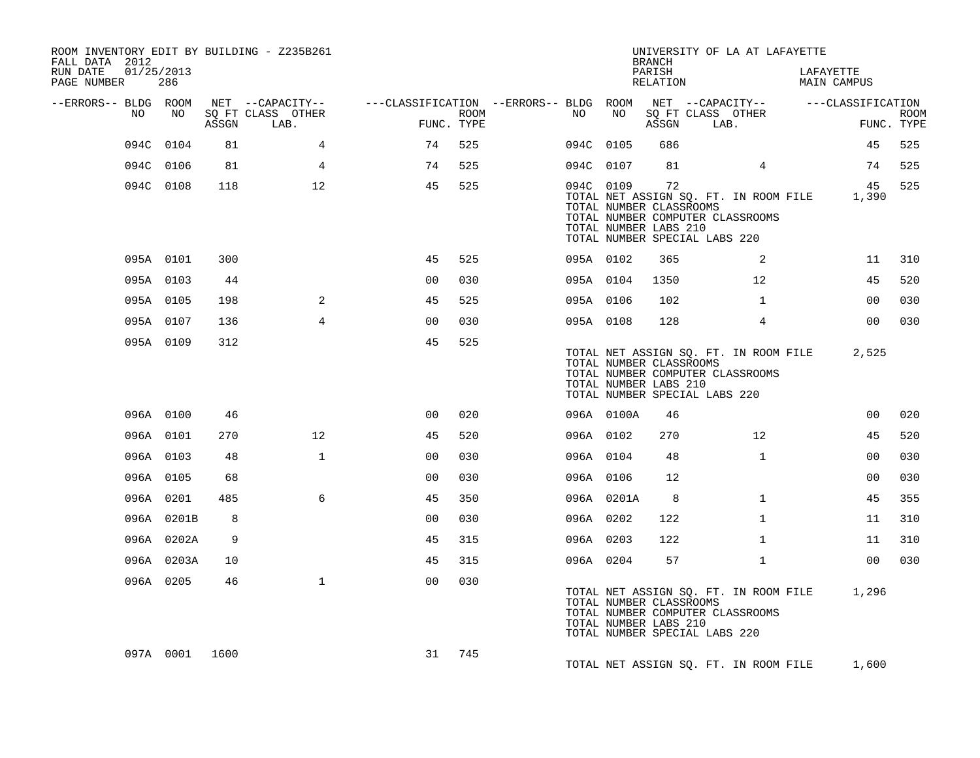| ROOM INVENTORY EDIT BY BUILDING - Z235B261<br>FALL DATA 2012 |                |       |                           |                                                                              |      |           |            | <b>BRANCH</b>                                          | UNIVERSITY OF LA AT LAFAYETTE                                                                                    |                 |                          |                           |
|--------------------------------------------------------------|----------------|-------|---------------------------|------------------------------------------------------------------------------|------|-----------|------------|--------------------------------------------------------|------------------------------------------------------------------------------------------------------------------|-----------------|--------------------------|---------------------------|
| RUN DATE<br>01/25/2013<br>PAGE NUMBER                        | 286            |       |                           |                                                                              |      |           |            | PARISH<br>RELATION                                     |                                                                                                                  |                 | LAFAYETTE<br>MAIN CAMPUS |                           |
| --ERRORS-- BLDG ROOM                                         |                |       | NET --CAPACITY--          | ---CLASSIFICATION --ERRORS-- BLDG ROOM NET --CAPACITY--    ---CLASSIFICATION |      |           |            |                                                        |                                                                                                                  |                 |                          |                           |
| NO                                                           | NO             | ASSGN | SQ FT CLASS OTHER<br>LAB. | FUNC. TYPE                                                                   | ROOM | NO        | NO         | ASSGN                                                  | SQ FT CLASS OTHER<br>LAB.                                                                                        |                 |                          | <b>ROOM</b><br>FUNC. TYPE |
|                                                              | 094C 0104      | 81    | $\overline{4}$            | 74                                                                           | 525  |           | 094C 0105  | 686                                                    |                                                                                                                  |                 | 45                       | 525                       |
|                                                              | 094C 0106      | 81    | 4                         | 74                                                                           | 525  |           | 094C 0107  | 81                                                     |                                                                                                                  | $4^{\circ}$     | 74                       | 525                       |
|                                                              | 094C 0108      | 118   | 12                        | 45                                                                           | 525  |           | 094C 0109  | 72<br>TOTAL NUMBER CLASSROOMS<br>TOTAL NUMBER LABS 210 | TOTAL NET ASSIGN SQ. FT. IN ROOM FILE 1,390<br>TOTAL NUMBER COMPUTER CLASSROOMS<br>TOTAL NUMBER SPECIAL LABS 220 |                 | 45                       | 525                       |
|                                                              | 095A 0101      | 300   |                           | 45                                                                           | 525  |           | 095A 0102  | 365                                                    |                                                                                                                  | 2               | 11                       | 310                       |
|                                                              | 095A 0103      | 44    |                           | 0 <sub>0</sub>                                                               | 030  |           | 095A 0104  | 1350                                                   |                                                                                                                  | 12 <sup>°</sup> | 45                       | 520                       |
|                                                              | 095A 0105      | 198   | 2                         | 45                                                                           | 525  | 095A 0106 |            | 102                                                    |                                                                                                                  | $\mathbf{1}$    | 00                       | 030                       |
|                                                              | 095A 0107      | 136   | $\overline{4}$            | 0 <sub>0</sub>                                                               | 030  |           | 095A 0108  | 128                                                    |                                                                                                                  | $\overline{4}$  | 0 <sub>0</sub>           | 030                       |
|                                                              | 095A 0109      | 312   |                           | 45                                                                           | 525  |           |            | TOTAL NUMBER CLASSROOMS<br>TOTAL NUMBER LABS 210       | TOTAL NET ASSIGN SQ. FT. IN ROOM FILE<br>TOTAL NUMBER COMPUTER CLASSROOMS<br>TOTAL NUMBER SPECIAL LABS 220       |                 | 2,525                    |                           |
|                                                              | 096A 0100      | 46    |                           | 0 <sub>0</sub>                                                               | 020  |           | 096A 0100A | 46                                                     |                                                                                                                  |                 | 0 <sub>0</sub>           | 020                       |
|                                                              | 096A 0101      | 270   | 12                        | 45                                                                           | 520  |           | 096A 0102  | 270                                                    |                                                                                                                  | 12              | 45                       | 520                       |
|                                                              | 096A 0103      | 48    | $\mathbf{1}$              | 0 <sub>0</sub>                                                               | 030  |           | 096A 0104  | 48                                                     |                                                                                                                  | $\mathbf{1}$    | 0 <sub>0</sub>           | 030                       |
|                                                              | 096A 0105      | 68    |                           | 0 <sub>0</sub>                                                               | 030  |           | 096A 0106  | 12                                                     |                                                                                                                  |                 | 0 <sub>0</sub>           | 030                       |
|                                                              | 096A 0201      | 485   | 6                         | 45                                                                           | 350  |           | 096A 0201A | 8                                                      |                                                                                                                  | $\mathbf{1}$    | 45                       | 355                       |
|                                                              | 096A 0201B     | 8     |                           | 0 <sub>0</sub>                                                               | 030  | 096A 0202 |            | 122                                                    |                                                                                                                  | $\mathbf{1}$    | 11                       | 310                       |
|                                                              | 096A 0202A     | 9     |                           | 45                                                                           | 315  | 096A 0203 |            | 122                                                    |                                                                                                                  | $\mathbf{1}$    | 11                       | 310                       |
|                                                              | 096A 0203A     | 10    |                           | 45                                                                           | 315  |           | 096A 0204  | 57                                                     |                                                                                                                  | $\mathbf{1}$    | 00                       | 030                       |
|                                                              | 096A 0205      | 46    | $\mathbf{1}$              | 0 <sup>0</sup>                                                               | 030  |           |            | TOTAL NUMBER CLASSROOMS<br>TOTAL NUMBER LABS 210       | TOTAL NET ASSIGN SQ. FT. IN ROOM FILE<br>TOTAL NUMBER COMPUTER CLASSROOMS<br>TOTAL NUMBER SPECIAL LABS 220       |                 | 1,296                    |                           |
|                                                              | 097A 0001 1600 |       |                           | 31                                                                           | 745  |           |            |                                                        | TOTAL NET ASSIGN SQ. FT. IN ROOM FILE                                                                            |                 | 1,600                    |                           |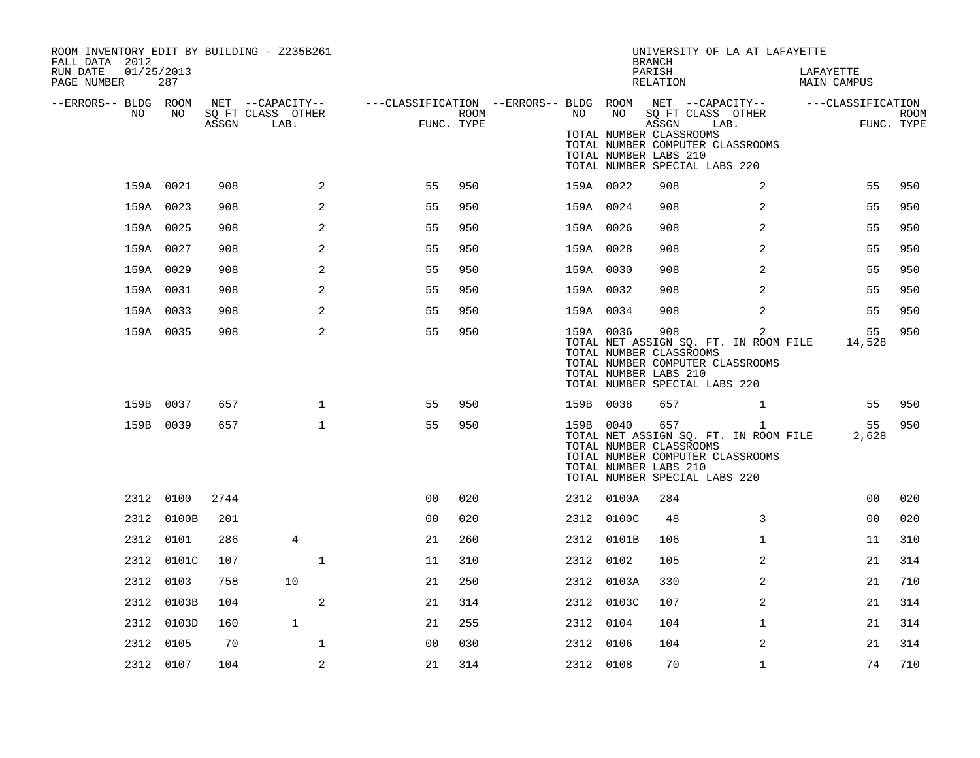| ROOM INVENTORY EDIT BY BUILDING - Z235B261<br>FALL DATA 2012 |                   |       |                                       |                                                         |      |           |            | <b>BRANCH</b>                                             | UNIVERSITY OF LA AT LAFAYETTE                                                                                                |                          |             |
|--------------------------------------------------------------|-------------------|-------|---------------------------------------|---------------------------------------------------------|------|-----------|------------|-----------------------------------------------------------|------------------------------------------------------------------------------------------------------------------------------|--------------------------|-------------|
| RUN DATE<br>PAGE NUMBER                                      | 01/25/2013<br>287 |       |                                       |                                                         |      |           |            | PARISH<br>RELATION                                        |                                                                                                                              | LAFAYETTE<br>MAIN CAMPUS |             |
| --ERRORS-- BLDG ROOM<br>NO.                                  | NO.               |       | NET --CAPACITY--<br>SQ FT CLASS OTHER | ---CLASSIFICATION --ERRORS-- BLDG ROOM NET --CAPACITY-- | ROOM | NO        | NO         |                                                           | SQ FT CLASS OTHER                                                                                                            | ---CLASSIFICATION        | <b>ROOM</b> |
|                                                              |                   | ASSGN | LAB.                                  | FUNC. TYPE                                              |      |           |            | ASSGN<br>TOTAL NUMBER CLASSROOMS<br>TOTAL NUMBER LABS 210 | LAB.<br>TOTAL NUMBER COMPUTER CLASSROOMS<br>TOTAL NUMBER SPECIAL LABS 220                                                    |                          | FUNC. TYPE  |
|                                                              | 159A 0021         | 908   | 2                                     | 55                                                      | 950  | 159A 0022 |            | 908                                                       | 2                                                                                                                            | 55                       | 950         |
|                                                              | 159A 0023         | 908   | $\overline{a}$                        | 55                                                      | 950  | 159A 0024 |            | 908                                                       | $\overline{a}$                                                                                                               | 55                       | 950         |
|                                                              | 159A 0025         | 908   | 2                                     | 55                                                      | 950  | 159A 0026 |            | 908                                                       | 2                                                                                                                            | 55                       | 950         |
|                                                              | 159A 0027         | 908   | $\overline{a}$                        | 55                                                      | 950  | 159A 0028 |            | 908                                                       | $\overline{a}$                                                                                                               | 55                       | 950         |
|                                                              | 159A 0029         | 908   | 2                                     | 55                                                      | 950  | 159A 0030 |            | 908                                                       | $\overline{2}$                                                                                                               | 55                       | 950         |
|                                                              | 159A 0031         | 908   | 2                                     | 55                                                      | 950  | 159A 0032 |            | 908                                                       | 2                                                                                                                            | 55                       | 950         |
|                                                              | 159A 0033         | 908   | 2                                     | 55                                                      | 950  | 159A 0034 |            | 908                                                       | 2                                                                                                                            | 55                       | 950         |
|                                                              | 159A 0035         | 908   | 2                                     | 55                                                      | 950  | 159A 0036 |            | 908<br>TOTAL NUMBER CLASSROOMS<br>TOTAL NUMBER LABS 210   | $\overline{2}$<br>TOTAL NET ASSIGN SQ. FT. IN ROOM FILE<br>TOTAL NUMBER COMPUTER CLASSROOMS<br>TOTAL NUMBER SPECIAL LABS 220 | 55<br>14,528             | 950         |
|                                                              | 159B 0037         | 657   | $\mathbf{1}$                          | 55                                                      | 950  | 159B 0038 |            | 657                                                       | $\mathbf{1}$                                                                                                                 | 55                       | 950         |
|                                                              | 159B 0039         | 657   | $\mathbf 1$                           | 55                                                      | 950  | 159B 0040 |            | 657<br>TOTAL NUMBER CLASSROOMS<br>TOTAL NUMBER LABS 210   | $\mathbf{1}$<br>TOTAL NET ASSIGN SQ. FT. IN ROOM FILE<br>TOTAL NUMBER COMPUTER CLASSROOMS<br>TOTAL NUMBER SPECIAL LABS 220   | 55<br>2,628              | 950         |
|                                                              | 2312 0100         | 2744  |                                       | 0 <sub>0</sub>                                          | 020  |           | 2312 0100A | 284                                                       |                                                                                                                              | 0 <sub>0</sub>           | 020         |
|                                                              | 2312 0100B        | 201   |                                       | 0 <sub>0</sub>                                          | 020  |           | 2312 0100C | 48                                                        | 3                                                                                                                            | 00                       | 020         |
|                                                              | 2312 0101         | 286   | 4                                     | 21                                                      | 260  |           | 2312 0101B | 106                                                       | $\mathbf{1}$                                                                                                                 | 11                       | 310         |
|                                                              | 2312 0101C        | 107   | $\mathbf{1}$                          | 11                                                      | 310  | 2312 0102 |            | 105                                                       | 2                                                                                                                            | 21                       | 314         |
| 2312                                                         | 0103              | 758   | 10                                    | 21                                                      | 250  |           | 2312 0103A | 330                                                       | 2                                                                                                                            | 21                       | 710         |
|                                                              | 2312 0103B        | 104   | 2                                     | 21                                                      | 314  |           | 2312 0103C | 107                                                       | 2                                                                                                                            | 21                       | 314         |
|                                                              | 2312 0103D        | 160   | $\mathbf{1}$                          | 21                                                      | 255  | 2312 0104 |            | 104                                                       | $\mathbf{1}$                                                                                                                 | 21                       | 314         |
|                                                              | 2312 0105         | 70    | $\mathbf 1$                           | 0 <sub>0</sub>                                          | 030  | 2312 0106 |            | 104                                                       | 2                                                                                                                            | 21                       | 314         |
|                                                              | 2312 0107         | 104   | 2                                     | 21                                                      | 314  | 2312 0108 |            | 70                                                        | $\mathbf{1}$                                                                                                                 | 74                       | 710         |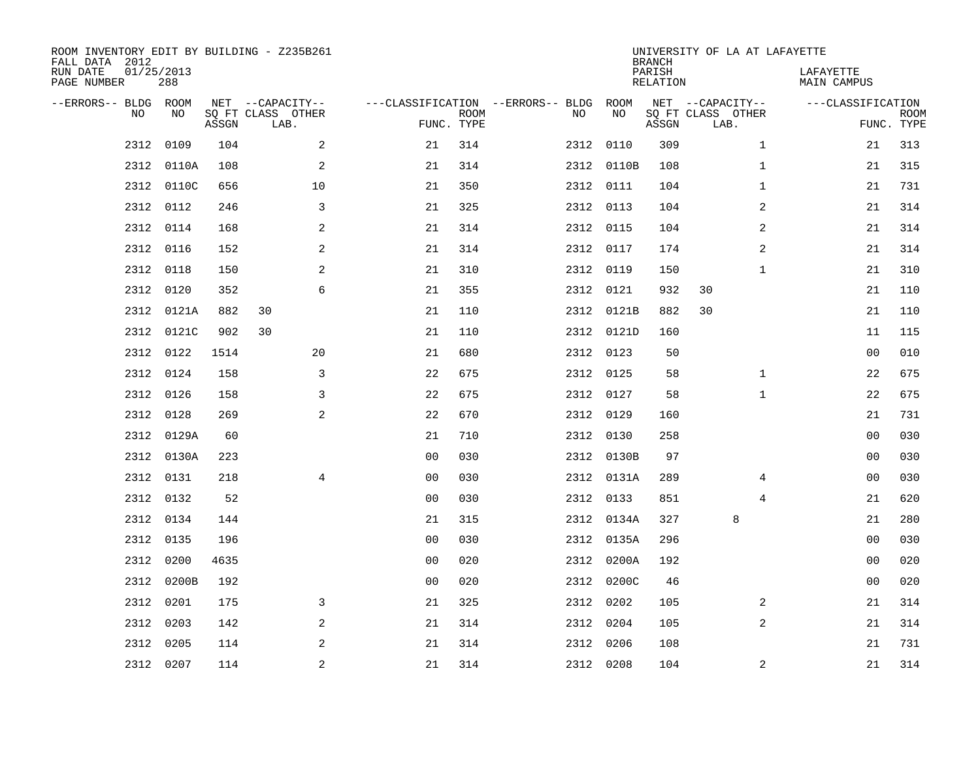| ROOM INVENTORY EDIT BY BUILDING - Z235B261<br>FALL DATA 2012<br>RUN DATE<br>PAGE NUMBER | 01/25/2013<br>288 |       |                                               |                                   |                           |      |            | <b>BRANCH</b><br>PARISH<br><b>RELATION</b> | UNIVERSITY OF LA AT LAFAYETTE                 | LAFAYETTE<br><b>MAIN CAMPUS</b> |                           |
|-----------------------------------------------------------------------------------------|-------------------|-------|-----------------------------------------------|-----------------------------------|---------------------------|------|------------|--------------------------------------------|-----------------------------------------------|---------------------------------|---------------------------|
| --ERRORS-- BLDG ROOM<br>NO.                                                             | NO                | ASSGN | NET --CAPACITY--<br>SQ FT CLASS OTHER<br>LAB. | ---CLASSIFICATION --ERRORS-- BLDG | <b>ROOM</b><br>FUNC. TYPE | NO   | ROOM<br>NO | ASSGN                                      | NET --CAPACITY--<br>SQ FT CLASS OTHER<br>LAB. | ---CLASSIFICATION               | <b>ROOM</b><br>FUNC. TYPE |
| 2312                                                                                    | 0109              | 104   | 2                                             | 21                                | 314                       |      | 2312 0110  | 309                                        | $\mathbf{1}$                                  | 21                              | 313                       |
| 2312                                                                                    | 0110A             | 108   | 2                                             | 21                                | 314                       |      | 2312 0110B | 108                                        | $\mathbf{1}$                                  | 21                              | 315                       |
| 2312                                                                                    | 0110C             | 656   | 10                                            | 21                                | 350                       |      | 2312 0111  | 104                                        | $\mathbf{1}$                                  | 21                              | 731                       |
| 2312                                                                                    | 0112              | 246   | 3                                             | 21                                | 325                       |      | 2312 0113  | 104                                        | 2                                             | 21                              | 314                       |
| 2312                                                                                    | 0114              | 168   | 2                                             | 21                                | 314                       |      | 2312 0115  | 104                                        | $\overline{2}$                                | 21                              | 314                       |
| 2312                                                                                    | 0116              | 152   | 2                                             | 21                                | 314                       |      | 2312 0117  | 174                                        | 2                                             | 21                              | 314                       |
| 2312                                                                                    | 0118              | 150   | 2                                             | 21                                | 310                       | 2312 | 0119       | 150                                        | $\mathbf{1}$                                  | 21                              | 310                       |
| 2312                                                                                    | 0120              | 352   | 6                                             | 21                                | 355                       |      | 2312 0121  | 932                                        | 30                                            | 21                              | 110                       |
| 2312                                                                                    | 0121A             | 882   | 30                                            | 21                                | 110                       | 2312 | 0121B      | 882                                        | 30                                            | 21                              | 110                       |
| 2312                                                                                    | 0121C             | 902   | 30                                            | 21                                | 110                       |      | 2312 0121D | 160                                        |                                               | 11                              | 115                       |
| 2312                                                                                    | 0122              | 1514  | 20                                            | 21                                | 680                       |      | 2312 0123  | 50                                         |                                               | 0 <sub>0</sub>                  | 010                       |
| 2312                                                                                    | 0124              | 158   | 3                                             | 22                                | 675                       |      | 2312 0125  | 58                                         | $\mathbf{1}$                                  | 22                              | 675                       |
| 2312                                                                                    | 0126              | 158   | 3                                             | 22                                | 675                       |      | 2312 0127  | 58                                         | $\mathbf{1}$                                  | 22                              | 675                       |
| 2312                                                                                    | 0128              | 269   | 2                                             | 22                                | 670                       |      | 2312 0129  | 160                                        |                                               | 21                              | 731                       |
| 2312                                                                                    | 0129A             | 60    |                                               | 21                                | 710                       |      | 2312 0130  | 258                                        |                                               | 0 <sub>0</sub>                  | 030                       |
| 2312                                                                                    | 0130A             | 223   |                                               | 0 <sub>0</sub>                    | 030                       |      | 2312 0130B | 97                                         |                                               | 0 <sub>0</sub>                  | 030                       |
| 2312                                                                                    | 0131              | 218   | 4                                             | 0 <sub>0</sub>                    | 030                       |      | 2312 0131A | 289                                        | 4                                             | 00                              | 030                       |
| 2312                                                                                    | 0132              | 52    |                                               | 00                                | 030                       |      | 2312 0133  | 851                                        | 4                                             | 21                              | 620                       |
| 2312                                                                                    | 0134              | 144   |                                               | 21                                | 315                       |      | 2312 0134A | 327                                        | 8                                             | 21                              | 280                       |
| 2312                                                                                    | 0135              | 196   |                                               | 0 <sub>0</sub>                    | 030                       |      | 2312 0135A | 296                                        |                                               | 00                              | 030                       |
| 2312                                                                                    | 0200              | 4635  |                                               | 0 <sub>0</sub>                    | 020                       |      | 2312 0200A | 192                                        |                                               | 0 <sub>0</sub>                  | 020                       |
| 2312                                                                                    | 0200B             | 192   |                                               | 00                                | 020                       |      | 2312 0200C | 46                                         |                                               | 00                              | 020                       |
| 2312                                                                                    | 0201              | 175   | 3                                             | 21                                | 325                       |      | 2312 0202  | 105                                        | 2                                             | 21                              | 314                       |
| 2312                                                                                    | 0203              | 142   | 2                                             | 21                                | 314                       | 2312 | 0204       | 105                                        | 2                                             | 21                              | 314                       |
| 2312                                                                                    | 0205              | 114   | 2                                             | 21                                | 314                       | 2312 | 0206       | 108                                        |                                               | 21                              | 731                       |
|                                                                                         | 2312 0207         | 114   | 2                                             | 21                                | 314                       |      | 2312 0208  | 104                                        | 2                                             | 21                              | 314                       |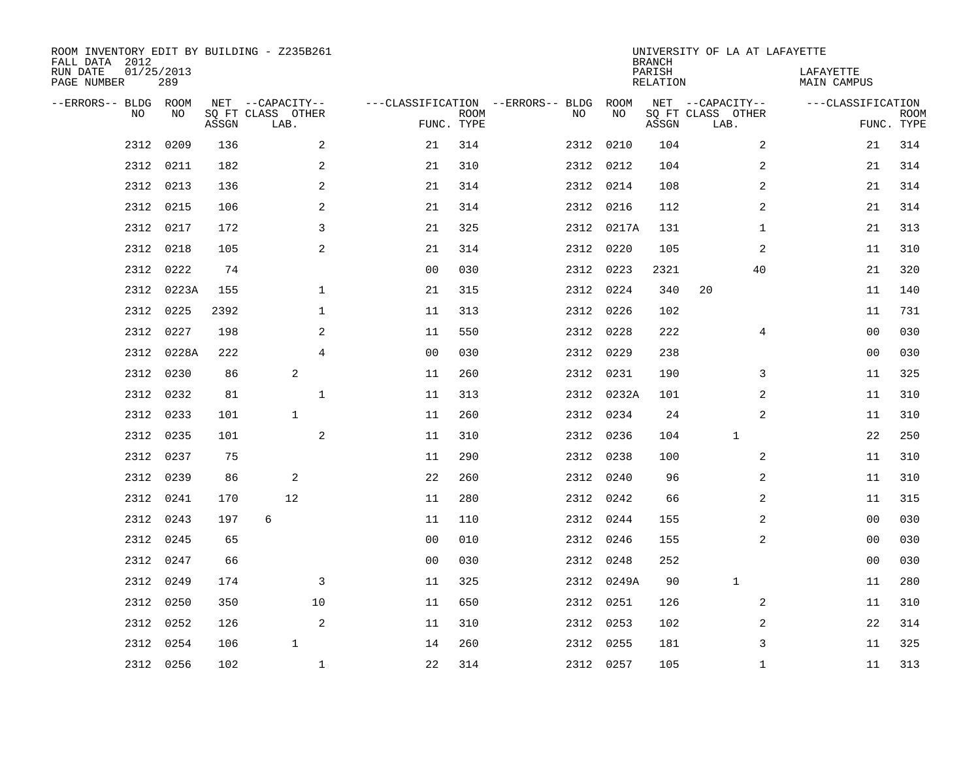| ROOM INVENTORY EDIT BY BUILDING - Z235B261<br>FALL DATA 2012<br>01/25/2013<br>RUN DATE<br>PAGE NUMBER | 289   |       |                                       |                |                                   |             | UNIVERSITY OF LA AT LAFAYETTE<br><b>BRANCH</b><br>PARISH<br>LAFAYETTE<br><b>RELATION</b><br>MAIN CAMPUS |           |            |       |                                       |                   |             |  |  |  |  |
|-------------------------------------------------------------------------------------------------------|-------|-------|---------------------------------------|----------------|-----------------------------------|-------------|---------------------------------------------------------------------------------------------------------|-----------|------------|-------|---------------------------------------|-------------------|-------------|--|--|--|--|
|                                                                                                       |       |       |                                       |                |                                   |             |                                                                                                         |           |            |       |                                       |                   |             |  |  |  |  |
| --ERRORS-- BLDG ROOM<br>NO                                                                            | NO    |       | NET --CAPACITY--<br>SQ FT CLASS OTHER |                | ---CLASSIFICATION --ERRORS-- BLDG | <b>ROOM</b> |                                                                                                         | NO        | ROOM<br>NO |       | NET --CAPACITY--<br>SQ FT CLASS OTHER | ---CLASSIFICATION | <b>ROOM</b> |  |  |  |  |
|                                                                                                       |       | ASSGN | LAB.                                  |                |                                   | FUNC. TYPE  |                                                                                                         |           |            | ASSGN | LAB.                                  |                   | FUNC. TYPE  |  |  |  |  |
| 2312                                                                                                  | 0209  | 136   |                                       | 2              | 21                                | 314         |                                                                                                         | 2312 0210 |            | 104   | 2                                     | 21                | 314         |  |  |  |  |
| 2312                                                                                                  | 0211  | 182   |                                       | 2              | 21                                | 310         |                                                                                                         | 2312 0212 |            | 104   | 2                                     | 21                | 314         |  |  |  |  |
| 2312                                                                                                  | 0213  | 136   |                                       | $\sqrt{2}$     | 21                                | 314         |                                                                                                         | 2312 0214 |            | 108   | 2                                     | 21                | 314         |  |  |  |  |
| 2312                                                                                                  | 0215  | 106   |                                       | $\mathbf{2}$   | 21                                | 314         |                                                                                                         | 2312 0216 |            | 112   | 2                                     | 21                | 314         |  |  |  |  |
| 2312                                                                                                  | 0217  | 172   |                                       | 3              | 21                                | 325         |                                                                                                         |           | 2312 0217A | 131   | $\mathbf{1}$                          | 21                | 313         |  |  |  |  |
| 2312                                                                                                  | 0218  | 105   |                                       | 2              | 21                                | 314         |                                                                                                         | 2312 0220 |            | 105   | 2                                     | 11                | 310         |  |  |  |  |
| 2312                                                                                                  | 0222  | 74    |                                       |                | 0 <sub>0</sub>                    | 030         |                                                                                                         | 2312 0223 |            | 2321  | 40                                    | 21                | 320         |  |  |  |  |
| 2312                                                                                                  | 0223A | 155   |                                       | $\mathbf 1$    | 21                                | 315         |                                                                                                         | 2312 0224 |            | 340   | 20                                    | 11                | 140         |  |  |  |  |
| 2312                                                                                                  | 0225  | 2392  |                                       | $\mathbf 1$    | 11                                | 313         |                                                                                                         | 2312      | 0226       | 102   |                                       | 11                | 731         |  |  |  |  |
| 2312                                                                                                  | 0227  | 198   |                                       | 2              | 11                                | 550         |                                                                                                         | 2312 0228 |            | 222   | 4                                     | 00                | 030         |  |  |  |  |
| 2312                                                                                                  | 0228A | 222   |                                       | $\overline{4}$ | 0 <sub>0</sub>                    | 030         |                                                                                                         | 2312      | 0229       | 238   |                                       | 0 <sub>0</sub>    | 030         |  |  |  |  |
| 2312                                                                                                  | 0230  | 86    | 2                                     |                | 11                                | 260         |                                                                                                         | 2312 0231 |            | 190   | 3                                     | 11                | 325         |  |  |  |  |
| 2312                                                                                                  | 0232  | 81    |                                       | $\mathbf{1}$   | 11                                | 313         |                                                                                                         |           | 2312 0232A | 101   | 2                                     | 11                | 310         |  |  |  |  |
| 2312                                                                                                  | 0233  | 101   | $\mathbf{1}$                          |                | 11                                | 260         |                                                                                                         | 2312 0234 |            | 24    | 2                                     | 11                | 310         |  |  |  |  |
| 2312                                                                                                  | 0235  | 101   |                                       | $\mathbf{2}$   | 11                                | 310         |                                                                                                         | 2312      | 0236       | 104   | $\mathbf 1$                           | 22                | 250         |  |  |  |  |
| 2312                                                                                                  | 0237  | 75    |                                       |                | 11                                | 290         |                                                                                                         | 2312 0238 |            | 100   | 2                                     | 11                | 310         |  |  |  |  |
| 2312                                                                                                  | 0239  | 86    | 2                                     |                | 22                                | 260         |                                                                                                         | 2312      | 0240       | 96    | 2                                     | 11                | 310         |  |  |  |  |
| 2312                                                                                                  | 0241  | 170   | 12                                    |                | 11                                | 280         |                                                                                                         | 2312 0242 |            | 66    | 2                                     | 11                | 315         |  |  |  |  |
| 2312                                                                                                  | 0243  | 197   | 6                                     |                | 11                                | 110         |                                                                                                         | 2312 0244 |            | 155   | 2                                     | 00                | 030         |  |  |  |  |
| 2312                                                                                                  | 0245  | 65    |                                       |                | 0 <sub>0</sub>                    | 010         |                                                                                                         | 2312 0246 |            | 155   | 2                                     | 00                | 030         |  |  |  |  |
| 2312                                                                                                  | 0247  | 66    |                                       |                | 0 <sub>0</sub>                    | 030         |                                                                                                         | 2312 0248 |            | 252   |                                       | 0 <sub>0</sub>    | 030         |  |  |  |  |
| 2312                                                                                                  | 0249  | 174   |                                       | 3              | 11                                | 325         |                                                                                                         |           | 2312 0249A | 90    | $\mathbf 1$                           | 11                | 280         |  |  |  |  |
| 2312                                                                                                  | 0250  | 350   |                                       | 10             | 11                                | 650         |                                                                                                         | 2312 0251 |            | 126   | 2                                     | 11                | 310         |  |  |  |  |
| 2312                                                                                                  | 0252  | 126   |                                       | 2              | 11                                | 310         |                                                                                                         | 2312 0253 |            | 102   | 2                                     | 22                | 314         |  |  |  |  |
| 2312                                                                                                  | 0254  | 106   | $\mathbf{1}$                          |                | 14                                | 260         |                                                                                                         | 2312 0255 |            | 181   | 3                                     | 11                | 325         |  |  |  |  |
| 2312 0256                                                                                             |       | 102   |                                       | 1              | 22                                | 314         |                                                                                                         | 2312 0257 |            | 105   | $\mathbf{1}$                          | 11                | 313         |  |  |  |  |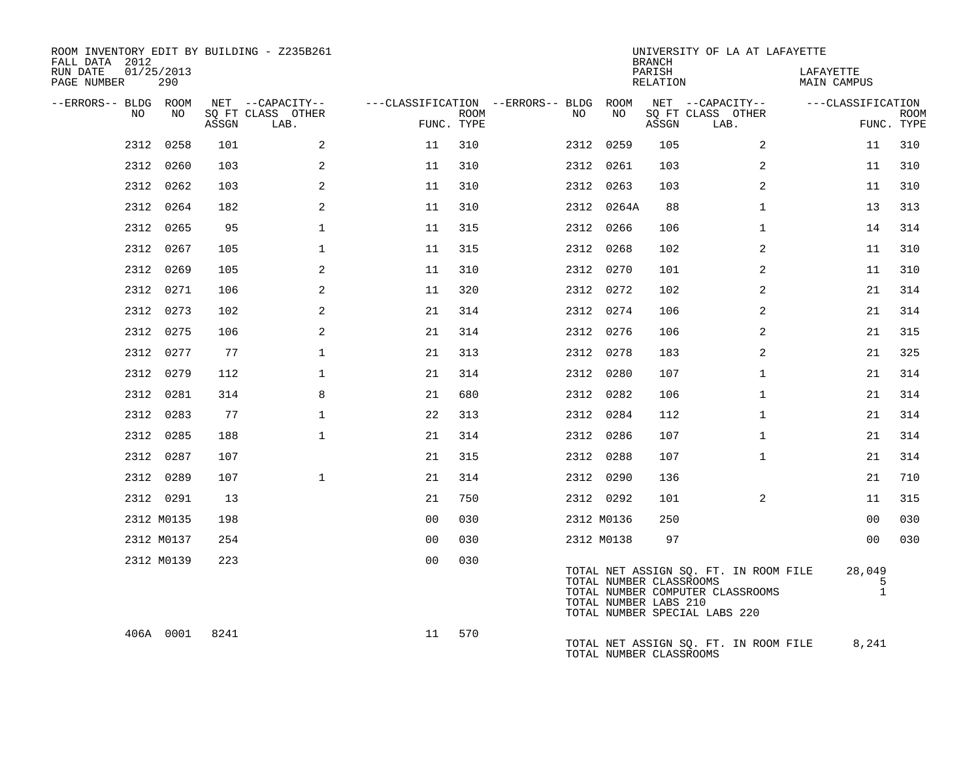| ROOM INVENTORY EDIT BY BUILDING - Z235B261<br>FALL DATA 2012<br>RUN DATE<br>PAGE NUMBER | 01/25/2013<br>290 |       |                           |                                        | UNIVERSITY OF LA AT LAFAYETTE<br><b>BRANCH</b><br>PARISH<br>LAFAYETTE<br>RELATION<br><b>MAIN CAMPUS</b> |  |     |                                                  |       |                                                                                                            |                             |                           |  |  |  |
|-----------------------------------------------------------------------------------------|-------------------|-------|---------------------------|----------------------------------------|---------------------------------------------------------------------------------------------------------|--|-----|--------------------------------------------------|-------|------------------------------------------------------------------------------------------------------------|-----------------------------|---------------------------|--|--|--|
| --ERRORS-- BLDG ROOM                                                                    |                   |       | NET --CAPACITY--          | ---CLASSIFICATION --ERRORS-- BLDG ROOM |                                                                                                         |  |     |                                                  |       | NET --CAPACITY--                                                                                           | ---CLASSIFICATION           |                           |  |  |  |
| NO.                                                                                     | NO.               | ASSGN | SQ FT CLASS OTHER<br>LAB. | FUNC. TYPE                             | ROOM                                                                                                    |  | NO. | NO                                               | ASSGN | SQ FT CLASS OTHER<br>LAB.                                                                                  |                             | <b>ROOM</b><br>FUNC. TYPE |  |  |  |
| 2312                                                                                    | 0258              | 101   | 2                         | 11                                     | 310                                                                                                     |  |     | 2312 0259                                        | 105   | 2                                                                                                          | 11                          | 310                       |  |  |  |
|                                                                                         | 2312 0260         | 103   | 2                         | 11                                     | 310                                                                                                     |  |     | 2312 0261                                        | 103   | $\overline{2}$                                                                                             | 11                          | 310                       |  |  |  |
|                                                                                         | 2312 0262         | 103   | 2                         | 11                                     | 310                                                                                                     |  |     | 2312 0263                                        | 103   | 2                                                                                                          | 11                          | 310                       |  |  |  |
|                                                                                         | 2312 0264         | 182   | 2                         | 11                                     | 310                                                                                                     |  |     | 2312 0264A                                       | 88    | $\mathbf{1}$                                                                                               | 13                          | 313                       |  |  |  |
|                                                                                         | 2312 0265         | 95    | $\mathbf 1$               | 11                                     | 315                                                                                                     |  |     | 2312 0266                                        | 106   | $\mathbf{1}$                                                                                               | 14                          | 314                       |  |  |  |
|                                                                                         | 2312 0267         | 105   | $\mathbf{1}$              | 11                                     | 315                                                                                                     |  |     | 2312 0268                                        | 102   | 2                                                                                                          | 11                          | 310                       |  |  |  |
| 2312                                                                                    | 0269              | 105   | 2                         | 11                                     | 310                                                                                                     |  |     | 2312 0270                                        | 101   | 2                                                                                                          | 11                          | 310                       |  |  |  |
| 2312                                                                                    | 0271              | 106   | 2                         | 11                                     | 320                                                                                                     |  |     | 2312 0272                                        | 102   | 2                                                                                                          | 21                          | 314                       |  |  |  |
|                                                                                         | 2312 0273         | 102   | 2                         | 21                                     | 314                                                                                                     |  |     | 2312 0274                                        | 106   | 2                                                                                                          | 21                          | 314                       |  |  |  |
|                                                                                         | 2312 0275         | 106   | 2                         | 21                                     | 314                                                                                                     |  |     | 2312 0276                                        | 106   | 2                                                                                                          | 21                          | 315                       |  |  |  |
|                                                                                         | 2312 0277         | 77    | $\mathbf 1$               | 21                                     | 313                                                                                                     |  |     | 2312 0278                                        | 183   | 2                                                                                                          | 21                          | 325                       |  |  |  |
|                                                                                         | 2312 0279         | 112   | $\mathbf 1$               | 21                                     | 314                                                                                                     |  |     | 2312 0280                                        | 107   | $\mathbf{1}$                                                                                               | 21                          | 314                       |  |  |  |
|                                                                                         | 2312 0281         | 314   | 8                         | 21                                     | 680                                                                                                     |  |     | 2312 0282                                        | 106   | $\mathbf{1}$                                                                                               | 21                          | 314                       |  |  |  |
|                                                                                         | 2312 0283         | 77    | $\mathbf{1}$              | 22                                     | 313                                                                                                     |  |     | 2312 0284                                        | 112   | $\mathbf{1}$                                                                                               | 21                          | 314                       |  |  |  |
|                                                                                         | 2312 0285         | 188   | $\mathbf 1$               | 21                                     | 314                                                                                                     |  |     | 2312 0286                                        | 107   | $\mathbf{1}$                                                                                               | 21                          | 314                       |  |  |  |
|                                                                                         | 2312 0287         | 107   |                           | 21                                     | 315                                                                                                     |  |     | 2312 0288                                        | 107   | $\mathbf{1}$                                                                                               | 21                          | 314                       |  |  |  |
|                                                                                         | 2312 0289         | 107   | $\mathbf{1}$              | 21                                     | 314                                                                                                     |  |     | 2312 0290                                        | 136   |                                                                                                            | 21                          | 710                       |  |  |  |
|                                                                                         | 2312 0291         | 13    |                           | 21                                     | 750                                                                                                     |  |     | 2312 0292                                        | 101   | 2                                                                                                          | 11                          | 315                       |  |  |  |
|                                                                                         | 2312 M0135        | 198   |                           | 0 <sub>0</sub>                         | 030                                                                                                     |  |     | 2312 M0136                                       | 250   |                                                                                                            | 0 <sub>0</sub>              | 030                       |  |  |  |
|                                                                                         | 2312 M0137        | 254   |                           | 0 <sub>0</sub>                         | 030                                                                                                     |  |     | 2312 M0138                                       | 97    |                                                                                                            | 0 <sub>0</sub>              | 030                       |  |  |  |
|                                                                                         | 2312 M0139        | 223   |                           | 0 <sub>0</sub>                         | 030                                                                                                     |  |     | TOTAL NUMBER CLASSROOMS<br>TOTAL NUMBER LABS 210 |       | TOTAL NET ASSIGN SQ. FT. IN ROOM FILE<br>TOTAL NUMBER COMPUTER CLASSROOMS<br>TOTAL NUMBER SPECIAL LABS 220 | 28,049<br>5<br>$\mathbf{1}$ |                           |  |  |  |
|                                                                                         | 406A 0001         | 8241  |                           | 11                                     | 570                                                                                                     |  |     | TOTAL NUMBER CLASSROOMS                          |       | TOTAL NET ASSIGN SQ. FT. IN ROOM FILE                                                                      | 8,241                       |                           |  |  |  |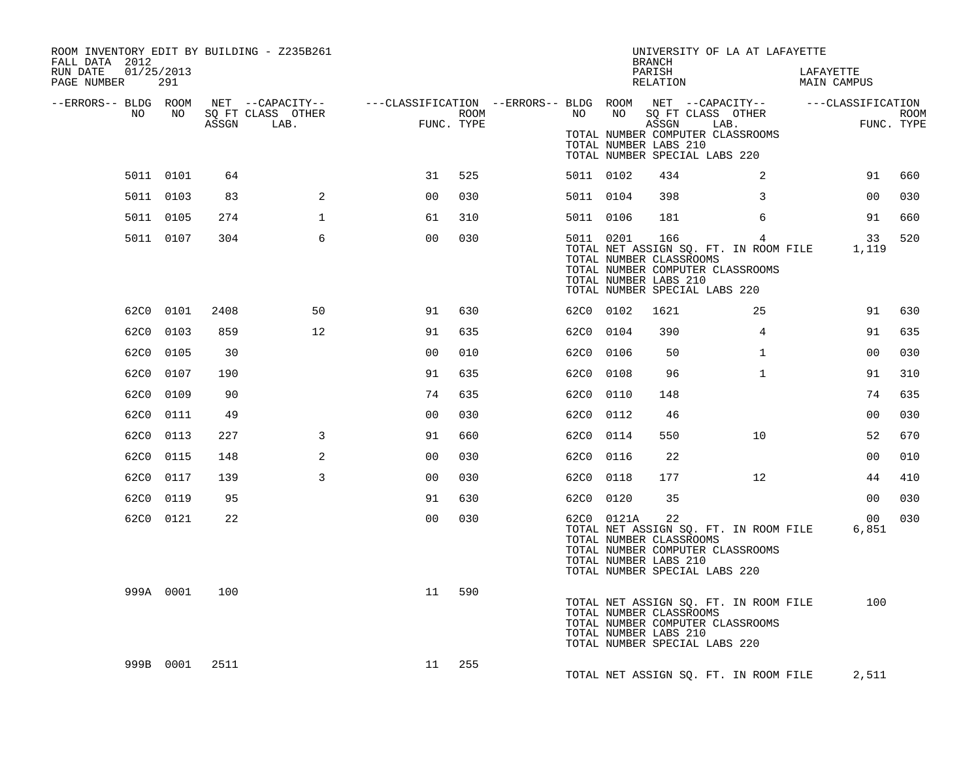| ROOM INVENTORY EDIT BY BUILDING - Z235B261<br>FALL DATA 2012<br>RUN DATE<br>01/25/2013 |           |      |                                 | UNIVERSITY OF LA AT LAFAYETTE<br>BRANCH<br>PARISH<br>LAFAYETTE |      |  |           |                                                                |          |                                                                                                                                  |                |                           |  |
|----------------------------------------------------------------------------------------|-----------|------|---------------------------------|----------------------------------------------------------------|------|--|-----------|----------------------------------------------------------------|----------|----------------------------------------------------------------------------------------------------------------------------------|----------------|---------------------------|--|
| PAGE NUMBER                                                                            | 291       |      |                                 |                                                                |      |  |           |                                                                | RELATION |                                                                                                                                  | MAIN CAMPUS    |                           |  |
| --ERRORS-- BLDG ROOM<br>NO.                                                            | NO .      |      | SQ FT CLASS OTHER<br>ASSGN LAB. | FUNC. TYPE                                                     | ROOM |  | NO        |                                                                | ASSGN    | NET --CAPACITY--   ---CLASSIFICATION --ERRORS-- BLDG ROOM NET --CAPACITY--   ---CLASSIFICATION<br>NO SQ FT CLASS OTHER<br>LAB.   |                | <b>ROOM</b><br>FUNC. TYPE |  |
|                                                                                        |           |      |                                 |                                                                |      |  |           | TOTAL NUMBER LABS 210                                          |          | TOTAL NUMBER COMPUTER CLASSROOMS<br>TOTAL NUMBER SPECIAL LABS 220                                                                |                |                           |  |
|                                                                                        | 5011 0101 | 64   |                                 | 31                                                             | 525  |  | 5011 0102 |                                                                | 434      | 2                                                                                                                                | 91             | 660                       |  |
|                                                                                        | 5011 0103 | 83   | 2                               | 0 <sub>0</sub>                                                 | 030  |  | 5011 0104 |                                                                | 398      | 3                                                                                                                                | 0 <sub>0</sub> | 030                       |  |
|                                                                                        | 5011 0105 | 274  | $\mathbf{1}$                    | 61                                                             | 310  |  | 5011 0106 |                                                                | 181      | 6                                                                                                                                | 91             | 660                       |  |
|                                                                                        | 5011 0107 | 304  | 6                               | 0 <sup>0</sup>                                                 | 030  |  |           | 5011 0201<br>TOTAL NUMBER CLASSROOMS<br>TOTAL NUMBER LABS 210  |          | 166<br>$4^{\circ}$<br>TOTAL NET ASSIGN SQ. FT. IN ROOM FILE<br>TOTAL NUMBER COMPUTER CLASSROOMS<br>TOTAL NUMBER SPECIAL LABS 220 | 33<br>1,119    | 520                       |  |
|                                                                                        | 62C0 0101 | 2408 | 50                              | 91                                                             | 630  |  | 62C0 0102 |                                                                | 1621     | 25                                                                                                                               | 91             | 630                       |  |
|                                                                                        | 62C0 0103 | 859  | 12                              | 91                                                             | 635  |  | 62C0 0104 |                                                                | 390      | $\overline{4}$                                                                                                                   | 91             | 635                       |  |
|                                                                                        | 62C0 0105 | 30   |                                 | 0 <sub>0</sub>                                                 | 010  |  | 62C0 0106 |                                                                | 50       | $\mathbf{1}$                                                                                                                     | 0 <sub>0</sub> | 030                       |  |
|                                                                                        | 62C0 0107 | 190  |                                 | 91                                                             | 635  |  | 62C0 0108 |                                                                | 96       | $\mathbf{1}$                                                                                                                     | 91             | 310                       |  |
|                                                                                        | 62C0 0109 | 90   |                                 | 74                                                             | 635  |  | 62C0 0110 |                                                                | 148      |                                                                                                                                  | 74             | 635                       |  |
|                                                                                        | 62C0 0111 | 49   |                                 | 0 <sub>0</sub>                                                 | 030  |  | 62C0 0112 |                                                                | 46       |                                                                                                                                  | 0 <sub>0</sub> | 030                       |  |
| 62C0                                                                                   | 0113      | 227  | $\mathbf{3}$                    | 91                                                             | 660  |  | 62C0 0114 |                                                                | 550      | 10                                                                                                                               | 52             | 670                       |  |
|                                                                                        | 62C0 0115 | 148  | 2                               | 0 <sub>0</sub>                                                 | 030  |  | 62C0 0116 |                                                                | 22       |                                                                                                                                  | 0 <sub>0</sub> | 010                       |  |
|                                                                                        | 62C0 0117 | 139  | $\overline{3}$                  | 0 <sub>0</sub>                                                 | 030  |  | 62C0 0118 |                                                                | 177      | 12                                                                                                                               | 44             | 410                       |  |
|                                                                                        | 62C0 0119 | 95   |                                 | 91                                                             | 630  |  | 62C0 0120 |                                                                | 35       |                                                                                                                                  | 00             | 030                       |  |
|                                                                                        | 62C0 0121 | 22   |                                 | 0 <sub>0</sub>                                                 | 030  |  |           | 62C0 0121A<br>TOTAL NUMBER CLASSROOMS<br>TOTAL NUMBER LABS 210 | 22       | TOTAL NET ASSIGN SO. FT. IN ROOM FILE<br>TOTAL NUMBER COMPUTER CLASSROOMS<br>TOTAL NUMBER SPECIAL LABS 220                       | 00<br>6,851    | 030                       |  |
|                                                                                        | 999A 0001 | 100  |                                 | 11                                                             | 590  |  |           | TOTAL NUMBER CLASSROOMS<br>TOTAL NUMBER LABS 210               |          | TOTAL NET ASSIGN SQ. FT. IN ROOM FILE<br>TOTAL NUMBER COMPUTER CLASSROOMS<br>TOTAL NUMBER SPECIAL LABS 220                       | 100            |                           |  |
|                                                                                        | 999B 0001 | 2511 |                                 | 11                                                             | 255  |  |           |                                                                |          | TOTAL NET ASSIGN SQ. FT. IN ROOM FILE                                                                                            | 2,511          |                           |  |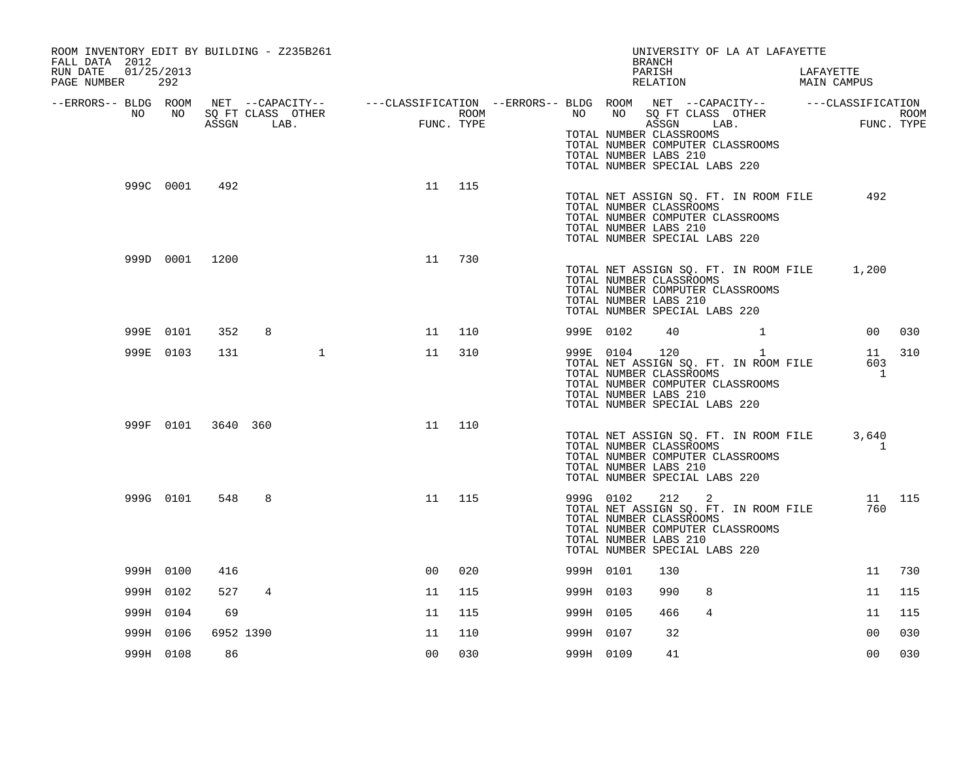| ROOM INVENTORY EDIT BY BUILDING - Z235B261<br>FALL DATA 2012<br>01/25/2013<br>RUN DATE<br>PAGE NUMBER | 292       |                    |   |              |                                                                                                                                                                   |        |           |               | UNIVERSITY OF LA AT LAFAYETTE<br>BRANCH<br>PARISH<br>RELATION                                                                                                                     | LAFAYETTE<br>MAIN CAMPUS |                             |        |
|-------------------------------------------------------------------------------------------------------|-----------|--------------------|---|--------------|-------------------------------------------------------------------------------------------------------------------------------------------------------------------|--------|-----------|---------------|-----------------------------------------------------------------------------------------------------------------------------------------------------------------------------------|--------------------------|-----------------------------|--------|
| NO                                                                                                    | NO 11     |                    |   |              | --ERRORS-- BLDG ROOM NET --CAPACITY-- -----CLASSIFICATION --ERRORS-- BLDG ROOM NET --CAPACITY-- -----CLASSIFICATION<br>SQ FT CLASS OTHER<br>ASSGN LAB. FUNC. TYPE |        |           |               | NO NO SQ FT CLASS OTHER<br>ASSGN LAB.<br>TOTAL NUMBER CLASSROOMS<br>TOTAL NUMBER COMPUTER CLASSROOMS<br>TOTAL NUMBER LABS 210<br>TOTAL NUMBER SPECIAL LABS 220                    |                          | ROOM<br>FUNC. TYPE          |        |
|                                                                                                       |           | 999C 0001 492      |   |              | 11                                                                                                                                                                | 115    |           |               | TOTAL NET ASSIGN SQ. FT. IN ROOM FILE<br>TOTAL NUMBER CLASSROOMS<br>TOTAL NUMBER COMPUTER CLASSROOMS<br>TOTAL NUMBER LABS 210<br>TOTAL NUMBER SPECIAL LABS 220                    |                          | 492                         |        |
|                                                                                                       |           | 999D 0001 1200     |   |              | 11                                                                                                                                                                | 730    |           |               | TOTAL NET ASSIGN SQ. FT. IN ROOM FILE<br>TOTAL NUMBER CLASSROOMS<br>TOTAL NUMBER COMPUTER CLASSROOMS<br>TOTAL NUMBER LABS 210<br>TOTAL NUMBER SPECIAL LABS 220                    |                          | 1,200                       |        |
|                                                                                                       | 999E 0101 | 352                | 8 |              |                                                                                                                                                                   | 11 110 |           | 999E 0102     | 40 1                                                                                                                                                                              |                          |                             | 00 030 |
|                                                                                                       | 999E 0103 | 131                |   | $\mathbf{1}$ | 11                                                                                                                                                                | 310    |           | 999E 0104 120 | TOTAL NET ASSIGN SQ. FT. IN ROOM FILE<br>TOTAL NUMBER CLASSROOMS<br>TOTAL NUMBER COMPUTER CLASSROOMS<br>TOTAL NUMBER LABS 210<br>TOTAL NUMBER SPECIAL LABS 220                    | $\mathbf{1}$             | 11<br>603<br>$\overline{1}$ | 310    |
|                                                                                                       |           | 999F 0101 3640 360 |   |              | 11                                                                                                                                                                | 110    |           |               | TOTAL NET ASSIGN SQ. FT. IN ROOM FILE<br>TOTAL NUMBER CLASSROOMS<br>TOTAL NUMBER COMPUTER CLASSROOMS<br>TOTAL NUMBER LABS 210<br>TOTAL NUMBER SPECIAL LABS 220                    |                          | 3,640<br>1                  |        |
|                                                                                                       | 999G 0101 | 548                | 8 |              | 11                                                                                                                                                                | 115    |           |               | 999G 0102 212 2<br>TOTAL NET ASSIGN SQ. FT. IN ROOM FILE<br>TOTAL NUMBER CLASSROOMS<br>TOTAL NUMBER COMPUTER CLASSROOMS<br>TOTAL NUMBER LABS 210<br>TOTAL NUMBER SPECIAL LABS 220 |                          | 760                         | 11 115 |
|                                                                                                       | 999H 0100 | 416                |   |              | 0 <sup>0</sup>                                                                                                                                                    | 020    | 999H 0101 |               | 130                                                                                                                                                                               |                          | 11                          | 730    |
|                                                                                                       | 999H 0102 | 527                | 4 |              | 11                                                                                                                                                                | 115    | 999H 0103 |               | 8<br>990                                                                                                                                                                          |                          | 11                          | 115    |
|                                                                                                       | 999H 0104 | 69                 |   |              | 11                                                                                                                                                                | 115    | 999H 0105 |               | $\overline{4}$<br>466                                                                                                                                                             |                          | 11                          | 115    |
|                                                                                                       | 999H 0106 | 6952 1390          |   |              | 11                                                                                                                                                                | 110    | 999H 0107 |               | 32                                                                                                                                                                                |                          | 0 <sup>0</sup>              | 030    |
|                                                                                                       | 999H 0108 | 86                 |   |              | 0 <sub>0</sub>                                                                                                                                                    | 030    | 999H 0109 |               | 41                                                                                                                                                                                |                          | 0 <sub>0</sub>              | 030    |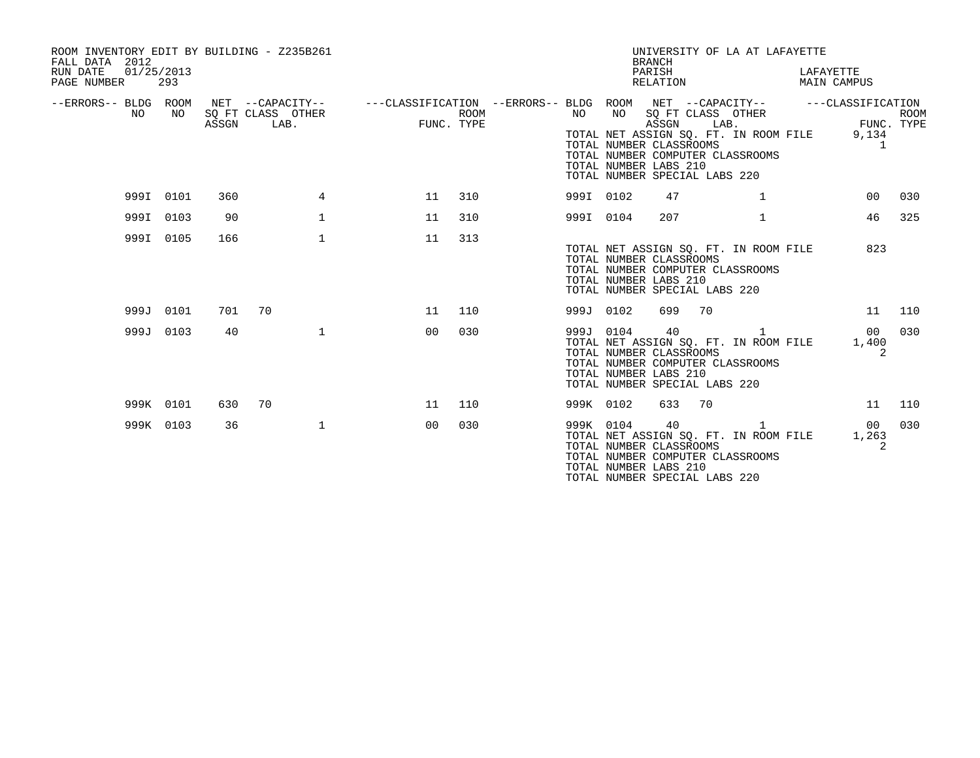| ROOM INVENTORY EDIT BY BUILDING - Z235B261<br>FALL DATA 2012<br>01/25/2013<br>RUN DATE<br>PAGE NUMBER | 293       |       |                                               |                                                         |                           |           |           | <b>BRANCH</b><br>PARISH<br>RELATION                                                                             |      | UNIVERSITY OF LA AT LAFAYETTE                                                  | LAFAYETTE<br>MAIN CAMPUS                                 |             |
|-------------------------------------------------------------------------------------------------------|-----------|-------|-----------------------------------------------|---------------------------------------------------------|---------------------------|-----------|-----------|-----------------------------------------------------------------------------------------------------------------|------|--------------------------------------------------------------------------------|----------------------------------------------------------|-------------|
| --ERRORS-- BLDG ROOM<br>NO.                                                                           | NO.       | ASSGN | NET --CAPACITY--<br>SQ FT CLASS OTHER<br>LAB. | ---CLASSIFICATION --ERRORS-- BLDG ROOM NET --CAPACITY-- | <b>ROOM</b><br>FUNC. TYPE | NO .      | NO        | SQ FT CLASS OTHER<br>ASSGN<br>TOTAL NUMBER CLASSROOMS<br>TOTAL NUMBER LABS 210<br>TOTAL NUMBER SPECIAL LABS 220 | LAB. | TOTAL NET ASSIGN SO. FT. IN ROOM FILE<br>TOTAL NUMBER COMPUTER CLASSROOMS      | ---CLASSIFICATION<br>FUNC. TYPE<br>9,134<br>$\mathbf{1}$ | <b>ROOM</b> |
|                                                                                                       | 999I 0101 | 360   | 4                                             | 11                                                      | 310                       | 999I 0102 |           | 47                                                                                                              |      | $\mathbf{1}$                                                                   | 0 <sub>0</sub>                                           | 030         |
|                                                                                                       | 999I 0103 | 90    | $\mathbf{1}$                                  | 11                                                      | 310                       | 999I 0104 |           | 207                                                                                                             |      | $\mathbf{1}$                                                                   | 46                                                       | 325         |
|                                                                                                       | 999I 0105 | 166   | $\mathbf 1$                                   | 11                                                      | 313                       |           |           | TOTAL NUMBER CLASSROOMS<br>TOTAL NUMBER LABS 210<br>TOTAL NUMBER SPECIAL LABS 220                               |      | TOTAL NET ASSIGN SQ. FT. IN ROOM FILE<br>TOTAL NUMBER COMPUTER CLASSROOMS      | 823                                                      |             |
|                                                                                                       | 999J 0101 | 701   | 70                                            | 11                                                      | 110                       | 999J 0102 |           | 699                                                                                                             | 70   |                                                                                | 11                                                       | 110         |
|                                                                                                       | 999J 0103 | 40    | $\mathbf{1}$                                  | 00                                                      | 030                       | 999J 0104 |           | 40<br>TOTAL NUMBER CLASSROOMS<br>TOTAL NUMBER LABS 210<br>TOTAL NUMBER SPECIAL LABS 220                         |      | 1<br>TOTAL NET ASSIGN SQ. FT. IN ROOM FILE<br>TOTAL NUMBER COMPUTER CLASSROOMS | 00<br>1,400<br>2                                         | 030         |
|                                                                                                       | 999K 0101 | 630   | 70                                            | 11                                                      | 110                       | 999K 0102 |           | 633                                                                                                             | 70   |                                                                                | 11                                                       | 110         |
|                                                                                                       | 999K 0103 | 36    | $\mathbf 1$                                   | 0 <sub>0</sub>                                          | 030                       |           | 999K 0104 | 40<br>TOTAL NUMBER CLASSROOMS<br>TOTAL NUMBER LABS 210<br>TOTAL NUMBER SPECIAL LABS 220                         |      | 1<br>TOTAL NET ASSIGN SQ. FT. IN ROOM FILE<br>TOTAL NUMBER COMPUTER CLASSROOMS | 00<br>1,263<br>2                                         | 030         |